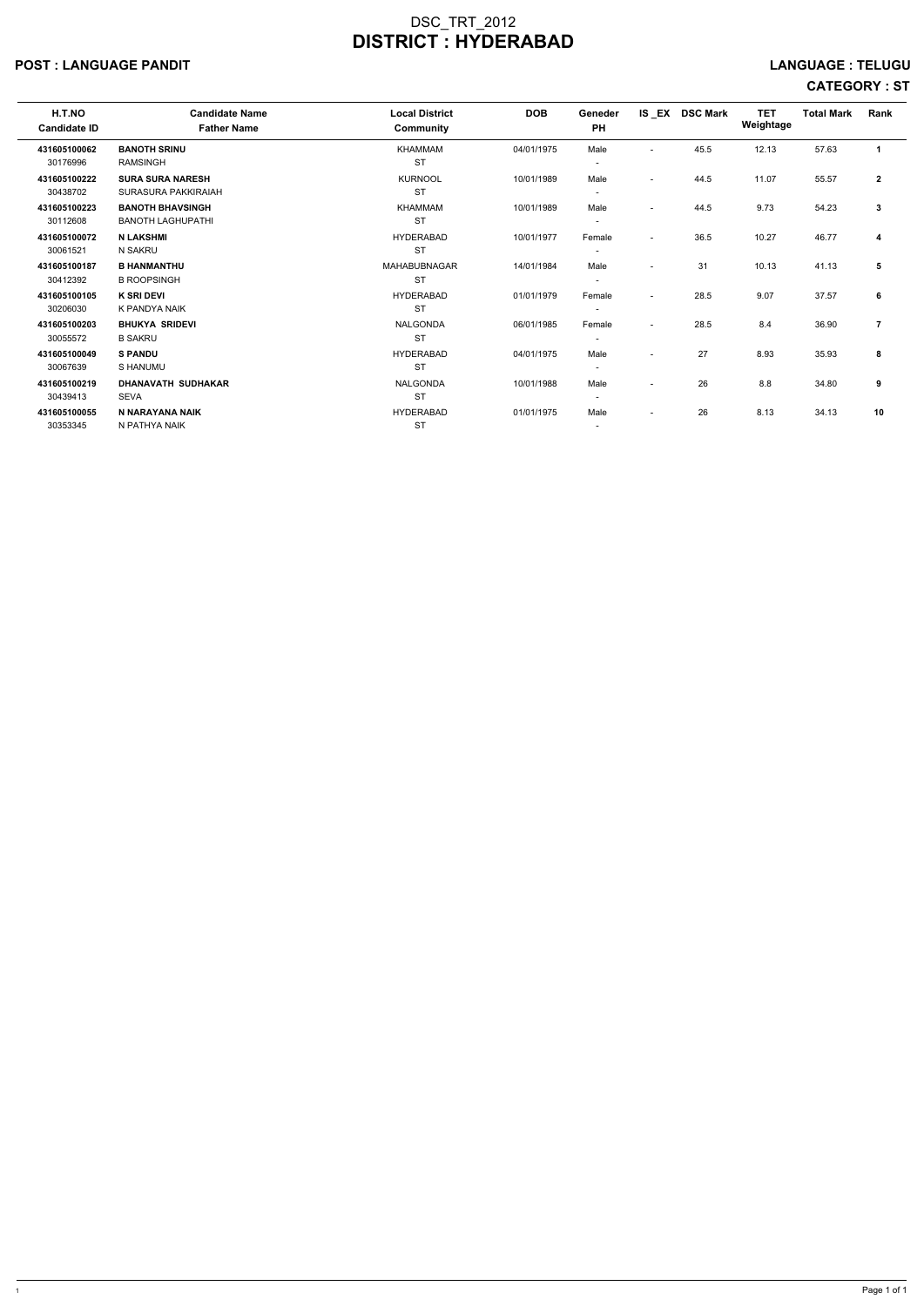### POST : LANGUAGE PANDIT LANGUAGE : TELUGU

| H.T.NO<br><b>Candidate ID</b> | <b>Candidate Name</b><br><b>Father Name</b>         | <b>Local District</b><br>Community | <b>DOB</b> | Geneder<br><b>PH</b>               |                          | IS EX DSC Mark | <b>TET</b><br>Weightage | <b>Total Mark</b> | Rank         |
|-------------------------------|-----------------------------------------------------|------------------------------------|------------|------------------------------------|--------------------------|----------------|-------------------------|-------------------|--------------|
| 431605100062<br>30176996      | <b>BANOTH SRINU</b><br><b>RAMSINGH</b>              | KHAMMAM<br><b>ST</b>               | 04/01/1975 | Male<br>$\overline{\phantom{a}}$   | $\overline{\phantom{a}}$ | 45.5           | 12.13                   | 57.63             | $\mathbf{1}$ |
| 431605100222<br>30438702      | <b>SURA SURA NARESH</b><br>SURASURA PAKKIRAIAH      | <b>KURNOOL</b><br><b>ST</b>        | 10/01/1989 | Male<br>$\overline{\phantom{a}}$   | $\overline{\phantom{a}}$ | 44.5           | 11.07                   | 55.57             | $\mathbf{2}$ |
| 431605100223<br>30112608      | <b>BANOTH BHAVSINGH</b><br><b>BANOTH LAGHUPATHI</b> | KHAMMAM<br><b>ST</b>               | 10/01/1989 | Male                               | $\overline{\phantom{0}}$ | 44.5           | 9.73                    | 54.23             | 3            |
| 431605100072<br>30061521      | <b>N LAKSHMI</b><br>N SAKRU                         | <b>HYDERABAD</b><br><b>ST</b>      | 10/01/1977 | Female<br>$\overline{\phantom{a}}$ | $\overline{\phantom{a}}$ | 36.5           | 10.27                   | 46.77             | 4            |
| 431605100187<br>30412392      | <b>B HANMANTHU</b><br><b>B ROOPSINGH</b>            | MAHABUBNAGAR<br><b>ST</b>          | 14/01/1984 | Male                               | $\overline{\phantom{a}}$ | 31             | 10.13                   | 41.13             | 5            |
| 431605100105<br>30206030      | <b>K SRI DEVI</b><br>K PANDYA NAIK                  | <b>HYDERABAD</b><br><b>ST</b>      | 01/01/1979 | Female                             | $\overline{a}$           | 28.5           | 9.07                    | 37.57             | 6            |
| 431605100203<br>30055572      | <b>BHUKYA SRIDEVI</b><br><b>B SAKRU</b>             | <b>NALGONDA</b><br><b>ST</b>       | 06/01/1985 | Female<br>$\overline{\phantom{a}}$ | $\overline{\phantom{a}}$ | 28.5           | 8.4                     | 36.90             | 7            |
| 431605100049<br>30067639      | <b>S PANDU</b><br>S HANUMU                          | <b>HYDERABAD</b><br><b>ST</b>      | 04/01/1975 | Male<br>$\overline{\phantom{a}}$   | $\overline{\phantom{a}}$ | 27             | 8.93                    | 35.93             | 8            |
| 431605100219<br>30439413      | <b>DHANAVATH SUDHAKAR</b><br><b>SEVA</b>            | <b>NALGONDA</b><br><b>ST</b>       | 10/01/1988 | Male<br>$\overline{\phantom{a}}$   | $\sim$                   | 26             | 8.8                     | 34.80             | 9            |
| 431605100055<br>30353345      | N NARAYANA NAIK<br>N PATHYA NAIK                    | <b>HYDERABAD</b><br><b>ST</b>      | 01/01/1975 | Male                               | $\overline{\phantom{a}}$ | 26             | 8.13                    | 34.13             | 10           |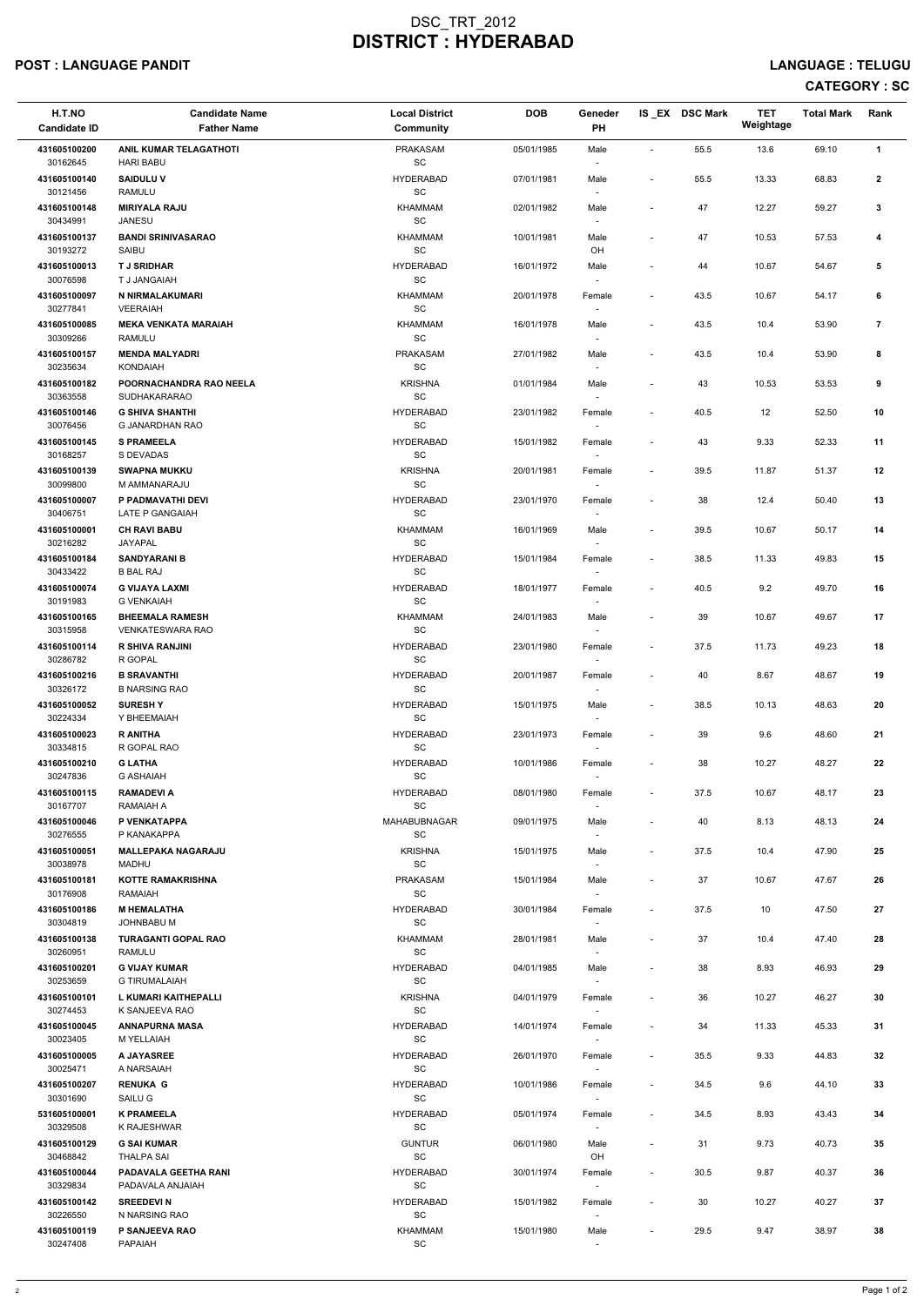#### POST : LANGUAGE PANDIT LANGUAGE : TELUGU

| H.T.NO<br><b>Candidate ID</b> | <b>Candidate Name</b><br><b>Father Name</b>    | <b>Local District</b><br>Community               | <b>DOB</b> | Geneder<br>PH                      |                          | IS EX DSC Mark | <b>TET</b><br>Weightage | <b>Total Mark</b> | Rank           |
|-------------------------------|------------------------------------------------|--------------------------------------------------|------------|------------------------------------|--------------------------|----------------|-------------------------|-------------------|----------------|
| 431605100200<br>30162645      | ANIL KUMAR TELAGATHOTI<br><b>HARI BABU</b>     | PRAKASAM<br>$\operatorname{\textsf{SC}}$         | 05/01/1985 | Male<br>$\sim$                     | $\overline{\phantom{a}}$ | 55.5           | 13.6                    | 69.10             | $\mathbf{1}$   |
| 431605100140<br>30121456      | <b>SAIDULUV</b><br><b>RAMULU</b>               | <b>HYDERABAD</b><br>$\operatorname{\textsf{SC}}$ | 07/01/1981 | Male<br>$\overline{\phantom{a}}$   | $\overline{\phantom{a}}$ | 55.5           | 13.33                   | 68.83             | $\mathbf{2}$   |
| 431605100148<br>30434991      | <b>MIRIYALA RAJU</b>                           | KHAMMAM<br>$\operatorname{\textsf{SC}}$          | 02/01/1982 | Male                               | $\overline{\phantom{a}}$ | 47             | 12.27                   | 59.27             | 3              |
| 431605100137                  | <b>JANESU</b><br><b>BANDI SRINIVASARAO</b>     | KHAMMAM                                          | 10/01/1981 | $\overline{\phantom{a}}$<br>Male   | $\overline{\phantom{a}}$ | 47             | 10.53                   | 57.53             | 4              |
| 30193272<br>431605100013      | SAIBU<br><b>TJ SRIDHAR</b>                     | SC<br><b>HYDERABAD</b>                           | 16/01/1972 | OH<br>Male                         | $\overline{\phantom{a}}$ | 44             | 10.67                   | 54.67             | 5              |
| 30076598<br>431605100097      | T J JANGAIAH<br>N NIRMALAKUMARI                | $\operatorname{\textsf{SC}}$<br><b>KHAMMAM</b>   | 20/01/1978 | $\overline{\phantom{a}}$<br>Female | $\overline{\phantom{a}}$ | 43.5           | 10.67                   | 54.17             | 6              |
| 30277841<br>431605100085      | <b>VEERAIAH</b><br><b>MEKA VENKATA MARAIAH</b> | SC<br><b>KHAMMAM</b>                             | 16/01/1978 | Male                               | $\blacksquare$           | 43.5           | 10.4                    | 53.90             | $\overline{7}$ |
| 30309266<br>431605100157      | RAMULU<br><b>MENDA MALYADRI</b>                | SC<br><b>PRAKASAM</b>                            | 27/01/1982 | $\sim$<br>Male                     | $\overline{\phantom{a}}$ | 43.5           | 10.4                    | 53.90             | 8              |
| 30235634                      | <b>KONDAIAH</b>                                | $\operatorname{\textsf{SC}}$                     |            | $\overline{\phantom{a}}$           |                          |                |                         |                   |                |
| 431605100182<br>30363558      | POORNACHANDRA RAO NEELA<br>SUDHAKARARAO        | <b>KRISHNA</b><br>$\operatorname{\textsf{SC}}$   | 01/01/1984 | Male<br>$\overline{\phantom{a}}$   | $\overline{\phantom{a}}$ | 43             | 10.53                   | 53.53             | 9              |
| 431605100146<br>30076456      | <b>G SHIVA SHANTHI</b><br>G JANARDHAN RAO      | <b>HYDERABAD</b><br>$\operatorname{\textsf{SC}}$ | 23/01/1982 | Female                             | $\overline{\phantom{a}}$ | 40.5           | 12                      | 52.50             | 10             |
| 431605100145<br>30168257      | <b>S PRAMEELA</b><br>S DEVADAS                 | <b>HYDERABAD</b><br>$\operatorname{\textsf{SC}}$ | 15/01/1982 | Female                             | $\overline{\phantom{a}}$ | 43             | 9.33                    | 52.33             | 11             |
| 431605100139<br>30099800      | <b>SWAPNA MUKKU</b><br>M AMMANARAJU            | <b>KRISHNA</b><br>$\operatorname{\textsf{SC}}$   | 20/01/1981 | Female<br>$\sim$                   | $\overline{\phantom{a}}$ | 39.5           | 11.87                   | 51.37             | 12             |
| 431605100007<br>30406751      | P PADMAVATHI DEVI<br>LATE P GANGAIAH           | <b>HYDERABAD</b><br>SC                           | 23/01/1970 | Female                             | $\overline{\phantom{a}}$ | 38             | 12.4                    | 50.40             | 13             |
| 431605100001<br>30216282      | <b>CH RAVI BABU</b><br>JAYAPAL                 | KHAMMAM<br>$\operatorname{\textsf{SC}}$          | 16/01/1969 | Male                               | $\overline{\phantom{a}}$ | 39.5           | 10.67                   | 50.17             | 14             |
| 431605100184                  | <b>SANDYARANI B</b>                            | <b>HYDERABAD</b>                                 | 15/01/1984 | $\sim$<br>Female                   | $\overline{\phantom{a}}$ | 38.5           | 11.33                   | 49.83             | 15             |
| 30433422<br>431605100074      | <b>B BAL RAJ</b><br><b>G VIJAYA LAXMI</b>      | SC<br><b>HYDERABAD</b>                           | 18/01/1977 | Female                             | $\overline{\phantom{a}}$ | 40.5           | 9.2                     | 49.70             | 16             |
| 30191983<br>431605100165      | <b>G VENKAIAH</b><br><b>BHEEMALA RAMESH</b>    | SC<br>KHAMMAM                                    | 24/01/1983 | $\overline{\phantom{a}}$<br>Male   | $\overline{\phantom{a}}$ | 39             | 10.67                   | 49.67             | 17             |
| 30315958<br>431605100114      | <b>VENKATESWARA RAO</b><br>R SHIVA RANJINI     | SC<br><b>HYDERABAD</b>                           | 23/01/1980 | Female                             | $\sim$                   | 37.5           | 11.73                   | 49.23             | 18             |
| 30286782<br>431605100216      | R GOPAL<br><b>B SRAVANTHI</b>                  | SC<br><b>HYDERABAD</b>                           | 20/01/1987 | Female                             | $\overline{\phantom{a}}$ | 40             | 8.67                    | 48.67             | 19             |
| 30326172                      | <b>B NARSING RAO</b>                           | SC<br><b>HYDERABAD</b>                           | 15/01/1975 | $\sim$                             |                          |                |                         |                   |                |
| 431605100052<br>30224334      | <b>SURESHY</b><br>Y BHEEMAIAH                  | <b>SC</b>                                        |            | Male<br>$\sim$                     | $\overline{\phantom{a}}$ | 38.5           | 10.13                   | 48.63             | 20             |
| 431605100023<br>30334815      | <b>R ANITHA</b><br>R GOPAL RAO                 | <b>HYDERABAD</b><br>SC                           | 23/01/1973 | Female<br>$\sim$                   | $\overline{\phantom{a}}$ | 39             | 9.6                     | 48.60             | 21             |
| 431605100210<br>30247836      | <b>G LATHA</b><br><b>G ASHAIAH</b>             | <b>HYDERABAD</b><br>SC                           | 10/01/1986 | Female                             | $\blacksquare$           | 38             | 10.27                   | 48.27             | 22             |
| 431605100115<br>30167707      | <b>RAMADEVIA</b><br>RAMAIAH A                  | <b>HYDERABAD</b><br>SC                           | 08/01/1980 | Female<br>$\sim$                   | $\overline{\phantom{a}}$ | 37.5           | 10.67                   | 48.17             | 23             |
| 431605100046<br>30276555      | P VENKATAPPA<br>P KANAKAPPA                    | MAHABUBNAGAR<br><b>SC</b>                        | 09/01/1975 | Male<br>$\overline{\phantom{a}}$   | $\overline{\phantom{a}}$ | 40             | 8.13                    | 48.13             | 24             |
| 431605100051<br>30038978      | <b>MALLEPAKA NAGARAJU</b><br><b>MADHU</b>      | <b>KRISHNA</b><br>SC                             | 15/01/1975 | Male<br>$\overline{\phantom{a}}$   | $\sim$                   | 37.5           | 10.4                    | 47.90             | 25             |
| 431605100181                  | <b>KOTTE RAMAKRISHNA</b>                       | PRAKASAM                                         | 15/01/1984 | Male                               | $\blacksquare$           | 37             | 10.67                   | 47.67             | 26             |
| 30176908<br>431605100186      | <b>RAMAIAH</b><br><b>M HEMALATHA</b>           | SC<br><b>HYDERABAD</b>                           | 30/01/1984 | $\sim$<br>Female                   | $\overline{\phantom{a}}$ | 37.5           | 10                      | 47.50             | 27             |
| 30304819<br>431605100138      | JOHNBABU M<br><b>TURAGANTI GOPAL RAO</b>       | <b>SC</b><br><b>KHAMMAM</b>                      | 28/01/1981 | Male                               | $\overline{\phantom{a}}$ | 37             | 10.4                    | 47.40             | 28             |
| 30260951<br>431605100201      | RAMULU<br><b>G VIJAY KUMAR</b>                 | <b>SC</b><br><b>HYDERABAD</b>                    | 04/01/1985 | $\sim$<br>Male                     | $\overline{\phantom{a}}$ | 38             | 8.93                    | 46.93             | 29             |
| 30253659<br>431605100101      | <b>G TIRUMALAIAH</b><br>L KUMARI KAITHEPALLI   | <b>SC</b><br><b>KRISHNA</b>                      | 04/01/1979 | $\sim$<br>Female                   | $\blacksquare$           | 36             | 10.27                   | 46.27             | 30             |
| 30274453<br>431605100045      | K SANJEEVA RAO<br><b>ANNAPURNA MASA</b>        | SC<br><b>HYDERABAD</b>                           | 14/01/1974 | $\sim$<br>Female                   | $\blacksquare$           | 34             | 11.33                   | 45.33             | 31             |
| 30023405                      | M YELLAIAH                                     | SC                                               |            |                                    |                          |                |                         |                   |                |
| 431605100005<br>30025471      | A JAYASREE<br>A NARSAIAH                       | <b>HYDERABAD</b><br>SC                           | 26/01/1970 | Female                             | $\overline{\phantom{a}}$ | 35.5           | 9.33                    | 44.83             | 32             |
| 431605100207<br>30301690      | <b>RENUKA G</b><br>SAILU G                     | <b>HYDERABAD</b><br>$\operatorname{\textsf{SC}}$ | 10/01/1986 | Female<br>$\overline{\phantom{a}}$ | $\overline{\phantom{a}}$ | 34.5           | 9.6                     | 44.10             | 33             |
| 531605100001<br>30329508      | <b>K PRAMEELA</b><br>K RAJESHWAR               | <b>HYDERABAD</b><br>$\operatorname{\textsf{SC}}$ | 05/01/1974 | Female                             | $\overline{\phantom{a}}$ | 34.5           | 8.93                    | 43.43             | 34             |
| 431605100129<br>30468842      | <b>G SAI KUMAR</b><br><b>THALPA SAI</b>        | <b>GUNTUR</b><br>$\operatorname{\textsf{SC}}$    | 06/01/1980 | Male<br>OH                         | $\blacksquare$           | 31             | 9.73                    | 40.73             | 35             |
| 431605100044<br>30329834      | PADAVALA GEETHA RANI<br>PADAVALA ANJAIAH       | <b>HYDERABAD</b><br>$\operatorname{\textsf{SC}}$ | 30/01/1974 | Female<br>$\sim$                   | $\overline{\phantom{a}}$ | 30.5           | 9.87                    | 40.37             | 36             |
| 431605100142<br>30226550      | <b>SREEDEVIN</b><br>N NARSING RAO              | <b>HYDERABAD</b><br>$\operatorname{\textsf{SC}}$ | 15/01/1982 | Female<br>$\sim$                   | $\overline{\phantom{a}}$ | 30             | 10.27                   | 40.27             | 37             |
| 431605100119<br>30247408      | P SANJEEVA RAO<br>PAPAIAH                      | KHAMMAM<br>$\operatorname{\textsf{SC}}$          | 15/01/1980 | Male<br>$\overline{\phantom{a}}$   | $\overline{\phantom{a}}$ | 29.5           | 9.47                    | 38.97             | 38             |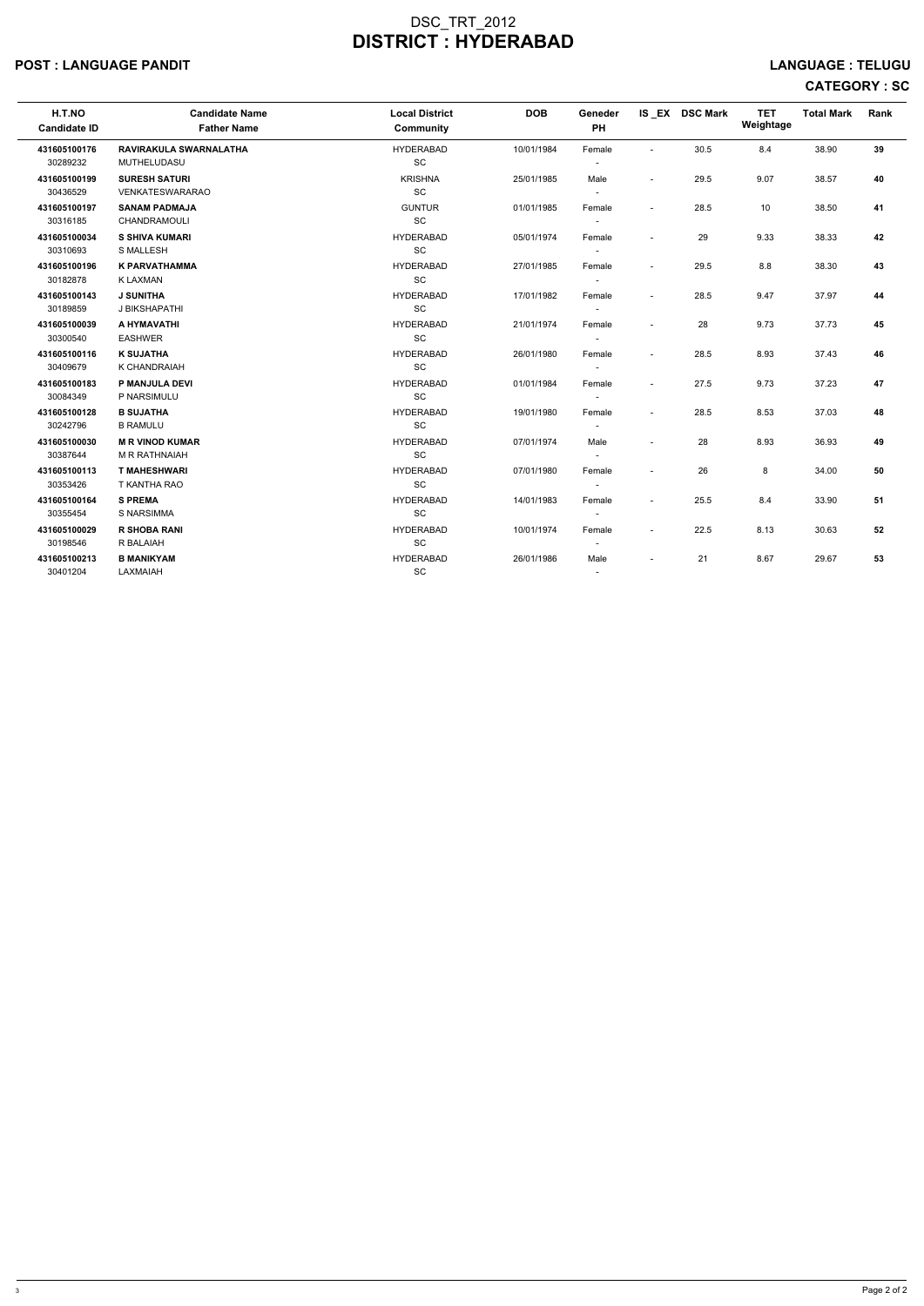#### POST : LANGUAGE PANDIT LANGUAGE : TELUGU

| H.T.NO<br><b>Candidate ID</b> | <b>Candidate Name</b><br><b>Father Name</b> | <b>Local District</b><br>Community | <b>DOB</b> | Geneder<br><b>PH</b>     |                          | IS EX DSC Mark | <b>TET</b><br>Weightage | <b>Total Mark</b> | Rank |
|-------------------------------|---------------------------------------------|------------------------------------|------------|--------------------------|--------------------------|----------------|-------------------------|-------------------|------|
| 431605100176                  | RAVIRAKULA SWARNALATHA                      | <b>HYDERABAD</b>                   | 10/01/1984 | Female                   |                          | 30.5           | 8.4                     | 38.90             | 39   |
| 30289232                      | MUTHELUDASU                                 | SC                                 |            |                          |                          |                |                         |                   |      |
| 431605100199                  | <b>SURESH SATURI</b>                        | <b>KRISHNA</b>                     | 25/01/1985 | Male                     | $\overline{\phantom{a}}$ | 29.5           | 9.07                    | 38.57             | 40   |
| 30436529                      | VENKATESWARARAO                             | SC                                 |            | $\overline{\phantom{a}}$ |                          |                |                         |                   |      |
| 431605100197                  | <b>SANAM PADMAJA</b>                        | <b>GUNTUR</b>                      | 01/01/1985 | Female                   | $\sim$                   | 28.5           | 10                      | 38.50             | 41   |
| 30316185                      | <b>CHANDRAMOULI</b>                         | <b>SC</b>                          |            |                          |                          |                |                         |                   |      |
| 431605100034                  | <b>S SHIVA KUMARI</b>                       | <b>HYDERABAD</b>                   | 05/01/1974 | Female                   |                          | 29             | 9.33                    | 38.33             | 42   |
| 30310693                      | <b>S MALLESH</b>                            | SC                                 |            |                          |                          |                |                         |                   |      |
| 431605100196                  | <b>K PARVATHAMMA</b>                        | <b>HYDERABAD</b>                   | 27/01/1985 | Female                   | $\sim$                   | 29.5           | 8.8                     | 38.30             | 43   |
| 30182878                      | K LAXMAN                                    | SC                                 |            | $\overline{\phantom{a}}$ |                          |                |                         |                   |      |
| 431605100143                  | <b>J SUNITHA</b>                            | <b>HYDERABAD</b>                   | 17/01/1982 | Female                   |                          | 28.5           | 9.47                    | 37.97             | 44   |
| 30189859                      | J BIKSHAPATHI                               | SC                                 |            |                          |                          |                |                         |                   |      |
| 431605100039                  | A HYMAVATHI                                 | <b>HYDERABAD</b>                   | 21/01/1974 | Female                   |                          | 28             | 9.73                    | 37.73             | 45   |
| 30300540                      | <b>EASHWER</b>                              | SC                                 |            | $\sim$                   |                          |                |                         |                   |      |
| 431605100116                  | <b>K SUJATHA</b>                            | <b>HYDERABAD</b>                   | 26/01/1980 | Female                   | $\blacksquare$           | 28.5           | 8.93                    | 37.43             | 46   |
| 30409679                      | K CHANDRAIAH                                | SC                                 |            | $\overline{\phantom{a}}$ |                          |                |                         |                   |      |
| 431605100183                  | P MANJULA DEVI                              | <b>HYDERABAD</b>                   | 01/01/1984 | Female                   | $\blacksquare$           | 27.5           | 9.73                    | 37.23             | 47   |
| 30084349                      | P NARSIMULU                                 | SC                                 |            |                          |                          |                |                         |                   |      |
| 431605100128                  | <b>B SUJATHA</b>                            | <b>HYDERABAD</b>                   | 19/01/1980 | Female                   | $\sim$                   | 28.5           | 8.53                    | 37.03             | 48   |
| 30242796                      | <b>B RAMULU</b>                             | SC                                 |            |                          |                          |                |                         |                   |      |
| 431605100030                  | <b>M R VINOD KUMAR</b>                      | <b>HYDERABAD</b>                   | 07/01/1974 | Male                     |                          | 28             | 8.93                    | 36.93             | 49   |
| 30387644                      | M R RATHNAIAH                               | SC                                 |            | $\overline{\phantom{a}}$ |                          |                |                         |                   |      |
| 431605100113                  | <b>T MAHESHWARI</b>                         | <b>HYDERABAD</b>                   | 07/01/1980 | Female                   |                          | 26             | 8                       | 34.00             | 50   |
| 30353426                      | T KANTHA RAO                                | <b>SC</b>                          |            |                          |                          |                |                         |                   |      |
| 431605100164                  | <b>S PREMA</b>                              | <b>HYDERABAD</b>                   | 14/01/1983 | Female                   |                          | 25.5           | 8.4                     | 33.90             | 51   |
| 30355454                      | S NARSIMMA                                  | SC                                 |            |                          |                          |                |                         |                   |      |
| 431605100029                  | <b>R SHOBA RANI</b>                         | <b>HYDERABAD</b>                   | 10/01/1974 | Female                   |                          | 22.5           | 8.13                    | 30.63             | 52   |
| 30198546                      | R BALAIAH                                   | SC                                 |            | $\overline{\phantom{a}}$ |                          |                |                         |                   |      |
| 431605100213                  | <b>B MANIKYAM</b>                           | <b>HYDERABAD</b>                   | 26/01/1986 | Male                     |                          | 21             | 8.67                    | 29.67             | 53   |
| 30401204                      | LAXMAIAH                                    | SC                                 |            |                          |                          |                |                         |                   |      |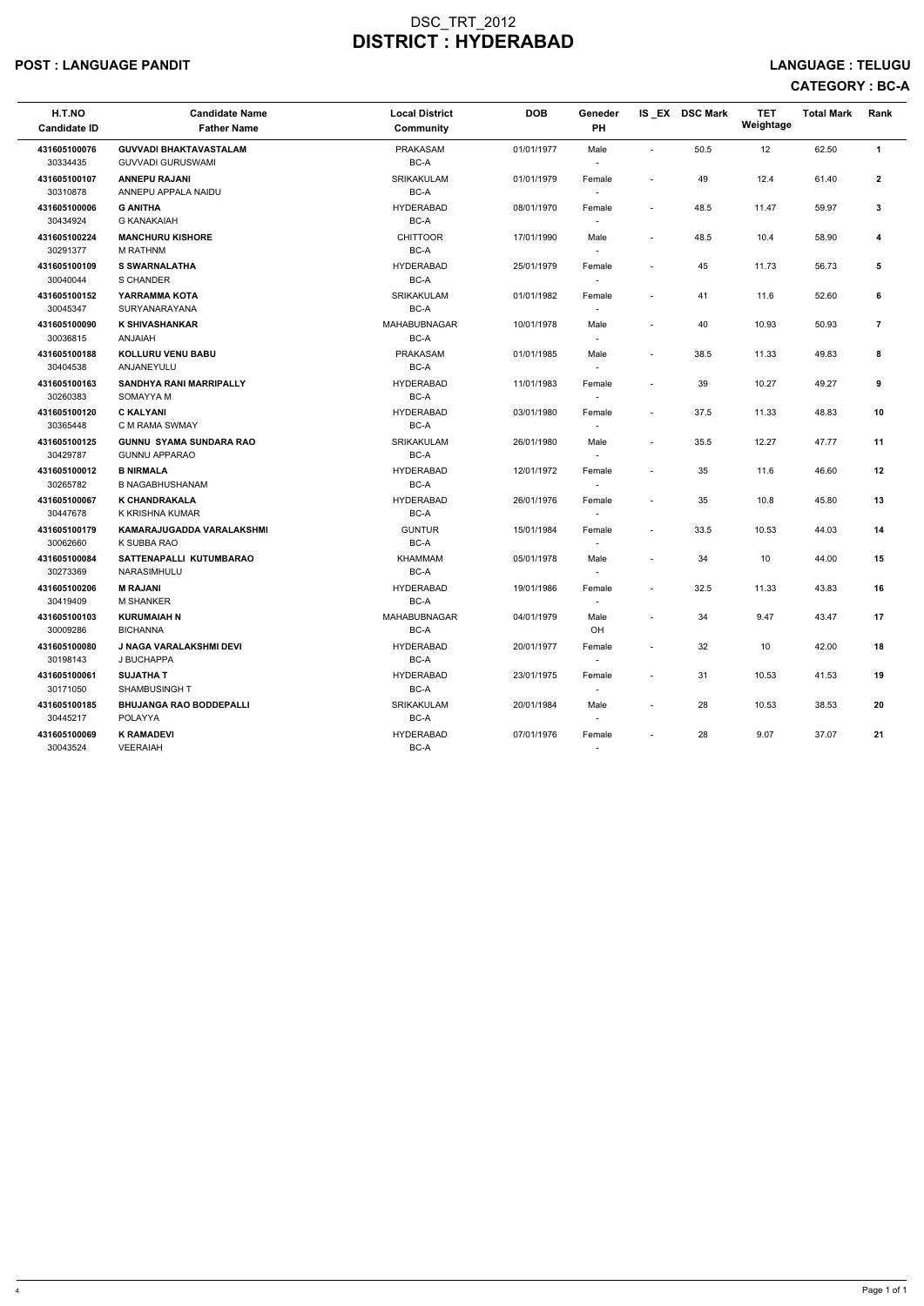#### POST : LANGUAGE PANDIT EXAMPLE TRANSMITHING THE SERVICE OF THE SERVICE OF THE SERVICE OF THE SERVICE OF THE SERVICE OF THE SERVICE OF THE SERVICE OF THE SERVICE OF THE SERVICE OF THE SERVICE OF THE SERVICE OF THE SERVICE O

# CATEGORY : BC-A

| H.T.NO<br><b>Candidate ID</b> | <b>Candidate Name</b><br><b>Father Name</b>               | <b>Local District</b><br><b>Community</b> | <b>DOB</b> | Geneder<br>PH                      |                          | IS EX DSC Mark | <b>TET</b><br>Weightage | <b>Total Mark</b> | Rank           |
|-------------------------------|-----------------------------------------------------------|-------------------------------------------|------------|------------------------------------|--------------------------|----------------|-------------------------|-------------------|----------------|
| 431605100076<br>30334435      | <b>GUVVADI BHAKTAVASTALAM</b><br><b>GUVVADI GURUSWAMI</b> | PRAKASAM<br>BC-A                          | 01/01/1977 | Male                               |                          | 50.5           | 12                      | 62.50             | $\mathbf{1}$   |
| 431605100107<br>30310878      | <b>ANNEPU RAJANI</b><br>ANNEPU APPALA NAIDU               | SRIKAKULAM<br>BC-A                        | 01/01/1979 | Female<br>$\overline{\phantom{a}}$ |                          | 49             | 12.4                    | 61.40             | $\mathbf{2}$   |
| 431605100006<br>30434924      | <b>G ANITHA</b><br><b>G KANAKAIAH</b>                     | <b>HYDERABAD</b><br>BC-A                  | 08/01/1970 | Female                             | $\overline{\phantom{a}}$ | 48.5           | 11.47                   | 59.97             | 3              |
| 431605100224<br>30291377      | <b>MANCHURU KISHORE</b><br><b>M RATHNM</b>                | <b>CHITTOOR</b><br>BC-A                   | 17/01/1990 | Male                               | $\sim$                   | 48.5           | 10.4                    | 58.90             | 4              |
| 431605100109<br>30040044      | <b>S SWARNALATHA</b><br>S CHANDER                         | <b>HYDERABAD</b><br>BC-A                  | 25/01/1979 | Female<br>$\sim$                   |                          | 45             | 11.73                   | 56.73             | 5              |
| 431605100152<br>30045347      | <b>YARRAMMA KOTA</b><br><b>SURYANARAYANA</b>              | SRIKAKULAM<br>BC-A                        | 01/01/1982 | Female<br>$\overline{\phantom{a}}$ | $\overline{\phantom{a}}$ | 41             | 11.6                    | 52.60             | 6              |
| 431605100090<br>30036815      | <b>K SHIVASHANKAR</b><br><b>HAIALAN</b>                   | <b>MAHABUBNAGAR</b><br>BC-A               | 10/01/1978 | Male<br>$\overline{\phantom{a}}$   | $\overline{\phantom{a}}$ | 40             | 10.93                   | 50.93             | $\overline{7}$ |
| 431605100188<br>30404538      | <b>KOLLURU VENU BABU</b><br>ANJANEYULU                    | <b>PRAKASAM</b><br>BC-A                   | 01/01/1985 | Male                               | $\sim$                   | 38.5           | 11.33                   | 49.83             | 8              |
| 431605100163<br>30260383      | <b>SANDHYA RANI MARRIPALLY</b><br>SOMAYYA M               | <b>HYDERABAD</b><br>BC-A                  | 11/01/1983 | Female                             | $\overline{\phantom{a}}$ | 39             | 10.27                   | 49.27             | 9              |
| 431605100120<br>30365448      | <b>C KALYANI</b><br>C M RAMA SWMAY                        | <b>HYDERABAD</b><br>BC-A                  | 03/01/1980 | Female                             |                          | 37.5           | 11.33                   | 48.83             | 10             |
| 431605100125<br>30429787      | <b>GUNNU SYAMA SUNDARA RAO</b><br><b>GUNNU APPARAO</b>    | SRIKAKULAM<br>BC-A                        | 26/01/1980 | Male<br>$\overline{\phantom{a}}$   | $\overline{\phantom{a}}$ | 35.5           | 12.27                   | 47.77             | 11             |
| 431605100012<br>30265782      | <b>B NIRMALA</b><br><b>B NAGABHUSHANAM</b>                | <b>HYDERABAD</b><br>BC-A                  | 12/01/1972 | Female                             |                          | 35             | 11.6                    | 46.60             | 12             |
| 431605100067<br>30447678      | K CHANDRAKALA<br>K KRISHNA KUMAR                          | <b>HYDERABAD</b><br>BC-A                  | 26/01/1976 | Female                             | $\sim$                   | 35             | 10.8                    | 45.80             | 13             |
| 431605100179<br>30062660      | KAMARAJUGADDA VARALAKSHMI<br>K SUBBA RAO                  | <b>GUNTUR</b><br>BC-A                     | 15/01/1984 | Female<br>$\overline{\phantom{a}}$ | $\overline{\phantom{a}}$ | 33.5           | 10.53                   | 44.03             | 14             |
| 431605100084<br>30273369      | SATTENAPALLI KUTUMBARAO<br>NARASIMHULU                    | <b>KHAMMAM</b><br>BC-A                    | 05/01/1978 | Male                               | $\overline{\phantom{a}}$ | 34             | 10                      | 44.00             | 15             |
| 431605100206<br>30419409      | <b>M RAJANI</b><br><b>M SHANKER</b>                       | <b>HYDERABAD</b><br>BC-A                  | 19/01/1986 | Female                             |                          | 32.5           | 11.33                   | 43.83             | 16             |
| 431605100103<br>30009286      | <b>KURUMAIAH N</b><br><b>BICHANNA</b>                     | MAHABUBNAGAR<br>BC-A                      | 04/01/1979 | Male<br>OH                         |                          | 34             | 9.47                    | 43.47             | 17             |
| 431605100080<br>30198143      | <b>J NAGA VARALAKSHMI DEVI</b><br>J BUCHAPPA              | <b>HYDERABAD</b><br>BC-A                  | 20/01/1977 | Female<br>$\sim$                   | $\sim$                   | 32             | 10                      | 42.00             | 18             |
| 431605100061<br>30171050      | <b>SUJATHAT</b><br><b>SHAMBUSINGHT</b>                    | <b>HYDERABAD</b><br>BC-A                  | 23/01/1975 | Female                             |                          | 31             | 10.53                   | 41.53             | 19             |
| 431605100185<br>30445217      | <b>BHUJANGA RAO BODDEPALLI</b><br><b>POLAYYA</b>          | SRIKAKULAM<br>BC-A                        | 20/01/1984 | Male                               |                          | 28             | 10.53                   | 38.53             | 20             |
| 431605100069<br>30043524      | <b>K RAMADEVI</b><br><b>VEERAIAH</b>                      | <b>HYDERABAD</b><br>BC-A                  | 07/01/1976 | Female                             |                          | 28             | 9.07                    | 37.07             | 21             |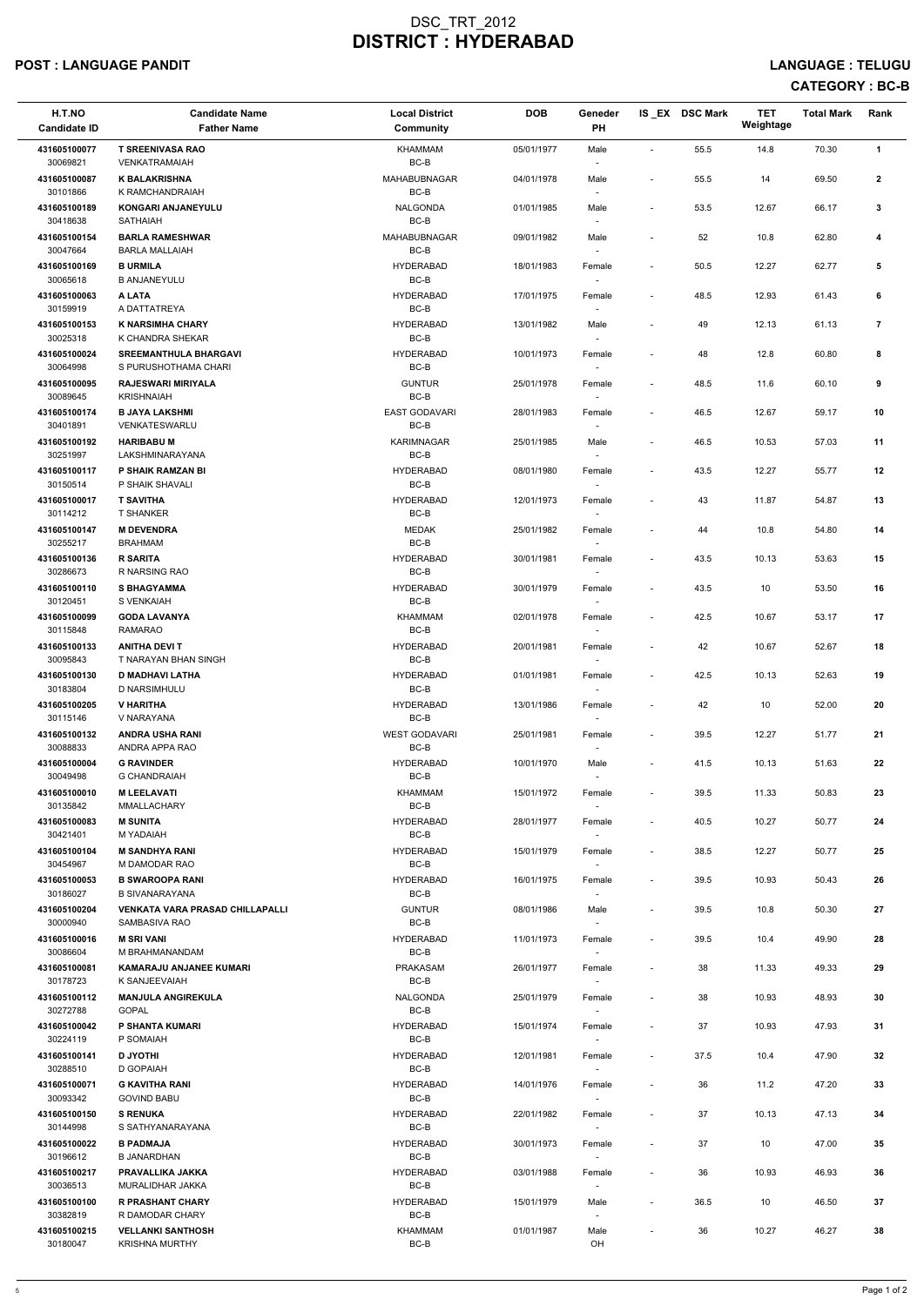# POST : LANGUAGE PANDIT LANGUAGE : TELUGU

# CATEGORY : BC-B

| H.T.NO<br><b>Candidate ID</b> | <b>Candidate Name</b><br><b>Father Name</b>             | <b>Local District</b><br>Community | <b>DOB</b> | Geneder<br>PH                      |                          | IS EX DSC Mark | <b>TET</b><br>Weightage | <b>Total Mark</b> | Rank           |
|-------------------------------|---------------------------------------------------------|------------------------------------|------------|------------------------------------|--------------------------|----------------|-------------------------|-------------------|----------------|
| 431605100077                  | <b>T SREENIVASA RAO</b>                                 | KHAMMAM                            | 05/01/1977 | Male                               | $\sim$                   | 55.5           | 14.8                    | 70.30             | $\mathbf{1}$   |
| 30069821<br>431605100087      | <b>VENKATRAMAIAH</b><br><b>K BALAKRISHNA</b>            | BC-B<br>MAHABUBNAGAR               | 04/01/1978 | $\sim$<br>Male                     | $\overline{\phantom{a}}$ | 55.5           | 14                      | 69.50             | $\mathbf{2}$   |
| 30101866<br>431605100189      | K RAMCHANDRAIAH<br>KONGARI ANJANEYULU                   | BC-B<br>NALGONDA                   | 01/01/1985 | $\overline{\phantom{a}}$<br>Male   | $\overline{\phantom{a}}$ | 53.5           | 12.67                   | 66.17             | 3              |
| 30418638<br>431605100154      | <b>SATHAIAH</b><br><b>BARLA RAMESHWAR</b>               | $BC-B$<br>MAHABUBNAGAR             | 09/01/1982 | $\overline{\phantom{a}}$<br>Male   | $\overline{\phantom{a}}$ | 52             | 10.8                    | 62.80             | 4              |
| 30047664                      | <b>BARLA MALLAIAH</b>                                   | BC-B                               |            | $\overline{\phantom{a}}$           |                          |                |                         |                   |                |
| 431605100169<br>30065618      | <b>B URMILA</b><br><b>B ANJANEYULU</b>                  | <b>HYDERABAD</b><br>BC-B           | 18/01/1983 | Female<br>$\sim$                   | $\blacksquare$           | 50.5           | 12.27                   | 62.77             | 5              |
| 431605100063<br>30159919      | A LATA<br>A DATTATREYA                                  | <b>HYDERABAD</b><br>BC-B           | 17/01/1975 | Female<br>$\sim$                   | $\blacksquare$           | 48.5           | 12.93                   | 61.43             | 6              |
| 431605100153<br>30025318      | <b>K NARSIMHA CHARY</b><br>K CHANDRA SHEKAR             | <b>HYDERABAD</b><br>BC-B           | 13/01/1982 | Male<br>$\overline{\phantom{a}}$   | $\overline{\phantom{a}}$ | 49             | 12.13                   | 61.13             | $\overline{7}$ |
| 431605100024<br>30064998      | <b>SREEMANTHULA BHARGAVI</b><br>S PURUSHOTHAMA CHARI    | <b>HYDERABAD</b><br>BC-B           | 10/01/1973 | Female<br>$\sim$                   | $\overline{\phantom{a}}$ | 48             | 12.8                    | 60.80             | 8              |
| 431605100095<br>30089645      | <b>RAJESWARI MIRIYALA</b><br><b>KRISHNAIAH</b>          | <b>GUNTUR</b><br>BC-B              | 25/01/1978 | Female<br>$\overline{\phantom{a}}$ | $\blacksquare$           | 48.5           | 11.6                    | 60.10             | 9              |
| 431605100174                  | <b>B JAYA LAKSHMI</b>                                   | <b>EAST GODAVARI</b>               | 28/01/1983 | Female                             | $\blacksquare$           | 46.5           | 12.67                   | 59.17             | $10$           |
| 30401891<br>431605100192      | VENKATESWARLU<br><b>HARIBABU M</b>                      | BC-B<br><b>KARIMNAGAR</b>          | 25/01/1985 | $\overline{\phantom{a}}$<br>Male   | $\overline{\phantom{a}}$ | 46.5           | 10.53                   | 57.03             | 11             |
| 30251997<br>431605100117      | LAKSHMINARAYANA<br>P SHAIK RAMZAN BI                    | BC-B<br><b>HYDERABAD</b>           | 08/01/1980 | Female                             | $\blacksquare$           | 43.5           | 12.27                   | 55.77             | 12             |
| 30150514                      | P SHAIK SHAVALI                                         | BC-B                               |            | $\overline{\phantom{a}}$           |                          |                |                         |                   |                |
| 431605100017<br>30114212      | <b>T SAVITHA</b><br><b>T SHANKER</b>                    | <b>HYDERABAD</b><br>BC-B           | 12/01/1973 | Female<br>$\sim$                   | $\sim$                   | 43             | 11.87                   | 54.87             | 13             |
| 431605100147<br>30255217      | <b>M DEVENDRA</b><br><b>BRAHMAM</b>                     | <b>MEDAK</b><br>BC-B               | 25/01/1982 | Female<br>$\overline{\phantom{a}}$ | $\overline{\phantom{a}}$ | 44             | 10.8                    | 54.80             | 14             |
| 431605100136<br>30286673      | <b>R SARITA</b><br>R NARSING RAO                        | <b>HYDERABAD</b><br>BC-B           | 30/01/1981 | Female                             | $\blacksquare$           | 43.5           | 10.13                   | 53.63             | 15             |
| 431605100110<br>30120451      | <b>S BHAGYAMMA</b><br>S VENKAIAH                        | <b>HYDERABAD</b><br>BC-B           | 30/01/1979 | Female                             | $\blacksquare$           | 43.5           | 10                      | 53.50             | 16             |
| 431605100099                  | <b>GODA LAVANYA</b>                                     | KHAMMAM                            | 02/01/1978 | $\sim$<br>Female                   | $\overline{\phantom{a}}$ | 42.5           | 10.67                   | 53.17             | 17             |
| 30115848<br>431605100133      | <b>RAMARAO</b><br><b>ANITHA DEVI T</b>                  | BC-B<br><b>HYDERABAD</b>           | 20/01/1981 | $\sim$<br>Female                   | $\overline{\phantom{a}}$ | 42             | 10.67                   | 52.67             | 18             |
| 30095843<br>431605100130      | T NARAYAN BHAN SINGH<br><b>D MADHAVI LATHA</b>          | BC-B<br><b>HYDERABAD</b>           | 01/01/1981 | Female                             | $\overline{\phantom{a}}$ | 42.5           | 10.13                   | 52.63             | 19             |
| 30183804                      | D NARSIMHULU                                            | BC-B                               |            | $\sim$                             |                          |                |                         |                   |                |
| 431605100205<br>30115146      | V HARITHA<br>V NARAYANA                                 | <b>HYDERABAD</b><br>BC-B           | 13/01/1986 | Female<br>$\overline{\phantom{a}}$ | $\overline{\phantom{a}}$ | 42             | 10                      | 52.00             | 20             |
| 431605100132<br>30088833      | <b>ANDRA USHA RANI</b><br>ANDRA APPA RAO                | <b>WEST GODAVARI</b><br>BC-B       | 25/01/1981 | Female<br>$\sim$                   | $\blacksquare$           | 39.5           | 12.27                   | 51.77             | 21             |
| 431605100004<br>30049498      | <b>G RAVINDER</b><br><b>G CHANDRAIAH</b>                | <b>HYDERABAD</b><br>BC-B           | 10/01/1970 | Male<br>$\sim$                     | $\sim$                   | 41.5           | 10.13                   | 51.63             | 22             |
| 431605100010                  | <b>M LEELAVATI</b>                                      | KHAMMAM                            | 15/01/1972 | Female                             | $\overline{\phantom{a}}$ | 39.5           | 11.33                   | 50.83             | 23             |
| 30135842<br>431605100083      | MMALLACHARY<br><b>M SUNITA</b>                          | BC-B<br><b>HYDERABAD</b>           | 28/01/1977 | Female                             | $\blacksquare$           | 40.5           | 10.27                   | 50.77             | 24             |
| 30421401<br>431605100104      | M YADAIAH<br><b>M SANDHYA RANI</b>                      | BC-B<br><b>HYDERABAD</b>           | 15/01/1979 | $\sim$<br>Female                   | $\blacksquare$           | 38.5           | 12.27                   | 50.77             | 25             |
| 30454967                      | M DAMODAR RAO                                           | BC-B                               |            | $\sim$                             |                          |                |                         |                   |                |
| 431605100053<br>30186027      | <b>B SWAROOPA RANI</b><br><b>B SIVANARAYANA</b>         | <b>HYDERABAD</b><br>BC-B           | 16/01/1975 | Female<br>$\sim$                   | $\sim$                   | 39.5           | 10.93                   | 50.43             | 26             |
| 431605100204<br>30000940      | <b>VENKATA VARA PRASAD CHILLAPALLI</b><br>SAMBASIVA RAO | <b>GUNTUR</b><br>BC-B              | 08/01/1986 | Male                               | $\overline{\phantom{a}}$ | 39.5           | 10.8                    | 50.30             | 27             |
| 431605100016<br>30086604      | <b>M SRI VANI</b><br>M BRAHMANANDAM                     | <b>HYDERABAD</b><br>BC-B           | 11/01/1973 | Female<br>$\sim$                   | $\overline{\phantom{a}}$ | 39.5           | 10.4                    | 49.90             | 28             |
| 431605100081                  | KAMARAJU ANJANEE KUMARI                                 | <b>PRAKASAM</b>                    | 26/01/1977 | Female                             | $\overline{\phantom{a}}$ | 38             | 11.33                   | 49.33             | 29             |
| 30178723<br>431605100112      | K SANJEEVAIAH<br><b>MANJULA ANGIREKULA</b>              | BC-B<br>NALGONDA                   | 25/01/1979 | $\sim$<br>Female                   | $\blacksquare$           | 38             | 10.93                   | 48.93             | 30             |
| 30272788<br>431605100042      | <b>GOPAL</b><br>P SHANTA KUMARI                         | BC-B<br><b>HYDERABAD</b>           | 15/01/1974 | $\sim$<br>Female                   | $\sim$                   | 37             | 10.93                   | 47.93             | 31             |
| 30224119<br>431605100141      | P SOMAIAH                                               | BC-B<br><b>HYDERABAD</b>           |            |                                    |                          |                |                         |                   |                |
| 30288510                      | <b>D JYOTHI</b><br>D GOPAIAH                            | BC-B                               | 12/01/1981 | Female                             | $\sim$                   | 37.5           | 10.4                    | 47.90             | 32             |
| 431605100071<br>30093342      | <b>G KAVITHA RANI</b><br><b>GOVIND BABU</b>             | <b>HYDERABAD</b><br>BC-B           | 14/01/1976 | Female<br>$\sim$                   | $\sim$                   | 36             | 11.2                    | 47.20             | 33             |
| 431605100150<br>30144998      | <b>S RENUKA</b><br>S SATHYANARAYANA                     | <b>HYDERABAD</b><br>BC-B           | 22/01/1982 | Female<br>$\overline{\phantom{a}}$ | $\overline{\phantom{a}}$ | 37             | 10.13                   | 47.13             | 34             |
| 431605100022<br>30196612      | <b>B PADMAJA</b><br><b>B JANARDHAN</b>                  | <b>HYDERABAD</b><br>BC-B           | 30/01/1973 | Female<br>$\sim$                   | $\sim$                   | 37             | 10                      | 47.00             | 35             |
| 431605100217                  | PRAVALLIKA JAKKA                                        | <b>HYDERABAD</b>                   | 03/01/1988 | Female                             | $\overline{\phantom{a}}$ | 36             | 10.93                   | 46.93             | 36             |
| 30036513<br>431605100100      | MURALIDHAR JAKKA<br><b>R PRASHANT CHARY</b>             | BC-B<br><b>HYDERABAD</b>           | 15/01/1979 | $\overline{\phantom{a}}$<br>Male   | $\blacksquare$           | 36.5           | 10                      | 46.50             | 37             |
| 30382819<br>431605100215      | R DAMODAR CHARY<br><b>VELLANKI SANTHOSH</b>             | BC-B<br>KHAMMAM                    | 01/01/1987 | $\sim$<br>Male                     | $\overline{\phantom{a}}$ | 36             | 10.27                   | 46.27             | 38             |
| 30180047                      | <b>KRISHNA MURTHY</b>                                   | $BC-B$                             |            | OH                                 |                          |                |                         |                   |                |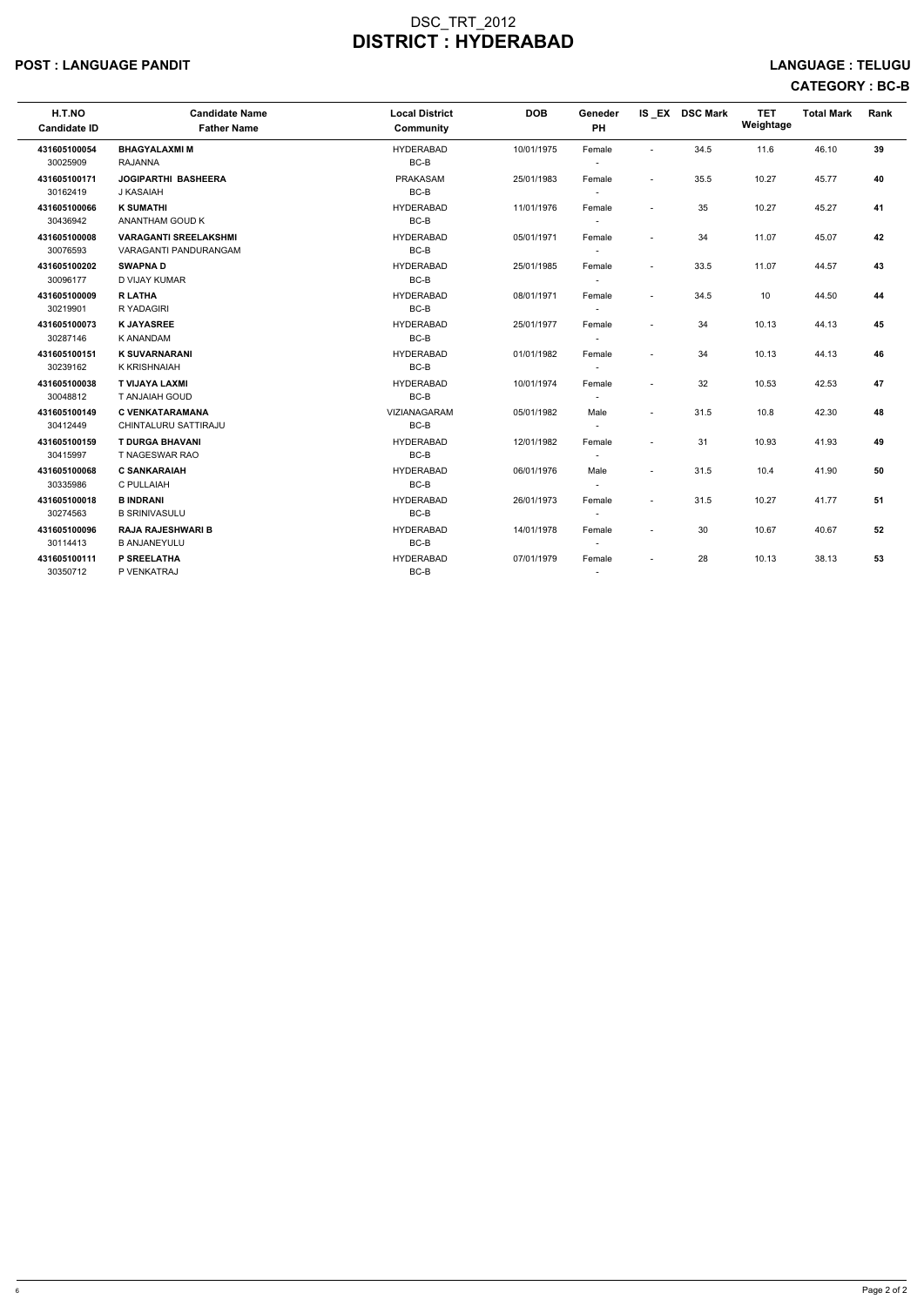#### POST : LANGUAGE PANDIT LANGUAGE : TELUGU

# CATEGORY : BC-B

| H.T.NO<br><b>Candidate ID</b> | <b>Candidate Name</b><br><b>Father Name</b>                  | <b>Local District</b><br>Community | <b>DOB</b> | <b>Geneder</b><br><b>PH</b>        |                          | IS EX DSC Mark | <b>TET</b><br>Weightage | <b>Total Mark</b> | Rank |
|-------------------------------|--------------------------------------------------------------|------------------------------------|------------|------------------------------------|--------------------------|----------------|-------------------------|-------------------|------|
| 431605100054<br>30025909      | <b>BHAGYALAXMIM</b><br><b>RAJANNA</b>                        | <b>HYDERABAD</b><br>$BC-B$         | 10/01/1975 | Female<br>$\overline{\phantom{a}}$ | $\sim$                   | 34.5           | 11.6                    | 46.10             | 39   |
| 431605100171<br>30162419      | <b>JOGIPARTHI BASHEERA</b><br>J KASAIAH                      | <b>PRAKASAM</b><br>BC-B            | 25/01/1983 | Female<br>$\sim$                   | $\sim$                   | 35.5           | 10.27                   | 45.77             | 40   |
| 431605100066<br>30436942      | <b>K SUMATHI</b><br>ANANTHAM GOUD K                          | <b>HYDERABAD</b><br>$BC-B$         | 11/01/1976 | Female                             |                          | 35             | 10.27                   | 45.27             | 41   |
| 431605100008<br>30076593      | <b>VARAGANTI SREELAKSHMI</b><br><b>VARAGANTI PANDURANGAM</b> | <b>HYDERABAD</b><br>BC-B           | 05/01/1971 | Female                             |                          | 34             | 11.07                   | 45.07             | 42   |
| 431605100202<br>30096177      | <b>SWAPNAD</b><br>D VIJAY KUMAR                              | <b>HYDERABAD</b><br>BC-B           | 25/01/1985 | Female<br>$\overline{\phantom{a}}$ | $\overline{\phantom{a}}$ | 33.5           | 11.07                   | 44.57             | 43   |
| 431605100009<br>30219901      | <b>R LATHA</b><br>R YADAGIRI                                 | <b>HYDERABAD</b><br>BC-B           | 08/01/1971 | Female                             |                          | 34.5           | 10                      | 44.50             | 44   |
| 431605100073<br>30287146      | <b>K JAYASREE</b><br><b>K ANANDAM</b>                        | <b>HYDERABAD</b><br>$BC-B$         | 25/01/1977 | Female<br>$\overline{\phantom{a}}$ |                          | 34             | 10.13                   | 44.13             | 45   |
| 431605100151<br>30239162      | <b>K SUVARNARANI</b><br><b>K KRISHNAIAH</b>                  | <b>HYDERABAD</b><br>BC-B           | 01/01/1982 | Female<br>$\overline{\phantom{a}}$ |                          | 34             | 10.13                   | 44.13             | 46   |
| 431605100038<br>30048812      | <b>T VIJAYA LAXMI</b><br><b>T ANJAIAH GOUD</b>               | <b>HYDERABAD</b><br>BC-B           | 10/01/1974 | Female<br>$\overline{a}$           |                          | 32             | 10.53                   | 42.53             | 47   |
| 431605100149<br>30412449      | <b>C VENKATARAMANA</b><br>CHINTALURU SATTIRAJU               | <b>VIZIANAGARAM</b><br>BC-B        | 05/01/1982 | Male<br>$\overline{\phantom{a}}$   |                          | 31.5           | 10.8                    | 42.30             | 48   |
| 431605100159<br>30415997      | <b>T DURGA BHAVANI</b><br>T NAGESWAR RAO                     | <b>HYDERABAD</b><br>BC-B           | 12/01/1982 | Female<br>$\sim$                   |                          | 31             | 10.93                   | 41.93             | 49   |
| 431605100068<br>30335986      | <b>C SANKARAIAH</b><br>C PULLAIAH                            | <b>HYDERABAD</b><br>BC-B           | 06/01/1976 | Male<br>$\overline{\phantom{a}}$   | $\overline{\phantom{a}}$ | 31.5           | 10.4                    | 41.90             | 50   |
| 431605100018<br>30274563      | <b>B INDRANI</b><br><b>B SRINIVASULU</b>                     | <b>HYDERABAD</b><br>$BC-B$         | 26/01/1973 | Female<br>$\overline{\phantom{a}}$ | $\overline{\phantom{a}}$ | 31.5           | 10.27                   | 41.77             | 51   |
| 431605100096<br>30114413      | <b>RAJA RAJESHWARI B</b><br><b>B ANJANEYULU</b>              | <b>HYDERABAD</b><br>BC-B           | 14/01/1978 | Female                             | $\overline{a}$           | 30             | 10.67                   | 40.67             | 52   |
| 431605100111<br>30350712      | P SREELATHA<br>P VENKATRAJ                                   | <b>HYDERABAD</b><br>BC-B           | 07/01/1979 | Female<br>$\overline{\phantom{a}}$ |                          | 28             | 10.13                   | 38.13             | 53   |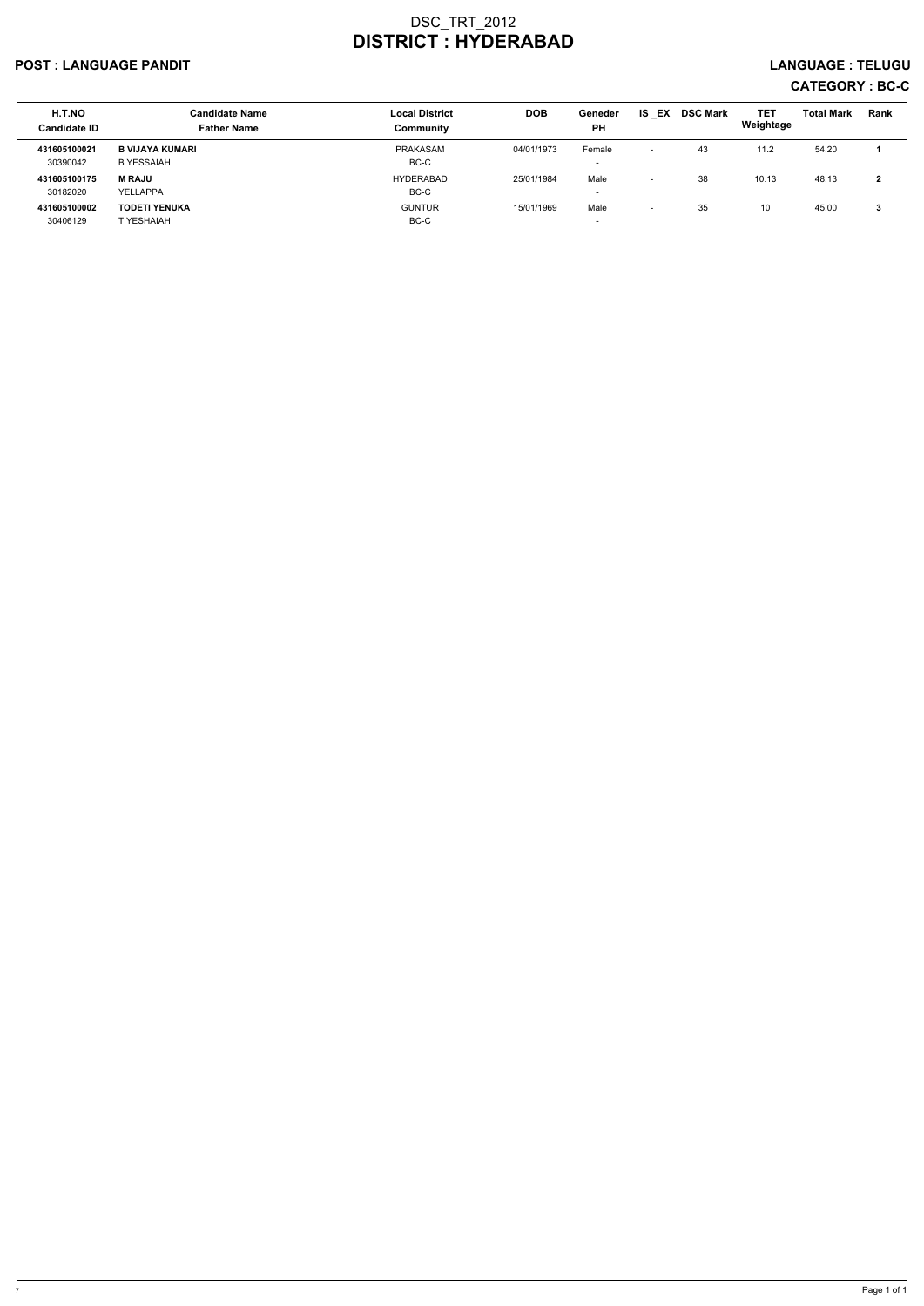## POST : LANGUAGE PANDIT LANGUAGE : TELUGU

# CATEGORY : BC-C

| <b>H.T.NO</b><br><b>Candidate ID</b> | <b>Candidate Name</b><br><b>Father Name</b> | <b>Local District</b><br>Community | <b>DOB</b> | Geneder<br><b>PH</b> | EX<br>IS.                | <b>DSC Mark</b> | <b>TET</b><br>Weightage | <b>Total Mark</b> | <b>Rank</b>  |
|--------------------------------------|---------------------------------------------|------------------------------------|------------|----------------------|--------------------------|-----------------|-------------------------|-------------------|--------------|
| 431605100021<br>30390042             | B VIJAYA KUMARI<br>B YESSAIAH               | <b>PRAKASAM</b><br>BC-C            | 04/01/1973 | Female               | $\overline{\phantom{0}}$ | 43              | 11.2                    | 54.20             |              |
| 431605100175<br>30182020             | <b>M RAJU</b><br>YELLAPPA                   | <b>HYDERABAD</b><br>BC-C           | 25/01/1984 | Male                 | $\overline{\phantom{0}}$ | 38              | 10.13                   | 48.13             | $\mathbf{2}$ |
| 431605100002<br>30406129             | <b>TODETI YENUKA</b><br>T YESHAIAH          | <b>GUNTUR</b><br>BC-C              | 15/01/1969 | Male                 | $\overline{\phantom{0}}$ | 35              | 10                      | 45.00             | 3            |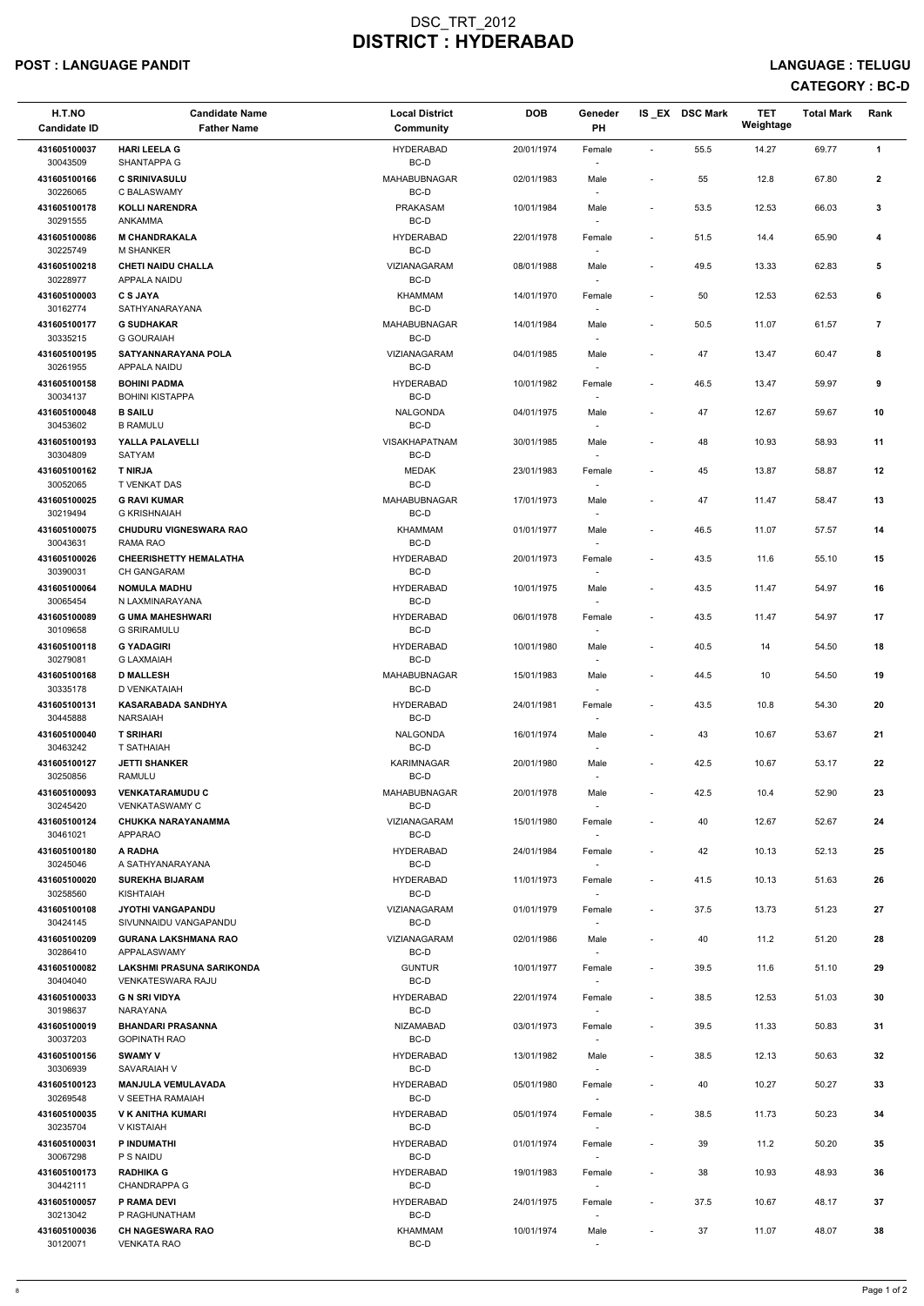# POST : LANGUAGE PANDIT LANGUAGE : TELUGU

# CATEGORY : BC-D

| H.T.NO<br><b>Candidate ID</b> | <b>Candidate Name</b><br><b>Father Name</b>          | <b>Local District</b><br>Community | <b>DOB</b> | Geneder<br>PH                      |                          | IS EX DSC Mark | <b>TET</b><br>Weightage | <b>Total Mark</b> | Rank           |
|-------------------------------|------------------------------------------------------|------------------------------------|------------|------------------------------------|--------------------------|----------------|-------------------------|-------------------|----------------|
| 431605100037<br>30043509      | <b>HARI LEELA G</b><br>SHANTAPPA G                   | <b>HYDERABAD</b><br>BC-D           | 20/01/1974 | Female<br>$\overline{\phantom{a}}$ | $\blacksquare$           | 55.5           | 14.27                   | 69.77             | $\mathbf{1}$   |
| 431605100166<br>30226065      | <b>C SRINIVASULU</b><br>C BALASWAMY                  | MAHABUBNAGAR<br>BC-D               | 02/01/1983 | Male                               | $\overline{\phantom{a}}$ | 55             | 12.8                    | 67.80             | $\mathbf{2}$   |
| 431605100178<br>30291555      | <b>KOLLI NARENDRA</b><br>ANKAMMA                     | <b>PRAKASAM</b><br>BC-D            | 10/01/1984 | Male<br>$\overline{\phantom{a}}$   | $\overline{\phantom{a}}$ | 53.5           | 12.53                   | 66.03             | $\mathbf{3}$   |
| 431605100086<br>30225749      | <b>M CHANDRAKALA</b><br><b>M SHANKER</b>             | <b>HYDERABAD</b><br>BC-D           | 22/01/1978 | Female<br>$\overline{\phantom{a}}$ | $\overline{\phantom{a}}$ | 51.5           | 14.4                    | 65.90             | 4              |
| 431605100218<br>30228977      | <b>CHETI NAIDU CHALLA</b><br>APPALA NAIDU            | <b>VIZIANAGARAM</b><br>BC-D        | 08/01/1988 | Male<br>$\overline{\phantom{a}}$   | $\blacksquare$           | 49.5           | 13.33                   | 62.83             | 5              |
| 431605100003<br>30162774      | <b>C S JAYA</b><br>SATHYANARAYANA                    | KHAMMAM<br>BC-D                    | 14/01/1970 | Female                             | $\overline{\phantom{a}}$ | 50             | 12.53                   | 62.53             | 6              |
| 431605100177<br>30335215      | <b>G SUDHAKAR</b><br><b>G GOURAIAH</b>               | <b>MAHABUBNAGAR</b><br>BC-D        | 14/01/1984 | Male<br>$\sim$                     | $\overline{\phantom{a}}$ | 50.5           | 11.07                   | 61.57             | $\overline{7}$ |
| 431605100195<br>30261955      | SATYANNARAYANA POLA<br>APPALA NAIDU                  | VIZIANAGARAM<br>BC-D               | 04/01/1985 | Male                               | $\overline{\phantom{a}}$ | 47             | 13.47                   | 60.47             | 8              |
| 431605100158                  | <b>BOHINI PADMA</b>                                  | <b>HYDERABAD</b>                   | 10/01/1982 | $\sim$<br>Female                   | $\blacksquare$           | 46.5           | 13.47                   | 59.97             | 9              |
| 30034137<br>431605100048      | <b>BOHINI KISTAPPA</b><br><b>B SAILU</b>             | BC-D<br>NALGONDA                   | 04/01/1975 | $\overline{\phantom{a}}$<br>Male   | $\overline{\phantom{a}}$ | 47             | 12.67                   | 59.67             | $10$           |
| 30453602<br>431605100193      | <b>B RAMULU</b><br>YALLA PALAVELLI                   | BC-D<br><b>VISAKHAPATNAM</b>       | 30/01/1985 | $\sim$<br>Male                     |                          | 48             | 10.93                   | 58.93             | 11             |
| 30304809<br>431605100162      | SATYAM<br><b>T NIRJA</b>                             | BC-D<br><b>MEDAK</b>               | 23/01/1983 | Female                             | $\tilde{\phantom{a}}$    | 45             | 13.87                   | 58.87             | 12             |
| 30052065<br>431605100025      | T VENKAT DAS<br><b>G RAVI KUMAR</b>                  | BC-D<br>MAHABUBNAGAR               | 17/01/1973 | $\overline{\phantom{a}}$<br>Male   | $\overline{\phantom{a}}$ | 47             | 11.47                   | 58.47             | 13             |
| 30219494<br>431605100075      | <b>G KRISHNAIAH</b><br><b>CHUDURU VIGNESWARA RAO</b> | BC-D<br>KHAMMAM                    | 01/01/1977 | $\overline{\phantom{a}}$<br>Male   | $\blacksquare$           | 46.5           | 11.07                   | 57.57             | 14             |
| 30043631<br>431605100026      | <b>RAMA RAO</b><br><b>CHEERISHETTY HEMALATHA</b>     | BC-D<br><b>HYDERABAD</b>           | 20/01/1973 | $\overline{\phantom{a}}$<br>Female | $\overline{\phantom{a}}$ | 43.5           | 11.6                    | 55.10             | 15             |
| 30390031<br>431605100064      | <b>CH GANGARAM</b><br><b>NOMULA MADHU</b>            | BC-D<br><b>HYDERABAD</b>           | 10/01/1975 | Male                               | $\overline{\phantom{a}}$ | 43.5           | 11.47                   | 54.97             | 16             |
| 30065454<br>431605100089      | N LAXMINARAYANA<br><b>G UMA MAHESHWARI</b>           | BC-D<br><b>HYDERABAD</b>           | 06/01/1978 | $\overline{\phantom{a}}$<br>Female | $\overline{\phantom{a}}$ | 43.5           | 11.47                   | 54.97             | 17             |
| 30109658<br>431605100118      | <b>G SRIRAMULU</b><br><b>G YADAGIRI</b>              | BC-D<br><b>HYDERABAD</b>           | 10/01/1980 | $\sim$<br>Male                     | $\blacksquare$           | 40.5           | 14                      | 54.50             | 18             |
| 30279081<br>431605100168      | <b>G LAXMAIAH</b><br><b>D MALLESH</b>                | BC-D<br>MAHABUBNAGAR               | 15/01/1983 | $\overline{\phantom{a}}$<br>Male   | $\overline{\phantom{a}}$ | 44.5           | 10                      | 54.50             | 19             |
| 30335178<br>431605100131      | D VENKATAIAH<br><b>KASARABADA SANDHYA</b>            | BC-D<br><b>HYDERABAD</b>           | 24/01/1981 | $\sim$<br>Female                   | $\sim$                   | 43.5           | 10.8                    | 54.30             | 20             |
| 30445888<br>431605100040      | <b>NARSAIAH</b><br><b>T SRIHARI</b>                  | BC-D<br>NALGONDA                   | 16/01/1974 | $\sim$<br>Male                     | $\overline{\phantom{a}}$ | 43             | 10.67                   | 53.67             | 21             |
| 30463242<br>431605100127      | T SATHAIAH<br><b>JETTI SHANKER</b>                   | BC-D<br><b>KARIMNAGAR</b>          | 20/01/1980 | $\sim$<br>Male                     | $\overline{\phantom{a}}$ | 42.5           | 10.67                   | 53.17             | 22             |
| 30250856<br>431605100093      | RAMULU<br><b>VENKATARAMUDU C</b>                     | BC-D<br>MAHABUBNAGAR               | 20/01/1978 | $\overline{\phantom{a}}$<br>Male   | $\sim$                   | 42.5           | 10.4                    | 52.90             | 23             |
| 30245420<br>431605100124      | <b>VENKATASWAMY C</b><br>CHUKKA NARAYANAMMA          | BC-D<br>VIZIANAGARAM               | 15/01/1980 | $\overline{\phantom{a}}$<br>Female | $\overline{\phantom{a}}$ | 40             | 12.67                   | 52.67             | 24             |
| 30461021<br>431605100180      | <b>APPARAO</b><br>A RADHA                            | BC-D<br><b>HYDERABAD</b>           | 24/01/1984 | $\sim$<br>Female                   | $\overline{\phantom{a}}$ | 42             | 10.13                   | 52.13             | 25             |
| 30245046<br>431605100020      | A SATHYANARAYANA<br><b>SUREKHA BIJARAM</b>           | BC-D<br><b>HYDERABAD</b>           | 11/01/1973 | $\sim$<br>Female                   | $\sim$                   | 41.5           | 10.13                   | 51.63             | 26             |
| 30258560<br>431605100108      | <b>KISHTAIAH</b><br><b>JYOTHI VANGAPANDU</b>         | BC-D<br>VIZIANAGARAM               | 01/01/1979 | $\sim$<br>Female                   | $\blacksquare$           | 37.5           | 13.73                   | 51.23             | 27             |
| 30424145<br>431605100209      | SIVUNNAIDU VANGAPANDU<br><b>GURANA LAKSHMANA RAO</b> | BC-D<br>VIZIANAGARAM               | 02/01/1986 | Male                               | $\overline{\phantom{a}}$ | 40             | 11.2                    | 51.20             | 28             |
| 30286410<br>431605100082      | APPALASWAMY<br>LAKSHMI PRASUNA SARIKONDA             | BC-D<br><b>GUNTUR</b>              | 10/01/1977 | $\sim$                             | $\overline{\phantom{a}}$ | 39.5           | 11.6                    | 51.10             |                |
| 30404040                      | <b>VENKATESWARA RAJU</b>                             | BC-D                               |            | Female<br>$\overline{\phantom{a}}$ |                          |                |                         |                   | 29             |
| 431605100033<br>30198637      | <b>G N SRI VIDYA</b><br><b>NARAYANA</b>              | <b>HYDERABAD</b><br>BC-D           | 22/01/1974 | Female<br>$\sim$                   | $\blacksquare$           | 38.5           | 12.53                   | 51.03             | 30             |
| 431605100019<br>30037203      | <b>BHANDARI PRASANNA</b><br><b>GOPINATH RAO</b>      | NIZAMABAD<br>BC-D                  | 03/01/1973 | Female                             | $\sim$                   | 39.5           | 11.33                   | 50.83             | 31             |
| 431605100156<br>30306939      | <b>SWAMY V</b><br>SAVARAIAH V                        | <b>HYDERABAD</b><br>BC-D           | 13/01/1982 | Male                               | $\sim$                   | 38.5           | 12.13                   | 50.63             | 32             |
| 431605100123<br>30269548      | <b>MANJULA VEMULAVADA</b><br>V SEETHA RAMAIAH        | <b>HYDERABAD</b><br>BC-D           | 05/01/1980 | Female<br>$\sim$                   | $\sim$                   | 40             | 10.27                   | 50.27             | 33             |
| 431605100035<br>30235704      | V K ANITHA KUMARI<br>V KISTAIAH                      | <b>HYDERABAD</b><br>BC-D           | 05/01/1974 | Female<br>$\overline{\phantom{a}}$ | $\overline{\phantom{a}}$ | 38.5           | 11.73                   | 50.23             | 34             |
| 431605100031<br>30067298      | P INDUMATHI<br>P S NAIDU                             | <b>HYDERABAD</b><br>BC-D           | 01/01/1974 | Female<br>$\sim$                   | $\overline{\phantom{a}}$ | 39             | 11.2                    | 50.20             | 35             |
| 431605100173<br>30442111      | <b>RADHIKA G</b><br><b>CHANDRAPPA G</b>              | <b>HYDERABAD</b><br>BC-D           | 19/01/1983 | Female<br>$\overline{\phantom{a}}$ | $\overline{\phantom{a}}$ | 38             | 10.93                   | 48.93             | 36             |
| 431605100057<br>30213042      | P RAMA DEVI<br>P RAGHUNATHAM                         | <b>HYDERABAD</b><br>BC-D           | 24/01/1975 | Female<br>$\sim$                   | $\blacksquare$           | 37.5           | 10.67                   | 48.17             | 37             |
| 431605100036<br>30120071      | <b>CH NAGESWARA RAO</b><br><b>VENKATA RAO</b>        | KHAMMAM<br>BC-D                    | 10/01/1974 | Male<br>$\overline{\phantom{a}}$   |                          | 37             | 11.07                   | 48.07             | ${\bf 38}$     |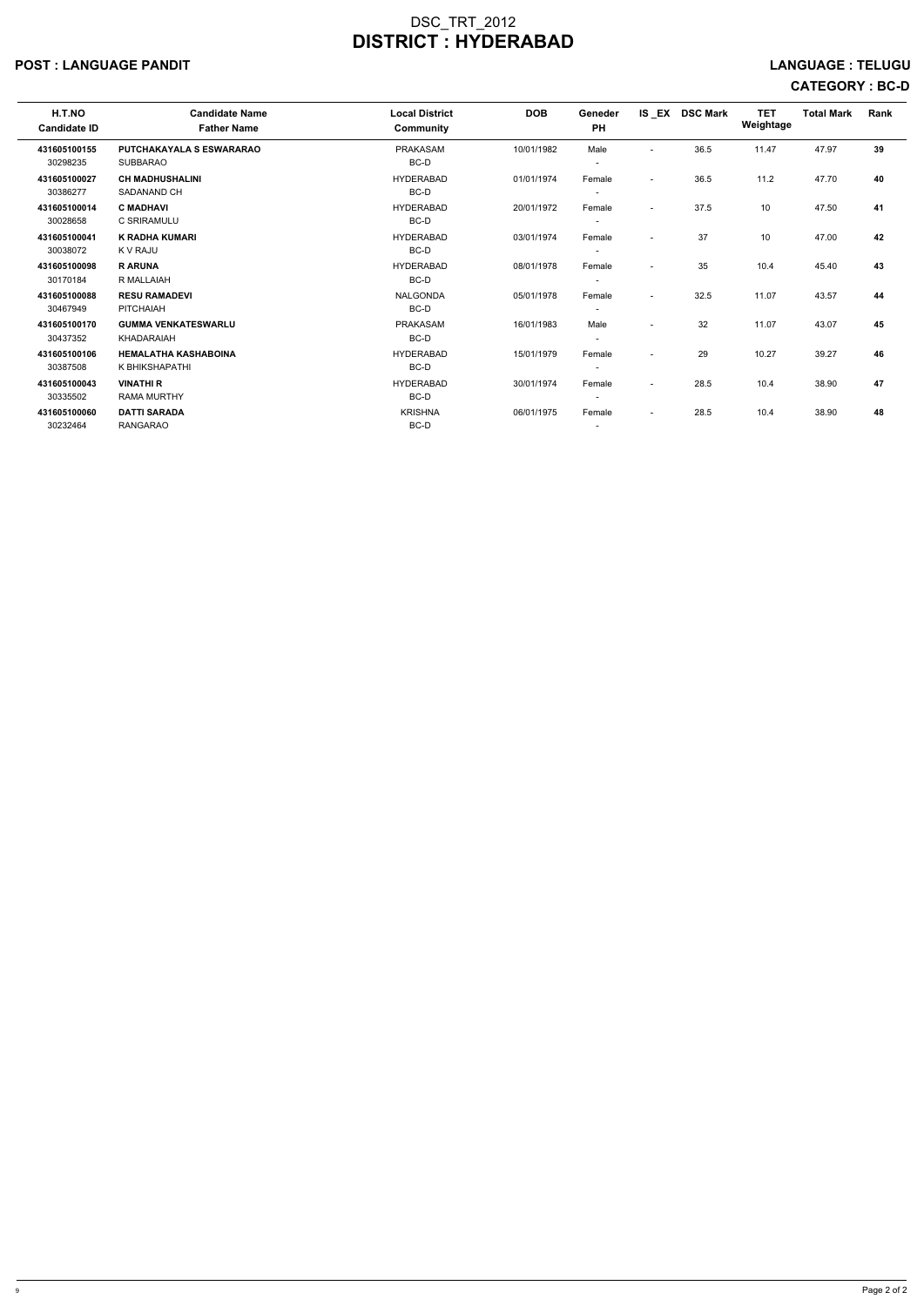#### POST : LANGUAGE PANDIT LANGUAGE : TELUGU

# CATEGORY : BC-D

| H.T.NO              | <b>Candidate Name</b>           | <b>Local District</b> | <b>DOB</b> | Geneder                  |                          | IS EX DSC Mark | <b>TET</b> | <b>Total Mark</b> | Rank |
|---------------------|---------------------------------|-----------------------|------------|--------------------------|--------------------------|----------------|------------|-------------------|------|
| <b>Candidate ID</b> | <b>Father Name</b>              | Community             |            | <b>PH</b>                |                          |                | Weightage  |                   |      |
| 431605100155        | <b>PUTCHAKAYALA S ESWARARAO</b> | <b>PRAKASAM</b>       | 10/01/1982 | Male                     | $\overline{\phantom{a}}$ | 36.5           | 11.47      | 47.97             | 39   |
| 30298235            | <b>SUBBARAO</b>                 | BC-D                  |            | $\overline{\phantom{a}}$ |                          |                |            |                   |      |
| 431605100027        | <b>CH MADHUSHALINI</b>          | <b>HYDERABAD</b>      | 01/01/1974 | Female                   | $\overline{\phantom{a}}$ | 36.5           | 11.2       | 47.70             | 40   |
| 30386277            | SADANAND CH                     | BC-D                  |            | $\overline{\phantom{0}}$ |                          |                |            |                   |      |
| 431605100014        | <b>C MADHAVI</b>                | <b>HYDERABAD</b>      | 20/01/1972 | Female                   | $\overline{\phantom{a}}$ | 37.5           | 10         | 47.50             | 41   |
| 30028658            | C SRIRAMULU                     | BC-D                  |            | $\overline{\phantom{a}}$ |                          |                |            |                   |      |
| 431605100041        | <b>K RADHA KUMARI</b>           | <b>HYDERABAD</b>      | 03/01/1974 | Female                   | $\overline{\phantom{a}}$ | 37             | 10         | 47.00             | 42   |
| 30038072            | K V RAJU                        | BC-D                  |            | $\overline{\phantom{a}}$ |                          |                |            |                   |      |
| 431605100098        | <b>RARUNA</b>                   | <b>HYDERABAD</b>      | 08/01/1978 | Female                   | $\overline{\phantom{0}}$ | 35             | 10.4       | 45.40             | 43   |
| 30170184            | R MALLAIAH                      | BC-D                  |            | $\overline{\phantom{0}}$ |                          |                |            |                   |      |
| 431605100088        | <b>RESU RAMADEVI</b>            | <b>NALGONDA</b>       | 05/01/1978 | Female                   | $\overline{\phantom{a}}$ | 32.5           | 11.07      | 43.57             | 44   |
| 30467949            | PITCHAIAH                       | BC-D                  |            | $\overline{\phantom{a}}$ |                          |                |            |                   |      |
| 431605100170        | <b>GUMMA VENKATESWARLU</b>      | <b>PRAKASAM</b>       | 16/01/1983 | Male                     | $\overline{\phantom{a}}$ | 32             | 11.07      | 43.07             | 45   |
| 30437352            | KHADARAIAH                      | BC-D                  |            | $\overline{\phantom{a}}$ |                          |                |            |                   |      |
| 431605100106        | <b>HEMALATHA KASHABOINA</b>     | <b>HYDERABAD</b>      | 15/01/1979 | Female                   | $\overline{\phantom{a}}$ | 29             | 10.27      | 39.27             | 46   |
| 30387508            | K BHIKSHAPATHI                  | BC-D                  |            | $\overline{\phantom{a}}$ |                          |                |            |                   |      |
| 431605100043        | <b>VINATHI R</b>                | <b>HYDERABAD</b>      | 30/01/1974 | Female                   | $\sim$                   | 28.5           | 10.4       | 38.90             | 47   |
| 30335502            | <b>RAMA MURTHY</b>              | BC-D                  |            | $\overline{\phantom{a}}$ |                          |                |            |                   |      |
| 431605100060        | <b>DATTI SARADA</b>             | <b>KRISHNA</b>        | 06/01/1975 | Female                   | $\overline{\phantom{a}}$ | 28.5           | 10.4       | 38.90             | 48   |
| 30232464            | <b>RANGARAO</b>                 | BC-D                  |            | $\overline{\phantom{a}}$ |                          |                |            |                   |      |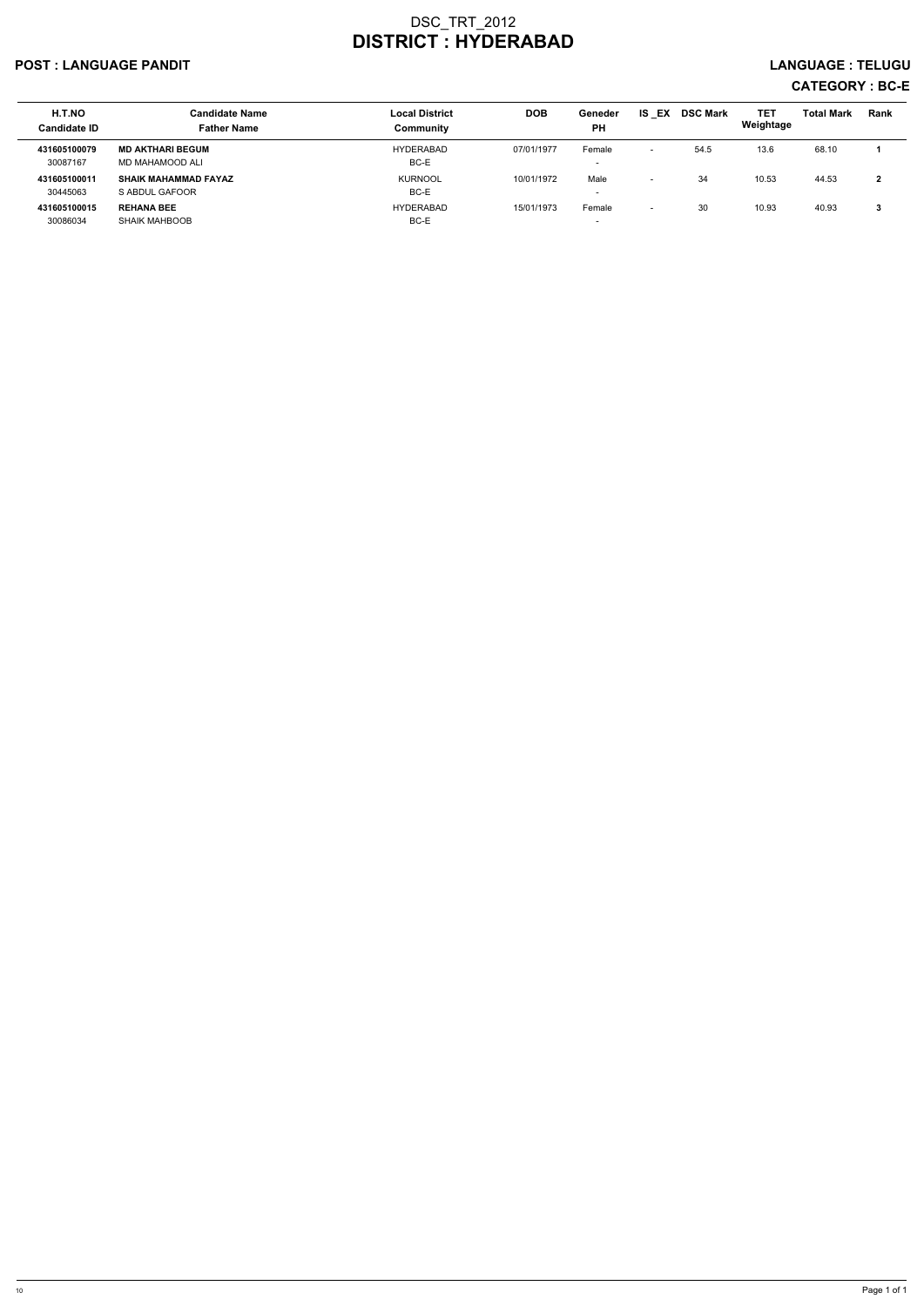## POST : LANGUAGE PANDIT LANGUAGE : TELUGU

# CATEGORY : BC-E

| H.T.NO<br>Candidate ID   | <b>Candidate Name</b><br><b>Father Name</b>   | <b>Local District</b><br>Community | <b>DOB</b> | Geneder<br><b>PH</b>               | <b>IS EX</b>             | <b>DSC Mark</b> | <b>TET</b><br>Weightage | <b>Total Mark</b> | <b>Rank</b>  |
|--------------------------|-----------------------------------------------|------------------------------------|------------|------------------------------------|--------------------------|-----------------|-------------------------|-------------------|--------------|
| 431605100079<br>30087167 | <b>MD AKTHARI BEGUM</b><br>MD MAHAMOOD ALI    | HYDERABAD<br>BC-E                  | 07/01/1977 | Female<br>$\overline{\phantom{0}}$ |                          | 54.5            | 13.6                    | 68.10             |              |
| 431605100011<br>30445063 | <b>SHAIK MAHAMMAD FAYAZ</b><br>S ABDUL GAFOOR | <b>KURNOOL</b><br>BC-E             | 10/01/1972 | Male<br>$\overline{\phantom{a}}$   | $\overline{\phantom{0}}$ | 34              | 10.53                   | 44.53             | $\mathbf{2}$ |
| 431605100015<br>30086034 | <b>REHANA BEE</b><br><b>SHAIK MAHBOOB</b>     | <b>HYDERABAD</b><br>BC-E           | 15/01/1973 | Female<br>$\overline{\phantom{a}}$ | $\sim$                   | 30              | 10.93                   | 40.93             | 3            |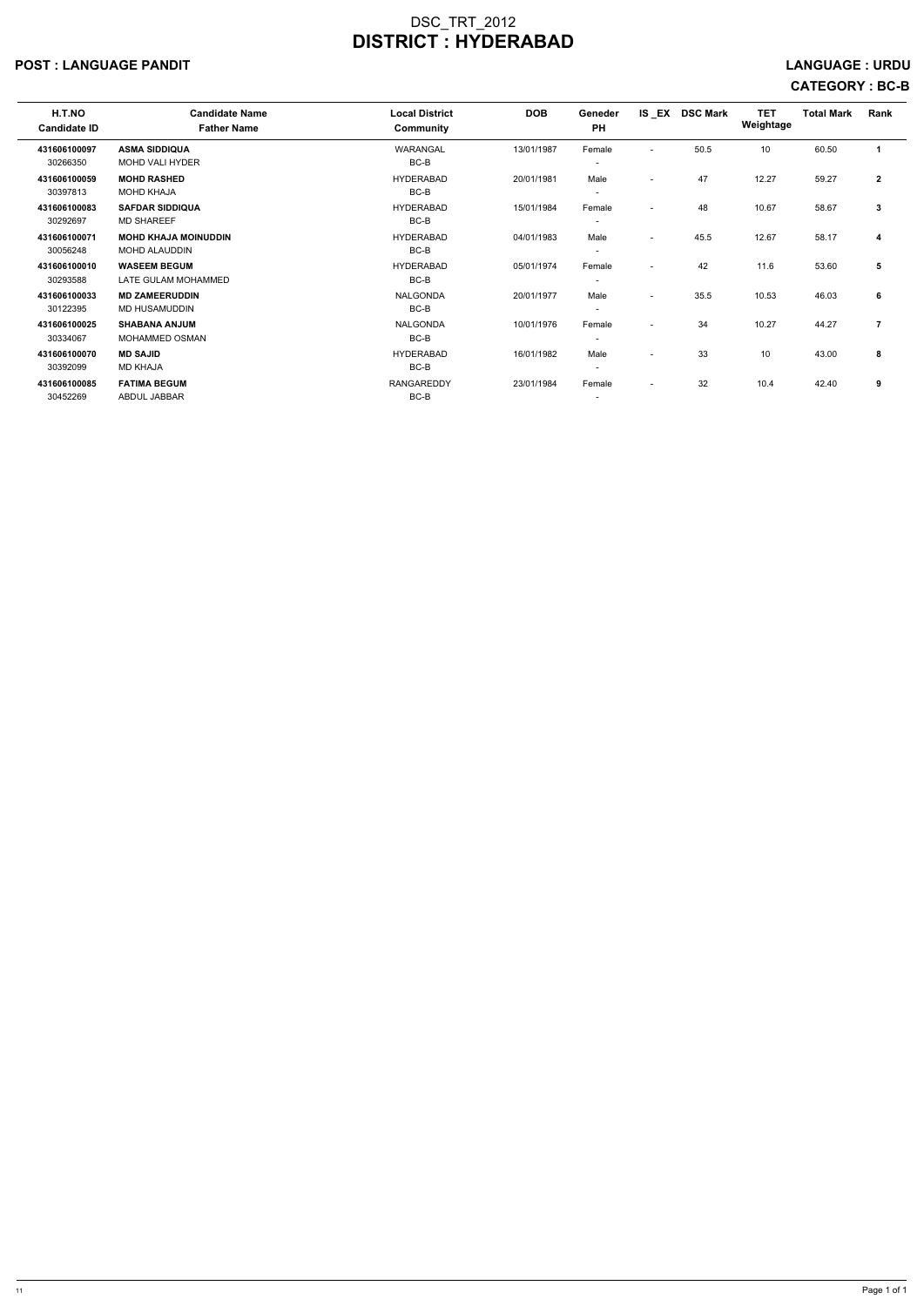### POST : LANGUAGE PANDIT LANGUAGE : URDU

# CATEGORY : BC-B

| H.T.NO<br><b>Candidate ID</b> | <b>Candidate Name</b><br><b>Father Name</b> | <b>Local District</b><br>Community | <b>DOB</b> | Geneder<br><b>PH</b>     |                          | IS_EX DSC Mark | <b>TET</b><br>Weightage | <b>Total Mark</b> | Rank           |
|-------------------------------|---------------------------------------------|------------------------------------|------------|--------------------------|--------------------------|----------------|-------------------------|-------------------|----------------|
| 431606100097                  | <b>ASMA SIDDIQUA</b>                        | WARANGAL                           | 13/01/1987 | Female                   | $\blacksquare$           | 50.5           | 10                      | 60.50             |                |
| 30266350                      | <b>MOHD VALI HYDER</b>                      | BC-B                               |            | $\overline{\phantom{a}}$ |                          |                |                         |                   |                |
| 431606100059                  | <b>MOHD RASHED</b>                          | <b>HYDERABAD</b>                   | 20/01/1981 | Male                     | $\overline{\phantom{a}}$ | 47             | 12.27                   | 59.27             | $\overline{2}$ |
| 30397813                      | <b>MOHD KHAJA</b>                           | BC-B                               |            |                          |                          |                |                         |                   |                |
| 431606100083                  | <b>SAFDAR SIDDIQUA</b>                      | <b>HYDERABAD</b>                   | 15/01/1984 | Female                   | $\overline{\phantom{a}}$ | 48             | 10.67                   | 58.67             | 3              |
| 30292697                      | <b>MD SHAREEF</b>                           | BC-B                               |            |                          |                          |                |                         |                   |                |
| 431606100071                  | <b>MOHD KHAJA MOINUDDIN</b>                 | <b>HYDERABAD</b>                   | 04/01/1983 | Male                     | $\overline{\phantom{0}}$ | 45.5           | 12.67                   | 58.17             | 4              |
| 30056248                      | MOHD ALAUDDIN                               | BC-B                               |            | $\overline{\phantom{a}}$ |                          |                |                         |                   |                |
| 431606100010                  | <b>WASEEM BEGUM</b>                         | <b>HYDERABAD</b>                   | 05/01/1974 | Female                   | $\overline{\phantom{0}}$ | 42             | 11.6                    | 53.60             | 5              |
| 30293588                      | LATE GULAM MOHAMMED                         | BC-B                               |            |                          |                          |                |                         |                   |                |
| 431606100033                  | <b>MD ZAMEERUDDIN</b>                       | NALGONDA                           | 20/01/1977 | Male                     | $\overline{\phantom{a}}$ | 35.5           | 10.53                   | 46.03             | 6              |
| 30122395                      | MD HUSAMUDDIN                               | BC-B                               |            |                          |                          |                |                         |                   |                |
| 431606100025                  | <b>SHABANA ANJUM</b>                        | NALGONDA                           | 10/01/1976 | Female                   | $\overline{\phantom{a}}$ | 34             | 10.27                   | 44.27             | 7              |
| 30334067                      | MOHAMMED OSMAN                              | BC-B                               |            |                          |                          |                |                         |                   |                |
| 431606100070                  | <b>MD SAJID</b>                             | <b>HYDERABAD</b>                   | 16/01/1982 | Male                     | $\overline{\phantom{0}}$ | 33             | 10                      | 43.00             | 8              |
| 30392099                      | <b>MD KHAJA</b>                             | BC-B                               |            |                          |                          |                |                         |                   |                |
| 431606100085                  | <b>FATIMA BEGUM</b>                         | RANGAREDDY                         | 23/01/1984 | Female                   | $\overline{\phantom{a}}$ | 32             | 10.4                    | 42.40             | 9              |
| 30452269                      | <b>ABDUL JABBAR</b>                         | BC-B                               |            |                          |                          |                |                         |                   |                |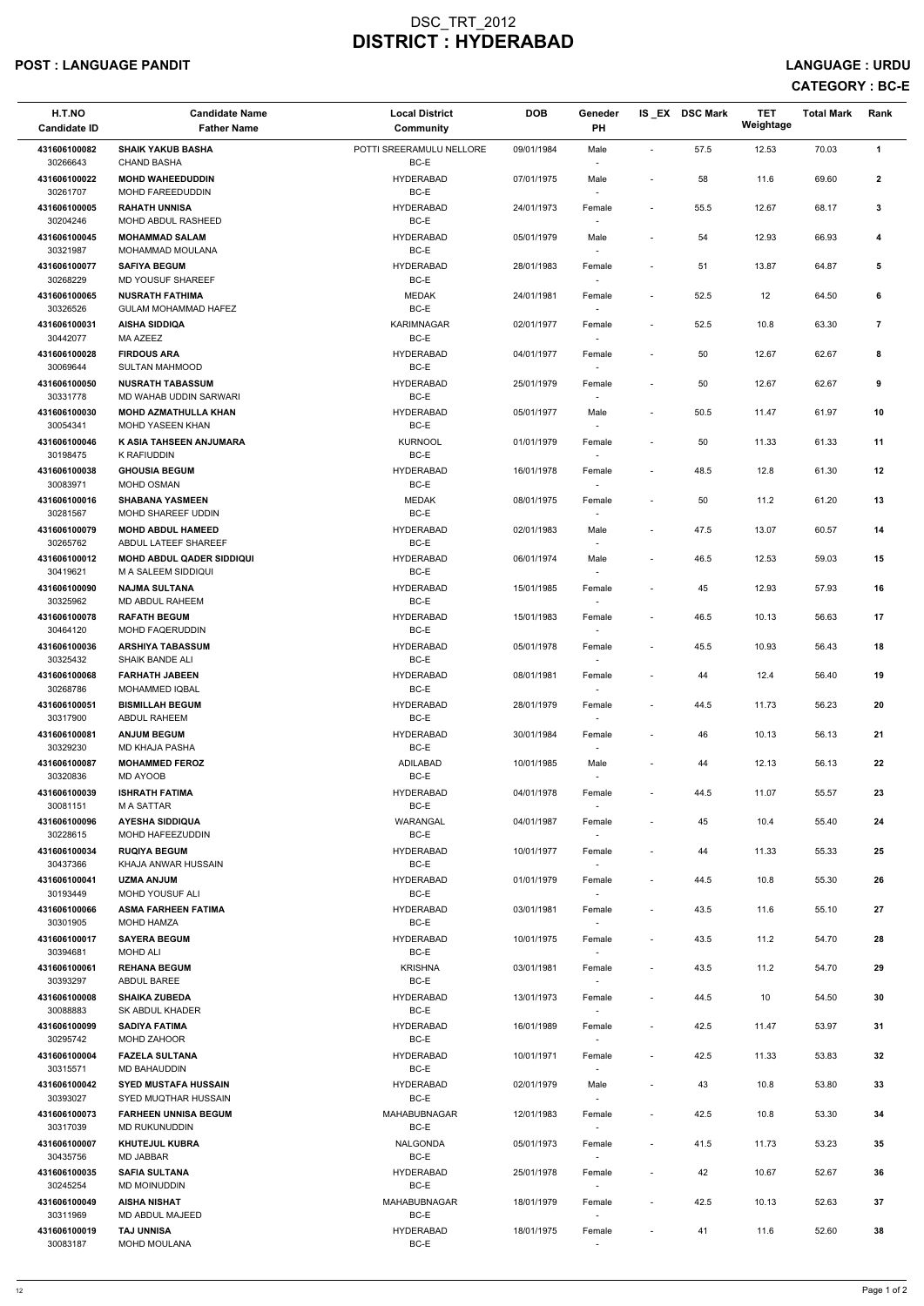## POST : LANGUAGE PANDIT LANGUAGE : URDU

| H.T.NO<br><b>Candidate ID</b>            | <b>Candidate Name</b><br><b>Father Name</b>                                          | <b>Local District</b><br><b>Community</b>    | <b>DOB</b>               | Geneder<br>PH                      |                                            | IS EX DSC Mark | <b>TET</b><br>Weightage | <b>Total Mark</b> | Rank           |
|------------------------------------------|--------------------------------------------------------------------------------------|----------------------------------------------|--------------------------|------------------------------------|--------------------------------------------|----------------|-------------------------|-------------------|----------------|
| 431606100082<br>30266643                 | <b>SHAIK YAKUB BASHA</b><br><b>CHAND BASHA</b>                                       | POTTI SREERAMULU NELLORE<br>BC-E             | 09/01/1984               | Male<br>$\overline{\phantom{a}}$   | $\sim$                                     | 57.5           | 12.53                   | 70.03             | $\mathbf{1}$   |
| 431606100022<br>30261707                 | <b>MOHD WAHEEDUDDIN</b><br><b>MOHD FAREEDUDDIN</b>                                   | <b>HYDERABAD</b><br>BC-E                     | 07/01/1975               | Male<br>$\overline{\phantom{a}}$   | $\overline{\phantom{a}}$                   | 58             | 11.6                    | 69.60             | $\mathbf{2}$   |
| 431606100005<br>30204246                 | <b>RAHATH UNNISA</b><br>MOHD ABDUL RASHEED                                           | <b>HYDERABAD</b><br>BC-E                     | 24/01/1973               | Female<br>$\sim$                   | $\blacksquare$                             | 55.5           | 12.67                   | 68.17             | 3              |
| 431606100045<br>30321987                 | <b>MOHAMMAD SALAM</b><br>MOHAMMAD MOULANA                                            | <b>HYDERABAD</b><br>BC-E                     | 05/01/1979               | Male<br>$\overline{\phantom{a}}$   | $\blacksquare$                             | 54             | 12.93                   | 66.93             | 4              |
| 431606100077<br>30268229                 | <b>SAFIYA BEGUM</b><br>MD YOUSUF SHAREEF                                             | <b>HYDERABAD</b><br>BC-E                     | 28/01/1983               | Female<br>$\overline{\phantom{a}}$ | $\sim$                                     | 51             | 13.87                   | 64.87             | 5              |
| 431606100065<br>30326526                 | <b>NUSRATH FATHIMA</b><br><b>GULAM MOHAMMAD HAFEZ</b>                                | <b>MEDAK</b><br>BC-E                         | 24/01/1981               | Female                             | $\overline{\phantom{a}}$                   | 52.5           | 12                      | 64.50             | 6              |
| 431606100031<br>30442077                 | <b>AISHA SIDDIQA</b><br>MA AZEEZ                                                     | <b>KARIMNAGAR</b><br>BC-E                    | 02/01/1977               | Female<br>$\overline{\phantom{a}}$ | $\blacksquare$                             | 52.5           | 10.8                    | 63.30             | $\overline{7}$ |
| 431606100028<br>30069644                 | <b>FIRDOUS ARA</b><br><b>SULTAN MAHMOOD</b>                                          | <b>HYDERABAD</b><br>BC-E                     | 04/01/1977               | Female<br>$\sim$                   | $\overline{\phantom{a}}$                   | 50             | 12.67                   | 62.67             | 8              |
| 431606100050<br>30331778                 | <b>NUSRATH TABASSUM</b><br>MD WAHAB UDDIN SARWARI                                    | <b>HYDERABAD</b><br>BC-E                     | 25/01/1979               | Female<br>$\sim$                   | $\overline{\phantom{a}}$                   | 50             | 12.67                   | 62.67             | 9              |
| 431606100030<br>30054341                 | <b>MOHD AZMATHULLA KHAN</b><br>MOHD YASEEN KHAN                                      | <b>HYDERABAD</b><br>BC-E                     | 05/01/1977               | Male<br>$\sim$                     | $\overline{\phantom{a}}$                   | 50.5           | 11.47                   | 61.97             | 10             |
| 431606100046<br>30198475                 | K ASIA TAHSEEN ANJUMARA<br>K RAFIUDDIN                                               | <b>KURNOOL</b><br>BC-E                       | 01/01/1979               | Female                             | $\overline{\phantom{a}}$                   | 50             | 11.33                   | 61.33             | 11             |
| 431606100038<br>30083971                 | <b>GHOUSIA BEGUM</b><br><b>MOHD OSMAN</b>                                            | <b>HYDERABAD</b><br>BC-E                     | 16/01/1978               | Female<br>$\sim$                   | $\blacksquare$                             | 48.5           | 12.8                    | 61.30             | 12             |
| 431606100016<br>30281567                 | <b>SHABANA YASMEEN</b><br>MOHD SHAREEF UDDIN                                         | <b>MEDAK</b><br>BC-E                         | 08/01/1975               | Female<br>$\overline{\phantom{a}}$ | $\sim$                                     | 50             | 11.2                    | 61.20             | 13             |
| 431606100079<br>30265762<br>431606100012 | <b>MOHD ABDUL HAMEED</b><br>ABDUL LATEEF SHAREEF<br><b>MOHD ABDUL QADER SIDDIQUI</b> | <b>HYDERABAD</b><br>BC-E<br><b>HYDERABAD</b> | 02/01/1983               | Male<br>$\sim$                     | $\overline{\phantom{a}}$                   | 47.5           | 13.07                   | 60.57             | 14             |
| 30419621                                 | M A SALEEM SIDDIQUI                                                                  | BC-E                                         | 06/01/1974               | Male                               | $\overline{\phantom{a}}$                   | 46.5           | 12.53                   | 59.03             | 15             |
| 431606100090<br>30325962                 | <b>NAJMA SULTANA</b><br>MD ABDUL RAHEEM                                              | <b>HYDERABAD</b><br>BC-E                     | 15/01/1985               | Female<br>$\sim$                   | $\overline{\phantom{a}}$                   | 45             | 12.93                   | 57.93             | 16             |
| 431606100078<br>30464120<br>431606100036 | <b>RAFATH BEGUM</b><br><b>MOHD FAQERUDDIN</b><br><b>ARSHIYA TABASSUM</b>             | <b>HYDERABAD</b><br>BC-E<br><b>HYDERABAD</b> | 15/01/1983               | Female<br>$\overline{\phantom{a}}$ | $\overline{\phantom{a}}$<br>$\blacksquare$ | 46.5<br>45.5   | 10.13<br>10.93          | 56.63<br>56.43    | 17<br>18       |
| 30325432<br>431606100068                 | <b>SHAIK BANDE ALI</b><br><b>FARHATH JABEEN</b>                                      | BC-E<br><b>HYDERABAD</b>                     | 05/01/1978<br>08/01/1981 | Female<br>Female                   | $\overline{\phantom{a}}$                   | 44             | 12.4                    | 56.40             | 19             |
| 30268786<br>431606100051                 | <b>MOHAMMED IQBAL</b><br><b>BISMILLAH BEGUM</b>                                      | BC-E<br><b>HYDERABAD</b>                     | 28/01/1979               | $\sim$<br>Female                   | $\blacksquare$                             | 44.5           | 11.73                   | 56.23             | 20             |
| 30317900<br>431606100081                 | ABDUL RAHEEM<br><b>ANJUM BEGUM</b>                                                   | BC-E<br><b>HYDERABAD</b>                     | 30/01/1984               | $\sim$<br>Female                   | $\sim$                                     | 46             | 10.13                   | 56.13             | 21             |
| 30329230<br>431606100087                 | MD KHAJA PASHA<br><b>MOHAMMED FEROZ</b>                                              | BC-E<br>ADILABAD                             | 10/01/1985               | $\sim$<br>Male                     | $\overline{\phantom{a}}$                   | 44             | 12.13                   | 56.13             | 22             |
| 30320836<br>431606100039                 | MD AYOOB<br><b>ISHRATH FATIMA</b>                                                    | BC-E<br><b>HYDERABAD</b>                     | 04/01/1978               | Female                             | $\overline{\phantom{a}}$                   | 44.5           | 11.07                   | 55.57             | 23             |
| 30081151<br>431606100096                 | M A SATTAR<br><b>AYESHA SIDDIQUA</b>                                                 | BC-E<br>WARANGAL                             | 04/01/1987               | $\sim$<br>Female                   | $\overline{\phantom{a}}$                   | 45             | 10.4                    | 55.40             | 24             |
| 30228615<br>431606100034                 | MOHD HAFEEZUDDIN<br><b>RUQIYA BEGUM</b>                                              | BC-E<br><b>HYDERABAD</b>                     | 10/01/1977               | $\sim$<br>Female                   | $\sim$                                     | 44             | 11.33                   | 55.33             | 25             |
| 30437366<br>431606100041                 | KHAJA ANWAR HUSSAIN<br><b>UZMA ANJUM</b>                                             | BC-E<br><b>HYDERABAD</b>                     | 01/01/1979               | $\sim$<br>Female                   | $\sim$                                     | 44.5           | 10.8                    | 55.30             | 26             |
| 30193449<br>431606100066                 | MOHD YOUSUF ALI<br><b>ASMA FARHEEN FATIMA</b>                                        | BC-E<br><b>HYDERABAD</b>                     | 03/01/1981               | Female                             | $\overline{\phantom{a}}$                   | 43.5           | 11.6                    | 55.10             | 27             |
| 30301905<br>431606100017                 | <b>MOHD HAMZA</b><br><b>SAYERA BEGUM</b>                                             | BC-E<br><b>HYDERABAD</b>                     | 10/01/1975               | Female                             | $\sim$                                     | 43.5           | 11.2                    | 54.70             | 28             |
| 30394681<br>431606100061                 | MOHD ALI<br><b>REHANA BEGUM</b>                                                      | BC-E<br><b>KRISHNA</b>                       | 03/01/1981               | $\sim$<br>Female                   | $\sim$                                     | 43.5           | 11.2                    | 54.70             | 29             |
| 30393297                                 | ABDUL BAREE                                                                          | BC-E                                         |                          | $\sim$                             |                                            |                |                         |                   |                |

| 431606100008 | <b>SHAIKA ZUBEDA</b>        | <b>HYDERABAD</b>    | 13/01/1973 | Female                   |                          | 44.5 | 10    | 54.50 | 30 |
|--------------|-----------------------------|---------------------|------------|--------------------------|--------------------------|------|-------|-------|----|
| 30088883     | SK ABDUL KHADER             | BC-E                |            |                          |                          |      |       |       |    |
| 431606100099 | <b>SADIYA FATIMA</b>        | <b>HYDERABAD</b>    | 16/01/1989 | Female                   | $\overline{\phantom{a}}$ | 42.5 | 11.47 | 53.97 | 31 |
| 30295742     | <b>MOHD ZAHOOR</b>          | BC-E                |            |                          |                          |      |       |       |    |
| 431606100004 | <b>FAZELA SULTANA</b>       | HYDERABAD           | 10/01/1971 | Female                   | $\overline{\phantom{a}}$ | 42.5 | 11.33 | 53.83 | 32 |
| 30315571     | MD BAHAUDDIN                | BC-E                |            |                          |                          |      |       |       |    |
| 431606100042 | <b>SYED MUSTAFA HUSSAIN</b> | <b>HYDERABAD</b>    | 02/01/1979 | Male                     |                          | 43   | 10.8  | 53.80 | 33 |
| 30393027     | SYED MUQTHAR HUSSAIN        | BC-E                |            |                          |                          |      |       |       |    |
| 431606100073 | <b>FARHEEN UNNISA BEGUM</b> | <b>MAHABUBNAGAR</b> | 12/01/1983 | Female                   | ٠                        | 42.5 | 10.8  | 53.30 | 34 |
| 30317039     | MD RUKUNUDDIN               | BC-E                |            |                          |                          |      |       |       |    |
| 431606100007 | <b>KHUTEJUL KUBRA</b>       | NALGONDA            | 05/01/1973 | Female                   | $\overline{\phantom{a}}$ | 41.5 | 11.73 | 53.23 | 35 |
| 30435756     | <b>MD JABBAR</b>            | BC-E                |            |                          |                          |      |       |       |    |
| 431606100035 | <b>SAFIA SULTANA</b>        | <b>HYDERABAD</b>    | 25/01/1978 | Female                   | ٠                        | 42   | 10.67 | 52.67 | 36 |
| 30245254     | MD MOINUDDIN                | BC-E                |            | $\overline{\phantom{a}}$ |                          |      |       |       |    |
| 431606100049 | <b>AISHA NISHAT</b>         | <b>MAHABUBNAGAR</b> | 18/01/1979 | Female                   | $\overline{\phantom{a}}$ | 42.5 | 10.13 | 52.63 | 37 |
| 30311969     | MD ABDUL MAJEED             | BC-E                |            |                          |                          |      |       |       |    |
| 431606100019 | <b>TAJ UNNISA</b>           | <b>HYDERABAD</b>    | 18/01/1975 | Female                   | $\overline{\phantom{0}}$ | 41   | 11.6  | 52.60 | 38 |
| 30083187     | <b>MOHD MOULANA</b>         | BC-E                |            |                          |                          |      |       |       |    |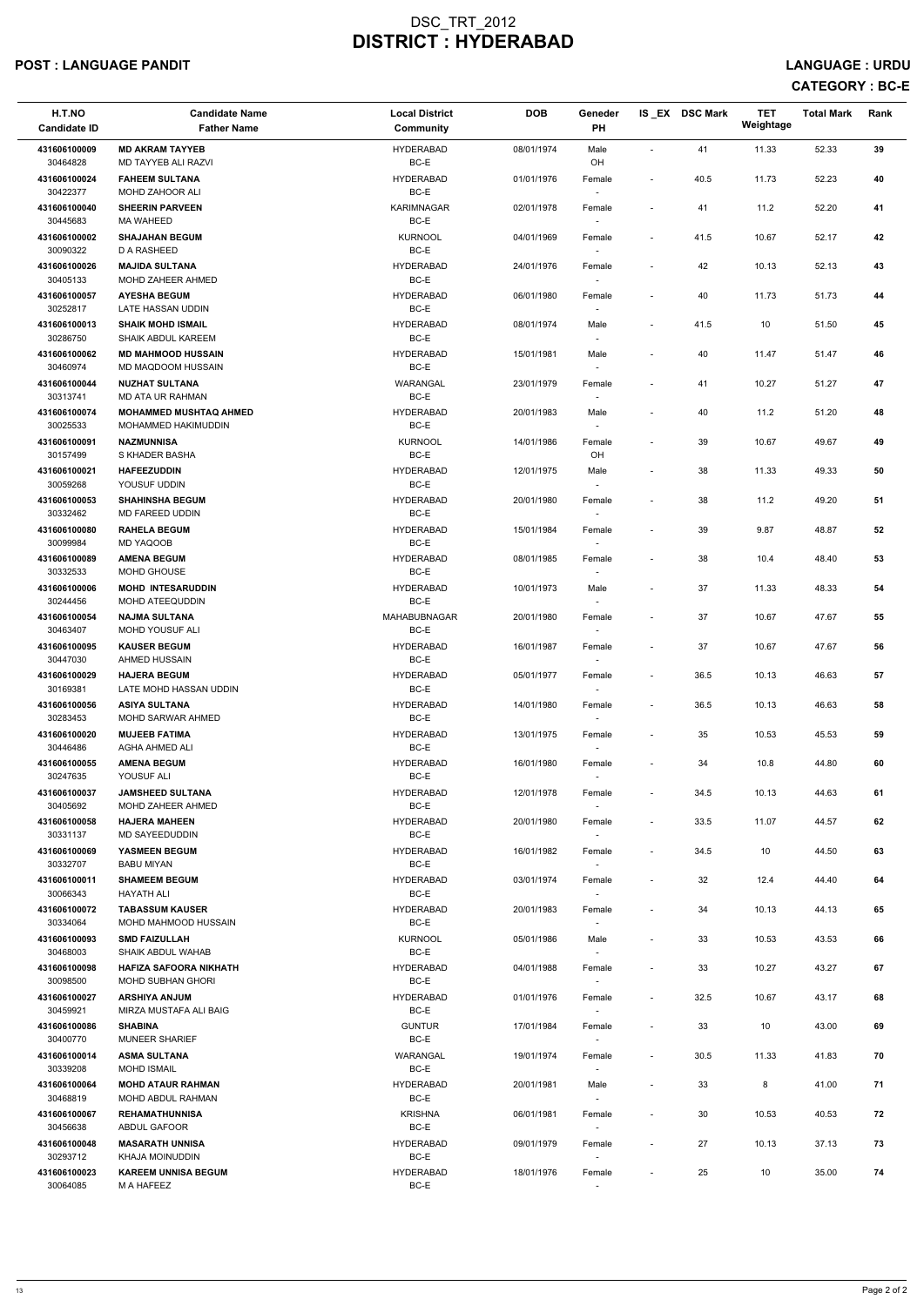# POST : LANGUAGE PANDIT LANGUAGE : URDU

| H.T.NO<br><b>Candidate ID</b> | <b>Candidate Name</b><br><b>Father Name</b>           | <b>Local District</b><br>Community | <b>DOB</b> | Geneder<br><b>PH</b>               |                          | IS EX DSC Mark | <b>TET</b><br>Weightage | <b>Total Mark</b> | Rank |
|-------------------------------|-------------------------------------------------------|------------------------------------|------------|------------------------------------|--------------------------|----------------|-------------------------|-------------------|------|
| 431606100009<br>30464828      | <b>MD AKRAM TAYYEB</b><br>MD TAYYEB ALI RAZVI         | <b>HYDERABAD</b><br>BC-E           | 08/01/1974 | Male<br>OH                         | $\sim$                   | 41             | 11.33                   | 52.33             | 39   |
| 431606100024<br>30422377      | <b>FAHEEM SULTANA</b><br>MOHD ZAHOOR ALI              | <b>HYDERABAD</b><br>BC-E           | 01/01/1976 | Female                             | $\overline{\phantom{a}}$ | 40.5           | 11.73                   | 52.23             | 40   |
| 431606100040<br>30445683      | <b>SHEERIN PARVEEN</b><br><b>MA WAHEED</b>            | <b>KARIMNAGAR</b><br>BC-E          | 02/01/1978 | Female                             | $\overline{\phantom{a}}$ | 41             | 11.2                    | 52.20             | 41   |
| 431606100002<br>30090322      | <b>SHAJAHAN BEGUM</b><br><b>D A RASHEED</b>           | <b>KURNOOL</b><br>BC-E             | 04/01/1969 | Female<br>$\overline{\phantom{a}}$ | $\sim$                   | 41.5           | 10.67                   | 52.17             | 42   |
| 431606100026<br>30405133      | <b>MAJIDA SULTANA</b><br>MOHD ZAHEER AHMED            | <b>HYDERABAD</b><br>BC-E           | 24/01/1976 | Female<br>$\sim$                   | $\blacksquare$           | 42             | 10.13                   | 52.13             | 43   |
| 431606100057<br>30252817      | <b>AYESHA BEGUM</b><br>LATE HASSAN UDDIN              | <b>HYDERABAD</b><br>BC-E           | 06/01/1980 | Female<br>$\sim$                   | $\overline{\phantom{a}}$ | 40             | 11.73                   | 51.73             | 44   |
| 431606100013<br>30286750      | <b>SHAIK MOHD ISMAIL</b><br><b>SHAIK ABDUL KAREEM</b> | <b>HYDERABAD</b><br>BC-E           | 08/01/1974 | Male<br>$\overline{\phantom{a}}$   | $\overline{\phantom{a}}$ | 41.5           | 10                      | 51.50             | 45   |
| 431606100062<br>30460974      | <b>MD MAHMOOD HUSSAIN</b><br>MD MAQDOOM HUSSAIN       | <b>HYDERABAD</b><br>BC-E           | 15/01/1981 | Male<br>$\sim$                     | $\overline{\phantom{a}}$ | 40             | 11.47                   | 51.47             | 46   |
| 431606100044<br>30313741      | <b>NUZHAT SULTANA</b><br>MD ATA UR RAHMAN             | WARANGAL<br>BC-E                   | 23/01/1979 | Female<br>$\overline{\phantom{a}}$ | $\overline{\phantom{a}}$ | 41             | 10.27                   | 51.27             | 47   |
| 431606100074<br>30025533      | <b>MOHAMMED MUSHTAQ AHMED</b><br>MOHAMMED HAKIMUDDIN  | <b>HYDERABAD</b><br>BC-E           | 20/01/1983 | Male<br>$\sim$                     | $\sim$                   | 40             | 11.2                    | 51.20             | 48   |
| 431606100091<br>30157499      | <b>NAZMUNNISA</b><br>S KHADER BASHA                   | <b>KURNOOL</b><br>BC-E             | 14/01/1986 | Female<br>OH                       | $\sim$                   | 39             | 10.67                   | 49.67             | 49   |
| 431606100021<br>30059268      | <b>HAFEEZUDDIN</b><br>YOUSUF UDDIN                    | <b>HYDERABAD</b><br>BC-E           | 12/01/1975 | Male<br>$\sim$                     | $\blacksquare$           | 38             | 11.33                   | 49.33             | 50   |
| 431606100053<br>30332462      | <b>SHAHINSHA BEGUM</b><br>MD FAREED UDDIN             | <b>HYDERABAD</b><br>BC-E           | 20/01/1980 | Female<br>$\sim$                   | $\sim$                   | 38             | 11.2                    | 49.20             | 51   |
| 431606100080<br>30099984      | <b>RAHELA BEGUM</b><br>MD YAQOOB                      | <b>HYDERABAD</b><br>BC-E           | 15/01/1984 | Female<br>$\overline{\phantom{a}}$ | $\overline{\phantom{a}}$ | 39             | 9.87                    | 48.87             | 52   |
| 431606100089<br>30332533      | <b>AMENA BEGUM</b><br>MOHD GHOUSE                     | <b>HYDERABAD</b><br>BC-E           | 08/01/1985 | Female                             | $\blacksquare$           | 38             | 10.4                    | 48.40             | 53   |
| 431606100006<br>30244456      | <b>MOHD INTESARUDDIN</b><br><b>MOHD ATEEQUDDIN</b>    | <b>HYDERABAD</b><br>BC-E           | 10/01/1973 | Male<br>$\sim$                     | $\blacksquare$           | 37             | 11.33                   | 48.33             | 54   |
| 431606100054<br>30463407      | <b>NAJMA SULTANA</b><br>MOHD YOUSUF ALI               | MAHABUBNAGAR<br>BC-E               | 20/01/1980 | Female<br>$\sim$                   | $\overline{\phantom{a}}$ | 37             | 10.67                   | 47.67             | 55   |
| 431606100095<br>30447030      | <b>KAUSER BEGUM</b><br>AHMED HUSSAIN                  | <b>HYDERABAD</b><br>BC-E           | 16/01/1987 | Female                             | $\sim$                   | 37             | 10.67                   | 47.67             | 56   |
| 431606100029<br>30169381      | <b>HAJERA BEGUM</b><br>LATE MOHD HASSAN UDDIN         | <b>HYDERABAD</b><br>BC-E           | 05/01/1977 | Female<br>$\sim$                   | $\blacksquare$           | 36.5           | 10.13                   | 46.63             | 57   |
| 431606100056<br>30283453      | <b>ASIYA SULTANA</b><br><b>MOHD SARWAR AHMED</b>      | <b>HYDERABAD</b><br>BC-E           | 14/01/1980 | Female<br>$\sim$                   | $\overline{\phantom{a}}$ | 36.5           | 10.13                   | 46.63             | 58   |
| 431606100020<br>30446486      | <b>MUJEEB FATIMA</b><br>AGHA AHMED ALI                | <b>HYDERABAD</b><br>BC-E           | 13/01/1975 | Female<br>$\sim$                   | $\blacksquare$           | 35             | 10.53                   | 45.53             | 59   |
| 431606100055<br>30247635      | <b>AMENA BEGUM</b><br>YOUSUF ALI                      | <b>HYDERABAD</b><br>BC-E           | 16/01/1980 | Female                             | $\sim$                   | 34             | 10.8                    | 44.80             | 60   |
| 431606100037<br>30405692      | <b>JAMSHEED SULTANA</b><br>MOHD ZAHEER AHMED          | <b>HYDERABAD</b><br>BC-E           | 12/01/1978 | Female                             | $\overline{\phantom{a}}$ | 34.5           | 10.13                   | 44.63             | 61   |
| 431606100058<br>30331137      | <b>HAJERA MAHEEN</b><br>MD SAYEEDUDDIN                | <b>HYDERABAD</b><br>BC-E           | 20/01/1980 | Female<br>$\sim$                   | $\sim$                   | 33.5           | 11.07                   | 44.57             | 62   |
| 431606100069<br>30332707      | <b>YASMEEN BEGUM</b><br><b>BABU MIYAN</b>             | <b>HYDERABAD</b><br>BC-E           | 16/01/1982 | Female<br>$\sim$                   | $\blacksquare$           | 34.5           | 10                      | 44.50             | 63   |
| 431606100011<br>30066343      | <b>SHAMEEM BEGUM</b><br>HAYATH ALI                    | <b>HYDERABAD</b><br>BC-E           | 03/01/1974 | Female<br>$\sim$                   | $\blacksquare$           | 32             | 12.4                    | 44.40             | 64   |
| 431606100072<br>30334064      | <b>TABASSUM KAUSER</b><br>MOHD MAHMOOD HUSSAIN        | <b>HYDERABAD</b><br>BC-E           | 20/01/1983 | Female                             | $\sim$                   | 34             | 10.13                   | 44.13             | 65   |
| 431606100093<br>30468003      | <b>SMD FAIZULLAH</b><br>SHAIK ABDUL WAHAB             | <b>KURNOOL</b><br>BC-E             | 05/01/1986 | Male<br>$\sim$                     | $\overline{\phantom{a}}$ | 33             | 10.53                   | 43.53             | 66   |
| 431606100098<br>30098500      | HAFIZA SAFOORA NIKHATH<br>MOHD SUBHAN GHORI           | <b>HYDERABAD</b><br>BC-E           | 04/01/1988 | Female<br>$\sim$                   | $\overline{\phantom{a}}$ | 33             | 10.27                   | 43.27             | 67   |

| 431606100027 | <b>ARSHIYA ANJUM</b>       | <b>HYDERABAD</b> | 01/01/1976 | Female | $\overline{\phantom{0}}$ | 32.5 | 10.67 | 43.17 | 68 |
|--------------|----------------------------|------------------|------------|--------|--------------------------|------|-------|-------|----|
| 30459921     | MIRZA MUSTAFA ALI BAIG     | BC-E             |            |        |                          |      |       |       |    |
| 431606100086 | <b>SHABINA</b>             | <b>GUNTUR</b>    | 17/01/1984 | Female | $\overline{\phantom{0}}$ | 33   | 10    | 43.00 | 69 |
| 30400770     | <b>MUNEER SHARIEF</b>      | BC-E             |            |        |                          |      |       |       |    |
| 431606100014 | <b>ASMA SULTANA</b>        | WARANGAL         | 19/01/1974 | Female | $\overline{\phantom{a}}$ | 30.5 | 11.33 | 41.83 | 70 |
| 30339208     | <b>MOHD ISMAIL</b>         | BC-E             |            |        |                          |      |       |       |    |
| 431606100064 | <b>MOHD ATAUR RAHMAN</b>   | <b>HYDERABAD</b> | 20/01/1981 | Male   | $\overline{\phantom{0}}$ | 33   | 8     | 41.00 | 71 |
| 30468819     | MOHD ABDUL RAHMAN          | BC-E             |            |        |                          |      |       |       |    |
| 431606100067 | <b>REHAMATHUNNISA</b>      | <b>KRISHNA</b>   | 06/01/1981 | Female | $\overline{\phantom{a}}$ | 30   | 10.53 | 40.53 | 72 |
| 30456638     | ABDUL GAFOOR               | BC-E             |            |        |                          |      |       |       |    |
| 431606100048 | <b>MASARATH UNNISA</b>     | <b>HYDERABAD</b> | 09/01/1979 | Female | $\overline{\phantom{0}}$ | 27   | 10.13 | 37.13 | 73 |
| 30293712     | KHAJA MOINUDDIN            | BC-E             |            |        |                          |      |       |       |    |
| 431606100023 | <b>KAREEM UNNISA BEGUM</b> | <b>HYDERABAD</b> | 18/01/1976 | Female | $\overline{\phantom{0}}$ | 25   | 10    | 35.00 | 74 |
| 30064085     | M A HAFEEZ                 | BC-E             |            |        |                          |      |       |       |    |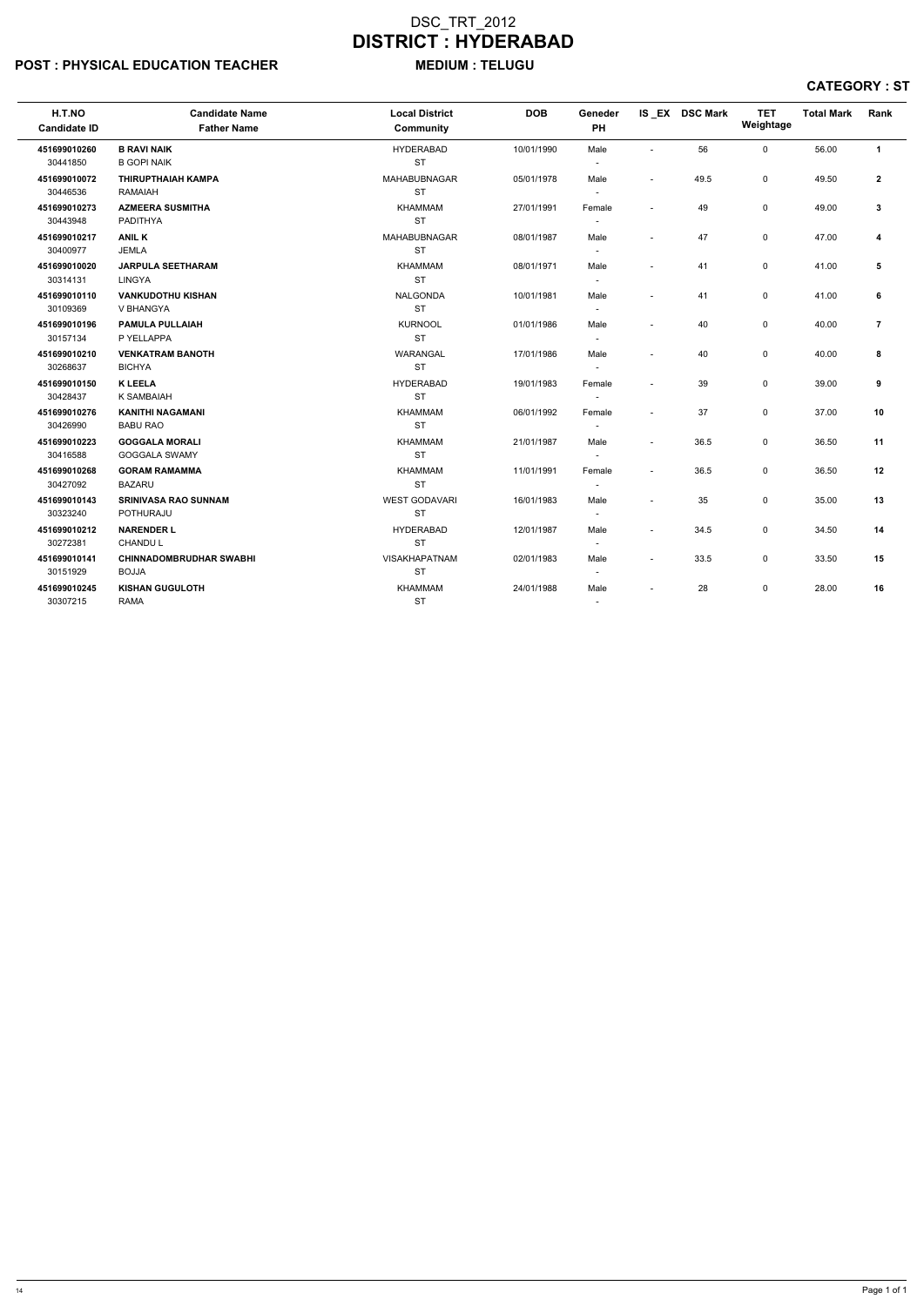# POST : PHYSICAL EDUCATION TEACHER MEDIUM : TELUGU

| H.T.NO<br><b>Candidate ID</b> | <b>Candidate Name</b><br><b>Father Name</b>    | <b>Local District</b><br>Community | <b>DOB</b> | Geneder<br>PH                      |                          | IS EX DSC Mark | <b>TET</b><br>Weightage | <b>Total Mark</b> | Rank           |
|-------------------------------|------------------------------------------------|------------------------------------|------------|------------------------------------|--------------------------|----------------|-------------------------|-------------------|----------------|
| 451699010260<br>30441850      | <b>B RAVI NAIK</b><br><b>B GOPI NAIK</b>       | <b>HYDERABAD</b><br><b>ST</b>      | 10/01/1990 | Male<br>$\blacksquare$             | $\sim$                   | 56             | $\mathbf 0$             | 56.00             | $\mathbf{1}$   |
| 451699010072<br>30446536      | <b>THIRUPTHAIAH KAMPA</b><br>RAMAIAH           | <b>MAHABUBNAGAR</b><br><b>ST</b>   | 05/01/1978 | Male<br>$\overline{\phantom{a}}$   | $\overline{\phantom{a}}$ | 49.5           | $\mathsf{O}$            | 49.50             | $\overline{2}$ |
| 451699010273<br>30443948      | <b>AZMEERA SUSMITHA</b><br>PADITHYA            | <b>KHAMMAM</b><br><b>ST</b>        | 27/01/1991 | Female<br>$\overline{\phantom{a}}$ | L,                       | 49             | $\mathsf{O}$            | 49.00             | $\mathbf{3}$   |
| 451699010217<br>30400977      | <b>ANIL K</b><br><b>JEMLA</b>                  | MAHABUBNAGAR<br><b>ST</b>          | 08/01/1987 | Male<br>$\blacksquare$             | $\overline{\phantom{a}}$ | 47             | $\mathsf{O}$            | 47.00             | 4              |
| 451699010020<br>30314131      | <b>JARPULA SEETHARAM</b><br><b>LINGYA</b>      | <b>KHAMMAM</b><br><b>ST</b>        | 08/01/1971 | Male<br>$\blacksquare$             | $\overline{a}$           | 41             | 0                       | 41.00             | 5              |
| 451699010110<br>30109369      | <b>VANKUDOTHU KISHAN</b><br>V BHANGYA          | <b>NALGONDA</b><br><b>ST</b>       | 10/01/1981 | Male<br>$\overline{\phantom{a}}$   | $\overline{\phantom{a}}$ | 41             | 0                       | 41.00             | 6              |
| 451699010196<br>30157134      | <b>PAMULA PULLAIAH</b><br>P YELLAPPA           | <b>KURNOOL</b><br><b>ST</b>        | 01/01/1986 | Male<br>$\overline{\phantom{a}}$   | $\overline{\phantom{a}}$ | 40             | $\mathbf 0$             | 40.00             | $\overline{7}$ |
| 451699010210<br>30268637      | <b>VENKATRAM BANOTH</b><br><b>BICHYA</b>       | <b>WARANGAL</b><br><b>ST</b>       | 17/01/1986 | Male<br>$\blacksquare$             | ÷,                       | 40             | $\mathsf{O}$            | 40.00             | 8              |
| 451699010150<br>30428437      | <b>K LEELA</b><br><b>K SAMBAIAH</b>            | <b>HYDERABAD</b><br><b>ST</b>      | 19/01/1983 | Female<br>$\overline{\phantom{a}}$ | $\overline{a}$           | 39             | $\mathsf{O}$            | 39.00             | 9              |
| 451699010276<br>30426990      | <b>KANITHI NAGAMANI</b><br><b>BABU RAO</b>     | KHAMMAM<br><b>ST</b>               | 06/01/1992 | Female<br>$\overline{\phantom{a}}$ | ÷,                       | 37             | $\mathsf{O}$            | 37.00             | 10             |
| 451699010223<br>30416588      | <b>GOGGALA MORALI</b><br>GOGGALA SWAMY         | KHAMMAM<br><b>ST</b>               | 21/01/1987 | Male<br>$\blacksquare$             | $\overline{a}$           | 36.5           | $\mathsf{O}$            | 36.50             | 11             |
| 451699010268<br>30427092      | <b>GORAM RAMAMMA</b><br><b>BAZARU</b>          | <b>KHAMMAM</b><br><b>ST</b>        | 11/01/1991 | Female<br>$\overline{\phantom{a}}$ | $\sim$                   | 36.5           | $\mathbf 0$             | 36.50             | 12             |
| 451699010143<br>30323240      | <b>SRINIVASA RAO SUNNAM</b><br>POTHURAJU       | <b>WEST GODAVARI</b><br><b>ST</b>  | 16/01/1983 | Male<br>$\overline{\phantom{a}}$   | $\overline{a}$           | 35             | $\mathbf 0$             | 35.00             | 13             |
| 451699010212<br>30272381      | <b>NARENDER L</b><br><b>CHANDUL</b>            | <b>HYDERABAD</b><br><b>ST</b>      | 12/01/1987 | Male<br>$\overline{\phantom{a}}$   | $\tilde{\phantom{a}}$    | 34.5           | 0                       | 34.50             | 14             |
| 451699010141<br>30151929      | <b>CHINNADOMBRUDHAR SWABHI</b><br><b>BOJJA</b> | VISAKHAPATNAM<br><b>ST</b>         | 02/01/1983 | Male<br>$\overline{\phantom{a}}$   | $\overline{\phantom{a}}$ | 33.5           | 0                       | 33.50             | 15             |
| 451699010245<br>30307215      | <b>KISHAN GUGULOTH</b><br><b>RAMA</b>          | <b>KHAMMAM</b><br><b>ST</b>        | 24/01/1988 | Male<br>$\overline{\phantom{a}}$   |                          | 28             | 0                       | 28.00             | 16             |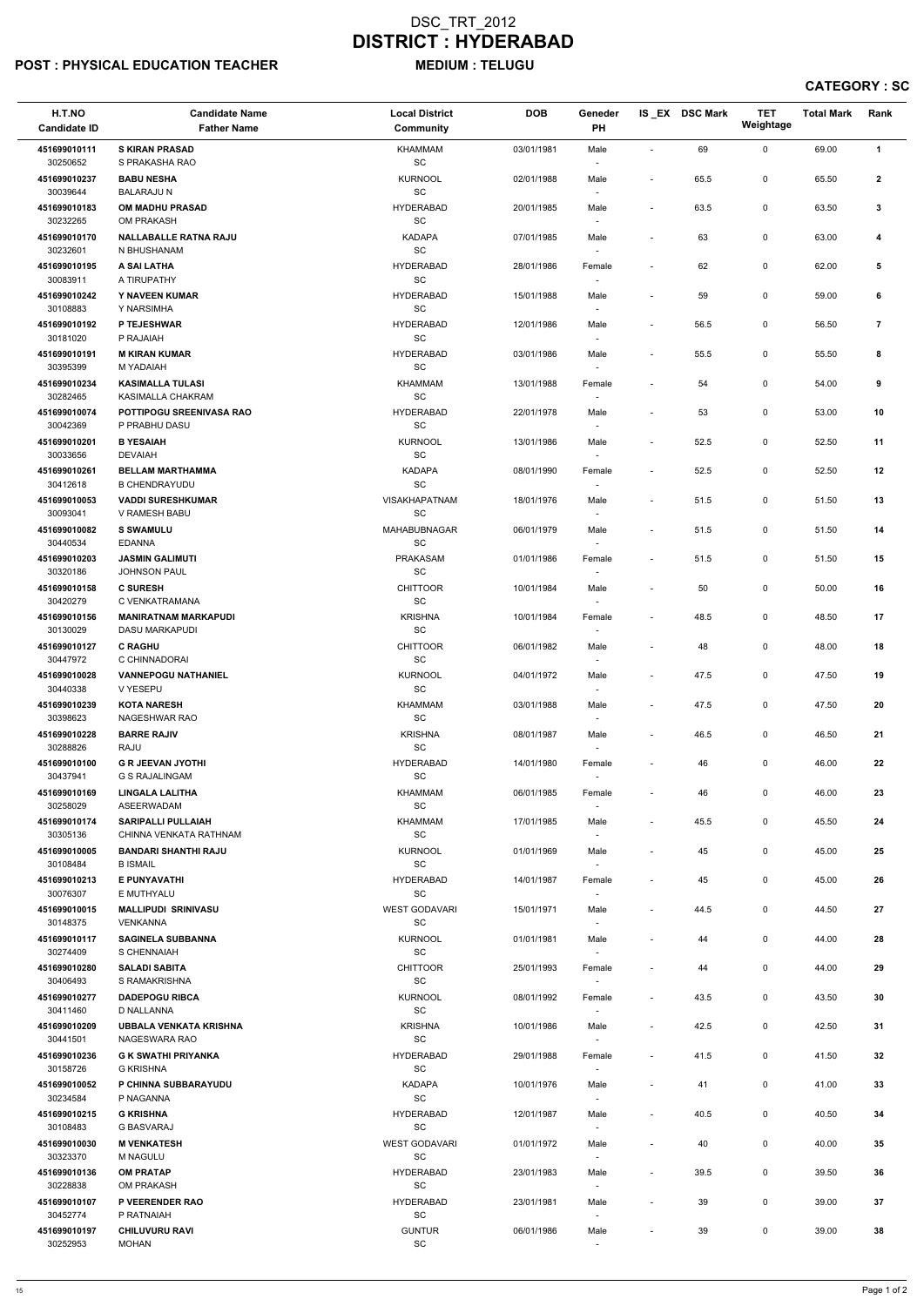# POST : PHYSICAL EDUCATION TEACHER MEDIUM : TELUGU

| H.T.NO<br><b>Candidate ID</b> | <b>Candidate Name</b><br><b>Father Name</b>         | <b>Local District</b><br>Community                   | <b>DOB</b> | Geneder<br>PH                      |                          | IS_EX DSC Mark | <b>TET</b><br>Weightage | <b>Total Mark</b> | Rank           |  |
|-------------------------------|-----------------------------------------------------|------------------------------------------------------|------------|------------------------------------|--------------------------|----------------|-------------------------|-------------------|----------------|--|
| 451699010111                  | <b>S KIRAN PRASAD</b>                               | <b>KHAMMAM</b>                                       | 03/01/1981 | Male                               | $\blacksquare$           | 69             | 0                       | 69.00             | $\mathbf{1}$   |  |
| 30250652<br>451699010237      | S PRAKASHA RAO<br><b>BABU NESHA</b>                 | $\operatorname{\textsf{SC}}$<br><b>KURNOOL</b>       | 02/01/1988 | $\overline{\phantom{a}}$<br>Male   | ÷,                       | 65.5           | 0                       | 65.50             | $\mathbf{2}$   |  |
| 30039644                      | <b>BALARAJU N</b>                                   | $\operatorname{\textsf{SC}}$                         |            |                                    |                          |                |                         |                   |                |  |
| 451699010183<br>30232265      | OM MADHU PRASAD<br>OM PRAKASH                       | <b>HYDERABAD</b><br>$\operatorname{\textsf{SC}}$     | 20/01/1985 | Male                               | $\overline{\phantom{a}}$ | 63.5           | 0                       | 63.50             | 3              |  |
| 451699010170                  | <b>NALLABALLE RATNA RAJU</b>                        | <b>KADAPA</b>                                        | 07/01/1985 | Male                               | $\blacksquare$           | 63             | 0                       | 63.00             | 4              |  |
| 30232601<br>451699010195      | N BHUSHANAM<br>A SAI LATHA                          | $\operatorname{\textsf{SC}}$<br><b>HYDERABAD</b>     | 28/01/1986 | $\overline{\phantom{a}}$<br>Female | ÷,                       | 62             | 0                       | 62.00             | 5              |  |
| 30083911                      | A TIRUPATHY                                         | SC                                                   |            | $\overline{\phantom{a}}$           |                          |                |                         |                   |                |  |
| 451699010242<br>30108883      | Y NAVEEN KUMAR<br>Y NARSIMHA                        | <b>HYDERABAD</b><br>$\operatorname{\textsf{SC}}$     | 15/01/1988 | Male<br>$\overline{\phantom{a}}$   | $\overline{a}$           | 59             | 0                       | 59.00             | 6              |  |
| 451699010192<br>30181020      | P TEJESHWAR<br>P RAJAIAH                            | <b>HYDERABAD</b><br>SC                               | 12/01/1986 | Male                               | $\overline{\phantom{a}}$ | 56.5           | 0                       | 56.50             | $\overline{7}$ |  |
| 451699010191                  | <b>M KIRAN KUMAR</b>                                | <b>HYDERABAD</b>                                     | 03/01/1986 | Male                               | $\overline{\phantom{a}}$ | 55.5           | 0                       | 55.50             | 8              |  |
| 30395399<br>451699010234      | M YADAIAH<br><b>KASIMALLA TULASI</b>                | $\operatorname{\textsf{SC}}$<br><b>KHAMMAM</b>       | 13/01/1988 | $\overline{\phantom{a}}$<br>Female | ÷,                       | 54             | 0                       | 54.00             | 9              |  |
| 30282465<br>451699010074      | KASIMALLA CHAKRAM<br>POTTIPOGU SREENIVASA RAO       | SC<br><b>HYDERABAD</b>                               | 22/01/1978 | $\overline{\phantom{a}}$<br>Male   | $\overline{\phantom{a}}$ | 53             | 0                       | 53.00             | 10             |  |
| 30042369                      | P PRABHU DASU                                       | SC                                                   |            | $\sim$                             |                          |                |                         |                   |                |  |
| 451699010201<br>30033656      | <b>B YESAIAH</b><br><b>DEVAIAH</b>                  | <b>KURNOOL</b><br>$\operatorname{\textsf{SC}}$       | 13/01/1986 | Male                               | ÷,                       | 52.5           | 0                       | 52.50             | 11             |  |
| 451699010261                  | <b>BELLAM MARTHAMMA</b>                             | <b>KADAPA</b>                                        | 08/01/1990 | Female                             | $\overline{a}$           | 52.5           | 0                       | 52.50             | 12             |  |
| 30412618<br>451699010053      | <b>B CHENDRAYUDU</b><br><b>VADDI SURESHKUMAR</b>    | SC<br><b>VISAKHAPATNAM</b>                           | 18/01/1976 | $\overline{\phantom{a}}$<br>Male   |                          | 51.5           | 0                       | 51.50             | 13             |  |
| 30093041                      | V RAMESH BABU                                       | $\operatorname{\textsf{SC}}$                         |            | $\overline{\phantom{a}}$           |                          |                |                         |                   |                |  |
| 451699010082<br>30440534      | <b>S SWAMULU</b><br><b>EDANNA</b>                   | MAHABUBNAGAR<br>SC                                   | 06/01/1979 | Male<br>$\overline{\phantom{a}}$   | $\overline{\phantom{a}}$ | 51.5           | 0                       | 51.50             | 14             |  |
| 451699010203<br>30320186      | <b>JASMIN GALIMUTI</b><br>JOHNSON PAUL              | <b>PRAKASAM</b><br>$\operatorname{\textsf{SC}}$      | 01/01/1986 | Female                             | $\overline{\phantom{a}}$ | 51.5           | 0                       | 51.50             | 15             |  |
| 451699010158                  | <b>C SURESH</b>                                     | <b>CHITTOOR</b>                                      | 10/01/1984 | Male                               | $\overline{\phantom{a}}$ | 50             | 0                       | 50.00             | 16             |  |
| 30420279<br>451699010156      | C VENKATRAMANA<br><b>MANIRATNAM MARKAPUDI</b>       | SC<br><b>KRISHNA</b>                                 | 10/01/1984 | $\overline{\phantom{a}}$<br>Female | $\overline{a}$           | 48.5           | 0                       | 48.50             | 17             |  |
| 30130029<br>451699010127      | <b>DASU MARKAPUDI</b><br><b>C RAGHU</b>             | $\operatorname{\textsf{SC}}$<br><b>CHITTOOR</b>      | 06/01/1982 | $\overline{\phantom{a}}$           |                          | 48             | 0                       | 48.00             | 18             |  |
| 30447972                      | C CHINNADORAI                                       | SC                                                   |            | Male                               | $\overline{\phantom{a}}$ |                |                         |                   |                |  |
| 451699010028<br>30440338      | <b>VANNEPOGU NATHANIEL</b><br>V YESEPU              | <b>KURNOOL</b><br>SC                                 | 04/01/1972 | Male<br>$\sim$                     | $\overline{\phantom{a}}$ | 47.5           | 0                       | 47.50             | 19             |  |
| 451699010239<br>30398623      | <b>KOTA NARESH</b><br><b>NAGESHWAR RAO</b>          | <b>KHAMMAM</b><br>SC                                 | 03/01/1988 | Male                               | $\blacksquare$           | 47.5           | 0                       | 47.50             | 20             |  |
| 451699010228                  | <b>BARRE RAJIV</b>                                  | <b>KRISHNA</b>                                       | 08/01/1987 | $\overline{\phantom{a}}$<br>Male   | $\blacksquare$           | 46.5           | 0                       | 46.50             | 21             |  |
| 30288826<br>451699010100      | RAJU<br><b>G R JEEVAN JYOTHI</b>                    | SC<br><b>HYDERABAD</b>                               | 14/01/1980 | $\overline{\phantom{a}}$<br>Female |                          | 46             | 0                       | 46.00             | 22             |  |
| 30437941                      | G S RAJALINGAM                                      | $\operatorname{\textsf{SC}}$                         |            |                                    |                          |                |                         |                   |                |  |
| 451699010169<br>30258029      | <b>LINGALA LALITHA</b><br><b>ASEERWADAM</b>         | <b>KHAMMAM</b><br>SC                                 | 06/01/1985 | Female                             | $\overline{\phantom{a}}$ | 46             | 0                       | 46.00             | 23             |  |
| 451699010174<br>30305136      | <b>SARIPALLI PULLAIAH</b><br>CHINNA VENKATA RATHNAM | <b>KHAMMAM</b><br>SC                                 | 17/01/1985 | Male<br>$\overline{\phantom{a}}$   | $\overline{\phantom{a}}$ | 45.5           | 0                       | 45.50             | 24             |  |
| 451699010005                  | <b>BANDARI SHANTHI RAJU</b>                         | <b>KURNOOL</b>                                       | 01/01/1969 | Male                               | $\overline{\phantom{a}}$ | 45             | 0                       | 45.00             | 25             |  |
| 30108484<br>451699010213      | <b>B ISMAIL</b><br>E PUNYAVATHI                     | <b>SC</b><br><b>HYDERABAD</b>                        | 14/01/1987 | $\overline{\phantom{a}}$<br>Female | $\overline{\phantom{a}}$ | 45             | 0                       | 45.00             | 26             |  |
| 30076307                      | E MUTHYALU                                          | SC                                                   |            | $\overline{\phantom{a}}$           |                          |                |                         |                   |                |  |
| 451699010015<br>30148375      | <b>MALLIPUDI SRINIVASU</b><br><b>VENKANNA</b>       | <b>WEST GODAVARI</b><br>SC                           | 15/01/1971 | Male                               | $\overline{a}$           | 44.5           | 0                       | 44.50             | 27             |  |
| 451699010117<br>30274409      | <b>SAGINELA SUBBANNA</b><br>S CHENNAIAH             | <b>KURNOOL</b><br>SC                                 | 01/01/1981 | Male<br>$\overline{\phantom{a}}$   | $\overline{a}$           | 44             | 0                       | 44.00             | 28             |  |
| 451699010280                  | <b>SALADI SABITA</b>                                | <b>CHITTOOR</b>                                      | 25/01/1993 | Female                             |                          | 44             | 0                       | 44.00             | 29             |  |
| 30406493<br>451699010277      | S RAMAKRISHNA<br><b>DADEPOGU RIBCA</b>              | SC<br><b>KURNOOL</b>                                 | 08/01/1992 | $\overline{\phantom{a}}$<br>Female | $\overline{\phantom{a}}$ | 43.5           | 0                       | 43.50             | 30             |  |
| 30411460                      | D NALLANNA                                          | <b>SC</b>                                            |            | $\overline{\phantom{a}}$           |                          |                |                         |                   |                |  |
| 451699010209<br>30441501      | <b>UBBALA VENKATA KRISHNA</b><br>NAGESWARA RAO      | <b>KRISHNA</b><br>SC                                 | 10/01/1986 | Male                               | $\overline{\phantom{a}}$ | 42.5           | 0                       | 42.50             | 31             |  |
| 451699010236<br>30158726      | <b>G K SWATHI PRIYANKA</b><br><b>G KRISHNA</b>      | <b>HYDERABAD</b><br>SC                               | 29/01/1988 | Female                             | $\overline{\phantom{a}}$ | 41.5           | 0                       | 41.50             | 32             |  |
| 451699010052                  | P CHINNA SUBBARAYUDU                                | KADAPA                                               | 10/01/1976 | Male                               | $\overline{\phantom{a}}$ | 41             | 0                       | 41.00             | 33             |  |
| 30234584<br>451699010215      | P NAGANNA<br><b>G KRISHNA</b>                       | SC<br><b>HYDERABAD</b>                               | 12/01/1987 | $\overline{\phantom{a}}$<br>Male   | $\overline{\phantom{a}}$ | 40.5           | 0                       | 40.50             | 34             |  |
| 30108483                      | <b>G BASVARAJ</b>                                   | SC                                                   |            | $\overline{\phantom{a}}$           |                          |                |                         |                   |                |  |
| 451699010030<br>30323370      | <b>M VENKATESH</b><br><b>M NAGULU</b>               | <b>WEST GODAVARI</b><br>$\operatorname{\textsf{SC}}$ | 01/01/1972 | Male<br>$\overline{\phantom{a}}$   | $\overline{\phantom{a}}$ | 40             | 0                       | 40.00             | 35             |  |
| 451699010136<br>30228838      | <b>OM PRATAP</b><br>OM PRAKASH                      | <b>HYDERABAD</b><br>$\operatorname{\textsf{SC}}$     | 23/01/1983 | Male<br>$\sim$                     | $\overline{\phantom{a}}$ | 39.5           | 0                       | 39.50             | 36             |  |
| 451699010107                  | P VEERENDER RAO                                     | <b>HYDERABAD</b>                                     | 23/01/1981 | Male                               | $\overline{a}$           | 39             | 0                       | 39.00             | 37             |  |
| 30452774<br>451699010197      | P RATNAIAH<br><b>CHILUVURU RAVI</b>                 | SC<br><b>GUNTUR</b>                                  | 06/01/1986 | $\sim$<br>Male                     |                          | 39             | 0                       | 39.00             | 38             |  |
| 30252953                      | MOHAN                                               | $\operatorname{\textsf{SC}}$                         |            | $\overline{\phantom{a}}$           |                          |                |                         |                   |                |  |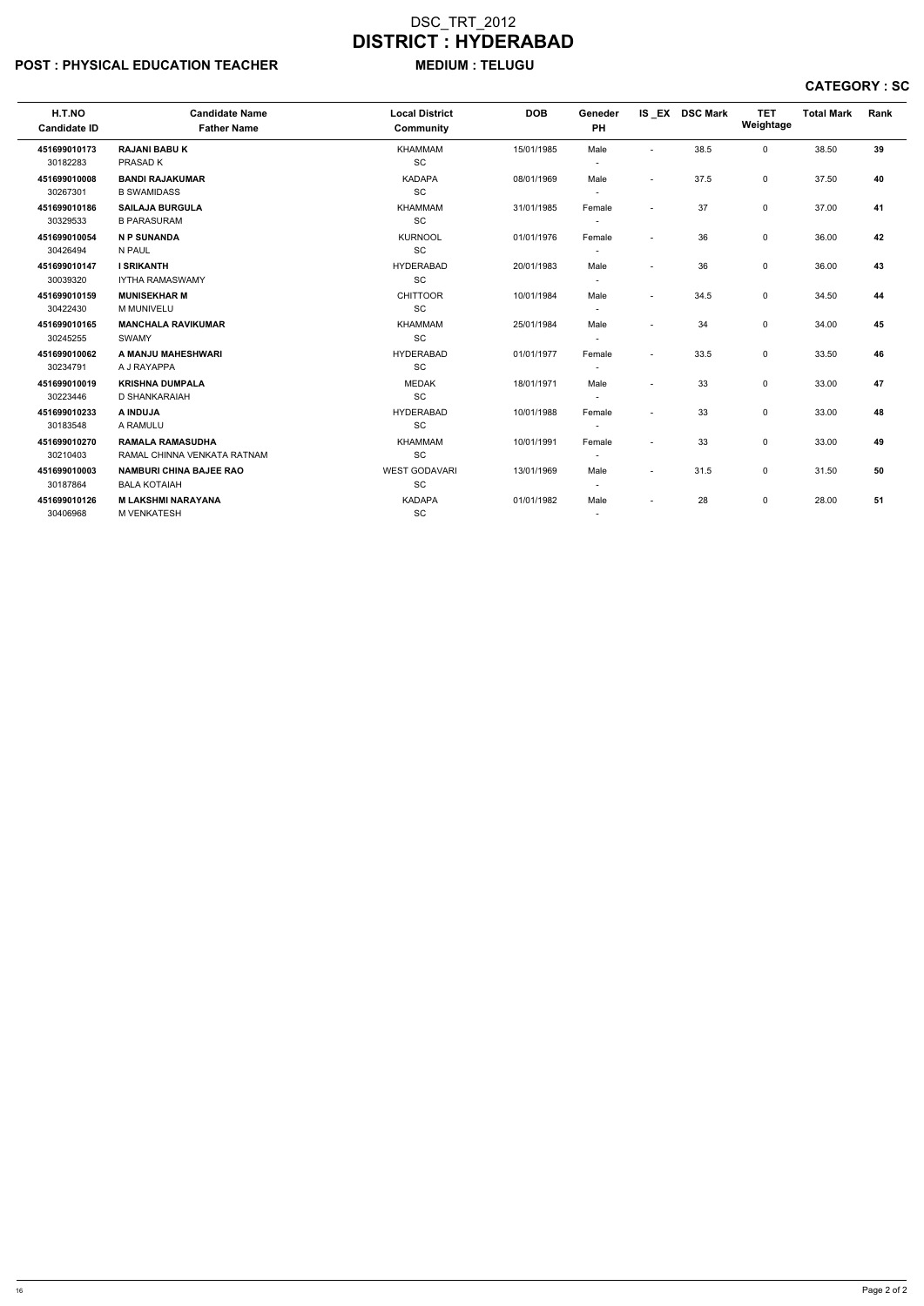# POST : PHYSICAL EDUCATION TEACHER MEDIUM : TELUGU

| H.T.NO<br><b>Candidate ID</b>        | <b>Candidate Name</b><br><b>Father Name</b>            | <b>Local District</b><br>Community       | <b>DOB</b> | Geneder<br>PH                      |                          | IS EX DSC Mark | <b>TET</b><br>Weightage | <b>Total Mark</b> | Rank |
|--------------------------------------|--------------------------------------------------------|------------------------------------------|------------|------------------------------------|--------------------------|----------------|-------------------------|-------------------|------|
| 451699010173<br>30182283             | <b>RAJANI BABU K</b><br>PRASAD K                       | <b>KHAMMAM</b><br>SC                     | 15/01/1985 | Male<br>$\overline{\phantom{a}}$   | $\sim$                   | 38.5           | $\mathsf{O}$            | 38.50             | 39   |
| 451699010008                         | <b>BANDI RAJAKUMAR</b>                                 | <b>KADAPA</b>                            | 08/01/1969 | Male                               | $\sim$                   | 37.5           | 0                       | 37.50             | 40   |
| 30267301                             | <b>B SWAMIDASS</b>                                     | <b>SC</b>                                |            |                                    |                          |                |                         |                   |      |
| 451699010186                         | <b>SAILAJA BURGULA</b>                                 | <b>KHAMMAM</b>                           | 31/01/1985 | Female                             | $\overline{\phantom{0}}$ | 37             | 0                       | 37.00             | 41   |
| 30329533<br>451699010054<br>30426494 | <b>B PARASURAM</b><br><b>N P SUNANDA</b><br>N PAUL     | <b>SC</b><br><b>KURNOOL</b><br><b>SC</b> | 01/01/1976 | Female                             | $\overline{\phantom{0}}$ | 36             | 0                       | 36.00             | 42   |
| 451699010147<br>30039320             | <b>I SRIKANTH</b><br><b>IYTHA RAMASWAMY</b>            | <b>HYDERABAD</b><br><b>SC</b>            | 20/01/1983 | Male<br>$\overline{\phantom{a}}$   |                          | 36             | $\mathsf{O}$            | 36.00             | 43   |
| 451699010159<br>30422430             | <b>MUNISEKHAR M</b><br>M MUNIVELU                      | <b>CHITTOOR</b><br>SC                    | 10/01/1984 | Male<br>$\overline{\phantom{a}}$   | $\overline{\phantom{a}}$ | 34.5           | 0                       | 34.50             | 44   |
| 451699010165<br>30245255             | <b>MANCHALA RAVIKUMAR</b><br><b>SWAMY</b>              | <b>KHAMMAM</b><br><b>SC</b>              | 25/01/1984 | Male<br>$\overline{\phantom{a}}$   | $\overline{\phantom{a}}$ | 34             | $\mathbf 0$             | 34.00             | 45   |
| 451699010062<br>30234791             | A MANJU MAHESHWARI<br>A J RAYAPPA                      | <b>HYDERABAD</b><br><b>SC</b>            | 01/01/1977 | Female<br>$\overline{\phantom{a}}$ | $\sim$                   | 33.5           | $\mathbf 0$             | 33.50             | 46   |
| 451699010019<br>30223446             | <b>KRISHNA DUMPALA</b><br>D SHANKARAIAH                | <b>MEDAK</b><br>SC                       | 18/01/1971 | Male                               | $\blacksquare$           | 33             | $\mathsf{O}$            | 33.00             | 47   |
| 451699010233<br>30183548             | A INDUJA<br>A RAMULU                                   | <b>HYDERABAD</b><br><b>SC</b>            | 10/01/1988 | Female<br>$\overline{\phantom{a}}$ | $\sim$                   | 33             | 0                       | 33.00             | 48   |
| 451699010270<br>30210403             | <b>RAMALA RAMASUDHA</b><br>RAMAL CHINNA VENKATA RATNAM | <b>KHAMMAM</b><br><b>SC</b>              | 10/01/1991 | Female                             | $\overline{\phantom{a}}$ | 33             | $\mathbf 0$             | 33.00             | 49   |
| 451699010003<br>30187864             | <b>NAMBURI CHINA BAJEE RAO</b><br><b>BALA KOTAIAH</b>  | <b>WEST GODAVARI</b><br><b>SC</b>        | 13/01/1969 | Male                               | $\overline{\phantom{a}}$ | 31.5           | $\mathbf 0$             | 31.50             | 50   |
| 451699010126<br>30406968             | <b>M LAKSHMI NARAYANA</b><br><b>M VENKATESH</b>        | <b>KADAPA</b><br>SC                      | 01/01/1982 | Male<br>$\overline{a}$             |                          | 28             | $\mathbf 0$             | 28.00             | 51   |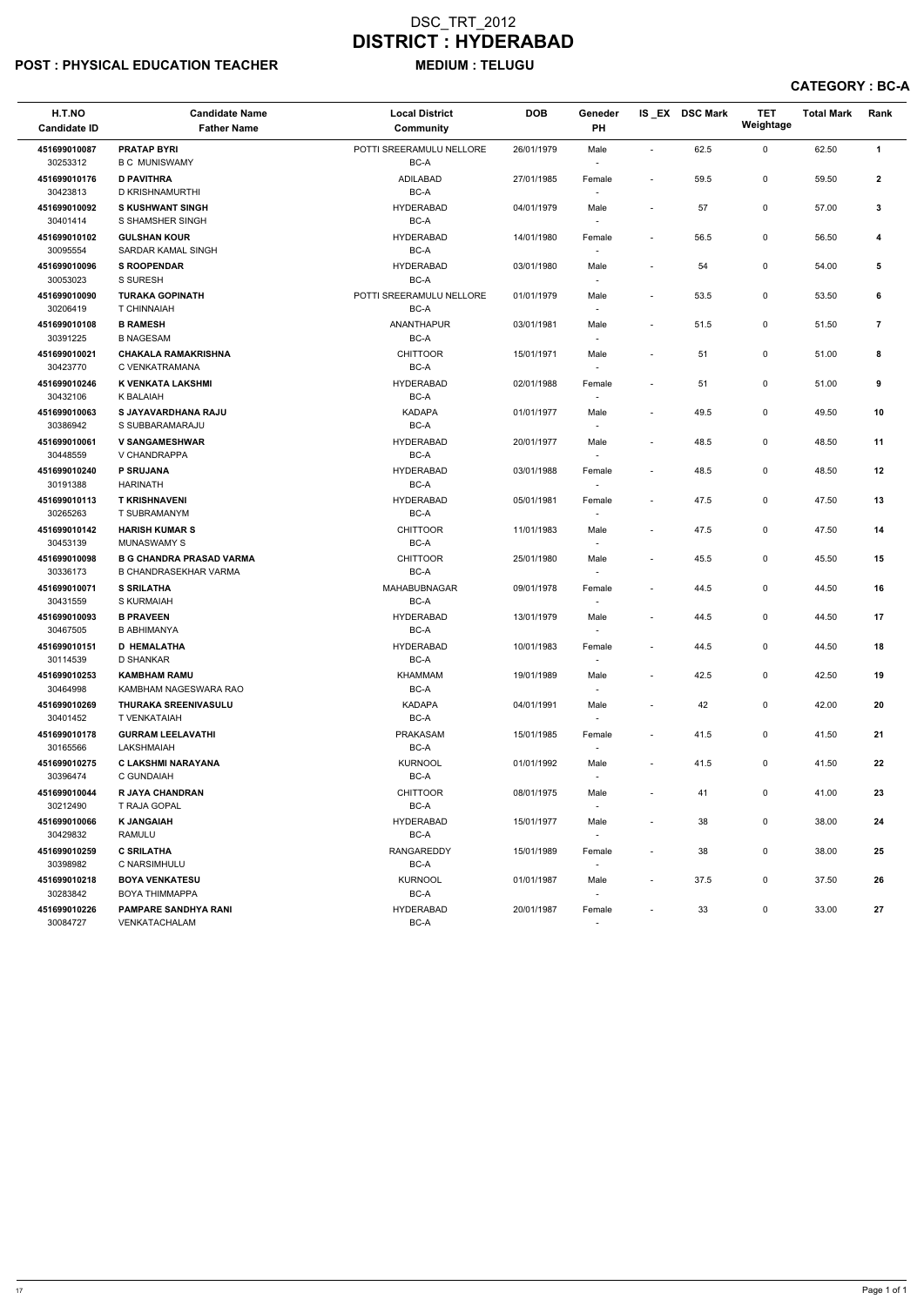# POST : PHYSICAL EDUCATION TEACHER MEDIUM : TELUGU

CATEGORY : BC-A

| H.T.NO<br><b>Candidate ID</b> | <b>Candidate Name</b><br><b>Father Name</b>                     | <b>Local District</b><br><b>Community</b> | <b>DOB</b> | Geneder<br>PH                      |                          | IS_EX DSC Mark | <b>TET</b><br>Weightage | <b>Total Mark</b> | Rank         |
|-------------------------------|-----------------------------------------------------------------|-------------------------------------------|------------|------------------------------------|--------------------------|----------------|-------------------------|-------------------|--------------|
| 451699010087<br>30253312      | <b>PRATAP BYRI</b><br><b>B C MUNISWAMY</b>                      | POTTI SREERAMULU NELLORE<br>BC-A          | 26/01/1979 | Male<br>$\overline{\phantom{a}}$   | $\sim$                   | 62.5           | 0                       | 62.50             | $\mathbf{1}$ |
| 451699010176<br>30423813      | <b>D PAVITHRA</b><br>D KRISHNAMURTHI                            | <b>ADILABAD</b><br>BC-A                   | 27/01/1985 | Female                             | $\overline{\phantom{a}}$ | 59.5           | 0                       | 59.50             | $\mathbf{2}$ |
| 451699010092<br>30401414      | <b>S KUSHWANT SINGH</b><br>S SHAMSHER SINGH                     | <b>HYDERABAD</b><br>BC-A                  | 04/01/1979 | Male<br>$\overline{\phantom{a}}$   | $\blacksquare$           | 57             | 0                       | 57.00             | 3            |
| 451699010102<br>30095554      | <b>GULSHAN KOUR</b><br>SARDAR KAMAL SINGH                       | <b>HYDERABAD</b><br>BC-A                  | 14/01/1980 | Female<br>$\overline{\phantom{a}}$ |                          | 56.5           | 0                       | 56.50             | 4            |
| 451699010096<br>30053023      | <b>S ROOPENDAR</b><br>S SURESH                                  | <b>HYDERABAD</b><br>BC-A                  | 03/01/1980 | Male<br>$\overline{\phantom{a}}$   | $\blacksquare$           | 54             | 0                       | 54.00             | 5            |
| 451699010090<br>30206419      | <b>TURAKA GOPINATH</b><br>T CHINNAIAH                           | POTTI SREERAMULU NELLORE<br>BC-A          | 01/01/1979 | Male                               | $\blacksquare$           | 53.5           | 0                       | 53.50             | 6            |
| 451699010108<br>30391225      | <b>B RAMESH</b><br><b>B NAGESAM</b>                             | <b>ANANTHAPUR</b><br>BC-A                 | 03/01/1981 | Male<br>$\blacksquare$             | $\overline{a}$           | 51.5           | 0                       | 51.50             | 7            |
| 451699010021<br>30423770      | <b>CHAKALA RAMAKRISHNA</b><br>C VENKATRAMANA                    | <b>CHITTOOR</b><br>BC-A                   | 15/01/1971 | Male<br>$\overline{\phantom{a}}$   |                          | 51             | 0                       | 51.00             | 8            |
| 451699010246<br>30432106      | K VENKATA LAKSHMI<br>K BALAIAH                                  | <b>HYDERABAD</b><br>BC-A                  | 02/01/1988 | Female<br>$\overline{\phantom{a}}$ | $\overline{\phantom{a}}$ | 51             | 0                       | 51.00             | 9            |
| 451699010063<br>30386942      | S JAYAVARDHANA RAJU<br>S SUBBARAMARAJU                          | <b>KADAPA</b><br>BC-A                     | 01/01/1977 | Male<br>$\sim$                     | $\overline{\phantom{a}}$ | 49.5           | 0                       | 49.50             | 10           |
| 451699010061<br>30448559      | <b>V SANGAMESHWAR</b><br>V CHANDRAPPA                           | <b>HYDERABAD</b><br>BC-A                  | 20/01/1977 | Male                               | $\overline{a}$           | 48.5           | 0                       | 48.50             | 11           |
| 451699010240<br>30191388      | <b>P SRUJANA</b><br><b>HARINATH</b>                             | <b>HYDERABAD</b><br>BC-A                  | 03/01/1988 | Female<br>$\overline{\phantom{a}}$ |                          | 48.5           | 0                       | 48.50             | 12           |
| 451699010113<br>30265263      | <b>T KRISHNAVENI</b><br>T SUBRAMANYM                            | <b>HYDERABAD</b><br>BC-A                  | 05/01/1981 | Female<br>$\overline{\phantom{a}}$ |                          | 47.5           | 0                       | 47.50             | 13           |
| 451699010142<br>30453139      | <b>HARISH KUMAR S</b><br><b>MUNASWAMY S</b>                     | <b>CHITTOOR</b><br>BC-A                   | 11/01/1983 | Male<br>$\sim$                     | $\overline{\phantom{a}}$ | 47.5           | 0                       | 47.50             | 14           |
| 451699010098<br>30336173      | <b>B G CHANDRA PRASAD VARMA</b><br><b>B CHANDRASEKHAR VARMA</b> | <b>CHITTOOR</b><br>BC-A                   | 25/01/1980 | Male                               | $\overline{a}$           | 45.5           | 0                       | 45.50             | 15           |
| 451699010071<br>30431559      | <b>S SRILATHA</b><br>S KURMAIAH                                 | <b>MAHABUBNAGAR</b><br>BC-A               | 09/01/1978 | Female<br>$\sim$                   | $\overline{\phantom{a}}$ | 44.5           | 0                       | 44.50             | 16           |
| 451699010093<br>30467505      | <b>B PRAVEEN</b><br><b>B ABHIMANYA</b>                          | <b>HYDERABAD</b><br>BC-A                  | 13/01/1979 | Male<br>$\overline{\phantom{a}}$   | $\blacksquare$           | 44.5           | 0                       | 44.50             | 17           |
| 451699010151<br>30114539      | <b>D HEMALATHA</b><br>D SHANKAR                                 | <b>HYDERABAD</b><br>BC-A                  | 10/01/1983 | Female                             | $\overline{\phantom{a}}$ | 44.5           | 0                       | 44.50             | 18           |
| 451699010253<br>30464998      | <b>KAMBHAM RAMU</b><br>KAMBHAM NAGESWARA RAO                    | <b>KHAMMAM</b><br>BC-A                    | 19/01/1989 | Male<br>$\sim$                     | $\overline{\phantom{a}}$ | 42.5           | 0                       | 42.50             | 19           |
| 451699010269<br>30401452      | THURAKA SREENIVASULU<br>T VENKATAIAH                            | <b>KADAPA</b><br>BC-A                     | 04/01/1991 | Male<br>$\sim$                     |                          | 42             | 0                       | 42.00             | 20           |
| 451699010178<br>30165566      | <b>GURRAM LEELAVATHI</b><br>LAKSHMAIAH                          | <b>PRAKASAM</b><br>BC-A                   | 15/01/1985 | Female<br>$\sim$                   | $\overline{\phantom{a}}$ | 41.5           | 0                       | 41.50             | 21           |
| 451699010275<br>30396474      | C LAKSHMI NARAYANA<br>C GUNDAIAH                                | <b>KURNOOL</b><br>BC-A                    | 01/01/1992 | Male<br>$\overline{\phantom{a}}$   | $\blacksquare$           | 41.5           | 0                       | 41.50             | 22           |
| 451699010044<br>30212490      | <b>R JAYA CHANDRAN</b><br>T RAJA GOPAL                          | <b>CHITTOOR</b><br>BC-A                   | 08/01/1975 | Male<br>$\overline{\phantom{a}}$   | $\overline{\phantom{a}}$ | 41             | 0                       | 41.00             | 23           |
| 451699010066<br>30429832      | <b>K JANGAIAH</b><br><b>RAMULU</b>                              | <b>HYDERABAD</b><br>BC-A                  | 15/01/1977 | Male<br>$\overline{\phantom{a}}$   | $\blacksquare$           | 38             | 0                       | 38.00             | 24           |
| 451699010259<br>30398982      | <b>C SRILATHA</b><br>C NARSIMHULU                               | RANGAREDDY<br>BC-A                        | 15/01/1989 | Female<br>$\sim$                   | $\overline{\phantom{a}}$ | 38             | 0                       | 38.00             | 25           |
| 451699010218<br>30283842      | <b>BOYA VENKATESU</b><br><b>BOYA THIMMAPPA</b>                  | <b>KURNOOL</b><br>BC-A                    | 01/01/1987 | Male<br>$\overline{\phantom{a}}$   | $\overline{\phantom{a}}$ | 37.5           | 0                       | 37.50             | 26           |
| 451699010226<br>30084727      | <b>PAMPARE SANDHYA RANI</b><br>VENKATACHALAM                    | <b>HYDERABAD</b><br>BC-A                  | 20/01/1987 | Female                             |                          | 33             | 0                       | 33.00             | 27           |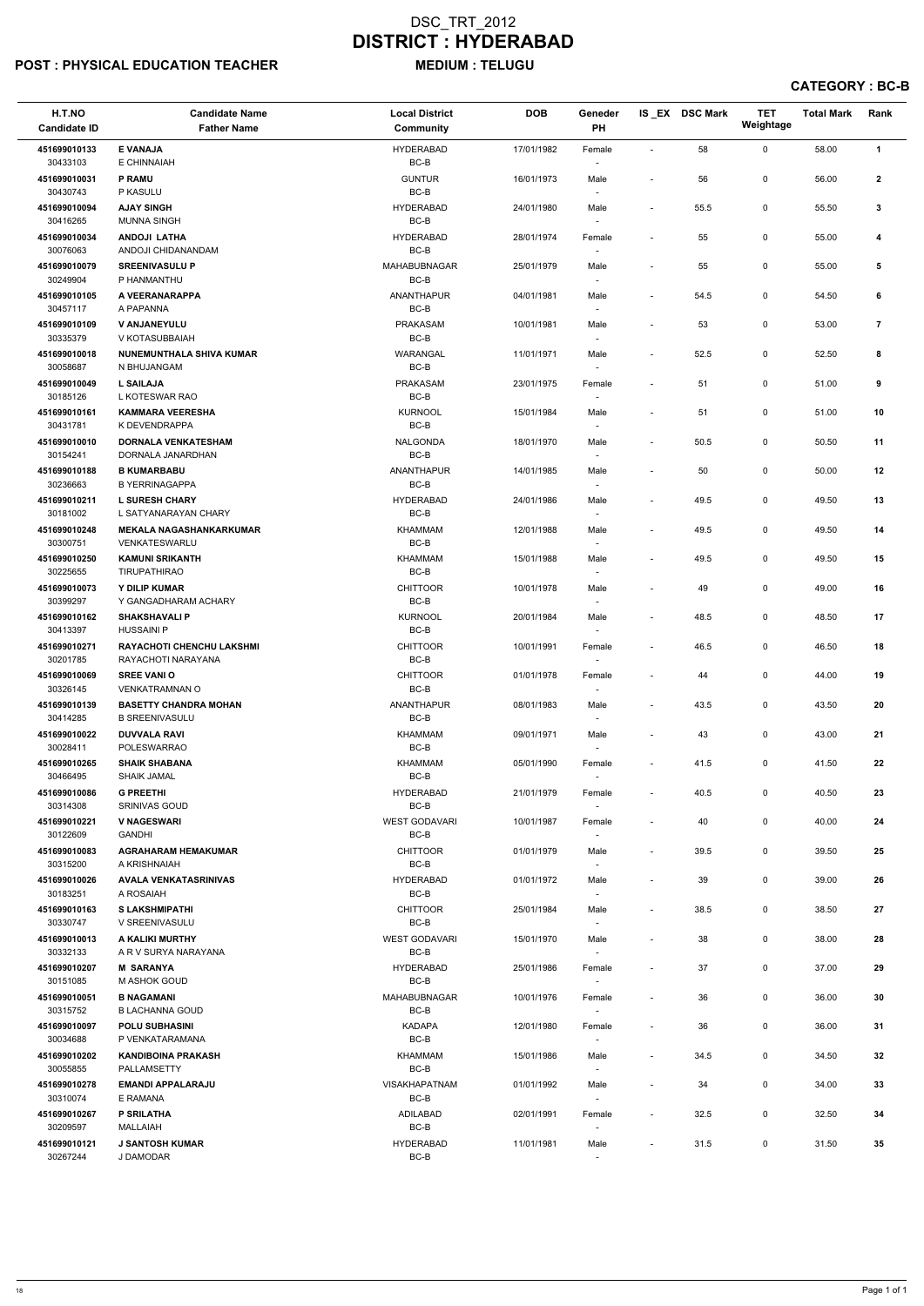# POST : PHYSICAL EDUCATION TEACHER MEDIUM : TELUGU

CATEGORY : BC-B

| H.T.NO<br><b>Candidate ID</b> | <b>Candidate Name</b><br><b>Father Name</b>            | <b>Local District</b><br><b>Community</b> | <b>DOB</b> | Geneder<br>PH                      |                          | IS_EX DSC Mark | <b>TET</b><br>Weightage | <b>Total Mark</b> | Rank           |
|-------------------------------|--------------------------------------------------------|-------------------------------------------|------------|------------------------------------|--------------------------|----------------|-------------------------|-------------------|----------------|
| 451699010133                  | <b>E VANAJA</b>                                        | <b>HYDERABAD</b>                          | 17/01/1982 | Female                             |                          | 58             | 0                       | 58.00             | $\mathbf{1}$   |
| 30433103                      | E CHINNAIAH                                            | BC-B                                      |            |                                    |                          |                |                         |                   |                |
| 451699010031                  | <b>P RAMU</b>                                          | <b>GUNTUR</b>                             | 16/01/1973 | Male                               |                          | 56             | 0                       | 56.00             | $\mathbf{2}$   |
| 30430743<br>451699010094      | P KASULU<br><b>AJAY SINGH</b>                          | BC-B<br><b>HYDERABAD</b>                  | 24/01/1980 | Male                               | $\overline{\phantom{a}}$ | 55.5           | 0                       | 55.50             | 3              |
| 30416265                      | <b>MUNNA SINGH</b>                                     | BC-B                                      |            |                                    |                          |                |                         |                   |                |
| 451699010034                  | <b>ANDOJI LATHA</b>                                    | <b>HYDERABAD</b>                          | 28/01/1974 | Female                             |                          | 55             | 0                       | 55.00             | 4              |
| 30076063<br>451699010079      | ANDOJI CHIDANANDAM<br><b>SREENIVASULU P</b>            | BC-B<br><b>MAHABUBNAGAR</b>               | 25/01/1979 | Male                               |                          | 55             | 0                       | 55.00             | 5              |
| 30249904                      | P HANMANTHU                                            | BC-B                                      |            | $\overline{\phantom{a}}$           |                          |                |                         |                   |                |
| 451699010105                  | A VEERANARAPPA                                         | <b>ANANTHAPUR</b>                         | 04/01/1981 | Male                               | $\overline{\phantom{a}}$ | 54.5           | 0                       | 54.50             | 6              |
| 30457117<br>451699010109      | A PAPANNA<br><b>V ANJANEYULU</b>                       | BC-B<br>PRAKASAM                          | 10/01/1981 | $\overline{\phantom{a}}$<br>Male   |                          | 53             | 0                       | 53.00             | $\overline{7}$ |
| 30335379                      | V KOTASUBBAIAH                                         | $BC-B$                                    |            |                                    |                          |                |                         |                   |                |
| 451699010018                  | NUNEMUNTHALA SHIVA KUMAR                               | WARANGAL                                  | 11/01/1971 | Male                               | $\overline{\phantom{a}}$ | 52.5           | 0                       | 52.50             | 8              |
| 30058687<br>451699010049      | N BHUJANGAM<br><b>L SAILAJA</b>                        | $BC-B$<br>PRAKASAM                        | 23/01/1975 | Female                             |                          | 51             | 0                       | 51.00             | 9              |
| 30185126                      | L KOTESWAR RAO                                         | BC-B                                      |            |                                    |                          |                |                         |                   |                |
| 451699010161                  | <b>KAMMARA VEERESHA</b>                                | <b>KURNOOL</b>                            | 15/01/1984 | Male                               |                          | 51             | 0                       | 51.00             | 10             |
| 30431781<br>451699010010      | K DEVENDRAPPA<br><b>DORNALA VENKATESHAM</b>            | BC-B<br><b>NALGONDA</b>                   | 18/01/1970 | Male                               |                          | 50.5           | 0                       | 50.50             | 11             |
| 30154241                      | DORNALA JANARDHAN                                      | $BC-B$                                    |            |                                    |                          |                |                         |                   |                |
| 451699010188                  | <b>B KUMARBABU</b>                                     | <b>ANANTHAPUR</b>                         | 14/01/1985 | Male                               | $\overline{\phantom{a}}$ | 50             | 0                       | 50.00             | 12             |
| 30236663<br>451699010211      | <b>B YERRINAGAPPA</b><br><b>L SURESH CHARY</b>         | $BC-B$<br><b>HYDERABAD</b>                | 24/01/1986 | Male                               |                          | 49.5           | 0                       | 49.50             | 13             |
| 30181002                      | L SATYANARAYAN CHARY                                   | BC-B                                      |            | $\sim$                             |                          |                |                         |                   |                |
| 451699010248                  | <b>MEKALA NAGASHANKARKUMAR</b>                         | <b>KHAMMAM</b>                            | 12/01/1988 | Male                               | $\overline{\phantom{a}}$ | 49.5           | 0                       | 49.50             | 14             |
| 30300751<br>451699010250      | <b>VENKATESWARLU</b><br><b>KAMUNI SRIKANTH</b>         | BC-B<br>KHAMMAM                           | 15/01/1988 | $\overline{\phantom{a}}$<br>Male   | $\overline{\phantom{a}}$ | 49.5           | 0                       | 49.50             | 15             |
| 30225655                      | <b>TIRUPATHIRAO</b>                                    | BC-B                                      |            |                                    |                          |                |                         |                   |                |
| 451699010073                  | Y DILIP KUMAR                                          | <b>CHITTOOR</b>                           | 10/01/1978 | Male                               |                          | 49             | 0                       | 49.00             | 16             |
| 30399297<br>451699010162      | Y GANGADHARAM ACHARY<br><b>SHAKSHAVALI P</b>           | BC-B<br><b>KURNOOL</b>                    | 20/01/1984 | Male                               |                          | 48.5           | 0                       | 48.50             | 17             |
| 30413397                      | <b>HUSSAINI P</b>                                      | BC-B                                      |            | $\overline{\phantom{a}}$           |                          |                |                         |                   |                |
| 451699010271<br>30201785      | <b>RAYACHOTI CHENCHU LAKSHMI</b><br>RAYACHOTI NARAYANA | <b>CHITTOOR</b><br>BC-B                   | 10/01/1991 | Female                             |                          | 46.5           | 0                       | 46.50             | 18             |
| 451699010069                  | <b>SREE VANIO</b>                                      | <b>CHITTOOR</b>                           | 01/01/1978 | Female                             |                          | 44             | 0                       | 44.00             | 19             |
| 30326145                      | <b>VENKATRAMNAN O</b>                                  | BC-B                                      |            |                                    |                          |                |                         |                   |                |
| 451699010139<br>30414285      | <b>BASETTY CHANDRA MOHAN</b><br><b>B SREENIVASULU</b>  | ANANTHAPUR<br>BC-B                        | 08/01/1983 | Male                               | $\overline{\phantom{a}}$ | 43.5           | 0                       | 43.50             | 20             |
| 451699010022                  | <b>DUVVALA RAVI</b>                                    | <b>KHAMMAM</b>                            | 09/01/1971 | Male                               |                          | 43             | 0                       | 43.00             | 21             |
| 30028411                      | POLESWARRAO                                            | BC-B                                      |            | $\sim$                             |                          |                |                         |                   |                |
| 451699010265<br>30466495      | <b>SHAIK SHABANA</b><br><b>SHAIK JAMAL</b>             | KHAMMAM<br>BC-B                           | 05/01/1990 | Female                             | $\overline{\phantom{a}}$ | 41.5           | 0                       | 41.50             | 22             |
| 451699010086                  | <b>G PREETHI</b>                                       | <b>HYDERABAD</b>                          | 21/01/1979 | Female                             | $\overline{\phantom{a}}$ | 40.5           | 0                       | 40.50             | 23             |
| 30314308                      | <b>SRINIVAS GOUD</b>                                   | BC-B                                      |            |                                    |                          |                |                         |                   |                |
| 451699010221<br>30122609      | <b>V NAGESWARI</b><br><b>GANDHI</b>                    | <b>WEST GODAVARI</b><br>$BC-B$            | 10/01/1987 | Female                             | $\overline{\phantom{a}}$ | 40             | 0                       | 40.00             | 24             |
| 451699010083                  | <b>AGRAHARAM HEMAKUMAR</b>                             | <b>CHITTOOR</b>                           | 01/01/1979 | Male                               |                          | 39.5           | 0                       | 39.50             | 25             |
| 30315200                      | A KRISHNAIAH                                           | BC-B                                      |            |                                    |                          |                |                         |                   |                |
| 451699010026<br>30183251      | <b>AVALA VENKATASRINIVAS</b><br>A ROSAIAH              | <b>HYDERABAD</b><br>BC-B                  | 01/01/1972 | Male                               | $\overline{\phantom{a}}$ | 39             | 0                       | 39.00             | 26             |
| 451699010163                  | <b>S LAKSHMIPATHI</b>                                  | <b>CHITTOOR</b>                           | 25/01/1984 | Male                               |                          | 38.5           | 0                       | 38.50             | 27             |
| 30330747<br>451699010013      | V SREENIVASULU<br>A KALIKI MURTHY                      | BC-B<br><b>WEST GODAVARI</b>              | 15/01/1970 | Male                               |                          | 38             | 0                       | 38.00             | 28             |
| 30332133                      | A R V SURYA NARAYANA                                   | BC-B                                      |            |                                    |                          |                |                         |                   |                |
| 451699010207                  | <b>M SARANYA</b>                                       | <b>HYDERABAD</b>                          | 25/01/1986 | Female                             |                          | 37             | 0                       | 37.00             | 29             |
| 30151085<br>451699010051      | M ASHOK GOUD<br><b>B NAGAMANI</b>                      | BC-B<br><b>MAHABUBNAGAR</b>               | 10/01/1976 | $\overline{\phantom{a}}$<br>Female | $\overline{\phantom{a}}$ | 36             | 0                       | 36.00             | 30             |
| 30315752                      | B LACHANNA GOUD                                        | BC-B                                      |            |                                    |                          |                |                         |                   |                |
| 451699010097                  | <b>POLU SUBHASINI</b>                                  | <b>KADAPA</b>                             | 12/01/1980 | Female                             | $\overline{\phantom{a}}$ | 36             | 0                       | 36.00             | 31             |
| 30034688<br>451699010202      | P VENKATARAMANA<br><b>KANDIBOINA PRAKASH</b>           | BC-B<br><b>KHAMMAM</b>                    | 15/01/1986 | Male                               | $\overline{\phantom{a}}$ | 34.5           | 0                       | 34.50             | 32             |
| 30055855                      | PALLAMSETTY                                            | BC-B                                      |            |                                    |                          |                |                         |                   |                |
| 451699010278                  | <b>EMANDI APPALARAJU</b>                               | <b>VISAKHAPATNAM</b>                      | 01/01/1992 | Male                               | $\overline{\phantom{a}}$ | 34             | 0                       | 34.00             | 33             |
| 30310074<br>451699010267      | E RAMANA<br>P SRILATHA                                 | BC-B<br>ADILABAD                          | 02/01/1991 | $\overline{\phantom{a}}$<br>Female |                          | 32.5           | 0                       | 32.50             | 34             |
| 30209597                      | <b>MALLAIAH</b>                                        | $BC-B$                                    |            |                                    |                          |                |                         |                   |                |
| 451699010121<br>30267244      | <b>J SANTOSH KUMAR</b><br>J DAMODAR                    | <b>HYDERABAD</b><br>$BC-B$                | 11/01/1981 | Male                               | $\overline{\phantom{a}}$ | 31.5           | 0                       | 31.50             | 35             |
|                               |                                                        |                                           |            |                                    |                          |                |                         |                   |                |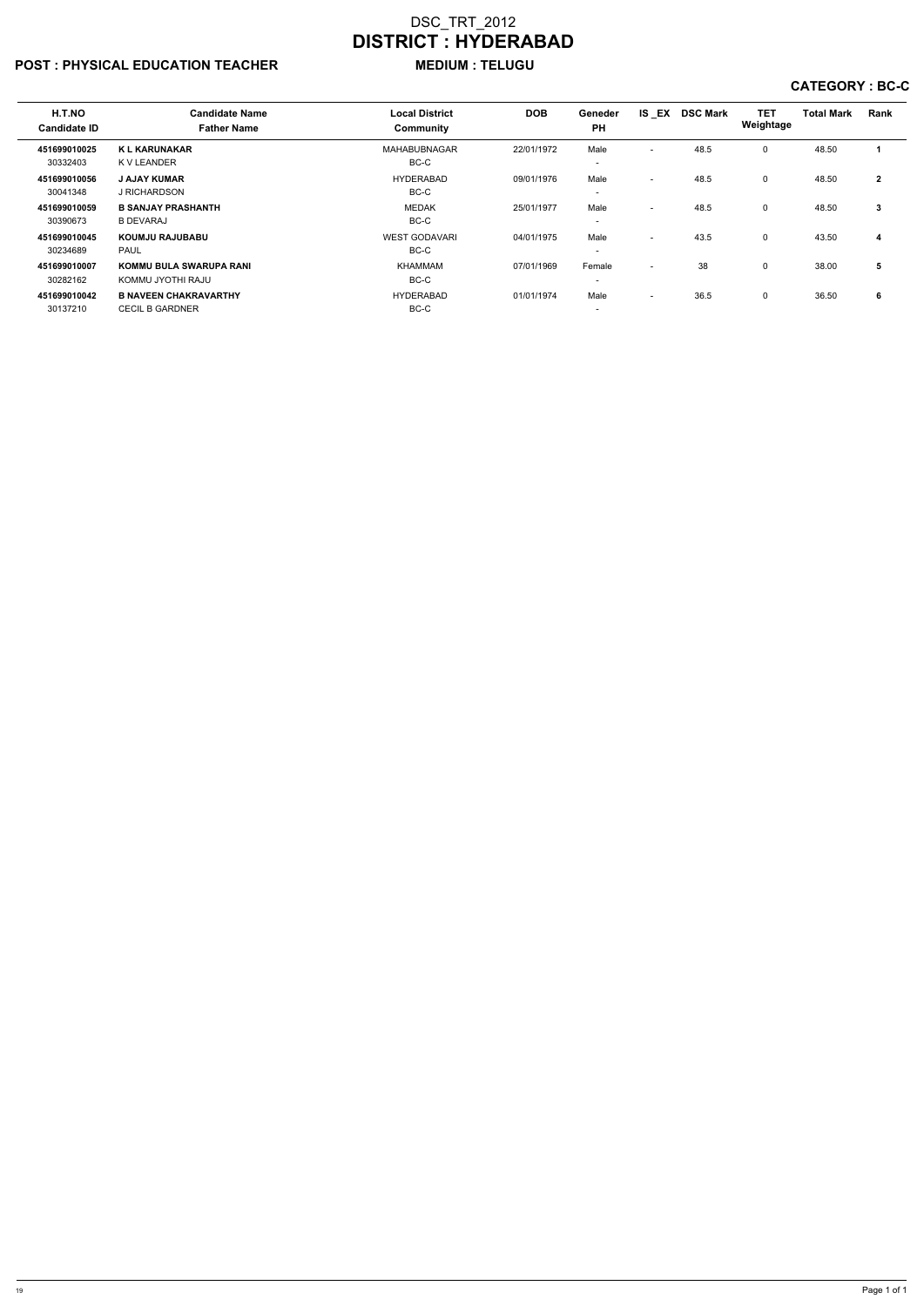# POST : PHYSICAL EDUCATION TEACHER MEDIUM : TELUGU

# CATEGORY : BC-C

| H.T.NO<br><b>Candidate ID</b> | <b>Candidate Name</b><br><b>Father Name</b>            | <b>Local District</b><br>Community | <b>DOB</b> | Geneder<br><b>PH</b>               | IS EX                    | <b>DSC Mark</b> | <b>TET</b><br>Weightage | <b>Total Mark</b> | <b>Rank</b>  |
|-------------------------------|--------------------------------------------------------|------------------------------------|------------|------------------------------------|--------------------------|-----------------|-------------------------|-------------------|--------------|
| 451699010025<br>30332403      | <b>KL KARUNAKAR</b><br>K V LEANDER                     | MAHABUBNAGAR<br>BC-C               | 22/01/1972 | Male<br>$\overline{\phantom{0}}$   | $\overline{\phantom{0}}$ | 48.5            | $\Omega$                | 48.50             |              |
| 451699010056<br>30041348      | <b>J AJAY KUMAR</b><br>J RICHARDSON                    | <b>HYDERABAD</b><br>BC-C           | 09/01/1976 | Male<br>$\overline{\phantom{0}}$   | $\overline{\phantom{0}}$ | 48.5            | 0                       | 48.50             | $\mathbf{2}$ |
| 451699010059<br>30390673      | <b>B SANJAY PRASHANTH</b><br><b>B DEVARAJ</b>          | <b>MEDAK</b><br>BC-C               | 25/01/1977 | Male<br>$\overline{\phantom{0}}$   | $\sim$                   | 48.5            | $\Omega$                | 48.50             | 3            |
| 451699010045<br>30234689      | <b>KOUMJU RAJUBABU</b><br><b>PAUL</b>                  | <b>WEST GODAVARI</b><br>BC-C       | 04/01/1975 | Male<br>$\overline{\phantom{0}}$   | $\sim$                   | 43.5            | $\Omega$                | 43.50             | 4            |
| 451699010007<br>30282162      | <b>KOMMU BULA SWARUPA RANI</b><br>KOMMU JYOTHI RAJU    | <b>KHAMMAM</b><br>BC-C             | 07/01/1969 | Female<br>$\overline{\phantom{0}}$ | $\sim$                   | 38              | $\Omega$                | 38.00             | 5            |
| 451699010042<br>30137210      | <b>B NAVEEN CHAKRAVARTHY</b><br><b>CECIL B GARDNER</b> | <b>HYDERABAD</b><br>BC-C           | 01/01/1974 | Male<br>$\overline{\phantom{0}}$   | $\overline{\phantom{a}}$ | 36.5            | 0                       | 36.50             | 6            |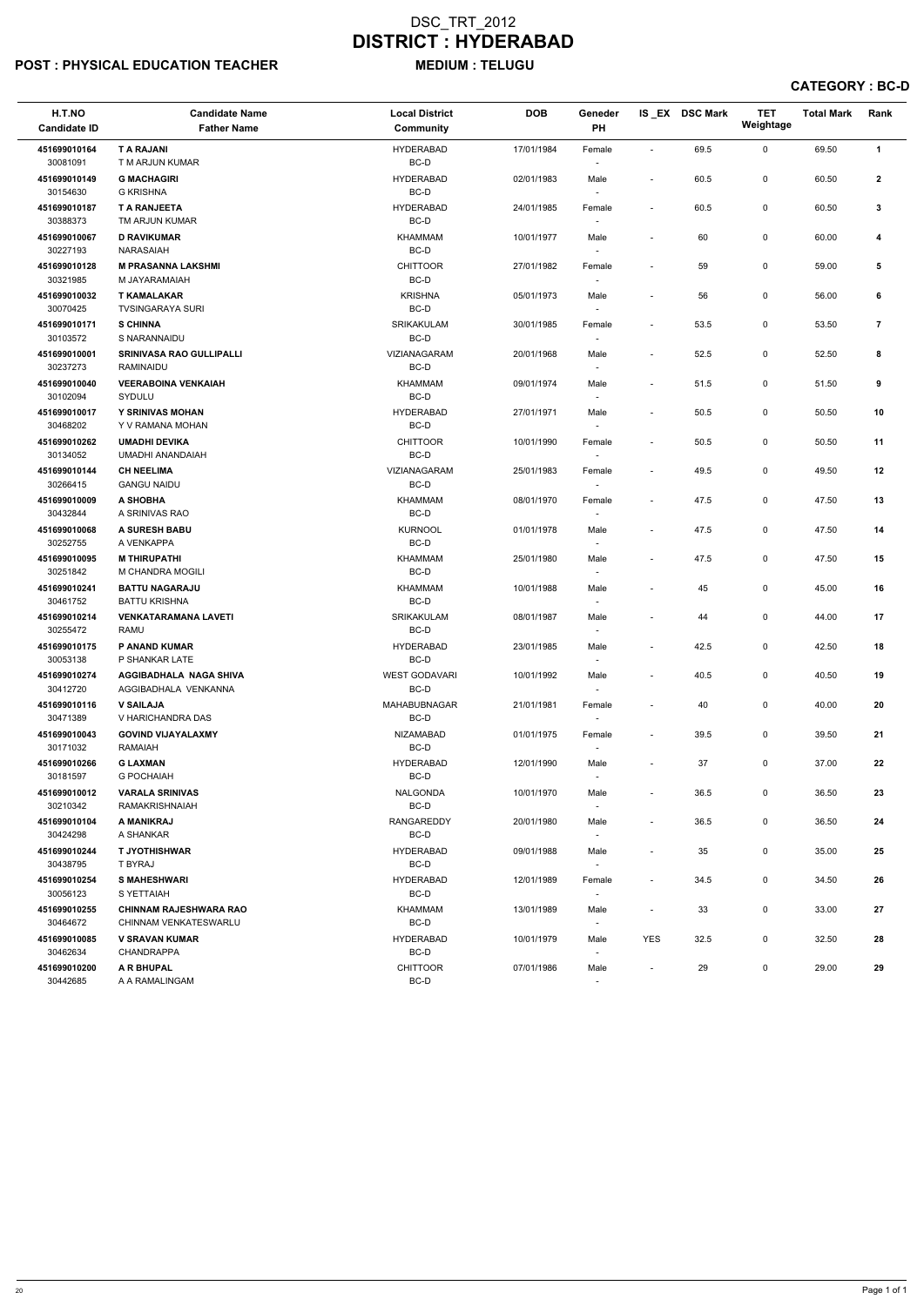## POST : PHYSICAL EDUCATION TEACHER MEDIUM : TELUGU

CATEGORY : BC-D

| H.T.NO<br><b>Candidate ID</b> | <b>Candidate Name</b><br><b>Father Name</b>            | <b>Local District</b><br><b>Community</b> | <b>DOB</b> | Geneder<br>PH                      |                          | IS_EX DSC Mark | <b>TET</b><br>Weightage | <b>Total Mark</b> | Rank           |
|-------------------------------|--------------------------------------------------------|-------------------------------------------|------------|------------------------------------|--------------------------|----------------|-------------------------|-------------------|----------------|
| 451699010164<br>30081091      | <b>T A RAJANI</b><br>T M ARJUN KUMAR                   | <b>HYDERABAD</b><br>BC-D                  | 17/01/1984 | Female                             | $\overline{\phantom{a}}$ | 69.5           | $\mathbf 0$             | 69.50             | $\mathbf{1}$   |
| 451699010149<br>30154630      | <b>G MACHAGIRI</b><br><b>G KRISHNA</b>                 | <b>HYDERABAD</b><br>BC-D                  | 02/01/1983 | Male                               |                          | 60.5           | 0                       | 60.50             | $\mathbf{2}$   |
| 451699010187<br>30388373      | <b>T A RANJEETA</b><br>TM ARJUN KUMAR                  | <b>HYDERABAD</b><br>BC-D                  | 24/01/1985 | Female                             |                          | 60.5           | 0                       | 60.50             | 3              |
| 451699010067<br>30227193      | <b>D RAVIKUMAR</b><br>NARASAIAH                        | <b>KHAMMAM</b><br>BC-D                    | 10/01/1977 | Male                               |                          | 60             | 0                       | 60.00             | 4              |
| 451699010128<br>30321985      | <b>M PRASANNA LAKSHMI</b><br>M JAYARAMAIAH             | <b>CHITTOOR</b><br>BC-D                   | 27/01/1982 | Female                             |                          | 59             | 0                       | 59.00             | 5              |
| 451699010032<br>30070425      | <b>T KAMALAKAR</b><br><b>TVSINGARAYA SURI</b>          | <b>KRISHNA</b><br>$BC-D$                  | 05/01/1973 | Male                               |                          | 56             | 0                       | 56.00             | 6              |
| 451699010171<br>30103572      | <b>S CHINNA</b><br>S NARANNAIDU                        | SRIKAKULAM<br>BC-D                        | 30/01/1985 | Female                             | $\overline{\phantom{a}}$ | 53.5           | 0                       | 53.50             | $\overline{7}$ |
| 451699010001<br>30237273      | <b>SRINIVASA RAO GULLIPALLI</b><br>RAMINAIDU           | VIZIANAGARAM<br>BC-D                      | 20/01/1968 | Male                               | $\overline{\phantom{a}}$ | 52.5           | 0                       | 52.50             | 8              |
| 451699010040<br>30102094      | <b>VEERABOINA VENKAIAH</b><br>SYDULU                   | KHAMMAM<br>BC-D                           | 09/01/1974 | Male                               |                          | 51.5           | 0                       | 51.50             | 9              |
| 451699010017<br>30468202      | Y SRINIVAS MOHAN<br>Y V RAMANA MOHAN                   | <b>HYDERABAD</b><br>BC-D                  | 27/01/1971 | Male                               | $\sim$                   | 50.5           | 0                       | 50.50             | 10             |
| 451699010262<br>30134052      | <b>UMADHI DEVIKA</b><br>UMADHI ANANDAIAH               | <b>CHITTOOR</b><br>BC-D                   | 10/01/1990 | Female                             |                          | 50.5           | 0                       | 50.50             | 11             |
| 451699010144<br>30266415      | <b>CH NEELIMA</b><br><b>GANGU NAIDU</b>                | VIZIANAGARAM<br>BC-D                      | 25/01/1983 | Female                             |                          | 49.5           | 0                       | 49.50             | 12             |
| 451699010009<br>30432844      | A SHOBHA<br>A SRINIVAS RAO                             | KHAMMAM<br>BC-D                           | 08/01/1970 | Female<br>$\overline{\phantom{a}}$ |                          | 47.5           | 0                       | 47.50             | 13             |
| 451699010068<br>30252755      | A SURESH BABU<br>A VENKAPPA                            | <b>KURNOOL</b><br>BC-D                    | 01/01/1978 | Male                               | $\overline{\phantom{a}}$ | 47.5           | 0                       | 47.50             | 14             |
| 451699010095<br>30251842      | <b>M THIRUPATHI</b><br>M CHANDRA MOGILI                | <b>KHAMMAM</b><br>BC-D                    | 25/01/1980 | Male                               | $\overline{\phantom{a}}$ | 47.5           | 0                       | 47.50             | 15             |
| 451699010241<br>30461752      | <b>BATTU NAGARAJU</b><br><b>BATTU KRISHNA</b>          | <b>KHAMMAM</b><br>BC-D                    | 10/01/1988 | Male<br>$\overline{\phantom{a}}$   |                          | 45             | 0                       | 45.00             | 16             |
| 451699010214<br>30255472      | <b>VENKATARAMANA LAVETI</b><br>RAMU                    | <b>SRIKAKULAM</b><br>BC-D                 | 08/01/1987 | Male<br>$\overline{\phantom{a}}$   |                          | 44             | 0                       | 44.00             | 17             |
| 451699010175<br>30053138      | P ANAND KUMAR<br>P SHANKAR LATE                        | <b>HYDERABAD</b><br>BC-D                  | 23/01/1985 | Male                               |                          | 42.5           | 0                       | 42.50             | 18             |
| 451699010274<br>30412720      | <b>AGGIBADHALA NAGA SHIVA</b><br>AGGIBADHALA VENKANNA  | <b>WEST GODAVARI</b><br>BC-D              | 10/01/1992 | Male                               | $\overline{\phantom{a}}$ | 40.5           | 0                       | 40.50             | 19             |
| 451699010116<br>30471389      | <b>V SAILAJA</b><br>V HARICHANDRA DAS                  | <b>MAHABUBNAGAR</b><br>BC-D               | 21/01/1981 | Female                             |                          | 40             | 0                       | 40.00             | 20             |
| 451699010043<br>30171032      | <b>GOVIND VIJAYALAXMY</b><br><b>RAMAIAH</b>            | <b>NIZAMABAD</b><br>BC-D                  | 01/01/1975 | Female                             | $\overline{\phantom{a}}$ | 39.5           | 0                       | 39.50             | 21             |
| 451699010266<br>30181597      | <b>G LAXMAN</b><br><b>G POCHAIAH</b>                   | <b>HYDERABAD</b><br>BC-D                  | 12/01/1990 | Male                               |                          | 37             | 0                       | 37.00             | 22             |
| 451699010012<br>30210342      | <b>VARALA SRINIVAS</b><br>RAMAKRISHNAIAH               | NALGONDA<br>BC-D                          | 10/01/1970 | Male                               | $\overline{\phantom{a}}$ | 36.5           | 0                       | 36.50             | 23             |
| 451699010104<br>30424298      | A MANIKRAJ<br>A SHANKAR                                | <b>RANGAREDDY</b><br>BC-D                 | 20/01/1980 | Male<br>$\overline{\phantom{a}}$   | $\overline{\phantom{a}}$ | 36.5           | 0                       | 36.50             | 24             |
| 451699010244<br>30438795      | <b>T JYOTHISHWAR</b><br>T BYRAJ                        | <b>HYDERABAD</b><br>BC-D                  | 09/01/1988 | Male<br>$\overline{\phantom{a}}$   |                          | 35             | 0                       | 35.00             | 25             |
| 451699010254<br>30056123      | <b>S MAHESHWARI</b><br>S YETTAIAH                      | <b>HYDERABAD</b><br>BC-D                  | 12/01/1989 | Female<br>$\overline{\phantom{a}}$ | $\sim$                   | 34.5           | 0                       | 34.50             | 26             |
| 451699010255<br>30464672      | <b>CHINNAM RAJESHWARA RAO</b><br>CHINNAM VENKATESWARLU | <b>KHAMMAM</b><br>BC-D                    | 13/01/1989 | Male                               |                          | 33             | 0                       | 33.00             | 27             |
| 451699010085<br>30462634      | <b>V SRAVAN KUMAR</b><br>CHANDRAPPA                    | <b>HYDERABAD</b><br>BC-D                  | 10/01/1979 | Male<br>$\overline{\phantom{a}}$   | <b>YES</b>               | 32.5           | 0                       | 32.50             | 28             |
| 451699010200<br>30442685      | A R BHUPAL<br>A A RAMALINGAM                           | <b>CHITTOOR</b><br>BC-D                   | 07/01/1986 | Male                               |                          | 29             | 0                       | 29.00             | 29             |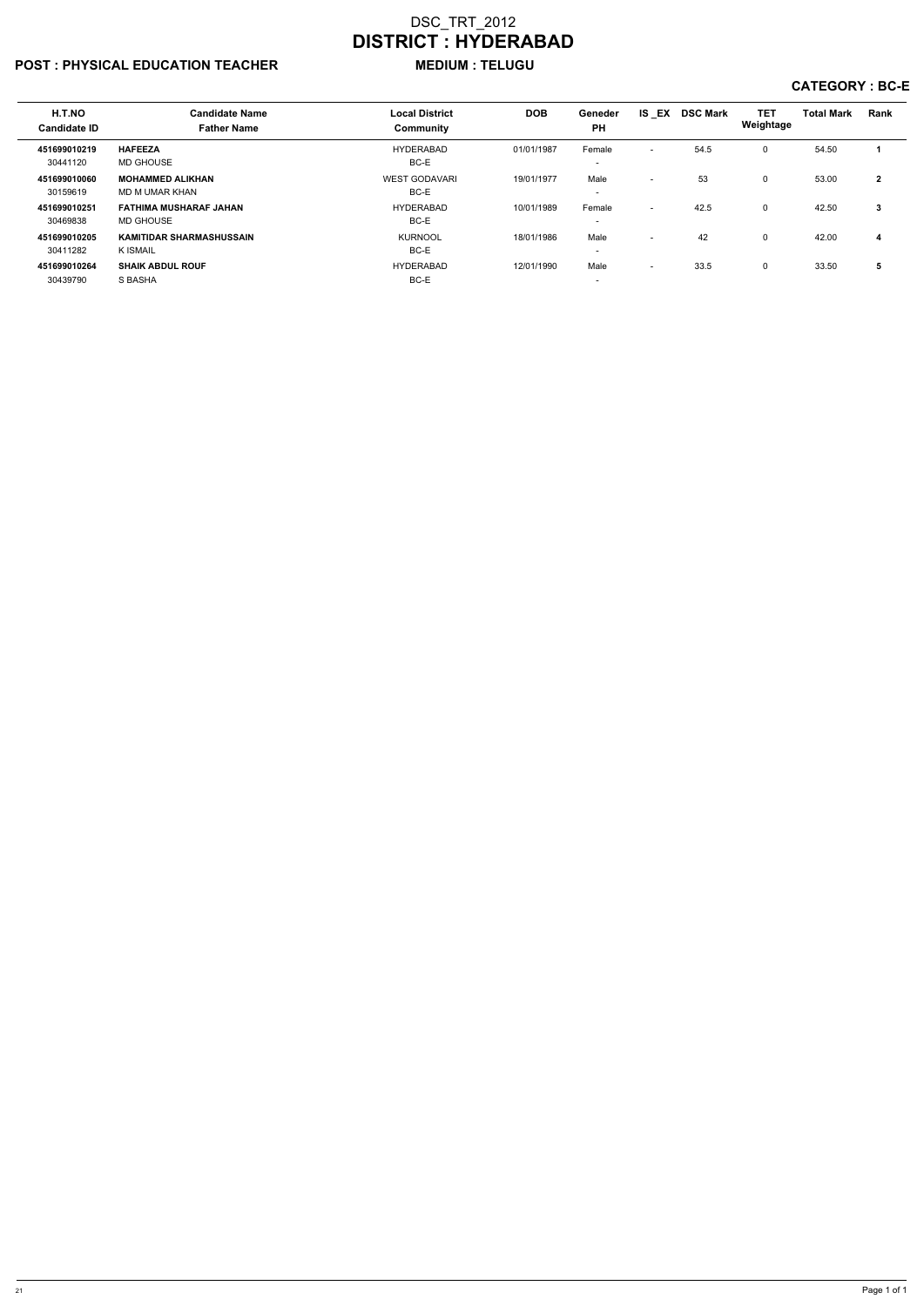# POST : PHYSICAL EDUCATION TEACHER MEDIUM : TELUGU

# CATEGORY : BC-E

| H.T.NO<br><b>Candidate ID</b> | <b>Candidate Name</b><br><b>Father Name</b>        | <b>Local District</b><br>Community | <b>DOB</b> | Geneder<br><b>PH</b>               | IS EX                    | <b>DSC Mark</b> | <b>TET</b><br>Weightage | <b>Total Mark</b> | Rank         |
|-------------------------------|----------------------------------------------------|------------------------------------|------------|------------------------------------|--------------------------|-----------------|-------------------------|-------------------|--------------|
| 451699010219<br>30441120      | <b>HAFEEZA</b><br>MD GHOUSE                        | <b>HYDERABAD</b><br>BC-E           | 01/01/1987 | Female<br>$\overline{\phantom{0}}$ | $\overline{\phantom{a}}$ | 54.5            | 0                       | 54.50             |              |
| 451699010060<br>30159619      | <b>MOHAMMED ALIKHAN</b><br>MD M UMAR KHAN          | <b>WEST GODAVARI</b><br>BC-E       | 19/01/1977 | Male<br>$\overline{\phantom{0}}$   | $\overline{\phantom{0}}$ | 53              | 0                       | 53.00             | $\mathbf{2}$ |
| 451699010251<br>30469838      | <b>FATHIMA MUSHARAF JAHAN</b><br><b>MD GHOUSE</b>  | <b>HYDERABAD</b><br>BC-E           | 10/01/1989 | Female<br>$\overline{\phantom{0}}$ | $\overline{\phantom{0}}$ | 42.5            | 0                       | 42.50             | 3            |
| 451699010205<br>30411282      | <b>KAMITIDAR SHARMASHUSSAIN</b><br><b>K ISMAIL</b> | <b>KURNOOL</b><br>BC-E             | 18/01/1986 | Male<br>$\overline{\phantom{0}}$   | $\sim$                   | 42              | 0                       | 42.00             | 4            |
| 451699010264<br>30439790      | <b>SHAIK ABDUL ROUF</b><br>S BASHA                 | <b>HYDERABAD</b><br>BC-E           | 12/01/1990 | Male<br>$\overline{\phantom{0}}$   | $\overline{\phantom{0}}$ | 33.5            | 0                       | 33.50             | 5            |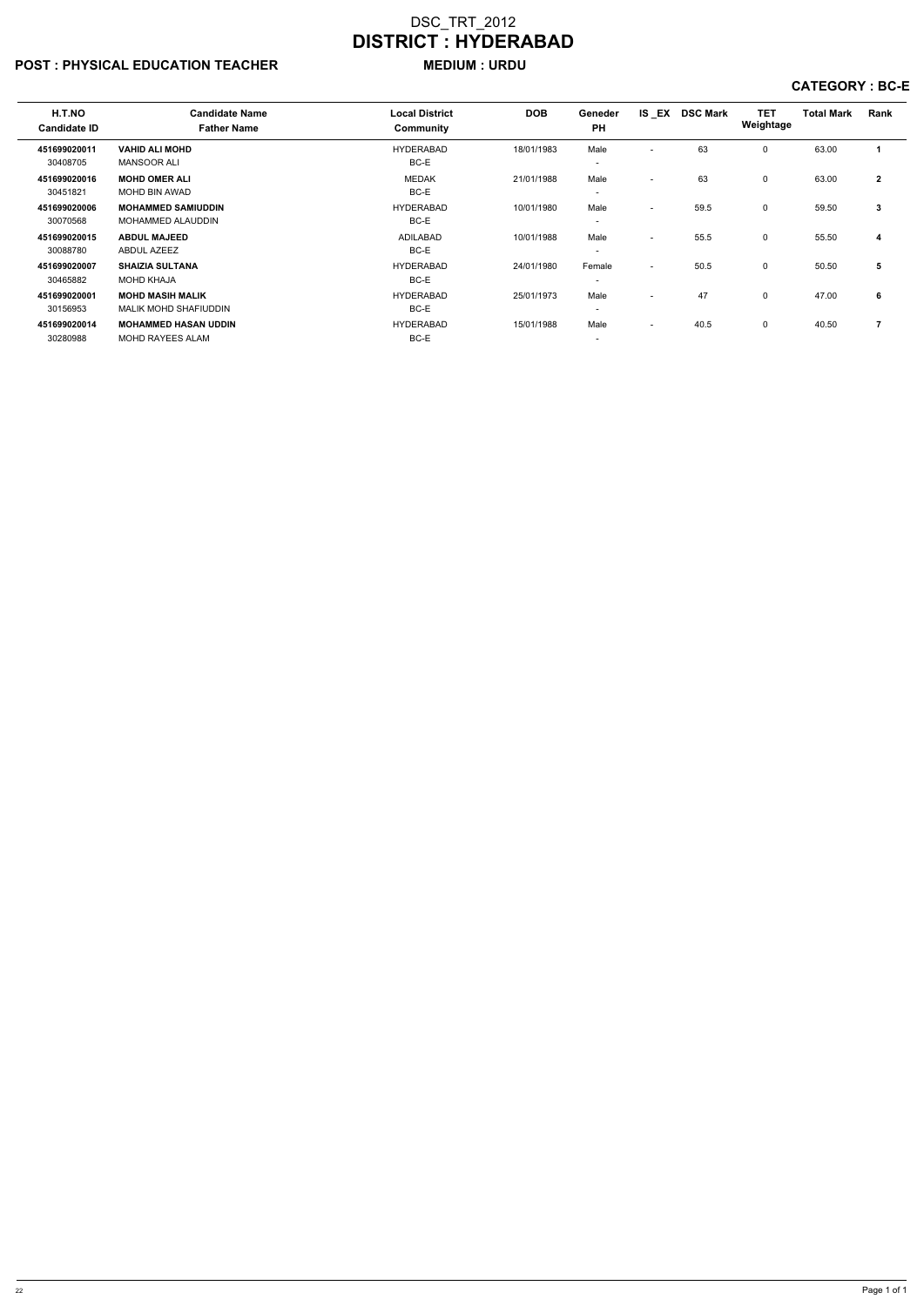# POST : PHYSICAL EDUCATION TEACHER MEDIUM : URDU

#### CATEGORY : BC-E

| H.T.NO              | <b>Candidate Name</b>        | <b>Local District</b> | <b>DOB</b> | Geneder                  | IS EX                    | <b>DSC Mark</b> | <b>TET</b>   | <b>Total Mark</b> | Rank         |
|---------------------|------------------------------|-----------------------|------------|--------------------------|--------------------------|-----------------|--------------|-------------------|--------------|
| <b>Candidate ID</b> | <b>Father Name</b>           | Community             |            | <b>PH</b>                |                          |                 | Weightage    |                   |              |
| 451699020011        | <b>VAHID ALI MOHD</b>        | <b>HYDERABAD</b>      | 18/01/1983 | Male                     | $\overline{\phantom{0}}$ | 63              | $\Omega$     | 63.00             | 1            |
| 30408705            | <b>MANSOOR ALI</b>           | BC-E                  |            | $\overline{\phantom{0}}$ |                          |                 |              |                   |              |
| 451699020016        | <b>MOHD OMER ALI</b>         | <b>MEDAK</b>          | 21/01/1988 | Male                     | $\overline{\phantom{0}}$ | 63              | $\Omega$     | 63.00             | $\mathbf{2}$ |
| 30451821            | <b>MOHD BIN AWAD</b>         | BC-E                  |            | $\overline{\phantom{0}}$ |                          |                 |              |                   |              |
| 451699020006        | <b>MOHAMMED SAMIUDDIN</b>    | <b>HYDERABAD</b>      | 10/01/1980 | Male                     | $\overline{\phantom{a}}$ | 59.5            | 0            | 59.50             | 3            |
| 30070568            | <b>MOHAMMED ALAUDDIN</b>     | BC-E                  |            | $\overline{\phantom{0}}$ |                          |                 |              |                   |              |
| 451699020015        | <b>ABDUL MAJEED</b>          | ADILABAD              | 10/01/1988 | Male                     | $\overline{\phantom{0}}$ | 55.5            | $\Omega$     | 55.50             | 4            |
| 30088780            | <b>ABDUL AZEEZ</b>           | BC-E                  |            | $\overline{\phantom{0}}$ |                          |                 |              |                   |              |
| 451699020007        | <b>SHAIZIA SULTANA</b>       | <b>HYDERABAD</b>      | 24/01/1980 | Female                   | $\overline{\phantom{0}}$ | 50.5            | $\mathbf{0}$ | 50.50             | 5            |
| 30465882            | <b>MOHD KHAJA</b>            | BC-E                  |            | $\overline{\phantom{a}}$ |                          |                 |              |                   |              |
| 451699020001        | <b>MOHD MASIH MALIK</b>      | <b>HYDERABAD</b>      | 25/01/1973 | Male                     | $\overline{\phantom{0}}$ | 47              | 0            | 47.00             | 6            |
| 30156953            | <b>MALIK MOHD SHAFIUDDIN</b> | BC-E                  |            | $\overline{\phantom{0}}$ |                          |                 |              |                   |              |
| 451699020014        | <b>MOHAMMED HASAN UDDIN</b>  | <b>HYDERABAD</b>      | 15/01/1988 | Male                     | $\overline{\phantom{0}}$ | 40.5            | $\Omega$     | 40.50             | 7            |
| 30280988            | <b>MOHD RAYEES ALAM</b>      | BC-E                  |            | $\overline{\phantom{0}}$ |                          |                 |              |                   |              |
|                     |                              |                       |            |                          |                          |                 |              |                   |              |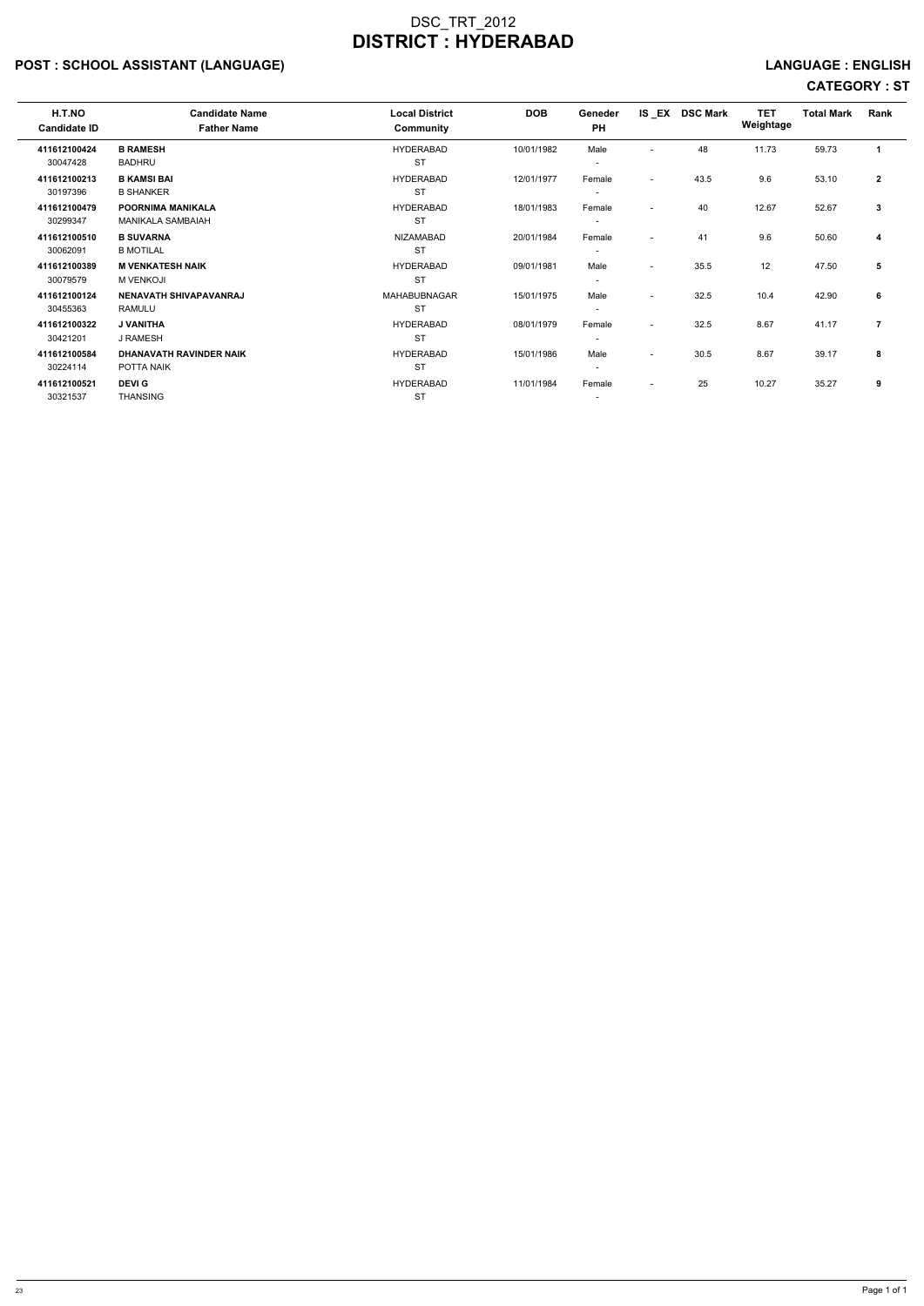# POST : SCHOOL ASSISTANT (LANGUAGE) And the state of the state of the state of the state of the state of the state of the state of the state of the state of the state of the state of the state of the state of the state of t

| H.T.NO<br><b>Candidate ID</b> | <b>Candidate Name</b><br><b>Father Name</b> | <b>Local District</b><br>Community | <b>DOB</b> | Geneder<br><b>PH</b>     |                          | IS EX DSC Mark | <b>TET</b><br>Weightage | <b>Total Mark</b> | Rank         |
|-------------------------------|---------------------------------------------|------------------------------------|------------|--------------------------|--------------------------|----------------|-------------------------|-------------------|--------------|
| 411612100424                  | <b>B RAMESH</b>                             | <b>HYDERABAD</b>                   | 10/01/1982 | Male                     | $\overline{\phantom{a}}$ | 48             | 11.73                   | 59.73             |              |
| 30047428                      | <b>BADHRU</b>                               | <b>ST</b>                          |            | $\overline{\phantom{a}}$ |                          |                |                         |                   |              |
| 411612100213                  | <b>B KAMSI BAI</b>                          | <b>HYDERABAD</b>                   | 12/01/1977 | Female                   | $\overline{\phantom{a}}$ | 43.5           | 9.6                     | 53.10             | $\mathbf{2}$ |
| 30197396                      | <b>B SHANKER</b>                            | <b>ST</b>                          |            | $\overline{\phantom{a}}$ |                          |                |                         |                   |              |
| 411612100479                  | <b>POORNIMA MANIKALA</b>                    | <b>HYDERABAD</b>                   | 18/01/1983 | Female                   | $\overline{\phantom{a}}$ | 40             | 12.67                   | 52.67             | 3            |
| 30299347                      | <b>MANIKALA SAMBAIAH</b>                    | <b>ST</b>                          |            | $\overline{\phantom{a}}$ |                          |                |                         |                   |              |
| 411612100510                  | <b>B SUVARNA</b>                            | <b>NIZAMABAD</b>                   | 20/01/1984 | Female                   | $\overline{\phantom{a}}$ | 41             | 9.6                     | 50.60             | 4            |
| 30062091                      | <b>B MOTILAL</b>                            | <b>ST</b>                          |            | $\overline{\phantom{a}}$ |                          |                |                         |                   |              |
| 411612100389                  | <b>M VENKATESH NAIK</b>                     | <b>HYDERABAD</b>                   | 09/01/1981 | Male                     | $\overline{\phantom{a}}$ | 35.5           | 12                      | 47.50             | 5            |
| 30079579                      | <b>M VENKOJI</b>                            | <b>ST</b>                          |            | $\overline{\phantom{a}}$ |                          |                |                         |                   |              |
| 411612100124                  | NENAVATH SHIVAPAVANRAJ                      | <b>MAHABUBNAGAR</b>                | 15/01/1975 | Male                     | $\overline{\phantom{a}}$ | 32.5           | 10.4                    | 42.90             | 6            |
| 30455363                      | RAMULU                                      | <b>ST</b>                          |            | $\overline{\phantom{a}}$ |                          |                |                         |                   |              |
| 411612100322                  | J VANITHA                                   | <b>HYDERABAD</b>                   | 08/01/1979 | Female                   | $\overline{\phantom{0}}$ | 32.5           | 8.67                    | 41.17             | 7            |
| 30421201                      | J RAMESH                                    | <b>ST</b>                          |            | $\overline{\phantom{a}}$ |                          |                |                         |                   |              |
| 411612100584                  | <b>DHANAVATH RAVINDER NAIK</b>              | <b>HYDERABAD</b>                   | 15/01/1986 | Male                     | $\overline{\phantom{a}}$ | 30.5           | 8.67                    | 39.17             | 8            |
| 30224114                      | POTTA NAIK                                  | <b>ST</b>                          |            | $\overline{\phantom{a}}$ |                          |                |                         |                   |              |
| 411612100521                  | <b>DEVIG</b>                                | <b>HYDERABAD</b>                   | 11/01/1984 | Female                   | $\overline{\phantom{a}}$ | 25             | 10.27                   | 35.27             | 9            |
| 30321537                      | <b>THANSING</b>                             | <b>ST</b>                          |            | $\overline{\phantom{a}}$ |                          |                |                         |                   |              |
|                               |                                             |                                    |            |                          |                          |                |                         |                   |              |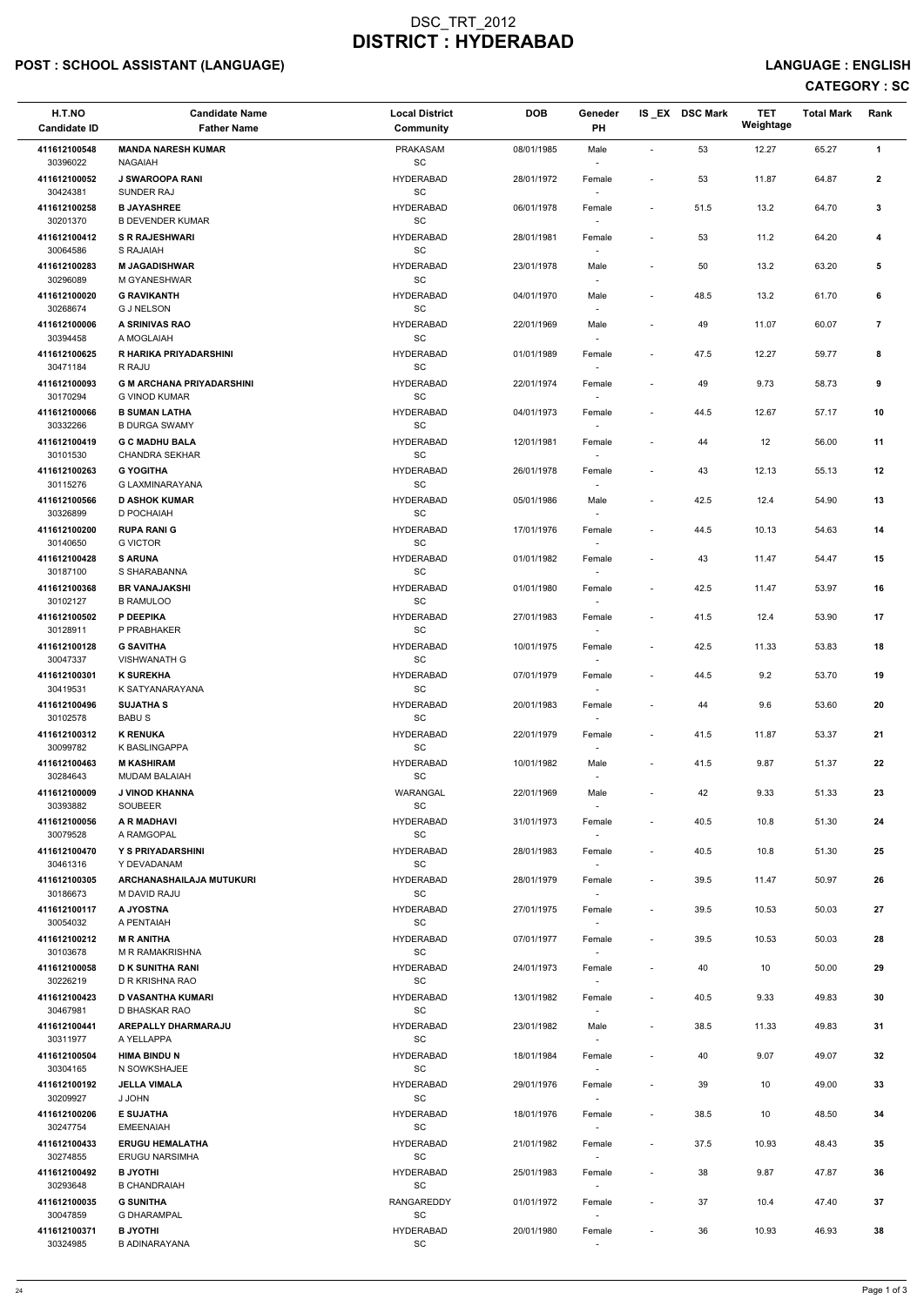# POST : SCHOOL ASSISTANT (LANGUAGE) And the state of the state of the state of the state of the state of the state of the state of the state of the state of the state of the state of the state of the state of the state of t

| H.T.NO                   | <b>Candidate Name</b>                                    | <b>Local District</b>                            | <b>DOB</b> | Geneder                            |                          | IS_EX DSC Mark | TET<br>Weightage | <b>Total Mark</b> | Rank           |
|--------------------------|----------------------------------------------------------|--------------------------------------------------|------------|------------------------------------|--------------------------|----------------|------------------|-------------------|----------------|
| <b>Candidate ID</b>      | <b>Father Name</b>                                       | <b>Community</b>                                 |            | <b>PH</b>                          |                          |                |                  |                   |                |
| 411612100548<br>30396022 | <b>MANDA NARESH KUMAR</b><br><b>NAGAIAH</b>              | <b>PRAKASAM</b><br><b>SC</b>                     | 08/01/1985 | Male                               |                          | 53             | 12.27            | 65.27             | $\mathbf{1}$   |
| 411612100052<br>30424381 | <b>J SWAROOPA RANI</b><br>SUNDER RAJ                     | <b>HYDERABAD</b><br>$\operatorname{\textsf{SC}}$ | 28/01/1972 | Female                             | $\blacksquare$           | 53             | 11.87            | 64.87             | $\overline{2}$ |
| 411612100258<br>30201370 | <b>B JAYASHREE</b><br><b>B DEVENDER KUMAR</b>            | <b>HYDERABAD</b><br>SC                           | 06/01/1978 | Female                             | $\overline{\phantom{a}}$ | 51.5           | 13.2             | 64.70             | 3              |
| 411612100412<br>30064586 | <b>S R RAJESHWARI</b><br>S RAJAIAH                       | <b>HYDERABAD</b><br>SC                           | 28/01/1981 | Female                             | $\overline{\phantom{a}}$ | 53             | 11.2             | 64.20             | 4              |
| 411612100283<br>30296089 | <b>M JAGADISHWAR</b><br>M GYANESHWAR                     | <b>HYDERABAD</b><br>SC                           | 23/01/1978 | Male                               |                          | 50             | 13.2             | 63.20             | 5              |
| 411612100020<br>30268674 | <b>G RAVIKANTH</b><br><b>G J NELSON</b>                  | <b>HYDERABAD</b><br>SC                           | 04/01/1970 | Male<br>$\sim$                     | $\overline{\phantom{a}}$ | 48.5           | 13.2             | 61.70             | 6              |
| 411612100006<br>30394458 | A SRINIVAS RAO<br>A MOGLAIAH                             | <b>HYDERABAD</b><br>SC                           | 22/01/1969 | Male                               |                          | 49             | 11.07            | 60.07             | 7              |
| 411612100625<br>30471184 | R HARIKA PRIYADARSHINI<br>R RAJU                         | <b>HYDERABAD</b><br>SC                           | 01/01/1989 | Female                             | $\overline{\phantom{a}}$ | 47.5           | 12.27            | 59.77             | 8              |
| 411612100093<br>30170294 | <b>G M ARCHANA PRIYADARSHINI</b><br><b>G VINOD KUMAR</b> | <b>HYDERABAD</b><br>SC                           | 22/01/1974 | Female<br>$\overline{\phantom{a}}$ |                          | 49             | 9.73             | 58.73             | 9              |
| 411612100066<br>30332266 | <b>B SUMAN LATHA</b><br><b>B DURGA SWAMY</b>             | <b>HYDERABAD</b><br>SC                           | 04/01/1973 | Female<br>$\overline{\phantom{a}}$ | $\overline{\phantom{a}}$ | 44.5           | 12.67            | 57.17             | 10             |
| 411612100419<br>30101530 | <b>G C MADHU BALA</b><br><b>CHANDRA SEKHAR</b>           | <b>HYDERABAD</b><br>SC                           | 12/01/1981 | Female                             |                          | 44             | 12               | 56.00             | 11             |
| 411612100263<br>30115276 | <b>G YOGITHA</b><br>G LAXMINARAYANA                      | <b>HYDERABAD</b><br><b>SC</b>                    | 26/01/1978 | Female                             | $\overline{\phantom{a}}$ | 43             | 12.13            | 55.13             | 12             |
| 411612100566<br>30326899 | <b>D ASHOK KUMAR</b><br>D POCHAIAH                       | <b>HYDERABAD</b><br>SC                           | 05/01/1986 | Male<br>$\sim$                     | $\overline{\phantom{a}}$ | 42.5           | 12.4             | 54.90             | 13             |
| 411612100200<br>30140650 | <b>RUPA RANI G</b><br><b>G VICTOR</b>                    | <b>HYDERABAD</b><br><b>SC</b>                    | 17/01/1976 | Female<br>$\overline{\phantom{a}}$ | $\overline{\phantom{a}}$ | 44.5           | 10.13            | 54.63             | 14             |
| 411612100428<br>30187100 | <b>S ARUNA</b><br>S SHARABANNA                           | <b>HYDERABAD</b><br>SC                           | 01/01/1982 | Female                             | $\overline{\phantom{a}}$ | 43             | 11.47            | 54.47             | 15             |
| 411612100368<br>30102127 | <b>BR VANAJAKSHI</b><br><b>B RAMULOO</b>                 | <b>HYDERABAD</b><br>SC                           | 01/01/1980 | Female                             | $\overline{\phantom{a}}$ | 42.5           | 11.47            | 53.97             | 16             |
| 411612100502<br>30128911 | P DEEPIKA<br>P PRABHAKER                                 | <b>HYDERABAD</b><br>SC                           | 27/01/1983 | Female<br>$\sim$                   | $\overline{\phantom{a}}$ | 41.5           | 12.4             | 53.90             | 17             |
| 411612100128<br>30047337 | <b>G SAVITHA</b><br><b>VISHWANATH G</b>                  | <b>HYDERABAD</b><br><b>SC</b>                    | 10/01/1975 | Female                             | $\overline{\phantom{a}}$ | 42.5           | 11.33            | 53.83             | 18             |
| 411612100301<br>30419531 | <b>K SUREKHA</b><br>K SATYANARAYANA                      | <b>HYDERABAD</b><br><b>SC</b>                    | 07/01/1979 | Female                             | $\overline{\phantom{a}}$ | 44.5           | 9.2              | 53.70             | 19             |
| 411612100496<br>30102578 | <b>SUJATHA S</b><br><b>BABUS</b>                         | <b>HYDERABAD</b><br>SC                           | 20/01/1983 | Female<br>$\sim$                   | $\blacksquare$           | 44             | 9.6              | 53.60             | 20             |
| 411612100312<br>30099782 | <b>K RENUKA</b><br>K BASLINGAPPA                         | <b>HYDERABAD</b><br>SC                           | 22/01/1979 | Female<br>$\overline{\phantom{a}}$ | $\overline{\phantom{a}}$ | 41.5           | 11.87            | 53.37             | 21             |
| 411612100463<br>30284643 | <b>M KASHIRAM</b><br><b>MUDAM BALAIAH</b>                | <b>HYDERABAD</b><br><b>SC</b>                    | 10/01/1982 | Male<br>$\overline{\phantom{a}}$   | $\overline{\phantom{a}}$ | 41.5           | 9.87             | 51.37             | 22             |
| 411612100009<br>30393882 | J VINOD KHANNA<br>SOUBEER                                | WARANGAL<br>SC                                   | 22/01/1969 | Male                               |                          | 42             | 9.33             | 51.33             | 23             |
| 411612100056<br>30079528 | <b>A R MADHAVI</b><br>A RAMGOPAL                         | <b>HYDERABAD</b><br>SC                           | 31/01/1973 | Female<br>$\sim$                   | $\overline{\phantom{a}}$ | 40.5           | 10.8             | 51.30             | 24             |
| 411612100470<br>30461316 | Y S PRIYADARSHINI<br>Y DEVADANAM                         | <b>HYDERABAD</b><br>SC                           | 28/01/1983 | Female<br>$\overline{\phantom{a}}$ |                          | 40.5           | 10.8             | 51.30             | 25             |
| 411612100305<br>30186673 | ARCHANASHAILAJA MUTUKURI<br>M DAVID RAJU                 | <b>HYDERABAD</b><br><b>SC</b>                    | 28/01/1979 | Female<br>$\sim$                   | $\overline{\phantom{a}}$ | 39.5           | 11.47            | 50.97             | 26             |
| 411612100117<br>30054032 | A JYOSTNA<br>A PENTAIAH                                  | <b>HYDERABAD</b><br>SC                           | 27/01/1975 | Female                             | $\blacksquare$           | 39.5           | 10.53            | 50.03             | 27             |
| 411612100212<br>30103678 | <b>M R ANITHA</b><br><b>M R RAMAKRISHNA</b>              | <b>HYDERABAD</b><br>SC                           | 07/01/1977 | Female                             | $\overline{\phantom{a}}$ | 39.5           | 10.53            | 50.03             | 28             |
| 411612100058<br>30226219 | <b>D K SUNITHA RANI</b><br>D R KRISHNA RAO               | <b>HYDERABAD</b><br>SC                           | 24/01/1973 | Female<br>$\sim$                   | $\overline{\phantom{a}}$ | 40             | 10               | 50.00             | 29             |

| 411612100423 | <b>D VASANTHA KUMARI</b>   | <b>HYDERABAD</b>  | 13/01/1982 | Female                   | $\overline{\phantom{0}}$ | 40.5 | 9.33  | 49.83 | 30 |
|--------------|----------------------------|-------------------|------------|--------------------------|--------------------------|------|-------|-------|----|
| 30467981     | D BHASKAR RAO              | SC                |            |                          |                          |      |       |       |    |
| 411612100441 | <b>AREPALLY DHARMARAJU</b> | <b>HYDERABAD</b>  | 23/01/1982 | Male                     | $\overline{\phantom{0}}$ | 38.5 | 11.33 | 49.83 | 31 |
| 30311977     | A YELLAPPA                 | SC                |            | $\overline{\phantom{a}}$ |                          |      |       |       |    |
| 411612100504 | <b>HIMA BINDU N</b>        | <b>HYDERABAD</b>  | 18/01/1984 | Female                   | $\overline{\phantom{0}}$ | 40   | 9.07  | 49.07 | 32 |
| 30304165     | N SOWKSHAJEE               | SC                |            |                          |                          |      |       |       |    |
| 411612100192 | <b>JELLA VIMALA</b>        | <b>HYDERABAD</b>  | 29/01/1976 | Female                   | $\overline{\phantom{0}}$ | 39   | 10    | 49.00 | 33 |
| 30209927     | J JOHN                     | SC                |            |                          |                          |      |       |       |    |
| 411612100206 | <b>E SUJATHA</b>           | <b>HYDERABAD</b>  | 18/01/1976 | Female                   | $\sim$                   | 38.5 | 10    | 48.50 | 34 |
| 30247754     | <b>EMEENAIAH</b>           | SC                |            | $\overline{\phantom{a}}$ |                          |      |       |       |    |
| 411612100433 | <b>ERUGU HEMALATHA</b>     | <b>HYDERABAD</b>  | 21/01/1982 | Female                   | $\sim$                   | 37.5 | 10.93 | 48.43 | 35 |
| 30274855     | <b>ERUGU NARSIMHA</b>      | SC                |            | $\overline{\phantom{a}}$ |                          |      |       |       |    |
| 411612100492 | <b>B JYOTHI</b>            | <b>HYDERABAD</b>  | 25/01/1983 | Female                   | $\sim$                   | 38   | 9.87  | 47.87 | 36 |
| 30293648     | <b>B CHANDRAIAH</b>        | SC                |            |                          |                          |      |       |       |    |
| 411612100035 | <b>G SUNITHA</b>           | <b>RANGAREDDY</b> | 01/01/1972 | Female                   | $\sim$                   | 37   | 10.4  | 47.40 | 37 |
| 30047859     | <b>G DHARAMPAL</b>         | SC                |            |                          |                          |      |       |       |    |
| 411612100371 | <b>B JYOTHI</b>            | <b>HYDERABAD</b>  | 20/01/1980 | Female                   | $\overline{\phantom{a}}$ | 36   | 10.93 | 46.93 | 38 |
| 30324985     | <b>B ADINARAYANA</b>       | SC                |            |                          |                          |      |       |       |    |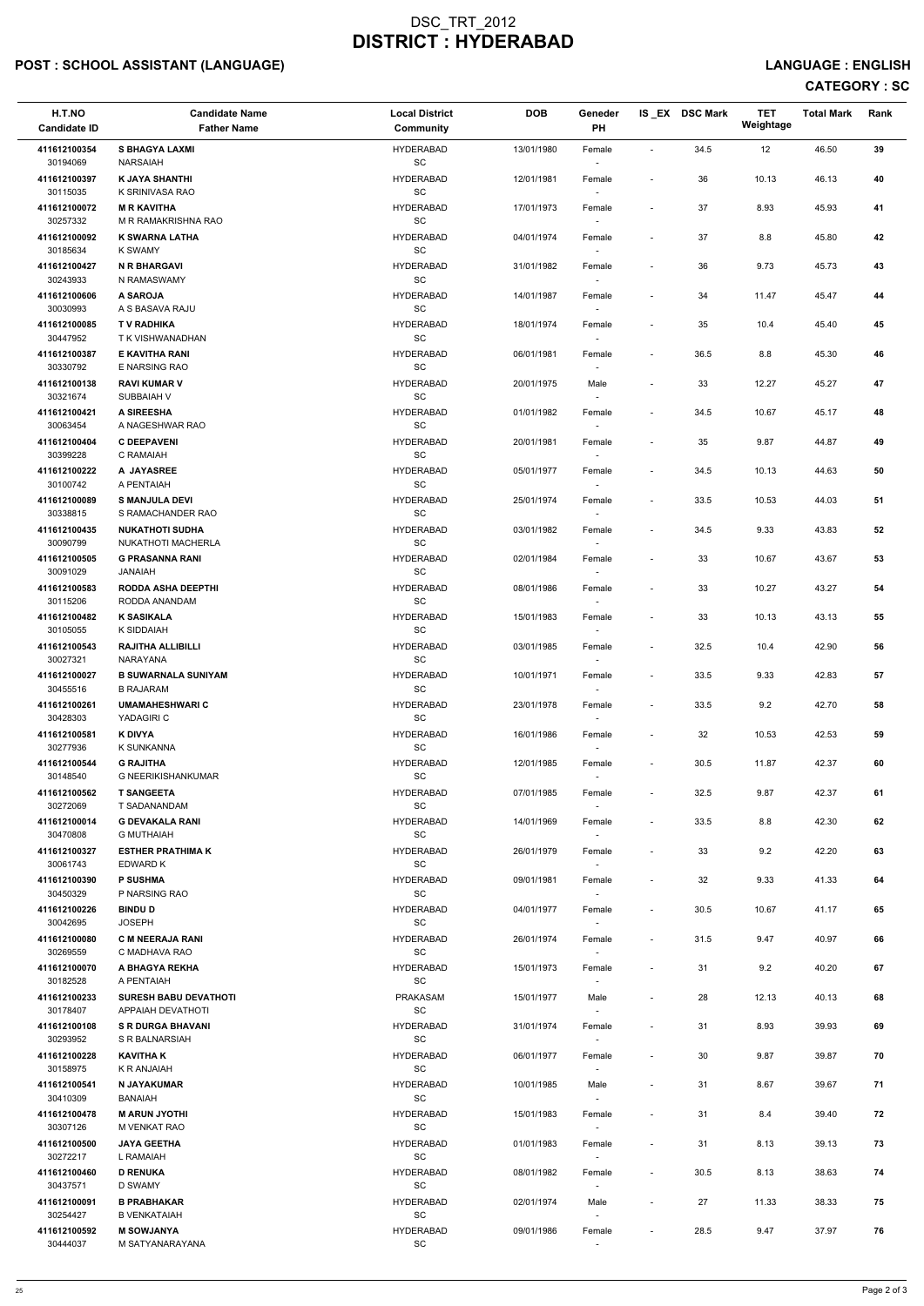# POST : SCHOOL ASSISTANT (LANGUAGE) And the state of the state of the state of the state of the state of the state of the state of the state of the state of the state of the state of the state of the state of the state of t

| H.T.NO<br><b>Candidate ID</b> | <b>Candidate Name</b><br><b>Father Name</b>    | <b>Local District</b><br>Community | <b>DOB</b> | Geneder<br><b>PH</b>               |                          | IS EX DSC Mark | <b>TET</b><br>Weightage | <b>Total Mark</b> | Rank       |
|-------------------------------|------------------------------------------------|------------------------------------|------------|------------------------------------|--------------------------|----------------|-------------------------|-------------------|------------|
| 411612100354<br>30194069      | <b>S BHAGYA LAXMI</b><br><b>NARSAIAH</b>       | <b>HYDERABAD</b><br>SC             | 13/01/1980 | Female                             | $\blacksquare$           | 34.5           | 12                      | 46.50             | 39         |
| 411612100397<br>30115035      | <b>K JAYA SHANTHI</b><br>K SRINIVASA RAO       | <b>HYDERABAD</b><br>SC             | 12/01/1981 | Female<br>$\overline{\phantom{a}}$ | $\overline{\phantom{a}}$ | 36             | 10.13                   | 46.13             | 40         |
| 411612100072<br>30257332      | <b>M R KAVITHA</b><br>M R RAMAKRISHNA RAO      | <b>HYDERABAD</b><br>SC             | 17/01/1973 | Female                             | $\overline{\phantom{a}}$ | 37             | 8.93                    | 45.93             | 41         |
| 411612100092<br>30185634      | <b>K SWARNA LATHA</b><br>K SWAMY               | <b>HYDERABAD</b><br>SC             | 04/01/1974 | Female<br>$\sim$                   | $\overline{\phantom{a}}$ | 37             | 8.8                     | 45.80             | 42         |
| 411612100427<br>30243933      | <b>N R BHARGAVI</b><br>N RAMASWAMY             | <b>HYDERABAD</b><br>SC             | 31/01/1982 | Female                             | $\tilde{\phantom{a}}$    | 36             | 9.73                    | 45.73             | 43         |
| 411612100606<br>30030993      | A SAROJA<br>A S BASAVA RAJU                    | <b>HYDERABAD</b><br>SC             | 14/01/1987 | Female<br>$\sim$                   | $\overline{\phantom{a}}$ | 34             | 11.47                   | 45.47             | 44         |
| 411612100085<br>30447952      | <b>TV RADHIKA</b><br>T K VISHWANADHAN          | <b>HYDERABAD</b><br><b>SC</b>      | 18/01/1974 | Female                             | $\overline{\phantom{a}}$ | 35             | 10.4                    | 45.40             | 45         |
| 411612100387<br>30330792      | <b>E KAVITHA RANI</b><br>E NARSING RAO         | <b>HYDERABAD</b><br>SC             | 06/01/1981 | Female                             | $\blacksquare$           | 36.5           | 8.8                     | 45.30             | 46         |
| 411612100138<br>30321674      | <b>RAVI KUMAR V</b><br>SUBBAIAH V              | <b>HYDERABAD</b><br>SC             | 20/01/1975 | Male<br>$\sim$                     | $\overline{\phantom{a}}$ | 33             | 12.27                   | 45.27             | 47         |
| 411612100421<br>30063454      | A SIREESHA<br>A NAGESHWAR RAO                  | <b>HYDERABAD</b><br>SC             | 01/01/1982 | Female<br>$\sim$                   | $\blacksquare$           | 34.5           | 10.67                   | 45.17             | 48         |
| 411612100404<br>30399228      | <b>C DEEPAVENI</b><br>C RAMAIAH                | <b>HYDERABAD</b><br><b>SC</b>      | 20/01/1981 | Female                             | $\overline{\phantom{a}}$ | 35             | 9.87                    | 44.87             | 49         |
| 411612100222<br>30100742      | A JAYASREE<br>A PENTAIAH                       | <b>HYDERABAD</b><br>SC             | 05/01/1977 | Female                             | $\blacksquare$           | 34.5           | 10.13                   | 44.63             | 50         |
| 411612100089<br>30338815      | <b>S MANJULA DEVI</b><br>S RAMACHANDER RAO     | <b>HYDERABAD</b><br>SC             | 25/01/1974 | Female<br>$\sim$                   | $\overline{\phantom{a}}$ | 33.5           | 10.53                   | 44.03             | 51         |
| 411612100435<br>30090799      | <b>NUKATHOTI SUDHA</b><br>NUKATHOTI MACHERLA   | <b>HYDERABAD</b><br>SC             | 03/01/1982 | Female<br>$\overline{\phantom{a}}$ | $\overline{\phantom{a}}$ | 34.5           | 9.33                    | 43.83             | 52         |
| 411612100505<br>30091029      | <b>G PRASANNA RANI</b><br><b>JANAIAH</b>       | <b>HYDERABAD</b><br>SC             | 02/01/1984 | Female                             | $\overline{\phantom{a}}$ | 33             | 10.67                   | 43.67             | 53         |
| 411612100583<br>30115206      | <b>RODDA ASHA DEEPTHI</b><br>RODDA ANANDAM     | <b>HYDERABAD</b><br>SC             | 08/01/1986 | Female                             | $\overline{\phantom{a}}$ | 33             | 10.27                   | 43.27             | 54         |
| 411612100482<br>30105055      | <b>K SASIKALA</b><br>K SIDDAIAH                | <b>HYDERABAD</b><br>SC             | 15/01/1983 | Female<br>$\sim$                   | $\overline{\phantom{a}}$ | 33             | 10.13                   | 43.13             | 55         |
| 411612100543<br>30027321      | <b>RAJITHA ALLIBILLI</b><br>NARAYANA           | <b>HYDERABAD</b><br><b>SC</b>      | 03/01/1985 | Female<br>$\sim$                   | $\sim$                   | 32.5           | 10.4                    | 42.90             | 56         |
| 411612100027<br>30455516      | <b>B SUWARNALA SUNIYAM</b><br><b>B RAJARAM</b> | <b>HYDERABAD</b><br><b>SC</b>      | 10/01/1971 | Female                             | $\sim$                   | 33.5           | 9.33                    | 42.83             | ${\bf 57}$ |
| 411612100261<br>30428303      | <b>UMAMAHESHWARI C</b><br>YADAGIRI C           | <b>HYDERABAD</b><br><b>SC</b>      | 23/01/1978 | Female<br>$\sim$                   | $\sim$                   | 33.5           | 9.2                     | 42.70             | 58         |
| 411612100581<br>30277936      | K DIVYA<br>K SUNKANNA                          | <b>HYDERABAD</b><br><b>SC</b>      | 16/01/1986 | Female<br>$\sim$                   | $\blacksquare$           | 32             | 10.53                   | 42.53             | 59         |
| 411612100544<br>30148540      | <b>G RAJITHA</b><br>G NEERIKISHANKUMAR         | <b>HYDERABAD</b><br>SC             | 12/01/1985 | Female<br>$\sim$                   | $\blacksquare$           | 30.5           | 11.87                   | 42.37             | 60         |
| 411612100562<br>30272069      | <b>T SANGEETA</b><br>T SADANANDAM              | <b>HYDERABAD</b><br>SC             | 07/01/1985 | Female                             | $\overline{\phantom{a}}$ | 32.5           | 9.87                    | 42.37             | 61         |
| 411612100014<br>30470808      | <b>G DEVAKALA RANI</b><br><b>G MUTHAIAH</b>    | <b>HYDERABAD</b><br><b>SC</b>      | 14/01/1969 | Female<br>$\sim$                   | $\overline{\phantom{a}}$ | 33.5           | 8.8                     | 42.30             | 62         |
| 411612100327<br>30061743      | <b>ESTHER PRATHIMA K</b><br>EDWARD K           | <b>HYDERABAD</b><br><b>SC</b>      | 26/01/1979 | Female<br>$\sim$                   |                          | 33             | 9.2                     | 42.20             | 63         |
| 411612100390<br>30450329      | <b>P SUSHMA</b><br>P NARSING RAO               | <b>HYDERABAD</b><br>SC             | 09/01/1981 | Female<br>$\sim$                   | $\overline{\phantom{a}}$ | 32             | 9.33                    | 41.33             | 64         |
| 411612100226<br>30042695      | <b>BINDU D</b><br><b>JOSEPH</b>                | <b>HYDERABAD</b><br><b>SC</b>      | 04/01/1977 | Female<br>$\sim$                   | $\sim$                   | 30.5           | 10.67                   | 41.17             | 65         |
| 411612100080<br>30269559      | <b>C M NEERAJA RANI</b><br>C MADHAVA RAO       | <b>HYDERABAD</b><br><b>SC</b>      | 26/01/1974 | Female                             | $\overline{\phantom{a}}$ | 31.5           | 9.47                    | 40.97             | 66         |
| 411612100070<br>30182528      | A BHAGYA REKHA<br>A PENTAIAH                   | <b>HYDERABAD</b><br>SC             | 15/01/1973 | Female<br>$\sim$                   |                          | 31             | 9.2                     | 40.20             | 67         |

| 411612100233 | <b>SURESH BABU DEVATHOTI</b> | <b>PRAKASAM</b>  | 15/01/1977 | Male                     |                          | 28   | 12.13 | 40.13 | 68 |
|--------------|------------------------------|------------------|------------|--------------------------|--------------------------|------|-------|-------|----|
| 30178407     | APPAIAH DEVATHOTI            | <b>SC</b>        |            |                          |                          |      |       |       |    |
| 411612100108 | <b>S R DURGA BHAVANI</b>     | <b>HYDERABAD</b> | 31/01/1974 | Female                   | ٠                        | 31   | 8.93  | 39.93 | 69 |
| 30293952     | S R BALNARSIAH               | <b>SC</b>        |            |                          |                          |      |       |       |    |
| 411612100228 | <b>KAVITHA K</b>             | <b>HYDERABAD</b> | 06/01/1977 | Female                   | ٠                        | 30   | 9.87  | 39.87 | 70 |
| 30158975     | K R ANJAIAH                  | SC               |            | -                        |                          |      |       |       |    |
| 411612100541 | N JAYAKUMAR                  | <b>HYDERABAD</b> | 10/01/1985 | Male                     |                          | 31   | 8.67  | 39.67 | 71 |
| 30410309     | BANAIAH                      | SC               |            |                          |                          |      |       |       |    |
| 411612100478 | <b>M ARUN JYOTHI</b>         | <b>HYDERABAD</b> | 15/01/1983 | Female                   | $\overline{\phantom{a}}$ | 31   | 8.4   | 39.40 | 72 |
| 30307126     | M VENKAT RAO                 | <b>SC</b>        |            |                          |                          |      |       |       |    |
| 411612100500 | <b>JAYA GEETHA</b>           | <b>HYDERABAD</b> | 01/01/1983 | Female                   | $\overline{\phantom{a}}$ | 31   | 8.13  | 39.13 | 73 |
| 30272217     | L RAMAIAH                    | <b>SC</b>        |            |                          |                          |      |       |       |    |
| 411612100460 | <b>D RENUKA</b>              | <b>HYDERABAD</b> | 08/01/1982 | Female                   | ٠                        | 30.5 | 8.13  | 38.63 | 74 |
| 30437571     | D SWAMY                      | <b>SC</b>        |            | $\overline{\phantom{a}}$ |                          |      |       |       |    |
| 411612100091 | <b>B PRABHAKAR</b>           | <b>HYDERABAD</b> | 02/01/1974 | Male                     | $\overline{\phantom{a}}$ | 27   | 11.33 | 38.33 | 75 |
| 30254427     | <b>B VENKATAIAH</b>          | SC               |            |                          |                          |      |       |       |    |
| 411612100592 | <b>M SOWJANYA</b>            | <b>HYDERABAD</b> | 09/01/1986 | Female                   | $\sim$                   | 28.5 | 9.47  | 37.97 | 76 |
| 30444037     | M SATYANARAYANA              | SC               |            |                          |                          |      |       |       |    |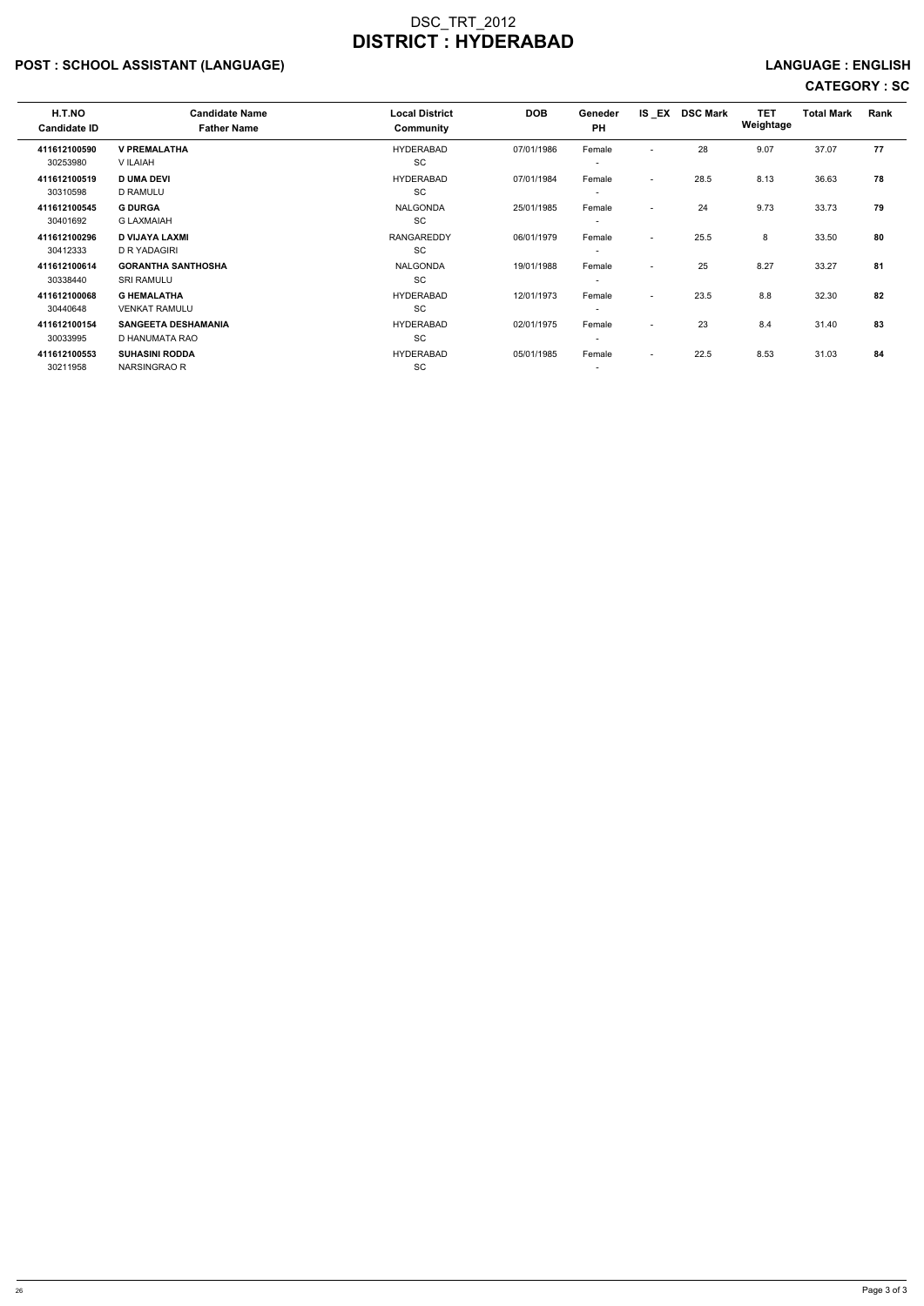# POST : SCHOOL ASSISTANT (LANGUAGE) And the state of the state of the state of the state of the state of the state of the state of the state of the state of the state of the state of the state of the state of the state of t

| H.T.NO<br><b>Candidate ID</b> | <b>Candidate Name</b><br><b>Father Name</b>    | <b>Local District</b><br>Community | <b>DOB</b> | Geneder<br><b>PH</b>               |                          | IS EX DSC Mark | <b>TET</b><br>Weightage | <b>Total Mark</b> | Rank |
|-------------------------------|------------------------------------------------|------------------------------------|------------|------------------------------------|--------------------------|----------------|-------------------------|-------------------|------|
| 411612100590<br>30253980      | <b>V PREMALATHA</b><br>V ILAIAH                | <b>HYDERABAD</b><br>SC             | 07/01/1986 | Female<br>$\overline{\phantom{a}}$ | $\overline{\phantom{0}}$ | 28             | 9.07                    | 37.07             | 77   |
| 411612100519<br>30310598      | <b>D UMA DEVI</b><br><b>D RAMULU</b>           | <b>HYDERABAD</b><br>SC             | 07/01/1984 | Female<br>$\overline{\phantom{a}}$ | $\overline{\phantom{a}}$ | 28.5           | 8.13                    | 36.63             | 78   |
| 411612100545<br>30401692      | <b>G DURGA</b><br><b>G LAXMAIAH</b>            | <b>NALGONDA</b><br>SC              | 25/01/1985 | Female<br>$\overline{\phantom{a}}$ | $\overline{\phantom{a}}$ | 24             | 9.73                    | 33.73             | 79   |
| 411612100296<br>30412333      | <b>D VIJAYA LAXMI</b><br>D R YADAGIRI          | <b>RANGAREDDY</b><br>SC            | 06/01/1979 | Female<br>$\overline{\phantom{a}}$ | $\overline{\phantom{0}}$ | 25.5           | 8                       | 33.50             | 80   |
| 411612100614<br>30338440      | <b>GORANTHA SANTHOSHA</b><br><b>SRI RAMULU</b> | <b>NALGONDA</b><br>SC              | 19/01/1988 | Female<br>$\overline{\phantom{a}}$ | $\overline{\phantom{a}}$ | 25             | 8.27                    | 33.27             | 81   |
| 411612100068<br>30440648      | <b>G HEMALATHA</b><br><b>VENKAT RAMULU</b>     | <b>HYDERABAD</b><br>SC             | 12/01/1973 | Female<br>$\overline{\phantom{a}}$ | $\overline{\phantom{a}}$ | 23.5           | 8.8                     | 32.30             | 82   |
| 411612100154<br>30033995      | <b>SANGEETA DESHAMANIA</b><br>D HANUMATA RAO   | <b>HYDERABAD</b><br>SC             | 02/01/1975 | Female<br>$\overline{\phantom{a}}$ | $\overline{\phantom{0}}$ | 23             | 8.4                     | 31.40             | 83   |
| 411612100553<br>30211958      | <b>SUHASINI RODDA</b><br><b>NARSINGRAO R</b>   | <b>HYDERABAD</b><br>SC             | 05/01/1985 | Female<br>$\overline{\phantom{a}}$ | $\overline{\phantom{0}}$ | 22.5           | 8.53                    | 31.03             | 84   |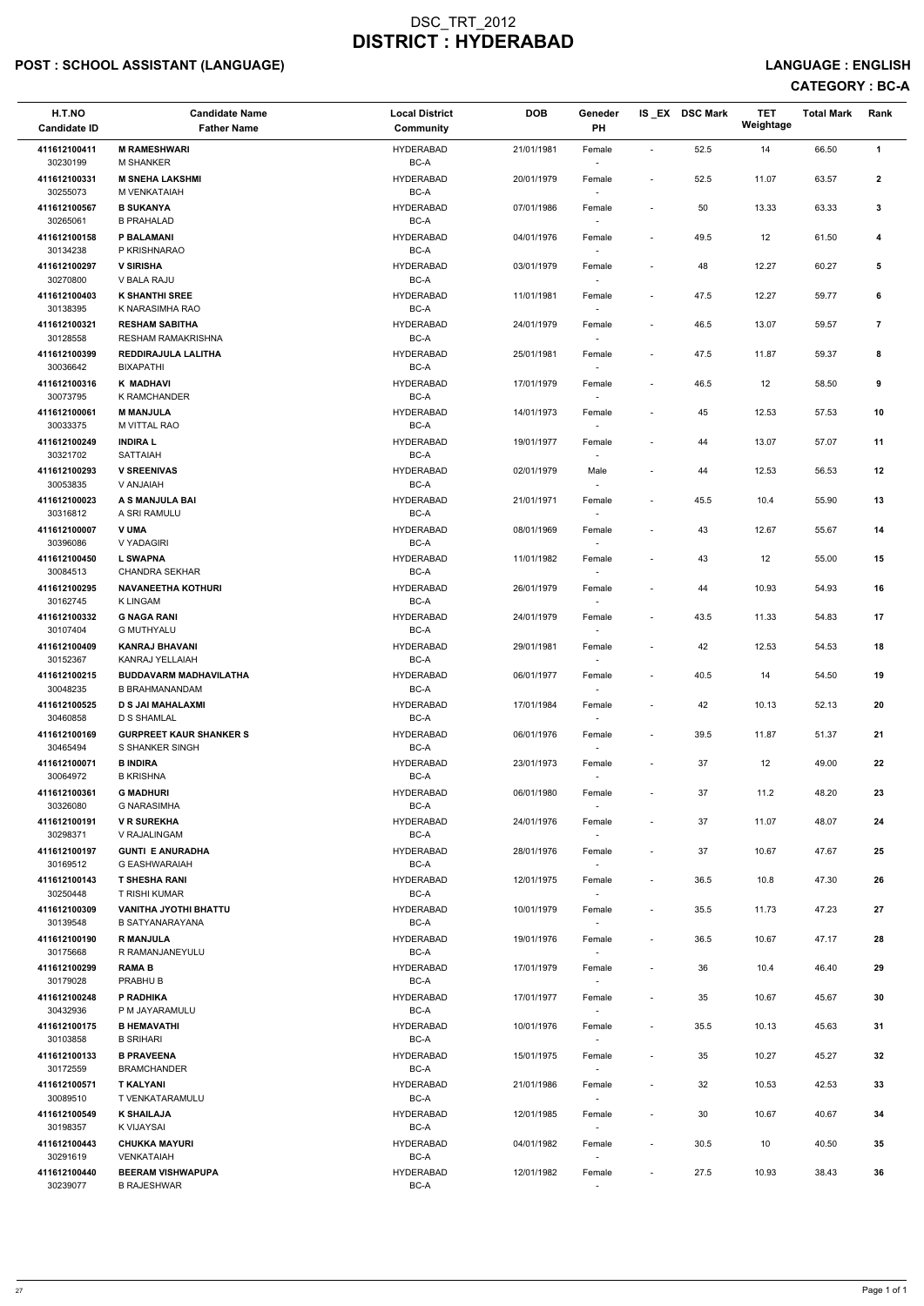# POST : SCHOOL ASSISTANT (LANGUAGE) And the state of the state of the state of the state of the state of the state of the state of the state of the state of the state of the state of the state of the state of the state of t

# CATEGORY : BC-A

| H.T.NO<br><b>Candidate ID</b> | <b>Candidate Name</b><br><b>Father Name</b>            | <b>Local District</b><br>Community | <b>DOB</b> | Geneder<br>PH                      |                          | IS_EX DSC Mark | <b>TET</b><br>Weightage | <b>Total Mark</b> | Rank           |
|-------------------------------|--------------------------------------------------------|------------------------------------|------------|------------------------------------|--------------------------|----------------|-------------------------|-------------------|----------------|
| 411612100411<br>30230199      | <b>M RAMESHWARI</b><br><b>M SHANKER</b>                | <b>HYDERABAD</b><br>BC-A           | 21/01/1981 | Female                             | $\overline{\phantom{a}}$ | 52.5           | 14                      | 66.50             | $\mathbf{1}$   |
| 411612100331<br>30255073      | <b>M SNEHA LAKSHMI</b><br>M VENKATAIAH                 | <b>HYDERABAD</b><br>BC-A           | 20/01/1979 | Female                             | $\overline{\phantom{a}}$ | 52.5           | 11.07                   | 63.57             | $\mathbf{2}$   |
| 411612100567                  | <b>B SUKANYA</b>                                       | <b>HYDERABAD</b>                   | 07/01/1986 | Female                             | $\overline{\phantom{a}}$ | 50             | 13.33                   | 63.33             | 3              |
| 30265061<br>411612100158      | <b>B PRAHALAD</b><br>P BALAMANI                        | BC-A<br><b>HYDERABAD</b>           | 04/01/1976 | Female                             | $\overline{\phantom{a}}$ | 49.5           | 12                      | 61.50             | 4              |
| 30134238<br>411612100297      | P KRISHNARAO<br><b>V SIRISHA</b>                       | BC-A<br><b>HYDERABAD</b>           | 03/01/1979 | Female                             | $\overline{\phantom{a}}$ | 48             | 12.27                   | 60.27             | 5              |
| 30270800<br>411612100403      | V BALA RAJU<br><b>K SHANTHI SREE</b>                   | BC-A<br><b>HYDERABAD</b>           | 11/01/1981 | $\sim$<br>Female                   | $\overline{\phantom{a}}$ | 47.5           | 12.27                   | 59.77             | 6              |
| 30138395                      | K NARASIMHA RAO                                        | BC-A                               |            |                                    |                          |                |                         |                   |                |
| 411612100321<br>30128558      | <b>RESHAM SABITHA</b><br><b>RESHAM RAMAKRISHNA</b>     | <b>HYDERABAD</b><br>BC-A           | 24/01/1979 | Female                             | $\overline{\phantom{a}}$ | 46.5           | 13.07                   | 59.57             | $\overline{7}$ |
| 411612100399<br>30036642      | REDDIRAJULA LALITHA<br><b>BIXAPATHI</b>                | <b>HYDERABAD</b><br>BC-A           | 25/01/1981 | Female<br>$\sim$                   | $\overline{\phantom{a}}$ | 47.5           | 11.87                   | 59.37             | 8              |
| 411612100316<br>30073795      | K MADHAVI<br><b>K RAMCHANDER</b>                       | <b>HYDERABAD</b><br>BC-A           | 17/01/1979 | Female<br>$\overline{\phantom{a}}$ | $\overline{\phantom{a}}$ | 46.5           | 12                      | 58.50             | 9              |
| 411612100061<br>30033375      | <b>M MANJULA</b><br><b>M VITTAL RAO</b>                | <b>HYDERABAD</b><br>BC-A           | 14/01/1973 | Female                             | $\overline{\phantom{a}}$ | 45             | 12.53                   | 57.53             | 10             |
| 411612100249                  | <b>INDIRAL</b>                                         | <b>HYDERABAD</b><br>$BC-A$         | 19/01/1977 | Female                             | $\blacksquare$           | 44             | 13.07                   | 57.07             | 11             |
| 30321702<br>411612100293      | <b>SATTAIAH</b><br><b>V SREENIVAS</b>                  | <b>HYDERABAD</b>                   | 02/01/1979 | Male                               | $\overline{\phantom{m}}$ | 44             | 12.53                   | 56.53             | 12             |
| 30053835<br>411612100023      | V ANJAIAH<br>A S MANJULA BAI                           | $BC-A$<br><b>HYDERABAD</b>         | 21/01/1971 | $\overline{\phantom{a}}$<br>Female | $\overline{\phantom{a}}$ | 45.5           | 10.4                    | 55.90             | 13             |
| 30316812<br>411612100007      | A SRI RAMULU<br><b>V UMA</b>                           | BC-A<br><b>HYDERABAD</b>           | 08/01/1969 | Female                             | $\overline{\phantom{a}}$ | 43             | 12.67                   | 55.67             | 14             |
| 30396086                      | V YADAGIRI                                             | BC-A                               |            |                                    |                          |                |                         |                   |                |
| 411612100450<br>30084513      | <b>L SWAPNA</b><br><b>CHANDRA SEKHAR</b>               | <b>HYDERABAD</b><br>BC-A           | 11/01/1982 | Female                             | $\overline{\phantom{a}}$ | 43             | 12                      | 55.00             | 15             |
| 411612100295<br>30162745      | <b>NAVANEETHA KOTHURI</b><br><b>KLINGAM</b>            | <b>HYDERABAD</b><br>BC-A           | 26/01/1979 | Female<br>$\overline{\phantom{a}}$ | $\overline{\phantom{a}}$ | 44             | 10.93                   | 54.93             | 16             |
| 411612100332<br>30107404      | <b>G NAGA RANI</b><br><b>G MUTHYALU</b>                | <b>HYDERABAD</b><br>BC-A           | 24/01/1979 | Female                             | $\overline{\phantom{a}}$ | 43.5           | 11.33                   | 54.83             | 17             |
| 411612100409<br>30152367      | <b>KANRAJ BHAVANI</b><br>KANRAJ YELLAIAH               | <b>HYDERABAD</b><br>BC-A           | 29/01/1981 | Female                             | $\overline{\phantom{a}}$ | 42             | 12.53                   | 54.53             | 18             |
| 411612100215<br>30048235      | <b>BUDDAVARM MADHAVILATHA</b><br><b>B BRAHMANANDAM</b> | <b>HYDERABAD</b><br>BC-A           | 06/01/1977 | Female<br>$\sim$                   | $\overline{\phantom{a}}$ | 40.5           | 14                      | 54.50             | 19             |
| 411612100525<br>30460858      | <b>D S JAI MAHALAXMI</b><br><b>D S SHAMLAL</b>         | <b>HYDERABAD</b><br>BC-A           | 17/01/1984 | Female                             | $\overline{\phantom{a}}$ | 42             | 10.13                   | 52.13             | 20             |
| 411612100169<br>30465494      | <b>GURPREET KAUR SHANKER S</b><br>S SHANKER SINGH      | <b>HYDERABAD</b><br>BC-A           | 06/01/1976 | Female<br>$\sim$                   | $\overline{\phantom{a}}$ | 39.5           | 11.87                   | 51.37             | 21             |
| 411612100071                  | <b>B INDIRA</b>                                        | HYDERABAD                          | 23/01/1973 | Female                             | $\overline{\phantom{a}}$ | 37             | 12                      | 49.00             | 22             |
| 30064972<br>411612100361      | <b>B KRISHNA</b><br><b>G MADHURI</b>                   | BC-A<br><b>HYDERABAD</b>           | 06/01/1980 | Female                             | $\overline{\phantom{a}}$ | 37             | 11.2                    | 48.20             | 23             |
| 30326080<br>411612100191      | <b>G NARASIMHA</b><br><b>V R SUREKHA</b>               | BC-A<br><b>HYDERABAD</b>           | 24/01/1976 | Female                             | $\overline{\phantom{a}}$ | 37             | 11.07                   | 48.07             | 24             |
| 30298371                      | V RAJALINGAM                                           | BC-A                               |            | $\overline{\phantom{a}}$           |                          |                |                         |                   |                |
| 411612100197<br>30169512      | <b>GUNTI E ANURADHA</b><br><b>G EASHWARAIAH</b>        | <b>HYDERABAD</b><br>BC-A           | 28/01/1976 | Female<br>$\sim$                   | $\overline{\phantom{a}}$ | 37             | 10.67                   | 47.67             | 25             |
| 411612100143<br>30250448      | <b>T SHESHA RANI</b><br>T RISHI KUMAR                  | <b>HYDERABAD</b><br>BC-A           | 12/01/1975 | Female                             | $\overline{\phantom{a}}$ | 36.5           | 10.8                    | 47.30             | 26             |
| 411612100309<br>30139548      | <b>VANITHA JYOTHI BHATTU</b><br><b>B SATYANARAYANA</b> | <b>HYDERABAD</b><br>BC-A           | 10/01/1979 | Female                             | $\overline{\phantom{a}}$ | 35.5           | 11.73                   | 47.23             | 27             |
| 411612100190<br>30175668      | <b>R MANJULA</b><br>R RAMANJANEYULU                    | <b>HYDERABAD</b><br>BC-A           | 19/01/1976 | Female<br>$\sim$                   | $\overline{\phantom{a}}$ | 36.5           | 10.67                   | 47.17             | 28             |
| 411612100299                  | <b>RAMAB</b>                                           | <b>HYDERABAD</b>                   | 17/01/1979 | Female                             | $\overline{\phantom{a}}$ | 36             | 10.4                    | 46.40             | 29             |
| 30179028<br>411612100248      | PRABHU B<br>P RADHIKA                                  | BC-A<br><b>HYDERABAD</b>           | 17/01/1977 | Female                             | $\overline{\phantom{a}}$ | 35             | 10.67                   | 45.67             | 30             |
| 30432936<br>411612100175      | P M JAYARAMULU<br><b>B HEMAVATHI</b>                   | BC-A<br><b>HYDERABAD</b>           | 10/01/1976 | Female                             | $\overline{\phantom{a}}$ | 35.5           | 10.13                   | 45.63             | 31             |
| 30103858<br>411612100133      | <b>B SRIHARI</b><br><b>B PRAVEENA</b>                  | BC-A<br><b>HYDERABAD</b>           | 15/01/1975 | Female                             | $\overline{\phantom{a}}$ | 35             | 10.27                   | 45.27             | 32             |
| 30172559                      | <b>BRAMCHANDER</b>                                     | BC-A                               |            |                                    |                          |                |                         |                   |                |
| 411612100571<br>30089510      | <b>T KALYANI</b><br>T VENKATARAMULU                    | <b>HYDERABAD</b><br>$BC-A$         | 21/01/1986 | Female<br>$\overline{\phantom{a}}$ | $\overline{\phantom{a}}$ | 32             | 10.53                   | 42.53             | 33             |
| 411612100549<br>30198357      | <b>K SHAILAJA</b><br>K VIJAYSAI                        | <b>HYDERABAD</b><br>BC-A           | 12/01/1985 | Female                             | $\overline{a}$           | 30             | 10.67                   | 40.67             | 34             |
| 411612100443<br>30291619      | <b>CHUKKA MAYURI</b><br>VENKATAIAH                     | <b>HYDERABAD</b><br>BC-A           | 04/01/1982 | Female<br>$\overline{\phantom{a}}$ | $\overline{\phantom{a}}$ | $30.5\,$       | 10                      | 40.50             | 35             |
| 411612100440<br>30239077      | <b>BEERAM VISHWAPUPA</b><br><b>B RAJESHWAR</b>         | <b>HYDERABAD</b><br>BC-A           | 12/01/1982 | Female<br>$\sim$                   | $\overline{\phantom{a}}$ | 27.5           | 10.93                   | 38.43             | 36             |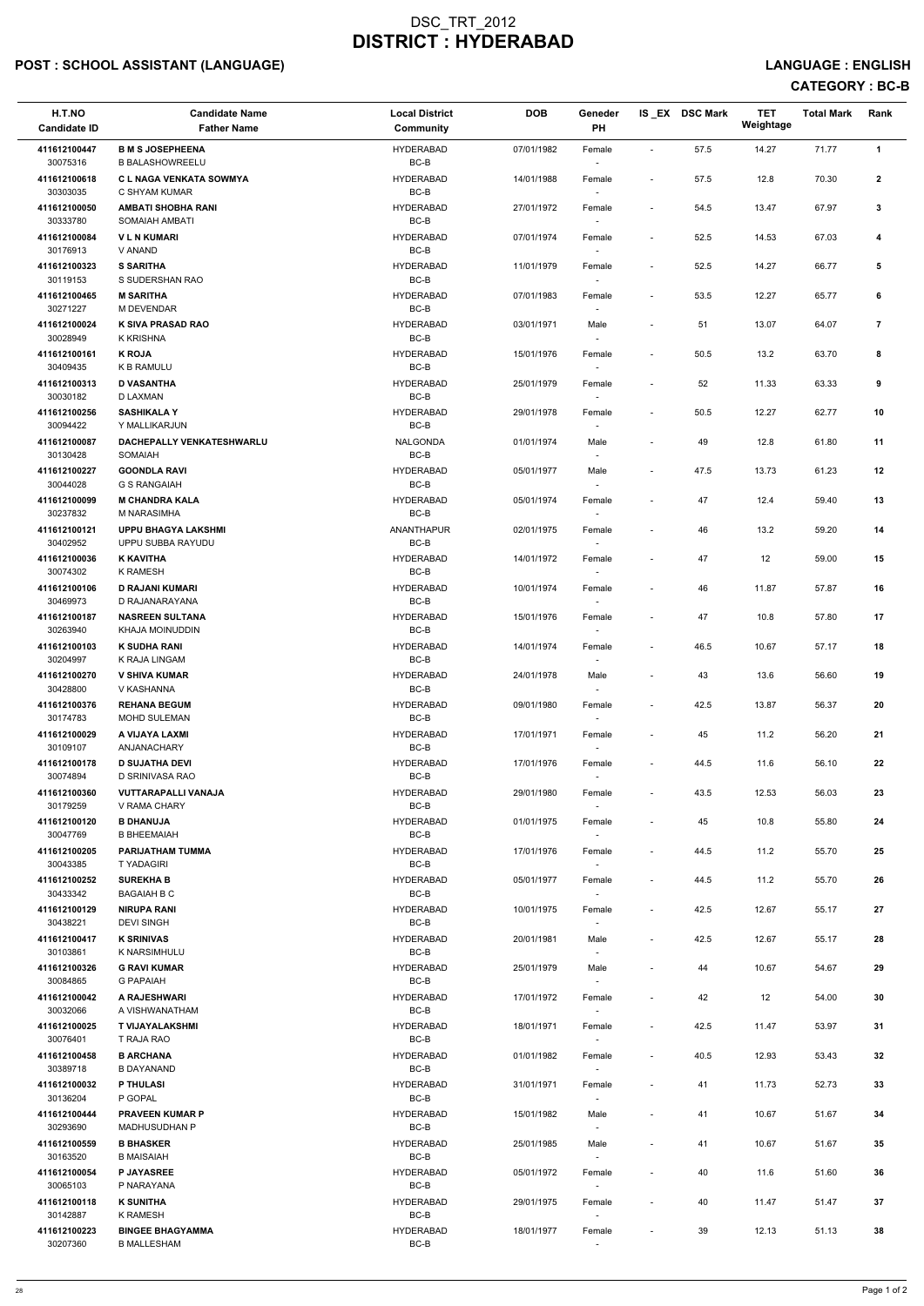# POST : SCHOOL ASSISTANT (LANGUAGE) And the state of the state of the state of the state of the state of the state of the state of the state of the state of the state of the state of the state of the state of the state of t

-

| H.T.NO<br><b>Candidate ID</b>            | <b>Candidate Name</b><br><b>Father Name</b>                            | <b>Local District</b><br><b>Community</b>    | <b>DOB</b>               | Geneder<br>PH                      |                          | IS_EX DSC Mark | <b>TET</b><br>Weightage | <b>Total Mark</b> | Rank           |
|------------------------------------------|------------------------------------------------------------------------|----------------------------------------------|--------------------------|------------------------------------|--------------------------|----------------|-------------------------|-------------------|----------------|
| 411612100447<br>30075316                 | <b>B M S JOSEPHEENA</b><br><b>B BALASHOWREELU</b>                      | <b>HYDERABAD</b><br>BC-B                     | 07/01/1982               | Female<br>$\overline{\phantom{a}}$ | $\sim$                   | 57.5           | 14.27                   | 71.77             | $\mathbf{1}$   |
| 411612100618<br>30303035                 | C L NAGA VENKATA SOWMYA<br>C SHYAM KUMAR                               | <b>HYDERABAD</b><br>BC-B                     | 14/01/1988               | Female                             | $\overline{\phantom{a}}$ | 57.5           | 12.8                    | 70.30             | $\mathbf{2}$   |
| 411612100050<br>30333780                 | <b>AMBATI SHOBHA RANI</b><br>SOMAIAH AMBATI                            | <b>HYDERABAD</b><br>$BC-B$                   | 27/01/1972               | Female<br>$\sim$                   | $\overline{\phantom{a}}$ | 54.5           | 13.47                   | 67.97             | $\mathbf{3}$   |
| 411612100084<br>30176913                 | <b>VLNKUMARI</b><br>V ANAND                                            | <b>HYDERABAD</b><br>BC-B                     | 07/01/1974               | Female<br>$\sim$                   | $\overline{\phantom{a}}$ | 52.5           | 14.53                   | 67.03             | 4              |
| 411612100323<br>30119153                 | <b>S SARITHA</b><br>S SUDERSHAN RAO                                    | <b>HYDERABAD</b><br>BC-B                     | 11/01/1979               | Female<br>$\sim$                   | $\overline{\phantom{a}}$ | 52.5           | 14.27                   | 66.77             | 5              |
| 411612100465<br>30271227                 | <b>M SARITHA</b><br><b>M DEVENDAR</b>                                  | <b>HYDERABAD</b><br>BC-B                     | 07/01/1983               | Female                             | $\overline{\phantom{a}}$ | 53.5           | 12.27                   | 65.77             | 6              |
| 411612100024<br>30028949                 | K SIVA PRASAD RAO<br>K KRISHNA                                         | <b>HYDERABAD</b><br>$BC-B$                   | 03/01/1971               | Male<br>$\sim$                     | $\overline{\phantom{a}}$ | 51             | 13.07                   | 64.07             | $\overline{7}$ |
| 411612100161<br>30409435                 | <b>K ROJA</b><br><b>K B RAMULU</b>                                     | <b>HYDERABAD</b><br>BC-B                     | 15/01/1976               | Female<br>$\sim$                   |                          | 50.5           | 13.2                    | 63.70             | 8              |
| 411612100313<br>30030182                 | <b>D VASANTHA</b><br><b>D LAXMAN</b>                                   | <b>HYDERABAD</b><br>BC-B                     | 25/01/1979               | Female<br>$\sim$                   | $\overline{\phantom{a}}$ | 52             | 11.33                   | 63.33             | 9              |
| 411612100256<br>30094422                 | <b>SASHIKALA Y</b><br>Y MALLIKARJUN                                    | <b>HYDERABAD</b><br>BC-B                     | 29/01/1978               | Female<br>$\overline{\phantom{a}}$ | $\overline{\phantom{a}}$ | 50.5           | 12.27                   | 62.77             | 10             |
| 411612100087<br>30130428                 | DACHEPALLY VENKATESHWARLU<br>SOMAIAH                                   | <b>NALGONDA</b><br>$BC-B$                    | 01/01/1974               | Male                               | $\overline{\phantom{a}}$ | 49             | 12.8                    | 61.80             | 11             |
| 411612100227<br>30044028                 | <b>GOONDLA RAVI</b><br><b>G S RANGAIAH</b>                             | <b>HYDERABAD</b><br>BC-B                     | 05/01/1977               | Male<br>$\sim$                     | $\overline{\phantom{a}}$ | 47.5           | 13.73                   | 61.23             | 12             |
| 411612100099<br>30237832                 | <b>M CHANDRA KALA</b><br>M NARASIMHA                                   | <b>HYDERABAD</b><br>BC-B                     | 05/01/1974               | Female<br>$\sim$                   |                          | 47             | 12.4                    | 59.40             | 13             |
| 411612100121<br>30402952                 | <b>UPPU BHAGYA LAKSHMI</b><br>UPPU SUBBA RAYUDU                        | ANANTHAPUR<br>BC-B                           | 02/01/1975               | Female<br>$\overline{\phantom{a}}$ | $\overline{\phantom{a}}$ | 46             | 13.2                    | 59.20             | 14             |
| 411612100036<br>30074302                 | <b>K KAVITHA</b><br><b>K RAMESH</b>                                    | <b>HYDERABAD</b><br>BC-B                     | 14/01/1972               | Female                             | $\overline{\phantom{a}}$ | 47             | 12                      | 59.00             | 15             |
| 411612100106<br>30469973                 | <b>D RAJANI KUMARI</b><br>D RAJANARAYANA                               | <b>HYDERABAD</b><br>BC-B                     | 10/01/1974               | Female<br>$\overline{\phantom{a}}$ | $\overline{\phantom{a}}$ | 46             | 11.87                   | 57.87             | 16             |
| 411612100187<br>30263940                 | <b>NASREEN SULTANA</b><br>KHAJA MOINUDDIN                              | <b>HYDERABAD</b><br>BC-B                     | 15/01/1976               | Female<br>$\overline{\phantom{a}}$ |                          | 47             | 10.8                    | 57.80             | 17             |
| 411612100103<br>30204997                 | <b>K SUDHA RANI</b><br>K RAJA LINGAM                                   | <b>HYDERABAD</b><br>BC-B<br><b>HYDERABAD</b> | 14/01/1974<br>24/01/1978 | Female                             | $\overline{\phantom{a}}$ | 46.5           | 10.67                   | 57.17             | 18             |
| 411612100270<br>30428800                 | <b>V SHIVA KUMAR</b><br>V KASHANNA                                     | BC-B                                         |                          | Male<br>$\sim$                     | $\overline{\phantom{a}}$ | 43             | 13.6                    | 56.60             | 19             |
| 411612100376<br>30174783                 | <b>REHANA BEGUM</b><br>MOHD SULEMAN                                    | <b>HYDERABAD</b><br>BC-B<br><b>HYDERABAD</b> | 09/01/1980               | Female<br>$\sim$                   | $\overline{\phantom{a}}$ | 42.5           | 13.87                   | 56.37             | 20             |
| 411612100029<br>30109107                 | A VIJAYA LAXMI<br>ANJANACHARY                                          | BC-B                                         | 17/01/1971               | Female<br>$\sim$                   | $\overline{\phantom{a}}$ | 45             | 11.2                    | 56.20             | 21             |
| 411612100178<br>30074894<br>411612100360 | <b>D SUJATHA DEVI</b><br>D SRINIVASA RAO<br><b>VUTTARAPALLI VANAJA</b> | <b>HYDERABAD</b><br>BC-B<br><b>HYDERABAD</b> | 17/01/1976<br>29/01/1980 | Female                             | $\overline{\phantom{a}}$ | 44.5           | 11.6                    | 56.10<br>56.03    | 22<br>23       |
| 30179259<br>411612100120                 | V RAMA CHARY<br><b>B DHANUJA</b>                                       | BC-B<br><b>HYDERABAD</b>                     | 01/01/1975               | Female<br>$\overline{\phantom{a}}$ | $\overline{\phantom{a}}$ | 43.5<br>45     | 12.53<br>10.8           | 55.80             | 24             |
| 30047769<br>411612100205                 | <b>B BHEEMAIAH</b><br>PARIJATHAM TUMMA                                 | BC-B<br><b>HYDERABAD</b>                     | 17/01/1976               | Female<br>$\sim$                   | $\overline{\phantom{a}}$ |                |                         |                   | 25             |
| 30043385                                 | <b>T YADAGIRI</b>                                                      | BC-B                                         |                          | Female<br>$\sim$                   | $\overline{\phantom{a}}$ | 44.5           | 11.2                    | 55.70             |                |
| 411612100252<br>30433342                 | <b>SUREKHA B</b><br><b>BAGAIAH B C</b>                                 | <b>HYDERABAD</b><br>BC-B                     | 05/01/1977               | Female<br>$\sim$                   | $\overline{\phantom{a}}$ | 44.5           | 11.2                    | 55.70             | 26             |
| 411612100129<br>30438221                 | <b>NIRUPA RANI</b><br><b>DEVI SINGH</b>                                | <b>HYDERABAD</b><br>BC-B                     | 10/01/1975               | Female                             | $\overline{\phantom{a}}$ | 42.5           | 12.67                   | 55.17             | 27             |
| 411612100417<br>30103861                 | <b>K SRINIVAS</b><br>K NARSIMHULU                                      | <b>HYDERABAD</b><br>BC-B                     | 20/01/1981               | Male<br>$\sim$                     | $\sim$                   | 42.5           | 12.67                   | 55.17             | 28             |
| 411612100326<br>30084865                 | <b>G RAVI KUMAR</b><br><b>G PAPAIAH</b>                                | <b>HYDERABAD</b><br>BC-B                     | 25/01/1979               | Male                               |                          | 44             | 10.67                   | 54.67             | 29             |

| 411612100042 | A RAJESHWARI            | <b>HYDERABAD</b> | 17/01/1972 | Female                   |        | 42   | 12    | 54.00 | 30 |
|--------------|-------------------------|------------------|------------|--------------------------|--------|------|-------|-------|----|
| 30032066     | A VISHWANATHAM          | BC-B             |            |                          |        |      |       |       |    |
| 411612100025 | T VIJAYALAKSHMI         | <b>HYDERABAD</b> | 18/01/1971 | Female                   | $\sim$ | 42.5 | 11.47 | 53.97 | 31 |
| 30076401     | T RAJA RAO              | BC-B             |            | $\overline{\phantom{a}}$ |        |      |       |       |    |
| 411612100458 | <b>B ARCHANA</b>        | <b>HYDERABAD</b> | 01/01/1982 | Female                   | $\sim$ | 40.5 | 12.93 | 53.43 | 32 |
| 30389718     | <b>B DAYANAND</b>       | BC-B             |            |                          |        |      |       |       |    |
| 411612100032 | <b>P THULASI</b>        | <b>HYDERABAD</b> | 31/01/1971 | Female                   | $\sim$ | 41   | 11.73 | 52.73 | 33 |
| 30136204     | P GOPAL                 | BC-B             |            |                          |        |      |       |       |    |
| 411612100444 | <b>PRAVEEN KUMAR P</b>  | <b>HYDERABAD</b> | 15/01/1982 | Male                     | $\sim$ | 41   | 10.67 | 51.67 | 34 |
| 30293690     | <b>MADHUSUDHAN P</b>    | BC-B             |            | $\overline{\phantom{a}}$ |        |      |       |       |    |
| 411612100559 | <b>B BHASKER</b>        | <b>HYDERABAD</b> | 25/01/1985 | Male                     |        | 41   | 10.67 | 51.67 | 35 |
| 30163520     | <b>B MAISAIAH</b>       | BC-B             |            | $\overline{\phantom{a}}$ |        |      |       |       |    |
| 411612100054 | <b>P JAYASREE</b>       | <b>HYDERABAD</b> | 05/01/1972 | Female                   | $\sim$ | 40   | 11.6  | 51.60 | 36 |
| 30065103     | P NARAYANA              | BC-B             |            | $\overline{\phantom{a}}$ |        |      |       |       |    |
| 411612100118 | <b>K SUNITHA</b>        | <b>HYDERABAD</b> | 29/01/1975 | Female                   | $\sim$ | 40   | 11.47 | 51.47 | 37 |
| 30142887     | <b>K RAMESH</b>         | BC-B             |            |                          |        |      |       |       |    |
| 411612100223 | <b>BINGEE BHAGYAMMA</b> | <b>HYDERABAD</b> | 18/01/1977 | Female                   | $\sim$ | 39   | 12.13 | 51.13 | 38 |
| 30207360     | <b>B MALLESHAM</b>      | BC-B             |            |                          |        |      |       |       |    |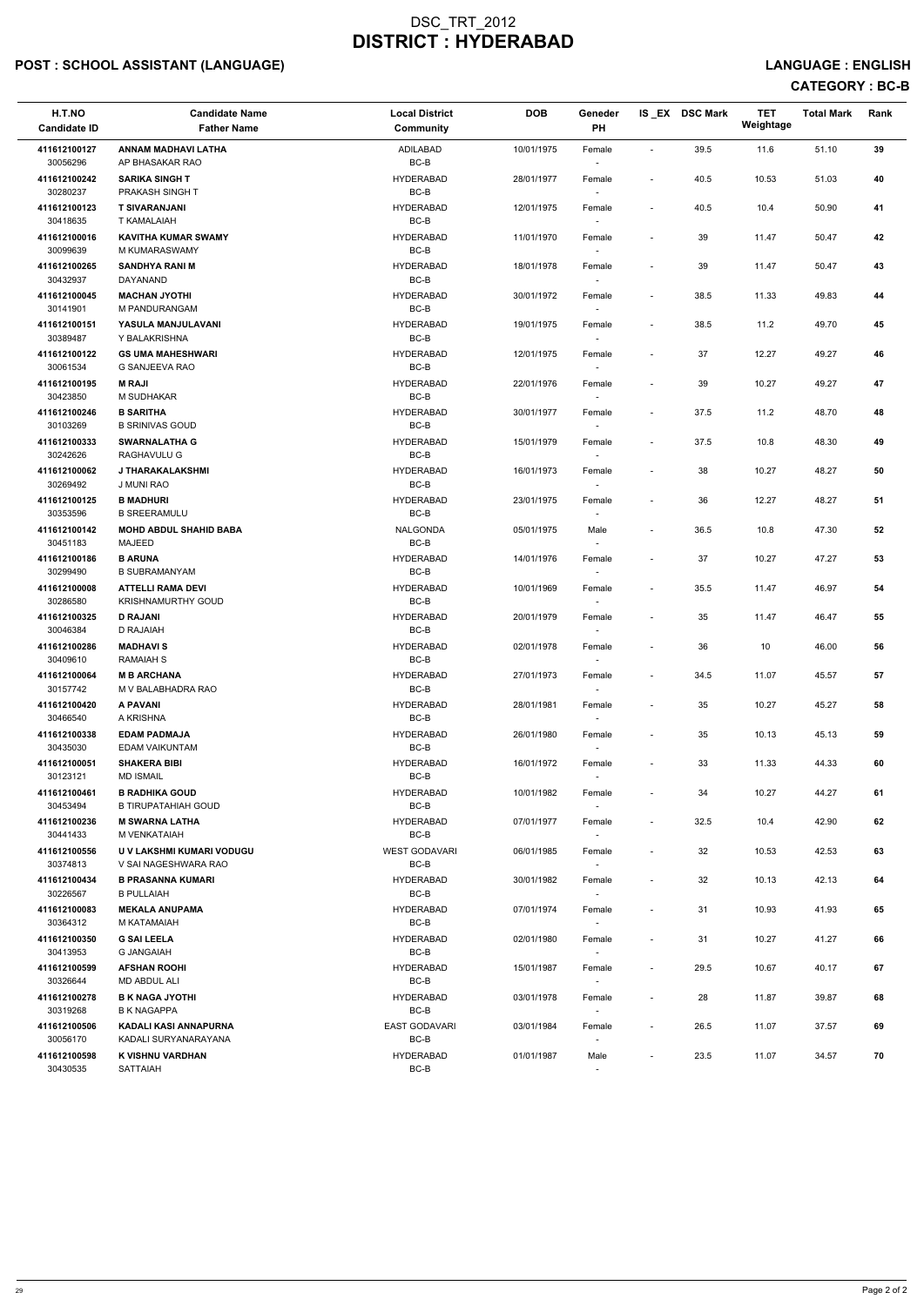# POST : SCHOOL ASSISTANT (LANGUAGE) And the state of the state of the state of the state of the state of the state of the state of the state of the state of the state of the state of the state of the state of the state of t

# CATEGORY : BC-B

| H.T.NO<br><b>Candidate ID</b> | <b>Candidate Name</b><br><b>Father Name</b>           | <b>Local District</b><br><b>Community</b> | <b>DOB</b> | Geneder<br><b>PH</b>               |                          | IS_EX DSC Mark | <b>TET</b><br>Weightage | <b>Total Mark</b> | Rank |
|-------------------------------|-------------------------------------------------------|-------------------------------------------|------------|------------------------------------|--------------------------|----------------|-------------------------|-------------------|------|
| 411612100127<br>30056296      | ANNAM MADHAVI LATHA<br>AP BHASAKAR RAO                | <b>ADILABAD</b><br>$BC-B$                 | 10/01/1975 | Female                             | $\sim$                   | 39.5           | 11.6                    | 51.10             | 39   |
| 411612100242<br>30280237      | <b>SARIKA SINGH T</b><br>PRAKASH SINGH T              | <b>HYDERABAD</b><br>$BC-B$                | 28/01/1977 | Female                             | $\overline{\phantom{a}}$ | 40.5           | 10.53                   | 51.03             | 40   |
| 411612100123<br>30418635      | <b>T SIVARANJANI</b><br><b>T KAMALAIAH</b>            | <b>HYDERABAD</b><br>$BC-B$                | 12/01/1975 | Female<br>$\overline{\phantom{a}}$ | $\overline{\phantom{a}}$ | 40.5           | 10.4                    | 50.90             | 41   |
| 411612100016<br>30099639      | <b>KAVITHA KUMAR SWAMY</b><br>M KUMARASWAMY           | <b>HYDERABAD</b><br>BC-B                  | 11/01/1970 | Female<br>$\overline{\phantom{a}}$ |                          | 39             | 11.47                   | 50.47             | 42   |
| 411612100265<br>30432937      | <b>SANDHYA RANI M</b><br>DAYANAND                     | <b>HYDERABAD</b><br>BC-B                  | 18/01/1978 | Female<br>$\overline{\phantom{a}}$ |                          | 39             | 11.47                   | 50.47             | 43   |
| 411612100045<br>30141901      | <b>MACHAN JYOTHI</b><br>M PANDURANGAM                 | <b>HYDERABAD</b><br>$BC-B$                | 30/01/1972 | Female                             | $\overline{\phantom{a}}$ | 38.5           | 11.33                   | 49.83             | 44   |
| 411612100151<br>30389487      | YASULA MANJULAVANI<br>Y BALAKRISHNA                   | <b>HYDERABAD</b><br>BC-B                  | 19/01/1975 | Female                             | $\blacksquare$           | 38.5           | 11.2                    | 49.70             | 45   |
| 411612100122<br>30061534      | <b>GS UMA MAHESHWARI</b><br>G SANJEEVA RAO            | <b>HYDERABAD</b><br>BC-B                  | 12/01/1975 | Female<br>$\overline{\phantom{a}}$ |                          | 37             | 12.27                   | 49.27             | 46   |
| 411612100195<br>30423850      | <b>M RAJI</b><br>M SUDHAKAR                           | <b>HYDERABAD</b><br>BC-B                  | 22/01/1976 | Female<br>$\sim$                   |                          | 39             | 10.27                   | 49.27             | 47   |
| 411612100246<br>30103269      | <b>B SARITHA</b><br><b>B SRINIVAS GOUD</b>            | <b>HYDERABAD</b><br>$BC-B$                | 30/01/1977 | Female<br>$\overline{\phantom{a}}$ | $\blacksquare$           | 37.5           | 11.2                    | 48.70             | 48   |
| 411612100333<br>30242626      | <b>SWARNALATHA G</b><br>RAGHAVULU G                   | <b>HYDERABAD</b><br>BC-B                  | 15/01/1979 | Female                             |                          | 37.5           | 10.8                    | 48.30             | 49   |
| 411612100062<br>30269492      | J THARAKALAKSHMI<br>J MUNI RAO                        | <b>HYDERABAD</b><br>BC-B                  | 16/01/1973 | Female<br>$\overline{\phantom{a}}$ | $\overline{\phantom{a}}$ | 38             | 10.27                   | 48.27             | 50   |
| 411612100125<br>30353596      | <b>B MADHURI</b><br><b>B SREERAMULU</b>               | <b>HYDERABAD</b><br>$BC-B$                | 23/01/1975 | Female<br>$\overline{\phantom{a}}$ |                          | 36             | 12.27                   | 48.27             | 51   |
| 411612100142<br>30451183      | <b>MOHD ABDUL SHAHID BABA</b><br>MAJEED               | <b>NALGONDA</b><br>BC-B                   | 05/01/1975 | Male<br>$\overline{\phantom{a}}$   | $\blacksquare$           | 36.5           | 10.8                    | 47.30             | 52   |
| 411612100186<br>30299490      | <b>B ARUNA</b><br><b>B SUBRAMANYAM</b>                | <b>HYDERABAD</b><br>$BC-B$                | 14/01/1976 | Female                             |                          | 37             | 10.27                   | 47.27             | 53   |
| 411612100008<br>30286580      | <b>ATTELLI RAMA DEVI</b><br><b>KRISHNAMURTHY GOUD</b> | <b>HYDERABAD</b><br>BC-B                  | 10/01/1969 | Female<br>$\overline{\phantom{a}}$ | $\overline{\phantom{a}}$ | 35.5           | 11.47                   | 46.97             | 54   |
| 411612100325<br>30046384      | <b>D RAJANI</b><br>D RAJAIAH                          | <b>HYDERABAD</b><br>BC-B                  | 20/01/1979 | Female<br>$\sim$                   |                          | 35             | 11.47                   | 46.47             | 55   |
| 411612100286<br>30409610      | <b>MADHAVIS</b><br><b>RAMAIAH S</b>                   | <b>HYDERABAD</b><br>BC-B                  | 02/01/1978 | Female                             | $\overline{\phantom{a}}$ | 36             | 10                      | 46.00             | 56   |
| 411612100064<br>30157742      | <b>M B ARCHANA</b><br>M V BALABHADRA RAO              | <b>HYDERABAD</b><br>BC-B                  | 27/01/1973 | Female<br>$\sim$                   | $\overline{\phantom{a}}$ | 34.5           | 11.07                   | 45.57             | 57   |
| 411612100420<br>30466540      | A PAVANI<br>A KRISHNA                                 | <b>HYDERABAD</b><br>BC-B                  | 28/01/1981 | Female<br>$\sim$                   |                          | 35             | 10.27                   | 45.27             | 58   |
| 411612100338<br>30435030      | <b>EDAM PADMAJA</b><br><b>EDAM VAIKUNTAM</b>          | <b>HYDERABAD</b><br>BC-B                  | 26/01/1980 | Female<br>$\sim$                   | $\overline{\phantom{a}}$ | 35             | 10.13                   | 45.13             | 59   |
| 411612100051<br>30123121      | <b>SHAKERA BIBI</b><br><b>MD ISMAIL</b>               | <b>HYDERABAD</b><br>BC-B                  | 16/01/1972 | Female                             | $\overline{\phantom{a}}$ | 33             | 11.33                   | 44.33             | 60   |
| 411612100461<br>30453494      | <b>B RADHIKA GOUD</b><br><b>B TIRUPATAHIAH GOUD</b>   | <b>HYDERABAD</b><br>BC-B                  | 10/01/1982 | Female                             | $\overline{\phantom{a}}$ | 34             | 10.27                   | 44.27             | 61   |
| 411612100236<br>30441433      | <b>M SWARNA LATHA</b><br>M VENKATAIAH                 | <b>HYDERABAD</b><br>BC-B                  | 07/01/1977 | Female<br>$\sim$                   | $\overline{\phantom{a}}$ | 32.5           | 10.4                    | 42.90             | 62   |
| 411612100556<br>30374813      | U V LAKSHMI KUMARI VODUGU<br>V SAI NAGESHWARA RAO     | <b>WEST GODAVARI</b><br>BC-B              | 06/01/1985 | Female<br>$\sim$                   | $\overline{\phantom{a}}$ | 32             | 10.53                   | 42.53             | 63   |
| 411612100434<br>30226567      | <b>B PRASANNA KUMARI</b><br><b>B PULLAIAH</b>         | <b>HYDERABAD</b><br>BC-B                  | 30/01/1982 | Female<br>$\sim$                   | $\overline{\phantom{a}}$ | 32             | 10.13                   | 42.13             | 64   |
| 411612100083<br>30364312      | <b>MEKALA ANUPAMA</b><br>M KATAMAIAH                  | <b>HYDERABAD</b><br>BC-B                  | 07/01/1974 | Female                             |                          | 31             | 10.93                   | 41.93             | 65   |
| 411612100350<br>30413953      | <b>G SAI LEELA</b><br><b>G JANGAIAH</b>               | <b>HYDERABAD</b><br>BC-B                  | 02/01/1980 | Female<br>$\sim$                   | $\overline{\phantom{a}}$ | 31             | 10.27                   | 41.27             | 66   |
| 411612100599<br>30326644      | <b>AFSHAN ROOHI</b><br>MD ABDUL ALI                   | <b>HYDERABAD</b><br>BC-B                  | 15/01/1987 | Female                             |                          | 29.5           | 10.67                   | 40.17             | 67   |

| 411612100278 | <b>B K NAGA JYOTHI</b> | HYDERABAD            | 03/01/1978 | Female | 28   | 11.87 | 39.87 | 68 |
|--------------|------------------------|----------------------|------------|--------|------|-------|-------|----|
| 30319268     | B K NAGAPPA            | BC-B                 |            |        |      |       |       |    |
| 411612100506 | KADALI KASI ANNAPURNA  | <b>EAST GODAVARI</b> | 03/01/1984 | Female | 26.5 | 11.07 | 37.57 | 69 |
| 30056170     | KADALI SURYANARAYANA   | BC-B                 |            |        |      |       |       |    |
| 411612100598 | K VISHNU VARDHAN       | HYDERABAD            | 01/01/1987 | Male   | 23.5 | 11.07 | 34.57 | 70 |
| 30430535     | <b>SATTAIAH</b>        | BC-B                 |            |        |      |       |       |    |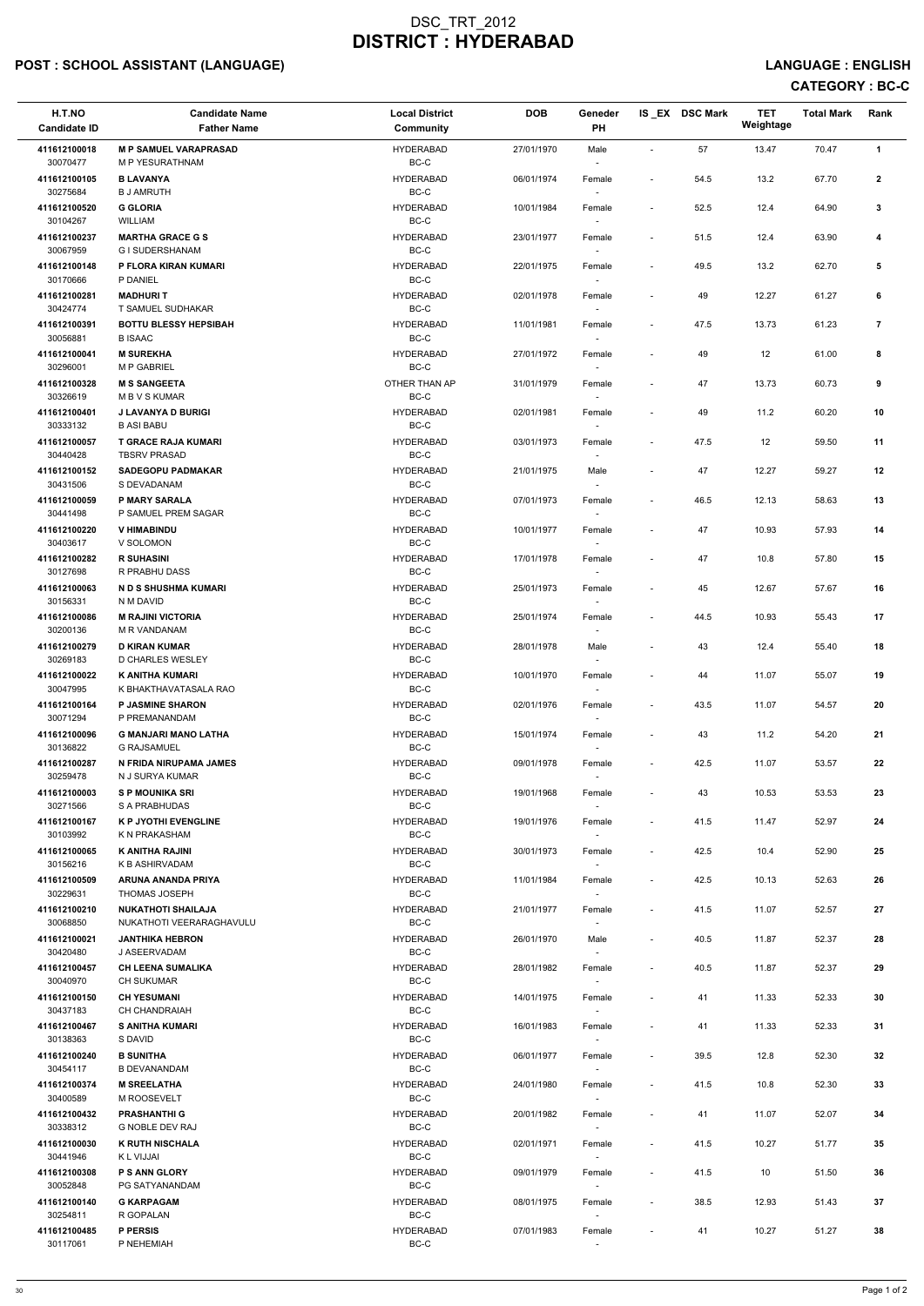# POST : SCHOOL ASSISTANT (LANGUAGE) And the state of the state of the state of the state of the state of the state of the state of the state of the state of the state of the state of the state of the state of the state of t

# CATEGORY : BC-C

| H.T.NO<br><b>Candidate ID</b>        | <b>Candidate Name</b><br><b>Father Name</b>           | <b>Local District</b><br><b>Community</b> | <b>DOB</b> | Geneder<br>PH                      |                          | IS EX DSC Mark | <b>TET</b><br>Weightage | <b>Total Mark</b> | Rank           |
|--------------------------------------|-------------------------------------------------------|-------------------------------------------|------------|------------------------------------|--------------------------|----------------|-------------------------|-------------------|----------------|
| 411612100018<br>30070477             | <b>M P SAMUEL VARAPRASAD</b><br>M P YESURATHNAM       | <b>HYDERABAD</b><br>BC-C                  | 27/01/1970 | Male<br>$\sim$                     | $\sim$                   | 57             | 13.47                   | 70.47             | $\mathbf{1}$   |
| 411612100105<br>30275684             | <b>B LAVANYA</b><br><b>B J AMRUTH</b>                 | <b>HYDERABAD</b><br>$BC-C$                | 06/01/1974 | Female                             | $\sim$                   | 54.5           | 13.2                    | 67.70             | $\mathbf{2}$   |
| 411612100520<br>30104267             | <b>G GLORIA</b><br>WILLIAM                            | <b>HYDERABAD</b><br>$BC-C$                | 10/01/1984 | Female                             | $\overline{\phantom{a}}$ | 52.5           | 12.4                    | 64.90             | 3              |
| 411612100237                         | <b>MARTHA GRACE G S</b>                               | <b>HYDERABAD</b>                          | 23/01/1977 | Female                             | $\blacksquare$           | 51.5           | 12.4                    | 63.90             | 4              |
| 30067959<br>411612100148             | G I SUDERSHANAM<br>P FLORA KIRAN KUMARI               | BC-C<br><b>HYDERABAD</b>                  | 22/01/1975 | Female                             | $\overline{\phantom{a}}$ | 49.5           | 13.2                    | 62.70             | 5              |
| 30170666                             | P DANIEL                                              | BC-C                                      |            | $\overline{\phantom{a}}$           |                          |                |                         |                   |                |
| 411612100281<br>30424774             | <b>MADHURIT</b><br>T SAMUEL SUDHAKAR                  | <b>HYDERABAD</b><br>$BC-C$                | 02/01/1978 | Female                             |                          | 49             | 12.27                   | 61.27             | 6              |
| 411612100391<br>30056881             | <b>BOTTU BLESSY HEPSIBAH</b><br><b>BISAAC</b>         | <b>HYDERABAD</b><br>$BC-C$                | 11/01/1981 | Female                             | $\blacksquare$           | 47.5           | 13.73                   | 61.23             | $\overline{7}$ |
| 411612100041<br>30296001             | <b>M SUREKHA</b><br><b>M P GABRIEL</b>                | <b>HYDERABAD</b><br>BC-C                  | 27/01/1972 | Female<br>$\sim$                   |                          | 49             | 12                      | 61.00             | 8              |
| 411612100328<br>30326619             | <b>M S SANGEETA</b><br><b>MBVSKUMAR</b>               | OTHER THAN AP<br>BC-C                     | 31/01/1979 | Female<br>$\sim$                   | $\overline{\phantom{a}}$ | 47             | 13.73                   | 60.73             | 9              |
| 411612100401<br>30333132             | <b>J LAVANYA D BURIGI</b><br><b>B ASI BABU</b>        | <b>HYDERABAD</b><br>BC-C                  | 02/01/1981 | Female                             |                          | 49             | 11.2                    | 60.20             | 10             |
| 411612100057                         | <b>T GRACE RAJA KUMARI</b>                            | <b>HYDERABAD</b><br>$BC-C$                | 03/01/1973 | Female                             |                          | 47.5           | $12 \overline{ }$       | 59.50             | 11             |
| 30440428<br>411612100152             | <b>TBSRV PRASAD</b><br><b>SADEGOPU PADMAKAR</b>       | <b>HYDERABAD</b>                          | 21/01/1975 | Male                               |                          | 47             | 12.27                   | 59.27             | 12             |
| 30431506<br>411612100059             | S DEVADANAM<br><b>P MARY SARALA</b>                   | BC-C<br><b>HYDERABAD</b>                  | 07/01/1973 | $\overline{\phantom{a}}$<br>Female | $\overline{\phantom{a}}$ | 46.5           | 12.13                   | 58.63             | 13             |
| 30441498                             | P SAMUEL PREM SAGAR                                   | BC-C                                      |            | $\sim$                             |                          |                |                         |                   |                |
| 411612100220<br>30403617             | <b>V HIMABINDU</b><br>V SOLOMON                       | <b>HYDERABAD</b><br>BC-C                  | 10/01/1977 | Female<br>$\sim$                   | $\overline{\phantom{a}}$ | 47             | 10.93                   | 57.93             | 14             |
| 411612100282<br>30127698             | <b>R SUHASINI</b><br>R PRABHU DASS                    | <b>HYDERABAD</b><br>BC-C                  | 17/01/1978 | Female                             |                          | 47             | 10.8                    | 57.80             | 15             |
| 411612100063<br>30156331             | N D S SHUSHMA KUMARI<br>N M DAVID                     | <b>HYDERABAD</b><br>BC-C                  | 25/01/1973 | Female<br>$\overline{\phantom{a}}$ |                          | 45             | 12.67                   | 57.67             | 16             |
| 411612100086<br>30200136             | <b>M RAJINI VICTORIA</b><br>M R VANDANAM              | <b>HYDERABAD</b><br>BC-C                  | 25/01/1974 | Female<br>$\overline{\phantom{a}}$ | $\overline{\phantom{a}}$ | 44.5           | 10.93                   | 55.43             | 17             |
| 411612100279<br>30269183             | <b>D KIRAN KUMAR</b><br>D CHARLES WESLEY              | <b>HYDERABAD</b><br>BC-C                  | 28/01/1978 | Male                               | $\overline{\phantom{a}}$ | 43             | 12.4                    | 55.40             | 18             |
| 411612100022                         | <b>K ANITHA KUMARI</b><br>K BHAKTHAVATASALA RAO       | <b>HYDERABAD</b><br>BC-C                  | 10/01/1970 | Female                             |                          | 44             | 11.07                   | 55.07             | 19             |
| 30047995<br>411612100164<br>30071294 | <b>P JASMINE SHARON</b><br>P PREMANANDAM              | <b>HYDERABAD</b><br>BC-C                  | 02/01/1976 | $\sim$<br>Female                   | $\overline{\phantom{a}}$ | 43.5           | 11.07                   | 54.57             | 20             |
| 411612100096                         | <b>G MANJARI MANO LATHA</b>                           | <b>HYDERABAD</b>                          | 15/01/1974 | Female                             | $\overline{\phantom{a}}$ | 43             | 11.2                    | 54.20             | 21             |
| 30136822<br>411612100287             | <b>G RAJSAMUEL</b><br>N FRIDA NIRUPAMA JAMES          | BC-C<br><b>HYDERABAD</b>                  | 09/01/1978 | $\sim$<br>Female                   | $\overline{\phantom{a}}$ | 42.5           | 11.07                   | 53.57             | 22             |
| 30259478<br>411612100003             | N J SURYA KUMAR<br><b>SP MOUNIKA SRI</b>              | BC-C<br><b>HYDERABAD</b>                  | 19/01/1968 | Female                             | $\overline{\phantom{a}}$ | 43             | 10.53                   | 53.53             | 23             |
| 30271566                             | S A PRABHUDAS                                         | BC-C                                      |            |                                    |                          |                |                         |                   |                |
| 411612100167<br>30103992             | <b>K P JYOTHI EVENGLINE</b><br>K N PRAKASHAM          | <b>HYDERABAD</b><br>BC-C                  | 19/01/1976 | Female<br>$\sim$                   | $\overline{\phantom{a}}$ | 41.5           | 11.47                   | 52.97             | 24             |
| 411612100065<br>30156216             | <b>K ANITHA RAJINI</b><br>K B ASHIRVADAM              | <b>HYDERABAD</b><br>BC-C                  | 30/01/1973 | Female<br>$\sim$                   | $\blacksquare$           | 42.5           | 10.4                    | 52.90             | 25             |
| 411612100509<br>30229631             | ARUNA ANANDA PRIYA<br><b>THOMAS JOSEPH</b>            | <b>HYDERABAD</b><br>BC-C                  | 11/01/1984 | Female<br>$\sim$                   | $\overline{\phantom{a}}$ | 42.5           | 10.13                   | 52.63             | 26             |
| 411612100210<br>30068850             | <b>NUKATHOTI SHAILAJA</b><br>NUKATHOTI VEERARAGHAVULU | <b>HYDERABAD</b><br>BC-C                  | 21/01/1977 | Female                             | $\overline{\phantom{a}}$ | 41.5           | 11.07                   | 52.57             | 27             |
| 411612100021<br>30420480             | <b>JANTHIKA HEBRON</b><br>J ASEERVADAM                | <b>HYDERABAD</b><br>BC-C                  | 26/01/1970 | Male                               | $\overline{\phantom{a}}$ | 40.5           | 11.87                   | 52.37             | 28             |
| 411612100457                         | <b>CH LEENA SUMALIKA</b>                              | <b>HYDERABAD</b>                          | 28/01/1982 | $\sim$<br>Female                   | $\overline{\phantom{a}}$ | 40.5           | 11.87                   | 52.37             | 29             |
| 30040970<br>411612100150             | <b>CH SUKUMAR</b><br><b>CH YESUMANI</b>               | BC-C<br><b>HYDERABAD</b>                  | 14/01/1975 | $\sim$<br>Female                   | $\overline{\phantom{a}}$ | 41             | 11.33                   | 52.33             | 30             |
| 30437183                             | CH CHANDRAIAH                                         | BC-C                                      |            |                                    |                          |                |                         |                   |                |
| 411612100467<br>30138363             | <b>S ANITHA KUMARI</b><br>S DAVID                     | <b>HYDERABAD</b><br>BC-C                  | 16/01/1983 | Female                             | $\overline{\phantom{a}}$ | 41             | 11.33                   | 52.33             | 31             |
| 411612100240<br>30454117             | <b>B SUNITHA</b><br><b>B DEVANANDAM</b>               | <b>HYDERABAD</b><br>BC-C                  | 06/01/1977 | Female                             | $\overline{\phantom{a}}$ | 39.5           | 12.8                    | 52.30             | 32             |
| 411612100374                         | <b>M SREELATHA</b>                                    | <b>HYDERABAD</b>                          | 24/01/1980 | Female                             |                          | 41.5           | 10.8                    | 52.30             | 33             |
| 30400589<br>411612100432             | M ROOSEVELT<br><b>PRASHANTHI G</b>                    | BC-C<br><b>HYDERABAD</b>                  | 20/01/1982 | $\overline{\phantom{a}}$<br>Female |                          | 41             | 11.07                   | 52.07             | 34             |
| 30338312                             | G NOBLE DEV RAJ                                       | BC-C                                      |            | $\sim$                             |                          |                |                         |                   |                |
| 411612100030<br>30441946             | <b>K RUTH NISCHALA</b><br>K L VIJJAI                  | <b>HYDERABAD</b><br>BC-C                  | 02/01/1971 | Female<br>$\sim$                   | $\overline{\phantom{a}}$ | 41.5           | 10.27                   | 51.77             | 35             |
| 411612100308<br>30052848             | <b>P S ANN GLORY</b><br>PG SATYANANDAM                | <b>HYDERABAD</b><br>BC-C                  | 09/01/1979 | Female<br>$\sim$                   | $\overline{\phantom{a}}$ | 41.5           | 10                      | 51.50             | 36             |
| 411612100140<br>30254811             | <b>G KARPAGAM</b><br>R GOPALAN                        | <b>HYDERABAD</b><br>BC-C                  | 08/01/1975 | Female<br>$\sim$                   | $\sim$                   | 38.5           | 12.93                   | 51.43             | 37             |
| 411612100485<br>30117061             | P PERSIS<br>P NEHEMIAH                                | <b>HYDERABAD</b><br>BC-C                  | 07/01/1983 | Female                             |                          | 41             | 10.27                   | 51.27             | 38             |
|                                      |                                                       |                                           |            |                                    |                          |                |                         |                   |                |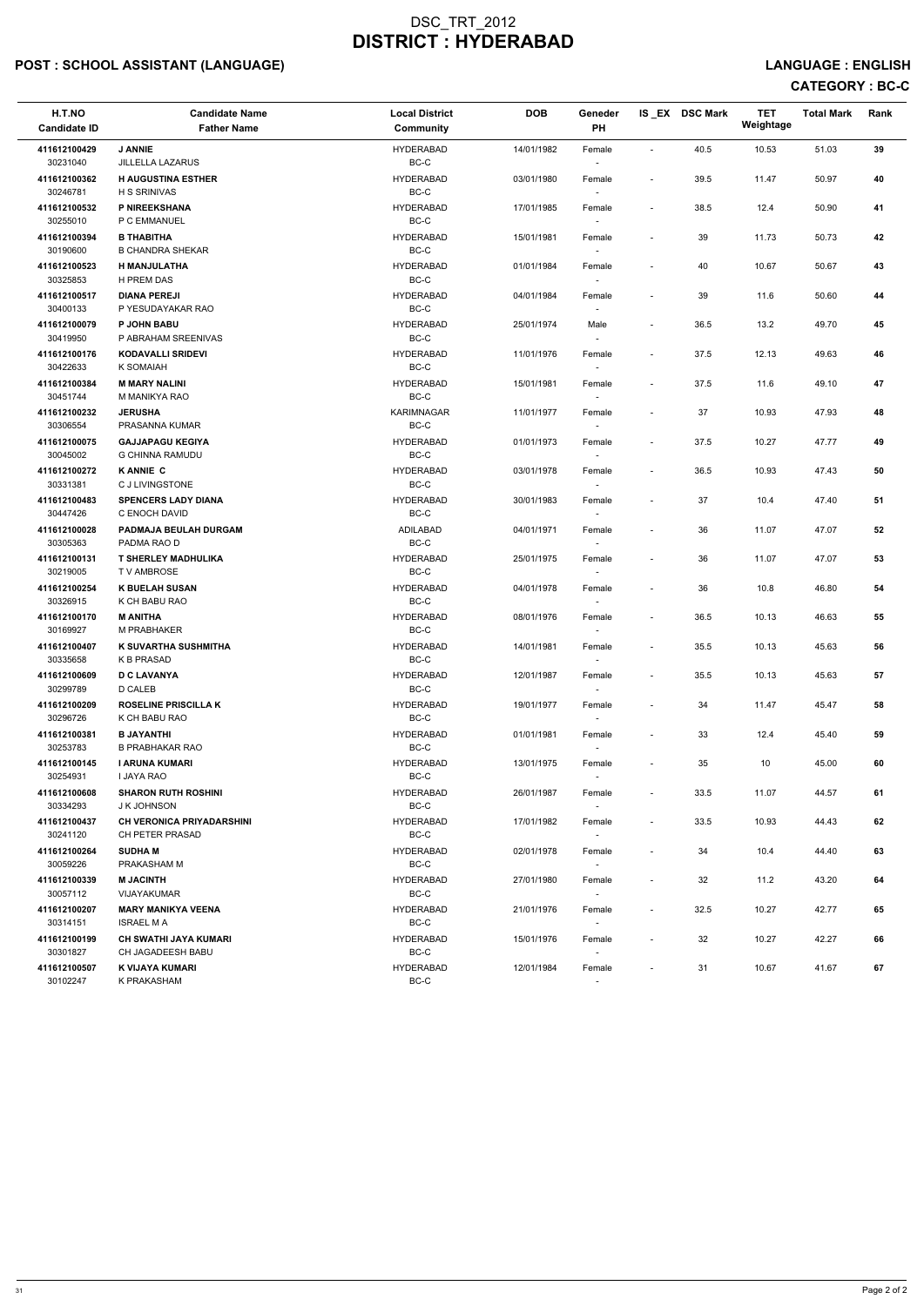# POST : SCHOOL ASSISTANT (LANGUAGE) And the state of the state of the state of the state of the state of the state of the state of the state of the state of the state of the state of the state of the state of the state of t

| H.T.NO<br><b>Candidate ID</b>            | <b>Candidate Name</b><br><b>Father Name</b>                        | <b>Local District</b><br>Community   | <b>DOB</b>               | Geneder<br>PH                      |                                    | IS_EX DSC Mark | <b>TET</b><br>Weightage | <b>Total Mark</b> | Rank     |
|------------------------------------------|--------------------------------------------------------------------|--------------------------------------|--------------------------|------------------------------------|------------------------------------|----------------|-------------------------|-------------------|----------|
| 411612100429<br>30231040                 | <b>J ANNIE</b><br><b>JILLELLA LAZARUS</b>                          | <b>HYDERABAD</b><br>BC-C             | 14/01/1982               | Female<br>$\sim$                   | $\sim$                             | 40.5           | 10.53                   | 51.03             | 39       |
| 411612100362<br>30246781                 | <b>H AUGUSTINA ESTHER</b><br><b>H S SRINIVAS</b>                   | <b>HYDERABAD</b><br>BC-C             | 03/01/1980               | Female                             | $\sim$                             | 39.5           | 11.47                   | 50.97             | 40       |
| 411612100532<br>30255010                 | P NIREEKSHANA<br>P C EMMANUEL                                      | <b>HYDERABAD</b><br>$BC-C$           | 17/01/1985               | Female                             | $\overline{\phantom{a}}$           | 38.5           | 12.4                    | 50.90             | 41       |
| 411612100394<br>30190600                 | <b>B THABITHA</b><br><b>B CHANDRA SHEKAR</b>                       | <b>HYDERABAD</b><br>$BC-C$           | 15/01/1981               | Female<br>$\sim$                   | $\overline{\phantom{a}}$           | 39             | 11.73                   | 50.73             | 42       |
| 411612100523<br>30325853                 | H MANJULATHA<br>H PREM DAS                                         | <b>HYDERABAD</b><br>$BC-C$           | 01/01/1984               | Female<br>$\sim$                   | $\overline{\phantom{a}}$           | 40             | 10.67                   | 50.67             | 43       |
| 411612100517<br>30400133                 | <b>DIANA PEREJI</b><br>P YESUDAYAKAR RAO                           | <b>HYDERABAD</b><br>BC-C             | 04/01/1984               | Female<br>$\sim$                   | $\sim$                             | 39             | 11.6                    | 50.60             | 44       |
| 411612100079<br>30419950                 | P JOHN BABU<br>P ABRAHAM SREENIVAS                                 | <b>HYDERABAD</b><br>$BC-C$           | 25/01/1974               | Male                               | $\overline{\phantom{a}}$           | 36.5           | 13.2                    | 49.70             | 45       |
| 411612100176<br>30422633                 | <b>KODAVALLI SRIDEVI</b><br>K SOMAIAH                              | <b>HYDERABAD</b><br>$BC-C$           | 11/01/1976               | Female<br>$\sim$                   | $\overline{\phantom{a}}$           | 37.5           | 12.13                   | 49.63             | 46       |
| 411612100384<br>30451744                 | <b>M MARY NALINI</b><br>M MANIKYA RAO                              | <b>HYDERABAD</b><br>BC-C             | 15/01/1981               | Female<br>$\sim$                   | $\overline{\phantom{a}}$           | 37.5           | 11.6                    | 49.10             | 47       |
| 411612100232<br>30306554                 | <b>JERUSHA</b><br>PRASANNA KUMAR                                   | <b>KARIMNAGAR</b><br>BC-C            | 11/01/1977               | Female<br>$\sim$                   | $\overline{\phantom{a}}$           | 37             | 10.93                   | 47.93             | 48       |
| 411612100075<br>30045002                 | <b>GAJJAPAGU KEGIYA</b><br><b>G CHINNA RAMUDU</b>                  | <b>HYDERABAD</b><br>BC-C             | 01/01/1973               | Female                             | $\sim$                             | 37.5           | 10.27                   | 47.77             | 49       |
| 411612100272<br>30331381                 | <b>KANNIE C</b><br><b>CJ LIVINGSTONE</b>                           | <b>HYDERABAD</b><br>$BC-C$           | 03/01/1978               | Female                             | $\sim$                             | 36.5           | 10.93                   | 47.43             | 50       |
| 411612100483<br>30447426                 | <b>SPENCERS LADY DIANA</b><br>C ENOCH DAVID                        | <b>HYDERABAD</b><br>BC-C             | 30/01/1983               | Female<br>$\sim$                   | $\overline{\phantom{a}}$           | 37             | 10.4                    | 47.40             | 51       |
| 411612100028<br>30305363<br>411612100131 | PADMAJA BEULAH DURGAM<br>PADMA RAO D<br><b>T SHERLEY MADHULIKA</b> | ADILABAD<br>BC-C<br><b>HYDERABAD</b> | 04/01/1971<br>25/01/1975 | Female<br>$\sim$<br>Female         | $\overline{\phantom{a}}$<br>$\sim$ | 36<br>36       | 11.07<br>11.07          | 47.07<br>47.07    | 52<br>53 |
| 30219005                                 | T V AMBROSE                                                        | BC-C                                 |                          | $\sim$                             |                                    |                |                         |                   |          |
| 411612100254<br>30326915                 | <b>K BUELAH SUSAN</b><br>K CH BABU RAO                             | <b>HYDERABAD</b><br>BC-C             | 04/01/1978               | Female<br>$\sim$                   | $\overline{\phantom{a}}$           | 36             | 10.8                    | 46.80             | 54       |
| 411612100170<br>30169927                 | <b>M ANITHA</b><br>M PRABHAKER                                     | <b>HYDERABAD</b><br>BC-C             | 08/01/1976               | Female<br>$\sim$                   | $\overline{\phantom{a}}$           | 36.5           | 10.13                   | 46.63             | 55       |
| 411612100407<br>30335658                 | K SUVARTHA SUSHMITHA<br><b>K B PRASAD</b>                          | <b>HYDERABAD</b><br>BC-C             | 14/01/1981               | Female                             | $\overline{\phantom{a}}$           | 35.5           | 10.13                   | 45.63             | 56       |
| 411612100609<br>30299789                 | <b>D C LAVANYA</b><br>D CALEB                                      | <b>HYDERABAD</b><br>BC-C             | 12/01/1987               | Female<br>$\sim$                   | $\sim$                             | 35.5           | 10.13                   | 45.63             | 57       |
| 411612100209<br>30296726                 | <b>ROSELINE PRISCILLA K</b><br>K CH BABU RAO                       | <b>HYDERABAD</b><br>BC-C             | 19/01/1977               | Female<br>$\overline{\phantom{a}}$ | $\overline{\phantom{a}}$           | 34             | 11.47                   | 45.47             | 58       |
| 411612100381<br>30253783                 | <b>B JAYANTHI</b><br><b>B PRABHAKAR RAO</b>                        | <b>HYDERABAD</b><br>BC-C             | 01/01/1981               | Female<br>$\sim$                   | $\sim$                             | 33             | 12.4                    | 45.40             | 59       |
| 411612100145<br>30254931                 | I ARUNA KUMARI<br>I JAYA RAO                                       | <b>HYDERABAD</b><br>BC-C             | 13/01/1975               | Female<br>$\sim$                   | $\sim$                             | 35             | 10                      | 45.00             | 60       |
| 411612100608<br>30334293                 | <b>SHARON RUTH ROSHINI</b><br>J K JOHNSON                          | <b>HYDERABAD</b><br>BC-C             | 26/01/1987               | Female                             | $\sim$                             | 33.5           | 11.07                   | 44.57             | 61       |
| 411612100437<br>30241120                 | <b>CH VERONICA PRIYADARSHINI</b><br>CH PETER PRASAD                | <b>HYDERABAD</b><br>BC-C             | 17/01/1982               | Female<br>$\sim$                   | $\sim$                             | 33.5           | 10.93                   | 44.43             | 62       |
| 411612100264<br>30059226                 | <b>SUDHAM</b><br>PRAKASHAM M                                       | <b>HYDERABAD</b><br>BC-C             | 02/01/1978               | Female<br>$\sim$                   | $\overline{\phantom{a}}$           | 34             | 10.4                    | 44.40             | 63       |
| 411612100339<br>30057112                 | <b>M JACINTH</b><br>VIJAYAKUMAR                                    | <b>HYDERABAD</b><br>BC-C             | 27/01/1980               | Female<br>$\sim$                   | $\sim$                             | 32             | 11.2                    | 43.20             | 64       |
| 411612100207<br>30314151                 | <b>MARY MANIKYA VEENA</b><br><b>ISRAEL MA</b>                      | <b>HYDERABAD</b><br>BC-C             | 21/01/1976               | Female<br>$\overline{\phantom{a}}$ | $\sim$                             | 32.5           | 10.27                   | 42.77             | 65       |
| 411612100199<br>30301827                 | <b>CH SWATHI JAYA KUMARI</b><br>CH JAGADEESH BABU                  | <b>HYDERABAD</b><br>BC-C             | 15/01/1976               | Female<br>$\sim$                   | $\sim$                             | 32             | 10.27                   | 42.27             | 66       |
| 411612100507<br>30102247                 | K VIJAYA KUMARI<br>K PRAKASHAM                                     | <b>HYDERABAD</b><br>BC-C             | 12/01/1984               | Female<br>$\sim$                   | $\sim$                             | 31             | 10.67                   | 41.67             | 67       |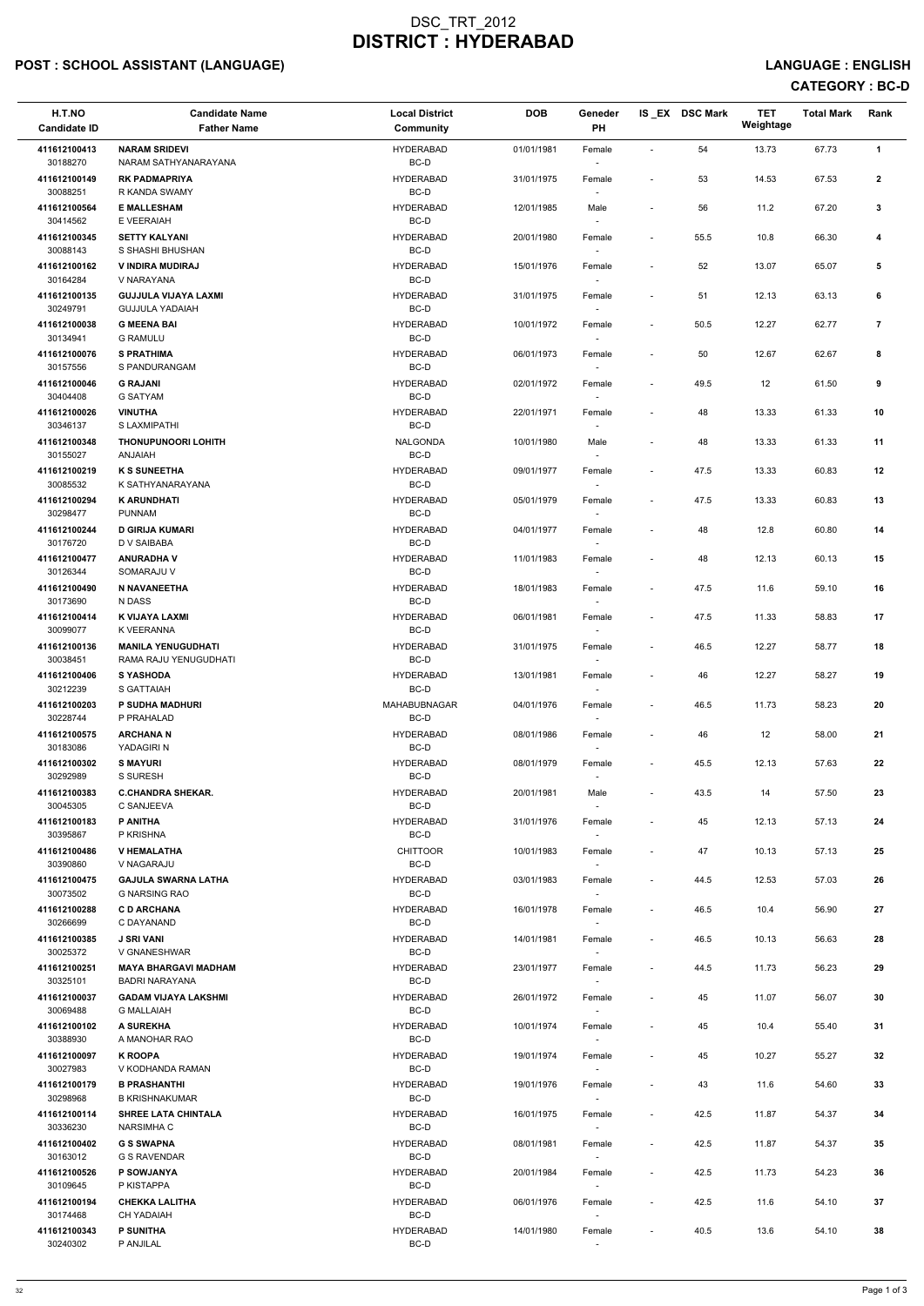# POST : SCHOOL ASSISTANT (LANGUAGE) And the state of the state of the state of the state of the state of the state of the state of the state of the state of the state of the state of the state of the state of the state of t

# CATEGORY : BC-D

| H.T.NO<br><b>Candidate ID</b> | <b>Candidate Name</b><br><b>Father Name</b>          | <b>Local District</b><br><b>Community</b> | <b>DOB</b> | Geneder<br>PH                      |                          | IS_EX DSC Mark | <b>TET</b><br>Weightage | <b>Total Mark</b> | Rank           |
|-------------------------------|------------------------------------------------------|-------------------------------------------|------------|------------------------------------|--------------------------|----------------|-------------------------|-------------------|----------------|
| 411612100413                  | <b>NARAM SRIDEVI</b>                                 | <b>HYDERABAD</b>                          | 01/01/1981 | Female                             |                          | 54             | 13.73                   | 67.73             | $\mathbf{1}$   |
| 30188270                      | NARAM SATHYANARAYANA                                 | BC-D                                      |            | $\overline{\phantom{a}}$           |                          |                |                         |                   |                |
| 411612100149<br>30088251      | <b>RK PADMAPRIYA</b><br>R KANDA SWAMY                | <b>HYDERABAD</b><br>BC-D                  | 31/01/1975 | Female                             |                          | 53             | 14.53                   | 67.53             | $\mathbf{2}$   |
| 411612100564<br>30414562      | <b>E MALLESHAM</b><br>E VEERAIAH                     | <b>HYDERABAD</b><br>BC-D                  | 12/01/1985 | Male                               | $\overline{\phantom{a}}$ | 56             | 11.2                    | 67.20             | 3              |
| 411612100345<br>30088143      | <b>SETTY KALYANI</b><br>S SHASHI BHUSHAN             | <b>HYDERABAD</b><br>BC-D                  | 20/01/1980 | Female                             |                          | 55.5           | 10.8                    | 66.30             | 4              |
| 411612100162                  | V INDIRA MUDIRAJ                                     | <b>HYDERABAD</b>                          | 15/01/1976 | Female                             |                          | 52             | 13.07                   | 65.07             | 5              |
| 30164284<br>411612100135      | V NARAYANA<br><b>GUJJULA VIJAYA LAXMI</b>            | BC-D<br><b>HYDERABAD</b>                  | 31/01/1975 | $\sim$<br>Female                   |                          | 51             | 12.13                   | 63.13             | 6              |
| 30249791<br>411612100038      | <b>GUJJULA YADAIAH</b><br><b>G MEENA BAI</b>         | BC-D<br><b>HYDERABAD</b>                  | 10/01/1972 | Female                             | $\overline{\phantom{a}}$ | 50.5           | 12.27                   | 62.77             | $\overline{7}$ |
| 30134941<br>411612100076      | <b>G RAMULU</b><br><b>S PRATHIMA</b>                 | BC-D<br><b>HYDERABAD</b>                  | 06/01/1973 | Female                             | $\overline{\phantom{a}}$ | 50             | 12.67                   | 62.67             | 8              |
| 30157556<br>411612100046      | S PANDURANGAM                                        | BC-D<br><b>HYDERABAD</b>                  |            | $\sim$                             |                          |                |                         |                   |                |
| 30404408                      | <b>G RAJANI</b><br><b>G SATYAM</b>                   | BC-D                                      | 02/01/1972 | Female<br>$\overline{\phantom{a}}$ |                          | 49.5           | 12                      | 61.50             | 9              |
| 411612100026                  | <b>VINUTHA</b>                                       | <b>HYDERABAD</b>                          | 22/01/1971 | Female                             | $\overline{\phantom{a}}$ | 48             | 13.33                   | 61.33             | 10             |
| 30346137<br>411612100348      | S LAXMIPATHI<br><b>THONUPUNOORI LOHITH</b>           | BC-D<br><b>NALGONDA</b>                   | 10/01/1980 | $\overline{\phantom{a}}$<br>Male   |                          | 48             | 13.33                   | 61.33             | 11             |
| 30155027                      | <b>ANJAIAH</b>                                       | BC-D                                      |            |                                    |                          |                |                         |                   |                |
| 411612100219<br>30085532      | <b>K S SUNEETHA</b><br>K SATHYANARAYANA              | <b>HYDERABAD</b><br>BC-D                  | 09/01/1977 | Female<br>$\overline{\phantom{a}}$ | $\overline{\phantom{a}}$ | 47.5           | 13.33                   | 60.83             | 12             |
| 411612100294<br>30298477      | <b>K ARUNDHATI</b><br><b>PUNNAM</b>                  | <b>HYDERABAD</b><br>BC-D                  | 05/01/1979 | Female<br>$\overline{\phantom{a}}$ |                          | 47.5           | 13.33                   | 60.83             | 13             |
| 411612100244                  | <b>D GIRIJA KUMARI</b>                               | <b>HYDERABAD</b>                          | 04/01/1977 | Female                             | $\overline{\phantom{a}}$ | 48             | 12.8                    | 60.80             | 14             |
| 30176720<br>411612100477      | D V SAIBABA<br><b>ANURADHA V</b>                     | BC-D<br><b>HYDERABAD</b>                  | 11/01/1983 | Female                             | $\overline{\phantom{a}}$ | 48             | 12.13                   | 60.13             | 15             |
| 30126344<br>411612100490      | SOMARAJU V<br>N NAVANEETHA                           | BC-D<br><b>HYDERABAD</b>                  | 18/01/1983 | Female                             |                          | 47.5           | 11.6                    | 59.10             | 16             |
| 30173690<br>411612100414      | N DASS<br>K VIJAYA LAXMI                             | BC-D<br><b>HYDERABAD</b>                  | 06/01/1981 | $\overline{\phantom{a}}$<br>Female | $\overline{\phantom{a}}$ | 47.5           | 11.33                   | 58.83             | 17             |
| 30099077                      | K VEERANNA<br><b>MANILA YENUGUDHATI</b>              | BC-D<br><b>HYDERABAD</b>                  |            | $\sim$                             |                          |                |                         |                   |                |
| 411612100136<br>30038451      | RAMA RAJU YENUGUDHATI                                | BC-D                                      | 31/01/1975 | Female                             |                          | 46.5           | 12.27                   | 58.77             | 18             |
| 411612100406<br>30212239      | <b>S YASHODA</b><br>S GATTAIAH                       | <b>HYDERABAD</b><br>BC-D                  | 13/01/1981 | Female                             | $\overline{\phantom{a}}$ | 46             | 12.27                   | 58.27             | 19             |
| 411612100203<br>30228744      | P SUDHA MADHURI<br>P PRAHALAD                        | <b>MAHABUBNAGAR</b><br>BC-D               | 04/01/1976 | Female                             | $\overline{\phantom{a}}$ | 46.5           | 11.73                   | 58.23             | 20             |
| 411612100575<br>30183086      | <b>ARCHANA N</b><br>YADAGIRI N                       | <b>HYDERABAD</b><br>BC-D                  | 08/01/1986 | Female<br>$\sim$                   |                          | 46             | 12                      | 58.00             | 21             |
| 411612100302<br>30292989      | <b>S MAYURI</b><br>S SURESH                          | <b>HYDERABAD</b><br>BC-D                  | 08/01/1979 | Female                             |                          | 45.5           | 12.13                   | 57.63             | 22             |
| 411612100383<br>30045305      | <b>C.CHANDRA SHEKAR.</b><br>C SANJEEVA               | <b>HYDERABAD</b><br>BC-D                  | 20/01/1981 | Male                               | $\overline{\phantom{a}}$ | 43.5           | 14                      | 57.50             | 23             |
| 411612100183                  | <b>P ANITHA</b>                                      | <b>HYDERABAD</b>                          | 31/01/1976 | Female                             | $\overline{\phantom{a}}$ | 45             | 12.13                   | 57.13             | 24             |
| 30395867<br>411612100486      | P KRISHNA<br><b>V HEMALATHA</b>                      | BC-D<br><b>CHITTOOR</b>                   | 10/01/1983 | $\sim$<br>Female                   |                          | 47             | 10.13                   | 57.13             | 25             |
| 30390860                      | V NAGARAJU                                           | BC-D                                      |            | $\sim$                             |                          |                |                         |                   |                |
| 411612100475<br>30073502      | <b>GAJULA SWARNA LATHA</b><br><b>G NARSING RAO</b>   | <b>HYDERABAD</b><br>BC-D                  | 03/01/1983 | Female<br>$\sim$                   | $\overline{\phantom{a}}$ | 44.5           | 12.53                   | 57.03             | 26             |
| 411612100288<br>30266699      | <b>CD ARCHANA</b><br>C DAYANAND                      | <b>HYDERABAD</b><br>BC-D                  | 16/01/1978 | Female                             | $\overline{\phantom{a}}$ | 46.5           | 10.4                    | 56.90             | 27             |
| 411612100385<br>30025372      | <b>J SRI VANI</b><br>V GNANESHWAR                    | <b>HYDERABAD</b><br>BC-D                  | 14/01/1981 | Female<br>$\overline{\phantom{a}}$ | $\overline{\phantom{a}}$ | 46.5           | 10.13                   | 56.63             | 28             |
| 411612100251<br>30325101      | <b>MAYA BHARGAVI MADHAM</b><br><b>BADRI NARAYANA</b> | <b>HYDERABAD</b><br>BC-D                  | 23/01/1977 | Female<br>$\overline{\phantom{a}}$ |                          | 44.5           | 11.73                   | 56.23             | 29             |
| 411612100037                  | <b>GADAM VIJAYA LAKSHMI</b>                          | <b>HYDERABAD</b>                          | 26/01/1972 | Female                             | $\overline{\phantom{a}}$ | 45             | 11.07                   | 56.07             | 30             |
| 30069488<br>411612100102      | <b>G MALLAIAH</b><br>A SUREKHA                       | BC-D<br><b>HYDERABAD</b>                  | 10/01/1974 | $\sim$<br>Female                   |                          | 45             | 10.4                    | 55.40             | 31             |
| 30388930                      | A MANOHAR RAO                                        | BC-D                                      |            |                                    |                          |                |                         |                   |                |
| 411612100097<br>30027983      | <b>K ROOPA</b><br>V KODHANDA RAMAN                   | <b>HYDERABAD</b><br>BC-D                  | 19/01/1974 | Female                             | $\overline{\phantom{a}}$ | 45             | 10.27                   | 55.27             | 32             |
| 411612100179                  | <b>B PRASHANTHI</b>                                  | <b>HYDERABAD</b>                          | 19/01/1976 | Female                             |                          | 43             | 11.6                    | 54.60             | 33             |
| 30298968<br>411612100114      | <b>B KRISHNAKUMAR</b><br><b>SHREE LATA CHINTALA</b>  | BC-D<br><b>HYDERABAD</b>                  | 16/01/1975 | $\blacksquare$<br>Female           | $\overline{\phantom{a}}$ | 42.5           | 11.87                   | 54.37             | 34             |
| 30336230<br>411612100402      | <b>NARSIMHA C</b><br><b>G S SWAPNA</b>               | BC-D<br><b>HYDERABAD</b>                  | 08/01/1981 | $\overline{\phantom{a}}$<br>Female | $\overline{\phantom{a}}$ | 42.5           | 11.87                   | 54.37             | 35             |
| 30163012                      | <b>G S RAVENDAR</b>                                  | BC-D                                      |            | $\sim$                             |                          |                |                         |                   |                |
| 411612100526<br>30109645      | P SOWJANYA<br>P KISTAPPA                             | <b>HYDERABAD</b><br>BC-D                  | 20/01/1984 | Female<br>$\sim$                   | $\overline{\phantom{a}}$ | 42.5           | 11.73                   | 54.23             | 36             |
| 411612100194<br>30174468      | <b>CHEKKA LALITHA</b><br>CH YADAIAH                  | <b>HYDERABAD</b><br>BC-D                  | 06/01/1976 | Female<br>$\overline{\phantom{a}}$ | $\overline{\phantom{a}}$ | 42.5           | 11.6                    | 54.10             | 37             |
| 411612100343<br>30240302      | <b>P SUNITHA</b><br>P ANJILAL                        | <b>HYDERABAD</b><br>BC-D                  | 14/01/1980 | Female                             |                          | 40.5           | 13.6                    | 54.10             | 38             |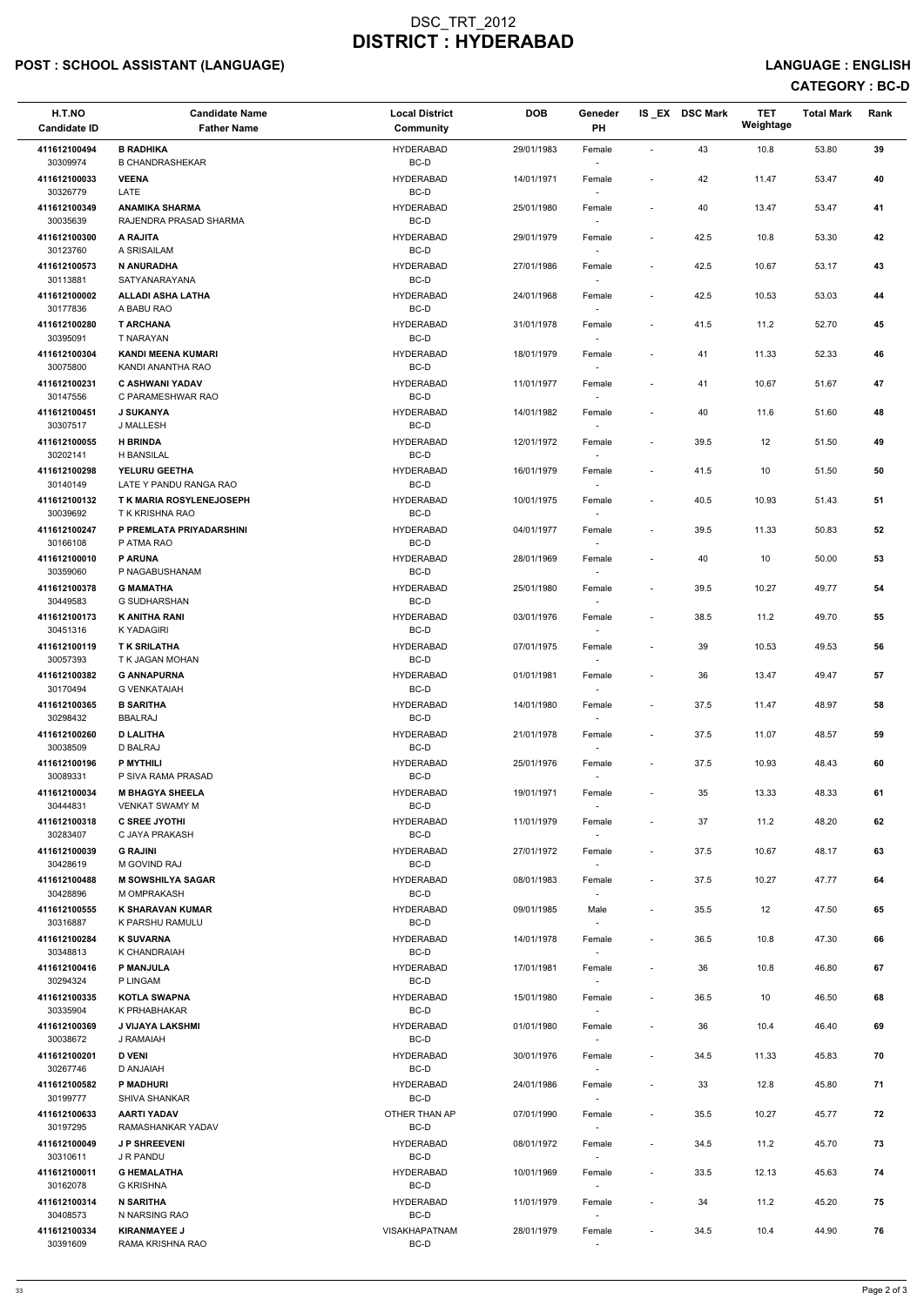# POST : SCHOOL ASSISTANT (LANGUAGE) And the state of the state of the state of the state of the state of the state of the state of the state of the state of the state of the state of the state of the state of the state of t

# CATEGORY : BC-D

| H.T.NO<br><b>Candidate ID</b> | <b>Candidate Name</b><br><b>Father Name</b>        | <b>Local District</b><br>Community | <b>DOB</b> | Geneder<br>PH                      |                          | IS_EX DSC Mark | <b>TET</b><br>Weightage | <b>Total Mark</b> | Rank |
|-------------------------------|----------------------------------------------------|------------------------------------|------------|------------------------------------|--------------------------|----------------|-------------------------|-------------------|------|
| 411612100494                  | <b>B RADHIKA</b>                                   | <b>HYDERABAD</b>                   | 29/01/1983 | Female                             | $\sim$                   | 43             | 10.8                    | 53.80             | 39   |
| 30309974                      | <b>B CHANDRASHEKAR</b>                             | BC-D                               |            | $\sim$                             |                          |                |                         |                   |      |
| 411612100033<br>30326779      | <b>VEENA</b><br>LATE                               | <b>HYDERABAD</b><br>BC-D           | 14/01/1971 | Female                             |                          | 42             | 11.47                   | 53.47             | 40   |
| 411612100349<br>30035639      | <b>ANAMIKA SHARMA</b><br>RAJENDRA PRASAD SHARMA    | <b>HYDERABAD</b><br>BC-D           | 25/01/1980 | Female                             | $\overline{\phantom{a}}$ | 40             | 13.47                   | 53.47             | 41   |
| 411612100300<br>30123760      | A RAJITA<br>A SRISAILAM                            | <b>HYDERABAD</b><br>BC-D           | 29/01/1979 | Female                             | $\overline{a}$           | 42.5           | 10.8                    | 53.30             | 42   |
| 411612100573                  | N ANURADHA                                         | <b>HYDERABAD</b>                   | 27/01/1986 | Female                             | $\overline{\phantom{a}}$ | 42.5           | 10.67                   | 53.17             | 43   |
| 30113881<br>411612100002      | SATYANARAYANA<br><b>ALLADI ASHA LATHA</b>          | BC-D<br><b>HYDERABAD</b>           | 24/01/1968 | $\sim$<br>Female                   | $\overline{\phantom{a}}$ | 42.5           | 10.53                   | 53.03             | 44   |
| 30177836<br>411612100280      | A BABU RAO<br><b>T ARCHANA</b>                     | BC-D<br><b>HYDERABAD</b>           | 31/01/1978 | Female                             | $\overline{\phantom{a}}$ | 41.5           | 11.2                    | 52.70             | 45   |
| 30395091                      | T NARAYAN                                          | BC-D                               |            |                                    |                          |                |                         |                   |      |
| 411612100304<br>30075800      | <b>KANDI MEENA KUMARI</b><br>KANDI ANANTHA RAO     | <b>HYDERABAD</b><br>BC-D           | 18/01/1979 | Female<br>$\sim$                   | $\overline{\phantom{a}}$ | 41             | 11.33                   | 52.33             | 46   |
| 411612100231<br>30147556      | <b>C ASHWANI YADAV</b><br>C PARAMESHWAR RAO        | <b>HYDERABAD</b><br>BC-D           | 11/01/1977 | Female                             | $\overline{a}$           | 41             | 10.67                   | 51.67             | 47   |
| 411612100451                  | <b>J SUKANYA</b>                                   | <b>HYDERABAD</b>                   | 14/01/1982 | Female                             | $\overline{\phantom{a}}$ | 40             | 11.6                    | 51.60             | 48   |
| 30307517<br>411612100055      | J MALLESH<br><b>H BRINDA</b>                       | BC-D<br><b>HYDERABAD</b>           | 12/01/1972 | $\overline{\phantom{a}}$<br>Female | $\overline{a}$           | 39.5           | 12                      | 51.50             | 49   |
| 30202141                      | <b>H BANSILAL</b>                                  | BC-D                               |            |                                    |                          |                |                         |                   |      |
| 411612100298                  | YELURU GEETHA                                      | <b>HYDERABAD</b>                   | 16/01/1979 | Female                             | $\overline{\phantom{a}}$ | 41.5           | 10                      | 51.50             | 50   |
| 30140149<br>411612100132      | LATE Y PANDU RANGA RAO<br>T K MARIA ROSYLENEJOSEPH | BC-D<br><b>HYDERABAD</b>           | 10/01/1975 | Female                             | $\overline{a}$           | 40.5           | 10.93                   | 51.43             | 51   |
| 30039692<br>411612100247      | T K KRISHNA RAO<br>P PREMLATA PRIYADARSHINI        | BC-D<br><b>HYDERABAD</b>           | 04/01/1977 | $\sim$<br>Female                   | $\overline{\phantom{a}}$ | 39.5           | 11.33                   | 50.83             | 52   |
| 30166108                      | P ATMA RAO                                         | BC-D                               |            |                                    |                          |                |                         |                   |      |
| 411612100010<br>30359060      | <b>P ARUNA</b><br>P NAGABUSHANAM                   | <b>HYDERABAD</b><br>BC-D           | 28/01/1969 | Female                             | $\overline{\phantom{a}}$ | 40             | 10                      | 50.00             | 53   |
| 411612100378<br>30449583      | <b>G MAMATHA</b><br>G SUDHARSHAN                   | <b>HYDERABAD</b><br>BC-D           | 25/01/1980 | Female<br>$\overline{\phantom{a}}$ | $\overline{\phantom{a}}$ | 39.5           | 10.27                   | 49.77             | 54   |
| 411612100173<br>30451316      | <b>K ANITHA RANI</b><br>K YADAGIRI                 | <b>HYDERABAD</b><br>BC-D           | 03/01/1976 | Female<br>$\sim$                   | $\overline{a}$           | 38.5           | 11.2                    | 49.70             | 55   |
| 411612100119<br>30057393      | <b>TK SRILATHA</b><br>T K JAGAN MOHAN              | <b>HYDERABAD</b><br>BC-D           | 07/01/1975 | Female                             | $\overline{\phantom{a}}$ | 39             | 10.53                   | 49.53             | 56   |
| 411612100382                  | <b>G ANNAPURNA</b>                                 | <b>HYDERABAD</b><br>BC-D           | 01/01/1981 | Female                             | $\overline{\phantom{a}}$ | 36             | 13.47                   | 49.47             | 57   |
| 30170494<br>411612100365      | <b>G VENKATAIAH</b><br><b>B SARITHA</b>            | <b>HYDERABAD</b>                   | 14/01/1980 | Female                             | $\overline{a}$           | 37.5           | 11.47                   | 48.97             | 58   |
| 30298432<br>411612100260      | <b>BBALRAJ</b><br><b>D LALITHA</b>                 | BC-D<br><b>HYDERABAD</b>           | 21/01/1978 | Female                             | $\overline{a}$           | 37.5           | 11.07                   | 48.57             | 59   |
| 30038509<br>411612100196      | D BALRAJ<br><b>P MYTHILI</b>                       | BC-D<br><b>HYDERABAD</b>           | 25/01/1976 | $\sim$<br>Female                   | $\overline{\phantom{a}}$ | 37.5           | 10.93                   | 48.43             | 60   |
| 30089331                      | P SIVA RAMA PRASAD                                 | BC-D                               |            |                                    |                          |                |                         |                   |      |
| 411612100034<br>30444831      | <b>M BHAGYA SHEELA</b><br><b>VENKAT SWAMY M</b>    | <b>HYDERABAD</b><br>BC-D           | 19/01/1971 | Female                             | $\overline{\phantom{a}}$ | 35             | 13.33                   | 48.33             | 61   |
| 411612100318<br>30283407      | <b>C SREE JYOTHI</b><br>C JAYA PRAKASH             | <b>HYDERABAD</b><br>BC-D           | 11/01/1979 | Female<br>$\sim$                   | $\overline{\phantom{a}}$ | 37             | 11.2                    | 48.20             | 62   |
| 411612100039<br>30428619      | <b>G RAJINI</b><br>M GOVIND RAJ                    | <b>HYDERABAD</b><br>BC-D           | 27/01/1972 | Female<br>$\overline{\phantom{a}}$ | $\overline{\phantom{a}}$ | 37.5           | 10.67                   | 48.17             | 63   |
| 411612100488<br>30428896      | <b>M SOWSHILYA SAGAR</b><br>M OMPRAKASH            | <b>HYDERABAD</b><br>BC-D           | 08/01/1983 | Female<br>$\sim$                   | $\overline{\phantom{a}}$ | 37.5           | 10.27                   | 47.77             | 64   |
| 411612100555<br>30316887      | <b>K SHARAVAN KUMAR</b><br>K PARSHU RAMULU         | <b>HYDERABAD</b><br>BC-D           | 09/01/1985 | Male                               | $\overline{\phantom{a}}$ | 35.5           | 12                      | 47.50             | 65   |
| 411612100284<br>30348813      | <b>K SUVARNA</b><br>K CHANDRAIAH                   | <b>HYDERABAD</b><br>BC-D           | 14/01/1978 | Female                             | $\overline{a}$           | 36.5           | 10.8                    | 47.30             | 66   |
| 411612100416                  | <b>P MANJULA</b>                                   | <b>HYDERABAD</b>                   | 17/01/1981 | Female                             |                          | 36             | 10.8                    | 46.80             | 67   |
| 30294324                      | P LINGAM                                           | BC-D                               |            | $\overline{\phantom{a}}$           |                          |                |                         |                   |      |
| 411612100335<br>30335904      | <b>KOTLA SWAPNA</b><br>K PRHABHAKAR                | <b>HYDERABAD</b><br>BC-D           | 15/01/1980 | Female<br>$\sim$                   | $\overline{\phantom{a}}$ | 36.5           | 10                      | 46.50             | 68   |
| 411612100369<br>30038672      | J VIJAYA LAKSHMI<br>J RAMAIAH                      | <b>HYDERABAD</b><br>BC-D           | 01/01/1980 | Female                             | $\overline{a}$           | 36             | 10.4                    | 46.40             | 69   |
| 411612100201                  | <b>D VENI</b>                                      | <b>HYDERABAD</b>                   | 30/01/1976 | Female                             | $\overline{\phantom{a}}$ | 34.5           | 11.33                   | 45.83             | 70   |
| 30267746                      | D ANJAIAH                                          | BC-D                               |            |                                    |                          |                |                         |                   |      |
| 411612100582<br>30199777      | <b>P MADHURI</b><br>SHIVA SHANKAR                  | <b>HYDERABAD</b><br>BC-D           | 24/01/1986 | Female<br>$\sim$                   | $\sim$                   | 33             | 12.8                    | 45.80             | 71   |
| 411612100633<br>30197295      | <b>AARTI YADAV</b><br>RAMASHANKAR YADAV            | OTHER THAN AP<br>BC-D              | 07/01/1990 | Female                             | $\overline{a}$           | 35.5           | 10.27                   | 45.77             | 72   |
| 411612100049<br>30310611      | <b>JP SHREEVENI</b><br>J R PANDU                   | <b>HYDERABAD</b><br>BC-D           | 08/01/1972 | Female<br>$\sim$                   | $\blacksquare$           | 34.5           | 11.2                    | 45.70             | 73   |
| 411612100011<br>30162078      | <b>G HEMALATHA</b><br><b>G KRISHNA</b>             | <b>HYDERABAD</b><br>BC-D           | 10/01/1969 | Female<br>$\sim$                   | $\overline{\phantom{a}}$ | 33.5           | 12.13                   | 45.63             | 74   |
| 411612100314<br>30408573      | <b>N SARITHA</b><br>N NARSING RAO                  | <b>HYDERABAD</b><br>BC-D           | 11/01/1979 | Female<br>$\overline{\phantom{a}}$ | $\overline{a}$           | 34             | 11.2                    | 45.20             | 75   |
| 411612100334<br>30391609      | <b>KIRANMAYEE J</b><br>RAMA KRISHNA RAO            | <b>VISAKHAPATNAM</b><br>$BC-D$     | 28/01/1979 | Female                             | $\overline{a}$           | 34.5           | 10.4                    | 44.90             | 76   |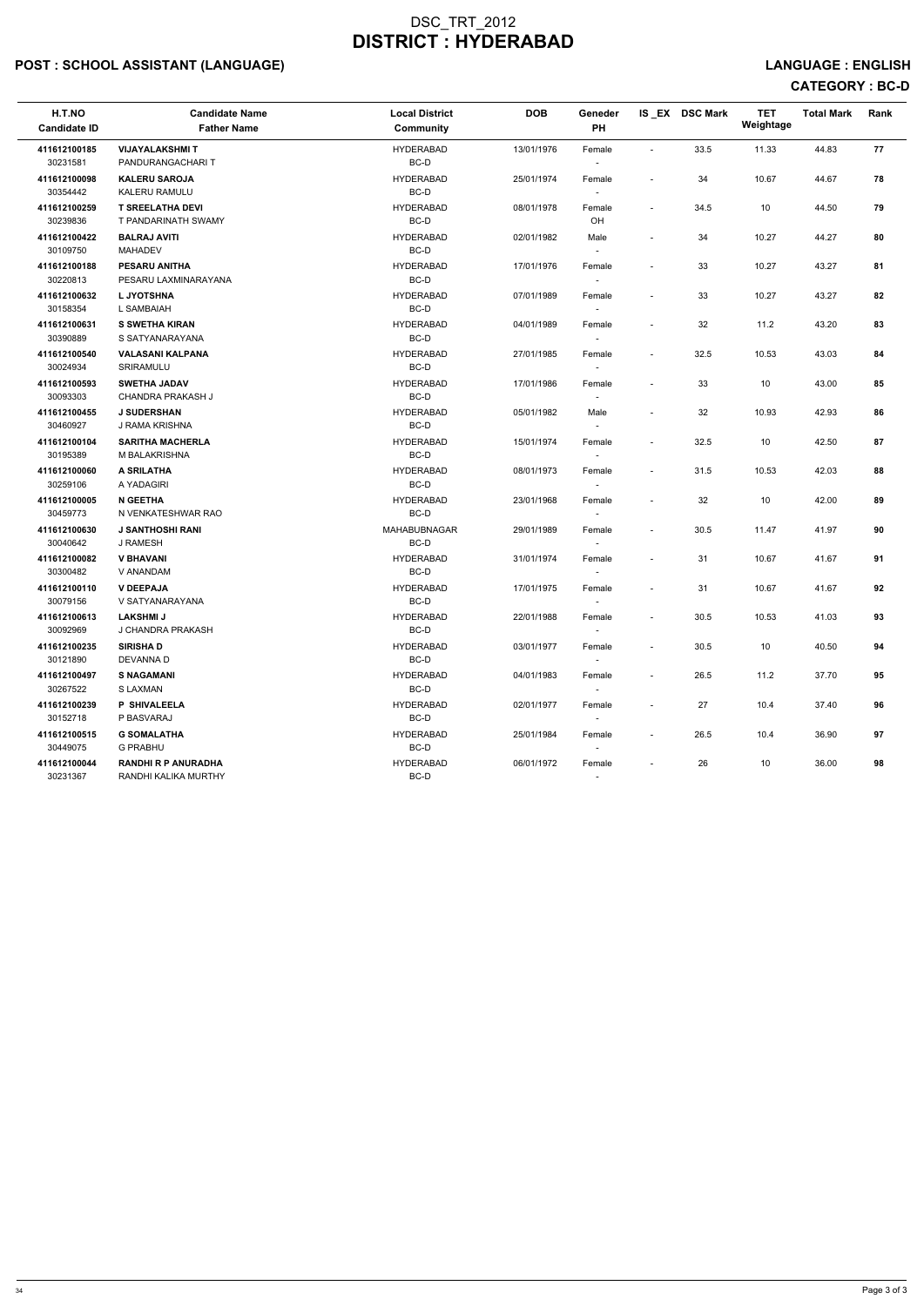# POST : SCHOOL ASSISTANT (LANGUAGE) AND EXAMPLE THE SERVICE OF SERVICE OF SERVICE OF SERVICE OF SERVICE : ENGLISH

| H.T.NO<br><b>Candidate ID</b> | <b>Candidate Name</b><br><b>Father Name</b>        | <b>Local District</b><br>Community | <b>DOB</b> | Geneder<br><b>PH</b>               |                          | IS EX DSC Mark | <b>TET</b><br>Weightage | <b>Total Mark</b> | Rank |
|-------------------------------|----------------------------------------------------|------------------------------------|------------|------------------------------------|--------------------------|----------------|-------------------------|-------------------|------|
| 411612100185<br>30231581      | <b>VIJAYALAKSHMIT</b><br>PANDURANGACHARIT          | <b>HYDERABAD</b><br>BC-D           | 13/01/1976 | Female                             | $\sim$                   | 33.5           | 11.33                   | 44.83             | 77   |
| 411612100098<br>30354442      | <b>KALERU SAROJA</b><br>KALERU RAMULU              | <b>HYDERABAD</b><br>BC-D           | 25/01/1974 | Female<br>$\sim$                   | $\sim$                   | 34             | 10.67                   | 44.67             | 78   |
| 411612100259<br>30239836      | <b>T SREELATHA DEVI</b><br>T PANDARINATH SWAMY     | <b>HYDERABAD</b><br>BC-D           | 08/01/1978 | Female<br>OH                       | $\overline{\phantom{a}}$ | 34.5           | 10                      | 44.50             | 79   |
| 411612100422<br>30109750      | <b>BALRAJ AVITI</b><br><b>MAHADEV</b>              | <b>HYDERABAD</b><br>BC-D           | 02/01/1982 | Male<br>$\sim$                     | $\overline{\phantom{a}}$ | 34             | 10.27                   | 44.27             | 80   |
| 411612100188<br>30220813      | <b>PESARU ANITHA</b><br>PESARU LAXMINARAYANA       | <b>HYDERABAD</b><br>BC-D           | 17/01/1976 | Female<br>$\sim$                   | $\sim$                   | 33             | 10.27                   | 43.27             | 81   |
| 411612100632<br>30158354      | L JYOTSHNA<br>L SAMBAIAH                           | <b>HYDERABAD</b><br>BC-D           | 07/01/1989 | Female<br>$\sim$                   | $\overline{\phantom{a}}$ | 33             | 10.27                   | 43.27             | 82   |
| 411612100631<br>30390889      | <b>S SWETHA KIRAN</b><br>S SATYANARAYANA           | <b>HYDERABAD</b><br>BC-D           | 04/01/1989 | Female<br>$\sim$                   | $\overline{\phantom{a}}$ | 32             | 11.2                    | 43.20             | 83   |
| 411612100540<br>30024934      | <b>VALASANI KALPANA</b><br>SRIRAMULU               | <b>HYDERABAD</b><br>BC-D           | 27/01/1985 | Female                             | $\sim$                   | 32.5           | 10.53                   | 43.03             | 84   |
| 411612100593<br>30093303      | <b>SWETHA JADAV</b><br><b>CHANDRA PRAKASH J</b>    | <b>HYDERABAD</b><br>BC-D           | 17/01/1986 | Female<br>$\overline{\phantom{a}}$ | $\sim$                   | 33             | 10                      | 43.00             | 85   |
| 411612100455<br>30460927      | <b>J SUDERSHAN</b><br>J RAMA KRISHNA               | <b>HYDERABAD</b><br>BC-D           | 05/01/1982 | Male<br>$\overline{\phantom{a}}$   | $\sim$                   | 32             | 10.93                   | 42.93             | 86   |
| 411612100104<br>30195389      | <b>SARITHA MACHERLA</b><br>M BALAKRISHNA           | <b>HYDERABAD</b><br>BC-D           | 15/01/1974 | Female<br>$\sim$                   | $\overline{\phantom{a}}$ | 32.5           | 10                      | 42.50             | 87   |
| 411612100060<br>30259106      | <b>A SRILATHA</b><br>A YADAGIRI                    | <b>HYDERABAD</b><br>BC-D           | 08/01/1973 | Female                             | $\overline{\phantom{a}}$ | 31.5           | 10.53                   | 42.03             | 88   |
| 411612100005<br>30459773      | <b>N GEETHA</b><br>N VENKATESHWAR RAO              | <b>HYDERABAD</b><br>BC-D           | 23/01/1968 | Female                             | $\sim$                   | 32             | 10                      | 42.00             | 89   |
| 411612100630<br>30040642      | <b>J SANTHOSHI RANI</b><br>J RAMESH                | <b>MAHABUBNAGAR</b><br>BC-D        | 29/01/1989 | Female<br>$\sim$                   | $\overline{\phantom{a}}$ | 30.5           | 11.47                   | 41.97             | 90   |
| 411612100082<br>30300482      | <b>V BHAVANI</b><br>V ANANDAM                      | <b>HYDERABAD</b><br>BC-D           | 31/01/1974 | Female                             | $\overline{\phantom{a}}$ | 31             | 10.67                   | 41.67             | 91   |
| 411612100110<br>30079156      | <b>V DEEPAJA</b><br>V SATYANARAYANA                | <b>HYDERABAD</b><br>BC-D           | 17/01/1975 | Female<br>$\overline{\phantom{a}}$ |                          | 31             | 10.67                   | 41.67             | 92   |
| 411612100613<br>30092969      | <b>LAKSHMI J</b><br>J CHANDRA PRAKASH              | <b>HYDERABAD</b><br>BC-D           | 22/01/1988 | Female                             | $\blacksquare$           | 30.5           | 10.53                   | 41.03             | 93   |
| 411612100235<br>30121890      | <b>SIRISHAD</b><br>DEVANNA D                       | <b>HYDERABAD</b><br>BC-D           | 03/01/1977 | Female<br>$\sim$                   | $\sim$                   | 30.5           | 10                      | 40.50             | 94   |
| 411612100497<br>30267522      | <b>S NAGAMANI</b><br>S LAXMAN                      | <b>HYDERABAD</b><br>BC-D           | 04/01/1983 | Female                             | $\overline{\phantom{a}}$ | 26.5           | 11.2                    | 37.70             | 95   |
| 411612100239<br>30152718      | <b>P SHIVALEELA</b><br>P BASVARAJ                  | <b>HYDERABAD</b><br>BC-D           | 02/01/1977 | Female<br>$\overline{\phantom{a}}$ | $\overline{\phantom{a}}$ | 27             | 10.4                    | 37.40             | 96   |
| 411612100515<br>30449075      | <b>G SOMALATHA</b><br>G PRABHU                     | <b>HYDERABAD</b><br>BC-D           | 25/01/1984 | Female<br>$\sim$                   | $\overline{\phantom{a}}$ | 26.5           | 10.4                    | 36.90             | 97   |
| 411612100044<br>30231367      | <b>RANDHI R P ANURADHA</b><br>RANDHI KALIKA MURTHY | <b>HYDERABAD</b><br>BC-D           | 06/01/1972 | Female<br>$\sim$                   | $\overline{\phantom{a}}$ | 26             | 10                      | 36.00             | 98   |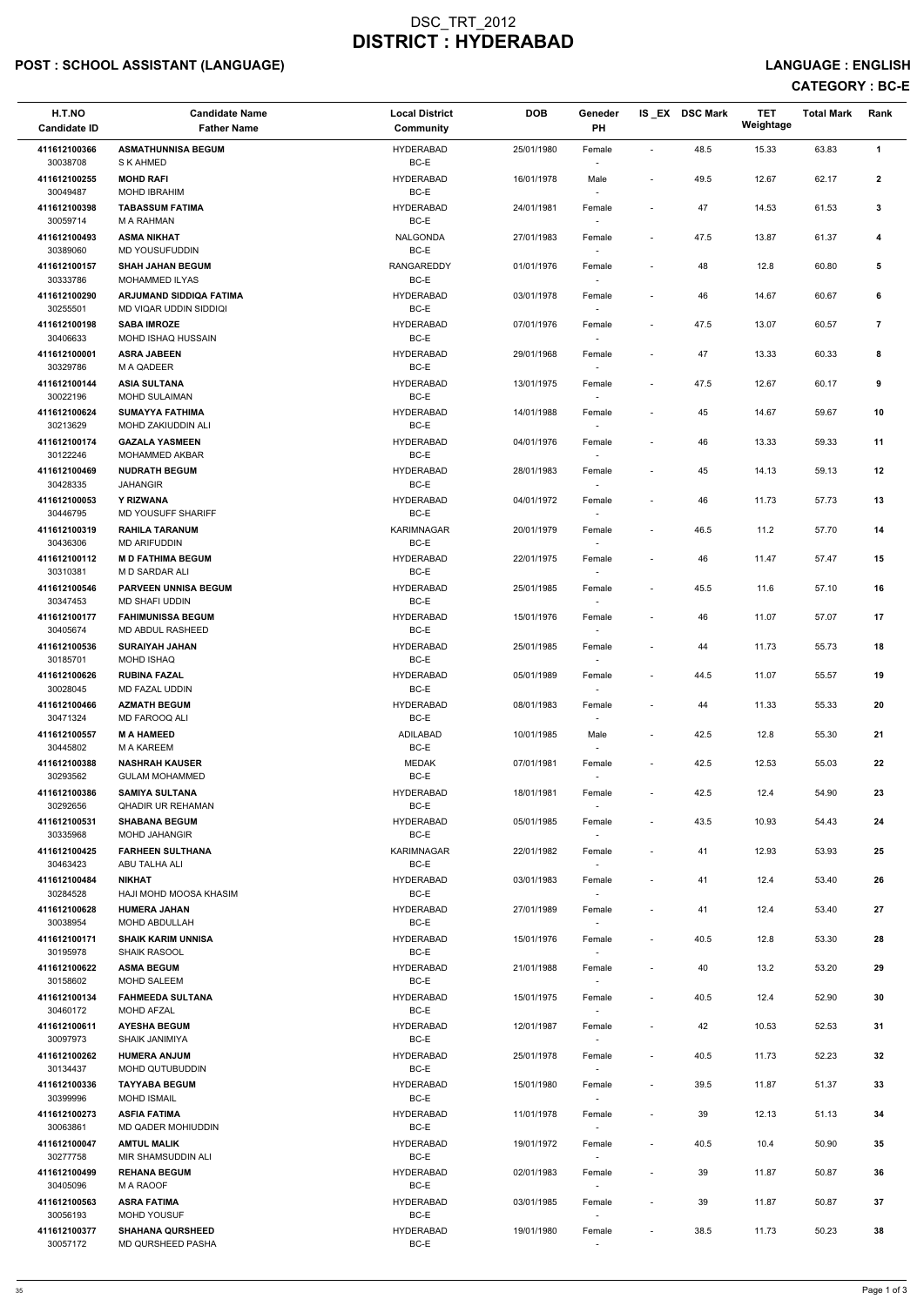# POST : SCHOOL ASSISTANT (LANGUAGE) And the state of the state of the state of the state of the state of the state of the state of the state of the state of the state of the state of the state of the state of the state of t

# CATEGORY : BC-E

| H.T.NO<br><b>Candidate ID</b> | <b>Candidate Name</b><br><b>Father Name</b>       | <b>Local District</b><br><b>Community</b> | <b>DOB</b> | Geneder<br><b>PH</b>               |                          | IS_EX DSC Mark | <b>TET</b><br>Weightage | <b>Total Mark</b> | Rank           |
|-------------------------------|---------------------------------------------------|-------------------------------------------|------------|------------------------------------|--------------------------|----------------|-------------------------|-------------------|----------------|
| 411612100366                  | <b>ASMATHUNNISA BEGUM</b>                         | <b>HYDERABAD</b>                          | 25/01/1980 | Female                             | $\blacksquare$           | 48.5           | 15.33                   | 63.83             | $\mathbf{1}$   |
| 30038708                      | S K AHMED                                         | BC-E                                      |            |                                    |                          |                |                         |                   |                |
| 411612100255<br>30049487      | <b>MOHD RAFI</b><br>MOHD IBRAHIM                  | <b>HYDERABAD</b><br>BC-E                  | 16/01/1978 | Male                               | $\overline{\phantom{a}}$ | 49.5           | 12.67                   | 62.17             | $\mathbf{2}$   |
| 411612100398<br>30059714      | <b>TABASSUM FATIMA</b><br>M A RAHMAN              | <b>HYDERABAD</b><br>BC-E                  | 24/01/1981 | Female                             | $\overline{\phantom{a}}$ | 47             | 14.53                   | 61.53             | $\mathbf{3}$   |
| 411612100493                  | <b>ASMA NIKHAT</b>                                | NALGONDA                                  | 27/01/1983 | Female                             | $\overline{\phantom{a}}$ | 47.5           | 13.87                   | 61.37             | 4              |
| 30389060<br>411612100157      | MD YOUSUFUDDIN<br><b>SHAH JAHAN BEGUM</b>         | BC-E<br><b>RANGAREDDY</b>                 | 01/01/1976 | Female                             | $\overline{\phantom{a}}$ | 48             | 12.8                    | 60.80             | 5              |
| 30333786                      | <b>MOHAMMED ILYAS</b>                             | BC-E                                      |            | $\sim$                             |                          |                |                         |                   |                |
| 411612100290<br>30255501      | ARJUMAND SIDDIQA FATIMA<br>MD VIQAR UDDIN SIDDIQI | <b>HYDERABAD</b><br>BC-E                  | 03/01/1978 | Female                             | $\blacksquare$           | 46             | 14.67                   | 60.67             | 6              |
| 411612100198<br>30406633      | <b>SABA IMROZE</b><br>MOHD ISHAQ HUSSAIN          | <b>HYDERABAD</b><br>BC-E                  | 07/01/1976 | Female                             | $\overline{\phantom{a}}$ | 47.5           | 13.07                   | 60.57             | $\overline{7}$ |
| 411612100001<br>30329786      | <b>ASRA JABEEN</b><br>M A QADEER                  | <b>HYDERABAD</b><br>BC-E                  | 29/01/1968 | Female<br>$\sim$                   | $\overline{\phantom{a}}$ | 47             | 13.33                   | 60.33             | 8              |
| 411612100144                  | <b>ASIA SULTANA</b>                               | <b>HYDERABAD</b>                          | 13/01/1975 | Female                             | $\overline{\phantom{a}}$ | 47.5           | 12.67                   | 60.17             | 9              |
| 30022196<br>411612100624      | <b>MOHD SULAIMAN</b><br><b>SUMAYYA FATHIMA</b>    | BC-E<br><b>HYDERABAD</b>                  | 14/01/1988 | Female                             | $\overline{\phantom{a}}$ | 45             | 14.67                   | 59.67             | 10             |
| 30213629                      | MOHD ZAKIUDDIN ALI                                | BC-E                                      |            | $\sim$                             |                          |                |                         |                   |                |
| 411612100174<br>30122246      | <b>GAZALA YASMEEN</b><br>MOHAMMED AKBAR           | <b>HYDERABAD</b><br>BC-E                  | 04/01/1976 | Female                             |                          | 46             | 13.33                   | 59.33             | 11             |
| 411612100469                  | <b>NUDRATH BEGUM</b>                              | <b>HYDERABAD</b>                          | 28/01/1983 | Female                             | $\overline{\phantom{a}}$ | 45             | 14.13                   | 59.13             | 12             |
| 30428335                      | <b>JAHANGIR</b>                                   | BC-E                                      |            |                                    |                          |                |                         |                   |                |
| 411612100053<br>30446795      | <b>Y RIZWANA</b><br>MD YOUSUFF SHARIFF            | <b>HYDERABAD</b><br>BC-E                  | 04/01/1972 | Female<br>$\sim$                   |                          | 46             | 11.73                   | 57.73             | 13             |
| 411612100319                  | <b>RAHILA TARANUM</b>                             | <b>KARIMNAGAR</b><br>BC-E                 | 20/01/1979 | Female                             | $\overline{\phantom{a}}$ | 46.5           | 11.2                    | 57.70             | 14             |
| 30436306<br>411612100112      | <b>MD ARIFUDDIN</b><br><b>MD FATHIMA BEGUM</b>    | <b>HYDERABAD</b>                          | 22/01/1975 | Female                             | $\overline{\phantom{a}}$ | 46             | 11.47                   | 57.47             | 15             |
| 30310381<br>411612100546      | M D SARDAR ALI<br><b>PARVEEN UNNISA BEGUM</b>     | BC-E<br><b>HYDERABAD</b>                  | 25/01/1985 | Female                             | $\overline{\phantom{a}}$ | 45.5           | 11.6                    | 57.10             | 16             |
| 30347453<br>411612100177      | MD SHAFI UDDIN<br><b>FAHIMUNISSA BEGUM</b>        | BC-E<br><b>HYDERABAD</b>                  | 15/01/1976 | $\overline{\phantom{a}}$<br>Female | $\overline{a}$           | 46             | 11.07                   | 57.07             | 17             |
| 30405674                      | <b>MD ABDUL RASHEED</b>                           | BC-E                                      |            | $\sim$                             |                          |                |                         |                   |                |
| 411612100536<br>30185701      | <b>SURAIYAH JAHAN</b><br><b>MOHD ISHAQ</b>        | <b>HYDERABAD</b><br>BC-E                  | 25/01/1985 | Female                             | $\overline{\phantom{a}}$ | 44             | 11.73                   | 55.73             | 18             |
| 411612100626<br>30028045      | <b>RUBINA FAZAL</b><br>MD FAZAL UDDIN             | <b>HYDERABAD</b><br>BC-E                  | 05/01/1989 | Female                             | $\overline{\phantom{a}}$ | 44.5           | 11.07                   | 55.57             | 19             |
| 411612100466<br>30471324      | <b>AZMATH BEGUM</b><br>MD FAROOQ ALI              | <b>HYDERABAD</b><br>BC-E                  | 08/01/1983 | Female                             | $\overline{\phantom{a}}$ | 44             | 11.33                   | 55.33             | 20             |
| 411612100557                  | <b>M A HAMEED</b>                                 | ADILABAD                                  | 10/01/1985 | Male                               | $\overline{\phantom{a}}$ | 42.5           | 12.8                    | 55.30             | 21             |
| 30445802<br>411612100388      | M A KAREEM<br><b>NASHRAH KAUSER</b>               | BC-E<br><b>MEDAK</b>                      | 07/01/1981 | $\sim$<br>Female                   | $\overline{\phantom{a}}$ | 42.5           | 12.53                   | 55.03             | 22             |
| 30293562                      | <b>GULAM MOHAMMED</b>                             | BC-E                                      |            |                                    |                          |                |                         |                   |                |
| 411612100386<br>30292656      | <b>SAMIYA SULTANA</b><br><b>QHADIR UR REHAMAN</b> | <b>HYDERABAD</b><br>BC-E                  | 18/01/1981 | Female                             | $\overline{\phantom{a}}$ | 42.5           | 12.4                    | 54.90             | 23             |
| 411612100531<br>30335968      | <b>SHABANA BEGUM</b><br><b>MOHD JAHANGIR</b>      | <b>HYDERABAD</b><br>BC-E                  | 05/01/1985 | Female<br>$\sim$                   | $\overline{\phantom{a}}$ | 43.5           | 10.93                   | 54.43             | 24             |
| 411612100425<br>30463423      | <b>FARHEEN SULTHANA</b><br>ABU TALHA ALI          | <b>KARIMNAGAR</b><br>BC-E                 | 22/01/1982 | Female<br>$\overline{\phantom{a}}$ | $\overline{\phantom{a}}$ | 41             | 12.93                   | 53.93             | 25             |
| 411612100484                  | <b>NIKHAT</b>                                     | <b>HYDERABAD</b><br>BC-E                  | 03/01/1983 | Female                             | $\overline{\phantom{a}}$ | 41             | 12.4                    | 53.40             | 26             |
| 30284528<br>411612100628      | HAJI MOHD MOOSA KHASIM<br><b>HUMERA JAHAN</b>     | <b>HYDERABAD</b>                          | 27/01/1989 | $\sim$<br>Female                   | $\overline{\phantom{a}}$ | 41             | 12.4                    | 53.40             | 27             |
| 30038954                      | MOHD ABDULLAH                                     | BC-E<br><b>HYDERABAD</b>                  |            |                                    |                          |                |                         |                   |                |
| 411612100171<br>30195978      | <b>SHAIK KARIM UNNISA</b><br><b>SHAIK RASOOL</b>  | BC-E                                      | 15/01/1976 | Female<br>$\sim$                   | $\overline{\phantom{a}}$ | 40.5           | 12.8                    | 53.30             | 28             |
| 411612100622<br>30158602      | <b>ASMA BEGUM</b><br><b>MOHD SALEEM</b>           | <b>HYDERABAD</b><br>BC-E                  | 21/01/1988 | Female<br>$\sim$                   | $\overline{\phantom{a}}$ | 40             | 13.2                    | 53.20             | 29             |
| 411612100134<br>30460172      | <b>FAHMEEDA SULTANA</b><br><b>MOHD AFZAL</b>      | <b>HYDERABAD</b><br>BC-E                  | 15/01/1975 | Female<br>$\sim$                   | $\overline{\phantom{a}}$ | 40.5           | 12.4                    | 52.90             | 30             |
| 411612100611                  | <b>AYESHA BEGUM</b>                               | <b>HYDERABAD</b>                          | 12/01/1987 | Female                             | $\overline{\phantom{a}}$ | 42             | 10.53                   | 52.53             | 31             |
| 30097973<br>411612100262      | SHAIK JANIMIYA<br><b>HUMERA ANJUM</b>             | BC-E<br><b>HYDERABAD</b>                  | 25/01/1978 | Female                             | $\overline{\phantom{a}}$ | 40.5           | 11.73                   | 52.23             | 32             |
| 30134437                      | MOHD QUTUBUDDIN                                   | BC-E                                      |            |                                    |                          |                |                         |                   |                |
| 411612100336<br>30399996      | <b>TAYYABA BEGUM</b><br><b>MOHD ISMAIL</b>        | <b>HYDERABAD</b><br>BC-E                  | 15/01/1980 | Female<br>$\sim$                   | $\overline{\phantom{a}}$ | 39.5           | 11.87                   | 51.37             | 33             |
| 411612100273<br>30063861      | <b>ASFIA FATIMA</b><br>MD QADER MOHIUDDIN         | HYDERABAD<br>BC-E                         | 11/01/1978 | Female                             | $\overline{\phantom{0}}$ | 39             | 12.13                   | 51.13             | 34             |
| 411612100047<br>30277758      | <b>AMTUL MALIK</b><br>MIR SHAMSUDDIN ALI          | <b>HYDERABAD</b><br>BC-E                  | 19/01/1972 | Female<br>$\sim$                   | $\overline{\phantom{a}}$ | 40.5           | 10.4                    | 50.90             | 35             |
| 411612100499                  | <b>REHANA BEGUM</b>                               | <b>HYDERABAD</b>                          | 02/01/1983 | Female                             | $\overline{\phantom{a}}$ | 39             | 11.87                   | 50.87             | 36             |
| 30405096<br>411612100563      | M A RAOOF<br><b>ASRA FATIMA</b>                   | BC-E<br><b>HYDERABAD</b>                  | 03/01/1985 | $\sim$<br>Female                   | $\overline{\phantom{a}}$ | 39             | 11.87                   | 50.87             | 37             |
| 30056193                      | MOHD YOUSUF                                       | BC-E                                      |            | $\sim$                             |                          |                |                         |                   |                |
| 411612100377<br>30057172      | <b>SHAHANA QURSHEED</b><br>MD QURSHEED PASHA      | HYDERABAD<br>BC-E                         | 19/01/1980 | Female                             | $\overline{\phantom{a}}$ | 38.5           | 11.73                   | 50.23             | 38             |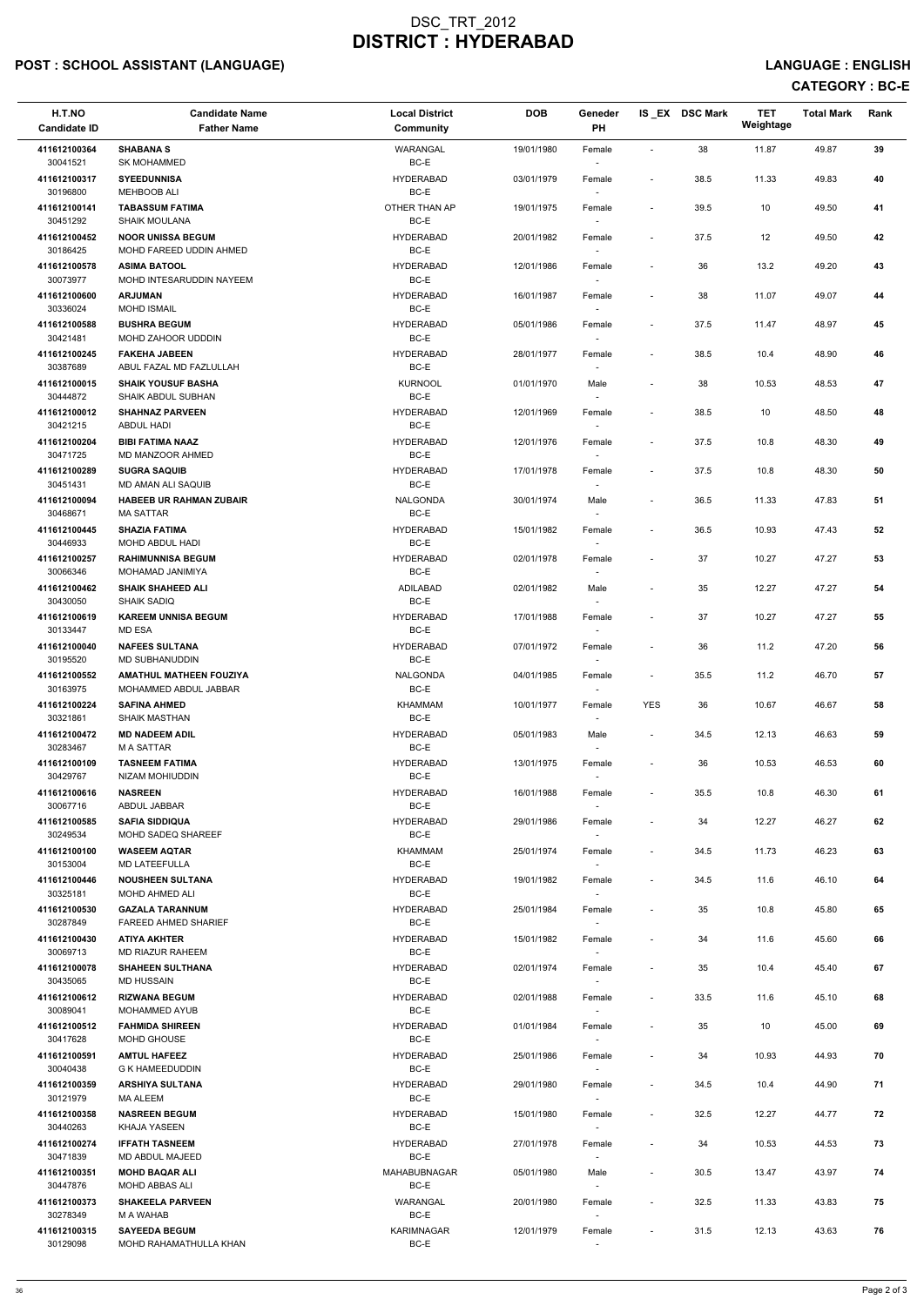# POST : SCHOOL ASSISTANT (LANGUAGE) And the state of the state of the state of the state of the state of the state of the state of the state of the state of the state of the state of the state of the state of the state of t

| H.T.NO<br><b>Candidate ID</b> | <b>Candidate Name</b><br><b>Father Name</b>             | <b>Local District</b><br>Community | <b>DOB</b> | Geneder<br>PH                      |                          | IS_EX DSC Mark | <b>TET</b><br>Weightage | <b>Total Mark</b> | Rank       |
|-------------------------------|---------------------------------------------------------|------------------------------------|------------|------------------------------------|--------------------------|----------------|-------------------------|-------------------|------------|
| 411612100364<br>30041521      | <b>SHABANA S</b><br><b>SK MOHAMMED</b>                  | <b>WARANGAL</b><br>BC-E            | 19/01/1980 | Female                             | $\sim$                   | 38             | 11.87                   | 49.87             | 39         |
| 411612100317<br>30196800      | <b>SYEEDUNNISA</b><br><b>MEHBOOB ALI</b>                | <b>HYDERABAD</b><br>BC-E           | 03/01/1979 | Female                             | $\sim$                   | 38.5           | 11.33                   | 49.83             | 40         |
| 411612100141<br>30451292      | <b>TABASSUM FATIMA</b><br><b>SHAIK MOULANA</b>          | OTHER THAN AP<br>BC-E              | 19/01/1975 | Female                             | $\overline{\phantom{a}}$ | 39.5           | 10                      | 49.50             | 41         |
| 411612100452<br>30186425      | <b>NOOR UNISSA BEGUM</b><br>MOHD FAREED UDDIN AHMED     | <b>HYDERABAD</b><br>BC-E           | 20/01/1982 | Female                             | $\blacksquare$           | 37.5           | 12                      | 49.50             | 42         |
| 411612100578<br>30073977      | <b>ASIMA BATOOL</b><br>MOHD INTESARUDDIN NAYEEM         | <b>HYDERABAD</b><br>BC-E           | 12/01/1986 | Female<br>$\overline{\phantom{a}}$ | $\overline{\phantom{a}}$ | 36             | 13.2                    | 49.20             | 43         |
| 411612100600<br>30336024      | <b>ARJUMAN</b><br><b>MOHD ISMAIL</b>                    | <b>HYDERABAD</b><br>BC-E           | 16/01/1987 | Female                             |                          | 38             | 11.07                   | 49.07             | 44         |
| 411612100588<br>30421481      | <b>BUSHRA BEGUM</b><br><b>MOHD ZAHOOR UDDDIN</b>        | <b>HYDERABAD</b><br>BC-E           | 05/01/1986 | Female                             | $\blacksquare$           | 37.5           | 11.47                   | 48.97             | 45         |
| 411612100245<br>30387689      | <b>FAKEHA JABEEN</b><br>ABUL FAZAL MD FAZLULLAH         | <b>HYDERABAD</b><br>BC-E           | 28/01/1977 | Female<br>$\overline{\phantom{a}}$ | $\overline{\phantom{a}}$ | 38.5           | 10.4                    | 48.90             | 46         |
| 411612100015<br>30444872      | <b>SHAIK YOUSUF BASHA</b><br><b>SHAIK ABDUL SUBHAN</b>  | <b>KURNOOL</b><br>BC-E             | 01/01/1970 | Male<br>$\sim$                     | $\overline{\phantom{a}}$ | 38             | 10.53                   | 48.53             | 47         |
| 411612100012<br>30421215      | <b>SHAHNAZ PARVEEN</b><br><b>ABDUL HADI</b>             | <b>HYDERABAD</b><br>BC-E           | 12/01/1969 | Female                             | $\overline{\phantom{a}}$ | 38.5           | 10                      | 48.50             | 48         |
| 411612100204<br>30471725      | <b>BIBI FATIMA NAAZ</b><br>MD MANZOOR AHMED             | <b>HYDERABAD</b><br>BC-E           | 12/01/1976 | Female                             | $\overline{\phantom{a}}$ | 37.5           | 10.8                    | 48.30             | 49         |
| 411612100289<br>30451431      | <b>SUGRA SAQUIB</b><br>MD AMAN ALI SAQUIB               | <b>HYDERABAD</b><br>BC-E           | 17/01/1978 | Female                             | $\blacksquare$           | 37.5           | 10.8                    | 48.30             | ${\bf 50}$ |
| 411612100094<br>30468671      | <b>HABEEB UR RAHMAN ZUBAIR</b><br><b>MA SATTAR</b>      | <b>NALGONDA</b><br>BC-E            | 30/01/1974 | Male<br>$\overline{\phantom{a}}$   | $\overline{\phantom{a}}$ | 36.5           | 11.33                   | 47.83             | 51         |
| 411612100445<br>30446933      | <b>SHAZIA FATIMA</b><br>MOHD ABDUL HADI                 | <b>HYDERABAD</b><br>BC-E           | 15/01/1982 | Female<br>$\sim$                   | $\overline{\phantom{a}}$ | 36.5           | 10.93                   | 47.43             | 52         |
| 411612100257<br>30066346      | <b>RAHIMUNNISA BEGUM</b><br>MOHAMAD JANIMIYA            | <b>HYDERABAD</b><br>BC-E           | 02/01/1978 | Female                             |                          | 37             | 10.27                   | 47.27             | 53         |
| 411612100462<br>30430050      | <b>SHAIK SHAHEED ALI</b><br><b>SHAIK SADIQ</b>          | ADILABAD<br>BC-E                   | 02/01/1982 | Male<br>$\sim$                     | $\blacksquare$           | 35             | 12.27                   | 47.27             | 54         |
| 411612100619<br>30133447      | <b>KAREEM UNNISA BEGUM</b><br>MD ESA                    | <b>HYDERABAD</b><br>BC-E           | 17/01/1988 | Female<br>$\sim$                   |                          | 37             | 10.27                   | 47.27             | 55         |
| 411612100040<br>30195520      | <b>NAFEES SULTANA</b><br>MD SUBHANUDDIN                 | <b>HYDERABAD</b><br>BC-E           | 07/01/1972 | Female                             | $\overline{\phantom{a}}$ | 36             | 11.2                    | 47.20             | 56         |
| 411612100552<br>30163975      | <b>AMATHUL MATHEEN FOUZIYA</b><br>MOHAMMED ABDUL JABBAR | <b>NALGONDA</b><br>BC-E            | 04/01/1985 | Female<br>$\sim$                   | $\sim$                   | 35.5           | 11.2                    | 46.70             | 57         |
| 411612100224<br>30321861      | <b>SAFINA AHMED</b><br><b>SHAIK MASTHAN</b>             | <b>KHAMMAM</b><br>BC-E             | 10/01/1977 | Female                             | <b>YES</b>               | 36             | 10.67                   | 46.67             | 58         |
| 411612100472<br>30283467      | <b>MD NADEEM ADIL</b><br><b>MASATTAR</b>                | <b>HYDERABAD</b><br>BC-E           | 05/01/1983 | Male<br>$\sim$                     | $\blacksquare$           | 34.5           | 12.13                   | 46.63             | 59         |
| 411612100109<br>30429767      | <b>TASNEEM FATIMA</b><br>NIZAM MOHIUDDIN                | <b>HYDERABAD</b><br>BC-E           | 13/01/1975 | Female                             |                          | 36             | 10.53                   | 46.53             | 60         |
| 411612100616<br>30067716      | <b>NASREEN</b><br>ABDUL JABBAR                          | <b>HYDERABAD</b><br>BC-E           | 16/01/1988 | Female                             | $\overline{\phantom{a}}$ | 35.5           | 10.8                    | 46.30             | 61         |
| 411612100585<br>30249534      | <b>SAFIA SIDDIQUA</b><br>MOHD SADEQ SHAREEF             | <b>HYDERABAD</b><br>BC-E           | 29/01/1986 | Female<br>$\sim$                   |                          | 34             | 12.27                   | 46.27             | 62         |
| 411612100100<br>30153004      | <b>WASEEM AQTAR</b><br><b>MD LATEEFULLA</b>             | <b>KHAMMAM</b><br>BC-E             | 25/01/1974 | Female<br>$\sim$                   | $\sim$                   | 34.5           | 11.73                   | 46.23             | 63         |
| 411612100446<br>30325181      | <b>NOUSHEEN SULTANA</b><br>MOHD AHMED ALI               | <b>HYDERABAD</b><br>BC-E           | 19/01/1982 | Female<br>$\sim$                   | $\overline{\phantom{a}}$ | 34.5           | 11.6                    | 46.10             | 64         |
| 411612100530<br>30287849      | <b>GAZALA TARANNUM</b><br><b>FAREED AHMED SHARIEF</b>   | <b>HYDERABAD</b><br>BC-E           | 25/01/1984 | Female                             |                          | 35             | 10.8                    | 45.80             | 65         |
| 411612100430<br>30069713      | <b>ATIYA AKHTER</b><br>MD RIAZUR RAHEEM                 | <b>HYDERABAD</b><br>BC-E           | 15/01/1982 | Female<br>$\sim$                   |                          | 34             | 11.6                    | 45.60             | 66         |
| 411612100078<br>30435065      | <b>SHAHEEN SULTHANA</b><br><b>MD HUSSAIN</b>            | <b>HYDERABAD</b><br>BC-E           | 02/01/1974 | Female                             |                          | 35             | 10.4                    | 45.40             | 67         |

| 411612100612 | <b>RIZWANA BEGUM</b>    | <b>HYDERABAD</b>    | 02/01/1988 | Female | $\overline{\phantom{0}}$ | 33.5 | 11.6  | 45.10 | 68 |
|--------------|-------------------------|---------------------|------------|--------|--------------------------|------|-------|-------|----|
| 30089041     | <b>MOHAMMED AYUB</b>    | BC-E                |            |        |                          |      |       |       |    |
| 411612100512 | <b>FAHMIDA SHIREEN</b>  | <b>HYDERABAD</b>    | 01/01/1984 | Female | $\overline{\phantom{0}}$ | 35   | 10    | 45.00 | 69 |
| 30417628     | MOHD GHOUSE             | BC-E                |            |        |                          |      |       |       |    |
| 411612100591 | <b>AMTUL HAFEEZ</b>     | <b>HYDERABAD</b>    | 25/01/1986 | Female | ٠                        | 34   | 10.93 | 44.93 | 70 |
| 30040438     | <b>G K HAMEEDUDDIN</b>  | BC-E                |            |        |                          |      |       |       |    |
| 411612100359 | <b>ARSHIYA SULTANA</b>  | <b>HYDERABAD</b>    | 29/01/1980 | Female | ٠                        | 34.5 | 10.4  | 44.90 | 71 |
| 30121979     | <b>MA ALEEM</b>         | BC-E                |            |        |                          |      |       |       |    |
| 411612100358 | <b>NASREEN BEGUM</b>    | <b>HYDERABAD</b>    | 15/01/1980 | Female | $\overline{\phantom{0}}$ | 32.5 | 12.27 | 44.77 | 72 |
| 30440263     | KHAJA YASEEN            | BC-E                |            |        |                          |      |       |       |    |
| 411612100274 | <b>IFFATH TASNEEM</b>   | <b>HYDERABAD</b>    | 27/01/1978 | Female |                          | 34   | 10.53 | 44.53 | 73 |
| 30471839     | MD ABDUL MAJEED         | BC-E                |            |        |                          |      |       |       |    |
| 411612100351 | <b>MOHD BAQAR ALI</b>   | <b>MAHABUBNAGAR</b> | 05/01/1980 | Male   | ٠                        | 30.5 | 13.47 | 43.97 | 74 |
| 30447876     | MOHD ABBAS ALI          | BC-E                |            |        |                          |      |       |       |    |
| 411612100373 | <b>SHAKEELA PARVEEN</b> | WARANGAL            | 20/01/1980 | Female | $\sim$                   | 32.5 | 11.33 | 43.83 | 75 |
| 30278349     | M A WAHAB               | BC-E                |            |        |                          |      |       |       |    |
| 411612100315 | <b>SAYEEDA BEGUM</b>    | <b>KARIMNAGAR</b>   | 12/01/1979 | Female | ٠                        | 31.5 | 12.13 | 43.63 | 76 |
| 30129098     | MOHD RAHAMATHULLA KHAN  | BC-E                |            |        |                          |      |       |       |    |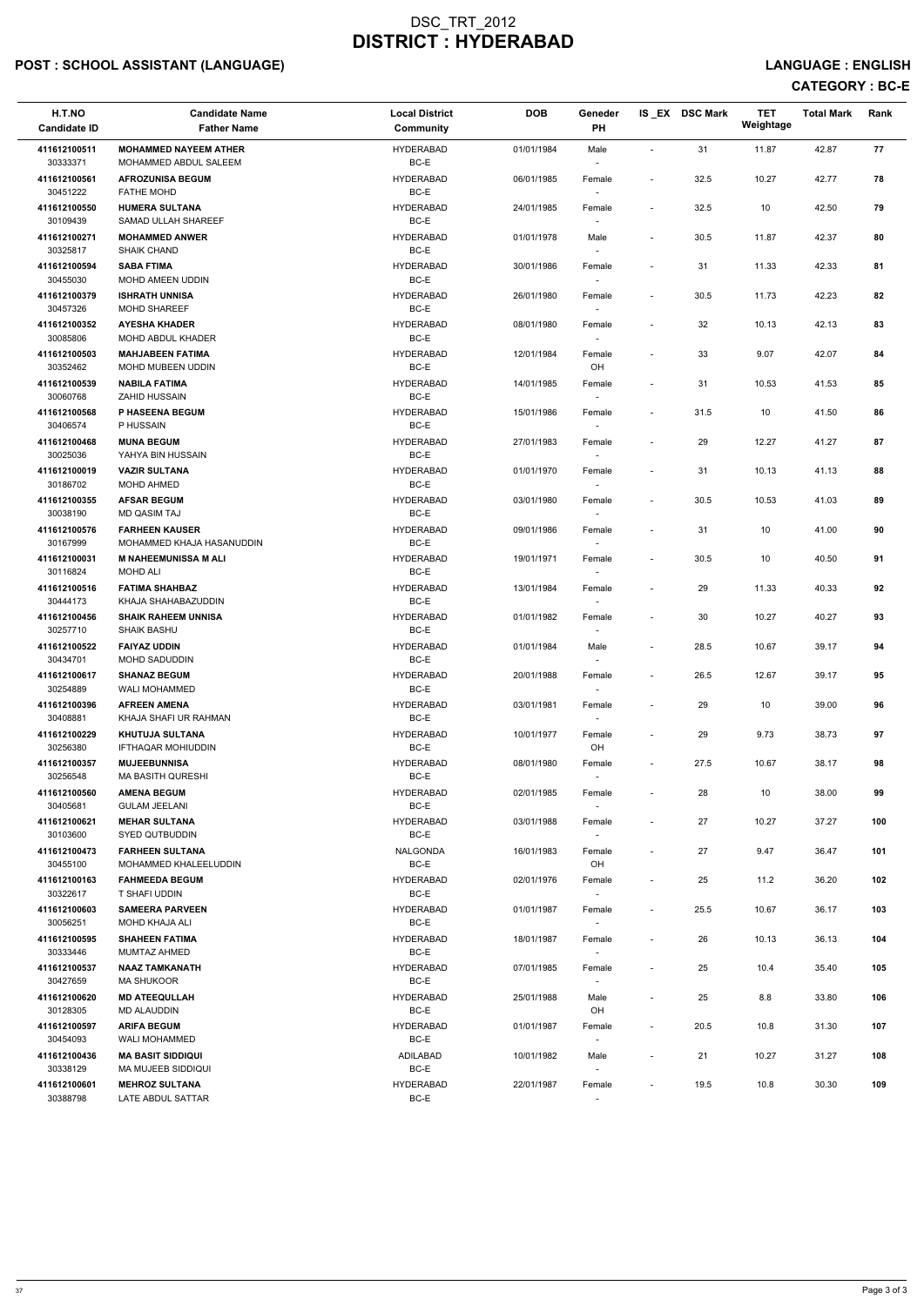## POST : SCHOOL ASSISTANT (LANGUAGE) And the state of the state of the state of the state of the state of the state of the state of the state of the state of the state of the state of the state of the state of the state of t

| H.T.NO<br><b>Candidate ID</b>            | <b>Candidate Name</b><br><b>Father Name</b>                                | <b>Local District</b><br><b>Community</b>    | <b>DOB</b>               | Geneder<br>PH                      |                                                      | IS_EX DSC Mark | <b>TET</b><br>Weightage | <b>Total Mark</b> | Rank     |
|------------------------------------------|----------------------------------------------------------------------------|----------------------------------------------|--------------------------|------------------------------------|------------------------------------------------------|----------------|-------------------------|-------------------|----------|
| 411612100511<br>30333371                 | <b>MOHAMMED NAYEEM ATHER</b><br>MOHAMMED ABDUL SALEEM                      | <b>HYDERABAD</b><br>BC-E                     | 01/01/1984               | Male<br>$\sim$                     | $\sim$                                               | 31             | 11.87                   | 42.87             | 77       |
| 411612100561<br>30451222                 | <b>AFROZUNISA BEGUM</b><br><b>FATHE MOHD</b>                               | <b>HYDERABAD</b><br>BC-E                     | 06/01/1985               | Female                             |                                                      | 32.5           | 10.27                   | 42.77             | 78       |
| 411612100550<br>30109439                 | <b>HUMERA SULTANA</b><br>SAMAD ULLAH SHAREEF                               | <b>HYDERABAD</b><br>BC-E                     | 24/01/1985               | Female                             | $\overline{\phantom{a}}$                             | 32.5           | 10                      | 42.50             | 79       |
| 411612100271<br>30325817                 | <b>MOHAMMED ANWER</b><br><b>SHAIK CHAND</b>                                | <b>HYDERABAD</b><br>BC-E                     | 01/01/1978               | Male<br>$\overline{\phantom{a}}$   | $\overline{\phantom{a}}$                             | 30.5           | 11.87                   | 42.37             | 80       |
| 411612100594<br>30455030                 | <b>SABA FTIMA</b><br><b>MOHD AMEEN UDDIN</b>                               | <b>HYDERABAD</b><br>BC-E                     | 30/01/1986               | Female<br>$\sim$                   | $\overline{\phantom{a}}$                             | 31             | 11.33                   | 42.33             | 81       |
| 411612100379<br>30457326                 | <b>ISHRATH UNNISA</b><br><b>MOHD SHAREEF</b>                               | <b>HYDERABAD</b><br>BC-E                     | 26/01/1980               | Female                             | $\overline{\phantom{a}}$                             | 30.5           | 11.73                   | 42.23             | 82       |
| 411612100352<br>30085806                 | <b>AYESHA KHADER</b><br>MOHD ABDUL KHADER                                  | <b>HYDERABAD</b><br>BC-E                     | 08/01/1980               | Female                             | $\blacksquare$                                       | 32             | 10.13                   | 42.13             | 83       |
| 411612100503<br>30352462                 | <b>MAHJABEEN FATIMA</b><br>MOHD MUBEEN UDDIN                               | <b>HYDERABAD</b><br>BC-E                     | 12/01/1984               | Female<br>OH                       |                                                      | 33             | 9.07                    | 42.07             | 84       |
| 411612100539<br>30060768                 | <b>NABILA FATIMA</b><br><b>ZAHID HUSSAIN</b>                               | <b>HYDERABAD</b><br>BC-E                     | 14/01/1985               | Female<br>$\sim$                   | $\blacksquare$                                       | 31             | 10.53                   | 41.53             | 85       |
| 411612100568<br>30406574                 | P HASEENA BEGUM<br>P HUSSAIN                                               | <b>HYDERABAD</b><br>BC-E                     | 15/01/1986               | Female<br>$\sim$                   | $\overline{\phantom{a}}$                             | 31.5           | 10                      | 41.50             | 86       |
| 411612100468<br>30025036                 | <b>MUNA BEGUM</b><br>YAHYA BIN HUSSAIN                                     | <b>HYDERABAD</b><br>BC-E                     | 27/01/1983               | Female                             |                                                      | 29             | 12.27                   | 41.27             | 87       |
| 411612100019<br>30186702                 | <b>VAZIR SULTANA</b><br>MOHD AHMED                                         | <b>HYDERABAD</b><br>BC-E                     | 01/01/1970               | Female<br>$\overline{\phantom{a}}$ | $\overline{\phantom{a}}$                             | 31             | 10.13                   | 41.13             | 88       |
| 411612100355<br>30038190                 | <b>AFSAR BEGUM</b><br>MD QASIM TAJ                                         | <b>HYDERABAD</b><br>BC-E                     | 03/01/1980               | Female<br>$\sim$                   |                                                      | 30.5           | 10.53                   | 41.03             | 89       |
| 411612100576<br>30167999                 | <b>FARHEEN KAUSER</b><br>MOHAMMED KHAJA HASANUDDIN                         | <b>HYDERABAD</b><br>BC-E                     | 09/01/1986               | Female                             | $\overline{\phantom{a}}$                             | 31             | 10                      | 41.00             | 90       |
| 411612100031<br>30116824                 | <b>M NAHEEMUNISSA M ALI</b><br><b>MOHD ALI</b>                             | <b>HYDERABAD</b><br>BC-E                     | 19/01/1971               | Female                             | $\overline{\phantom{a}}$                             | 30.5           | 10                      | 40.50             | 91       |
| 411612100516<br>30444173                 | <b>FATIMA SHAHBAZ</b><br>KHAJA SHAHABAZUDDIN                               | <b>HYDERABAD</b><br>BC-E                     | 13/01/1984               | Female<br>$\sim$                   | $\blacksquare$                                       | 29             | 11.33                   | 40.33             | 92       |
| 411612100456<br>30257710                 | <b>SHAIK RAHEEM UNNISA</b><br>SHAIK BASHU                                  | <b>HYDERABAD</b><br>BC-E                     | 01/01/1982               | Female<br>$\sim$                   |                                                      | 30             | 10.27                   | 40.27             | 93       |
| 411612100522<br>30434701                 | <b>FAIYAZ UDDIN</b><br>MOHD SADUDDIN                                       | <b>HYDERABAD</b><br>BC-E<br><b>HYDERABAD</b> | 01/01/1984               | Male                               | $\sim$                                               | 28.5           | 10.67                   | 39.17             | 94       |
| 411612100617<br>30254889                 | <b>SHANAZ BEGUM</b><br><b>WALI MOHAMMED</b>                                | BC-E                                         | 20/01/1988               | Female                             | $\sim$                                               | 26.5           | 12.67                   | 39.17             | 95       |
| 411612100396<br>30408881<br>411612100229 | <b>AFREEN AMENA</b><br>KHAJA SHAFI UR RAHMAN                               | <b>HYDERABAD</b><br>BC-E<br><b>HYDERABAD</b> | 03/01/1981<br>10/01/1977 | Female                             | $\overline{\phantom{a}}$                             | 29             | 10                      | 39.00             | 96       |
| 30256380<br>411612100357                 | <b>KHUTUJA SULTANA</b><br><b>IFTHAQAR MOHIUDDIN</b><br><b>MUJEEBUNNISA</b> | BC-E<br><b>HYDERABAD</b>                     |                          | Female<br>OH                       | $\overline{\phantom{a}}$<br>$\overline{\phantom{a}}$ | 29<br>27.5     | 9.73                    | 38.73<br>38.17    | 97<br>98 |
| 30256548<br>411612100560                 | <b>MA BASITH QURESHI</b><br><b>AMENA BEGUM</b>                             | BC-E<br><b>HYDERABAD</b>                     | 08/01/1980<br>02/01/1985 | Female                             | $\blacksquare$                                       | 28             | 10.67<br>10             | 38.00             | 99       |
| 30405681<br>411612100621                 | <b>GULAM JEELANI</b><br><b>MEHAR SULTANA</b>                               | BC-E<br><b>HYDERABAD</b>                     | 03/01/1988               | Female<br>Female                   | $\overline{\phantom{a}}$                             | 27             | 10.27                   | 37.27             | 100      |
| 30103600<br>411612100473                 | SYED QUTBUDDIN<br><b>FARHEEN SULTANA</b>                                   | BC-E<br>NALGONDA                             | 16/01/1983               | $\sim$<br>Female                   | $\blacksquare$                                       | 27             | 9.47                    | 36.47             | 101      |
| 30455100<br>411612100163                 | MOHAMMED KHALEELUDDIN<br><b>FAHMEEDA BEGUM</b>                             | BC-E<br><b>HYDERABAD</b>                     | 02/01/1976               | OH<br>Female                       | $\overline{\phantom{a}}$                             | 25             | 11.2                    | 36.20             | 102      |
| 30322617<br>411612100603                 | T SHAFI UDDIN<br><b>SAMEERA PARVEEN</b>                                    | BC-E<br><b>HYDERABAD</b>                     | 01/01/1987               | $\sim$                             | $\sim$                                               | 25.5           | 10.67                   | 36.17             | 103      |
| 30056251<br>411612100595                 | MOHD KHAJA ALI<br><b>SHAHEEN FATIMA</b>                                    | BC-E<br><b>HYDERABAD</b>                     | 18/01/1987               | Female<br>Female                   | $\overline{\phantom{a}}$                             | 26             | 10.13                   | 36.13             | 104      |
| 30333446<br>411612100537                 | MUMTAZ AHMED<br><b>NAAZ TAMKANATH</b>                                      | BC-E<br><b>HYDERABAD</b>                     | 07/01/1985               | $\sim$                             | $\overline{\phantom{a}}$                             | 25             | 10.4                    | 35.40             | 105      |
| 30427659                                 | <b>MA SHUKOOR</b>                                                          | BC-E                                         |                          | Female                             |                                                      |                |                         |                   |          |

| 411612100620 | <b>MD ATEEQULLAH</b>     | <b>HYDERABAD</b> | 25/01/1988 | Male                     |                          | 25   | 8.8   | 33.80 | 106 |
|--------------|--------------------------|------------------|------------|--------------------------|--------------------------|------|-------|-------|-----|
| 30128305     | <b>MD ALAUDDIN</b>       | BC-E             |            | OH                       |                          |      |       |       |     |
| 411612100597 | <b>ARIFA BEGUM</b>       | HYDERABAD        | 01/01/1987 | Female                   | $\overline{\phantom{a}}$ | 20.5 | 10.8  | 31.30 | 107 |
| 30454093     | <b>WALI MOHAMMED</b>     | BC-E             |            | $\overline{\phantom{0}}$ |                          |      |       |       |     |
| 411612100436 | <b>MA BASIT SIDDIQUI</b> | ADILABAD         | 10/01/1982 | Male                     |                          | 21   | 10.27 | 31.27 | 108 |
| 30338129     | MA MUJEEB SIDDIQUI       | BC-E             |            | $\overline{\phantom{0}}$ |                          |      |       |       |     |
| 411612100601 | <b>MEHROZ SULTANA</b>    | HYDERABAD        | 22/01/1987 | Female                   | $\overline{\phantom{0}}$ | 19.5 | 10.8  | 30.30 | 109 |
| 30388798     | LATE ABDUL SATTAR        | BC-E             |            | $\overline{\phantom{0}}$ |                          |      |       |       |     |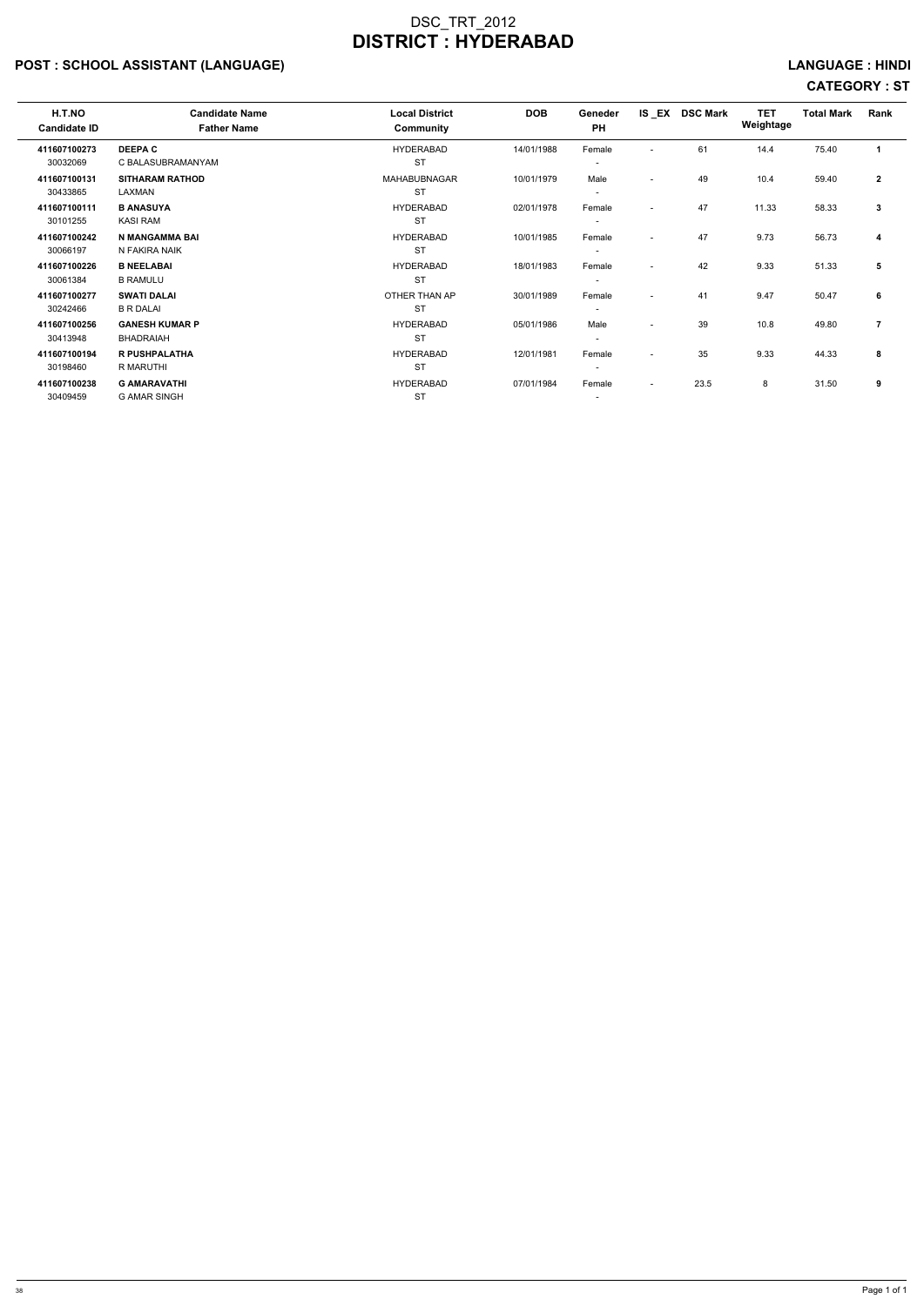## POST : SCHOOL ASSISTANT (LANGUAGE) And the set of the set of the set of the set of the set of the set of the set of the set of the set of the set of the set of the set of the set of the set of the set of the set of the set

| <b>H.T.NO</b><br><b>Candidate ID</b> | <b>Candidate Name</b><br><b>Father Name</b> | <b>Local District</b><br>Community | <b>DOB</b> | Geneder<br><b>PH</b>     | IS_EX                    | <b>DSC Mark</b> | <b>TET</b><br>Weightage | <b>Total Mark</b> | Rank           |
|--------------------------------------|---------------------------------------------|------------------------------------|------------|--------------------------|--------------------------|-----------------|-------------------------|-------------------|----------------|
| 411607100273                         | <b>DEEPAC</b>                               | <b>HYDERABAD</b>                   | 14/01/1988 | Female                   | $\overline{\phantom{a}}$ | 61              | 14.4                    | 75.40             |                |
| 30032069                             | C BALASUBRAMANYAM                           | <b>ST</b>                          |            | -                        |                          |                 |                         |                   |                |
| 411607100131                         | <b>SITHARAM RATHOD</b>                      | <b>MAHABUBNAGAR</b>                | 10/01/1979 | Male                     | $\overline{\phantom{a}}$ | 49              | 10.4                    | 59.40             | $\mathbf{2}$   |
| 30433865                             | LAXMAN                                      | <b>ST</b>                          |            | $\overline{\phantom{a}}$ |                          |                 |                         |                   |                |
| 411607100111                         | <b>B ANASUYA</b>                            | <b>HYDERABAD</b>                   | 02/01/1978 | Female                   | $\overline{\phantom{a}}$ | 47              | 11.33                   | 58.33             | 3              |
| 30101255                             | <b>KASI RAM</b>                             | <b>ST</b>                          |            | $\overline{\phantom{a}}$ |                          |                 |                         |                   |                |
| 411607100242                         | N MANGAMMA BAI                              | <b>HYDERABAD</b>                   | 10/01/1985 | Female                   | $\overline{\phantom{0}}$ | 47              | 9.73                    | 56.73             | 4              |
| 30066197                             | N FAKIRA NAIK                               | <b>ST</b>                          |            | $\overline{\phantom{a}}$ |                          |                 |                         |                   |                |
| 411607100226                         | <b>B NEELABAI</b>                           | <b>HYDERABAD</b>                   | 18/01/1983 | Female                   | $\overline{\phantom{a}}$ | 42              | 9.33                    | 51.33             | 5              |
| 30061384                             | <b>B RAMULU</b>                             | <b>ST</b>                          |            |                          |                          |                 |                         |                   |                |
| 411607100277                         | <b>SWATI DALAI</b>                          | OTHER THAN AP                      | 30/01/1989 | Female                   | $\overline{\phantom{a}}$ | 41              | 9.47                    | 50.47             | 6              |
| 30242466                             | <b>B R DALAI</b>                            | <b>ST</b>                          |            | $\overline{\phantom{a}}$ |                          |                 |                         |                   |                |
| 411607100256                         | <b>GANESH KUMAR P</b>                       | <b>HYDERABAD</b>                   | 05/01/1986 | Male                     | $\overline{\phantom{a}}$ | 39              | 10.8                    | 49.80             | $\overline{7}$ |
| 30413948                             | <b>BHADRAIAH</b>                            | <b>ST</b>                          |            | $\overline{\phantom{a}}$ |                          |                 |                         |                   |                |
| 411607100194                         | <b>R PUSHPALATHA</b>                        | <b>HYDERABAD</b>                   | 12/01/1981 | Female                   | $\overline{\phantom{a}}$ | 35              | 9.33                    | 44.33             | 8              |
| 30198460                             | <b>R MARUTHI</b>                            | <b>ST</b>                          |            | $\overline{\phantom{a}}$ |                          |                 |                         |                   |                |
| 411607100238                         | <b>G AMARAVATHI</b>                         | <b>HYDERABAD</b>                   | 07/01/1984 | Female                   | $\overline{\phantom{a}}$ | 23.5            | 8                       | 31.50             | 9              |
| 30409459                             | <b>G AMAR SINGH</b>                         | <b>ST</b>                          |            | $\overline{\phantom{a}}$ |                          |                 |                         |                   |                |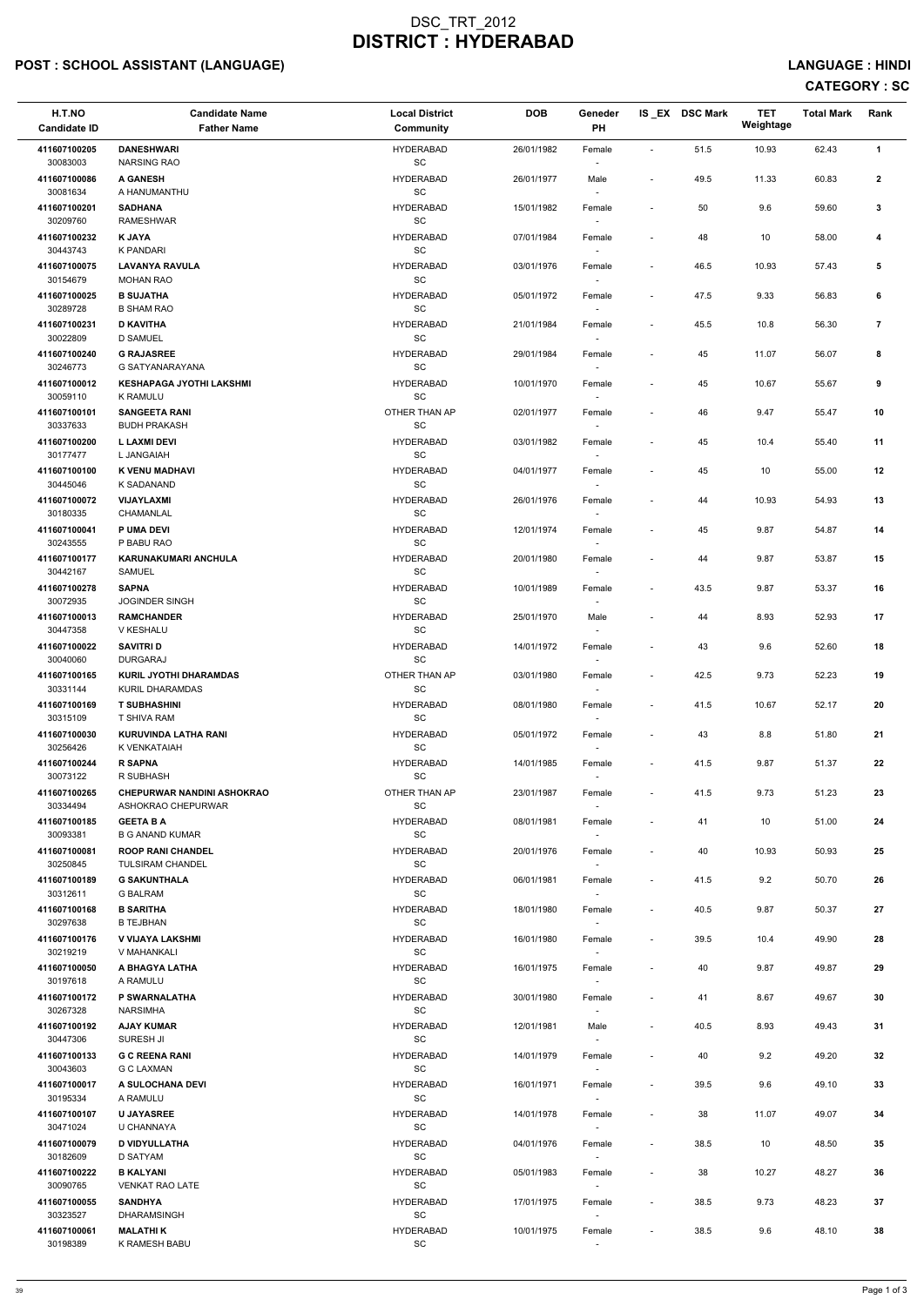## POST : SCHOOL ASSISTANT (LANGUAGE) And the state of the state of the state of the state of the state of the state of the state of the state of the state of the state of the state of the state of the state of the state of t

| <b>Candidate Name</b><br><b>Father Name</b>         | <b>Local District</b><br>Community                                                                                                                                                                                                                                                                                                                                                                                 | <b>DOB</b>                                                                                                                                                        | Geneder<br>PH    |                                                                            |      | <b>TET</b><br>Weightage | <b>Total Mark</b> | Rank           |
|-----------------------------------------------------|--------------------------------------------------------------------------------------------------------------------------------------------------------------------------------------------------------------------------------------------------------------------------------------------------------------------------------------------------------------------------------------------------------------------|-------------------------------------------------------------------------------------------------------------------------------------------------------------------|------------------|----------------------------------------------------------------------------|------|-------------------------|-------------------|----------------|
| <b>DANESHWARI</b>                                   | <b>HYDERABAD</b>                                                                                                                                                                                                                                                                                                                                                                                                   | 26/01/1982                                                                                                                                                        | Female           | $\overline{\phantom{a}}$                                                   | 51.5 | 10.93                   | 62.43             | 1              |
| <b>A GANESH</b>                                     | <b>HYDERABAD</b>                                                                                                                                                                                                                                                                                                                                                                                                   | 26/01/1977                                                                                                                                                        | Male             | $\overline{\phantom{a}}$                                                   | 49.5 | 11.33                   | 60.83             | $\overline{2}$ |
| <b>SADHANA</b>                                      | <b>HYDERABAD</b>                                                                                                                                                                                                                                                                                                                                                                                                   | 15/01/1982                                                                                                                                                        | Female           | $\overline{\phantom{a}}$                                                   | 50   | 9.6                     | 59.60             | 3              |
| <b>K JAYA</b>                                       | <b>HYDERABAD</b>                                                                                                                                                                                                                                                                                                                                                                                                   | 07/01/1984                                                                                                                                                        | Female           | $\overline{\phantom{a}}$                                                   | 48   | 10                      | 58.00             | 4              |
| <b>LAVANYA RAVULA</b>                               | <b>HYDERABAD</b>                                                                                                                                                                                                                                                                                                                                                                                                   | 03/01/1976                                                                                                                                                        | Female           | $\overline{\phantom{a}}$                                                   | 46.5 | 10.93                   | 57.43             | 5              |
| <b>B SUJATHA</b>                                    | <b>HYDERABAD</b>                                                                                                                                                                                                                                                                                                                                                                                                   | 05/01/1972                                                                                                                                                        | Female           | $\overline{\phantom{a}}$                                                   | 47.5 | 9.33                    | 56.83             | 6              |
| <b>D KAVITHA</b>                                    | <b>HYDERABAD</b>                                                                                                                                                                                                                                                                                                                                                                                                   | 21/01/1984                                                                                                                                                        | Female           | $\overline{\phantom{a}}$                                                   | 45.5 | 10.8                    | 56.30             | $\overline{7}$ |
| <b>G RAJASREE</b>                                   | <b>HYDERABAD</b>                                                                                                                                                                                                                                                                                                                                                                                                   | 29/01/1984                                                                                                                                                        | Female           | $\overline{\phantom{a}}$                                                   | 45   | 11.07                   | 56.07             | 8              |
| <b>KESHAPAGA JYOTHI LAKSHMI</b>                     | <b>HYDERABAD</b>                                                                                                                                                                                                                                                                                                                                                                                                   | 10/01/1970                                                                                                                                                        | Female           | $\overline{\phantom{0}}$                                                   | 45   | 10.67                   | 55.67             | 9              |
| <b>SANGEETA RANI</b>                                | OTHER THAN AP                                                                                                                                                                                                                                                                                                                                                                                                      | 02/01/1977                                                                                                                                                        | Female           | $\overline{\phantom{a}}$                                                   | 46   | 9.47                    | 55.47             | 10             |
| <b>L LAXMI DEVI</b>                                 | <b>HYDERABAD</b>                                                                                                                                                                                                                                                                                                                                                                                                   | 03/01/1982                                                                                                                                                        | Female           | $\overline{\phantom{a}}$                                                   | 45   | 10.4                    | 55.40             | 11             |
| K VENU MADHAVI                                      | <b>HYDERABAD</b>                                                                                                                                                                                                                                                                                                                                                                                                   | 04/01/1977                                                                                                                                                        | Female           | $\overline{\phantom{a}}$                                                   | 45   | 10                      | 55.00             | 12             |
| <b>VIJAYLAXMI</b>                                   | <b>HYDERABAD</b>                                                                                                                                                                                                                                                                                                                                                                                                   | 26/01/1976                                                                                                                                                        | Female           | $\overline{\phantom{a}}$                                                   | 44   | 10.93                   | 54.93             | 13             |
| <b>P UMA DEVI</b>                                   | <b>HYDERABAD</b>                                                                                                                                                                                                                                                                                                                                                                                                   | 12/01/1974                                                                                                                                                        | Female           | $\overline{\phantom{0}}$                                                   | 45   | 9.87                    | 54.87             | 14             |
| <b>KARUNAKUMARI ANCHULA</b>                         | <b>HYDERABAD</b>                                                                                                                                                                                                                                                                                                                                                                                                   | 20/01/1980                                                                                                                                                        | Female           | $\overline{\phantom{a}}$                                                   | 44   | 9.87                    | 53.87             | 15             |
| <b>SAPNA</b>                                        | <b>HYDERABAD</b>                                                                                                                                                                                                                                                                                                                                                                                                   | 10/01/1989                                                                                                                                                        | Female           | $\overline{\phantom{a}}$                                                   | 43.5 | 9.87                    | 53.37             | 16             |
| <b>RAMCHANDER</b>                                   | <b>HYDERABAD</b>                                                                                                                                                                                                                                                                                                                                                                                                   | 25/01/1970                                                                                                                                                        | Male             | $\overline{\phantom{0}}$                                                   | 44   | 8.93                    | 52.93             | 17             |
| <b>SAVITRI D</b>                                    | <b>HYDERABAD</b>                                                                                                                                                                                                                                                                                                                                                                                                   | 14/01/1972                                                                                                                                                        | Female           | $\overline{\phantom{a}}$                                                   | 43   | 9.6                     | 52.60             | 18             |
| <b>KURIL JYOTHI DHARAMDAS</b>                       | OTHER THAN AP                                                                                                                                                                                                                                                                                                                                                                                                      | 03/01/1980                                                                                                                                                        | Female           | $\overline{\phantom{a}}$                                                   | 42.5 | 9.73                    | 52.23             | 19             |
| <b>T SUBHASHINI</b>                                 | <b>HYDERABAD</b>                                                                                                                                                                                                                                                                                                                                                                                                   | 08/01/1980                                                                                                                                                        | Female           | $\overline{\phantom{a}}$                                                   | 41.5 | 10.67                   | 52.17             | 20             |
| <b>KURUVINDA LATHA RANI</b>                         | <b>HYDERABAD</b>                                                                                                                                                                                                                                                                                                                                                                                                   | 05/01/1972                                                                                                                                                        | Female           | $\overline{\phantom{a}}$                                                   | 43   | 8.8                     | 51.80             | 21             |
| <b>R SAPNA</b>                                      | <b>HYDERABAD</b>                                                                                                                                                                                                                                                                                                                                                                                                   | 14/01/1985                                                                                                                                                        | Female           | $\overline{\phantom{a}}$                                                   | 41.5 | 9.87                    | 51.37             | 22             |
| <b>CHEPURWAR NANDINI ASHOKRAO</b>                   | OTHER THAN AP                                                                                                                                                                                                                                                                                                                                                                                                      | 23/01/1987                                                                                                                                                        | Female           | $\overline{\phantom{a}}$                                                   | 41.5 | 9.73                    | 51.23             | 23             |
| <b>GEETA B A</b><br><b>B G ANAND KUMAR</b>          | <b>HYDERABAD</b><br><b>SC</b>                                                                                                                                                                                                                                                                                                                                                                                      | 08/01/1981                                                                                                                                                        | Female           | $\overline{\phantom{a}}$                                                   | 41   | 10                      | 51.00             | 24             |
| <b>ROOP RANI CHANDEL</b><br><b>TULSIRAM CHANDEL</b> | <b>HYDERABAD</b>                                                                                                                                                                                                                                                                                                                                                                                                   | 20/01/1976                                                                                                                                                        | Female<br>$\sim$ | $\blacksquare$                                                             | 40   | 10.93                   | 50.93             | 25             |
| <b>G SAKUNTHALA</b><br><b>G BALRAM</b>              | <b>HYDERABAD</b><br>SC                                                                                                                                                                                                                                                                                                                                                                                             | 06/01/1981                                                                                                                                                        | Female<br>$\sim$ | $\overline{\phantom{a}}$                                                   | 41.5 | 9.2                     | 50.70             | 26             |
| <b>B SARITHA</b><br><b>B TEJBHAN</b>                | <b>HYDERABAD</b><br><b>SC</b>                                                                                                                                                                                                                                                                                                                                                                                      | 18/01/1980                                                                                                                                                        | Female<br>$\sim$ | $\overline{\phantom{a}}$                                                   | 40.5 | 9.87                    | 50.37             | 27             |
| <b>V VIJAYA LAKSHMI</b><br>V MAHANKALI              | <b>HYDERABAD</b><br><b>SC</b>                                                                                                                                                                                                                                                                                                                                                                                      | 16/01/1980                                                                                                                                                        | Female           | $\overline{\phantom{a}}$                                                   | 39.5 | 10.4                    | 49.90             | 28             |
| A BHAGYA LATHA<br>A RAMULU                          | <b>HYDERABAD</b><br><b>SC</b>                                                                                                                                                                                                                                                                                                                                                                                      | 16/01/1975                                                                                                                                                        | Female<br>$\sim$ | $\overline{\phantom{a}}$                                                   | 40   | 9.87                    | 49.87             | 29             |
| P SWARNALATHA<br><b>NARSIMHA</b>                    | <b>HYDERABAD</b><br>SC                                                                                                                                                                                                                                                                                                                                                                                             | 30/01/1980                                                                                                                                                        | Female<br>$\sim$ |                                                                            | 41   | 8.67                    | 49.67             | 30             |
| <b>AJAY KUMAR</b><br>SURESH JI                      | <b>HYDERABAD</b><br>SC                                                                                                                                                                                                                                                                                                                                                                                             | 12/01/1981                                                                                                                                                        | Male<br>$\sim$   | $\overline{\phantom{a}}$                                                   | 40.5 | 8.93                    | 49.43             | 31             |
| <b>G C REENA RANI</b><br>G C LAXMAN                 | <b>HYDERABAD</b><br>SC                                                                                                                                                                                                                                                                                                                                                                                             | 14/01/1979                                                                                                                                                        | Female           | $\overline{\phantom{a}}$                                                   | 40   | 9.2                     | 49.20             | 32             |
| A SULOCHANA DEVI<br>A RAMULU                        | <b>HYDERABAD</b><br>SC                                                                                                                                                                                                                                                                                                                                                                                             | 16/01/1971                                                                                                                                                        | Female<br>$\sim$ | $\overline{\phantom{a}}$                                                   | 39.5 | 9.6                     | 49.10             | 33             |
| <b>U JAYASREE</b><br>U CHANNAYA                     | <b>HYDERABAD</b><br>SC                                                                                                                                                                                                                                                                                                                                                                                             | 14/01/1978                                                                                                                                                        | Female<br>$\sim$ | $\qquad \qquad \blacksquare$                                               | 38   | 11.07                   | 49.07             | 34             |
| <b>D VIDYULLATHA</b><br><b>D SATYAM</b>             | <b>HYDERABAD</b><br>SC                                                                                                                                                                                                                                                                                                                                                                                             | 04/01/1976                                                                                                                                                        | Female           | $\overline{\phantom{a}}$                                                   | 38.5 | 10                      | 48.50             | 35             |
| <b>B KALYANI</b><br><b>VENKAT RAO LATE</b>          | <b>HYDERABAD</b><br>SC                                                                                                                                                                                                                                                                                                                                                                                             | 05/01/1983                                                                                                                                                        | Female<br>$\sim$ | $\overline{\phantom{a}}$                                                   | 38   | 10.27                   | 48.27             | 36             |
| <b>SANDHYA</b><br><b>DHARAMSINGH</b>                | <b>HYDERABAD</b><br>SC                                                                                                                                                                                                                                                                                                                                                                                             | 17/01/1975                                                                                                                                                        | Female<br>$\sim$ | $\overline{\phantom{a}}$                                                   | 38.5 | 9.73                    | 48.23             | 37             |
| <b>MALATHIK</b><br>K RAMESH BABU                    | <b>HYDERABAD</b><br>SC                                                                                                                                                                                                                                                                                                                                                                                             | 10/01/1975                                                                                                                                                        | Female<br>$\sim$ | $\overline{\phantom{a}}$                                                   | 38.5 | 9.6                     | 48.10             | 38             |
|                                                     | <b>NARSING RAO</b><br>A HANUMANTHU<br><b>RAMESHWAR</b><br><b>K PANDARI</b><br><b>MOHAN RAO</b><br><b>B SHAM RAO</b><br><b>D SAMUEL</b><br><b>G SATYANARAYANA</b><br><b>K RAMULU</b><br><b>BUDH PRAKASH</b><br>L JANGAIAH<br>K SADANAND<br>CHAMANLAL<br>P BABU RAO<br>SAMUEL<br>JOGINDER SINGH<br>V KESHALU<br><b>DURGARAJ</b><br>KURIL DHARAMDAS<br>T SHIVA RAM<br>K VENKATAIAH<br>R SUBHASH<br>ASHOKRAO CHEPURWAR | SC<br>SC<br>SC<br>SC<br>SC<br><b>SC</b><br>SC<br>SC<br>SC<br>SC<br>SC<br>SC<br>SC<br>SC<br>SC<br>SC<br>SC<br>SC<br><b>SC</b><br><b>SC</b><br>SC<br>SC<br>SC<br>SC |                  | $\sim$<br>$\sim$<br>$\overline{\phantom{a}}$<br>$\sim$<br>$\sim$<br>$\sim$ |      | IS EX DSC Mark          |                   |                |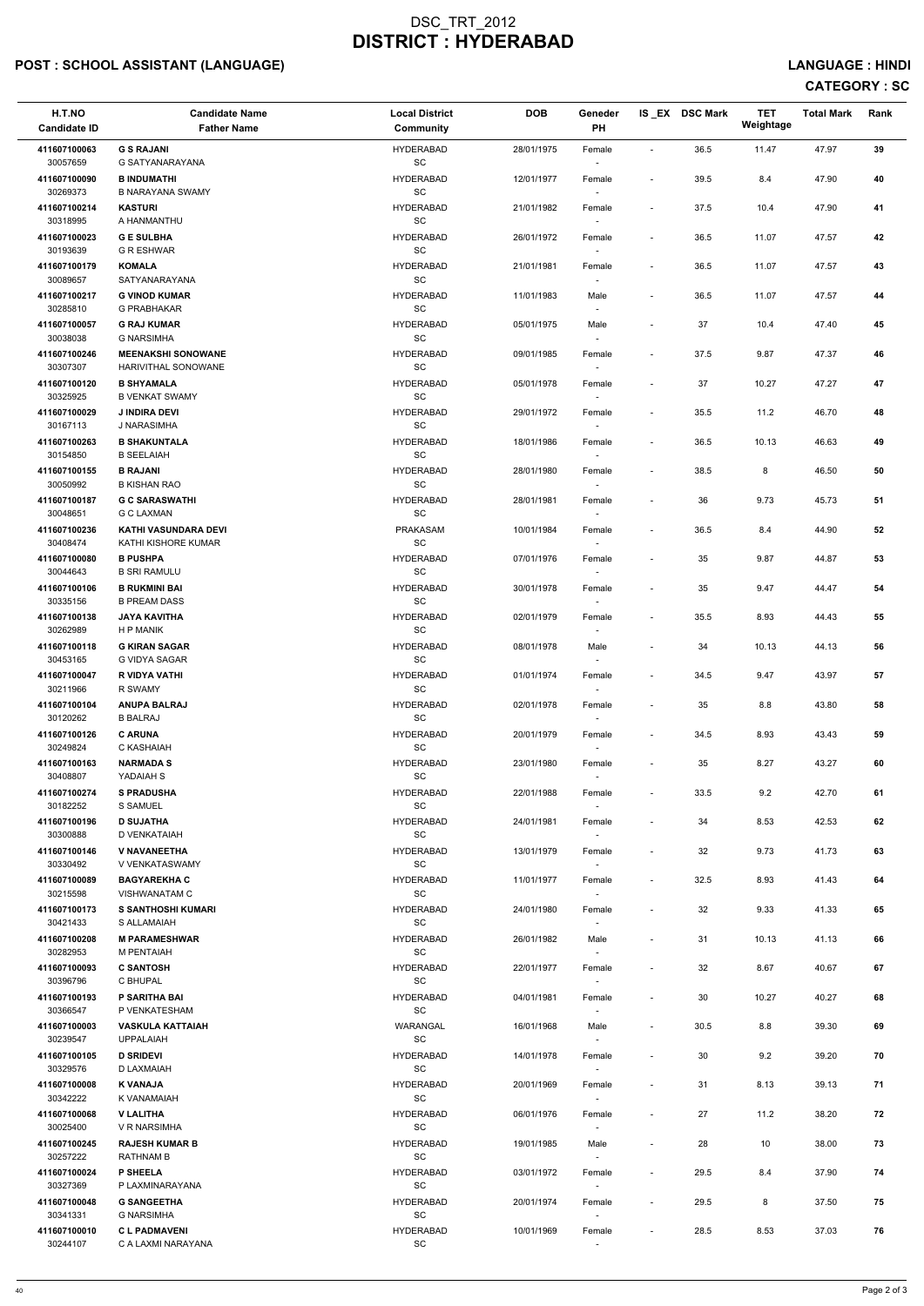## POST : SCHOOL ASSISTANT (LANGUAGE) And the state of the state of the state of the state of the state of the state of the state of the state of the state of the state of the state of the state of the state of the state of t

| H.T.NO<br><b>Candidate ID</b> | <b>Candidate Name</b><br><b>Father Name</b>        | <b>Local District</b><br><b>Community</b>        | <b>DOB</b> | Geneder<br>PH                      |                              | IS_EX DSC Mark | <b>TET</b><br>Weightage | <b>Total Mark</b> | Rank |
|-------------------------------|----------------------------------------------------|--------------------------------------------------|------------|------------------------------------|------------------------------|----------------|-------------------------|-------------------|------|
| 411607100063                  | <b>G S RAJANI</b>                                  | <b>HYDERABAD</b>                                 | 28/01/1975 | Female                             | $\blacksquare$               | 36.5           | 11.47                   | 47.97             | 39   |
| 30057659<br>411607100090      | G SATYANARAYANA<br><b>B INDUMATHI</b>              | SC<br><b>HYDERABAD</b>                           | 12/01/1977 | Female                             | $\overline{\phantom{a}}$     | 39.5           | 8.4                     | 47.90             | 40   |
| 30269373                      | <b>B NARAYANA SWAMY</b>                            | $\operatorname{\textsf{SC}}$                     |            |                                    |                              |                |                         |                   |      |
| 411607100214<br>30318995      | <b>KASTURI</b><br>A HANMANTHU                      | <b>HYDERABAD</b><br>$\operatorname{\textsf{SC}}$ | 21/01/1982 | Female                             | $\overline{\phantom{a}}$     | 37.5           | 10.4                    | 47.90             | 41   |
| 411607100023                  | <b>GE SULBHA</b>                                   | <b>HYDERABAD</b>                                 | 26/01/1972 | Female                             | $\overline{\phantom{a}}$     | 36.5           | 11.07                   | 47.57             | 42   |
| 30193639<br>411607100179      | <b>G R ESHWAR</b><br><b>KOMALA</b>                 | SC<br><b>HYDERABAD</b>                           | 21/01/1981 | $\overline{\phantom{a}}$<br>Female | $\overline{\phantom{a}}$     | 36.5           | 11.07                   | 47.57             | 43   |
| 30089657                      | SATYANARAYANA                                      | SC                                               |            |                                    |                              |                |                         |                   |      |
| 411607100217<br>30285810      | <b>G VINOD KUMAR</b><br><b>G PRABHAKAR</b>         | <b>HYDERABAD</b><br>$\operatorname{\textsf{SC}}$ | 11/01/1983 | Male                               | $\overline{\phantom{a}}$     | 36.5           | 11.07                   | 47.57             | 44   |
| 411607100057<br>30038038      | <b>G RAJ KUMAR</b><br><b>G NARSIMHA</b>            | <b>HYDERABAD</b><br>$\operatorname{\textsf{SC}}$ | 05/01/1975 | Male                               | $\overline{\phantom{a}}$     | 37             | 10.4                    | 47.40             | 45   |
| 411607100246                  | <b>MEENAKSHI SONOWANE</b>                          | <b>HYDERABAD</b>                                 | 09/01/1985 | Female                             | $\overline{\phantom{a}}$     | 37.5           | 9.87                    | 47.37             | 46   |
| 30307307<br>411607100120      | HARIVITHAL SONOWANE<br><b>B SHYAMALA</b>           | $\operatorname{\textsf{SC}}$<br><b>HYDERABAD</b> | 05/01/1978 | $\overline{\phantom{a}}$<br>Female | $\overline{\phantom{a}}$     | 37             | 10.27                   | 47.27             | 47   |
| 30325925                      | <b>B VENKAT SWAMY</b>                              | SC                                               |            |                                    |                              |                |                         |                   |      |
| 411607100029<br>30167113      | <b>J INDIRA DEVI</b><br>J NARASIMHA                | <b>HYDERABAD</b><br>$\operatorname{\textsf{SC}}$ | 29/01/1972 | Female<br>$\sim$                   | $\overline{\phantom{a}}$     | 35.5           | 11.2                    | 46.70             | 48   |
| 411607100263<br>30154850      | <b>B SHAKUNTALA</b><br><b>B SEELAIAH</b>           | <b>HYDERABAD</b><br>SC                           | 18/01/1986 | Female                             | $\overline{\phantom{a}}$     | 36.5           | 10.13                   | 46.63             | 49   |
| 411607100155                  | <b>B RAJANI</b>                                    | <b>HYDERABAD</b>                                 | 28/01/1980 | Female                             | $\overline{\phantom{a}}$     | 38.5           | 8                       | 46.50             | 50   |
| 30050992<br>411607100187      | <b>B KISHAN RAO</b><br><b>G C SARASWATHI</b>       | SC<br><b>HYDERABAD</b>                           | 28/01/1981 | Female                             |                              | 36             | 9.73                    | 45.73             | 51   |
| 30048651                      | <b>G C LAXMAN</b>                                  | SC                                               |            | $\sim$                             |                              |                |                         |                   |      |
| 411607100236<br>30408474      | <b>KATHI VASUNDARA DEVI</b><br>KATHI KISHORE KUMAR | PRAKASAM<br>$\operatorname{\textsf{SC}}$         | 10/01/1984 | Female                             | $\overline{\phantom{a}}$     | 36.5           | 8.4                     | 44.90             | 52   |
| 411607100080<br>30044643      | <b>B PUSHPA</b><br><b>B SRI RAMULU</b>             | <b>HYDERABAD</b><br>$\operatorname{\textsf{SC}}$ | 07/01/1976 | Female                             | $\overline{\phantom{a}}$     | 35             | 9.87                    | 44.87             | 53   |
| 411607100106                  | <b>B RUKMINI BAI</b>                               | <b>HYDERABAD</b>                                 | 30/01/1978 | Female                             | $\overline{\phantom{a}}$     | 35             | 9.47                    | 44.47             | 54   |
| 30335156<br>411607100138      | <b>B PREAM DASS</b><br><b>JAYA KAVITHA</b>         | SC<br><b>HYDERABAD</b>                           | 02/01/1979 | $\overline{\phantom{a}}$<br>Female | $\qquad \qquad \blacksquare$ | 35.5           | 8.93                    | 44.43             | 55   |
| 30262989                      | H P MANIK                                          | SC                                               |            | $\overline{\phantom{a}}$           |                              |                |                         |                   |      |
| 411607100118<br>30453165      | <b>G KIRAN SAGAR</b><br>G VIDYA SAGAR              | <b>HYDERABAD</b><br>SC                           | 08/01/1978 | Male                               | $\overline{\phantom{a}}$     | 34             | 10.13                   | 44.13             | 56   |
| 411607100047<br>30211966      | R VIDYA VATHI<br>R SWAMY                           | <b>HYDERABAD</b><br>SC                           | 01/01/1974 | Female<br>$\sim$                   | $\overline{\phantom{a}}$     | 34.5           | 9.47                    | 43.97             | 57   |
| 411607100104                  | <b>ANUPA BALRAJ</b>                                | <b>HYDERABAD</b>                                 | 02/01/1978 | Female                             | $\qquad \qquad \blacksquare$ | 35             | 8.8                     | 43.80             | 58   |
| 30120262<br>411607100126      | <b>B BALRAJ</b><br><b>C ARUNA</b>                  | SC<br><b>HYDERABAD</b>                           | 20/01/1979 | Female                             | $\overline{\phantom{a}}$     | 34.5           | 8.93                    | 43.43             | 59   |
| 30249824                      | C KASHAIAH<br><b>NARMADA S</b>                     | SC<br><b>HYDERABAD</b>                           |            | $\sim$                             |                              | 35             |                         |                   | 60   |
| 411607100163<br>30408807      | YADAIAH S                                          | SC                                               | 23/01/1980 | Female                             | $\overline{\phantom{a}}$     |                | 8.27                    | 43.27             |      |
| 411607100274<br>30182252      | <b>S PRADUSHA</b><br>S SAMUEL                      | <b>HYDERABAD</b><br>SC                           | 22/01/1988 | Female                             | $\overline{\phantom{a}}$     | 33.5           | 9.2                     | 42.70             | 61   |
| 411607100196                  | <b>D SUJATHA</b>                                   | <b>HYDERABAD</b>                                 | 24/01/1981 | Female                             | $\overline{\phantom{a}}$     | 34             | 8.53                    | 42.53             | 62   |
| 30300888<br>411607100146      | D VENKATAIAH<br>V NAVANEETHA                       | SC<br><b>HYDERABAD</b>                           | 13/01/1979 | $\sim$<br>Female                   | $\qquad \qquad \blacksquare$ | 32             | 9.73                    | 41.73             | 63   |
| 30330492                      | V VENKATASWAMY                                     | SC                                               |            | $\sim$                             |                              |                |                         |                   |      |
| 411607100089<br>30215598      | <b>BAGYAREKHA C</b><br><b>VISHWANATAM C</b>        | <b>HYDERABAD</b><br><b>SC</b>                    | 11/01/1977 | Female<br>$\sim$                   | $\overline{\phantom{a}}$     | 32.5           | 8.93                    | 41.43             | 64   |
| 411607100173<br>30421433      | <b>S SANTHOSHI KUMARI</b><br>S ALLAMAIAH           | <b>HYDERABAD</b><br>SC                           | 24/01/1980 | Female                             | $\qquad \qquad \blacksquare$ | 32             | 9.33                    | 41.33             | 65   |
| 411607100208<br>30282953      | <b>M PARAMESHWAR</b><br>M PENTAIAH                 | <b>HYDERABAD</b><br>SC                           | 26/01/1982 | Male                               | $\overline{\phantom{a}}$     | 31             | 10.13                   | 41.13             | 66   |
| 411607100093                  | <b>C SANTOSH</b>                                   | <b>HYDERABAD</b>                                 | 22/01/1977 | $\sim$<br>Female                   | $\overline{\phantom{a}}$     | 32             | 8.67                    | 40.67             | 67   |
| 30396796<br>411607100193      | C BHUPAL<br><b>P SARITHA BAI</b>                   | SC<br><b>HYDERABAD</b>                           | 04/01/1981 | Female                             | $\overline{\phantom{a}}$     | 30             | 10.27                   | 40.27             | 68   |
| 30366547                      | P VENKATESHAM                                      | SC                                               |            | $\overline{\phantom{a}}$           |                              |                |                         |                   |      |
| 411607100003<br>30239547      | <b>VASKULA KATTAIAH</b><br><b>UPPALAIAH</b>        | WARANGAL<br>SC                                   | 16/01/1968 | Male                               | $\overline{\phantom{a}}$     | 30.5           | 8.8                     | 39.30             | 69   |
| 411607100105                  | <b>D SRIDEVI</b>                                   | <b>HYDERABAD</b>                                 | 14/01/1978 | Female                             | $\overline{\phantom{a}}$     | 30             | 9.2                     | 39.20             | 70   |
| 30329576<br>411607100008      | D LAXMAIAH<br><b>K VANAJA</b>                      | SC<br><b>HYDERABAD</b>                           | 20/01/1969 | Female                             | $\overline{\phantom{a}}$     | 31             | 8.13                    | 39.13             | 71   |
| 30342222                      | K VANAMAIAH                                        | $\operatorname{\textsf{SC}}$                     |            | $\sim$                             |                              |                |                         |                   |      |
| 411607100068<br>30025400      | <b>V LALITHA</b><br>V R NARSIMHA                   | <b>HYDERABAD</b><br>SC                           | 06/01/1976 | Female                             | $\qquad \qquad \blacksquare$ | 27             | 11.2                    | 38.20             | 72   |
| 411607100245<br>30257222      | <b>RAJESH KUMAR B</b><br>RATHNAM B                 | <b>HYDERABAD</b><br>SC                           | 19/01/1985 | Male<br>$\sim$                     | $\overline{\phantom{a}}$     | 28             | 10                      | 38.00             | 73   |
| 411607100024                  | <b>P SHEELA</b>                                    | <b>HYDERABAD</b>                                 | 03/01/1972 | Female                             | $\overline{\phantom{a}}$     | 29.5           | 8.4                     | 37.90             | 74   |
| 30327369<br>411607100048      | P LAXMINARAYANA<br><b>G SANGEETHA</b>              | SC<br><b>HYDERABAD</b>                           | 20/01/1974 | $\sim$<br>Female                   | $\overline{\phantom{a}}$     | 29.5           | 8                       | 37.50             | 75   |
| 30341331                      | <b>G NARSIMHA</b>                                  | SC                                               |            | $\sim$                             |                              |                |                         |                   |      |
| 411607100010<br>30244107      | <b>CLPADMAVENI</b><br>C A LAXMI NARAYANA           | <b>HYDERABAD</b><br>SC                           | 10/01/1969 | Female                             | $\qquad \qquad \blacksquare$ | 28.5           | 8.53                    | 37.03             | 76   |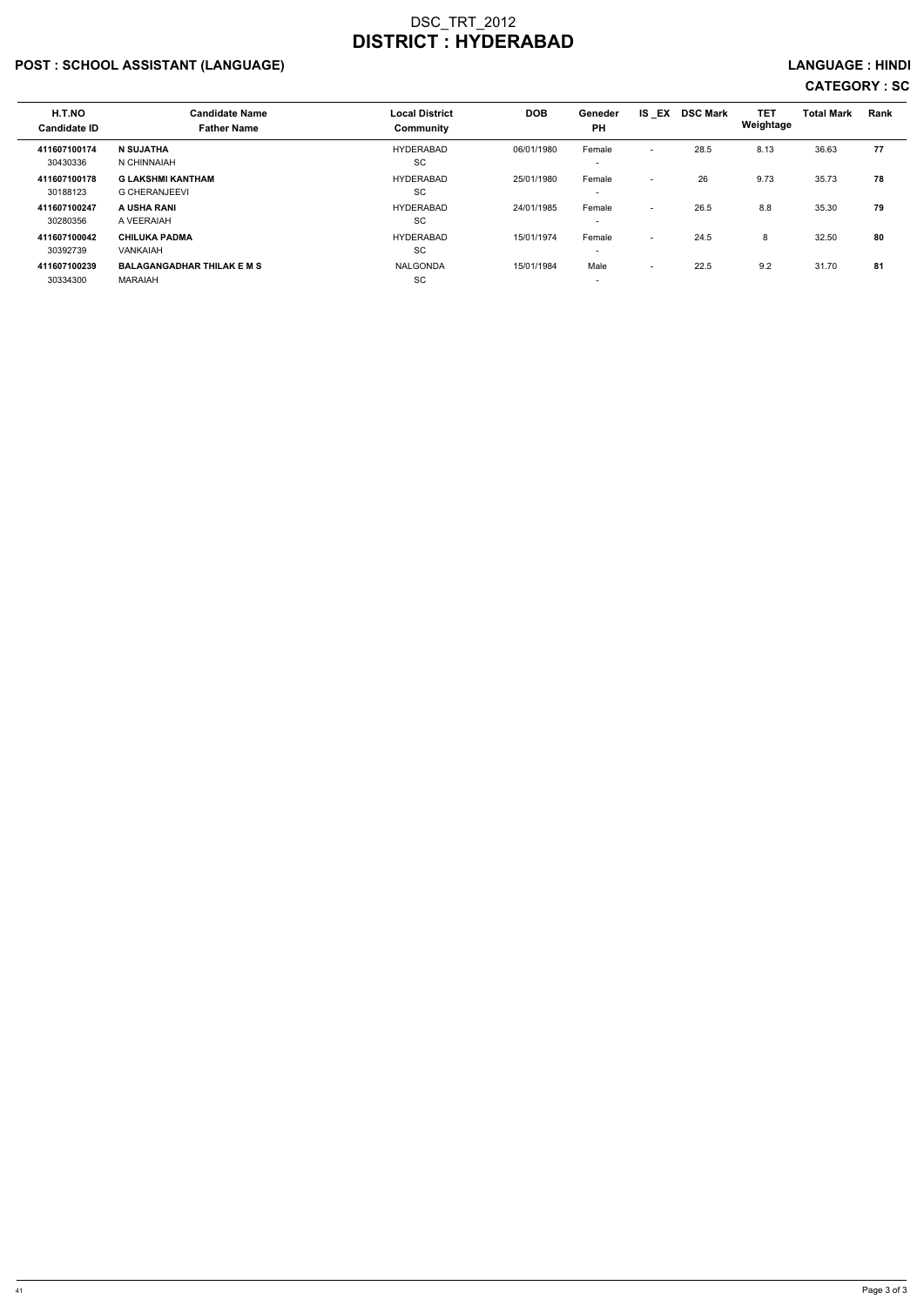## POST : SCHOOL ASSISTANT (LANGUAGE) And the set of the set of the set of the set of the set of the set of the set of the set of the set of the set of the set of the set of the set of the set of the set of the set of the set

| H.T.NO<br><b>Candidate ID</b> | <b>Candidate Name</b><br><b>Father Name</b>         | <b>Local District</b><br>Community | <b>DOB</b> | Geneder<br><b>PH</b>               | $IS$ $EX$                | <b>DSC Mark</b> | <b>TET</b><br>Weightage | <b>Total Mark</b> | Rank |
|-------------------------------|-----------------------------------------------------|------------------------------------|------------|------------------------------------|--------------------------|-----------------|-------------------------|-------------------|------|
| 411607100174<br>30430336      | N SUJATHA<br>N CHINNAIAH                            | <b>HYDERABAD</b><br>SC             | 06/01/1980 | Female<br>$\overline{\phantom{0}}$ | $\sim$                   | 28.5            | 8.13                    | 36.63             | 77   |
| 411607100178<br>30188123      | <b>G LAKSHMI KANTHAM</b><br><b>G CHERANJEEVI</b>    | <b>HYDERABAD</b><br><b>SC</b>      | 25/01/1980 | Female                             | $\overline{\phantom{a}}$ | 26              | 9.73                    | 35.73             | 78   |
| 411607100247<br>30280356      | A USHA RANI<br>A VEERAIAH                           | HYDERABAD<br><b>SC</b>             | 24/01/1985 | Female                             | $\overline{a}$           | 26.5            | 8.8                     | 35.30             | 79   |
| 411607100042<br>30392739      | <b>CHILUKA PADMA</b><br>VANKAIAH                    | HYDERABAD<br><b>SC</b>             | 15/01/1974 | Female<br>$\overline{\phantom{a}}$ | $\overline{a}$           | 24.5            | 8                       | 32.50             | 80   |
| 411607100239<br>30334300      | <b>BALAGANGADHAR THILAK E M S</b><br><b>MARAIAH</b> | <b>NALGONDA</b><br>SC              | 15/01/1984 | Male<br>$\overline{\phantom{0}}$   | $\overline{\phantom{a}}$ | 22.5            | 9.2                     | 31.70             | 81   |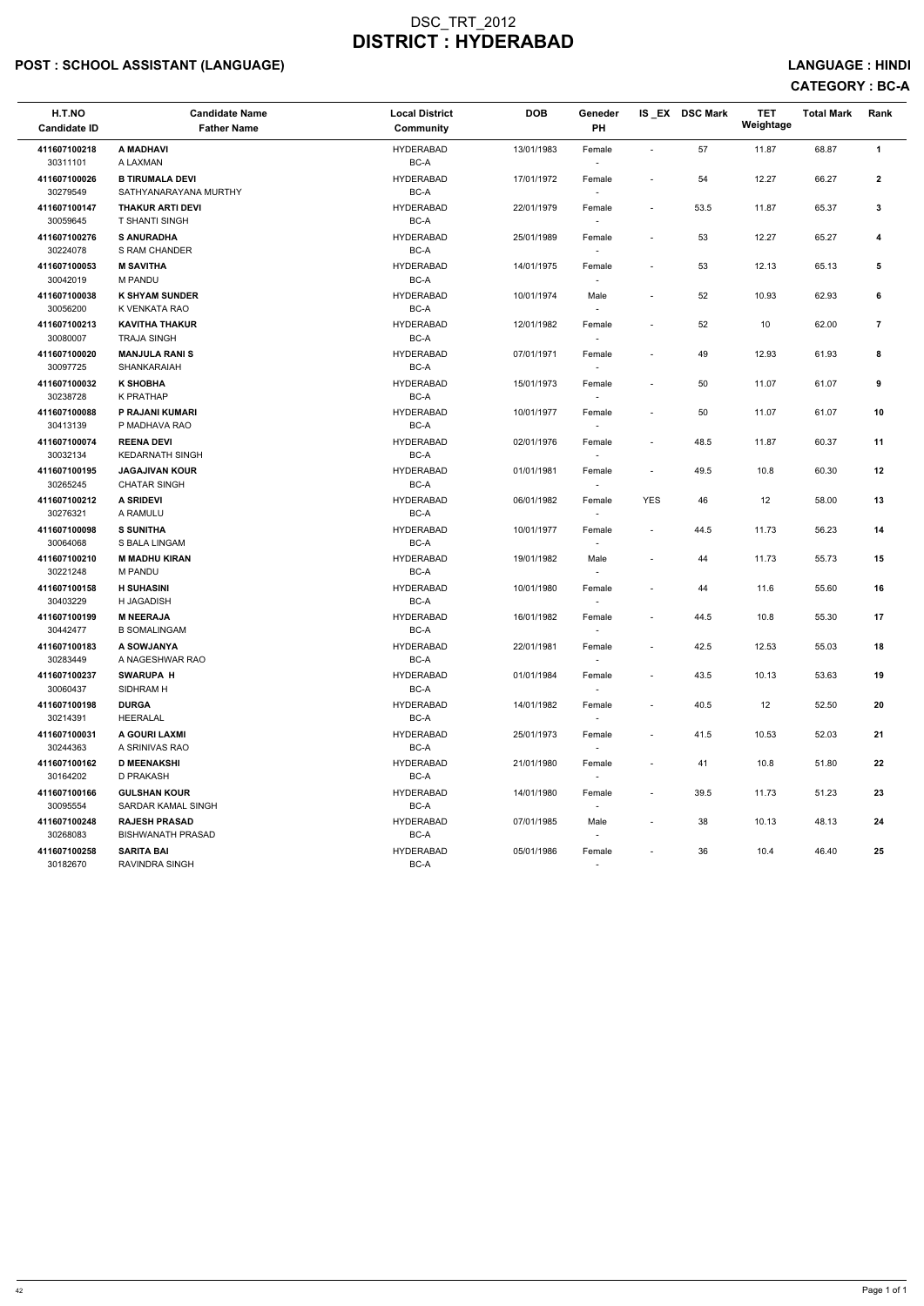## POST : SCHOOL ASSISTANT (LANGUAGE) And the set of the set of the set of the set of the set of the set of the set of the set of the set of the set of the set of the set of the set of the set of the set of the set of the set

# CATEGORY : BC-A

| H.T.NO<br><b>Candidate ID</b> | <b>Candidate Name</b><br><b>Father Name</b>      | <b>Local District</b><br>Community | <b>DOB</b> | Geneder<br>PH                      |                          | IS_EX DSC Mark | <b>TET</b><br>Weightage | <b>Total Mark</b> | Rank           |
|-------------------------------|--------------------------------------------------|------------------------------------|------------|------------------------------------|--------------------------|----------------|-------------------------|-------------------|----------------|
| 411607100218<br>30311101      | A MADHAVI<br>A LAXMAN                            | <b>HYDERABAD</b><br>BC-A           | 13/01/1983 | Female                             |                          | 57             | 11.87                   | 68.87             | $\mathbf{1}$   |
| 411607100026<br>30279549      | <b>B TIRUMALA DEVI</b><br>SATHYANARAYANA MURTHY  | <b>HYDERABAD</b><br>BC-A           | 17/01/1972 | Female<br>$\overline{\phantom{a}}$ | $\overline{\phantom{a}}$ | 54             | 12.27                   | 66.27             | $\overline{2}$ |
| 411607100147<br>30059645      | <b>THAKUR ARTI DEVI</b><br><b>T SHANTI SINGH</b> | <b>HYDERABAD</b><br>BC-A           | 22/01/1979 | Female                             |                          | 53.5           | 11.87                   | 65.37             | 3              |
| 411607100276<br>30224078      | <b>S ANURADHA</b><br>S RAM CHANDER               | <b>HYDERABAD</b><br>BC-A           | 25/01/1989 | Female<br>$\overline{\phantom{a}}$ | $\overline{\phantom{a}}$ | 53             | 12.27                   | 65.27             | 4              |
| 411607100053<br>30042019      | <b>M SAVITHA</b><br><b>M PANDU</b>               | <b>HYDERABAD</b><br>BC-A           | 14/01/1975 | Female                             |                          | 53             | 12.13                   | 65.13             | 5              |
| 411607100038<br>30056200      | <b>K SHYAM SUNDER</b><br>K VENKATA RAO           | <b>HYDERABAD</b><br>BC-A           | 10/01/1974 | Male<br>$\overline{\phantom{a}}$   |                          | 52             | 10.93                   | 62.93             | 6              |
| 411607100213<br>30080007      | <b>KAVITHA THAKUR</b><br><b>TRAJA SINGH</b>      | <b>HYDERABAD</b><br>BC-A           | 12/01/1982 | Female                             |                          | 52             | 10                      | 62.00             | $\overline{7}$ |
| 411607100020<br>30097725      | <b>MANJULA RANIS</b><br>SHANKARAIAH              | <b>HYDERABAD</b><br>BC-A           | 07/01/1971 | Female                             | $\overline{\phantom{a}}$ | 49             | 12.93                   | 61.93             | 8              |
| 411607100032<br>30238728      | <b>K SHOBHA</b><br>K PRATHAP                     | <b>HYDERABAD</b><br>BC-A           | 15/01/1973 | Female                             | $\overline{\phantom{a}}$ | 50             | 11.07                   | 61.07             | 9              |
| 411607100088<br>30413139      | P RAJANI KUMARI<br>P MADHAVA RAO                 | <b>HYDERABAD</b><br>BC-A           | 10/01/1977 | Female                             |                          | 50             | 11.07                   | 61.07             | 10             |
| 411607100074<br>30032134      | <b>REENA DEVI</b><br><b>KEDARNATH SINGH</b>      | <b>HYDERABAD</b><br>BC-A           | 02/01/1976 | Female<br>$\overline{\phantom{a}}$ | $\overline{\phantom{a}}$ | 48.5           | 11.87                   | 60.37             | 11             |
| 411607100195<br>30265245      | <b>JAGAJIVAN KOUR</b><br><b>CHATAR SINGH</b>     | <b>HYDERABAD</b><br>BC-A           | 01/01/1981 | Female                             |                          | 49.5           | 10.8                    | 60.30             | 12             |
| 411607100212<br>30276321      | <b>A SRIDEVI</b><br>A RAMULU                     | <b>HYDERABAD</b><br>BC-A           | 06/01/1982 | Female<br>$\overline{\phantom{a}}$ | <b>YES</b>               | 46             | 12                      | 58.00             | 13             |
| 411607100098<br>30064068      | <b>S SUNITHA</b><br>S BALA LINGAM                | <b>HYDERABAD</b><br>BC-A           | 10/01/1977 | Female                             | $\overline{\phantom{a}}$ | 44.5           | 11.73                   | 56.23             | 14             |
| 411607100210<br>30221248      | <b>M MADHU KIRAN</b><br><b>M PANDU</b>           | <b>HYDERABAD</b><br>BC-A           | 19/01/1982 | Male                               |                          | 44             | 11.73                   | 55.73             | 15             |
| 411607100158<br>30403229      | <b>H SUHASINI</b><br>H JAGADISH                  | <b>HYDERABAD</b><br>BC-A           | 10/01/1980 | Female<br>$\overline{\phantom{a}}$ |                          | 44             | 11.6                    | 55.60             | 16             |
| 411607100199<br>30442477      | <b>M NEERAJA</b><br><b>B SOMALINGAM</b>          | <b>HYDERABAD</b><br>BC-A           | 16/01/1982 | Female<br>$\overline{\phantom{a}}$ | $\sim$                   | 44.5           | 10.8                    | 55.30             | 17             |
| 411607100183<br>30283449      | A SOWJANYA<br>A NAGESHWAR RAO                    | <b>HYDERABAD</b><br>BC-A           | 22/01/1981 | Female<br>$\overline{\phantom{a}}$ | $\overline{\phantom{a}}$ | 42.5           | 12.53                   | 55.03             | 18             |
| 411607100237<br>30060437      | <b>SWARUPA H</b><br>SIDHRAM H                    | <b>HYDERABAD</b><br>BC-A           | 01/01/1984 | Female                             |                          | 43.5           | 10.13                   | 53.63             | 19             |
| 411607100198<br>30214391      | <b>DURGA</b><br>HEERALAL                         | <b>HYDERABAD</b><br>BC-A           | 14/01/1982 | Female<br>$\overline{\phantom{a}}$ | $\sim$                   | 40.5           | 12                      | 52.50             | 20             |
| 411607100031<br>30244363      | A GOURI LAXMI<br>A SRINIVAS RAO                  | <b>HYDERABAD</b><br>BC-A           | 25/01/1973 | Female<br>$\overline{\phantom{a}}$ |                          | 41.5           | 10.53                   | 52.03             | 21             |
| 411607100162<br>30164202      | <b>D MEENAKSHI</b><br>D PRAKASH                  | <b>HYDERABAD</b><br>BC-A           | 21/01/1980 | Female<br>$\overline{\phantom{a}}$ | $\overline{\phantom{a}}$ | 41             | 10.8                    | 51.80             | 22             |
| 411607100166<br>30095554      | <b>GULSHAN KOUR</b><br>SARDAR KAMAL SINGH        | <b>HYDERABAD</b><br>BC-A           | 14/01/1980 | Female                             | $\overline{\phantom{a}}$ | 39.5           | 11.73                   | 51.23             | 23             |
| 411607100248<br>30268083      | <b>RAJESH PRASAD</b><br><b>BISHWANATH PRASAD</b> | <b>HYDERABAD</b><br>BC-A           | 07/01/1985 | Male<br>$\overline{\phantom{a}}$   | $\sim$                   | 38             | 10.13                   | 48.13             | 24             |
| 411607100258<br>30182670      | <b>SARITA BAI</b><br>RAVINDRA SINGH              | <b>HYDERABAD</b><br>BC-A           | 05/01/1986 | Female<br>$\sim$                   | $\sim$                   | 36             | 10.4                    | 46.40             | 25             |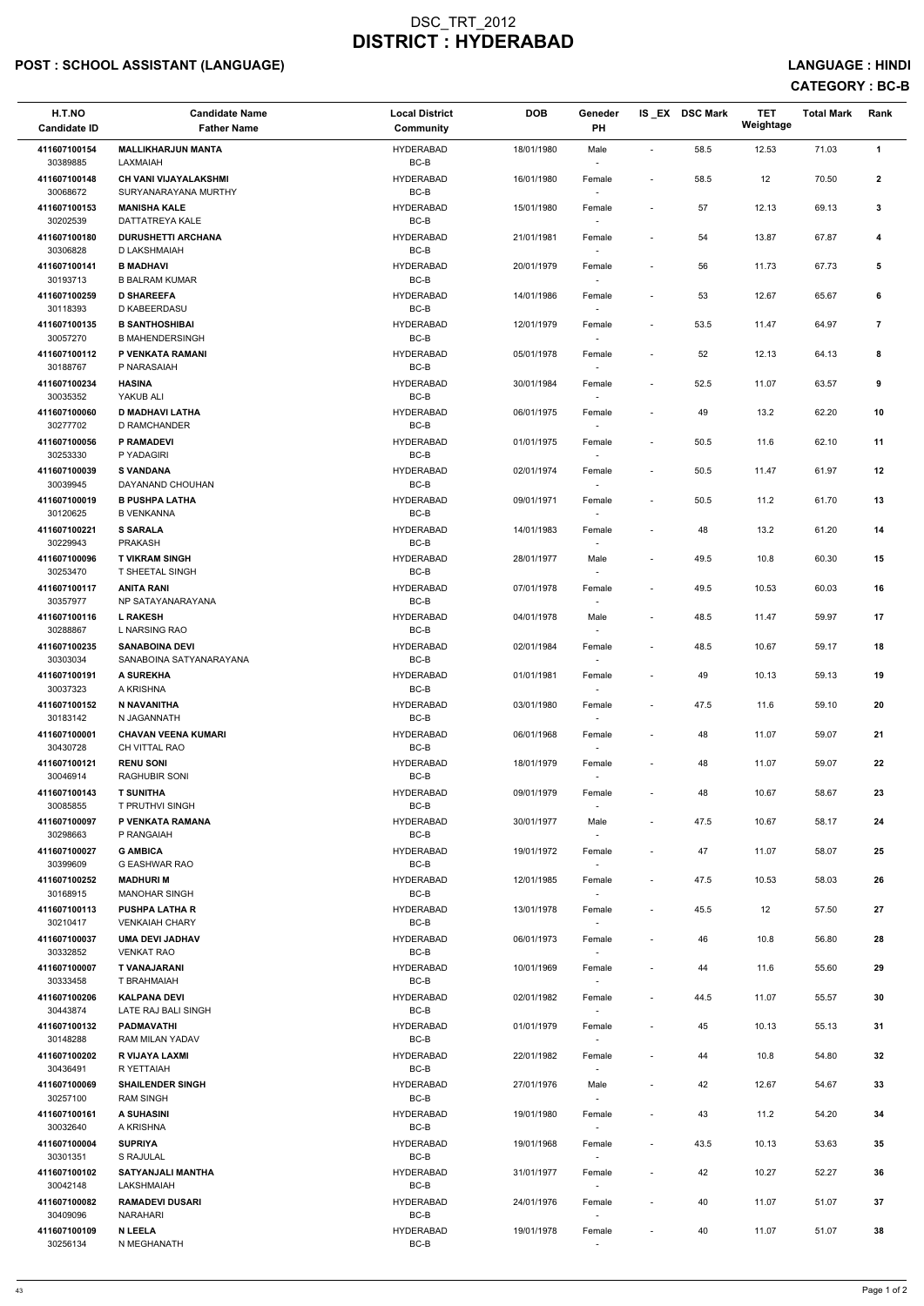## POST : SCHOOL ASSISTANT (LANGUAGE) And the set of the set of the set of the set of the set of the set of the set of the set of the set of the set of the set of the set of the set of the set of the set of the set of the set

| H.T.NO<br><b>Candidate ID</b> | <b>Candidate Name</b><br><b>Father Name</b>      | <b>Local District</b><br><b>Community</b> | <b>DOB</b> | Geneder<br>PH                      |                          | IS EX DSC Mark | <b>TET</b><br>Weightage | <b>Total Mark</b> | Rank                    |
|-------------------------------|--------------------------------------------------|-------------------------------------------|------------|------------------------------------|--------------------------|----------------|-------------------------|-------------------|-------------------------|
| 411607100154<br>30389885      | <b>MALLIKHARJUN MANTA</b><br>LAXMAIAH            | <b>HYDERABAD</b><br>BC-B                  | 18/01/1980 | Male<br>$\sim$                     | $\overline{\phantom{a}}$ | 58.5           | 12.53                   | 71.03             | $\mathbf{1}$            |
| 411607100148                  | CH VANI VIJAYALAKSHMI                            | <b>HYDERABAD</b>                          | 16/01/1980 | Female                             | $\overline{\phantom{a}}$ | 58.5           | 12                      | 70.50             | $\mathbf{2}$            |
| 30068672<br>411607100153      | SURYANARAYANA MURTHY<br><b>MANISHA KALE</b>      | BC-B<br><b>HYDERABAD</b>                  | 15/01/1980 | Female                             | $\overline{\phantom{a}}$ | 57             | 12.13                   | 69.13             | 3                       |
| 30202539<br>411607100180      | DATTATREYA KALE<br><b>DURUSHETTI ARCHANA</b>     | $BC-B$<br><b>HYDERABAD</b>                | 21/01/1981 | Female                             |                          | 54             | 13.87                   | 67.87             | 4                       |
| 30306828<br>411607100141      | D LAKSHMAIAH<br><b>B MADHAVI</b>                 | BC-B<br><b>HYDERABAD</b>                  | 20/01/1979 | $\sim$<br>Female                   | $\overline{\phantom{a}}$ | 56             | 11.73                   | 67.73             | 5                       |
| 30193713<br>411607100259      | <b>B BALRAM KUMAR</b><br><b>D SHAREEFA</b>       | BC-B<br><b>HYDERABAD</b>                  | 14/01/1986 | $\sim$<br>Female                   | $\overline{\phantom{a}}$ | 53             | 12.67                   | 65.67             | 6                       |
| 30118393<br>411607100135      | D KABEERDASU<br><b>B SANTHOSHIBAI</b>            | BC-B<br><b>HYDERABAD</b>                  | 12/01/1979 | $\overline{\phantom{a}}$<br>Female | $\overline{\phantom{a}}$ | 53.5           | 11.47                   | 64.97             | $\overline{\mathbf{r}}$ |
| 30057270<br>411607100112      | <b>B MAHENDERSINGH</b><br>P VENKATA RAMANI       | $BC-B$<br><b>HYDERABAD</b>                | 05/01/1978 | Female                             | $\overline{\phantom{a}}$ | 52             | 12.13                   | 64.13             | 8                       |
| 30188767<br>411607100234      | P NARASAIAH<br><b>HASINA</b>                     | BC-B<br><b>HYDERABAD</b>                  | 30/01/1984 | $\sim$<br>Female                   | $\overline{\phantom{a}}$ | 52.5           | 11.07                   | 63.57             | 9                       |
| 30035352<br>411607100060      | YAKUB ALI<br><b>D MADHAVI LATHA</b>              | BC-B<br><b>HYDERABAD</b>                  | 06/01/1975 | $\overline{\phantom{a}}$           | $\overline{\phantom{a}}$ | 49             | 13.2                    | 62.20             | 10                      |
| 30277702                      | D RAMCHANDER                                     | BC-B                                      |            | Female<br>$\sim$                   |                          |                |                         |                   |                         |
| 411607100056<br>30253330      | <b>P RAMADEVI</b><br>P YADAGIRI                  | <b>HYDERABAD</b><br>$BC-B$                | 01/01/1975 | Female                             | $\blacksquare$           | 50.5           | 11.6                    | 62.10             | 11                      |
| 411607100039<br>30039945      | <b>S VANDANA</b><br>DAYANAND CHOUHAN             | <b>HYDERABAD</b><br>$BC-B$                | 02/01/1974 | Female                             | $\overline{\phantom{a}}$ | 50.5           | 11.47                   | 61.97             | 12                      |
| 411607100019<br>30120625      | <b>B PUSHPA LATHA</b><br><b>B VENKANNA</b>       | <b>HYDERABAD</b><br>BC-B                  | 09/01/1971 | Female<br>$\sim$                   | $\overline{\phantom{a}}$ | 50.5           | 11.2                    | 61.70             | 13                      |
| 411607100221<br>30229943      | <b>S SARALA</b><br>PRAKASH                       | <b>HYDERABAD</b><br>BC-B                  | 14/01/1983 | Female<br>$\overline{\phantom{a}}$ | $\overline{\phantom{a}}$ | 48             | 13.2                    | 61.20             | 14                      |
| 411607100096<br>30253470      | <b>T VIKRAM SINGH</b><br>T SHEETAL SINGH         | <b>HYDERABAD</b><br>BC-B                  | 28/01/1977 | Male                               | $\overline{\phantom{a}}$ | 49.5           | 10.8                    | 60.30             | 15                      |
| 411607100117<br>30357977      | <b>ANITA RANI</b><br>NP SATAYANARAYANA           | <b>HYDERABAD</b><br>BC-B                  | 07/01/1978 | Female<br>$\overline{\phantom{a}}$ | $\overline{\phantom{a}}$ | 49.5           | 10.53                   | 60.03             | 16                      |
| 411607100116<br>30288867      | <b>L RAKESH</b><br>L NARSING RAO                 | <b>HYDERABAD</b><br>BC-B                  | 04/01/1978 | Male<br>$\sim$                     | $\overline{\phantom{a}}$ | 48.5           | 11.47                   | 59.97             | 17                      |
| 411607100235<br>30303034      | <b>SANABOINA DEVI</b><br>SANABOINA SATYANARAYANA | <b>HYDERABAD</b><br>BC-B                  | 02/01/1984 | Female                             | $\overline{\phantom{a}}$ | 48.5           | 10.67                   | 59.17             | 18                      |
| 411607100191<br>30037323      | A SUREKHA<br>A KRISHNA                           | <b>HYDERABAD</b><br>BC-B                  | 01/01/1981 | Female                             | $\overline{\phantom{a}}$ | 49             | 10.13                   | 59.13             | 19                      |
| 411607100152<br>30183142      | N NAVANITHA<br>N JAGANNATH                       | <b>HYDERABAD</b><br>BC-B                  | 03/01/1980 | Female<br>$\overline{\phantom{a}}$ | $\blacksquare$           | 47.5           | 11.6                    | 59.10             | 20                      |
| 411607100001<br>30430728      | <b>CHAVAN VEENA KUMARI</b><br>CH VITTAL RAO      | <b>HYDERABAD</b><br>BC-B                  | 06/01/1968 | Female<br>$\sim$                   | $\overline{\phantom{a}}$ | 48             | 11.07                   | 59.07             | 21                      |
| 411607100121<br>30046914      | <b>RENU SONI</b><br><b>RAGHUBIR SONI</b>         | <b>HYDERABAD</b><br>BC-B                  | 18/01/1979 | Female<br>$\overline{\phantom{a}}$ | $\overline{\phantom{a}}$ | 48             | 11.07                   | 59.07             | 22                      |
| 411607100143                  | <b>T SUNITHA</b><br>T PRUTHVI SINGH              | <b>HYDERABAD</b><br>BC-B                  | 09/01/1979 | Female                             | $\overline{\phantom{a}}$ | 48             | 10.67                   | 58.67             | 23                      |
| 30085855<br>411607100097      | P VENKATA RAMANA                                 | <b>HYDERABAD</b>                          | 30/01/1977 | Male                               | $\overline{\phantom{a}}$ | 47.5           | 10.67                   | 58.17             | 24                      |
| 30298663<br>411607100027      | P RANGAIAH<br><b>G AMBICA</b>                    | BC-B<br><b>HYDERABAD</b>                  | 19/01/1972 | $\sim$<br>Female                   | $\overline{\phantom{a}}$ | 47             | 11.07                   | 58.07             | 25                      |
| 30399609<br>411607100252      | <b>G EASHWAR RAO</b><br><b>MADHURI M</b>         | BC-B<br><b>HYDERABAD</b>                  | 12/01/1985 | $\overline{\phantom{a}}$<br>Female | $\overline{\phantom{a}}$ | 47.5           | 10.53                   | 58.03             | 26                      |
| 30168915<br>411607100113      | <b>MANOHAR SINGH</b><br><b>PUSHPA LATHA R</b>    | BC-B<br><b>HYDERABAD</b>                  | 13/01/1978 | $\sim$<br>Female                   | $\overline{\phantom{a}}$ | 45.5           | 12                      | 57.50             | 27                      |
| 30210417<br>411607100037      | <b>VENKAIAH CHARY</b><br><b>UMA DEVI JADHAV</b>  | BC-B<br><b>HYDERABAD</b>                  | 06/01/1973 | Female                             | $\overline{\phantom{a}}$ | 46             | 10.8                    | 56.80             | 28                      |
| 30332852<br>411607100007      | <b>VENKAT RAO</b><br><b>T VANAJARANI</b>         | BC-B<br><b>HYDERABAD</b>                  | 10/01/1969 | $\overline{\phantom{a}}$<br>Female | $\blacksquare$           | 44             | 11.6                    | 55.60             | 29                      |
| 30333458<br>411607100206      | T BRAHMAIAH<br><b>KALPANA DEVI</b>               | BC-B<br><b>HYDERABAD</b>                  | 02/01/1982 | $\sim$<br>Female                   | $\overline{\phantom{a}}$ | 44.5           | 11.07                   | 55.57             | 30                      |
| 30443874<br>411607100132      | LATE RAJ BALI SINGH<br><b>PADMAVATHI</b>         | BC-B<br><b>HYDERABAD</b>                  | 01/01/1979 | $\sim$<br>Female                   | $\overline{\phantom{a}}$ | 45             | 10.13                   | 55.13             | 31                      |
| 30148288<br>411607100202      | RAM MILAN YADAV<br>R VIJAYA LAXMI                | BC-B<br><b>HYDERABAD</b>                  | 22/01/1982 | Female                             | $\overline{\phantom{a}}$ | 44             | 10.8                    | 54.80             | 32                      |
| 30436491<br>411607100069      | R YETTAIAH<br><b>SHAILENDER SINGH</b>            | BC-B<br><b>HYDERABAD</b>                  | 27/01/1976 | Male                               | $\overline{\phantom{a}}$ | 42             | 12.67                   | 54.67             | 33                      |
| 30257100<br>411607100161      | <b>RAM SINGH</b><br>A SUHASINI                   | BC-B<br><b>HYDERABAD</b>                  | 19/01/1980 | $\sim$                             |                          | 43             | 11.2                    | 54.20             | 34                      |
| 30032640                      | A KRISHNA                                        | BC-B                                      |            | Female<br>$\overline{\phantom{a}}$ |                          |                |                         |                   |                         |
| 411607100004<br>30301351      | <b>SUPRIYA</b><br>S RAJULAL                      | <b>HYDERABAD</b><br>BC-B                  | 19/01/1968 | Female<br>$\sim$                   | $\overline{\phantom{a}}$ | 43.5           | 10.13                   | 53.63             | 35                      |
| 411607100102<br>30042148      | <b>SATYANJALI MANTHA</b><br>LAKSHMAIAH           | <b>HYDERABAD</b><br>BC-B                  | 31/01/1977 | Female<br>$\sim$                   |                          | 42             | 10.27                   | 52.27             | 36                      |
| 411607100082<br>30409096      | <b>RAMADEVI DUSARI</b><br><b>NARAHARI</b>        | <b>HYDERABAD</b><br>BC-B                  | 24/01/1976 | Female<br>$\overline{\phantom{a}}$ | $\overline{\phantom{a}}$ | 40             | 11.07                   | 51.07             | 37                      |
| 411607100109<br>30256134      | <b>N LEELA</b><br>N MEGHANATH                    | <b>HYDERABAD</b><br>$BC-B$                | 19/01/1978 | Female<br>$\sim$                   | $\blacksquare$           | 40             | 11.07                   | 51.07             | 38                      |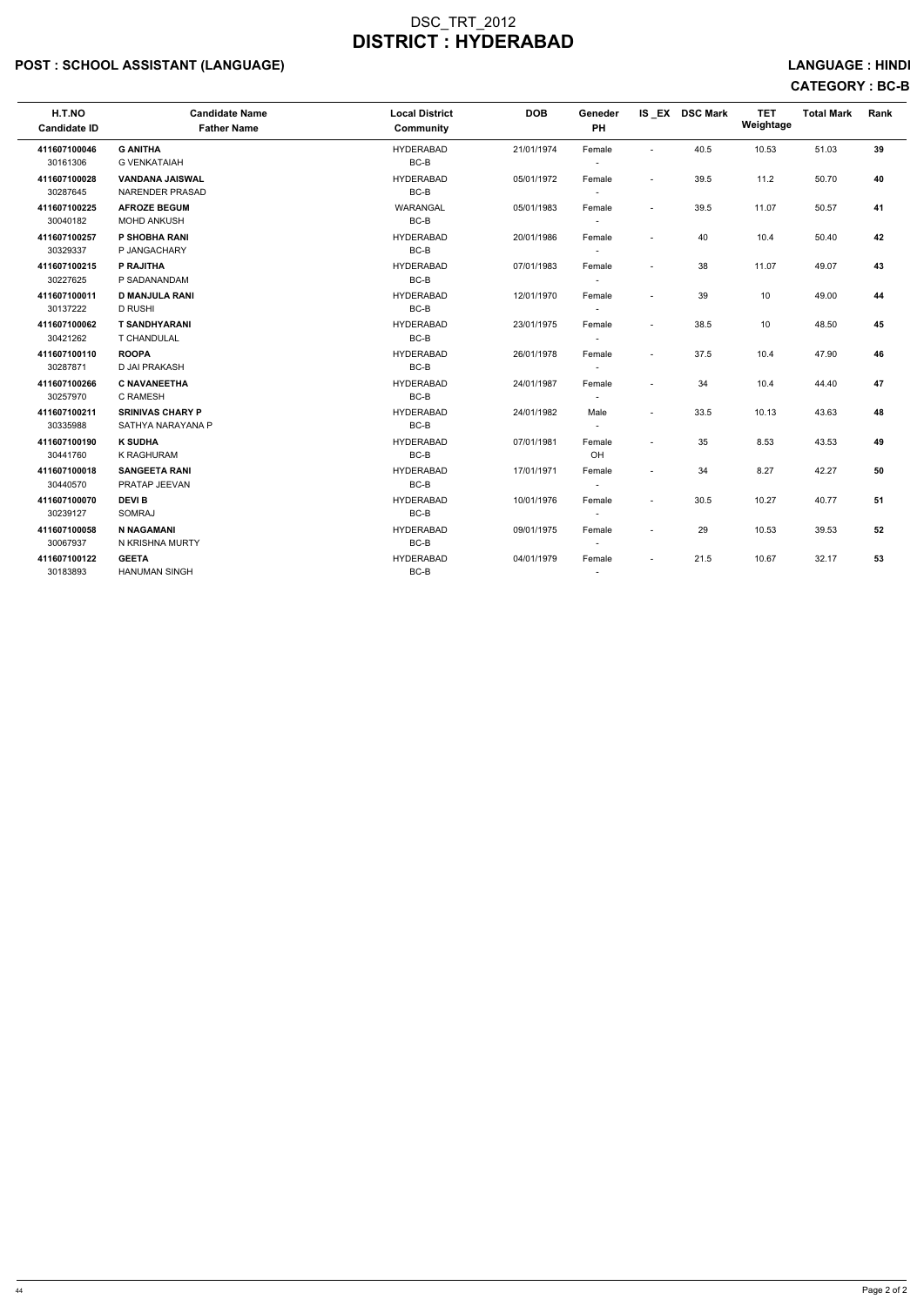## POST : SCHOOL ASSISTANT (LANGUAGE) And the set of the set of the set of the set of the set of the set of the set of the set of the set of the set of the set of the set of the set of the set of the set of the set of the set

# CATEGORY : BC-B

| H.T.NO<br><b>Candidate ID</b> | <b>Candidate Name</b><br><b>Father Name</b> | <b>Local District</b><br>Community | <b>DOB</b> | Geneder<br>PH            |                          | IS EX DSC Mark | <b>TET</b><br>Weightage | <b>Total Mark</b> | Rank |
|-------------------------------|---------------------------------------------|------------------------------------|------------|--------------------------|--------------------------|----------------|-------------------------|-------------------|------|
| 411607100046                  | <b>G ANITHA</b>                             | <b>HYDERABAD</b>                   | 21/01/1974 | Female                   | $\sim$                   | 40.5           | 10.53                   | 51.03             | 39   |
| 30161306                      | <b>G VENKATAIAH</b>                         | BC-B                               |            | $\sim$                   |                          |                |                         |                   |      |
| 411607100028                  | <b>VANDANA JAISWAL</b>                      | <b>HYDERABAD</b>                   | 05/01/1972 | Female                   | $\overline{\phantom{a}}$ | 39.5           | 11.2                    | 50.70             | 40   |
| 30287645                      | <b>NARENDER PRASAD</b>                      | $BC-B$                             |            |                          |                          |                |                         |                   |      |
| 411607100225                  | <b>AFROZE BEGUM</b>                         | <b>WARANGAL</b>                    | 05/01/1983 | Female                   | $\blacksquare$           | 39.5           | 11.07                   | 50.57             | 41   |
| 30040182                      | <b>MOHD ANKUSH</b>                          | $BC-B$                             |            | $\overline{\phantom{a}}$ |                          |                |                         |                   |      |
| 411607100257                  | P SHOBHA RANI                               | <b>HYDERABAD</b>                   | 20/01/1986 | Female                   | $\blacksquare$           | 40             | 10.4                    | 50.40             | 42   |
| 30329337                      | P JANGACHARY                                | BC-B                               |            | $\sim$                   |                          |                |                         |                   |      |
| 411607100215                  | P RAJITHA                                   | <b>HYDERABAD</b>                   | 07/01/1983 | Female                   | $\blacksquare$           | 38             | 11.07                   | 49.07             | 43   |
| 30227625                      | P SADANANDAM                                | $BC-B$                             |            | $\sim$                   |                          |                |                         |                   |      |
| 411607100011                  | <b>D MANJULA RANI</b>                       | <b>HYDERABAD</b>                   | 12/01/1970 | Female                   | $\overline{a}$           | 39             | 10                      | 49.00             | 44   |
| 30137222                      | <b>D RUSHI</b>                              | $BC-B$                             |            |                          |                          |                |                         |                   |      |
| 411607100062                  | <b>T SANDHYARANI</b>                        | <b>HYDERABAD</b>                   | 23/01/1975 | Female                   | $\blacksquare$           | 38.5           | 10                      | 48.50             | 45   |
| 30421262                      | <b>T CHANDULAL</b>                          | BC-B                               |            | $\sim$                   |                          |                |                         |                   |      |
| 411607100110                  | <b>ROOPA</b>                                | <b>HYDERABAD</b>                   | 26/01/1978 | Female                   | $\blacksquare$           | 37.5           | 10.4                    | 47.90             | 46   |
| 30287871                      | D JAI PRAKASH                               | BC-B                               |            | $\sim$                   |                          |                |                         |                   |      |
| 411607100266                  | <b>C NAVANEETHA</b>                         | <b>HYDERABAD</b>                   | 24/01/1987 | Female                   | $\blacksquare$           | 34             | 10.4                    | 44.40             | 47   |
| 30257970                      | C RAMESH                                    | BC-B                               |            | $\sim$                   |                          |                |                         |                   |      |
| 411607100211                  | <b>SRINIVAS CHARY P</b>                     | <b>HYDERABAD</b>                   | 24/01/1982 | Male                     | $\overline{\phantom{a}}$ | 33.5           | 10.13                   | 43.63             | 48   |
| 30335988                      | SATHYA NARAYANA P                           | BC-B                               |            | $\overline{\phantom{a}}$ |                          |                |                         |                   |      |
| 411607100190                  | <b>K SUDHA</b>                              | <b>HYDERABAD</b>                   | 07/01/1981 | Female                   | $\blacksquare$           | 35             | 8.53                    | 43.53             | 49   |
| 30441760                      | <b>K RAGHURAM</b>                           | $BC-B$                             |            | OH                       |                          |                |                         |                   |      |
| 411607100018                  | <b>SANGEETA RANI</b>                        | <b>HYDERABAD</b>                   | 17/01/1971 | Female                   | $\sim$                   | 34             | 8.27                    | 42.27             | 50   |
| 30440570                      | PRATAP JEEVAN                               | BC-B                               |            | $\sim$                   |                          |                |                         |                   |      |
| 411607100070                  | <b>DEVIB</b>                                | <b>HYDERABAD</b>                   | 10/01/1976 | Female                   | $\blacksquare$           | 30.5           | 10.27                   | 40.77             | 51   |
| 30239127                      | <b>SOMRAJ</b>                               | BC-B                               |            | $\sim$                   |                          |                |                         |                   |      |
| 411607100058                  | <b>N NAGAMANI</b>                           | <b>HYDERABAD</b>                   | 09/01/1975 | Female                   | $\blacksquare$           | 29             | 10.53                   | 39.53             | 52   |
| 30067937                      | N KRISHNA MURTY                             | $BC-B$                             |            | $\sim$                   |                          |                |                         |                   |      |
| 411607100122                  | <b>GEETA</b>                                | <b>HYDERABAD</b>                   | 04/01/1979 | Female                   | $\overline{\phantom{a}}$ | 21.5           | 10.67                   | 32.17             | 53   |
| 30183893                      | <b>HANUMAN SINGH</b>                        | $BC-B$                             |            | $\overline{\phantom{a}}$ |                          |                |                         |                   |      |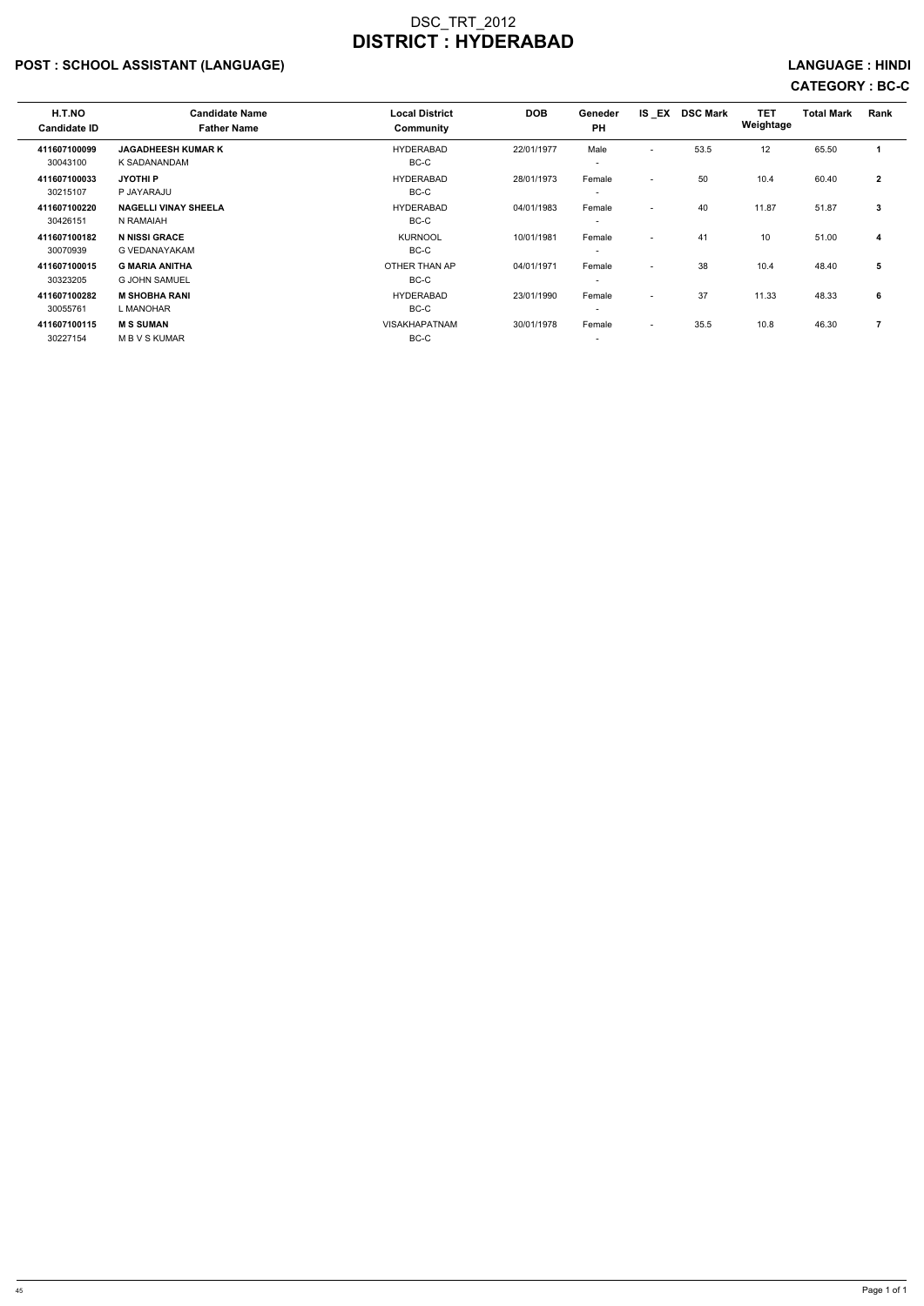## POST : SCHOOL ASSISTANT (LANGUAGE) And the state of the state of the state of the state of the state of the state of the state of the state of the state of the state of the state of the state of the state of the state of t

# CATEGORY : BC-C

| H.T.NO<br><b>Candidate ID</b> | <b>Candidate Name</b><br><b>Father Name</b> | <b>Local District</b><br>Community | <b>DOB</b> | Geneder<br><b>PH</b>     | IS EX                    | <b>DSC Mark</b> | <b>TET</b><br>Weightage | <b>Total Mark</b> | Rank                 |
|-------------------------------|---------------------------------------------|------------------------------------|------------|--------------------------|--------------------------|-----------------|-------------------------|-------------------|----------------------|
| 411607100099                  | <b>JAGADHEESH KUMAR K</b>                   | <b>HYDERABAD</b>                   | 22/01/1977 | Male                     | $\overline{a}$           | 53.5            | 12                      | 65.50             | $\blacktriangleleft$ |
| 30043100                      | K SADANANDAM                                | BC-C                               |            | $\overline{\phantom{0}}$ |                          |                 |                         |                   |                      |
| 411607100033                  | <b>JYOTHIP</b>                              | <b>HYDERABAD</b>                   | 28/01/1973 | Female                   | $\overline{a}$           | 50              | 10.4                    | 60.40             | $\mathbf{2}$         |
| 30215107                      | P JAYARAJU                                  | BC-C                               |            | $\overline{\phantom{0}}$ |                          |                 |                         |                   |                      |
| 411607100220                  | <b>NAGELLI VINAY SHEELA</b>                 | <b>HYDERABAD</b>                   | 04/01/1983 | Female                   | $\overline{\phantom{a}}$ | 40              | 11.87                   | 51.87             | $\mathbf{3}$         |
| 30426151                      | N RAMAIAH                                   | BC-C                               |            | $\overline{\phantom{0}}$ |                          |                 |                         |                   |                      |
| 411607100182                  | <b>N NISSI GRACE</b>                        | <b>KURNOOL</b>                     | 10/01/1981 | Female                   | $\overline{\phantom{0}}$ | 41              | 10                      | 51.00             | 4                    |
| 30070939                      | <b>G VEDANAYAKAM</b>                        | BC-C                               |            |                          |                          |                 |                         |                   |                      |
| 411607100015                  | <b>G MARIA ANITHA</b>                       | OTHER THAN AP                      | 04/01/1971 | Female                   | $\overline{\phantom{0}}$ | 38              | 10.4                    | 48.40             | 5                    |
| 30323205                      | <b>G JOHN SAMUEL</b>                        | BC-C                               |            | $\overline{\phantom{0}}$ |                          |                 |                         |                   |                      |
| 411607100282                  | <b>M SHOBHA RANI</b>                        | <b>HYDERABAD</b>                   | 23/01/1990 | Female                   | $\overline{\phantom{0}}$ | 37              | 11.33                   | 48.33             | 6                    |
| 30055761                      | L MANOHAR                                   | BC-C                               |            | $\overline{\phantom{0}}$ |                          |                 |                         |                   |                      |
| 411607100115                  | <b>MS SUMAN</b>                             | <b>VISAKHAPATNAM</b>               | 30/01/1978 | Female                   | $\overline{\phantom{0}}$ | 35.5            | 10.8                    | 46.30             | 7                    |
| 30227154                      | <b>MBVSKUMAR</b>                            | BC-C                               |            | $\overline{\phantom{0}}$ |                          |                 |                         |                   |                      |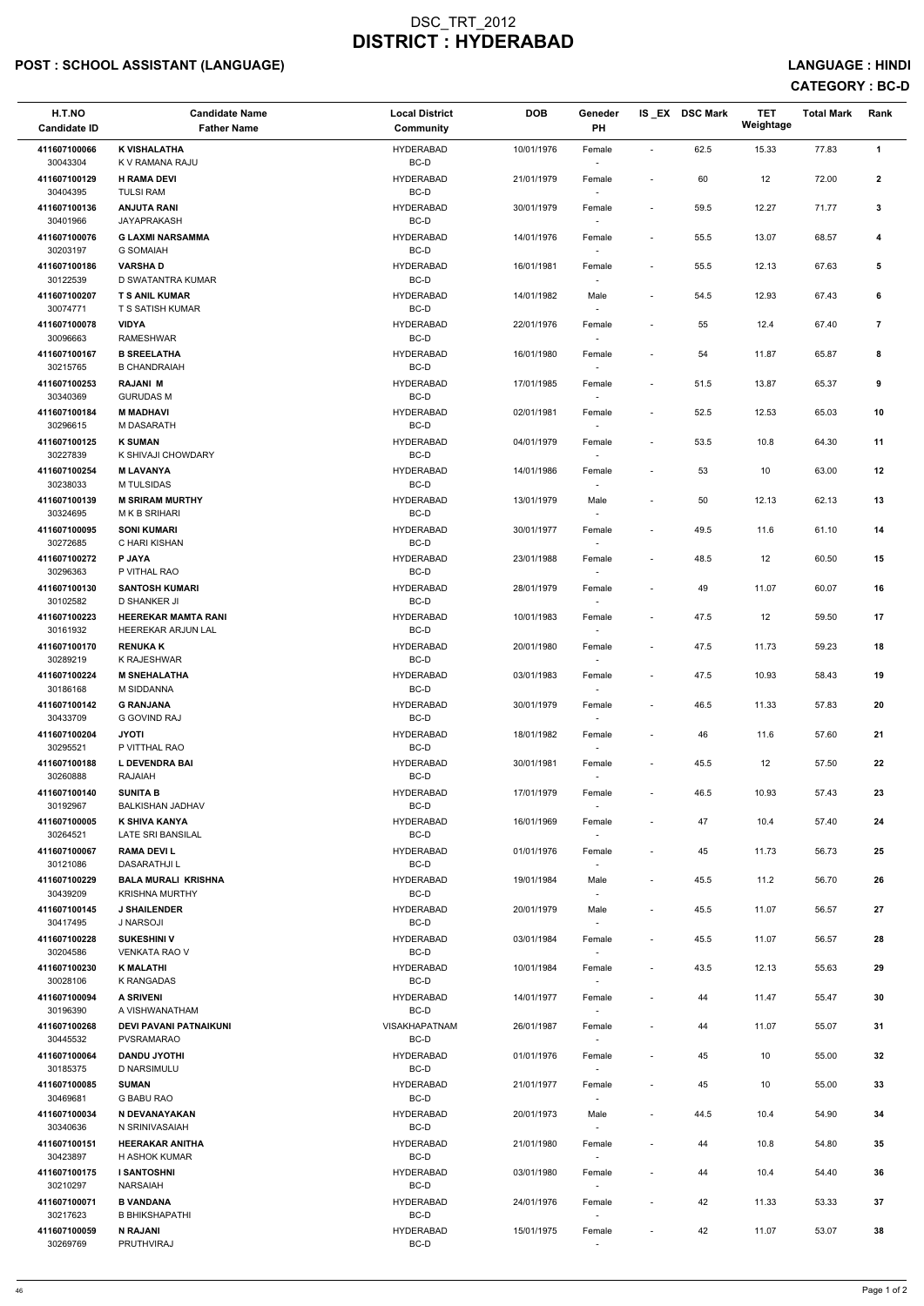## POST : SCHOOL ASSISTANT (LANGUAGE) And the set of the set of the set of the set of the set of the set of the set of the set of the set of the set of the set of the set of the set of the set of the set of the set of the set

# CATEGORY : BC-D

| H.T.NO<br><b>Candidate ID</b> | <b>Candidate Name</b><br><b>Father Name</b>             | <b>Local District</b><br><b>Community</b> | <b>DOB</b> | Geneder<br>PH                      |                              | IS EX DSC Mark | <b>TET</b><br>Weightage | <b>Total Mark</b> | Rank           |
|-------------------------------|---------------------------------------------------------|-------------------------------------------|------------|------------------------------------|------------------------------|----------------|-------------------------|-------------------|----------------|
| 411607100066                  | <b>K VISHALATHA</b>                                     | <b>HYDERABAD</b>                          | 10/01/1976 | Female                             | $\blacksquare$               | 62.5           | 15.33                   | 77.83             | $\mathbf{1}$   |
| 30043304                      | K V RAMANA RAJU                                         | BC-D                                      |            | $\overline{\phantom{a}}$           |                              |                |                         |                   |                |
| 411607100129<br>30404395      | <b>H RAMA DEVI</b><br><b>TULSI RAM</b>                  | <b>HYDERABAD</b><br>BC-D                  | 21/01/1979 | Female                             | $\overline{\phantom{a}}$     | 60             | 12                      | 72.00             | $\mathbf{2}$   |
| 411607100136<br>30401966      | <b>ANJUTA RANI</b><br><b>JAYAPRAKASH</b>                | <b>HYDERABAD</b><br>BC-D                  | 30/01/1979 | Female                             | $\overline{\phantom{a}}$     | 59.5           | 12.27                   | 71.77             | 3              |
| 411607100076<br>30203197      | <b>G LAXMI NARSAMMA</b><br><b>G SOMAIAH</b>             | <b>HYDERABAD</b><br>BC-D                  | 14/01/1976 | Female<br>$\overline{\phantom{a}}$ | $\qquad \qquad \blacksquare$ | 55.5           | 13.07                   | 68.57             | 4              |
| 411607100186                  | <b>VARSHAD</b>                                          | <b>HYDERABAD</b>                          | 16/01/1981 | Female                             | $\overline{\phantom{a}}$     | 55.5           | 12.13                   | 67.63             | 5              |
| 30122539<br>411607100207      | D SWATANTRA KUMAR<br><b>T S ANIL KUMAR</b>              | BC-D<br><b>HYDERABAD</b>                  | 14/01/1982 | Male                               | $\overline{\phantom{a}}$     | 54.5           | 12.93                   | 67.43             | 6              |
| 30074771                      | T S SATISH KUMAR                                        | BC-D                                      |            | $\overline{\phantom{a}}$           |                              |                |                         |                   |                |
| 411607100078<br>30096663      | <b>VIDYA</b><br><b>RAMESHWAR</b>                        | <b>HYDERABAD</b><br>BC-D                  | 22/01/1976 | Female                             | $\overline{\phantom{a}}$     | 55             | 12.4                    | 67.40             | $\overline{7}$ |
| 411607100167<br>30215765      | <b>B SREELATHA</b><br><b>B CHANDRAIAH</b>               | <b>HYDERABAD</b><br>BC-D                  | 16/01/1980 | Female<br>$\overline{\phantom{a}}$ | $\overline{\phantom{a}}$     | 54             | 11.87                   | 65.87             | 8              |
| 411607100253                  | <b>RAJANI M</b>                                         | <b>HYDERABAD</b>                          | 17/01/1985 | Female                             | $\qquad \qquad \blacksquare$ | 51.5           | 13.87                   | 65.37             | 9              |
| 30340369<br>411607100184      | <b>GURUDAS M</b><br><b>M MADHAVI</b>                    | BC-D<br><b>HYDERABAD</b>                  | 02/01/1981 | $\sim$<br>Female                   | $\overline{\phantom{a}}$     | 52.5           | 12.53                   | 65.03             | 10             |
| 30296615                      | M DASARATH                                              | BC-D                                      |            | $\overline{\phantom{a}}$           |                              |                |                         |                   |                |
| 411607100125<br>30227839      | <b>K SUMAN</b><br>K SHIVAJI CHOWDARY                    | <b>HYDERABAD</b><br>BC-D                  | 04/01/1979 | Female                             | $\tilde{\phantom{a}}$        | 53.5           | 10.8                    | 64.30             | 11             |
| 411607100254                  | <b>M LAVANYA</b>                                        | <b>HYDERABAD</b>                          | 14/01/1986 | Female                             | $\overline{\phantom{a}}$     | 53             | 10                      | 63.00             | 12             |
| 30238033                      | M TULSIDAS                                              | BC-D                                      |            |                                    |                              |                |                         |                   |                |
| 411607100139<br>30324695      | <b>M SRIRAM MURTHY</b><br>M K B SRIHARI                 | <b>HYDERABAD</b><br>BC-D                  | 13/01/1979 | Male<br>$\sim$                     | $\qquad \qquad \blacksquare$ | 50             | 12.13                   | 62.13             | 13             |
| 411607100095                  | <b>SONI KUMARI</b>                                      | <b>HYDERABAD</b>                          | 30/01/1977 | Female                             | $\overline{\phantom{a}}$     | 49.5           | 11.6                    | 61.10             | 14             |
| 30272685<br>411607100272      | C HARI KISHAN<br><b>P JAYA</b>                          | BC-D<br><b>HYDERABAD</b>                  | 23/01/1988 | $\overline{\phantom{a}}$<br>Female | $\overline{\phantom{a}}$     | 48.5           | 12                      | 60.50             | 15             |
| 30296363                      | P VITHAL RAO                                            | BC-D                                      | 28/01/1979 |                                    |                              |                |                         |                   |                |
| 411607100130<br>30102582      | <b>SANTOSH KUMARI</b><br><b>D SHANKER JI</b>            | <b>HYDERABAD</b><br>BC-D                  |            | Female<br>$\overline{\phantom{a}}$ | $\overline{\phantom{a}}$     | 49             | 11.07                   | 60.07             | 16             |
| 411607100223<br>30161932      | <b>HEEREKAR MAMTA RANI</b><br><b>HEEREKAR ARJUN LAL</b> | <b>HYDERABAD</b><br>BC-D                  | 10/01/1983 | Female<br>$\sim$                   | $\overline{\phantom{a}}$     | 47.5           | 12                      | 59.50             | 17             |
| 411607100170                  | <b>RENUKA K</b>                                         | <b>HYDERABAD</b>                          | 20/01/1980 | Female                             | $\overline{\phantom{a}}$     | 47.5           | 11.73                   | 59.23             | 18             |
| 30289219<br>411607100224      | K RAJESHWAR<br><b>M SNEHALATHA</b>                      | BC-D<br><b>HYDERABAD</b>                  | 03/01/1983 | Female                             | $\overline{\phantom{a}}$     | 47.5           | 10.93                   | 58.43             | 19             |
| 30186168                      | M SIDDANNA                                              | BC-D                                      |            |                                    |                              |                |                         |                   |                |
| 411607100142<br>30433709      | <b>G RANJANA</b><br><b>G GOVIND RAJ</b>                 | <b>HYDERABAD</b><br>BC-D                  | 30/01/1979 | Female<br>$\sim$                   | $\overline{\phantom{a}}$     | 46.5           | 11.33                   | 57.83             | 20             |
| 411607100204<br>30295521      | <b>JYOTI</b><br>P VITTHAL RAO                           | <b>HYDERABAD</b><br>BC-D                  | 18/01/1982 | Female<br>$\sim$                   | $\overline{\phantom{a}}$     | 46             | 11.6                    | 57.60             | 21             |
| 411607100188                  | L DEVENDRA BAI                                          | <b>HYDERABAD</b>                          | 30/01/1981 | Female                             | $\overline{\phantom{a}}$     | 45.5           | 12                      | 57.50             | 22             |
| 30260888<br>411607100140      | RAJAIAH<br><b>SUNITA B</b>                              | BC-D<br><b>HYDERABAD</b>                  | 17/01/1979 | $\sim$<br>Female                   | $\overline{\phantom{a}}$     | 46.5           | 10.93                   | 57.43             | 23             |
| 30192967                      | <b>BALKISHAN JADHAV</b>                                 | BC-D                                      |            |                                    |                              |                |                         |                   |                |
| 411607100005<br>30264521      | K SHIVA KANYA<br>LATE SRI BANSILAL                      | <b>HYDERABAD</b><br>BC-D                  | 16/01/1969 | Female<br>$\sim$                   | $\overline{\phantom{a}}$     | 47             | 10.4                    | 57.40             | 24             |
| 411607100067<br>30121086      | <b>RAMA DEVIL</b><br><b>DASARATHJIL</b>                 | <b>HYDERABAD</b><br>BC-D                  | 01/01/1976 | Female<br>$\overline{\phantom{a}}$ | $\overline{\phantom{a}}$     | 45             | 11.73                   | 56.73             | 25             |
| 411607100229                  | <b>BALA MURALI KRISHNA</b>                              | <b>HYDERABAD</b>                          | 19/01/1984 | Male                               | $\overline{\phantom{a}}$     | 45.5           | 11.2                    | 56.70             | 26             |
| 30439209<br>411607100145      | <b>KRISHNA MURTHY</b><br><b>J SHAILENDER</b>            | BC-D<br><b>HYDERABAD</b>                  | 20/01/1979 | $\overline{\phantom{a}}$<br>Male   | $\overline{\phantom{a}}$     | 45.5           | 11.07                   | 56.57             | 27             |
| 30417495                      | J NARSOJI                                               | BC-D                                      |            |                                    |                              |                |                         |                   |                |
| 411607100228<br>30204586      | <b>SUKESHINI V</b><br><b>VENKATA RAO V</b>              | <b>HYDERABAD</b><br>BC-D                  | 03/01/1984 | Female                             | $\overline{\phantom{a}}$     | 45.5           | 11.07                   | 56.57             | 28             |
| 411607100230                  | <b>K MALATHI</b>                                        | <b>HYDERABAD</b>                          | 10/01/1984 | Female                             | $\overline{\phantom{a}}$     | 43.5           | 12.13                   | 55.63             | 29             |
| 30028106<br>411607100094      | K RANGADAS<br><b>A SRIVENI</b>                          | BC-D<br><b>HYDERABAD</b>                  | 14/01/1977 | $\sim$<br>Female                   | $\overline{\phantom{a}}$     | 44             | 11.47                   | 55.47             | 30             |
| 30196390                      | A VISHWANATHAM                                          | BC-D                                      |            | $\overline{\phantom{a}}$           |                              |                |                         |                   |                |
| 411607100268<br>30445532      | <b>DEVI PAVANI PATNAIKUNI</b><br><b>PVSRAMARAO</b>      | <b>VISAKHAPATNAM</b><br>BC-D              | 26/01/1987 | Female<br>$\sim$                   | $\overline{\phantom{a}}$     | 44             | 11.07                   | 55.07             | 31             |
| 411607100064                  | <b>DANDU JYOTHI</b>                                     | <b>HYDERABAD</b>                          | 01/01/1976 | Female                             | $\overline{\phantom{a}}$     | 45             | 10                      | 55.00             | 32             |
| 30185375<br>411607100085      | D NARSIMULU<br><b>SUMAN</b>                             | BC-D<br><b>HYDERABAD</b>                  | 21/01/1977 | Female                             | $\overline{\phantom{a}}$     | 45             | 10                      | 55.00             | 33             |
| 30469681                      | <b>G BABU RAO</b>                                       | BC-D                                      |            | $\sim$                             |                              |                |                         |                   |                |
| 411607100034<br>30340636      | N DEVANAYAKAN<br>N SRINIVASAIAH                         | <b>HYDERABAD</b><br>BC-D                  | 20/01/1973 | Male<br>$\overline{\phantom{a}}$   | $\qquad \qquad \blacksquare$ | 44.5           | 10.4                    | 54.90             | 34             |
| 411607100151<br>30423897      | <b>HEERAKAR ANITHA</b><br>H ASHOK KUMAR                 | <b>HYDERABAD</b><br>BC-D                  | 21/01/1980 | Female<br>$\overline{\phantom{a}}$ | $\qquad \qquad \blacksquare$ | 44             | 10.8                    | 54.80             | 35             |
| 411607100175                  | <b>I SANTOSHNI</b>                                      | <b>HYDERABAD</b>                          | 03/01/1980 | Female                             | $\overline{\phantom{a}}$     | 44             | 10.4                    | 54.40             | 36             |
| 30210297<br>411607100071      | NARSAIAH<br><b>B VANDANA</b>                            | BC-D<br><b>HYDERABAD</b>                  | 24/01/1976 | $\overline{\phantom{a}}$<br>Female | $\overline{\phantom{a}}$     | 42             | 11.33                   | 53.33             | 37             |
| 30217623                      | <b>B BHIKSHAPATHI</b>                                   | BC-D                                      |            | $\sim$                             |                              |                |                         |                   |                |
| 411607100059<br>30269769      | <b>N RAJANI</b><br>PRUTHVIRAJ                           | <b>HYDERABAD</b><br>BC-D                  | 15/01/1975 | Female<br>$\overline{\phantom{a}}$ | $\overline{\phantom{a}}$     | 42             | 11.07                   | 53.07             | 38             |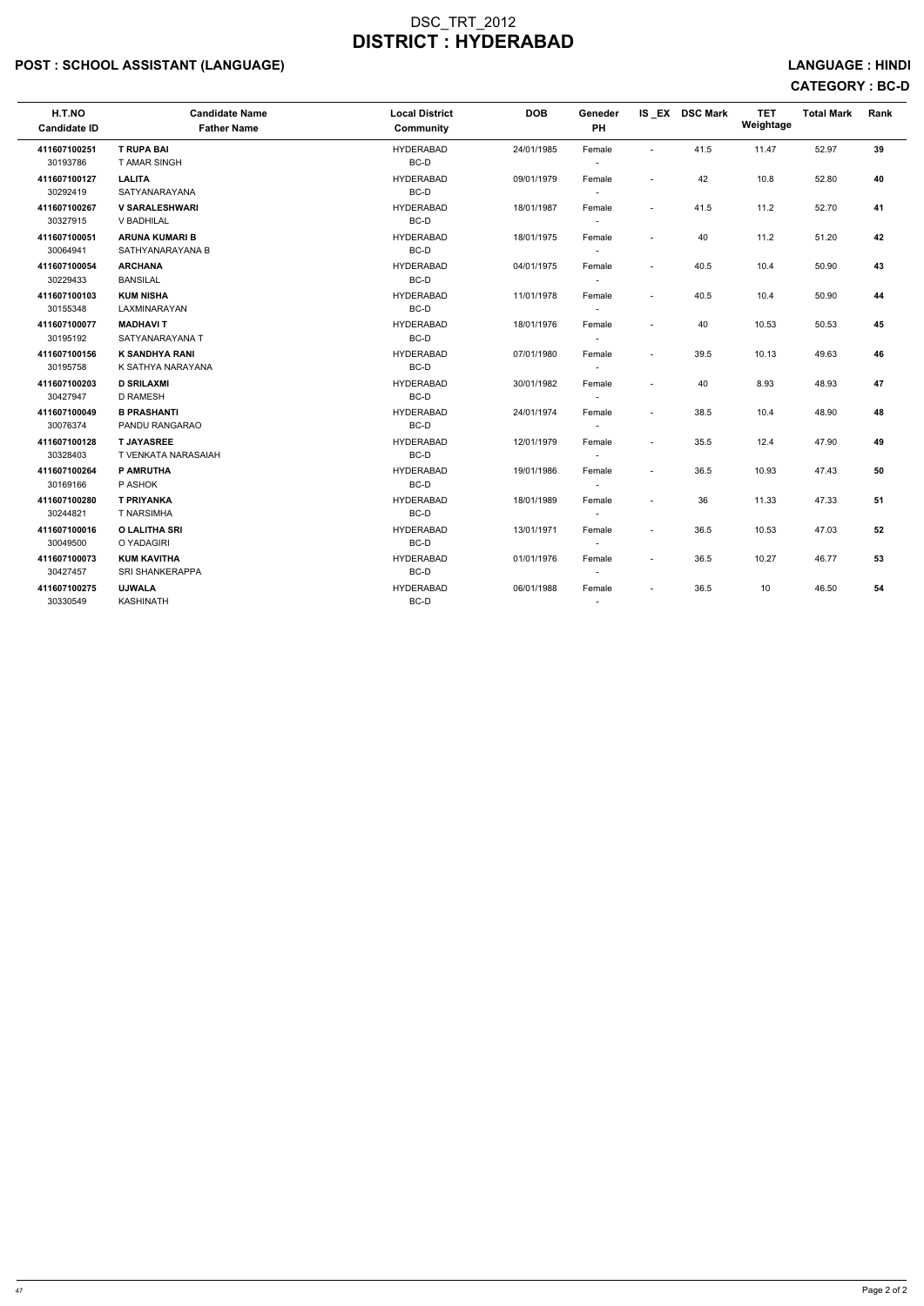## POST : SCHOOL ASSISTANT (LANGUAGE) And the set of the set of the set of the set of the set of the set of the set of the set of the set of the set of the set of the set of the set of the set of the set of the set of the set

# CATEGORY : BC-D

| H.T.NO<br><b>Candidate ID</b> | <b>Candidate Name</b><br><b>Father Name</b> | <b>Local District</b><br><b>Community</b> | <b>DOB</b> | Geneder<br>PH                      |                          | IS EX DSC Mark | <b>TET</b><br>Weightage | <b>Total Mark</b> | Rank |
|-------------------------------|---------------------------------------------|-------------------------------------------|------------|------------------------------------|--------------------------|----------------|-------------------------|-------------------|------|
| 411607100251<br>30193786      | <b>T RUPA BAI</b><br><b>T AMAR SINGH</b>    | <b>HYDERABAD</b><br>BC-D                  | 24/01/1985 | Female<br>$\sim$                   | $\overline{a}$           | 41.5           | 11.47                   | 52.97             | 39   |
| 411607100127<br>30292419      | <b>LALITA</b><br><b>SATYANARAYANA</b>       | <b>HYDERABAD</b><br>BC-D                  | 09/01/1979 | Female<br>$\sim$                   | $\blacksquare$           | 42             | 10.8                    | 52.80             | 40   |
| 411607100267<br>30327915      | <b>V SARALESHWARI</b><br>V BADHILAL         | <b>HYDERABAD</b><br>BC-D                  | 18/01/1987 | Female<br>$\sim$                   | $\sim$                   | 41.5           | 11.2                    | 52.70             | 41   |
| 411607100051<br>30064941      | <b>ARUNA KUMARI B</b><br>SATHYANARAYANA B   | <b>HYDERABAD</b><br>BC-D                  | 18/01/1975 | Female<br>$\sim$                   | $\tilde{\phantom{a}}$    | 40             | 11.2                    | 51.20             | 42   |
| 411607100054<br>30229433      | <b>ARCHANA</b><br><b>BANSILAL</b>           | <b>HYDERABAD</b><br>BC-D                  | 04/01/1975 | Female<br>$\overline{\phantom{a}}$ | $\tilde{\phantom{a}}$    | 40.5           | 10.4                    | 50.90             | 43   |
| 411607100103<br>30155348      | <b>KUM NISHA</b><br>LAXMINARAYAN            | <b>HYDERABAD</b><br>BC-D                  | 11/01/1978 | Female<br>$\overline{\phantom{a}}$ | $\sim$                   | 40.5           | 10.4                    | 50.90             | 44   |
| 411607100077<br>30195192      | <b>MADHAVIT</b><br>SATYANARAYANA T          | <b>HYDERABAD</b><br>BC-D                  | 18/01/1976 | Female<br>$\sim$                   | $\overline{a}$           | 40             | 10.53                   | 50.53             | 45   |
| 411607100156<br>30195758      | <b>K SANDHYA RANI</b><br>K SATHYA NARAYANA  | <b>HYDERABAD</b><br>BC-D                  | 07/01/1980 | Female<br>$\sim$                   | $\blacksquare$           | 39.5           | 10.13                   | 49.63             | 46   |
| 411607100203<br>30427947      | <b>D SRILAXMI</b><br><b>D RAMESH</b>        | <b>HYDERABAD</b><br>BC-D                  | 30/01/1982 | Female<br>$\overline{\phantom{a}}$ | $\overline{a}$           | 40             | 8.93                    | 48.93             | 47   |
| 411607100049<br>30076374      | <b>B PRASHANTI</b><br>PANDU RANGARAO        | <b>HYDERABAD</b><br>BC-D                  | 24/01/1974 | Female<br>$\sim$                   | $\sim$                   | 38.5           | 10.4                    | 48.90             | 48   |
| 411607100128<br>30328403      | <b>T JAYASREE</b><br>T VENKATA NARASAIAH    | <b>HYDERABAD</b><br>BC-D                  | 12/01/1979 | Female<br>$\sim$                   | $\sim$                   | 35.5           | 12.4                    | 47.90             | 49   |
| 411607100264<br>30169166      | <b>P AMRUTHA</b><br>P ASHOK                 | <b>HYDERABAD</b><br>BC-D                  | 19/01/1986 | Female<br>$\sim$                   | $\overline{a}$           | 36.5           | 10.93                   | 47.43             | 50   |
| 411607100280<br>30244821      | <b>T PRIYANKA</b><br><b>T NARSIMHA</b>      | <b>HYDERABAD</b><br>BC-D                  | 18/01/1989 | Female<br>$\overline{\phantom{a}}$ | $\overline{a}$           | 36             | 11.33                   | 47.33             | 51   |
| 411607100016<br>30049500      | <b>O LALITHA SRI</b><br>O YADAGIRI          | <b>HYDERABAD</b><br>BC-D                  | 13/01/1971 | Female<br>$\sim$                   | $\overline{\phantom{a}}$ | 36.5           | 10.53                   | 47.03             | 52   |
| 411607100073<br>30427457      | <b>KUM KAVITHA</b><br>SRI SHANKERAPPA       | <b>HYDERABAD</b><br>BC-D                  | 01/01/1976 | Female<br>$\overline{\phantom{a}}$ | $\blacksquare$           | 36.5           | 10.27                   | 46.77             | 53   |
| 411607100275<br>30330549      | <b>UJWALA</b><br>KASHINATH                  | <b>HYDERABAD</b><br>BC-D                  | 06/01/1988 | Female<br>$\sim$                   |                          | 36.5           | 10                      | 46.50             | 54   |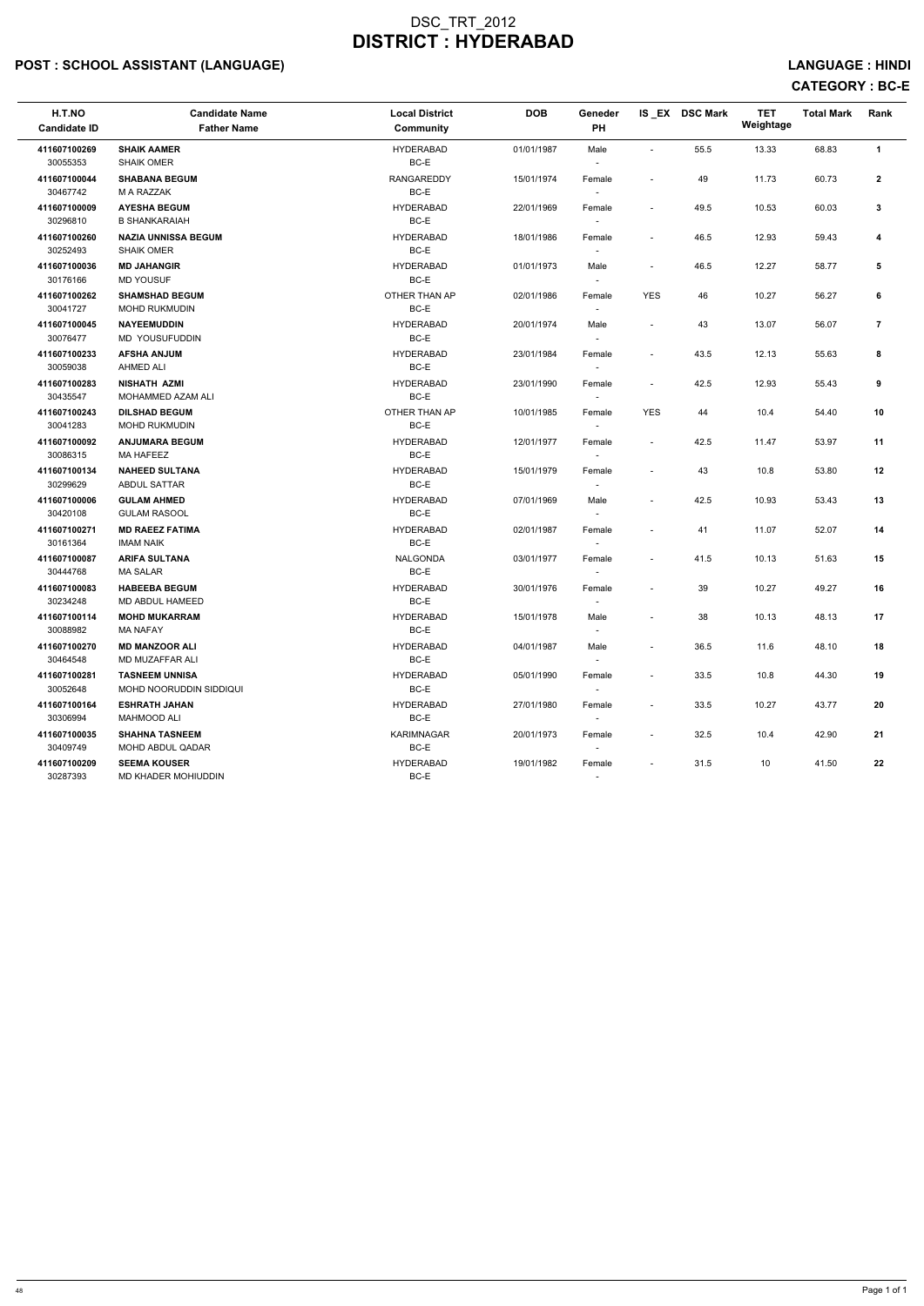## POST : SCHOOL ASSISTANT (LANGUAGE) And the set of the set of the set of the set of the set of the set of the set of the set of the set of the set of the set of the set of the set of the set of the set of the set of the set

# CATEGORY : BC-E

| H.T.NO<br><b>Candidate ID</b> | <b>Candidate Name</b><br><b>Father Name</b>             | <b>Local District</b><br><b>Community</b> | <b>DOB</b> | Geneder<br>PH                      |                          | IS EX DSC Mark | <b>TET</b><br>Weightage | <b>Total Mark</b> | Rank           |
|-------------------------------|---------------------------------------------------------|-------------------------------------------|------------|------------------------------------|--------------------------|----------------|-------------------------|-------------------|----------------|
| 411607100269<br>30055353      | <b>SHAIK AAMER</b><br><b>SHAIK OMER</b>                 | <b>HYDERABAD</b><br>BC-E                  | 01/01/1987 | Male                               | $\sim$                   | 55.5           | 13.33                   | 68.83             | $\mathbf{1}$   |
| 411607100044<br>30467742      | <b>SHABANA BEGUM</b><br>M A RAZZAK                      | <b>RANGAREDDY</b><br>BC-E                 | 15/01/1974 | Female                             | $\overline{\phantom{a}}$ | 49             | 11.73                   | 60.73             | $\mathbf{2}$   |
| 411607100009<br>30296810      | <b>AYESHA BEGUM</b><br><b>B SHANKARAIAH</b>             | <b>HYDERABAD</b><br>BC-E                  | 22/01/1969 | Female<br>$\overline{\phantom{a}}$ | $\sim$                   | 49.5           | 10.53                   | 60.03             | $\mathbf{3}$   |
| 411607100260<br>30252493      | <b>NAZIA UNNISSA BEGUM</b><br><b>SHAIK OMER</b>         | <b>HYDERABAD</b><br>BC-E                  | 18/01/1986 | Female<br>$\overline{\phantom{a}}$ | $\overline{\phantom{a}}$ | 46.5           | 12.93                   | 59.43             | 4              |
| 411607100036<br>30176166      | <b>MD JAHANGIR</b><br><b>MD YOUSUF</b>                  | <b>HYDERABAD</b><br>BC-E                  | 01/01/1973 | Male<br>$\sim$                     | $\blacksquare$           | 46.5           | 12.27                   | 58.77             | 5              |
| 411607100262<br>30041727      | <b>SHAMSHAD BEGUM</b><br><b>MOHD RUKMUDIN</b>           | OTHER THAN AP<br>BC-E                     | 02/01/1986 | Female                             | <b>YES</b>               | 46             | 10.27                   | 56.27             | 6              |
| 411607100045<br>30076477      | <b>NAYEEMUDDIN</b><br><b>MD YOUSUFUDDIN</b>             | <b>HYDERABAD</b><br>BC-E                  | 20/01/1974 | Male<br>$\overline{\phantom{a}}$   | $\blacksquare$           | 43             | 13.07                   | 56.07             | $\overline{7}$ |
| 411607100233<br>30059038      | <b>AFSHA ANJUM</b><br>AHMED ALI                         | <b>HYDERABAD</b><br>BC-E                  | 23/01/1984 | Female<br>$\overline{\phantom{a}}$ | $\overline{\phantom{a}}$ | 43.5           | 12.13                   | 55.63             | 8              |
| 411607100283<br>30435547      | <b>NISHATH AZMI</b><br>MOHAMMED AZAM ALI                | <b>HYDERABAD</b><br>BC-E                  | 23/01/1990 | Female<br>$\sim$                   | $\blacksquare$           | 42.5           | 12.93                   | 55.43             | 9              |
| 411607100243<br>30041283      | <b>DILSHAD BEGUM</b><br><b>MOHD RUKMUDIN</b>            | OTHER THAN AP<br>BC-E                     | 10/01/1985 | Female                             | <b>YES</b>               | 44             | 10.4                    | 54.40             | 10             |
| 411607100092<br>30086315      | <b>ANJUMARA BEGUM</b><br><b>MA HAFEEZ</b>               | <b>HYDERABAD</b><br>BC-E                  | 12/01/1977 | Female                             | $\sim$                   | 42.5           | 11.47                   | 53.97             | 11             |
| 411607100134<br>30299629      | <b>NAHEED SULTANA</b><br>ABDUL SATTAR                   | <b>HYDERABAD</b><br>BC-E                  | 15/01/1979 | Female<br>$\sim$                   | $\overline{\phantom{a}}$ | 43             | 10.8                    | 53.80             | 12             |
| 411607100006<br>30420108      | <b>GULAM AHMED</b><br><b>GULAM RASOOL</b>               | <b>HYDERABAD</b><br>BC-E                  | 07/01/1969 | Male<br>$\sim$                     | $\blacksquare$           | 42.5           | 10.93                   | 53.43             | 13             |
| 411607100271<br>30161364      | <b>MD RAEEZ FATIMA</b><br><b>IMAM NAIK</b>              | <b>HYDERABAD</b><br>BC-E                  | 02/01/1987 | Female<br>$\sim$                   | $\overline{\phantom{a}}$ | 41             | 11.07                   | 52.07             | 14             |
| 411607100087<br>30444768      | <b>ARIFA SULTANA</b><br><b>MA SALAR</b>                 | <b>NALGONDA</b><br>BC-E                   | 03/01/1977 | Female                             | $\blacksquare$           | 41.5           | 10.13                   | 51.63             | 15             |
| 411607100083<br>30234248      | <b>HABEEBA BEGUM</b><br>MD ABDUL HAMEED                 | <b>HYDERABAD</b><br>BC-E                  | 30/01/1976 | Female<br>$\overline{\phantom{a}}$ | $\overline{\phantom{a}}$ | 39             | 10.27                   | 49.27             | 16             |
| 411607100114<br>30088982      | <b>MOHD MUKARRAM</b><br><b>MA NAFAY</b>                 | <b>HYDERABAD</b><br>BC-E                  | 15/01/1978 | Male<br>$\overline{\phantom{a}}$   |                          | 38             | 10.13                   | 48.13             | 17             |
| 411607100270<br>30464548      | <b>MD MANZOOR ALI</b><br>MD MUZAFFAR ALI                | <b>HYDERABAD</b><br>BC-E                  | 04/01/1987 | Male<br>$\sim$                     | $\blacksquare$           | 36.5           | 11.6                    | 48.10             | 18             |
| 411607100281<br>30052648      | <b>TASNEEM UNNISA</b><br><b>MOHD NOORUDDIN SIDDIQUI</b> | <b>HYDERABAD</b><br>BC-E                  | 05/01/1990 | Female<br>$\sim$                   | $\overline{\phantom{a}}$ | 33.5           | 10.8                    | 44.30             | 19             |
| 411607100164<br>30306994      | <b>ESHRATH JAHAN</b><br><b>MAHMOOD ALI</b>              | <b>HYDERABAD</b><br>BC-E                  | 27/01/1980 | Female<br>$\sim$                   | $\overline{\phantom{a}}$ | 33.5           | 10.27                   | 43.77             | 20             |
| 411607100035<br>30409749      | <b>SHAHNA TASNEEM</b><br>MOHD ABDUL QADAR               | <b>KARIMNAGAR</b><br>BC-E                 | 20/01/1973 | Female<br>$\overline{\phantom{a}}$ | $\overline{\phantom{a}}$ | 32.5           | 10.4                    | 42.90             | 21             |
| 411607100209<br>30287393      | <b>SEEMA KOUSER</b><br>MD KHADER MOHIUDDIN              | <b>HYDERABAD</b><br>BC-E                  | 19/01/1982 | Female                             | $\overline{\phantom{a}}$ | 31.5           | 10                      | 41.50             | 22             |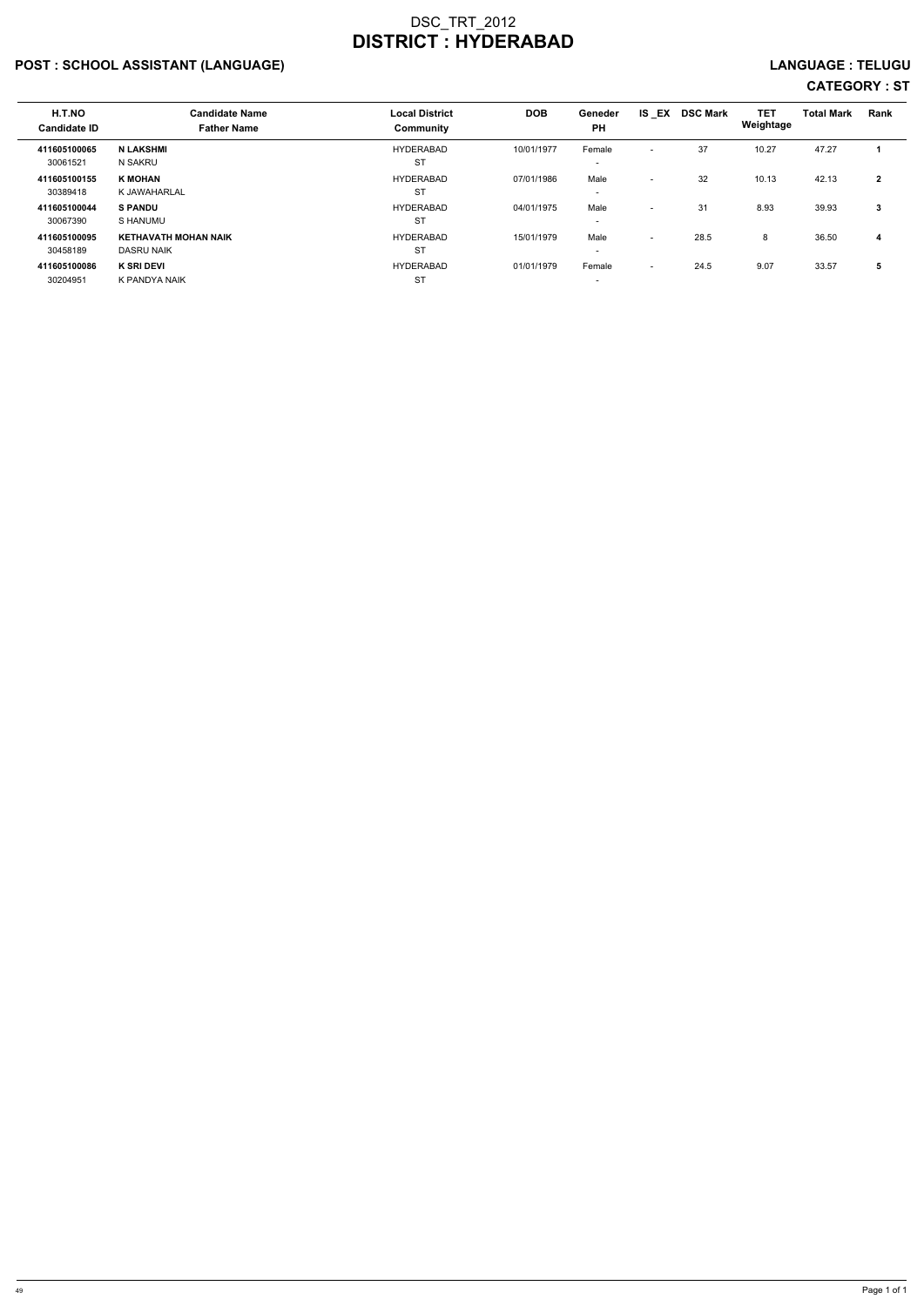## POST : SCHOOL ASSISTANT (LANGUAGE) LANGUAGE : TELUGU

| H.T.NO<br><b>Candidate ID</b> | <b>Candidate Name</b><br><b>Father Name</b>      | <b>Local District</b><br>Community | <b>DOB</b> | Geneder<br><b>PH</b>               | IS EX                    | <b>DSC Mark</b> | <b>TET</b><br>Weightage | <b>Total Mark</b> | Rank         |
|-------------------------------|--------------------------------------------------|------------------------------------|------------|------------------------------------|--------------------------|-----------------|-------------------------|-------------------|--------------|
| 411605100065<br>30061521      | <b>N LAKSHMI</b><br>N SAKRU                      | <b>HYDERABAD</b><br><b>ST</b>      | 10/01/1977 | Female                             | $\overline{\phantom{a}}$ | 37              | 10.27                   | 47.27             |              |
| 411605100155<br>30389418      | <b>K MOHAN</b><br>K JAWAHARLAL                   | <b>HYDERABAD</b><br><b>ST</b>      | 07/01/1986 | Male<br>$\overline{\phantom{0}}$   | $\overline{\phantom{a}}$ | 32              | 10.13                   | 42.13             | $\mathbf{2}$ |
| 411605100044<br>30067390      | <b>S PANDU</b><br>S HANUMU                       | <b>HYDERABAD</b><br><b>ST</b>      | 04/01/1975 | Male                               | $\overline{\phantom{0}}$ | 31              | 8.93                    | 39.93             | 3            |
| 411605100095<br>30458189      | <b>KETHAVATH MOHAN NAIK</b><br><b>DASRU NAIK</b> | <b>HYDERABAD</b><br><b>ST</b>      | 15/01/1979 | Male<br>$\overline{\phantom{0}}$   | $\overline{\phantom{a}}$ | 28.5            | 8                       | 36.50             | 4            |
| 411605100086<br>30204951      | <b>K SRI DEVI</b><br>K PANDYA NAIK               | <b>HYDERABAD</b><br><b>ST</b>      | 01/01/1979 | Female<br>$\overline{\phantom{0}}$ | $\overline{\phantom{a}}$ | 24.5            | 9.07                    | 33.57             | 5            |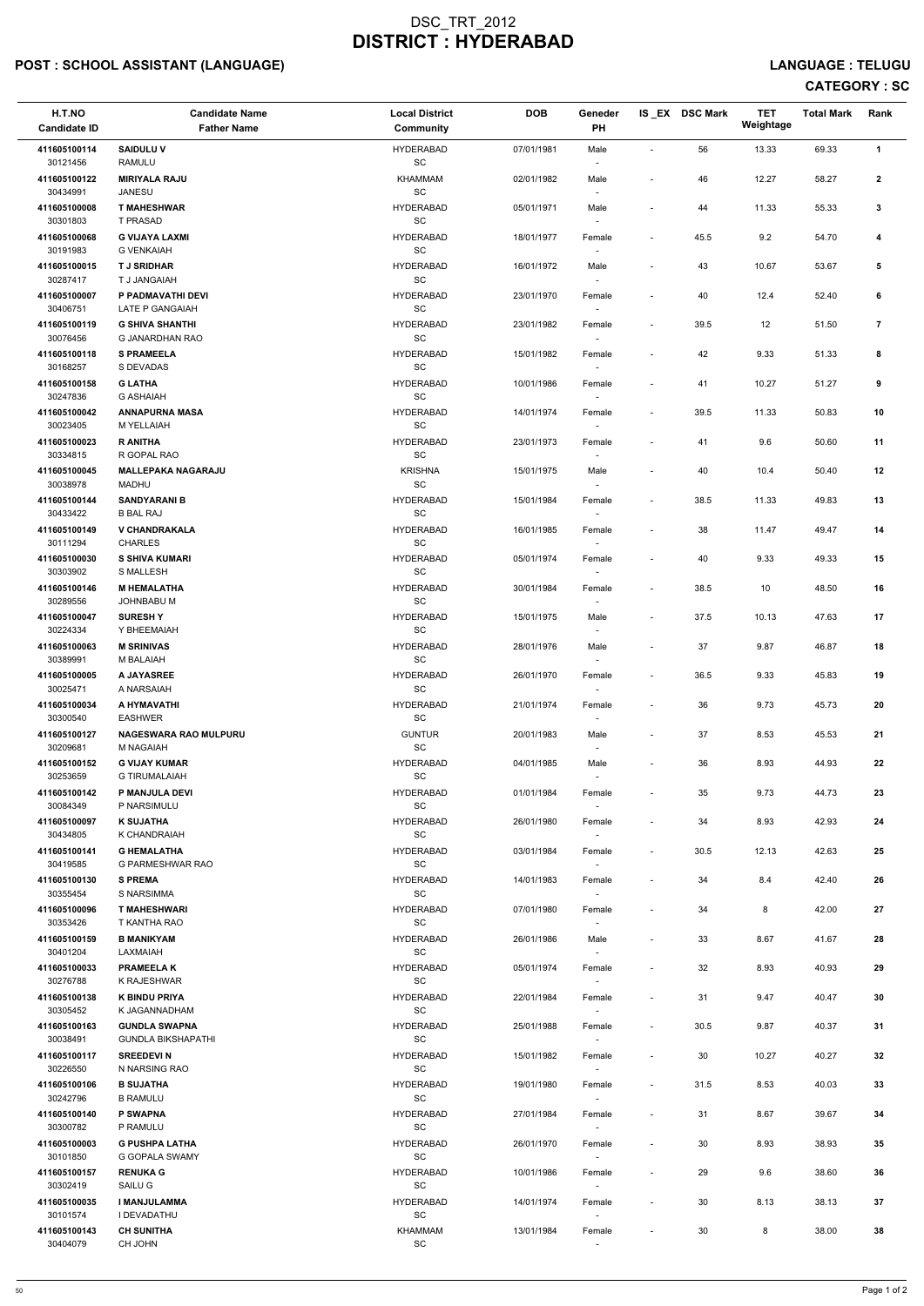## POST : SCHOOL ASSISTANT (LANGUAGE) And the set of the set of the set of the set of the set of the set of the set of the set of the set of the set of the set of the set of the set of the set of the set of the set of the set

| H.T.NO<br><b>Candidate ID</b> | <b>Candidate Name</b><br><b>Father Name</b>       | <b>Local District</b><br><b>Community</b>        | <b>DOB</b> | Geneder<br>PH                      |                          | IS_EX DSC Mark | <b>TET</b><br>Weightage | <b>Total Mark</b> | Rank           |
|-------------------------------|---------------------------------------------------|--------------------------------------------------|------------|------------------------------------|--------------------------|----------------|-------------------------|-------------------|----------------|
| 411605100114<br>30121456      | <b>SAIDULUV</b><br>RAMULU                         | <b>HYDERABAD</b><br>$\operatorname{\textsf{SC}}$ | 07/01/1981 | Male                               | L,                       | 56             | 13.33                   | 69.33             | $\mathbf{1}$   |
| 411605100122<br>30434991      | <b>MIRIYALA RAJU</b><br><b>JANESU</b>             | KHAMMAM<br>SC                                    | 02/01/1982 | Male                               | $\overline{a}$           | 46             | 12.27                   | 58.27             | $\overline{2}$ |
| 411605100008<br>30301803      | <b>T MAHESHWAR</b><br>T PRASAD                    | <b>HYDERABAD</b><br>$\operatorname{\textsf{SC}}$ | 05/01/1971 | Male                               | $\overline{a}$           | 44             | 11.33                   | 55.33             | 3              |
| 411605100068<br>30191983      | <b>G VIJAYA LAXMI</b><br><b>G VENKAIAH</b>        | <b>HYDERABAD</b><br>$\operatorname{\textsf{SC}}$ | 18/01/1977 | Female                             |                          | 45.5           | 9.2                     | 54.70             | 4              |
| 411605100015<br>30287417      | <b>TJ SRIDHAR</b><br>T J JANGAIAH                 | <b>HYDERABAD</b><br>SC                           | 16/01/1972 | Male<br>$\overline{\phantom{a}}$   | $\overline{a}$           | 43             | 10.67                   | 53.67             | 5              |
| 411605100007<br>30406751      | P PADMAVATHI DEVI<br>LATE P GANGAIAH              | <b>HYDERABAD</b><br>$\operatorname{\textsf{SC}}$ | 23/01/1970 | Female                             | $\overline{\phantom{a}}$ | 40             | 12.4                    | 52.40             | 6              |
| 411605100119                  | <b>G SHIVA SHANTHI</b><br>G JANARDHAN RAO         | <b>HYDERABAD</b><br>$\operatorname{\textsf{SC}}$ | 23/01/1982 | Female                             | $\overline{\phantom{a}}$ | 39.5           | 12                      | 51.50             | $\overline{7}$ |
| 30076456<br>411605100118      | <b>S PRAMEELA</b>                                 | <b>HYDERABAD</b>                                 | 15/01/1982 | Female                             | $\overline{\phantom{a}}$ | 42             | 9.33                    | 51.33             | 8              |
| 30168257<br>411605100158      | S DEVADAS<br><b>G LATHA</b>                       | SC<br><b>HYDERABAD</b>                           | 10/01/1986 | $\sim$<br>Female                   | $\overline{a}$           | 41             | 10.27                   | 51.27             | 9              |
| 30247836<br>411605100042      | <b>G ASHAIAH</b><br><b>ANNAPURNA MASA</b>         | $\operatorname{\textsf{SC}}$<br><b>HYDERABAD</b> | 14/01/1974 | Female                             | $\overline{\phantom{a}}$ | 39.5           | 11.33                   | 50.83             | 10             |
| 30023405<br>411605100023      | M YELLAIAH<br><b>R ANITHA</b>                     | $\operatorname{\textsf{SC}}$<br><b>HYDERABAD</b> | 23/01/1973 | $\overline{\phantom{a}}$<br>Female | $\overline{a}$           | 41             | 9.6                     | 50.60             | 11             |
| 30334815<br>411605100045      | R GOPAL RAO<br><b>MALLEPAKA NAGARAJU</b>          | $\operatorname{\textsf{SC}}$<br><b>KRISHNA</b>   | 15/01/1975 | Male                               | $\overline{a}$           | 40             | 10.4                    | 50.40             | 12             |
| 30038978<br>411605100144      | MADHU<br><b>SANDYARANI B</b>                      | $\operatorname{\textsf{SC}}$<br><b>HYDERABAD</b> | 15/01/1984 | $\overline{\phantom{a}}$<br>Female |                          | 38.5           | 11.33                   | 49.83             | 13             |
| 30433422<br>411605100149      | <b>B BAL RAJ</b><br><b>V CHANDRAKALA</b>          | SC<br><b>HYDERABAD</b>                           | 16/01/1985 | $\overline{\phantom{a}}$<br>Female | $\overline{a}$           | 38             | 11.47                   | 49.47             | 14             |
| 30111294<br>411605100030      | <b>CHARLES</b><br><b>S SHIVA KUMARI</b>           | SC<br><b>HYDERABAD</b>                           | 05/01/1974 | Female                             | $\overline{a}$           | 40             | 9.33                    | 49.33             | 15             |
| 30303902<br>411605100146      | S MALLESH<br><b>M HEMALATHA</b>                   | $\operatorname{\textsf{SC}}$<br><b>HYDERABAD</b> | 30/01/1984 | Female                             | $\overline{\phantom{a}}$ | 38.5           | 10                      | 48.50             | 16             |
| 30289556<br>411605100047      | JOHNBABU M<br><b>SURESHY</b>                      | SC<br><b>HYDERABAD</b>                           | 15/01/1975 | $\overline{\phantom{a}}$<br>Male   | $\overline{\phantom{a}}$ | 37.5           | 10.13                   | 47.63             | 17             |
| 30224334<br>411605100063      | Y BHEEMAIAH<br><b>M SRINIVAS</b>                  | SC<br><b>HYDERABAD</b>                           | 28/01/1976 | $\overline{\phantom{a}}$<br>Male   | $\overline{\phantom{a}}$ | 37             | 9.87                    | 46.87             | 18             |
| 30389991<br>411605100005      | M BALAIAH<br>A JAYASREE                           | SC<br><b>HYDERABAD</b>                           | 26/01/1970 | Female                             | $\overline{\phantom{a}}$ | 36.5           | 9.33                    | 45.83             | 19             |
| 30025471<br>411605100034      | A NARSAIAH<br>A HYMAVATHI                         | SC<br><b>HYDERABAD</b>                           | 21/01/1974 | $\overline{\phantom{a}}$<br>Female | $\overline{\phantom{a}}$ | 36             | 9.73                    | 45.73             | 20             |
| 30300540<br>411605100127      | <b>EASHWER</b><br><b>NAGESWARA RAO MULPURU</b>    | SC<br><b>GUNTUR</b>                              | 20/01/1983 | Male                               | $\overline{a}$           | 37             | 8.53                    | 45.53             | 21             |
| 30209681<br>411605100152      | M NAGAIAH<br><b>G VIJAY KUMAR</b>                 | SC<br><b>HYDERABAD</b>                           | 04/01/1985 | $\sim$<br>Male                     | $\overline{\phantom{a}}$ | 36             | 8.93                    | 44.93             | 22             |
| 30253659<br>411605100142      | <b>G TIRUMALAIAH</b><br>P MANJULA DEVI            | SC<br><b>HYDERABAD</b>                           | 01/01/1984 | Female                             | $\overline{\phantom{m}}$ | 35             | 9.73                    | 44.73             | 23             |
| 30084349<br>411605100097      | P NARSIMULU<br><b>K SUJATHA</b>                   | <b>SC</b><br><b>HYDERABAD</b>                    | 26/01/1980 | Female                             | $\overline{\phantom{a}}$ | 34             | 8.93                    | 42.93             | 24             |
| 30434805                      | K CHANDRAIAH                                      | SC                                               |            | $\sim$                             |                          |                |                         |                   |                |
| 411605100141<br>30419585      | <b>G HEMALATHA</b><br><b>G PARMESHWAR RAO</b>     | <b>HYDERABAD</b><br>SC                           | 03/01/1984 | Female<br>$\sim$                   | $\overline{\phantom{a}}$ | 30.5           | 12.13                   | 42.63             | 25             |
| 411605100130<br>30355454      | <b>S PREMA</b><br>S NARSIMMA                      | <b>HYDERABAD</b><br>SC                           | 14/01/1983 | Female<br>$\overline{\phantom{a}}$ | $\overline{\phantom{a}}$ | 34             | 8.4                     | 42.40             | 26             |
| 411605100096<br>30353426      | <b>T MAHESHWARI</b><br>T KANTHA RAO               | <b>HYDERABAD</b><br><b>SC</b>                    | 07/01/1980 | Female                             | $\overline{a}$           | 34             | 8                       | 42.00             | 27             |
| 411605100159<br>30401204      | <b>B MANIKYAM</b><br>LAXMAIAH                     | <b>HYDERABAD</b><br>SC                           | 26/01/1986 | Male<br>$\sim$                     | $\overline{\phantom{a}}$ | 33             | 8.67                    | 41.67             | 28             |
| 411605100033<br>30276788      | <b>PRAMEELAK</b><br>K RAJESHWAR                   | <b>HYDERABAD</b><br>SC                           | 05/01/1974 | Female<br>$\sim$                   |                          | 32             | 8.93                    | 40.93             | 29             |
| 411605100138<br>30305452      | <b>K BINDU PRIYA</b><br>K JAGANNADHAM             | <b>HYDERABAD</b><br>SC                           | 22/01/1984 | Female<br>$\sim$                   | $\overline{a}$           | 31             | 9.47                    | 40.47             | 30             |
| 411605100163<br>30038491      | <b>GUNDLA SWAPNA</b><br><b>GUNDLA BIKSHAPATHI</b> | <b>HYDERABAD</b><br>SC                           | 25/01/1988 | Female                             | $\overline{a}$           | 30.5           | 9.87                    | 40.37             | 31             |
| 411605100117<br>30226550      | <b>SREEDEVIN</b><br>N NARSING RAO                 | <b>HYDERABAD</b><br>SC                           | 15/01/1982 | Female                             | $\overline{a}$           | 30             | 10.27                   | 40.27             | 32             |
| 411605100106<br>30242796      | <b>B SUJATHA</b><br><b>B RAMULU</b>               | <b>HYDERABAD</b><br>$\operatorname{\textsf{SC}}$ | 19/01/1980 | Female<br>$\overline{\phantom{a}}$ | $\overline{\phantom{a}}$ | 31.5           | 8.53                    | 40.03             | 33             |
| 411605100140<br>30300782      | P SWAPNA<br>P RAMULU                              | <b>HYDERABAD</b><br>$\operatorname{\textsf{SC}}$ | 27/01/1984 | Female                             | $\overline{\phantom{a}}$ | 31             | 8.67                    | 39.67             | 34             |
| 411605100003<br>30101850      | <b>G PUSHPA LATHA</b><br><b>G GOPALA SWAMY</b>    | <b>HYDERABAD</b><br>SC                           | 26/01/1970 | Female<br>$\sim$                   | $\overline{\phantom{a}}$ | 30             | 8.93                    | 38.93             | 35             |
| 411605100157<br>30302419      | <b>RENUKA G</b><br>SAILU G                        | <b>HYDERABAD</b><br>SC                           | 10/01/1986 | Female<br>$\overline{\phantom{a}}$ | $\overline{\phantom{a}}$ | 29             | 9.6                     | 38.60             | 36             |
| 411605100035<br>30101574      | <b>I MANJULAMMA</b><br>I DEVADATHU                | <b>HYDERABAD</b><br>SC                           | 14/01/1974 | Female<br>$\sim$                   | $\overline{\phantom{a}}$ | 30             | 8.13                    | 38.13             | 37             |
| 411605100143<br>30404079      | <b>CH SUNITHA</b><br>CH JOHN                      | KHAMMAM<br>$\operatorname{\textsf{SC}}$          | 13/01/1984 | Female                             |                          | 30             | 8                       | 38.00             | 38             |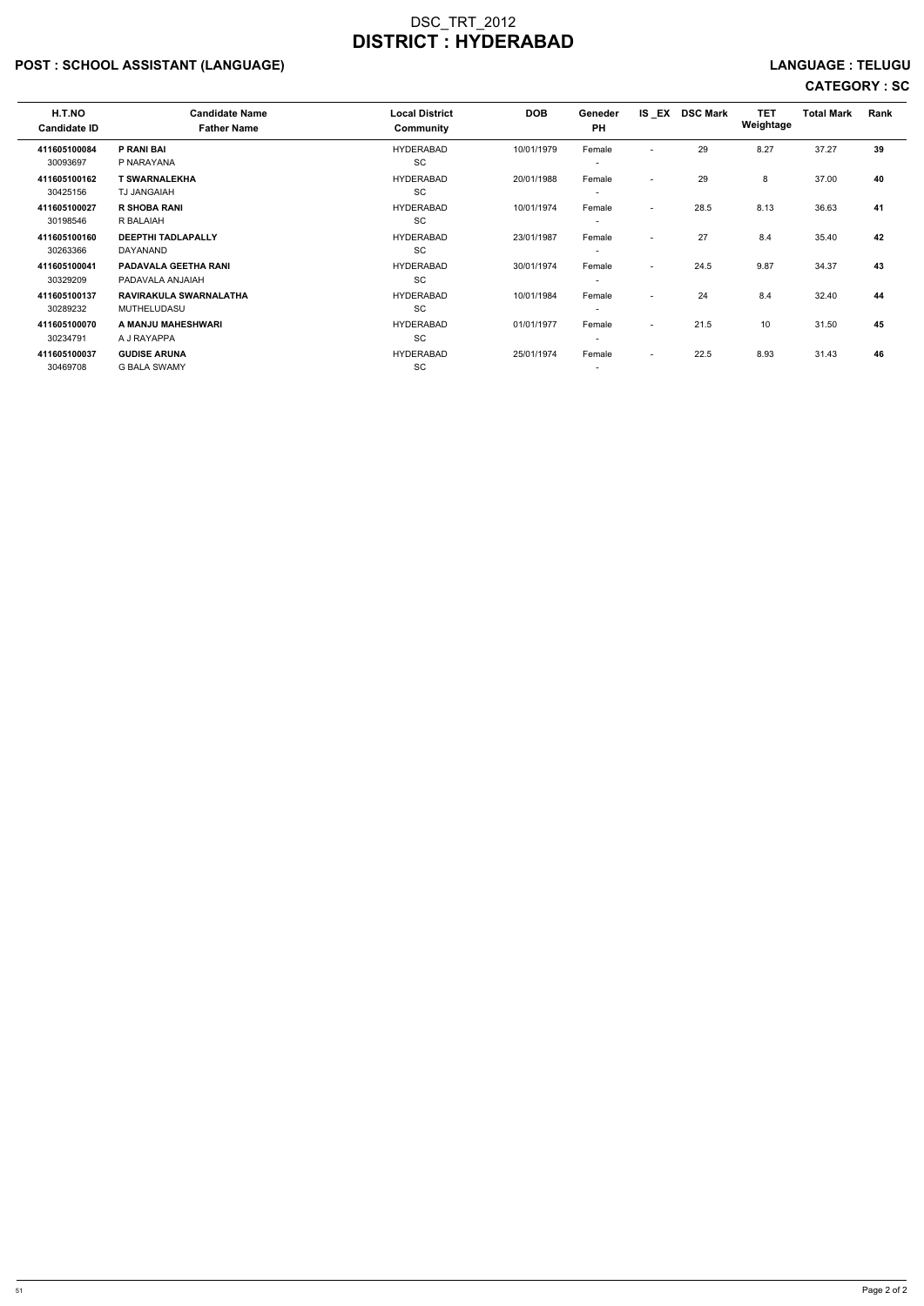## POST : SCHOOL ASSISTANT (LANGUAGE) And the set of the set of the set of the set of the set of the set of the set of the set of the set of the set of the set of the set of the set of the set of the set of the set of the set

| H.T.NO<br><b>Candidate ID</b> | <b>Candidate Name</b><br><b>Father Name</b>     | <b>Local District</b><br>Community | <b>DOB</b> | Geneder<br><b>PH</b>               |                          | IS EX DSC Mark | <b>TET</b><br>Weightage | <b>Total Mark</b> | Rank |
|-------------------------------|-------------------------------------------------|------------------------------------|------------|------------------------------------|--------------------------|----------------|-------------------------|-------------------|------|
| 411605100084<br>30093697      | P RANI BAI<br>P NARAYANA                        | <b>HYDERABAD</b><br>SC             | 10/01/1979 | Female<br>$\overline{\phantom{a}}$ | $\overline{\phantom{0}}$ | 29             | 8.27                    | 37.27             | 39   |
| 411605100162<br>30425156      | <b>T SWARNALEKHA</b><br><b>TJ JANGAIAH</b>      | <b>HYDERABAD</b><br>SC             | 20/01/1988 | Female<br>$\overline{\phantom{a}}$ | $\overline{\phantom{0}}$ | 29             | 8                       | 37.00             | 40   |
| 411605100027<br>30198546      | <b>R SHOBA RANI</b><br>R BALAIAH                | <b>HYDERABAD</b><br>SC             | 10/01/1974 | Female<br>$\overline{\phantom{a}}$ | $\overline{\phantom{0}}$ | 28.5           | 8.13                    | 36.63             | 41   |
| 411605100160<br>30263366      | <b>DEEPTHI TADLAPALLY</b><br>DAYANAND           | <b>HYDERABAD</b><br><b>SC</b>      | 23/01/1987 | Female<br>$\overline{\phantom{a}}$ | $\overline{\phantom{a}}$ | 27             | 8.4                     | 35.40             | 42   |
| 411605100041<br>30329209      | <b>PADAVALA GEETHA RANI</b><br>PADAVALA ANJAIAH | <b>HYDERABAD</b><br><b>SC</b>      | 30/01/1974 | Female<br>$\overline{\phantom{a}}$ | $\overline{\phantom{0}}$ | 24.5           | 9.87                    | 34.37             | 43   |
| 411605100137<br>30289232      | RAVIRAKULA SWARNALATHA<br>MUTHELUDASU           | <b>HYDERABAD</b><br><b>SC</b>      | 10/01/1984 | Female<br>$\overline{\phantom{a}}$ | $\overline{\phantom{a}}$ | 24             | 8.4                     | 32.40             | 44   |
| 411605100070<br>30234791      | A MANJU MAHESHWARI<br>A J RAYAPPA               | <b>HYDERABAD</b><br>SC             | 01/01/1977 | Female<br>$\overline{\phantom{a}}$ | $\sim$                   | 21.5           | 10                      | 31.50             | 45   |
| 411605100037<br>30469708      | <b>GUDISE ARUNA</b><br><b>G BALA SWAMY</b>      | <b>HYDERABAD</b><br>SC             | 25/01/1974 | Female<br>$\overline{\phantom{a}}$ | $\sim$                   | 22.5           | 8.93                    | 31.43             | 46   |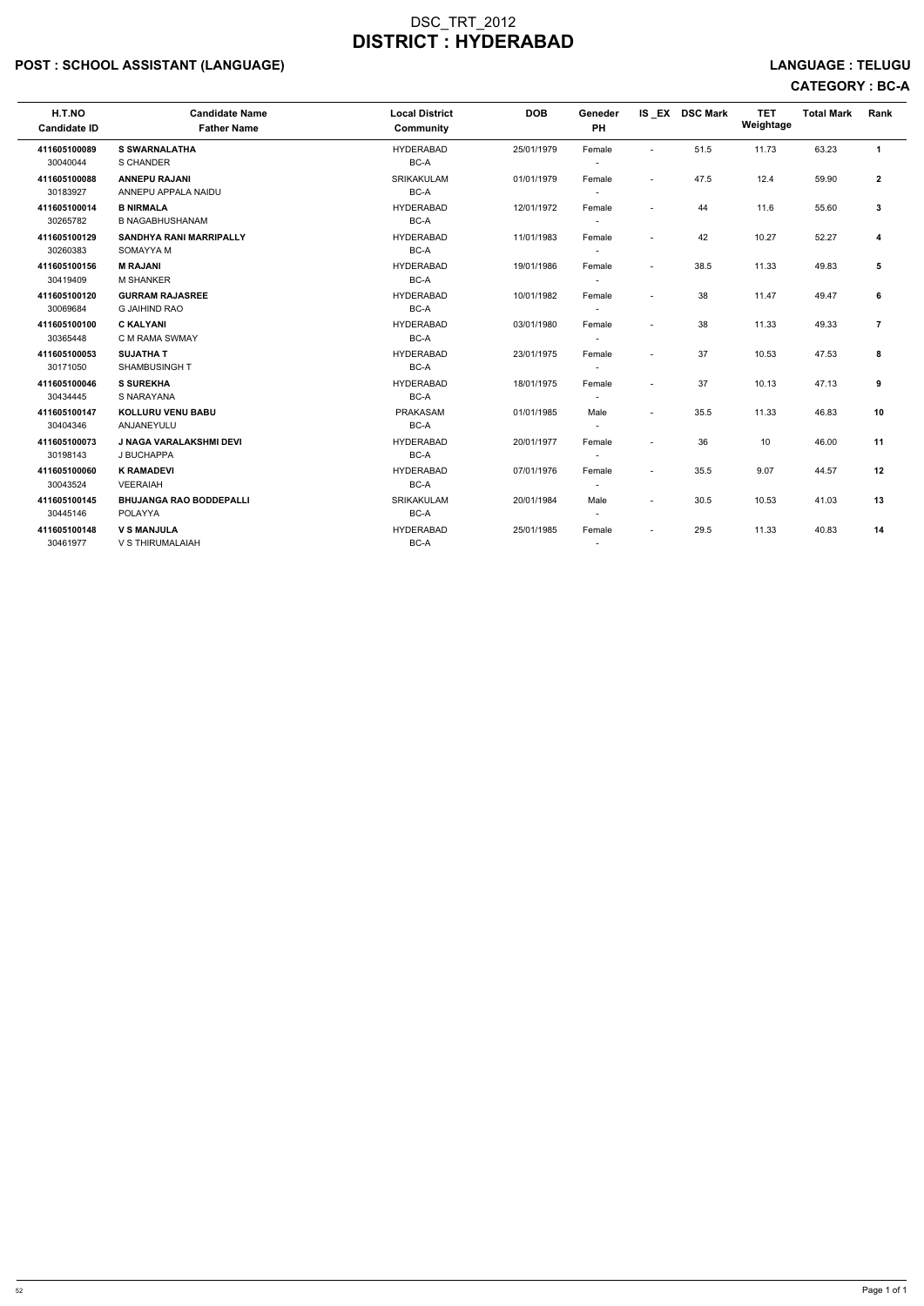## POST : SCHOOL ASSISTANT (LANGUAGE) And the set of the set of the set of the set of the set of the set of the set of the set of the set of the set of the set of the set of the set of the set of the set of the set of the set

# CATEGORY : BC-A

| H.T.NO<br><b>Candidate ID</b> | <b>Candidate Name</b><br><b>Father Name</b>    | <b>Local District</b><br><b>Community</b> | <b>DOB</b> | Geneder<br><b>PH</b>               |                          | IS_EX DSC Mark | <b>TET</b><br>Weightage | <b>Total Mark</b> | Rank           |
|-------------------------------|------------------------------------------------|-------------------------------------------|------------|------------------------------------|--------------------------|----------------|-------------------------|-------------------|----------------|
| 411605100089<br>30040044      | <b>S SWARNALATHA</b><br>S CHANDER              | <b>HYDERABAD</b><br>BC-A                  | 25/01/1979 | Female                             |                          | 51.5           | 11.73                   | 63.23             | $\mathbf{1}$   |
| 411605100088<br>30183927      | <b>ANNEPU RAJANI</b><br>ANNEPU APPALA NAIDU    | <b>SRIKAKULAM</b><br>BC-A                 | 01/01/1979 | Female                             | $\sim$                   | 47.5           | 12.4                    | 59.90             | $\overline{2}$ |
| 411605100014<br>30265782      | <b>B NIRMALA</b><br><b>B NAGABHUSHANAM</b>     | <b>HYDERABAD</b><br>BC-A                  | 12/01/1972 | Female                             | $\overline{\phantom{a}}$ | 44             | 11.6                    | 55.60             | 3              |
| 411605100129<br>30260383      | <b>SANDHYA RANI MARRIPALLY</b><br>SOMAYYA M    | <b>HYDERABAD</b><br>BC-A                  | 11/01/1983 | Female                             | $\overline{\phantom{a}}$ | 42             | 10.27                   | 52.27             | 4              |
| 411605100156<br>30419409      | <b>M RAJANI</b><br><b>M SHANKER</b>            | <b>HYDERABAD</b><br>BC-A                  | 19/01/1986 | Female<br>$\overline{\phantom{a}}$ | $\sim$                   | 38.5           | 11.33                   | 49.83             | 5              |
| 411605100120<br>30069684      | <b>GURRAM RAJASREE</b><br><b>G JAIHIND RAO</b> | <b>HYDERABAD</b><br>BC-A                  | 10/01/1982 | Female                             | $\overline{\phantom{a}}$ | 38             | 11.47                   | 49.47             | 6              |
| 411605100100<br>30365448      | <b>C KALYANI</b><br>C M RAMA SWMAY             | <b>HYDERABAD</b><br>BC-A                  | 03/01/1980 | Female<br>$\overline{\phantom{a}}$ | $\overline{\phantom{a}}$ | 38             | 11.33                   | 49.33             | $\overline{7}$ |
| 411605100053<br>30171050      | <b>SUJATHA T</b><br><b>SHAMBUSINGHT</b>        | <b>HYDERABAD</b><br>BC-A                  | 23/01/1975 | Female                             | $\sim$                   | 37             | 10.53                   | 47.53             | 8              |
| 411605100046<br>30434445      | <b>S SUREKHA</b><br>S NARAYANA                 | <b>HYDERABAD</b><br>BC-A                  | 18/01/1975 | Female                             | $\overline{\phantom{a}}$ | 37             | 10.13                   | 47.13             | 9              |
| 411605100147<br>30404346      | <b>KOLLURU VENU BABU</b><br>ANJANEYULU         | <b>PRAKASAM</b><br>BC-A                   | 01/01/1985 | Male<br>$\overline{\phantom{a}}$   | $\overline{\phantom{a}}$ | 35.5           | 11.33                   | 46.83             | 10             |
| 411605100073<br>30198143      | <b>J NAGA VARALAKSHMI DEVI</b><br>J BUCHAPPA   | <b>HYDERABAD</b><br>BC-A                  | 20/01/1977 | Female                             | $\sim$                   | 36             | 10                      | 46.00             | 11             |
| 411605100060<br>30043524      | <b>K RAMADEVI</b><br><b>VEERAIAH</b>           | <b>HYDERABAD</b><br>BC-A                  | 07/01/1976 | Female                             | $\sim$                   | 35.5           | 9.07                    | 44.57             | 12             |
| 411605100145<br>30445146      | <b>BHUJANGA RAO BODDEPALLI</b><br>POLAYYA      | <b>SRIKAKULAM</b><br>BC-A                 | 20/01/1984 | Male                               | $\sim$                   | 30.5           | 10.53                   | 41.03             | 13             |
| 411605100148<br>30461977      | <b>V S MANJULA</b><br>V S THIRUMALAIAH         | <b>HYDERABAD</b><br>BC-A                  | 25/01/1985 | Female<br>$\overline{\phantom{a}}$ | $\overline{\phantom{a}}$ | 29.5           | 11.33                   | 40.83             | 14             |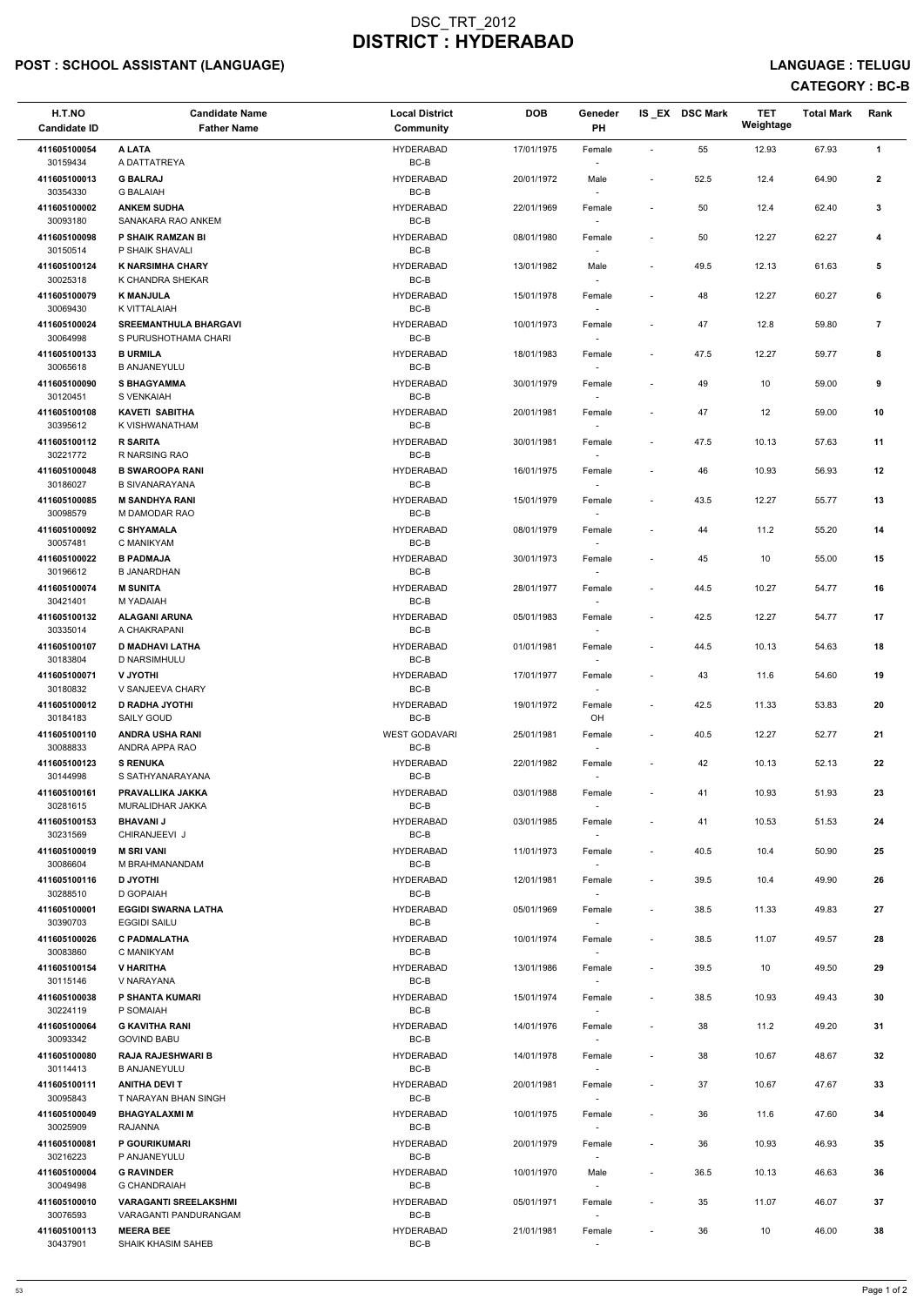## POST : SCHOOL ASSISTANT (LANGUAGE) And the set of the set of the set of the set of the set of the set of the set of the set of the set of the set of the set of the set of the set of the set of the set of the set of the set

## CATEGORY : BC-B

| H.T.NO<br><b>Candidate ID</b> | <b>Candidate Name</b><br><b>Father Name</b>           | <b>Local District</b><br><b>Community</b> | <b>DOB</b> | Geneder<br>PH                      |                          | IS_EX DSC Mark | <b>TET</b><br>Weightage | <b>Total Mark</b> | Rank           |
|-------------------------------|-------------------------------------------------------|-------------------------------------------|------------|------------------------------------|--------------------------|----------------|-------------------------|-------------------|----------------|
| 411605100054                  | A LATA                                                | <b>HYDERABAD</b>                          | 17/01/1975 | Female                             |                          | 55             | 12.93                   | 67.93             | $\mathbf{1}$   |
| 30159434<br>411605100013      | A DATTATREYA<br><b>G BALRAJ</b>                       | BC-B<br><b>HYDERABAD</b>                  | 20/01/1972 | $\overline{\phantom{a}}$<br>Male   | $\overline{\phantom{a}}$ | 52.5           | 12.4                    | 64.90             | $\mathbf{2}$   |
| 30354330<br>411605100002      | <b>G BALAIAH</b><br><b>ANKEM SUDHA</b>                | $BC-B$<br><b>HYDERABAD</b>                | 22/01/1969 | $\overline{\phantom{a}}$<br>Female | $\overline{\phantom{a}}$ | 50             | 12.4                    | 62.40             | 3              |
| 30093180                      | SANAKARA RAO ANKEM                                    | $BC-B$                                    |            |                                    |                          |                |                         |                   |                |
| 411605100098<br>30150514      | P SHAIK RAMZAN BI<br>P SHAIK SHAVALI                  | <b>HYDERABAD</b><br>BC-B                  | 08/01/1980 | Female                             | $\blacksquare$           | 50             | 12.27                   | 62.27             | 4              |
| 411605100124<br>30025318      | <b>K NARSIMHA CHARY</b><br>K CHANDRA SHEKAR           | <b>HYDERABAD</b><br>BC-B                  | 13/01/1982 | Male<br>$\sim$                     | $\overline{\phantom{a}}$ | 49.5           | 12.13                   | 61.63             | 5              |
| 411605100079<br>30069430      | <b>K MANJULA</b><br>K VITTALAIAH                      | <b>HYDERABAD</b><br>BC-B                  | 15/01/1978 | Female<br>$\sim$                   | $\overline{\phantom{a}}$ | 48             | 12.27                   | 60.27             | 6              |
| 411605100024<br>30064998      | <b>SREEMANTHULA BHARGAVI</b><br>S PURUSHOTHAMA CHARI  | <b>HYDERABAD</b><br>BC-B                  | 10/01/1973 | Female                             |                          | 47             | 12.8                    | 59.80             | $\overline{7}$ |
| 411605100133<br>30065618      | <b>B URMILA</b><br><b>B ANJANEYULU</b>                | <b>HYDERABAD</b><br>BC-B                  | 18/01/1983 | Female<br>$\overline{\phantom{a}}$ | $\overline{\phantom{a}}$ | 47.5           | 12.27                   | 59.77             | 8              |
| 411605100090<br>30120451      | <b>S BHAGYAMMA</b><br>S VENKAIAH                      | <b>HYDERABAD</b><br>BC-B                  | 30/01/1979 | Female<br>$\overline{\phantom{a}}$ | $\blacksquare$           | 49             | 10                      | 59.00             | 9              |
| 411605100108                  | <b>KAVETI SABITHA</b>                                 | <b>HYDERABAD</b>                          | 20/01/1981 | Female                             |                          | 47             | 12                      | 59.00             | 10             |
| 30395612<br>411605100112      | K VISHWANATHAM<br><b>R SARITA</b>                     | BC-B<br><b>HYDERABAD</b>                  | 30/01/1981 | $\overline{\phantom{a}}$<br>Female | $\overline{\phantom{a}}$ | 47.5           | 10.13                   | 57.63             | 11             |
| 30221772<br>411605100048      | R NARSING RAO<br><b>B SWAROOPA RANI</b>               | BC-B<br><b>HYDERABAD</b>                  | 16/01/1975 | Female                             | $\overline{\phantom{a}}$ | 46             | 10.93                   | 56.93             | 12             |
| 30186027                      | <b>B SIVANARAYANA</b>                                 | BC-B                                      |            | $\overline{\phantom{a}}$           |                          |                |                         |                   |                |
| 411605100085<br>30098579      | <b>M SANDHYA RANI</b><br>M DAMODAR RAO                | <b>HYDERABAD</b><br>BC-B                  | 15/01/1979 | Female<br>$\sim$                   | $\overline{\phantom{a}}$ | 43.5           | 12.27                   | 55.77             | 13             |
| 411605100092<br>30057481      | <b>C SHYAMALA</b><br>C MANIKYAM                       | <b>HYDERABAD</b><br>BC-B                  | 08/01/1979 | Female<br>$\overline{\phantom{a}}$ | $\overline{\phantom{a}}$ | 44             | 11.2                    | 55.20             | 14             |
| 411605100022<br>30196612      | <b>B PADMAJA</b><br><b>B JANARDHAN</b>                | <b>HYDERABAD</b><br>BC-B                  | 30/01/1973 | Female                             | $\overline{\phantom{a}}$ | 45             | 10                      | 55.00             | 15             |
| 411605100074<br>30421401      | <b>M SUNITA</b><br>M YADAIAH                          | <b>HYDERABAD</b><br>BC-B                  | 28/01/1977 | Female<br>$\overline{\phantom{a}}$ | $\overline{\phantom{a}}$ | 44.5           | 10.27                   | 54.77             | 16             |
| 411605100132<br>30335014      | <b>ALAGANI ARUNA</b><br>A CHAKRAPANI                  | <b>HYDERABAD</b><br>BC-B                  | 05/01/1983 | Female<br>$\sim$                   | $\overline{\phantom{a}}$ | 42.5           | 12.27                   | 54.77             | 17             |
| 411605100107<br>30183804      | <b>D MADHAVI LATHA</b><br>D NARSIMHULU                | <b>HYDERABAD</b><br>BC-B                  | 01/01/1981 | Female                             | $\overline{\phantom{a}}$ | 44.5           | 10.13                   | 54.63             | 18             |
| 411605100071<br>30180832      | <b>V JYOTHI</b>                                       | <b>HYDERABAD</b><br>BC-B                  | 17/01/1977 | Female                             | $\overline{\phantom{a}}$ | 43             | 11.6                    | 54.60             | 19             |
| 411605100012                  | V SANJEEVA CHARY<br><b>D RADHA JYOTHI</b>             | <b>HYDERABAD</b>                          | 19/01/1972 | Female                             | $\blacksquare$           | 42.5           | 11.33                   | 53.83             | 20             |
| 30184183<br>411605100110      | SAILY GOUD<br><b>ANDRA USHA RANI</b>                  | BC-B<br><b>WEST GODAVARI</b>              | 25/01/1981 | OH<br>Female                       | $\overline{\phantom{a}}$ | 40.5           | 12.27                   | 52.77             | 21             |
| 30088833<br>411605100123      | ANDRA APPA RAO<br><b>S RENUKA</b>                     | BC-B<br><b>HYDERABAD</b>                  | 22/01/1982 | $\sim$<br>Female                   | $\overline{\phantom{a}}$ | 42             | 10.13                   | 52.13             | 22             |
| 30144998<br>411605100161      | S SATHYANARAYANA<br>PRAVALLIKA JAKKA                  | BC-B<br><b>HYDERABAD</b>                  | 03/01/1988 | $\sim$<br>Female                   | $\overline{\phantom{a}}$ | 41             | 10.93                   | 51.93             | 23             |
| 30281615                      | MURALIDHAR JAKKA                                      | BC-B                                      |            |                                    |                          |                |                         |                   |                |
| 411605100153<br>30231569      | <b>BHAVANIJ</b><br>CHIRANJEEVI J                      | <b>HYDERABAD</b><br>BC-B                  | 03/01/1985 | Female<br>$\sim$                   | $\overline{\phantom{a}}$ | 41             | 10.53                   | 51.53             | 24             |
| 411605100019<br>30086604      | <b>M SRI VANI</b><br>M BRAHMANANDAM                   | <b>HYDERABAD</b><br>BC-B                  | 11/01/1973 | Female<br>$\sim$                   | $\overline{\phantom{a}}$ | 40.5           | 10.4                    | 50.90             | 25             |
| 411605100116<br>30288510      | <b>D JYOTHI</b><br>D GOPAIAH                          | <b>HYDERABAD</b><br>BC-B                  | 12/01/1981 | Female<br>$\sim$                   | $\overline{\phantom{a}}$ | 39.5           | 10.4                    | 49.90             | 26             |
| 411605100001<br>30390703      | <b>EGGIDI SWARNA LATHA</b><br><b>EGGIDI SAILU</b>     | <b>HYDERABAD</b><br>BC-B                  | 05/01/1969 | Female                             | $\overline{\phantom{a}}$ | 38.5           | 11.33                   | 49.83             | 27             |
| 411605100026                  | <b>C PADMALATHA</b>                                   | <b>HYDERABAD</b>                          | 10/01/1974 | Female                             | $\overline{\phantom{a}}$ | 38.5           | 11.07                   | 49.57             | 28             |
| 30083860<br>411605100154      | C MANIKYAM<br>V HARITHA                               | BC-B<br><b>HYDERABAD</b>                  | 13/01/1986 | $\overline{\phantom{a}}$<br>Female | $\blacksquare$           | 39.5           | 10                      | 49.50             | 29             |
| 30115146<br>411605100038      | V NARAYANA<br><b>P SHANTA KUMARI</b>                  | BC-B<br><b>HYDERABAD</b>                  | 15/01/1974 | $\sim$<br>Female                   | $\overline{\phantom{a}}$ | 38.5           | 10.93                   | 49.43             | 30             |
| 30224119                      | P SOMAIAH                                             | BC-B                                      |            | $\sim$                             |                          |                |                         |                   |                |
| 411605100064<br>30093342      | <b>G KAVITHA RANI</b><br><b>GOVIND BABU</b>           | <b>HYDERABAD</b><br>BC-B                  | 14/01/1976 | Female<br>$\sim$                   | $\overline{\phantom{a}}$ | 38             | 11.2                    | 49.20             | 31             |
| 411605100080<br>30114413      | <b>RAJA RAJESHWARI B</b><br><b>B ANJANEYULU</b>       | <b>HYDERABAD</b><br>BC-B                  | 14/01/1978 | Female                             | $\overline{\phantom{a}}$ | 38             | 10.67                   | 48.67             | 32             |
| 411605100111                  | <b>ANITHA DEVIT</b>                                   | <b>HYDERABAD</b>                          | 20/01/1981 | Female                             | $\overline{\phantom{a}}$ | 37             | 10.67                   | 47.67             | 33             |
| 30095843<br>411605100049      | T NARAYAN BHAN SINGH<br><b>BHAGYALAXMI M</b>          | BC-B<br><b>HYDERABAD</b>                  | 10/01/1975 | $\sim$<br>Female                   |                          | 36             | 11.6                    | 47.60             | 34             |
| 30025909<br>411605100081      | RAJANNA<br>P GOURIKUMARI                              | BC-B<br><b>HYDERABAD</b>                  | 20/01/1979 | $\overline{\phantom{a}}$<br>Female | $\overline{\phantom{a}}$ | 36             | 10.93                   | 46.93             | 35             |
| 30216223                      | P ANJANEYULU                                          | BC-B                                      |            | $\sim$                             |                          |                |                         |                   |                |
| 411605100004<br>30049498      | <b>G RAVINDER</b><br><b>G CHANDRAIAH</b>              | <b>HYDERABAD</b><br>BC-B                  | 10/01/1970 | Male<br>$\overline{\phantom{a}}$   | $\overline{\phantom{a}}$ | 36.5           | 10.13                   | 46.63             | 36             |
| 411605100010<br>30076593      | <b>VARAGANTI SREELAKSHMI</b><br>VARAGANTI PANDURANGAM | <b>HYDERABAD</b><br>BC-B                  | 05/01/1971 | Female<br>$\overline{\phantom{a}}$ |                          | 35             | 11.07                   | 46.07             | 37             |
| 411605100113<br>30437901      | <b>MEERA BEE</b><br>SHAIK KHASIM SAHEB                | <b>HYDERABAD</b><br>BC-B                  | 21/01/1981 | Female<br>$\overline{\phantom{a}}$ |                          | 36             | 10                      | 46.00             | 38             |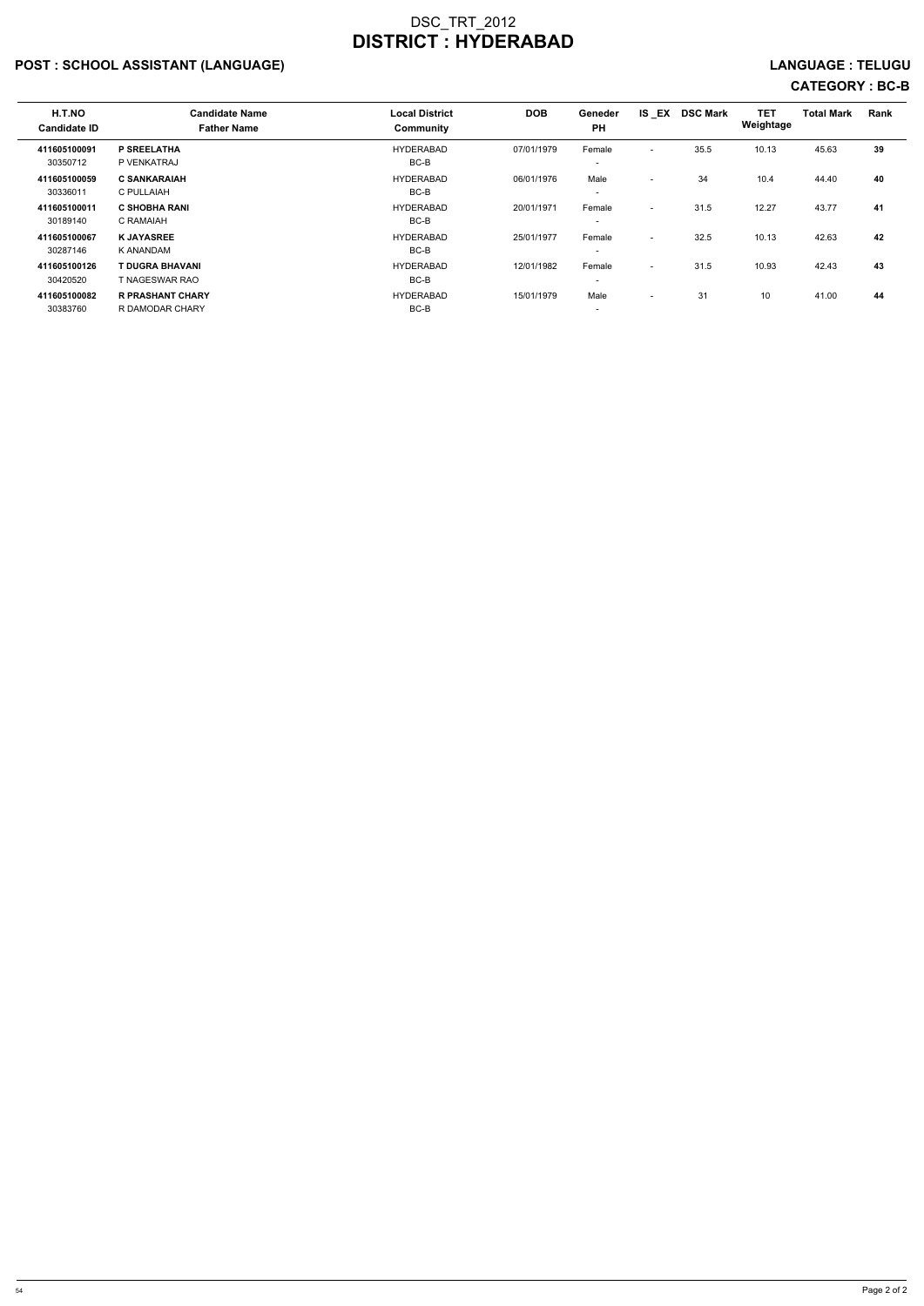## POST : SCHOOL ASSISTANT (LANGUAGE) LANGUAGE : TELUGU

# CATEGORY : BC-B

| H.T.NO<br><b>Candidate ID</b> | <b>Candidate Name</b><br><b>Father Name</b> | <b>Local District</b><br>Community | <b>DOB</b> | Geneder<br><b>PH</b>               | IS EX                    | <b>DSC Mark</b> | <b>TET</b><br>Weightage | <b>Total Mark</b> | Rank |
|-------------------------------|---------------------------------------------|------------------------------------|------------|------------------------------------|--------------------------|-----------------|-------------------------|-------------------|------|
| 411605100091<br>30350712      | P SREELATHA<br>P VENKATRAJ                  | <b>HYDERABAD</b><br>$BC-B$         | 07/01/1979 | Female<br>$\overline{\phantom{a}}$ | $\overline{\phantom{0}}$ | 35.5            | 10.13                   | 45.63             | 39   |
| 411605100059<br>30336011      | <b>C SANKARAIAH</b><br>C PULLAIAH           | <b>HYDERABAD</b><br>BC-B           | 06/01/1976 | Male<br>$\overline{\phantom{a}}$   | $\overline{\phantom{0}}$ | 34              | 10.4                    | 44.40             | 40   |
| 411605100011<br>30189140      | <b>C SHOBHA RANI</b><br>C RAMAIAH           | <b>HYDERABAD</b><br>$BC-B$         | 20/01/1971 | Female<br>$\overline{\phantom{a}}$ | $\overline{\phantom{a}}$ | 31.5            | 12.27                   | 43.77             | 41   |
| 411605100067<br>30287146      | <b>K JAYASREE</b><br>K ANANDAM              | <b>HYDERABAD</b><br>BC-B           | 25/01/1977 | Female<br>$\overline{\phantom{a}}$ | $\overline{\phantom{0}}$ | 32.5            | 10.13                   | 42.63             | 42   |
| 411605100126<br>30420520      | T DUGRA BHAVANI<br>T NAGESWAR RAO           | <b>HYDERABAD</b><br>BC-B           | 12/01/1982 | Female<br>$\overline{\phantom{a}}$ | $\overline{\phantom{0}}$ | 31.5            | 10.93                   | 42.43             | 43   |
| 411605100082<br>30383760      | <b>R PRASHANT CHARY</b><br>R DAMODAR CHARY  | <b>HYDERABAD</b><br>BC-B           | 15/01/1979 | Male<br>$\overline{\phantom{a}}$   | $\overline{\phantom{0}}$ | 31              | 10                      | 41.00             | 44   |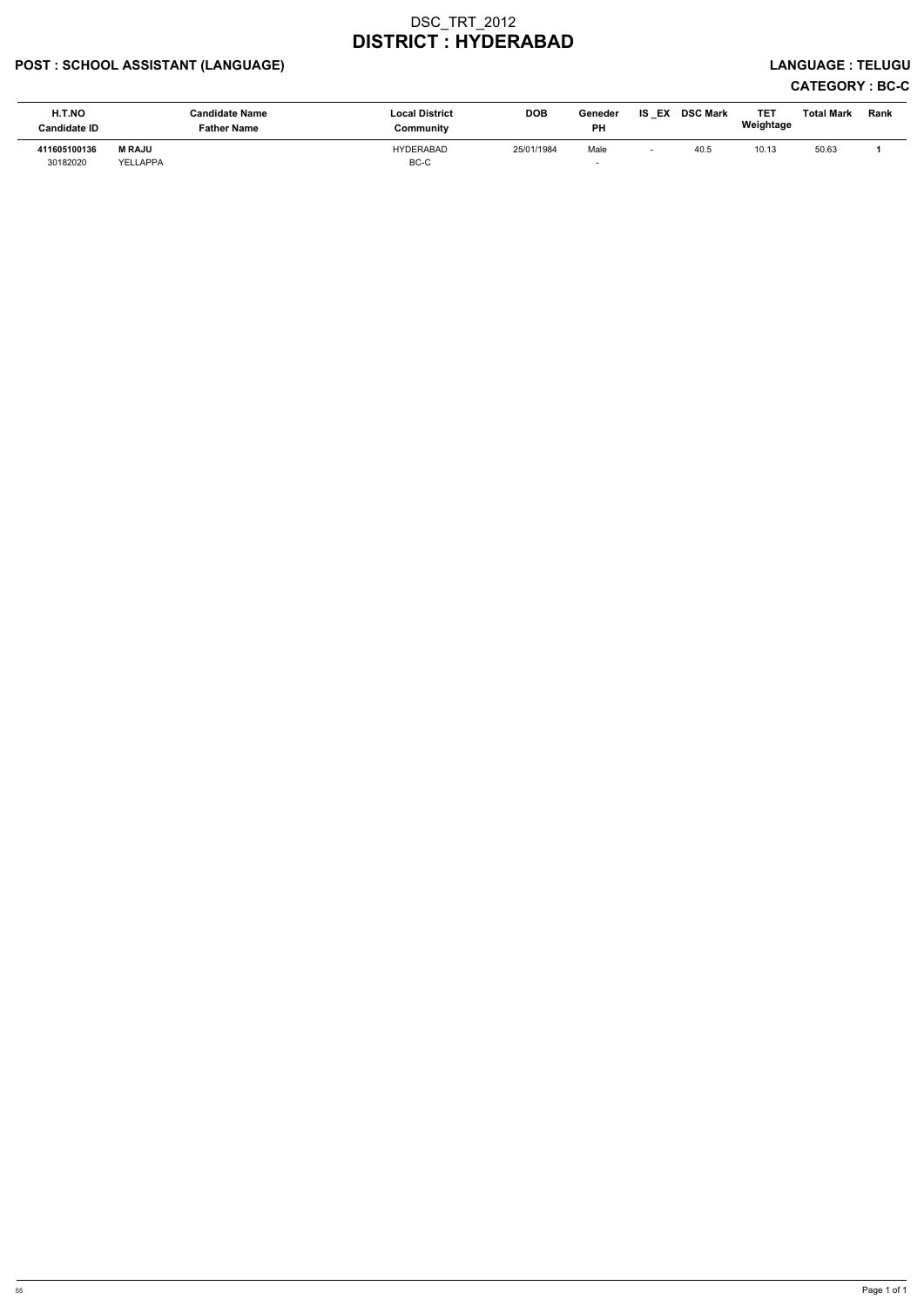## POST : SCHOOL ASSISTANT (LANGUAGE) LANGUAGE : TELUGU

# CATEGORY : BC-C

| H.T.NO<br><b>Candidate ID</b> | <b>Candidate Name</b><br><b>Father Name</b> | <b>Local District</b><br>Community | <b>DOB</b> | Geneder<br><b>PH</b> | IS<br>EX | <b>DSC Mark</b> | TE <sub>1</sub><br>Weightage | <b>Total Mark</b> | Rank |
|-------------------------------|---------------------------------------------|------------------------------------|------------|----------------------|----------|-----------------|------------------------------|-------------------|------|
| 411605100136<br>30182020      | <b>M RAJU</b><br>YELLAPPA                   | <b>HYDERABAD</b><br>BC-C           | 25/01/1984 | Male                 |          | 40.5            | 10.13                        | 50.63             |      |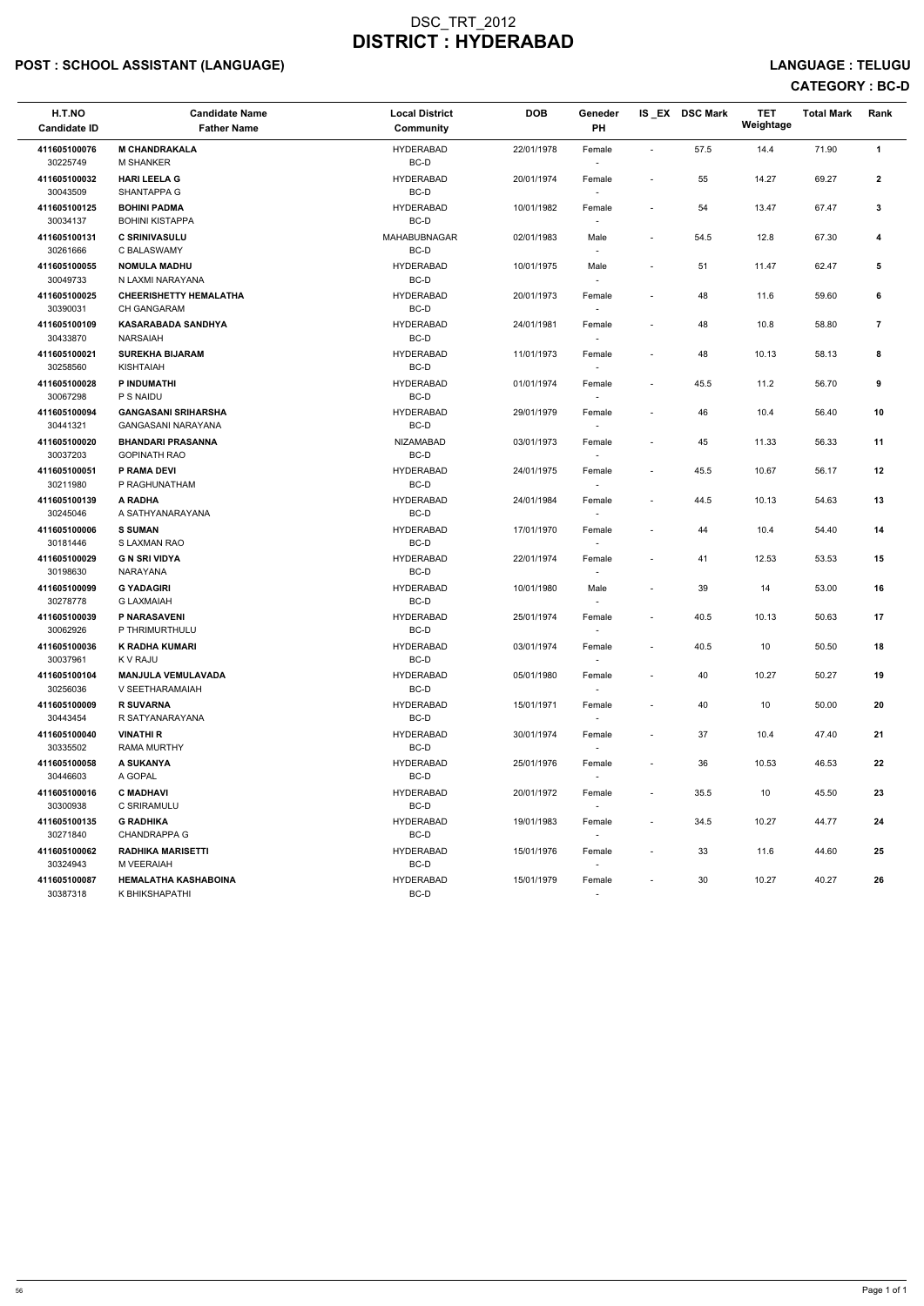## POST : SCHOOL ASSISTANT (LANGUAGE) And the set of the set of the set of the set of the set of the set of the set of the set of the set of the set of the set of the set of the set of the set of the set of the set of the set

## CATEGORY : BC-D

| H.T.NO<br><b>Candidate ID</b>        | <b>Candidate Name</b><br><b>Father Name</b>                 | <b>Local District</b><br><b>Community</b> | <b>DOB</b> | Geneder<br>PH                      |                          | IS_EX DSC Mark | <b>TET</b><br>Weightage | <b>Total Mark</b> | Rank           |
|--------------------------------------|-------------------------------------------------------------|-------------------------------------------|------------|------------------------------------|--------------------------|----------------|-------------------------|-------------------|----------------|
| 411605100076<br>30225749             | <b>M CHANDRAKALA</b><br><b>M SHANKER</b>                    | <b>HYDERABAD</b><br>BC-D                  | 22/01/1978 | Female<br>$\overline{\phantom{a}}$ | $\overline{\phantom{a}}$ | 57.5           | 14.4                    | 71.90             | $\mathbf{1}$   |
| 411605100032<br>30043509             | <b>HARI LEELA G</b><br>SHANTAPPA G                          | <b>HYDERABAD</b><br>BC-D                  | 20/01/1974 | Female<br>$\sim$                   | $\overline{\phantom{a}}$ | 55             | 14.27                   | 69.27             | $\mathbf{2}$   |
| 411605100125<br>30034137             | <b>BOHINI PADMA</b><br><b>BOHINI KISTAPPA</b>               | <b>HYDERABAD</b><br>BC-D                  | 10/01/1982 | Female                             |                          | 54             | 13.47                   | 67.47             | 3              |
| 411605100131<br>30261666             | <b>C SRINIVASULU</b><br>C BALASWAMY                         | <b>MAHABUBNAGAR</b><br>BC-D               | 02/01/1983 | Male<br>$\overline{\phantom{a}}$   | $\blacksquare$           | 54.5           | 12.8                    | 67.30             | 4              |
| 411605100055<br>30049733             | <b>NOMULA MADHU</b><br>N LAXMI NARAYANA                     | <b>HYDERABAD</b><br>BC-D                  | 10/01/1975 | Male<br>$\overline{\phantom{a}}$   | $\blacksquare$           | 51             | 11.47                   | 62.47             | 5              |
| 411605100025<br>30390031             | <b>CHEERISHETTY HEMALATHA</b><br><b>CH GANGARAM</b>         | <b>HYDERABAD</b><br>BC-D                  | 20/01/1973 | Female<br>$\sim$                   | $\overline{\phantom{a}}$ | 48             | 11.6                    | 59.60             | 6              |
| 411605100109<br>30433870             | <b>KASARABADA SANDHYA</b><br><b>NARSAIAH</b>                | <b>HYDERABAD</b><br>BC-D                  | 24/01/1981 | Female<br>$\overline{\phantom{a}}$ | $\overline{\phantom{a}}$ | 48             | 10.8                    | 58.80             | $\overline{7}$ |
| 411605100021<br>30258560             | <b>SUREKHA BIJARAM</b><br>KISHTAIAH                         | <b>HYDERABAD</b><br>BC-D                  | 11/01/1973 | Female                             | $\blacksquare$           | 48             | 10.13                   | 58.13             | 8              |
| 411605100028<br>30067298             | P INDUMATHI<br>P S NAIDU                                    | <b>HYDERABAD</b><br>BC-D                  | 01/01/1974 | Female<br>$\sim$                   | $\overline{\phantom{a}}$ | 45.5           | 11.2                    | 56.70             | 9              |
| 411605100094<br>30441321             | <b>GANGASANI SRIHARSHA</b><br><b>GANGASANI NARAYANA</b>     | <b>HYDERABAD</b><br>BC-D                  | 29/01/1979 | Female<br>$\overline{\phantom{a}}$ | $\overline{\phantom{a}}$ | 46             | 10.4                    | 56.40             | 10             |
| 411605100020<br>30037203             | <b>BHANDARI PRASANNA</b><br><b>GOPINATH RAO</b>             | <b>NIZAMABAD</b><br>BC-D                  | 03/01/1973 | Female<br>$\sim$                   | $\blacksquare$           | 45             | 11.33                   | 56.33             | 11             |
| 411605100051<br>30211980             | P RAMA DEVI<br>P RAGHUNATHAM                                | <b>HYDERABAD</b><br>BC-D                  | 24/01/1975 | Female                             | $\blacksquare$           | 45.5           | 10.67                   | 56.17             | 12             |
| 411605100139<br>30245046             | A RADHA<br>A SATHYANARAYANA                                 | <b>HYDERABAD</b><br>BC-D                  | 24/01/1984 | Female<br>$\overline{\phantom{a}}$ | $\overline{\phantom{a}}$ | 44.5           | 10.13                   | 54.63             | 13             |
| 411605100006<br>30181446             | <b>S SUMAN</b><br>S LAXMAN RAO                              | <b>HYDERABAD</b><br>BC-D                  | 17/01/1970 | Female<br>$\overline{\phantom{a}}$ | $\overline{\phantom{a}}$ | 44             | 10.4                    | 54.40             | 14             |
| 411605100029<br>30198630             | <b>G N SRI VIDYA</b><br>NARAYANA                            | <b>HYDERABAD</b><br>BC-D                  | 22/01/1974 | Female                             | $\overline{\phantom{a}}$ | 41             | 12.53                   | 53.53             | 15             |
| 411605100099<br>30278778             | <b>G YADAGIRI</b><br><b>G LAXMAIAH</b>                      | <b>HYDERABAD</b><br>BC-D                  | 10/01/1980 | Male<br>$\overline{\phantom{a}}$   |                          | 39             | 14                      | 53.00             | 16             |
| 411605100039<br>30062926             | P NARASAVENI<br>P THRIMURTHULU                              | <b>HYDERABAD</b><br>BC-D                  | 25/01/1974 | Female<br>$\sim$                   | $\overline{\phantom{a}}$ | 40.5           | 10.13                   | 50.63             | 17             |
| 411605100036<br>30037961             | K RADHA KUMARI<br>K V RAJU                                  | <b>HYDERABAD</b><br>BC-D                  | 03/01/1974 | Female<br>$\sim$                   | $\overline{\phantom{a}}$ | 40.5           | 10                      | 50.50             | 18             |
| 411605100104<br>30256036             | <b>MANJULA VEMULAVADA</b><br>V SEETHARAMAIAH                | <b>HYDERABAD</b><br>BC-D                  | 05/01/1980 | Female                             | $\overline{\phantom{a}}$ | 40             | 10.27                   | 50.27             | 19             |
| 411605100009<br>30443454             | <b>R SUVARNA</b><br>R SATYANARAYANA                         | <b>HYDERABAD</b><br>BC-D                  | 15/01/1971 | Female                             | $\overline{\phantom{a}}$ | 40             | 10                      | 50.00             | 20             |
| 411605100040<br>30335502             | <b>VINATHI R</b><br><b>RAMA MURTHY</b>                      | <b>HYDERABAD</b><br>BC-D                  | 30/01/1974 | Female                             | $\overline{\phantom{a}}$ | 37             | 10.4                    | 47.40             | 21             |
| 411605100058                         | A SUKANYA                                                   | <b>HYDERABAD</b>                          | 25/01/1976 | $\overline{\phantom{a}}$<br>Female | $\overline{\phantom{a}}$ | 36             | 10.53                   | 46.53             | 22             |
| 30446603<br>411605100016             | A GOPAL<br><b>C MADHAVI</b>                                 | BC-D<br><b>HYDERABAD</b>                  | 20/01/1972 | $\sim$<br>Female                   | $\sim$                   | 35.5           | 10                      | 45.50             | 23             |
| 30300938<br>411605100135             | C SRIRAMULU<br><b>G RADHIKA</b>                             | BC-D<br><b>HYDERABAD</b>                  | 19/01/1983 | Female                             | $\overline{\phantom{a}}$ | 34.5           | 10.27                   | 44.77             | 24             |
| 30271840<br>411605100062             | <b>CHANDRAPPA G</b><br><b>RADHIKA MARISETTI</b>             | BC-D<br><b>HYDERABAD</b>                  | 15/01/1976 | $\sim$<br>Female                   | $\overline{\phantom{a}}$ | 33             | 11.6                    | 44.60             | 25             |
| 30324943<br>411605100087<br>30387318 | M VEERAIAH<br><b>HEMALATHA KASHABOINA</b><br>K BHIKSHAPATHI | BC-D<br><b>HYDERABAD</b><br>BC-D          | 15/01/1979 | $\sim$<br>Female<br>$\sim$         | $\overline{\phantom{a}}$ | 30             | 10.27                   | 40.27             | 26             |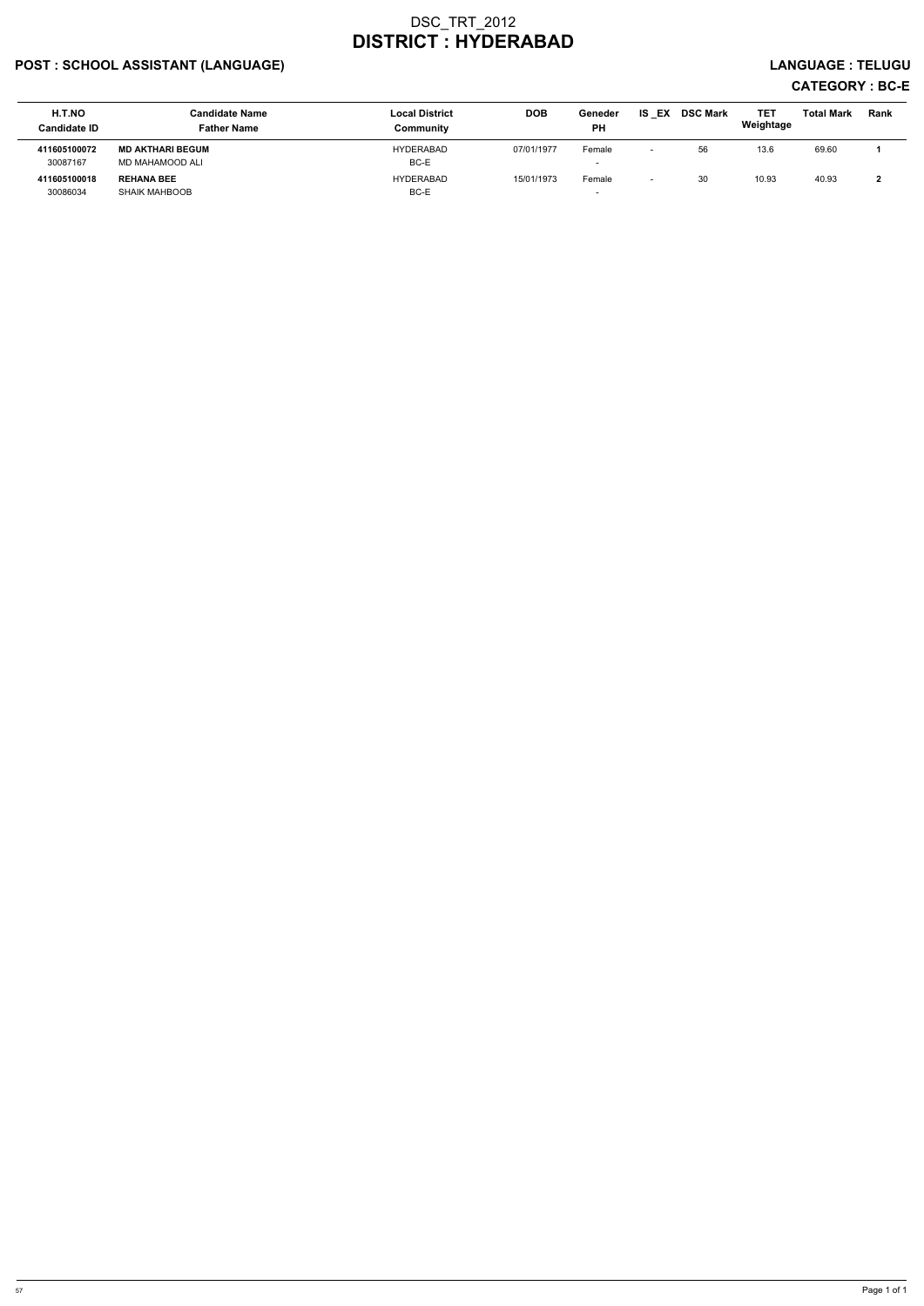## POST : SCHOOL ASSISTANT (LANGUAGE) And the set of the set of the set of the set of the set of the set of the set of the set of the set of the set of the set of the set of the set of the set of the set of the set of the set

# CATEGORY : BC-E

| H.T.NO<br><b>Candidate ID</b> | <b>Candidate Name</b><br><b>Father Name</b> | <b>Local District</b><br>Community | <b>DOB</b> | Geneder<br><b>PH</b> | EX<br>IS                 | <b>DSC Mark</b> | TET<br>Weightage | Total Mark | Rank |
|-------------------------------|---------------------------------------------|------------------------------------|------------|----------------------|--------------------------|-----------------|------------------|------------|------|
| 411605100072<br>30087167      | <b>MD AKTHARI BEGUM</b><br>MD MAHAMOOD ALI  | HYDERABAD<br>BC-E                  | 07/01/1977 | Female<br>-          | $\overline{\phantom{0}}$ | 56              | 13.6             | 69.60      |      |
| 411605100018<br>30086034      | <b>REHANA BEE</b><br><b>SHAIK MAHBOOB</b>   | <b>HYDERABAD</b><br>BC-E           | 15/01/1973 | Female               | $\overline{\phantom{0}}$ | 30              | 10.93            | 40.93      |      |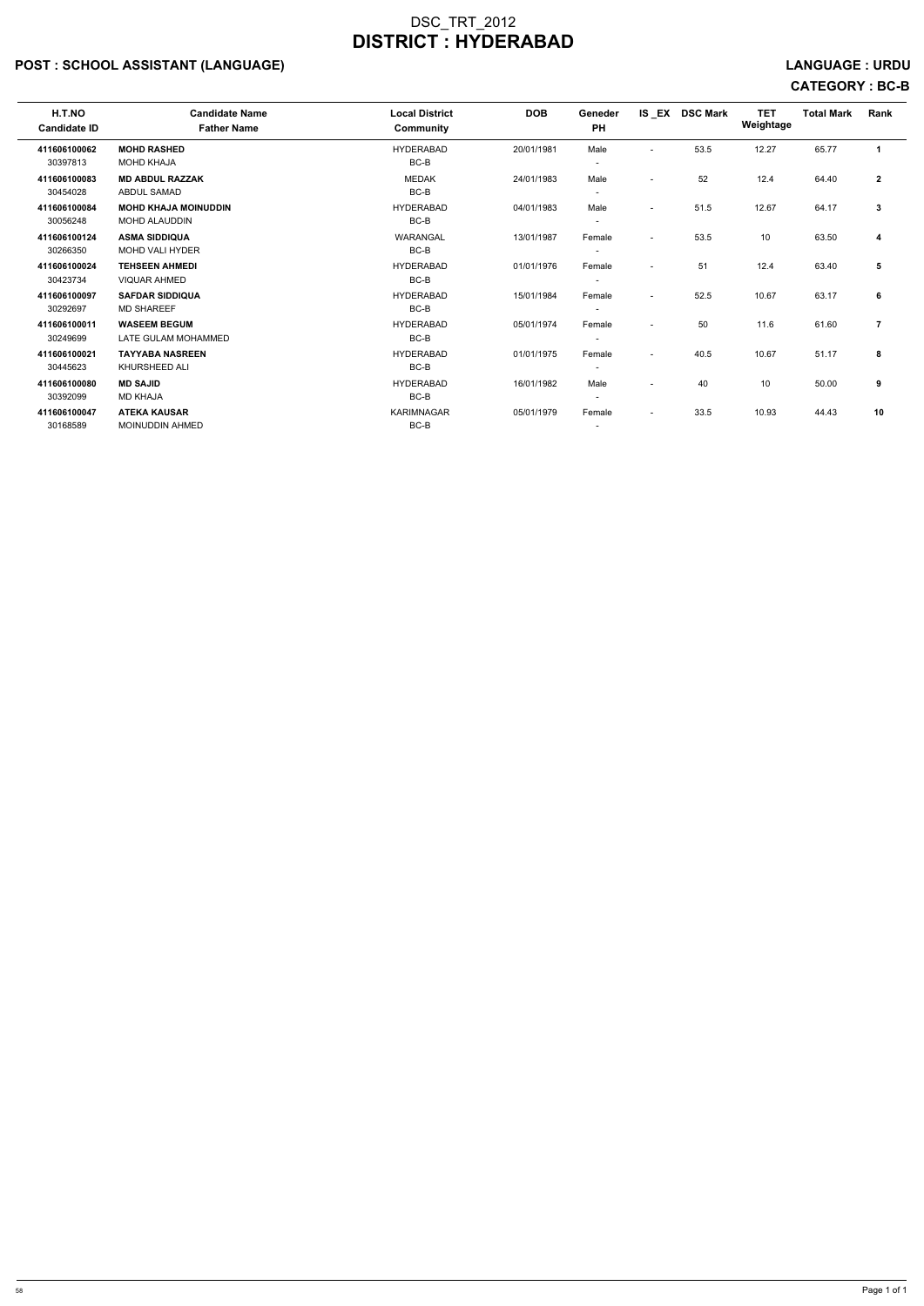## POST : SCHOOL ASSISTANT (LANGUAGE) And the set of the set of the set of the set of the set of the set of the set of the set of the set of the set of the set of the set of the set of the set of the set of the set of the set

# CATEGORY : BC-B

| H.T.NO<br><b>Candidate ID</b> | <b>Candidate Name</b><br><b>Father Name</b> | <b>Local District</b><br>Community | <b>DOB</b> | Geneder<br>PH            |                          | IS EX DSC Mark | <b>TET</b><br>Weightage | <b>Total Mark</b> | Rank           |  |
|-------------------------------|---------------------------------------------|------------------------------------|------------|--------------------------|--------------------------|----------------|-------------------------|-------------------|----------------|--|
| 411606100062                  | <b>MOHD RASHED</b>                          | <b>HYDERABAD</b>                   | 20/01/1981 | Male                     | $\overline{\phantom{a}}$ | 53.5           | 12.27                   | 65.77             | -1             |  |
| 30397813                      | <b>MOHD KHAJA</b>                           | BC-B                               |            | $\overline{\phantom{a}}$ |                          |                |                         |                   |                |  |
| 411606100083                  | <b>MD ABDUL RAZZAK</b>                      | <b>MEDAK</b>                       | 24/01/1983 | Male                     | $\overline{\phantom{a}}$ | 52             | 12.4                    | 64.40             | $\overline{2}$ |  |
| 30454028                      | <b>ABDUL SAMAD</b>                          | BC-B                               |            | $\overline{\phantom{a}}$ |                          |                |                         |                   |                |  |
| 411606100084                  | <b>MOHD KHAJA MOINUDDIN</b>                 | <b>HYDERABAD</b>                   | 04/01/1983 | Male                     | $\overline{\phantom{a}}$ | 51.5           | 12.67                   | 64.17             | 3              |  |
| 30056248                      | <b>MOHD ALAUDDIN</b>                        | BC-B                               |            | $\overline{\phantom{a}}$ |                          |                |                         |                   |                |  |
| 411606100124                  | <b>ASMA SIDDIQUA</b>                        | <b>WARANGAL</b>                    | 13/01/1987 | Female                   | $\blacksquare$           | 53.5           | 10                      | 63.50             | 4              |  |
| 30266350                      | <b>MOHD VALI HYDER</b>                      | BC-B                               |            | $\overline{\phantom{a}}$ |                          |                |                         |                   |                |  |
| 411606100024                  | <b>TEHSEEN AHMEDI</b>                       | <b>HYDERABAD</b>                   | 01/01/1976 | Female                   | $\overline{\phantom{a}}$ | 51             | 12.4                    | 63.40             | 5              |  |
| 30423734                      | <b>VIQUAR AHMED</b>                         | BC-B                               |            |                          |                          |                |                         |                   |                |  |
| 411606100097                  | <b>SAFDAR SIDDIQUA</b>                      | <b>HYDERABAD</b>                   | 15/01/1984 | Female                   | $\overline{\phantom{a}}$ | 52.5           | 10.67                   | 63.17             | 6              |  |
| 30292697                      | <b>MD SHAREEF</b>                           | BC-B                               |            | $\overline{\phantom{a}}$ |                          |                |                         |                   |                |  |
| 411606100011                  | <b>WASEEM BEGUM</b>                         | <b>HYDERABAD</b>                   | 05/01/1974 | Female                   |                          | 50             | 11.6                    | 61.60             | $\overline{7}$ |  |
| 30249699                      | LATE GULAM MOHAMMED                         | $BC-B$                             |            | $\overline{\phantom{a}}$ |                          |                |                         |                   |                |  |
| 411606100021                  | <b>TAYYABA NASREEN</b>                      | <b>HYDERABAD</b>                   | 01/01/1975 | Female                   | $\overline{\phantom{a}}$ | 40.5           | 10.67                   | 51.17             | 8              |  |
| 30445623                      | KHURSHEED ALI                               | BC-B                               |            | $\overline{\phantom{a}}$ |                          |                |                         |                   |                |  |
| 411606100080                  | <b>MD SAJID</b>                             | <b>HYDERABAD</b>                   | 16/01/1982 | Male                     | $\overline{\phantom{a}}$ | 40             | 10                      | 50.00             | 9              |  |
| 30392099                      | <b>MD KHAJA</b>                             | BC-B                               |            | ٠                        |                          |                |                         |                   |                |  |
| 411606100047                  | <b>ATEKA KAUSAR</b>                         | <b>KARIMNAGAR</b>                  | 05/01/1979 | Female                   | $\overline{\phantom{a}}$ | 33.5           | 10.93                   | 44.43             | 10             |  |
| 30168589                      | <b>MOINUDDIN AHMED</b>                      | BC-B                               |            | $\overline{\phantom{a}}$ |                          |                |                         |                   |                |  |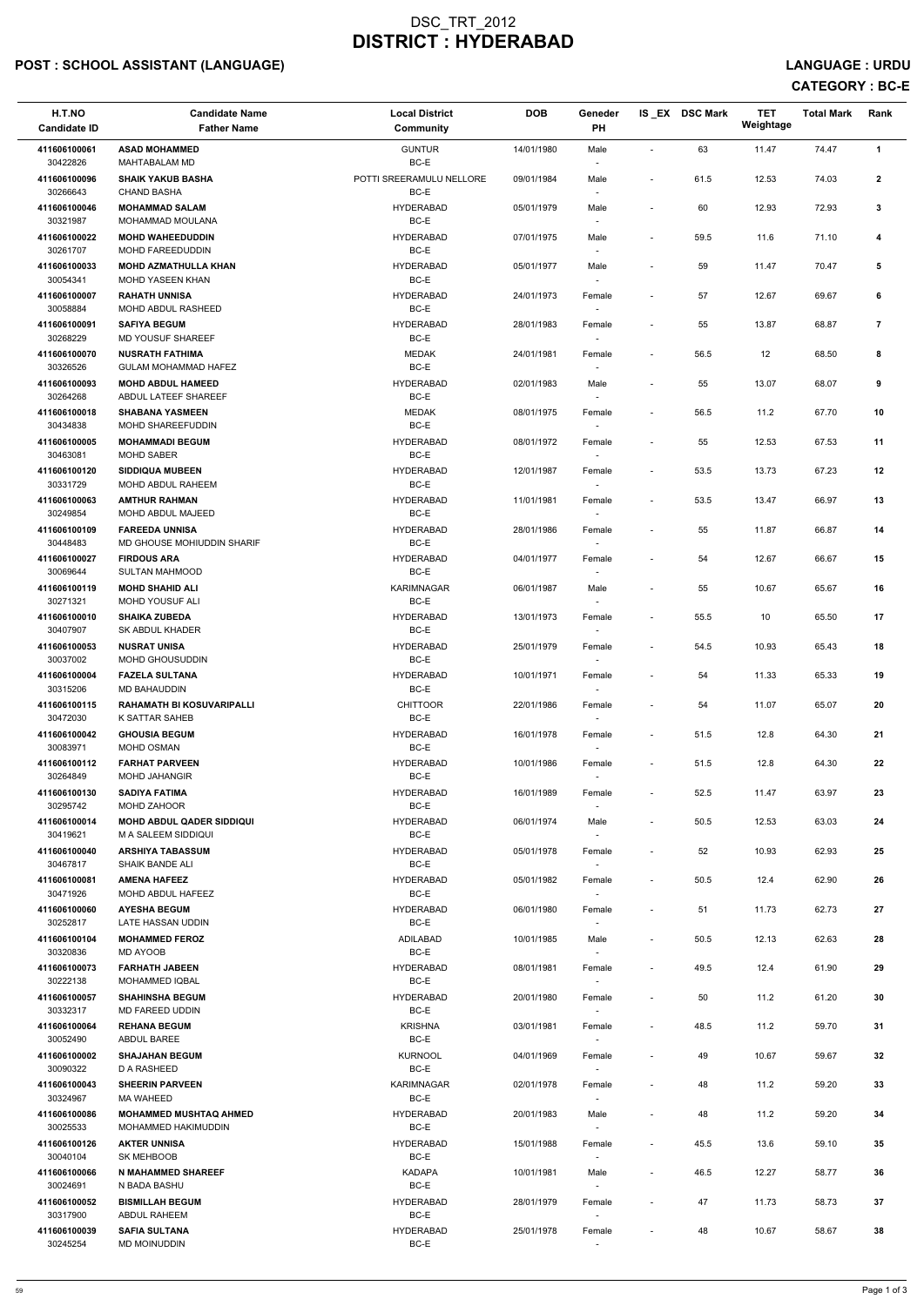## POST : SCHOOL ASSISTANT (LANGUAGE) And the set of the set of the set of the set of the set of the set of the set of the set of the set of the set of the set of the set of the set of the set of the set of the set of the set

CATEGORY : BC-E

| H.T.NO<br><b>Candidate ID</b> | <b>Candidate Name</b><br><b>Father Name</b>             | <b>Local District</b><br>Community | <b>DOB</b> | Geneder<br>PH                      |                          | IS EX DSC Mark | <b>TET</b><br>Weightage | <b>Total Mark</b> | Rank           |
|-------------------------------|---------------------------------------------------------|------------------------------------|------------|------------------------------------|--------------------------|----------------|-------------------------|-------------------|----------------|
| 411606100061<br>30422826      | <b>ASAD MOHAMMED</b><br><b>MAHTABALAM MD</b>            | <b>GUNTUR</b><br>BC-E              | 14/01/1980 | Male<br>$\overline{\phantom{a}}$   | $\sim$                   | 63             | 11.47                   | 74.47             | $\mathbf{1}$   |
| 411606100096<br>30266643      | <b>SHAIK YAKUB BASHA</b><br><b>CHAND BASHA</b>          | POTTI SREERAMULU NELLORE<br>BC-E   | 09/01/1984 | Male                               | $\overline{\phantom{a}}$ | 61.5           | 12.53                   | 74.03             | $\mathbf{2}$   |
| 411606100046<br>30321987      | <b>MOHAMMAD SALAM</b><br>MOHAMMAD MOULANA               | <b>HYDERABAD</b><br>BC-E           | 05/01/1979 | Male                               | $\overline{\phantom{a}}$ | 60             | 12.93                   | 72.93             | 3              |
| 411606100022<br>30261707      | <b>MOHD WAHEEDUDDIN</b><br>MOHD FAREEDUDDIN             | <b>HYDERABAD</b><br>BC-E           | 07/01/1975 | Male<br>$\overline{\phantom{a}}$   | $\overline{\phantom{a}}$ | 59.5           | 11.6                    | 71.10             | 4              |
| 411606100033<br>30054341      | <b>MOHD AZMATHULLA KHAN</b><br><b>MOHD YASEEN KHAN</b>  | <b>HYDERABAD</b><br>$BC-E$         | 05/01/1977 | Male<br>$\sim$                     | $\blacksquare$           | 59             | 11.47                   | 70.47             | 5              |
| 411606100007<br>30058884      | <b>RAHATH UNNISA</b><br>MOHD ABDUL RASHEED              | <b>HYDERABAD</b><br>BC-E           | 24/01/1973 | Female                             |                          | 57             | 12.67                   | 69.67             | 6              |
| 411606100091<br>30268229      | <b>SAFIYA BEGUM</b><br>MD YOUSUF SHAREEF                | <b>HYDERABAD</b><br>BC-E           | 28/01/1983 | Female                             | $\overline{\phantom{a}}$ | 55             | 13.87                   | 68.87             | $\overline{7}$ |
| 411606100070<br>30326526      | <b>NUSRATH FATHIMA</b><br><b>GULAM MOHAMMAD HAFEZ</b>   | <b>MEDAK</b><br>BC-E               | 24/01/1981 | Female<br>$\overline{\phantom{a}}$ | $\blacksquare$           | 56.5           | 12                      | 68.50             | 8              |
| 411606100093<br>30264268      | <b>MOHD ABDUL HAMEED</b><br>ABDUL LATEEF SHAREEF        | <b>HYDERABAD</b><br>BC-E           | 02/01/1983 | Male<br>$\overline{\phantom{a}}$   | $\overline{\phantom{a}}$ | 55             | 13.07                   | 68.07             | 9              |
| 411606100018<br>30434838      | <b>SHABANA YASMEEN</b><br>MOHD SHAREEFUDDIN             | <b>MEDAK</b><br>BC-E               | 08/01/1975 | Female                             | $\overline{\phantom{a}}$ | 56.5           | 11.2                    | 67.70             | 10             |
| 411606100005<br>30463081      | <b>MOHAMMADI BEGUM</b><br><b>MOHD SABER</b>             | <b>HYDERABAD</b><br>BC-E           | 08/01/1972 | Female                             | $\overline{\phantom{a}}$ | 55             | 12.53                   | 67.53             | 11             |
| 411606100120<br>30331729      | <b>SIDDIQUA MUBEEN</b><br>MOHD ABDUL RAHEEM             | <b>HYDERABAD</b><br>$BC-E$         | 12/01/1987 | Female<br>$\sim$                   | $\overline{\phantom{a}}$ | 53.5           | 13.73                   | 67.23             | 12             |
| 411606100063<br>30249854      | <b>AMTHUR RAHMAN</b><br>MOHD ABDUL MAJEED               | <b>HYDERABAD</b><br>BC-E           | 11/01/1981 | Female<br>$\sim$                   | $\overline{\phantom{a}}$ | 53.5           | 13.47                   | 66.97             | 13             |
| 411606100109<br>30448483      | <b>FAREEDA UNNISA</b><br>MD GHOUSE MOHIUDDIN SHARIF     | <b>HYDERABAD</b><br>BC-E           | 28/01/1986 | Female<br>$\sim$                   | $\overline{\phantom{a}}$ | 55             | 11.87                   | 66.87             | 14             |
| 411606100027<br>30069644      | <b>FIRDOUS ARA</b><br><b>SULTAN MAHMOOD</b>             | <b>HYDERABAD</b><br>BC-E           | 04/01/1977 | Female                             | $\blacksquare$           | 54             | 12.67                   | 66.67             | 15             |
| 411606100119<br>30271321      | <b>MOHD SHAHID ALI</b><br><b>MOHD YOUSUF ALI</b>        | <b>KARIMNAGAR</b><br>BC-E          | 06/01/1987 | Male<br>$\overline{\phantom{a}}$   | $\sim$                   | 55             | 10.67                   | 65.67             | 16             |
| 411606100010<br>30407907      | <b>SHAIKA ZUBEDA</b><br>SK ABDUL KHADER                 | <b>HYDERABAD</b><br>BC-E           | 13/01/1973 | Female<br>$\overline{\phantom{a}}$ |                          | 55.5           | 10                      | 65.50             | 17             |
| 411606100053<br>30037002      | <b>NUSRAT UNISA</b><br>MOHD GHOUSUDDIN                  | <b>HYDERABAD</b><br>BC-E           | 25/01/1979 | Female                             | $\overline{\phantom{a}}$ | 54.5           | 10.93                   | 65.43             | 18             |
| 411606100004<br>30315206      | <b>FAZELA SULTANA</b><br><b>MD BAHAUDDIN</b>            | <b>HYDERABAD</b><br>BC-E           | 10/01/1971 | Female<br>$\sim$                   | $\overline{\phantom{a}}$ | 54             | 11.33                   | 65.33             | 19             |
| 411606100115<br>30472030      | <b>RAHAMATH BI KOSUVARIPALLI</b><br>K SATTAR SAHEB      | <b>CHITTOOR</b><br>BC-E            | 22/01/1986 | Female<br>$\sim$                   | $\overline{\phantom{a}}$ | 54             | 11.07                   | 65.07             | 20             |
| 411606100042<br>30083971      | <b>GHOUSIA BEGUM</b><br><b>MOHD OSMAN</b>               | <b>HYDERABAD</b><br>BC-E           | 16/01/1978 | Female<br>$\sim$                   | $\overline{\phantom{a}}$ | 51.5           | 12.8                    | 64.30             | 21             |
| 411606100112<br>30264849      | <b>FARHAT PARVEEN</b><br><b>MOHD JAHANGIR</b>           | <b>HYDERABAD</b><br>BC-E           | 10/01/1986 | Female                             | $\overline{\phantom{a}}$ | 51.5           | 12.8                    | 64.30             | 22             |
| 411606100130<br>30295742      | <b>SADIYA FATIMA</b><br><b>MOHD ZAHOOR</b>              | <b>HYDERABAD</b><br>BC-E           | 16/01/1989 | Female<br>$\sim$                   | $\sim$                   | 52.5           | 11.47                   | 63.97             | 23             |
| 411606100014<br>30419621      | <b>MOHD ABDUL QADER SIDDIQUI</b><br>M A SALEEM SIDDIQUI | <b>HYDERABAD</b><br>BC-E           | 06/01/1974 | Male<br>$\overline{\phantom{a}}$   | $\overline{\phantom{a}}$ | 50.5           | 12.53                   | 63.03             | 24             |
| 411606100040<br>30467817      | <b>ARSHIYA TABASSUM</b><br><b>SHAIK BANDE ALI</b>       | <b>HYDERABAD</b><br>BC-E           | 05/01/1978 | Female<br>$\sim$                   | $\overline{\phantom{a}}$ | 52             | 10.93                   | 62.93             | 25             |
| 411606100081<br>30471926      | <b>AMENA HAFEEZ</b><br>MOHD ABDUL HAFEEZ                | <b>HYDERABAD</b><br>BC-E           | 05/01/1982 | Female                             | $\overline{\phantom{a}}$ | 50.5           | 12.4                    | 62.90             | 26             |
| 411606100060<br>30252817      | <b>AYESHA BEGUM</b><br>LATE HASSAN UDDIN                | <b>HYDERABAD</b><br>BC-E           | 06/01/1980 | Female<br>$\sim$                   | $\sim$                   | 51             | 11.73                   | 62.73             | 27             |
| 411606100104<br>30320836      | <b>MOHAMMED FEROZ</b><br>MD AYOOB                       | ADILABAD<br>BC-E                   | 10/01/1985 | Male<br>$\sim$                     | $\overline{\phantom{a}}$ | 50.5           | 12.13                   | 62.63             | 28             |
| 411606100073<br>30222138      | <b>FARHATH JABEEN</b><br><b>MOHAMMED IQBAL</b>          | <b>HYDERABAD</b><br>BC-E           | 08/01/1981 | Female<br>$\sim$                   | $\overline{\phantom{a}}$ | 49.5           | 12.4                    | 61.90             | 29             |

| 411606100057<br>30332317 | <b>SHAHINSHA BEGUM</b><br><b>MD FAREED UDDIN</b>     | <b>HYDERABAD</b><br>BC-E  | 20/01/1980 | Female |        | 50   | 11.2  | 61.20 | 30 |
|--------------------------|------------------------------------------------------|---------------------------|------------|--------|--------|------|-------|-------|----|
| 411606100064<br>30052490 | <b>REHANA BEGUM</b><br>ABDUL BAREE                   | <b>KRISHNA</b><br>BC-E    | 03/01/1981 | Female | $\sim$ | 48.5 | 11.2  | 59.70 | 31 |
| 411606100002<br>30090322 | <b>SHAJAHAN BEGUM</b><br>D A RASHEED                 | <b>KURNOOL</b><br>BC-E    | 04/01/1969 | Female | ٠      | 49   | 10.67 | 59.67 | 32 |
| 411606100043<br>30324967 | <b>SHEERIN PARVEEN</b><br>MA WAHEED                  | <b>KARIMNAGAR</b><br>BC-E | 02/01/1978 | Female |        | 48   | 11.2  | 59.20 | 33 |
| 411606100086<br>30025533 | <b>MOHAMMED MUSHTAQ AHMED</b><br>MOHAMMED HAKIMUDDIN | <b>HYDERABAD</b><br>BC-E  | 20/01/1983 | Male   |        | 48   | 11.2  | 59.20 | 34 |
| 411606100126<br>30040104 | <b>AKTER UNNISA</b><br>SK MEHBOOB                    | <b>HYDERABAD</b><br>BC-E  | 15/01/1988 | Female | $\sim$ | 45.5 | 13.6  | 59.10 | 35 |
| 411606100066<br>30024691 | N MAHAMMED SHAREEF<br>N BADA BASHU                   | <b>KADAPA</b><br>BC-E     | 10/01/1981 | Male   | ٠      | 46.5 | 12.27 | 58.77 | 36 |
| 411606100052<br>30317900 | <b>BISMILLAH BEGUM</b><br>ABDUL RAHEEM               | <b>HYDERABAD</b><br>BC-E  | 28/01/1979 | Female | $\sim$ | 47   | 11.73 | 58.73 | 37 |
| 411606100039<br>30245254 | <b>SAFIA SULTANA</b><br>MD MOINUDDIN                 | <b>HYDERABAD</b><br>BC-E  | 25/01/1978 | Female |        | 48   | 10.67 | 58.67 | 38 |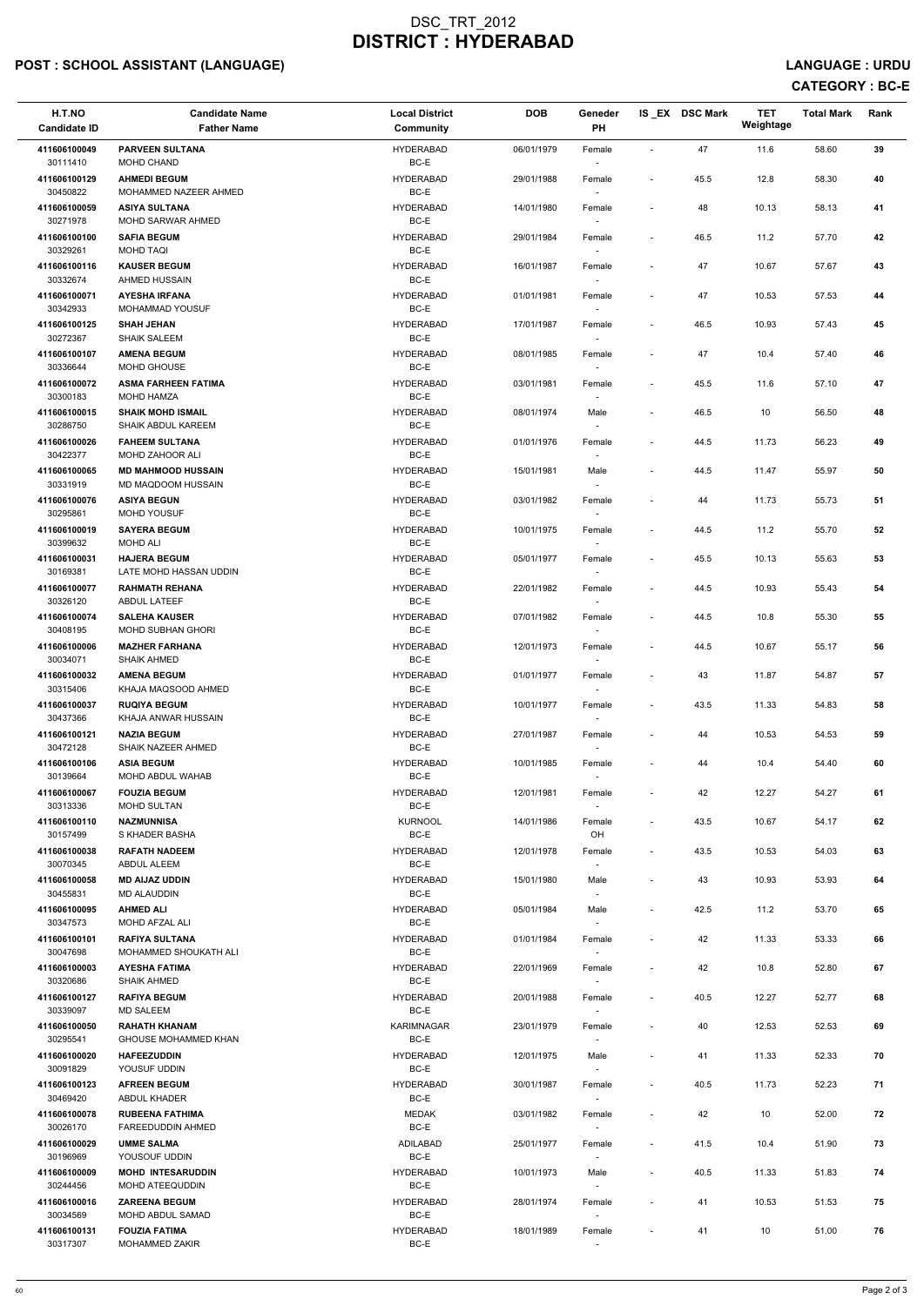## POST : SCHOOL ASSISTANT (LANGUAGE) And the set of the set of the set of the set of the set of the set of the set of the set of the set of the set of the set of the set of the set of the set of the set of the set of the set

| H.T.NO<br><b>Candidate ID</b>            | <b>Candidate Name</b><br><b>Father Name</b>                           | <b>Local District</b><br>Community           | <b>DOB</b>               | Geneder<br>PH                              |                          | IS EX DSC Mark | <b>TET</b><br>Weightage | <b>Total Mark</b> | Rank             |
|------------------------------------------|-----------------------------------------------------------------------|----------------------------------------------|--------------------------|--------------------------------------------|--------------------------|----------------|-------------------------|-------------------|------------------|
| 411606100049<br>30111410                 | <b>PARVEEN SULTANA</b><br>MOHD CHAND                                  | <b>HYDERABAD</b><br>BC-E                     | 06/01/1979               | Female                                     | $\sim$                   | 47             | 11.6                    | 58.60             | 39               |
| 411606100129<br>30450822                 | <b>AHMEDI BEGUM</b><br>MOHAMMED NAZEER AHMED                          | <b>HYDERABAD</b><br>BC-E                     | 29/01/1988               | Female                                     | $\sim$                   | 45.5           | 12.8                    | 58.30             | 40               |
| 411606100059<br>30271978                 | <b>ASIYA SULTANA</b><br>MOHD SARWAR AHMED                             | <b>HYDERABAD</b><br>BC-E                     | 14/01/1980               | Female                                     | $\overline{\phantom{a}}$ | 48             | 10.13                   | 58.13             | 41               |
| 411606100100<br>30329261                 | <b>SAFIA BEGUM</b><br><b>MOHD TAQI</b>                                | <b>HYDERABAD</b><br>BC-E                     | 29/01/1984               | Female                                     | $\blacksquare$           | 46.5           | 11.2                    | 57.70             | 42               |
| 411606100116<br>30332674                 | <b>KAUSER BEGUM</b><br>AHMED HUSSAIN                                  | <b>HYDERABAD</b><br>BC-E                     | 16/01/1987               | Female<br>$\overline{\phantom{a}}$         | $\overline{\phantom{a}}$ | 47             | 10.67                   | 57.67             | 43               |
| 411606100071<br>30342933                 | <b>AYESHA IRFANA</b><br><b>MOHAMMAD YOUSUF</b>                        | <b>HYDERABAD</b><br>BC-E                     | 01/01/1981               | Female                                     |                          | 47             | 10.53                   | 57.53             | 44               |
| 411606100125<br>30272367                 | <b>SHAH JEHAN</b><br><b>SHAIK SALEEM</b>                              | <b>HYDERABAD</b><br>BC-E                     | 17/01/1987               | Female                                     | $\blacksquare$           | 46.5           | 10.93                   | 57.43             | 45               |
| 411606100107<br>30336644                 | <b>AMENA BEGUM</b><br>MOHD GHOUSE                                     | <b>HYDERABAD</b><br>BC-E                     | 08/01/1985               | Female<br>$\sim$                           |                          | 47             | 10.4                    | 57.40             | 46               |
| 411606100072<br>30300183                 | <b>ASMA FARHEEN FATIMA</b><br>MOHD HAMZA                              | <b>HYDERABAD</b><br>BC-E                     | 03/01/1981               | Female<br>$\overline{\phantom{a}}$         | $\blacksquare$           | 45.5           | 11.6                    | 57.10             | 47               |
| 411606100015<br>30286750                 | <b>SHAIK MOHD ISMAIL</b><br><b>SHAIK ABDUL KAREEM</b>                 | <b>HYDERABAD</b><br>BC-E                     | 08/01/1974               | Male                                       | $\blacksquare$           | 46.5           | 10                      | 56.50             | 48               |
| 411606100026<br>30422377<br>411606100065 | <b>FAHEEM SULTANA</b><br>MOHD ZAHOOR ALI<br><b>MD MAHMOOD HUSSAIN</b> | <b>HYDERABAD</b><br>BC-E<br><b>HYDERABAD</b> | 01/01/1976               | Female                                     |                          | 44.5           | 11.73                   | 56.23             | 49               |
| 30331919<br>411606100076                 | MD MAQDOOM HUSSAIN<br><b>ASIYA BEGUN</b>                              | BC-E<br><b>HYDERABAD</b>                     | 15/01/1981<br>03/01/1982 | Male<br>$\overline{\phantom{a}}$<br>Female | $\overline{\phantom{a}}$ | 44.5<br>44     | 11.47<br>11.73          | 55.97<br>55.73    | ${\bf 50}$<br>51 |
| 30295861<br>411606100019                 | MOHD YOUSUF<br><b>SAYERA BEGUM</b>                                    | BC-E<br><b>HYDERABAD</b>                     | 10/01/1975               | $\sim$<br>Female                           | $\blacksquare$           | 44.5           | 11.2                    | 55.70             | 52               |
| 30399632                                 | MOHD ALI                                                              | BC-E                                         |                          | $\sim$                                     |                          |                |                         |                   |                  |
| 411606100031<br>30169381                 | <b>HAJERA BEGUM</b><br>LATE MOHD HASSAN UDDIN                         | <b>HYDERABAD</b><br>BC-E                     | 05/01/1977               | Female                                     | $\overline{\phantom{a}}$ | 45.5           | 10.13                   | 55.63             | 53               |
| 411606100077<br>30326120                 | <b>RAHMATH REHANA</b><br><b>ABDUL LATEEF</b>                          | <b>HYDERABAD</b><br>BC-E                     | 22/01/1982               | Female<br>$\sim$                           | $\blacksquare$           | 44.5           | 10.93                   | 55.43             | 54               |
| 411606100074<br>30408195                 | <b>SALEHA KAUSER</b><br><b>MOHD SUBHAN GHORI</b>                      | <b>HYDERABAD</b><br>BC-E                     | 07/01/1982               | Female<br>$\sim$                           | $\overline{\phantom{a}}$ | 44.5           | 10.8                    | 55.30             | 55               |
| 411606100006<br>30034071                 | <b>MAZHER FARHANA</b><br>SHAIK AHMED                                  | <b>HYDERABAD</b><br>BC-E                     | 12/01/1973               | Female                                     | $\overline{\phantom{a}}$ | 44.5           | 10.67                   | 55.17             | 56               |
| 411606100032<br>30315406                 | <b>AMENA BEGUM</b><br>KHAJA MAQSOOD AHMED                             | <b>HYDERABAD</b><br>BC-E                     | 01/01/1977               | Female<br>$\sim$                           |                          | 43             | 11.87                   | 54.87             | 57               |
| 411606100037<br>30437366                 | <b>RUQIYA BEGUM</b><br>KHAJA ANWAR HUSSAIN                            | <b>HYDERABAD</b><br>BC-E                     | 10/01/1977               | Female                                     | $\overline{\phantom{a}}$ | 43.5           | 11.33                   | 54.83             | 58               |
| 411606100121<br>30472128<br>411606100106 | <b>NAZIA BEGUM</b><br>SHAIK NAZEER AHMED<br><b>ASIA BEGUM</b>         | <b>HYDERABAD</b><br>BC-E<br><b>HYDERABAD</b> | 27/01/1987<br>10/01/1985 | Female<br>$\sim$<br>Female                 | $\overline{\phantom{a}}$ | 44<br>44       | 10.53<br>10.4           | 54.53<br>54.40    | 59<br>60         |
| 30139664                                 | MOHD ABDUL WAHAB                                                      | BC-E                                         |                          |                                            |                          |                |                         |                   |                  |
| 411606100067<br>30313336                 | <b>FOUZIA BEGUM</b><br><b>MOHD SULTAN</b>                             | <b>HYDERABAD</b><br>BC-E                     | 12/01/1981               | Female                                     | $\overline{\phantom{a}}$ | 42             | 12.27                   | 54.27             | 61               |
| 411606100110<br>30157499                 | <b>NAZMUNNISA</b><br>S KHADER BASHA                                   | <b>KURNOOL</b><br>BC-E                       | 14/01/1986               | Female<br>OH                               | $\overline{\phantom{a}}$ | 43.5           | 10.67                   | 54.17             | 62               |
| 411606100038<br>30070345                 | <b>RAFATH NADEEM</b><br><b>ABDUL ALEEM</b>                            | <b>HYDERABAD</b><br>BC-E                     | 12/01/1978               | Female<br>$\sim$                           | $\overline{\phantom{a}}$ | 43.5           | 10.53                   | 54.03             | 63               |
| 411606100058<br>30455831                 | <b>MD AIJAZ UDDIN</b><br>MD ALAUDDIN                                  | <b>HYDERABAD</b><br>BC-E                     | 15/01/1980               | Male<br>$\sim$                             | $\overline{\phantom{a}}$ | 43             | 10.93                   | 53.93             | 64               |
| 411606100095<br>30347573                 | <b>AHMED ALI</b><br>MOHD AFZAL ALI                                    | <b>HYDERABAD</b><br>BC-E                     | 05/01/1984               | Male                                       | $\overline{\phantom{a}}$ | 42.5           | 11.2                    | 53.70             | 65               |
| 411606100101<br>30047698                 | <b>RAFIYA SULTANA</b><br>MOHAMMED SHOUKATH ALI                        | <b>HYDERABAD</b><br>BC-E                     | 01/01/1984               | Female<br>$\sim$                           |                          | 42             | 11.33                   | 53.33             | 66               |
| 411606100003<br>30320686                 | <b>AYESHA FATIMA</b><br><b>SHAIK AHMED</b>                            | <b>HYDERABAD</b><br>BC-E                     | 22/01/1969               | Female                                     |                          | 42             | 10.8                    | 52.80             | 67               |

| 411606100127 | <b>RAFIYA BEGUM</b>         | <b>HYDERABAD</b>  | 20/01/1988 | Female                   | $\overline{\phantom{0}}$ | 40.5 | 12.27 | 52.77 | 68 |
|--------------|-----------------------------|-------------------|------------|--------------------------|--------------------------|------|-------|-------|----|
| 30339097     | <b>MD SALEEM</b>            | BC-E              |            |                          |                          |      |       |       |    |
| 411606100050 | <b>RAHATH KHANAM</b>        | <b>KARIMNAGAR</b> | 23/01/1979 | Female                   | $\sim$                   | 40   | 12.53 | 52.53 | 69 |
| 30295541     | <b>GHOUSE MOHAMMED KHAN</b> | BC-E              |            |                          |                          |      |       |       |    |
| 411606100020 | <b>HAFEEZUDDIN</b>          | <b>HYDERABAD</b>  | 12/01/1975 | Male                     | $\sim$                   | 41   | 11.33 | 52.33 | 70 |
| 30091829     | YOUSUF UDDIN                | BC-E              |            |                          |                          |      |       |       |    |
| 411606100123 | <b>AFREEN BEGUM</b>         | <b>HYDERABAD</b>  | 30/01/1987 | Female                   | $\sim$                   | 40.5 | 11.73 | 52.23 | 71 |
| 30469420     | <b>ABDUL KHADER</b>         | BC-E              |            |                          |                          |      |       |       |    |
| 411606100078 | <b>RUBEENA FATHIMA</b>      | <b>MEDAK</b>      | 03/01/1982 | Female                   |                          | 42   | 10    | 52.00 | 72 |
| 30026170     | FAREEDUDDIN AHMED           | BC-E              |            |                          |                          |      |       |       |    |
| 411606100029 | <b>UMME SALMA</b>           | ADILABAD          | 25/01/1977 | Female                   | $\overline{\phantom{a}}$ | 41.5 | 10.4  | 51.90 | 73 |
| 30196969     | YOUSOUF UDDIN               | BC-E              |            |                          |                          |      |       |       |    |
| 411606100009 | <b>MOHD INTESARUDDIN</b>    | <b>HYDERABAD</b>  | 10/01/1973 | Male                     | $\sim$                   | 40.5 | 11.33 | 51.83 | 74 |
| 30244456     | MOHD ATEEQUDDIN             | BC-E              |            | $\overline{\phantom{a}}$ |                          |      |       |       |    |
| 411606100016 | <b>ZAREENA BEGUM</b>        | <b>HYDERABAD</b>  | 28/01/1974 | Female                   | $\overline{\phantom{a}}$ | 41   | 10.53 | 51.53 | 75 |
| 30034569     | MOHD ABDUL SAMAD            | BC-E              |            |                          |                          |      |       |       |    |
| 411606100131 | <b>FOUZIA FATIMA</b>        | <b>HYDERABAD</b>  | 18/01/1989 | Female                   | $\overline{\phantom{a}}$ | 41   | 10    | 51.00 | 76 |
| 30317307     | <b>MOHAMMED ZAKIR</b>       | BC-E              |            |                          |                          |      |       |       |    |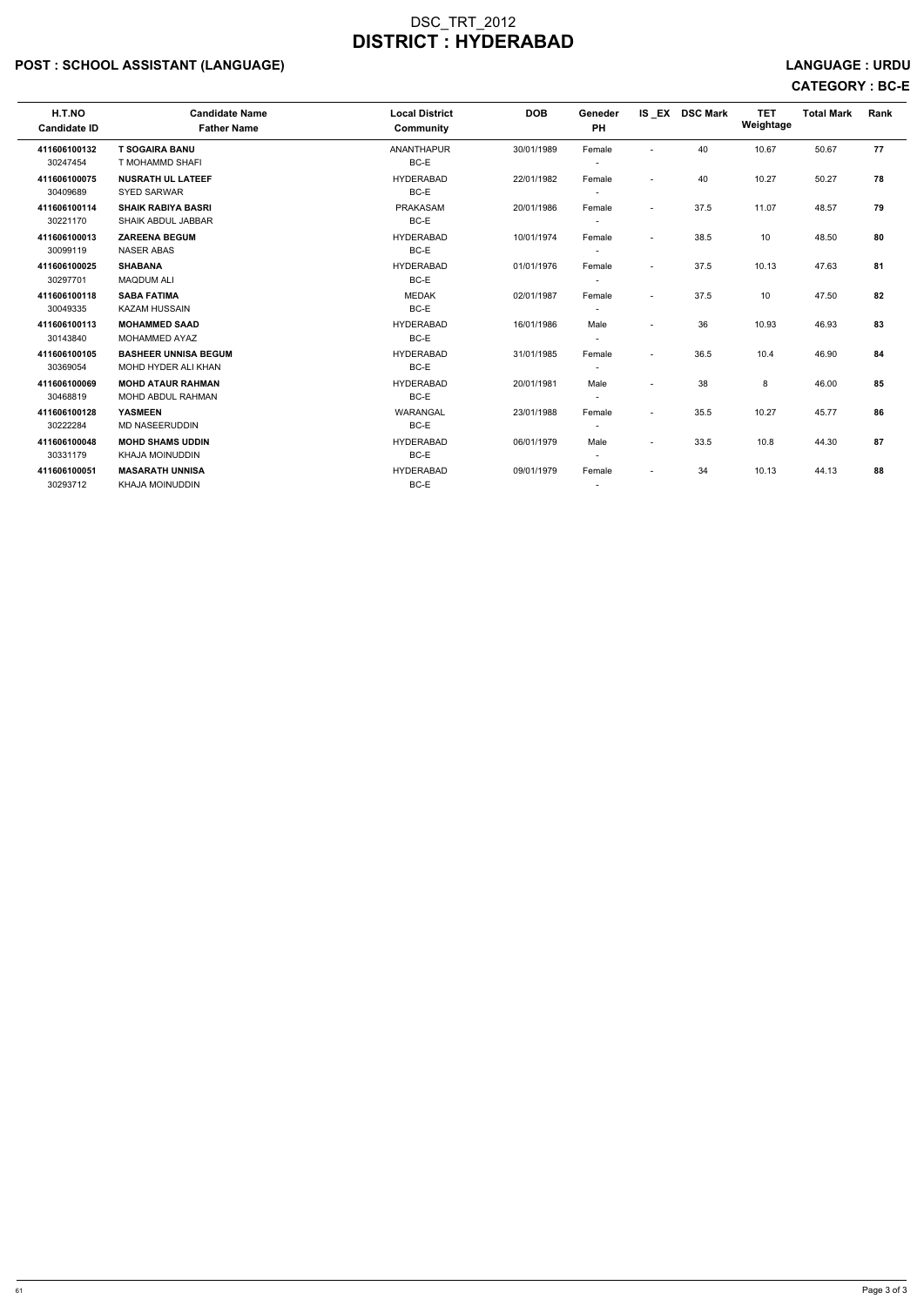## POST : SCHOOL ASSISTANT (LANGUAGE) And the set of the set of the set of the set of the set of the set of the set of the set of the set of the set of the set of the set of the set of the set of the set of the set of the set

# CATEGORY : BC-E

| H.T.NO<br><b>Candidate ID</b> | <b>Candidate Name</b><br><b>Father Name</b>            | <b>Local District</b><br>Community | <b>DOB</b> | Geneder<br>PH                      |                          | IS_EX DSC Mark | <b>TET</b><br>Weightage | <b>Total Mark</b> | Rank |
|-------------------------------|--------------------------------------------------------|------------------------------------|------------|------------------------------------|--------------------------|----------------|-------------------------|-------------------|------|
| 411606100132<br>30247454      | <b>T SOGAIRA BANU</b><br>T MOHAMMD SHAFI               | <b>ANANTHAPUR</b><br>BC-E          | 30/01/1989 | Female                             | $\blacksquare$           | 40             | 10.67                   | 50.67             | 77   |
| 411606100075<br>30409689      | <b>NUSRATH UL LATEEF</b><br><b>SYED SARWAR</b>         | <b>HYDERABAD</b><br>BC-E           | 22/01/1982 | Female<br>$\overline{\phantom{a}}$ | $\overline{\phantom{a}}$ | 40             | 10.27                   | 50.27             | 78   |
| 411606100114<br>30221170      | <b>SHAIK RABIYA BASRI</b><br><b>SHAIK ABDUL JABBAR</b> | <b>PRAKASAM</b><br>BC-E            | 20/01/1986 | Female<br>$\overline{\phantom{a}}$ | $\blacksquare$           | 37.5           | 11.07                   | 48.57             | 79   |
| 411606100013<br>30099119      | <b>ZAREENA BEGUM</b><br><b>NASER ABAS</b>              | <b>HYDERABAD</b><br>BC-E           | 10/01/1974 | Female                             | $\blacksquare$           | 38.5           | 10                      | 48.50             | 80   |
| 411606100025<br>30297701      | <b>SHABANA</b><br><b>MAQDUM ALI</b>                    | <b>HYDERABAD</b><br>BC-E           | 01/01/1976 | Female                             | $\overline{\phantom{a}}$ | 37.5           | 10.13                   | 47.63             | 81   |
| 411606100118<br>30049335      | <b>SABA FATIMA</b><br><b>KAZAM HUSSAIN</b>             | <b>MEDAK</b><br>BC-E               | 02/01/1987 | Female<br>$\overline{\phantom{a}}$ | $\overline{\phantom{a}}$ | 37.5           | 10                      | 47.50             | 82   |
| 411606100113<br>30143840      | <b>MOHAMMED SAAD</b><br><b>MOHAMMED AYAZ</b>           | <b>HYDERABAD</b><br>BC-E           | 16/01/1986 | Male<br>$\overline{\phantom{a}}$   | $\blacksquare$           | 36             | 10.93                   | 46.93             | 83   |
| 411606100105<br>30369054      | <b>BASHEER UNNISA BEGUM</b><br>MOHD HYDER ALI KHAN     | <b>HYDERABAD</b><br>BC-E           | 31/01/1985 | Female<br>$\overline{\phantom{a}}$ | $\overline{\phantom{a}}$ | 36.5           | 10.4                    | 46.90             | 84   |
| 411606100069<br>30468819      | <b>MOHD ATAUR RAHMAN</b><br><b>MOHD ABDUL RAHMAN</b>   | <b>HYDERABAD</b><br>BC-E           | 20/01/1981 | Male                               | $\blacksquare$           | 38             | 8                       | 46.00             | 85   |
| 411606100128<br>30222284      | <b>YASMEEN</b><br><b>MD NASEERUDDIN</b>                | WARANGAL<br>BC-E                   | 23/01/1988 | Female<br>$\overline{\phantom{a}}$ | $\blacksquare$           | 35.5           | 10.27                   | 45.77             | 86   |
| 411606100048<br>30331179      | <b>MOHD SHAMS UDDIN</b><br><b>KHAJA MOINUDDIN</b>      | <b>HYDERABAD</b><br>BC-E           | 06/01/1979 | Male<br>$\sim$                     | $\blacksquare$           | 33.5           | 10.8                    | 44.30             | 87   |
| 411606100051<br>30293712      | <b>MASARATH UNNISA</b><br><b>KHAJA MOINUDDIN</b>       | <b>HYDERABAD</b><br>BC-E           | 09/01/1979 | Female<br>$\overline{\phantom{a}}$ | $\overline{\phantom{a}}$ | 34             | 10.13                   | 44.13             | 88   |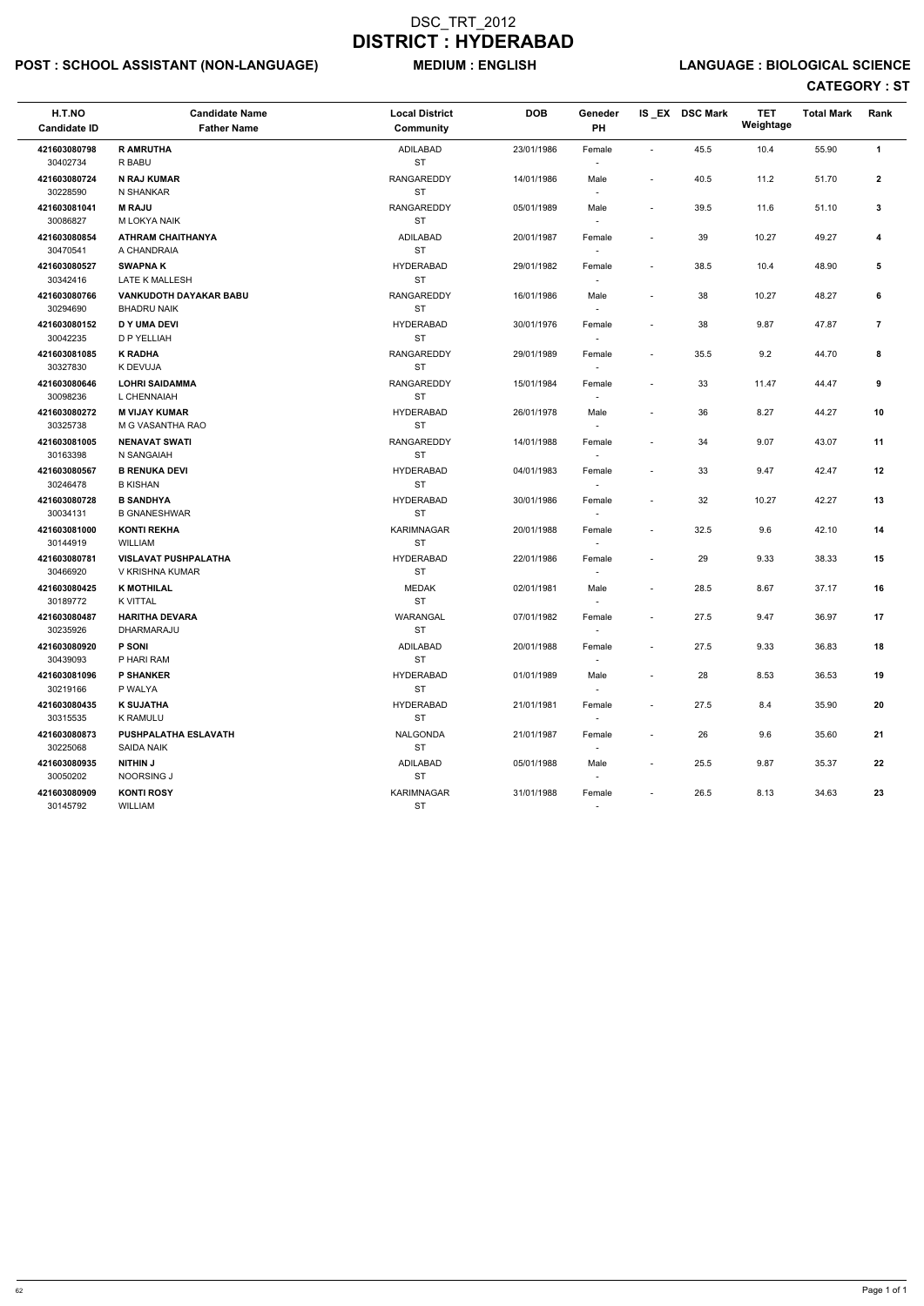## POST : SCHOOL ASSISTANT (NON-LANGUAGE) MEDIUM : ENGLISH LANGUAGE : BIOLOGICAL SCIENCE

| H.T.NO<br><b>Candidate ID</b> | <b>Candidate Name</b><br><b>Father Name</b> | <b>Local District</b><br>Community | <b>DOB</b> | Geneder<br>PH            |                          | IS EX DSC Mark | <b>TET</b><br>Weightage | <b>Total Mark</b> | Rank         |
|-------------------------------|---------------------------------------------|------------------------------------|------------|--------------------------|--------------------------|----------------|-------------------------|-------------------|--------------|
| 421603080798                  | <b>R AMRUTHA</b>                            | ADILABAD                           | 23/01/1986 | Female                   | $\sim$                   | 45.5           | 10.4                    | 55.90             | $\mathbf{1}$ |
| 30402734                      | R BABU                                      | <b>ST</b>                          |            |                          |                          |                |                         |                   |              |
| 421603080724                  | <b>N RAJ KUMAR</b>                          | RANGAREDDY                         | 14/01/1986 | Male                     | $\overline{\phantom{a}}$ | 40.5           | 11.2                    | 51.70             | $\mathbf{2}$ |
| 30228590                      | N SHANKAR                                   | ST                                 |            | $\sim$                   |                          |                |                         |                   |              |
| 421603081041                  | <b>M RAJU</b>                               | <b>RANGAREDDY</b>                  | 05/01/1989 | Male                     | $\overline{\phantom{a}}$ | 39.5           | 11.6                    | 51.10             | 3            |
| 30086827                      | M LOKYA NAIK                                | ST                                 |            | $\sim$                   |                          |                |                         |                   |              |
| 421603080854                  | <b>ATHRAM CHAITHANYA</b>                    | ADILABAD                           | 20/01/1987 | Female                   | $\sim$                   | 39             | 10.27                   | 49.27             | 4            |
| 30470541                      | A CHANDRAIA                                 | <b>ST</b>                          |            |                          |                          |                |                         |                   |              |
| 421603080527                  | <b>SWAPNAK</b>                              | <b>HYDERABAD</b>                   | 29/01/1982 | Female                   | $\sim$                   | 38.5           | 10.4                    | 48.90             | 5            |
| 30342416                      | LATE K MALLESH                              | <b>ST</b>                          |            |                          |                          |                |                         |                   |              |
| 421603080766                  | <b>VANKUDOTH DAYAKAR BABU</b>               | <b>RANGAREDDY</b>                  | 16/01/1986 | Male                     |                          | 38             | 10.27                   | 48.27             | 6            |
| 30294690                      | <b>BHADRU NAIK</b>                          | ST                                 |            | $\overline{\phantom{a}}$ |                          |                |                         |                   |              |
| 421603080152                  | <b>D Y UMA DEVI</b>                         | <b>HYDERABAD</b>                   | 30/01/1976 | Female                   | $\overline{\phantom{a}}$ | 38             | 9.87                    | 47.87             | 7            |
| 30042235                      | D P YELLIAH                                 | <b>ST</b>                          |            | $\overline{\phantom{a}}$ |                          |                |                         |                   |              |
| 421603081085                  | <b>K RADHA</b>                              | <b>RANGAREDDY</b>                  | 29/01/1989 | Female                   | $\overline{\phantom{a}}$ | 35.5           | 9.2                     | 44.70             | 8            |
| 30327830                      | K DEVUJA                                    | <b>ST</b>                          |            |                          |                          |                |                         |                   |              |
| 421603080646                  | <b>LOHRI SAIDAMMA</b>                       | <b>RANGAREDDY</b>                  | 15/01/1984 | Female                   | $\blacksquare$           | 33             | 11.47                   | 44.47             | 9            |
| 30098236                      | L CHENNAIAH                                 | <b>ST</b>                          |            |                          |                          |                |                         |                   |              |
| 421603080272                  | <b>M VIJAY KUMAR</b>                        | <b>HYDERABAD</b>                   | 26/01/1978 | Male                     |                          | 36             | 8.27                    | 44.27             | 10           |
| 30325738                      | M G VASANTHA RAO                            | <b>ST</b>                          |            | $\overline{\phantom{a}}$ |                          |                |                         |                   |              |
| 421603081005                  | <b>NENAVAT SWATI</b>                        | <b>RANGAREDDY</b>                  | 14/01/1988 | Female                   | $\overline{\phantom{a}}$ | 34             | 9.07                    | 43.07             | 11           |
| 30163398                      | N SANGAIAH                                  | <b>ST</b>                          |            | $\overline{\phantom{a}}$ |                          |                |                         |                   |              |
| 421603080567                  | <b>B RENUKA DEVI</b>                        | <b>HYDERABAD</b>                   | 04/01/1983 | Female                   | $\overline{\phantom{a}}$ | 33             | 9.47                    | 42.47             | 12           |
| 30246478                      | <b>B KISHAN</b>                             | <b>ST</b>                          |            | $\sim$                   |                          |                |                         |                   |              |
| 421603080728                  | <b>B SANDHYA</b>                            | <b>HYDERABAD</b>                   | 30/01/1986 | Female                   |                          | 32             | 10.27                   | 42.27             | 13           |
| 30034131                      | <b>B GNANESHWAR</b>                         | <b>ST</b>                          |            |                          |                          |                |                         |                   |              |
| 421603081000                  | <b>KONTI REKHA</b>                          | <b>KARIMNAGAR</b>                  | 20/01/1988 | Female                   | $\overline{\phantom{a}}$ | 32.5           | 9.6                     | 42.10             | 14           |
| 30144919                      | <b>WILLIAM</b>                              | <b>ST</b>                          |            | $\overline{\phantom{a}}$ |                          |                |                         |                   |              |
| 421603080781                  | <b>VISLAVAT PUSHPALATHA</b>                 | <b>HYDERABAD</b><br><b>ST</b>      | 22/01/1986 | Female                   | $\overline{\phantom{a}}$ | 29             | 9.33                    | 38.33             | 15           |
| 30466920                      | V KRISHNA KUMAR                             |                                    |            |                          |                          |                |                         |                   |              |
| 421603080425<br>30189772      | <b>K MOTHILAL</b><br>K VITTAL               | <b>MEDAK</b><br><b>ST</b>          | 02/01/1981 | Male                     |                          | 28.5           | 8.67                    | 37.17             | 16           |
|                               |                                             |                                    |            | $\overline{\phantom{a}}$ |                          |                |                         |                   |              |
| 421603080487<br>30235926      | <b>HARITHA DEVARA</b><br>DHARMARAJU         | WARANGAL<br>ST                     | 07/01/1982 | Female                   |                          | 27.5           | 9.47                    | 36.97             | 17           |
| 421603080920                  | <b>P SONI</b>                               |                                    |            |                          |                          |                |                         |                   |              |
| 30439093                      | P HARI RAM                                  | ADILABAD<br>ST                     | 20/01/1988 | Female<br>$\sim$         | $\sim$                   | 27.5           | 9.33                    | 36.83             | 18           |
| 421603081096                  | <b>P SHANKER</b>                            | <b>HYDERABAD</b>                   | 01/01/1989 |                          |                          |                | 8.53                    | 36.53             | 19           |
| 30219166                      | P WALYA                                     | ST                                 |            | Male<br>$\sim$           | $\sim$                   | 28             |                         |                   |              |
| 421603080435                  | <b>K SUJATHA</b>                            | <b>HYDERABAD</b>                   | 21/01/1981 | Female                   | $\overline{\phantom{a}}$ | 27.5           | 8.4                     | 35.90             | 20           |
| 30315535                      | <b>K RAMULU</b>                             | <b>ST</b>                          |            |                          |                          |                |                         |                   |              |
| 421603080873                  | PUSHPALATHA ESLAVATH                        | NALGONDA                           | 21/01/1987 |                          |                          | 26             | 9.6                     | 35.60             | 21           |
| 30225068                      | SAIDA NAIK                                  | <b>ST</b>                          |            | Female                   |                          |                |                         |                   |              |
| 421603080935                  | <b>NITHIN J</b>                             | ADILABAD                           | 05/01/1988 | Male                     |                          | 25.5           | 9.87                    | 35.37             | 22           |
| 30050202                      | NOORSING J                                  | ST                                 |            |                          |                          |                |                         |                   |              |
| 421603080909                  | <b>KONTI ROSY</b>                           | <b>KARIMNAGAR</b>                  | 31/01/1988 | Female                   | $\sim$                   | 26.5           | 8.13                    | 34.63             | 23           |
| 30145792                      | <b>WILLIAM</b>                              | <b>ST</b>                          |            | $\overline{\phantom{a}}$ |                          |                |                         |                   |              |
|                               |                                             |                                    |            |                          |                          |                |                         |                   |              |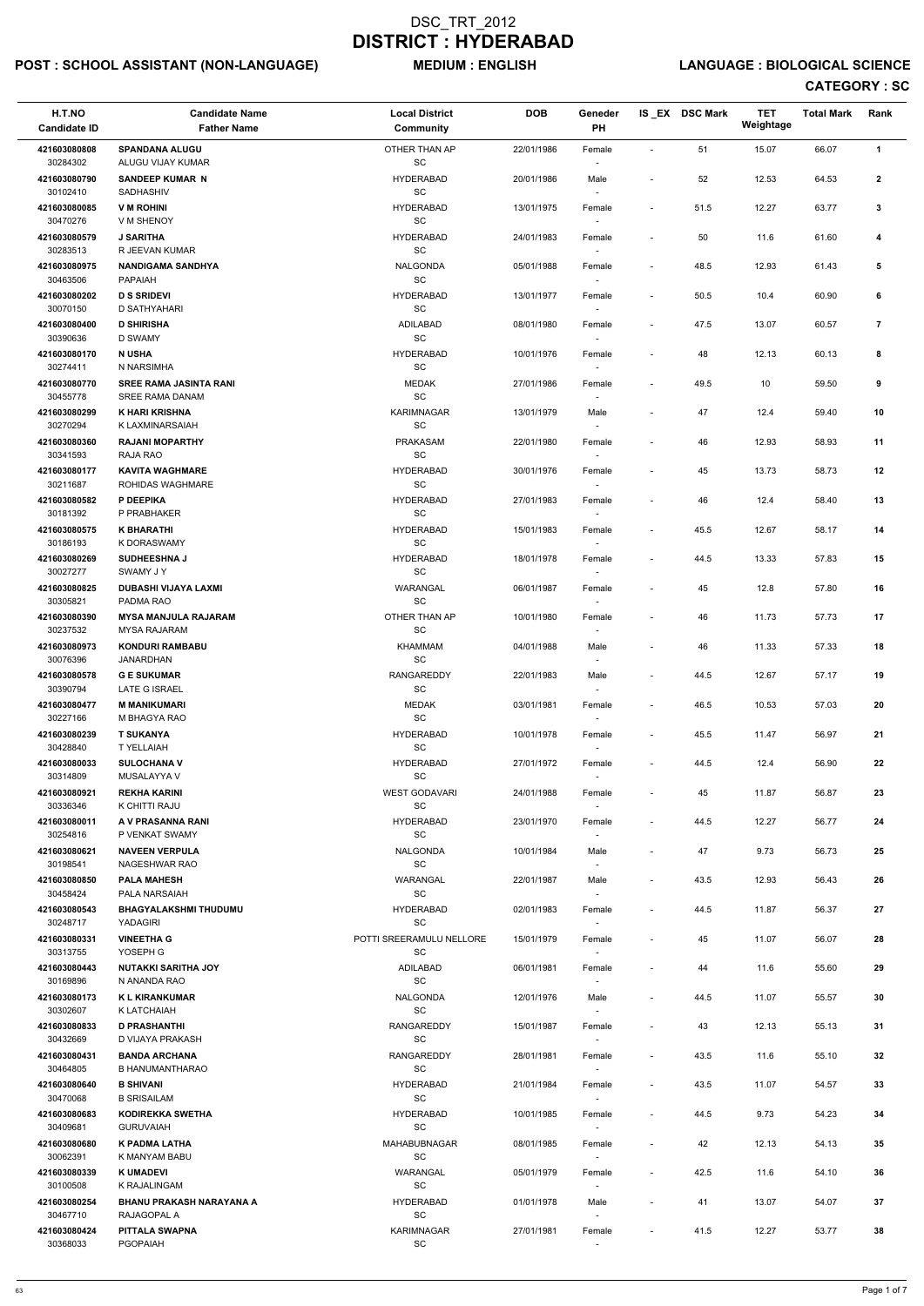## POST : SCHOOL ASSISTANT (NON-LANGUAGE) MEDIUM : ENGLISH LANGUAGE : BIOLOGICAL SCIENCE

| H.T.NO<br><b>Candidate ID</b> | <b>Candidate Name</b><br><b>Father Name</b>        | <b>Local District</b><br><b>Community</b>         | <b>DOB</b> | Geneder<br><b>PH</b>               |                          | IS_EX DSC Mark | <b>TET</b><br>Weightage | <b>Total Mark</b> | Rank           |
|-------------------------------|----------------------------------------------------|---------------------------------------------------|------------|------------------------------------|--------------------------|----------------|-------------------------|-------------------|----------------|
| 421603080808                  | <b>SPANDANA ALUGU</b>                              | OTHER THAN AP                                     | 22/01/1986 | Female                             | $\overline{\phantom{a}}$ | 51             | 15.07                   | 66.07             | $\mathbf{1}$   |
| 30284302<br>421603080790      | ALUGU VIJAY KUMAR<br><b>SANDEEP KUMAR N</b>        | SC<br><b>HYDERABAD</b>                            | 20/01/1986 | Male                               |                          | 52             | 12.53                   | 64.53             | $\mathbf{2}$   |
| 30102410<br>421603080085      | SADHASHIV<br><b>V M ROHINI</b>                     | SC<br><b>HYDERABAD</b>                            | 13/01/1975 | Female                             | $\overline{\phantom{a}}$ | 51.5           | 12.27                   | 63.77             | 3              |
| 30470276                      | V M SHENOY                                         | SC                                                |            |                                    |                          |                |                         |                   |                |
| 421603080579<br>30283513      | <b>J SARITHA</b><br>R JEEVAN KUMAR                 | <b>HYDERABAD</b><br>$\operatorname{\textsf{SC}}$  | 24/01/1983 | Female<br>$\sim$                   | $\overline{\phantom{a}}$ | 50             | 11.6                    | 61.60             | 4              |
| 421603080975<br>30463506      | <b>NANDIGAMA SANDHYA</b><br>PAPAIAH                | <b>NALGONDA</b><br>SC                             | 05/01/1988 | Female<br>$\sim$                   | $\blacksquare$           | 48.5           | 12.93                   | 61.43             | 5              |
| 421603080202<br>30070150      | <b>D S SRIDEVI</b><br><b>D SATHYAHARI</b>          | <b>HYDERABAD</b><br>SC                            | 13/01/1977 | Female                             | $\overline{\phantom{a}}$ | 50.5           | 10.4                    | 60.90             | 6              |
| 421603080400                  | <b>D SHIRISHA</b>                                  | <b>ADILABAD</b><br>SC                             | 08/01/1980 | Female                             | $\overline{\phantom{a}}$ | 47.5           | 13.07                   | 60.57             | $\overline{7}$ |
| 30390636<br>421603080170      | D SWAMY<br><b>N USHA</b>                           | <b>HYDERABAD</b>                                  | 10/01/1976 | Female                             | $\overline{\phantom{a}}$ | 48             | 12.13                   | 60.13             | 8              |
| 30274411<br>421603080770      | N NARSIMHA<br><b>SREE RAMA JASINTA RANI</b>        | SC<br><b>MEDAK</b>                                | 27/01/1986 | Female                             |                          | 49.5           | 10                      | 59.50             | 9              |
| 30455778<br>421603080299      | SREE RAMA DANAM<br><b>K HARI KRISHNA</b>           | SC<br><b>KARIMNAGAR</b>                           | 13/01/1979 | Male                               | $\overline{\phantom{a}}$ | 47             | 12.4                    | 59.40             | 10             |
| 30270294                      | K LAXMINARSAIAH                                    | SC                                                |            |                                    |                          |                |                         |                   |                |
| 421603080360<br>30341593      | <b>RAJANI MOPARTHY</b><br>RAJA RAO                 | PRAKASAM<br>$\operatorname{\textsf{SC}}$          | 22/01/1980 | Female                             |                          | 46             | 12.93                   | 58.93             | 11             |
| 421603080177<br>30211687      | <b>KAVITA WAGHMARE</b><br>ROHIDAS WAGHMARE         | <b>HYDERABAD</b><br>SC                            | 30/01/1976 | Female                             | $\blacksquare$           | 45             | 13.73                   | 58.73             | 12             |
| 421603080582                  | P DEEPIKA                                          | <b>HYDERABAD</b>                                  | 27/01/1983 | Female                             |                          | 46             | 12.4                    | 58.40             | 13             |
| 30181392<br>421603080575      | P PRABHAKER<br><b>K BHARATHI</b>                   | SC<br><b>HYDERABAD</b>                            | 15/01/1983 | $\sim$<br>Female                   | $\blacksquare$           | 45.5           | 12.67                   | 58.17             | 14             |
| 30186193<br>421603080269      | K DORASWAMY<br><b>SUDHEESHNA J</b>                 | SC<br><b>HYDERABAD</b>                            | 18/01/1978 | Female                             | $\blacksquare$           | 44.5           | 13.33                   | 57.83             | 15             |
| 30027277<br>421603080825      | <b>SWAMY JY</b><br>DUBASHI VIJAYA LAXMI            | $\operatorname{\textsf{SC}}$<br>WARANGAL          | 06/01/1987 | Female                             |                          | 45             | 12.8                    | 57.80             | 16             |
| 30305821                      | PADMA RAO                                          | SC                                                |            | $\overline{\phantom{a}}$           |                          |                |                         |                   |                |
| 421603080390<br>30237532      | <b>MYSA MANJULA RAJARAM</b><br><b>MYSA RAJARAM</b> | OTHER THAN AP<br>$\operatorname{\textsf{SC}}$     | 10/01/1980 | Female<br>$\overline{\phantom{a}}$ | $\blacksquare$           | 46             | 11.73                   | 57.73             | 17             |
| 421603080973<br>30076396      | <b>KONDURI RAMBABU</b><br><b>JANARDHAN</b>         | <b>KHAMMAM</b><br>$\operatorname{\textsf{SC}}$    | 04/01/1988 | Male                               |                          | 46             | 11.33                   | 57.33             | 18             |
| 421603080578<br>30390794      | <b>GE SUKUMAR</b><br><b>LATE G ISRAEL</b>          | <b>RANGAREDDY</b><br>SC                           | 22/01/1983 | Male                               | $\overline{\phantom{a}}$ | 44.5           | 12.67                   | 57.17             | 19             |
| 421603080477                  | <b>M MANIKUMARI</b>                                | <b>MEDAK</b><br>$\operatorname{\textsf{SC}}$      | 03/01/1981 | Female                             | $\overline{\phantom{a}}$ | 46.5           | 10.53                   | 57.03             | 20             |
| 30227166<br>421603080239      | M BHAGYA RAO<br><b>T SUKANYA</b>                   | <b>HYDERABAD</b>                                  | 10/01/1978 | $\sim$<br>Female                   | $\blacksquare$           | 45.5           | 11.47                   | 56.97             | 21             |
| 30428840<br>421603080033      | T YELLAIAH<br><b>SULOCHANA V</b>                   | SC<br><b>HYDERABAD</b>                            | 27/01/1972 | $\sim$<br>Female                   | $\overline{\phantom{a}}$ | 44.5           | 12.4                    | 56.90             | 22             |
| 30314809<br>421603080921      | MUSALAYYA V<br><b>REKHA KARINI</b>                 | SC<br><b>WEST GODAVARI</b>                        | 24/01/1988 | $\overline{\phantom{a}}$<br>Female | $\overline{\phantom{a}}$ | 45             | 11.87                   | 56.87             | 23             |
| 30336346                      | K CHITTI RAJU                                      | SC                                                |            |                                    |                          |                |                         |                   |                |
| 421603080011<br>30254816      | A V PRASANNA RANI<br>P VENKAT SWAMY                | <b>HYDERABAD</b><br>SC                            | 23/01/1970 | Female                             | $\blacksquare$           | 44.5           | 12.27                   | 56.77             | 24             |
| 421603080621<br>30198541      | <b>NAVEEN VERPULA</b><br>NAGESHWAR RAO             | NALGONDA<br>SC                                    | 10/01/1984 | Male                               | $\sim$                   | 47             | 9.73                    | 56.73             | 25             |
| 421603080850<br>30458424      | <b>PALA MAHESH</b><br>PALA NARSAIAH                | WARANGAL<br>SC                                    | 22/01/1987 | Male<br>$\overline{\phantom{a}}$   | $\blacksquare$           | 43.5           | 12.93                   | 56.43             | 26             |
| 421603080543<br>30248717      | <b>BHAGYALAKSHMI THUDUMU</b><br>YADAGIRI           | <b>HYDERABAD</b><br>SC                            | 02/01/1983 | Female                             |                          | 44.5           | 11.87                   | 56.37             | 27             |
| 421603080331                  | <b>VINEETHA G</b>                                  | POTTI SREERAMULU NELLORE                          | 15/01/1979 | Female                             | $\overline{\phantom{a}}$ | 45             | 11.07                   | 56.07             | 28             |
| 30313755<br>421603080443      | YOSEPH G<br><b>NUTAKKI SARITHA JOY</b>             | <b>SC</b><br><b>ADILABAD</b>                      | 06/01/1981 | Female                             |                          | 44             | 11.6                    | 55.60             | 29             |
| 30169896<br>421603080173      | N ANANDA RAO<br><b>K L KIRANKUMAR</b>              | SC<br><b>NALGONDA</b>                             | 12/01/1976 | $\sim$<br>Male                     | $\blacksquare$           | 44.5           | 11.07                   | 55.57             | 30             |
| 30302607                      | K LATCHAIAH                                        | SC                                                |            | $\sim$                             |                          |                |                         |                   |                |
| 421603080833<br>30432669      | <b>D PRASHANTHI</b><br>D VIJAYA PRAKASH            | RANGAREDDY<br>$\operatorname{\textsf{SC}}$        | 15/01/1987 | Female                             | $\overline{\phantom{a}}$ | 43             | 12.13                   | 55.13             | 31             |
| 421603080431<br>30464805      | <b>BANDA ARCHANA</b><br><b>B HANUMANTHARAO</b>     | <b>RANGAREDDY</b><br>SC                           | 28/01/1981 | Female                             | $\overline{\phantom{a}}$ | 43.5           | 11.6                    | 55.10             | 32             |
| 421603080640                  | <b>B SHIVANI</b>                                   | <b>HYDERABAD</b>                                  | 21/01/1984 | Female                             | $\blacksquare$           | 43.5           | 11.07                   | 54.57             | 33             |
| 30470068<br>421603080683      | <b>B SRISAILAM</b><br>KODIREKKA SWETHA             | SC<br><b>HYDERABAD</b>                            | 10/01/1985 | $\sim$<br>Female                   | $\blacksquare$           | 44.5           | 9.73                    | 54.23             | 34             |
| 30409681<br>421603080680      | <b>GURUVAIAH</b><br>K PADMA LATHA                  | $\operatorname{\textsf{SC}}$<br>MAHABUBNAGAR      | 08/01/1985 | Female                             | $\overline{\phantom{a}}$ | 42             | 12.13                   | 54.13             | 35             |
| 30062391<br>421603080339      | K MANYAM BABU<br><b>K UMADEVI</b>                  | SC<br>WARANGAL                                    | 05/01/1979 | $\sim$<br>Female                   | $\overline{\phantom{a}}$ | 42.5           | 11.6                    | 54.10             | 36             |
| 30100508                      | K RAJALINGAM                                       | SC                                                |            | $\sim$                             |                          |                |                         |                   |                |
| 421603080254<br>30467710      | BHANU PRAKASH NARAYANA A<br>RAJAGOPAL A            | <b>HYDERABAD</b><br>SC                            | 01/01/1978 | Male<br>$\sim$                     | $\overline{\phantom{a}}$ | 41             | 13.07                   | 54.07             | 37             |
| 421603080424<br>30368033      | PITTALA SWAPNA<br><b>PGOPAIAH</b>                  | <b>KARIMNAGAR</b><br>$\operatorname{\textsf{SC}}$ | 27/01/1981 | Female<br>$\overline{\phantom{a}}$ | $\overline{\phantom{a}}$ | 41.5           | 12.27                   | 53.77             | 38             |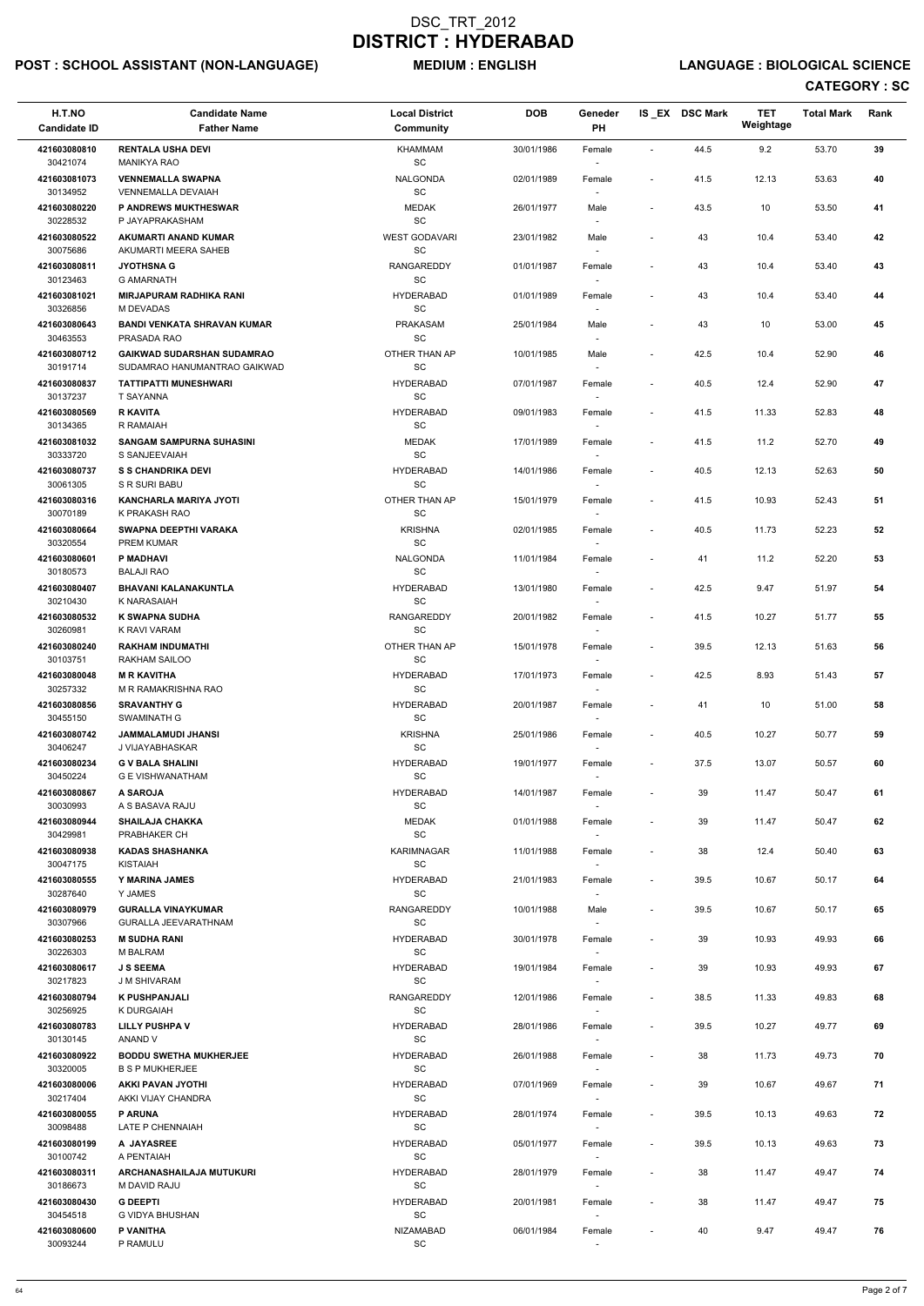## POST : SCHOOL ASSISTANT (NON-LANGUAGE) MEDIUM : ENGLISH LANGUAGE : BIOLOGICAL SCIENCE

| H.T.NO<br><b>Candidate ID</b>        | <b>Candidate Name</b><br><b>Father Name</b>                       | <b>Local District</b><br><b>Community</b>        | <b>DOB</b> | Geneder<br>PH                      |                          | IS EX DSC Mark | <b>TET</b><br>Weightage | <b>Total Mark</b> | Rank |
|--------------------------------------|-------------------------------------------------------------------|--------------------------------------------------|------------|------------------------------------|--------------------------|----------------|-------------------------|-------------------|------|
| 421603080810<br>30421074             | <b>RENTALA USHA DEVI</b><br><b>MANIKYA RAO</b>                    | <b>KHAMMAM</b><br>SC                             | 30/01/1986 | Female                             | $\overline{\phantom{a}}$ | 44.5           | 9.2                     | 53.70             | 39   |
| 421603081073<br>30134952             | <b>VENNEMALLA SWAPNA</b><br><b>VENNEMALLA DEVAIAH</b>             | <b>NALGONDA</b><br>SC                            | 02/01/1989 | Female                             | $\blacksquare$           | 41.5           | 12.13                   | 53.63             | 40   |
| 421603080220                         | P ANDREWS MUKTHESWAR                                              | <b>MEDAK</b>                                     | 26/01/1977 | Male                               | $\overline{\phantom{a}}$ | 43.5           | 10                      | 53.50             | 41   |
| 30228532<br>421603080522             | P JAYAPRAKASHAM<br><b>AKUMARTI ANAND KUMAR</b>                    | SC<br><b>WEST GODAVARI</b>                       | 23/01/1982 | Male                               | $\overline{\phantom{a}}$ | 43             | 10.4                    | 53.40             | 42   |
| 30075686<br>421603080811             | AKUMARTI MEERA SAHEB<br><b>JYOTHSNA G</b>                         | SC<br>RANGAREDDY                                 | 01/01/1987 | $\overline{\phantom{a}}$<br>Female | $\overline{\phantom{a}}$ | 43             | 10.4                    | 53.40             | 43   |
| 30123463                             | <b>G AMARNATH</b>                                                 | $\operatorname{\textsf{SC}}$                     |            |                                    |                          |                |                         |                   |      |
| 421603081021<br>30326856             | <b>MIRJAPURAM RADHIKA RANI</b><br>M DEVADAS                       | <b>HYDERABAD</b><br>SC                           | 01/01/1989 | Female                             | $\blacksquare$           | 43             | 10.4                    | 53.40             | 44   |
| 421603080643<br>30463553             | <b>BANDI VENKATA SHRAVAN KUMAR</b><br>PRASADA RAO                 | PRAKASAM<br>SC                                   | 25/01/1984 | Male                               | $\blacksquare$           | 43             | 10                      | 53.00             | 45   |
| 421603080712<br>30191714             | <b>GAIKWAD SUDARSHAN SUDAMRAO</b><br>SUDAMRAO HANUMANTRAO GAIKWAD | OTHER THAN AP<br><b>SC</b>                       | 10/01/1985 | Male                               | $\overline{\phantom{a}}$ | 42.5           | 10.4                    | 52.90             | 46   |
| 421603080837<br>30137237             | <b>TATTIPATTI MUNESHWARI</b><br><b>T SAYANNA</b>                  | <b>HYDERABAD</b><br>SC                           | 07/01/1987 | Female<br>$\overline{\phantom{a}}$ | $\overline{\phantom{a}}$ | 40.5           | 12.4                    | 52.90             | 47   |
| 421603080569                         | <b>R KAVITA</b>                                                   | <b>HYDERABAD</b>                                 | 09/01/1983 | Female                             |                          | 41.5           | 11.33                   | 52.83             | 48   |
| 30134365<br>421603081032<br>30333720 | R RAMAIAH<br><b>SANGAM SAMPURNA SUHASINI</b><br>S SANJEEVAIAH     | SC<br><b>MEDAK</b><br>SC                         | 17/01/1989 | Female                             | $\overline{\phantom{a}}$ | 41.5           | 11.2                    | 52.70             | 49   |
| 421603080737                         | <b>S S CHANDRIKA DEVI</b>                                         | <b>HYDERABAD</b>                                 | 14/01/1986 | Female                             | $\overline{\phantom{a}}$ | 40.5           | 12.13                   | 52.63             | 50   |
| 30061305<br>421603080316             | S R SURI BABU<br><b>KANCHARLA MARIYA JYOTI</b>                    | SC<br>OTHER THAN AP                              | 15/01/1979 | $\sim$<br>Female                   | $\overline{\phantom{a}}$ | 41.5           | 10.93                   | 52.43             | 51   |
| 30070189<br>421603080664             | K PRAKASH RAO<br>SWAPNA DEEPTHI VARAKA                            | SC<br><b>KRISHNA</b>                             | 02/01/1985 | Female                             | $\overline{\phantom{a}}$ | 40.5           | 11.73                   | 52.23             | 52   |
| 30320554                             | PREM KUMAR                                                        | SC                                               |            |                                    |                          |                |                         |                   |      |
| 421603080601<br>30180573             | P MADHAVI<br><b>BALAJI RAO</b>                                    | NALGONDA<br>SC                                   | 11/01/1984 | Female                             | $\overline{\phantom{a}}$ | 41             | 11.2                    | 52.20             | 53   |
| 421603080407<br>30210430             | <b>BHAVANI KALANAKUNTLA</b><br>K NARASAIAH                        | <b>HYDERABAD</b><br>SC                           | 13/01/1980 | Female                             | $\overline{\phantom{a}}$ | 42.5           | 9.47                    | 51.97             | 54   |
| 421603080532<br>30260981             | <b>K SWAPNA SUDHA</b><br>K RAVI VARAM                             | RANGAREDDY<br><b>SC</b>                          | 20/01/1982 | Female                             | $\overline{\phantom{a}}$ | 41.5           | 10.27                   | 51.77             | 55   |
| 421603080240<br>30103751             | <b>RAKHAM INDUMATHI</b><br>RAKHAM SAILOO                          | OTHER THAN AP<br><b>SC</b>                       | 15/01/1978 | Female                             | $\overline{\phantom{a}}$ | 39.5           | 12.13                   | 51.63             | 56   |
| 421603080048<br>30257332             | <b>M R KAVITHA</b><br>M R RAMAKRISHNA RAO                         | <b>HYDERABAD</b><br>SC                           | 17/01/1973 | Female<br>$\overline{\phantom{a}}$ | $\overline{\phantom{a}}$ | 42.5           | 8.93                    | 51.43             | 57   |
| 421603080856<br>30455150             | <b>SRAVANTHY G</b><br>SWAMINATH G                                 | <b>HYDERABAD</b><br>SC                           | 20/01/1987 | Female<br>$\sim$                   | $\overline{\phantom{a}}$ | 41             | 10                      | 51.00             | 58   |
| 421603080742<br>30406247             | <b>JAMMALAMUDI JHANSI</b><br>J VIJAYABHASKAR                      | <b>KRISHNA</b><br>SC                             | 25/01/1986 | Female<br>$\sim$                   | $\overline{\phantom{a}}$ | 40.5           | 10.27                   | 50.77             | 59   |
| 421603080234                         | <b>G V BALA SHALINI</b>                                           | <b>HYDERABAD</b>                                 | 19/01/1977 | Female                             | $\overline{\phantom{a}}$ | 37.5           | 13.07                   | 50.57             | 60   |
| 30450224<br>421603080867             | <b>G E VISHWANATHAM</b><br>A SAROJA                               | <b>SC</b><br><b>HYDERABAD</b>                    | 14/01/1987 | Female                             | $\sim$                   | 39             | 11.47                   | 50.47             | 61   |
| 30030993<br>421603080944             | A S BASAVA RAJU<br><b>SHAILAJA CHAKKA</b>                         | <b>SC</b><br><b>MEDAK</b>                        | 01/01/1988 | Female                             | $\overline{\phantom{a}}$ | 39             | 11.47                   | 50.47             | 62   |
| 30429981                             | PRABHAKER CH                                                      | SC                                               |            |                                    |                          |                |                         |                   |      |
| 421603080938<br>30047175             | <b>KADAS SHASHANKA</b><br>KISTAIAH                                | <b>KARIMNAGAR</b><br><b>SC</b>                   | 11/01/1988 | Female<br>$\sim$                   | $\overline{\phantom{a}}$ | 38             | 12.4                    | 50.40             | 63   |
| 421603080555<br>30287640             | Y MARINA JAMES<br>Y JAMES                                         | <b>HYDERABAD</b><br><b>SC</b>                    | 21/01/1983 | Female                             | $\overline{\phantom{a}}$ | 39.5           | 10.67                   | 50.17             | 64   |
| 421603080979<br>30307966             | <b>GURALLA VINAYKUMAR</b><br><b>GURALLA JEEVARATHNAM</b>          | <b>RANGAREDDY</b><br><b>SC</b>                   | 10/01/1988 | Male                               | $\overline{\phantom{a}}$ | 39.5           | 10.67                   | 50.17             | 65   |
| 421603080253<br>30226303             | <b>M SUDHA RANI</b><br><b>M BALRAM</b>                            | <b>HYDERABAD</b><br>SC                           | 30/01/1978 | Female<br>$\sim$                   | $\blacksquare$           | 39             | 10.93                   | 49.93             | 66   |
| 421603080617                         | <b>J S SEEMA</b>                                                  | <b>HYDERABAD</b>                                 | 19/01/1984 | Female                             | $\overline{\phantom{a}}$ | 39             | 10.93                   | 49.93             | 67   |
| 30217823<br>421603080794             | J M SHIVARAM<br><b>K PUSHPANJALI</b>                              | SC<br><b>RANGAREDDY</b>                          | 12/01/1986 | $\sim$<br>Female                   | $\overline{\phantom{a}}$ | 38.5           | 11.33                   | 49.83             | 68   |
| 30256925<br>421603080783             | K DURGAIAH<br><b>LILLY PUSHPA V</b>                               | <b>SC</b><br><b>HYDERABAD</b>                    | 28/01/1986 | Female                             | $\overline{\phantom{a}}$ | 39.5           | 10.27                   | 49.77             | 69   |
| 30130145<br>421603080922             | ANAND V<br><b>BODDU SWETHA MUKHERJEE</b>                          | <b>SC</b><br><b>HYDERABAD</b>                    | 26/01/1988 | Female                             | $\overline{\phantom{a}}$ | 38             | 11.73                   | 49.73             | 70   |
| 30320005                             | <b>B S P MUKHERJEE</b>                                            | SC                                               |            |                                    |                          |                |                         |                   |      |
| 421603080006<br>30217404             | AKKI PAVAN JYOTHI<br>AKKI VIJAY CHANDRA                           | <b>HYDERABAD</b><br>$\operatorname{\textsf{SC}}$ | 07/01/1969 | Female<br>$\overline{\phantom{a}}$ |                          | 39             | 10.67                   | 49.67             | 71   |
| 421603080055<br>30098488             | <b>P ARUNA</b><br>LATE P CHENNAIAH                                | <b>HYDERABAD</b><br>SC                           | 28/01/1974 | Female                             | $\overline{\phantom{a}}$ | 39.5           | 10.13                   | 49.63             | 72   |
| 421603080199<br>30100742             | A JAYASREE<br>A PENTAIAH                                          | <b>HYDERABAD</b><br>SC                           | 05/01/1977 | Female                             | $\overline{\phantom{a}}$ | 39.5           | 10.13                   | 49.63             | 73   |
| 421603080311<br>30186673             | ARCHANASHAILAJA MUTUKURI<br>M DAVID RAJU                          | <b>HYDERABAD</b><br>SC                           | 28/01/1979 | Female<br>$\sim$                   | $\blacksquare$           | 38             | 11.47                   | 49.47             | 74   |
| 421603080430<br>30454518             | <b>G DEEPTI</b><br>G VIDYA BHUSHAN                                | <b>HYDERABAD</b><br>$\operatorname{\textsf{SC}}$ | 20/01/1981 | Female                             | $\overline{\phantom{a}}$ | 38             | 11.47                   | 49.47             | 75   |
| 421603080600                         | P VANITHA                                                         | <b>NIZAMABAD</b>                                 | 06/01/1984 | Female                             | $\overline{\phantom{a}}$ | 40             | 9.47                    | 49.47             | 76   |
| 30093244                             | P RAMULU                                                          | SC                                               |            | $\sim$                             |                          |                |                         |                   |      |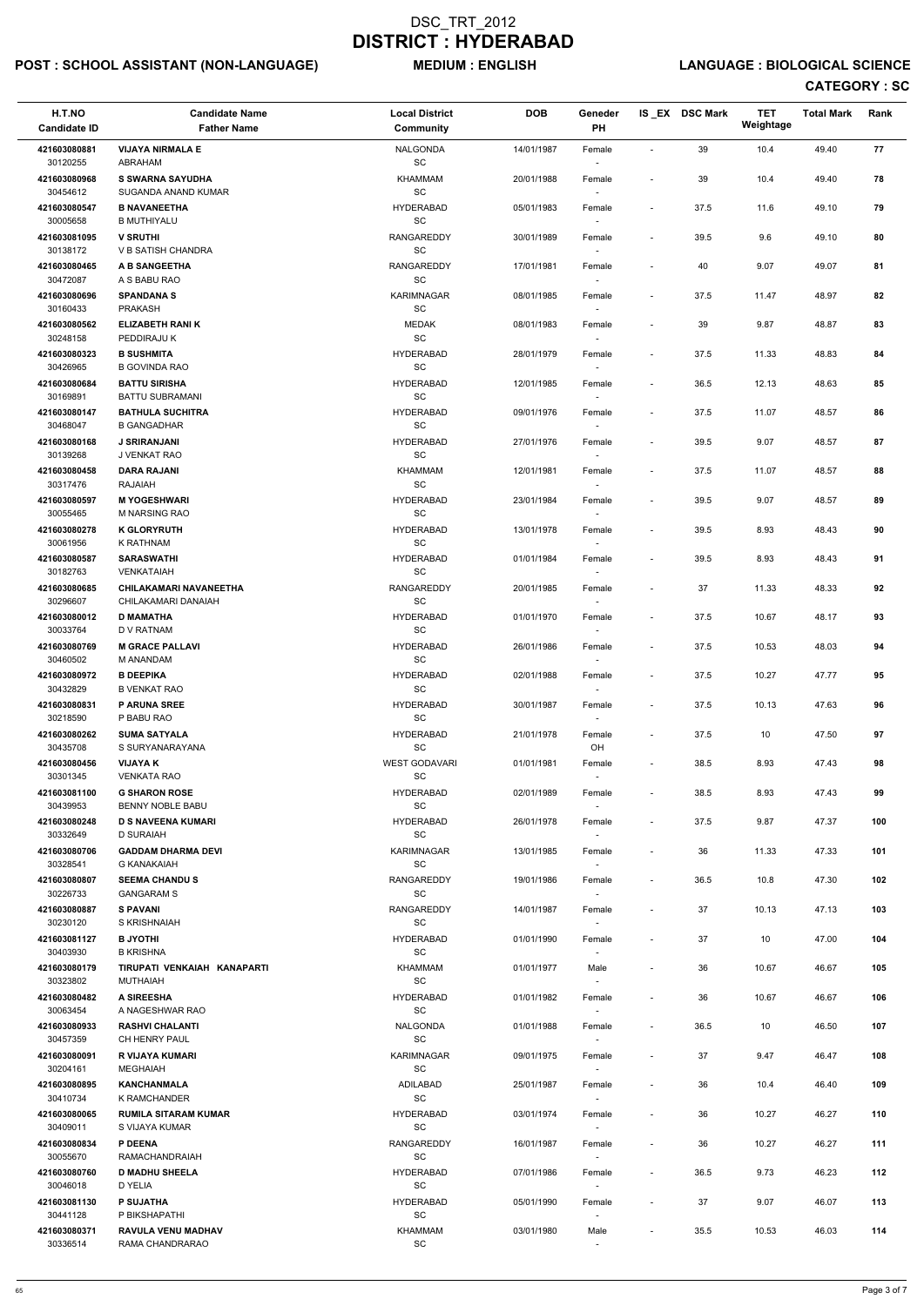## POST : SCHOOL ASSISTANT (NON-LANGUAGE) MEDIUM : ENGLISH LANGUAGE : BIOLOGICAL SCIENCE

| H.T.NO<br><b>Candidate ID</b>        | <b>Candidate Name</b><br><b>Father Name</b>                 | <b>Local District</b><br><b>Community</b>        | <b>DOB</b> | Geneder<br>PH                      |                          | IS_EX DSC Mark | <b>TET</b><br>Weightage | <b>Total Mark</b> | Rank |
|--------------------------------------|-------------------------------------------------------------|--------------------------------------------------|------------|------------------------------------|--------------------------|----------------|-------------------------|-------------------|------|
| 421603080881<br>30120255             | <b>VIJAYA NIRMALA E</b><br>ABRAHAM                          | <b>NALGONDA</b><br>$\operatorname{\textsf{SC}}$  | 14/01/1987 | Female                             | $\sim$                   | 39             | 10.4                    | 49.40             | 77   |
| 421603080968<br>30454612             | <b>S SWARNA SAYUDHA</b><br>SUGANDA ANAND KUMAR              | <b>KHAMMAM</b><br>SC                             | 20/01/1988 | Female                             | $\overline{\phantom{a}}$ | 39             | 10.4                    | 49.40             | 78   |
| 421603080547                         | <b>B NAVANEETHA</b>                                         | <b>HYDERABAD</b>                                 | 05/01/1983 | Female                             | $\overline{\phantom{a}}$ | 37.5           | 11.6                    | 49.10             | 79   |
| 30005658<br>421603081095             | <b>B MUTHIYALU</b><br><b>V SRUTHI</b>                       | SC<br><b>RANGAREDDY</b>                          | 30/01/1989 | $\overline{\phantom{a}}$<br>Female | $\overline{\phantom{a}}$ | 39.5           | 9.6                     | 49.10             | 80   |
| 30138172                             | V B SATISH CHANDRA                                          | SC                                               |            |                                    |                          |                |                         |                   |      |
| 421603080465<br>30472087             | A B SANGEETHA<br>A S BABU RAO                               | RANGAREDDY<br>$\operatorname{\textsf{SC}}$       | 17/01/1981 | Female<br>$\sim$                   | $\overline{\phantom{a}}$ | 40             | 9.07                    | 49.07             | 81   |
| 421603080696<br>30160433             | <b>SPANDANA S</b><br><b>PRAKASH</b>                         | KARIMNAGAR<br>SC                                 | 08/01/1985 | Female                             | $\overline{\phantom{a}}$ | 37.5           | 11.47                   | 48.97             | 82   |
| 421603080562<br>30248158             | <b>ELIZABETH RANI K</b><br>PEDDIRAJU K                      | <b>MEDAK</b><br>SC                               | 08/01/1983 | Female                             | $\overline{\phantom{a}}$ | 39             | 9.87                    | 48.87             | 83   |
| 421603080323<br>30426965             | <b>B SUSHMITA</b><br><b>B GOVINDA RAO</b>                   | <b>HYDERABAD</b><br>SC                           | 28/01/1979 | Female<br>$\overline{\phantom{a}}$ | $\overline{\phantom{a}}$ | 37.5           | 11.33                   | 48.83             | 84   |
| 421603080684<br>30169891             | <b>BATTU SIRISHA</b><br><b>BATTU SUBRAMANI</b>              | <b>HYDERABAD</b><br>SC                           | 12/01/1985 | Female<br>$\sim$                   | $\overline{\phantom{a}}$ | 36.5           | 12.13                   | 48.63             | 85   |
| 421603080147<br>30468047             | <b>BATHULA SUCHITRA</b><br><b>B GANGADHAR</b>               | <b>HYDERABAD</b><br>SC                           | 09/01/1976 | Female                             | $\overline{\phantom{a}}$ | 37.5           | 11.07                   | 48.57             | 86   |
| 421603080168<br>30139268             | <b>J SRIRANJANI</b><br>J VENKAT RAO                         | <b>HYDERABAD</b><br>SC                           | 27/01/1976 | Female                             | $\overline{\phantom{a}}$ | 39.5           | 9.07                    | 48.57             | 87   |
| 421603080458<br>30317476             | <b>DARA RAJANI</b><br>RAJAIAH                               | KHAMMAM<br>SC                                    | 12/01/1981 | Female<br>$\sim$                   | $\overline{\phantom{a}}$ | 37.5           | 11.07                   | 48.57             | 88   |
| 421603080597<br>30055465             | <b>M YOGESHWARI</b><br><b>M NARSING RAO</b>                 | <b>HYDERABAD</b><br>SC                           | 23/01/1984 | Female                             | $\overline{\phantom{a}}$ | 39.5           | 9.07                    | 48.57             | 89   |
| 421603080278<br>30061956             | <b>K GLORYRUTH</b><br><b>K RATHNAM</b>                      | <b>HYDERABAD</b><br>$\operatorname{\textsf{SC}}$ | 13/01/1978 | Female                             | $\overline{\phantom{a}}$ | 39.5           | 8.93                    | 48.43             | 90   |
| 421603080587                         | <b>SARASWATHI</b>                                           | <b>HYDERABAD</b>                                 | 01/01/1984 | Female                             | $\overline{\phantom{a}}$ | 39.5           | 8.93                    | 48.43             | 91   |
| 30182763<br>421603080685<br>30296607 | VENKATAIAH<br>CHILAKAMARI NAVANEETHA<br>CHILAKAMARI DANAIAH | $\operatorname{\textsf{SC}}$<br>RANGAREDDY<br>SC | 20/01/1985 | Female                             | $\overline{\phantom{a}}$ | 37             | 11.33                   | 48.33             | 92   |
| 421603080012<br>30033764             | <b>D MAMATHA</b><br>D V RATNAM                              | <b>HYDERABAD</b><br>SC                           | 01/01/1970 | Female                             | $\overline{\phantom{a}}$ | 37.5           | 10.67                   | 48.17             | 93   |
| 421603080769<br>30460502             | <b>M GRACE PALLAVI</b><br>M ANANDAM                         | <b>HYDERABAD</b><br><b>SC</b>                    | 26/01/1986 | Female                             | $\overline{\phantom{a}}$ | 37.5           | 10.53                   | 48.03             | 94   |
| 421603080972<br>30432829             | <b>B DEEPIKA</b><br><b>B VENKAT RAO</b>                     | <b>HYDERABAD</b><br>SC                           | 02/01/1988 | Female<br>$\sim$                   | $\overline{\phantom{a}}$ | 37.5           | 10.27                   | 47.77             | 95   |
| 421603080831<br>30218590             | <b>P ARUNA SREE</b><br>P BABU RAO                           | <b>HYDERABAD</b><br><b>SC</b>                    | 30/01/1987 | Female                             | $\overline{\phantom{a}}$ | 37.5           | 10.13                   | 47.63             | 96   |
| 421603080262<br>30435708             | <b>SUMA SATYALA</b><br>S SURYANARAYANA                      | <b>HYDERABAD</b><br><b>SC</b>                    | 21/01/1978 | Female<br>OH                       | $\blacksquare$           | 37.5           | 10                      | 47.50             | 97   |
| 421603080456<br>30301345             | <b>VIJAYA K</b><br><b>VENKATA RAO</b>                       | <b>WEST GODAVARI</b><br>SC                       | 01/01/1981 | Female                             | $\overline{\phantom{a}}$ | 38.5           | 8.93                    | 47.43             | 98   |
| 421603081100<br>30439953             | <b>G SHARON ROSE</b><br><b>BENNY NOBLE BABU</b>             | <b>HYDERABAD</b><br><b>SC</b>                    | 02/01/1989 | Female                             | $\overline{\phantom{a}}$ | 38.5           | 8.93                    | 47.43             | 99   |
| 421603080248                         | <b>D S NAVEENA KUMARI</b>                                   | <b>HYDERABAD</b>                                 | 26/01/1978 | Female                             | $\overline{\phantom{a}}$ | 37.5           | 9.87                    | 47.37             | 100  |
| 30332649<br>421603080706             | D SURAIAH<br><b>GADDAM DHARMA DEVI</b>                      | SC<br><b>KARIMNAGAR</b>                          | 13/01/1985 | Female                             | $\overline{\phantom{a}}$ | 36             | 11.33                   | 47.33             | 101  |
| 30328541<br>421603080807             | G KANAKAIAH<br><b>SEEMA CHANDUS</b>                         | <b>SC</b><br><b>RANGAREDDY</b>                   | 19/01/1986 | Female                             | $\blacksquare$           | 36.5           | 10.8                    | 47.30             | 102  |
| 30226733                             | <b>GANGARAM S</b>                                           | SC                                               |            |                                    |                          |                |                         |                   |      |
| 421603080887<br>30230120             | <b>S PAVANI</b><br>S KRISHNAIAH                             | RANGAREDDY<br><b>SC</b>                          | 14/01/1987 | Female                             | $\overline{\phantom{a}}$ | 37             | 10.13                   | 47.13             | 103  |
| 421603081127<br>30403930             | <b>B JYOTHI</b><br><b>B KRISHNA</b>                         | <b>HYDERABAD</b><br><b>SC</b>                    | 01/01/1990 | Female                             | $\overline{\phantom{a}}$ | 37             | 10                      | 47.00             | 104  |
| 421603080179<br>30323802             | TIRUPATI VENKAIAH KANAPARTI<br><b>MUTHAIAH</b>              | KHAMMAM<br><b>SC</b>                             | 01/01/1977 | Male<br>$\sim$                     | $\overline{\phantom{a}}$ | 36             | 10.67                   | 46.67             | 105  |
| 421603080482<br>30063454             | A SIREESHA<br>A NAGESHWAR RAO                               | <b>HYDERABAD</b><br><b>SC</b>                    | 01/01/1982 | Female                             | $\overline{\phantom{a}}$ | 36             | 10.67                   | 46.67             | 106  |
| 421603080933<br>30457359             | <b>RASHVI CHALANTI</b><br>CH HENRY PAUL                     | <b>NALGONDA</b><br>SC                            | 01/01/1988 | Female                             | $\overline{\phantom{a}}$ | 36.5           | 10                      | 46.50             | 107  |
| 421603080091                         | R VIJAYA KUMARI                                             | <b>KARIMNAGAR</b>                                | 09/01/1975 | Female                             | $\overline{\phantom{a}}$ | 37             | 9.47                    | 46.47             | 108  |
| 30204161<br>421603080895             | <b>MEGHAIAH</b><br>KANCHANMALA                              | SC<br>ADILABAD                                   | 25/01/1987 | Female                             | $\overline{\phantom{a}}$ | 36             | 10.4                    | 46.40             | 109  |
| 30410734                             | <b>K RAMCHANDER</b>                                         | SC                                               |            | $\overline{\phantom{a}}$           |                          |                |                         |                   |      |
| 421603080065<br>30409011             | <b>RUMILA SITARAM KUMAR</b><br>S VIJAYA KUMAR               | <b>HYDERABAD</b><br>SC                           | 03/01/1974 | Female                             | $\overline{\phantom{a}}$ | 36             | 10.27                   | 46.27             | 110  |
| 421603080834<br>30055670             | <b>P DEENA</b><br>RAMACHANDRAIAH                            | RANGAREDDY<br>SC                                 | 16/01/1987 | Female<br>$\overline{\phantom{a}}$ | $\blacksquare$           | 36             | 10.27                   | 46.27             | 111  |
| 421603080760                         | <b>D MADHU SHEELA</b>                                       | <b>HYDERABAD</b>                                 | 07/01/1986 | Female                             | $\overline{\phantom{a}}$ | 36.5           | 9.73                    | 46.23             | 112  |
| 30046018<br>421603081130             | D YELIA<br><b>P SUJATHA</b>                                 | SC<br><b>HYDERABAD</b>                           | 05/01/1990 | $\overline{\phantom{a}}$<br>Female | $\overline{\phantom{a}}$ | 37             | 9.07                    | 46.07             | 113  |
| 30441128<br>421603080371             | P BIKSHAPATHI<br>RAVULA VENU MADHAV                         | SC<br><b>KHAMMAM</b>                             | 03/01/1980 | $\overline{\phantom{a}}$<br>Male   | $\overline{\phantom{a}}$ | 35.5           | 10.53                   | 46.03             | 114  |
| 30336514                             | RAMA CHANDRARAO                                             | $\operatorname{\textsf{SC}}$                     |            |                                    |                          |                |                         |                   |      |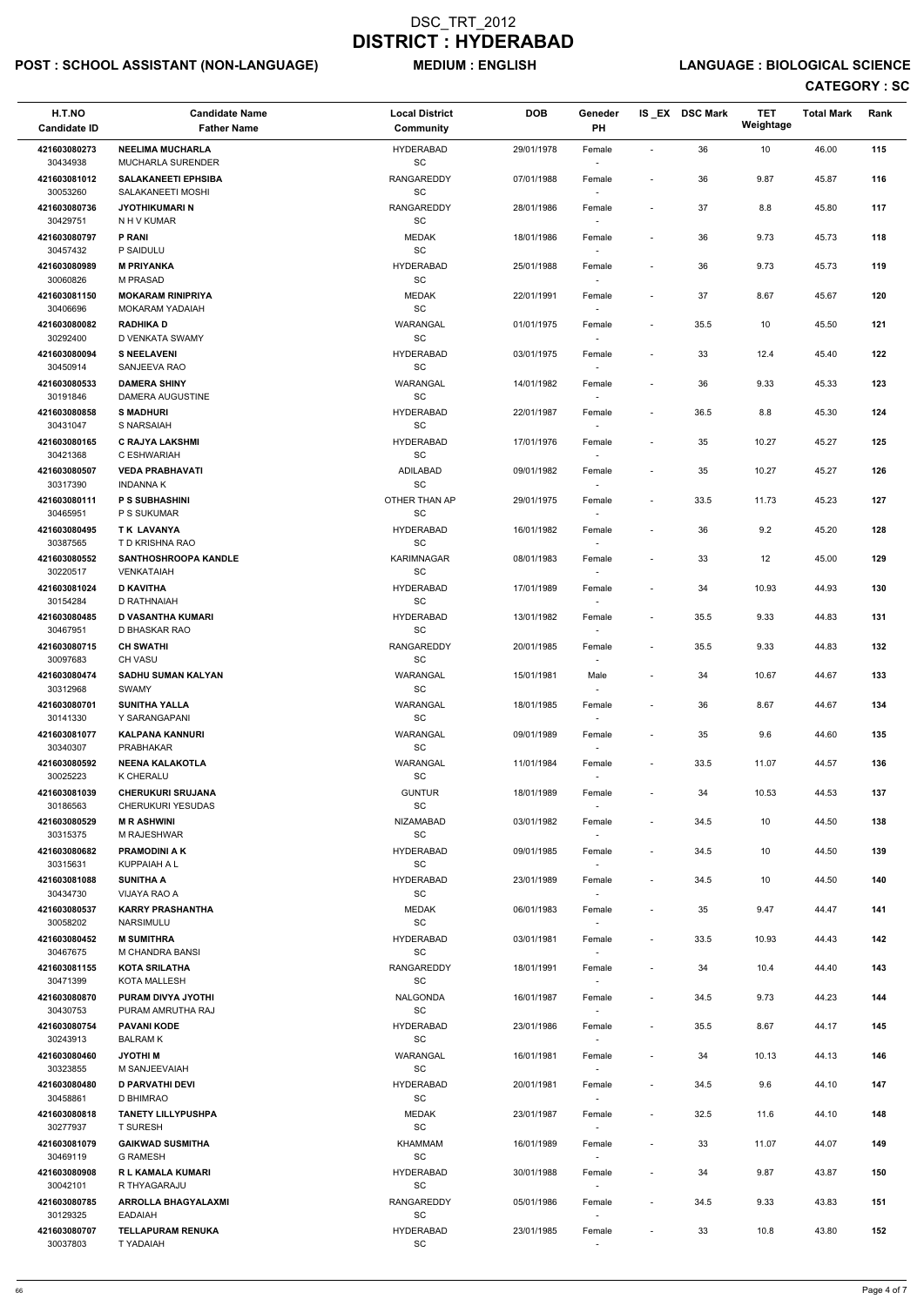## POST : SCHOOL ASSISTANT (NON-LANGUAGE) MEDIUM : ENGLISH LANGUAGE : BIOLOGICAL SCIENCE

| H.T.NO<br><b>Candidate ID</b>        | <b>Candidate Name</b><br><b>Father Name</b>                           | <b>Local District</b><br>Community                 | <b>DOB</b> | Geneder<br>PH                      |                              | IS_EX DSC Mark | <b>TET</b><br>Weightage | <b>Total Mark</b> | Rank |
|--------------------------------------|-----------------------------------------------------------------------|----------------------------------------------------|------------|------------------------------------|------------------------------|----------------|-------------------------|-------------------|------|
| 421603080273                         | <b>NEELIMA MUCHARLA</b>                                               | <b>HYDERABAD</b>                                   | 29/01/1978 | Female                             | $\overline{\phantom{a}}$     | 36             | 10                      | 46.00             | 115  |
| 30434938                             | MUCHARLA SURENDER                                                     | SC                                                 |            | $\overline{\phantom{a}}$           |                              |                |                         |                   |      |
| 421603081012<br>30053260             | <b>SALAKANEETI EPHSIBA</b><br>SALAKANEETI MOSHI                       | RANGAREDDY<br>SC                                   | 07/01/1988 | Female                             | $\qquad \qquad \blacksquare$ | 36             | 9.87                    | 45.87             | 116  |
| 421603080736<br>30429751             | <b>JYOTHIKUMARI N</b><br>N H V KUMAR                                  | <b>RANGAREDDY</b><br>SC                            | 28/01/1986 | Female                             | $\overline{\phantom{a}}$     | 37             | 8.8                     | 45.80             | 117  |
| 421603080797<br>30457432             | <b>P RANI</b><br>P SAIDULU                                            | <b>MEDAK</b><br>$\operatorname{\textsf{SC}}$       | 18/01/1986 | Female                             | $\overline{\phantom{a}}$     | 36             | 9.73                    | 45.73             | 118  |
| 421603080989                         | <b>M PRIYANKA</b>                                                     | <b>HYDERABAD</b>                                   | 25/01/1988 | Female                             | $\overline{\phantom{a}}$     | 36             | 9.73                    | 45.73             | 119  |
| 30060826<br>421603081150<br>30406696 | <b>M PRASAD</b><br><b>MOKARAM RINIPRIYA</b><br><b>MOKARAM YADAIAH</b> | SC<br><b>MEDAK</b><br>$\operatorname{\textsf{SC}}$ | 22/01/1991 | $\sim$<br>Female                   | $\qquad \qquad \blacksquare$ | 37             | 8.67                    | 45.67             | 120  |
| 421603080082<br>30292400             | <b>RADHIKA D</b><br>D VENKATA SWAMY                                   | WARANGAL<br>SC                                     | 01/01/1975 | Female                             | $\overline{\phantom{a}}$     | 35.5           | 10                      | 45.50             | 121  |
| 421603080094<br>30450914             | <b>S NEELAVENI</b><br>SANJEEVA RAO                                    | <b>HYDERABAD</b><br>$\operatorname{\textsf{SC}}$   | 03/01/1975 | Female<br>$\sim$                   | $\overline{\phantom{a}}$     | 33             | 12.4                    | 45.40             | 122  |
| 421603080533<br>30191846             | <b>DAMERA SHINY</b><br>DAMERA AUGUSTINE                               | WARANGAL<br>SC                                     | 14/01/1982 | Female<br>$\overline{\phantom{a}}$ | $\overline{\phantom{a}}$     | 36             | 9.33                    | 45.33             | 123  |
| 421603080858                         | <b>S MADHURI</b>                                                      | <b>HYDERABAD</b>                                   | 22/01/1987 | Female                             | $\overline{\phantom{a}}$     | 36.5           | $8.8\,$                 | 45.30             | 124  |
| 30431047<br>421603080165             | S NARSAIAH<br><b>C RAJYA LAKSHMI</b>                                  | SC<br><b>HYDERABAD</b>                             | 17/01/1976 | Female                             | $\qquad \qquad \blacksquare$ | 35             | 10.27                   | 45.27             | 125  |
| 30421368                             | C ESHWARIAH                                                           | SC                                                 |            |                                    |                              |                |                         |                   |      |
| 421603080507<br>30317390             | <b>VEDA PRABHAVATI</b><br><b>INDANNA K</b>                            | ADILABAD<br>SC                                     | 09/01/1982 | Female                             | $\overline{\phantom{a}}$     | 35             | 10.27                   | 45.27             | 126  |
| 421603080111<br>30465951             | <b>P S SUBHASHINI</b><br>P S SUKUMAR                                  | OTHER THAN AP<br>$\operatorname{\textsf{SC}}$      | 29/01/1975 | Female<br>$\sim$                   | $\overline{\phantom{a}}$     | 33.5           | 11.73                   | 45.23             | 127  |
| 421603080495                         | TK LAVANYA                                                            | <b>HYDERABAD</b>                                   | 16/01/1982 | Female                             | $\overline{\phantom{a}}$     | 36             | 9.2                     | 45.20             | 128  |
| 30387565<br>421603080552             | T D KRISHNA RAO<br><b>SANTHOSHROOPA KANDLE</b>                        | $\operatorname{\textsf{SC}}$<br><b>KARIMNAGAR</b>  | 08/01/1983 | Female                             | $\overline{\phantom{a}}$     | 33             | 12                      | 45.00             | 129  |
| 30220517<br>421603081024             | VENKATAIAH<br><b>D KAVITHA</b>                                        | $\operatorname{\textsf{SC}}$<br><b>HYDERABAD</b>   | 17/01/1989 | Female                             | $\overline{\phantom{a}}$     | 34             | 10.93                   | 44.93             | 130  |
| 30154284<br>421603080485             | D RATHNAIAH<br><b>D VASANTHA KUMARI</b>                               | SC<br><b>HYDERABAD</b>                             | 13/01/1982 | $\overline{\phantom{a}}$<br>Female | $\qquad \qquad \blacksquare$ | 35.5           | 9.33                    | 44.83             | 131  |
| 30467951<br>421603080715             | D BHASKAR RAO<br><b>CH SWATHI</b>                                     | SC<br><b>RANGAREDDY</b>                            | 20/01/1985 | $\sim$<br>Female                   | $\overline{\phantom{a}}$     | 35.5           | 9.33                    | 44.83             | 132  |
| 30097683<br>421603080474             | <b>CH VASU</b><br><b>SADHU SUMAN KALYAN</b>                           | SC<br>WARANGAL                                     | 15/01/1981 | Male                               | $\overline{\phantom{a}}$     | 34             | 10.67                   | 44.67             | 133  |
| 30312968                             | <b>SWAMY</b>                                                          | SC                                                 |            |                                    |                              |                |                         |                   |      |
| 421603080701<br>30141330             | <b>SUNITHA YALLA</b><br>Y SARANGAPANI                                 | WARANGAL<br>SC                                     | 18/01/1985 | Female                             | $\qquad \qquad \blacksquare$ | 36             | 8.67                    | 44.67             | 134  |
| 421603081077<br>30340307             | <b>KALPANA KANNURI</b><br><b>PRABHAKAR</b>                            | WARANGAL<br><b>SC</b>                              | 09/01/1989 | Female<br>$\overline{\phantom{a}}$ | $\overline{\phantom{a}}$     | 35             | 9.6                     | 44.60             | 135  |
| 421603080592<br>30025223             | <b>NEENA KALAKOTLA</b><br><b>K CHERALU</b>                            | WARANGAL<br>SC                                     | 11/01/1984 | Female                             | $\overline{\phantom{a}}$     | 33.5           | 11.07                   | 44.57             | 136  |
| 421603081039<br>30186563             | <b>CHERUKURI SRUJANA</b><br><b>CHERUKURI YESUDAS</b>                  | <b>GUNTUR</b><br>SC                                | 18/01/1989 | Female                             | $\overline{\phantom{a}}$     | 34             | 10.53                   | 44.53             | 137  |
| 421603080529<br>30315375             | <b>MR ASHWINI</b><br>M RAJESHWAR                                      | <b>NIZAMABAD</b><br>SC                             | 03/01/1982 | Female<br>$\sim$                   | $\overline{\phantom{a}}$     | 34.5           | 10                      | 44.50             | 138  |
| 421603080682<br>30315631             | <b>PRAMODINI A K</b><br>KUPPAIAH A L                                  | <b>HYDERABAD</b><br><b>SC</b>                      | 09/01/1985 | Female                             | $\overline{\phantom{a}}$     | 34.5           | 10                      | 44.50             | 139  |
| 421603081088<br>30434730             | <b>SUNITHA A</b><br>VIJAYA RAO A                                      | <b>HYDERABAD</b><br>SC                             | 23/01/1989 | Female<br>$\sim$                   | $\overline{\phantom{a}}$     | 34.5           | 10                      | 44.50             | 140  |
| 421603080537                         | <b>KARRY PRASHANTHA</b>                                               | <b>MEDAK</b>                                       | 06/01/1983 | Female                             | $\overline{\phantom{a}}$     | 35             | 9.47                    | 44.47             | 141  |
| 30058202<br>421603080452             | NARSIMULU<br><b>M SUMITHRA</b>                                        | $\operatorname{\textsf{SC}}$<br><b>HYDERABAD</b>   | 03/01/1981 | Female                             | $\overline{\phantom{a}}$     | 33.5           | 10.93                   | 44.43             | 142  |
| 30467675<br>421603081155             | M CHANDRA BANSI<br><b>KOTA SRILATHA</b>                               | SC<br>RANGAREDDY                                   | 18/01/1991 | Female                             | $\overline{\phantom{a}}$     | 34             | 10.4                    | 44.40             | 143  |
| 30471399<br>421603080870             | <b>KOTA MALLESH</b><br>PURAM DIVYA JYOTHI                             | SC<br><b>NALGONDA</b>                              | 16/01/1987 | $\sim$<br>Female                   | $\overline{\phantom{a}}$     | 34.5           | 9.73                    | 44.23             | 144  |
| 30430753                             | PURAM AMRUTHA RAJ                                                     | <b>SC</b>                                          |            | $\overline{\phantom{a}}$           |                              |                |                         |                   |      |
| 421603080754<br>30243913             | <b>PAVANI KODE</b><br><b>BALRAMK</b>                                  | <b>HYDERABAD</b><br>SC                             | 23/01/1986 | Female                             | $\overline{\phantom{a}}$     | 35.5           | 8.67                    | 44.17             | 145  |
| 421603080460                         | <b>JYOTHIM</b>                                                        | WARANGAL                                           | 16/01/1981 | Female                             | $\overline{\phantom{a}}$     | 34             | 10.13                   | 44.13             | 146  |
| 30323855<br>421603080480             | M SANJEEVAIAH<br><b>D PARVATHI DEVI</b>                               | SC<br><b>HYDERABAD</b>                             | 20/01/1981 | Female                             | $\blacksquare$               | 34.5           | 9.6                     | 44.10             | 147  |
| 30458861                             | D BHIMRAO                                                             | SC                                                 |            | $\sim$                             |                              |                |                         |                   |      |
| 421603080818<br>30277937             | <b>TANETY LILLYPUSHPA</b><br><b>T SURESH</b>                          | MEDAK<br>SC                                        | 23/01/1987 | Female                             | $\qquad \qquad \blacksquare$ | 32.5           | 11.6                    | 44.10             | 148  |
| 421603081079<br>30469119             | <b>GAIKWAD SUSMITHA</b><br><b>G RAMESH</b>                            | KHAMMAM<br>$\operatorname{\textsf{SC}}$            | 16/01/1989 | Female<br>$\sim$                   | $\blacksquare$               | 33             | 11.07                   | 44.07             | 149  |
| 421603080908<br>30042101             | R L KAMALA KUMARI<br>R THYAGARAJU                                     | <b>HYDERABAD</b><br>SC                             | 30/01/1988 | Female<br>$\overline{\phantom{a}}$ |                              | 34             | 9.87                    | 43.87             | 150  |
| 421603080785<br>30129325             | <b>ARROLLA BHAGYALAXMI</b><br><b>EADAIAH</b>                          | RANGAREDDY<br>SC                                   | 05/01/1986 | Female<br>$\overline{\phantom{a}}$ | $\overline{\phantom{a}}$     | 34.5           | 9.33                    | 43.83             | 151  |
| 421603080707<br>30037803             | <b>TELLAPURAM RENUKA</b><br>T YADAIAH                                 | <b>HYDERABAD</b><br>SC                             | 23/01/1985 | Female                             |                              | 33             | 10.8                    | 43.80             | 152  |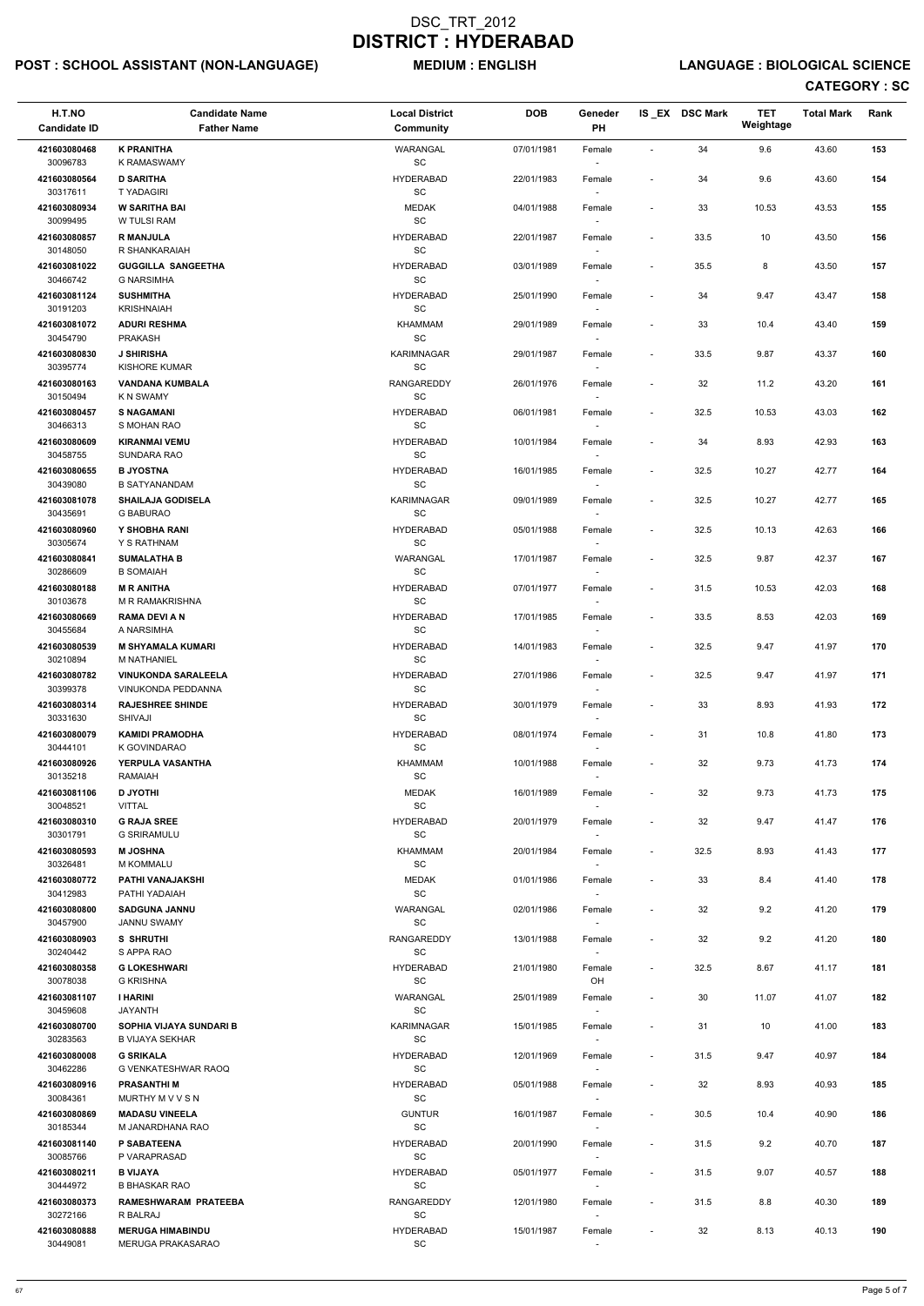## POST : SCHOOL ASSISTANT (NON-LANGUAGE) MEDIUM : ENGLISH LANGUAGE : BIOLOGICAL SCIENCE

| H.T.NO<br><b>Candidate ID</b> | <b>Candidate Name</b><br><b>Father Name</b>              | <b>Local District</b><br>Community                | <b>DOB</b> | Geneder<br>PH                      |                          | IS_EX DSC Mark | <b>TET</b><br>Weightage | <b>Total Mark</b> | Rank |
|-------------------------------|----------------------------------------------------------|---------------------------------------------------|------------|------------------------------------|--------------------------|----------------|-------------------------|-------------------|------|
| 421603080468                  | <b>K PRANITHA</b>                                        | WARANGAL                                          | 07/01/1981 | Female                             | $\overline{\phantom{a}}$ | 34             | 9.6                     | 43.60             | 153  |
| 30096783                      | <b>K RAMASWAMY</b>                                       | $\operatorname{\textsf{SC}}$                      |            |                                    |                          |                |                         |                   |      |
| 421603080564<br>30317611      | <b>D SARITHA</b><br><b>TYADAGIRI</b>                     | <b>HYDERABAD</b><br>$\operatorname{\textsf{SC}}$  | 22/01/1983 | Female                             | $\overline{\phantom{a}}$ | 34             | 9.6                     | 43.60             | 154  |
| 421603080934<br>30099495      | <b>W SARITHA BAI</b><br>W TULSI RAM                      | <b>MEDAK</b><br>$\operatorname{\textsf{sc}}$      | 04/01/1988 | Female                             | $\overline{\phantom{a}}$ | 33             | 10.53                   | 43.53             | 155  |
| 421603080857<br>30148050      | <b>R MANJULA</b><br>R SHANKARAIAH                        | <b>HYDERABAD</b><br>SC                            | 22/01/1987 | Female                             | $\overline{\phantom{a}}$ | 33.5           | 10                      | 43.50             | 156  |
| 421603081022                  | <b>GUGGILLA SANGEETHA</b>                                | <b>HYDERABAD</b>                                  | 03/01/1989 | Female                             | $\overline{\phantom{a}}$ | 35.5           | 8                       | 43.50             | 157  |
| 30466742<br>421603081124      | <b>G NARSIMHA</b><br><b>SUSHMITHA</b>                    | SC<br><b>HYDERABAD</b>                            | 25/01/1990 | $\sim$<br>Female                   | $\overline{\phantom{a}}$ | 34             | 9.47                    | 43.47             | 158  |
| 30191203<br>421603081072      | <b>KRISHNAIAH</b><br><b>ADURI RESHMA</b>                 | SC<br>KHAMMAM                                     | 29/01/1989 | Female                             | $\overline{\phantom{a}}$ | 33             | 10.4                    | 43.40             | 159  |
| 30454790                      | <b>PRAKASH</b>                                           | SC                                                |            |                                    |                          |                |                         |                   |      |
| 421603080830<br>30395774      | <b>J SHIRISHA</b><br><b>KISHORE KUMAR</b>                | <b>KARIMNAGAR</b><br>$\operatorname{\textsf{SC}}$ | 29/01/1987 | Female<br>$\sim$                   | $\overline{\phantom{a}}$ | 33.5           | 9.87                    | 43.37             | 160  |
| 421603080163<br>30150494      | <b>VANDANA KUMBALA</b><br>K N SWAMY                      | RANGAREDDY<br>SC                                  | 26/01/1976 | Female                             | $\overline{\phantom{a}}$ | 32             | 11.2                    | 43.20             | 161  |
| 421603080457<br>30466313      | <b>S NAGAMANI</b><br>S MOHAN RAO                         | <b>HYDERABAD</b><br>$\operatorname{\textsf{SC}}$  | 06/01/1981 | Female                             | $\overline{\phantom{a}}$ | 32.5           | 10.53                   | 43.03             | 162  |
| 421603080609                  | <b>KIRANMAI VEMU</b>                                     | <b>HYDERABAD</b>                                  | 10/01/1984 | Female                             | $\overline{a}$           | 34             | 8.93                    | 42.93             | 163  |
| 30458755                      | SUNDARA RAO                                              | SC                                                |            |                                    |                          |                |                         |                   |      |
| 421603080655<br>30439080      | <b>B JYOSTNA</b><br><b>B SATYANANDAM</b>                 | <b>HYDERABAD</b><br>SC                            | 16/01/1985 | Female                             | $\overline{\phantom{a}}$ | 32.5           | 10.27                   | 42.77             | 164  |
| 421603081078<br>30435691      | <b>SHAILAJA GODISELA</b><br><b>G BABURAO</b>             | <b>KARIMNAGAR</b><br>SC                           | 09/01/1989 | Female<br>$\sim$                   | $\overline{\phantom{a}}$ | 32.5           | 10.27                   | 42.77             | 165  |
| 421603080960                  | Y SHOBHA RANI                                            | <b>HYDERABAD</b>                                  | 05/01/1988 | Female                             | $\overline{\phantom{a}}$ | 32.5           | 10.13                   | 42.63             | 166  |
| 30305674<br>421603080841      | Y S RATHNAM<br><b>SUMALATHA B</b>                        | SC<br>WARANGAL                                    | 17/01/1987 | $\overline{\phantom{a}}$<br>Female | $\overline{\phantom{a}}$ | 32.5           | 9.87                    | 42.37             | 167  |
| 30286609<br>421603080188      | <b>B SOMAIAH</b><br><b>M R ANITHA</b>                    | $\operatorname{\textsf{SC}}$<br><b>HYDERABAD</b>  | 07/01/1977 | Female                             | $\overline{\phantom{a}}$ | 31.5           | 10.53                   | 42.03             | 168  |
| 30103678<br>421603080669      | M R RAMAKRISHNA<br><b>RAMA DEVI A N</b>                  | SC<br><b>HYDERABAD</b>                            | 17/01/1985 | $\overline{\phantom{a}}$<br>Female | $\overline{\phantom{a}}$ | 33.5           | 8.53                    | 42.03             | 169  |
| 30455684                      | A NARSIMHA                                               | SC                                                |            | $\sim$                             |                          |                |                         |                   |      |
| 421603080539<br>30210894      | <b>M SHYAMALA KUMARI</b><br><b>M NATHANIEL</b>           | <b>HYDERABAD</b><br>SC                            | 14/01/1983 | Female                             | $\overline{\phantom{a}}$ | 32.5           | 9.47                    | 41.97             | 170  |
| 421603080782<br>30399378      | <b>VINUKONDA SARALEELA</b><br>VINUKONDA PEDDANNA         | <b>HYDERABAD</b><br>SC                            | 27/01/1986 | Female                             | $\overline{\phantom{a}}$ | 32.5           | 9.47                    | 41.97             | 171  |
| 421603080314<br>30331630      | <b>RAJESHREE SHINDE</b><br>SHIVAJI                       | <b>HYDERABAD</b><br><b>SC</b>                     | 30/01/1979 | Female                             | $\overline{\phantom{a}}$ | 33             | 8.93                    | 41.93             | 172  |
| 421603080079<br>30444101      | <b>KAMIDI PRAMODHA</b><br>K GOVINDARAO                   | <b>HYDERABAD</b><br>SC                            | 08/01/1974 | Female<br>$\sim$                   | $\overline{\phantom{a}}$ | 31             | 10.8                    | 41.80             | 173  |
| 421603080926                  | YERPULA VASANTHA                                         | KHAMMAM                                           | 10/01/1988 | Female                             | $\overline{\phantom{a}}$ | 32             | 9.73                    | 41.73             | 174  |
| 30135218<br>421603081106      | <b>RAMAIAH</b><br><b>D JYOTHI</b>                        | $\operatorname{\textsf{SC}}$<br><b>MEDAK</b>      | 16/01/1989 | Female                             | $\overline{\phantom{a}}$ | 32             | 9.73                    | 41.73             | 175  |
| 30048521<br>421603080310      | <b>VITTAL</b><br><b>G RAJA SREE</b>                      | SC<br><b>HYDERABAD</b>                            | 20/01/1979 |                                    | $\overline{\phantom{a}}$ | 32             | 9.47                    | 41.47             | 176  |
| 30301791                      | <b>G SRIRAMULU</b>                                       | SC                                                |            | Female<br>$\sim$                   |                          |                |                         |                   |      |
| 421603080593<br>30326481      | <b>M JOSHNA</b><br><b>M KOMMALU</b>                      | KHAMMAM<br>SC                                     | 20/01/1984 | Female<br>$\overline{\phantom{a}}$ | $\overline{\phantom{a}}$ | 32.5           | 8.93                    | 41.43             | 177  |
| 421603080772<br>30412983      | PATHI VANAJAKSHI<br>PATHI YADAIAH                        | <b>MEDAK</b><br>$\operatorname{\textsf{SC}}$      | 01/01/1986 | Female<br>$\sim$                   | $\overline{\phantom{a}}$ | 33             | 8.4                     | 41.40             | 178  |
| 421603080800<br>30457900      | <b>SADGUNA JANNU</b><br><b>JANNU SWAMY</b>               | WARANGAL<br>SC                                    | 02/01/1986 | Female                             | $\overline{a}$           | 32             | 9.2                     | 41.20             | 179  |
| 421603080903                  | S SHRUTHI                                                | <b>RANGAREDDY</b>                                 | 13/01/1988 | Female                             | $\overline{\phantom{a}}$ | 32             | 9.2                     | 41.20             | 180  |
| 30240442<br>421603080358      | S APPA RAO<br><b>G LOKESHWARI</b>                        | SC<br><b>HYDERABAD</b>                            | 21/01/1980 | Female                             | $\overline{\phantom{a}}$ | 32.5           | 8.67                    | 41.17             | 181  |
| 30078038                      | <b>G KRISHNA</b>                                         | SC                                                |            | OH                                 |                          |                |                         |                   |      |
| 421603081107<br>30459608      | <b>I HARINI</b><br>JAYANTH                               | WARANGAL<br>SC                                    | 25/01/1989 | Female<br>$\sim$                   | $\overline{\phantom{a}}$ | 30             | 11.07                   | 41.07             | 182  |
| 421603080700<br>30283563      | <b>SOPHIA VIJAYA SUNDARI B</b><br><b>B VIJAYA SEKHAR</b> | <b>KARIMNAGAR</b><br>SC                           | 15/01/1985 | Female                             | $\blacksquare$           | 31             | 10                      | 41.00             | 183  |
| 421603080008                  | <b>G SRIKALA</b>                                         | <b>HYDERABAD</b>                                  | 12/01/1969 | Female                             | $\overline{\phantom{a}}$ | 31.5           | 9.47                    | 40.97             | 184  |
| 30462286                      | G VENKATESHWAR RAOQ                                      | SC                                                |            |                                    |                          |                |                         |                   |      |
| 421603080916<br>30084361      | <b>PRASANTHI M</b><br>MURTHY M V V S N                   | <b>HYDERABAD</b><br>SC                            | 05/01/1988 | Female<br>$\sim$                   | $\overline{\phantom{a}}$ | 32             | 8.93                    | 40.93             | 185  |
| 421603080869<br>30185344      | <b>MADASU VINEELA</b><br>M JANARDHANA RAO                | <b>GUNTUR</b><br>$\operatorname{\textsf{SC}}$     | 16/01/1987 | Female                             | $\overline{\phantom{a}}$ | 30.5           | 10.4                    | 40.90             | 186  |
| 421603081140<br>30085766      | P SABATEENA<br>P VARAPRASAD                              | <b>HYDERABAD</b><br>SC                            | 20/01/1990 | Female<br>$\sim$                   | $\overline{\phantom{a}}$ | 31.5           | 9.2                     | 40.70             | 187  |
| 421603080211                  | <b>B VIJAYA</b>                                          | <b>HYDERABAD</b>                                  | 05/01/1977 | Female                             | $\overline{\phantom{a}}$ | 31.5           | 9.07                    | 40.57             | 188  |
| 30444972<br>421603080373      | <b>B BHASKAR RAO</b><br>RAMESHWARAM PRATEEBA             | $\operatorname{\textsf{SC}}$<br>RANGAREDDY        | 12/01/1980 | $\sim$<br>Female                   | $\overline{\phantom{a}}$ | 31.5           | 8.8                     | 40.30             | 189  |
| 30272166<br>421603080888      | R BALRAJ<br><b>MERUGA HIMABINDU</b>                      | SC<br><b>HYDERABAD</b>                            | 15/01/1987 | $\sim$<br>Female                   | $\overline{a}$           | 32             | 8.13                    | 40.13             | 190  |
| 30449081                      | MERUGA PRAKASARAO                                        | SC                                                |            |                                    |                          |                |                         |                   |      |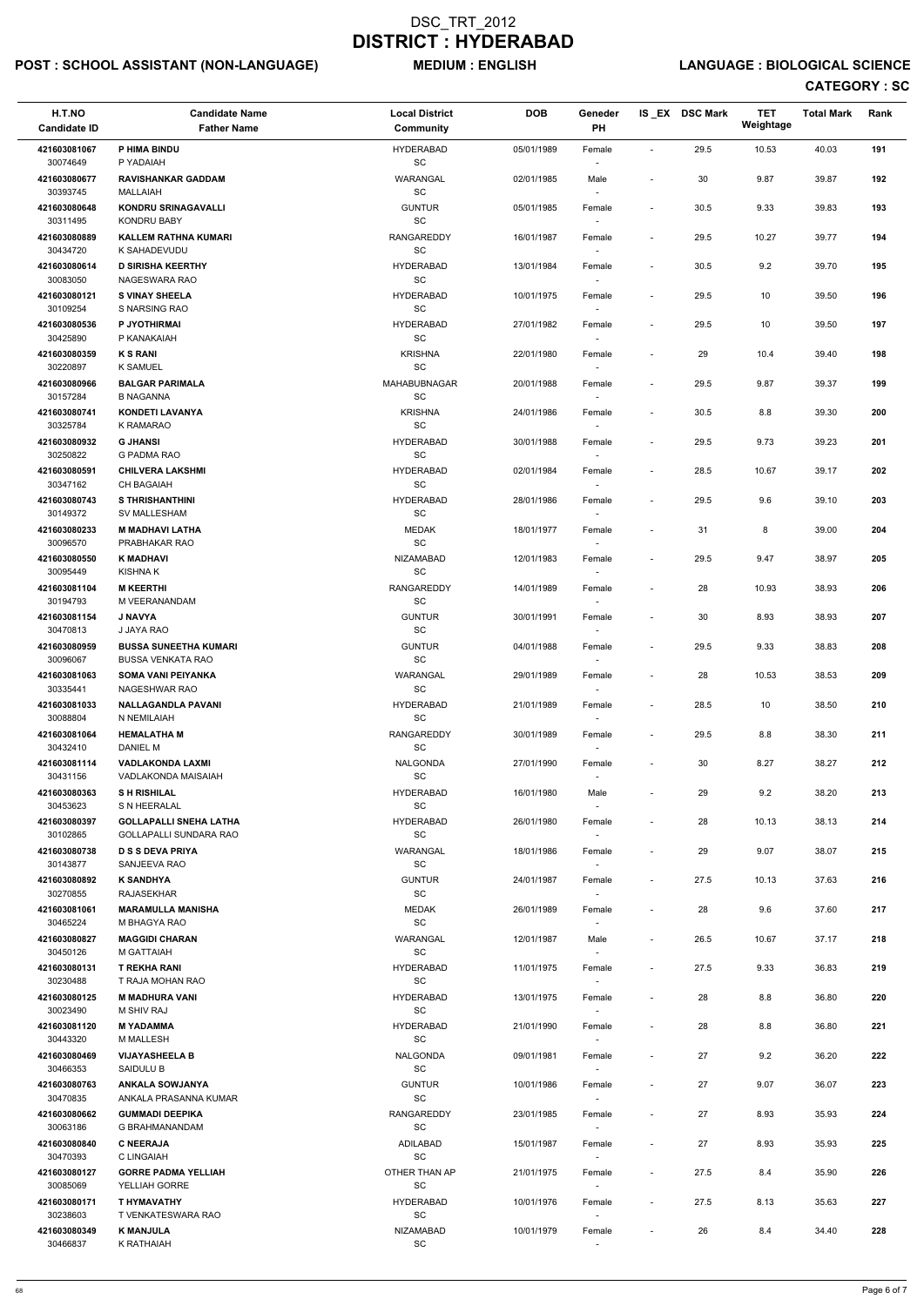## POST : SCHOOL ASSISTANT (NON-LANGUAGE) MEDIUM : ENGLISH LANGUAGE : BIOLOGICAL SCIENCE

| H.T.NO<br><b>Candidate ID</b> | <b>Candidate Name</b><br><b>Father Name</b>             | <b>Local District</b><br><b>Community</b>        | <b>DOB</b> | Geneder<br>PH                      |                              | IS EX DSC Mark | <b>TET</b><br>Weightage | <b>Total Mark</b> | Rank |
|-------------------------------|---------------------------------------------------------|--------------------------------------------------|------------|------------------------------------|------------------------------|----------------|-------------------------|-------------------|------|
| 421603081067<br>30074649      | P HIMA BINDU<br>P YADAIAH                               | <b>HYDERABAD</b><br>SC                           | 05/01/1989 | Female                             | $\blacksquare$               | 29.5           | 10.53                   | 40.03             | 191  |
| 421603080677<br>30393745      | <b>RAVISHANKAR GADDAM</b><br>MALLAIAH                   | WARANGAL<br>SC                                   | 02/01/1985 | Male                               | $\overline{\phantom{a}}$     | 30             | 9.87                    | 39.87             | 192  |
| 421603080648<br>30311495      | <b>KONDRU SRINAGAVALLI</b><br>KONDRU BABY               | <b>GUNTUR</b><br>$\operatorname{\textsf{SC}}$    | 05/01/1985 | Female                             | $\overline{\phantom{a}}$     | 30.5           | 9.33                    | 39.83             | 193  |
| 421603080889                  | <b>KALLEM RATHNA KUMARI</b>                             | RANGAREDDY                                       | 16/01/1987 | Female                             | $\overline{\phantom{a}}$     | 29.5           | 10.27                   | 39.77             | 194  |
| 30434720<br>421603080614      | K SAHADEVUDU<br><b>D SIRISHA KEERTHY</b>                | SC<br>HYDERABAD                                  | 13/01/1984 | Female                             | $\overline{\phantom{a}}$     | 30.5           | 9.2                     | 39.70             | 195  |
| 30083050<br>421603080121      | NAGESWARA RAO<br><b>S VINAY SHEELA</b>                  | SC<br>HYDERABAD                                  | 10/01/1975 | $\sim$<br>Female                   | $\overline{\phantom{a}}$     | 29.5           | 10                      | 39.50             | 196  |
| 30109254<br>421603080536      | S NARSING RAO<br>P JYOTHIRMAI                           | $\operatorname{\textsf{SC}}$<br><b>HYDERABAD</b> | 27/01/1982 | Female                             | $\overline{\phantom{a}}$     | 29.5           | 10                      | 39.50             | 197  |
| 30425890<br>421603080359      | P KANAKAIAH<br><b>K S RANI</b>                          | SC<br><b>KRISHNA</b>                             | 22/01/1980 | Female                             | $\overline{\phantom{a}}$     | 29             | 10.4                    | 39.40             | 198  |
| 30220897<br>421603080966      | <b>K SAMUEL</b><br><b>BALGAR PARIMALA</b>               | $\operatorname{\textsf{SC}}$<br>MAHABUBNAGAR     | 20/01/1988 | $\sim$<br>Female                   | $\overline{\phantom{a}}$     | 29.5           | 9.87                    | 39.37             | 199  |
| 30157284<br>421603080741      | <b>B NAGANNA</b><br><b>KONDETI LAVANYA</b>              | <b>SC</b><br><b>KRISHNA</b>                      | 24/01/1986 | $\sim$                             | $\overline{\phantom{a}}$     | 30.5           | 8.8                     | 39.30             | 200  |
| 30325784                      | K RAMARAO                                               | $\operatorname{\textsf{SC}}$                     |            | Female<br>$\sim$                   |                              |                |                         |                   |      |
| 421603080932<br>30250822      | <b>G JHANSI</b><br>G PADMA RAO                          | <b>HYDERABAD</b><br>SC                           | 30/01/1988 | Female                             | $\overline{\phantom{a}}$     | 29.5           | 9.73                    | 39.23             | 201  |
| 421603080591<br>30347162      | <b>CHILVERA LAKSHMI</b><br><b>CH BAGAIAH</b>            | <b>HYDERABAD</b><br>SC                           | 02/01/1984 | Female                             | $\overline{\phantom{a}}$     | 28.5           | 10.67                   | 39.17             | 202  |
| 421603080743<br>30149372      | <b>S THRISHANTHINI</b><br>SV MALLESHAM                  | <b>HYDERABAD</b><br>SC                           | 28/01/1986 | Female                             | $\qquad \qquad \blacksquare$ | 29.5           | 9.6                     | 39.10             | 203  |
| 421603080233<br>30096570      | <b>M MADHAVI LATHA</b><br>PRABHAKAR RAO                 | <b>MEDAK</b><br>SC                               | 18/01/1977 | Female<br>$\sim$                   | $\overline{\phantom{a}}$     | 31             | 8                       | 39.00             | 204  |
| 421603080550<br>30095449      | <b>K MADHAVI</b><br><b>KISHNA K</b>                     | NIZAMABAD<br>$\operatorname{\textsf{SC}}$        | 12/01/1983 | Female                             | $\overline{\phantom{a}}$     | 29.5           | 9.47                    | 38.97             | 205  |
| 421603081104<br>30194793      | <b>M KEERTHI</b><br>M VEERANANDAM                       | <b>RANGAREDDY</b><br>SC                          | 14/01/1989 | Female<br>$\overline{\phantom{a}}$ | $\overline{\phantom{a}}$     | 28             | 10.93                   | 38.93             | 206  |
| 421603081154                  | <b>J NAVYA</b>                                          | <b>GUNTUR</b>                                    | 30/01/1991 | Female                             |                              | 30             | 8.93                    | 38.93             | 207  |
| 30470813<br>421603080959      | J JAYA RAO<br><b>BUSSA SUNEETHA KUMARI</b>              | $\operatorname{\textsf{SC}}$<br><b>GUNTUR</b>    | 04/01/1988 | $\sim$<br>Female                   | $\overline{\phantom{a}}$     | 29.5           | 9.33                    | 38.83             | 208  |
| 30096067<br>421603081063      | <b>BUSSA VENKATA RAO</b><br><b>SOMA VANI PEIYANKA</b>   | SC<br>WARANGAL                                   | 29/01/1989 | Female                             | $\overline{\phantom{a}}$     | 28             | 10.53                   | 38.53             | 209  |
| 30335441<br>421603081033      | NAGESHWAR RAO<br><b>NALLAGANDLA PAVANI</b>              | SC<br><b>HYDERABAD</b>                           | 21/01/1989 | $\sim$<br>Female                   | $\overline{\phantom{a}}$     | 28.5           | 10                      | 38.50             | 210  |
| 30088804<br>421603081064      | N NEMILAIAH<br><b>HEMALATHA M</b>                       | SC<br>RANGAREDDY                                 | 30/01/1989 | $\overline{\phantom{a}}$<br>Female | $\overline{\phantom{a}}$     | 29.5           | 8.8                     | 38.30             | 211  |
| 30432410<br>421603081114      | <b>DANIEL M</b><br><b>VADLAKONDA LAXMI</b>              | SC<br><b>NALGONDA</b>                            | 27/01/1990 | $\sim$<br>Female                   | $\qquad \qquad \blacksquare$ | 30             | 8.27                    | 38.27             | 212  |
| 30431156<br>421603080363      | VADLAKONDA MAISAIAH<br><b>SH RISHILAL</b>               | SC<br>HYDERABAD                                  | 16/01/1980 | Male                               | $\overline{\phantom{a}}$     | 29             | 9.2                     | 38.20             | 213  |
| 30453623                      | S N HEERALAL                                            | <b>SC</b><br><b>HYDERABAD</b>                    |            |                                    |                              |                |                         |                   |      |
| 421603080397<br>30102865      | <b>GOLLAPALLI SNEHA LATHA</b><br>GOLLAPALLI SUNDARA RAO | SC                                               | 26/01/1980 | Female<br>$\sim$                   | $\blacksquare$               | 28             | 10.13                   | 38.13             | 214  |
| 421603080738<br>30143877      | <b>D S S DEVA PRIYA</b><br>SANJEEVA RAO                 | WARANGAL<br>SC                                   | 18/01/1986 | Female<br>$\sim$                   | $\overline{\phantom{a}}$     | 29             | 9.07                    | 38.07             | 215  |
| 421603080892<br>30270855      | <b>K SANDHYA</b><br><b>RAJASEKHAR</b>                   | <b>GUNTUR</b><br>$\operatorname{\textsf{SC}}$    | 24/01/1987 | Female<br>$\overline{\phantom{a}}$ | $\overline{\phantom{a}}$     | 27.5           | 10.13                   | 37.63             | 216  |
| 421603081061<br>30465224      | <b>MARAMULLA MANISHA</b><br>M BHAGYA RAO                | <b>MEDAK</b><br>SC                               | 26/01/1989 | Female                             | $\overline{\phantom{a}}$     | 28             | 9.6                     | 37.60             | 217  |
| 421603080827<br>30450126      | <b>MAGGIDI CHARAN</b><br>M GATTAIAH                     | WARANGAL<br>SC                                   | 12/01/1987 | Male<br>$\sim$                     | $\overline{\phantom{a}}$     | 26.5           | 10.67                   | 37.17             | 218  |
| 421603080131<br>30230488      | T REKHA RANI<br>T RAJA MOHAN RAO                        | <b>HYDERABAD</b><br>SC                           | 11/01/1975 | Female<br>$\sim$                   | $\overline{\phantom{a}}$     | 27.5           | 9.33                    | 36.83             | 219  |
| 421603080125<br>30023490      | <b>M MADHURA VANI</b><br><b>M SHIV RAJ</b>              | HYDERABAD<br>SC                                  | 13/01/1975 | Female<br>$\sim$                   | $\overline{\phantom{a}}$     | 28             | 8.8                     | 36.80             | 220  |
| 421603081120                  | <b>M YADAMMA</b>                                        | <b>HYDERABAD</b>                                 | 21/01/1990 | Female                             | $\qquad \qquad \blacksquare$ | 28             | 8.8                     | 36.80             | 221  |
| 30443320<br>421603080469      | M MALLESH<br><b>VIJAYASHEELA B</b>                      | SC<br><b>NALGONDA</b>                            | 09/01/1981 | Female                             | $\overline{\phantom{a}}$     | 27             | 9.2                     | 36.20             | 222  |
| 30466353<br>421603080763      | SAIDULU B<br><b>ANKALA SOWJANYA</b>                     | <b>SC</b><br><b>GUNTUR</b>                       | 10/01/1986 | Female                             | $\overline{\phantom{a}}$     | 27             | 9.07                    | 36.07             | 223  |
| 30470835<br>421603080662      | ANKALA PRASANNA KUMAR<br><b>GUMMADI DEEPIKA</b>         | SC<br>RANGAREDDY                                 | 23/01/1985 | $\sim$<br>Female                   | $\overline{\phantom{a}}$     | 27             | 8.93                    | 35.93             | 224  |
| 30063186<br>421603080840      | G BRAHMANANDAM<br><b>C NEERAJA</b>                      | SC<br>ADILABAD                                   | 15/01/1987 | Female                             | $\overline{\phantom{a}}$     | 27             | 8.93                    | 35.93             | 225  |
| 30470393<br>421603080127      | C LINGAIAH<br><b>GORRE PADMA YELLIAH</b>                | SC<br>OTHER THAN AP                              | 21/01/1975 | $\sim$<br>Female                   | $\overline{\phantom{a}}$     | 27.5           | 8.4                     | 35.90             | 226  |
| 30085069                      | YELLIAH GORRE                                           | SC                                               |            | $\sim$                             |                              |                |                         |                   |      |
| 421603080171<br>30238603      | T HYMAVATHY<br>T VENKATESWARA RAO                       | <b>HYDERABAD</b><br>SC                           | 10/01/1976 | Female<br>$\sim$                   | $\overline{\phantom{a}}$     | 27.5           | 8.13                    | 35.63             | 227  |
| 421603080349<br>30466837      | <b>K MANJULA</b><br>K RATHAIAH                          | NIZAMABAD<br>$\operatorname{\textsf{SC}}$        | 10/01/1979 | Female                             | $\qquad \qquad \blacksquare$ | 26             | 8.4                     | 34.40             | 228  |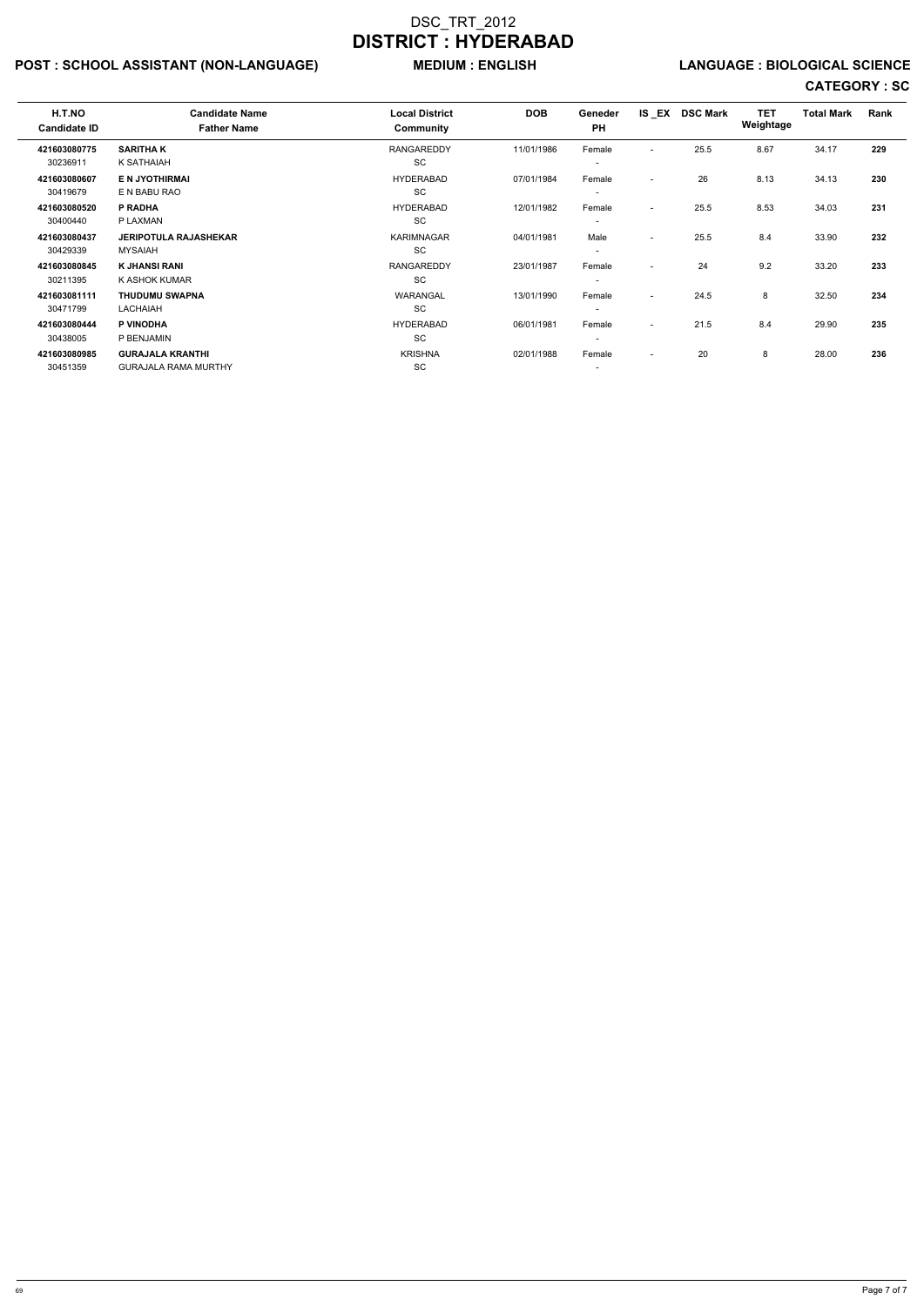## POST : SCHOOL ASSISTANT (NON-LANGUAGE) MEDIUM : ENGLISH LANGUAGE : BIOLOGICAL SCIENCE

| H.T.NO<br><b>Candidate ID</b> | <b>Candidate Name</b><br><b>Father Name</b> | <b>Local District</b><br><b>Community</b> | <b>DOB</b> | Geneder<br><b>PH</b>     |                          | IS EX DSC Mark | <b>TET</b><br>Weightage | <b>Total Mark</b> | Rank |
|-------------------------------|---------------------------------------------|-------------------------------------------|------------|--------------------------|--------------------------|----------------|-------------------------|-------------------|------|
| 421603080775                  | <b>SARITHAK</b>                             | RANGAREDDY                                | 11/01/1986 | Female                   | $\overline{\phantom{0}}$ | 25.5           | 8.67                    | 34.17             | 229  |
| 30236911                      | K SATHAIAH                                  | SC                                        |            | $\overline{\phantom{a}}$ |                          |                |                         |                   |      |
| 421603080607                  | <b>E N JYOTHIRMAI</b>                       | <b>HYDERABAD</b>                          | 07/01/1984 | Female                   | $\overline{\phantom{a}}$ | 26             | 8.13                    | 34.13             | 230  |
| 30419679                      | E N BABU RAO                                | <b>SC</b>                                 |            | $\overline{\phantom{a}}$ |                          |                |                         |                   |      |
| 421603080520                  | P RADHA                                     | HYDERABAD                                 | 12/01/1982 | Female                   | $\overline{\phantom{0}}$ | 25.5           | 8.53                    | 34.03             | 231  |
| 30400440                      | P LAXMAN                                    | <b>SC</b>                                 |            | $\overline{\phantom{a}}$ |                          |                |                         |                   |      |
| 421603080437                  | <b>JERIPOTULA RAJASHEKAR</b>                | <b>KARIMNAGAR</b>                         | 04/01/1981 | Male                     | $\sim$                   | 25.5           | 8.4                     | 33.90             | 232  |
| 30429339                      | <b>MYSAIAH</b>                              | <b>SC</b>                                 |            | $\overline{\phantom{a}}$ |                          |                |                         |                   |      |
| 421603080845                  | <b>K JHANSI RANI</b>                        | <b>RANGAREDDY</b>                         | 23/01/1987 | Female                   | $\sim$                   | 24             | 9.2                     | 33.20             | 233  |
| 30211395                      | K ASHOK KUMAR                               | <b>SC</b>                                 |            |                          |                          |                |                         |                   |      |
| 421603081111                  | <b>THUDUMU SWAPNA</b>                       | <b>WARANGAL</b>                           | 13/01/1990 | Female                   | $\sim$                   | 24.5           | 8                       | 32.50             | 234  |
| 30471799                      | LACHAIAH                                    | <b>SC</b>                                 |            | $\overline{\phantom{0}}$ |                          |                |                         |                   |      |
| 421603080444                  | P VINODHA                                   | HYDERABAD                                 | 06/01/1981 | Female                   | $\sim$                   | 21.5           | 8.4                     | 29.90             | 235  |
| 30438005                      | P BENJAMIN                                  | SC                                        |            | $\overline{\phantom{a}}$ |                          |                |                         |                   |      |
| 421603080985                  | <b>GURAJALA KRANTHI</b>                     | <b>KRISHNA</b>                            | 02/01/1988 | Female                   | $\sim$                   | 20             | 8                       | 28.00             | 236  |
| 30451359                      | <b>GURAJALA RAMA MURTHY</b>                 | <b>SC</b>                                 |            |                          |                          |                |                         |                   |      |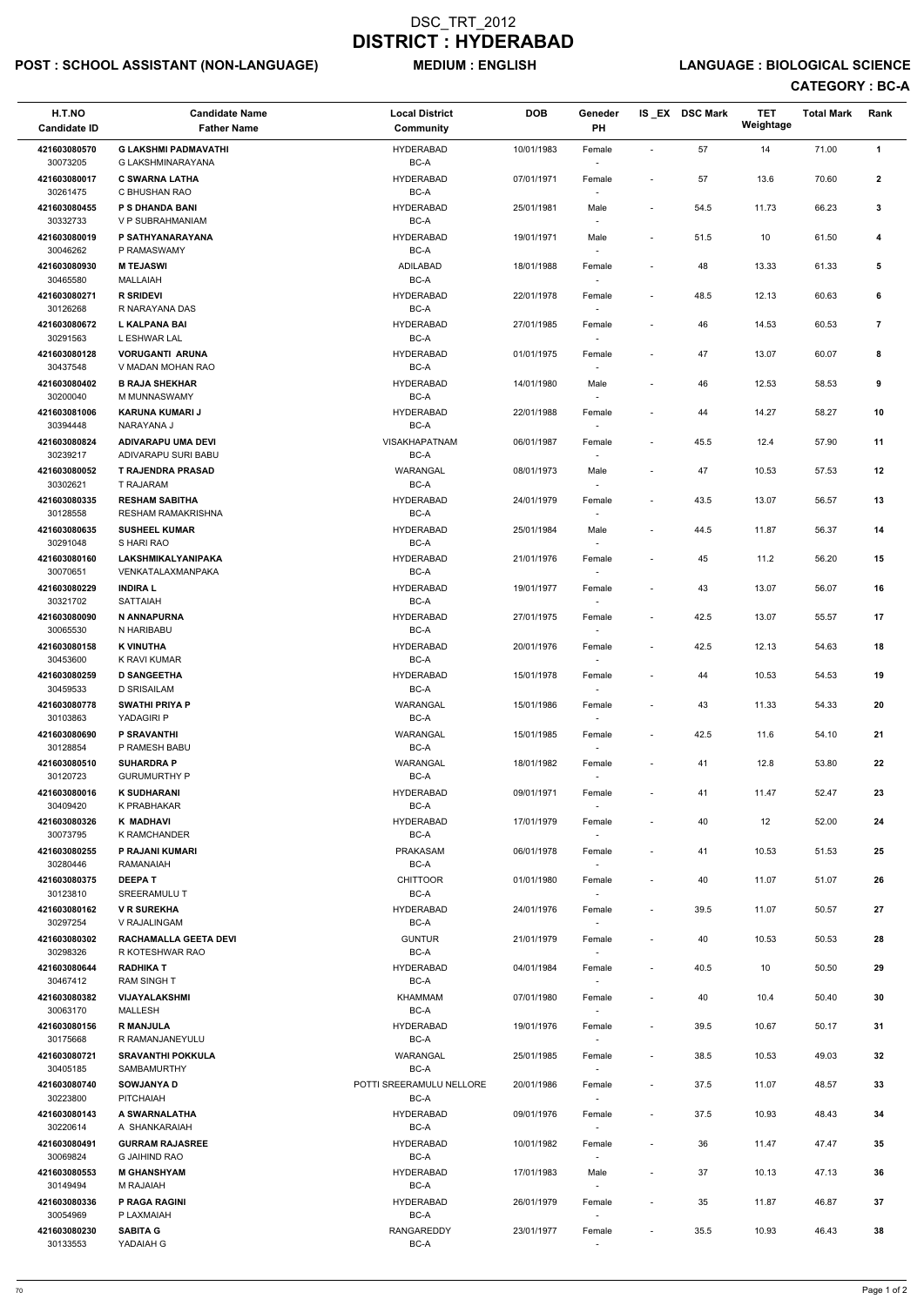## POST : SCHOOL ASSISTANT (NON-LANGUAGE) MEDIUM : ENGLISH LANGUAGE : BIOLOGICAL SCIENCE

## CATEGORY : BC-A

| H.T.NO<br><b>Candidate ID</b> | <b>Candidate Name</b><br><b>Father Name</b>       | <b>Local District</b><br>Community | <b>DOB</b> | Geneder<br>PH                      |                              | IS EX DSC Mark | <b>TET</b><br>Weightage | <b>Total Mark</b> | Rank           |
|-------------------------------|---------------------------------------------------|------------------------------------|------------|------------------------------------|------------------------------|----------------|-------------------------|-------------------|----------------|
| 421603080570                  | <b>G LAKSHMI PADMAVATHI</b>                       | <b>HYDERABAD</b>                   | 10/01/1983 | Female                             | $\sim$                       | 57             | 14                      | 71.00             | $\overline{1}$ |
| 30073205<br>421603080017      | G LAKSHMINARAYANA<br><b>C SWARNA LATHA</b>        | BC-A<br><b>HYDERABAD</b>           | 07/01/1971 | $\overline{\phantom{a}}$<br>Female | $\qquad \qquad \blacksquare$ | 57             | 13.6                    | 70.60             | $\mathbf{2}$   |
| 30261475<br>421603080455      | C BHUSHAN RAO<br>P S DHANDA BANI                  | BC-A<br><b>HYDERABAD</b>           | 25/01/1981 | Male                               | $\overline{\phantom{a}}$     | 54.5           | 11.73                   | 66.23             | 3              |
| 30332733<br>421603080019      | V P SUBRAHMANIAM                                  | BC-A<br><b>HYDERABAD</b>           |            |                                    |                              |                |                         |                   |                |
| 30046262                      | P SATHYANARAYANA<br>P RAMASWAMY                   | BC-A                               | 19/01/1971 | Male<br>$\overline{\phantom{a}}$   | $\overline{\phantom{a}}$     | 51.5           | 10                      | 61.50             | 4              |
| 421603080930<br>30465580      | <b>M TEJASWI</b><br><b>MALLAIAH</b>               | ADILABAD<br>BC-A                   | 18/01/1988 | Female<br>$\overline{\phantom{a}}$ | $\overline{\phantom{a}}$     | 48             | 13.33                   | 61.33             | 5              |
| 421603080271<br>30126268      | <b>R SRIDEVI</b><br>R NARAYANA DAS                | <b>HYDERABAD</b><br>BC-A           | 22/01/1978 | Female<br>$\sim$                   | $\overline{\phantom{a}}$     | 48.5           | 12.13                   | 60.63             | 6              |
| 421603080672<br>30291563      | <b>L KALPANA BAI</b><br>L ESHWAR LAL              | <b>HYDERABAD</b><br>BC-A           | 27/01/1985 | Female                             | $\overline{\phantom{a}}$     | 46             | 14.53                   | 60.53             | $\overline{7}$ |
| 421603080128                  | <b>VORUGANTI ARUNA</b>                            | <b>HYDERABAD</b>                   | 01/01/1975 | Female                             | $\overline{\phantom{a}}$     | 47             | 13.07                   | 60.07             | 8              |
| 30437548<br>421603080402      | V MADAN MOHAN RAO<br><b>B RAJA SHEKHAR</b>        | BC-A<br><b>HYDERABAD</b>           | 14/01/1980 | $\sim$<br>Male                     | $\overline{\phantom{a}}$     | 46             | 12.53                   | 58.53             | 9              |
| 30200040<br>421603081006      | M MUNNASWAMY<br><b>KARUNA KUMARI J</b>            | BC-A<br><b>HYDERABAD</b>           | 22/01/1988 | $\overline{\phantom{a}}$<br>Female | $\qquad \qquad \blacksquare$ | 44             | 14.27                   | 58.27             | 10             |
| 30394448                      | NARAYANA J                                        | BC-A                               |            | $\overline{\phantom{a}}$           |                              |                |                         |                   |                |
| 421603080824<br>30239217      | ADIVARAPU UMA DEVI<br>ADIVARAPU SURI BABU         | <b>VISAKHAPATNAM</b><br>BC-A       | 06/01/1987 | Female                             | $\overline{\phantom{a}}$     | 45.5           | 12.4                    | 57.90             | 11             |
| 421603080052<br>30302621      | <b>T RAJENDRA PRASAD</b><br>T RAJARAM             | WARANGAL<br>$BC-A$                 | 08/01/1973 | Male                               | $\overline{\phantom{a}}$     | 47             | 10.53                   | 57.53             | 12             |
| 421603080335                  | <b>RESHAM SABITHA</b>                             | <b>HYDERABAD</b>                   | 24/01/1979 | Female                             | $\overline{\phantom{a}}$     | 43.5           | 13.07                   | 56.57             | 13             |
| 30128558<br>421603080635      | <b>RESHAM RAMAKRISHNA</b><br><b>SUSHEEL KUMAR</b> | BC-A<br><b>HYDERABAD</b>           | 25/01/1984 | $\sim$<br>Male                     | $\overline{\phantom{a}}$     | 44.5           | 11.87                   | 56.37             | 14             |
| 30291048<br>421603080160      | S HARI RAO<br><b>LAKSHMIKALYANIPAKA</b>           | BC-A<br><b>HYDERABAD</b>           | 21/01/1976 | $\overline{\phantom{a}}$<br>Female | $\overline{\phantom{a}}$     | 45             | 11.2                    | 56.20             | 15             |
| 30070651                      | VENKATALAXMANPAKA                                 | BC-A                               |            |                                    |                              |                |                         |                   |                |
| 421603080229<br>30321702      | <b>INDIRAL</b><br>SATTAIAH                        | <b>HYDERABAD</b><br>BC-A           | 19/01/1977 | Female<br>$\overline{\phantom{a}}$ | $\overline{\phantom{a}}$     | 43             | 13.07                   | 56.07             | 16             |
| 421603080090<br>30065530      | N ANNAPURNA<br>N HARIBABU                         | <b>HYDERABAD</b><br>BC-A           | 27/01/1975 | Female<br>$\sim$                   | $\overline{\phantom{a}}$     | 42.5           | 13.07                   | 55.57             | 17             |
| 421603080158<br>30453600      | <b>K VINUTHA</b><br>K RAVI KUMAR                  | <b>HYDERABAD</b><br>BC-A           | 20/01/1976 | Female                             | $\overline{\phantom{a}}$     | 42.5           | 12.13                   | 54.63             | 18             |
| 421603080259<br>30459533      | <b>D SANGEETHA</b><br>D SRISAILAM                 | <b>HYDERABAD</b><br>BC-A           | 15/01/1978 | Female                             | $\overline{\phantom{a}}$     | 44             | 10.53                   | 54.53             | 19             |
| 421603080778                  | <b>SWATHI PRIYA P</b>                             | WARANGAL                           | 15/01/1986 | Female                             | $\overline{\phantom{a}}$     | 43             | 11.33                   | 54.33             | 20             |
| 30103863<br>421603080690      | YADAGIRI P<br><b>P SRAVANTHI</b>                  | BC-A<br>WARANGAL                   | 15/01/1985 | $\overline{\phantom{a}}$<br>Female | $\overline{\phantom{a}}$     | 42.5           | 11.6                    | 54.10             | 21             |
| 30128854<br>421603080510      | P RAMESH BABU<br><b>SUHARDRA P</b>                | BC-A<br>WARANGAL                   | 18/01/1982 | $\sim$<br>Female                   | $\overline{\phantom{a}}$     | 41             | 12.8                    | 53.80             | 22             |
| 30120723                      | <b>GURUMURTHY P</b>                               | BC-A                               |            | $\overline{\phantom{a}}$           |                              |                |                         |                   |                |
| 421603080016<br>30409420      | <b>K SUDHARANI</b><br>K PRABHAKAR                 | <b>HYDERABAD</b><br>BC-A           | 09/01/1971 | Female                             | $\overline{\phantom{a}}$     | 41             | 11.47                   | 52.47             | 23             |
| 421603080326<br>30073795      | K MADHAVI<br>K RAMCHANDER                         | <b>HYDERABAD</b><br>BC-A           | 17/01/1979 | Female<br>$\sim$                   | $\overline{\phantom{a}}$     | 40             | 12                      | 52.00             | 24             |
| 421603080255<br>30280446      | P RAJANI KUMARI<br>RAMANAIAH                      | PRAKASAM<br>BC-A                   | 06/01/1978 | Female<br>$\sim$                   | $\overline{\phantom{a}}$     | 41             | 10.53                   | 51.53             | 25             |
| 421603080375<br>30123810      | <b>DEEPAT</b><br><b>SREERAMULU T</b>              | <b>CHITTOOR</b><br>BC-A            | 01/01/1980 | Female<br>$\sim$                   | $\overline{\phantom{a}}$     | 40             | 11.07                   | 51.07             | 26             |
| 421603080162                  | <b>V R SUREKHA</b>                                | <b>HYDERABAD</b>                   | 24/01/1976 | Female                             | $\overline{\phantom{a}}$     | 39.5           | 11.07                   | 50.57             | 27             |
| 30297254<br>421603080302      | V RAJALINGAM<br><b>RACHAMALLA GEETA DEVI</b>      | BC-A<br><b>GUNTUR</b>              | 21/01/1979 | Female                             | $\overline{\phantom{a}}$     | 40             | 10.53                   | 50.53             | 28             |
| 30298326<br>421603080644      | R KOTESHWAR RAO<br><b>RADHIKA T</b>               | BC-A<br><b>HYDERABAD</b>           | 04/01/1984 | $\overline{\phantom{a}}$<br>Female | $\blacksquare$               | 40.5           | 10                      | 50.50             | 29             |
| 30467412                      | <b>RAM SINGH T</b>                                | BC-A                               |            | $\sim$                             |                              |                |                         |                   |                |
| 421603080382<br>30063170      | <b>VIJAYALAKSHMI</b><br>MALLESH                   | <b>KHAMMAM</b><br>BC-A             | 07/01/1980 | Female<br>$\sim$                   | $\overline{\phantom{a}}$     | 40             | 10.4                    | 50.40             | 30             |
| 421603080156<br>30175668      | <b>R MANJULA</b><br>R RAMANJANEYULU               | <b>HYDERABAD</b><br>BC-A           | 19/01/1976 | Female<br>$\overline{\phantom{a}}$ | $\overline{\phantom{a}}$     | 39.5           | 10.67                   | 50.17             | 31             |
| 421603080721<br>30405185      | <b>SRAVANTHI POKKULA</b><br>SAMBAMURTHY           | WARANGAL<br>BC-A                   | 25/01/1985 | Female                             | $\overline{\phantom{a}}$     | 38.5           | 10.53                   | 49.03             | 32             |
| 421603080740                  | <b>SOWJANYA D</b>                                 | POTTI SREERAMULU NELLORE           | 20/01/1986 | Female                             | $\overline{\phantom{a}}$     | 37.5           | 11.07                   | 48.57             | 33             |
| 30223800<br>421603080143      | PITCHAIAH<br>A SWARNALATHA                        | BC-A<br><b>HYDERABAD</b>           | 09/01/1976 | $\sim$<br>Female                   | $\qquad \qquad \blacksquare$ | 37.5           | 10.93                   | 48.43             | 34             |
| 30220614<br>421603080491      | A SHANKARAIAH<br><b>GURRAM RAJASREE</b>           | BC-A<br><b>HYDERABAD</b>           | 10/01/1982 | $\overline{\phantom{a}}$<br>Female | $\overline{\phantom{a}}$     | 36             | 11.47                   | 47.47             | 35             |
| 30069824<br>421603080553      | G JAIHIND RAO<br><b>M GHANSHYAM</b>               | BC-A<br><b>HYDERABAD</b>           | 17/01/1983 | $\sim$<br>Male                     | $\qquad \qquad \blacksquare$ | 37             | 10.13                   | 47.13             | 36             |
| 30149494                      | M RAJAIAH                                         | BC-A                               |            | $\sim$                             |                              |                |                         |                   |                |
| 421603080336<br>30054969      | P RAGA RAGINI<br>P LAXMAIAH                       | <b>HYDERABAD</b><br>BC-A           | 26/01/1979 | Female<br>$\overline{\phantom{a}}$ | $\qquad \qquad \blacksquare$ | 35             | 11.87                   | 46.87             | 37             |
| 421603080230<br>30133553      | <b>SABITA G</b><br>YADAIAH G                      | RANGAREDDY<br>BC-A                 | 23/01/1977 | Female<br>$\overline{\phantom{a}}$ | $\overline{\phantom{a}}$     | 35.5           | 10.93                   | 46.43             | 38             |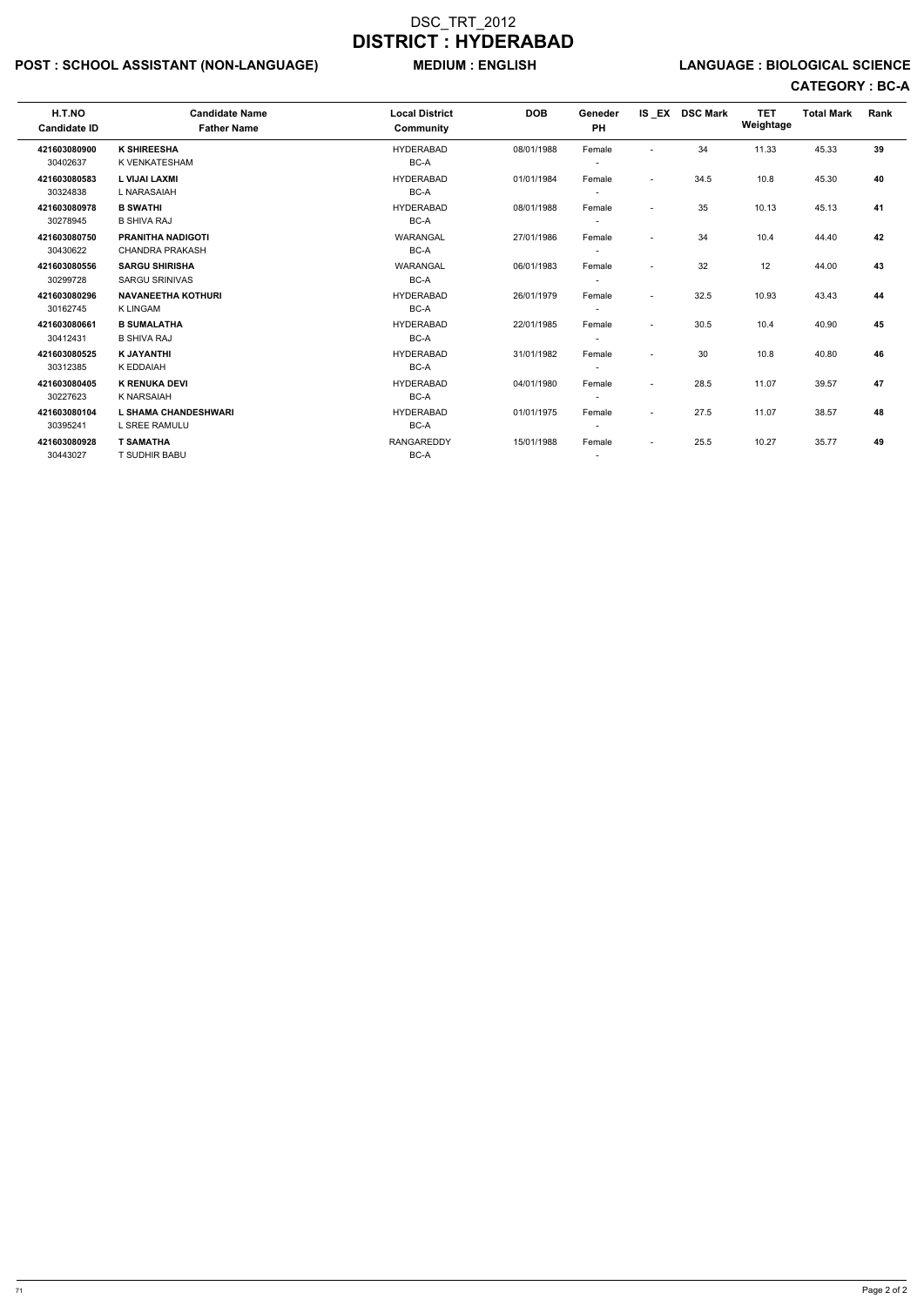## POST : SCHOOL ASSISTANT (NON-LANGUAGE) MEDIUM : ENGLISH LANGUAGE : BIOLOGICAL SCIENCE

# CATEGORY : BC-A

| H.T.NO<br><b>Candidate ID</b> | <b>Candidate Name</b><br><b>Father Name</b>        | <b>Local District</b><br><b>Community</b> | <b>DOB</b> | Geneder<br><b>PH</b>               |                          | IS EX DSC Mark | <b>TET</b><br>Weightage | <b>Total Mark</b> | Rank |
|-------------------------------|----------------------------------------------------|-------------------------------------------|------------|------------------------------------|--------------------------|----------------|-------------------------|-------------------|------|
| 421603080900<br>30402637      | <b>K SHIREESHA</b><br>K VENKATESHAM                | <b>HYDERABAD</b><br>BC-A                  | 08/01/1988 | Female                             |                          | 34             | 11.33                   | 45.33             | 39   |
| 421603080583<br>30324838      | <b>L VIJAI LAXMI</b><br>L NARASAIAH                | <b>HYDERABAD</b><br>BC-A                  | 01/01/1984 | Female                             | $\sim$                   | 34.5           | 10.8                    | 45.30             | 40   |
| 421603080978<br>30278945      | <b>B SWATHI</b><br><b>B SHIVA RAJ</b>              | <b>HYDERABAD</b><br>BC-A                  | 08/01/1988 | Female                             | $\sim$                   | 35             | 10.13                   | 45.13             | 41   |
| 421603080750<br>30430622      | <b>PRANITHA NADIGOTI</b><br><b>CHANDRA PRAKASH</b> | WARANGAL<br>BC-A                          | 27/01/1986 | Female                             | $\overline{\phantom{a}}$ | 34             | 10.4                    | 44.40             | 42   |
| 421603080556<br>30299728      | <b>SARGU SHIRISHA</b><br><b>SARGU SRINIVAS</b>     | WARANGAL<br>BC-A                          | 06/01/1983 | Female<br>$\overline{\phantom{a}}$ | $\overline{\phantom{a}}$ | 32             | 12                      | 44.00             | 43   |
| 421603080296<br>30162745      | <b>NAVANEETHA KOTHURI</b><br><b>K LINGAM</b>       | <b>HYDERABAD</b><br>BC-A                  | 26/01/1979 | Female<br>$\overline{\phantom{a}}$ | $\sim$                   | 32.5           | 10.93                   | 43.43             | 44   |
| 421603080661<br>30412431      | <b>B SUMALATHA</b><br><b>B SHIVA RAJ</b>           | <b>HYDERABAD</b><br>BC-A                  | 22/01/1985 | Female<br>$\overline{\phantom{a}}$ | $\sim$                   | 30.5           | 10.4                    | 40.90             | 45   |
| 421603080525<br>30312385      | <b>K JAYANTHI</b><br>K EDDAIAH                     | <b>HYDERABAD</b><br>BC-A                  | 31/01/1982 | Female<br>$\overline{\phantom{a}}$ | $\overline{\phantom{a}}$ | 30             | 10.8                    | 40.80             | 46   |
| 421603080405<br>30227623      | <b>K RENUKA DEVI</b><br><b>K NARSAIAH</b>          | <b>HYDERABAD</b><br>BC-A                  | 04/01/1980 | Female<br>$\overline{\phantom{a}}$ | $\sim$                   | 28.5           | 11.07                   | 39.57             | 47   |
| 421603080104<br>30395241      | <b>L SHAMA CHANDESHWARI</b><br>L SREE RAMULU       | <b>HYDERABAD</b><br>BC-A                  | 01/01/1975 | Female<br>$\overline{\phantom{a}}$ | $\sim$                   | 27.5           | 11.07                   | 38.57             | 48   |
| 421603080928<br>30443027      | <b>T SAMATHA</b><br>T SUDHIR BABU                  | <b>RANGAREDDY</b><br>BC-A                 | 15/01/1988 | Female<br>$\overline{\phantom{0}}$ | $\overline{\phantom{a}}$ | 25.5           | 10.27                   | 35.77             | 49   |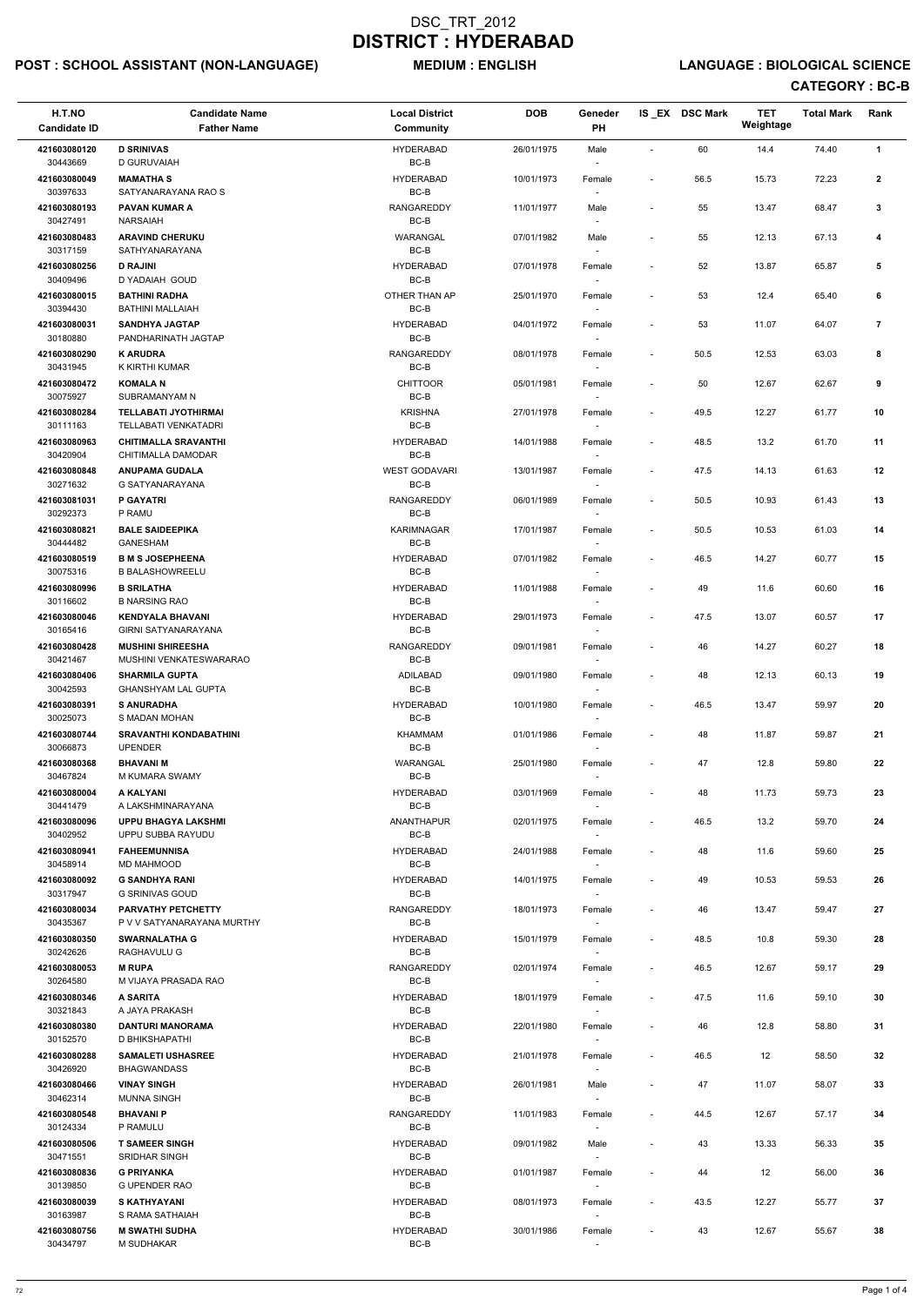## POST : SCHOOL ASSISTANT (NON-LANGUAGE) MEDIUM : ENGLISH LANGUAGE : BIOLOGICAL SCIENCE

## CATEGORY : BC-B

| H.T.NO<br><b>Candidate ID</b> | <b>Candidate Name</b><br><b>Father Name</b>           | <b>Local District</b><br>Community | <b>DOB</b> | Geneder<br>PH                      |                          | IS_EX DSC Mark | <b>TET</b><br>Weightage | <b>Total Mark</b> | Rank           |  |
|-------------------------------|-------------------------------------------------------|------------------------------------|------------|------------------------------------|--------------------------|----------------|-------------------------|-------------------|----------------|--|
| 421603080120                  | <b>D SRINIVAS</b>                                     | <b>HYDERABAD</b>                   | 26/01/1975 | Male                               | $\sim$                   | 60             | 14.4                    | 74.40             | $\mathbf{1}$   |  |
| 30443669                      | D GURUVAIAH                                           | BC-B                               |            |                                    |                          |                |                         |                   |                |  |
| 421603080049<br>30397633      | <b>MAMATHAS</b><br>SATYANARAYANA RAO S                | <b>HYDERABAD</b><br>BC-B           | 10/01/1973 | Female                             |                          | 56.5           | 15.73                   | 72.23             | $\mathbf{2}$   |  |
| 421603080193<br>30427491      | <b>PAVAN KUMAR A</b><br><b>NARSAIAH</b>               | <b>RANGAREDDY</b><br>$BC-B$        | 11/01/1977 | Male                               |                          | 55             | 13.47                   | 68.47             | 3              |  |
| 421603080483                  | <b>ARAVIND CHERUKU</b>                                | WARANGAL                           | 07/01/1982 | Male                               |                          | 55             | 12.13                   | 67.13             | 4              |  |
| 30317159<br>421603080256      | SATHYANARAYANA<br><b>D RAJINI</b>                     | BC-B<br><b>HYDERABAD</b>           | 07/01/1978 | $\overline{\phantom{a}}$<br>Female |                          | 52             | 13.87                   | 65.87             | 5              |  |
| 30409496                      | D YADAIAH GOUD                                        | BC-B                               |            |                                    |                          |                |                         |                   |                |  |
| 421603080015<br>30394430      | <b>BATHINI RADHA</b><br><b>BATHINI MALLAIAH</b>       | OTHER THAN AP<br>BC-B              | 25/01/1970 | Female                             |                          | 53             | 12.4                    | 65.40             | 6              |  |
| 421603080031<br>30180880      | <b>SANDHYA JAGTAP</b><br>PANDHARINATH JAGTAP          | <b>HYDERABAD</b><br>BC-B           | 04/01/1972 | Female                             | $\overline{\phantom{a}}$ | 53             | 11.07                   | 64.07             | $\overline{7}$ |  |
| 421603080290<br>30431945      | <b>K ARUDRA</b><br>K KIRTHI KUMAR                     | <b>RANGAREDDY</b><br>BC-B          | 08/01/1978 | Female<br>$\sim$                   | $\overline{\phantom{a}}$ | 50.5           | 12.53                   | 63.03             | 8              |  |
| 421603080472                  | <b>KOMALA N</b>                                       | <b>CHITTOOR</b>                    | 05/01/1981 | Female                             |                          | 50             | 12.67                   | 62.67             | 9              |  |
| 30075927<br>421603080284      | SUBRAMANYAM N<br><b>TELLABATI JYOTHIRMAI</b>          | BC-B<br><b>KRISHNA</b>             | 27/01/1978 | Female                             | $\sim$                   | 49.5           | 12.27                   | 61.77             | 10             |  |
| 30111163                      | <b>TELLABATI VENKATADRI</b>                           | BC-B                               |            |                                    |                          |                |                         |                   |                |  |
| 421603080963<br>30420904      | <b>CHITIMALLA SRAVANTHI</b><br>CHITIMALLA DAMODAR     | <b>HYDERABAD</b><br>BC-B           | 14/01/1988 | Female                             |                          | 48.5           | 13.2                    | 61.70             | 11             |  |
| 421603080848<br>30271632      | <b>ANUPAMA GUDALA</b><br>G SATYANARAYANA              | <b>WEST GODAVARI</b><br>BC-B       | 13/01/1987 | Female                             | $\overline{\phantom{a}}$ | 47.5           | 14.13                   | 61.63             | 12             |  |
| 421603081031                  | <b>P GAYATRI</b>                                      | <b>RANGAREDDY</b>                  | 06/01/1989 | Female                             |                          | 50.5           | 10.93                   | 61.43             | 13             |  |
| 30292373<br>421603080821      | P RAMU<br><b>BALE SAIDEEPIKA</b>                      | BC-B<br>KARIMNAGAR                 | 17/01/1987 | $\sim$<br>Female                   | $\sim$                   | 50.5           | 10.53                   | 61.03             | 14             |  |
| 30444482<br>421603080519      | GANESHAM<br><b>B M S JOSEPHEENA</b>                   | BC-B<br><b>HYDERABAD</b>           | 07/01/1982 | Female                             | $\sim$                   | 46.5           | 14.27                   | 60.77             | 15             |  |
| 30075316                      | <b>B BALASHOWREELU</b>                                | BC-B                               |            |                                    |                          |                |                         |                   |                |  |
| 421603080996<br>30116602      | <b>B SRILATHA</b><br><b>B NARSING RAO</b>             | <b>HYDERABAD</b><br>BC-B           | 11/01/1988 | Female<br>$\overline{\phantom{a}}$ |                          | 49             | 11.6                    | 60.60             | 16             |  |
| 421603080046<br>30165416      | <b>KENDYALA BHAVANI</b><br><b>GIRNI SATYANARAYANA</b> | <b>HYDERABAD</b><br>BC-B           | 29/01/1973 | Female<br>$\sim$                   | $\overline{\phantom{a}}$ | 47.5           | 13.07                   | 60.57             | 17             |  |
| 421603080428                  | <b>MUSHINI SHIREESHA</b>                              | <b>RANGAREDDY</b>                  | 09/01/1981 | Female                             | $\overline{\phantom{a}}$ | 46             | 14.27                   | 60.27             | 18             |  |
| 30421467<br>421603080406      | MUSHINI VENKATESWARARAO<br><b>SHARMILA GUPTA</b>      | BC-B<br>ADILABAD                   | 09/01/1980 | Female                             | $\overline{\phantom{a}}$ | 48             | 12.13                   | 60.13             | 19             |  |
| 30042593<br>421603080391      | <b>GHANSHYAM LAL GUPTA</b><br><b>S ANURADHA</b>       | $BC-B$<br><b>HYDERABAD</b>         | 10/01/1980 | Female                             | $\overline{\phantom{a}}$ | 46.5           | 13.47                   | 59.97             | 20             |  |
| 30025073                      | S MADAN MOHAN                                         | BC-B                               |            |                                    |                          |                |                         |                   |                |  |
| 421603080744<br>30066873      | <b>SRAVANTHI KONDABATHINI</b><br><b>UPENDER</b>       | <b>KHAMMAM</b><br>BC-B             | 01/01/1986 | Female<br>$\sim$                   | $\overline{\phantom{a}}$ | 48             | 11.87                   | 59.87             | 21             |  |
| 421603080368<br>30467824      | <b>BHAVANIM</b><br>M KUMARA SWAMY                     | WARANGAL<br>BC-B                   | 25/01/1980 | Female                             |                          | 47             | 12.8                    | 59.80             | 22             |  |
| 421603080004                  | A KALYANI                                             | <b>HYDERABAD</b>                   | 03/01/1969 | Female                             | $\overline{\phantom{a}}$ | 48             | 11.73                   | 59.73             | 23             |  |
| 30441479<br>421603080096      | A LAKSHMINARAYANA<br><b>UPPU BHAGYA LAKSHMI</b>       | BC-B<br><b>ANANTHAPUR</b>          | 02/01/1975 | Female                             | $\sim$                   | 46.5           | 13.2                    | 59.70             | 24             |  |
| 30402952                      | UPPU SUBBA RAYUDU                                     | BC-B                               |            | $\sim$                             |                          |                |                         |                   |                |  |
| 421603080941<br>30458914      | <b>FAHEEMUNNISA</b><br>MD MAHMOOD                     | <b>HYDERABAD</b><br>BC-B           | 24/01/1988 | Female<br>$\sim$                   | $\overline{\phantom{a}}$ | 48             | 11.6                    | 59.60             | 25             |  |
| 421603080092<br>30317947      | <b>G SANDHYA RANI</b><br>G SRINIVAS GOUD              | <b>HYDERABAD</b><br>BC-B           | 14/01/1975 | Female<br>$\sim$                   | $\sim$                   | 49             | 10.53                   | 59.53             | 26             |  |
| 421603080034                  | PARVATHY PETCHETTY                                    | <b>RANGAREDDY</b>                  | 18/01/1973 | Female                             |                          | 46             | 13.47                   | 59.47             | 27             |  |
| 30435367<br>421603080350      | P V V SATYANARAYANA MURTHY<br><b>SWARNALATHA G</b>    | BC-B<br><b>HYDERABAD</b>           | 15/01/1979 | Female                             | $\sim$                   | 48.5           | 10.8                    | 59.30             | 28             |  |
| 30242626                      | RAGHAVULU G                                           | BC-B                               |            | $\sim$                             |                          |                |                         |                   |                |  |
| 421603080053<br>30264580      | <b>M RUPA</b><br>M VIJAYA PRASADA RAO                 | <b>RANGAREDDY</b><br>BC-B          | 02/01/1974 | Female<br>$\overline{\phantom{a}}$ | $\overline{\phantom{a}}$ | 46.5           | 12.67                   | 59.17             | 29             |  |
| 421603080346                  | A SARITA                                              | <b>HYDERABAD</b>                   | 18/01/1979 | Female                             | $\overline{\phantom{a}}$ | 47.5           | 11.6                    | 59.10             | 30             |  |
| 30321843<br>421603080380      | A JAYA PRAKASH<br><b>DANTURI MANORAMA</b>             | BC-B<br><b>HYDERABAD</b>           | 22/01/1980 | $\sim$<br>Female                   | $\overline{\phantom{a}}$ | 46             | 12.8                    | 58.80             | 31             |  |
| 30152570                      | D BHIKSHAPATHI                                        | BC-B                               |            |                                    |                          |                |                         |                   |                |  |
| 421603080288<br>30426920      | <b>SAMALETI USHASREE</b><br><b>BHAGWANDASS</b>        | <b>HYDERABAD</b><br>BC-B           | 21/01/1978 | Female                             | $\sim$                   | 46.5           | 12                      | 58.50             | 32             |  |
| 421603080466                  | <b>VINAY SINGH</b>                                    | <b>HYDERABAD</b>                   | 26/01/1981 | Male                               | $\sim$                   | 47             | 11.07                   | 58.07             | 33             |  |
| 30462314<br>421603080548      | <b>MUNNA SINGH</b><br><b>BHAVANIP</b>                 | BC-B<br><b>RANGAREDDY</b>          | 11/01/1983 | $\sim$<br>Female                   |                          | 44.5           | 12.67                   | 57.17             | 34             |  |
| 30124334                      | P RAMULU                                              | BC-B                               |            |                                    |                          |                |                         |                   |                |  |
| 421603080506<br>30471551      | <b>T SAMEER SINGH</b><br>SRIDHAR SINGH                | <b>HYDERABAD</b><br>BC-B           | 09/01/1982 | Male<br>$\sim$                     | $\overline{\phantom{a}}$ | 43             | 13.33                   | 56.33             | 35             |  |
| 421603080836<br>30139850      | <b>G PRIYANKA</b><br><b>G UPENDER RAO</b>             | <b>HYDERABAD</b><br>BC-B           | 01/01/1987 | Female                             |                          | 44             | 12                      | 56.00             | 36             |  |
| 421603080039<br>30163987      | <b>S KATHYAYANI</b><br>S RAMA SATHAIAH                | <b>HYDERABAD</b><br>BC-B           | 08/01/1973 | Female<br>$\overline{\phantom{a}}$ | $\sim$                   | 43.5           | 12.27                   | 55.77             | 37             |  |
| 421603080756                  | <b>M SWATHI SUDHA</b>                                 | <b>HYDERABAD</b>                   | 30/01/1986 | Female                             |                          | 43             | 12.67                   | 55.67             | 38             |  |
| 30434797                      | M SUDHAKAR                                            | BC-B                               |            |                                    |                          |                |                         |                   |                |  |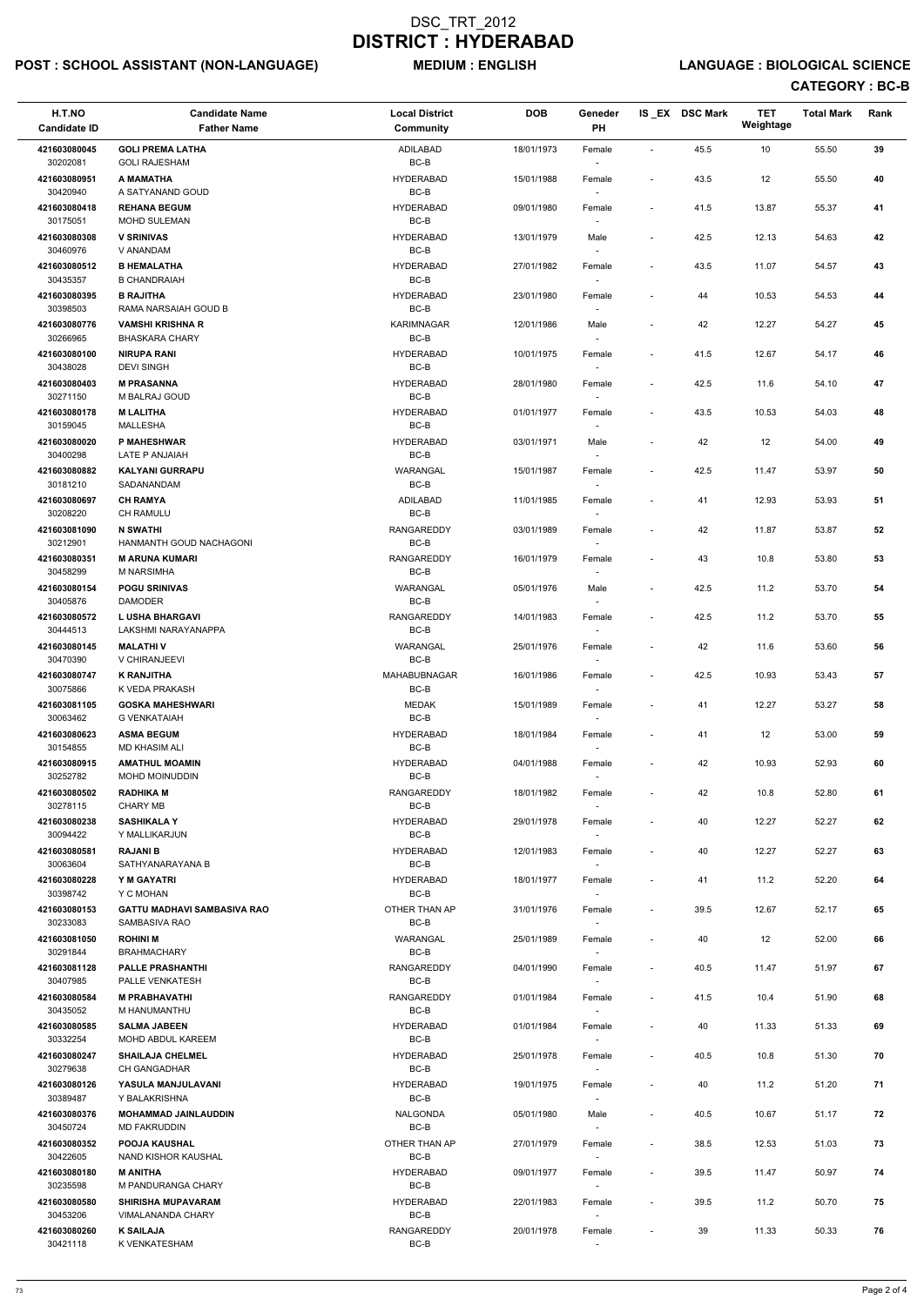# POST : SCHOOL ASSISTANT (NON-LANGUAGE) MEDIUM : ENGLISH LANGUAGE : BIOLOGICAL SCIENCE

| H.T.NO<br><b>Candidate ID</b> | <b>Candidate Name</b><br><b>Father Name</b>           | <b>Local District</b><br><b>Community</b> | <b>DOB</b> | Geneder<br><b>PH</b>               |                          | IS_EX DSC Mark | <b>TET</b><br>Weightage | <b>Total Mark</b> | Rank |
|-------------------------------|-------------------------------------------------------|-------------------------------------------|------------|------------------------------------|--------------------------|----------------|-------------------------|-------------------|------|
| 421603080045                  | <b>GOLI PREMA LATHA</b>                               | <b>ADILABAD</b>                           | 18/01/1973 | Female                             | $\blacksquare$           | 45.5           | 10                      | 55.50             | 39   |
| 30202081                      | <b>GOLI RAJESHAM</b>                                  | $BC-B$                                    |            | $\overline{\phantom{a}}$           |                          |                |                         |                   |      |
| 421603080951<br>30420940      | A MAMATHA<br>A SATYANAND GOUD                         | <b>HYDERABAD</b><br>BC-B                  | 15/01/1988 | Female                             | ÷,                       | 43.5           | 12                      | 55.50             | 40   |
| 421603080418<br>30175051      | <b>REHANA BEGUM</b><br><b>MOHD SULEMAN</b>            | <b>HYDERABAD</b><br>BC-B                  | 09/01/1980 | Female                             | $\overline{\phantom{a}}$ | 41.5           | 13.87                   | 55.37             | 41   |
| 421603080308                  | <b>V SRINIVAS</b>                                     | <b>HYDERABAD</b>                          | 13/01/1979 | Male                               |                          | 42.5           | 12.13                   | 54.63             | 42   |
| 30460976<br>421603080512      | V ANANDAM<br><b>B HEMALATHA</b>                       | BC-B<br><b>HYDERABAD</b>                  | 27/01/1982 | $\overline{\phantom{a}}$<br>Female | $\overline{\phantom{a}}$ | 43.5           | 11.07                   | 54.57             | 43   |
| 30435357                      | <b>B CHANDRAIAH</b>                                   | BC-B                                      |            | $\overline{\phantom{a}}$           |                          |                |                         |                   |      |
| 421603080395<br>30398503      | <b>B RAJITHA</b><br>RAMA NARSAIAH GOUD B              | <b>HYDERABAD</b><br>BC-B                  | 23/01/1980 | Female                             | $\overline{\phantom{a}}$ | 44             | 10.53                   | 54.53             | 44   |
| 421603080776<br>30266965      | <b>VAMSHI KRISHNA R</b><br><b>BHASKARA CHARY</b>      | KARIMNAGAR<br>BC-B                        | 12/01/1986 | Male                               | $\overline{\phantom{a}}$ | 42             | 12.27                   | 54.27             | 45   |
| 421603080100<br>30438028      | <b>NIRUPA RANI</b><br><b>DEVI SINGH</b>               | <b>HYDERABAD</b><br>BC-B                  | 10/01/1975 | Female<br>$\sim$                   | $\overline{\phantom{a}}$ | 41.5           | 12.67                   | 54.17             | 46   |
| 421603080403<br>30271150      | <b>M PRASANNA</b><br>M BALRAJ GOUD                    | <b>HYDERABAD</b><br>BC-B                  | 28/01/1980 | Female                             | $\overline{\phantom{a}}$ | 42.5           | 11.6                    | 54.10             | 47   |
| 421603080178                  | <b>M LALITHA</b>                                      | <b>HYDERABAD</b>                          | 01/01/1977 | $\overline{\phantom{a}}$<br>Female | $\overline{\phantom{a}}$ | 43.5           | 10.53                   | 54.03             | 48   |
| 30159045                      | MALLESHA                                              | BC-B                                      |            | $\sim$                             |                          |                |                         |                   |      |
| 421603080020<br>30400298      | P MAHESHWAR<br>LATE P ANJAIAH                         | <b>HYDERABAD</b><br>BC-B                  | 03/01/1971 | Male                               | $\blacksquare$           | 42             | 12                      | 54.00             | 49   |
| 421603080882                  | <b>KALYANI GURRAPU</b>                                | WARANGAL                                  | 15/01/1987 | Female                             | $\blacksquare$           | 42.5           | 11.47                   | 53.97             | 50   |
| 30181210                      | SADANANDAM                                            | BC-B                                      |            | $\overline{\phantom{a}}$           |                          |                |                         |                   |      |
| 421603080697<br>30208220      | <b>CH RAMYA</b><br>CH RAMULU                          | ADILABAD<br>BC-B                          | 11/01/1985 | Female<br>$\sim$                   |                          | 41             | 12.93                   | 53.93             | 51   |
| 421603081090<br>30212901      | <b>N SWATHI</b><br>HANMANTH GOUD NACHAGONI            | <b>RANGAREDDY</b><br>BC-B                 | 03/01/1989 | Female<br>$\overline{\phantom{a}}$ | $\overline{\phantom{a}}$ | 42             | 11.87                   | 53.87             | 52   |
| 421603080351<br>30458299      | <b>M ARUNA KUMARI</b><br><b>M NARSIMHA</b>            | RANGAREDDY<br>BC-B                        | 16/01/1979 | Female                             | $\overline{\phantom{a}}$ | 43             | 10.8                    | 53.80             | 53   |
| 421603080154                  | <b>POGU SRINIVAS</b>                                  | WARANGAL                                  | 05/01/1976 | Male                               | $\overline{\phantom{a}}$ | 42.5           | 11.2                    | 53.70             | 54   |
| 30405876<br>421603080572      | DAMODER<br><b>L USHA BHARGAVI</b>                     | BC-B<br><b>RANGAREDDY</b>                 | 14/01/1983 | $\sim$<br>Female                   | $\overline{\phantom{a}}$ | 42.5           | 11.2                    | 53.70             | 55   |
| 30444513<br>421603080145      | LAKSHMI NARAYANAPPA<br><b>MALATHIV</b>                | BC-B<br><b>WARANGAL</b>                   | 25/01/1976 | $\sim$<br>Female                   | $\overline{a}$           | 42             | 11.6                    | 53.60             | 56   |
| 30470390                      | V CHIRANJEEVI                                         | BC-B                                      |            |                                    |                          |                |                         |                   |      |
| 421603080747<br>30075866      | <b>K RANJITHA</b><br>K VEDA PRAKASH                   | MAHABUBNAGAR<br>BC-B                      | 16/01/1986 | Female<br>$\overline{\phantom{a}}$ | $\overline{\phantom{a}}$ | 42.5           | 10.93                   | 53.43             | 57   |
| 421603081105<br>30063462      | <b>GOSKA MAHESHWARI</b><br><b>G VENKATAIAH</b>        | MEDAK<br>BC-B                             | 15/01/1989 | Female<br>$\overline{\phantom{a}}$ | $\overline{a}$           | 41             | 12.27                   | 53.27             | 58   |
| 421603080623<br>30154855      | <b>ASMA BEGUM</b><br><b>MD KHASIM ALI</b>             | <b>HYDERABAD</b><br>BC-B                  | 18/01/1984 | Female<br>$\sim$                   | $\overline{a}$           | 41             | 12                      | 53.00             | 59   |
| 421603080915<br>30252782      | <b>AMATHUL MOAMIN</b><br><b>MOHD MOINUDDIN</b>        | <b>HYDERABAD</b><br>BC-B                  | 04/01/1988 | Female<br>$\overline{\phantom{a}}$ | $\blacksquare$           | 42             | 10.93                   | 52.93             | 60   |
| 421603080502                  | <b>RADHIKA M</b>                                      | <b>RANGAREDDY</b>                         | 18/01/1982 | Female                             | $\overline{\phantom{a}}$ | 42             | 10.8                    | 52.80             | 61   |
| 30278115<br>421603080238      | <b>CHARY MB</b><br><b>SASHIKALA Y</b>                 | BC-B<br><b>HYDERABAD</b>                  | 29/01/1978 | Female                             | $\overline{\phantom{a}}$ | 40             | 12.27                   | 52.27             | 62   |
| 30094422<br>421603080581      | Y MALLIKARJUN<br><b>RAJANI B</b>                      | BC-B<br><b>HYDERABAD</b>                  | 12/01/1983 | $\sim$<br>Female                   | $\overline{\phantom{a}}$ | 40             | 12.27                   | 52.27             | 63   |
| 30063604                      | SATHYANARAYANA B                                      | BC-B                                      |            | $\sim$                             |                          |                |                         |                   |      |
| 421603080228<br>30398742      | Y M GAYATRI<br>Y C MOHAN                              | <b>HYDERABAD</b><br>BC-B                  | 18/01/1977 | Female<br>$\sim$                   | $\overline{\phantom{a}}$ | 41             | 11.2                    | 52.20             | 64   |
| 421603080153<br>30233083      | <b>GATTU MADHAVI SAMBASIVA RAO</b><br>SAMBASIVA RAO   | OTHER THAN AP<br>BC-B                     | 31/01/1976 | Female                             | $\overline{\phantom{a}}$ | 39.5           | 12.67                   | 52.17             | 65   |
| 421603081050<br>30291844      | <b>ROHINI M</b><br><b>BRAHMACHARY</b>                 | WARANGAL<br>BC-B                          | 25/01/1989 | Female<br>$\overline{\phantom{a}}$ | $\overline{\phantom{a}}$ | 40             | 12                      | 52.00             | 66   |
| 421603081128<br>30407985      | <b>PALLE PRASHANTHI</b><br>PALLE VENKATESH            | RANGAREDDY<br>BC-B                        | 04/01/1990 | Female                             | $\blacksquare$           | 40.5           | 11.47                   | 51.97             | 67   |
| 421603080584                  | <b>M PRABHAVATHI</b>                                  | RANGAREDDY                                | 01/01/1984 | $\overline{\phantom{a}}$<br>Female | $\overline{\phantom{a}}$ | 41.5           | 10.4                    | 51.90             | 68   |
| 30435052                      | M HANUMANTHU                                          | BC-B                                      |            | $\sim$                             |                          |                |                         |                   |      |
| 421603080585<br>30332254      | <b>SALMA JABEEN</b><br>MOHD ABDUL KAREEM              | <b>HYDERABAD</b><br>BC-B                  | 01/01/1984 | Female                             | $\blacksquare$           | 40             | 11.33                   | 51.33             | 69   |
| 421603080247<br>30279638      | <b>SHAILAJA CHELMEL</b><br><b>CH GANGADHAR</b>        | <b>HYDERABAD</b><br>BC-B                  | 25/01/1978 | Female                             | $\blacksquare$           | 40.5           | 10.8                    | 51.30             | 70   |
| 421603080126                  | YASULA MANJULAVANI                                    | <b>HYDERABAD</b>                          | 19/01/1975 | Female                             | $\overline{\phantom{a}}$ | 40             | 11.2                    | 51.20             | 71   |
| 30389487<br>421603080376      | Y BALAKRISHNA<br><b>MOHAMMAD JAINLAUDDIN</b>          | BC-B<br><b>NALGONDA</b>                   | 05/01/1980 | $\overline{\phantom{a}}$<br>Male   | $\overline{\phantom{a}}$ | 40.5           | 10.67                   | 51.17             | 72   |
| 30450724<br>421603080352      | <b>MD FAKRUDDIN</b><br><b>POOJA KAUSHAL</b>           | BC-B<br>OTHER THAN AP                     | 27/01/1979 | $\overline{\phantom{a}}$<br>Female | $\overline{\phantom{a}}$ | 38.5           | 12.53                   | 51.03             | 73   |
| 30422605                      | NAND KISHOR KAUSHAL                                   | BC-B                                      |            | $\sim$                             |                          |                |                         |                   |      |
| 421603080180<br>30235598      | <b>M ANITHA</b><br>M PANDURANGA CHARY                 | <b>HYDERABAD</b><br>BC-B                  | 09/01/1977 | Female<br>$\sim$                   | $\overline{\phantom{a}}$ | 39.5           | 11.47                   | 50.97             | 74   |
| 421603080580<br>30453206      | <b>SHIRISHA MUPAVARAM</b><br><b>VIMALANANDA CHARY</b> | <b>HYDERABAD</b><br>BC-B                  | 22/01/1983 | Female<br>$\sim$                   | $\overline{\phantom{a}}$ | 39.5           | 11.2                    | 50.70             | 75   |
| 421603080260<br>30421118      | <b>K SAILAJA</b><br>K VENKATESHAM                     | RANGAREDDY<br>BC-B                        | 20/01/1978 | Female<br>$\overline{\phantom{a}}$ |                          | 39             | 11.33                   | 50.33             | 76   |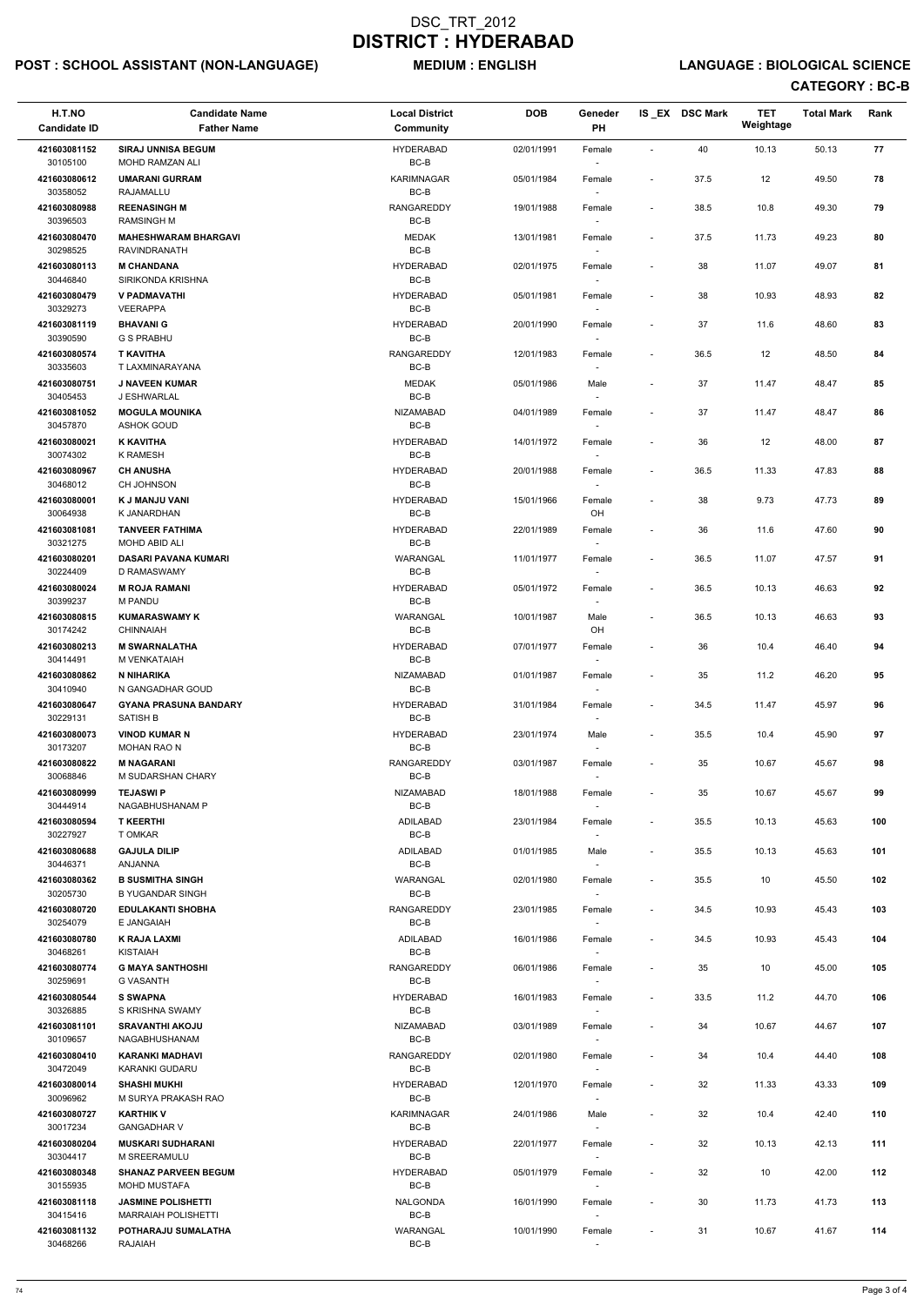# POST : SCHOOL ASSISTANT (NON-LANGUAGE) MEDIUM : ENGLISH LANGUAGE : BIOLOGICAL SCIENCE

| H.T.NO<br><b>Candidate ID</b> | <b>Candidate Name</b><br><b>Father Name</b>         | <b>Local District</b><br><b>Community</b> | <b>DOB</b> | Geneder<br>PH                      |                          | IS_EX DSC Mark | <b>TET</b><br>Weightage | <b>Total Mark</b> | Rank |
|-------------------------------|-----------------------------------------------------|-------------------------------------------|------------|------------------------------------|--------------------------|----------------|-------------------------|-------------------|------|
| 421603081152                  | <b>SIRAJ UNNISA BEGUM</b>                           | <b>HYDERABAD</b>                          | 02/01/1991 | Female                             | $\sim$                   | 40             | 10.13                   | 50.13             | 77   |
| 30105100                      | MOHD RAMZAN ALI                                     | BC-B                                      |            |                                    |                          |                |                         |                   |      |
| 421603080612<br>30358052      | <b>UMARANI GURRAM</b><br>RAJAMALLU                  | KARIMNAGAR<br>BC-B                        | 05/01/1984 | Female                             | $\overline{\phantom{a}}$ | 37.5           | 12                      | 49.50             | 78   |
| 421603080988<br>30396503      | <b>REENASINGH M</b><br><b>RAMSINGH M</b>            | <b>RANGAREDDY</b><br>$BC-B$               | 19/01/1988 | Female                             | $\overline{\phantom{a}}$ | 38.5           | 10.8                    | 49.30             | 79   |
| 421603080470<br>30298525      | <b>MAHESHWARAM BHARGAVI</b><br>RAVINDRANATH         | <b>MEDAK</b><br>$BC-B$                    | 13/01/1981 | Female<br>$\sim$                   | $\overline{\phantom{a}}$ | 37.5           | 11.73                   | 49.23             | 80   |
| 421603080113                  | <b>M CHANDANA</b>                                   | <b>HYDERABAD</b>                          | 02/01/1975 | Female                             | $\overline{\phantom{a}}$ | 38             | 11.07                   | 49.07             | 81   |
| 30446840                      | SIRIKONDA KRISHNA                                   | BC-B                                      |            | $\sim$                             |                          |                |                         |                   |      |
| 421603080479<br>30329273      | <b>V PADMAVATHI</b><br><b>VEERAPPA</b>              | <b>HYDERABAD</b><br>BC-B                  | 05/01/1981 | Female<br>$\overline{\phantom{a}}$ | $\overline{\phantom{a}}$ | 38             | 10.93                   | 48.93             | 82   |
| 421603081119<br>30390590      | <b>BHAVANI G</b><br><b>G S PRABHU</b>               | <b>HYDERABAD</b><br>BC-B                  | 20/01/1990 | Female                             | $\overline{\phantom{a}}$ | 37             | 11.6                    | 48.60             | 83   |
| 421603080574<br>30335603      | <b>T KAVITHA</b><br>T LAXMINARAYANA                 | <b>RANGAREDDY</b><br>$BC-B$               | 12/01/1983 | Female<br>$\overline{\phantom{a}}$ | $\overline{\phantom{a}}$ | 36.5           | 12                      | 48.50             | 84   |
| 421603080751<br>30405453      | <b>J NAVEEN KUMAR</b><br>J ESHWARLAL                | <b>MEDAK</b><br>BC-B                      | 05/01/1986 | Male<br>$\overline{\phantom{a}}$   | $\overline{\phantom{a}}$ | 37             | 11.47                   | 48.47             | 85   |
| 421603081052                  | <b>MOGULA MOUNIKA</b>                               | <b>NIZAMABAD</b>                          | 04/01/1989 | Female                             | $\overline{\phantom{a}}$ | 37             | 11.47                   | 48.47             | 86   |
| 30457870                      | <b>ASHOK GOUD</b>                                   | BC-B                                      |            | $\overline{\phantom{a}}$           |                          |                |                         |                   |      |
| 421603080021<br>30074302      | <b>K KAVITHA</b><br><b>K RAMESH</b>                 | <b>HYDERABAD</b><br>BC-B                  | 14/01/1972 | Female                             | $\blacksquare$           | 36             | 12                      | 48.00             | 87   |
| 421603080967                  | <b>CH ANUSHA</b>                                    | <b>HYDERABAD</b>                          | 20/01/1988 | Female                             | $\overline{\phantom{a}}$ | 36.5           | 11.33                   | 47.83             | 88   |
| 30468012                      | CH JOHNSON                                          | BC-B                                      |            |                                    |                          |                |                         |                   |      |
| 421603080001<br>30064938      | K J MANJU VANI<br>K JANARDHAN                       | <b>HYDERABAD</b><br>BC-B                  | 15/01/1966 | Female<br>OH                       | $\overline{\phantom{a}}$ | 38             | 9.73                    | 47.73             | 89   |
| 421603081081                  | <b>TANVEER FATHIMA</b>                              | <b>HYDERABAD</b>                          | 22/01/1989 | Female                             | $\overline{\phantom{a}}$ | 36             | 11.6                    | 47.60             | 90   |
| 30321275<br>421603080201      | <b>MOHD ABID ALI</b><br><b>DASARI PAVANA KUMARI</b> | BC-B<br>WARANGAL                          | 11/01/1977 | $\sim$<br>Female                   | $\overline{\phantom{a}}$ | 36.5           | 11.07                   | 47.57             | 91   |
| 30224409                      | D RAMASWAMY                                         | BC-B                                      |            |                                    |                          |                |                         |                   |      |
| 421603080024<br>30399237      | <b>M ROJA RAMANI</b><br>M PANDU                     | <b>HYDERABAD</b><br>BC-B                  | 05/01/1972 | Female<br>$\overline{\phantom{a}}$ | $\overline{\phantom{a}}$ | 36.5           | 10.13                   | 46.63             | 92   |
| 421603080815<br>30174242      | <b>KUMARASWAMY K</b><br><b>CHINNAIAH</b>            | WARANGAL<br>BC-B                          | 10/01/1987 | Male<br>OH                         | $\overline{\phantom{a}}$ | 36.5           | 10.13                   | 46.63             | 93   |
| 421603080213<br>30414491      | <b>M SWARNALATHA</b><br>M VENKATAIAH                | <b>HYDERABAD</b><br>BC-B                  | 07/01/1977 | Female                             | $\overline{\phantom{a}}$ | 36             | 10.4                    | 46.40             | 94   |
| 421603080862                  | <b>N NIHARIKA</b>                                   | <b>NIZAMABAD</b>                          | 01/01/1987 | Female                             | $\overline{\phantom{a}}$ | 35             | 11.2                    | 46.20             | 95   |
| 30410940                      | N GANGADHAR GOUD                                    | $BC-B$                                    |            |                                    |                          |                |                         |                   |      |
| 421603080647<br>30229131      | <b>GYANA PRASUNA BANDARY</b><br><b>SATISH B</b>     | <b>HYDERABAD</b><br>BC-B                  | 31/01/1984 | Female                             | $\blacksquare$           | 34.5           | 11.47                   | 45.97             | 96   |
| 421603080073<br>30173207      | <b>VINOD KUMAR N</b><br><b>MOHAN RAO N</b>          | <b>HYDERABAD</b><br>BC-B                  | 23/01/1974 | Male<br>$\overline{\phantom{a}}$   | $\overline{\phantom{a}}$ | 35.5           | 10.4                    | 45.90             | 97   |
| 421603080822                  | <b>M NAGARANI</b>                                   | <b>RANGAREDDY</b>                         | 03/01/1987 | Female                             | $\overline{\phantom{a}}$ | 35             | 10.67                   | 45.67             | 98   |
| 30068846                      | M SUDARSHAN CHARY                                   | BC-B                                      |            |                                    |                          |                |                         |                   |      |
| 421603080999<br>30444914      | <b>TEJASWI P</b><br>NAGABHUSHANAM P                 | <b>NIZAMABAD</b><br>BC-B                  | 18/01/1988 | Female                             | $\overline{\phantom{a}}$ | 35             | 10.67                   | 45.67             | 99   |
| 421603080594<br>30227927      | <b>T KEERTHI</b><br>T OMKAR                         | <b>ADILABAD</b><br>$BC-B$                 | 23/01/1984 | Female<br>$\sim$                   | $\overline{\phantom{a}}$ | 35.5           | 10.13                   | 45.63             | 100  |
| 421603080688<br>30446371      | <b>GAJULA DILIP</b><br>ANJANNA                      | ADILABAD<br>BC-B                          | 01/01/1985 | Male<br>$\sim$                     | $\overline{\phantom{a}}$ | 35.5           | 10.13                   | 45.63             | 101  |
| 421603080362<br>30205730      | <b>B SUSMITHA SINGH</b><br><b>B YUGANDAR SINGH</b>  | WARANGAL<br>BC-B                          | 02/01/1980 | Female<br>$\overline{\phantom{a}}$ | $\overline{\phantom{a}}$ | 35.5           | 10                      | 45.50             | 102  |
| 421603080720<br>30254079      | <b>EDULAKANTI SHOBHA</b><br>E JANGAIAH              | <b>RANGAREDDY</b><br>BC-B                 | 23/01/1985 | Female                             | $\overline{\phantom{a}}$ | 34.5           | 10.93                   | 45.43             | 103  |
| 421603080780                  | <b>K RAJA LAXMI</b>                                 | ADILABAD                                  | 16/01/1986 | Female                             | $\overline{\phantom{a}}$ | 34.5           | 10.93                   | 45.43             | 104  |
| 30468261                      | <b>KISTAIAH</b>                                     | $BC-B$                                    |            |                                    |                          |                |                         |                   |      |
| 421603080774                  | <b>G MAYA SANTHOSHI</b>                             | <b>RANGAREDDY</b>                         | 06/01/1986 | Female                             | $\blacksquare$           | 35             | 10                      | 45.00             | 105  |
| 30259691<br>421603080544      | <b>G VASANTH</b><br><b>S SWAPNA</b>                 | BC-B<br><b>HYDERABAD</b>                  | 16/01/1983 | $\overline{\phantom{a}}$<br>Female | $\overline{\phantom{a}}$ | 33.5           | 11.2                    | 44.70             | 106  |
| 30326885                      | S KRISHNA SWAMY                                     | BC-B                                      |            | $\sim$                             |                          |                |                         |                   |      |
| 421603081101<br>30109657      | <b>SRAVANTHI AKOJU</b><br>NAGABHUSHANAM             | <b>NIZAMABAD</b><br>BC-B                  | 03/01/1989 | Female                             | $\overline{\phantom{a}}$ | 34             | 10.67                   | 44.67             | 107  |
| 421603080410<br>30472049      | <b>KARANKI MADHAVI</b><br>KARANKI GUDARU            | <b>RANGAREDDY</b><br>BC-B                 | 02/01/1980 | Female                             | $\overline{\phantom{a}}$ | 34             | 10.4                    | 44.40             | 108  |
| 421603080014<br>30096962      | <b>SHASHI MUKHI</b><br>M SURYA PRAKASH RAO          | <b>HYDERABAD</b><br>BC-B                  | 12/01/1970 | Female<br>$\sim$                   | $\overline{\phantom{a}}$ | 32             | 11.33                   | 43.33             | 109  |
| 421603080727<br>30017234      | <b>KARTHIK V</b><br><b>GANGADHAR V</b>              | KARIMNAGAR<br>BC-B                        | 24/01/1986 | Male<br>$\overline{\phantom{a}}$   | $\overline{\phantom{a}}$ | 32             | 10.4                    | 42.40             | 110  |
| 421603080204                  | <b>MUSKARI SUDHARANI</b>                            | <b>HYDERABAD</b>                          | 22/01/1977 | Female                             | $\overline{\phantom{a}}$ | 32             | 10.13                   | 42.13             | 111  |
| 30304417<br>421603080348      | M SREERAMULU<br><b>SHANAZ PARVEEN BEGUM</b>         | BC-B<br><b>HYDERABAD</b>                  | 05/01/1979 | $\sim$<br>Female                   | $\blacksquare$           | 32             | 10                      | 42.00             | 112  |
| 30155935<br>421603081118      | <b>MOHD MUSTAFA</b><br><b>JASMINE POLISHETTI</b>    | BC-B<br><b>NALGONDA</b>                   | 16/01/1990 | $\sim$<br>Female                   | $\overline{\phantom{a}}$ | 30             | 11.73                   | 41.73             | 113  |
| 30415416                      | <b>MARRAIAH POLISHETTI</b>                          | BC-B                                      |            | $\sim$                             |                          |                |                         |                   |      |
| 421603081132<br>30468266      | POTHARAJU SUMALATHA<br>RAJAIAH                      | WARANGAL<br>BC-B                          | 10/01/1990 | Female<br>$\sim$                   | $\overline{\phantom{a}}$ | 31             | 10.67                   | 41.67             | 114  |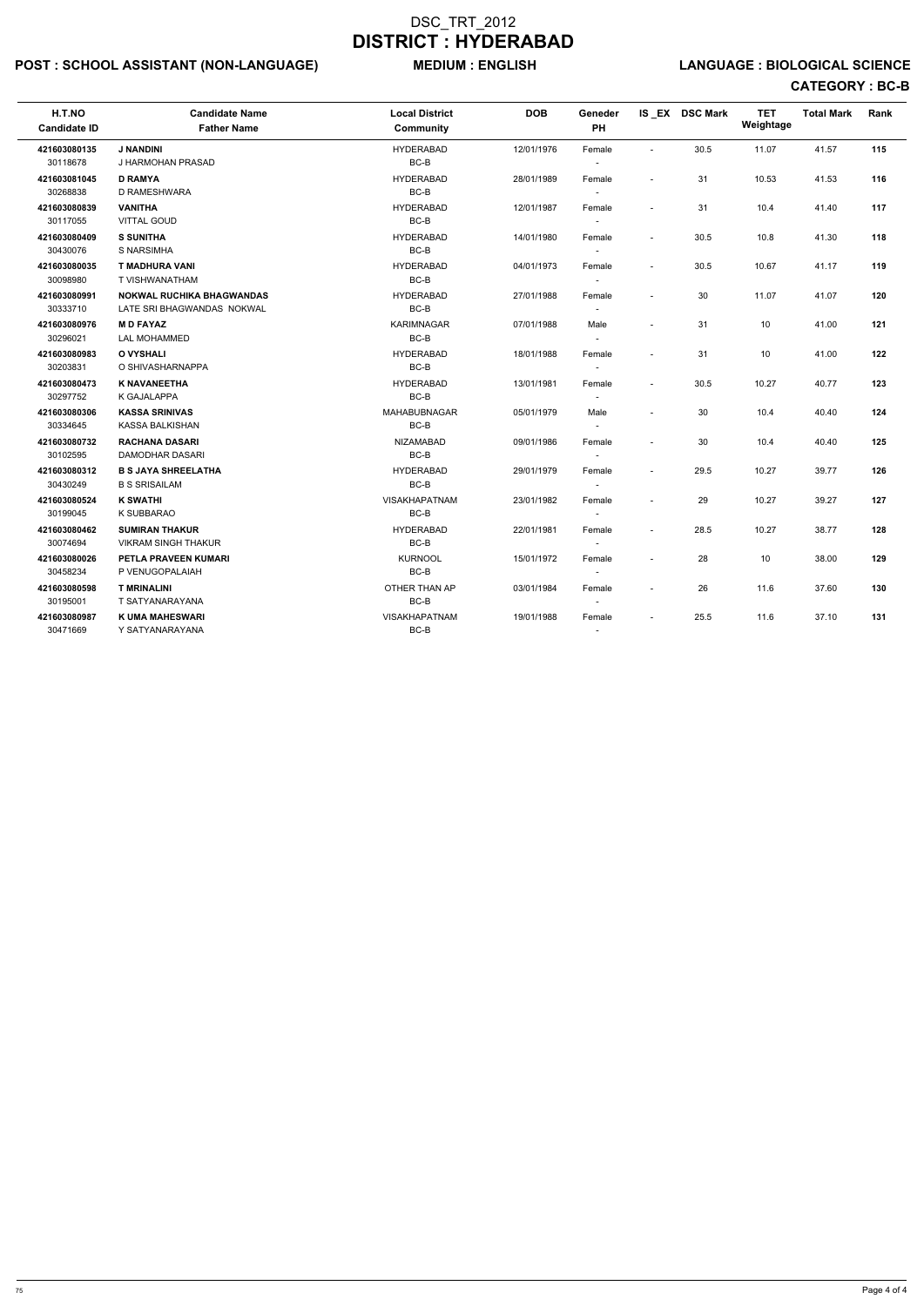# POST : SCHOOL ASSISTANT (NON-LANGUAGE) MEDIUM : ENGLISH LANGUAGE : BIOLOGICAL SCIENCE

| H.T.NO<br><b>Candidate ID</b> | <b>Candidate Name</b><br><b>Father Name</b>                    | <b>Local District</b><br><b>Community</b> | <b>DOB</b> | Geneder<br>PH                      |                          | IS EX DSC Mark | <b>TET</b><br>Weightage | <b>Total Mark</b> | Rank |
|-------------------------------|----------------------------------------------------------------|-------------------------------------------|------------|------------------------------------|--------------------------|----------------|-------------------------|-------------------|------|
| 421603080135<br>30118678      | <b>J NANDINI</b><br>J HARMOHAN PRASAD                          | <b>HYDERABAD</b><br>BC-B                  | 12/01/1976 | Female                             | $\sim$                   | 30.5           | 11.07                   | 41.57             | 115  |
| 421603081045<br>30268838      | <b>D RAMYA</b><br>D RAMESHWARA                                 | <b>HYDERABAD</b><br>BC-B                  | 28/01/1989 | Female                             | $\overline{\phantom{a}}$ | 31             | 10.53                   | 41.53             | 116  |
| 421603080839<br>30117055      | <b>VANITHA</b><br><b>VITTAL GOUD</b>                           | <b>HYDERABAD</b><br>BC-B                  | 12/01/1987 | Female<br>$\overline{\phantom{a}}$ | $\sim$                   | 31             | 10.4                    | 41.40             | 117  |
| 421603080409<br>30430076      | <b>S SUNITHA</b><br>S NARSIMHA                                 | <b>HYDERABAD</b><br>BC-B                  | 14/01/1980 | Female<br>$\sim$                   | $\overline{\phantom{a}}$ | 30.5           | 10.8                    | 41.30             | 118  |
| 421603080035<br>30098980      | T MADHURA VANI<br>T VISHWANATHAM                               | <b>HYDERABAD</b><br>BC-B                  | 04/01/1973 | Female                             | $\overline{\phantom{a}}$ | 30.5           | 10.67                   | 41.17             | 119  |
| 421603080991<br>30333710      | <b>NOKWAL RUCHIKA BHAGWANDAS</b><br>LATE SRI BHAGWANDAS NOKWAL | <b>HYDERABAD</b><br>BC-B                  | 27/01/1988 | Female<br>$\sim$                   |                          | 30             | 11.07                   | 41.07             | 120  |
| 421603080976<br>30296021      | <b>MD FAYAZ</b><br>LAL MOHAMMED                                | <b>KARIMNAGAR</b><br>BC-B                 | 07/01/1988 | Male<br>$\overline{\phantom{a}}$   | $\sim$                   | 31             | 10                      | 41.00             | 121  |
| 421603080983<br>30203831      | <b>O VYSHALI</b><br>O SHIVASHARNAPPA                           | <b>HYDERABAD</b><br>BC-B                  | 18/01/1988 | Female<br>$\sim$                   | $\overline{\phantom{a}}$ | 31             | 10                      | 41.00             | 122  |
| 421603080473<br>30297752      | <b>K NAVANEETHA</b><br>K GAJALAPPA                             | <b>HYDERABAD</b><br>BC-B                  | 13/01/1981 | Female<br>$\overline{\phantom{a}}$ | $\overline{\phantom{a}}$ | 30.5           | 10.27                   | 40.77             | 123  |
| 421603080306<br>30334645      | <b>KASSA SRINIVAS</b><br><b>KASSA BALKISHAN</b>                | <b>MAHABUBNAGAR</b><br>BC-B               | 05/01/1979 | Male<br>$\sim$                     | $\sim$                   | 30             | 10.4                    | 40.40             | 124  |
| 421603080732<br>30102595      | <b>RACHANA DASARI</b><br>DAMODHAR DASARI                       | <b>NIZAMABAD</b><br>BC-B                  | 09/01/1986 | Female<br>$\sim$                   | $\overline{\phantom{a}}$ | 30             | 10.4                    | 40.40             | 125  |
| 421603080312<br>30430249      | <b>B S JAYA SHREELATHA</b><br><b>B S SRISAILAM</b>             | <b>HYDERABAD</b><br>BC-B                  | 29/01/1979 | Female<br>$\sim$                   | $\overline{\phantom{a}}$ | 29.5           | 10.27                   | 39.77             | 126  |
| 421603080524<br>30199045      | <b>K SWATHI</b><br>K SUBBARAO                                  | <b>VISAKHAPATNAM</b><br>BC-B              | 23/01/1982 | Female<br>$\sim$                   | $\sim$                   | 29             | 10.27                   | 39.27             | 127  |
| 421603080462<br>30074694      | <b>SUMIRAN THAKUR</b><br><b>VIKRAM SINGH THAKUR</b>            | <b>HYDERABAD</b><br>BC-B                  | 22/01/1981 | Female<br>$\sim$                   | $\sim$                   | 28.5           | 10.27                   | 38.77             | 128  |
| 421603080026<br>30458234      | PETLA PRAVEEN KUMARI<br>P VENUGOPALAIAH                        | <b>KURNOOL</b><br>BC-B                    | 15/01/1972 | Female<br>$\sim$                   |                          | 28             | 10                      | 38.00             | 129  |
| 421603080598<br>30195001      | <b>T MRINALINI</b><br>T SATYANARAYANA                          | OTHER THAN AP<br>BC-B                     | 03/01/1984 | Female<br>$\overline{\phantom{a}}$ | $\overline{\phantom{a}}$ | 26             | 11.6                    | 37.60             | 130  |
| 421603080987<br>30471669      | <b>K UMA MAHESWARI</b><br>Y SATYANARAYANA                      | <b>VISAKHAPATNAM</b><br>BC-B              | 19/01/1988 | Female                             | $\overline{\phantom{a}}$ | 25.5           | 11.6                    | 37.10             | 131  |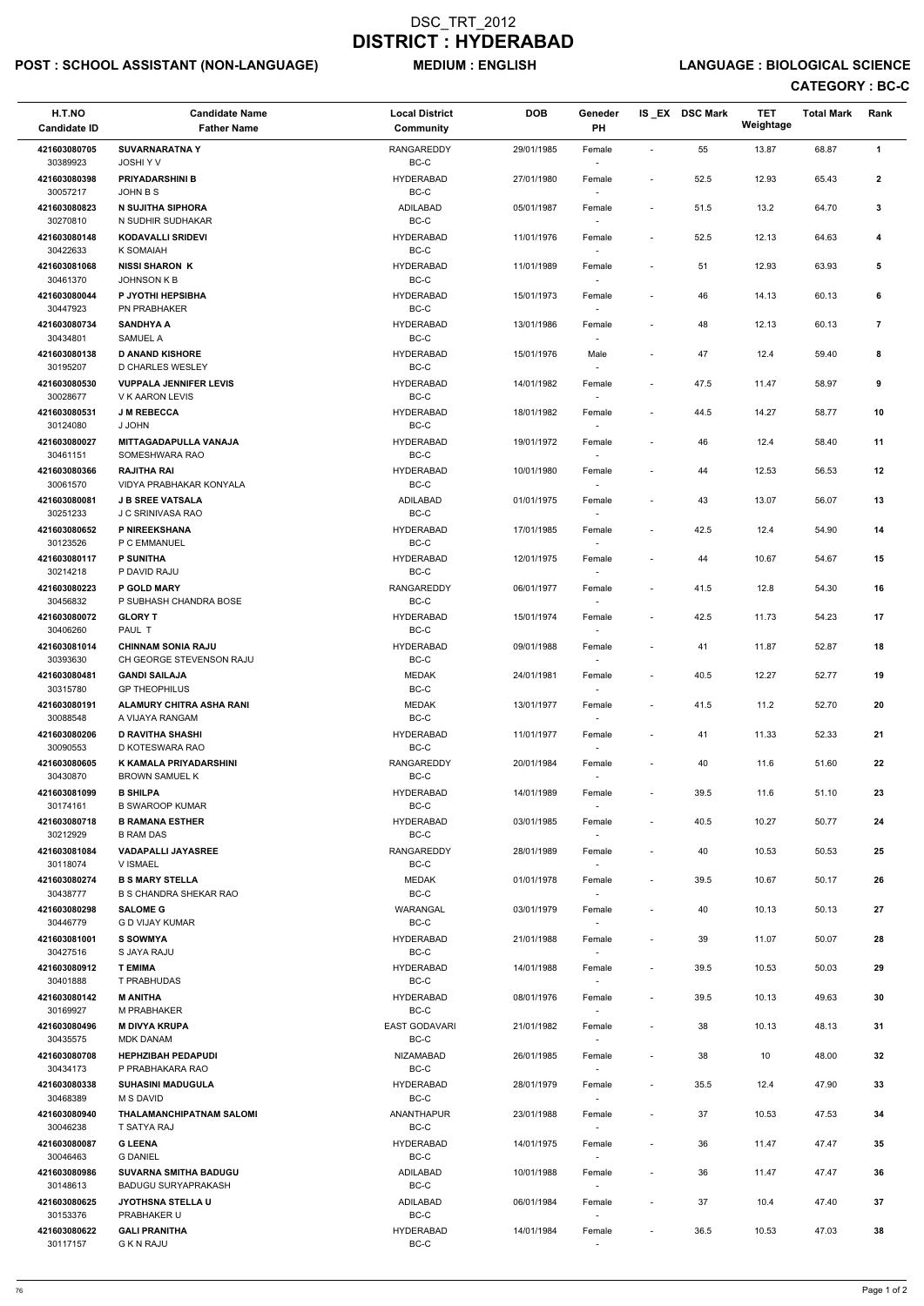# POST : SCHOOL ASSISTANT (NON-LANGUAGE) MEDIUM : ENGLISH LANGUAGE : BIOLOGICAL SCIENCE

| H.T.NO<br><b>Candidate ID</b> | <b>Candidate Name</b><br><b>Father Name</b>             | <b>Local District</b><br><b>Community</b> | <b>DOB</b> | Geneder<br>PH            |                          | IS EX DSC Mark | <b>TET</b><br>Weightage | <b>Total Mark</b> | Rank           |  |
|-------------------------------|---------------------------------------------------------|-------------------------------------------|------------|--------------------------|--------------------------|----------------|-------------------------|-------------------|----------------|--|
| 421603080705                  | <b>SUVARNARATNA Y</b>                                   | <b>RANGAREDDY</b>                         | 29/01/1985 | Female                   | $\sim$                   | 55             | 13.87                   | 68.87             | $\mathbf{1}$   |  |
| 30389923                      | JOSHI Y V                                               | BC-C                                      |            |                          |                          |                |                         |                   |                |  |
| 421603080398<br>30057217      | <b>PRIYADARSHINI B</b><br>JOHN B S                      | <b>HYDERABAD</b><br>BC-C                  | 27/01/1980 | Female                   | $\overline{\phantom{a}}$ | 52.5           | 12.93                   | 65.43             | $\mathbf{2}$   |  |
| 421603080823<br>30270810      | <b>N SUJITHA SIPHORA</b><br>N SUDHIR SUDHAKAR           | ADILABAD<br>$BC-C$                        | 05/01/1987 | Female                   | $\blacksquare$           | 51.5           | 13.2                    | 64.70             | $\mathbf{3}$   |  |
| 421603080148<br>30422633      | <b>KODAVALLI SRIDEVI</b><br>K SOMAIAH                   | <b>HYDERABAD</b><br>BC-C                  | 11/01/1976 | Female                   | $\overline{\phantom{a}}$ | 52.5           | 12.13                   | 64.63             | 4              |  |
| 421603081068<br>30461370      | <b>NISSI SHARON K</b><br><b>JOHNSON K B</b>             | <b>HYDERABAD</b><br>BC-C                  | 11/01/1989 | Female                   | $\overline{\phantom{a}}$ | 51             | 12.93                   | 63.93             | 5              |  |
| 421603080044<br>30447923      | P JYOTHI HEPSIBHA<br>PN PRABHAKER                       | <b>HYDERABAD</b><br>BC-C                  | 15/01/1973 | Female                   | $\blacksquare$           | 46             | 14.13                   | 60.13             | 6              |  |
| 421603080734<br>30434801      | <b>SANDHYA A</b><br><b>SAMUEL A</b>                     | <b>HYDERABAD</b><br>BC-C                  | 13/01/1986 | Female                   | $\blacksquare$           | 48             | 12.13                   | 60.13             | $\overline{7}$ |  |
| 421603080138<br>30195207      | <b>D ANAND KISHORE</b><br>D CHARLES WESLEY              | <b>HYDERABAD</b><br>BC-C                  | 15/01/1976 | Male                     | $\blacksquare$           | 47             | 12.4                    | 59.40             | 8              |  |
| 421603080530                  | <b>VUPPALA JENNIFER LEVIS</b>                           | <b>HYDERABAD</b>                          | 14/01/1982 | Female                   | $\blacksquare$           | 47.5           | 11.47                   | 58.97             | 9              |  |
| 30028677                      | V K AARON LEVIS                                         | BC-C                                      |            | $\overline{\phantom{a}}$ |                          |                |                         |                   |                |  |
| 421603080531<br>30124080      | <b>J M REBECCA</b><br>J JOHN                            | <b>HYDERABAD</b><br>BC-C                  | 18/01/1982 | Female                   | $\blacksquare$           | 44.5           | 14.27                   | 58.77             | 10             |  |
| 421603080027<br>30461151      | <b>MITTAGADAPULLA VANAJA</b><br>SOMESHWARA RAO          | <b>HYDERABAD</b><br>BC-C                  | 19/01/1972 | Female                   | $\overline{\phantom{a}}$ | 46             | 12.4                    | 58.40             | 11             |  |
| 421603080366<br>30061570      | <b>RAJITHA RAI</b><br>VIDYA PRABHAKAR KONYALA           | <b>HYDERABAD</b><br>$BC-C$                | 10/01/1980 | Female                   | $\overline{\phantom{a}}$ | 44             | 12.53                   | 56.53             | 12             |  |
| 421603080081<br>30251233      | <b>J B SREE VATSALA</b><br>J C SRINIVASA RAO            | ADILABAD<br>BC-C                          | 01/01/1975 | Female<br>$\sim$         | $\overline{\phantom{a}}$ | 43             | 13.07                   | 56.07             | 13             |  |
| 421603080652<br>30123526      | P NIREEKSHANA<br>P C EMMANUEL                           | <b>HYDERABAD</b><br>BC-C                  | 17/01/1985 | Female                   | $\blacksquare$           | 42.5           | 12.4                    | 54.90             | 14             |  |
| 421603080117<br>30214218      | <b>P SUNITHA</b><br>P DAVID RAJU                        | <b>HYDERABAD</b><br>BC-C                  | 12/01/1975 | Female                   | $\overline{\phantom{a}}$ | 44             | 10.67                   | 54.67             | 15             |  |
| 421603080223<br>30456832      | P GOLD MARY<br>P SUBHASH CHANDRA BOSE                   | RANGAREDDY<br>$BC-C$                      | 06/01/1977 | Female                   | $\blacksquare$           | 41.5           | 12.8                    | 54.30             | 16             |  |
| 421603080072                  | <b>GLORY T</b>                                          | <b>HYDERABAD</b>                          | 15/01/1974 | Female                   | $\overline{\phantom{a}}$ | 42.5           | 11.73                   | 54.23             | 17             |  |
| 30406260<br>421603081014      | PAUL T<br><b>CHINNAM SONIA RAJU</b>                     | BC-C<br><b>HYDERABAD</b>                  | 09/01/1988 | $\sim$<br>Female         |                          | 41             | 11.87                   | 52.87             | 18             |  |
| 30393630<br>421603080481      | CH GEORGE STEVENSON RAJU<br><b>GANDI SAILAJA</b>        | BC-C<br><b>MEDAK</b>                      | 24/01/1981 | Female                   | $\blacksquare$           | 40.5           | 12.27                   | 52.77             | 19             |  |
| 30315780                      | <b>GP THEOPHILUS</b><br>ALAMURY CHITRA ASHA RANI        | $BC-C$<br><b>MEDAK</b>                    |            |                          |                          |                |                         |                   |                |  |
| 421603080191<br>30088548      | A VIJAYA RANGAM                                         | $BC-C$                                    | 13/01/1977 | Female<br>$\sim$         | $\blacksquare$           | 41.5           | 11.2                    | 52.70             | 20             |  |
| 421603080206<br>30090553      | <b>D RAVITHA SHASHI</b><br>D KOTESWARA RAO              | <b>HYDERABAD</b><br>BC-C                  | 11/01/1977 | Female<br>$\sim$         | $\blacksquare$           | 41             | 11.33                   | 52.33             | 21             |  |
| 421603080605<br>30430870      | K KAMALA PRIYADARSHINI<br><b>BROWN SAMUEL K</b>         | RANGAREDDY<br>BC-C                        | 20/01/1984 | Female<br>$\sim$         | $\sim$                   | 40             | 11.6                    | 51.60             | 22             |  |
| 421603081099<br>30174161      | <b>B SHILPA</b><br><b>B SWAROOP KUMAR</b>               | <b>HYDERABAD</b><br>BC-C                  | 14/01/1989 | Female                   | $\blacksquare$           | 39.5           | 11.6                    | 51.10             | 23             |  |
| 421603080718<br>30212929      | <b>B RAMANA ESTHER</b><br><b>B RAM DAS</b>              | <b>HYDERABAD</b><br>BC-C                  | 03/01/1985 | Female                   | $\blacksquare$           | 40.5           | 10.27                   | 50.77             | 24             |  |
| 421603081084<br>30118074      | <b>VADAPALLI JAYASREE</b><br>V ISMAEL                   | <b>RANGAREDDY</b><br>BC-C                 | 28/01/1989 | Female<br>$\sim$         | $\overline{\phantom{a}}$ | 40             | 10.53                   | 50.53             | 25             |  |
| 421603080274<br>30438777      | <b>B S MARY STELLA</b><br><b>B S CHANDRA SHEKAR RAO</b> | <b>MEDAK</b><br>$BC-C$                    | 01/01/1978 | Female<br>$\sim$         | $\blacksquare$           | 39.5           | 10.67                   | 50.17             | 26             |  |
| 421603080298<br>30446779      | <b>SALOME G</b><br><b>G D VIJAY KUMAR</b>               | WARANGAL<br>BC-C                          | 03/01/1979 | Female                   | $\overline{\phantom{a}}$ | 40             | 10.13                   | 50.13             | 27             |  |
| 421603081001                  | <b>S SOWMYA</b>                                         | <b>HYDERABAD</b>                          | 21/01/1988 | Female                   | $\blacksquare$           | 39             | 11.07                   | 50.07             | 28             |  |
| 30427516<br>421603080912      | S JAYA RAJU<br><b>T EMIMA</b>                           | BC-C<br><b>HYDERABAD</b>                  | 14/01/1988 | Female                   | $\blacksquare$           | 39.5           | 10.53                   | 50.03             | 29             |  |
| 30401888                      | T PRABHUDAS                                             | BC-C                                      |            | $\sim$                   |                          |                |                         |                   |                |  |
| 421603080142<br>30169927      | <b>M ANITHA</b><br>M PRABHAKER                          | <b>HYDERABAD</b><br>BC-C                  | 08/01/1976 | Female<br>$\sim$         | $\blacksquare$           | 39.5           | 10.13                   | 49.63             | 30             |  |
| 421603080496<br>30435575      | <b>M DIVYA KRUPA</b><br><b>MDK DANAM</b>                | <b>EAST GODAVARI</b><br>BC-C              | 21/01/1982 | Female<br>$\sim$         | $\sim$                   | 38             | 10.13                   | 48.13             | 31             |  |
| 421603080708                  | <b>HEPHZIBAH PEDAPUDI</b>                               | <b>NIZAMABAD</b>                          | 26/01/1985 | Female                   | $\blacksquare$           | 38             | 10                      | 48.00             | 32             |  |
| 30434173<br>421603080338      | P PRABHAKARA RAO<br><b>SUHASINI MADUGULA</b>            | BC-C<br><b>HYDERABAD</b>                  | 28/01/1979 | Female                   | $\sim$                   | 35.5           | 12.4                    | 47.90             | 33             |  |
| 30468389<br>421603080940      | <b>M S DAVID</b><br><b>THALAMANCHIPATNAM SALOMI</b>     | BC-C<br><b>ANANTHAPUR</b>                 | 23/01/1988 | $\sim$<br>Female         |                          | 37             | 10.53                   | 47.53             | 34             |  |
| 30046238<br>421603080087      | T SATYA RAJ<br><b>G LEENA</b>                           | BC-C<br><b>HYDERABAD</b>                  | 14/01/1975 | Female                   | $\overline{\phantom{a}}$ | 36             | 11.47                   | 47.47             | 35             |  |
| 30046463<br>421603080986      | <b>G DANIEL</b><br><b>SUVARNA SMITHA BADUGU</b>         | BC-C<br>ADILABAD                          | 10/01/1988 | Female                   | $\blacksquare$           | 36             | 11.47                   | 47.47             | 36             |  |
| 30148613<br>421603080625      | <b>BADUGU SURYAPRAKASH</b><br><b>JYOTHSNA STELLA U</b>  | BC-C<br>ADILABAD                          | 06/01/1984 | $\sim$<br>Female         | $\overline{\phantom{a}}$ | 37             | 10.4                    | 47.40             | 37             |  |
| 30153376<br>421603080622      | PRABHAKER U<br><b>GALI PRANITHA</b>                     | BC-C<br><b>HYDERABAD</b>                  | 14/01/1984 | $\sim$<br>Female         | $\overline{\phantom{a}}$ | 36.5           | 10.53                   | 47.03             | 38             |  |
| 30117157                      | <b>G K N RAJU</b>                                       | BC-C                                      |            | $\sim$                   |                          |                |                         |                   |                |  |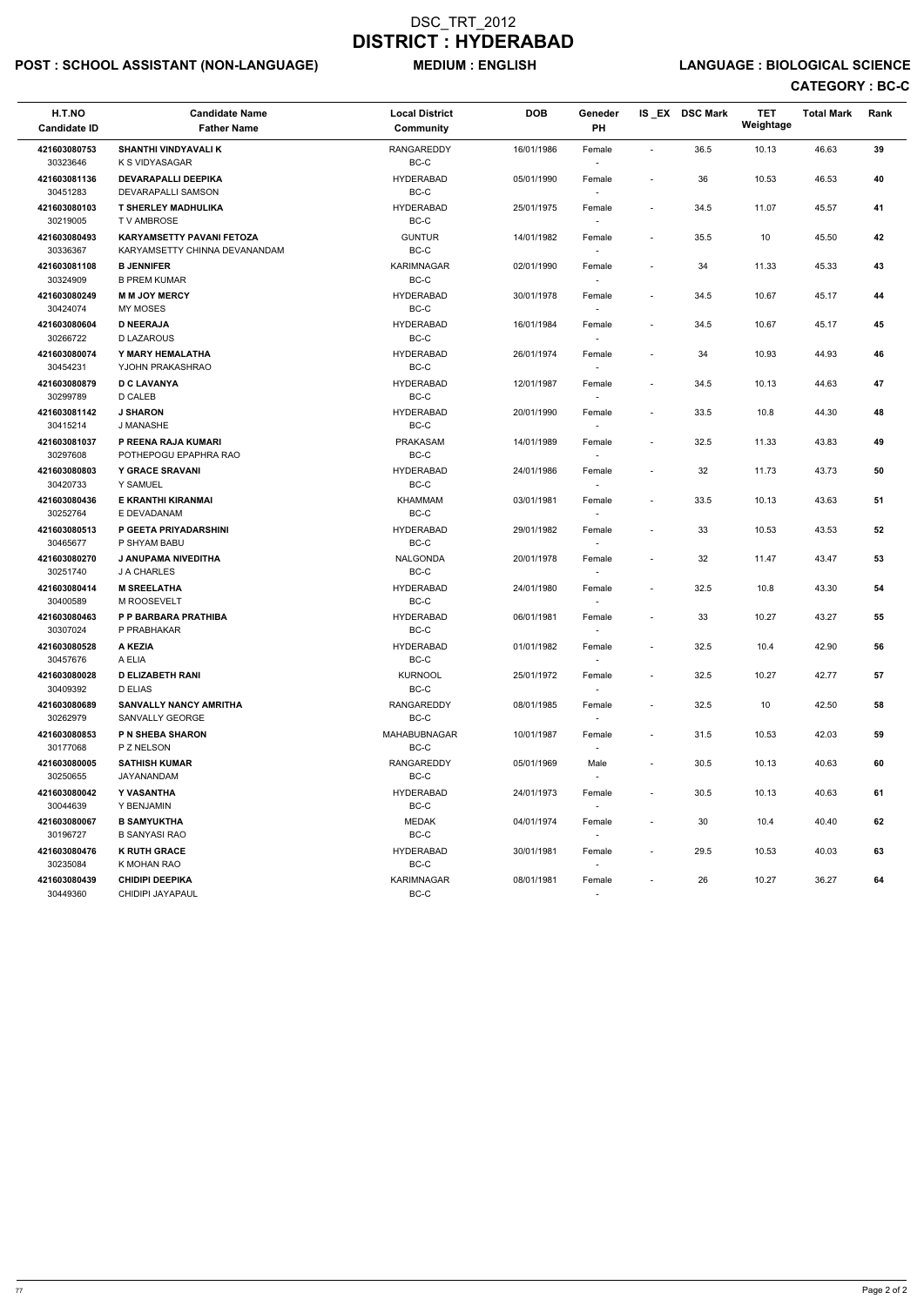# POST : SCHOOL ASSISTANT (NON-LANGUAGE) MEDIUM : ENGLISH LANGUAGE : BIOLOGICAL SCIENCE

| H.T.NO<br><b>Candidate ID</b> | <b>Candidate Name</b><br><b>Father Name</b>                       | <b>Local District</b><br>Community | <b>DOB</b> | Geneder<br>PH                      |                          | IS EX DSC Mark | <b>TET</b><br>Weightage | <b>Total Mark</b> | Rank       |
|-------------------------------|-------------------------------------------------------------------|------------------------------------|------------|------------------------------------|--------------------------|----------------|-------------------------|-------------------|------------|
| 421603080753<br>30323646      | <b>SHANTHI VINDYAVALI K</b><br>K S VIDYASAGAR                     | <b>RANGAREDDY</b><br>BC-C          | 16/01/1986 | Female                             | $\sim$                   | 36.5           | 10.13                   | 46.63             | 39         |
| 421603081136<br>30451283      | <b>DEVARAPALLI DEEPIKA</b><br>DEVARAPALLI SAMSON                  | <b>HYDERABAD</b><br>$BC-C$         | 05/01/1990 | Female                             | $\blacksquare$           | 36             | 10.53                   | 46.53             | 40         |
| 421603080103<br>30219005      | <b>T SHERLEY MADHULIKA</b><br>T V AMBROSE                         | <b>HYDERABAD</b><br>BC-C           | 25/01/1975 | Female<br>$\sim$                   | $\blacksquare$           | 34.5           | 11.07                   | 45.57             | 41         |
| 421603080493<br>30336367      | <b>KARYAMSETTY PAVANI FETOZA</b><br>KARYAMSETTY CHINNA DEVANANDAM | <b>GUNTUR</b><br>$BC-C$            | 14/01/1982 | Female<br>$\overline{\phantom{a}}$ | $\sim$                   | 35.5           | 10                      | 45.50             | 42         |
| 421603081108<br>30324909      | <b>B JENNIFER</b><br><b>B PREM KUMAR</b>                          | KARIMNAGAR<br>BC-C                 | 02/01/1990 | Female<br>$\sim$                   |                          | 34             | 11.33                   | 45.33             | 43         |
| 421603080249<br>30424074      | <b>M M JOY MERCY</b><br>MY MOSES                                  | <b>HYDERABAD</b><br>BC-C           | 30/01/1978 | Female                             | $\overline{\phantom{a}}$ | 34.5           | 10.67                   | 45.17             | 44         |
| 421603080604<br>30266722      | <b>D NEERAJA</b><br><b>D LAZAROUS</b>                             | <b>HYDERABAD</b><br>BC-C           | 16/01/1984 | Female                             | $\overline{\phantom{a}}$ | 34.5           | 10.67                   | 45.17             | 45         |
| 421603080074<br>30454231      | Y MARY HEMALATHA<br>YJOHN PRAKASHRAO                              | <b>HYDERABAD</b><br>BC-C           | 26/01/1974 | Female<br>$\overline{\phantom{a}}$ |                          | 34             | 10.93                   | 44.93             | 46         |
| 421603080879<br>30299789      | <b>D C LAVANYA</b><br>D CALEB                                     | <b>HYDERABAD</b><br>BC-C           | 12/01/1987 | Female<br>$\sim$                   | $\blacksquare$           | 34.5           | 10.13                   | 44.63             | 47         |
| 421603081142<br>30415214      | <b>J SHARON</b><br>J MANASHE                                      | <b>HYDERABAD</b><br>BC-C           | 20/01/1990 | Female                             | $\blacksquare$           | 33.5           | 10.8                    | 44.30             | 48         |
| 421603081037<br>30297608      | P REENA RAJA KUMARI<br>POTHEPOGU EPAPHRA RAO                      | PRAKASAM<br>BC-C                   | 14/01/1989 | Female                             | $\blacksquare$           | 32.5           | 11.33                   | 43.83             | 49         |
| 421603080803<br>30420733      | <b>Y GRACE SRAVANI</b><br>Y SAMUEL                                | <b>HYDERABAD</b><br>$BC-C$         | 24/01/1986 | Female<br>$\sim$                   |                          | 32             | 11.73                   | 43.73             | ${\bf 50}$ |
| 421603080436<br>30252764      | E KRANTHI KIRANMAI<br>E DEVADANAM                                 | <b>KHAMMAM</b><br>BC-C             | 03/01/1981 | Female                             | $\overline{\phantom{a}}$ | 33.5           | 10.13                   | 43.63             | 51         |
| 421603080513<br>30465677      | P GEETA PRIYADARSHINI<br>P SHYAM BABU                             | <b>HYDERABAD</b><br>BC-C           | 29/01/1982 | Female                             | $\overline{\phantom{a}}$ | 33             | 10.53                   | 43.53             | 52         |
| 421603080270<br>30251740      | <b>J ANUPAMA NIVEDITHA</b><br>J A CHARLES                         | <b>NALGONDA</b><br>BC-C            | 20/01/1978 | Female                             | $\overline{\phantom{a}}$ | 32             | 11.47                   | 43.47             | 53         |
| 421603080414<br>30400589      | <b>M SREELATHA</b><br>M ROOSEVELT                                 | <b>HYDERABAD</b><br>BC-C           | 24/01/1980 | Female<br>$\sim$                   | $\blacksquare$           | 32.5           | 10.8                    | 43.30             | 54         |
| 421603080463<br>30307024      | P P BARBARA PRATHIBA<br>P PRABHAKAR                               | <b>HYDERABAD</b><br>BC-C           | 06/01/1981 | Female<br>$\overline{\phantom{a}}$ |                          | 33             | 10.27                   | 43.27             | 55         |
| 421603080528<br>30457676      | A KEZIA<br>A ELIA                                                 | <b>HYDERABAD</b><br>BC-C           | 01/01/1982 | Female                             | $\blacksquare$           | 32.5           | 10.4                    | 42.90             | 56         |
| 421603080028<br>30409392      | <b>D ELIZABETH RANI</b><br>D ELIAS                                | <b>KURNOOL</b><br>BC-C             | 25/01/1972 | Female<br>$\sim$                   | $\overline{\phantom{a}}$ | 32.5           | 10.27                   | 42.77             | 57         |
| 421603080689<br>30262979      | <b>SANVALLY NANCY AMRITHA</b><br>SANVALLY GEORGE                  | RANGAREDDY<br>BC-C                 | 08/01/1985 | Female<br>$\sim$                   | $\sim$                   | 32.5           | 10                      | 42.50             | 58         |
| 421603080853<br>30177068      | <b>P N SHEBA SHARON</b><br>P Z NELSON                             | <b>MAHABUBNAGAR</b><br>BC-C        | 10/01/1987 | Female<br>$\sim$                   | $\sim$                   | 31.5           | 10.53                   | 42.03             | 59         |
| 421603080005<br>30250655      | <b>SATHISH KUMAR</b><br>JAYANANDAM                                | RANGAREDDY<br>BC-C                 | 05/01/1969 | Male                               | $\sim$                   | 30.5           | 10.13                   | 40.63             | 60         |
| 421603080042<br>30044639      | Y VASANTHA<br>Y BENJAMIN                                          | <b>HYDERABAD</b><br>BC-C           | 24/01/1973 | Female<br>$\sim$                   | $\overline{\phantom{a}}$ | 30.5           | 10.13                   | 40.63             | 61         |
| 421603080067<br>30196727      | <b>B SAMYUKTHA</b><br><b>B SANYASI RAO</b>                        | <b>MEDAK</b><br>BC-C               | 04/01/1974 | Female<br>$\sim$                   | $\overline{\phantom{a}}$ | 30             | 10.4                    | 40.40             | 62         |
| 421603080476<br>30235084      | <b>K RUTH GRACE</b><br>K MOHAN RAO                                | <b>HYDERABAD</b><br>BC-C           | 30/01/1981 | Female<br>$\sim$                   | $\sim$                   | 29.5           | 10.53                   | 40.03             | 63         |
| 421603080439<br>30449360      | <b>CHIDIPI DEEPIKA</b><br>CHIDIPI JAYAPAUL                        | KARIMNAGAR<br>$BC-C$               | 08/01/1981 | Female<br>$\sim$                   | $\overline{\phantom{a}}$ | 26             | 10.27                   | 36.27             | 64         |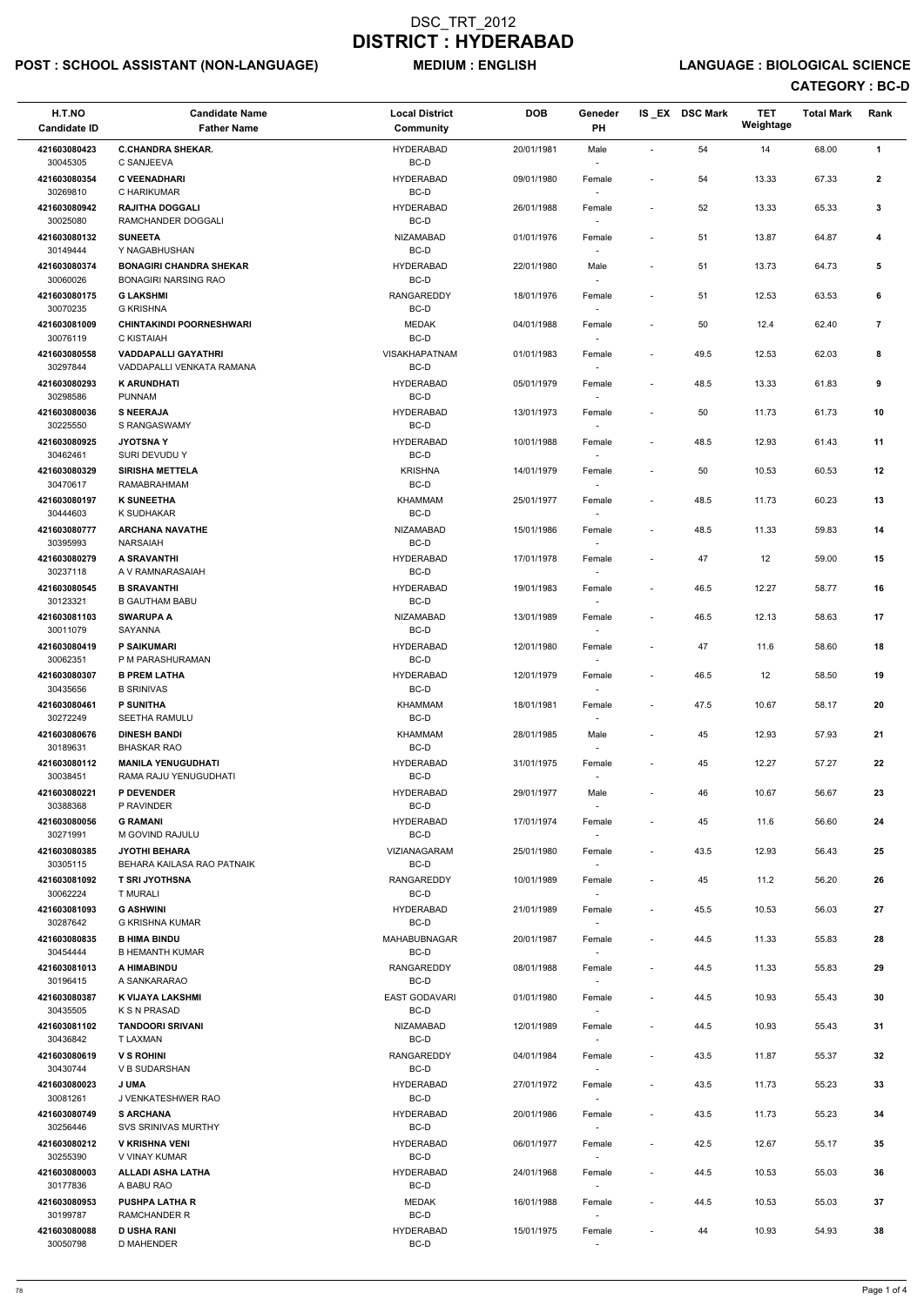# POST : SCHOOL ASSISTANT (NON-LANGUAGE) MEDIUM : ENGLISH LANGUAGE : BIOLOGICAL SCIENCE

| H.T.NO<br><b>Candidate ID</b> | <b>Candidate Name</b><br><b>Father Name</b>             | <b>Local District</b><br>Community | <b>DOB</b> | Geneder<br><b>PH</b>               |                          | IS EX DSC Mark | <b>TET</b><br>Weightage | <b>Total Mark</b> | Rank           |
|-------------------------------|---------------------------------------------------------|------------------------------------|------------|------------------------------------|--------------------------|----------------|-------------------------|-------------------|----------------|
| 421603080423                  | <b>C.CHANDRA SHEKAR.</b>                                | <b>HYDERABAD</b>                   | 20/01/1981 | Male                               |                          | 54             | 14                      | 68.00             | $\mathbf{1}$   |
| 30045305                      | C SANJEEVA                                              | BC-D                               |            |                                    |                          |                |                         |                   |                |
| 421603080354<br>30269810      | <b>C VEENADHARI</b><br>C HARIKUMAR                      | <b>HYDERABAD</b><br>BC-D           | 09/01/1980 | Female                             |                          | 54             | 13.33                   | 67.33             | $\mathbf{2}$   |
| 421603080942<br>30025080      | <b>RAJITHA DOGGALI</b><br>RAMCHANDER DOGGALI            | <b>HYDERABAD</b><br>BC-D           | 26/01/1988 | Female                             | $\sim$                   | 52             | 13.33                   | 65.33             | 3              |
| 421603080132                  | <b>SUNEETA</b><br>Y NAGABHUSHAN                         | <b>NIZAMABAD</b>                   | 01/01/1976 | Female                             |                          | 51             | 13.87                   | 64.87             | 4              |
| 30149444<br>421603080374      | <b>BONAGIRI CHANDRA SHEKAR</b>                          | BC-D<br><b>HYDERABAD</b>           | 22/01/1980 | Male                               | $\overline{\phantom{a}}$ | 51             | 13.73                   | 64.73             | 5              |
| 30060026<br>421603080175      | <b>BONAGIRI NARSING RAO</b><br><b>G LAKSHMI</b>         | BC-D<br><b>RANGAREDDY</b>          | 18/01/1976 | $\sim$<br>Female                   | $\blacksquare$           | 51             | 12.53                   | 63.53             | 6              |
| 30070235                      | <b>G KRISHNA</b>                                        | BC-D                               |            | $\sim$                             |                          |                |                         |                   |                |
| 421603081009<br>30076119      | <b>CHINTAKINDI POORNESHWARI</b><br>C KISTAIAH           | <b>MEDAK</b><br>BC-D               | 04/01/1988 | Female                             |                          | 50             | 12.4                    | 62.40             | $\overline{7}$ |
| 421603080558<br>30297844      | <b>VADDAPALLI GAYATHRI</b><br>VADDAPALLI VENKATA RAMANA | <b>VISAKHAPATNAM</b><br>BC-D       | 01/01/1983 | Female                             | $\blacksquare$           | 49.5           | 12.53                   | 62.03             | 8              |
| 421603080293                  | <b>K ARUNDHATI</b>                                      | <b>HYDERABAD</b><br>BC-D           | 05/01/1979 | Female                             | $\overline{\phantom{a}}$ | 48.5           | 13.33                   | 61.83             | 9              |
| 30298586<br>421603080036      | PUNNAM<br><b>S NEERAJA</b>                              | <b>HYDERABAD</b>                   | 13/01/1973 | $\sim$<br>Female                   | $\overline{\phantom{a}}$ | 50             | 11.73                   | 61.73             | 10             |
| 30225550                      | S RANGASWAMY                                            | BC-D                               |            | $\sim$                             |                          |                |                         |                   |                |
| 421603080925<br>30462461      | <b>JYOTSNAY</b><br>SURI DEVUDU Y                        | <b>HYDERABAD</b><br>BC-D           | 10/01/1988 | Female                             | $\overline{\phantom{a}}$ | 48.5           | 12.93                   | 61.43             | 11             |
| 421603080329<br>30470617      | <b>SIRISHA METTELA</b><br>RAMABRAHMAM                   | <b>KRISHNA</b><br>BC-D             | 14/01/1979 | Female                             | $\overline{\phantom{a}}$ | 50             | 10.53                   | 60.53             | 12             |
| 421603080197<br>30444603      | <b>K SUNEETHA</b><br>K SUDHAKAR                         | <b>KHAMMAM</b><br>BC-D             | 25/01/1977 | Female                             | $\blacksquare$           | 48.5           | 11.73                   | 60.23             | 13             |
| 421603080777                  | <b>ARCHANA NAVATHE</b>                                  | NIZAMABAD                          | 15/01/1986 | $\sim$<br>Female                   | $\blacksquare$           | 48.5           | 11.33                   | 59.83             | 14             |
| 30395993<br>421603080279      | NARSAIAH<br>A SRAVANTHI                                 | BC-D<br><b>HYDERABAD</b>           | 17/01/1978 | $\sim$<br>Female                   | $\blacksquare$           | 47             | 12                      | 59.00             | 15             |
| 30237118                      | A V RAMNARASAIAH                                        | BC-D                               |            |                                    |                          |                |                         |                   |                |
| 421603080545<br>30123321      | <b>B SRAVANTHI</b><br><b>B GAUTHAM BABU</b>             | <b>HYDERABAD</b><br>BC-D           | 19/01/1983 | Female                             |                          | 46.5           | 12.27                   | 58.77             | 16             |
| 421603081103<br>30011079      | <b>SWARUPA A</b><br>SAYANNA                             | NIZAMABAD<br>BC-D                  | 13/01/1989 | Female<br>$\sim$                   | $\overline{\phantom{a}}$ | 46.5           | 12.13                   | 58.63             | 17             |
| 421603080419<br>30062351      | <b>P SAIKUMARI</b><br>P M PARASHURAMAN                  | <b>HYDERABAD</b><br>BC-D           | 12/01/1980 | Female                             |                          | 47             | 11.6                    | 58.60             | 18             |
| 421603080307                  | <b>B PREM LATHA</b>                                     | <b>HYDERABAD</b>                   | 12/01/1979 | Female                             | $\blacksquare$           | 46.5           | 12                      | 58.50             | 19             |
| 30435656<br>421603080461      | <b>B SRINIVAS</b><br><b>P SUNITHA</b>                   | BC-D<br>KHAMMAM                    | 18/01/1981 | Female                             | $\overline{\phantom{a}}$ | 47.5           | 10.67                   | 58.17             | 20             |
| 30272249                      | <b>SEETHA RAMULU</b>                                    | BC-D                               |            | $\sim$                             |                          |                |                         |                   |                |
| 421603080676<br>30189631      | <b>DINESH BANDI</b><br><b>BHASKAR RAO</b>               | KHAMMAM<br>BC-D                    | 28/01/1985 | Male<br>$\sim$                     | $\blacksquare$           | 45             | 12.93                   | 57.93             | 21             |
| 421603080112<br>30038451      | <b>MANILA YENUGUDHATI</b><br>RAMA RAJU YENUGUDHATI      | <b>HYDERABAD</b><br>BC-D           | 31/01/1975 | Female<br>$\sim$                   | $\overline{\phantom{a}}$ | 45             | 12.27                   | 57.27             | 22             |
| 421603080221                  | <b>P DEVENDER</b>                                       | <b>HYDERABAD</b>                   | 29/01/1977 | Male                               | $\overline{\phantom{a}}$ | 46             | 10.67                   | 56.67             | 23             |
| 30388368<br>421603080056      | P RAVINDER<br><b>G RAMANI</b>                           | BC-D<br><b>HYDERABAD</b>           | 17/01/1974 | Female                             | $\blacksquare$           | 45             | 11.6                    | 56.60             | 24             |
| 30271991                      | M GOVIND RAJULU                                         | BC-D                               |            | $\sim$                             |                          |                |                         |                   |                |
| 421603080385<br>30305115      | <b>JYOTHI BEHARA</b><br>BEHARA KAILASA RAO PATNAIK      | VIZIANAGARAM<br>BC-D               | 25/01/1980 | Female<br>$\overline{\phantom{a}}$ | $\overline{\phantom{a}}$ | 43.5           | 12.93                   | 56.43             | 25             |
| 421603081092<br>30062224      | <b>T SRI JYOTHSNA</b><br><b>T MURALI</b>                | <b>RANGAREDDY</b><br>BC-D          | 10/01/1989 | Female<br>$\sim$                   | $\overline{\phantom{a}}$ | 45             | 11.2                    | 56.20             | 26             |
| 421603081093<br>30287642      | <b>G ASHWINI</b><br>G KRISHNA KUMAR                     | <b>HYDERABAD</b><br>BC-D           | 21/01/1989 | Female                             | $\overline{\phantom{a}}$ | 45.5           | 10.53                   | 56.03             | 27             |
| 421603080835                  | <b>B HIMA BINDU</b>                                     | MAHABUBNAGAR                       | 20/01/1987 | Female                             | $\blacksquare$           | 44.5           | 11.33                   | 55.83             | 28             |
| 30454444<br>421603081013      | <b>B HEMANTH KUMAR</b><br>A HIMABINDU                   | BC-D<br>RANGAREDDY                 | 08/01/1988 | Female                             | $\blacksquare$           | 44.5           | 11.33                   | 55.83             | 29             |
| 30196415                      | A SANKARARAO                                            | BC-D                               |            | $\sim$                             |                          |                |                         |                   |                |
| 421603080387<br>30435505      | K VIJAYA LAKSHMI<br>K S N PRASAD                        | <b>EAST GODAVARI</b><br>BC-D       | 01/01/1980 | Female<br>$\sim$                   | $\sim$                   | 44.5           | 10.93                   | 55.43             | 30             |
| 421603081102<br>30436842      | <b>TANDOORI SRIVANI</b><br>T LAXMAN                     | NIZAMABAD<br>BC-D                  | 12/01/1989 | Female<br>$\sim$                   | $\overline{\phantom{a}}$ | 44.5           | 10.93                   | 55.43             | 31             |
| 421603080619                  | <b>V S ROHINI</b>                                       | <b>RANGAREDDY</b>                  | 04/01/1984 | Female                             | $\overline{\phantom{a}}$ | 43.5           | 11.87                   | 55.37             | 32             |
| 30430744<br>421603080023      | V B SUDARSHAN<br>J UMA                                  | BC-D<br><b>HYDERABAD</b>           | 27/01/1972 | Female                             | $\sim$                   | 43.5           | 11.73                   | 55.23             | 33             |
| 30081261                      | J VENKATESHWER RAO                                      | BC-D                               |            | $\sim$                             |                          |                |                         |                   |                |
| 421603080749<br>30256446      | <b>S ARCHANA</b><br><b>SVS SRINIVAS MURTHY</b>          | <b>HYDERABAD</b><br>BC-D           | 20/01/1986 | Female                             |                          | 43.5           | 11.73                   | 55.23             | 34             |
| 421603080212<br>30255390      | <b>V KRISHNA VENI</b><br>V VINAY KUMAR                  | <b>HYDERABAD</b><br>BC-D           | 06/01/1977 | Female<br>$\sim$                   | $\overline{\phantom{a}}$ | 42.5           | 12.67                   | 55.17             | 35             |
| 421603080003<br>30177836      | <b>ALLADI ASHA LATHA</b><br>A BABU RAO                  | <b>HYDERABAD</b><br>BC-D           | 24/01/1968 | Female<br>$\sim$                   | $\overline{\phantom{a}}$ | 44.5           | 10.53                   | 55.03             | 36             |
| 421603080953                  | <b>PUSHPA LATHA R</b>                                   | MEDAK                              | 16/01/1988 | Female                             | $\blacksquare$           | 44.5           | 10.53                   | 55.03             | 37             |
| 30199787<br>421603080088      | <b>RAMCHANDER R</b><br><b>D USHA RANI</b>               | BC-D<br><b>HYDERABAD</b>           | 15/01/1975 | $\sim$<br>Female                   | $\overline{\phantom{a}}$ | 44             | 10.93                   | 54.93             | 38             |
| 30050798                      | <b>D MAHENDER</b>                                       | BC-D                               |            | $\sim$                             |                          |                |                         |                   |                |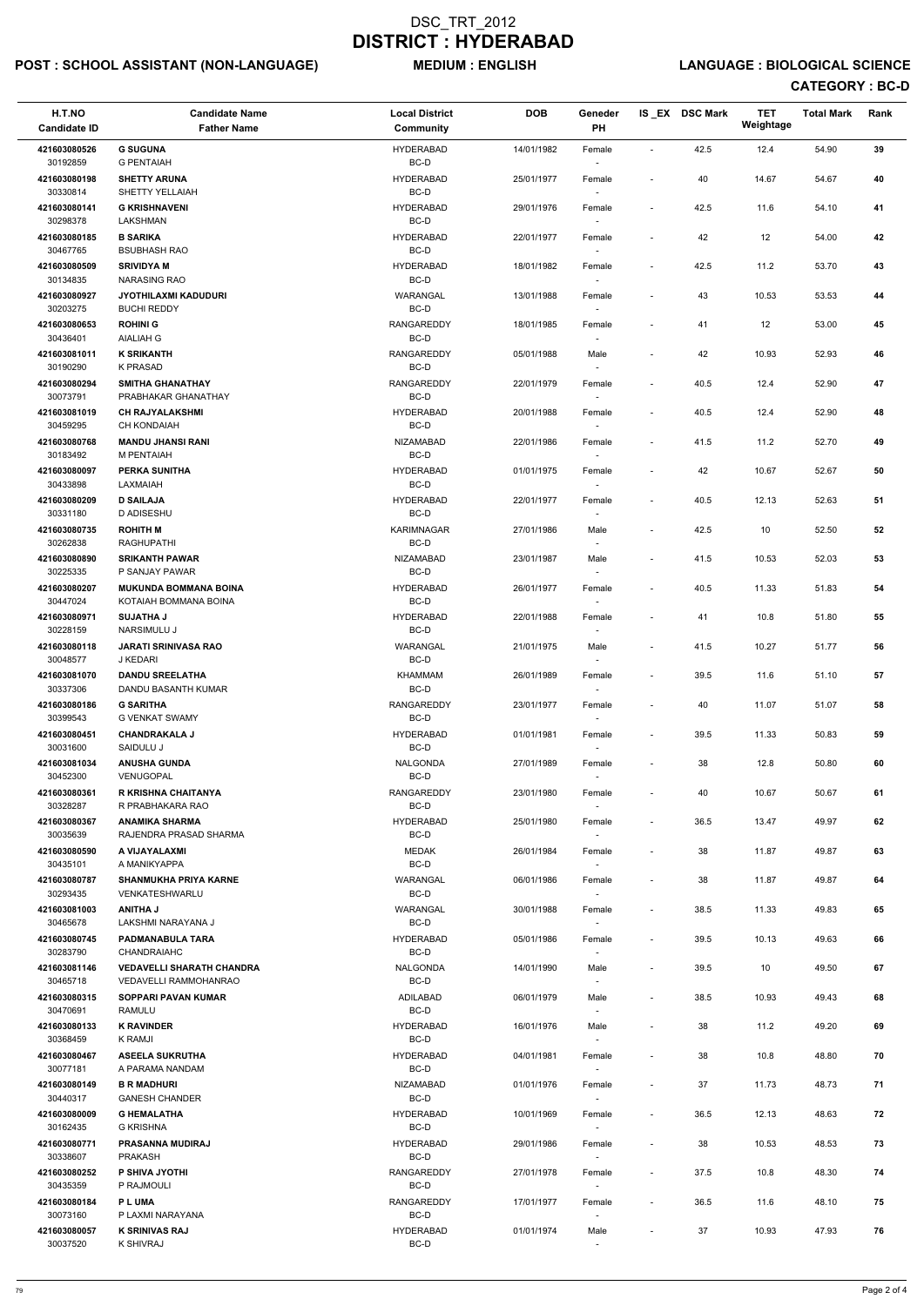# POST : SCHOOL ASSISTANT (NON-LANGUAGE) MEDIUM : ENGLISH LANGUAGE : BIOLOGICAL SCIENCE

| H.T.NO<br><b>Candidate ID</b> | <b>Candidate Name</b><br><b>Father Name</b>       | <b>Local District</b><br><b>Community</b> | <b>DOB</b> | Geneder<br><b>PH</b>               |                          | IS EX DSC Mark | <b>TET</b><br>Weightage | <b>Total Mark</b> | Rank |
|-------------------------------|---------------------------------------------------|-------------------------------------------|------------|------------------------------------|--------------------------|----------------|-------------------------|-------------------|------|
| 421603080526<br>30192859      | <b>G SUGUNA</b><br><b>G PENTAIAH</b>              | <b>HYDERABAD</b>                          | 14/01/1982 | Female                             | $\blacksquare$           | 42.5           | 12.4                    | 54.90             | 39   |
| 421603080198                  | <b>SHETTY ARUNA</b>                               | BC-D<br><b>HYDERABAD</b>                  | 25/01/1977 | $\overline{\phantom{a}}$<br>Female | $\blacksquare$           | 40             | 14.67                   | 54.67             | 40   |
| 30330814<br>421603080141      | SHETTY YELLAIAH<br><b>G KRISHNAVENI</b>           | BC-D<br><b>HYDERABAD</b>                  | 29/01/1976 | Female                             | $\overline{\phantom{a}}$ | 42.5           | 11.6                    | 54.10             | 41   |
| 30298378<br>421603080185      | LAKSHMAN<br><b>B SARIKA</b>                       | BC-D<br><b>HYDERABAD</b>                  | 22/01/1977 | Female                             | $\overline{a}$           | 42             | 12                      | 54.00             | 42   |
| 30467765<br>421603080509      | <b>BSUBHASH RAO</b><br><b>SRIVIDYA M</b>          | BC-D<br><b>HYDERABAD</b>                  | 18/01/1982 | $\overline{\phantom{a}}$<br>Female | $\overline{\phantom{a}}$ | 42.5           | 11.2                    | 53.70             | 43   |
| 30134835                      | <b>NARASING RAO</b>                               | BC-D                                      |            | $\overline{\phantom{a}}$           |                          |                |                         |                   |      |
| 421603080927<br>30203275      | <b>JYOTHILAXMI KADUDURI</b><br><b>BUCHI REDDY</b> | WARANGAL<br>BC-D                          | 13/01/1988 | Female<br>$\overline{\phantom{a}}$ | $\overline{\phantom{a}}$ | 43             | 10.53                   | 53.53             | 44   |
| 421603080653<br>30436401      | <b>ROHINI G</b><br><b>AIALIAH G</b>               | <b>RANGAREDDY</b><br>BC-D                 | 18/01/1985 | Female                             | $\overline{\phantom{a}}$ | 41             | 12                      | 53.00             | 45   |
| 421603081011<br>30190290      | <b>K SRIKANTH</b><br><b>K PRASAD</b>              | <b>RANGAREDDY</b><br>BC-D                 | 05/01/1988 | Male<br>$\overline{\phantom{a}}$   | $\overline{\phantom{a}}$ | 42             | 10.93                   | 52.93             | 46   |
| 421603080294<br>30073791      | <b>SMITHA GHANATHAY</b><br>PRABHAKAR GHANATHAY    | <b>RANGAREDDY</b><br>BC-D                 | 22/01/1979 | Female<br>$\overline{\phantom{a}}$ | $\overline{a}$           | 40.5           | 12.4                    | 52.90             | 47   |
| 421603081019                  | <b>CH RAJYALAKSHMI</b>                            | <b>HYDERABAD</b>                          | 20/01/1988 | Female                             | $\overline{\phantom{a}}$ | 40.5           | 12.4                    | 52.90             | 48   |
| 30459295<br>421603080768      | <b>CH KONDAIAH</b><br><b>MANDU JHANSI RANI</b>    | BC-D<br><b>NIZAMABAD</b>                  | 22/01/1986 | $\overline{\phantom{a}}$<br>Female | $\blacksquare$           | 41.5           | 11.2                    | 52.70             | 49   |
| 30183492                      | M PENTAIAH                                        | BC-D                                      |            |                                    |                          |                |                         |                   |      |
| 421603080097<br>30433898      | <b>PERKA SUNITHA</b><br>LAXMAIAH                  | <b>HYDERABAD</b><br>BC-D                  | 01/01/1975 | Female                             | $\overline{\phantom{a}}$ | 42             | 10.67                   | 52.67             | 50   |
| 421603080209<br>30331180      | <b>D SAILAJA</b><br>D ADISESHU                    | <b>HYDERABAD</b><br>BC-D                  | 22/01/1977 | Female<br>$\sim$                   | $\overline{\phantom{a}}$ | 40.5           | 12.13                   | 52.63             | 51   |
| 421603080735<br>30262838      | <b>ROHITH M</b><br><b>RAGHUPATHI</b>              | KARIMNAGAR<br>BC-D                        | 27/01/1986 | Male<br>$\sim$                     | $\overline{\phantom{a}}$ | 42.5           | 10                      | 52.50             | 52   |
| 421603080890<br>30225335      | <b>SRIKANTH PAWAR</b><br>P SANJAY PAWAR           | <b>NIZAMABAD</b><br>BC-D                  | 23/01/1987 | Male                               | $\overline{\phantom{a}}$ | 41.5           | 10.53                   | 52.03             | 53   |
| 421603080207                  | <b>MUKUNDA BOMMANA BOINA</b>                      | <b>HYDERABAD</b>                          | 26/01/1977 | Female                             | $\overline{\phantom{a}}$ | 40.5           | 11.33                   | 51.83             | 54   |
| 30447024<br>421603080971      | KOTAIAH BOMMANA BOINA<br><b>SUJATHA J</b>         | BC-D<br><b>HYDERABAD</b>                  | 22/01/1988 | $\overline{\phantom{a}}$<br>Female | $\overline{\phantom{a}}$ | 41             | 10.8                    | 51.80             | 55   |
| 30228159<br>421603080118      | <b>NARSIMULU J</b><br><b>JARATI SRINIVASA RAO</b> | BC-D<br>WARANGAL                          | 21/01/1975 | $\sim$<br>Male                     | $\overline{a}$           | 41.5           | 10.27                   | 51.77             | 56   |
| 30048577<br>421603081070      | J KEDARI<br><b>DANDU SREELATHA</b>                | BC-D<br><b>KHAMMAM</b>                    | 26/01/1989 | Female                             | $\overline{\phantom{a}}$ | 39.5           | 11.6                    | 51.10             | 57   |
| 30337306<br>421603080186      | DANDU BASANTH KUMAR<br><b>G SARITHA</b>           | BC-D<br>RANGAREDDY                        | 23/01/1977 | Female                             | $\blacksquare$           | 40             | 11.07                   | 51.07             | 58   |
| 30399543                      | <b>G VENKAT SWAMY</b>                             | BC-D                                      |            | $\overline{\phantom{a}}$           |                          |                |                         |                   |      |
| 421603080451<br>30031600      | <b>CHANDRAKALA J</b><br>SAIDULU J                 | <b>HYDERABAD</b><br>BC-D                  | 01/01/1981 | Female<br>$\sim$                   | $\overline{\phantom{a}}$ | 39.5           | 11.33                   | 50.83             | 59   |
| 421603081034<br>30452300      | <b>ANUSHA GUNDA</b><br>VENUGOPAL                  | NALGONDA<br>BC-D                          | 27/01/1989 | Female                             | $\overline{\phantom{a}}$ | 38             | 12.8                    | 50.80             | 60   |
| 421603080361<br>30328287      | <b>R KRISHNA CHAITANYA</b><br>R PRABHAKARA RAO    | <b>RANGAREDDY</b><br>BC-D                 | 23/01/1980 | Female                             | $\overline{\phantom{a}}$ | 40             | 10.67                   | 50.67             | 61   |
| 421603080367<br>30035639      | <b>ANAMIKA SHARMA</b><br>RAJENDRA PRASAD SHARMA   | <b>HYDERABAD</b><br>BC-D                  | 25/01/1980 | Female<br>$\sim$                   | $\blacksquare$           | 36.5           | 13.47                   | 49.97             | 62   |
| 421603080590                  | A VIJAYALAXMI                                     | <b>MEDAK</b>                              | 26/01/1984 | Female                             | $\overline{\phantom{a}}$ | 38             | 11.87                   | 49.87             | 63   |
| 30435101<br>421603080787      | A MANIKYAPPA<br><b>SHANMUKHA PRIYA KARNE</b>      | BC-D<br>WARANGAL                          | 06/01/1986 | $\sim$<br>Female                   | $\overline{\phantom{a}}$ | 38             | 11.87                   | 49.87             | 64   |
| 30293435<br>421603081003      | VENKATESHWARLU<br><b>LAHTIIA</b>                  | BC-D<br>WARANGAL                          | 30/01/1988 | $\sim$<br>Female                   | $\overline{\phantom{a}}$ | 38.5           | 11.33                   | 49.83             | 65   |
| 30465678<br>421603080745      | LAKSHMI NARAYANA J<br>PADMANABULA TARA            | BC-D<br><b>HYDERABAD</b>                  | 05/01/1986 | Female                             | $\overline{\phantom{a}}$ | 39.5           | 10.13                   | 49.63             | 66   |
| 30283790<br>421603081146      | CHANDRAIAHC<br><b>VEDAVELLI SHARATH CHANDRA</b>   | BC-D<br><b>NALGONDA</b>                   | 14/01/1990 | $\overline{\phantom{a}}$<br>Male   | $\overline{a}$           | 39.5           | 10                      | 49.50             | 67   |
| 30465718                      | <b>VEDAVELLI RAMMOHANRAO</b>                      | BC-D                                      |            | $\overline{\phantom{a}}$           |                          |                |                         |                   |      |
| 421603080315<br>30470691      | <b>SOPPARI PAVAN KUMAR</b><br><b>RAMULU</b>       | ADILABAD<br>BC-D                          | 06/01/1979 | Male<br>$\sim$                     | $\overline{\phantom{a}}$ | 38.5           | 10.93                   | 49.43             | 68   |
| 421603080133<br>30368459      | <b>K RAVINDER</b><br>K RAMJI                      | <b>HYDERABAD</b><br>BC-D                  | 16/01/1976 | Male<br>$\overline{\phantom{a}}$   | $\blacksquare$           | 38             | 11.2                    | 49.20             | 69   |
| 421603080467                  | <b>ASEELA SUKRUTHA</b>                            | <b>HYDERABAD</b>                          | 04/01/1981 | Female                             | $\overline{\phantom{a}}$ | 38             | 10.8                    | 48.80             | 70   |
| 30077181<br>421603080149      | A PARAMA NANDAM<br><b>B R MADHURI</b>             | BC-D<br><b>NIZAMABAD</b>                  | 01/01/1976 | Female                             | $\blacksquare$           | 37             | 11.73                   | 48.73             | 71   |
| 30440317<br>421603080009      | <b>GANESH CHANDER</b><br><b>G HEMALATHA</b>       | BC-D                                      |            | $\sim$                             |                          |                |                         |                   |      |
| 30162435                      | <b>G KRISHNA</b>                                  | <b>HYDERABAD</b><br>BC-D                  | 10/01/1969 | Female<br>$\overline{\phantom{a}}$ | $\overline{\phantom{a}}$ | 36.5           | 12.13                   | 48.63             | 72   |
| 421603080771<br>30338607      | <b>PRASANNA MUDIRAJ</b><br><b>PRAKASH</b>         | <b>HYDERABAD</b><br>BC-D                  | 29/01/1986 | Female<br>$\sim$                   | $\sim$                   | 38             | 10.53                   | 48.53             | 73   |
| 421603080252<br>30435359      | P SHIVA JYOTHI<br>P RAJMOULI                      | RANGAREDDY<br>BC-D                        | 27/01/1978 | Female<br>$\sim$                   | $\overline{\phantom{a}}$ | 37.5           | 10.8                    | 48.30             | 74   |
| 421603080184<br>30073160      | <b>PLUMA</b><br>P LAXMI NARAYANA                  | <b>RANGAREDDY</b><br>BC-D                 | 17/01/1977 | Female<br>$\overline{\phantom{a}}$ | $\overline{\phantom{a}}$ | 36.5           | 11.6                    | 48.10             | 75   |
| 421603080057<br>30037520      | <b>K SRINIVAS RAJ</b><br>K SHIVRAJ                | <b>HYDERABAD</b><br>BC-D                  | 01/01/1974 | Male<br>$\overline{\phantom{a}}$   | $\overline{\phantom{a}}$ | 37             | 10.93                   | 47.93             | 76   |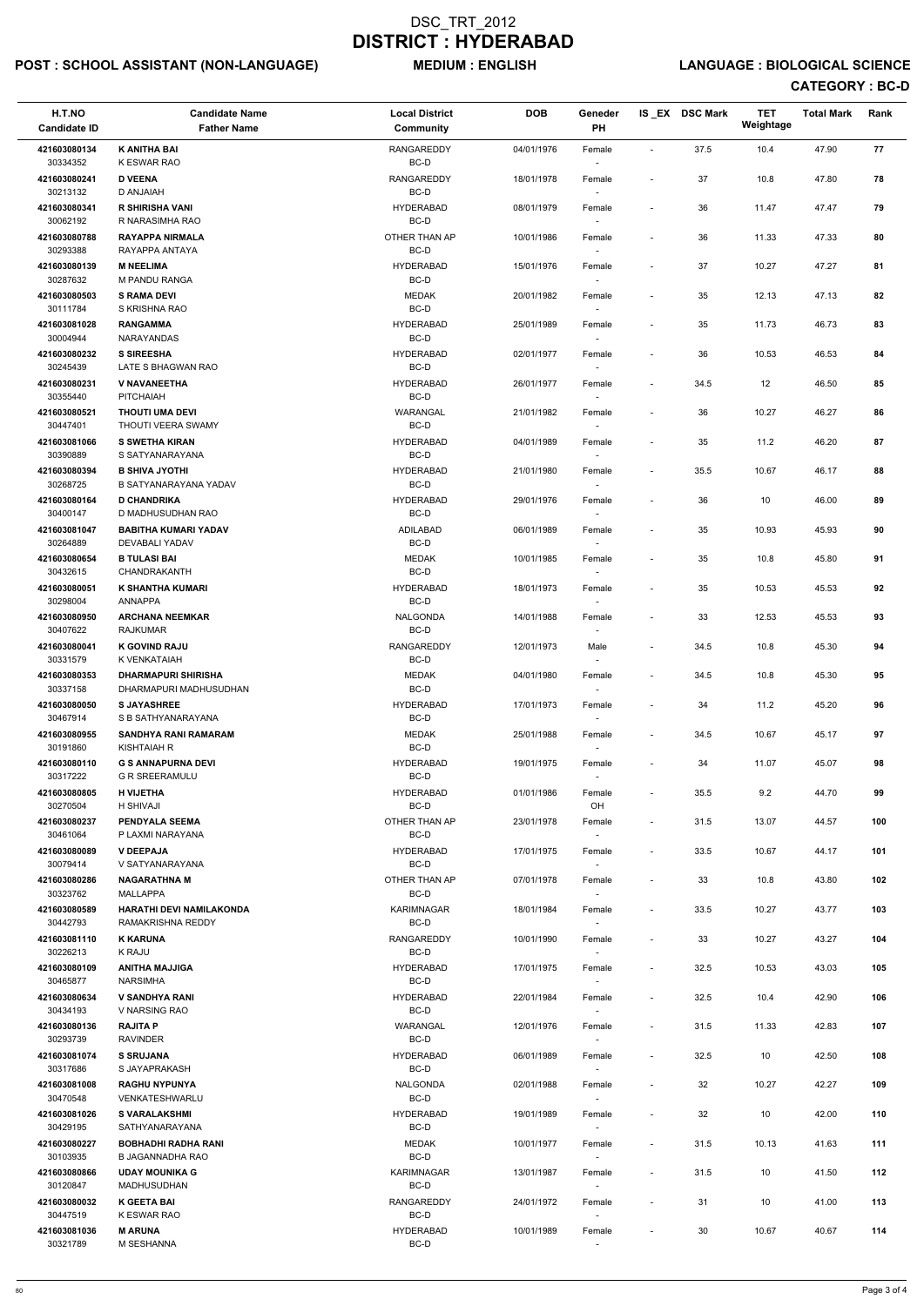# POST : SCHOOL ASSISTANT (NON-LANGUAGE) MEDIUM : ENGLISH LANGUAGE : BIOLOGICAL SCIENCE

| H.T.NO<br><b>Candidate ID</b> | <b>Candidate Name</b><br><b>Father Name</b>          | <b>Local District</b><br><b>Community</b> | <b>DOB</b> | Geneder<br><b>PH</b>               |                              | IS_EX DSC Mark | <b>TET</b><br>Weightage | <b>Total Mark</b> | Rank |  |
|-------------------------------|------------------------------------------------------|-------------------------------------------|------------|------------------------------------|------------------------------|----------------|-------------------------|-------------------|------|--|
| 421603080134                  | <b>K ANITHA BAI</b>                                  | <b>RANGAREDDY</b>                         | 04/01/1976 | Female                             | $\blacksquare$               | 37.5           | 10.4                    | 47.90             | 77   |  |
| 30334352<br>421603080241      | <b>K ESWAR RAO</b><br><b>D VEENA</b>                 | BC-D<br><b>RANGAREDDY</b>                 | 18/01/1978 | $\overline{\phantom{a}}$<br>Female | $\overline{\phantom{a}}$     | 37             | 10.8                    | 47.80             | 78   |  |
| 30213132<br>421603080341      | D ANJAIAH<br><b>R SHIRISHA VANI</b>                  | BC-D<br><b>HYDERABAD</b>                  | 08/01/1979 | Female                             | $\overline{\phantom{a}}$     | 36             | 11.47                   | 47.47             | 79   |  |
| 30062192                      | R NARASIMHA RAO                                      | BC-D                                      |            |                                    |                              |                |                         |                   |      |  |
| 421603080788<br>30293388      | <b>RAYAPPA NIRMALA</b><br>RAYAPPA ANTAYA             | OTHER THAN AP<br>BC-D                     | 10/01/1986 | Female<br>$\overline{\phantom{a}}$ | $\overline{\phantom{a}}$     | 36             | 11.33                   | 47.33             | 80   |  |
| 421603080139<br>30287632      | <b>M NEELIMA</b><br>M PANDU RANGA                    | <b>HYDERABAD</b><br>BC-D                  | 15/01/1976 | Female<br>$\sim$                   | $\overline{\phantom{a}}$     | 37             | 10.27                   | 47.27             | 81   |  |
| 421603080503                  | <b>S RAMA DEVI</b>                                   | <b>MEDAK</b>                              | 20/01/1982 | Female                             | $\qquad \qquad \blacksquare$ | 35             | 12.13                   | 47.13             | 82   |  |
| 30111784<br>421603081028      | S KRISHNA RAO<br><b>RANGAMMA</b>                     | $BC-D$<br><b>HYDERABAD</b>                | 25/01/1989 | Female                             | $\overline{\phantom{a}}$     | 35             | 11.73                   | 46.73             | 83   |  |
| 30004944                      | NARAYANDAS                                           | BC-D                                      |            |                                    |                              |                |                         |                   |      |  |
| 421603080232<br>30245439      | <b>S SIREESHA</b><br>LATE S BHAGWAN RAO              | <b>HYDERABAD</b><br>BC-D                  | 02/01/1977 | Female<br>$\sim$                   | $\overline{\phantom{a}}$     | 36             | 10.53                   | 46.53             | 84   |  |
| 421603080231<br>30355440      | <b>V NAVANEETHA</b><br><b>PITCHAIAH</b>              | <b>HYDERABAD</b><br>BC-D                  | 26/01/1977 | Female<br>$\sim$                   | $\overline{\phantom{a}}$     | 34.5           | 12                      | 46.50             | 85   |  |
| 421603080521                  | <b>THOUTI UMA DEVI</b>                               | WARANGAL                                  | 21/01/1982 | Female                             | $\overline{\phantom{a}}$     | 36             | 10.27                   | 46.27             | 86   |  |
| 30447401<br>421603081066      | THOUTI VEERA SWAMY<br><b>S SWETHA KIRAN</b>          | BC-D<br><b>HYDERABAD</b>                  | 04/01/1989 | $\sim$<br>Female                   | $\overline{\phantom{a}}$     | 35             | 11.2                    | 46.20             | 87   |  |
| 30390889<br>421603080394      | S SATYANARAYANA<br><b>B SHIVA JYOTHI</b>             | BC-D<br><b>HYDERABAD</b>                  | 21/01/1980 |                                    | $\overline{\phantom{a}}$     | 35.5           | 10.67                   | 46.17             | 88   |  |
| 30268725                      | B SATYANARAYANA YADAV                                | BC-D                                      |            | Female<br>$\overline{\phantom{a}}$ |                              |                |                         |                   |      |  |
| 421603080164<br>30400147      | <b>D CHANDRIKA</b><br>D MADHUSUDHAN RAO              | <b>HYDERABAD</b><br>BC-D                  | 29/01/1976 | Female<br>$\sim$                   | $\overline{\phantom{a}}$     | 36             | 10                      | 46.00             | 89   |  |
| 421603081047                  | <b>BABITHA KUMARI YADAV</b>                          | <b>ADILABAD</b>                           | 06/01/1989 | Female                             | $\overline{\phantom{a}}$     | 35             | 10.93                   | 45.93             | 90   |  |
| 30264889<br>421603080654      | DEVABALI YADAV<br><b>B TULASI BAI</b>                | BC-D<br><b>MEDAK</b>                      | 10/01/1985 | $\overline{\phantom{a}}$<br>Female | $\overline{\phantom{a}}$     | 35             | 10.8                    | 45.80             | 91   |  |
| 30432615<br>421603080051      | CHANDRAKANTH<br>K SHANTHA KUMARI                     | $BC-D$<br><b>HYDERABAD</b>                | 18/01/1973 | Female                             | $\overline{\phantom{a}}$     | 35             | 10.53                   | 45.53             | 92   |  |
| 30298004                      | ANNAPPA                                              | BC-D                                      |            | $\overline{\phantom{a}}$           |                              |                |                         |                   |      |  |
| 421603080950<br>30407622      | <b>ARCHANA NEEMKAR</b><br><b>RAJKUMAR</b>            | NALGONDA<br>BC-D                          | 14/01/1988 | Female<br>$\overline{\phantom{a}}$ | $\qquad \qquad \blacksquare$ | 33             | 12.53                   | 45.53             | 93   |  |
| 421603080041<br>30331579      | <b>K GOVIND RAJU</b><br>K VENKATAIAH                 | <b>RANGAREDDY</b><br>BC-D                 | 12/01/1973 | Male                               | $\overline{\phantom{a}}$     | 34.5           | 10.8                    | 45.30             | 94   |  |
| 421603080353                  | <b>DHARMAPURI SHIRISHA</b>                           | <b>MEDAK</b>                              | 04/01/1980 | Female                             | $\overline{\phantom{a}}$     | 34.5           | 10.8                    | 45.30             | 95   |  |
| 30337158<br>421603080050      | DHARMAPURI MADHUSUDHAN<br><b>S JAYASHREE</b>         | BC-D<br><b>HYDERABAD</b>                  | 17/01/1973 | $\sim$<br>Female                   | $\overline{\phantom{a}}$     | 34             | 11.2                    | 45.20             | 96   |  |
| 30467914                      | S B SATHYANARAYANA                                   | BC-D                                      |            | $\sim$                             |                              |                |                         |                   |      |  |
| 421603080955<br>30191860      | <b>SANDHYA RANI RAMARAM</b><br>KISHTAIAH R           | <b>MEDAK</b><br>BC-D                      | 25/01/1988 | Female<br>$\sim$                   | $\overline{\phantom{a}}$     | 34.5           | 10.67                   | 45.17             | 97   |  |
| 421603080110<br>30317222      | <b>G S ANNAPURNA DEVI</b><br><b>G R SREERAMULU</b>   | <b>HYDERABAD</b><br>BC-D                  | 19/01/1975 | Female                             | $\qquad \qquad \blacksquare$ | 34             | 11.07                   | 45.07             | 98   |  |
| 421603080805<br>30270504      | <b>H VIJETHA</b><br>H SHIVAJI                        | <b>HYDERABAD</b><br>BC-D                  | 01/01/1986 | Female<br>OH                       | $\overline{\phantom{a}}$     | 35.5           | 9.2                     | 44.70             | 99   |  |
| 421603080237                  | <b>PENDYALA SEEMA</b>                                | OTHER THAN AP                             | 23/01/1978 | Female                             | $\overline{\phantom{a}}$     | 31.5           | 13.07                   | 44.57             | 100  |  |
| 30461064<br>421603080089      | P LAXMI NARAYANA<br><b>V DEEPAJA</b>                 | BC-D<br><b>HYDERABAD</b>                  | 17/01/1975 | $\sim$<br>Female                   | $\overline{\phantom{a}}$     | 33.5           | 10.67                   | 44.17             | 101  |  |
| 30079414                      | V SATYANARAYANA                                      | BC-D                                      |            | $\sim$                             |                              |                |                         |                   |      |  |
| 421603080286<br>30323762      | <b>NAGARATHNA M</b><br>MALLAPPA                      | OTHER THAN AP<br>BC-D                     | 07/01/1978 | Female<br>$\sim$                   | $\overline{\phantom{a}}$     | 33             | 10.8                    | 43.80             | 102  |  |
| 421603080589<br>30442793      | <b>HARATHI DEVI NAMILAKONDA</b><br>RAMAKRISHNA REDDY | KARIMNAGAR<br>BC-D                        | 18/01/1984 | Female                             | $\overline{\phantom{a}}$     | 33.5           | 10.27                   | 43.77             | 103  |  |
| 421603081110                  | <b>K KARUNA</b>                                      | <b>RANGAREDDY</b>                         | 10/01/1990 | Female                             | $\overline{\phantom{a}}$     | 33             | 10.27                   | 43.27             | 104  |  |
| 30226213<br>421603080109      | K RAJU<br><b>ANITHA MAJJIGA</b>                      | BC-D<br><b>HYDERABAD</b>                  | 17/01/1975 | $\sim$<br>Female                   | $\overline{\phantom{a}}$     | 32.5           | 10.53                   | 43.03             | 105  |  |
| 30465877                      | <b>NARSIMHA</b>                                      | BC-D                                      |            | $\sim$                             |                              |                |                         |                   |      |  |
| 421603080634<br>30434193      | <b>V SANDHYA RANI</b><br>V NARSING RAO               | <b>HYDERABAD</b><br>BC-D                  | 22/01/1984 | Female<br>$\sim$                   | $\overline{\phantom{a}}$     | 32.5           | 10.4                    | 42.90             | 106  |  |
| 421603080136<br>30293739      | <b>RAJITA P</b><br><b>RAVINDER</b>                   | WARANGAL<br>BC-D                          | 12/01/1976 | Female                             | $\overline{\phantom{a}}$     | 31.5           | 11.33                   | 42.83             | 107  |  |
| 421603081074<br>30317686      | <b>S SRUJANA</b>                                     | <b>HYDERABAD</b>                          | 06/01/1989 | Female                             | $\overline{\phantom{a}}$     | 32.5           | 10                      | 42.50             | 108  |  |
| 421603081008                  | S JAYAPRAKASH<br><b>RAGHU NYPUNYA</b>                | BC-D<br><b>NALGONDA</b>                   | 02/01/1988 | Female                             | $\sim$                       | 32             | 10.27                   | 42.27             | 109  |  |
| 30470548<br>421603081026      | VENKATESHWARLU<br><b>S VARALAKSHMI</b>               | BC-D<br><b>HYDERABAD</b>                  | 19/01/1989 | $\sim$<br>Female                   | $\overline{\phantom{a}}$     | 32             | 10                      | 42.00             | 110  |  |
| 30429195                      | SATHYANARAYANA                                       | BC-D                                      |            | $\overline{\phantom{a}}$           |                              |                |                         |                   |      |  |
| 421603080227<br>30103935      | <b>BOBHADHI RADHA RANI</b><br>B JAGANNADHA RAO       | <b>MEDAK</b><br>BC-D                      | 10/01/1977 | Female<br>$\sim$                   | $\overline{\phantom{a}}$     | 31.5           | 10.13                   | 41.63             | 111  |  |
| 421603080866<br>30120847      | <b>UDAY MOUNIKA G</b><br>MADHUSUDHAN                 | KARIMNAGAR<br>BC-D                        | 13/01/1987 | Female<br>$\sim$                   | $\overline{\phantom{a}}$     | 31.5           | 10                      | 41.50             | 112  |  |
| 421603080032                  | <b>K GEETA BAI</b>                                   | <b>RANGAREDDY</b>                         | 24/01/1972 | Female                             | $\overline{\phantom{a}}$     | 31             | 10                      | 41.00             | 113  |  |
| 30447519<br>421603081036      | K ESWAR RAO<br><b>M ARUNA</b>                        | BC-D<br><b>HYDERABAD</b>                  | 10/01/1989 | $\sim$<br>Female                   | $\overline{\phantom{a}}$     | 30             | 10.67                   | 40.67             | 114  |  |
| 30321789                      | M SESHANNA                                           | BC-D                                      |            | $\overline{\phantom{a}}$           |                              |                |                         |                   |      |  |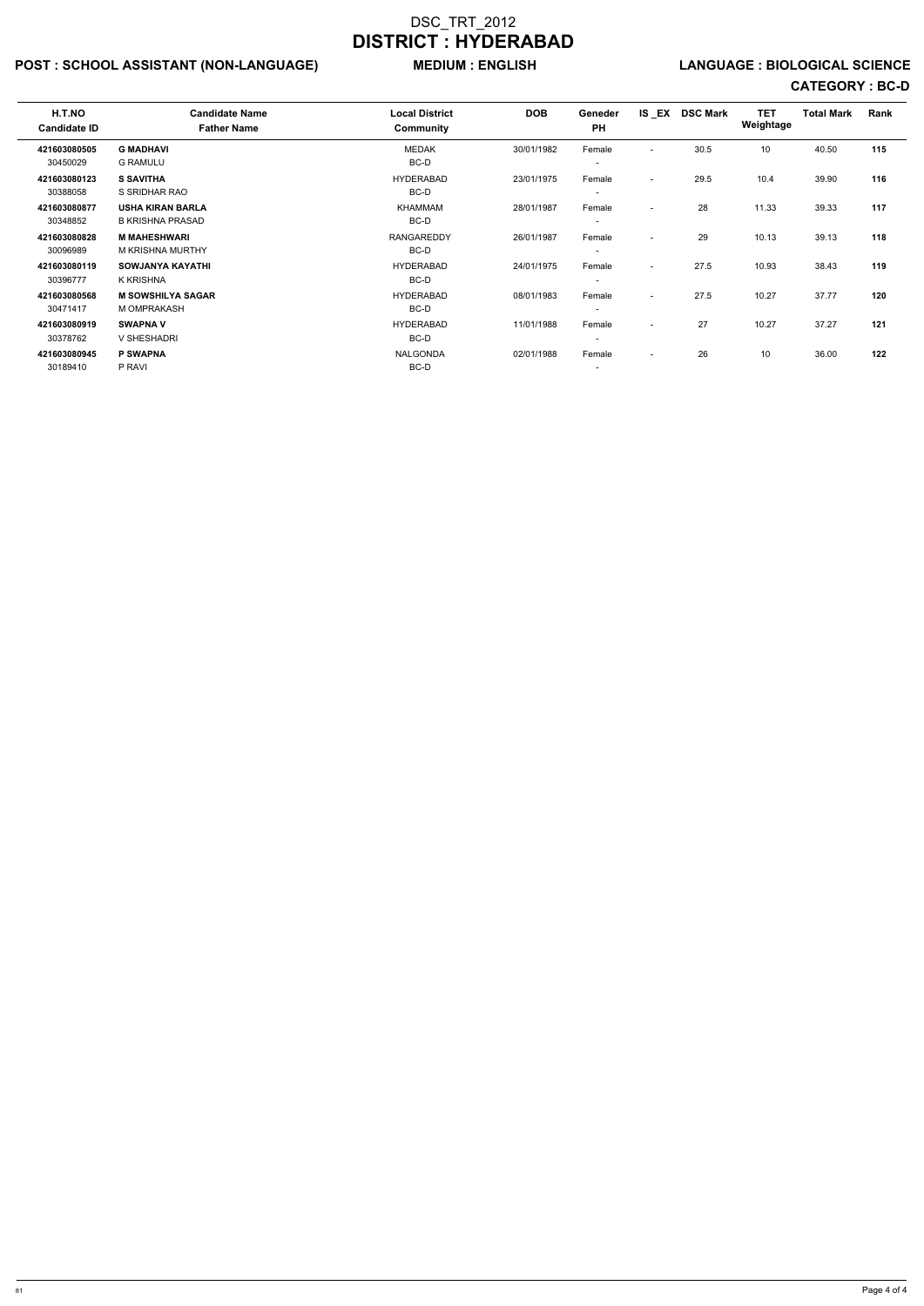# POST : SCHOOL ASSISTANT (NON-LANGUAGE) MEDIUM : ENGLISH LANGUAGE : BIOLOGICAL SCIENCE

| H.T.NO<br><b>Candidate ID</b> | <b>Candidate Name</b><br><b>Father Name</b>        | <b>Local District</b><br>Community | <b>DOB</b> | Geneder<br><b>PH</b>               |                          | IS EX DSC Mark | <b>TET</b><br>Weightage | <b>Total Mark</b> | Rank |
|-------------------------------|----------------------------------------------------|------------------------------------|------------|------------------------------------|--------------------------|----------------|-------------------------|-------------------|------|
| 421603080505<br>30450029      | <b>G MADHAVI</b><br><b>G RAMULU</b>                | <b>MEDAK</b><br>BC-D               | 30/01/1982 | Female<br>$\overline{\phantom{a}}$ |                          | 30.5           | 10                      | 40.50             | 115  |
| 421603080123<br>30388058      | <b>S SAVITHA</b><br>S SRIDHAR RAO                  | <b>HYDERABAD</b><br>BC-D           | 23/01/1975 | Female<br>$\sim$                   | $\overline{\phantom{0}}$ | 29.5           | 10.4                    | 39.90             | 116  |
| 421603080877<br>30348852      | <b>USHA KIRAN BARLA</b><br><b>B KRISHNA PRASAD</b> | KHAMMAM<br>BC-D                    | 28/01/1987 | Female<br>$\overline{\phantom{a}}$ | $\overline{\phantom{0}}$ | 28             | 11.33                   | 39.33             | 117  |
| 421603080828<br>30096989      | <b>M MAHESHWARI</b><br>M KRISHNA MURTHY            | <b>RANGAREDDY</b><br>BC-D          | 26/01/1987 | Female<br>$\overline{\phantom{a}}$ | $\overline{\phantom{0}}$ | 29             | 10.13                   | 39.13             | 118  |
| 421603080119<br>30396777      | SOWJANYA KAYATHI<br><b>K KRISHNA</b>               | <b>HYDERABAD</b><br>BC-D           | 24/01/1975 | Female<br>$\overline{\phantom{a}}$ | $\overline{\phantom{a}}$ | 27.5           | 10.93                   | 38.43             | 119  |
| 421603080568<br>30471417      | <b>M SOWSHILYA SAGAR</b><br>M OMPRAKASH            | <b>HYDERABAD</b><br>BC-D           | 08/01/1983 | Female<br>$\overline{\phantom{a}}$ | $\overline{\phantom{0}}$ | 27.5           | 10.27                   | 37.77             | 120  |
| 421603080919<br>30378762      | <b>SWAPNA V</b><br>V SHESHADRI                     | <b>HYDERABAD</b><br>BC-D           | 11/01/1988 | Female<br>$\overline{\phantom{a}}$ | $\overline{\phantom{a}}$ | 27             | 10.27                   | 37.27             | 121  |
| 421603080945<br>30189410      | P SWAPNA<br>P RAVI                                 | <b>NALGONDA</b><br>BC-D            | 02/01/1988 | Female<br>$\overline{\phantom{a}}$ | $\overline{\phantom{0}}$ | 26             | 10                      | 36.00             | 122  |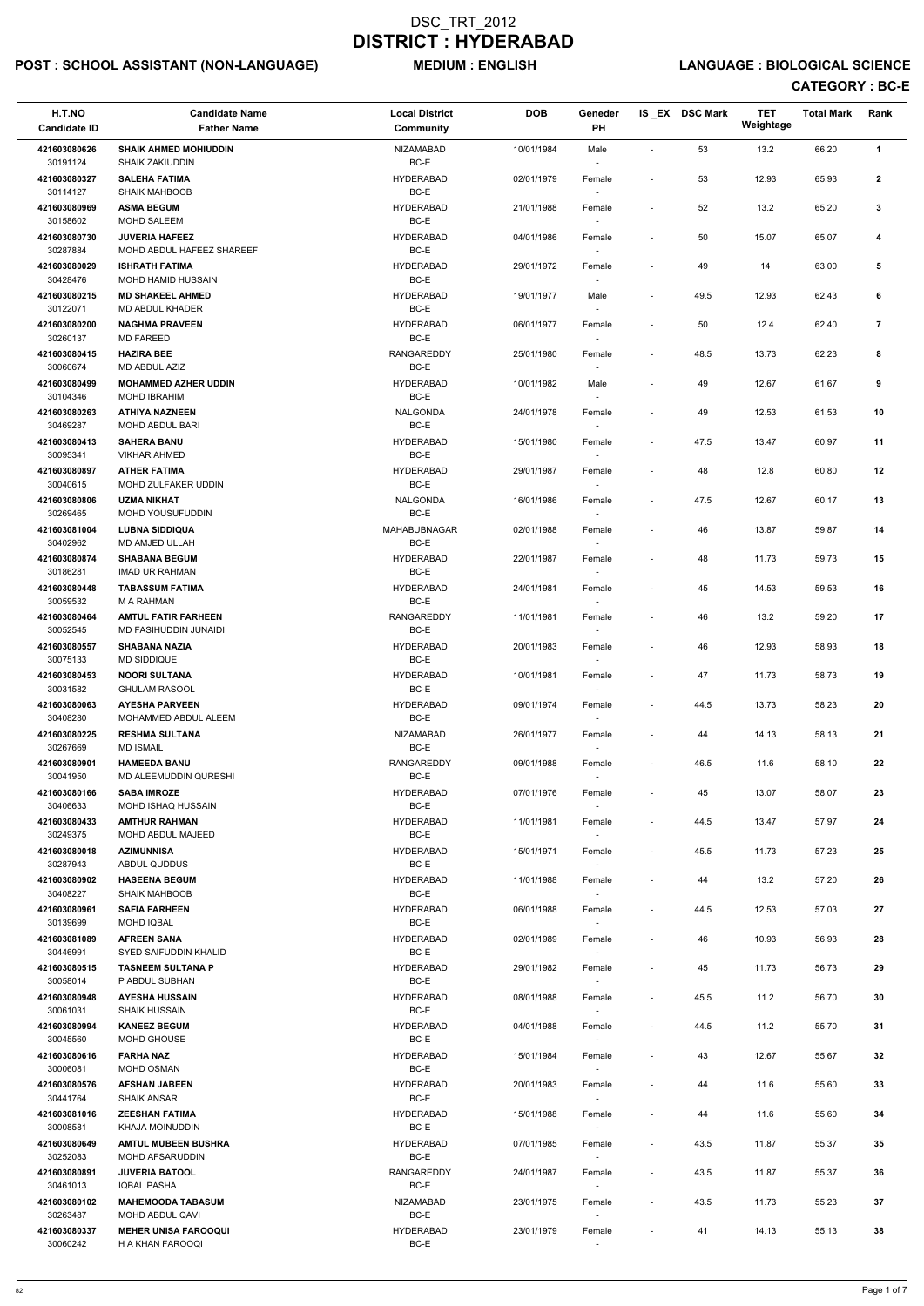# POST : SCHOOL ASSISTANT (NON-LANGUAGE) MEDIUM : ENGLISH LANGUAGE : BIOLOGICAL SCIENCE

| H.T.NO<br><b>Candidate ID</b> | <b>Candidate Name</b><br><b>Father Name</b>            | <b>Local District</b><br>Community | <b>DOB</b> | Geneder<br>PH                      |                          | IS_EX DSC Mark | <b>TET</b><br>Weightage | <b>Total Mark</b> | Rank                    |
|-------------------------------|--------------------------------------------------------|------------------------------------|------------|------------------------------------|--------------------------|----------------|-------------------------|-------------------|-------------------------|
| 421603080626<br>30191124      | <b>SHAIK AHMED MOHIUDDIN</b><br><b>SHAIK ZAKIUDDIN</b> | <b>NIZAMABAD</b><br>BC-E           | 10/01/1984 | Male                               | $\blacksquare$           | 53             | 13.2                    | 66.20             | $\mathbf{1}$            |
| 421603080327                  | <b>SALEHA FATIMA</b>                                   | <b>HYDERABAD</b>                   | 02/01/1979 | Female                             | $\overline{\phantom{a}}$ | 53             | 12.93                   | 65.93             | $\mathbf{2}$            |
| 30114127<br>421603080969      | <b>SHAIK MAHBOOB</b><br><b>ASMA BEGUM</b>              | BC-E<br><b>HYDERABAD</b>           | 21/01/1988 | Female                             | $\overline{\phantom{a}}$ | 52             | 13.2                    | 65.20             | 3                       |
| 30158602                      | <b>MOHD SALEEM</b>                                     | BC-E                               |            | $\sim$                             |                          |                |                         |                   |                         |
| 421603080730<br>30287884      | <b>JUVERIA HAFEEZ</b><br>MOHD ABDUL HAFEEZ SHAREEF     | <b>HYDERABAD</b><br>BC-E           | 04/01/1986 | Female                             |                          | 50             | 15.07                   | 65.07             | 4                       |
| 421603080029                  | <b>ISHRATH FATIMA</b>                                  | <b>HYDERABAD</b>                   | 29/01/1972 | Female                             | $\overline{\phantom{a}}$ | 49             | 14                      | 63.00             | 5                       |
| 30428476                      | <b>MOHD HAMID HUSSAIN</b>                              | BC-E                               |            | $\overline{\phantom{a}}$           |                          |                |                         |                   |                         |
| 421603080215<br>30122071      | <b>MD SHAKEEL AHMED</b><br><b>MD ABDUL KHADER</b>      | <b>HYDERABAD</b><br>BC-E           | 19/01/1977 | Male                               | $\overline{\phantom{a}}$ | 49.5           | 12.93                   | 62.43             | 6                       |
| 421603080200<br>30260137      | <b>NAGHMA PRAVEEN</b><br><b>MD FAREED</b>              | <b>HYDERABAD</b><br>BC-E           | 06/01/1977 | Female                             | $\blacksquare$           | 50             | 12.4                    | 62.40             | $\overline{\mathbf{r}}$ |
| 421603080415<br>30060674      | <b>HAZIRA BEE</b><br>MD ABDUL AZIZ                     | <b>RANGAREDDY</b><br>BC-E          | 25/01/1980 | Female                             | $\blacksquare$           | 48.5           | 13.73                   | 62.23             | 8                       |
| 421603080499                  | <b>MOHAMMED AZHER UDDIN</b>                            | <b>HYDERABAD</b>                   | 10/01/1982 | Male                               | $\overline{\phantom{a}}$ | 49             | 12.67                   | 61.67             | 9                       |
| 30104346<br>421603080263      | MOHD IBRAHIM<br><b>ATHIYA NAZNEEN</b>                  | BC-E<br><b>NALGONDA</b>            | 24/01/1978 | $\overline{\phantom{a}}$<br>Female | $\blacksquare$           | 49             | 12.53                   | 61.53             | 10                      |
| 30469287                      | MOHD ABDUL BARI                                        | BC-E                               |            | $\overline{\phantom{a}}$           |                          |                |                         |                   |                         |
| 421603080413<br>30095341      | <b>SAHERA BANU</b><br><b>VIKHAR AHMED</b>              | <b>HYDERABAD</b><br>BC-E           | 15/01/1980 | Female                             | $\overline{\phantom{a}}$ | 47.5           | 13.47                   | 60.97             | 11                      |
| 421603080897                  | <b>ATHER FATIMA</b>                                    | <b>HYDERABAD</b>                   | 29/01/1987 | Female                             | $\overline{\phantom{a}}$ | 48             | 12.8                    | 60.80             | 12                      |
| 30040615                      | MOHD ZULFAKER UDDIN<br><b>UZMA NIKHAT</b>              | $BC-E$<br><b>NALGONDA</b>          |            | $\sim$                             |                          |                |                         |                   |                         |
| 421603080806<br>30269465      | MOHD YOUSUFUDDIN                                       | BC-E                               | 16/01/1986 | Female<br>$\overline{\phantom{a}}$ | $\overline{\phantom{a}}$ | 47.5           | 12.67                   | 60.17             | 13                      |
| 421603081004                  | <b>LUBNA SIDDIQUA</b>                                  | MAHABUBNAGAR                       | 02/01/1988 | Female                             | $\overline{\phantom{a}}$ | 46             | 13.87                   | 59.87             | 14                      |
| 30402962<br>421603080874      | MD AMJED ULLAH<br><b>SHABANA BEGUM</b>                 | BC-E<br><b>HYDERABAD</b>           | 22/01/1987 | $\overline{\phantom{a}}$<br>Female |                          | 48             | 11.73                   | 59.73             | 15                      |
| 30186281                      | <b>IMAD UR RAHMAN</b>                                  | BC-E                               |            |                                    |                          |                |                         |                   |                         |
| 421603080448<br>30059532      | <b>TABASSUM FATIMA</b><br>M A RAHMAN                   | <b>HYDERABAD</b><br>BC-E           | 24/01/1981 | Female<br>$\overline{\phantom{a}}$ | $\overline{\phantom{a}}$ | 45             | 14.53                   | 59.53             | 16                      |
| 421603080464<br>30052545      | <b>AMTUL FATIR FARHEEN</b><br>MD FASIHUDDIN JUNAIDI    | RANGAREDDY<br>BC-E                 | 11/01/1981 | Female                             |                          | 46             | 13.2                    | 59.20             | 17                      |
| 421603080557<br>30075133      | <b>SHABANA NAZIA</b><br><b>MD SIDDIQUE</b>             | <b>HYDERABAD</b><br>BC-E           | 20/01/1983 | Female                             | $\overline{\phantom{a}}$ | 46             | 12.93                   | 58.93             | 18                      |
| 421603080453                  | <b>NOORI SULTANA</b>                                   | <b>HYDERABAD</b>                   | 10/01/1981 | Female                             | $\overline{\phantom{a}}$ | 47             | 11.73                   | 58.73             | 19                      |
| 30031582<br>421603080063      | <b>GHULAM RASOOL</b><br><b>AYESHA PARVEEN</b>          | BC-E<br><b>HYDERABAD</b>           | 09/01/1974 | $\sim$<br>Female                   | $\overline{\phantom{a}}$ | 44.5           | 13.73                   | 58.23             | 20                      |
| 30408280                      | MOHAMMED ABDUL ALEEM                                   | BC-E                               |            | $\sim$                             |                          |                |                         |                   |                         |
| 421603080225<br>30267669      | <b>RESHMA SULTANA</b><br><b>MD ISMAIL</b>              | <b>NIZAMABAD</b><br>BC-E           | 26/01/1977 | Female<br>$\sim$                   | $\overline{\phantom{a}}$ | 44             | 14.13                   | 58.13             | 21                      |
| 421603080901<br>30041950      | <b>HAMEEDA BANU</b><br>MD ALEEMUDDIN QURESHI           | <b>RANGAREDDY</b><br>BC-E          | 09/01/1988 | Female                             | $\overline{\phantom{a}}$ | 46.5           | 11.6                    | 58.10             | 22                      |
| 421603080166                  | <b>SABA IMROZE</b>                                     | <b>HYDERABAD</b>                   | 07/01/1976 | Female                             | $\overline{\phantom{a}}$ | 45             | 13.07                   | 58.07             | 23                      |
| 30406633<br>421603080433      | MOHD ISHAQ HUSSAIN<br><b>AMTHUR RAHMAN</b>             | BC-E<br><b>HYDERABAD</b>           | 11/01/1981 | $\overline{\phantom{a}}$<br>Female | $\overline{\phantom{a}}$ | 44.5           | 13.47                   | 57.97             | 24                      |
| 30249375                      | MOHD ABDUL MAJEED                                      | BC-E                               |            | $\overline{\phantom{a}}$           |                          |                |                         |                   |                         |
| 421603080018<br>30287943      | <b>AZIMUNNISA</b><br>ABDUL QUDDUS                      | <b>HYDERABAD</b><br>BC-E           | 15/01/1971 | Female<br>$\sim$                   | $\overline{\phantom{a}}$ | 45.5           | 11.73                   | 57.23             | 25                      |
| 421603080902<br>30408227      | <b>HASEENA BEGUM</b><br><b>SHAIK MAHBOOB</b>           | <b>HYDERABAD</b><br>BC-E           | 11/01/1988 | Female                             |                          | 44             | 13.2                    | 57.20             | 26                      |
| 421603080961                  | <b>SAFIA FARHEEN</b>                                   | <b>HYDERABAD</b>                   | 06/01/1988 | Female                             | $\overline{\phantom{a}}$ | 44.5           | 12.53                   | 57.03             | 27                      |
| 30139699                      | <b>MOHD IQBAL</b>                                      | BC-E                               |            |                                    |                          |                |                         |                   |                         |
| 421603081089<br>30446991      | <b>AFREEN SANA</b><br>SYED SAIFUDDIN KHALID            | <b>HYDERABAD</b><br>BC-E           | 02/01/1989 | Female<br>$\sim$                   | $\overline{\phantom{a}}$ | 46             | 10.93                   | 56.93             | 28                      |
| 421603080515                  | <b>TASNEEM SULTANA P</b>                               | <b>HYDERABAD</b>                   | 29/01/1982 | Female                             | $\blacksquare$           | 45             | 11.73                   | 56.73             | 29                      |
| 30058014<br>421603080948      | P ABDUL SUBHAN<br><b>AYESHA HUSSAIN</b>                | BC-E<br><b>HYDERABAD</b>           | 08/01/1988 | $\overline{\phantom{a}}$<br>Female | $\overline{\phantom{a}}$ | 45.5           | 11.2                    | 56.70             | 30                      |
| 30061031                      | <b>SHAIK HUSSAIN</b>                                   | BC-E                               |            | $\sim$                             |                          |                |                         |                   |                         |
| 421603080994<br>30045560      | <b>KANEEZ BEGUM</b><br>MOHD GHOUSE                     | <b>HYDERABAD</b><br>BC-E           | 04/01/1988 | Female                             | $\overline{\phantom{a}}$ | 44.5           | 11.2                    | 55.70             | 31                      |
| 421603080616                  | <b>FARHA NAZ</b>                                       | <b>HYDERABAD</b>                   | 15/01/1984 | Female                             | $\overline{\phantom{a}}$ | 43             | 12.67                   | 55.67             | 32                      |
| 30006081                      | MOHD OSMAN                                             | BC-E                               |            | $\overline{\phantom{a}}$           |                          |                |                         |                   |                         |
| 421603080576<br>30441764      | <b>AFSHAN JABEEN</b><br><b>SHAIK ANSAR</b>             | <b>HYDERABAD</b><br>BC-E           | 20/01/1983 | Female<br>$\overline{\phantom{a}}$ |                          | 44             | 11.6                    | 55.60             | 33                      |
| 421603081016<br>30008581      | <b>ZEESHAN FATIMA</b><br><b>KHAJA MOINUDDIN</b>        | <b>HYDERABAD</b><br>$BC-E$         | 15/01/1988 | Female<br>$\overline{\phantom{a}}$ |                          | 44             | 11.6                    | 55.60             | 34                      |
| 421603080649<br>30252083      | <b>AMTUL MUBEEN BUSHRA</b><br><b>MOHD AFSARUDDIN</b>   | <b>HYDERABAD</b><br>BC-E           | 07/01/1985 | Female<br>$\sim$                   | $\overline{\phantom{a}}$ | 43.5           | 11.87                   | 55.37             | 35                      |
| 421603080891<br>30461013      | <b>JUVERIA BATOOL</b><br><b>IQBAL PASHA</b>            | <b>RANGAREDDY</b><br>BC-E          | 24/01/1987 | Female                             | $\overline{\phantom{a}}$ | 43.5           | 11.87                   | 55.37             | 36                      |
| 421603080102                  | <b>MAHEMOODA TABASUM</b>                               | NIZAMABAD                          | 23/01/1975 | $\sim$<br>Female                   | $\overline{\phantom{a}}$ | 43.5           | 11.73                   | 55.23             | 37                      |
| 30263487<br>421603080337      | MOHD ABDUL QAVI<br><b>MEHER UNISA FAROOQUI</b>         | BC-E<br><b>HYDERABAD</b>           | 23/01/1979 | $\sim$<br>Female                   |                          | 41             | 14.13                   | 55.13             | 38                      |
| 30060242                      | H A KHAN FAROOQI                                       | BC-E                               |            | $\sim$                             |                          |                |                         |                   |                         |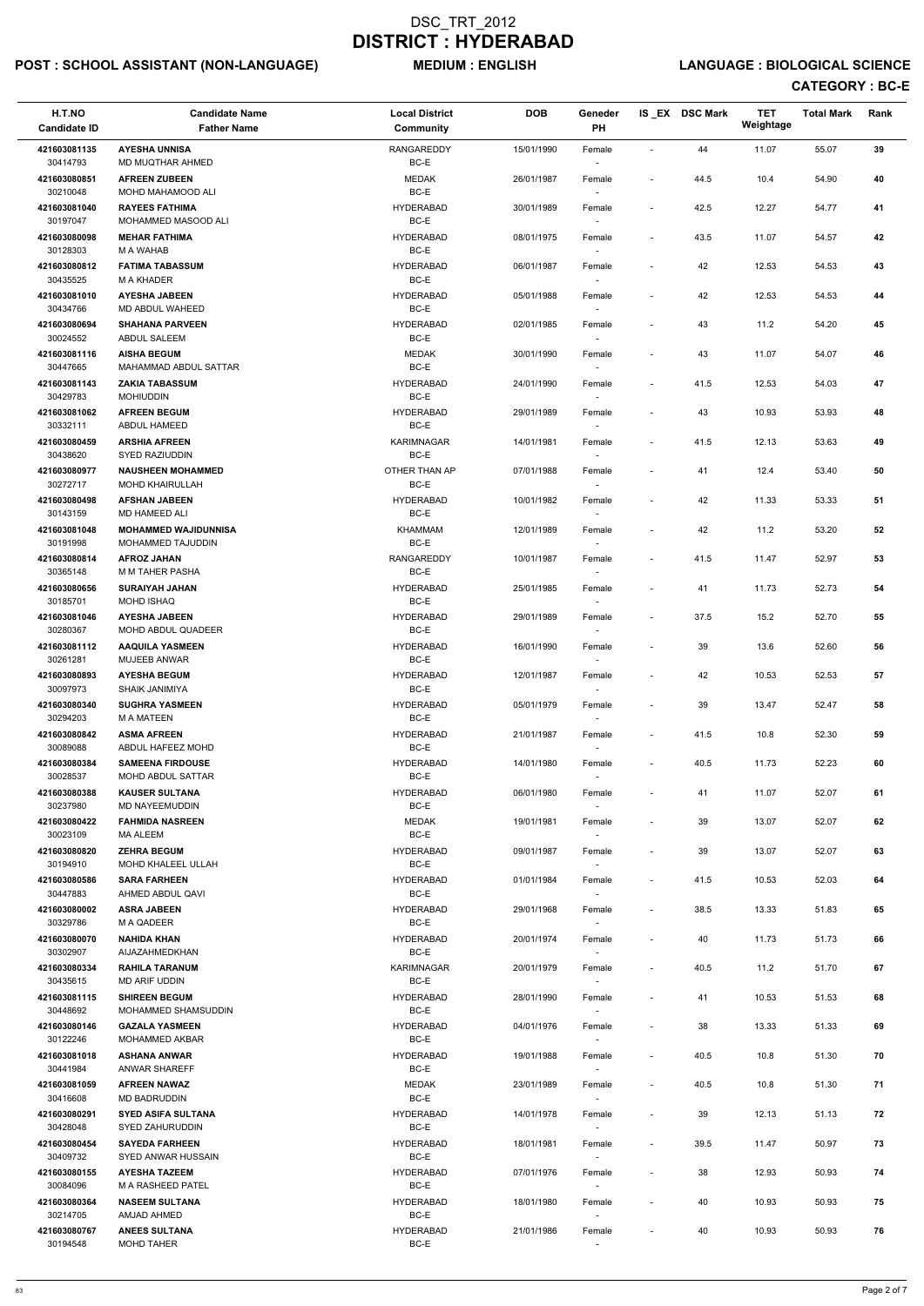# POST : SCHOOL ASSISTANT (NON-LANGUAGE) MEDIUM : ENGLISH LANGUAGE : BIOLOGICAL SCIENCE

| H.T.NO<br><b>Candidate ID</b> | <b>Candidate Name</b><br><b>Father Name</b>        | <b>Local District</b><br>Community | <b>DOB</b> | Geneder<br>PH                      |                          | IS EX DSC Mark | <b>TET</b><br>Weightage | <b>Total Mark</b> | Rank |
|-------------------------------|----------------------------------------------------|------------------------------------|------------|------------------------------------|--------------------------|----------------|-------------------------|-------------------|------|
| 421603081135<br>30414793      | <b>AYESHA UNNISA</b><br>MD MUQTHAR AHMED           | <b>RANGAREDDY</b><br>BC-E          | 15/01/1990 | Female                             | $\sim$                   | 44             | 11.07                   | 55.07             | 39   |
| 421603080851<br>30210048      | <b>AFREEN ZUBEEN</b><br>MOHD MAHAMOOD ALI          | <b>MEDAK</b><br>BC-E               | 26/01/1987 | Female                             | $\overline{\phantom{a}}$ | 44.5           | 10.4                    | 54.90             | 40   |
| 421603081040                  | <b>RAYEES FATHIMA</b>                              | <b>HYDERABAD</b>                   | 30/01/1989 | Female                             | $\overline{\phantom{a}}$ | 42.5           | 12.27                   | 54.77             | 41   |
| 30197047<br>421603080098      | MOHAMMED MASOOD ALI<br><b>MEHAR FATHIMA</b>        | BC-E<br><b>HYDERABAD</b>           | 08/01/1975 | $\sim$<br>Female                   | $\overline{\phantom{a}}$ | 43.5           | 11.07                   | 54.57             | 42   |
| 30128303                      | M A WAHAB                                          | BC-E                               |            | $\overline{\phantom{a}}$           |                          |                |                         |                   |      |
| 421603080812<br>30435525      | <b>FATIMA TABASSUM</b><br><b>M A KHADER</b>        | <b>HYDERABAD</b><br>BC-E           | 06/01/1987 | Female<br>$\sim$                   | $\overline{\phantom{a}}$ | 42             | 12.53                   | 54.53             | 43   |
| 421603081010<br>30434766      | <b>AYESHA JABEEN</b><br>MD ABDUL WAHEED            | <b>HYDERABAD</b><br>BC-E           | 05/01/1988 | Female                             |                          | 42             | 12.53                   | 54.53             | 44   |
| 421603080694<br>30024552      | <b>SHAHANA PARVEEN</b><br><b>ABDUL SALEEM</b>      | <b>HYDERABAD</b><br>BC-E           | 02/01/1985 | Female<br>$\overline{\phantom{a}}$ | $\overline{\phantom{a}}$ | 43             | 11.2                    | 54.20             | 45   |
| 421603081116<br>30447665      | <b>AISHA BEGUM</b><br>MAHAMMAD ABDUL SATTAR        | <b>MEDAK</b><br>BC-E               | 30/01/1990 | Female<br>$\overline{\phantom{a}}$ |                          | 43             | 11.07                   | 54.07             | 46   |
| 421603081143                  | <b>ZAKIA TABASSUM</b>                              | <b>HYDERABAD</b>                   | 24/01/1990 | Female                             | $\overline{\phantom{a}}$ | 41.5           | 12.53                   | 54.03             | 47   |
| 30429783<br>421603081062      | <b>MOHIUDDIN</b><br><b>AFREEN BEGUM</b>            | BC-E<br><b>HYDERABAD</b>           | 29/01/1989 | $\overline{\phantom{a}}$<br>Female | $\blacksquare$           | 43             | 10.93                   | 53.93             | 48   |
| 30332111<br>421603080459      | ABDUL HAMEED<br><b>ARSHIA AFREEN</b>               | BC-E<br>KARIMNAGAR                 | 14/01/1981 | Female                             | $\overline{\phantom{a}}$ | 41.5           | 12.13                   | 53.63             | 49   |
| 30438620                      | <b>SYED RAZIUDDIN</b>                              | BC-E                               |            |                                    |                          |                |                         |                   |      |
| 421603080977<br>30272717      | <b>NAUSHEEN MOHAMMED</b><br><b>MOHD KHAIRULLAH</b> | OTHER THAN AP<br>BC-E              | 07/01/1988 | Female<br>$\sim$                   | $\overline{\phantom{a}}$ | 41             | 12.4                    | 53.40             | 50   |
| 421603080498<br>30143159      | <b>AFSHAN JABEEN</b><br>MD HAMEED ALI              | <b>HYDERABAD</b><br>BC-E           | 10/01/1982 | Female                             | ÷,                       | 42             | 11.33                   | 53.33             | 51   |
| 421603081048                  | <b>MOHAMMED WAJIDUNNISA</b>                        | <b>KHAMMAM</b>                     | 12/01/1989 | $\overline{\phantom{a}}$<br>Female | $\overline{\phantom{a}}$ | 42             | 11.2                    | 53.20             | 52   |
| 30191998<br>421603080814      | MOHAMMED TAJUDDIN<br><b>AFROZ JAHAN</b>            | BC-E<br>RANGAREDDY                 | 10/01/1987 | $\sim$<br>Female                   | $\overline{\phantom{a}}$ | 41.5           | 11.47                   | 52.97             | 53   |
| 30365148<br>421603080656      | M M TAHER PASHA<br><b>SURAIYAH JAHAN</b>           | BC-E<br><b>HYDERABAD</b>           | 25/01/1985 | Female                             | $\blacksquare$           | 41             | 11.73                   | 52.73             | 54   |
| 30185701                      | <b>MOHD ISHAQ</b>                                  | BC-E                               |            | $\overline{\phantom{a}}$           |                          |                |                         |                   |      |
| 421603081046<br>30280367      | <b>AYESHA JABEEN</b><br>MOHD ABDUL QUADEER         | <b>HYDERABAD</b><br>BC-E           | 29/01/1989 | Female<br>$\overline{\phantom{a}}$ | $\overline{\phantom{a}}$ | 37.5           | 15.2                    | 52.70             | 55   |
| 421603081112<br>30261281      | <b>AAQUILA YASMEEN</b><br><b>MUJEEB ANWAR</b>      | <b>HYDERABAD</b><br>BC-E           | 16/01/1990 | Female                             | $\overline{\phantom{a}}$ | 39             | 13.6                    | 52.60             | 56   |
| 421603080893<br>30097973      | <b>AYESHA BEGUM</b><br><b>SHAIK JANIMIYA</b>       | <b>HYDERABAD</b><br>BC-E           | 12/01/1987 | Female                             | $\overline{\phantom{a}}$ | 42             | 10.53                   | 52.53             | 57   |
| 421603080340<br>30294203      | <b>SUGHRA YASMEEN</b><br>M A MATEEN                | <b>HYDERABAD</b><br>BC-E           | 05/01/1979 | $\overline{\phantom{a}}$<br>Female | $\overline{\phantom{a}}$ | 39             | 13.47                   | 52.47             | 58   |
| 421603080842                  | <b>ASMA AFREEN</b>                                 | <b>HYDERABAD</b>                   | 21/01/1987 | $\sim$<br>Female                   | $\blacksquare$           | 41.5           | 10.8                    | 52.30             | 59   |
| 30089088<br>421603080384      | ABDUL HAFEEZ MOHD<br><b>SAMEENA FIRDOUSE</b>       | BC-E<br><b>HYDERABAD</b>           | 14/01/1980 | $\sim$<br>Female                   | $\overline{\phantom{a}}$ | 40.5           | 11.73                   | 52.23             | 60   |
| 30028537                      | MOHD ABDUL SATTAR                                  | BC-E                               |            |                                    |                          |                |                         |                   |      |
| 421603080388<br>30237980      | <b>KAUSER SULTANA</b><br>MD NAYEEMUDDIN            | <b>HYDERABAD</b><br>BC-E           | 06/01/1980 | Female<br>$\sim$                   | $\overline{\phantom{a}}$ | 41             | 11.07                   | 52.07             | 61   |
| 421603080422<br>30023109      | <b>FAHMIDA NASREEN</b><br>MA ALEEM                 | <b>MEDAK</b><br>BC-E               | 19/01/1981 | Female<br>$\overline{\phantom{a}}$ | $\overline{a}$           | 39             | 13.07                   | 52.07             | 62   |
| 421603080820                  | <b>ZEHRA BEGUM</b>                                 | <b>HYDERABAD</b>                   | 09/01/1987 | Female                             | $\overline{\phantom{a}}$ | 39             | 13.07                   | 52.07             | 63   |
| 30194910<br>421603080586      | MOHD KHALEEL ULLAH<br><b>SARA FARHEEN</b>          | BC-E<br><b>HYDERABAD</b>           | 01/01/1984 | $\sim$<br>Female                   | $\blacksquare$           | 41.5           | 10.53                   | 52.03             | 64   |
| 30447883                      | AHMED ABDUL QAVI                                   | BC-E                               |            | $\overline{\phantom{a}}$           |                          |                |                         |                   |      |
| 421603080002<br>30329786      | <b>ASRA JABEEN</b><br>M A QADEER                   | <b>HYDERABAD</b><br>BC-E           | 29/01/1968 | Female                             | $\overline{\phantom{a}}$ | 38.5           | 13.33                   | 51.83             | 65   |
| 421603080070<br>30302907      | <b>NAHIDA KHAN</b><br>AIJAZAHMEDKHAN               | <b>HYDERABAD</b><br>BC-E           | 20/01/1974 | Female<br>$\sim$                   | $\overline{\phantom{a}}$ | 40             | 11.73                   | 51.73             | 66   |
| 421603080334<br>30435615      | <b>RAHILA TARANUM</b><br>MD ARIF UDDIN             | KARIMNAGAR<br>BC-E                 | 20/01/1979 | Female<br>$\sim$                   | $\overline{\phantom{a}}$ | 40.5           | 11.2                    | 51.70             | 67   |
| 421603081115                  | <b>SHIREEN BEGUM</b>                               | <b>HYDERABAD</b>                   | 28/01/1990 | Female                             | $\blacksquare$           | 41             | 10.53                   | 51.53             | 68   |
| 30448692<br>421603080146      | MOHAMMED SHAMSUDDIN<br><b>GAZALA YASMEEN</b>       | BC-E<br><b>HYDERABAD</b>           | 04/01/1976 | $\sim$<br>Female                   | $\overline{\phantom{a}}$ | 38             | 13.33                   | 51.33             | 69   |
| 30122246                      | MOHAMMED AKBAR                                     | BC-E                               |            |                                    |                          |                |                         |                   |      |
| 421603081018<br>30441984      | <b>ASHANA ANWAR</b><br>ANWAR SHAREFF               | <b>HYDERABAD</b><br>BC-E           | 19/01/1988 | Female<br>$\sim$                   | $\blacksquare$           | 40.5           | 10.8                    | 51.30             | 70   |
| 421603081059                  | <b>AFREEN NAWAZ</b>                                | <b>MEDAK</b>                       | 23/01/1989 | Female                             | $\overline{\phantom{a}}$ | 40.5           | 10.8                    | 51.30             | 71   |
| 30416608<br>421603080291      | MD BADRUDDIN<br><b>SYED ASIFA SULTANA</b>          | BC-E<br><b>HYDERABAD</b>           | 14/01/1978 | $\overline{\phantom{a}}$<br>Female |                          | 39             | 12.13                   | 51.13             | 72   |
| 30428048<br>421603080454      | SYED ZAHURUDDIN<br><b>SAYEDA FARHEEN</b>           | BC-E<br><b>HYDERABAD</b>           | 18/01/1981 | $\overline{\phantom{a}}$<br>Female | $\overline{\phantom{a}}$ | 39.5           | 11.47                   | 50.97             | 73   |
| 30409732<br>421603080155      | SYED ANWAR HUSSAIN<br><b>AYESHA TAZEEM</b>         | BC-E<br><b>HYDERABAD</b>           | 07/01/1976 | $\overline{\phantom{a}}$           | $\overline{\phantom{a}}$ | 38             | 12.93                   | 50.93             | 74   |
| 30084096                      | M A RASHEED PATEL                                  | BC-E                               |            | Female<br>$\sim$                   |                          |                |                         |                   |      |
| 421603080364<br>30214705      | <b>NASEEM SULTANA</b><br>AMJAD AHMED               | <b>HYDERABAD</b><br>BC-E           | 18/01/1980 | Female<br>$\overline{\phantom{a}}$ | $\overline{a}$           | 40             | 10.93                   | 50.93             | 75   |
| 421603080767<br>30194548      | <b>ANEES SULTANA</b><br>MOHD TAHER                 | <b>HYDERABAD</b><br>BC-E           | 21/01/1986 | Female<br>$\sim$                   | $\overline{\phantom{a}}$ | 40             | 10.93                   | 50.93             | 76   |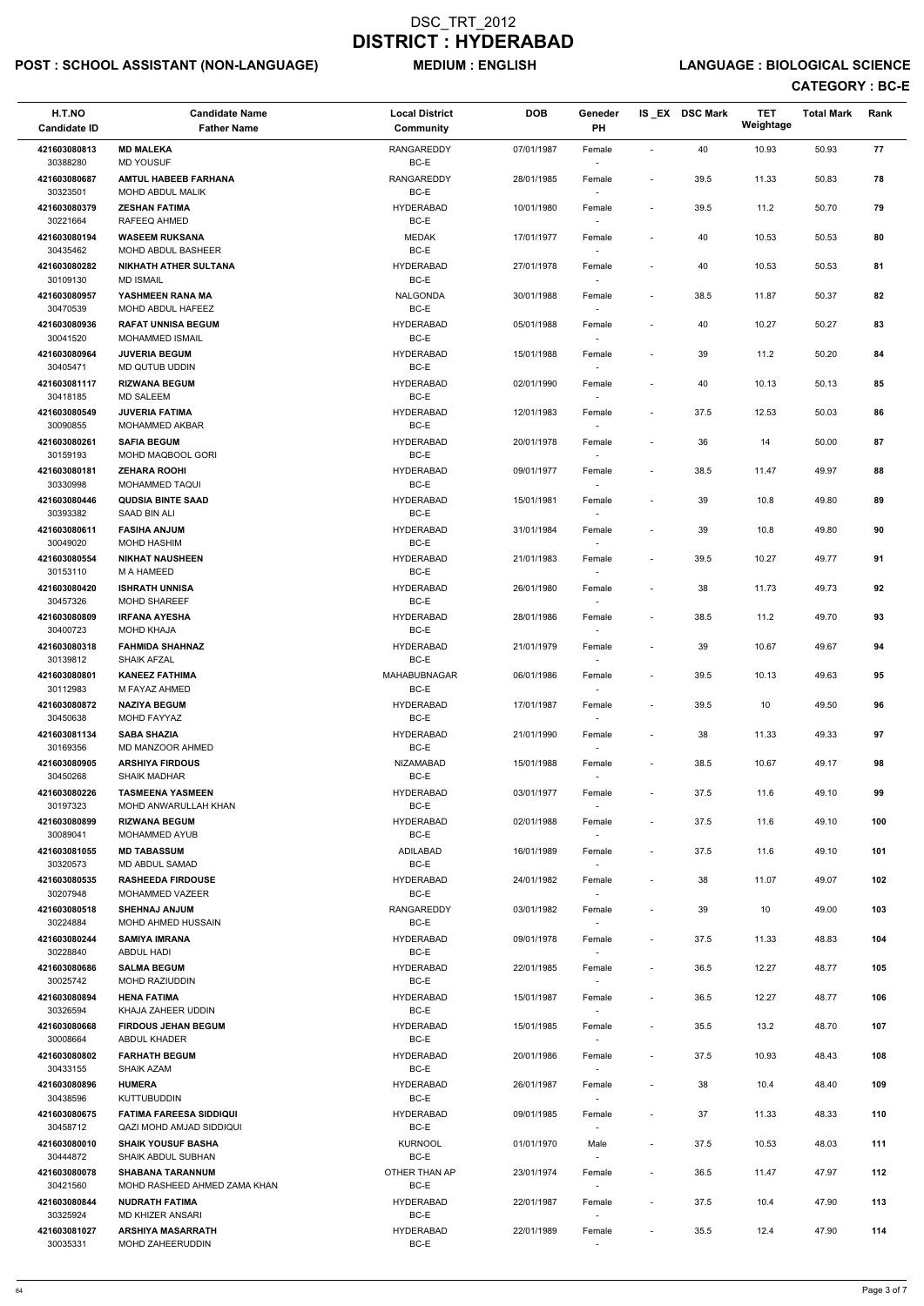# POST : SCHOOL ASSISTANT (NON-LANGUAGE) MEDIUM : ENGLISH LANGUAGE : BIOLOGICAL SCIENCE

| H.T.NO<br><b>Candidate ID</b> | <b>Candidate Name</b><br><b>Father Name</b>             | <b>Local District</b><br>Community | <b>DOB</b> | Geneder<br><b>PH</b>               |                              | IS EX DSC Mark | <b>TET</b><br>Weightage | <b>Total Mark</b> | Rank |
|-------------------------------|---------------------------------------------------------|------------------------------------|------------|------------------------------------|------------------------------|----------------|-------------------------|-------------------|------|
| 421603080813<br>30388280      | <b>MD MALEKA</b><br><b>MD YOUSUF</b>                    | <b>RANGAREDDY</b><br>BC-E          | 07/01/1987 | Female<br>$\sim$                   | $\blacksquare$               | 40             | 10.93                   | 50.93             | 77   |
| 421603080687                  | <b>AMTUL HABEEB FARHANA</b>                             | <b>RANGAREDDY</b><br>BC-E          | 28/01/1985 | Female                             | $\overline{\phantom{a}}$     | 39.5           | 11.33                   | 50.83             | 78   |
| 30323501<br>421603080379      | MOHD ABDUL MALIK<br><b>ZESHAN FATIMA</b>                | <b>HYDERABAD</b>                   | 10/01/1980 | Female                             | $\overline{\phantom{a}}$     | 39.5           | 11.2                    | 50.70             | 79   |
| 30221664<br>421603080194      | RAFEEQ AHMED<br><b>WASEEM RUKSANA</b>                   | BC-E<br><b>MEDAK</b>               | 17/01/1977 | $\sim$<br>Female                   | $\qquad \qquad \blacksquare$ | 40             | 10.53                   | 50.53             | 80   |
| 30435462                      | MOHD ABDUL BASHEER                                      | BC-E                               |            | $\overline{\phantom{a}}$           |                              |                |                         |                   |      |
| 421603080282<br>30109130      | <b>NIKHATH ATHER SULTANA</b><br><b>MD ISMAIL</b>        | <b>HYDERABAD</b><br>BC-E           | 27/01/1978 | Female<br>$\sim$                   | $\overline{\phantom{a}}$     | 40             | 10.53                   | 50.53             | 81   |
| 421603080957<br>30470539      | YASHMEEN RANA MA<br>MOHD ABDUL HAFEEZ                   | NALGONDA<br>BC-E                   | 30/01/1988 | Female                             | $\overline{\phantom{a}}$     | 38.5           | 11.87                   | 50.37             | 82   |
| 421603080936<br>30041520      | <b>RAFAT UNNISA BEGUM</b><br>MOHAMMED ISMAIL            | <b>HYDERABAD</b><br>BC-E           | 05/01/1988 | Female                             | $\overline{\phantom{a}}$     | 40             | 10.27                   | 50.27             | 83   |
| 421603080964<br>30405471      | <b>JUVERIA BEGUM</b><br>MD QUTUB UDDIN                  | <b>HYDERABAD</b><br>BC-E           | 15/01/1988 | Female<br>$\sim$                   | $\qquad \qquad \blacksquare$ | 39             | 11.2                    | 50.20             | 84   |
| 421603081117<br>30418185      | <b>RIZWANA BEGUM</b><br><b>MD SALEEM</b>                | <b>HYDERABAD</b><br>BC-E           | 02/01/1990 | Female                             | $\overline{\phantom{a}}$     | 40             | 10.13                   | 50.13             | 85   |
| 421603080549<br>30090855      | <b>JUVERIA FATIMA</b><br><b>MOHAMMED AKBAR</b>          | <b>HYDERABAD</b><br>BC-E           | 12/01/1983 | $\sim$<br>Female<br>$\sim$         | $\blacksquare$               | 37.5           | 12.53                   | 50.03             | 86   |
| 421603080261                  | <b>SAFIA BEGUM</b>                                      | <b>HYDERABAD</b>                   | 20/01/1978 | Female                             | $\overline{\phantom{a}}$     | 36             | 14                      | 50.00             | 87   |
| 30159193<br>421603080181      | MOHD MAQBOOL GORI                                       | BC-E<br><b>HYDERABAD</b>           |            |                                    |                              |                |                         |                   |      |
| 30330998                      | <b>ZEHARA ROOHI</b><br>MOHAMMED TAQUI                   | BC-E                               | 09/01/1977 | Female<br>$\sim$                   | $\overline{\phantom{a}}$     | 38.5           | 11.47                   | 49.97             | 88   |
| 421603080446<br>30393382      | <b>QUDSIA BINTE SAAD</b><br>SAAD BIN ALI                | <b>HYDERABAD</b><br>BC-E           | 15/01/1981 | Female<br>$\sim$                   | $\qquad \qquad \blacksquare$ | 39             | 10.8                    | 49.80             | 89   |
| 421603080611                  | <b>FASIHA ANJUM</b>                                     | <b>HYDERABAD</b>                   | 31/01/1984 | Female                             | $\overline{\phantom{a}}$     | 39             | 10.8                    | 49.80             | 90   |
| 30049020<br>421603080554      | <b>MOHD HASHIM</b><br><b>NIKHAT NAUSHEEN</b>            | BC-E<br><b>HYDERABAD</b>           | 21/01/1983 | $\sim$<br>Female                   | $\overline{\phantom{a}}$     | 39.5           | 10.27                   | 49.77             | 91   |
| 30153110<br>421603080420      | M A HAMEED<br><b>ISHRATH UNNISA</b>                     | BC-E<br><b>HYDERABAD</b>           | 26/01/1980 | Female                             | $\overline{\phantom{a}}$     | 38             | 11.73                   | 49.73             | 92   |
| 30457326<br>421603080809      | MOHD SHAREEF<br><b>IRFANA AYESHA</b>                    | BC-E<br><b>HYDERABAD</b>           | 28/01/1986 | $\sim$<br>Female                   | $\overline{\phantom{a}}$     | 38.5           | 11.2                    | 49.70             | 93   |
| 30400723<br>421603080318      | <b>MOHD KHAJA</b><br><b>FAHMIDA SHAHNAZ</b>             | BC-E<br><b>HYDERABAD</b>           | 21/01/1979 | $\sim$<br>Female                   | $\overline{\phantom{a}}$     | 39             | 10.67                   | 49.67             | 94   |
| 30139812<br>421603080801      | <b>SHAIK AFZAL</b><br><b>KANEEZ FATHIMA</b>             | BC-E<br><b>MAHABUBNAGAR</b>        | 06/01/1986 | Female                             | $\overline{\phantom{a}}$     | 39.5           | 10.13                   | 49.63             | 95   |
| 30112983<br>421603080872      | M FAYAZ AHMED<br><b>NAZIYA BEGUM</b>                    | BC-E<br><b>HYDERABAD</b>           | 17/01/1987 | $\sim$<br>Female                   | $\overline{\phantom{a}}$     | 39.5           | 10                      | 49.50             | 96   |
| 30450638                      | MOHD FAYYAZ                                             | BC-E                               |            | $\sim$                             |                              |                |                         |                   |      |
| 421603081134<br>30169356      | <b>SABA SHAZIA</b><br>MD MANZOOR AHMED                  | <b>HYDERABAD</b><br>BC-E           | 21/01/1990 | Female<br>$\sim$                   | $\overline{\phantom{a}}$     | 38             | 11.33                   | 49.33             | 97   |
| 421603080905<br>30450268      | <b>ARSHIYA FIRDOUS</b><br><b>SHAIK MADHAR</b>           | <b>NIZAMABAD</b><br>BC-E           | 15/01/1988 | Female<br>$\overline{\phantom{a}}$ | $\overline{\phantom{a}}$     | 38.5           | 10.67                   | 49.17             | 98   |
| 421603080226<br>30197323      | <b>TASMEENA YASMEEN</b><br>MOHD ANWARULLAH KHAN         | <b>HYDERABAD</b><br>BC-E           | 03/01/1977 | Female                             | $\overline{\phantom{a}}$     | 37.5           | 11.6                    | 49.10             | 99   |
| 421603080899<br>30089041      | <b>RIZWANA BEGUM</b><br>MOHAMMED AYUB                   | <b>HYDERABAD</b><br>BC-E           | 02/01/1988 | Female<br>$\sim$                   | $\overline{\phantom{a}}$     | 37.5           | 11.6                    | 49.10             | 100  |
| 421603081055<br>30320573      | <b>MD TABASSUM</b><br>MD ABDUL SAMAD                    | ADILABAD<br>BC-E                   | 16/01/1989 | Female<br>$\sim$                   | $\overline{\phantom{a}}$     | 37.5           | 11.6                    | 49.10             | 101  |
| 421603080535<br>30207948      | <b>RASHEEDA FIRDOUSE</b><br><b>MOHAMMED VAZEER</b>      | <b>HYDERABAD</b><br>BC-E           | 24/01/1982 | Female<br>$\sim$                   | $\overline{\phantom{a}}$     | 38             | 11.07                   | 49.07             | 102  |
| 421603080518<br>30224884      | <b>SHEHNAJ ANJUM</b><br>MOHD AHMED HUSSAIN              | <b>RANGAREDDY</b><br>BC-E          | 03/01/1982 | Female                             | $\overline{\phantom{a}}$     | 39             | 10                      | 49.00             | 103  |
| 421603080244<br>30228840      | <b>SAMIYA IMRANA</b><br>ABDUL HADI                      | <b>HYDERABAD</b><br>BC-E           | 09/01/1978 | Female<br>$\sim$                   | $\overline{\phantom{a}}$     | 37.5           | 11.33                   | 48.83             | 104  |
| 421603080686<br>30025742      | <b>SALMA BEGUM</b><br>MOHD RAZIUDDIN                    | <b>HYDERABAD</b><br>BC-E           | 22/01/1985 | Female<br>$\sim$                   | $\overline{\phantom{a}}$     | 36.5           | 12.27                   | 48.77             | 105  |
| 421603080894                  | <b>HENA FATIMA</b>                                      | <b>HYDERABAD</b>                   | 15/01/1987 | Female                             | $\overline{\phantom{a}}$     | 36.5           | 12.27                   | 48.77             | 106  |
| 30326594<br>421603080668      | KHAJA ZAHEER UDDIN<br><b>FIRDOUS JEHAN BEGUM</b>        | BC-E<br><b>HYDERABAD</b>           | 15/01/1985 | $\sim$<br>Female                   | $\overline{\phantom{a}}$     | 35.5           | 13.2                    | 48.70             | 107  |
| 30008664                      | ABDUL KHADER                                            | BC-E                               |            |                                    |                              |                |                         |                   |      |
| 421603080802<br>30433155      | <b>FARHATH BEGUM</b><br><b>SHAIK AZAM</b>               | <b>HYDERABAD</b><br>BC-E           | 20/01/1986 | Female                             | $\overline{\phantom{a}}$     | 37.5           | 10.93                   | 48.43             | 108  |
| 421603080896                  | <b>HUMERA</b>                                           | <b>HYDERABAD</b>                   | 26/01/1987 | Female                             | $\overline{\phantom{a}}$     | 38             | 10.4                    | 48.40             | 109  |
| 30438596<br>421603080675      | <b>KUTTUBUDDIN</b><br><b>FATIMA FAREESA SIDDIQUI</b>    | BC-E<br><b>HYDERABAD</b>           | 09/01/1985 | $\overline{\phantom{a}}$<br>Female | $\overline{\phantom{a}}$     | 37             | 11.33                   | 48.33             | 110  |
| 30458712<br>421603080010      | QAZI MOHD AMJAD SIDDIQUI<br><b>SHAIK YOUSUF BASHA</b>   | BC-E<br><b>KURNOOL</b>             | 01/01/1970 | $\overline{\phantom{a}}$<br>Male   | $\overline{\phantom{a}}$     | 37.5           | 10.53                   | 48.03             | 111  |
| 30444872                      | SHAIK ABDUL SUBHAN                                      | BC-E                               |            | $\sim$                             |                              |                |                         |                   |      |
| 421603080078<br>30421560      | <b>SHABANA TARANNUM</b><br>MOHD RASHEED AHMED ZAMA KHAN | OTHER THAN AP<br>BC-E              | 23/01/1974 | Female<br>$\sim$                   | $\overline{\phantom{a}}$     | 36.5           | 11.47                   | 47.97             | 112  |
| 421603080844<br>30325924      | <b>NUDRATH FATIMA</b><br>MD KHIZER ANSARI               | <b>HYDERABAD</b><br>BC-E           | 22/01/1987 | Female<br>$\sim$                   | $\overline{\phantom{a}}$     | 37.5           | 10.4                    | 47.90             | 113  |
| 421603081027<br>30035331      | <b>ARSHIYA MASARRATH</b><br>MOHD ZAHEERUDDIN            | <b>HYDERABAD</b><br>BC-E           | 22/01/1989 | Female<br>$\overline{\phantom{a}}$ | $\overline{\phantom{a}}$     | 35.5           | 12.4                    | 47.90             | 114  |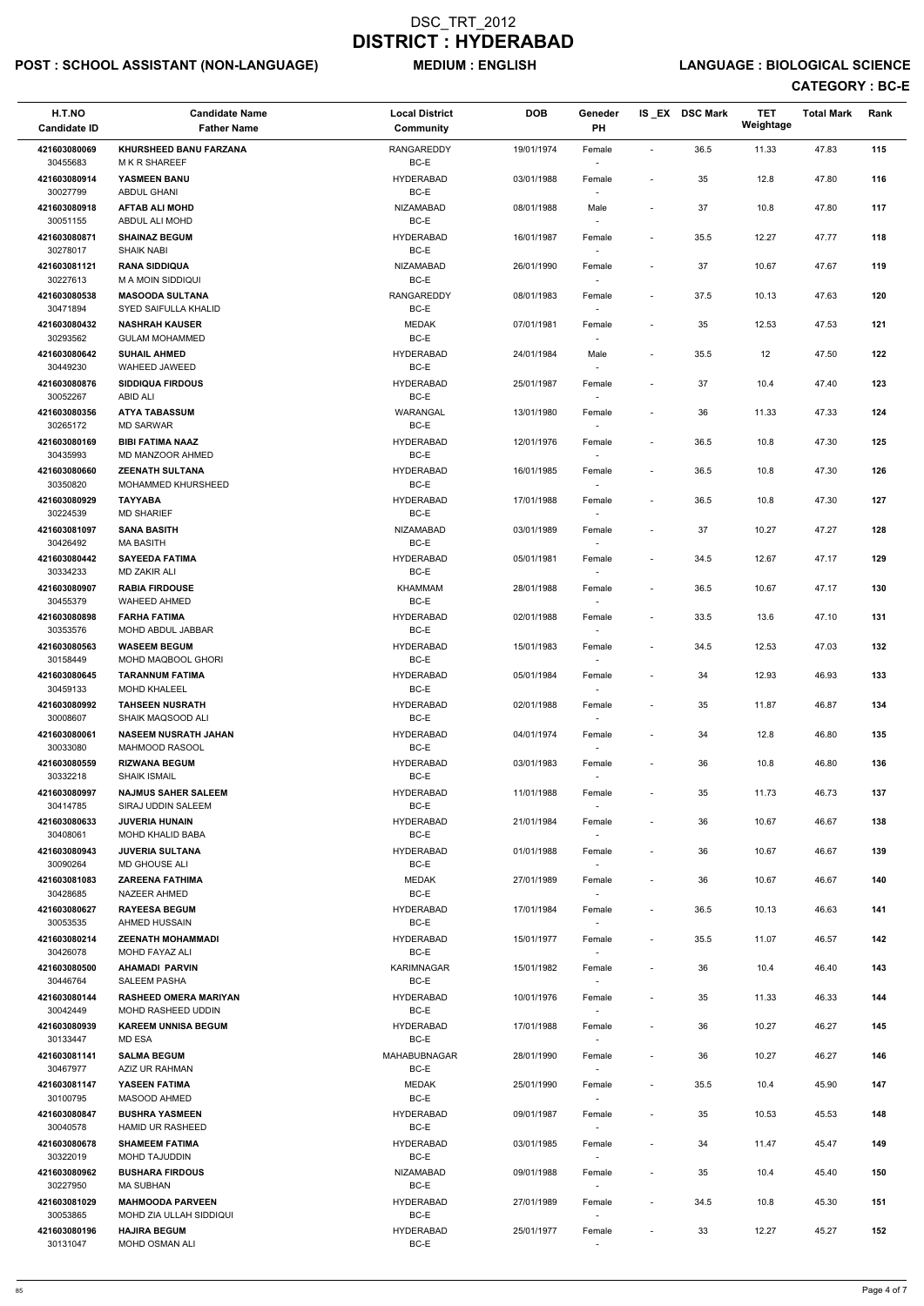# POST : SCHOOL ASSISTANT (NON-LANGUAGE) MEDIUM : ENGLISH LANGUAGE : BIOLOGICAL SCIENCE

| H.T.NO<br><b>Candidate ID</b> | <b>Candidate Name</b><br><b>Father Name</b>        | <b>Local District</b><br><b>Community</b> | <b>DOB</b> | Geneder<br>PH                      |                          | IS EX DSC Mark | <b>TET</b><br>Weightage | <b>Total Mark</b> | Rank |
|-------------------------------|----------------------------------------------------|-------------------------------------------|------------|------------------------------------|--------------------------|----------------|-------------------------|-------------------|------|
| 421603080069<br>30455683      | KHURSHEED BANU FARZANA<br><b>MKR SHAREEF</b>       | RANGAREDDY<br>$BC-E$                      | 19/01/1974 | Female                             | $\sim$                   | 36.5           | 11.33                   | 47.83             | 115  |
| 421603080914<br>30027799      | YASMEEN BANU<br><b>ABDUL GHANI</b>                 | <b>HYDERABAD</b><br>BC-E                  | 03/01/1988 | Female                             | $\overline{\phantom{a}}$ | 35             | 12.8                    | 47.80             | 116  |
| 421603080918                  | <b>AFTAB ALI MOHD</b>                              | NIZAMABAD                                 | 08/01/1988 | Male                               |                          | 37             | 10.8                    | 47.80             | 117  |
| 30051155<br>421603080871      | ABDUL ALI MOHD<br><b>SHAINAZ BEGUM</b>             | BC-E<br><b>HYDERABAD</b>                  | 16/01/1987 | $\overline{\phantom{a}}$<br>Female | $\blacksquare$           | 35.5           | 12.27                   | 47.77             | 118  |
| 30278017                      | <b>SHAIK NABI</b>                                  | BC-E                                      |            | $\overline{\phantom{a}}$           |                          |                |                         |                   |      |
| 421603081121                  | <b>RANA SIDDIQUA</b>                               | <b>NIZAMABAD</b>                          | 26/01/1990 | Female                             |                          | 37             | 10.67                   | 47.67             | 119  |
| 30227613<br>421603080538      | <b>M A MOIN SIDDIQUI</b><br><b>MASOODA SULTANA</b> | $BC-E$<br><b>RANGAREDDY</b>               | 08/01/1983 | $\overline{\phantom{a}}$<br>Female |                          | 37.5           | 10.13                   | 47.63             | 120  |
| 30471894                      | SYED SAIFULLA KHALID                               | BC-E                                      |            |                                    |                          |                |                         |                   |      |
| 421603080432<br>30293562      | <b>NASHRAH KAUSER</b><br><b>GULAM MOHAMMED</b>     | <b>MEDAK</b><br>BC-E                      | 07/01/1981 | Female                             | $\overline{\phantom{a}}$ | 35             | 12.53                   | 47.53             | 121  |
| 421603080642<br>30449230      | <b>SUHAIL AHMED</b><br>WAHEED JAWEED               | <b>HYDERABAD</b><br>BC-E                  | 24/01/1984 | Male<br>$\overline{\phantom{a}}$   |                          | 35.5           | 12                      | 47.50             | 122  |
| 421603080876                  | <b>SIDDIQUA FIRDOUS</b>                            | <b>HYDERABAD</b>                          | 25/01/1987 | Female                             |                          | 37             | 10.4                    | 47.40             | 123  |
| 30052267<br>421603080356      | ABID ALI<br><b>ATYA TABASSUM</b>                   | BC-E<br>WARANGAL                          | 13/01/1980 | $\overline{\phantom{a}}$<br>Female |                          | 36             | 11.33                   | 47.33             | 124  |
| 30265172                      | <b>MD SARWAR</b>                                   | BC-E                                      |            |                                    |                          |                |                         |                   |      |
| 421603080169<br>30435993      | <b>BIBI FATIMA NAAZ</b><br>MD MANZOOR AHMED        | <b>HYDERABAD</b><br>BC-E                  | 12/01/1976 | Female                             | $\blacksquare$           | 36.5           | 10.8                    | 47.30             | 125  |
| 421603080660                  | <b>ZEENATH SULTANA</b>                             | <b>HYDERABAD</b>                          | 16/01/1985 | Female                             |                          | 36.5           | 10.8                    | 47.30             | 126  |
| 30350820<br>421603080929      | MOHAMMED KHURSHEED                                 | BC-E<br><b>HYDERABAD</b>                  |            | $\sim$                             |                          | 36.5           |                         |                   |      |
| 30224539                      | <b>TAYYABA</b><br><b>MD SHARIEF</b>                | BC-E                                      | 17/01/1988 | Female<br>$\overline{\phantom{a}}$ |                          |                | 10.8                    | 47.30             | 127  |
| 421603081097<br>30426492      | <b>SANA BASITH</b><br><b>MA BASITH</b>             | <b>NIZAMABAD</b><br>BC-E                  | 03/01/1989 | Female<br>$\overline{\phantom{a}}$ | $\blacksquare$           | 37             | 10.27                   | 47.27             | 128  |
| 421603080442                  | <b>SAYEEDA FATIMA</b>                              | <b>HYDERABAD</b>                          | 05/01/1981 | Female                             | $\overline{\phantom{a}}$ | 34.5           | 12.67                   | 47.17             | 129  |
| 30334233<br>421603080907      | <b>MD ZAKIR ALI</b><br><b>RABIA FIRDOUSE</b>       | BC-E<br>KHAMMAM                           | 28/01/1988 | Female                             | $\blacksquare$           | 36.5           | 10.67                   | 47.17             | 130  |
| 30455379                      | <b>WAHEED AHMED</b>                                | BC-E                                      |            | $\overline{\phantom{a}}$           |                          |                |                         |                   |      |
| 421603080898<br>30353576      | <b>FARHA FATIMA</b><br>MOHD ABDUL JABBAR           | <b>HYDERABAD</b><br>BC-E                  | 02/01/1988 | Female                             |                          | 33.5           | 13.6                    | 47.10             | 131  |
| 421603080563<br>30158449      | <b>WASEEM BEGUM</b><br><b>MOHD MAQBOOL GHORI</b>   | <b>HYDERABAD</b><br>BC-E                  | 15/01/1983 | Female                             | $\overline{\phantom{a}}$ | 34.5           | 12.53                   | 47.03             | 132  |
| 421603080645                  | <b>TARANNUM FATIMA</b>                             | <b>HYDERABAD</b>                          | 05/01/1984 | Female                             | $\overline{\phantom{a}}$ | 34             | 12.93                   | 46.93             | 133  |
| 30459133<br>421603080992      | <b>MOHD KHALEEL</b><br><b>TAHSEEN NUSRATH</b>      | BC-E<br><b>HYDERABAD</b>                  | 02/01/1988 | $\sim$<br>Female                   | $\overline{\phantom{a}}$ | 35             | 11.87                   | 46.87             | 134  |
| 30008607<br>421603080061      | SHAIK MAQSOOD ALI<br><b>NASEEM NUSRATH JAHAN</b>   | BC-E<br><b>HYDERABAD</b>                  | 04/01/1974 | $\sim$<br>Female                   |                          | 34             | 12.8                    | 46.80             | 135  |
| 30033080                      | <b>MAHMOOD RASOOL</b>                              | BC-E                                      |            | $\sim$                             |                          |                |                         |                   |      |
| 421603080559<br>30332218      | <b>RIZWANA BEGUM</b><br><b>SHAIK ISMAIL</b>        | <b>HYDERABAD</b><br>BC-E                  | 03/01/1983 | Female                             | $\overline{\phantom{a}}$ | 36             | 10.8                    | 46.80             | 136  |
| 421603080997                  | <b>NAJMUS SAHER SALEEM</b>                         | <b>HYDERABAD</b>                          | 11/01/1988 | Female                             | $\overline{\phantom{a}}$ | 35             | 11.73                   | 46.73             | 137  |
| 30414785<br>421603080633      | SIRAJ UDDIN SALEEM<br><b>JUVERIA HUNAIN</b>        | BC-E<br><b>HYDERABAD</b>                  | 21/01/1984 | $\sim$<br>Female                   |                          | 36             | 10.67                   | 46.67             | 138  |
| 30408061                      | MOHD KHALID BABA                                   | BC-E                                      |            | $\overline{\phantom{a}}$           |                          |                |                         |                   |      |
| 421603080943<br>30090264      | <b>JUVERIA SULTANA</b><br><b>MD GHOUSE ALI</b>     | <b>HYDERABAD</b><br>BC-E                  | 01/01/1988 | Female<br>$\overline{\phantom{a}}$ | $\overline{\phantom{a}}$ | 36             | 10.67                   | 46.67             | 139  |
| 421603081083<br>30428685      | <b>ZAREENA FATHIMA</b><br>NAZEER AHMED             | MEDAK<br>BC-E                             | 27/01/1989 | Female                             |                          | 36             | 10.67                   | 46.67             | 140  |
| 421603080627                  | <b>RAYEESA BEGUM</b>                               | <b>HYDERABAD</b><br>BC-E                  | 17/01/1984 | Female                             | $\blacksquare$           | 36.5           | 10.13                   | 46.63             | 141  |
| 30053535<br>421603080214      | AHMED HUSSAIN<br><b>ZEENATH MOHAMMADI</b>          | <b>HYDERABAD</b>                          | 15/01/1977 | Female                             | $\overline{\phantom{a}}$ | 35.5           | 11.07                   | 46.57             | 142  |
| 30426078<br>421603080500      | MOHD FAYAZ ALI<br><b>AHAMADI PARVIN</b>            | BC-E<br><b>KARIMNAGAR</b>                 | 15/01/1982 | $\sim$<br>Female                   | $\overline{\phantom{a}}$ | 36             | 10.4                    | 46.40             | 143  |
| 30446764                      | <b>SALEEM PASHA</b>                                | BC-E                                      |            | $\overline{\phantom{a}}$           |                          |                |                         |                   |      |
| 421603080144<br>30042449      | <b>RASHEED OMERA MARIYAN</b><br>MOHD RASHEED UDDIN | <b>HYDERABAD</b><br>BC-E                  | 10/01/1976 | Female<br>$\overline{\phantom{a}}$ | $\overline{\phantom{a}}$ | 35             | 11.33                   | 46.33             | 144  |
| 421603080939                  | <b>KAREEM UNNISA BEGUM</b>                         | <b>HYDERABAD</b>                          | 17/01/1988 | Female                             | $\overline{\phantom{a}}$ | 36             | 10.27                   | 46.27             | 145  |
| 30133447                      | MD ESA                                             | BC-E                                      |            |                                    |                          |                |                         |                   |      |
| 421603081141<br>30467977      | <b>SALMA BEGUM</b><br>AZIZ UR RAHMAN               | MAHABUBNAGAR<br>BC-E                      | 28/01/1990 | Female<br>$\overline{\phantom{a}}$ | $\overline{\phantom{a}}$ | 36             | 10.27                   | 46.27             | 146  |
| 421603081147                  | YASEEN FATIMA                                      | <b>MEDAK</b>                              | 25/01/1990 | Female                             |                          | 35.5           | 10.4                    | 45.90             | 147  |
| 30100795<br>421603080847      | <b>MASOOD AHMED</b><br><b>BUSHRA YASMEEN</b>       | BC-E<br><b>HYDERABAD</b>                  | 09/01/1987 | $\overline{\phantom{a}}$<br>Female |                          | 35             | 10.53                   | 45.53             | 148  |
| 30040578<br>421603080678      | <b>HAMID UR RASHEED</b><br><b>SHAMEEM FATIMA</b>   | BC-E<br><b>HYDERABAD</b>                  | 03/01/1985 | Female                             |                          | 34             | 11.47                   | 45.47             | 149  |
| 30322019                      | MOHD TAJUDDIN                                      | BC-E                                      |            | $\overline{\phantom{a}}$           |                          |                |                         |                   |      |
| 421603080962<br>30227950      | <b>BUSHARA FIRDOUS</b><br><b>MA SUBHAN</b>         | NIZAMABAD<br>BC-E                         | 09/01/1988 | Female<br>$\overline{\phantom{a}}$ |                          | 35             | 10.4                    | 45.40             | 150  |
| 421603081029                  | <b>MAHMOODA PARVEEN</b>                            | <b>HYDERABAD</b>                          | 27/01/1989 | Female                             |                          | 34.5           | 10.8                    | 45.30             | 151  |
| 30053865<br>421603080196      | MOHD ZIA ULLAH SIDDIQUI<br><b>HAJIRA BEGUM</b>     | BC-E<br><b>HYDERABAD</b>                  | 25/01/1977 | $\overline{\phantom{a}}$<br>Female |                          | 33             | 12.27                   | 45.27             | 152  |
| 30131047                      | MOHD OSMAN ALI                                     | $BC-E$                                    |            | $\sim$                             |                          |                |                         |                   |      |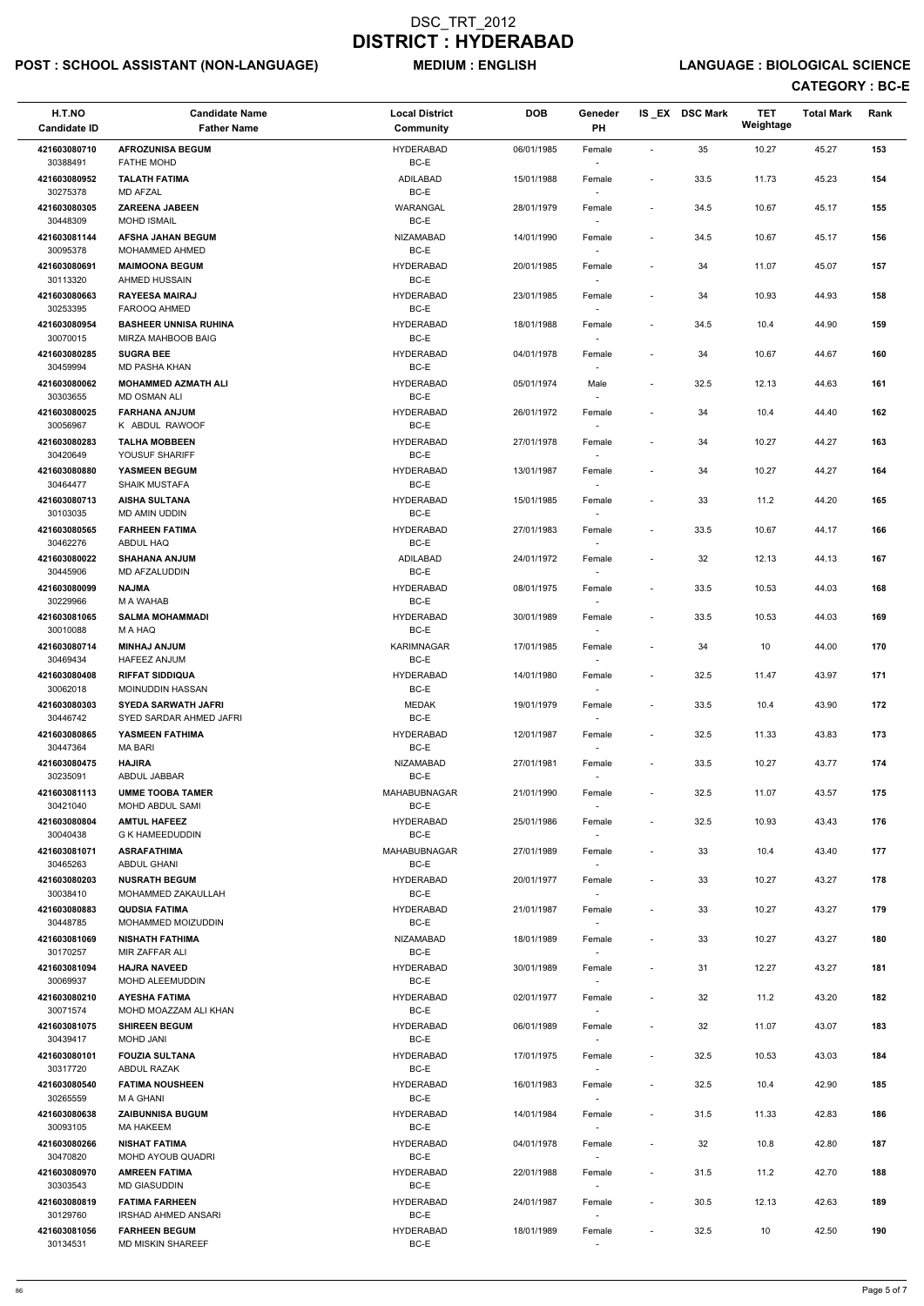# POST : SCHOOL ASSISTANT (NON-LANGUAGE) MEDIUM : ENGLISH LANGUAGE : BIOLOGICAL SCIENCE

| H.T.NO<br><b>Candidate ID</b>        | <b>Candidate Name</b><br><b>Father Name</b>                                      | <b>Local District</b><br><b>Community</b> | <b>DOB</b> | Geneder<br>PH                      |                          | IS_EX DSC Mark | <b>TET</b><br>Weightage | <b>Total Mark</b> | Rank |
|--------------------------------------|----------------------------------------------------------------------------------|-------------------------------------------|------------|------------------------------------|--------------------------|----------------|-------------------------|-------------------|------|
| 421603080710<br>30388491             | <b>AFROZUNISA BEGUM</b><br><b>FATHE MOHD</b>                                     | <b>HYDERABAD</b><br>BC-E                  | 06/01/1985 | Female                             | $\sim$                   | 35             | 10.27                   | 45.27             | 153  |
| 421603080952<br>30275378             | <b>TALATH FATIMA</b><br><b>MD AFZAL</b>                                          | <b>ADILABAD</b><br>BC-E                   | 15/01/1988 | Female                             | $\overline{\phantom{a}}$ | 33.5           | 11.73                   | 45.23             | 154  |
| 421603080305<br>30448309             | <b>ZAREENA JABEEN</b><br><b>MOHD ISMAIL</b>                                      | WARANGAL<br>BC-E                          | 28/01/1979 | Female                             | $\overline{\phantom{a}}$ | 34.5           | 10.67                   | 45.17             | 155  |
| 421603081144                         | <b>AFSHA JAHAN BEGUM</b>                                                         | <b>NIZAMABAD</b>                          | 14/01/1990 | $\overline{\phantom{a}}$<br>Female | $\overline{\phantom{a}}$ | 34.5           | 10.67                   | 45.17             | 156  |
| 30095378<br>421603080691             | MOHAMMED AHMED<br><b>MAIMOONA BEGUM</b>                                          | BC-E<br><b>HYDERABAD</b>                  | 20/01/1985 | $\sim$<br>Female                   | $\overline{\phantom{a}}$ | 34             | 11.07                   | 45.07             | 157  |
| 30113320                             | AHMED HUSSAIN                                                                    | BC-E                                      |            | $\overline{\phantom{a}}$           |                          |                |                         |                   |      |
| 421603080663<br>30253395             | <b>RAYEESA MAIRAJ</b><br>FAROOQ AHMED                                            | <b>HYDERABAD</b><br>$BC-E$                | 23/01/1985 | Female                             | $\overline{\phantom{m}}$ | 34             | 10.93                   | 44.93             | 158  |
| 421603080954<br>30070015             | <b>BASHEER UNNISA RUHINA</b><br>MIRZA MAHBOOB BAIG                               | <b>HYDERABAD</b><br>BC-E                  | 18/01/1988 | Female                             | $\overline{\phantom{a}}$ | 34.5           | 10.4                    | 44.90             | 159  |
| 421603080285<br>30459994             | <b>SUGRA BEE</b><br>MD PASHA KHAN                                                | <b>HYDERABAD</b><br>BC-E                  | 04/01/1978 | Female                             | $\overline{a}$           | 34             | 10.67                   | 44.67             | 160  |
| 421603080062                         | <b>MOHAMMED AZMATH ALI</b>                                                       | <b>HYDERABAD</b>                          | 05/01/1974 | Male                               | $\overline{\phantom{a}}$ | 32.5           | 12.13                   | 44.63             | 161  |
| 30303655<br>421603080025             | <b>MD OSMAN ALI</b><br><b>FARHANA ANJUM</b>                                      | BC-E<br><b>HYDERABAD</b>                  | 26/01/1972 | $\overline{\phantom{a}}$<br>Female | $\overline{a}$           | 34             | 10.4                    | 44.40             | 162  |
| 30056967<br>421603080283             | K ABDUL RAWOOF<br><b>TALHA MOBBEEN</b>                                           | BC-E<br><b>HYDERABAD</b>                  | 27/01/1978 | Female                             | $\overline{\phantom{a}}$ | 34             | 10.27                   | 44.27             | 163  |
| 30420649                             | YOUSUF SHARIFF                                                                   | BC-E                                      |            |                                    |                          |                |                         |                   |      |
| 421603080880<br>30464477             | YASMEEN BEGUM<br><b>SHAIK MUSTAFA</b>                                            | <b>HYDERABAD</b><br>BC-E                  | 13/01/1987 | Female<br>$\sim$                   | $\overline{\phantom{a}}$ | 34             | 10.27                   | 44.27             | 164  |
| 421603080713<br>30103035             | <b>AISHA SULTANA</b><br>MD AMIN UDDIN                                            | <b>HYDERABAD</b><br>BC-E                  | 15/01/1985 | Female                             | $\overline{\phantom{a}}$ | 33             | 11.2                    | 44.20             | 165  |
| 421603080565                         | <b>FARHEEN FATIMA</b>                                                            | <b>HYDERABAD</b>                          | 27/01/1983 | Female                             | $\overline{\phantom{a}}$ | 33.5           | 10.67                   | 44.17             | 166  |
| 30462276<br>421603080022             | ABDUL HAQ<br><b>SHAHANA ANJUM</b>                                                | BC-E<br>ADILABAD                          | 24/01/1972 | Female                             | $\overline{\phantom{a}}$ | 32             | 12.13                   | 44.13             | 167  |
| 30445906                             | MD AFZALUDDIN                                                                    | $BC-E$                                    |            |                                    |                          |                |                         |                   |      |
| 421603080099<br>30229966             | <b>NAJMA</b><br>M A WAHAB                                                        | <b>HYDERABAD</b><br>BC-E                  | 08/01/1975 | Female<br>$\overline{\phantom{a}}$ | $\overline{\phantom{a}}$ | 33.5           | 10.53                   | 44.03             | 168  |
| 421603081065<br>30010088             | <b>SALMA MOHAMMADI</b><br>M A HAQ                                                | <b>HYDERABAD</b><br>BC-E                  | 30/01/1989 | Female                             | $\overline{a}$           | 33.5           | 10.53                   | 44.03             | 169  |
| 421603080714<br>30469434             | <b>MINHAJ ANJUM</b><br><b>HAFEEZ ANJUM</b>                                       | <b>KARIMNAGAR</b><br>BC-E                 | 17/01/1985 | Female                             | $\overline{\phantom{a}}$ | 34             | 10                      | 44.00             | 170  |
| 421603080408                         | <b>RIFFAT SIDDIQUA</b>                                                           | <b>HYDERABAD</b>                          | 14/01/1980 | Female                             | $\blacksquare$           | 32.5           | 11.47                   | 43.97             | 171  |
| 30062018<br>421603080303<br>30446742 | <b>MOINUDDIN HASSAN</b><br><b>SYEDA SARWATH JAFRI</b><br>SYED SARDAR AHMED JAFRI | BC-E<br><b>MEDAK</b><br>BC-E              | 19/01/1979 | $\overline{\phantom{a}}$<br>Female | $\overline{\phantom{a}}$ | 33.5           | 10.4                    | 43.90             | 172  |
| 421603080865                         | YASMEEN FATHIMA                                                                  | <b>HYDERABAD</b><br>BC-E                  | 12/01/1987 | $\sim$<br>Female                   | $\overline{\phantom{a}}$ | 32.5           | 11.33                   | 43.83             | 173  |
| 30447364<br>421603080475             | <b>MA BARI</b><br><b>HAJIRA</b>                                                  | <b>NIZAMABAD</b>                          | 27/01/1981 | $\overline{\phantom{a}}$<br>Female | $\overline{\phantom{a}}$ | 33.5           | 10.27                   | 43.77             | 174  |
| 30235091<br>421603081113             | ABDUL JABBAR<br><b>UMME TOOBA TAMER</b>                                          | BC-E<br>MAHABUBNAGAR                      | 21/01/1990 | Female                             | $\overline{\phantom{a}}$ | 32.5           | 11.07                   | 43.57             | 175  |
| 30421040                             | MOHD ABDUL SAMI                                                                  | BC-E                                      |            |                                    |                          |                |                         |                   |      |
| 421603080804<br>30040438             | <b>AMTUL HAFEEZ</b><br><b>G K HAMEEDUDDIN</b>                                    | <b>HYDERABAD</b><br>BC-E                  | 25/01/1986 | Female<br>$\overline{\phantom{a}}$ | $\overline{\phantom{a}}$ | 32.5           | 10.93                   | 43.43             | 176  |
| 421603081071<br>30465263             | <b>ASRAFATHIMA</b><br><b>ABDUL GHANI</b>                                         | MAHABUBNAGAR<br>BC-E                      | 27/01/1989 | Female<br>$\overline{\phantom{a}}$ | $\overline{\phantom{a}}$ | 33             | 10.4                    | 43.40             | 177  |
| 421603080203<br>30038410             | <b>NUSRATH BEGUM</b><br>MOHAMMED ZAKAULLAH                                       | <b>HYDERABAD</b><br>BC-E                  | 20/01/1977 | Female                             | $\overline{\phantom{m}}$ | 33             | 10.27                   | 43.27             | 178  |
| 421603080883                         | <b>QUDSIA FATIMA</b>                                                             | <b>HYDERABAD</b>                          | 21/01/1987 | Female                             | $\overline{\phantom{a}}$ | 33             | 10.27                   | 43.27             | 179  |
| 30448785<br>421603081069             | MOHAMMED MOIZUDDIN<br><b>NISHATH FATHIMA</b>                                     | BC-E<br><b>NIZAMABAD</b>                  | 18/01/1989 | Female                             | $\overline{\phantom{a}}$ | 33             | 10.27                   | 43.27             | 180  |
| 30170257<br>421603081094             | <b>MIR ZAFFAR ALI</b><br><b>HAJRA NAVEED</b>                                     | BC-E<br><b>HYDERABAD</b>                  | 30/01/1989 | $\sim$<br>Female                   | $\overline{\phantom{a}}$ | 31             | 12.27                   | 43.27             | 181  |
| 30069937                             | MOHD ALEEMUDDIN                                                                  | BC-E                                      |            | $\sim$                             |                          |                |                         |                   |      |
| 421603080210<br>30071574             | <b>AYESHA FATIMA</b><br>MOHD MOAZZAM ALI KHAN                                    | <b>HYDERABAD</b><br>BC-E                  | 02/01/1977 | Female                             | $\overline{\phantom{a}}$ | 32             | 11.2                    | 43.20             | 182  |
| 421603081075<br>30439417             | <b>SHIREEN BEGUM</b><br><b>MOHD JANI</b>                                         | <b>HYDERABAD</b><br>BC-E                  | 06/01/1989 | Female                             | $\overline{\phantom{a}}$ | 32             | 11.07                   | 43.07             | 183  |
| 421603080101                         | <b>FOUZIA SULTANA</b>                                                            | <b>HYDERABAD</b>                          | 17/01/1975 | Female                             | $\overline{\phantom{a}}$ | 32.5           | 10.53                   | 43.03             | 184  |
| 30317720<br>421603080540             | ABDUL RAZAK<br><b>FATIMA NOUSHEEN</b>                                            | BC-E<br><b>HYDERABAD</b>                  | 16/01/1983 | Female                             | $\overline{\phantom{a}}$ | 32.5           | 10.4                    | 42.90             | 185  |
| 30265559                             | <b>M A GHANI</b>                                                                 | BC-E                                      |            | $\overline{\phantom{a}}$           |                          |                |                         |                   |      |
| 421603080638<br>30093105             | <b>ZAIBUNNISA BUGUM</b><br><b>MA HAKEEM</b>                                      | <b>HYDERABAD</b><br>$BC-E$                | 14/01/1984 | Female                             | $\overline{\phantom{m}}$ | 31.5           | 11.33                   | 42.83             | 186  |
| 421603080266<br>30470820             | <b>NISHAT FATIMA</b><br><b>MOHD AYOUB QUADRI</b>                                 | <b>HYDERABAD</b><br>BC-E                  | 04/01/1978 | Female                             | $\overline{\phantom{m}}$ | 32             | 10.8                    | 42.80             | 187  |
| 421603080970<br>30303543             | <b>AMREEN FATIMA</b><br><b>MD GIASUDDIN</b>                                      | <b>HYDERABAD</b><br>BC-E                  | 22/01/1988 | Female<br>$\sim$                   | $\overline{\phantom{a}}$ | 31.5           | 11.2                    | 42.70             | 188  |
| 421603080819                         | <b>FATIMA FARHEEN</b>                                                            | <b>HYDERABAD</b>                          | 24/01/1987 | Female                             | $\overline{\phantom{a}}$ | 30.5           | 12.13                   | 42.63             | 189  |
| 30129760<br>421603081056             | <b>IRSHAD AHMED ANSARI</b><br><b>FARHEEN BEGUM</b>                               | BC-E<br><b>HYDERABAD</b>                  | 18/01/1989 | $\overline{\phantom{a}}$<br>Female | $\overline{\phantom{a}}$ | 32.5           | 10                      | 42.50             | 190  |
| 30134531                             | MD MISKIN SHAREEF                                                                | BC-E                                      |            | $\sim$                             |                          |                |                         |                   |      |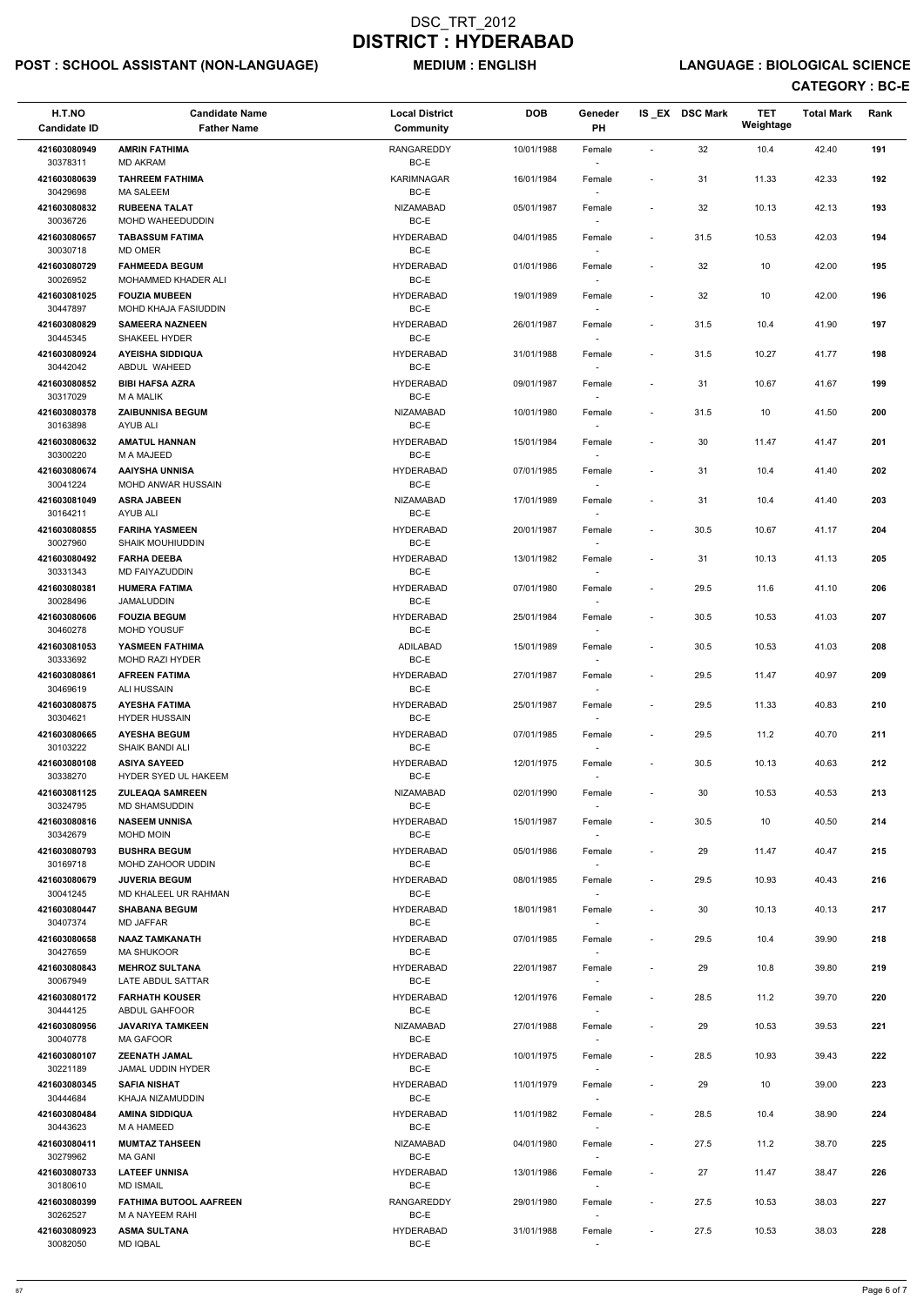# POST : SCHOOL ASSISTANT (NON-LANGUAGE) MEDIUM : ENGLISH LANGUAGE : BIOLOGICAL SCIENCE

| H.T.NO<br><b>Candidate ID</b> | <b>Candidate Name</b><br><b>Father Name</b>         | <b>Local District</b><br><b>Community</b> | <b>DOB</b> | Geneder<br>PH                      |                          | IS EX DSC Mark | <b>TET</b><br>Weightage | <b>Total Mark</b> | Rank |
|-------------------------------|-----------------------------------------------------|-------------------------------------------|------------|------------------------------------|--------------------------|----------------|-------------------------|-------------------|------|
| 421603080949<br>30378311      | <b>AMRIN FATHIMA</b><br><b>MD AKRAM</b>             | <b>RANGAREDDY</b><br>BC-E                 | 10/01/1988 | Female                             | $\blacksquare$           | 32             | 10.4                    | 42.40             | 191  |
| 421603080639<br>30429698      | <b>TAHREEM FATHIMA</b><br>MA SALEEM                 | <b>KARIMNAGAR</b><br>BC-E                 | 16/01/1984 | Female                             | $\blacksquare$           | 31             | 11.33                   | 42.33             | 192  |
| 421603080832                  | <b>RUBEENA TALAT</b>                                | <b>NIZAMABAD</b>                          | 05/01/1987 | Female                             | $\sim$                   | 32             | 10.13                   | 42.13             | 193  |
| 30036726<br>421603080657      | MOHD WAHEEDUDDIN<br><b>TABASSUM FATIMA</b>          | BC-E<br><b>HYDERABAD</b>                  | 04/01/1985 | Female                             | $\sim$                   | 31.5           | 10.53                   | 42.03             | 194  |
| 30030718<br>421603080729      | MD OMER<br><b>FAHMEEDA BEGUM</b>                    | BC-E<br><b>HYDERABAD</b>                  | 01/01/1986 | Female                             | $\blacksquare$           | 32             | 10                      | 42.00             | 195  |
| 30026952                      | MOHAMMED KHADER ALI                                 | BC-E                                      |            | $\sim$                             |                          |                |                         |                   |      |
| 421603081025<br>30447897      | <b>FOUZIA MUBEEN</b><br><b>MOHD KHAJA FASIUDDIN</b> | <b>HYDERABAD</b><br>BC-E                  | 19/01/1989 | Female                             |                          | 32             | 10                      | 42.00             | 196  |
| 421603080829<br>30445345      | <b>SAMEERA NAZNEEN</b><br>SHAKEEL HYDER             | <b>HYDERABAD</b><br>BC-E                  | 26/01/1987 | Female                             | $\overline{\phantom{a}}$ | 31.5           | 10.4                    | 41.90             | 197  |
| 421603080924<br>30442042      | <b>AYEISHA SIDDIQUA</b><br>ABDUL WAHEED             | <b>HYDERABAD</b><br>BC-E                  | 31/01/1988 | Female<br>$\sim$                   | $\overline{\phantom{a}}$ | 31.5           | 10.27                   | 41.77             | 198  |
| 421603080852<br>30317029      | <b>BIBI HAFSA AZRA</b><br><b>M A MALIK</b>          | <b>HYDERABAD</b><br>BC-E                  | 09/01/1987 | Female<br>$\sim$                   | $\blacksquare$           | 31             | 10.67                   | 41.67             | 199  |
| 421603080378<br>30163898      | <b>ZAIBUNNISA BEGUM</b><br>AYUB ALI                 | <b>NIZAMABAD</b><br>BC-E                  | 10/01/1980 | Female                             | $\overline{\phantom{a}}$ | 31.5           | 10                      | 41.50             | 200  |
| 421603080632                  | <b>AMATUL HANNAN</b>                                | <b>HYDERABAD</b>                          | 15/01/1984 | Female                             | $\blacksquare$           | 30             | 11.47                   | 41.47             | 201  |
| 30300220<br>421603080674      | M A MAJEED<br><b>AAIYSHA UNNISA</b>                 | BC-E<br><b>HYDERABAD</b>                  | 07/01/1985 | Female                             | $\overline{\phantom{a}}$ | 31             | 10.4                    | 41.40             | 202  |
| 30041224<br>421603081049      | MOHD ANWAR HUSSAIN<br><b>ASRA JABEEN</b>            | $BC-E$<br><b>NIZAMABAD</b>                | 17/01/1989 | $\sim$<br>Female                   | $\overline{\phantom{a}}$ | 31             | 10.4                    | 41.40             | 203  |
| 30164211                      | AYUB ALI                                            | BC-E                                      |            |                                    |                          |                |                         |                   |      |
| 421603080855<br>30027960      | <b>FARIHA YASMEEN</b><br>SHAIK MOUHIUDDIN           | <b>HYDERABAD</b><br>BC-E                  | 20/01/1987 | Female                             | $\overline{\phantom{a}}$ | 30.5           | 10.67                   | 41.17             | 204  |
| 421603080492<br>30331343      | <b>FARHA DEEBA</b><br>MD FAIYAZUDDIN                | <b>HYDERABAD</b><br>BC-E                  | 13/01/1982 | Female                             |                          | 31             | 10.13                   | 41.13             | 205  |
| 421603080381<br>30028496      | <b>HUMERA FATIMA</b><br>JAMALUDDIN                  | <b>HYDERABAD</b><br>$BC-E$                | 07/01/1980 | Female<br>$\overline{\phantom{a}}$ | $\overline{\phantom{a}}$ | 29.5           | 11.6                    | 41.10             | 206  |
| 421603080606<br>30460278      | <b>FOUZIA BEGUM</b><br><b>MOHD YOUSUF</b>           | <b>HYDERABAD</b><br>BC-E                  | 25/01/1984 | Female<br>$\overline{\phantom{a}}$ | $\blacksquare$           | 30.5           | 10.53                   | 41.03             | 207  |
| 421603081053                  | YASMEEN FATHIMA                                     | ADILABAD<br>BC-E                          | 15/01/1989 | Female                             | $\sim$                   | 30.5           | 10.53                   | 41.03             | 208  |
| 30333692<br>421603080861      | <b>MOHD RAZI HYDER</b><br><b>AFREEN FATIMA</b>      | <b>HYDERABAD</b>                          | 27/01/1987 | Female                             | $\sim$                   | 29.5           | 11.47                   | 40.97             | 209  |
| 30469619<br>421603080875      | ALI HUSSAIN<br><b>AYESHA FATIMA</b>                 | BC-E<br><b>HYDERABAD</b>                  | 25/01/1987 | $\sim$<br>Female                   | $\sim$                   | 29.5           | 11.33                   | 40.83             | 210  |
| 30304621<br>421603080665      | <b>HYDER HUSSAIN</b><br><b>AYESHA BEGUM</b>         | BC-E<br><b>HYDERABAD</b>                  | 07/01/1985 | $\sim$<br>Female                   | $\sim$                   | 29.5           | 11.2                    | 40.70             | 211  |
| 30103222<br>421603080108      | <b>SHAIK BANDI ALI</b><br><b>ASIYA SAYEED</b>       | BC-E<br><b>HYDERABAD</b>                  | 12/01/1975 | $\sim$<br>Female                   | $\blacksquare$           | 30.5           | 10.13                   | 40.63             | 212  |
| 30338270                      | HYDER SYED UL HAKEEM                                | BC-E                                      |            |                                    |                          |                |                         |                   |      |
| 421603081125<br>30324795      | <b>ZULEAQA SAMREEN</b><br><b>MD SHAMSUDDIN</b>      | <b>NIZAMABAD</b><br>BC-E                  | 02/01/1990 | Female                             | $\overline{\phantom{a}}$ | 30             | 10.53                   | 40.53             | 213  |
| 421603080816<br>30342679      | <b>NASEEM UNNISA</b><br>MOHD MOIN                   | <b>HYDERABAD</b><br>BC-E                  | 15/01/1987 | Female<br>$\sim$                   | $\overline{\phantom{a}}$ | 30.5           | 10                      | 40.50             | 214  |
| 421603080793<br>30169718      | <b>BUSHRA BEGUM</b><br>MOHD ZAHOOR UDDIN            | <b>HYDERABAD</b><br>BC-E                  | 05/01/1986 | Female<br>$\sim$                   | $\sim$                   | 29             | 11.47                   | 40.47             | 215  |
| 421603080679<br>30041245      | <b>JUVERIA BEGUM</b><br>MD KHALEEL UR RAHMAN        | <b>HYDERABAD</b><br>BC-E                  | 08/01/1985 | Female                             | $\sim$                   | 29.5           | 10.93                   | 40.43             | 216  |
| 421603080447<br>30407374      | <b>SHABANA BEGUM</b><br><b>MD JAFFAR</b>            | <b>HYDERABAD</b><br>BC-E                  | 18/01/1981 | Female                             | $\blacksquare$           | 30             | 10.13                   | 40.13             | 217  |
| 421603080658<br>30427659      | <b>NAAZ TAMKANATH</b><br><b>MA SHUKOOR</b>          | <b>HYDERABAD</b><br>BC-E                  | 07/01/1985 | Female<br>$\sim$                   | $\sim$                   | 29.5           | 10.4                    | 39.90             | 218  |
| 421603080843                  | <b>MEHROZ SULTANA</b>                               | <b>HYDERABAD</b>                          | 22/01/1987 | Female                             | $\overline{\phantom{a}}$ | 29             | 10.8                    | 39.80             | 219  |
| 30067949<br>421603080172      | LATE ABDUL SATTAR<br><b>FARHATH KOUSER</b>          | BC-E<br><b>HYDERABAD</b>                  | 12/01/1976 | $\sim$<br>Female                   | $\sim$                   | 28.5           | 11.2                    | 39.70             | 220  |
| 30444125                      | ABDUL GAHFOOR                                       | BC-E                                      |            |                                    |                          |                |                         |                   |      |
| 421603080956<br>30040778      | <b>JAVARIYA TAMKEEN</b><br><b>MA GAFOOR</b>         | <b>NIZAMABAD</b><br>BC-E                  | 27/01/1988 | Female                             | $\overline{\phantom{a}}$ | 29             | 10.53                   | 39.53             | 221  |
| 421603080107<br>30221189      | <b>ZEENATH JAMAL</b><br><b>JAMAL UDDIN HYDER</b>    | <b>HYDERABAD</b><br>BC-E                  | 10/01/1975 | Female                             | $\overline{\phantom{a}}$ | 28.5           | 10.93                   | 39.43             | 222  |
| 421603080345                  | <b>SAFIA NISHAT</b>                                 | <b>HYDERABAD</b>                          | 11/01/1979 | Female                             |                          | 29             | 10                      | 39.00             | 223  |
| 30444684<br>421603080484      | KHAJA NIZAMUDDIN<br><b>AMINA SIDDIQUA</b>           | BC-E<br><b>HYDERABAD</b>                  | 11/01/1982 | $\sim$<br>Female                   | $\blacksquare$           | 28.5           | 10.4                    | 38.90             | 224  |
| 30443623<br>421603080411      | M A HAMEED<br><b>MUMTAZ TAHSEEN</b>                 | BC-E<br><b>NIZAMABAD</b>                  | 04/01/1980 | $\overline{\phantom{a}}$<br>Female | $\sim$                   | 27.5           | 11.2                    | 38.70             | 225  |
| 30279962                      | <b>MA GANI</b>                                      | BC-E                                      |            | $\sim$                             |                          |                |                         |                   |      |
| 421603080733<br>30180610      | <b>LATEEF UNNISA</b><br><b>MD ISMAIL</b>            | <b>HYDERABAD</b><br>BC-E                  | 13/01/1986 | Female<br>$\sim$                   | $\sim$                   | 27             | 11.47                   | 38.47             | 226  |
| 421603080399<br>30262527      | <b>FATHIMA BUTOOL AAFREEN</b><br>M A NAYEEM RAHI    | RANGAREDDY<br>BC-E                        | 29/01/1980 | Female<br>$\sim$                   | $\overline{\phantom{a}}$ | 27.5           | 10.53                   | 38.03             | 227  |
| 421603080923<br>30082050      | <b>ASMA SULTANA</b><br><b>MD IQBAL</b>              | <b>HYDERABAD</b><br>$BC-E$                | 31/01/1988 | Female                             | $\overline{\phantom{a}}$ | 27.5           | 10.53                   | 38.03             | 228  |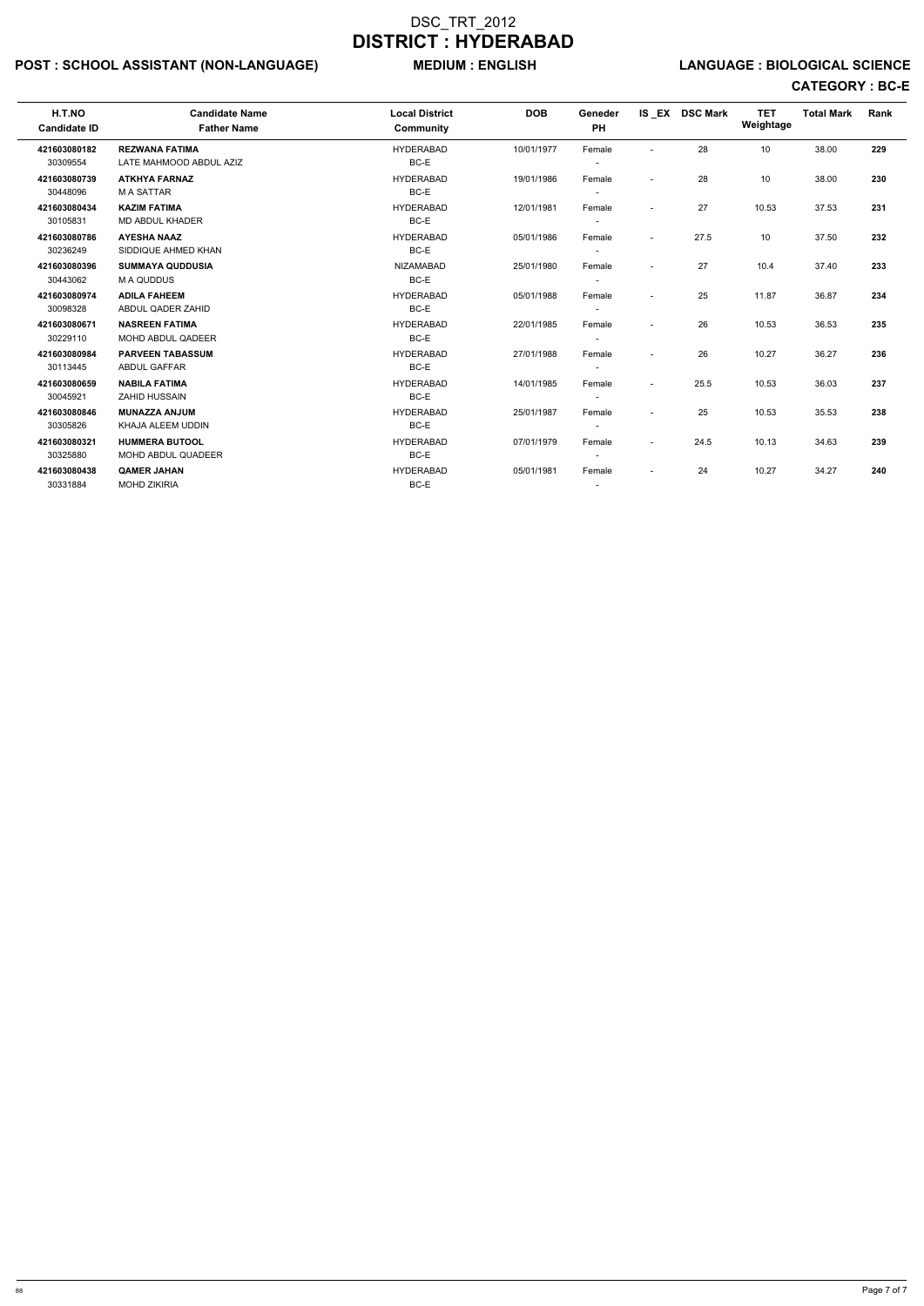# POST : SCHOOL ASSISTANT (NON-LANGUAGE) MEDIUM : ENGLISH LANGUAGE : BIOLOGICAL SCIENCE

| H.T.NO<br><b>Candidate ID</b> | <b>Candidate Name</b><br><b>Father Name</b> | <b>Local District</b><br>Community | <b>DOB</b> | Geneder<br><b>PH</b>     |                          | IS EX DSC Mark | <b>TET</b><br>Weightage | <b>Total Mark</b> | <b>Rank</b> |  |
|-------------------------------|---------------------------------------------|------------------------------------|------------|--------------------------|--------------------------|----------------|-------------------------|-------------------|-------------|--|
| 421603080182                  | <b>REZWANA FATIMA</b>                       | <b>HYDERABAD</b>                   | 10/01/1977 | Female                   | $\sim$                   | 28             | 10                      | 38.00             | 229         |  |
| 30309554                      | LATE MAHMOOD ABDUL AZIZ                     | BC-E                               |            |                          |                          |                |                         |                   |             |  |
| 421603080739                  | <b>ATKHYA FARNAZ</b>                        | <b>HYDERABAD</b>                   | 19/01/1986 | Female                   | $\sim$                   | 28             | 10                      | 38.00             | 230         |  |
| 30448096                      | <b>MA SATTAR</b>                            | BC-E                               |            | $\overline{\phantom{a}}$ |                          |                |                         |                   |             |  |
| 421603080434                  | <b>KAZIM FATIMA</b>                         | <b>HYDERABAD</b>                   | 12/01/1981 | Female                   | $\overline{\phantom{a}}$ | 27             | 10.53                   | 37.53             | 231         |  |
| 30105831                      | <b>MD ABDUL KHADER</b>                      | BC-E                               |            |                          |                          |                |                         |                   |             |  |
| 421603080786                  | <b>AYESHA NAAZ</b>                          | <b>HYDERABAD</b>                   | 05/01/1986 | Female                   | $\overline{\phantom{a}}$ | 27.5           | 10                      | 37.50             | 232         |  |
| 30236249                      | SIDDIQUE AHMED KHAN                         | BC-E                               |            |                          |                          |                |                         |                   |             |  |
| 421603080396                  | <b>SUMMAYA QUDDUSIA</b>                     | <b>NIZAMABAD</b>                   | 25/01/1980 | Female                   | $\overline{\phantom{a}}$ | 27             | 10.4                    | 37.40             | 233         |  |
| 30443062                      | M A QUDDUS                                  | BC-E                               |            |                          |                          |                |                         |                   |             |  |
| 421603080974                  | <b>ADILA FAHEEM</b>                         | <b>HYDERABAD</b>                   | 05/01/1988 | Female                   | $\overline{\phantom{a}}$ | 25             | 11.87                   | 36.87             | 234         |  |
| 30098328                      | ABDUL QADER ZAHID                           | BC-E                               |            | $\overline{\phantom{a}}$ |                          |                |                         |                   |             |  |
| 421603080671                  | <b>NASREEN FATIMA</b>                       | <b>HYDERABAD</b>                   | 22/01/1985 | Female                   | $\overline{\phantom{a}}$ | 26             | 10.53                   | 36.53             | 235         |  |
| 30229110                      | <b>MOHD ABDUL QADEER</b>                    | BC-E                               |            | $\overline{\phantom{a}}$ |                          |                |                         |                   |             |  |
| 421603080984                  | <b>PARVEEN TABASSUM</b>                     | <b>HYDERABAD</b>                   | 27/01/1988 | Female                   | $\blacksquare$           | 26             | 10.27                   | 36.27             | 236         |  |
| 30113445                      | <b>ABDUL GAFFAR</b>                         | BC-E                               |            | $\overline{\phantom{a}}$ |                          |                |                         |                   |             |  |
| 421603080659                  | <b>NABILA FATIMA</b>                        | <b>HYDERABAD</b>                   | 14/01/1985 | Female                   | $\overline{\phantom{a}}$ | 25.5           | 10.53                   | 36.03             | 237         |  |
| 30045921                      | <b>ZAHID HUSSAIN</b>                        | BC-E                               |            |                          |                          |                |                         |                   |             |  |
| 421603080846                  | <b>MUNAZZA ANJUM</b>                        | <b>HYDERABAD</b>                   | 25/01/1987 | Female                   | $\blacksquare$           | 25             | 10.53                   | 35.53             | 238         |  |
| 30305826                      | KHAJA ALEEM UDDIN                           | BC-E                               |            |                          |                          |                |                         |                   |             |  |
| 421603080321                  | <b>HUMMERA BUTOOL</b>                       | <b>HYDERABAD</b>                   | 07/01/1979 | Female                   | $\overline{\phantom{a}}$ | 24.5           | 10.13                   | 34.63             | 239         |  |
| 30325880                      | MOHD ABDUL QUADEER                          | BC-E                               |            | $\overline{\phantom{a}}$ |                          |                |                         |                   |             |  |
| 421603080438                  | <b>QAMER JAHAN</b>                          | <b>HYDERABAD</b>                   | 05/01/1981 | Female                   | $\overline{\phantom{a}}$ | 24             | 10.27                   | 34.27             | 240         |  |
| 30331884                      | <b>MOHD ZIKIRIA</b>                         | BC-E                               |            | $\overline{\phantom{a}}$ |                          |                |                         |                   |             |  |
|                               |                                             |                                    |            |                          |                          |                |                         |                   |             |  |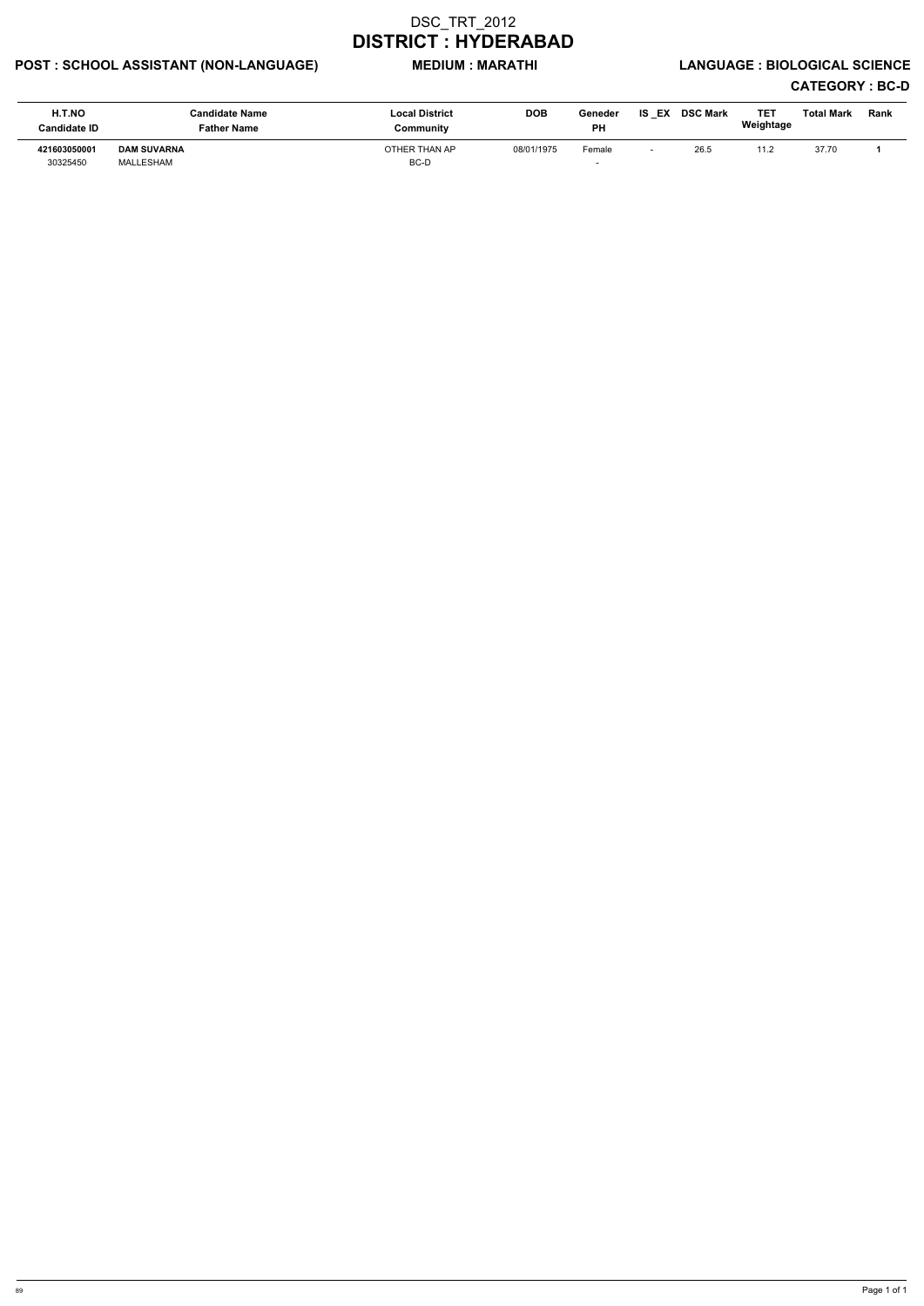# POST : SCHOOL ASSISTANT (NON-LANGUAGE) MEDIUM : MARATHI LANGUAGE : BIOLOGICAL SCIENCE

| H.T.NO<br><b>Candidate ID</b> | Candidate Name<br>Father Name   | <b>Local District</b><br>Community | <b>DOB</b> | Geneder<br><b>PH</b> | IS EX | <b>DSC Mark</b> | TE1<br>Weightage | Total Mark | <b>Rank</b> |
|-------------------------------|---------------------------------|------------------------------------|------------|----------------------|-------|-----------------|------------------|------------|-------------|
| 421603050001<br>30325450      | <b>DAM SUVARNA</b><br>MALLESHAM | OTHER THAN AP<br>BC-D              | 08/01/1975 | Female               |       | 26.5            | 11.2             | 37.70      |             |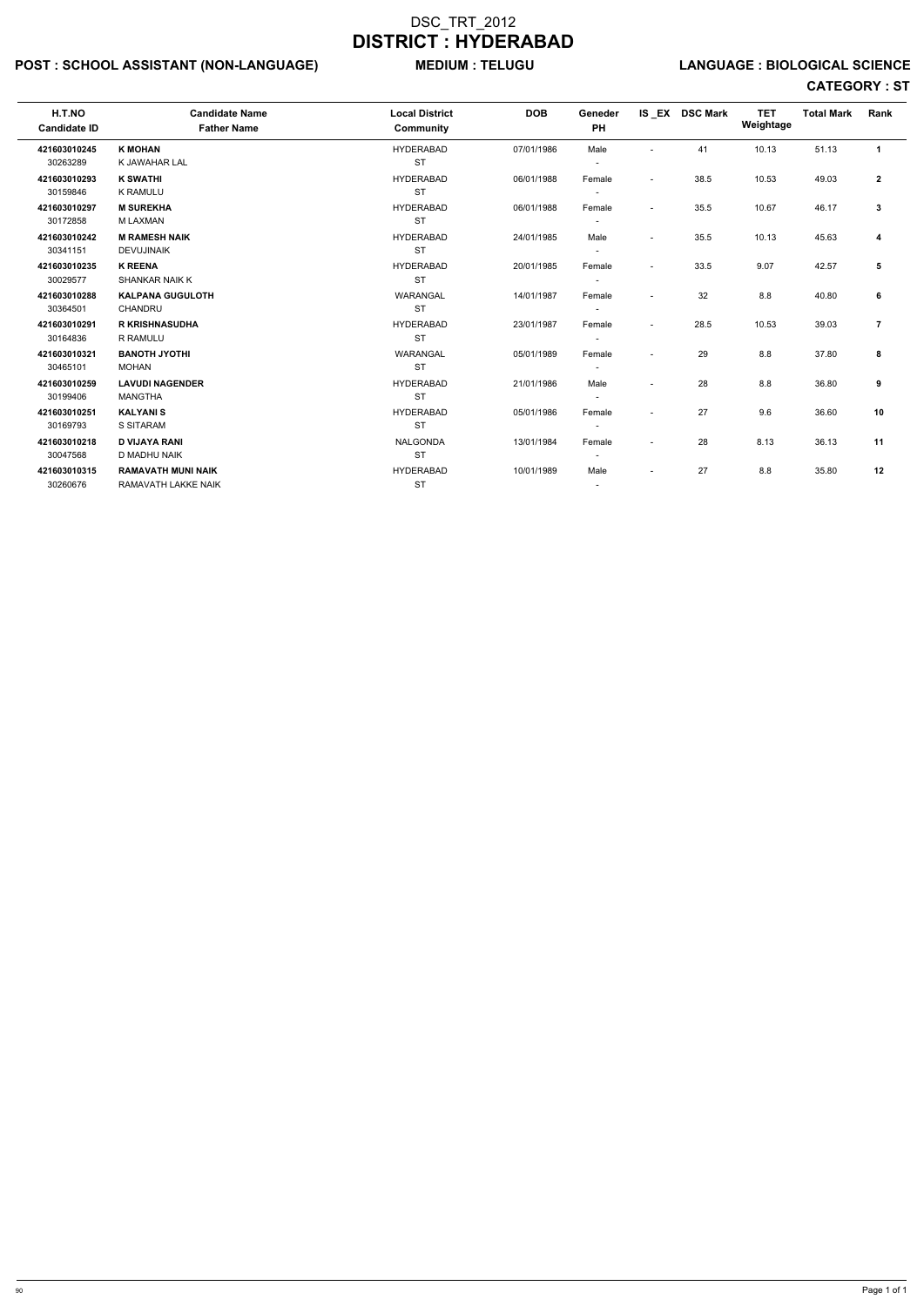# POST : SCHOOL ASSISTANT (NON-LANGUAGE) MEDIUM : TELUGU LANGUAGE : BIOLOGICAL SCIENCE

| H.T.NO<br><b>Candidate ID</b> | <b>Candidate Name</b><br><b>Father Name</b> | <b>Local District</b><br>Community | <b>DOB</b> | Geneder<br>PH            |                          | IS EX DSC Mark | <b>TET</b><br>Weightage | <b>Total Mark</b> | <b>Rank</b>  |
|-------------------------------|---------------------------------------------|------------------------------------|------------|--------------------------|--------------------------|----------------|-------------------------|-------------------|--------------|
| 421603010245                  | <b>K MOHAN</b>                              | <b>HYDERABAD</b>                   | 07/01/1986 | Male                     | $\overline{\phantom{a}}$ | 41             | 10.13                   | 51.13             | $\mathbf{1}$ |
| 30263289                      | K JAWAHAR LAL                               | <b>ST</b>                          |            |                          |                          |                |                         |                   |              |
| 421603010293                  | <b>K SWATHI</b>                             | <b>HYDERABAD</b>                   | 06/01/1988 | Female                   | $\overline{\phantom{a}}$ | 38.5           | 10.53                   | 49.03             | $\mathbf{2}$ |
| 30159846                      | <b>K RAMULU</b>                             | <b>ST</b>                          |            |                          |                          |                |                         |                   |              |
| 421603010297                  | <b>M SUREKHA</b>                            | <b>HYDERABAD</b>                   | 06/01/1988 | Female                   | $\sim$                   | 35.5           | 10.67                   | 46.17             | 3            |
| 30172858                      | <b>M LAXMAN</b>                             | <b>ST</b>                          |            |                          |                          |                |                         |                   |              |
| 421603010242                  | <b>M RAMESH NAIK</b>                        | <b>HYDERABAD</b>                   | 24/01/1985 | Male                     | $\overline{\phantom{a}}$ | 35.5           | 10.13                   | 45.63             | 4            |
| 30341151                      | <b>DEVUJINAIK</b>                           | <b>ST</b>                          |            |                          |                          |                |                         |                   |              |
| 421603010235                  | <b>K REENA</b>                              | <b>HYDERABAD</b>                   | 20/01/1985 | Female                   | $\overline{\phantom{a}}$ | 33.5           | 9.07                    | 42.57             | 5            |
| 30029577                      | <b>SHANKAR NAIK K</b>                       | <b>ST</b>                          |            |                          |                          |                |                         |                   |              |
| 421603010288                  | <b>KALPANA GUGULOTH</b>                     | WARANGAL                           | 14/01/1987 | Female                   |                          | 32             | 8.8                     | 40.80             | 6            |
| 30364501                      | CHANDRU                                     | <b>ST</b>                          |            |                          |                          |                |                         |                   |              |
| 421603010291                  | <b>R KRISHNASUDHA</b>                       | <b>HYDERABAD</b>                   | 23/01/1987 | Female                   | $\sim$                   | 28.5           | 10.53                   | 39.03             | 7            |
| 30164836                      | R RAMULU                                    | <b>ST</b>                          |            |                          |                          |                |                         |                   |              |
| 421603010321                  | <b>BANOTH JYOTHI</b>                        | <b>WARANGAL</b>                    | 05/01/1989 | Female                   | $\sim$                   | 29             | 8.8                     | 37.80             | 8            |
| 30465101                      | <b>MOHAN</b>                                | <b>ST</b>                          |            |                          |                          |                |                         |                   |              |
| 421603010259                  | <b>LAVUDI NAGENDER</b>                      | <b>HYDERABAD</b>                   | 21/01/1986 | Male                     | $\sim$                   | 28             | 8.8                     | 36.80             | 9            |
| 30199406                      | <b>MANGTHA</b>                              | <b>ST</b>                          |            |                          |                          |                |                         |                   |              |
| 421603010251                  | <b>KALYANIS</b>                             | <b>HYDERABAD</b>                   | 05/01/1986 | Female                   | $\overline{a}$           | 27             | 9.6                     | 36.60             | 10           |
| 30169793                      | <b>S SITARAM</b>                            | <b>ST</b>                          |            |                          |                          |                |                         |                   |              |
| 421603010218                  | <b>D VIJAYA RANI</b>                        | <b>NALGONDA</b>                    | 13/01/1984 | Female                   | $\sim$                   | 28             | 8.13                    | 36.13             | 11           |
| 30047568                      | D MADHU NAIK                                | <b>ST</b>                          |            |                          |                          |                |                         |                   |              |
| 421603010315                  | <b>RAMAVATH MUNI NAIK</b>                   | <b>HYDERABAD</b>                   | 10/01/1989 | Male                     | $\sim$                   | 27             | 8.8                     | 35.80             | 12           |
| 30260676                      | RAMAVATH LAKKE NAIK                         | <b>ST</b>                          |            | $\overline{\phantom{a}}$ |                          |                |                         |                   |              |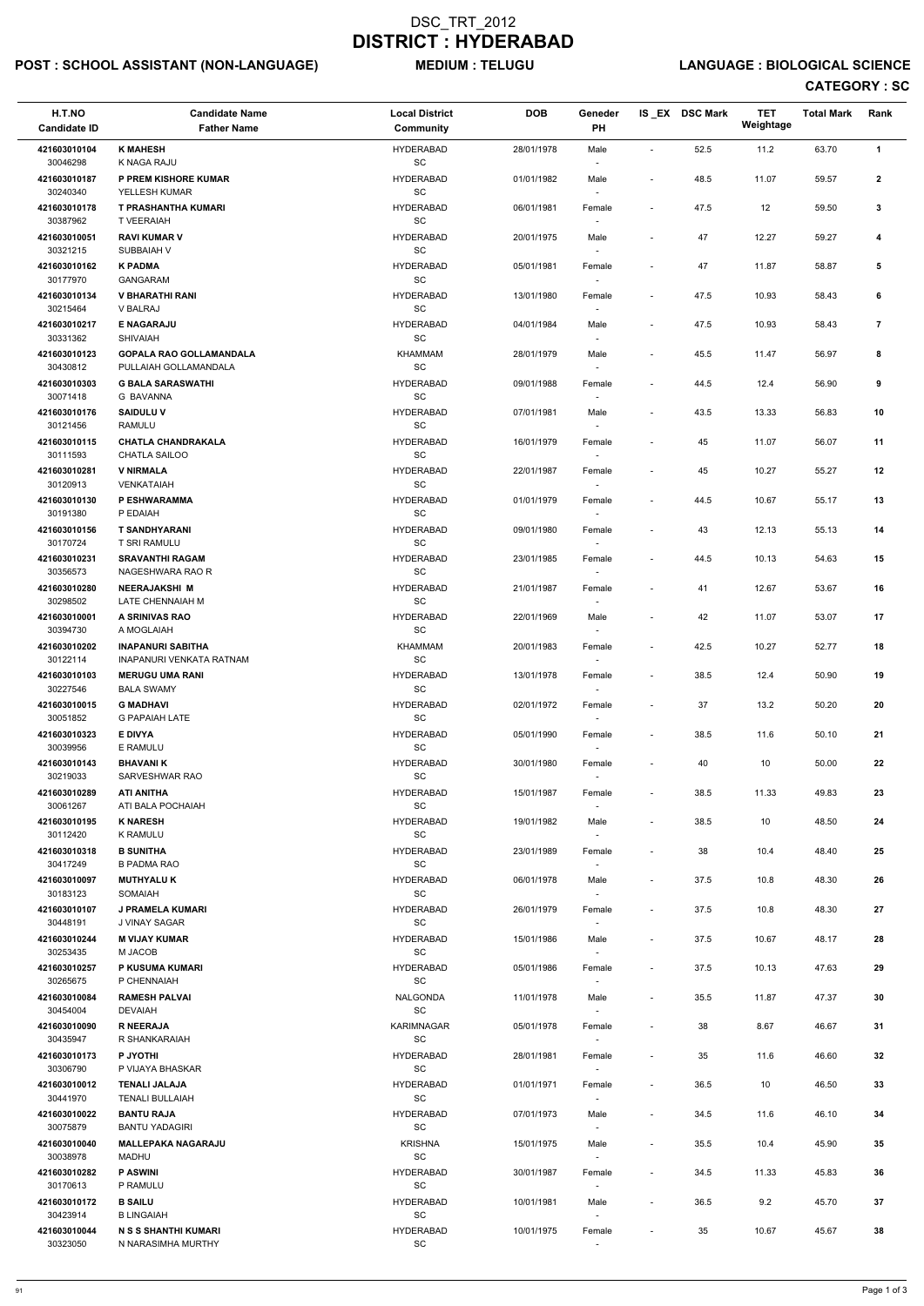# POST : SCHOOL ASSISTANT (NON-LANGUAGE) MEDIUM : TELUGU LANGUAGE : BIOLOGICAL SCIENCE

| H.T.NO<br><b>Candidate ID</b> | <b>Candidate Name</b><br><b>Father Name</b>                                | <b>Local District</b><br>Community               | <b>DOB</b> | Geneder<br>PH                      |                          | IS_EX DSC Mark | <b>TET</b><br>Weightage | <b>Total Mark</b> | Rank           |
|-------------------------------|----------------------------------------------------------------------------|--------------------------------------------------|------------|------------------------------------|--------------------------|----------------|-------------------------|-------------------|----------------|
| 421603010104                  | <b>K MAHESH</b>                                                            | <b>HYDERABAD</b>                                 | 28/01/1978 | Male                               | $\sim$                   | 52.5           | 11.2                    | 63.70             | $\mathbf{1}$   |
| 30046298<br>421603010187      | K NAGA RAJU<br>P PREM KISHORE KUMAR                                        | SC<br><b>HYDERABAD</b>                           | 01/01/1982 | Male                               | $\overline{\phantom{a}}$ | 48.5           | 11.07                   | 59.57             | $\mathbf{2}$   |
| 30240340<br>421603010178      | YELLESH KUMAR<br><b>T PRASHANTHA KUMARI</b>                                | SC<br><b>HYDERABAD</b>                           | 06/01/1981 | Female                             | $\overline{\phantom{a}}$ | 47.5           | 12                      | 59.50             | $\mathbf{3}$   |
| 30387962<br>421603010051      | <b>T VEERAIAH</b><br><b>RAVI KUMAR V</b>                                   | SC<br><b>HYDERABAD</b>                           | 20/01/1975 | Male                               |                          | 47             | 12.27                   | 59.27             | 4              |
| 30321215<br>421603010162      | SUBBAIAH V<br><b>K PADMA</b>                                               | SC<br><b>HYDERABAD</b>                           | 05/01/1981 | Female                             | $\blacksquare$           | 47             | 11.87                   | 58.87             | 5              |
| 30177970<br>421603010134      | <b>GANGARAM</b><br><b>V BHARATHI RANI</b>                                  | SC<br><b>HYDERABAD</b>                           | 13/01/1980 | $\overline{\phantom{a}}$<br>Female | $\blacksquare$           | 47.5           | 10.93                   | 58.43             | 6              |
| 30215464<br>421603010217      | V BALRAJ<br><b>E NAGARAJU</b>                                              | $\operatorname{\textsf{SC}}$<br><b>HYDERABAD</b> | 04/01/1984 | Male                               | $\blacksquare$           | 47.5           | 10.93                   | 58.43             | $\overline{7}$ |
| 30331362<br>421603010123      | <b>SHIVAIAH</b><br><b>GOPALA RAO GOLLAMANDALA</b><br>PULLAIAH GOLLAMANDALA | SC<br><b>KHAMMAM</b><br>SC                       | 28/01/1979 | Male                               | $\blacksquare$           | 45.5           | 11.47                   | 56.97             | 8              |
| 30430812<br>421603010303      | <b>G BALA SARASWATHI</b>                                                   | <b>HYDERABAD</b>                                 | 09/01/1988 | Female                             | $\sim$                   | 44.5           | 12.4                    | 56.90             | 9              |
| 30071418<br>421603010176      | G BAVANNA<br><b>SAIDULUV</b>                                               | SC<br><b>HYDERABAD</b>                           | 07/01/1981 | $\overline{\phantom{a}}$<br>Male   | $\overline{\phantom{a}}$ | 43.5           | 13.33                   | 56.83             | 10             |
| 30121456                      | <b>RAMULU</b>                                                              | <b>SC</b>                                        |            |                                    |                          |                |                         |                   |                |
| 421603010115<br>30111593      | <b>CHATLA CHANDRAKALA</b><br>CHATLA SAILOO                                 | <b>HYDERABAD</b><br>SC                           | 16/01/1979 | Female                             |                          | 45             | 11.07                   | 56.07             | 11             |
| 421603010281<br>30120913      | <b>V NIRMALA</b><br>VENKATAIAH                                             | <b>HYDERABAD</b><br>$\operatorname{\textsf{SC}}$ | 22/01/1987 | Female                             | $\overline{\phantom{a}}$ | 45             | 10.27                   | 55.27             | 12             |
| 421603010130<br>30191380      | P ESHWARAMMA<br>P EDAIAH                                                   | <b>HYDERABAD</b><br>SC                           | 01/01/1979 | Female<br>$\sim$                   |                          | 44.5           | 10.67                   | 55.17             | 13             |
| 421603010156<br>30170724      | <b>T SANDHYARANI</b><br><b>T SRI RAMULU</b>                                | <b>HYDERABAD</b><br>SC                           | 09/01/1980 | Female                             | $\blacksquare$           | 43             | 12.13                   | 55.13             | 14             |
| 421603010231<br>30356573      | <b>SRAVANTHI RAGAM</b><br>NAGESHWARA RAO R                                 | <b>HYDERABAD</b><br>$\operatorname{\textsf{SC}}$ | 23/01/1985 | Female                             | $\blacksquare$           | 44.5           | 10.13                   | 54.63             | 15             |
| 421603010280<br>30298502      | <b>NEERAJAKSHI M</b><br>LATE CHENNAIAH M                                   | <b>HYDERABAD</b><br>SC                           | 21/01/1987 | Female<br>$\overline{\phantom{a}}$ | $\overline{\phantom{a}}$ | 41             | 12.67                   | 53.67             | 16             |
| 421603010001<br>30394730      | A SRINIVAS RAO<br>A MOGLAIAH                                               | <b>HYDERABAD</b><br>SC                           | 22/01/1969 | Male<br>$\sim$                     | $\overline{\phantom{a}}$ | 42             | 11.07                   | 53.07             | 17             |
| 421603010202<br>30122114      | <b>INAPANURI SABITHA</b><br><b>INAPANURI VENKATA RATNAM</b>                | KHAMMAM<br>$\operatorname{\textsf{SC}}$          | 20/01/1983 | Female                             | $\overline{\phantom{a}}$ | 42.5           | 10.27                   | 52.77             | 18             |
| 421603010103<br>30227546      | <b>MERUGU UMA RANI</b><br><b>BALA SWAMY</b>                                | <b>HYDERABAD</b><br><b>SC</b>                    | 13/01/1978 | Female                             | $\overline{\phantom{a}}$ | 38.5           | 12.4                    | 50.90             | 19             |
| 421603010015<br>30051852      | <b>G MADHAVI</b><br><b>G PAPAIAH LATE</b>                                  | <b>HYDERABAD</b><br>SC                           | 02/01/1972 | Female                             |                          | 37             | 13.2                    | 50.20             | 20             |
| 421603010323<br>30039956      | <b>E DIVYA</b><br>E RAMULU                                                 | <b>HYDERABAD</b><br>SC                           | 05/01/1990 | Female<br>$\overline{\phantom{a}}$ | $\blacksquare$           | 38.5           | 11.6                    | 50.10             | 21             |
| 421603010143<br>30219033      | <b>BHAVANI K</b><br>SARVESHWAR RAO                                         | <b>HYDERABAD</b><br>SC                           | 30/01/1980 | Female                             |                          | 40             | 10                      | 50.00             | 22             |
| 421603010289<br>30061267      | <b>ATI ANITHA</b><br>ATI BALA POCHAIAH                                     | <b>HYDERABAD</b><br><b>SC</b>                    | 15/01/1987 | Female                             | $\overline{\phantom{a}}$ | 38.5           | 11.33                   | 49.83             | 23             |
| 421603010195<br>30112420      | <b>K NARESH</b><br><b>K RAMULU</b>                                         | <b>HYDERABAD</b><br><b>SC</b>                    | 19/01/1982 | Male<br>$\overline{\phantom{a}}$   | $\blacksquare$           | 38.5           | 10                      | 48.50             | 24             |
| 421603010318<br>30417249      | <b>B SUNITHA</b><br><b>B PADMA RAO</b>                                     | <b>HYDERABAD</b><br>SC                           | 23/01/1989 | Female<br>$\overline{\phantom{a}}$ |                          | 38             | 10.4                    | 48.40             | 25             |
| 421603010097<br>30183123      | <b>MUTHYALUK</b><br>SOMAIAH                                                | <b>HYDERABAD</b><br>SC                           | 06/01/1978 | Male<br>$\overline{\phantom{a}}$   | $\blacksquare$           | 37.5           | 10.8                    | 48.30             | 26             |
| 421603010107<br>30448191      | J PRAMELA KUMARI<br>J VINAY SAGAR                                          | HYDERABAD<br><b>SC</b>                           | 26/01/1979 | Female                             | $\overline{\phantom{a}}$ | 37.5           | 10.8                    | 48.30             | 27             |
| 421603010244<br>30253435      | <b>M VIJAY KUMAR</b><br>M JACOB                                            | <b>HYDERABAD</b><br>SC                           | 15/01/1986 | Male                               | $\overline{\phantom{a}}$ | 37.5           | 10.67                   | 48.17             | 28             |
| 421603010257<br>30265675      | P KUSUMA KUMARI<br>P CHENNAIAH                                             | <b>HYDERABAD</b><br>SC                           | 05/01/1986 | Female<br>$\overline{\phantom{a}}$ | $\overline{\phantom{a}}$ | 37.5           | 10.13                   | 47.63             | 29             |
| 421603010084<br>30454004      | <b>RAMESH PALVAI</b><br><b>DEVAIAH</b>                                     | <b>NALGONDA</b><br><b>SC</b>                     | 11/01/1978 | Male<br>$\sim$                     | $\blacksquare$           | 35.5           | 11.87                   | 47.37             | 30             |
| 421603010090                  | <b>R NEERAJA</b>                                                           | <b>KARIMNAGAR</b>                                | 05/01/1978 | Female                             | $\overline{\phantom{a}}$ | 38             | 8.67                    | 46.67             | 31             |
| 30435947<br>421603010173      | R SHANKARAIAH<br><b>P JYOTHI</b>                                           | SC<br><b>HYDERABAD</b>                           | 28/01/1981 | Female                             | $\overline{\phantom{a}}$ | 35             | 11.6                    | 46.60             | 32             |
| 30306790                      | P VIJAYA BHASKAR                                                           | SC                                               |            |                                    |                          |                |                         |                   |                |
| 421603010012<br>30441970      | <b>TENALI JALAJA</b><br><b>TENALI BULLAIAH</b>                             | <b>HYDERABAD</b><br>SC                           | 01/01/1971 | Female<br>$\overline{\phantom{a}}$ | $\blacksquare$           | 36.5           | 10                      | 46.50             | 33             |
| 421603010022<br>30075879      | <b>BANTU RAJA</b><br><b>BANTU YADAGIRI</b>                                 | <b>HYDERABAD</b><br>SC                           | 07/01/1973 | Male<br>$\overline{\phantom{a}}$   | $\blacksquare$           | 34.5           | 11.6                    | 46.10             | 34             |
| 421603010040<br>30038978      | <b>MALLEPAKA NAGARAJU</b><br>MADHU                                         | <b>KRISHNA</b><br>$\operatorname{\textsf{SC}}$   | 15/01/1975 | Male<br>$\overline{\phantom{a}}$   | $\overline{\phantom{a}}$ | 35.5           | 10.4                    | 45.90             | 35             |
| 421603010282<br>30170613      | <b>P ASWINI</b><br>P RAMULU                                                | <b>HYDERABAD</b><br>SC                           | 30/01/1987 | Female                             | $\overline{\phantom{a}}$ | 34.5           | 11.33                   | 45.83             | 36             |
| 421603010172<br>30423914      | <b>B SAILU</b><br><b>B LINGAIAH</b>                                        | <b>HYDERABAD</b><br>SC                           | 10/01/1981 | Male<br>$\sim$                     | $\overline{\phantom{a}}$ | 36.5           | 9.2                     | 45.70             | 37             |
| 421603010044                  | <b>N S S SHANTHI KUMARI</b>                                                | <b>HYDERABAD</b>                                 | 10/01/1975 | Female                             |                          | 35             | 10.67                   | 45.67             | ${\bf 38}$     |
| 30323050                      | N NARASIMHA MURTHY                                                         | SC                                               |            | $\sim$                             |                          |                |                         |                   |                |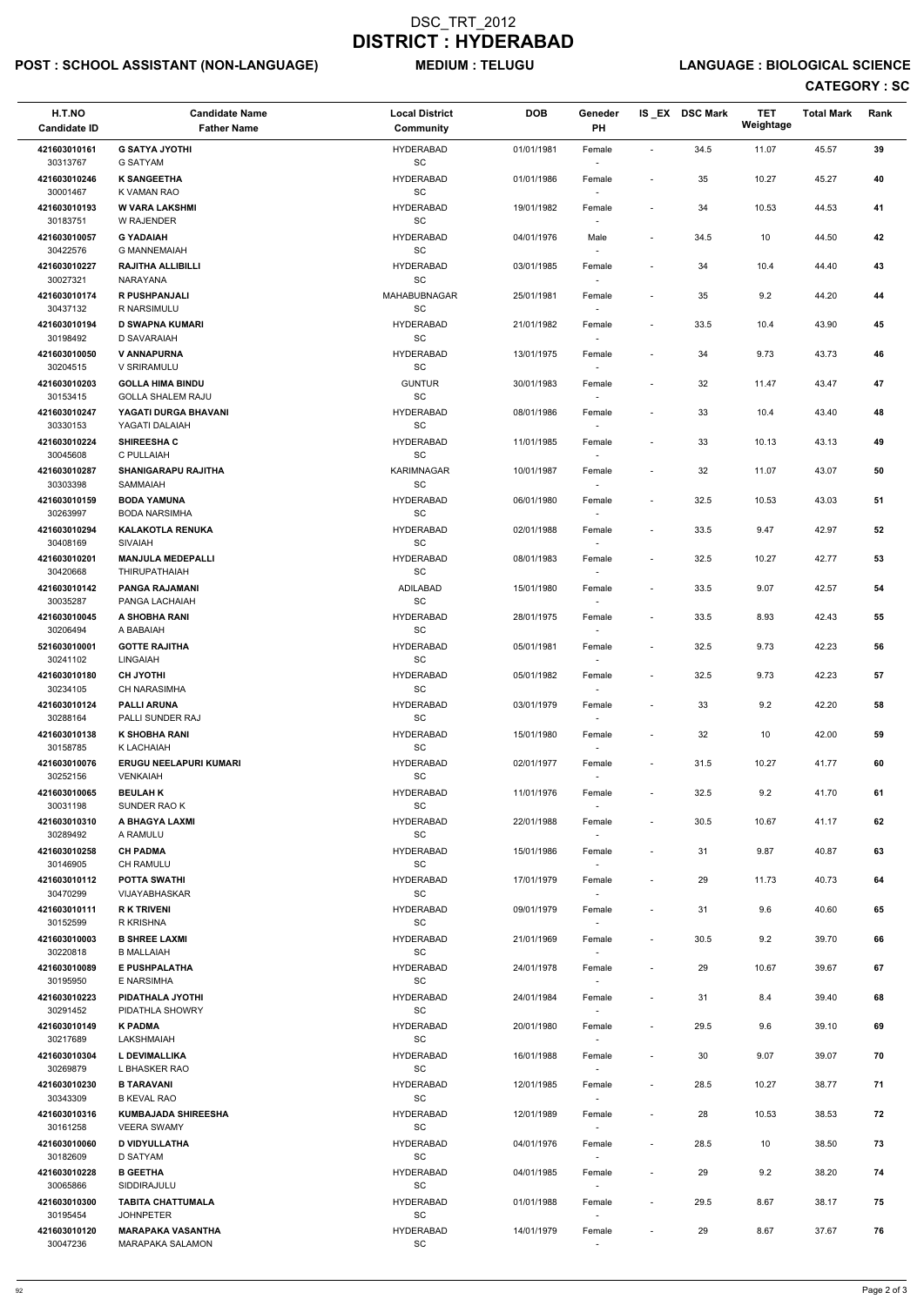# POST : SCHOOL ASSISTANT (NON-LANGUAGE) MEDIUM : TELUGU LANGUAGE : BIOLOGICAL SCIENCE

| H.T.NO<br><b>Candidate ID</b> | <b>Candidate Name</b><br><b>Father Name</b>      | <b>Local District</b><br><b>Community</b>         | <b>DOB</b> | Geneder<br>PH                      |                          | IS_EX DSC Mark | <b>TET</b><br>Weightage | <b>Total Mark</b> | Rank |
|-------------------------------|--------------------------------------------------|---------------------------------------------------|------------|------------------------------------|--------------------------|----------------|-------------------------|-------------------|------|
| 421603010161<br>30313767      | <b>G SATYA JYOTHI</b><br><b>G SATYAM</b>         | <b>HYDERABAD</b><br>SC                            | 01/01/1981 | Female                             | $\sim$                   | 34.5           | 11.07                   | 45.57             | 39   |
| 421603010246                  | <b>K SANGEETHA</b>                               | <b>HYDERABAD</b><br>SC                            | 01/01/1986 | Female                             | $\overline{\phantom{a}}$ | 35             | 10.27                   | 45.27             | 40   |
| 30001467<br>421603010193      | K VAMAN RAO<br><b>W VARA LAKSHMI</b>             | <b>HYDERABAD</b>                                  | 19/01/1982 | Female                             | $\overline{\phantom{a}}$ | 34             | 10.53                   | 44.53             | 41   |
| 30183751<br>421603010057      | W RAJENDER<br><b>G YADAIAH</b>                   | $\operatorname{\textsf{SC}}$<br><b>HYDERABAD</b>  | 04/01/1976 | Male                               | $\overline{\phantom{a}}$ | 34.5           | 10                      | 44.50             | 42   |
| 30422576<br>421603010227      | <b>G MANNEMAIAH</b><br><b>RAJITHA ALLIBILLI</b>  | SC<br><b>HYDERABAD</b>                            | 03/01/1985 | $\overline{\phantom{a}}$<br>Female | $\overline{\phantom{a}}$ | 34             | 10.4                    | 44.40             | 43   |
| 30027321<br>421603010174      | NARAYANA<br><b>R PUSHPANJALI</b>                 | SC<br>MAHABUBNAGAR                                | 25/01/1981 | $\overline{\phantom{a}}$<br>Female | $\overline{\phantom{a}}$ | 35             | 9.2                     | 44.20             | 44   |
| 30437132<br>421603010194      | R NARSIMULU<br><b>D SWAPNA KUMARI</b>            | SC<br><b>HYDERABAD</b>                            | 21/01/1982 | Female                             | $\overline{\phantom{a}}$ | 33.5           | 10.4                    | 43.90             | 45   |
| 30198492<br>421603010050      | D SAVARAIAH<br><b>V ANNAPURNA</b>                | SC<br><b>HYDERABAD</b>                            | 13/01/1975 | Female                             | $\blacksquare$           | 34             | 9.73                    | 43.73             | 46   |
| 30204515<br>421603010203      | V SRIRAMULU<br><b>GOLLA HIMA BINDU</b>           | $\operatorname{\textsf{SC}}$<br><b>GUNTUR</b>     | 30/01/1983 | Female                             | $\overline{\phantom{a}}$ | 32             | 11.47                   | 43.47             | 47   |
| 30153415                      | <b>GOLLA SHALEM RAJU</b>                         | SC                                                |            |                                    |                          |                |                         |                   |      |
| 421603010247<br>30330153      | YAGATI DURGA BHAVANI<br>YAGATI DALAIAH           | <b>HYDERABAD</b><br><b>SC</b>                     | 08/01/1986 | Female                             | $\overline{\phantom{a}}$ | 33             | 10.4                    | 43.40             | 48   |
| 421603010224<br>30045608      | <b>SHIREESHA C</b><br>C PULLAIAH                 | <b>HYDERABAD</b><br>$\operatorname{\textsf{SC}}$  | 11/01/1985 | Female                             | $\overline{a}$           | 33             | 10.13                   | 43.13             | 49   |
| 421603010287                  | <b>SHANIGARAPU RAJITHA</b>                       | <b>KARIMNAGAR</b><br>$\operatorname{\textsf{SC}}$ | 10/01/1987 | Female                             | $\overline{\phantom{a}}$ | 32             | 11.07                   | 43.07             | 50   |
| 30303398<br>421603010159      | SAMMAIAH<br><b>BODA YAMUNA</b>                   | <b>HYDERABAD</b>                                  | 06/01/1980 | Female                             | $\overline{\phantom{a}}$ | 32.5           | 10.53                   | 43.03             | 51   |
| 30263997<br>421603010294      | <b>BODA NARSIMHA</b><br><b>KALAKOTLA RENUKA</b>  | SC<br><b>HYDERABAD</b>                            | 02/01/1988 | $\sim$<br>Female                   | $\overline{\phantom{a}}$ | 33.5           | 9.47                    | 42.97             | 52   |
| 30408169<br>421603010201      | <b>SIVAIAH</b><br><b>MANJULA MEDEPALLI</b>       | SC<br><b>HYDERABAD</b>                            | 08/01/1983 | $\sim$<br>Female                   | $\overline{\phantom{a}}$ | 32.5           | 10.27                   | 42.77             | 53   |
| 30420668<br>421603010142      | <b>THIRUPATHAIAH</b><br>PANGA RAJAMANI           | $\operatorname{\textsf{SC}}$<br>ADILABAD          | 15/01/1980 | Female                             | $\overline{\phantom{a}}$ | 33.5           | 9.07                    | 42.57             | 54   |
| 30035287<br>421603010045      | PANGA LACHAIAH<br>A SHOBHA RANI                  | SC<br><b>HYDERABAD</b>                            | 28/01/1975 | $\overline{\phantom{a}}$<br>Female | $\overline{\phantom{a}}$ | 33.5           | 8.93                    | 42.43             | 55   |
| 30206494<br>521603010001      | A BABAIAH<br><b>GOTTE RAJITHA</b>                | SC<br><b>HYDERABAD</b>                            | 05/01/1981 | $\sim$<br>Female                   | $\overline{\phantom{a}}$ | 32.5           | 9.73                    | 42.23             | 56   |
| 30241102<br>421603010180      | <b>LINGAIAH</b><br><b>CH JYOTHI</b>              | SC<br><b>HYDERABAD</b>                            | 05/01/1982 | Female                             | $\overline{\phantom{a}}$ | 32.5           | 9.73                    | 42.23             | 57   |
| 30234105                      | <b>CH NARASIMHA</b>                              | <b>SC</b>                                         |            |                                    |                          |                |                         |                   |      |
| 421603010124<br>30288164      | <b>PALLI ARUNA</b><br>PALLI SUNDER RAJ           | <b>HYDERABAD</b><br><b>SC</b>                     | 03/01/1979 | Female                             | $\overline{\phantom{a}}$ | 33             | 9.2                     | 42.20             | 58   |
| 421603010138<br>30158785      | <b>K SHOBHA RANI</b><br>K LACHAIAH               | <b>HYDERABAD</b><br>SC                            | 15/01/1980 | Female<br>$\sim$                   | $\overline{\phantom{a}}$ | 32             | 10                      | 42.00             | 59   |
| 421603010076<br>30252156      | <b>ERUGU NEELAPURI KUMARI</b><br><b>VENKAIAH</b> | <b>HYDERABAD</b><br>SC                            | 02/01/1977 | Female                             | $\overline{\phantom{a}}$ | 31.5           | 10.27                   | 41.77             | 60   |
| 421603010065<br>30031198      | <b>BEULAH K</b><br>SUNDER RAO K                  | <b>HYDERABAD</b><br>SC                            | 11/01/1976 | Female                             | $\overline{\phantom{a}}$ | 32.5           | 9.2                     | 41.70             | 61   |
| 421603010310<br>30289492      | A BHAGYA LAXMI<br>A RAMULU                       | <b>HYDERABAD</b><br>SC                            | 22/01/1988 | Female<br>$\sim$                   | $\overline{\phantom{a}}$ | 30.5           | 10.67                   | 41.17             | 62   |
| 421603010258                  | <b>CH PADMA</b>                                  | <b>HYDERABAD</b>                                  | 15/01/1986 | Female                             | $\overline{\phantom{a}}$ | 31             | 9.87                    | 40.87             | 63   |
| 30146905<br>421603010112      | CH RAMULU<br><b>POTTA SWATHI</b>                 | SC<br><b>HYDERABAD</b>                            | 17/01/1979 | Female                             | $\overline{\phantom{a}}$ | 29             | 11.73                   | 40.73             | 64   |
| 30470299<br>421603010111      | VIJAYABHASKAR<br><b>RK TRIVENI</b>               | SC<br><b>HYDERABAD</b>                            | 09/01/1979 | $\sim$<br>Female                   | $\overline{\phantom{a}}$ | 31             | 9.6                     | 40.60             | 65   |
| 30152599<br>421603010003      | R KRISHNA<br><b>B SHREE LAXMI</b>                | SC<br><b>HYDERABAD</b>                            | 21/01/1969 | Female                             | $\overline{\phantom{a}}$ | 30.5           | 9.2                     | 39.70             | 66   |
| 30220818<br>421603010089      | <b>B MALLAIAH</b><br>E PUSHPALATHA               | <b>SC</b><br><b>HYDERABAD</b>                     | 24/01/1978 | Female                             | $\overline{a}$           | 29             | 10.67                   | 39.67             | 67   |
| 30195950                      | E NARSIMHA                                       | SC                                                |            | $\overline{\phantom{a}}$           |                          |                |                         |                   |      |
| 421603010223<br>30291452      | PIDATHALA JYOTHI<br>PIDATHLA SHOWRY              | <b>HYDERABAD</b><br>SC                            | 24/01/1984 | Female<br>$\sim$                   | $\overline{\phantom{a}}$ | 31             | 8.4                     | 39.40             | 68   |
| 421603010149<br>30217689      | <b>K PADMA</b><br>LAKSHMAIAH                     | <b>HYDERABAD</b><br>SC                            | 20/01/1980 | Female                             | $\overline{\phantom{a}}$ | 29.5           | 9.6                     | 39.10             | 69   |
| 421603010304                  | L DEVIMALLIKA                                    | <b>HYDERABAD</b>                                  | 16/01/1988 | Female                             | $\overline{\phantom{a}}$ | 30             | 9.07                    | 39.07             | 70   |
| 30269879<br>421603010230      | L BHASKER RAO<br><b>B TARAVANI</b>               | SC<br><b>HYDERABAD</b>                            | 12/01/1985 | Female                             | $\overline{\phantom{a}}$ | 28.5           | 10.27                   | 38.77             | 71   |
| 30343309                      | <b>B KEVAL RAO</b>                               | SC                                                |            | $\sim$                             |                          |                |                         |                   |      |
| 421603010316<br>30161258      | <b>KUMBAJADA SHIREESHA</b><br><b>VEERA SWAMY</b> | <b>HYDERABAD</b><br>SC                            | 12/01/1989 | Female                             | $\overline{\phantom{a}}$ | 28             | 10.53                   | 38.53             | 72   |
| 421603010060<br>30182609      | <b>D VIDYULLATHA</b><br><b>D SATYAM</b>          | <b>HYDERABAD</b><br>SC                            | 04/01/1976 | Female<br>$\sim$                   | $\overline{\phantom{a}}$ | 28.5           | 10                      | 38.50             | 73   |
| 421603010228<br>30065866      | <b>B GEETHA</b><br>SIDDIRAJULU                   | <b>HYDERABAD</b><br>SC                            | 04/01/1985 | Female<br>$\sim$                   | $\overline{\phantom{a}}$ | 29             | 9.2                     | 38.20             | 74   |
| 421603010300<br>30195454      | <b>TABITA CHATTUMALA</b><br><b>JOHNPETER</b>     | <b>HYDERABAD</b><br>SC                            | 01/01/1988 | Female<br>$\overline{\phantom{a}}$ | $\overline{\phantom{a}}$ | 29.5           | 8.67                    | 38.17             | 75   |
| 421603010120<br>30047236      | <b>MARAPAKA VASANTHA</b><br>MARAPAKA SALAMON     | <b>HYDERABAD</b><br>SC                            | 14/01/1979 | Female                             | $\overline{\phantom{a}}$ | 29             | 8.67                    | 37.67             | 76   |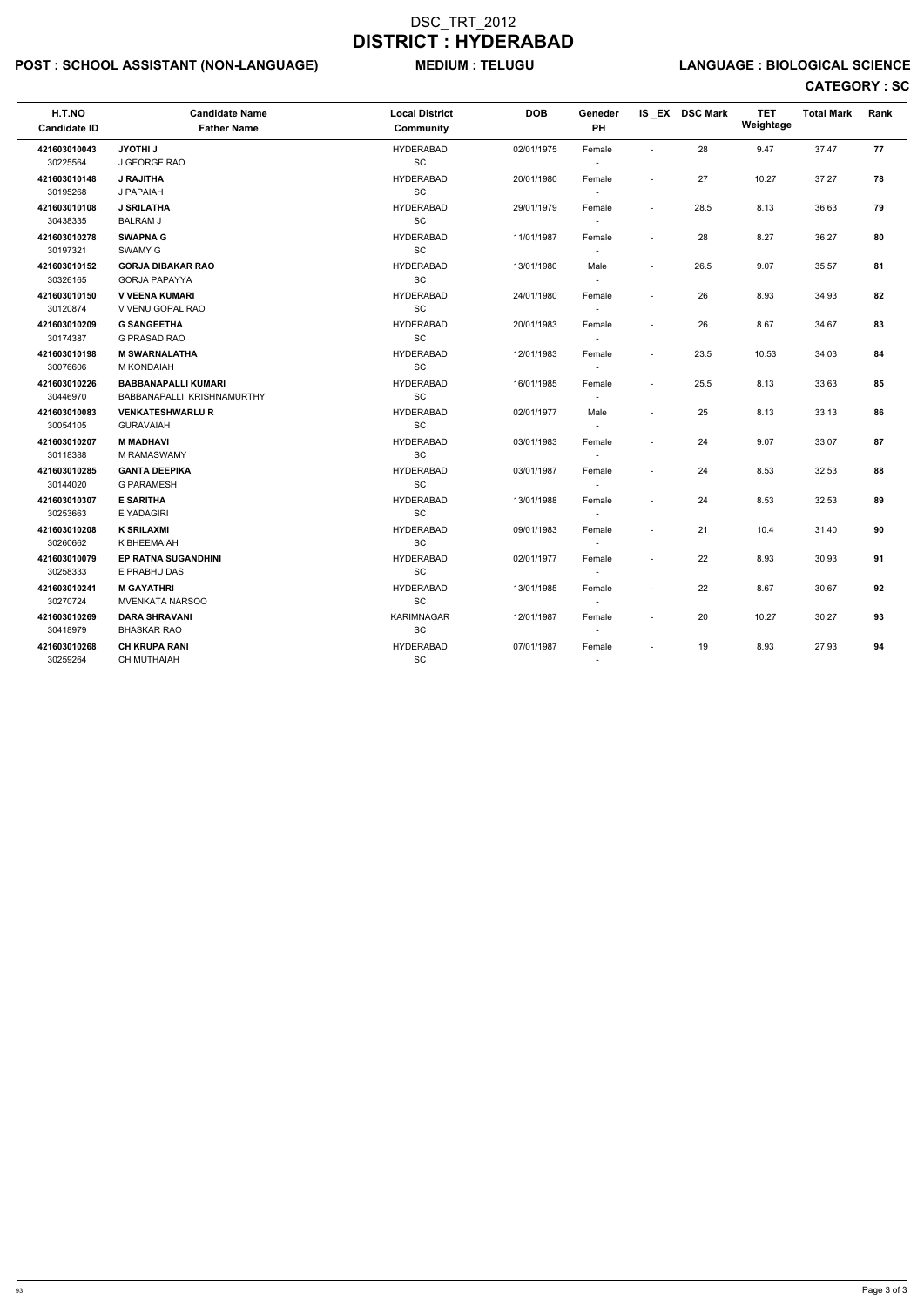# POST : SCHOOL ASSISTANT (NON-LANGUAGE) MEDIUM : TELUGU LANGUAGE : BIOLOGICAL SCIENCE

| H.T.NO<br><b>Candidate ID</b> | <b>Candidate Name</b><br><b>Father Name</b>              | <b>Local District</b><br><b>Community</b> | <b>DOB</b> | Geneder<br>PH                      |                          | IS EX DSC Mark | <b>TET</b><br>Weightage | <b>Total Mark</b> | Rank |
|-------------------------------|----------------------------------------------------------|-------------------------------------------|------------|------------------------------------|--------------------------|----------------|-------------------------|-------------------|------|
| 421603010043<br>30225564      | <b>JYOTHI J</b><br>J GEORGE RAO                          | <b>HYDERABAD</b><br>SC                    | 02/01/1975 | Female<br>$\sim$                   |                          | 28             | 9.47                    | 37.47             | 77   |
| 421603010148<br>30195268      | <b>J RAJITHA</b><br>J PAPAIAH                            | <b>HYDERABAD</b><br>SC                    | 20/01/1980 | Female<br>$\sim$                   | $\overline{\phantom{a}}$ | 27             | 10.27                   | 37.27             | 78   |
| 421603010108<br>30438335      | <b>J SRILATHA</b><br><b>BALRAM J</b>                     | <b>HYDERABAD</b><br>SC                    | 29/01/1979 | Female<br>$\sim$                   | $\sim$                   | 28.5           | 8.13                    | 36.63             | 79   |
| 421603010278<br>30197321      | <b>SWAPNA G</b><br>SWAMY G                               | <b>HYDERABAD</b><br><b>SC</b>             | 11/01/1987 | Female<br>$\sim$                   | $\overline{a}$           | 28             | 8.27                    | 36.27             | 80   |
| 421603010152<br>30326165      | <b>GORJA DIBAKAR RAO</b><br><b>GORJA PAPAYYA</b>         | <b>HYDERABAD</b><br>SC                    | 13/01/1980 | Male<br>$\sim$                     | $\overline{\phantom{a}}$ | 26.5           | 9.07                    | 35.57             | 81   |
| 421603010150<br>30120874      | <b>V VEENA KUMARI</b><br>V VENU GOPAL RAO                | <b>HYDERABAD</b><br><b>SC</b>             | 24/01/1980 | Female<br>$\overline{\phantom{a}}$ | $\overline{\phantom{a}}$ | 26             | 8.93                    | 34.93             | 82   |
| 421603010209<br>30174387      | <b>G SANGEETHA</b><br><b>G PRASAD RAO</b>                | <b>HYDERABAD</b><br>SC                    | 20/01/1983 | Female<br>$\sim$                   |                          | 26             | 8.67                    | 34.67             | 83   |
| 421603010198<br>30076606      | <b>M SWARNALATHA</b><br>M KONDAIAH                       | <b>HYDERABAD</b><br>SC                    | 12/01/1983 | Female<br>$\sim$                   | $\overline{\phantom{a}}$ | 23.5           | 10.53                   | 34.03             | 84   |
| 421603010226<br>30446970      | <b>BABBANAPALLI KUMARI</b><br>BABBANAPALLI KRISHNAMURTHY | <b>HYDERABAD</b><br>SC                    | 16/01/1985 | Female<br>$\overline{\phantom{a}}$ | $\overline{\phantom{a}}$ | 25.5           | 8.13                    | 33.63             | 85   |
| 421603010083<br>30054105      | <b>VENKATESHWARLU R</b><br><b>GURAVAIAH</b>              | <b>HYDERABAD</b><br>SC                    | 02/01/1977 | Male<br>$\mathbf{r}$               | $\overline{a}$           | 25             | 8.13                    | 33.13             | 86   |
| 421603010207<br>30118388      | <b>M MADHAVI</b><br>M RAMASWAMY                          | <b>HYDERABAD</b><br>SC                    | 03/01/1983 | Female                             | $\blacksquare$           | 24             | 9.07                    | 33.07             | 87   |
| 421603010285<br>30144020      | <b>GANTA DEEPIKA</b><br><b>G PARAMESH</b>                | <b>HYDERABAD</b><br>SC                    | 03/01/1987 | Female<br>$\sim$                   | $\overline{\phantom{a}}$ | 24             | 8.53                    | 32.53             | 88   |
| 421603010307<br>30253663      | <b>E SARITHA</b><br>E YADAGIRI                           | <b>HYDERABAD</b><br>SC                    | 13/01/1988 | Female<br>$\mathbf{r}$             |                          | 24             | 8.53                    | 32.53             | 89   |
| 421603010208<br>30260662      | <b>K SRILAXMI</b><br>K BHEEMAIAH                         | <b>HYDERABAD</b><br>SC                    | 09/01/1983 | Female<br>$\sim$                   | $\overline{\phantom{a}}$ | 21             | 10.4                    | 31.40             | 90   |
| 421603010079<br>30258333      | <b>EP RATNA SUGANDHINI</b><br>E PRABHU DAS               | <b>HYDERABAD</b><br>SC                    | 02/01/1977 | Female<br>$\sim$                   | $\blacksquare$           | 22             | 8.93                    | 30.93             | 91   |
| 421603010241<br>30270724      | <b>M GAYATHRI</b><br><b>MVENKATA NARSOO</b>              | <b>HYDERABAD</b><br>SC                    | 13/01/1985 | Female<br>$\sim$                   |                          | 22             | 8.67                    | 30.67             | 92   |
| 421603010269<br>30418979      | <b>DARA SHRAVANI</b><br><b>BHASKAR RAO</b>               | <b>KARIMNAGAR</b><br>SC                   | 12/01/1987 | Female<br>$\sim$                   | $\blacksquare$           | 20             | 10.27                   | 30.27             | 93   |
| 421603010268<br>30259264      | <b>CH KRUPA RANI</b><br><b>CH MUTHAIAH</b>               | <b>HYDERABAD</b><br>SC                    | 07/01/1987 | Female                             | $\overline{\phantom{a}}$ | 19             | 8.93                    | 27.93             | 94   |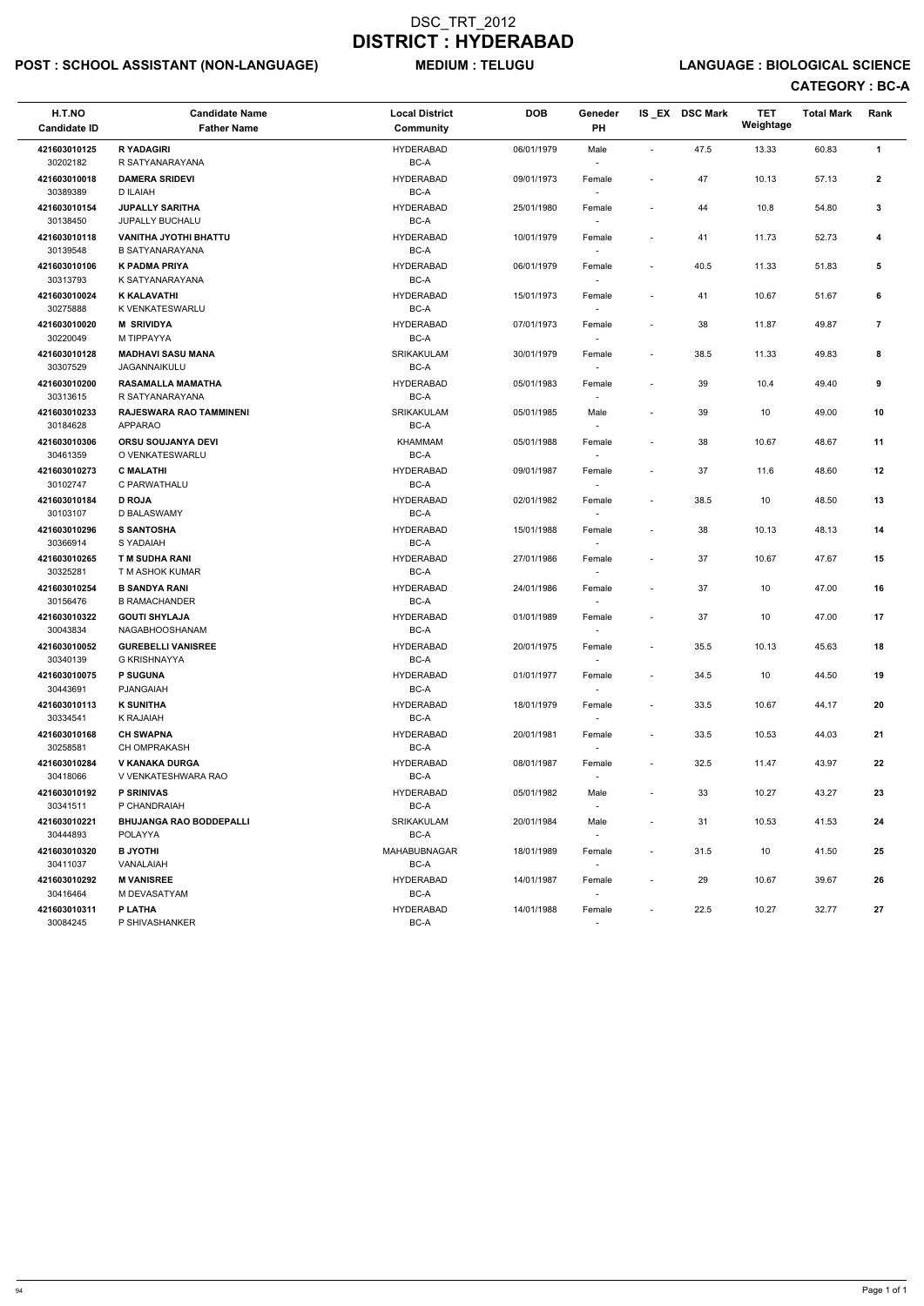# POST : SCHOOL ASSISTANT (NON-LANGUAGE) MEDIUM : TELUGU LANGUAGE : BIOLOGICAL SCIENCE

| H.T.NO<br><b>Candidate ID</b>            | <b>Candidate Name</b><br><b>Father Name</b>            | <b>Local District</b><br>Community           | <b>DOB</b>               | Geneder<br>PH                                |                                                      | IS_EX DSC Mark | <b>TET</b><br>Weightage | <b>Total Mark</b> | Rank           |
|------------------------------------------|--------------------------------------------------------|----------------------------------------------|--------------------------|----------------------------------------------|------------------------------------------------------|----------------|-------------------------|-------------------|----------------|
| 421603010125<br>30202182                 | <b>R YADAGIRI</b><br>R SATYANARAYANA                   | <b>HYDERABAD</b><br>BC-A                     | 06/01/1979               | Male                                         | $\overline{\phantom{a}}$                             | 47.5           | 13.33                   | 60.83             | $\mathbf{1}$   |
| 421603010018<br>30389389                 | <b>DAMERA SRIDEVI</b><br>D ILAIAH                      | <b>HYDERABAD</b><br>BC-A                     | 09/01/1973               | Female                                       |                                                      | 47             | 10.13                   | 57.13             | $\mathbf{2}$   |
| 421603010154<br>30138450                 | <b>JUPALLY SARITHA</b><br><b>JUPALLY BUCHALU</b>       | <b>HYDERABAD</b><br>BC-A                     | 25/01/1980               | Female                                       | $\overline{\phantom{a}}$                             | 44             | 10.8                    | 54.80             | 3              |
| 421603010118<br>30139548                 | <b>VANITHA JYOTHI BHATTU</b><br><b>B SATYANARAYANA</b> | <b>HYDERABAD</b><br>BC-A                     | 10/01/1979               | Female                                       | $\overline{\phantom{a}}$                             | 41             | 11.73                   | 52.73             | 4              |
| 421603010106<br>30313793                 | K PADMA PRIYA<br>K SATYANARAYANA                       | <b>HYDERABAD</b><br>BC-A                     | 06/01/1979               | Female<br>$\overline{\phantom{a}}$           | $\overline{\phantom{a}}$                             | 40.5           | 11.33                   | 51.83             | 5              |
| 421603010024<br>30275888                 | <b>K KALAVATHI</b><br>K VENKATESWARLU                  | <b>HYDERABAD</b><br>BC-A                     | 15/01/1973               | Female                                       | $\qquad \qquad \blacksquare$                         | 41             | 10.67                   | 51.67             | 6              |
| 421603010020<br>30220049                 | <b>M SRIVIDYA</b><br>M TIPPAYYA                        | <b>HYDERABAD</b><br>BC-A                     | 07/01/1973               | Female                                       | $\overline{\phantom{a}}$                             | 38             | 11.87                   | 49.87             | $\overline{7}$ |
| 421603010128<br>30307529                 | <b>MADHAVI SASU MANA</b><br>JAGANNAIKULU               | SRIKAKULAM<br>BC-A                           | 30/01/1979               | Female<br>$\overline{\phantom{a}}$           | $\overline{\phantom{a}}$                             | 38.5           | 11.33                   | 49.83             | 8              |
| 421603010200<br>30313615                 | RASAMALLA MAMATHA<br>R SATYANARAYANA                   | <b>HYDERABAD</b><br>BC-A                     | 05/01/1983               | Female<br>$\overline{\phantom{a}}$           | $\overline{\phantom{a}}$                             | 39             | 10.4                    | 49.40             | 9              |
| 421603010233<br>30184628                 | RAJESWARA RAO TAMMINENI<br><b>APPARAO</b>              | <b>SRIKAKULAM</b><br>BC-A                    | 05/01/1985               | Male                                         | $\qquad \qquad \blacksquare$                         | 39             | 10                      | 49.00             | 10             |
| 421603010306<br>30461359                 | <b>ORSU SOUJANYA DEVI</b><br>O VENKATESWARLU           | KHAMMAM<br>BC-A                              | 05/01/1988               | Female                                       | $\overline{\phantom{a}}$                             | 38             | 10.67                   | 48.67             | 11             |
| 421603010273<br>30102747                 | <b>C MALATHI</b><br>C PARWATHALU                       | <b>HYDERABAD</b><br>BC-A<br><b>HYDERABAD</b> | 09/01/1987               | Female                                       | $\overline{\phantom{a}}$                             | 37             | 11.6                    | 48.60             | 12             |
| 421603010184<br>30103107<br>421603010296 | <b>D ROJA</b><br>D BALASWAMY<br><b>S SANTOSHA</b>      | BC-A<br><b>HYDERABAD</b>                     | 02/01/1982<br>15/01/1988 | Female<br>$\overline{\phantom{a}}$<br>Female | $\overline{\phantom{a}}$<br>$\overline{\phantom{a}}$ | 38.5<br>38     | 10<br>10.13             | 48.50<br>48.13    | 13<br>14       |
| 30366914                                 | S YADAIAH                                              | BC-A                                         |                          |                                              |                                                      |                |                         |                   |                |
| 421603010265<br>30325281                 | <b>TM SUDHA RANI</b><br>T M ASHOK KUMAR                | <b>HYDERABAD</b><br>BC-A                     | 27/01/1986               | Female                                       | $\overline{\phantom{a}}$                             | 37             | 10.67                   | 47.67             | 15             |
| 421603010254<br>30156476                 | <b>B SANDYA RANI</b><br><b>B RAMACHANDER</b>           | <b>HYDERABAD</b><br>BC-A                     | 24/01/1986               | Female<br>$\sim$                             | $\overline{\phantom{a}}$                             | 37             | 10                      | 47.00             | 16             |
| 421603010322<br>30043834                 | <b>GOUTI SHYLAJA</b><br><b>NAGABHOOSHANAM</b>          | <b>HYDERABAD</b><br>BC-A                     | 01/01/1989               | Female<br>$\sim$                             | $\overline{\phantom{a}}$                             | 37             | 10                      | 47.00             | 17             |
| 421603010052<br>30340139                 | <b>GUREBELLI VANISREE</b><br>G KRISHNAYYA              | <b>HYDERABAD</b><br>BC-A                     | 20/01/1975               | Female                                       | $\overline{\phantom{a}}$                             | 35.5           | 10.13                   | 45.63             | 18             |
| 421603010075<br>30443691                 | <b>P SUGUNA</b><br>PJANGAIAH                           | <b>HYDERABAD</b><br>BC-A                     | 01/01/1977               | Female                                       | $\overline{\phantom{a}}$                             | 34.5           | 10                      | 44.50             | 19             |
| 421603010113<br>30334541                 | <b>K SUNITHA</b><br><b>K RAJAIAH</b>                   | <b>HYDERABAD</b><br>BC-A                     | 18/01/1979               | Female<br>$\overline{\phantom{a}}$           | $\overline{\phantom{a}}$                             | 33.5           | 10.67                   | 44.17             | 20             |
| 421603010168<br>30258581                 | <b>CH SWAPNA</b><br><b>CH OMPRAKASH</b>                | <b>HYDERABAD</b><br>BC-A                     | 20/01/1981               | Female<br>$\sim$                             | $\overline{\phantom{a}}$                             | 33.5           | 10.53                   | 44.03             | 21             |
| 421603010284<br>30418066                 | V KANAKA DURGA<br>V VENKATESHWARA RAO                  | <b>HYDERABAD</b><br>BC-A                     | 08/01/1987               | Female                                       | $\overline{\phantom{a}}$                             | 32.5           | 11.47                   | 43.97             | 22             |
| 421603010192<br>30341511                 | <b>P SRINIVAS</b><br>P CHANDRAIAH                      | <b>HYDERABAD</b><br>BC-A                     | 05/01/1982               | Male<br>$\overline{\phantom{a}}$             | $\overline{\phantom{a}}$                             | 33             | 10.27                   | 43.27             | 23             |
| 421603010221<br>30444893                 | <b>BHUJANGA RAO BODDEPALLI</b><br><b>POLAYYA</b>       | SRIKAKULAM<br>BC-A                           | 20/01/1984               | Male<br>$\sim$                               | $\overline{\phantom{a}}$                             | 31             | 10.53                   | 41.53             | 24             |
| 421603010320<br>30411037                 | <b>B JYOTHI</b><br>VANALAIAH                           | MAHABUBNAGAR<br>BC-A                         | 18/01/1989               | Female<br>$\sim$                             | $\overline{\phantom{a}}$                             | 31.5           | 10                      | 41.50             | 25             |
| 421603010292<br>30416464                 | <b>M VANISREE</b><br>M DEVASATYAM                      | <b>HYDERABAD</b><br>BC-A                     | 14/01/1987               | Female<br>$\sim$                             | $\overline{\phantom{a}}$                             | 29             | 10.67                   | 39.67             | 26             |
| 421603010311<br>30084245                 | P LATHA<br>P SHIVASHANKER                              | <b>HYDERABAD</b><br>BC-A                     | 14/01/1988               | Female                                       | $\overline{\phantom{a}}$                             | 22.5           | 10.27                   | 32.77             | 27             |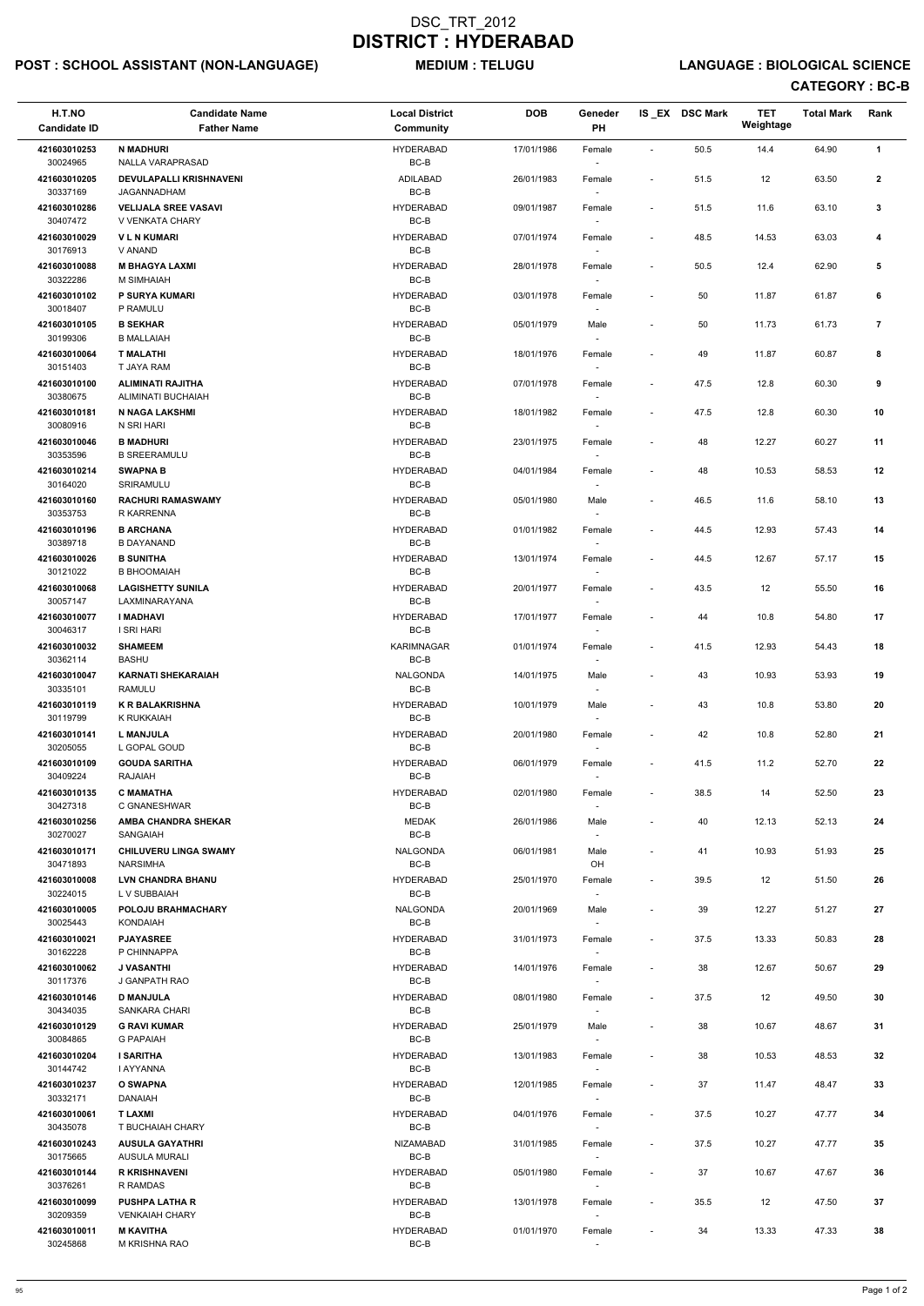# POST : SCHOOL ASSISTANT (NON-LANGUAGE) MEDIUM : TELUGU LANGUAGE : BIOLOGICAL SCIENCE

| H.T.NO<br><b>Candidate ID</b> | <b>Candidate Name</b><br><b>Father Name</b>               | <b>Local District</b><br><b>Community</b> | <b>DOB</b> | Geneder<br>PH                      |                          | IS EX DSC Mark | <b>TET</b><br>Weightage | <b>Total Mark</b> | Rank           |  |
|-------------------------------|-----------------------------------------------------------|-------------------------------------------|------------|------------------------------------|--------------------------|----------------|-------------------------|-------------------|----------------|--|
| 421603010253                  | <b>N MADHURI</b>                                          | <b>HYDERABAD</b>                          | 17/01/1986 | Female                             | $\overline{\phantom{a}}$ | 50.5           | 14.4                    | 64.90             | $\mathbf{1}$   |  |
| 30024965<br>421603010205      | <b>NALLA VARAPRASAD</b><br><b>DEVULAPALLI KRISHNAVENI</b> | BC-B<br>ADILABAD                          | 26/01/1983 | Female                             | $\overline{\phantom{a}}$ | 51.5           | 12                      | 63.50             | $\overline{2}$ |  |
| 30337169                      | JAGANNADHAM                                               | $BC-B$                                    |            |                                    |                          |                |                         |                   |                |  |
| 421603010286<br>30407472      | <b>VELIJALA SREE VASAVI</b><br>V VENKATA CHARY            | <b>HYDERABAD</b><br>BC-B                  | 09/01/1987 | Female                             | $\sim$                   | 51.5           | 11.6                    | 63.10             | $\mathbf{3}$   |  |
| 421603010029                  | <b>VLNKUMARI</b>                                          | <b>HYDERABAD</b>                          | 07/01/1974 | Female                             | $\overline{\phantom{a}}$ | 48.5           | 14.53                   | 63.03             | 4              |  |
| 30176913<br>421603010088      | V ANAND<br><b>M BHAGYA LAXMI</b>                          | BC-B<br><b>HYDERABAD</b>                  | 28/01/1978 | $\sim$<br>Female                   | $\overline{\phantom{a}}$ | 50.5           | 12.4                    | 62.90             | 5              |  |
| 30322286<br>421603010102      | M SIMHAIAH<br>P SURYA KUMARI                              | BC-B<br><b>HYDERABAD</b>                  | 03/01/1978 |                                    |                          | 50             | 11.87                   | 61.87             | 6              |  |
| 30018407                      | P RAMULU                                                  | BC-B                                      |            | Female                             |                          |                |                         |                   |                |  |
| 421603010105<br>30199306      | <b>B SEKHAR</b><br><b>B MALLAIAH</b>                      | <b>HYDERABAD</b><br>BC-B                  | 05/01/1979 | Male                               |                          | 50             | 11.73                   | 61.73             | $\overline{7}$ |  |
| 421603010064<br>30151403      | <b>T MALATHI</b><br>T JAYA RAM                            | <b>HYDERABAD</b><br>BC-B                  | 18/01/1976 | Female                             |                          | 49             | 11.87                   | 60.87             | 8              |  |
| 421603010100                  | <b>ALIMINATI RAJITHA</b>                                  | <b>HYDERABAD</b>                          | 07/01/1978 | Female                             |                          | 47.5           | 12.8                    | 60.30             | 9              |  |
| 30380675<br>421603010181      | ALIMINATI BUCHAIAH<br>N NAGA LAKSHMI                      | BC-B<br><b>HYDERABAD</b>                  | 18/01/1982 | $\sim$<br>Female                   | $\blacksquare$           | 47.5           | 12.8                    | 60.30             | 10             |  |
| 30080916                      | N SRI HARI                                                | BC-B                                      |            | $\sim$                             |                          |                |                         |                   |                |  |
| 421603010046<br>30353596      | <b>B MADHURI</b><br><b>B SREERAMULU</b>                   | <b>HYDERABAD</b><br>BC-B                  | 23/01/1975 | Female                             |                          | 48             | 12.27                   | 60.27             | 11             |  |
| 421603010214<br>30164020      | <b>SWAPNA B</b><br>SRIRAMULU                              | <b>HYDERABAD</b><br>BC-B                  | 04/01/1984 | Female                             | $\overline{\phantom{a}}$ | 48             | 10.53                   | 58.53             | 12             |  |
| 421603010160                  | <b>RACHURI RAMASWAMY</b>                                  | <b>HYDERABAD</b>                          | 05/01/1980 | Male                               |                          | 46.5           | 11.6                    | 58.10             | 13             |  |
| 30353753<br>421603010196      | R KARRENNA<br><b>B ARCHANA</b>                            | BC-B<br><b>HYDERABAD</b>                  | 01/01/1982 | $\sim$<br>Female                   | $\overline{\phantom{a}}$ | 44.5           | 12.93                   | 57.43             | 14             |  |
| 30389718                      | <b>B DAYANAND</b>                                         | BC-B                                      |            |                                    |                          |                |                         |                   |                |  |
| 421603010026<br>30121022      | <b>B SUNITHA</b><br><b>B BHOOMAIAH</b>                    | <b>HYDERABAD</b><br>BC-B                  | 13/01/1974 | Female                             | $\overline{\phantom{a}}$ | 44.5           | 12.67                   | 57.17             | 15             |  |
| 421603010068<br>30057147      | <b>LAGISHETTY SUNILA</b><br>LAXMINARAYANA                 | <b>HYDERABAD</b><br>BC-B                  | 20/01/1977 | Female                             |                          | 43.5           | 12                      | 55.50             | 16             |  |
| 421603010077                  | <b>I MADHAVI</b>                                          | <b>HYDERABAD</b>                          | 17/01/1977 | Female                             |                          | 44             | 10.8                    | 54.80             | 17             |  |
| 30046317<br>421603010032      | I SRI HARI<br><b>SHAMEEM</b>                              | BC-B<br>KARIMNAGAR                        | 01/01/1974 | $\overline{\phantom{a}}$<br>Female | $\overline{\phantom{a}}$ | 41.5           | 12.93                   | 54.43             | 18             |  |
| 30362114                      | <b>BASHU</b>                                              | $BC-B$                                    |            |                                    |                          |                |                         |                   |                |  |
| 421603010047<br>30335101      | <b>KARNATI SHEKARAIAH</b><br><b>RAMULU</b>                | NALGONDA<br>$BC-B$                        | 14/01/1975 | Male                               | $\overline{\phantom{a}}$ | 43             | 10.93                   | 53.93             | 19             |  |
| 421603010119<br>30119799      | <b>K R BALAKRISHNA</b><br>K RUKKAIAH                      | <b>HYDERABAD</b><br>BC-B                  | 10/01/1979 | Male<br>$\sim$                     | $\overline{\phantom{a}}$ | 43             | 10.8                    | 53.80             | 20             |  |
| 421603010141                  | <b>L MANJULA</b>                                          | <b>HYDERABAD</b>                          | 20/01/1980 | Female                             | $\overline{\phantom{a}}$ | 42             | 10.8                    | 52.80             | 21             |  |
| 30205055<br>421603010109      | L GOPAL GOUD<br><b>GOUDA SARITHA</b>                      | BC-B<br><b>HYDERABAD</b>                  | 06/01/1979 | $\sim$<br>Female                   | $\overline{\phantom{a}}$ | 41.5           | 11.2                    | 52.70             | 22             |  |
| 30409224                      | RAJAIAH                                                   | BC-B                                      |            | $\sim$                             |                          |                |                         |                   |                |  |
| 421603010135<br>30427318      | <b>C MAMATHA</b><br>C GNANESHWAR                          | <b>HYDERABAD</b><br>$BC-B$                | 02/01/1980 | Female                             | $\sim$                   | 38.5           | 14                      | 52.50             | 23             |  |
| 421603010256<br>30270027      | <b>AMBA CHANDRA SHEKAR</b><br>SANGAIAH                    | <b>MEDAK</b><br>$BC-B$                    | 26/01/1986 | Male                               |                          | 40             | 12.13                   | 52.13             | 24             |  |
| 421603010171                  | <b>CHILUVERU LINGA SWAMY</b>                              | NALGONDA                                  | 06/01/1981 | Male                               |                          | 41             | 10.93                   | 51.93             | 25             |  |
| 30471893<br>421603010008      | <b>NARSIMHA</b><br><b>LVN CHANDRA BHANU</b>               | BC-B<br><b>HYDERABAD</b>                  | 25/01/1970 | OH<br>Female                       | $\overline{\phantom{a}}$ | 39.5           | 12                      | 51.50             | 26             |  |
| 30224015<br>421603010005      | L V SUBBAIAH<br>POLOJU BRAHMACHARY                        | BC-B<br>NALGONDA                          | 20/01/1969 | $\sim$<br>Male                     |                          | 39             | 12.27                   | 51.27             | 27             |  |
| 30025443                      | <b>KONDAIAH</b>                                           | BC-B                                      |            |                                    |                          |                |                         |                   |                |  |
| 421603010021<br>30162228      | <b>PJAYASREE</b><br>P CHINNAPPA                           | <b>HYDERABAD</b><br>BC-B                  | 31/01/1973 | Female                             | $\sim$                   | 37.5           | 13.33                   | 50.83             | 28             |  |
| 421603010062<br>30117376      | <b>J VASANTHI</b><br>J GANPATH RAO                        | <b>HYDERABAD</b><br>BC-B                  | 14/01/1976 | Female                             |                          | 38             | 12.67                   | 50.67             | 29             |  |
| 421603010146                  | <b>D MANJULA</b>                                          | <b>HYDERABAD</b>                          | 08/01/1980 | $\sim$<br>Female                   | $\sim$                   | 37.5           | 12                      | 49.50             | 30             |  |
| 30434035<br>421603010129      | <b>SANKARA CHARI</b><br><b>G RAVI KUMAR</b>               | BC-B<br><b>HYDERABAD</b>                  | 25/01/1979 | $\sim$<br>Male                     | $\overline{\phantom{a}}$ | 38             | 10.67                   | 48.67             | 31             |  |
| 30084865                      | <b>G PAPAIAH</b>                                          | BC-B                                      |            |                                    |                          |                |                         |                   |                |  |
| 421603010204<br>30144742      | <b>I SARITHA</b><br><b>I AYYANNA</b>                      | <b>HYDERABAD</b><br>BC-B                  | 13/01/1983 | Female                             |                          | 38             | 10.53                   | 48.53             | 32             |  |
| 421603010237<br>30332171      | <b>O SWAPNA</b><br><b>DANAIAH</b>                         | <b>HYDERABAD</b><br>BC-B                  | 12/01/1985 | Female<br>$\sim$                   | $\overline{\phantom{a}}$ | 37             | 11.47                   | 48.47             | 33             |  |
| 421603010061                  | <b>T LAXMI</b>                                            | <b>HYDERABAD</b>                          | 04/01/1976 | Female                             |                          | 37.5           | 10.27                   | 47.77             | 34             |  |
| 30435078<br>421603010243      | T BUCHAIAH CHARY<br><b>AUSULA GAYATHRI</b>                | BC-B<br><b>NIZAMABAD</b>                  | 31/01/1985 | $\overline{\phantom{a}}$<br>Female | $\overline{\phantom{a}}$ | 37.5           | 10.27                   | 47.77             | 35             |  |
| 30175665                      | AUSULA MURALI                                             | BC-B                                      |            |                                    |                          |                |                         |                   |                |  |
| 421603010144<br>30376261      | <b>R KRISHNAVENI</b><br>R RAMDAS                          | <b>HYDERABAD</b><br>BC-B                  | 05/01/1980 | Female<br>$\sim$                   | $\overline{\phantom{a}}$ | 37             | 10.67                   | 47.67             | 36             |  |
| 421603010099<br>30209359      | <b>PUSHPA LATHA R</b><br><b>VENKAIAH CHARY</b>            | <b>HYDERABAD</b><br>BC-B                  | 13/01/1978 | Female<br>$\sim$                   | $\sim$                   | 35.5           | 12                      | 47.50             | 37             |  |
| 421603010011<br>30245868      | <b>M KAVITHA</b><br>M KRISHNA RAO                         | <b>HYDERABAD</b><br>BC-B                  | 01/01/1970 | Female                             |                          | 34             | 13.33                   | 47.33             | 38             |  |
|                               |                                                           |                                           |            | $\sim$                             |                          |                |                         |                   |                |  |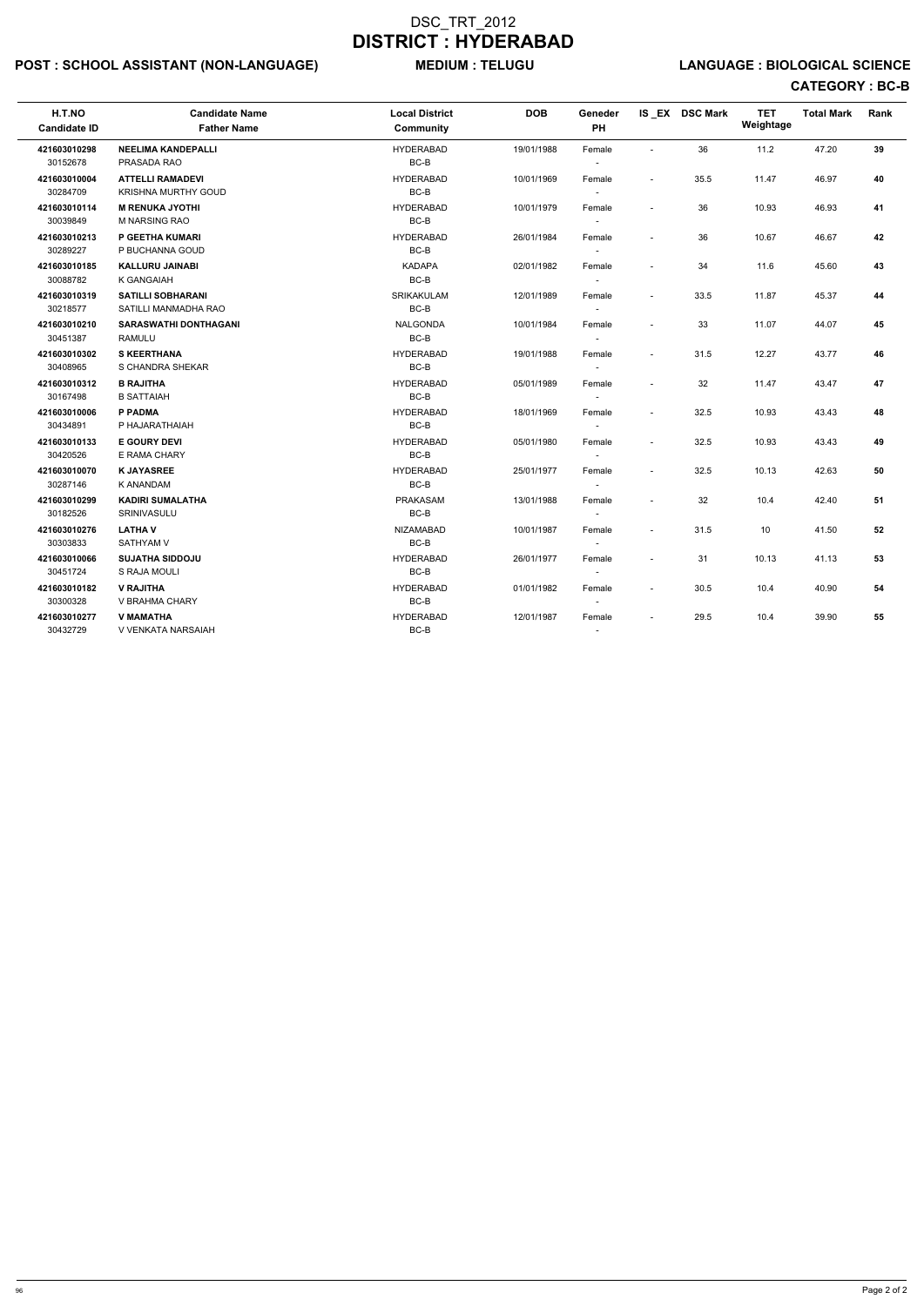# POST : SCHOOL ASSISTANT (NON-LANGUAGE) MEDIUM : TELUGU LANGUAGE : BIOLOGICAL SCIENCE

| H.T.NO<br><b>Candidate ID</b> | <b>Candidate Name</b><br><b>Father Name</b>           | <b>Local District</b><br><b>Community</b> | <b>DOB</b> | Geneder<br>PH                      |                          | IS EX DSC Mark | <b>TET</b><br>Weightage | <b>Total Mark</b> | Rank |
|-------------------------------|-------------------------------------------------------|-------------------------------------------|------------|------------------------------------|--------------------------|----------------|-------------------------|-------------------|------|
| 421603010298<br>30152678      | <b>NEELIMA KANDEPALLI</b><br>PRASADA RAO              | <b>HYDERABAD</b><br>BC-B                  | 19/01/1988 | Female                             | $\sim$                   | 36             | 11.2                    | 47.20             | 39   |
| 421603010004<br>30284709      | <b>ATTELLI RAMADEVI</b><br><b>KRISHNA MURTHY GOUD</b> | <b>HYDERABAD</b><br>BC-B                  | 10/01/1969 | Female                             | $\sim$                   | 35.5           | 11.47                   | 46.97             | 40   |
| 421603010114<br>30039849      | <b>M RENUKA JYOTHI</b><br><b>M NARSING RAO</b>        | <b>HYDERABAD</b><br>$BC-B$                | 10/01/1979 | Female                             | $\blacksquare$           | 36             | 10.93                   | 46.93             | 41   |
| 421603010213<br>30289227      | P GEETHA KUMARI<br>P BUCHANNA GOUD                    | <b>HYDERABAD</b><br>BC-B                  | 26/01/1984 | Female                             | $\overline{a}$           | 36             | 10.67                   | 46.67             | 42   |
| 421603010185<br>30088782      | <b>KALLURU JAINABI</b><br>K GANGAIAH                  | <b>KADAPA</b><br>BC-B                     | 02/01/1982 | Female<br>$\overline{\phantom{a}}$ | $\overline{a}$           | 34             | 11.6                    | 45.60             | 43   |
| 421603010319<br>30218577      | <b>SATILLI SOBHARANI</b><br>SATILLI MANMADHA RAO      | SRIKAKULAM<br>BC-B                        | 12/01/1989 | Female<br>$\sim$                   | $\overline{\phantom{a}}$ | 33.5           | 11.87                   | 45.37             | 44   |
| 421603010210<br>30451387      | <b>SARASWATHI DONTHAGANI</b><br><b>RAMULU</b>         | <b>NALGONDA</b><br>BC-B                   | 10/01/1984 | Female                             | $\overline{\phantom{a}}$ | 33             | 11.07                   | 44.07             | 45   |
| 421603010302<br>30408965      | <b>S KEERTHANA</b><br>S CHANDRA SHEKAR                | <b>HYDERABAD</b><br>BC-B                  | 19/01/1988 | Female<br>$\sim$                   | $\blacksquare$           | 31.5           | 12.27                   | 43.77             | 46   |
| 421603010312<br>30167498      | <b>B RAJITHA</b><br><b>B SATTAIAH</b>                 | <b>HYDERABAD</b><br>BC-B                  | 05/01/1989 | Female<br>$\sim$                   | $\blacksquare$           | 32             | 11.47                   | 43.47             | 47   |
| 421603010006<br>30434891      | P PADMA<br>P HAJARATHAIAH                             | <b>HYDERABAD</b><br>BC-B                  | 18/01/1969 | Female<br>$\sim$                   | $\overline{\phantom{a}}$ | 32.5           | 10.93                   | 43.43             | 48   |
| 421603010133<br>30420526      | <b>E GOURY DEVI</b><br>E RAMA CHARY                   | <b>HYDERABAD</b><br>BC-B                  | 05/01/1980 | Female<br>$\sim$                   | $\overline{\phantom{a}}$ | 32.5           | 10.93                   | 43.43             | 49   |
| 421603010070<br>30287146      | <b>K JAYASREE</b><br>K ANANDAM                        | <b>HYDERABAD</b><br>BC-B                  | 25/01/1977 | Female<br>$\sim$                   | $\blacksquare$           | 32.5           | 10.13                   | 42.63             | 50   |
| 421603010299<br>30182526      | <b>KADIRI SUMALATHA</b><br>SRINIVASULU                | PRAKASAM<br>BC-B                          | 13/01/1988 | Female<br>$\sim$                   | $\overline{a}$           | 32             | 10.4                    | 42.40             | 51   |
| 421603010276<br>30303833      | <b>LATHAV</b><br><b>SATHYAM V</b>                     | <b>NIZAMABAD</b><br>BC-B                  | 10/01/1987 | Female<br>$\sim$                   | $\blacksquare$           | 31.5           | 10                      | 41.50             | 52   |
| 421603010066<br>30451724      | <b>SUJATHA SIDDOJU</b><br>S RAJA MOULI                | <b>HYDERABAD</b><br>BC-B                  | 26/01/1977 | Female<br>$\sim$                   | $\blacksquare$           | 31             | 10.13                   | 41.13             | 53   |
| 421603010182<br>30300328      | <b>V RAJITHA</b><br>V BRAHMA CHARY                    | <b>HYDERABAD</b><br>BC-B                  | 01/01/1982 | Female<br>$\overline{a}$           | $\sim$                   | 30.5           | 10.4                    | 40.90             | 54   |
| 421603010277<br>30432729      | <b>V MAMATHA</b><br>V VENKATA NARSAIAH                | <b>HYDERABAD</b><br>BC-B                  | 12/01/1987 | Female<br>$\overline{\phantom{a}}$ | $\blacksquare$           | 29.5           | 10.4                    | 39.90             | 55   |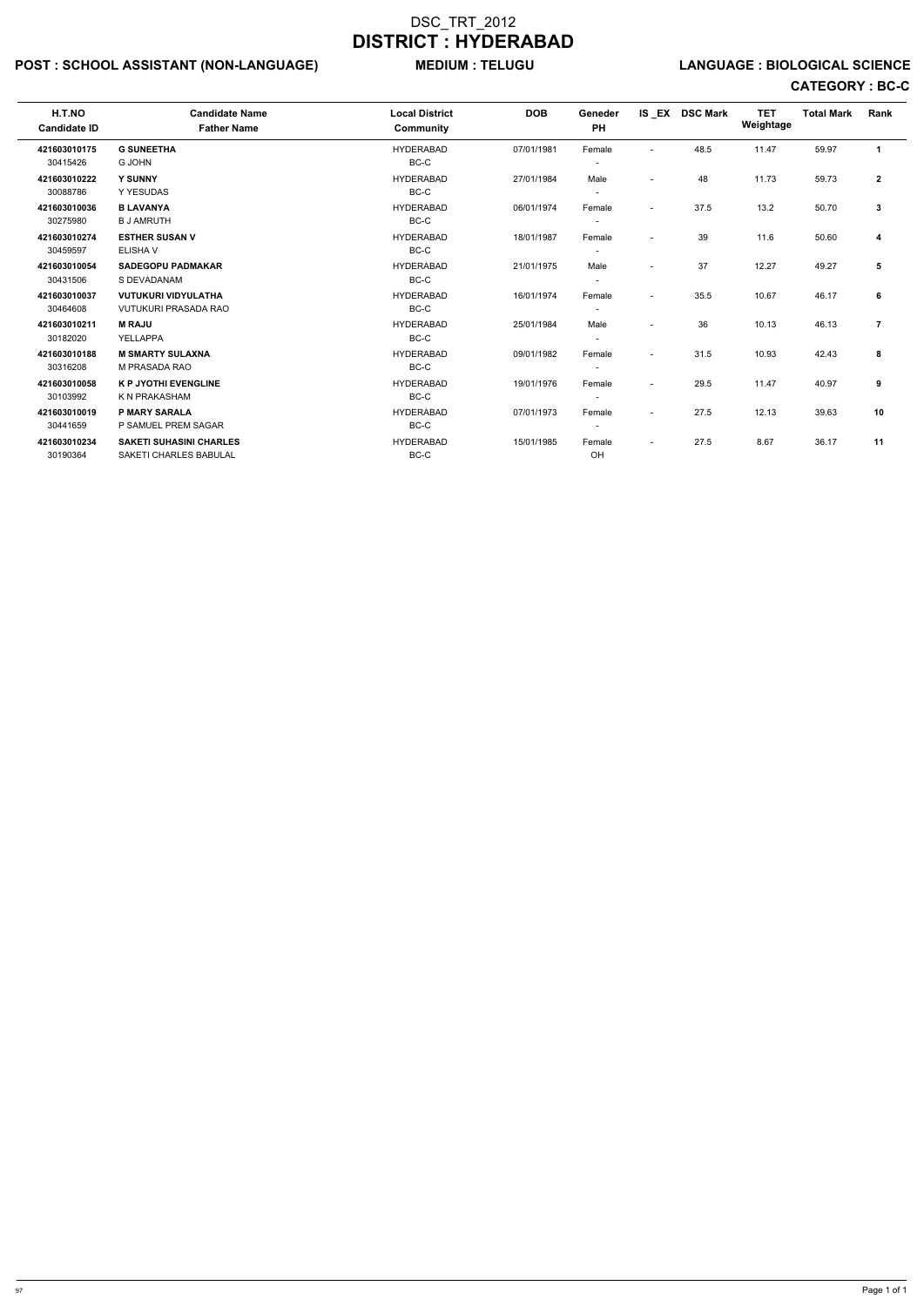# POST : SCHOOL ASSISTANT (NON-LANGUAGE) MEDIUM : TELUGU LANGUAGE : BIOLOGICAL SCIENCE

| H.T.NO<br><b>Candidate ID</b> | <b>Candidate Name</b><br><b>Father Name</b> | <b>Local District</b><br>Community | <b>DOB</b> | Geneder<br><b>PH</b>     |                          | IS EX DSC Mark | <b>TET</b><br>Weightage | <b>Total Mark</b> | Rank           |
|-------------------------------|---------------------------------------------|------------------------------------|------------|--------------------------|--------------------------|----------------|-------------------------|-------------------|----------------|
| 421603010175                  | <b>G SUNEETHA</b>                           | <b>HYDERABAD</b>                   | 07/01/1981 | Female                   | ٠                        | 48.5           | 11.47                   | 59.97             | $\mathbf{1}$   |
| 30415426                      | <b>G JOHN</b>                               | BC-C                               |            |                          |                          |                |                         |                   |                |
| 421603010222                  | <b>Y SUNNY</b>                              | <b>HYDERABAD</b>                   | 27/01/1984 | Male                     | $\overline{\phantom{a}}$ | 48             | 11.73                   | 59.73             | $\mathbf{2}$   |
| 30088786                      | Y YESUDAS                                   | BC-C                               |            |                          |                          |                |                         |                   |                |
| 421603010036                  | <b>B LAVANYA</b>                            | <b>HYDERABAD</b>                   | 06/01/1974 | Female                   | $\overline{\phantom{a}}$ | 37.5           | 13.2                    | 50.70             | 3              |
| 30275980                      | <b>B J AMRUTH</b>                           | BC-C                               |            |                          |                          |                |                         |                   |                |
| 421603010274                  | <b>ESTHER SUSAN V</b>                       | <b>HYDERABAD</b>                   | 18/01/1987 | Female                   | $\blacksquare$           | 39             | 11.6                    | 50.60             | 4              |
| 30459597                      | <b>ELISHAV</b>                              | BC-C                               |            |                          |                          |                |                         |                   |                |
| 421603010054                  | <b>SADEGOPU PADMAKAR</b>                    | <b>HYDERABAD</b>                   | 21/01/1975 | Male                     | $\blacksquare$           | 37             | 12.27                   | 49.27             | 5              |
| 30431506                      | S DEVADANAM                                 | BC-C                               |            |                          |                          |                |                         |                   |                |
| 421603010037                  | <b>VUTUKURI VIDYULATHA</b>                  | <b>HYDERABAD</b>                   | 16/01/1974 | Female                   | $\overline{\phantom{a}}$ | 35.5           | 10.67                   | 46.17             | 6              |
| 30464608                      | <b>VUTUKURI PRASADA RAO</b>                 | BC-C                               |            |                          |                          |                |                         |                   |                |
| 421603010211                  | <b>M RAJU</b>                               | <b>HYDERABAD</b>                   | 25/01/1984 | Male                     | $\overline{\phantom{0}}$ | 36             | 10.13                   | 46.13             | $\overline{7}$ |
| 30182020                      | YELLAPPA                                    | BC-C                               |            |                          |                          |                |                         |                   |                |
| 421603010188                  | <b>M SMARTY SULAXNA</b>                     | <b>HYDERABAD</b>                   | 09/01/1982 | Female                   | $\overline{\phantom{a}}$ | 31.5           | 10.93                   | 42.43             | 8              |
| 30316208                      | M PRASADA RAO                               | BC-C                               |            |                          |                          |                |                         |                   |                |
| 421603010058                  | <b>K P JYOTHI EVENGLINE</b>                 | <b>HYDERABAD</b>                   | 19/01/1976 | Female                   | $\sim$                   | 29.5           | 11.47                   | 40.97             | 9              |
| 30103992                      | K N PRAKASHAM                               | BC-C                               |            |                          |                          |                |                         |                   |                |
| 421603010019                  | <b>P MARY SARALA</b>                        | <b>HYDERABAD</b>                   | 07/01/1973 | Female                   | $\overline{\phantom{a}}$ | 27.5           | 12.13                   | 39.63             | 10             |
| 30441659                      | P SAMUEL PREM SAGAR                         | BC-C                               |            | $\overline{\phantom{a}}$ |                          |                |                         |                   |                |
| 421603010234                  | <b>SAKETI SUHASINI CHARLES</b>              | <b>HYDERABAD</b>                   | 15/01/1985 | Female                   | $\overline{\phantom{a}}$ | 27.5           | 8.67                    | 36.17             | 11             |
| 30190364                      | <b>SAKETI CHARLES BABULAL</b>               | BC-C                               |            | OH                       |                          |                |                         |                   |                |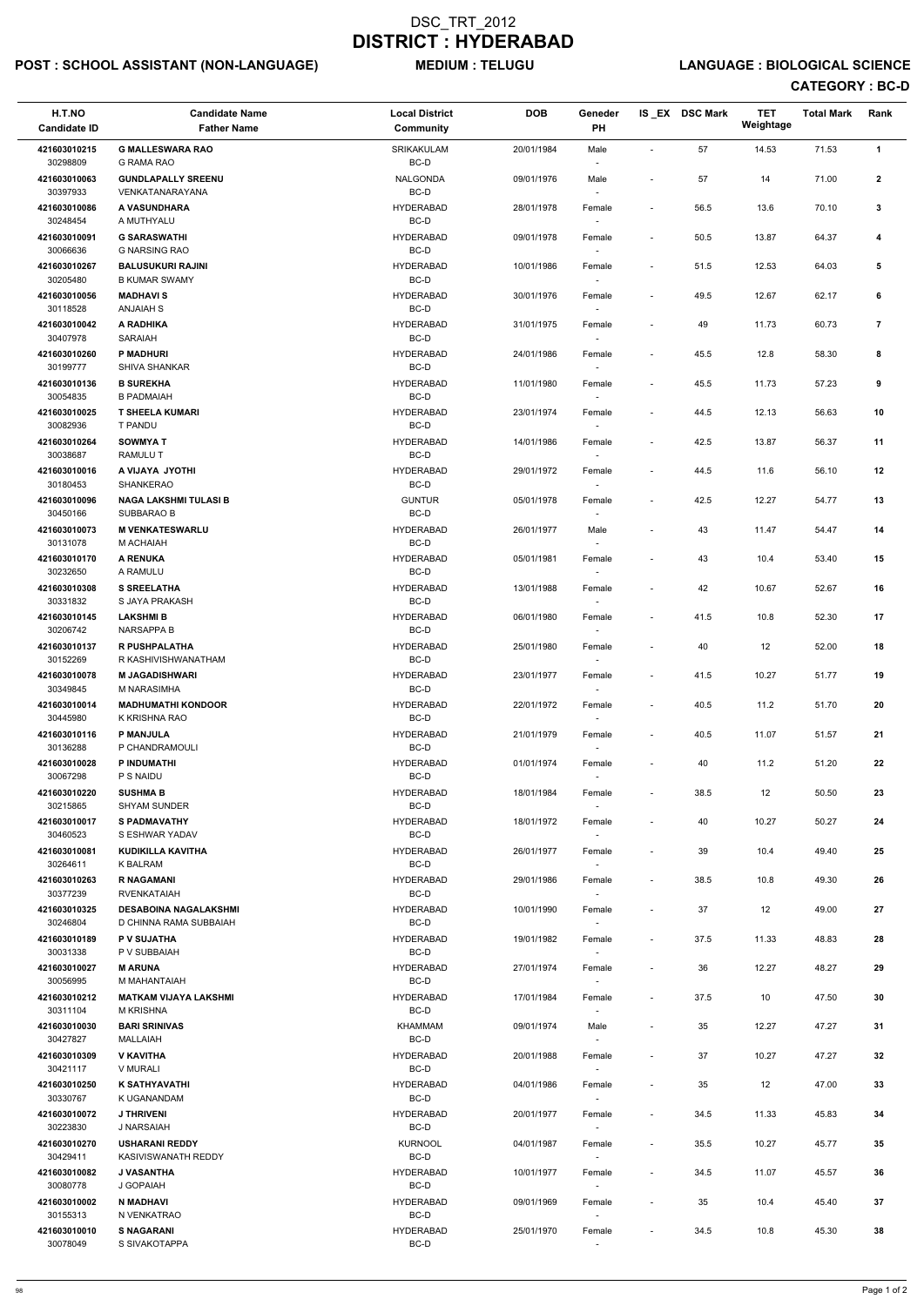# POST : SCHOOL ASSISTANT (NON-LANGUAGE) MEDIUM : TELUGU LANGUAGE : BIOLOGICAL SCIENCE

| H.T.NO                   | <b>Candidate Name</b>                                  | <b>Local District</b>    | <b>DOB</b> | Geneder<br>PH    |                          | IS EX DSC Mark | <b>TET</b><br>Weightage | <b>Total Mark</b> | Rank           |
|--------------------------|--------------------------------------------------------|--------------------------|------------|------------------|--------------------------|----------------|-------------------------|-------------------|----------------|
| <b>Candidate ID</b>      | <b>Father Name</b>                                     | Community                |            |                  |                          |                |                         |                   |                |
| 421603010215<br>30298809 | <b>G MALLESWARA RAO</b><br><b>G RAMA RAO</b>           | SRIKAKULAM<br>BC-D       | 20/01/1984 | Male             |                          | 57             | 14.53                   | 71.53             | $\mathbf{1}$   |
| 421603010063             | <b>GUNDLAPALLY SREENU</b>                              | NALGONDA                 | 09/01/1976 | Male             |                          | 57             | 14                      | 71.00             | $\mathbf{2}$   |
| 30397933<br>421603010086 | VENKATANARAYANA<br>A VASUNDHARA                        | BC-D<br><b>HYDERABAD</b> | 28/01/1978 | Female           | $\sim$                   | 56.5           | 13.6                    | 70.10             | $\mathbf{3}$   |
| 30248454                 | A MUTHYALU                                             | $BC-D$                   |            |                  |                          |                |                         |                   |                |
| 421603010091<br>30066636 | <b>G SARASWATHI</b><br><b>G NARSING RAO</b>            | <b>HYDERABAD</b><br>BC-D | 09/01/1978 | Female<br>$\sim$ | $\overline{\phantom{a}}$ | 50.5           | 13.87                   | 64.37             | 4              |
| 421603010267             | <b>BALUSUKURI RAJINI</b>                               | <b>HYDERABAD</b>         | 10/01/1986 | Female           | $\overline{\phantom{a}}$ | 51.5           | 12.53                   | 64.03             | 5              |
| 30205480<br>421603010056 | <b>B KUMAR SWAMY</b><br><b>MADHAVIS</b>                | BC-D<br><b>HYDERABAD</b> | 30/01/1976 | $\sim$<br>Female | $\sim$                   | 49.5           | 12.67                   | 62.17             | 6              |
| 30118528                 | <b>ANJAIAH S</b>                                       | BC-D                     |            | $\sim$           |                          |                |                         |                   |                |
| 421603010042<br>30407978 | A RADHIKA<br><b>SARAIAH</b>                            | <b>HYDERABAD</b><br>BC-D | 31/01/1975 | Female           |                          | 49             | 11.73                   | 60.73             | $\overline{7}$ |
| 421603010260             | <b>P MADHURI</b>                                       | <b>HYDERABAD</b>         | 24/01/1986 | Female           | $\blacksquare$           | 45.5           | 12.8                    | 58.30             | 8              |
| 30199777<br>421603010136 | SHIVA SHANKAR<br><b>B SUREKHA</b>                      | BC-D<br><b>HYDERABAD</b> | 11/01/1980 | Female           |                          | 45.5           | 11.73                   | 57.23             | 9              |
| 30054835                 | <b>B PADMAIAH</b>                                      | BC-D                     |            | $\sim$           |                          |                |                         |                   |                |
| 421603010025<br>30082936 | <b>T SHEELA KUMARI</b><br>T PANDU                      | <b>HYDERABAD</b><br>BC-D | 23/01/1974 | Female           | $\overline{\phantom{a}}$ | 44.5           | 12.13                   | 56.63             | 10             |
| 421603010264             | <b>SOWMYAT</b>                                         | <b>HYDERABAD</b>         | 14/01/1986 | Female           | $\overline{\phantom{a}}$ | 42.5           | 13.87                   | 56.37             | 11             |
| 30038687<br>421603010016 | RAMULU T<br>A VIJAYA JYOTHI                            | BC-D<br><b>HYDERABAD</b> | 29/01/1972 | Female           | $\overline{\phantom{a}}$ | 44.5           | 11.6                    | 56.10             | 12             |
| 30180453                 | SHANKERAO                                              | BC-D                     |            |                  |                          |                |                         |                   |                |
| 421603010096<br>30450166 | <b>NAGA LAKSHMI TULASI B</b><br>SUBBARAO B             | <b>GUNTUR</b><br>BC-D    | 05/01/1978 | Female<br>$\sim$ | $\overline{\phantom{a}}$ | 42.5           | 12.27                   | 54.77             | 13             |
| 421603010073             | <b>M VENKATESWARLU</b>                                 | <b>HYDERABAD</b>         | 26/01/1977 | Male             |                          | 43             | 11.47                   | 54.47             | 14             |
| 30131078<br>421603010170 | M ACHAIAH<br><b>A RENUKA</b>                           | BC-D<br><b>HYDERABAD</b> | 05/01/1981 | $\sim$<br>Female | $\blacksquare$           | 43             | 10.4                    | 53.40             | 15             |
| 30232650                 | A RAMULU                                               | BC-D                     |            |                  |                          |                |                         |                   |                |
| 421603010308<br>30331832 | <b>S SREELATHA</b><br>S JAYA PRAKASH                   | <b>HYDERABAD</b><br>BC-D | 13/01/1988 | Female           |                          | 42             | 10.67                   | 52.67             | 16             |
| 421603010145             | <b>LAKSHMIB</b>                                        | <b>HYDERABAD</b>         | 06/01/1980 | Female           | $\overline{\phantom{a}}$ | 41.5           | 10.8                    | 52.30             | 17             |
| 30206742<br>421603010137 | <b>NARSAPPA B</b><br><b>R PUSHPALATHA</b>              | BC-D<br><b>HYDERABAD</b> | 25/01/1980 | $\sim$<br>Female |                          | 40             | 12                      | 52.00             | 18             |
| 30152269                 | R KASHIVISHWANATHAM                                    | BC-D                     |            |                  |                          |                |                         |                   |                |
| 421603010078<br>30349845 | <b>M JAGADISHWARI</b><br>M NARASIMHA                   | <b>HYDERABAD</b><br>BC-D | 23/01/1977 | Female           | $\overline{\phantom{a}}$ | 41.5           | 10.27                   | 51.77             | 19             |
| 421603010014             | <b>MADHUMATHI KONDOOR</b>                              | <b>HYDERABAD</b>         | 22/01/1972 | Female           | $\overline{\phantom{a}}$ | 40.5           | 11.2                    | 51.70             | 20             |
| 30445980<br>421603010116 | K KRISHNA RAO<br><b>P MANJULA</b>                      | BC-D<br><b>HYDERABAD</b> | 21/01/1979 | $\sim$           |                          | 40.5           | 11.07                   | 51.57             | 21             |
| 30136288                 | P CHANDRAMOULI                                         | BC-D                     |            | Female<br>$\sim$ | $\sim$                   |                |                         |                   |                |
| 421603010028<br>30067298 | P INDUMATHI<br>P S NAIDU                               | <b>HYDERABAD</b><br>BC-D | 01/01/1974 | Female<br>$\sim$ | $\overline{\phantom{a}}$ | 40             | 11.2                    | 51.20             | 22             |
| 421603010220             | <b>SUSHMA B</b>                                        | <b>HYDERABAD</b>         | 18/01/1984 | Female           | $\overline{\phantom{a}}$ | 38.5           | 12                      | 50.50             | 23             |
| 30215865<br>421603010017 | <b>SHYAM SUNDER</b><br><b>S PADMAVATHY</b>             | BC-D<br><b>HYDERABAD</b> |            |                  |                          |                |                         |                   |                |
| 30460523                 | S ESHWAR YADAV                                         | BC-D                     | 18/01/1972 | Female<br>$\sim$ | $\overline{\phantom{a}}$ | 40             | 10.27                   | 50.27             | 24             |
| 421603010081<br>30264611 | KUDIKILLA KAVITHA<br>K BALRAM                          | <b>HYDERABAD</b><br>BC-D | 26/01/1977 | Female<br>$\sim$ |                          | 39             | 10.4                    | 49.40             | 25             |
| 421603010263             | <b>R NAGAMANI</b>                                      | <b>HYDERABAD</b>         | 29/01/1986 | Female           | $\overline{\phantom{a}}$ | 38.5           | 10.8                    | 49.30             | 26             |
| 30377239                 | <b>RVENKATAIAH</b>                                     | BC-D                     |            | $\sim$           |                          |                |                         |                   |                |
| 421603010325<br>30246804 | <b>DESABOINA NAGALAKSHMI</b><br>D CHINNA RAMA SUBBAIAH | <b>HYDERABAD</b><br>BC-D | 10/01/1990 | Female           |                          | 37             | 12                      | 49.00             | 27             |
| 421603010189<br>30031338 | P V SUJATHA<br>P V SUBBAIAH                            | <b>HYDERABAD</b><br>BC-D | 19/01/1982 | Female           | $\overline{\phantom{a}}$ | 37.5           | 11.33                   | 48.83             | 28             |
| 421603010027             | <b>M ARUNA</b>                                         | <b>HYDERABAD</b>         | 27/01/1974 | Female           | $\overline{\phantom{a}}$ | 36             | 12.27                   | 48.27             | 29             |
| 30056995                 | M MAHANTAIAH                                           | BC-D                     |            | $\sim$           |                          |                |                         |                   |                |
| 421603010212<br>30311104 | <b>MATKAM VIJAYA LAKSHMI</b><br><b>M KRISHNA</b>       | <b>HYDERABAD</b><br>BC-D | 17/01/1984 | Female<br>$\sim$ | $\overline{\phantom{a}}$ | 37.5           | 10                      | 47.50             | 30             |
| 421603010030             | <b>BARI SRINIVAS</b>                                   | KHAMMAM                  | 09/01/1974 | Male             |                          | 35             | 12.27                   | 47.27             | 31             |
| 30427827<br>421603010309 | MALLAIAH<br><b>V KAVITHA</b>                           | BC-D<br><b>HYDERABAD</b> | 20/01/1988 | $\sim$<br>Female | $\overline{\phantom{a}}$ | 37             | 10.27                   | 47.27             | 32             |
| 30421117                 | V MURALI                                               | BC-D                     |            |                  |                          |                |                         |                   |                |
| 421603010250<br>30330767 | <b>K SATHYAVATHI</b><br>K UGANANDAM                    | <b>HYDERABAD</b><br>BC-D | 04/01/1986 | Female<br>$\sim$ | $\sim$                   | 35             | 12                      | 47.00             | 33             |
| 421603010072             | <b>J THRIVENI</b>                                      | <b>HYDERABAD</b>         | 20/01/1977 | Female           |                          | 34.5           | 11.33                   | 45.83             | 34             |
| 30223830<br>421603010270 | J NARSAIAH<br><b>USHARANI REDDY</b>                    | BC-D<br><b>KURNOOL</b>   | 04/01/1987 | Female           | $\overline{\phantom{a}}$ | 35.5           | 10.27                   | 45.77             | 35             |
| 30429411                 | KASIVISWANATH REDDY                                    | BC-D                     |            | $\sim$           |                          |                |                         |                   |                |
| 421603010082<br>30080778 | J VASANTHA<br>J GOPAIAH                                | <b>HYDERABAD</b><br>BC-D | 10/01/1977 | Female<br>$\sim$ |                          | 34.5           | 11.07                   | 45.57             | 36             |
| 421603010002             | N MADHAVI                                              | <b>HYDERABAD</b>         | 09/01/1969 | Female           | $\overline{\phantom{a}}$ | 35             | 10.4                    | 45.40             | 37             |
| 30155313<br>421603010010 | N VENKATRAO<br><b>S NAGARANI</b>                       | BC-D<br><b>HYDERABAD</b> | 25/01/1970 | $\sim$<br>Female | $\sim$                   | 34.5           | 10.8                    | 45.30             | 38             |
| 30078049                 | S SIVAKOTAPPA                                          | BC-D                     |            | $\sim$           |                          |                |                         |                   |                |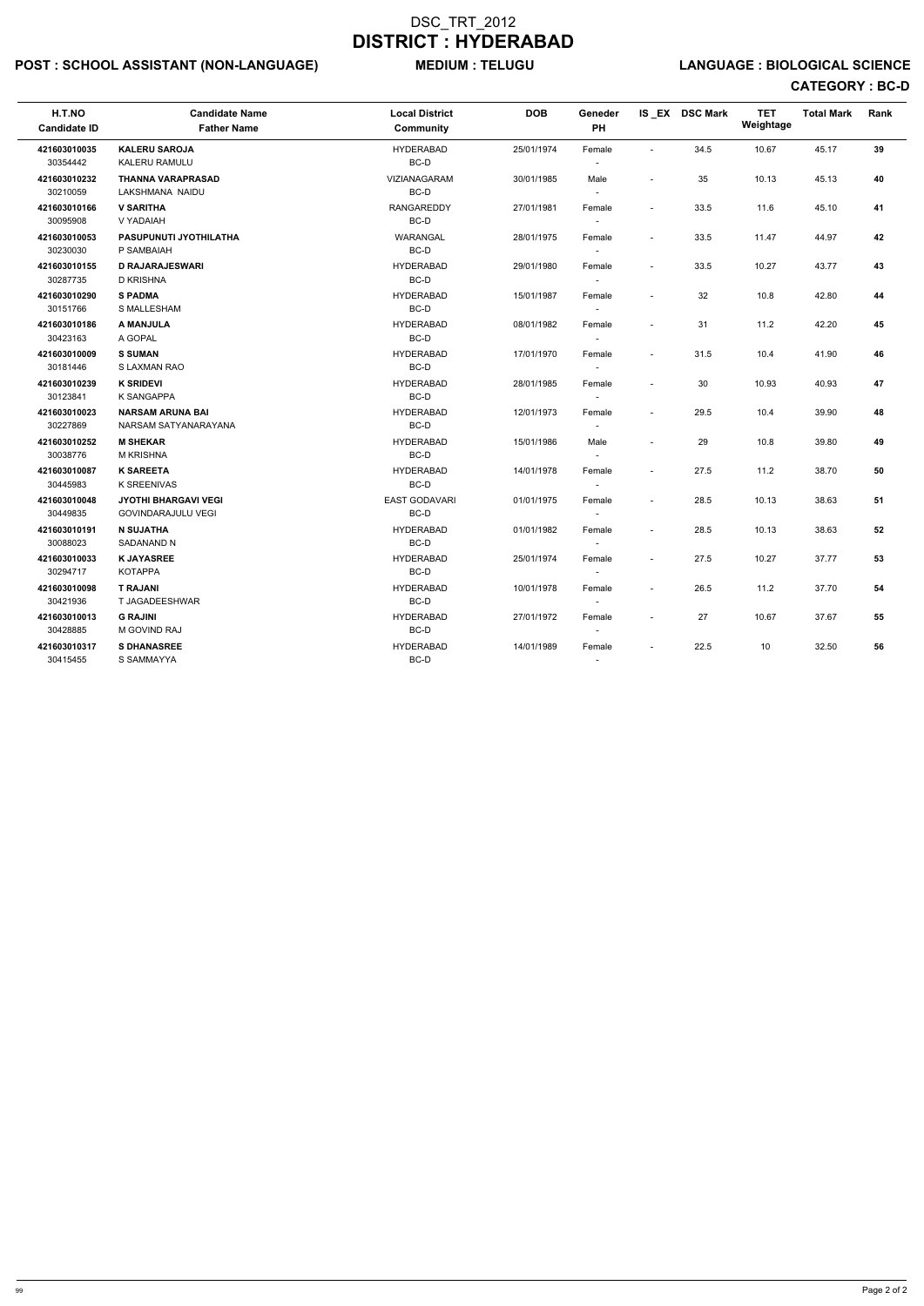# POST : SCHOOL ASSISTANT (NON-LANGUAGE) MEDIUM : TELUGU LANGUAGE : BIOLOGICAL SCIENCE

| H.T.NO<br><b>Candidate ID</b> | <b>Candidate Name</b><br><b>Father Name</b>              | <b>Local District</b><br>Community | <b>DOB</b> | Geneder<br>PH                      |                          | IS EX DSC Mark | <b>TET</b><br>Weightage | <b>Total Mark</b> | Rank |
|-------------------------------|----------------------------------------------------------|------------------------------------|------------|------------------------------------|--------------------------|----------------|-------------------------|-------------------|------|
| 421603010035<br>30354442      | <b>KALERU SAROJA</b><br>KALERU RAMULU                    | <b>HYDERABAD</b><br>BC-D           | 25/01/1974 | Female<br>$\sim$                   | $\sim$                   | 34.5           | 10.67                   | 45.17             | 39   |
| 421603010232<br>30210059      | <b>THANNA VARAPRASAD</b><br>LAKSHMANA NAIDU              | VIZIANAGARAM<br>BC-D               | 30/01/1985 | Male<br>$\sim$                     |                          | 35             | 10.13                   | 45.13             | 40   |
| 421603010166<br>30095908      | <b>V SARITHA</b><br>V YADAIAH                            | <b>RANGAREDDY</b><br>BC-D          | 27/01/1981 | Female<br>$\overline{\phantom{a}}$ | $\tilde{\phantom{a}}$    | 33.5           | 11.6                    | 45.10             | 41   |
| 421603010053<br>30230030      | PASUPUNUTI JYOTHILATHA<br>P SAMBAIAH                     | WARANGAL<br>BC-D                   | 28/01/1975 | Female<br>$\sim$                   | $\sim$                   | 33.5           | 11.47                   | 44.97             | 42   |
| 421603010155<br>30287735      | <b>D RAJARAJESWARI</b><br><b>D KRISHNA</b>               | <b>HYDERABAD</b><br>BC-D           | 29/01/1980 | Female<br>$\sim$                   | $\sim$                   | 33.5           | 10.27                   | 43.77             | 43   |
| 421603010290<br>30151766      | <b>S PADMA</b><br>S MALLESHAM                            | <b>HYDERABAD</b><br>BC-D           | 15/01/1987 | Female<br>$\sim$                   | $\sim$                   | 32             | 10.8                    | 42.80             | 44   |
| 421603010186<br>30423163      | A MANJULA<br>A GOPAL                                     | <b>HYDERABAD</b><br>BC-D           | 08/01/1982 | Female<br>$\sim$                   | ÷,                       | 31             | 11.2                    | 42.20             | 45   |
| 421603010009<br>30181446      | <b>S SUMAN</b><br>S LAXMAN RAO                           | <b>HYDERABAD</b><br>BC-D           | 17/01/1970 | Female<br>$\sim$                   | $\overline{a}$           | 31.5           | 10.4                    | 41.90             | 46   |
| 421603010239<br>30123841      | <b>K SRIDEVI</b><br>K SANGAPPA                           | <b>HYDERABAD</b><br>BC-D           | 28/01/1985 | Female<br>$\overline{\phantom{a}}$ | $\sim$                   | 30             | 10.93                   | 40.93             | 47   |
| 421603010023<br>30227869      | <b>NARSAM ARUNA BAI</b><br>NARSAM SATYANARAYANA          | <b>HYDERABAD</b><br>BC-D           | 12/01/1973 | Female<br>$\sim$                   | $\sim$                   | 29.5           | 10.4                    | 39.90             | 48   |
| 421603010252<br>30038776      | <b>M SHEKAR</b><br><b>M KRISHNA</b>                      | <b>HYDERABAD</b><br>$BC-D$         | 15/01/1986 | Male<br>$\overline{a}$             | $\sim$                   | 29             | 10.8                    | 39.80             | 49   |
| 421603010087<br>30445983      | <b>K SAREETA</b><br><b>K SREENIVAS</b>                   | <b>HYDERABAD</b><br>BC-D           | 14/01/1978 | Female<br>$\sim$                   | $\sim$                   | 27.5           | 11.2                    | 38.70             | 50   |
| 421603010048<br>30449835      | <b>JYOTHI BHARGAVI VEGI</b><br><b>GOVINDARAJULU VEGI</b> | <b>EAST GODAVARI</b><br>BC-D       | 01/01/1975 | Female<br>$\blacksquare$           | $\tilde{\phantom{a}}$    | 28.5           | 10.13                   | 38.63             | 51   |
| 421603010191<br>30088023      | <b>N SUJATHA</b><br>SADANAND N                           | <b>HYDERABAD</b><br>BC-D           | 01/01/1982 | Female<br>$\sim$                   | $\overline{a}$           | 28.5           | 10.13                   | 38.63             | 52   |
| 421603010033<br>30294717      | <b>K JAYASREE</b><br><b>KOTAPPA</b>                      | <b>HYDERABAD</b><br>BC-D           | 25/01/1974 | Female<br>$\sim$                   | $\sim$                   | 27.5           | 10.27                   | 37.77             | 53   |
| 421603010098<br>30421936      | <b>T RAJANI</b><br>T JAGADEESHWAR                        | <b>HYDERABAD</b><br>BC-D           | 10/01/1978 | Female<br>$\blacksquare$           | $\sim$                   | 26.5           | 11.2                    | 37.70             | 54   |
| 421603010013<br>30428885      | <b>G RAJINI</b><br>M GOVIND RAJ                          | <b>HYDERABAD</b><br>BC-D           | 27/01/1972 | Female                             | $\sim$                   | 27             | 10.67                   | 37.67             | 55   |
| 421603010317<br>30415455      | <b>S DHANASREE</b><br>S SAMMAYYA                         | <b>HYDERABAD</b><br>BC-D           | 14/01/1989 | Female                             | $\overline{\phantom{a}}$ | 22.5           | 10                      | 32.50             | 56   |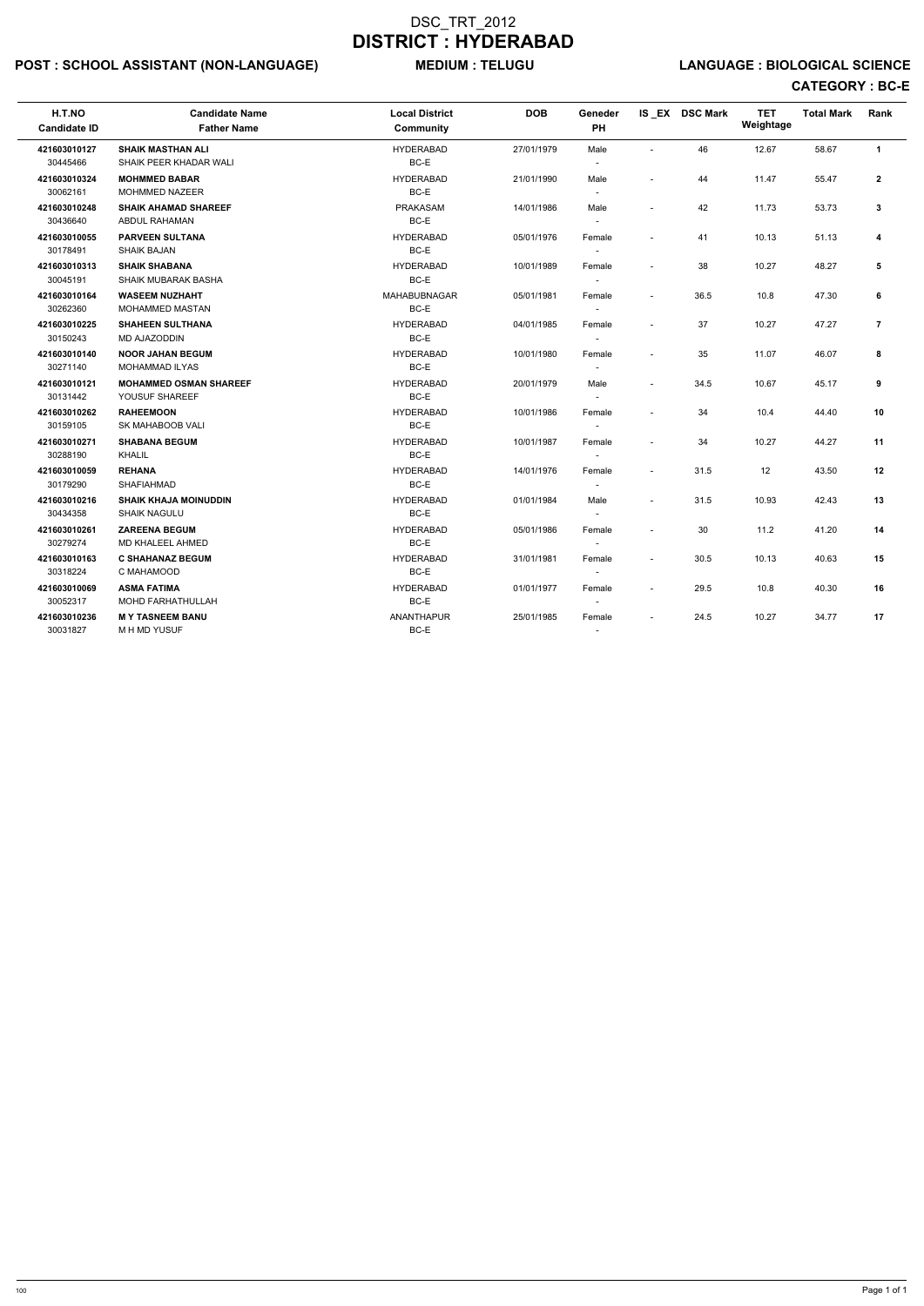# POST : SCHOOL ASSISTANT (NON-LANGUAGE) MEDIUM : TELUGU LANGUAGE : BIOLOGICAL SCIENCE

| H.T.NO<br><b>Candidate ID</b> | <b>Candidate Name</b><br><b>Father Name</b>         | <b>Local District</b><br><b>Community</b> | <b>DOB</b> | Geneder<br>PH                      |                          | IS EX DSC Mark | <b>TET</b><br>Weightage | <b>Total Mark</b> | Rank           |
|-------------------------------|-----------------------------------------------------|-------------------------------------------|------------|------------------------------------|--------------------------|----------------|-------------------------|-------------------|----------------|
| 421603010127<br>30445466      | <b>SHAIK MASTHAN ALI</b><br>SHAIK PEER KHADAR WALI  | <b>HYDERABAD</b><br>BC-E                  | 27/01/1979 | Male                               | $\sim$                   | 46             | 12.67                   | 58.67             | $\mathbf{1}$   |
| 421603010324<br>30062161      | <b>MOHMMED BABAR</b><br><b>MOHMMED NAZEER</b>       | <b>HYDERABAD</b><br>$BC-E$                | 21/01/1990 | Male<br>$\overline{\phantom{a}}$   |                          | 44             | 11.47                   | 55.47             | $\mathbf{2}$   |
| 421603010248<br>30436640      | <b>SHAIK AHAMAD SHAREEF</b><br>ABDUL RAHAMAN        | <b>PRAKASAM</b><br>BC-E                   | 14/01/1986 | Male<br>$\overline{\phantom{a}}$   |                          | 42             | 11.73                   | 53.73             | 3              |
| 421603010055<br>30178491      | <b>PARVEEN SULTANA</b><br><b>SHAIK BAJAN</b>        | <b>HYDERABAD</b><br>BC-E                  | 05/01/1976 | Female<br>$\overline{\phantom{a}}$ |                          | 41             | 10.13                   | 51.13             | 4              |
| 421603010313<br>30045191      | <b>SHAIK SHABANA</b><br><b>SHAIK MUBARAK BASHA</b>  | <b>HYDERABAD</b><br>BC-E                  | 10/01/1989 | Female                             | $\sim$                   | 38             | 10.27                   | 48.27             | 5              |
| 421603010164<br>30262360      | <b>WASEEM NUZHAHT</b><br><b>MOHAMMED MASTAN</b>     | <b>MAHABUBNAGAR</b><br>BC-E               | 05/01/1981 | Female                             | $\overline{\phantom{a}}$ | 36.5           | 10.8                    | 47.30             | 6              |
| 421603010225<br>30150243      | <b>SHAHEEN SULTHANA</b><br>MD AJAZODDIN             | <b>HYDERABAD</b><br>BC-E                  | 04/01/1985 | Female<br>$\overline{\phantom{a}}$ |                          | 37             | 10.27                   | 47.27             | $\overline{7}$ |
| 421603010140<br>30271140      | <b>NOOR JAHAN BEGUM</b><br><b>MOHAMMAD ILYAS</b>    | <b>HYDERABAD</b><br>BC-E                  | 10/01/1980 | Female                             | $\sim$                   | 35             | 11.07                   | 46.07             | 8              |
| 421603010121<br>30131442      | <b>MOHAMMED OSMAN SHAREEF</b><br>YOUSUF SHAREEF     | <b>HYDERABAD</b><br>BC-E                  | 20/01/1979 | Male<br>$\sim$                     | $\sim$                   | 34.5           | 10.67                   | 45.17             | 9              |
| 421603010262<br>30159105      | <b>RAHEEMOON</b><br>SK MAHABOOB VALI                | <b>HYDERABAD</b><br>BC-E                  | 10/01/1986 | Female<br>$\sim$                   | $\sim$                   | 34             | 10.4                    | 44.40             | 10             |
| 421603010271<br>30288190      | <b>SHABANA BEGUM</b><br>KHALIL                      | <b>HYDERABAD</b><br>BC-E                  | 10/01/1987 | Female<br>$\sim$                   | $\sim$                   | 34             | 10.27                   | 44.27             | 11             |
| 421603010059<br>30179290      | <b>REHANA</b><br>SHAFIAHMAD                         | <b>HYDERABAD</b><br>BC-E                  | 14/01/1976 | Female<br>$\overline{\phantom{a}}$ | $\overline{\phantom{a}}$ | 31.5           | 12                      | 43.50             | 12             |
| 421603010216<br>30434358      | <b>SHAIK KHAJA MOINUDDIN</b><br><b>SHAIK NAGULU</b> | <b>HYDERABAD</b><br>BC-E                  | 01/01/1984 | Male<br>$\overline{\phantom{a}}$   | $\sim$                   | 31.5           | 10.93                   | 42.43             | 13             |
| 421603010261<br>30279274      | <b>ZAREENA BEGUM</b><br>MD KHALEEL AHMED            | <b>HYDERABAD</b><br>BC-E                  | 05/01/1986 | Female<br>$\sim$                   |                          | 30             | 11.2                    | 41.20             | 14             |
| 421603010163<br>30318224      | <b>C SHAHANAZ BEGUM</b><br>C MAHAMOOD               | <b>HYDERABAD</b><br>BC-E                  | 31/01/1981 | Female<br>$\sim$                   |                          | 30.5           | 10.13                   | 40.63             | 15             |
| 421603010069<br>30052317      | <b>ASMA FATIMA</b><br>MOHD FARHATHULLAH             | <b>HYDERABAD</b><br>BC-E                  | 01/01/1977 | Female<br>$\sim$                   | $\overline{\phantom{a}}$ | 29.5           | 10.8                    | 40.30             | 16             |
| 421603010236<br>30031827      | <b>MY TASNEEM BANU</b><br>M H MD YUSUF              | <b>ANANTHAPUR</b><br>BC-E                 | 25/01/1985 | Female<br>$\overline{\phantom{a}}$ |                          | 24.5           | 10.27                   | 34.77             | 17             |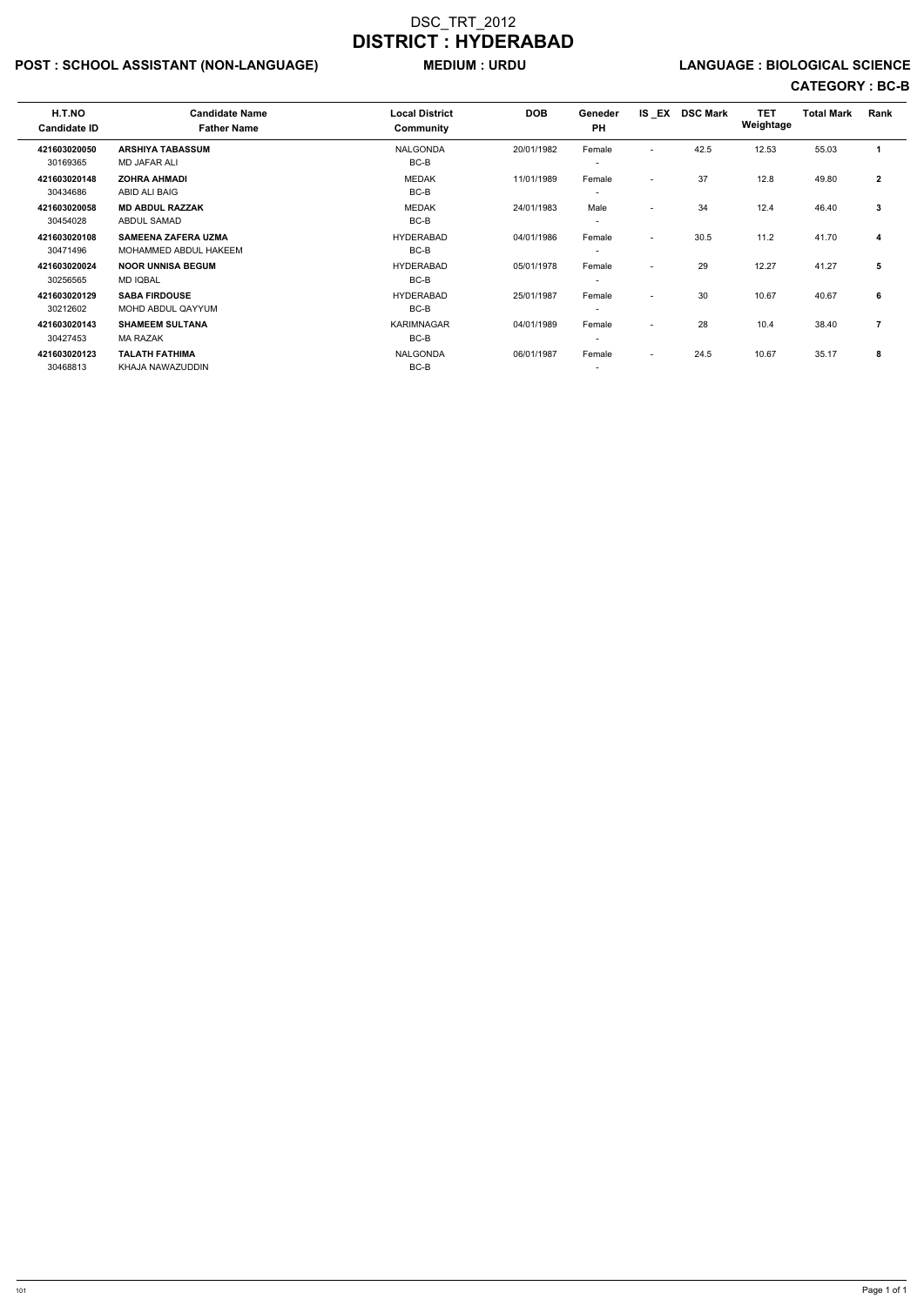# POST : SCHOOL ASSISTANT (NON-LANGUAGE) MEDIUM : URDU LANGUAGE : BIOLOGICAL SCIENCE

| H.T.NO<br><b>Candidate ID</b> | <b>Candidate Name</b><br><b>Father Name</b>         | <b>Local District</b><br>Community | <b>DOB</b> | Geneder<br><b>PH</b>               |                          | IS EX DSC Mark | <b>TET</b><br>Weightage | <b>Total Mark</b> | Rank           |
|-------------------------------|-----------------------------------------------------|------------------------------------|------------|------------------------------------|--------------------------|----------------|-------------------------|-------------------|----------------|
| 421603020050                  | <b>ARSHIYA TABASSUM</b>                             | <b>NALGONDA</b>                    | 20/01/1982 | Female                             | $\overline{\phantom{a}}$ | 42.5           | 12.53                   | 55.03             |                |
| 30169365<br>421603020148      | <b>MD JAFAR ALI</b><br><b>ZOHRA AHMADI</b>          | BC-B<br><b>MEDAK</b>               | 11/01/1989 | $\overline{\phantom{a}}$<br>Female | $\overline{\phantom{0}}$ | 37             | 12.8                    | 49.80             | $\mathbf{2}$   |
| 30434686                      | ABID ALI BAIG                                       | BC-B                               |            | $\overline{\phantom{a}}$           |                          |                |                         |                   |                |
| 421603020058<br>30454028      | <b>MD ABDUL RAZZAK</b><br><b>ABDUL SAMAD</b>        | <b>MEDAK</b><br>BC-B               | 24/01/1983 | Male<br>$\overline{\phantom{a}}$   | $\overline{\phantom{a}}$ | 34             | 12.4                    | 46.40             | 3              |
| 421603020108<br>30471496      | <b>SAMEENA ZAFERA UZMA</b><br>MOHAMMED ABDUL HAKEEM | <b>HYDERABAD</b><br>BC-B           | 04/01/1986 | Female<br>$\overline{\phantom{a}}$ | $\overline{\phantom{a}}$ | 30.5           | 11.2                    | 41.70             | 4              |
| 421603020024<br>30256565      | <b>NOOR UNNISA BEGUM</b><br><b>MD IQBAL</b>         | <b>HYDERABAD</b><br>BC-B           | 05/01/1978 | Female<br>$\overline{\phantom{a}}$ | $\overline{\phantom{a}}$ | 29             | 12.27                   | 41.27             | 5              |
| 421603020129<br>30212602      | <b>SABA FIRDOUSE</b><br>MOHD ABDUL QAYYUM           | <b>HYDERABAD</b><br>BC-B           | 25/01/1987 | Female<br>$\overline{\phantom{a}}$ | $\overline{\phantom{a}}$ | 30             | 10.67                   | 40.67             | 6              |
| 421603020143<br>30427453      | <b>SHAMEEM SULTANA</b><br><b>MA RAZAK</b>           | <b>KARIMNAGAR</b><br>BC-B          | 04/01/1989 | Female<br>$\overline{\phantom{a}}$ | $\overline{\phantom{a}}$ | 28             | 10.4                    | 38.40             | $\overline{7}$ |
| 421603020123<br>30468813      | <b>TALATH FATHIMA</b><br>KHAJA NAWAZUDDIN           | <b>NALGONDA</b><br>BC-B            | 06/01/1987 | Female<br>$\overline{\phantom{a}}$ | $\sim$                   | 24.5           | 10.67                   | 35.17             | 8              |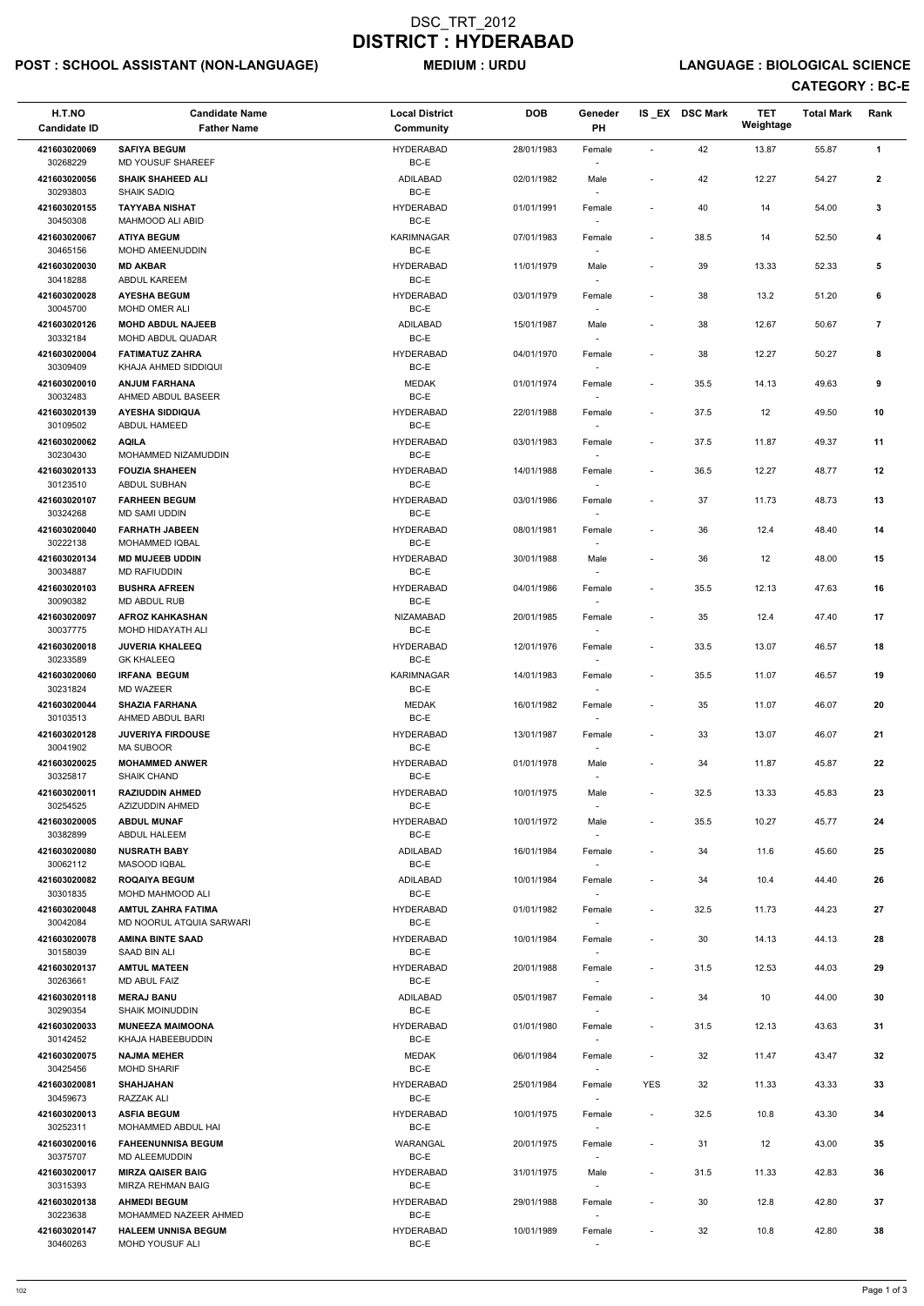# POST : SCHOOL ASSISTANT (NON-LANGUAGE) MEDIUM : URDU LANGUAGE : BIOLOGICAL SCIENCE

| H.T.NO<br><b>Candidate ID</b> | <b>Candidate Name</b><br><b>Father Name</b>           | <b>Local District</b><br><b>Community</b> | <b>DOB</b> | Geneder<br>PH                      |                          | IS_EX DSC Mark | <b>TET</b><br>Weightage | <b>Total Mark</b> | Rank            |
|-------------------------------|-------------------------------------------------------|-------------------------------------------|------------|------------------------------------|--------------------------|----------------|-------------------------|-------------------|-----------------|
| 421603020069<br>30268229      | <b>SAFIYA BEGUM</b><br>MD YOUSUF SHAREEF              | <b>HYDERABAD</b><br>$BC-E$                | 28/01/1983 | Female                             |                          | 42             | 13.87                   | 55.87             | $\mathbf{1}$    |
| 421603020056<br>30293803      | <b>SHAIK SHAHEED ALI</b><br>SHAIK SADIQ               | <b>ADILABAD</b><br>BC-E                   | 02/01/1982 | Male                               | $\overline{\phantom{a}}$ | 42             | 12.27                   | 54.27             | $\mathbf{2}$    |
| 421603020155<br>30450308      | <b>TAYYABA NISHAT</b><br><b>MAHMOOD ALI ABID</b>      | <b>HYDERABAD</b><br>BC-E                  | 01/01/1991 | Female<br>$\overline{\phantom{a}}$ | $\blacksquare$           | 40             | 14                      | 54.00             | $\mathbf{3}$    |
| 421603020067                  | <b>ATIYA BEGUM</b>                                    | KARIMNAGAR                                | 07/01/1983 | Female                             | $\overline{\phantom{a}}$ | 38.5           | 14                      | 52.50             | 4               |
| 30465156                      | MOHD AMEENUDDIN                                       | BC-E                                      |            |                                    |                          |                |                         |                   |                 |
| 421603020030<br>30418288      | <b>MD AKBAR</b><br><b>ABDUL KAREEM</b>                | <b>HYDERABAD</b><br>BC-E                  | 11/01/1979 | Male<br>$\overline{\phantom{a}}$   | $\overline{\phantom{a}}$ | 39             | 13.33                   | 52.33             | 5               |
| 421603020028<br>30045700      | <b>AYESHA BEGUM</b><br>MOHD OMER ALI                  | <b>HYDERABAD</b><br>BC-E                  | 03/01/1979 | Female                             | $\overline{\phantom{a}}$ | 38             | 13.2                    | 51.20             | 6               |
| 421603020126<br>30332184      | <b>MOHD ABDUL NAJEEB</b><br>MOHD ABDUL QUADAR         | <b>ADILABAD</b><br>BC-E                   | 15/01/1987 | Male                               | $\overline{\phantom{a}}$ | 38             | 12.67                   | 50.67             | $\overline{7}$  |
| 421603020004<br>30309409      | <b>FATIMATUZ ZAHRA</b><br>KHAJA AHMED SIDDIQUI        | <b>HYDERABAD</b><br>BC-E                  | 04/01/1970 | Female<br>$\overline{\phantom{a}}$ | $\blacksquare$           | 38             | 12.27                   | 50.27             | 8               |
| 421603020010                  | <b>ANJUM FARHANA</b>                                  | <b>MEDAK</b>                              | 01/01/1974 | Female                             | $\overline{\phantom{a}}$ | 35.5           | 14.13                   | 49.63             | 9               |
| 30032483<br>421603020139      | AHMED ABDUL BASEER<br><b>AYESHA SIDDIQUA</b>          | BC-E<br><b>HYDERABAD</b>                  | 22/01/1988 | Female                             | $\overline{\phantom{a}}$ | 37.5           | 12                      | 49.50             | 10              |
| 30109502<br>421603020062      | ABDUL HAMEED<br><b>AQILA</b>                          | BC-E<br><b>HYDERABAD</b>                  | 03/01/1983 | Female                             | $\overline{\phantom{a}}$ | 37.5           | 11.87                   | 49.37             | 11              |
| 30230430<br>421603020133      | MOHAMMED NIZAMUDDIN<br><b>FOUZIA SHAHEEN</b>          | BC-E<br><b>HYDERABAD</b>                  | 14/01/1988 | Female                             | $\overline{\phantom{a}}$ | 36.5           | 12.27                   | 48.77             | 12              |
| 30123510                      | ABDUL SUBHAN                                          | BC-E                                      |            | $\sim$                             |                          |                |                         |                   |                 |
| 421603020107<br>30324268      | <b>FARHEEN BEGUM</b><br>MD SAMI UDDIN                 | <b>HYDERABAD</b><br>BC-E                  | 03/01/1986 | Female                             | $\overline{\phantom{a}}$ | 37             | 11.73                   | 48.73             | 13              |
| 421603020040                  | <b>FARHATH JABEEN</b>                                 | <b>HYDERABAD</b>                          | 08/01/1981 | Female                             | $\overline{\phantom{a}}$ | 36             | 12.4                    | 48.40             | 14              |
| 30222138<br>421603020134      | <b>MOHAMMED IQBAL</b><br><b>MD MUJEEB UDDIN</b>       | BC-E<br><b>HYDERABAD</b>                  | 30/01/1988 | Male                               | $\overline{\phantom{a}}$ | 36             | 12                      | 48.00             | 15              |
| 30034887<br>421603020103      | <b>MD RAFIUDDIN</b><br><b>BUSHRA AFREEN</b>           | BC-E<br><b>HYDERABAD</b>                  | 04/01/1986 | Female                             | $\overline{\phantom{a}}$ | 35.5           | 12.13                   | 47.63             | 16              |
| 30090382<br>421603020097      | MD ABDUL RUB<br><b>AFROZ KAHKASHAN</b>                | BC-E<br><b>NIZAMABAD</b>                  | 20/01/1985 | Female                             | $\overline{a}$           | 35             | 12.4                    | 47.40             | 17              |
| 30037775<br>421603020018      | MOHD HIDAYATH ALI<br><b>JUVERIA KHALEEQ</b>           | BC-E<br><b>HYDERABAD</b>                  | 12/01/1976 | Female                             | $\overline{\phantom{a}}$ | 33.5           | 13.07                   | 46.57             | 18              |
| 30233589                      | <b>GK KHALEEQ</b>                                     | BC-E                                      |            |                                    |                          |                |                         |                   |                 |
| 421603020060<br>30231824      | <b>IRFANA BEGUM</b><br>MD WAZEER                      | KARIMNAGAR<br>BC-E                        | 14/01/1983 | Female<br>$\sim$                   | $\blacksquare$           | 35.5           | 11.07                   | 46.57             | 19              |
| 421603020044<br>30103513      | <b>SHAZIA FARHANA</b><br>AHMED ABDUL BARI             | <b>MEDAK</b><br>BC-E                      | 16/01/1982 | Female<br>$\sim$                   | $\overline{\phantom{a}}$ | 35             | 11.07                   | 46.07             | 20              |
| 421603020128<br>30041902      | <b>JUVERIYA FIRDOUSE</b><br><b>MA SUBOOR</b>          | <b>HYDERABAD</b><br>BC-E                  | 13/01/1987 | Female<br>$\overline{\phantom{a}}$ | $\overline{\phantom{a}}$ | 33             | 13.07                   | 46.07             | 21              |
| 421603020025                  | <b>MOHAMMED ANWER</b>                                 | <b>HYDERABAD</b>                          | 01/01/1978 | Male                               | $\overline{\phantom{a}}$ | 34             | 11.87                   | 45.87             | 22              |
| 30325817<br>421603020011      | <b>SHAIK CHAND</b><br><b>RAZIUDDIN AHMED</b>          | BC-E<br><b>HYDERABAD</b>                  | 10/01/1975 | Male                               | $\overline{\phantom{a}}$ | 32.5           | 13.33                   | 45.83             | 23              |
| 30254525                      | AZIZUDDIN AHMED                                       | BC-E                                      |            | $\overline{\phantom{a}}$           |                          |                |                         |                   |                 |
| 421603020005<br>30382899      | <b>ABDUL MUNAF</b><br>ABDUL HALEEM                    | <b>HYDERABAD</b><br>BC-E                  | 10/01/1972 | Male<br>$\overline{\phantom{a}}$   | $\overline{\phantom{a}}$ | 35.5           | 10.27                   | 45.77             | 24              |
| 421603020080<br>30062112      | <b>NUSRATH BABY</b><br><b>MASOOD IQBAL</b>            | ADILABAD<br>BC-E                          | 16/01/1984 | Female<br>$\sim$                   | $\overline{\phantom{a}}$ | 34             | 11.6                    | 45.60             | 25              |
| 421603020082<br>30301835      | <b>ROQAIYA BEGUM</b><br>MOHD MAHMOOD ALI              | ADILABAD<br>BC-E                          | 10/01/1984 | Female                             | $\overline{\phantom{a}}$ | 34             | 10.4                    | 44.40             | 26              |
| 421603020048<br>30042084      | <b>AMTUL ZAHRA FATIMA</b><br>MD NOORUL ATQUIA SARWARI | <b>HYDERABAD</b><br>BC-E                  | 01/01/1982 | Female                             | $\overline{\phantom{a}}$ | 32.5           | 11.73                   | 44.23             | 27              |
| 421603020078<br>30158039      | <b>AMINA BINTE SAAD</b><br>SAAD BIN ALI               | <b>HYDERABAD</b><br>BC-E                  | 10/01/1984 | Female<br>$\sim$                   | $\overline{\phantom{a}}$ | 30             | 14.13                   | 44.13             | 28              |
| 421603020137                  | <b>AMTUL MATEEN</b>                                   | <b>HYDERABAD</b>                          | 20/01/1988 | Female                             | $\overline{\phantom{a}}$ | 31.5           | 12.53                   | 44.03             | 29              |
| 30263661<br>421603020118      | <b>MD ABUL FAIZ</b><br><b>MERAJ BANU</b>              | BC-E<br>ADILABAD                          | 05/01/1987 | $\overline{\phantom{a}}$<br>Female | $\overline{\phantom{a}}$ | 34             | 10                      | 44.00             | 30              |
| 30290354<br>421603020033      | <b>SHAIK MOINUDDIN</b>                                | BC-E<br><b>HYDERABAD</b>                  |            | $\overline{\phantom{a}}$           |                          |                |                         |                   |                 |
| 30142452                      | <b>MUNEEZA MAIMOONA</b><br>KHAJA HABEEBUDDIN          | BC-E                                      | 01/01/1980 | Female                             | $\overline{\phantom{a}}$ | 31.5           | 12.13                   | 43.63             | 31              |
| 421603020075<br>30425456      | <b>NAJMA MEHER</b><br><b>MOHD SHARIF</b>              | <b>MEDAK</b><br>BC-E                      | 06/01/1984 | Female<br>$\sim$                   | $\overline{\phantom{a}}$ | 32             | 11.47                   | 43.47             | 32              |
| 421603020081                  | <b>SHAHJAHAN</b>                                      | <b>HYDERABAD</b>                          | 25/01/1984 | Female                             | <b>YES</b>               | 32             | 11.33                   | 43.33             | 33              |
| 30459673                      | RAZZAK ALI                                            | BC-E                                      |            |                                    |                          |                |                         |                   |                 |
| 421603020013<br>30252311      | <b>ASFIA BEGUM</b><br>MOHAMMED ABDUL HAI              | <b>HYDERABAD</b><br>BC-E                  | 10/01/1975 | Female                             | $\overline{\phantom{0}}$ | 32.5           | 10.8                    | 43.30             | 34              |
| 421603020016<br>30375707      | <b>FAHEENUNNISA BEGUM</b><br>MD ALEEMUDDIN            | WARANGAL<br>BC-E                          | 20/01/1975 | Female<br>$\overline{\phantom{a}}$ | $\overline{a}$           | 31             | 12                      | 43.00             | $35\phantom{a}$ |
| 421603020017<br>30315393      | <b>MIRZA QAISER BAIG</b><br>MIRZA REHMAN BAIG         | <b>HYDERABAD</b><br>BC-E                  | 31/01/1975 | Male<br>$\sim$                     | $\overline{\phantom{a}}$ | 31.5           | 11.33                   | 42.83             | 36              |
| 421603020138<br>30223638      | <b>AHMEDI BEGUM</b><br>MOHAMMED NAZEER AHMED          | <b>HYDERABAD</b><br>BC-E                  | 29/01/1988 | Female<br>$\overline{\phantom{a}}$ | $\overline{\phantom{a}}$ | 30             | 12.8                    | 42.80             | 37              |
| 421603020147<br>30460263      | <b>HALEEM UNNISA BEGUM</b><br>MOHD YOUSUF ALI         | <b>HYDERABAD</b><br>BC-E                  | 10/01/1989 | Female<br>$\sim$                   | $\overline{\phantom{a}}$ | 32             | 10.8                    | 42.80             | 38              |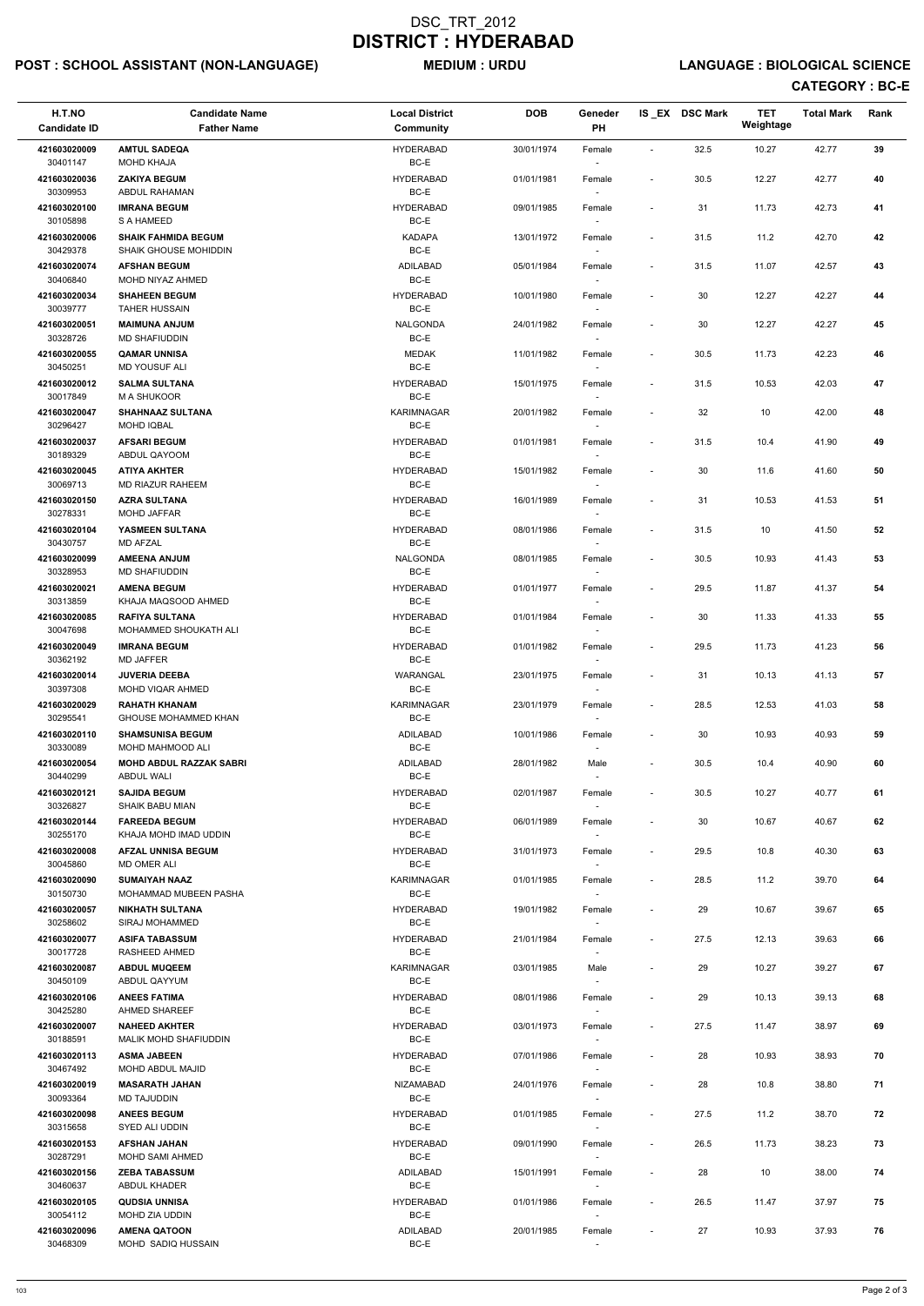# POST : SCHOOL ASSISTANT (NON-LANGUAGE) MEDIUM : URDU LANGUAGE : BIOLOGICAL SCIENCE

| H.T.NO<br><b>Candidate ID</b> | <b>Candidate Name</b><br><b>Father Name</b>            | <b>Local District</b><br><b>Community</b> | <b>DOB</b> | Geneder<br>PH                      |                          | IS_EX DSC Mark | <b>TET</b><br>Weightage | <b>Total Mark</b> | Rank |
|-------------------------------|--------------------------------------------------------|-------------------------------------------|------------|------------------------------------|--------------------------|----------------|-------------------------|-------------------|------|
| 421603020009<br>30401147      | <b>AMTUL SADEQA</b><br><b>MOHD KHAJA</b>               | <b>HYDERABAD</b><br>BC-E                  | 30/01/1974 | Female                             |                          | 32.5           | 10.27                   | 42.77             | 39   |
| 421603020036<br>30309953      | <b>ZAKIYA BEGUM</b><br>ABDUL RAHAMAN                   | <b>HYDERABAD</b><br>BC-E                  | 01/01/1981 | Female                             | $\overline{\phantom{a}}$ | 30.5           | 12.27                   | 42.77             | 40   |
| 421603020100                  | <b>IMRANA BEGUM</b>                                    | <b>HYDERABAD</b>                          | 09/01/1985 | Female                             | $\overline{\phantom{a}}$ | 31             | 11.73                   | 42.73             | 41   |
| 30105898<br>421603020006      | S A HAMEED<br><b>SHAIK FAHMIDA BEGUM</b>               | BC-E<br><b>KADAPA</b>                     | 13/01/1972 | $\sim$<br>Female                   | $\overline{\phantom{a}}$ | 31.5           | 11.2                    | 42.70             | 42   |
| 30429378                      | SHAIK GHOUSE MOHIDDIN                                  | BC-E                                      |            | $\overline{\phantom{a}}$           |                          |                |                         |                   |      |
| 421603020074<br>30406840      | <b>AFSHAN BEGUM</b><br>MOHD NIYAZ AHMED                | <b>ADILABAD</b><br>BC-E                   | 05/01/1984 | Female                             | $\overline{\phantom{a}}$ | 31.5           | 11.07                   | 42.57             | 43   |
| 421603020034                  | <b>SHAHEEN BEGUM</b>                                   | <b>HYDERABAD</b>                          | 10/01/1980 | $\overline{\phantom{a}}$<br>Female | ÷,                       | 30             | 12.27                   | 42.27             | 44   |
| 30039777                      | <b>TAHER HUSSAIN</b>                                   | BC-E                                      |            |                                    |                          |                |                         |                   |      |
| 421603020051<br>30328726      | <b>MAIMUNA ANJUM</b><br>MD SHAFIUDDIN                  | <b>NALGONDA</b><br>$BC-E$                 | 24/01/1982 | Female<br>$\sim$                   | $\overline{\phantom{a}}$ | 30             | 12.27                   | 42.27             | 45   |
| 421603020055<br>30450251      | <b>QAMAR UNNISA</b><br><b>MD YOUSUF ALI</b>            | <b>MEDAK</b><br>BC-E                      | 11/01/1982 | Female<br>$\overline{\phantom{a}}$ | $\blacksquare$           | $30.5$         | 11.73                   | 42.23             | 46   |
| 421603020012                  | <b>SALMA SULTANA</b>                                   | <b>HYDERABAD</b>                          | 15/01/1975 | Female                             | $\overline{\phantom{a}}$ | 31.5           | 10.53                   | 42.03             | 47   |
| 30017849<br>421603020047      | <b>M A SHUKOOR</b><br><b>SHAHNAAZ SULTANA</b>          | BC-E<br><b>KARIMNAGAR</b>                 | 20/01/1982 | $\overline{\phantom{a}}$<br>Female | $\blacksquare$           | 32             | 10                      | 42.00             | 48   |
| 30296427                      | <b>MOHD IQBAL</b>                                      | BC-E                                      |            |                                    |                          |                |                         |                   |      |
| 421603020037<br>30189329      | <b>AFSARI BEGUM</b><br>ABDUL QAYOOM                    | <b>HYDERABAD</b><br>BC-E                  | 01/01/1981 | Female                             | $\overline{\phantom{a}}$ | 31.5           | 10.4                    | 41.90             | 49   |
| 421603020045<br>30069713      | <b>ATIYA AKHTER</b>                                    | <b>HYDERABAD</b><br>BC-E                  | 15/01/1982 | Female                             | $\overline{\phantom{a}}$ | 30             | 11.6                    | 41.60             | 50   |
| 421603020150                  | <b>MD RIAZUR RAHEEM</b><br><b>AZRA SULTANA</b>         | <b>HYDERABAD</b>                          | 16/01/1989 | $\sim$<br>Female                   | $\overline{\phantom{a}}$ | 31             | 10.53                   | 41.53             | 51   |
| 30278331                      | <b>MOHD JAFFAR</b>                                     | BC-E                                      |            | $\overline{\phantom{a}}$           |                          |                |                         |                   |      |
| 421603020104<br>30430757      | YASMEEN SULTANA<br><b>MD AFZAL</b>                     | <b>HYDERABAD</b><br>BC-E                  | 08/01/1986 | Female<br>$\overline{\phantom{a}}$ | $\overline{\phantom{a}}$ | 31.5           | 10                      | 41.50             | 52   |
| 421603020099                  | <b>AMEENA ANJUM</b>                                    | <b>NALGONDA</b>                           | 08/01/1985 | Female                             | $\overline{\phantom{a}}$ | 30.5           | 10.93                   | 41.43             | 53   |
| 30328953<br>421603020021      | <b>MD SHAFIUDDIN</b><br><b>AMENA BEGUM</b>             | BC-E<br><b>HYDERABAD</b>                  | 01/01/1977 | Female                             | $\blacksquare$           | 29.5           | 11.87                   | 41.37             | 54   |
| 30313859                      | KHAJA MAQSOOD AHMED                                    | BC-E                                      |            | $\overline{\phantom{a}}$           |                          |                |                         |                   |      |
| 421603020085<br>30047698      | <b>RAFIYA SULTANA</b><br>MOHAMMED SHOUKATH ALI         | <b>HYDERABAD</b><br>BC-E                  | 01/01/1984 | Female                             |                          | 30             | 11.33                   | 41.33             | 55   |
| 421603020049<br>30362192      | <b>IMRANA BEGUM</b><br><b>MD JAFFER</b>                | <b>HYDERABAD</b><br>BC-E                  | 01/01/1982 | Female                             | $\overline{\phantom{a}}$ | 29.5           | 11.73                   | 41.23             | 56   |
| 421603020014                  | <b>JUVERIA DEEBA</b>                                   | WARANGAL                                  | 23/01/1975 | Female                             | $\blacksquare$           | 31             | 10.13                   | 41.13             | 57   |
| 30397308<br>421603020029      | MOHD VIQAR AHMED<br><b>RAHATH KHANAM</b>               | BC-E<br>KARIMNAGAR                        | 23/01/1979 | $\sim$<br>Female                   | $\blacksquare$           | 28.5           | 12.53                   | 41.03             | 58   |
| 30295541<br>421603020110      | <b>GHOUSE MOHAMMED KHAN</b><br><b>SHAMSUNISA BEGUM</b> | BC-E<br><b>ADILABAD</b>                   | 10/01/1986 | $\overline{\phantom{a}}$<br>Female | $\overline{\phantom{a}}$ | 30             | 10.93                   | 40.93             | 59   |
| 30330089                      | MOHD MAHMOOD ALI                                       | BC-E                                      |            | $\overline{\phantom{a}}$           |                          |                |                         |                   |      |
| 421603020054<br>30440299      | <b>MOHD ABDUL RAZZAK SABRI</b><br>ABDUL WALI           | ADILABAD<br>BC-E                          | 28/01/1982 | Male                               | $\blacksquare$           | 30.5           | 10.4                    | 40.90             | 60   |
| 421603020121                  | <b>SAJIDA BEGUM</b>                                    | <b>HYDERABAD</b>                          | 02/01/1987 | Female                             | $\blacksquare$           | 30.5           | 10.27                   | 40.77             | 61   |
| 30326827                      | <b>SHAIK BABU MIAN</b>                                 | BC-E                                      |            | $\sim$                             |                          |                |                         |                   |      |
| 421603020144<br>30255170      | <b>FAREEDA BEGUM</b><br>KHAJA MOHD IMAD UDDIN          | <b>HYDERABAD</b><br>BC-E                  | 06/01/1989 | Female<br>$\overline{\phantom{a}}$ | $\blacksquare$           | 30             | 10.67                   | 40.67             | 62   |
| 421603020008<br>30045860      | <b>AFZAL UNNISA BEGUM</b><br><b>MD OMER ALI</b>        | <b>HYDERABAD</b><br>BC-E                  | 31/01/1973 | Female<br>$\sim$                   | $\overline{\phantom{a}}$ | 29.5           | 10.8                    | 40.30             | 63   |
| 421603020090                  | <b>SUMAIYAH NAAZ</b>                                   | KARIMNAGAR                                | 01/01/1985 | Female                             | $\overline{\phantom{a}}$ | 28.5           | 11.2                    | 39.70             | 64   |
| 30150730<br>421603020057      | MOHAMMAD MUBEEN PASHA<br><b>NIKHATH SULTANA</b>        | BC-E<br><b>HYDERABAD</b>                  | 19/01/1982 | Female                             | $\blacksquare$           | 29             | 10.67                   | 39.67             | 65   |
| 30258602                      | SIRAJ MOHAMMED                                         | BC-E                                      |            | $\overline{\phantom{a}}$           |                          |                |                         |                   |      |
| 421603020077<br>30017728      | <b>ASIFA TABASSUM</b><br>RASHEED AHMED                 | <b>HYDERABAD</b><br>BC-E                  | 21/01/1984 | Female<br>$\sim$                   | $\blacksquare$           | 27.5           | 12.13                   | 39.63             | 66   |
| 421603020087                  | <b>ABDUL MUQEEM</b>                                    | KARIMNAGAR                                | 03/01/1985 | Male                               | $\overline{\phantom{a}}$ | 29             | 10.27                   | 39.27             | 67   |
| 30450109<br>421603020106      | ABDUL QAYYUM<br><b>ANEES FATIMA</b>                    | BC-E<br><b>HYDERABAD</b>                  | 08/01/1986 | $\sim$<br>Female                   | $\overline{\phantom{a}}$ | 29             | 10.13                   | 39.13             | 68   |
| 30425280                      | AHMED SHAREEF                                          | BC-E                                      |            | $\overline{\phantom{a}}$           |                          |                |                         |                   |      |
| 421603020007<br>30188591      | <b>NAHEED AKHTER</b><br><b>MALIK MOHD SHAFIUDDIN</b>   | <b>HYDERABAD</b><br>BC-E                  | 03/01/1973 | Female                             | $\overline{\phantom{a}}$ | 27.5           | 11.47                   | 38.97             | 69   |
| 421603020113                  | <b>ASMA JABEEN</b>                                     | <b>HYDERABAD</b>                          | 07/01/1986 | Female                             | $\blacksquare$           | 28             | 10.93                   | 38.93             | 70   |
| 30467492<br>421603020019      | <b>MOHD ABDUL MAJID</b><br><b>MASARATH JAHAN</b>       | BC-E<br><b>NIZAMABAD</b>                  | 24/01/1976 | $\sim$                             |                          |                | 10.8                    | 38.80             |      |
| 30093364                      | MD TAJUDDIN                                            | BC-E                                      |            | Female<br>$\overline{\phantom{a}}$ |                          | 28             |                         |                   | 71   |
| 421603020098<br>30315658      | <b>ANEES BEGUM</b><br>SYED ALI UDDIN                   | <b>HYDERABAD</b><br>BC-E                  | 01/01/1985 | Female<br>$\overline{\phantom{a}}$ | $\overline{a}$           | 27.5           | 11.2                    | 38.70             | 72   |
| 421603020153                  | <b>AFSHAN JAHAN</b>                                    | <b>HYDERABAD</b>                          | 09/01/1990 | Female                             | $\overline{\phantom{a}}$ | 26.5           | 11.73                   | 38.23             | 73   |
| 30287291<br>421603020156      | MOHD SAMI AHMED<br><b>ZEBA TABASSUM</b>                | BC-E<br><b>ADILABAD</b>                   | 15/01/1991 | $\overline{\phantom{a}}$<br>Female | $\overline{\phantom{a}}$ | 28             | 10                      | 38.00             | 74   |
| 30460637                      | <b>ABDUL KHADER</b>                                    | BC-E                                      |            | $\overline{\phantom{a}}$           |                          |                |                         |                   |      |
| 421603020105<br>30054112      | <b>QUDSIA UNNISA</b><br>MOHD ZIA UDDIN                 | <b>HYDERABAD</b><br>BC-E                  | 01/01/1986 | Female<br>$\overline{\phantom{a}}$ | $\overline{\phantom{a}}$ | 26.5           | 11.47                   | 37.97             | 75   |
| 421603020096                  | <b>AMENA QATOON</b>                                    | ADILABAD                                  | 20/01/1985 | Female                             | $\overline{\phantom{a}}$ | 27             | 10.93                   | 37.93             | 76   |
| 30468309                      | MOHD SADIQ HUSSAIN                                     | $BC-E$                                    |            | $\sim$                             |                          |                |                         |                   |      |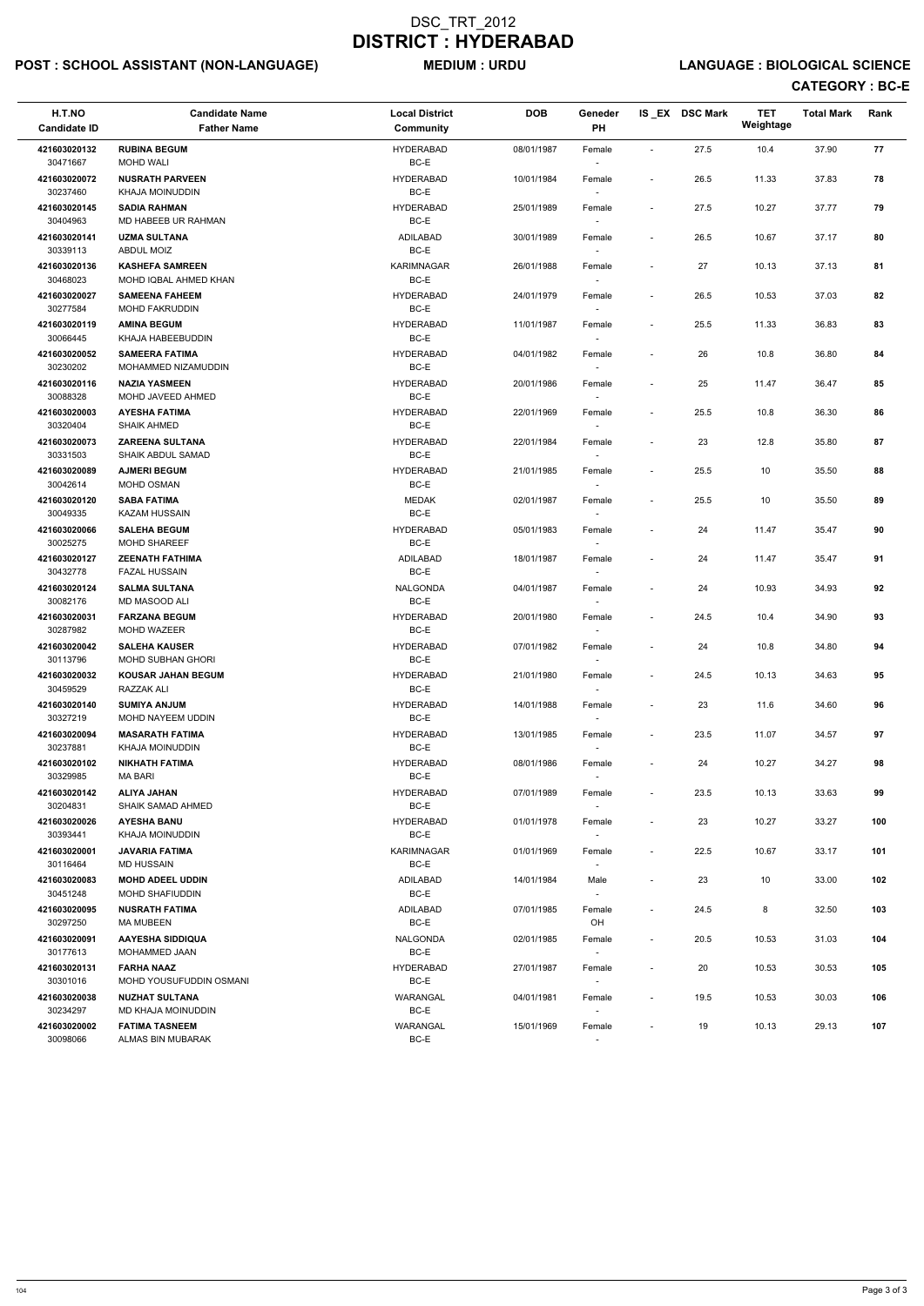# POST : SCHOOL ASSISTANT (NON-LANGUAGE) MEDIUM : URDU LANGUAGE : BIOLOGICAL SCIENCE

| H.T.NO<br><b>Candidate ID</b> | <b>Candidate Name</b><br><b>Father Name</b>       | <b>Local District</b><br><b>Community</b> | <b>DOB</b> | Geneder<br>PH                      |                          | IS EX DSC Mark | <b>TET</b><br>Weightage | <b>Total Mark</b> | Rank |
|-------------------------------|---------------------------------------------------|-------------------------------------------|------------|------------------------------------|--------------------------|----------------|-------------------------|-------------------|------|
| 421603020132<br>30471667      | <b>RUBINA BEGUM</b><br><b>MOHD WALI</b>           | <b>HYDERABAD</b><br>BC-E                  | 08/01/1987 | Female                             | $\sim$                   | 27.5           | 10.4                    | 37.90             | 77   |
| 421603020072<br>30237460      | <b>NUSRATH PARVEEN</b><br><b>KHAJA MOINUDDIN</b>  | <b>HYDERABAD</b><br>BC-E                  | 10/01/1984 | Female                             | $\overline{\phantom{a}}$ | 26.5           | 11.33                   | 37.83             | 78   |
| 421603020145<br>30404963      | <b>SADIA RAHMAN</b><br>MD HABEEB UR RAHMAN        | <b>HYDERABAD</b><br>BC-E                  | 25/01/1989 | Female<br>$\sim$                   | $\overline{\phantom{a}}$ | 27.5           | 10.27                   | 37.77             | 79   |
| 421603020141<br>30339113      | <b>UZMA SULTANA</b><br><b>ABDUL MOIZ</b>          | ADILABAD<br>BC-E                          | 30/01/1989 | Female<br>$\overline{\phantom{a}}$ | $\blacksquare$           | 26.5           | 10.67                   | 37.17             | 80   |
| 421603020136<br>30468023      | <b>KASHEFA SAMREEN</b><br>MOHD IQBAL AHMED KHAN   | <b>KARIMNAGAR</b><br>BC-E                 | 26/01/1988 | Female                             | $\overline{\phantom{a}}$ | 27             | 10.13                   | 37.13             | 81   |
| 421603020027<br>30277584      | <b>SAMEENA FAHEEM</b><br><b>MOHD FAKRUDDIN</b>    | <b>HYDERABAD</b><br>BC-E                  | 24/01/1979 | Female                             | $\blacksquare$           | 26.5           | 10.53                   | 37.03             | 82   |
| 421603020119<br>30066445      | <b>AMINA BEGUM</b><br>KHAJA HABEEBUDDIN           | <b>HYDERABAD</b><br>BC-E                  | 11/01/1987 | Female                             | $\blacksquare$           | 25.5           | 11.33                   | 36.83             | 83   |
| 421603020052<br>30230202      | <b>SAMEERA FATIMA</b><br>MOHAMMED NIZAMUDDIN      | <b>HYDERABAD</b><br>BC-E                  | 04/01/1982 | Female<br>$\overline{\phantom{a}}$ | $\overline{\phantom{a}}$ | 26             | 10.8                    | 36.80             | 84   |
| 421603020116<br>30088328      | <b>NAZIA YASMEEN</b><br>MOHD JAVEED AHMED         | <b>HYDERABAD</b><br>BC-E                  | 20/01/1986 | Female                             | $\overline{\phantom{a}}$ | 25             | 11.47                   | 36.47             | 85   |
| 421603020003<br>30320404      | <b>AYESHA FATIMA</b><br><b>SHAIK AHMED</b>        | <b>HYDERABAD</b><br>BC-E                  | 22/01/1969 | Female                             | $\overline{\phantom{a}}$ | 25.5           | 10.8                    | 36.30             | 86   |
| 421603020073<br>30331503      | <b>ZAREENA SULTANA</b><br>SHAIK ABDUL SAMAD       | <b>HYDERABAD</b><br>BC-E                  | 22/01/1984 | Female                             | $\blacksquare$           | 23             | 12.8                    | 35.80             | 87   |
| 421603020089<br>30042614      | <b>AJMERI BEGUM</b><br>MOHD OSMAN                 | <b>HYDERABAD</b><br>BC-E                  | 21/01/1985 | Female<br>$\sim$                   | $\overline{\phantom{a}}$ | 25.5           | 10                      | 35.50             | 88   |
| 421603020120<br>30049335      | <b>SABA FATIMA</b><br><b>KAZAM HUSSAIN</b>        | <b>MEDAK</b><br>BC-E                      | 02/01/1987 | Female                             | $\blacksquare$           | 25.5           | 10                      | 35.50             | 89   |
| 421603020066<br>30025275      | <b>SALEHA BEGUM</b><br><b>MOHD SHAREEF</b>        | <b>HYDERABAD</b><br>BC-E                  | 05/01/1983 | Female                             | $\overline{\phantom{a}}$ | 24             | 11.47                   | 35.47             | 90   |
| 421603020127<br>30432778      | <b>ZEENATH FATHIMA</b><br><b>FAZAL HUSSAIN</b>    | <b>ADILABAD</b><br>BC-E                   | 18/01/1987 | Female                             | $\sim$                   | 24             | 11.47                   | 35.47             | 91   |
| 421603020124<br>30082176      | <b>SALMA SULTANA</b><br>MD MASOOD ALI             | NALGONDA<br>BC-E                          | 04/01/1987 | Female<br>$\overline{\phantom{a}}$ | $\sim$                   | 24             | 10.93                   | 34.93             | 92   |
| 421603020031<br>30287982      | <b>FARZANA BEGUM</b><br>MOHD WAZEER               | <b>HYDERABAD</b><br>BC-E                  | 20/01/1980 | Female                             | $\overline{\phantom{a}}$ | 24.5           | 10.4                    | 34.90             | 93   |
| 421603020042<br>30113796      | <b>SALEHA KAUSER</b><br><b>MOHD SUBHAN GHORI</b>  | <b>HYDERABAD</b><br>BC-E                  | 07/01/1982 | Female                             | $\overline{\phantom{a}}$ | 24             | 10.8                    | 34.80             | 94   |
| 421603020032<br>30459529      | <b>KOUSAR JAHAN BEGUM</b><br>RAZZAK ALI           | <b>HYDERABAD</b><br>BC-E                  | 21/01/1980 | Female<br>$\sim$                   | $\overline{\phantom{a}}$ | 24.5           | 10.13                   | 34.63             | 95   |
| 421603020140<br>30327219      | <b>SUMIYA ANJUM</b><br>MOHD NAYEEM UDDIN          | <b>HYDERABAD</b><br>BC-E                  | 14/01/1988 | Female<br>$\sim$                   | $\blacksquare$           | 23             | 11.6                    | 34.60             | 96   |
| 421603020094<br>30237881      | <b>MASARATH FATIMA</b><br><b>KHAJA MOINUDDIN</b>  | <b>HYDERABAD</b><br>BC-E                  | 13/01/1985 | Female                             | $\sim$                   | 23.5           | 11.07                   | 34.57             | 97   |
| 421603020102<br>30329985      | <b>NIKHATH FATIMA</b><br>MA BARI                  | <b>HYDERABAD</b><br>BC-E                  | 08/01/1986 | Female                             | $\overline{\phantom{a}}$ | 24             | 10.27                   | 34.27             | 98   |
| 421603020142<br>30204831      | <b>ALIYA JAHAN</b><br><b>SHAIK SAMAD AHMED</b>    | <b>HYDERABAD</b><br>BC-E                  | 07/01/1989 | Female<br>$\sim$                   | $\overline{\phantom{a}}$ | 23.5           | 10.13                   | 33.63             | 99   |
| 421603020026<br>30393441      | <b>AYESHA BANU</b><br>KHAJA MOINUDDIN             | <b>HYDERABAD</b><br>BC-E                  | 01/01/1978 | Female<br>$\sim$                   | $\sim$                   | 23             | 10.27                   | 33.27             | 100  |
| 421603020001<br>30116464      | <b>JAVARIA FATIMA</b><br><b>MD HUSSAIN</b>        | <b>KARIMNAGAR</b><br>BC-E                 | 01/01/1969 | Female<br>$\sim$                   | $\blacksquare$           | 22.5           | 10.67                   | 33.17             | 101  |
| 421603020083<br>30451248      | <b>MOHD ADEEL UDDIN</b><br><b>MOHD SHAFIUDDIN</b> | ADILABAD<br>BC-E                          | 14/01/1984 | Male                               | $\overline{\phantom{a}}$ | 23             | 10                      | 33.00             | 102  |
| 421603020095<br>30297250      | <b>NUSRATH FATIMA</b><br>MA MUBEEN                | ADILABAD<br>BC-E                          | 07/01/1985 | Female<br>OH                       | $\overline{\phantom{a}}$ | 24.5           | 8                       | 32.50             | 103  |
| 421603020091<br>30177613      | AAYESHA SIDDIQUA<br>MOHAMMED JAAN                 | NALGONDA<br>BC-E                          | 02/01/1985 | Female<br>$\sim$                   | $\blacksquare$           | 20.5           | 10.53                   | 31.03             | 104  |
| 421603020131<br>30301016      | <b>FARHA NAAZ</b><br>MOHD YOUSUFUDDIN OSMANI      | <b>HYDERABAD</b><br>BC-E                  | 27/01/1987 | Female<br>$\sim$                   | $\overline{\phantom{a}}$ | 20             | 10.53                   | 30.53             | 105  |

| 421603020038 | <b>NUZHAT SULTANA</b> | WARANGAL | 04/01/1981 | Female | 19.5 | 10.53 | 30.03 | 106 |
|--------------|-----------------------|----------|------------|--------|------|-------|-------|-----|
| 30234297     | MD KHAJA MOINUDDIN    | BC-E     |            |        |      |       |       |     |
| 421603020002 | <b>FATIMA TASNEEM</b> | WARANGAL | 15/01/1969 | Female | 19   | 10.13 | 29.13 | 107 |
| 30098066     | ALMAS BIN MUBARAK     | BC-E     |            |        |      |       |       |     |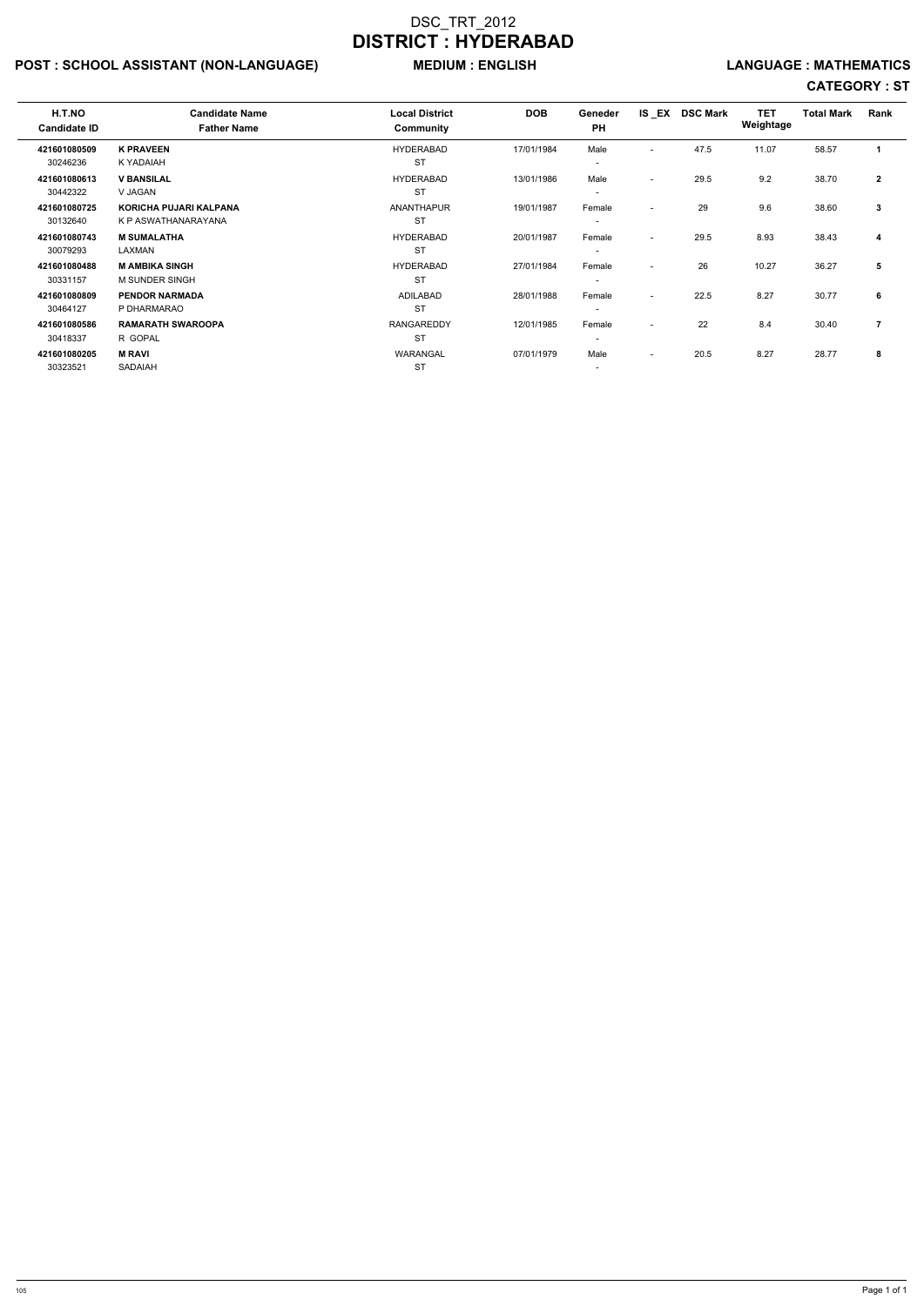# POST : SCHOOL ASSISTANT (NON-LANGUAGE) MEDIUM : ENGLISH LANGUAGE : MATHEMATICS

| H.T.NO<br><b>Candidate ID</b> | <b>Candidate Name</b><br><b>Father Name</b> | <b>Local District</b><br>Community | <b>DOB</b> | Geneder<br><b>PH</b>     | IS _EX                   | <b>DSC Mark</b> | <b>TET</b><br>Weightage | <b>Total Mark</b> | Rank           |  |
|-------------------------------|---------------------------------------------|------------------------------------|------------|--------------------------|--------------------------|-----------------|-------------------------|-------------------|----------------|--|
| 421601080509                  | <b>K PRAVEEN</b>                            | <b>HYDERABAD</b>                   | 17/01/1984 | Male                     | $\overline{\phantom{a}}$ | 47.5            | 11.07                   | 58.57             |                |  |
| 30246236                      | K YADAIAH                                   | <b>ST</b>                          |            | $\overline{\phantom{a}}$ |                          |                 |                         |                   |                |  |
| 421601080613                  | <b>V BANSILAL</b>                           | <b>HYDERABAD</b>                   | 13/01/1986 | Male                     | $\overline{\phantom{a}}$ | 29.5            | 9.2                     | 38.70             | $\mathbf{2}$   |  |
| 30442322                      | V JAGAN                                     | <b>ST</b>                          |            | $\overline{\phantom{a}}$ |                          |                 |                         |                   |                |  |
| 421601080725                  | KORICHA PUJARI KALPANA                      | <b>ANANTHAPUR</b>                  | 19/01/1987 | Female                   | $\overline{\phantom{0}}$ | 29              | 9.6                     | 38.60             | 3              |  |
| 30132640                      | K P ASWATHANARAYANA                         | <b>ST</b>                          |            | $\overline{\phantom{a}}$ |                          |                 |                         |                   |                |  |
| 421601080743                  | <b>M SUMALATHA</b>                          | <b>HYDERABAD</b>                   | 20/01/1987 | Female                   | $\overline{\phantom{a}}$ | 29.5            | 8.93                    | 38.43             | 4              |  |
| 30079293                      | LAXMAN                                      | <b>ST</b>                          |            | $\overline{\phantom{a}}$ |                          |                 |                         |                   |                |  |
| 421601080488                  | <b>M AMBIKA SINGH</b>                       | <b>HYDERABAD</b>                   | 27/01/1984 | Female                   | $\overline{\phantom{a}}$ | 26              | 10.27                   | 36.27             | 5              |  |
| 30331157                      | M SUNDER SINGH                              | <b>ST</b>                          |            | $\overline{\phantom{a}}$ |                          |                 |                         |                   |                |  |
| 421601080809                  | <b>PENDOR NARMADA</b>                       | <b>ADILABAD</b>                    | 28/01/1988 | Female                   | $\overline{\phantom{a}}$ | 22.5            | 8.27                    | 30.77             | 6              |  |
| 30464127                      | P DHARMARAO                                 | <b>ST</b>                          |            | $\overline{\phantom{a}}$ |                          |                 |                         |                   |                |  |
| 421601080586                  | <b>RAMARATH SWAROOPA</b>                    | <b>RANGAREDDY</b>                  | 12/01/1985 | Female                   | $\overline{\phantom{a}}$ | 22              | 8.4                     | 30.40             | $\overline{7}$ |  |
| 30418337                      | R GOPAL                                     | <b>ST</b>                          |            | $\overline{\phantom{a}}$ |                          |                 |                         |                   |                |  |
| 421601080205                  | <b>M RAVI</b>                               | <b>WARANGAL</b>                    | 07/01/1979 | Male                     | $\overline{\phantom{a}}$ | 20.5            | 8.27                    | 28.77             | 8              |  |
| 30323521                      | SADAIAH                                     | <b>ST</b>                          |            | $\overline{\phantom{0}}$ |                          |                 |                         |                   |                |  |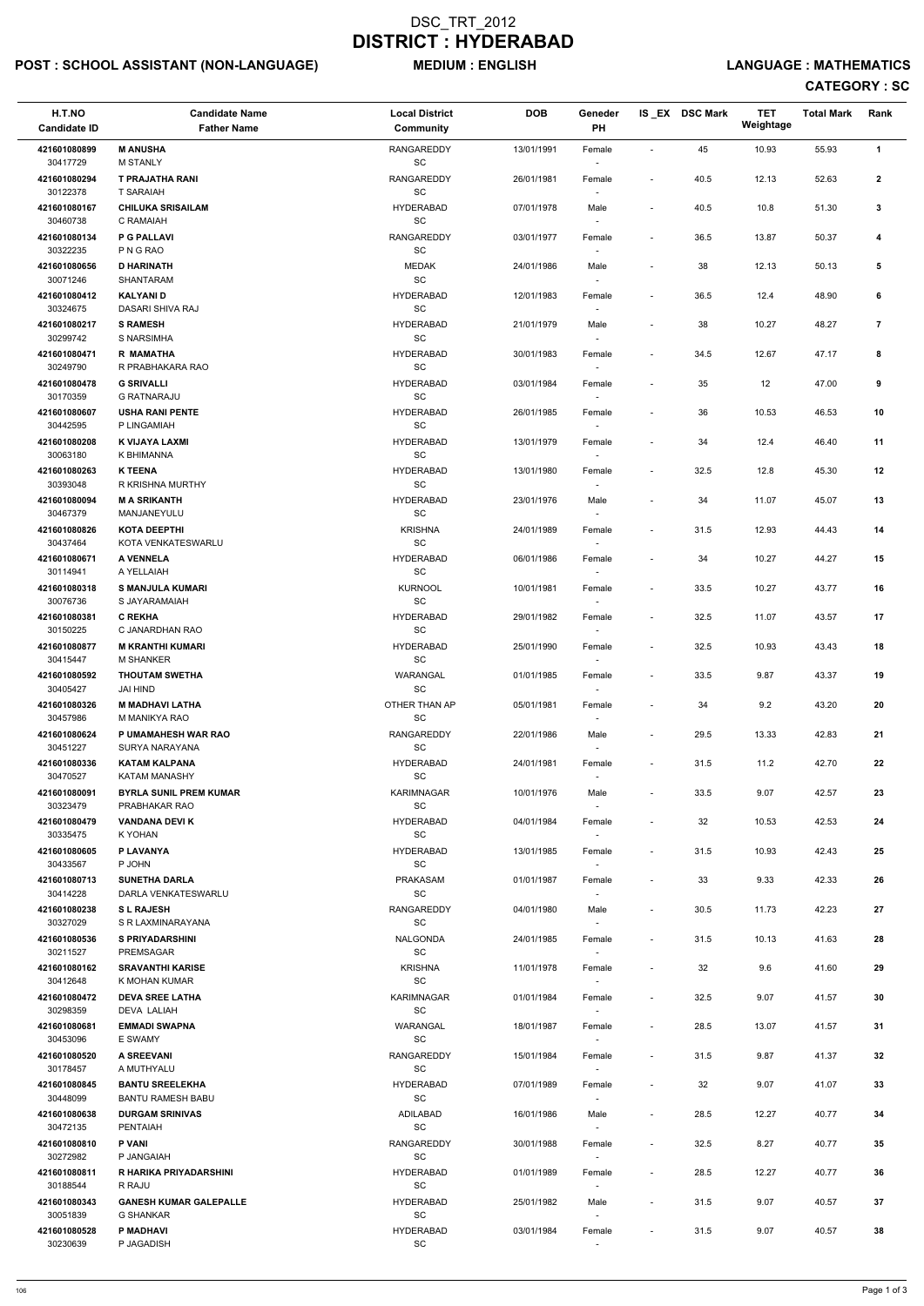# POST : SCHOOL ASSISTANT (NON-LANGUAGE) MEDIUM : ENGLISH LANGUAGE : MATHEMATICS

| H.T.NO<br><b>Candidate ID</b> | <b>Candidate Name</b><br><b>Father Name</b>       | <b>Local District</b><br>Community                | <b>DOB</b> | Geneder<br>PH                      |                          | IS EX DSC Mark | <b>TET</b><br>Weightage | <b>Total Mark</b> | Rank           |
|-------------------------------|---------------------------------------------------|---------------------------------------------------|------------|------------------------------------|--------------------------|----------------|-------------------------|-------------------|----------------|
| 421601080899<br>30417729      | <b>M ANUSHA</b><br><b>M STANLY</b>                | <b>RANGAREDDY</b><br>$\operatorname{\textsf{SC}}$ | 13/01/1991 | Female                             | $\overline{\phantom{a}}$ | 45             | 10.93                   | 55.93             | $\mathbf{1}$   |
| 421601080294<br>30122378      | <b>T PRAJATHA RANI</b><br><b>T SARAIAH</b>        | RANGAREDDY<br>$\operatorname{\textsf{SC}}$        | 26/01/1981 | Female                             | $\overline{\phantom{a}}$ | 40.5           | 12.13                   | 52.63             | $\mathbf{2}$   |
| 421601080167<br>30460738      | <b>CHILUKA SRISAILAM</b><br>C RAMAIAH             | <b>HYDERABAD</b><br>SC                            | 07/01/1978 | Male                               | $\overline{\phantom{a}}$ | 40.5           | 10.8                    | 51.30             | 3              |
| 421601080134                  | <b>P G PALLAVI</b><br>P N G RAO                   | RANGAREDDY<br>$\operatorname{\textsf{SC}}$        | 03/01/1977 | Female                             | $\overline{\phantom{a}}$ | 36.5           | 13.87                   | 50.37             | 4              |
| 30322235<br>421601080656      | <b>D HARINATH</b>                                 | <b>MEDAK</b>                                      | 24/01/1986 | Male                               | $\overline{\phantom{a}}$ | 38             | 12.13                   | 50.13             | ${\bf 5}$      |
| 30071246                      | SHANTARAM                                         | SC                                                |            |                                    |                          |                |                         |                   |                |
| 421601080412<br>30324675      | <b>KALYANID</b><br>DASARI SHIVA RAJ               | <b>HYDERABAD</b><br>SC                            | 12/01/1983 | Female                             | $\blacksquare$           | 36.5           | 12.4                    | 48.90             | 6              |
| 421601080217<br>30299742      | <b>S RAMESH</b><br>S NARSIMHA                     | <b>HYDERABAD</b><br>SC                            | 21/01/1979 | Male<br>$\overline{\phantom{a}}$   | $\overline{a}$           | 38             | 10.27                   | 48.27             | $\overline{7}$ |
| 421601080471<br>30249790      | <b>R MAMATHA</b>                                  | <b>HYDERABAD</b><br>SC                            | 30/01/1983 | Female                             | $\overline{\phantom{a}}$ | 34.5           | 12.67                   | 47.17             | 8              |
| 421601080478                  | R PRABHAKARA RAO<br><b>G SRIVALLI</b>             | <b>HYDERABAD</b>                                  | 03/01/1984 | Female                             | $\overline{\phantom{a}}$ | 35             | 12                      | 47.00             | 9              |
| 30170359                      | <b>G RATNARAJU</b>                                | SC                                                |            |                                    |                          |                |                         |                   |                |
| 421601080607<br>30442595      | <b>USHA RANI PENTE</b><br>P LINGAMIAH             | <b>HYDERABAD</b><br>SC                            | 26/01/1985 | Female                             | $\overline{\phantom{a}}$ | 36             | 10.53                   | 46.53             | 10             |
| 421601080208<br>30063180      | K VIJAYA LAXMI<br>K BHIMANNA                      | <b>HYDERABAD</b><br>$\operatorname{\textsf{SC}}$  | 13/01/1979 | Female                             | $\blacksquare$           | 34             | 12.4                    | 46.40             | 11             |
| 421601080263                  | <b>K TEENA</b>                                    | <b>HYDERABAD</b>                                  | 13/01/1980 | Female                             | $\overline{a}$           | 32.5           | 12.8                    | 45.30             | 12             |
| 30393048<br>421601080094      | R KRISHNA MURTHY<br><b>M A SRIKANTH</b>           | SC<br><b>HYDERABAD</b>                            | 23/01/1976 | Male                               | $\overline{\phantom{a}}$ | 34             | 11.07                   | 45.07             | 13             |
| 30467379<br>421601080826      | MANJANEYULU<br><b>KOTA DEEPTHI</b>                | SC<br><b>KRISHNA</b>                              | 24/01/1989 | $\overline{\phantom{a}}$<br>Female | $\blacksquare$           | 31.5           | 12.93                   | 44.43             | 14             |
| 30437464                      | KOTA VENKATESWARLU                                | $\operatorname{\textsf{SC}}$                      |            |                                    |                          |                |                         |                   |                |
| 421601080671<br>30114941      | A VENNELA<br>A YELLAIAH                           | <b>HYDERABAD</b><br>SC                            | 06/01/1986 | Female                             | $\overline{\phantom{a}}$ | 34             | 10.27                   | 44.27             | 15             |
| 421601080318<br>30076736      | <b>S MANJULA KUMARI</b><br>S JAYARAMAIAH          | <b>KURNOOL</b><br>SC                              | 10/01/1981 | Female<br>$\overline{\phantom{a}}$ | $\overline{\phantom{a}}$ | 33.5           | 10.27                   | 43.77             | 16             |
| 421601080381<br>30150225      | <b>C REKHA</b><br>C JANARDHAN RAO                 | <b>HYDERABAD</b><br>SC                            | 29/01/1982 | Female                             | $\overline{\phantom{a}}$ | 32.5           | 11.07                   | 43.57             | 17             |
| 421601080877                  | <b>M KRANTHI KUMARI</b>                           | <b>HYDERABAD</b>                                  | 25/01/1990 | Female                             | $\overline{\phantom{a}}$ | 32.5           | 10.93                   | 43.43             | 18             |
| 30415447<br>421601080592      | <b>M SHANKER</b><br><b>THOUTAM SWETHA</b>         | <b>SC</b><br>WARANGAL                             | 01/01/1985 | Female                             | $\overline{\phantom{a}}$ | 33.5           | 9.87                    | 43.37             | 19             |
| 30405427<br>421601080326      | JAI HIND<br><b>M MADHAVI LATHA</b>                | SC<br>OTHER THAN AP                               | 05/01/1981 | Female                             | $\overline{\phantom{a}}$ | 34             | 9.2                     | 43.20             | 20             |
| 30457986<br>421601080624      | M MANIKYA RAO<br>P UMAMAHESH WAR RAO              | SC<br>RANGAREDDY                                  | 22/01/1986 | Male                               | $\overline{\phantom{a}}$ | 29.5           | 13.33                   | 42.83             | 21             |
| 30451227<br>421601080336      | SURYA NARAYANA<br><b>KATAM KALPANA</b>            | <b>SC</b><br><b>HYDERABAD</b>                     | 24/01/1981 | Female                             | $\overline{\phantom{a}}$ | 31.5           | 11.2                    | 42.70             | 22             |
| 30470527                      | <b>KATAM MANASHY</b>                              | <b>SC</b>                                         |            |                                    |                          |                |                         |                   |                |
| 421601080091<br>30323479      | <b>BYRLA SUNIL PREM KUMAR</b><br>PRABHAKAR RAO    | <b>KARIMNAGAR</b><br>SC                           | 10/01/1976 | Male<br>$\overline{\phantom{a}}$   | $\overline{\phantom{a}}$ | 33.5           | 9.07                    | 42.57             | 23             |
| 421601080479<br>30335475      | <b>VANDANA DEVI K</b>                             | <b>HYDERABAD</b><br><b>SC</b>                     | 04/01/1984 | Female                             | $\overline{\phantom{a}}$ | 32             | 10.53                   | 42.53             | 24             |
| 421601080605                  | K YOHAN<br>P LAVANYA                              | <b>HYDERABAD</b>                                  | 13/01/1985 | $\sim$<br>Female                   | $\overline{\phantom{a}}$ | 31.5           | 10.93                   | 42.43             | 25             |
| 30433567                      | P JOHN                                            | SC                                                |            | $\sim$                             |                          |                |                         |                   |                |
| 421601080713<br>30414228      | <b>SUNETHA DARLA</b><br>DARLA VENKATESWARLU       | <b>PRAKASAM</b><br><b>SC</b>                      | 01/01/1987 | Female                             | $\overline{\phantom{a}}$ | 33             | 9.33                    | 42.33             | 26             |
| 421601080238<br>30327029      | <b>SL RAJESH</b><br>S R LAXMINARAYANA             | RANGAREDDY<br>SC                                  | 04/01/1980 | Male<br>$\sim$                     | $\overline{\phantom{a}}$ | 30.5           | 11.73                   | 42.23             | 27             |
| 421601080536<br>30211527      | <b>S PRIYADARSHINI</b><br><b>PREMSAGAR</b>        | <b>NALGONDA</b><br>SC                             | 24/01/1985 | Female                             | $\overline{\phantom{a}}$ | 31.5           | 10.13                   | 41.63             | 28             |
| 421601080162                  | <b>SRAVANTHI KARISE</b>                           | <b>KRISHNA</b>                                    | 11/01/1978 | Female                             | $\overline{\phantom{a}}$ | 32             | 9.6                     | 41.60             | 29             |
| 30412648<br>421601080472      | K MOHAN KUMAR<br><b>DEVA SREE LATHA</b>           | SC<br><b>KARIMNAGAR</b>                           |            |                                    | $\overline{\phantom{a}}$ | 32.5           | 9.07                    | 41.57             | 30             |
| 30298359                      | <b>DEVA LALIAH</b>                                | <b>SC</b>                                         | 01/01/1984 | Female                             |                          |                |                         |                   |                |
| 421601080681<br>30453096      | <b>EMMADI SWAPNA</b><br>E SWAMY                   | <b>WARANGAL</b><br><b>SC</b>                      | 18/01/1987 | Female                             | $\overline{\phantom{a}}$ | 28.5           | 13.07                   | 41.57             | 31             |
| 421601080520                  | <b>A SREEVANI</b>                                 | RANGAREDDY                                        | 15/01/1984 | Female                             | $\overline{\phantom{a}}$ | 31.5           | 9.87                    | 41.37             | 32             |
| 30178457<br>421601080845      | A MUTHYALU<br><b>BANTU SREELEKHA</b>              | SC<br><b>HYDERABAD</b>                            | 07/01/1989 | Female                             |                          | 32             | 9.07                    | 41.07             | 33             |
| 30448099                      | <b>BANTU RAMESH BABU</b>                          | SC                                                |            | $\overline{\phantom{a}}$           |                          |                |                         |                   |                |
| 421601080638<br>30472135      | <b>DURGAM SRINIVAS</b><br><b>PENTAIAH</b>         | ADILABAD<br>SC                                    | 16/01/1986 | Male<br>$\sim$                     | $\overline{\phantom{a}}$ | 28.5           | 12.27                   | 40.77             | 34             |
| 421601080810<br>30272982      | <b>P VANI</b><br>P JANGAIAH                       | <b>RANGAREDDY</b><br>SC                           | 30/01/1988 | Female<br>$\overline{\phantom{a}}$ | $\overline{\phantom{a}}$ | 32.5           | 8.27                    | 40.77             | 35             |
| 421601080811<br>30188544      | R HARIKA PRIYADARSHINI<br>R RAJU                  | <b>HYDERABAD</b><br>SC                            | 01/01/1989 | Female<br>$\overline{\phantom{a}}$ | $\overline{\phantom{a}}$ | 28.5           | 12.27                   | 40.77             | 36             |
| 421601080343<br>30051839      | <b>GANESH KUMAR GALEPALLE</b><br><b>G SHANKAR</b> | <b>HYDERABAD</b><br>SC                            | 25/01/1982 | Male                               | $\overline{\phantom{a}}$ | 31.5           | 9.07                    | 40.57             | 37             |
| 421601080528<br>30230639      | P MADHAVI<br>P JAGADISH                           | <b>HYDERABAD</b><br>SC                            | 03/01/1984 | Female                             | $\overline{\phantom{a}}$ | 31.5           | 9.07                    | 40.57             | 38             |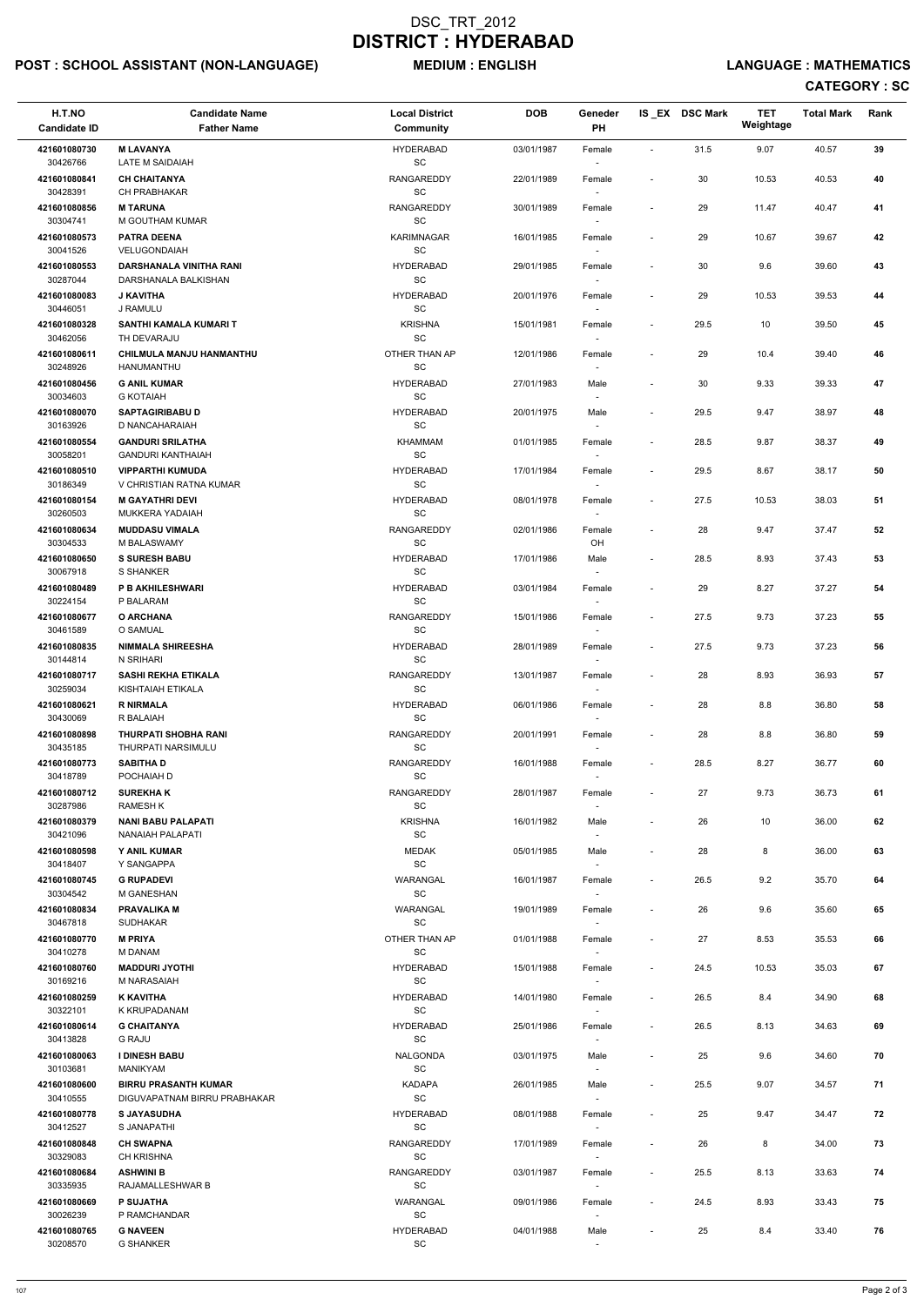# POST : SCHOOL ASSISTANT (NON-LANGUAGE) MEDIUM : ENGLISH LANGUAGE : MATHEMATICS

| H.T.NO<br><b>Candidate ID</b> | <b>Candidate Name</b><br><b>Father Name</b>        | <b>Local District</b><br><b>Community</b>        | <b>DOB</b> | Geneder<br>PH                      |                          | IS_EX DSC Mark | <b>TET</b><br>Weightage | <b>Total Mark</b> | Rank |
|-------------------------------|----------------------------------------------------|--------------------------------------------------|------------|------------------------------------|--------------------------|----------------|-------------------------|-------------------|------|
| 421601080730<br>30426766      | <b>M LAVANYA</b><br><b>LATE M SAIDAIAH</b>         | <b>HYDERABAD</b><br>SC                           | 03/01/1987 | Female                             | $\overline{\phantom{a}}$ | 31.5           | 9.07                    | 40.57             | 39   |
| 421601080841<br>30428391      | <b>CH CHAITANYA</b><br>CH PRABHAKAR                | <b>RANGAREDDY</b><br>SC                          | 22/01/1989 | Female<br>$\overline{\phantom{a}}$ | $\overline{\phantom{a}}$ | 30             | 10.53                   | 40.53             | 40   |
| 421601080856<br>30304741      | <b>M TARUNA</b><br>M GOUTHAM KUMAR                 | <b>RANGAREDDY</b><br>SC                          | 30/01/1989 | Female<br>$\overline{\phantom{a}}$ |                          | 29             | 11.47                   | 40.47             | 41   |
| 421601080573<br>30041526      | <b>PATRA DEENA</b><br><b>VELUGONDAIAH</b>          | <b>KARIMNAGAR</b><br><b>SC</b>                   | 16/01/1985 | Female<br>$\overline{\phantom{a}}$ | $\blacksquare$           | 29             | 10.67                   | 39.67             | 42   |
| 421601080553                  | <b>DARSHANALA VINITHA RANI</b>                     | <b>HYDERABAD</b>                                 | 29/01/1985 | Female                             |                          | 30             | 9.6                     | 39.60             | 43   |
| 30287044<br>421601080083      | DARSHANALA BALKISHAN<br><b>J KAVITHA</b>           | SC<br><b>HYDERABAD</b>                           | 20/01/1976 | Female                             | $\blacksquare$           | 29             | 10.53                   | 39.53             | 44   |
| 30446051                      | J RAMULU                                           | SC                                               |            |                                    |                          |                |                         |                   |      |
| 421601080328<br>30462056      | SANTHI KAMALA KUMARI T<br>TH DEVARAJU              | <b>KRISHNA</b><br>$\operatorname{\textsf{SC}}$   | 15/01/1981 | Female<br>$\overline{\phantom{a}}$ |                          | 29.5           | 10                      | 39.50             | 45   |
| 421601080611<br>30248926      | CHILMULA MANJU HANMANTHU<br>HANUMANTHU             | OTHER THAN AP<br>SC                              | 12/01/1986 | Female<br>$\overline{\phantom{a}}$ | $\overline{\phantom{a}}$ | 29             | 10.4                    | 39.40             | 46   |
| 421601080456<br>30034603      | <b>G ANIL KUMAR</b><br><b>G KOTAIAH</b>            | <b>HYDERABAD</b><br>SC                           | 27/01/1983 | Male<br>$\sim$                     | $\blacksquare$           | 30             | 9.33                    | 39.33             | 47   |
| 421601080070                  | <b>SAPTAGIRIBABU D</b>                             | <b>HYDERABAD</b>                                 | 20/01/1975 | Male                               | $\overline{\phantom{a}}$ | 29.5           | 9.47                    | 38.97             | 48   |
| 30163926<br>421601080554      | D NANCAHARAIAH<br><b>GANDURI SRILATHA</b>          | SC<br><b>KHAMMAM</b>                             | 01/01/1985 | Female                             | $\blacksquare$           | 28.5           | 9.87                    | 38.37             | 49   |
| 30058201                      | <b>GANDURI KANTHAIAH</b>                           | SC                                               |            | $\overline{\phantom{a}}$           |                          |                |                         |                   |      |
| 421601080510<br>30186349      | <b>VIPPARTHI KUMUDA</b><br>V CHRISTIAN RATNA KUMAR | <b>HYDERABAD</b><br><b>SC</b>                    | 17/01/1984 | Female<br>$\overline{\phantom{a}}$ |                          | 29.5           | 8.67                    | 38.17             | 50   |
| 421601080154<br>30260503      | <b>M GAYATHRI DEVI</b><br><b>MUKKERA YADAIAH</b>   | <b>HYDERABAD</b><br>SC                           | 08/01/1978 | Female<br>$\overline{\phantom{a}}$ | $\overline{\phantom{a}}$ | 27.5           | 10.53                   | 38.03             | 51   |
| 421601080634                  | <b>MUDDASU VIMALA</b>                              | RANGAREDDY                                       | 02/01/1986 | Female                             | $\blacksquare$           | 28             | 9.47                    | 37.47             | 52   |
| 30304533<br>421601080650      | M BALASWAMY<br><b>S SURESH BABU</b>                | SC<br><b>HYDERABAD</b>                           | 17/01/1986 | OH<br>Male                         | $\overline{\phantom{a}}$ | 28.5           | 8.93                    | 37.43             | 53   |
| 30067918                      | S SHANKER                                          | SC                                               |            |                                    |                          |                |                         |                   |      |
| 421601080489<br>30224154      | <b>P B AKHILESHWARI</b><br>P BALARAM               | <b>HYDERABAD</b><br>SC                           | 03/01/1984 | Female<br>$\overline{\phantom{a}}$ |                          | 29             | 8.27                    | 37.27             | 54   |
| 421601080677<br>30461589      | <b>O ARCHANA</b><br>O SAMUAL                       | <b>RANGAREDDY</b><br><b>SC</b>                   | 15/01/1986 | Female                             | $\overline{\phantom{a}}$ | 27.5           | 9.73                    | 37.23             | 55   |
| 421601080835                  | <b>NIMMALA SHIREESHA</b>                           | <b>HYDERABAD</b>                                 | 28/01/1989 | Female                             | $\overline{\phantom{a}}$ | 27.5           | 9.73                    | 37.23             | 56   |
| 30144814<br>421601080717      | N SRIHARI<br><b>SASHI REKHA ETIKALA</b>            | SC<br><b>RANGAREDDY</b>                          | 13/01/1987 | $\sim$<br>Female                   | $\blacksquare$           | 28             | 8.93                    | 36.93             | 57   |
| 30259034<br>421601080621      | KISHTAIAH ETIKALA<br><b>R NIRMALA</b>              | <b>SC</b><br><b>HYDERABAD</b>                    | 06/01/1986 | $\sim$<br>Female                   |                          | 28             | $8.8\,$                 | 36.80             | 58   |
| 30430069<br>421601080898      | R BALAIAH<br><b>THURPATI SHOBHA RANI</b>           | SC<br><b>RANGAREDDY</b>                          | 20/01/1991 | $\sim$<br>Female                   |                          | 28             | 8.8                     | 36.80             | 59   |
| 30435185<br>421601080773      | THURPATI NARSIMULU<br><b>SABITHA D</b>             | <b>SC</b><br><b>RANGAREDDY</b>                   | 16/01/1988 | Female                             | $\blacksquare$           | 28.5           | 8.27                    | 36.77             | 60   |
| 30418789                      | POCHAIAH D                                         | <b>SC</b>                                        |            |                                    |                          |                |                         |                   |      |
| 421601080712<br>30287986      | <b>SUREKHAK</b><br><b>RAMESH K</b>                 | <b>RANGAREDDY</b><br>SC                          | 28/01/1987 | Female<br>$\overline{\phantom{a}}$ | $\blacksquare$           | 27             | 9.73                    | 36.73             | 61   |
| 421601080379                  | <b>NANI BABU PALAPATI</b>                          | <b>KRISHNA</b>                                   | 16/01/1982 | Male                               | $\overline{\phantom{a}}$ | 26             | 10                      | 36.00             | 62   |
| 30421096<br>421601080598      | NANAIAH PALAPATI<br><b>Y ANIL KUMAR</b>            | <b>SC</b><br><b>MEDAK</b>                        | 05/01/1985 | $\sim$<br>Male                     | $\blacksquare$           | 28             | 8                       | 36.00             | 63   |
| 30418407                      | Y SANGAPPA                                         | $\operatorname{\textsf{SC}}$                     |            | $\sim$                             |                          |                |                         |                   |      |
| 421601080745<br>30304542      | <b>G RUPADEVI</b><br>M GANESHAN                    | WARANGAL<br>SC                                   | 16/01/1987 | Female                             | $\overline{\phantom{a}}$ | 26.5           | 9.2                     | 35.70             | 64   |
| 421601080834<br>30467818      | <b>PRAVALIKA M</b><br><b>SUDHAKAR</b>              | WARANGAL<br>SC                                   | 19/01/1989 | Female<br>$\sim$                   | $\blacksquare$           | 26             | 9.6                     | 35.60             | 65   |
| 421601080770                  | <b>M PRIYA</b>                                     | OTHER THAN AP                                    | 01/01/1988 | Female                             |                          | 27             | 8.53                    | 35.53             | 66   |
| 30410278<br>421601080760      | <b>M DANAM</b><br><b>MADDURI JYOTHI</b>            | SC<br><b>HYDERABAD</b>                           | 15/01/1988 | $\sim$<br>Female                   | $\overline{\phantom{a}}$ | 24.5           | 10.53                   | 35.03             | 67   |
| 30169216                      | <b>M NARASAIAH</b>                                 | SC                                               |            | $\sim$                             |                          |                |                         |                   |      |
| 421601080259<br>30322101      | <b>K KAVITHA</b><br>K KRUPADANAM                   | <b>HYDERABAD</b><br><b>SC</b>                    | 14/01/1980 | Female                             | $\overline{\phantom{a}}$ | 26.5           | 8.4                     | 34.90             | 68   |
| 421601080614<br>30413828      | <b>G CHAITANYA</b><br><b>G RAJU</b>                | <b>HYDERABAD</b><br>SC                           | 25/01/1986 | Female<br>$\overline{\phantom{a}}$ | $\overline{\phantom{a}}$ | 26.5           | 8.13                    | 34.63             | 69   |
| 421601080063                  | <b>I DINESH BABU</b>                               | <b>NALGONDA</b>                                  | 03/01/1975 | Male                               |                          | 25             | 9.6                     | 34.60             | 70   |
| 30103681<br>421601080600      | MANIKYAM<br><b>BIRRU PRASANTH KUMAR</b>            | SC<br><b>KADAPA</b>                              | 26/01/1985 | Male                               |                          | 25.5           | 9.07                    | 34.57             | 71   |
| 30410555                      | DIGUVAPATNAM BIRRU PRABHAKAR                       | SC                                               |            | $\overline{\phantom{a}}$           |                          |                |                         |                   |      |
| 421601080778<br>30412527      | <b>S JAYASUDHA</b><br>S JANAPATHI                  | <b>HYDERABAD</b><br>SC                           | 08/01/1988 | Female<br>$\sim$                   |                          | 25             | 9.47                    | 34.47             | 72   |
| 421601080848<br>30329083      | <b>CH SWAPNA</b><br><b>CH KRISHNA</b>              | <b>RANGAREDDY</b><br>SC                          | 17/01/1989 | Female<br>$\sim$                   | $\overline{\phantom{a}}$ | 26             | 8                       | 34.00             | 73   |
| 421601080684                  | <b>ASHWINI B</b>                                   | RANGAREDDY                                       | 03/01/1987 | Female                             | $\overline{\phantom{a}}$ | 25.5           | 8.13                    | 33.63             | 74   |
| 30335935<br>421601080669      | RAJAMALLESHWAR B<br>P SUJATHA                      | SC<br>WARANGAL                                   | 09/01/1986 | $\sim$<br>Female                   | $\overline{\phantom{a}}$ | 24.5           | 8.93                    | 33.43             | 75   |
| 30026239<br>421601080765      | P RAMCHANDAR<br><b>G NAVEEN</b>                    | $\operatorname{\textsf{SC}}$<br><b>HYDERABAD</b> | 04/01/1988 | Male                               | $\overline{\phantom{a}}$ | 25             | 8.4                     | 33.40             | 76   |
| 30208570                      | <b>G SHANKER</b>                                   | SC                                               |            | $\sim$                             |                          |                |                         |                   |      |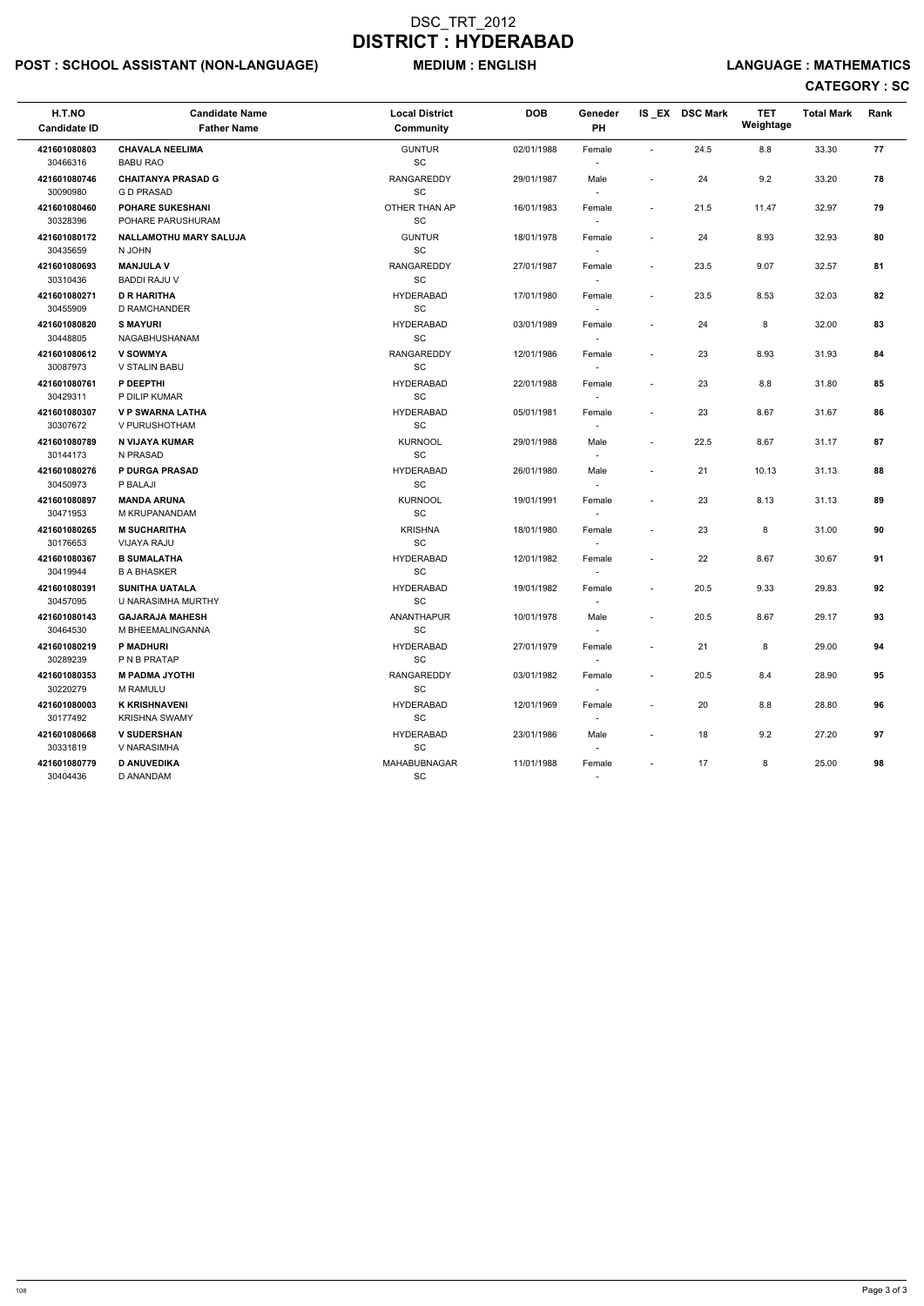# POST : SCHOOL ASSISTANT (NON-LANGUAGE) MEDIUM : ENGLISH LANGUAGE : MATHEMATICS

| H.T.NO<br><b>Candidate ID</b> | <b>Candidate Name</b><br><b>Father Name</b>   | <b>Local District</b><br>Community | <b>DOB</b> | Geneder<br><b>PH</b>               |                          | IS EX DSC Mark | <b>TET</b><br>Weightage | <b>Total Mark</b> | Rank |
|-------------------------------|-----------------------------------------------|------------------------------------|------------|------------------------------------|--------------------------|----------------|-------------------------|-------------------|------|
| 421601080803<br>30466316      | <b>CHAVALA NEELIMA</b><br><b>BABU RAO</b>     | <b>GUNTUR</b><br><b>SC</b>         | 02/01/1988 | Female                             | $\overline{\phantom{a}}$ | 24.5           | 8.8                     | 33.30             | 77   |
| 421601080746<br>30090980      | <b>CHAITANYA PRASAD G</b><br><b>GD PRASAD</b> | RANGAREDDY<br>SC                   | 29/01/1987 | Male<br>$\sim$                     |                          | 24             | 9.2                     | 33.20             | 78   |
| 421601080460<br>30328396      | <b>POHARE SUKESHANI</b><br>POHARE PARUSHURAM  | OTHER THAN AP<br>SC                | 16/01/1983 | Female                             | $\sim$                   | 21.5           | 11.47                   | 32.97             | 79   |
| 421601080172<br>30435659      | <b>NALLAMOTHU MARY SALUJA</b><br>N JOHN       | <b>GUNTUR</b><br>SC                | 18/01/1978 | Female                             | $\overline{\phantom{a}}$ | 24             | 8.93                    | 32.93             | 80   |
| 421601080693<br>30310436      | <b>MANJULA V</b><br><b>BADDI RAJU V</b>       | <b>RANGAREDDY</b><br>SC            | 27/01/1987 | Female<br>$\overline{\phantom{a}}$ | $\overline{\phantom{a}}$ | 23.5           | 9.07                    | 32.57             | 81   |
| 421601080271<br>30455909      | <b>D R HARITHA</b><br>D RAMCHANDER            | <b>HYDERABAD</b><br><b>SC</b>      | 17/01/1980 | Female<br>$\sim$                   | $\overline{\phantom{a}}$ | 23.5           | 8.53                    | 32.03             | 82   |
| 421601080820<br>30448805      | <b>S MAYURI</b><br>NAGABHUSHANAM              | <b>HYDERABAD</b><br>SC             | 03/01/1989 | Female                             | $\overline{\phantom{a}}$ | 24             | 8                       | 32.00             | 83   |
| 421601080612<br>30087973      | <b>V SOWMYA</b><br>V STALIN BABU              | <b>RANGAREDDY</b><br><b>SC</b>     | 12/01/1986 | Female                             | $\sim$                   | 23             | 8.93                    | 31.93             | 84   |
| 421601080761<br>30429311      | P DEEPTHI<br>P DILIP KUMAR                    | <b>HYDERABAD</b><br><b>SC</b>      | 22/01/1988 | Female<br>$\sim$                   | $\overline{\phantom{a}}$ | 23             | 8.8                     | 31.80             | 85   |
| 421601080307<br>30307672      | <b>V P SWARNA LATHA</b><br>V PURUSHOTHAM      | <b>HYDERABAD</b><br><b>SC</b>      | 05/01/1981 | Female                             | $\overline{\phantom{a}}$ | 23             | 8.67                    | 31.67             | 86   |
| 421601080789<br>30144173      | N VIJAYA KUMAR<br>N PRASAD                    | <b>KURNOOL</b><br>SC               | 29/01/1988 | Male                               | $\overline{\phantom{a}}$ | 22.5           | 8.67                    | 31.17             | 87   |
| 421601080276<br>30450973      | <b>P DURGA PRASAD</b><br>P BALAJI             | <b>HYDERABAD</b><br><b>SC</b>      | 26/01/1980 | Male                               |                          | 21             | 10.13                   | 31.13             | 88   |
| 421601080897<br>30471953      | <b>MANDA ARUNA</b><br>M KRUPANANDAM           | <b>KURNOOL</b><br>SC               | 19/01/1991 | Female<br>$\overline{\phantom{a}}$ | $\overline{\phantom{a}}$ | 23             | 8.13                    | 31.13             | 89   |
| 421601080265<br>30176653      | <b>M SUCHARITHA</b><br><b>VIJAYA RAJU</b>     | <b>KRISHNA</b><br><b>SC</b>        | 18/01/1980 | Female<br>$\overline{\phantom{a}}$ | $\overline{\phantom{a}}$ | 23             | 8                       | 31.00             | 90   |
| 421601080367<br>30419944      | <b>B SUMALATHA</b><br><b>B A BHASKER</b>      | <b>HYDERABAD</b><br>SC             | 12/01/1982 | Female                             | $\overline{\phantom{a}}$ | 22             | 8.67                    | 30.67             | 91   |
| 421601080391<br>30457095      | <b>SUNITHA UATALA</b><br>U NARASIMHA MURTHY   | <b>HYDERABAD</b><br>SC             | 19/01/1982 | Female                             |                          | 20.5           | 9.33                    | 29.83             | 92   |
| 421601080143<br>30464530      | <b>GAJARAJA MAHESH</b><br>M BHEEMALINGANNA    | ANANTHAPUR<br>SC                   | 10/01/1978 | Male<br>$\sim$                     | $\overline{\phantom{a}}$ | 20.5           | 8.67                    | 29.17             | 93   |
| 421601080219<br>30289239      | <b>P MADHURI</b><br>P N B PRATAP              | <b>HYDERABAD</b><br>SC             | 27/01/1979 | Female<br>$\sim$                   | $\sim$                   | 21             | 8                       | 29.00             | 94   |
| 421601080353<br>30220279      | <b>M PADMA JYOTHI</b><br>M RAMULU             | <b>RANGAREDDY</b><br>SC            | 03/01/1982 | Female                             | $\sim$                   | 20.5           | 8.4                     | 28.90             | 95   |
| 421601080003<br>30177492      | <b>K KRISHNAVENI</b><br><b>KRISHNA SWAMY</b>  | <b>HYDERABAD</b><br>SC             | 12/01/1969 | Female                             |                          | 20             | 8.8                     | 28.80             | 96   |
| 421601080668<br>30331819      | <b>V SUDERSHAN</b><br>V NARASIMHA             | <b>HYDERABAD</b><br>SC             | 23/01/1986 | Male                               |                          | 18             | 9.2                     | 27.20             | 97   |
| 421601080779<br>30404436      | <b>D ANUVEDIKA</b><br>D ANANDAM               | MAHABUBNAGAR<br>SC                 | 11/01/1988 | Female<br>$\sim$                   | $\sim$                   | 17             | 8                       | 25.00             | 98   |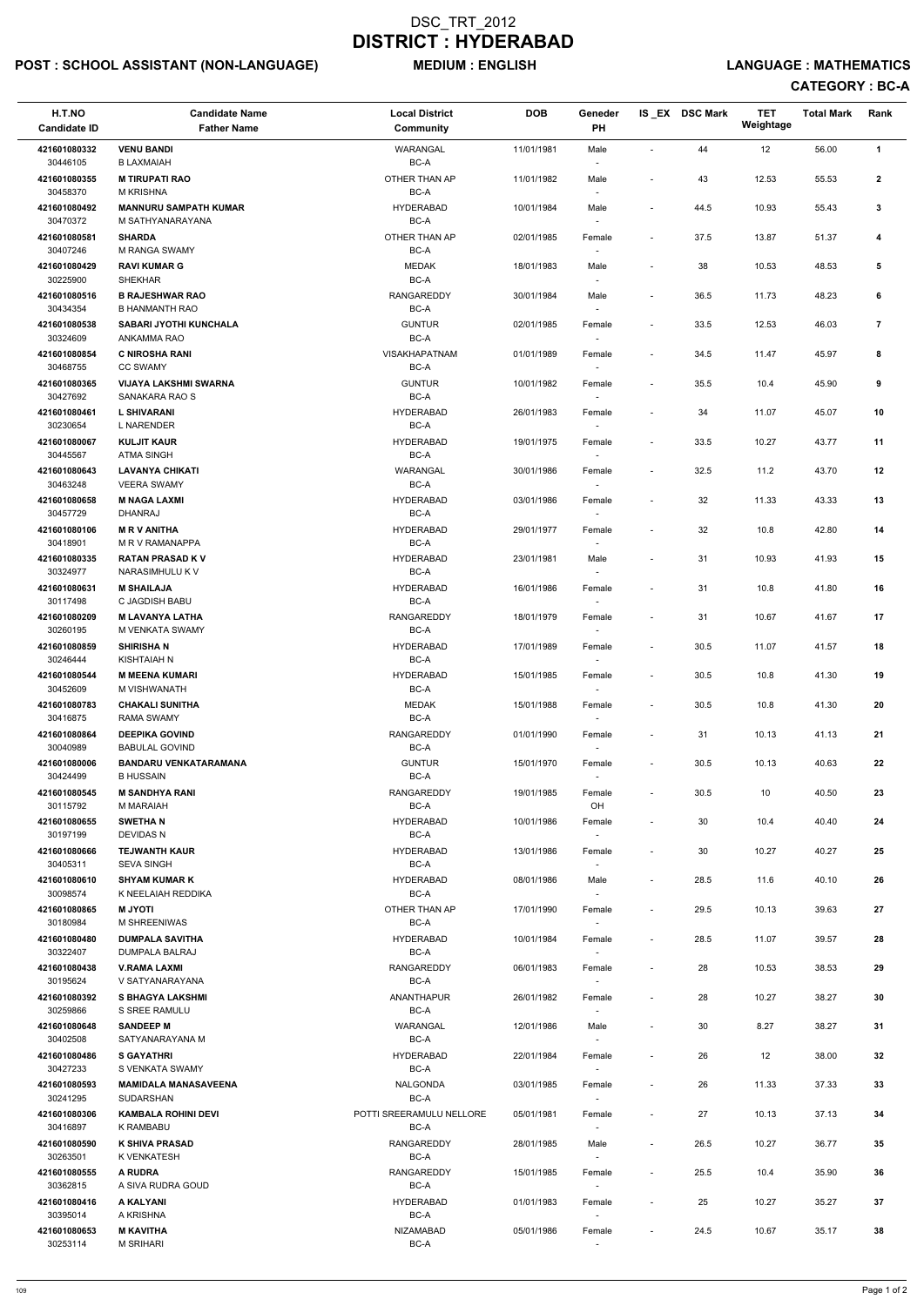## POST : SCHOOL ASSISTANT (NON-LANGUAGE) MEDIUM : ENGLISH LANGUAGE : MATHEMATICS

| H.T.NO                   | <b>Candidate Name</b>                            | <b>Local District</b>            | <b>DOB</b> | Geneder                            |                          | IS_EX DSC Mark | <b>TET</b><br>Weightage | <b>Total Mark</b> | Rank                    |  |
|--------------------------|--------------------------------------------------|----------------------------------|------------|------------------------------------|--------------------------|----------------|-------------------------|-------------------|-------------------------|--|
| <b>Candidate ID</b>      | <b>Father Name</b>                               | <b>Community</b>                 |            | PH                                 |                          |                |                         |                   |                         |  |
| 421601080332<br>30446105 | <b>VENU BANDI</b><br><b>B LAXMAIAH</b>           | WARANGAL<br>BC-A                 | 11/01/1981 | Male                               | $\blacksquare$           | 44             | 12                      | 56.00             | 1                       |  |
| 421601080355<br>30458370 | <b>M TIRUPATI RAO</b><br><b>M KRISHNA</b>        | OTHER THAN AP<br>BC-A            | 11/01/1982 | Male                               | $\overline{\phantom{a}}$ | 43             | 12.53                   | 55.53             | $\mathbf{2}$            |  |
| 421601080492<br>30470372 | <b>MANNURU SAMPATH KUMAR</b><br>M SATHYANARAYANA | <b>HYDERABAD</b><br>BC-A         | 10/01/1984 | Male                               | $\overline{\phantom{a}}$ | 44.5           | 10.93                   | 55.43             | 3                       |  |
| 421601080581<br>30407246 | <b>SHARDA</b><br><b>M RANGA SWAMY</b>            | OTHER THAN AP<br>BC-A            | 02/01/1985 | Female                             | $\overline{\phantom{a}}$ | 37.5           | 13.87                   | 51.37             | 4                       |  |
| 421601080429<br>30225900 | <b>RAVI KUMAR G</b><br><b>SHEKHAR</b>            | <b>MEDAK</b><br>BC-A             | 18/01/1983 | Male                               | $\overline{\phantom{a}}$ | 38             | 10.53                   | 48.53             | 5                       |  |
| 421601080516<br>30434354 | <b>B RAJESHWAR RAO</b><br><b>B HANMANTH RAO</b>  | RANGAREDDY<br>BC-A               | 30/01/1984 | Male                               | $\overline{\phantom{a}}$ | 36.5           | 11.73                   | 48.23             | 6                       |  |
| 421601080538<br>30324609 | <b>SABARI JYOTHI KUNCHALA</b><br>ANKAMMA RAO     | <b>GUNTUR</b><br>BC-A            | 02/01/1985 | Female                             | $\overline{\phantom{a}}$ | 33.5           | 12.53                   | 46.03             | $\overline{\mathbf{r}}$ |  |
| 421601080854<br>30468755 | <b>C NIROSHA RANI</b><br><b>CC SWAMY</b>         | <b>VISAKHAPATNAM</b><br>BC-A     | 01/01/1989 | Female                             | $\overline{\phantom{a}}$ | 34.5           | 11.47                   | 45.97             | 8                       |  |
| 421601080365             | <b>VIJAYA LAKSHMI SWARNA</b>                     | <b>GUNTUR</b>                    | 10/01/1982 | Female                             | $\overline{\phantom{a}}$ | 35.5           | 10.4                    | 45.90             | 9                       |  |
| 30427692<br>421601080461 | SANAKARA RAO S<br><b>L SHIVARANI</b>             | BC-A<br><b>HYDERABAD</b>         | 26/01/1983 | Female                             | $\overline{\phantom{a}}$ | 34             | 11.07                   | 45.07             | 10                      |  |
| 30230654                 | <b>L NARENDER</b>                                | BC-A                             |            | $\sim$                             |                          |                |                         |                   |                         |  |
| 421601080067<br>30445567 | <b>KULJIT KAUR</b><br><b>ATMA SINGH</b>          | <b>HYDERABAD</b><br>BC-A         | 19/01/1975 | Female                             | $\overline{\phantom{a}}$ | 33.5           | 10.27                   | 43.77             | 11                      |  |
| 421601080643<br>30463248 | <b>LAVANYA CHIKATI</b><br><b>VEERA SWAMY</b>     | WARANGAL<br>BC-A                 | 30/01/1986 | Female                             | $\overline{\phantom{a}}$ | 32.5           | 11.2                    | 43.70             | 12                      |  |
| 421601080658<br>30457729 | <b>M NAGA LAXMI</b><br><b>DHANRAJ</b>            | <b>HYDERABAD</b><br>BC-A         | 03/01/1986 | Female<br>$\sim$                   | $\overline{\phantom{a}}$ | 32             | 11.33                   | 43.33             | 13                      |  |
| 421601080106             | <b>MRV ANITHA</b>                                | <b>HYDERABAD</b>                 | 29/01/1977 | Female                             | $\overline{\phantom{a}}$ | 32             | 10.8                    | 42.80             | 14                      |  |
| 30418901<br>421601080335 | M R V RAMANAPPA<br><b>RATAN PRASAD KV</b>        | BC-A<br><b>HYDERABAD</b>         | 23/01/1981 | Male                               | $\overline{\phantom{a}}$ | 31             | 10.93                   | 41.93             | 15                      |  |
| 30324977<br>421601080631 | NARASIMHULU K V<br><b>M SHAILAJA</b>             | BC-A<br><b>HYDERABAD</b>         | 16/01/1986 | Female                             | $\overline{\phantom{a}}$ | 31             | 10.8                    | 41.80             | 16                      |  |
| 30117498<br>421601080209 | C JAGDISH BABU<br><b>M LAVANYA LATHA</b>         | $BC-A$<br><b>RANGAREDDY</b>      | 18/01/1979 | Female                             | $\overline{a}$           | 31             | 10.67                   | 41.67             | 17                      |  |
| 30260195<br>421601080859 | M VENKATA SWAMY<br><b>SHIRISHAN</b>              | BC-A<br><b>HYDERABAD</b>         | 17/01/1989 | $\overline{\phantom{a}}$<br>Female | $\overline{\phantom{a}}$ | 30.5           | 11.07                   | 41.57             | 18                      |  |
| 30246444<br>421601080544 | KISHTAIAH N<br><b>M MEENA KUMARI</b>             | BC-A<br><b>HYDERABAD</b>         | 15/01/1985 | Female                             | $\overline{\phantom{a}}$ | 30.5           | 10.8                    | 41.30             | 19                      |  |
| 30452609                 | M VISHWANATH                                     | BC-A                             |            |                                    |                          |                |                         |                   |                         |  |
| 421601080783<br>30416875 | <b>CHAKALI SUNITHA</b><br><b>RAMA SWAMY</b>      | <b>MEDAK</b><br>BC-A             | 15/01/1988 | Female<br>$\sim$                   | $\overline{\phantom{a}}$ | 30.5           | 10.8                    | 41.30             | 20                      |  |
| 421601080864<br>30040989 | <b>DEEPIKA GOVIND</b><br><b>BABULAL GOVIND</b>   | RANGAREDDY<br>BC-A               | 01/01/1990 | Female<br>$\sim$                   | $\overline{\phantom{a}}$ | 31             | 10.13                   | 41.13             | 21                      |  |
| 421601080006<br>30424499 | <b>BANDARU VENKATARAMANA</b><br><b>B HUSSAIN</b> | <b>GUNTUR</b><br>BC-A            | 15/01/1970 | Female<br>$\sim$                   | $\overline{\phantom{a}}$ | 30.5           | 10.13                   | 40.63             | 22                      |  |
| 421601080545             | <b>M SANDHYA RANI</b>                            | <b>RANGAREDDY</b>                | 19/01/1985 | Female                             | $\overline{\phantom{a}}$ | 30.5           | 10                      | 40.50             | 23                      |  |
| 30115792<br>421601080655 | M MARAIAH<br><b>SWETHAN</b>                      | BC-A<br><b>HYDERABAD</b>         | 10/01/1986 | OH<br>Female                       | $\overline{\phantom{a}}$ | 30             | 10.4                    | 40.40             | 24                      |  |
| 30197199<br>421601080666 | <b>DEVIDAS N</b><br><b>TEJWANTH KAUR</b>         | BC-A<br><b>HYDERABAD</b>         | 13/01/1986 | Female                             | $\overline{\phantom{a}}$ | 30             | 10.27                   | 40.27             | 25                      |  |
| 30405311                 | <b>SEVA SINGH</b>                                | BC-A                             |            |                                    |                          |                |                         |                   |                         |  |
| 421601080610<br>30098574 | <b>SHYAM KUMAR K</b><br>K NEELAIAH REDDIKA       | <b>HYDERABAD</b><br>BC-A         | 08/01/1986 | Male<br>$\sim$                     | $\overline{\phantom{a}}$ | 28.5           | 11.6                    | 40.10             | 26                      |  |
| 421601080865<br>30180984 | <b>ITOYU M</b><br>M SHREENIWAS                   | OTHER THAN AP<br>BC-A            | 17/01/1990 | Female                             | $\overline{\phantom{a}}$ | 29.5           | 10.13                   | 39.63             | 27                      |  |
| 421601080480<br>30322407 | <b>DUMPALA SAVITHA</b><br>DUMPALA BALRAJ         | <b>HYDERABAD</b><br>BC-A         | 10/01/1984 | Female                             | $\overline{\phantom{a}}$ | 28.5           | 11.07                   | 39.57             | 28                      |  |
| 421601080438<br>30195624 | <b>V.RAMA LAXMI</b><br>V SATYANARAYANA           | RANGAREDDY<br>BC-A               | 06/01/1983 | Female                             | $\overline{\phantom{a}}$ | 28             | 10.53                   | 38.53             | 29                      |  |
| 421601080392             | <b>S BHAGYA LAKSHMI</b>                          | <b>ANANTHAPUR</b>                | 26/01/1982 | $\sim$<br>Female                   | $\overline{\phantom{a}}$ | 28             | 10.27                   | 38.27             | 30                      |  |
| 30259866                 | S SREE RAMULU                                    | BC-A                             |            | $\overline{\phantom{a}}$           |                          |                |                         |                   |                         |  |
| 421601080648<br>30402508 | <b>SANDEEP M</b><br>SATYANARAYANA M              | WARANGAL<br>BC-A                 | 12/01/1986 | Male                               | $\overline{\phantom{a}}$ | 30             | 8.27                    | 38.27             | 31                      |  |
| 421601080486             | <b>S GAYATHRI</b>                                | <b>HYDERABAD</b>                 | 22/01/1984 | Female                             | $\overline{\phantom{a}}$ | 26             | 12                      | 38.00             | 32                      |  |
| 30427233<br>421601080593 | S VENKATA SWAMY<br><b>MAMIDALA MANASAVEENA</b>   | BC-A<br><b>NALGONDA</b>          | 03/01/1985 | Female                             | $\overline{\phantom{a}}$ | 26             | 11.33                   | 37.33             | 33                      |  |
| 30241295                 | SUDARSHAN                                        | BC-A                             |            | $\sim$                             |                          |                |                         |                   |                         |  |
| 421601080306<br>30416897 | <b>KAMBALA ROHINI DEVI</b><br>K RAMBABU          | POTTI SREERAMULU NELLORE<br>BC-A | 05/01/1981 | Female                             |                          | 27             | 10.13                   | 37.13             | 34                      |  |
| 421601080590<br>30263501 | <b>K SHIVA PRASAD</b><br><b>K VENKATESH</b>      | RANGAREDDY<br>BC-A               | 28/01/1985 | Male<br>$\overline{\phantom{a}}$   | $\overline{\phantom{a}}$ | 26.5           | 10.27                   | 36.77             | 35                      |  |
| 421601080555<br>30362815 | A RUDRA<br>A SIVA RUDRA GOUD                     | RANGAREDDY<br>BC-A               | 15/01/1985 | Female<br>$\sim$                   | $\overline{\phantom{a}}$ | 25.5           | 10.4                    | 35.90             | 36                      |  |
| 421601080416<br>30395014 | A KALYANI<br>A KRISHNA                           | <b>HYDERABAD</b><br>BC-A         | 01/01/1983 | Female<br>$\sim$                   | $\overline{\phantom{a}}$ | 25             | 10.27                   | 35.27             | 37                      |  |
| 421601080653             | <b>M KAVITHA</b>                                 | NIZAMABAD                        | 05/01/1986 | Female                             | $\overline{\phantom{a}}$ | 24.5           | 10.67                   | 35.17             | 38                      |  |
| 30253114                 | <b>M SRIHARI</b>                                 | BC-A                             |            | $\sim$                             |                          |                |                         |                   |                         |  |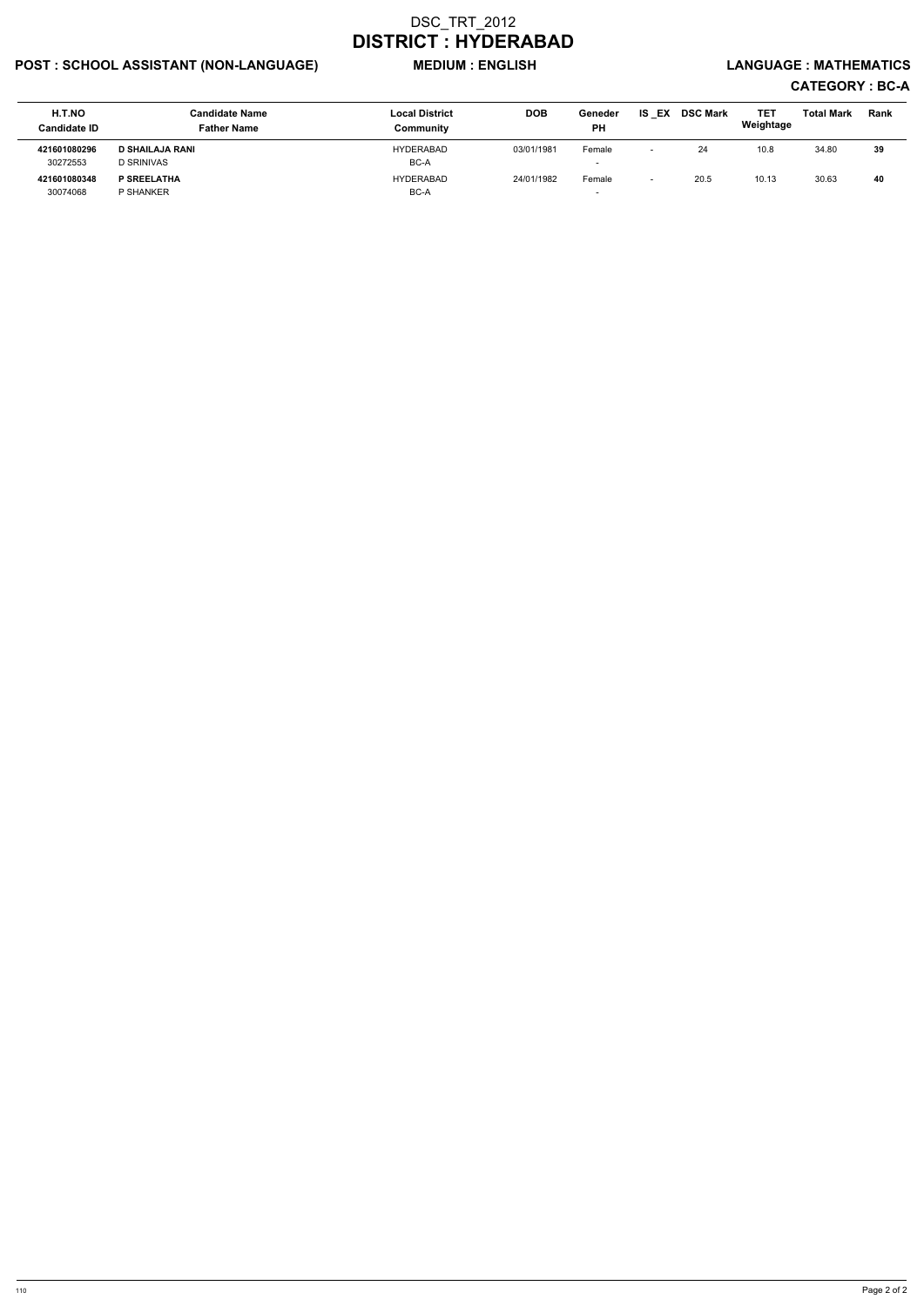## POST : SCHOOL ASSISTANT (NON-LANGUAGE) MEDIUM : ENGLISH LANGUAGE : MATHEMATICS

| H.T.NO<br><b>Candidate ID</b> | <b>Candidate Name</b><br><b>Father Name</b> | <b>Local District</b><br>Communitv | <b>DOB</b> | Geneder<br><b>PH</b>     | EX<br>IS | <b>DSC Mark</b> | <b>TET</b><br>Weightage | <b>Total Mark</b> | <b>Rank</b> |
|-------------------------------|---------------------------------------------|------------------------------------|------------|--------------------------|----------|-----------------|-------------------------|-------------------|-------------|
| 421601080296                  | <b>D SHAILAJA RANI</b>                      | <b>HYDERABAD</b>                   | 03/01/1981 | Female                   |          | 24              | 10.8                    | 34.80             | 39          |
| 30272553                      | <b>D SRINIVAS</b>                           | BC-A                               |            | $\overline{\phantom{0}}$ |          |                 |                         |                   |             |
| 421601080348                  | P SREELATHA                                 | <b>HYDERABAD</b>                   | 24/01/1982 | Female                   |          | 20.5            | 10.13                   | 30.63             | 40          |
| 30074068                      | P SHANKER                                   | BC-A                               |            | $\overline{\phantom{a}}$ |          |                 |                         |                   |             |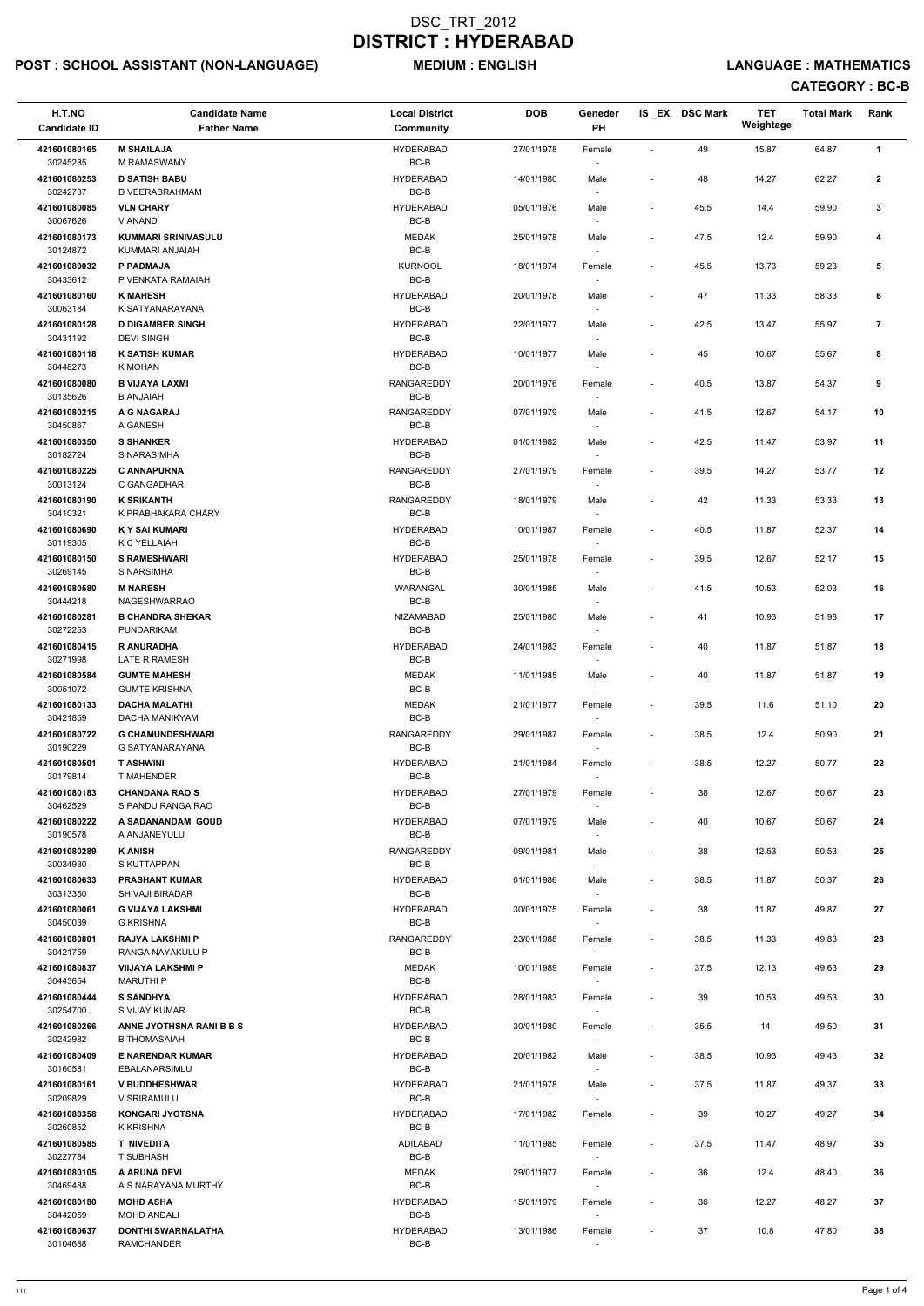## POST : SCHOOL ASSISTANT (NON-LANGUAGE) MEDIUM : ENGLISH LANGUAGE : MATHEMATICS

| H.T.NO<br><b>Candidate ID</b> | <b>Candidate Name</b><br><b>Father Name</b>       | <b>Local District</b><br>Community | <b>DOB</b> | Geneder<br>PH                      |                              | IS EX DSC Mark | <b>TET</b><br>Weightage | <b>Total Mark</b> | Rank                    |
|-------------------------------|---------------------------------------------------|------------------------------------|------------|------------------------------------|------------------------------|----------------|-------------------------|-------------------|-------------------------|
| 421601080165                  | <b>M SHAILAJA</b>                                 | <b>HYDERABAD</b>                   | 27/01/1978 | Female                             | $\blacksquare$               | 49             | 15.87                   | 64.87             | $\mathbf{1}$            |
| 30245285<br>421601080253      | M RAMASWAMY<br><b>D SATISH BABU</b>               | BC-B<br><b>HYDERABAD</b>           | 14/01/1980 | Male                               | $\overline{\phantom{a}}$     | 48             | 14.27                   | 62.27             | $\mathbf{2}$            |
| 30242737<br>421601080085      | D VEERABRAHMAM<br><b>VLN CHARY</b>                | BC-B<br><b>HYDERABAD</b>           | 05/01/1976 | Male                               | $\overline{\phantom{a}}$     | 45.5           | 14.4                    | 59.90             | 3                       |
| 30067626<br>421601080173      | V ANAND<br><b>KUMMARI SRINIVASULU</b>             | BC-B<br><b>MEDAK</b>               | 25/01/1978 | Male                               | $\overline{\phantom{a}}$     | 47.5           | 12.4                    | 59.90             | 4                       |
| 30124872                      | KUMMARI ANJAIAH                                   | BC-B                               |            |                                    |                              |                |                         |                   |                         |
| 421601080032<br>30433612      | P PADMAJA<br>P VENKATA RAMAIAH                    | <b>KURNOOL</b><br>BC-B             | 18/01/1974 | Female                             | $\overline{\phantom{a}}$     | 45.5           | 13.73                   | 59.23             | 5                       |
| 421601080160<br>30063184      | <b>K MAHESH</b><br>K SATYANARAYANA                | <b>HYDERABAD</b><br>BC-B           | 20/01/1978 | Male<br>$\overline{\phantom{a}}$   | $\blacksquare$               | 47             | 11.33                   | 58.33             | 6                       |
| 421601080128                  | <b>D DIGAMBER SINGH</b>                           | <b>HYDERABAD</b>                   | 22/01/1977 | Male                               | $\blacksquare$               | 42.5           | 13.47                   | 55.97             | $\overline{\mathbf{r}}$ |
| 30431192<br>421601080118      | <b>DEVI SINGH</b><br><b>K SATISH KUMAR</b>        | BC-B<br><b>HYDERABAD</b>           | 10/01/1977 | Male                               | $\overline{\phantom{a}}$     | 45             | 10.67                   | 55.67             | 8                       |
| 30448273<br>421601080080      | K MOHAN<br><b>B VIJAYA LAXMI</b>                  | $BC-B$<br><b>RANGAREDDY</b>        | 20/01/1976 | Female                             | $\overline{\phantom{a}}$     | 40.5           | 13.87                   | 54.37             | 9                       |
| 30135626<br>421601080215      | <b>B ANJAIAH</b><br>A G NAGARAJ                   | BC-B<br><b>RANGAREDDY</b>          | 07/01/1979 |                                    | $\overline{\phantom{a}}$     | 41.5           | 12.67                   | 54.17             | 10                      |
| 30450867                      | A GANESH                                          | BC-B                               |            | Male                               |                              |                |                         |                   |                         |
| 421601080350<br>30182724      | <b>S SHANKER</b><br>S NARASIMHA                   | <b>HYDERABAD</b><br>$BC-B$         | 01/01/1982 | Male                               | $\overline{\phantom{a}}$     | 42.5           | 11.47                   | 53.97             | 11                      |
| 421601080225<br>30013124      | <b>C ANNAPURNA</b><br>C GANGADHAR                 | <b>RANGAREDDY</b><br>BC-B          | 27/01/1979 | Female                             | $\overline{\phantom{a}}$     | 39.5           | 14.27                   | 53.77             | 12                      |
| 421601080190                  | <b>K SRIKANTH</b><br>K PRABHAKARA CHARY           | <b>RANGAREDDY</b><br>BC-B          | 18/01/1979 | Male                               | $\overline{\phantom{a}}$     | 42             | 11.33                   | 53.33             | 13                      |
| 30410321<br>421601080690      | <b>KY SAI KUMARI</b>                              | <b>HYDERABAD</b>                   | 10/01/1987 | Female                             | $\overline{\phantom{a}}$     | 40.5           | 11.87                   | 52.37             | 14                      |
| 30119305<br>421601080150      | K C YELLAIAH<br><b>S RAMESHWARI</b>               | BC-B<br><b>HYDERABAD</b>           | 25/01/1978 | $\overline{\phantom{a}}$<br>Female | $\overline{\phantom{a}}$     | 39.5           | 12.67                   | 52.17             | 15                      |
| 30269145<br>421601080580      | S NARSIMHA<br><b>M NARESH</b>                     | BC-B<br>WARANGAL                   | 30/01/1985 | Male                               | $\overline{\phantom{a}}$     | 41.5           | 10.53                   | 52.03             | 16                      |
| 30444218                      | NAGESHWARRAO                                      | $BC-B$                             |            |                                    |                              |                |                         |                   |                         |
| 421601080281<br>30272253      | <b>B CHANDRA SHEKAR</b><br>PUNDARIKAM             | <b>NIZAMABAD</b><br>BC-B           | 25/01/1980 | Male<br>$\overline{\phantom{a}}$   | $\overline{\phantom{a}}$     | 41             | 10.93                   | 51.93             | 17                      |
| 421601080415<br>30271998      | <b>R ANURADHA</b><br>LATE R RAMESH                | <b>HYDERABAD</b><br>BC-B           | 24/01/1983 | Female<br>$\overline{\phantom{a}}$ | $\qquad \qquad \blacksquare$ | 40             | 11.87                   | 51.87             | 18                      |
| 421601080584                  | <b>GUMTE MAHESH</b>                               | <b>MEDAK</b>                       | 11/01/1985 | Male                               | $\overline{\phantom{a}}$     | 40             | 11.87                   | 51.87             | 19                      |
| 30051072<br>421601080133      | <b>GUMTE KRISHNA</b><br><b>DACHA MALATHI</b>      | BC-B<br><b>MEDAK</b>               | 21/01/1977 | Female                             | $\overline{\phantom{a}}$     | 39.5           | 11.6                    | 51.10             | 20                      |
| 30421859<br>421601080722      | DACHA MANIKYAM<br><b>G CHAMUNDESHWARI</b>         | BC-B<br><b>RANGAREDDY</b>          | 29/01/1987 | Female                             | $\overline{\phantom{a}}$     | 38.5           | 12.4                    | 50.90             | 21                      |
| 30190229                      | G SATYANARAYANA                                   | BC-B                               |            |                                    |                              |                |                         |                   |                         |
| 421601080501<br>30179814      | <b>T ASHWINI</b><br><b>T MAHENDER</b>             | <b>HYDERABAD</b><br>BC-B           | 21/01/1984 | Female<br>$\overline{\phantom{a}}$ | $\overline{\phantom{a}}$     | 38.5           | 12.27                   | 50.77             | 22                      |
| 421601080183<br>30462529      | <b>CHANDANA RAO S</b><br>S PANDU RANGA RAO        | <b>HYDERABAD</b><br>BC-B           | 27/01/1979 | Female                             | $\overline{\phantom{a}}$     | 38             | 12.67                   | 50.67             | 23                      |
| 421601080222<br>30190578      | A SADANANDAM GOUD<br>A ANJANEYULU                 | <b>HYDERABAD</b><br>BC-B           | 07/01/1979 | Male                               | $\sim$                       | 40             | 10.67                   | 50.67             | 24                      |
| 421601080289                  | <b>K ANISH</b>                                    | RANGAREDDY                         | 09/01/1981 | Male                               | $\qquad \qquad \blacksquare$ | 38             | 12.53                   | 50.53             | 25                      |
| 30034930<br>421601080633      | S KUTTAPPAN<br><b>PRASHANT KUMAR</b>              | BC-B<br><b>HYDERABAD</b>           | 01/01/1986 | $\overline{\phantom{a}}$<br>Male   | $\overline{\phantom{a}}$     | 38.5           | 11.87                   | 50.37             | 26                      |
| 30313350<br>421601080061      | <b>SHIVAJI BIRADAR</b><br><b>G VIJAYA LAKSHMI</b> | BC-B<br><b>HYDERABAD</b>           | 30/01/1975 | $\overline{\phantom{a}}$<br>Female | $\overline{\phantom{a}}$     | 38             | 11.87                   | 49.87             | 27                      |
| 30450039                      | G KRISHNA<br><b>RAJYA LAKSHMI P</b>               | BC-B<br><b>RANGAREDDY</b>          |            |                                    |                              |                |                         |                   |                         |
| 421601080801<br>30421759      | RANGA NAYAKULU P                                  | BC-B                               | 23/01/1988 | Female                             | $\overline{\phantom{a}}$     | 38.5           | 11.33                   | 49.83             | 28                      |
| 421601080837<br>30443654      | <b>VIIJAYA LAKSHMI P</b><br><b>MARUTHIP</b>       | <b>MEDAK</b><br>BC-B               | 10/01/1989 | Female<br>$\sim$                   | $\overline{\phantom{a}}$     | 37.5           | 12.13                   | 49.63             | 29                      |
| 421601080444                  | <b>S SANDHYA</b>                                  | <b>HYDERABAD</b>                   | 28/01/1983 | Female                             | $\overline{\phantom{a}}$     | 39             | 10.53                   | 49.53             | 30                      |
| 30254700<br>421601080266      | S VIJAY KUMAR<br>ANNE JYOTHSNA RANI B B S         | BC-B<br><b>HYDERABAD</b>           | 30/01/1980 | $\overline{\phantom{a}}$<br>Female | $\overline{\phantom{a}}$     | 35.5           | 14                      | 49.50             | 31                      |
| 30242982                      | <b>B THOMASAIAH</b>                               | BC-B                               |            |                                    |                              |                |                         |                   |                         |
| 421601080409<br>30160581      | <b>E NARENDAR KUMAR</b><br>EBALANARSIMLU          | <b>HYDERABAD</b><br>BC-B           | 20/01/1982 | Male                               | $\overline{\phantom{a}}$     | 38.5           | 10.93                   | 49.43             | 32                      |
| 421601080161<br>30209829      | <b>V BUDDHESHWAR</b><br>V SRIRAMULU               | <b>HYDERABAD</b><br>BC-B           | 21/01/1978 | Male<br>$\sim$                     | $\overline{\phantom{a}}$     | 37.5           | 11.87                   | 49.37             | 33                      |
| 421601080358<br>30260852      | <b>KONGARI JYOTSNA</b><br><b>K KRISHNA</b>        | <b>HYDERABAD</b><br>BC-B           | 17/01/1982 | Female<br>$\sim$                   |                              | 39             | 10.27                   | 49.27             | 34                      |
| 421601080585                  | <b>T NIVEDITA</b>                                 | ADILABAD                           | 11/01/1985 | Female                             | $\overline{\phantom{a}}$     | 37.5           | 11.47                   | 48.97             | 35                      |
| 30227784<br>421601080105      | <b>T SUBHASH</b><br>A ARUNA DEVI                  | BC-B<br><b>MEDAK</b>               | 29/01/1977 | Female                             | $\overline{\phantom{a}}$     | 36             | 12.4                    | 48.40             | 36                      |
| 30469488<br>421601080180      | A S NARAYANA MURTHY<br><b>MOHD ASHA</b>           | BC-B<br><b>HYDERABAD</b>           | 15/01/1979 | $\sim$                             |                              | 36             | 12.27                   | 48.27             | 37                      |
| 30442059                      | <b>MOHD ANDALI</b>                                | BC-B                               |            | Female<br>$\sim$                   | $\overline{\phantom{a}}$     |                |                         |                   |                         |
| 421601080637<br>30104688      | <b>DONTHI SWARNALATHA</b><br><b>RAMCHANDER</b>    | <b>HYDERABAD</b><br>BC-B           | 13/01/1986 | Female<br>$\sim$                   | $\overline{\phantom{a}}$     | 37             | 10.8                    | 47.80             | 38                      |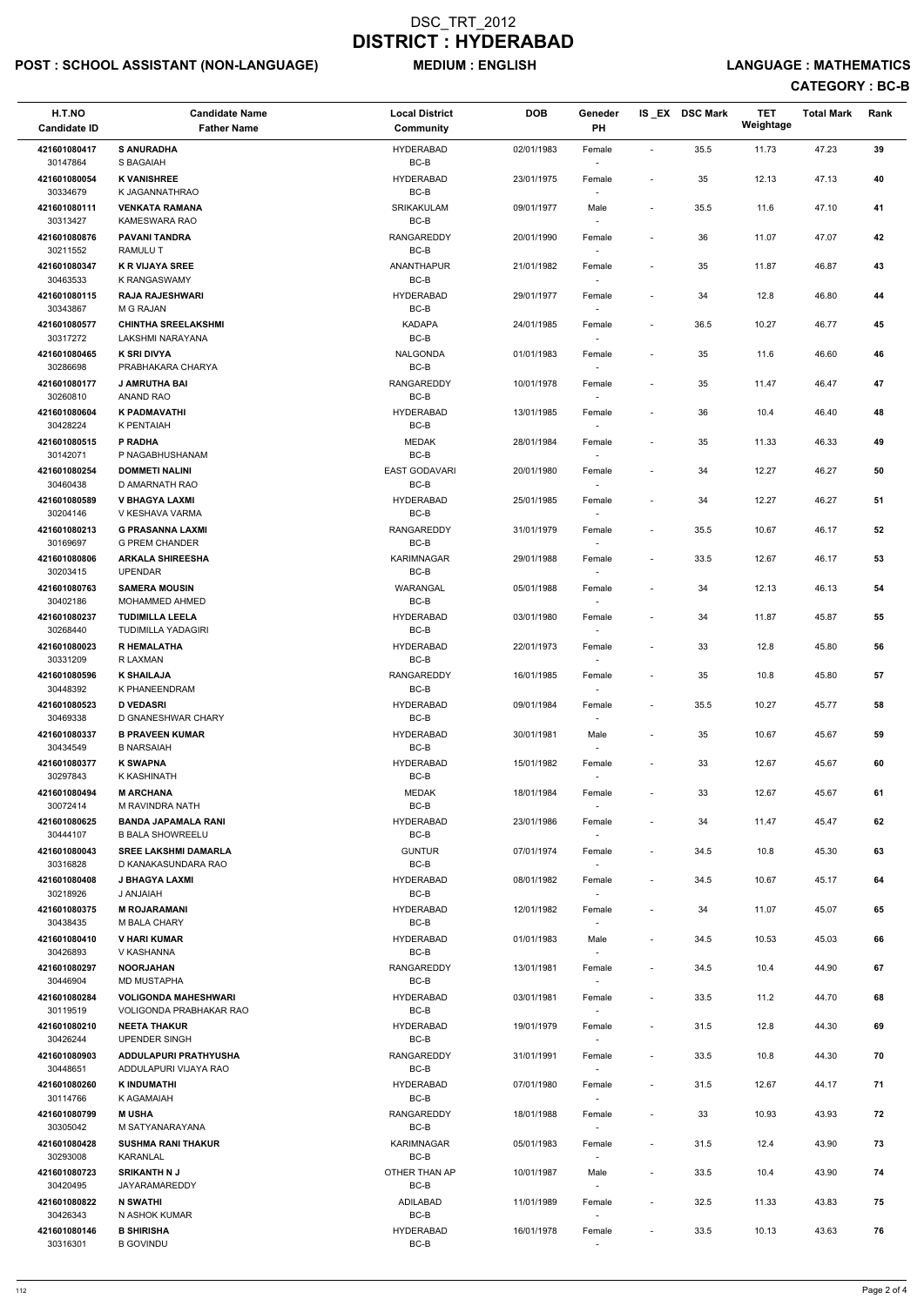## POST : SCHOOL ASSISTANT (NON-LANGUAGE) MEDIUM : ENGLISH LANGUAGE : MATHEMATICS

| H.T.NO<br><b>Candidate ID</b> | <b>Candidate Name</b><br><b>Father Name</b>                   | <b>Local District</b><br>Community | <b>DOB</b> | Geneder<br>PH                      |                          | IS_EX DSC Mark | TET<br>Weightage | <b>Total Mark</b> | Rank |
|-------------------------------|---------------------------------------------------------------|------------------------------------|------------|------------------------------------|--------------------------|----------------|------------------|-------------------|------|
| 421601080417                  | <b>S ANURADHA</b>                                             | <b>HYDERABAD</b>                   | 02/01/1983 | Female                             | $\overline{\phantom{a}}$ | 35.5           | 11.73            | 47.23             | 39   |
| 30147864                      | S BAGAIAH                                                     | BC-B                               |            |                                    |                          |                |                  |                   |      |
| 421601080054<br>30334679      | <b>K VANISHREE</b><br>K JAGANNATHRAO                          | <b>HYDERABAD</b><br>BC-B           | 23/01/1975 | Female                             | $\blacksquare$           | 35             | 12.13            | 47.13             | 40   |
| 421601080111<br>30313427      | <b>VENKATA RAMANA</b><br>KAMESWARA RAO                        | SRIKAKULAM<br>$BC-B$               | 09/01/1977 | Male                               | $\overline{\phantom{a}}$ | 35.5           | 11.6             | 47.10             | 41   |
| 421601080876<br>30211552      | <b>PAVANI TANDRA</b><br><b>RAMULUT</b>                        | RANGAREDDY<br>BC-B                 | 20/01/1990 | Female                             | $\blacksquare$           | 36             | 11.07            | 47.07             | 42   |
| 421601080347                  | <b>K R VIJAYA SREE</b>                                        | <b>ANANTHAPUR</b>                  | 21/01/1982 | Female                             | $\overline{\phantom{a}}$ | 35             | 11.87            | 46.87             | 43   |
| 30463533<br>421601080115      | <b>K RANGASWAMY</b><br><b>RAJA RAJESHWARI</b>                 | BC-B<br><b>HYDERABAD</b>           | 29/01/1977 | Female                             | $\blacksquare$           | 34             | 12.8             | 46.80             | 44   |
| 30343867                      | M G RAJAN                                                     | BC-B                               |            |                                    |                          |                |                  |                   |      |
| 421601080577<br>30317272      | <b>CHINTHA SREELAKSHMI</b><br>LAKSHMI NARAYANA                | <b>KADAPA</b><br>BC-B              | 24/01/1985 | Female                             | $\overline{\phantom{a}}$ | 36.5           | 10.27            | 46.77             | 45   |
| 421601080465<br>30286698      | <b>K SRI DIVYA</b><br>PRABHAKARA CHARYA                       | <b>NALGONDA</b><br>BC-B            | 01/01/1983 | Female                             | $\overline{\phantom{a}}$ | 35             | 11.6             | 46.60             | 46   |
| 421601080177                  | J AMRUTHA BAI                                                 | RANGAREDDY                         | 10/01/1978 | Female                             | $\overline{\phantom{a}}$ | 35             | 11.47            | 46.47             | 47   |
| 30260810<br>421601080604      | ANAND RAO<br><b>K PADMAVATHI</b>                              | BC-B<br><b>HYDERABAD</b>           | 13/01/1985 | Female                             | $\overline{\phantom{a}}$ | 36             | 10.4             | 46.40             | 48   |
| 30428224                      | K PENTAIAH                                                    | BC-B                               |            |                                    |                          |                |                  |                   |      |
| 421601080515<br>30142071      | P RADHA<br>P NAGABHUSHANAM                                    | <b>MEDAK</b><br>BC-B               | 28/01/1984 | Female                             | $\overline{\phantom{a}}$ | 35             | 11.33            | 46.33             | 49   |
| 421601080254<br>30460438      | <b>DOMMETI NALINI</b><br>D AMARNATH RAO                       | <b>EAST GODAVARI</b><br>BC-B       | 20/01/1980 | Female                             | $\overline{\phantom{a}}$ | 34             | 12.27            | 46.27             | 50   |
| 421601080589<br>30204146      | <b>V BHAGYA LAXMI</b><br>V KESHAVA VARMA                      | <b>HYDERABAD</b><br>BC-B           | 25/01/1985 | Female<br>$\sim$                   | $\overline{\phantom{a}}$ | 34             | 12.27            | 46.27             | 51   |
| 421601080213                  | <b>G PRASANNA LAXMI</b>                                       | RANGAREDDY                         | 31/01/1979 | Female                             | $\overline{\phantom{a}}$ | 35.5           | 10.67            | 46.17             | 52   |
| 30169697<br>421601080806      | <b>G PREM CHANDER</b><br><b>ARKALA SHIREESHA</b>              | BC-B<br><b>KARIMNAGAR</b>          | 29/01/1988 | Female                             | $\overline{\phantom{a}}$ | 33.5           | 12.67            | 46.17             | 53   |
| 30203415<br>421601080763      | <b>UPENDAR</b><br><b>SAMERA MOUSIN</b>                        | BC-B<br>WARANGAL                   | 05/01/1988 | Female                             | $\overline{\phantom{a}}$ | 34             | 12.13            | 46.13             | 54   |
| 30402186                      | MOHAMMED AHMED                                                | $BC-B$                             |            |                                    |                          |                |                  |                   |      |
| 421601080237<br>30268440      | <b>TUDIMILLA LEELA</b><br><b>TUDIMILLA YADAGIRI</b>           | <b>HYDERABAD</b><br>BC-B           | 03/01/1980 | Female                             | $\overline{a}$           | 34             | 11.87            | 45.87             | 55   |
| 421601080023<br>30331209      | <b>R HEMALATHA</b><br>R LAXMAN                                | <b>HYDERABAD</b><br>BC-B           | 22/01/1973 | Female                             | $\overline{\phantom{a}}$ | 33             | 12.8             | 45.80             | 56   |
| 421601080596                  | <b>K SHAILAJA</b>                                             | <b>RANGAREDDY</b>                  | 16/01/1985 | Female                             | $\overline{\phantom{a}}$ | 35             | 10.8             | 45.80             | 57   |
| 30448392<br>421601080523      | K PHANEENDRAM<br><b>D VEDASRI</b>                             | $BC-B$<br><b>HYDERABAD</b>         | 09/01/1984 | Female                             | $\overline{\phantom{a}}$ | 35.5           | 10.27            | 45.77             | 58   |
| 30469338                      | D GNANESHWAR CHARY                                            | BC-B                               |            | $\overline{\phantom{a}}$           |                          |                |                  |                   |      |
| 421601080337<br>30434549      | <b>B PRAVEEN KUMAR</b><br><b>B NARSAIAH</b>                   | <b>HYDERABAD</b><br>BC-B           | 30/01/1981 | Male<br>$\overline{\phantom{a}}$   | $\overline{\phantom{a}}$ | 35             | 10.67            | 45.67             | 59   |
| 421601080377<br>30297843      | <b>K SWAPNA</b><br>K KASHINATH                                | <b>HYDERABAD</b><br>BC-B           | 15/01/1982 | Female<br>$\overline{\phantom{a}}$ | $\overline{\phantom{a}}$ | 33             | 12.67            | 45.67             | 60   |
| 421601080494                  | <b>M ARCHANA</b>                                              | <b>MEDAK</b>                       | 18/01/1984 | Female                             | $\overline{\phantom{a}}$ | 33             | 12.67            | 45.67             | 61   |
| 30072414<br>421601080625      | M RAVINDRA NATH<br><b>BANDA JAPAMALA RANI</b>                 | BC-B<br><b>HYDERABAD</b>           | 23/01/1986 | Female                             | $\overline{\phantom{a}}$ | 34             | 11.47            | 45.47             | 62   |
| 30444107                      | <b>B BALA SHOWREELU</b>                                       | BC-B                               |            |                                    |                          |                |                  |                   |      |
| 421601080043<br>30316828      | <b>SREE LAKSHMI DAMARLA</b><br>D KANAKASUNDARA RAO            | <b>GUNTUR</b><br>BC-B              | 07/01/1974 | Female                             | $\overline{\phantom{a}}$ | 34.5           | 10.8             | 45.30             | 63   |
| 421601080408<br>30218926      | J BHAGYA LAXMI<br><b>HAIALAR U</b>                            | <b>HYDERABAD</b><br>BC-B           | 08/01/1982 | Female<br>$\overline{\phantom{a}}$ | $\overline{\phantom{a}}$ | 34.5           | 10.67            | 45.17             | 64   |
| 421601080375<br>30438435      | <b>M ROJARAMANI</b><br>M BALA CHARY                           | <b>HYDERABAD</b><br>BC-B           | 12/01/1982 | Female                             | $\overline{\phantom{a}}$ | 34             | 11.07            | 45.07             | 65   |
| 421601080410                  | <b>V HARI KUMAR</b>                                           | <b>HYDERABAD</b>                   | 01/01/1983 | Male                               | $\overline{\phantom{a}}$ | 34.5           | 10.53            | 45.03             | 66   |
| 30426893<br>421601080297      | V KASHANNA<br><b>NOORJAHAN</b>                                | BC-B<br><b>RANGAREDDY</b>          | 13/01/1981 | Female                             | $\overline{\phantom{a}}$ | 34.5           | 10.4             | 44.90             | 67   |
| 30446904                      | <b>MD MUSTAPHA</b>                                            | BC-B                               |            | $\sim$                             |                          |                |                  |                   |      |
| 421601080284<br>30119519      | <b>VOLIGONDA MAHESHWARI</b><br><b>VOLIGONDA PRABHAKAR RAO</b> | <b>HYDERABAD</b><br>BC-B           | 03/01/1981 | Female<br>$\overline{\phantom{a}}$ | $\overline{\phantom{a}}$ | 33.5           | 11.2             | 44.70             | 68   |
| 421601080210<br>30426244      | <b>NEETA THAKUR</b><br>UPENDER SINGH                          | <b>HYDERABAD</b><br>BC-B           | 19/01/1979 | Female                             | $\overline{\phantom{a}}$ | 31.5           | 12.8             | 44.30             | 69   |
| 421601080903                  | <b>ADDULAPURI PRATHYUSHA</b>                                  | <b>RANGAREDDY</b>                  | 31/01/1991 | Female                             | $\overline{\phantom{a}}$ | 33.5           | 10.8             | 44.30             | 70   |
| 30448651<br>421601080260      | ADDULAPURI VIJAYA RAO<br><b>K INDUMATHI</b>                   | BC-B<br><b>HYDERABAD</b>           | 07/01/1980 | Female                             | $\overline{\phantom{a}}$ | 31.5           | 12.67            | 44.17             | 71   |
| 30114766                      | K AGAMAIAH                                                    | $BC-B$                             |            | $\sim$                             |                          |                |                  |                   |      |
| 421601080799<br>30305042      | <b>MUSHA</b><br>M SATYANARAYANA                               | RANGAREDDY<br>BC-B                 | 18/01/1988 | Female                             |                          | 33             | 10.93            | 43.93             | 72   |
| 421601080428<br>30293008      | <b>SUSHMA RANI THAKUR</b><br>KARANLAL                         | <b>KARIMNAGAR</b><br>BC-B          | 05/01/1983 | Female                             | $\overline{\phantom{a}}$ | 31.5           | 12.4             | 43.90             | 73   |
| 421601080723                  | <b>SRIKANTH N J</b>                                           | OTHER THAN AP                      | 10/01/1987 | Male                               | $\overline{\phantom{a}}$ | 33.5           | 10.4             | 43.90             | 74   |
| 30420495<br>421601080822      | JAYARAMAREDDY<br><b>N SWATHI</b>                              | BC-B<br>ADILABAD                   | 11/01/1989 | $\sim$<br>Female                   | $\overline{\phantom{a}}$ | 32.5           | 11.33            | 43.83             | 75   |
| 30426343                      | N ASHOK KUMAR                                                 | BC-B                               |            | $\sim$                             |                          |                |                  |                   |      |
| 421601080146<br>30316301      | <b>B SHIRISHA</b><br><b>B GOVINDU</b>                         | <b>HYDERABAD</b><br>BC-B           | 16/01/1978 | Female<br>$\overline{\phantom{a}}$ | $\overline{\phantom{a}}$ | 33.5           | 10.13            | 43.63             | 76   |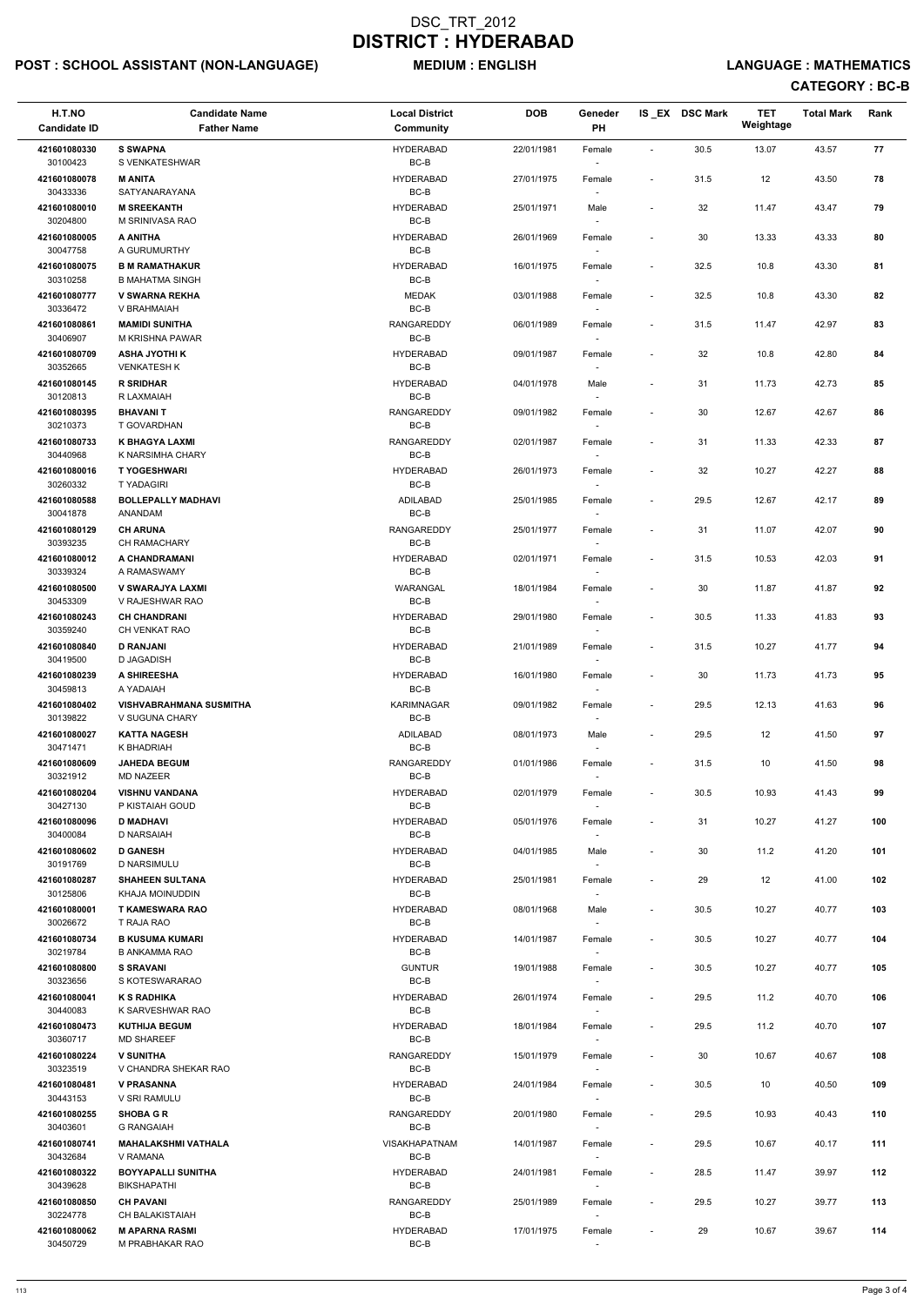## POST : SCHOOL ASSISTANT (NON-LANGUAGE) MEDIUM : ENGLISH LANGUAGE : MATHEMATICS

| H.T.NO<br><b>Candidate ID</b> | <b>Candidate Name</b><br><b>Father Name</b>      | <b>Local District</b><br><b>Community</b> | <b>DOB</b> | Geneder<br>PH                      |                              | IS EX DSC Mark | <b>TET</b><br>Weightage | <b>Total Mark</b> | Rank |  |
|-------------------------------|--------------------------------------------------|-------------------------------------------|------------|------------------------------------|------------------------------|----------------|-------------------------|-------------------|------|--|
|                               | <b>S SWAPNA</b>                                  | <b>HYDERABAD</b>                          |            |                                    |                              |                |                         |                   |      |  |
| 421601080330<br>30100423      | S VENKATESHWAR                                   | BC-B                                      | 22/01/1981 | Female                             | $\overline{\phantom{a}}$     | 30.5           | 13.07                   | 43.57             | 77   |  |
| 421601080078<br>30433336      | <b>M ANITA</b><br>SATYANARAYANA                  | <b>HYDERABAD</b><br>BC-B                  | 27/01/1975 | Female                             | $\overline{\phantom{a}}$     | 31.5           | 12                      | 43.50             | 78   |  |
| 421601080010<br>30204800      | <b>M SREEKANTH</b><br>M SRINIVASA RAO            | <b>HYDERABAD</b><br>BC-B                  | 25/01/1971 | Male                               | $\overline{\phantom{a}}$     | 32             | 11.47                   | 43.47             | 79   |  |
| 421601080005<br>30047758      | A ANITHA<br>A GURUMURTHY                         | <b>HYDERABAD</b><br>BC-B                  | 26/01/1969 | Female<br>$\sim$                   | $\overline{\phantom{a}}$     | 30             | 13.33                   | 43.33             | 80   |  |
| 421601080075<br>30310258      | <b>B M RAMATHAKUR</b><br><b>B MAHATMA SINGH</b>  | HYDERABAD<br>BC-B                         | 16/01/1975 | Female                             | $\overline{\phantom{a}}$     | 32.5           | 10.8                    | 43.30             | 81   |  |
| 421601080777<br>30336472      | <b>V SWARNA REKHA</b><br>V BRAHMAIAH             | <b>MEDAK</b><br>BC-B                      | 03/01/1988 | Female                             | $\overline{\phantom{a}}$     | 32.5           | 10.8                    | 43.30             | 82   |  |
| 421601080861<br>30406907      | <b>MAMIDI SUNITHA</b><br>M KRISHNA PAWAR         | RANGAREDDY<br>BC-B                        | 06/01/1989 | Female                             | $\overline{\phantom{a}}$     | 31.5           | 11.47                   | 42.97             | 83   |  |
| 421601080709<br>30352665      | <b>ASHA JYOTHI K</b><br>VENKATESH K              | <b>HYDERABAD</b><br>BC-B                  | 09/01/1987 | Female                             | $\overline{\phantom{a}}$     | 32             | 10.8                    | 42.80             | 84   |  |
| 421601080145                  | <b>R SRIDHAR</b>                                 | <b>HYDERABAD</b>                          | 04/01/1978 | Male                               | $\overline{\phantom{a}}$     | 31             | 11.73                   | 42.73             | 85   |  |
| 30120813                      | R LAXMAIAH                                       | BC-B                                      |            |                                    |                              |                |                         |                   |      |  |
| 421601080395<br>30210373      | <b>BHAVANIT</b><br>T GOVARDHAN                   | <b>RANGAREDDY</b><br>BC-B                 | 09/01/1982 | Female<br>$\overline{\phantom{a}}$ | $\overline{\phantom{a}}$     | 30             | 12.67                   | 42.67             | 86   |  |
| 421601080733<br>30440968      | <b>K BHAGYA LAXMI</b><br>K NARSIMHA CHARY        | RANGAREDDY<br>BC-B                        | 02/01/1987 | Female                             | $\overline{\phantom{a}}$     | 31             | 11.33                   | 42.33             | 87   |  |
| 421601080016<br>30260332      | <b>T YOGESHWARI</b><br><b>TYADAGIRI</b>          | <b>HYDERABAD</b><br>BC-B                  | 26/01/1973 | Female                             | $\overline{\phantom{a}}$     | 32             | 10.27                   | 42.27             | 88   |  |
| 421601080588<br>30041878      | <b>BOLLEPALLY MADHAVI</b><br>ANANDAM             | ADILABAD<br>$BC-B$                        | 25/01/1985 | Female<br>$\sim$                   | $\overline{\phantom{a}}$     | 29.5           | 12.67                   | 42.17             | 89   |  |
| 421601080129                  | <b>CH ARUNA</b>                                  | <b>RANGAREDDY</b>                         | 25/01/1977 | Female                             | $\overline{\phantom{a}}$     | 31             | 11.07                   | 42.07             | 90   |  |
| 30393235<br>421601080012      | <b>CH RAMACHARY</b><br>A CHANDRAMANI             | BC-B<br><b>HYDERABAD</b>                  | 02/01/1971 | Female                             | $\overline{\phantom{a}}$     | 31.5           | 10.53                   | 42.03             | 91   |  |
| 30339324<br>421601080500      | A RAMASWAMY<br>V SWARAJYA LAXMI                  | BC-B<br>WARANGAL                          | 18/01/1984 | Female                             | $\overline{\phantom{a}}$     | 30             | 11.87                   | 41.87             | 92   |  |
| 30453309<br>421601080243      | V RAJESHWAR RAO<br><b>CH CHANDRANI</b>           | $BC-B$<br><b>HYDERABAD</b>                | 29/01/1980 | Female                             | $\qquad \qquad \blacksquare$ | 30.5           | 11.33                   | 41.83             | 93   |  |
| 30359240                      | CH VENKAT RAO                                    | BC-B                                      |            | $\overline{\phantom{a}}$           |                              |                |                         |                   |      |  |
| 421601080840<br>30419500      | <b>D RANJANI</b><br>D JAGADISH                   | <b>HYDERABAD</b><br>BC-B                  | 21/01/1989 | Female                             | $\overline{\phantom{a}}$     | 31.5           | 10.27                   | 41.77             | 94   |  |
| 421601080239<br>30459813      | A SHIREESHA<br>A YADAIAH                         | HYDERABAD<br>BC-B                         | 16/01/1980 | Female                             | $\overline{\phantom{a}}$     | 30             | 11.73                   | 41.73             | 95   |  |
| 421601080402<br>30139822      | <b>VISHVABRAHMANA SUSMITHA</b><br>V SUGUNA CHARY | <b>KARIMNAGAR</b><br>BC-B                 | 09/01/1982 | Female<br>$\overline{\phantom{a}}$ | $\overline{\phantom{a}}$     | 29.5           | 12.13                   | 41.63             | 96   |  |
| 421601080027<br>30471471      | <b>KATTA NAGESH</b><br>K BHADRIAH                | ADILABAD<br>BC-B                          | 08/01/1973 | Male<br>$\sim$                     | $\overline{\phantom{a}}$     | 29.5           | 12                      | 41.50             | 97   |  |
| 421601080609<br>30321912      | <b>JAHEDA BEGUM</b><br><b>MD NAZEER</b>          | <b>RANGAREDDY</b><br>BC-B                 | 01/01/1986 | Female<br>$\overline{\phantom{a}}$ | $\overline{\phantom{a}}$     | 31.5           | 10                      | 41.50             | 98   |  |
| 421601080204                  | <b>VISHNU VANDANA</b><br>P KISTAIAH GOUD         | <b>HYDERABAD</b><br>BC-B                  | 02/01/1979 | Female                             | $\overline{\phantom{a}}$     | 30.5           | 10.93                   | 41.43             | 99   |  |
| 30427130<br>421601080096      | <b>D MADHAVI</b>                                 | <b>HYDERABAD</b>                          | 05/01/1976 | Female                             | $\overline{\phantom{a}}$     | 31             | 10.27                   | 41.27             | 100  |  |
| 30400084<br>421601080602      | D NARSAIAH<br><b>D GANESH</b>                    | BC-B<br><b>HYDERABAD</b>                  | 04/01/1985 | Male                               | $\overline{\phantom{a}}$     | 30             | 11.2                    | 41.20             | 101  |  |
| 30191769<br>421601080287      | D NARSIMULU<br><b>SHAHEEN SULTANA</b>            | BC-B<br><b>HYDERABAD</b>                  | 25/01/1981 | $\overline{\phantom{a}}$<br>Female | $\overline{\phantom{a}}$     | 29             | 12                      | 41.00             | 102  |  |
| 30125806<br>421601080001      | KHAJA MOINUDDIN<br><b>T KAMESWARA RAO</b>        | BC-B<br>HYDERABAD                         | 08/01/1968 | Male                               | $\blacksquare$               | 30.5           | 10.27                   | 40.77             | 103  |  |
| 30026672                      | T RAJA RAO                                       | BC-B                                      |            |                                    |                              |                |                         |                   |      |  |
| 421601080734<br>30219784      | <b>B KUSUMA KUMARI</b><br><b>B ANKAMMA RAO</b>   | <b>HYDERABAD</b><br>BC-B                  | 14/01/1987 | Female                             | $\overline{\phantom{a}}$     | 30.5           | 10.27                   | 40.77             | 104  |  |
| 421601080800<br>30323656      | <b>S SRAVANI</b><br>S KOTESWARARAO               | <b>GUNTUR</b><br>BC-B                     | 19/01/1988 | Female<br>$\sim$                   | $\overline{\phantom{a}}$     | 30.5           | 10.27                   | 40.77             | 105  |  |
| 421601080041                  | <b>K S RADHIKA</b>                               | <b>HYDERABAD</b>                          | 26/01/1974 | Female                             | $\overline{\phantom{a}}$     | 29.5           | 11.2                    | 40.70             | 106  |  |
| 30440083<br>421601080473      | K SARVESHWAR RAO<br><b>KUTHIJA BEGUM</b>         | BC-B<br><b>HYDERABAD</b>                  | 18/01/1984 | $\overline{\phantom{a}}$<br>Female | $\overline{\phantom{a}}$     | 29.5           | 11.2                    | 40.70             | 107  |  |
| 30360717                      | <b>MD SHAREEF</b>                                | BC-B                                      |            |                                    |                              |                |                         |                   |      |  |
| 421601080224<br>30323519      | <b>V SUNITHA</b><br>V CHANDRA SHEKAR RAO         | <b>RANGAREDDY</b><br>BC-B                 | 15/01/1979 | Female                             | $\overline{\phantom{a}}$     | 30             | 10.67                   | 40.67             | 108  |  |
| 421601080481<br>30443153      | <b>V PRASANNA</b><br>V SRI RAMULU                | HYDERABAD<br>BC-B                         | 24/01/1984 | Female<br>$\sim$                   | $\overline{\phantom{a}}$     | 30.5           | 10                      | 40.50             | 109  |  |
| 421601080255<br>30403601      | <b>SHOBA G R</b><br><b>G RANGAIAH</b>            | RANGAREDDY<br>BC-B                        | 20/01/1980 | Female                             | $\qquad \qquad \blacksquare$ | 29.5           | 10.93                   | 40.43             | 110  |  |
| 421601080741<br>30432684      | <b>MAHALAKSHMI VATHALA</b><br>V RAMANA           | <b>VISAKHAPATNAM</b><br>BC-B              | 14/01/1987 | Female                             | $\overline{\phantom{a}}$     | 29.5           | 10.67                   | 40.17             | 111  |  |
| 421601080322                  | <b>BOYYAPALLI SUNITHA</b>                        | <b>HYDERABAD</b>                          | 24/01/1981 | Female                             | $\overline{\phantom{a}}$     | 28.5           | 11.47                   | 39.97             | 112  |  |
| 30439628<br>421601080850      | <b>BIKSHAPATHI</b><br><b>CH PAVANI</b>           | BC-B<br>RANGAREDDY                        | 25/01/1989 | $\sim$<br>Female                   | $\overline{\phantom{a}}$     | 29.5           | 10.27                   | 39.77             | 113  |  |
| 30224778<br>421601080062      | CH BALAKISTAIAH<br><b>M APARNA RASMI</b>         | BC-B<br><b>HYDERABAD</b>                  | 17/01/1975 | $\sim$<br>Female                   | $\overline{\phantom{a}}$     | 29             | 10.67                   | 39.67             | 114  |  |
| 30450729                      | M PRABHAKAR RAO                                  | BC-B                                      |            | $\sim$                             |                              |                |                         |                   |      |  |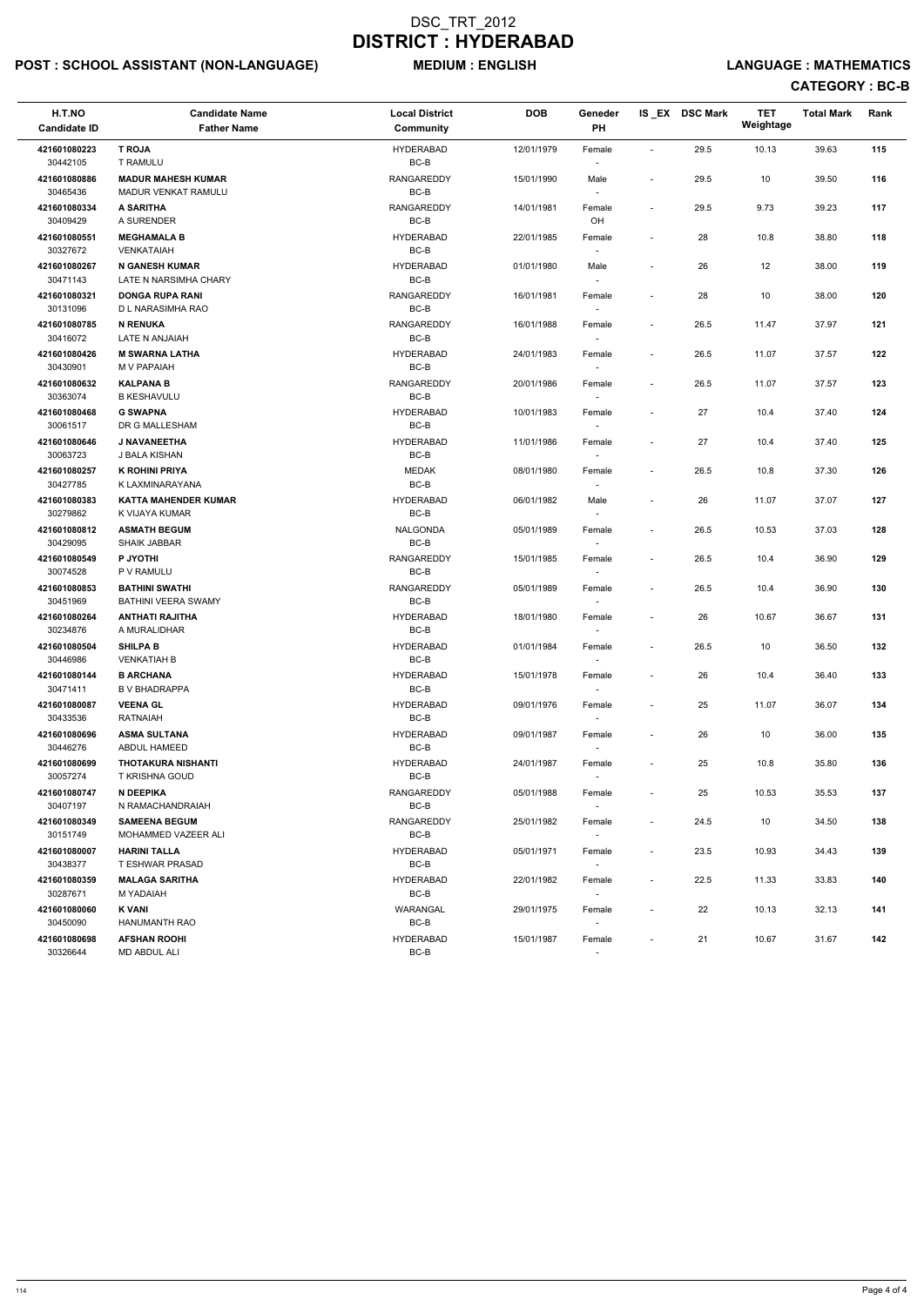## POST : SCHOOL ASSISTANT (NON-LANGUAGE) MEDIUM : ENGLISH LANGUAGE : MATHEMATICS

| H.T.NO<br><b>Candidate ID</b>            | <b>Candidate Name</b><br><b>Father Name</b>                     | <b>Local District</b><br><b>Community</b>     | <b>DOB</b>               | Geneder<br>PH                      |                                                      | IS EX DSC Mark | <b>TET</b><br>Weightage | <b>Total Mark</b> | Rank       |
|------------------------------------------|-----------------------------------------------------------------|-----------------------------------------------|--------------------------|------------------------------------|------------------------------------------------------|----------------|-------------------------|-------------------|------------|
| 421601080223<br>30442105                 | <b>T ROJA</b><br>T RAMULU                                       | <b>HYDERABAD</b><br>BC-B                      | 12/01/1979               | Female                             |                                                      | 29.5           | 10.13                   | 39.63             | 115        |
| 421601080886<br>30465436                 | <b>MADUR MAHESH KUMAR</b><br><b>MADUR VENKAT RAMULU</b>         | <b>RANGAREDDY</b><br>BC-B                     | 15/01/1990               | Male                               | $\blacksquare$                                       | 29.5           | 10                      | 39.50             | 116        |
| 421601080334<br>30409429                 | <b>A SARITHA</b><br>A SURENDER                                  | <b>RANGAREDDY</b><br>$BC-B$                   | 14/01/1981               | Female<br>OH                       | $\overline{\phantom{a}}$                             | 29.5           | 9.73                    | 39.23             | 117        |
| 421601080551<br>30327672                 | <b>MEGHAMALA B</b><br><b>VENKATAIAH</b>                         | <b>HYDERABAD</b><br>BC-B                      | 22/01/1985               | Female<br>$\overline{\phantom{a}}$ | $\overline{\phantom{a}}$                             | 28             | 10.8                    | 38.80             | 118        |
| 421601080267<br>30471143                 | <b>N GANESH KUMAR</b><br>LATE N NARSIMHA CHARY                  | <b>HYDERABAD</b><br>BC-B                      | 01/01/1980               | Male                               | $\overline{\phantom{a}}$                             | 26             | 12                      | 38.00             | 119        |
| 421601080321<br>30131096                 | <b>DONGA RUPA RANI</b><br>D L NARASIMHA RAO                     | <b>RANGAREDDY</b><br>BC-B                     | 16/01/1981               | Female<br>$\sim$                   |                                                      | 28             | 10                      | 38.00             | 120        |
| 421601080785<br>30416072                 | <b>N RENUKA</b><br>LATE N ANJAIAH                               | <b>RANGAREDDY</b><br>BC-B                     | 16/01/1988               | Female                             | $\overline{\phantom{a}}$                             | 26.5           | 11.47                   | 37.97             | 121        |
| 421601080426<br>30430901                 | <b>M SWARNA LATHA</b><br>M V PAPAIAH                            | <b>HYDERABAD</b><br>BC-B                      | 24/01/1983               | Female<br>$\overline{\phantom{a}}$ | $\overline{\phantom{a}}$                             | 26.5           | 11.07                   | 37.57             | 122        |
| 421601080632<br>30363074                 | <b>KALPANA B</b><br><b>B KESHAVULU</b>                          | <b>RANGAREDDY</b><br>BC-B                     | 20/01/1986               | Female<br>$\overline{\phantom{a}}$ | $\overline{\phantom{a}}$                             | 26.5           | 11.07                   | 37.57             | 123        |
| 421601080468<br>30061517                 | <b>G SWAPNA</b><br>DR G MALLESHAM                               | <b>HYDERABAD</b><br>BC-B                      | 10/01/1983               | Female<br>$\blacksquare$           |                                                      | 27             | 10.4                    | 37.40             | 124        |
| 421601080646<br>30063723                 | J NAVANEETHA<br>J BALA KISHAN                                   | <b>HYDERABAD</b><br>BC-B                      | 11/01/1986               | Female                             | $\overline{\phantom{a}}$                             | 27             | 10.4                    | 37.40             | 125        |
| 421601080257<br>30427785                 | <b>K ROHINI PRIYA</b><br>K LAXMINARAYANA                        | <b>MEDAK</b><br>$BC-B$                        | 08/01/1980               | Female                             | $\overline{\phantom{a}}$                             | 26.5           | 10.8                    | 37.30             | 126        |
| 421601080383<br>30279862                 | <b>KATTA MAHENDER KUMAR</b><br>K VIJAYA KUMAR                   | <b>HYDERABAD</b><br>$BC-B$                    | 06/01/1982               | Male<br>$\overline{\phantom{a}}$   | $\overline{\phantom{a}}$                             | 26             | 11.07                   | 37.07             | 127        |
| 421601080812<br>30429095                 | <b>ASMATH BEGUM</b><br><b>SHAIK JABBAR</b>                      | NALGONDA<br>BC-B                              | 05/01/1989               | Female<br>$\overline{\phantom{a}}$ |                                                      | 26.5           | 10.53                   | 37.03             | 128        |
| 421601080549<br>30074528                 | P JYOTHI<br>P V RAMULU                                          | <b>RANGAREDDY</b><br>BC-B                     | 15/01/1985               | Female                             | $\blacksquare$                                       | 26.5           | 10.4                    | 36.90             | 129        |
| 421601080853<br>30451969                 | <b>BATHINI SWATHI</b><br>BATHINI VEERA SWAMY                    | RANGAREDDY<br>$BC-B$                          | 05/01/1989               | Female                             | $\overline{\phantom{a}}$                             | 26.5           | 10.4                    | 36.90             | 130        |
| 421601080264<br>30234876                 | <b>ANTHATI RAJITHA</b><br>A MURALIDHAR                          | <b>HYDERABAD</b><br>BC-B                      | 18/01/1980               | Female<br>$\sim$                   |                                                      | 26             | 10.67                   | 36.67             | 131        |
| 421601080504<br>30446986                 | <b>SHILPA B</b><br><b>VENKATIAH B</b>                           | <b>HYDERABAD</b><br>BC-B                      | 01/01/1984               | Female<br>$\overline{\phantom{a}}$ | $\overline{\phantom{a}}$                             | 26.5           | 10                      | 36.50             | 132        |
| 421601080144<br>30471411                 | <b>B ARCHANA</b><br><b>B V BHADRAPPA</b>                        | <b>HYDERABAD</b><br>BC-B                      | 15/01/1978               | Female                             | $\overline{\phantom{a}}$                             | 26             | 10.4                    | 36.40             | 133        |
| 421601080087<br>30433536                 | <b>VEENA GL</b><br><b>RATNAIAH</b>                              | <b>HYDERABAD</b><br>BC-B                      | 09/01/1976               | Female<br>$\sim$                   | $\sim$                                               | 25             | 11.07                   | 36.07             | 134        |
| 421601080696<br>30446276                 | <b>ASMA SULTANA</b><br><b>ABDUL HAMEED</b>                      | <b>HYDERABAD</b><br>BC-B                      | 09/01/1987               | Female<br>$\sim$                   | $\overline{\phantom{a}}$                             | 26             | 10                      | 36.00             | 135        |
| 421601080699<br>30057274                 | <b>THOTAKURA NISHANTI</b><br><b>T KRISHNA GOUD</b><br>N DEEPIKA | <b>HYDERABAD</b><br>BC-B<br><b>RANGAREDDY</b> | 24/01/1987               | Female<br>$\sim$                   | $\sim$                                               | 25             | 10.8                    | 35.80             | 136        |
| 421601080747<br>30407197<br>421601080349 | N RAMACHANDRAIAH<br><b>SAMEENA BEGUM</b>                        | BC-B<br>RANGAREDDY                            | 05/01/1988<br>25/01/1982 | Female                             | $\overline{\phantom{a}}$                             | 25             | 10.53<br>10             | 35.53             | 137<br>138 |
| 30151749<br>421601080007                 | MOHAMMED VAZEER ALI<br><b>HARINI TALLA</b>                      | BC-B<br><b>HYDERABAD</b>                      | 05/01/1971               | Female<br>$\sim$<br>Female         | $\overline{\phantom{a}}$<br>$\overline{\phantom{a}}$ | 24.5<br>23.5   | 10.93                   | 34.50<br>34.43    | 139        |
| 30438377<br>421601080359                 | T ESHWAR PRASAD<br><b>MALAGA SARITHA</b>                        | BC-B<br><b>HYDERABAD</b>                      | 22/01/1982               | $\sim$<br>Female                   | $\overline{\phantom{a}}$                             | 22.5           | 11.33                   | 33.83             | 140        |
| 30287671<br>421601080060                 | M YADAIAH<br><b>K VANI</b>                                      | BC-B<br>WARANGAL                              | 29/01/1975               | $\sim$<br>Female                   | $\overline{\phantom{a}}$                             | 22             | 10.13                   | 32.13             | 141        |
| 30450090<br>421601080698                 | HANUMANTH RAO<br><b>AFSHAN ROOHI</b>                            | BC-B<br><b>HYDERABAD</b>                      | 15/01/1987               | Female                             | $\overline{\phantom{a}}$                             | 21             | 10.67                   | 31.67             | 142        |
| 30326644                                 | MD ABDUL ALI                                                    | BC-B                                          |                          | $\overline{\phantom{a}}$           |                                                      |                |                         |                   |            |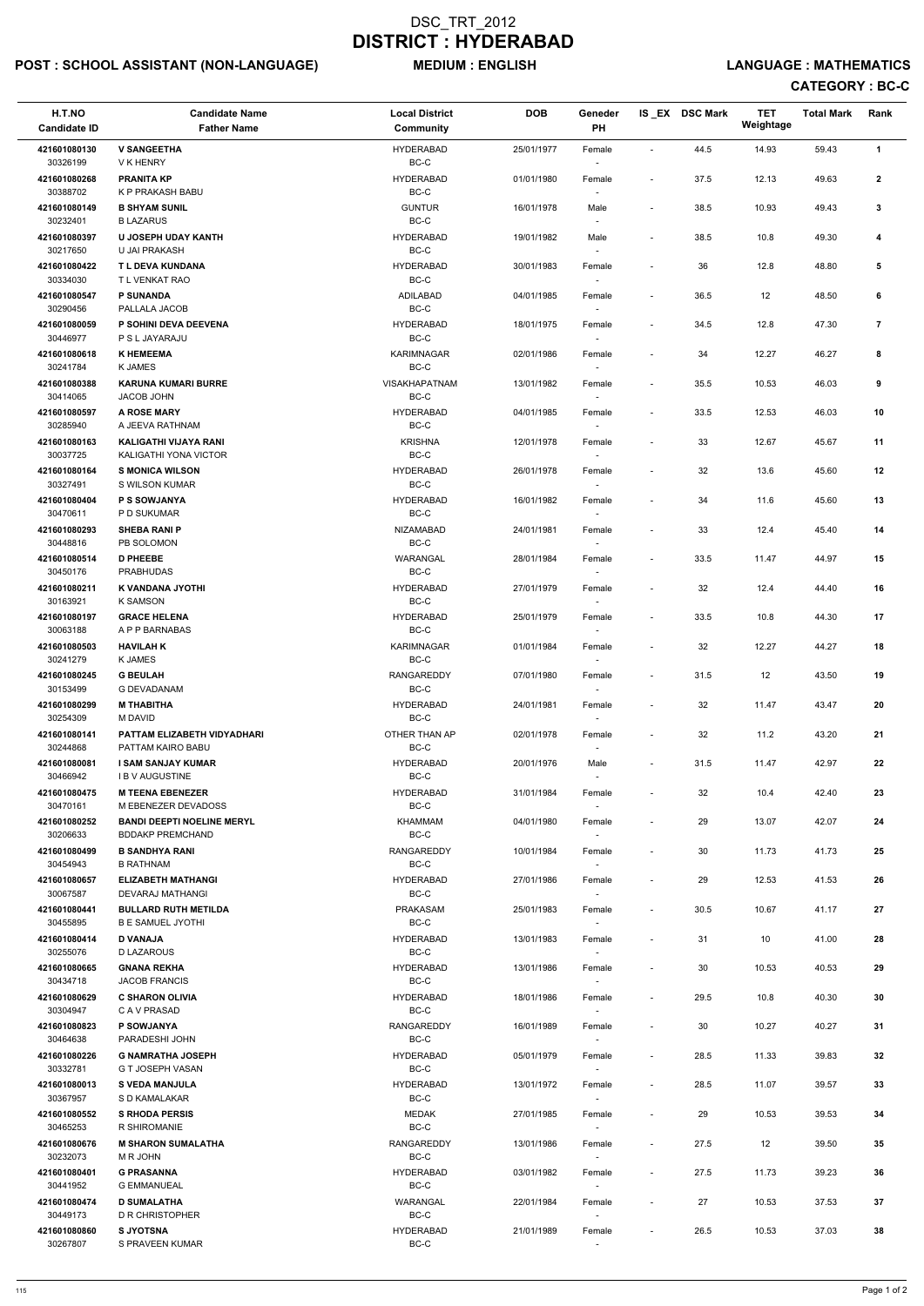## POST : SCHOOL ASSISTANT (NON-LANGUAGE) MEDIUM : ENGLISH LANGUAGE : MATHEMATICS

| H.T.NO<br><b>Candidate ID</b> | <b>Candidate Name</b><br><b>Father Name</b>       | <b>Local District</b><br><b>Community</b> | <b>DOB</b> | Geneder<br>PH                      |                          | IS_EX DSC Mark | <b>TET</b><br>Weightage | <b>Total Mark</b> | Rank           |  |
|-------------------------------|---------------------------------------------------|-------------------------------------------|------------|------------------------------------|--------------------------|----------------|-------------------------|-------------------|----------------|--|
| 421601080130                  | <b>V SANGEETHA</b>                                | <b>HYDERABAD</b>                          | 25/01/1977 | Female                             | $\overline{\phantom{a}}$ | 44.5           | 14.93                   | 59.43             | 1              |  |
| 30326199                      | V K HENRY                                         | BC-C                                      |            |                                    |                          |                |                         |                   |                |  |
| 421601080268<br>30388702      | <b>PRANITA KP</b><br>K P PRAKASH BABU             | <b>HYDERABAD</b><br>$BC-C$                | 01/01/1980 | Female                             | $\overline{\phantom{a}}$ | 37.5           | 12.13                   | 49.63             | $\mathbf{2}$   |  |
| 421601080149<br>30232401      | <b>B SHYAM SUNIL</b><br><b>B LAZARUS</b>          | <b>GUNTUR</b><br>$BC-C$                   | 16/01/1978 | Male                               | $\overline{\phantom{a}}$ | 38.5           | 10.93                   | 49.43             | 3              |  |
| 421601080397<br>30217650      | U JOSEPH UDAY KANTH<br>U JAI PRAKASH              | <b>HYDERABAD</b><br>BC-C                  | 19/01/1982 | Male                               | $\overline{\phantom{a}}$ | 38.5           | 10.8                    | 49.30             | 4              |  |
| 421601080422<br>30334030      | T L DEVA KUNDANA<br>T L VENKAT RAO                | HYDERABAD<br>BC-C                         | 30/01/1983 | Female                             | $\overline{\phantom{a}}$ | 36             | 12.8                    | 48.80             | 5              |  |
| 421601080547                  | <b>P SUNANDA</b>                                  | ADILABAD<br>$BC-C$                        | 04/01/1985 | Female                             | $\overline{\phantom{a}}$ | 36.5           | 12                      | 48.50             | 6              |  |
| 30290456<br>421601080059      | PALLALA JACOB<br>P SOHINI DEVA DEEVENA            | <b>HYDERABAD</b>                          | 18/01/1975 | Female                             | $\overline{\phantom{a}}$ | 34.5           | 12.8                    | 47.30             | $\overline{7}$ |  |
| 30446977<br>421601080618      | P S L JAYARAJU<br><b>K HEMEEMA</b>                | BC-C<br><b>KARIMNAGAR</b>                 | 02/01/1986 | Female                             | $\overline{\phantom{a}}$ | 34             | 12.27                   | 46.27             | 8              |  |
| 30241784<br>421601080388      | <b>K JAMES</b><br><b>KARUNA KUMARI BURRE</b>      | $BC-C$<br><b>VISAKHAPATNAM</b>            | 13/01/1982 | Female                             | $\blacksquare$           | 35.5           | 10.53                   | 46.03             | 9              |  |
| 30414065                      | JACOB JOHN                                        | BC-C                                      |            | $\overline{\phantom{a}}$           |                          |                |                         |                   |                |  |
| 421601080597<br>30285940      | <b>A ROSE MARY</b><br>A JEEVA RATHNAM             | <b>HYDERABAD</b><br>BC-C                  | 04/01/1985 | Female                             | $\overline{\phantom{a}}$ | 33.5           | 12.53                   | 46.03             | 10             |  |
| 421601080163                  | KALIGATHI VIJAYA RANI                             | <b>KRISHNA</b>                            | 12/01/1978 | Female                             | $\overline{\phantom{a}}$ | 33             | 12.67                   | 45.67             | 11             |  |
| 30037725<br>421601080164      | KALIGATHI YONA VICTOR<br><b>S MONICA WILSON</b>   | BC-C<br><b>HYDERABAD</b>                  | 26/01/1978 | Female                             | $\overline{\phantom{a}}$ | 32             | 13.6                    | 45.60             | 12             |  |
| 30327491                      | S WILSON KUMAR                                    | BC-C                                      |            |                                    |                          |                |                         |                   |                |  |
| 421601080404<br>30470611      | P S SOWJANYA<br>P D SUKUMAR                       | <b>HYDERABAD</b><br>BC-C                  | 16/01/1982 | Female<br>$\sim$                   | $\overline{\phantom{a}}$ | 34             | 11.6                    | 45.60             | 13             |  |
| 421601080293                  | <b>SHEBA RANI P</b>                               | NIZAMABAD                                 | 24/01/1981 | Female                             | $\overline{\phantom{a}}$ | 33             | 12.4                    | 45.40             | 14             |  |
| 30448816<br>421601080514      | PB SOLOMON<br><b>D PHEEBE</b>                     | BC-C<br>WARANGAL                          | 28/01/1984 | Female                             | $\overline{\phantom{a}}$ | 33.5           | 11.47                   | 44.97             | 15             |  |
| 30450176                      | <b>PRABHUDAS</b>                                  | BC-C                                      |            |                                    |                          |                |                         |                   |                |  |
| 421601080211<br>30163921      | K VANDANA JYOTHI<br><b>K SAMSON</b>               | <b>HYDERABAD</b><br>$BC-C$                | 27/01/1979 | Female                             | $\overline{\phantom{a}}$ | 32             | 12.4                    | 44.40             | 16             |  |
| 421601080197<br>30063188      | <b>GRACE HELENA</b><br>A P P BARNABAS             | <b>HYDERABAD</b><br>BC-C                  | 25/01/1979 | Female<br>$\overline{\phantom{a}}$ | $\overline{\phantom{a}}$ | 33.5           | 10.8                    | 44.30             | 17             |  |
| 421601080503<br>30241279      | <b>HAVILAH K</b><br>K JAMES                       | <b>KARIMNAGAR</b><br>BC-C                 | 01/01/1984 | Female                             | $\overline{\phantom{a}}$ | 32             | 12.27                   | 44.27             | 18             |  |
| 421601080245                  | <b>G BEULAH</b>                                   | <b>RANGAREDDY</b>                         | 07/01/1980 | Female                             | $\overline{\phantom{a}}$ | 31.5           | 12                      | 43.50             | 19             |  |
| 30153499<br>421601080299      | <b>G DEVADANAM</b><br><b>M THABITHA</b>           | BC-C<br><b>HYDERABAD</b>                  | 24/01/1981 | Female                             | $\overline{\phantom{a}}$ | 32             | 11.47                   | 43.47             | 20             |  |
| 30254309                      | <b>M DAVID</b>                                    | BC-C                                      |            | $\sim$                             |                          |                |                         |                   |                |  |
| 421601080141<br>30244868      | PATTAM ELIZABETH VIDYADHARI<br>PATTAM KAIRO BABU  | OTHER THAN AP<br>BC-C                     | 02/01/1978 | Female                             | $\overline{\phantom{a}}$ | 32             | 11.2                    | 43.20             | 21             |  |
| 421601080081<br>30466942      | <b>I SAM SANJAY KUMAR</b><br><b>IBV AUGUSTINE</b> | <b>HYDERABAD</b><br>BC-C                  | 20/01/1976 | Male<br>$\sim$                     | $\overline{\phantom{a}}$ | 31.5           | 11.47                   | 42.97             | 22             |  |
| 421601080475<br>30470161      | <b>M TEENA EBENEZER</b><br>M EBENEZER DEVADOSS    | HYDERABAD<br>BC-C                         | 31/01/1984 | Female                             | $\blacksquare$           | 32             | 10.4                    | 42.40             | 23             |  |
| 421601080252                  | <b>BANDI DEEPTI NOELINE MERYL</b>                 | <b>KHAMMAM</b>                            | 04/01/1980 | Female                             | $\overline{\phantom{a}}$ | 29             | 13.07                   | 42.07             | 24             |  |
| 30206633<br>421601080499      | <b>BDDAKP PREMCHAND</b><br><b>B SANDHYA RANI</b>  | BC-C<br><b>RANGAREDDY</b>                 | 10/01/1984 | Female                             | $\overline{\phantom{a}}$ | 30             | 11.73                   | 41.73             | 25             |  |
| 30454943<br>421601080657      | <b>B RATHNAM</b><br><b>ELIZABETH MATHANGI</b>     | BC-C<br><b>HYDERABAD</b>                  | 27/01/1986 | $\overline{\phantom{a}}$<br>Female | $\overline{\phantom{a}}$ | 29             | 12.53                   | 41.53             | 26             |  |
| 30067587<br>421601080441      | DEVARAJ MATHANGI<br><b>BULLARD RUTH METILDA</b>   | BC-C<br><b>PRAKASAM</b>                   | 25/01/1983 | Female                             | $\blacksquare$           | 30.5           | 10.67                   | 41.17             | 27             |  |
| 30455895                      | <b>B E SAMUEL JYOTHI</b>                          | BC-C                                      |            |                                    |                          |                |                         |                   |                |  |
| 421601080414<br>30255076      | <b>D VANAJA</b><br>D LAZAROUS                     | <b>HYDERABAD</b><br>BC-C                  | 13/01/1983 | Female                             | $\overline{\phantom{a}}$ | 31             | 10                      | 41.00             | 28             |  |
| 421601080665<br>30434718      | <b>GNANA REKHA</b><br><b>JACOB FRANCIS</b>        | <b>HYDERABAD</b><br>BC-C                  | 13/01/1986 | Female<br>$\sim$                   | $\overline{\phantom{a}}$ | 30             | 10.53                   | 40.53             | 29             |  |
| 421601080629                  | <b>C SHARON OLIVIA</b>                            | <b>HYDERABAD</b>                          | 18/01/1986 | Female                             | $\overline{\phantom{a}}$ | 29.5           | 10.8                    | 40.30             | 30             |  |
| 30304947                      | C A V PRASAD                                      | BC-C                                      |            | $\overline{\phantom{a}}$           |                          |                |                         |                   |                |  |
| 421601080823<br>30464638      | P SOWJANYA<br>PARADESHI JOHN                      | <b>RANGAREDDY</b><br>BC-C                 | 16/01/1989 | Female                             | $\overline{\phantom{a}}$ | 30             | 10.27                   | 40.27             | 31             |  |
| 421601080226                  | <b>G NAMRATHA JOSEPH</b>                          | <b>HYDERABAD</b>                          | 05/01/1979 | Female                             | $\overline{\phantom{a}}$ | 28.5           | 11.33                   | 39.83             | 32             |  |
| 30332781<br>421601080013      | G T JOSEPH VASAN<br><b>S VEDA MANJULA</b>         | BC-C<br>HYDERABAD                         | 13/01/1972 | Female                             | $\overline{\phantom{a}}$ | 28.5           | 11.07                   | 39.57             | 33             |  |
| 30367957                      | S D KAMALAKAR                                     | BC-C                                      |            | $\sim$                             |                          |                |                         |                   |                |  |
| 421601080552<br>30465253      | <b>S RHODA PERSIS</b><br>R SHIROMANIE             | <b>MEDAK</b><br>BC-C                      | 27/01/1985 | Female                             |                          | 29             | 10.53                   | 39.53             | 34             |  |
| 421601080676<br>30232073      | <b>M SHARON SUMALATHA</b><br>M R JOHN             | RANGAREDDY<br>BC-C                        | 13/01/1986 | Female                             | $\overline{\phantom{a}}$ | 27.5           | 12                      | 39.50             | 35             |  |
| 421601080401<br>30441952      | <b>G PRASANNA</b><br><b>G EMMANUEAL</b>           | HYDERABAD<br>BC-C                         | 03/01/1982 | Female<br>$\sim$                   | $\overline{\phantom{a}}$ | 27.5           | 11.73                   | 39.23             | 36             |  |
| 421601080474                  | <b>D SUMALATHA</b>                                | WARANGAL                                  | 22/01/1984 | Female                             | $\overline{\phantom{a}}$ | 27             | 10.53                   | 37.53             | 37             |  |
| 30449173<br>421601080860      | <b>D R CHRISTOPHER</b><br><b>S JYOTSNA</b>        | BC-C<br><b>HYDERABAD</b>                  | 21/01/1989 | $\sim$<br>Female                   | $\overline{\phantom{a}}$ | 26.5           | 10.53                   | 37.03             | 38             |  |
| 30267807                      | S PRAVEEN KUMAR                                   | BC-C                                      |            | $\sim$                             |                          |                |                         |                   |                |  |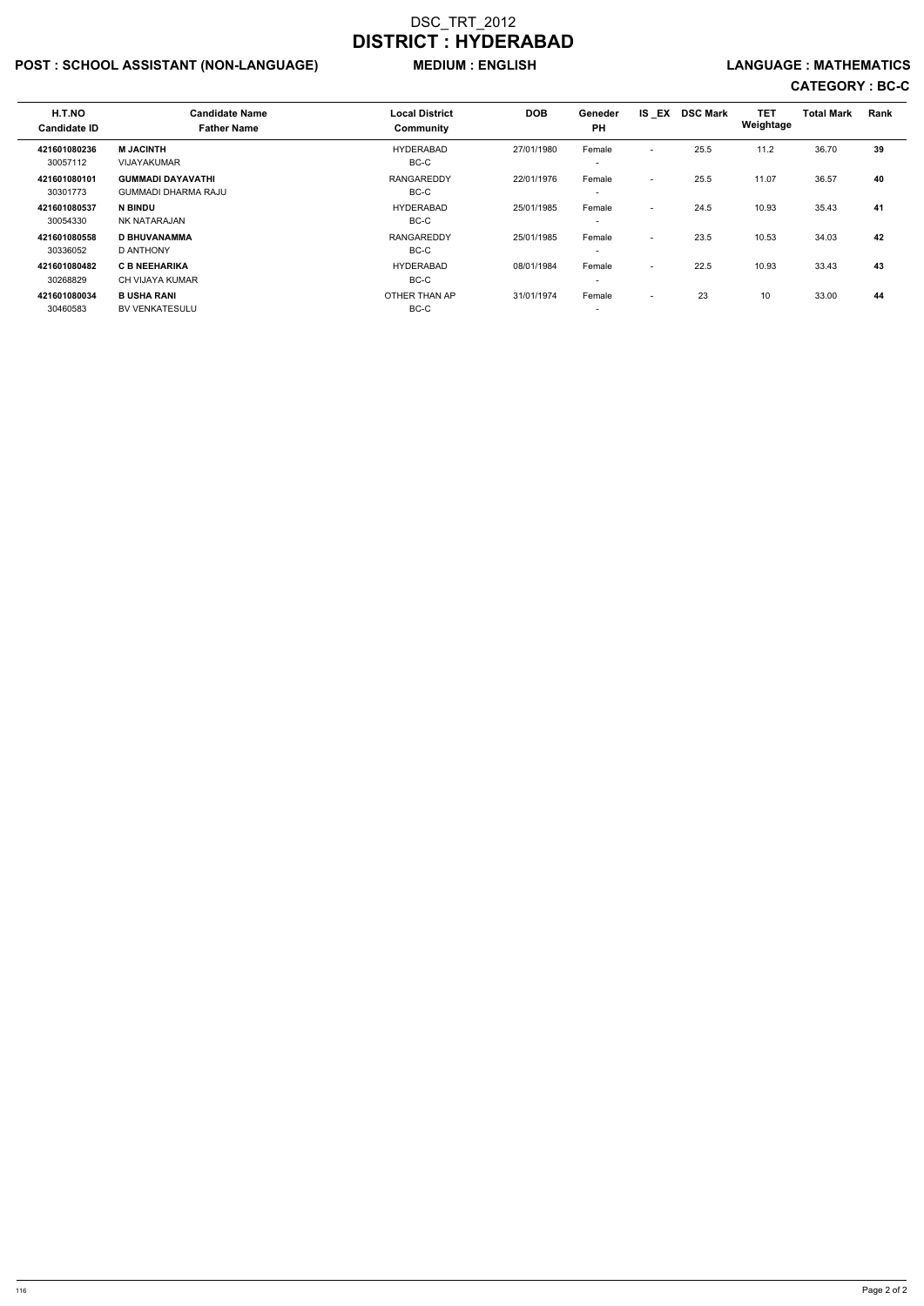## POST : SCHOOL ASSISTANT (NON-LANGUAGE) MEDIUM : ENGLISH LANGUAGE : MATHEMATICS

| H.T.NO<br><b>Candidate ID</b> | <b>Candidate Name</b><br><b>Father Name</b>            | <b>Local District</b><br>Community | <b>DOB</b> | Geneder<br><b>PH</b>               | IS EX                    | <b>DSC Mark</b> | <b>TET</b><br>Weightage | <b>Total Mark</b> | Rank |
|-------------------------------|--------------------------------------------------------|------------------------------------|------------|------------------------------------|--------------------------|-----------------|-------------------------|-------------------|------|
| 421601080236<br>30057112      | <b>M JACINTH</b><br><b>VIJAYAKUMAR</b>                 | <b>HYDERABAD</b><br>BC-C           | 27/01/1980 | Female<br>$\overline{\phantom{0}}$ | $\overline{\phantom{a}}$ | 25.5            | 11.2                    | 36.70             | 39   |
| 421601080101<br>30301773      | <b>GUMMADI DAYAVATHI</b><br><b>GUMMADI DHARMA RAJU</b> | <b>RANGAREDDY</b><br>BC-C          | 22/01/1976 | Female<br>$\overline{\phantom{0}}$ | $\overline{\phantom{a}}$ | 25.5            | 11.07                   | 36.57             | 40   |
| 421601080537<br>30054330      | <b>N BINDU</b><br>NK NATARAJAN                         | <b>HYDERABAD</b><br>BC-C           | 25/01/1985 | Female<br>$\overline{\phantom{0}}$ | $\overline{\phantom{a}}$ | 24.5            | 10.93                   | 35.43             | 41   |
| 421601080558<br>30336052      | <b>D BHUVANAMMA</b><br>D ANTHONY                       | <b>RANGAREDDY</b><br>BC-C          | 25/01/1985 | Female<br>$\overline{\phantom{0}}$ | $\overline{\phantom{a}}$ | 23.5            | 10.53                   | 34.03             | 42   |
| 421601080482<br>30268829      | <b>C B NEEHARIKA</b><br>CH VIJAYA KUMAR                | <b>HYDERABAD</b><br>BC-C           | 08/01/1984 | Female<br>$\overline{\phantom{0}}$ | $\overline{\phantom{a}}$ | 22.5            | 10.93                   | 33.43             | 43   |
| 421601080034<br>30460583      | <b>B USHA RANI</b><br><b>BV VENKATESULU</b>            | OTHER THAN AP<br>BC-C              | 31/01/1974 | Female<br>$\overline{\phantom{a}}$ | $\overline{\phantom{a}}$ | 23              | 10                      | 33.00             | 44   |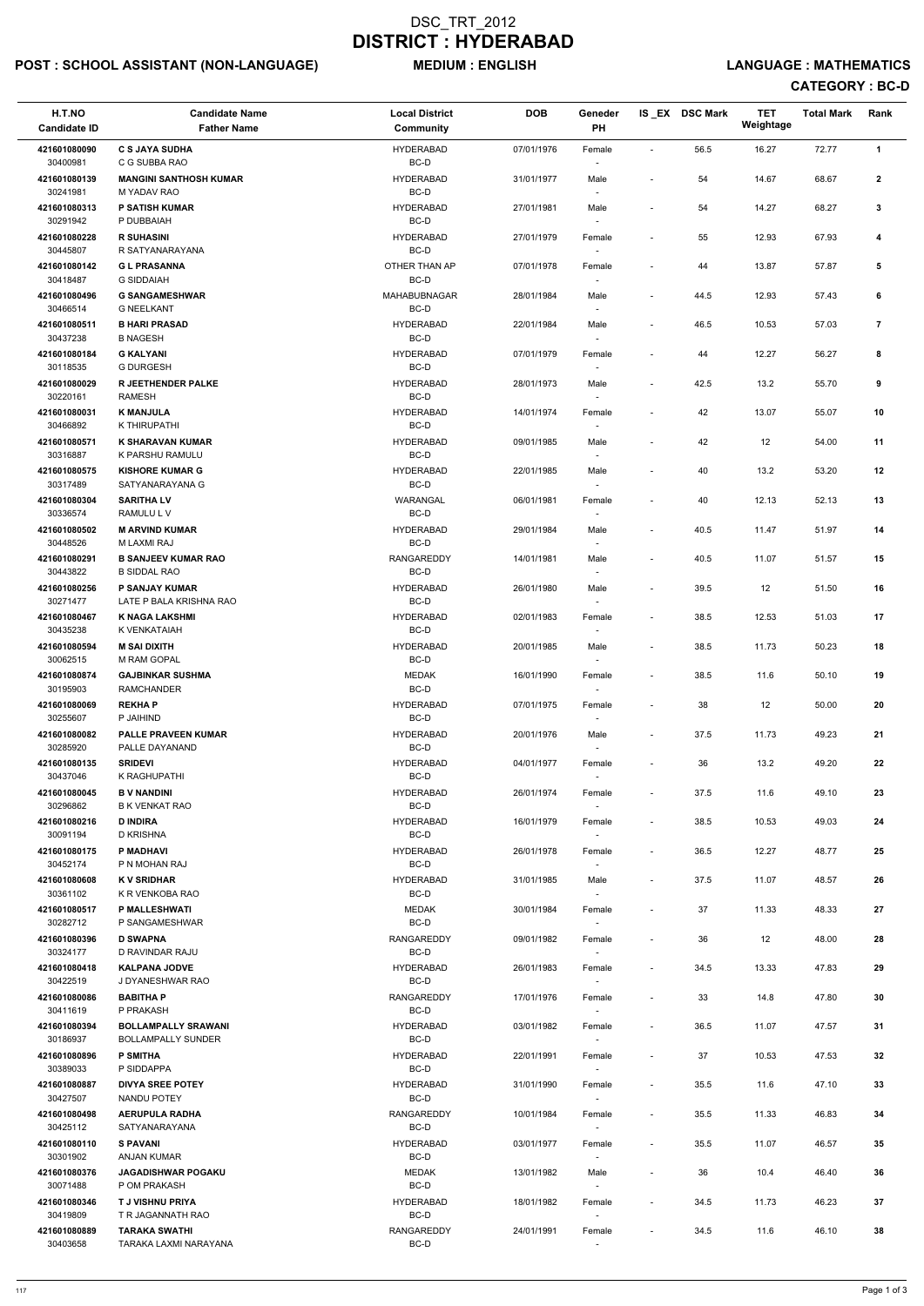## POST : SCHOOL ASSISTANT (NON-LANGUAGE) MEDIUM : ENGLISH LANGUAGE : MATHEMATICS

| H.T.NO                   | <b>Candidate Name</b>                                   | <b>Local District</b>     | <b>DOB</b> | Geneder                            |                          | IS EX DSC Mark | <b>TET</b><br>Weightage | <b>Total Mark</b> | Rank                    |
|--------------------------|---------------------------------------------------------|---------------------------|------------|------------------------------------|--------------------------|----------------|-------------------------|-------------------|-------------------------|
| <b>Candidate ID</b>      | <b>Father Name</b>                                      | <b>Community</b>          |            | <b>PH</b>                          |                          |                |                         |                   |                         |
| 421601080090<br>30400981 | <b>C S JAYA SUDHA</b><br>C G SUBBA RAO                  | <b>HYDERABAD</b><br>BC-D  | 07/01/1976 | Female                             | $\blacksquare$           | 56.5           | 16.27                   | 72.77             | $\mathbf{1}$            |
| 421601080139<br>30241981 | <b>MANGINI SANTHOSH KUMAR</b><br>M YADAV RAO            | <b>HYDERABAD</b><br>BC-D  | 31/01/1977 | Male                               |                          | 54             | 14.67                   | 68.67             | $\boldsymbol{2}$        |
| 421601080313<br>30291942 | <b>P SATISH KUMAR</b><br>P DUBBAIAH                     | <b>HYDERABAD</b><br>BC-D  | 27/01/1981 | Male                               | $\overline{\phantom{a}}$ | 54             | 14.27                   | 68.27             | 3                       |
| 421601080228             | <b>R SUHASINI</b>                                       | <b>HYDERABAD</b>          | 27/01/1979 | Female                             | $\blacksquare$           | 55             | 12.93                   | 67.93             | 4                       |
| 30445807<br>421601080142 | R SATYANARAYANA<br><b>GL PRASANNA</b>                   | BC-D<br>OTHER THAN AP     | 07/01/1978 | $\sim$<br>Female                   | $\overline{\phantom{a}}$ | 44             | 13.87                   | 57.87             | 5                       |
| 30418487<br>421601080496 | <b>G SIDDAIAH</b><br><b>G SANGAMESHWAR</b>              | BC-D<br>MAHABUBNAGAR      | 28/01/1984 | Male                               | $\overline{\phantom{a}}$ | 44.5           | 12.93                   | 57.43             | 6                       |
| 30466514                 | <b>G NEELKANT</b>                                       | BC-D                      |            | $\overline{\phantom{a}}$           |                          |                |                         |                   |                         |
| 421601080511<br>30437238 | <b>B HARI PRASAD</b><br><b>B NAGESH</b>                 | <b>HYDERABAD</b><br>BC-D  | 22/01/1984 | Male                               | $\overline{\phantom{a}}$ | 46.5           | 10.53                   | 57.03             | $\overline{\mathbf{r}}$ |
| 421601080184<br>30118535 | <b>G KALYANI</b><br><b>G DURGESH</b>                    | <b>HYDERABAD</b><br>BC-D  | 07/01/1979 | Female                             | $\overline{\phantom{a}}$ | 44             | 12.27                   | 56.27             | 8                       |
| 421601080029<br>30220161 | <b>R JEETHENDER PALKE</b><br><b>RAMESH</b>              | <b>HYDERABAD</b><br>BC-D  | 28/01/1973 | Male                               | $\blacksquare$           | 42.5           | 13.2                    | 55.70             | 9                       |
| 421601080031             | <b>K MANJULA</b>                                        | <b>HYDERABAD</b>          | 14/01/1974 | Female                             | $\overline{a}$           | 42             | 13.07                   | 55.07             | 10                      |
| 30466892<br>421601080571 | K THIRUPATHI<br><b>K SHARAVAN KUMAR</b>                 | BC-D<br><b>HYDERABAD</b>  | 09/01/1985 | Male                               | $\blacksquare$           | 42             | 12                      | 54.00             | 11                      |
| 30316887                 | K PARSHU RAMULU                                         | BC-D                      |            |                                    |                          |                |                         |                   |                         |
| 421601080575<br>30317489 | <b>KISHORE KUMAR G</b><br>SATYANARAYANA G               | <b>HYDERABAD</b><br>BC-D  | 22/01/1985 | Male                               | $\overline{\phantom{a}}$ | 40             | 13.2                    | 53.20             | 12                      |
| 421601080304<br>30336574 | <b>SARITHA LV</b><br>RAMULU L V                         | <b>WARANGAL</b><br>BC-D   | 06/01/1981 | Female<br>$\sim$                   | $\overline{\phantom{a}}$ | 40             | 12.13                   | 52.13             | 13                      |
| 421601080502             | <b>M ARVIND KUMAR</b>                                   | <b>HYDERABAD</b>          | 29/01/1984 | Male                               | $\overline{\phantom{a}}$ | 40.5           | 11.47                   | 51.97             | 14                      |
| 30448526<br>421601080291 | M LAXMI RAJ<br><b>B SANJEEV KUMAR RAO</b>               | BC-D<br><b>RANGAREDDY</b> | 14/01/1981 | $\sim$<br>Male                     | $\overline{\phantom{a}}$ | 40.5           | 11.07                   | 51.57             | 15                      |
| 30443822<br>421601080256 | <b>B SIDDAL RAO</b><br>P SANJAY KUMAR                   | BC-D<br><b>HYDERABAD</b>  | 26/01/1980 | Male                               | $\overline{\phantom{a}}$ | 39.5           | 12                      | 51.50             | 16                      |
| 30271477<br>421601080467 | LATE P BALA KRISHNA RAO<br><b>K NAGA LAKSHMI</b>        | BC-D<br><b>HYDERABAD</b>  | 02/01/1983 | Female                             | $\overline{\phantom{a}}$ | 38.5           | 12.53                   | 51.03             | 17                      |
| 30435238                 | K VENKATAIAH                                            | BC-D                      |            | $\sim$                             |                          |                |                         |                   |                         |
| 421601080594<br>30062515 | <b>M SAI DIXITH</b><br>M RAM GOPAL                      | <b>HYDERABAD</b><br>BC-D  | 20/01/1985 | Male                               | $\overline{\phantom{a}}$ | 38.5           | 11.73                   | 50.23             | 18                      |
| 421601080874<br>30195903 | <b>GAJBINKAR SUSHMA</b><br><b>RAMCHANDER</b>            | <b>MEDAK</b><br>BC-D      | 16/01/1990 | Female                             | $\overline{\phantom{a}}$ | 38.5           | 11.6                    | 50.10             | 19                      |
| 421601080069<br>30255607 | <b>REKHAP</b><br>P JAIHIND                              | <b>HYDERABAD</b><br>BC-D  | 07/01/1975 | Female<br>$\overline{\phantom{a}}$ | $\blacksquare$           | 38             | 12                      | 50.00             | 20                      |
| 421601080082<br>30285920 | <b>PALLE PRAVEEN KUMAR</b><br>PALLE DAYANAND            | <b>HYDERABAD</b><br>BC-D  | 20/01/1976 | Male<br>$\sim$                     | $\overline{\phantom{a}}$ | 37.5           | 11.73                   | 49.23             | 21                      |
| 421601080135             | <b>SRIDEVI</b>                                          | <b>HYDERABAD</b>          | 04/01/1977 | Female                             | $\overline{\phantom{a}}$ | 36             | 13.2                    | 49.20             | 22                      |
| 30437046<br>421601080045 | K RAGHUPATHI<br><b>B V NANDINI</b>                      | BC-D<br><b>HYDERABAD</b>  | 26/01/1974 | $\sim$<br>Female                   | $\overline{\phantom{a}}$ | 37.5           | 11.6                    | 49.10             | 23                      |
| 30296862<br>421601080216 | <b>B K VENKAT RAO</b><br><b>D INDIRA</b>                | BC-D<br><b>HYDERABAD</b>  | 16/01/1979 |                                    | $\overline{\phantom{a}}$ | 38.5           | 10.53                   | 49.03             | 24                      |
| 30091194                 | D KRISHNA                                               | BC-D                      |            | Female<br>$\sim$                   |                          |                |                         |                   |                         |
| 421601080175<br>30452174 | <b>P MADHAVI</b><br>P N MOHAN RAJ                       | <b>HYDERABAD</b><br>BC-D  | 26/01/1978 | Female                             | $\overline{\phantom{a}}$ | 36.5           | 12.27                   | 48.77             | 25                      |
| 421601080608<br>30361102 | <b>KV SRIDHAR</b><br>K R VENKOBA RAO                    | <b>HYDERABAD</b><br>BC-D  | 31/01/1985 | Male<br>$\sim$                     | $\overline{\phantom{a}}$ | 37.5           | 11.07                   | 48.57             | 26                      |
| 421601080517<br>30282712 | P MALLESHWATI<br>P SANGAMESHWAR                         | <b>MEDAK</b><br>BC-D      | 30/01/1984 | Female                             | $\blacksquare$           | 37             | 11.33                   | 48.33             | 27                      |
| 421601080396             | <b>D SWAPNA</b><br>D RAVINDAR RAJU                      | RANGAREDDY<br>BC-D        | 09/01/1982 | Female                             | $\overline{\phantom{a}}$ | 36             | 12                      | 48.00             | 28                      |
| 30324177<br>421601080418 | <b>KALPANA JODVE</b>                                    | <b>HYDERABAD</b>          | 26/01/1983 | Female                             | $\overline{\phantom{a}}$ | 34.5           | 13.33                   | 47.83             | 29                      |
| 30422519<br>421601080086 | J DYANESHWAR RAO<br><b>BABITHA P</b>                    | BC-D<br><b>RANGAREDDY</b> | 17/01/1976 | $\sim$<br>Female                   | $\overline{\phantom{a}}$ | 33             | 14.8                    | 47.80             | 30                      |
| 30411619                 | P PRAKASH                                               | BC-D                      |            | $\overline{\phantom{a}}$           |                          |                |                         |                   |                         |
| 421601080394<br>30186937 | <b>BOLLAMPALLY SRAWANI</b><br><b>BOLLAMPALLY SUNDER</b> | <b>HYDERABAD</b><br>BC-D  | 03/01/1982 | Female<br>$\sim$                   | $\overline{\phantom{a}}$ | 36.5           | 11.07                   | 47.57             | 31                      |
| 421601080896<br>30389033 | <b>P SMITHA</b><br>P SIDDAPPA                           | <b>HYDERABAD</b><br>BC-D  | 22/01/1991 | Female                             | $\overline{\phantom{a}}$ | 37             | 10.53                   | 47.53             | 32                      |
| 421601080887             | <b>DIVYA SREE POTEY</b>                                 | <b>HYDERABAD</b>          | 31/01/1990 | Female                             | $\overline{\phantom{a}}$ | 35.5           | 11.6                    | 47.10             | 33                      |
| 30427507<br>421601080498 | <b>NANDU POTEY</b><br><b>AERUPULA RADHA</b>             | BC-D<br><b>RANGAREDDY</b> | 10/01/1984 | $\sim$<br>Female                   | $\overline{\phantom{a}}$ | 35.5           | 11.33                   | 46.83             | 34                      |
| 30425112<br>421601080110 | SATYANARAYANA<br><b>S PAVANI</b>                        | BC-D<br><b>HYDERABAD</b>  | 03/01/1977 | Female                             | $\overline{\phantom{a}}$ | 35.5           | 11.07                   | 46.57             | 35                      |
| 30301902                 | <b>ANJAN KUMAR</b>                                      | BC-D                      |            |                                    |                          |                |                         |                   |                         |
| 421601080376<br>30071488 | <b>JAGADISHWAR POGAKU</b><br>P OM PRAKASH               | <b>MEDAK</b><br>BC-D      | 13/01/1982 | Male<br>$\overline{\phantom{a}}$   | $\overline{\phantom{a}}$ | 36             | 10.4                    | 46.40             | 36                      |
| 421601080346<br>30419809 | <b>TJ VISHNU PRIYA</b><br>T R JAGANNATH RAO             | <b>HYDERABAD</b><br>BC-D  | 18/01/1982 | Female<br>$\sim$                   | $\overline{\phantom{a}}$ | 34.5           | 11.73                   | 46.23             | 37                      |
| 421601080889<br>30403658 | <b>TARAKA SWATHI</b><br>TARAKA LAXMI NARAYANA           | RANGAREDDY<br>BC-D        | 24/01/1991 | Female<br>$\sim$                   | $\overline{\phantom{a}}$ | 34.5           | 11.6                    | 46.10             | 38                      |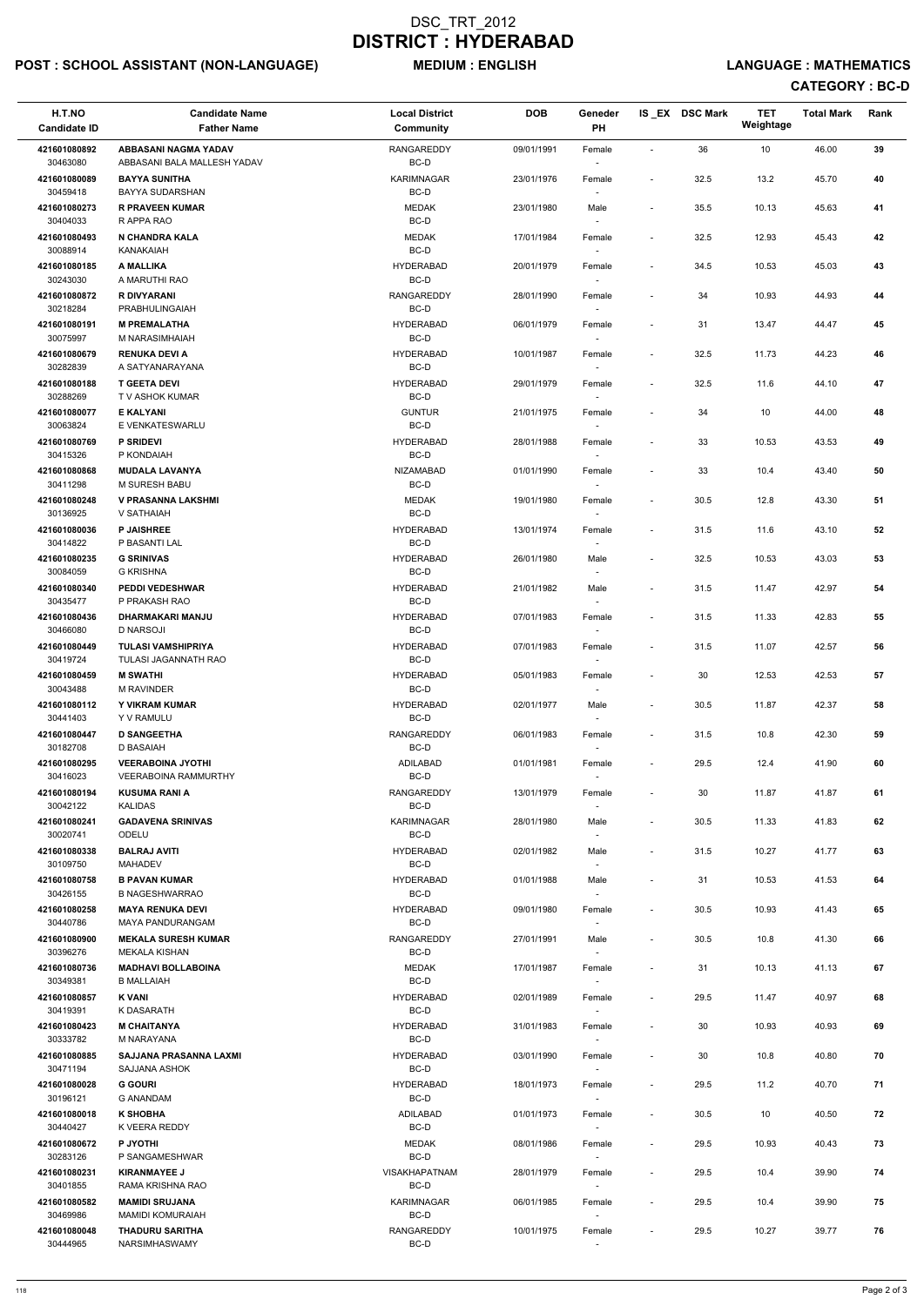## POST : SCHOOL ASSISTANT (NON-LANGUAGE) MEDIUM : ENGLISH LANGUAGE : MATHEMATICS

| 36<br>10<br><b>ABBASANI NAGMA YADAV</b><br><b>RANGAREDDY</b><br>09/01/1991<br>46.00<br>39<br>421601080892<br>Female<br>30463080<br>BC-D<br>ABBASANI BALA MALLESH YADAV<br>32.5<br>40<br>421601080089<br><b>BAYYA SUNITHA</b><br><b>KARIMNAGAR</b><br>13.2<br>45.70<br>23/01/1976<br>Female<br>$\overline{\phantom{a}}$<br>BC-D<br>30459418<br><b>BAYYA SUDARSHAN</b><br>421601080273<br><b>R PRAVEEN KUMAR</b><br><b>MEDAK</b><br>35.5<br>41<br>23/01/1980<br>10.13<br>45.63<br>Male<br>$\overline{\phantom{a}}$<br>BC-D<br>30404033<br>R APPA RAO<br>421601080493<br>N CHANDRA KALA<br><b>MEDAK</b><br>32.5<br>12.93<br>42<br>17/01/1984<br>45.43<br>Female<br>BC-D<br>30088914<br>KANAKAIAH<br><b>HYDERABAD</b><br>34.5<br>43<br>421601080185<br>A MALLIKA<br>20/01/1979<br>Female<br>10.53<br>45.03<br>$\overline{\phantom{a}}$<br>30243030<br>A MARUTHI RAO<br>BC-D<br>$\overline{\phantom{a}}$<br>421601080872<br><b>R DIVYARANI</b><br>34<br>10.93<br><b>RANGAREDDY</b><br>28/01/1990<br>44.93<br>44<br>Female<br>30218284<br>BC-D<br>PRABHULINGAIAH<br>$\overline{\phantom{a}}$<br>421601080191<br><b>M PREMALATHA</b><br><b>HYDERABAD</b><br>45<br>06/01/1979<br>31<br>13.47<br>44.47<br>Female<br>30075997<br>BC-D<br>M NARASIMHAIAH<br>421601080679<br><b>RENUKA DEVI A</b><br><b>HYDERABAD</b><br>32.5<br>46<br>10/01/1987<br>11.73<br>44.23<br>Female<br>$\overline{\phantom{a}}$<br>30282839<br>BC-D<br>A SATYANARAYANA<br>$\overline{\phantom{a}}$<br><b>HYDERABAD</b><br>32.5<br>47<br>421601080188<br><b>T GEETA DEVI</b><br>29/01/1979<br>11.6<br>44.10<br>Female<br>BC-D<br>30288269<br>T V ASHOK KUMAR<br>$\overline{\phantom{a}}$<br><b>E KALYANI</b><br><b>GUNTUR</b><br>34<br>10<br>48<br>421601080077<br>21/01/1975<br>44.00<br>Female<br>BC-D<br>30063824<br>E VENKATESWARLU<br>$\overline{\phantom{a}}$<br>421601080769<br><b>P SRIDEVI</b><br><b>HYDERABAD</b><br>33<br>10.53<br>43.53<br>49<br>28/01/1988<br>Female<br>30415326<br>BC-D<br>P KONDAIAH<br>421601080868<br><b>NIZAMABAD</b><br>33<br>50<br><b>MUDALA LAVANYA</b><br>01/01/1990<br>10.4<br>43.40<br>Female<br>$\blacksquare$<br>BC-D<br>30411298<br>M SURESH BABU<br>421601080248<br><b>V PRASANNA LAKSHMI</b><br>30.5<br>51<br>MEDAK<br>19/01/1980<br>12.8<br>43.30<br>Female<br>BC-D<br>30136925<br>V SATHAIAH<br>$\overline{\phantom{a}}$<br>421601080036<br><b>P JAISHREE</b><br><b>HYDERABAD</b><br>31.5<br>11.6<br>52<br>13/01/1974<br>Female<br>43.10<br>$\overline{\phantom{a}}$<br>30414822<br>BC-D<br>P BASANTI LAL<br>$\overline{\phantom{a}}$<br>421601080235<br><b>G SRINIVAS</b><br><b>HYDERABAD</b><br>32.5<br>10.53<br>43.03<br>53<br>26/01/1980<br>Male<br>$\overline{\phantom{a}}$<br>30084059<br><b>G KRISHNA</b><br>BC-D<br>$\overline{\phantom{a}}$<br>421601080340<br><b>PEDDI VEDESHWAR</b><br><b>HYDERABAD</b><br>42.97<br>54<br>21/01/1982<br>Male<br>31.5<br>11.47<br>30435477<br>P PRAKASH RAO<br>BC-D<br>$\overline{\phantom{a}}$<br><b>HYDERABAD</b><br>42.83<br>55<br>421601080436<br>DHARMAKARI MANJU<br>07/01/1983<br>31.5<br>11.33<br>Female<br>$\overline{\phantom{a}}$<br>30466080<br><b>D NARSOJI</b><br>BC-D<br>$\sim$<br>56<br>421601080449<br><b>TULASI VAMSHIPRIYA</b><br><b>HYDERABAD</b><br>31.5<br>11.07<br>42.57<br>07/01/1983<br>Female<br>$\overline{\phantom{a}}$<br>BC-D<br>30419724<br>TULASI JAGANNATH RAO<br>421601080459<br><b>M SWATHI</b><br>57<br><b>HYDERABAD</b><br>05/01/1983<br>30<br>12.53<br>42.53<br>Female<br>$\overline{\phantom{a}}$<br>BC-D<br>30043488<br><b>M RAVINDER</b><br><b>HYDERABAD</b><br>30.5<br>42.37<br>58<br>421601080112<br>Y VIKRAM KUMAR<br>02/01/1977<br>11.87<br>Male<br>$\overline{\phantom{a}}$<br>30441403<br>BC-D<br>Y V RAMULU<br>$\overline{\phantom{a}}$<br>31.5<br>42.30<br>59<br>421601080447<br><b>D SANGEETHA</b><br>RANGAREDDY<br>06/01/1983<br>10.8<br>Female<br>$\blacksquare$<br>30182708<br>BC-D<br>D BASAIAH<br>$\sim$<br><b>VEERABOINA JYOTHI</b><br>60<br>421601080295<br>ADILABAD<br>01/01/1981<br>29.5<br>12.4<br>41.90<br>Female<br>$\overline{\phantom{a}}$<br>BC-D<br>30416023<br><b>VEERABOINA RAMMURTHY</b><br>$\overline{\phantom{a}}$<br>421601080194<br><b>KUSUMA RANI A</b><br><b>RANGAREDDY</b><br>61<br>13/01/1979<br>30<br>11.87<br>41.87<br>Female<br>$\overline{\phantom{a}}$<br>30042122<br><b>KALIDAS</b><br>BC-D<br>421601080241<br><b>GADAVENA SRINIVAS</b><br><b>KARIMNAGAR</b><br>30.5<br>62<br>28/01/1980<br>11.33<br>41.83<br>Male<br>$\overline{\phantom{a}}$<br>BC-D<br>30020741<br>ODELU<br>$\sim$<br>31.5<br>421601080338<br><b>BALRAJ AVITI</b><br><b>HYDERABAD</b><br>02/01/1982<br>Male<br>10.27<br>41.77<br>63<br>BC-D<br>30109750<br><b>MAHADEV</b><br>$\overline{\phantom{a}}$<br><b>B PAVAN KUMAR</b><br>31<br>10.53<br>64<br>421601080758<br><b>HYDERABAD</b><br>01/01/1988<br>Male<br>41.53<br>BC-D<br>30426155<br><b>B NAGESHWARRAO</b><br>$\overline{\phantom{a}}$<br>30.5<br>65<br>421601080258<br><b>MAYA RENUKA DEVI</b><br><b>HYDERABAD</b><br>10.93<br>41.43<br>09/01/1980<br>Female<br>$\overline{\phantom{a}}$<br>30440786<br>BC-D<br><b>MAYA PANDURANGAM</b><br>421601080900<br><b>MEKALA SURESH KUMAR</b><br><b>RANGAREDDY</b><br>30.5<br>66<br>27/01/1991<br>10.8<br>41.30<br>Male<br>$\overline{\phantom{a}}$<br>BC-D<br>30396276<br><b>MEKALA KISHAN</b><br><b>MEDAK</b><br>10.13<br>67<br>421601080736<br><b>MADHAVI BOLLABOINA</b><br>17/01/1987<br>31<br>41.13<br>Female<br>BC-D<br>30349381<br><b>B MALLAIAH</b><br>$\sim$<br><b>HYDERABAD</b><br>29.5<br>68<br>421601080857<br>K VANI<br>02/01/1989<br>11.47<br>40.97<br>Female<br>$\overline{\phantom{a}}$<br>BC-D<br>30419391<br>K DASARATH<br>$\overline{\phantom{a}}$<br><b>M CHAITANYA</b><br><b>HYDERABAD</b><br>10.93<br>69<br>421601080423<br>31/01/1983<br>30<br>40.93<br>Female<br>30333782<br>BC-D<br>M NARAYANA<br>$\overline{\phantom{a}}$<br>421601080885<br><b>HYDERABAD</b><br>70<br>SAJJANA PRASANNA LAXMI<br>03/01/1990<br>30<br>10.8<br>40.80<br>Female<br>$\overline{\phantom{a}}$<br>30471194<br>BC-D<br>SAJJANA ASHOK<br>421601080028<br><b>G GOURI</b><br><b>HYDERABAD</b><br>29.5<br>71<br>18/01/1973<br>11.2<br>40.70<br>Female<br>$\blacksquare$<br>BC-D<br>30196121<br><b>G ANANDAM</b><br>$\sim$<br>72<br><b>K SHOBHA</b><br>$30.5\,$<br>10<br>40.50<br>421601080018<br>ADILABAD<br>01/01/1973<br>Female<br>BC-D<br>30440427<br>K VEERA REDDY<br>$\overline{\phantom{a}}$<br>P JYOTHI<br>73<br>421601080672<br><b>MEDAK</b><br>08/01/1986<br>29.5<br>10.93<br>40.43<br>Female<br>$\overline{\phantom{a}}$<br>BC-D<br>30283126<br>P SANGAMESHWAR<br>$\overline{\phantom{a}}$<br>421601080231<br><b>KIRANMAYEE J</b><br><b>VISAKHAPATNAM</b><br>29.5<br>39.90<br>74<br>28/01/1979<br>10.4<br>Female<br>$\overline{\phantom{a}}$<br>BC-D<br>30401855<br>RAMA KRISHNA RAO<br>$\overline{\phantom{a}}$<br>29.5<br>75<br>421601080582<br><b>MAMIDI SRUJANA</b><br><b>KARIMNAGAR</b><br>06/01/1985<br>10.4<br>39.90<br>Female<br>$\overline{\phantom{a}}$<br>BC-D<br>30469986<br>MAMIDI KOMURAIAH<br>$\overline{\phantom{a}}$<br>10.27<br>76<br>421601080048<br><b>THADURU SARITHA</b><br>RANGAREDDY<br>10/01/1975<br>29.5<br>39.77<br>Female<br>$\overline{\phantom{a}}$<br>$\overline{\phantom{a}}$ | H.T.NO<br><b>Candidate ID</b> | <b>Candidate Name</b><br><b>Father Name</b> | <b>Local District</b><br>Community | <b>DOB</b> | Geneder<br><b>PH</b> | IS EX DSC Mark | <b>TET</b><br>Weightage | <b>Total Mark</b> | Rank |
|------------------------------------------------------------------------------------------------------------------------------------------------------------------------------------------------------------------------------------------------------------------------------------------------------------------------------------------------------------------------------------------------------------------------------------------------------------------------------------------------------------------------------------------------------------------------------------------------------------------------------------------------------------------------------------------------------------------------------------------------------------------------------------------------------------------------------------------------------------------------------------------------------------------------------------------------------------------------------------------------------------------------------------------------------------------------------------------------------------------------------------------------------------------------------------------------------------------------------------------------------------------------------------------------------------------------------------------------------------------------------------------------------------------------------------------------------------------------------------------------------------------------------------------------------------------------------------------------------------------------------------------------------------------------------------------------------------------------------------------------------------------------------------------------------------------------------------------------------------------------------------------------------------------------------------------------------------------------------------------------------------------------------------------------------------------------------------------------------------------------------------------------------------------------------------------------------------------------------------------------------------------------------------------------------------------------------------------------------------------------------------------------------------------------------------------------------------------------------------------------------------------------------------------------------------------------------------------------------------------------------------------------------------------------------------------------------------------------------------------------------------------------------------------------------------------------------------------------------------------------------------------------------------------------------------------------------------------------------------------------------------------------------------------------------------------------------------------------------------------------------------------------------------------------------------------------------------------------------------------------------------------------------------------------------------------------------------------------------------------------------------------------------------------------------------------------------------------------------------------------------------------------------------------------------------------------------------------------------------------------------------------------------------------------------------------------------------------------------------------------------------------------------------------------------------------------------------------------------------------------------------------------------------------------------------------------------------------------------------------------------------------------------------------------------------------------------------------------------------------------------------------------------------------------------------------------------------------------------------------------------------------------------------------------------------------------------------------------------------------------------------------------------------------------------------------------------------------------------------------------------------------------------------------------------------------------------------------------------------------------------------------------------------------------------------------------------------------------------------------------------------------------------------------------------------------------------------------------------------------------------------------------------------------------------------------------------------------------------------------------------------------------------------------------------------------------------------------------------------------------------------------------------------------------------------------------------------------------------------------------------------------------------------------------------------------------------------------------------------------------------------------------------------------------------------------------------------------------------------------------------------------------------------------------------------------------------------------------------------------------------------------------------------------------------------------------------------------------------------------------------------------------------------------------------------------------------------------------------------------------------------------------------------------------------------------------------------------------------------------------------------------------------------------------------------------------------------------------------------------------------------------------------------------------------------------------------------------------------------------------------------------------------------------------------------------------------------------------------------------------------------------------------------------------------------------------------------------------------------------------------------------------------------------------------------------------------------------------------------------------------------------------------------------------------------------------------------------------------------------------------------------------------------------------------------------------------------------------------------------------------------------------------------------------------------------------------------------------------------------------------------------------------------------------------------------------------------------------------------------------------------------------------------------------------------------------------------------------------------|-------------------------------|---------------------------------------------|------------------------------------|------------|----------------------|----------------|-------------------------|-------------------|------|
|                                                                                                                                                                                                                                                                                                                                                                                                                                                                                                                                                                                                                                                                                                                                                                                                                                                                                                                                                                                                                                                                                                                                                                                                                                                                                                                                                                                                                                                                                                                                                                                                                                                                                                                                                                                                                                                                                                                                                                                                                                                                                                                                                                                                                                                                                                                                                                                                                                                                                                                                                                                                                                                                                                                                                                                                                                                                                                                                                                                                                                                                                                                                                                                                                                                                                                                                                                                                                                                                                                                                                                                                                                                                                                                                                                                                                                                                                                                                                                                                                                                                                                                                                                                                                                                                                                                                                                                                                                                                                                                                                                                                                                                                                                                                                                                                                                                                                                                                                                                                                                                                                                                                                                                                                                                                                                                                                                                                                                                                                                                                                                                                                                                                                                                                                                                                                                                                                                                                                                                                                                                                                                                                                                                                                                                                                                                                                                                                                                                                                                                                                                                                                                                                                                                                                                                                                                                                                                                                                                                                                                                                                                                                                                                                                                    |                               |                                             |                                    |            |                      |                |                         |                   |      |
|                                                                                                                                                                                                                                                                                                                                                                                                                                                                                                                                                                                                                                                                                                                                                                                                                                                                                                                                                                                                                                                                                                                                                                                                                                                                                                                                                                                                                                                                                                                                                                                                                                                                                                                                                                                                                                                                                                                                                                                                                                                                                                                                                                                                                                                                                                                                                                                                                                                                                                                                                                                                                                                                                                                                                                                                                                                                                                                                                                                                                                                                                                                                                                                                                                                                                                                                                                                                                                                                                                                                                                                                                                                                                                                                                                                                                                                                                                                                                                                                                                                                                                                                                                                                                                                                                                                                                                                                                                                                                                                                                                                                                                                                                                                                                                                                                                                                                                                                                                                                                                                                                                                                                                                                                                                                                                                                                                                                                                                                                                                                                                                                                                                                                                                                                                                                                                                                                                                                                                                                                                                                                                                                                                                                                                                                                                                                                                                                                                                                                                                                                                                                                                                                                                                                                                                                                                                                                                                                                                                                                                                                                                                                                                                                                                    |                               |                                             |                                    |            |                      |                |                         |                   |      |
|                                                                                                                                                                                                                                                                                                                                                                                                                                                                                                                                                                                                                                                                                                                                                                                                                                                                                                                                                                                                                                                                                                                                                                                                                                                                                                                                                                                                                                                                                                                                                                                                                                                                                                                                                                                                                                                                                                                                                                                                                                                                                                                                                                                                                                                                                                                                                                                                                                                                                                                                                                                                                                                                                                                                                                                                                                                                                                                                                                                                                                                                                                                                                                                                                                                                                                                                                                                                                                                                                                                                                                                                                                                                                                                                                                                                                                                                                                                                                                                                                                                                                                                                                                                                                                                                                                                                                                                                                                                                                                                                                                                                                                                                                                                                                                                                                                                                                                                                                                                                                                                                                                                                                                                                                                                                                                                                                                                                                                                                                                                                                                                                                                                                                                                                                                                                                                                                                                                                                                                                                                                                                                                                                                                                                                                                                                                                                                                                                                                                                                                                                                                                                                                                                                                                                                                                                                                                                                                                                                                                                                                                                                                                                                                                                                    |                               |                                             |                                    |            |                      |                |                         |                   |      |
|                                                                                                                                                                                                                                                                                                                                                                                                                                                                                                                                                                                                                                                                                                                                                                                                                                                                                                                                                                                                                                                                                                                                                                                                                                                                                                                                                                                                                                                                                                                                                                                                                                                                                                                                                                                                                                                                                                                                                                                                                                                                                                                                                                                                                                                                                                                                                                                                                                                                                                                                                                                                                                                                                                                                                                                                                                                                                                                                                                                                                                                                                                                                                                                                                                                                                                                                                                                                                                                                                                                                                                                                                                                                                                                                                                                                                                                                                                                                                                                                                                                                                                                                                                                                                                                                                                                                                                                                                                                                                                                                                                                                                                                                                                                                                                                                                                                                                                                                                                                                                                                                                                                                                                                                                                                                                                                                                                                                                                                                                                                                                                                                                                                                                                                                                                                                                                                                                                                                                                                                                                                                                                                                                                                                                                                                                                                                                                                                                                                                                                                                                                                                                                                                                                                                                                                                                                                                                                                                                                                                                                                                                                                                                                                                                                    |                               |                                             |                                    |            |                      |                |                         |                   |      |
|                                                                                                                                                                                                                                                                                                                                                                                                                                                                                                                                                                                                                                                                                                                                                                                                                                                                                                                                                                                                                                                                                                                                                                                                                                                                                                                                                                                                                                                                                                                                                                                                                                                                                                                                                                                                                                                                                                                                                                                                                                                                                                                                                                                                                                                                                                                                                                                                                                                                                                                                                                                                                                                                                                                                                                                                                                                                                                                                                                                                                                                                                                                                                                                                                                                                                                                                                                                                                                                                                                                                                                                                                                                                                                                                                                                                                                                                                                                                                                                                                                                                                                                                                                                                                                                                                                                                                                                                                                                                                                                                                                                                                                                                                                                                                                                                                                                                                                                                                                                                                                                                                                                                                                                                                                                                                                                                                                                                                                                                                                                                                                                                                                                                                                                                                                                                                                                                                                                                                                                                                                                                                                                                                                                                                                                                                                                                                                                                                                                                                                                                                                                                                                                                                                                                                                                                                                                                                                                                                                                                                                                                                                                                                                                                                                    |                               |                                             |                                    |            |                      |                |                         |                   |      |
|                                                                                                                                                                                                                                                                                                                                                                                                                                                                                                                                                                                                                                                                                                                                                                                                                                                                                                                                                                                                                                                                                                                                                                                                                                                                                                                                                                                                                                                                                                                                                                                                                                                                                                                                                                                                                                                                                                                                                                                                                                                                                                                                                                                                                                                                                                                                                                                                                                                                                                                                                                                                                                                                                                                                                                                                                                                                                                                                                                                                                                                                                                                                                                                                                                                                                                                                                                                                                                                                                                                                                                                                                                                                                                                                                                                                                                                                                                                                                                                                                                                                                                                                                                                                                                                                                                                                                                                                                                                                                                                                                                                                                                                                                                                                                                                                                                                                                                                                                                                                                                                                                                                                                                                                                                                                                                                                                                                                                                                                                                                                                                                                                                                                                                                                                                                                                                                                                                                                                                                                                                                                                                                                                                                                                                                                                                                                                                                                                                                                                                                                                                                                                                                                                                                                                                                                                                                                                                                                                                                                                                                                                                                                                                                                                                    |                               |                                             |                                    |            |                      |                |                         |                   |      |
|                                                                                                                                                                                                                                                                                                                                                                                                                                                                                                                                                                                                                                                                                                                                                                                                                                                                                                                                                                                                                                                                                                                                                                                                                                                                                                                                                                                                                                                                                                                                                                                                                                                                                                                                                                                                                                                                                                                                                                                                                                                                                                                                                                                                                                                                                                                                                                                                                                                                                                                                                                                                                                                                                                                                                                                                                                                                                                                                                                                                                                                                                                                                                                                                                                                                                                                                                                                                                                                                                                                                                                                                                                                                                                                                                                                                                                                                                                                                                                                                                                                                                                                                                                                                                                                                                                                                                                                                                                                                                                                                                                                                                                                                                                                                                                                                                                                                                                                                                                                                                                                                                                                                                                                                                                                                                                                                                                                                                                                                                                                                                                                                                                                                                                                                                                                                                                                                                                                                                                                                                                                                                                                                                                                                                                                                                                                                                                                                                                                                                                                                                                                                                                                                                                                                                                                                                                                                                                                                                                                                                                                                                                                                                                                                                                    |                               |                                             |                                    |            |                      |                |                         |                   |      |
|                                                                                                                                                                                                                                                                                                                                                                                                                                                                                                                                                                                                                                                                                                                                                                                                                                                                                                                                                                                                                                                                                                                                                                                                                                                                                                                                                                                                                                                                                                                                                                                                                                                                                                                                                                                                                                                                                                                                                                                                                                                                                                                                                                                                                                                                                                                                                                                                                                                                                                                                                                                                                                                                                                                                                                                                                                                                                                                                                                                                                                                                                                                                                                                                                                                                                                                                                                                                                                                                                                                                                                                                                                                                                                                                                                                                                                                                                                                                                                                                                                                                                                                                                                                                                                                                                                                                                                                                                                                                                                                                                                                                                                                                                                                                                                                                                                                                                                                                                                                                                                                                                                                                                                                                                                                                                                                                                                                                                                                                                                                                                                                                                                                                                                                                                                                                                                                                                                                                                                                                                                                                                                                                                                                                                                                                                                                                                                                                                                                                                                                                                                                                                                                                                                                                                                                                                                                                                                                                                                                                                                                                                                                                                                                                                                    |                               |                                             |                                    |            |                      |                |                         |                   |      |
|                                                                                                                                                                                                                                                                                                                                                                                                                                                                                                                                                                                                                                                                                                                                                                                                                                                                                                                                                                                                                                                                                                                                                                                                                                                                                                                                                                                                                                                                                                                                                                                                                                                                                                                                                                                                                                                                                                                                                                                                                                                                                                                                                                                                                                                                                                                                                                                                                                                                                                                                                                                                                                                                                                                                                                                                                                                                                                                                                                                                                                                                                                                                                                                                                                                                                                                                                                                                                                                                                                                                                                                                                                                                                                                                                                                                                                                                                                                                                                                                                                                                                                                                                                                                                                                                                                                                                                                                                                                                                                                                                                                                                                                                                                                                                                                                                                                                                                                                                                                                                                                                                                                                                                                                                                                                                                                                                                                                                                                                                                                                                                                                                                                                                                                                                                                                                                                                                                                                                                                                                                                                                                                                                                                                                                                                                                                                                                                                                                                                                                                                                                                                                                                                                                                                                                                                                                                                                                                                                                                                                                                                                                                                                                                                                                    |                               |                                             |                                    |            |                      |                |                         |                   |      |
|                                                                                                                                                                                                                                                                                                                                                                                                                                                                                                                                                                                                                                                                                                                                                                                                                                                                                                                                                                                                                                                                                                                                                                                                                                                                                                                                                                                                                                                                                                                                                                                                                                                                                                                                                                                                                                                                                                                                                                                                                                                                                                                                                                                                                                                                                                                                                                                                                                                                                                                                                                                                                                                                                                                                                                                                                                                                                                                                                                                                                                                                                                                                                                                                                                                                                                                                                                                                                                                                                                                                                                                                                                                                                                                                                                                                                                                                                                                                                                                                                                                                                                                                                                                                                                                                                                                                                                                                                                                                                                                                                                                                                                                                                                                                                                                                                                                                                                                                                                                                                                                                                                                                                                                                                                                                                                                                                                                                                                                                                                                                                                                                                                                                                                                                                                                                                                                                                                                                                                                                                                                                                                                                                                                                                                                                                                                                                                                                                                                                                                                                                                                                                                                                                                                                                                                                                                                                                                                                                                                                                                                                                                                                                                                                                                    |                               |                                             |                                    |            |                      |                |                         |                   |      |
|                                                                                                                                                                                                                                                                                                                                                                                                                                                                                                                                                                                                                                                                                                                                                                                                                                                                                                                                                                                                                                                                                                                                                                                                                                                                                                                                                                                                                                                                                                                                                                                                                                                                                                                                                                                                                                                                                                                                                                                                                                                                                                                                                                                                                                                                                                                                                                                                                                                                                                                                                                                                                                                                                                                                                                                                                                                                                                                                                                                                                                                                                                                                                                                                                                                                                                                                                                                                                                                                                                                                                                                                                                                                                                                                                                                                                                                                                                                                                                                                                                                                                                                                                                                                                                                                                                                                                                                                                                                                                                                                                                                                                                                                                                                                                                                                                                                                                                                                                                                                                                                                                                                                                                                                                                                                                                                                                                                                                                                                                                                                                                                                                                                                                                                                                                                                                                                                                                                                                                                                                                                                                                                                                                                                                                                                                                                                                                                                                                                                                                                                                                                                                                                                                                                                                                                                                                                                                                                                                                                                                                                                                                                                                                                                                                    |                               |                                             |                                    |            |                      |                |                         |                   |      |
|                                                                                                                                                                                                                                                                                                                                                                                                                                                                                                                                                                                                                                                                                                                                                                                                                                                                                                                                                                                                                                                                                                                                                                                                                                                                                                                                                                                                                                                                                                                                                                                                                                                                                                                                                                                                                                                                                                                                                                                                                                                                                                                                                                                                                                                                                                                                                                                                                                                                                                                                                                                                                                                                                                                                                                                                                                                                                                                                                                                                                                                                                                                                                                                                                                                                                                                                                                                                                                                                                                                                                                                                                                                                                                                                                                                                                                                                                                                                                                                                                                                                                                                                                                                                                                                                                                                                                                                                                                                                                                                                                                                                                                                                                                                                                                                                                                                                                                                                                                                                                                                                                                                                                                                                                                                                                                                                                                                                                                                                                                                                                                                                                                                                                                                                                                                                                                                                                                                                                                                                                                                                                                                                                                                                                                                                                                                                                                                                                                                                                                                                                                                                                                                                                                                                                                                                                                                                                                                                                                                                                                                                                                                                                                                                                                    |                               |                                             |                                    |            |                      |                |                         |                   |      |
|                                                                                                                                                                                                                                                                                                                                                                                                                                                                                                                                                                                                                                                                                                                                                                                                                                                                                                                                                                                                                                                                                                                                                                                                                                                                                                                                                                                                                                                                                                                                                                                                                                                                                                                                                                                                                                                                                                                                                                                                                                                                                                                                                                                                                                                                                                                                                                                                                                                                                                                                                                                                                                                                                                                                                                                                                                                                                                                                                                                                                                                                                                                                                                                                                                                                                                                                                                                                                                                                                                                                                                                                                                                                                                                                                                                                                                                                                                                                                                                                                                                                                                                                                                                                                                                                                                                                                                                                                                                                                                                                                                                                                                                                                                                                                                                                                                                                                                                                                                                                                                                                                                                                                                                                                                                                                                                                                                                                                                                                                                                                                                                                                                                                                                                                                                                                                                                                                                                                                                                                                                                                                                                                                                                                                                                                                                                                                                                                                                                                                                                                                                                                                                                                                                                                                                                                                                                                                                                                                                                                                                                                                                                                                                                                                                    |                               |                                             |                                    |            |                      |                |                         |                   |      |
|                                                                                                                                                                                                                                                                                                                                                                                                                                                                                                                                                                                                                                                                                                                                                                                                                                                                                                                                                                                                                                                                                                                                                                                                                                                                                                                                                                                                                                                                                                                                                                                                                                                                                                                                                                                                                                                                                                                                                                                                                                                                                                                                                                                                                                                                                                                                                                                                                                                                                                                                                                                                                                                                                                                                                                                                                                                                                                                                                                                                                                                                                                                                                                                                                                                                                                                                                                                                                                                                                                                                                                                                                                                                                                                                                                                                                                                                                                                                                                                                                                                                                                                                                                                                                                                                                                                                                                                                                                                                                                                                                                                                                                                                                                                                                                                                                                                                                                                                                                                                                                                                                                                                                                                                                                                                                                                                                                                                                                                                                                                                                                                                                                                                                                                                                                                                                                                                                                                                                                                                                                                                                                                                                                                                                                                                                                                                                                                                                                                                                                                                                                                                                                                                                                                                                                                                                                                                                                                                                                                                                                                                                                                                                                                                                                    |                               |                                             |                                    |            |                      |                |                         |                   |      |
|                                                                                                                                                                                                                                                                                                                                                                                                                                                                                                                                                                                                                                                                                                                                                                                                                                                                                                                                                                                                                                                                                                                                                                                                                                                                                                                                                                                                                                                                                                                                                                                                                                                                                                                                                                                                                                                                                                                                                                                                                                                                                                                                                                                                                                                                                                                                                                                                                                                                                                                                                                                                                                                                                                                                                                                                                                                                                                                                                                                                                                                                                                                                                                                                                                                                                                                                                                                                                                                                                                                                                                                                                                                                                                                                                                                                                                                                                                                                                                                                                                                                                                                                                                                                                                                                                                                                                                                                                                                                                                                                                                                                                                                                                                                                                                                                                                                                                                                                                                                                                                                                                                                                                                                                                                                                                                                                                                                                                                                                                                                                                                                                                                                                                                                                                                                                                                                                                                                                                                                                                                                                                                                                                                                                                                                                                                                                                                                                                                                                                                                                                                                                                                                                                                                                                                                                                                                                                                                                                                                                                                                                                                                                                                                                                                    |                               |                                             |                                    |            |                      |                |                         |                   |      |
|                                                                                                                                                                                                                                                                                                                                                                                                                                                                                                                                                                                                                                                                                                                                                                                                                                                                                                                                                                                                                                                                                                                                                                                                                                                                                                                                                                                                                                                                                                                                                                                                                                                                                                                                                                                                                                                                                                                                                                                                                                                                                                                                                                                                                                                                                                                                                                                                                                                                                                                                                                                                                                                                                                                                                                                                                                                                                                                                                                                                                                                                                                                                                                                                                                                                                                                                                                                                                                                                                                                                                                                                                                                                                                                                                                                                                                                                                                                                                                                                                                                                                                                                                                                                                                                                                                                                                                                                                                                                                                                                                                                                                                                                                                                                                                                                                                                                                                                                                                                                                                                                                                                                                                                                                                                                                                                                                                                                                                                                                                                                                                                                                                                                                                                                                                                                                                                                                                                                                                                                                                                                                                                                                                                                                                                                                                                                                                                                                                                                                                                                                                                                                                                                                                                                                                                                                                                                                                                                                                                                                                                                                                                                                                                                                                    |                               |                                             |                                    |            |                      |                |                         |                   |      |
|                                                                                                                                                                                                                                                                                                                                                                                                                                                                                                                                                                                                                                                                                                                                                                                                                                                                                                                                                                                                                                                                                                                                                                                                                                                                                                                                                                                                                                                                                                                                                                                                                                                                                                                                                                                                                                                                                                                                                                                                                                                                                                                                                                                                                                                                                                                                                                                                                                                                                                                                                                                                                                                                                                                                                                                                                                                                                                                                                                                                                                                                                                                                                                                                                                                                                                                                                                                                                                                                                                                                                                                                                                                                                                                                                                                                                                                                                                                                                                                                                                                                                                                                                                                                                                                                                                                                                                                                                                                                                                                                                                                                                                                                                                                                                                                                                                                                                                                                                                                                                                                                                                                                                                                                                                                                                                                                                                                                                                                                                                                                                                                                                                                                                                                                                                                                                                                                                                                                                                                                                                                                                                                                                                                                                                                                                                                                                                                                                                                                                                                                                                                                                                                                                                                                                                                                                                                                                                                                                                                                                                                                                                                                                                                                                                    |                               |                                             |                                    |            |                      |                |                         |                   |      |
|                                                                                                                                                                                                                                                                                                                                                                                                                                                                                                                                                                                                                                                                                                                                                                                                                                                                                                                                                                                                                                                                                                                                                                                                                                                                                                                                                                                                                                                                                                                                                                                                                                                                                                                                                                                                                                                                                                                                                                                                                                                                                                                                                                                                                                                                                                                                                                                                                                                                                                                                                                                                                                                                                                                                                                                                                                                                                                                                                                                                                                                                                                                                                                                                                                                                                                                                                                                                                                                                                                                                                                                                                                                                                                                                                                                                                                                                                                                                                                                                                                                                                                                                                                                                                                                                                                                                                                                                                                                                                                                                                                                                                                                                                                                                                                                                                                                                                                                                                                                                                                                                                                                                                                                                                                                                                                                                                                                                                                                                                                                                                                                                                                                                                                                                                                                                                                                                                                                                                                                                                                                                                                                                                                                                                                                                                                                                                                                                                                                                                                                                                                                                                                                                                                                                                                                                                                                                                                                                                                                                                                                                                                                                                                                                                                    |                               |                                             |                                    |            |                      |                |                         |                   |      |
|                                                                                                                                                                                                                                                                                                                                                                                                                                                                                                                                                                                                                                                                                                                                                                                                                                                                                                                                                                                                                                                                                                                                                                                                                                                                                                                                                                                                                                                                                                                                                                                                                                                                                                                                                                                                                                                                                                                                                                                                                                                                                                                                                                                                                                                                                                                                                                                                                                                                                                                                                                                                                                                                                                                                                                                                                                                                                                                                                                                                                                                                                                                                                                                                                                                                                                                                                                                                                                                                                                                                                                                                                                                                                                                                                                                                                                                                                                                                                                                                                                                                                                                                                                                                                                                                                                                                                                                                                                                                                                                                                                                                                                                                                                                                                                                                                                                                                                                                                                                                                                                                                                                                                                                                                                                                                                                                                                                                                                                                                                                                                                                                                                                                                                                                                                                                                                                                                                                                                                                                                                                                                                                                                                                                                                                                                                                                                                                                                                                                                                                                                                                                                                                                                                                                                                                                                                                                                                                                                                                                                                                                                                                                                                                                                                    |                               |                                             |                                    |            |                      |                |                         |                   |      |
|                                                                                                                                                                                                                                                                                                                                                                                                                                                                                                                                                                                                                                                                                                                                                                                                                                                                                                                                                                                                                                                                                                                                                                                                                                                                                                                                                                                                                                                                                                                                                                                                                                                                                                                                                                                                                                                                                                                                                                                                                                                                                                                                                                                                                                                                                                                                                                                                                                                                                                                                                                                                                                                                                                                                                                                                                                                                                                                                                                                                                                                                                                                                                                                                                                                                                                                                                                                                                                                                                                                                                                                                                                                                                                                                                                                                                                                                                                                                                                                                                                                                                                                                                                                                                                                                                                                                                                                                                                                                                                                                                                                                                                                                                                                                                                                                                                                                                                                                                                                                                                                                                                                                                                                                                                                                                                                                                                                                                                                                                                                                                                                                                                                                                                                                                                                                                                                                                                                                                                                                                                                                                                                                                                                                                                                                                                                                                                                                                                                                                                                                                                                                                                                                                                                                                                                                                                                                                                                                                                                                                                                                                                                                                                                                                                    |                               |                                             |                                    |            |                      |                |                         |                   |      |
|                                                                                                                                                                                                                                                                                                                                                                                                                                                                                                                                                                                                                                                                                                                                                                                                                                                                                                                                                                                                                                                                                                                                                                                                                                                                                                                                                                                                                                                                                                                                                                                                                                                                                                                                                                                                                                                                                                                                                                                                                                                                                                                                                                                                                                                                                                                                                                                                                                                                                                                                                                                                                                                                                                                                                                                                                                                                                                                                                                                                                                                                                                                                                                                                                                                                                                                                                                                                                                                                                                                                                                                                                                                                                                                                                                                                                                                                                                                                                                                                                                                                                                                                                                                                                                                                                                                                                                                                                                                                                                                                                                                                                                                                                                                                                                                                                                                                                                                                                                                                                                                                                                                                                                                                                                                                                                                                                                                                                                                                                                                                                                                                                                                                                                                                                                                                                                                                                                                                                                                                                                                                                                                                                                                                                                                                                                                                                                                                                                                                                                                                                                                                                                                                                                                                                                                                                                                                                                                                                                                                                                                                                                                                                                                                                                    |                               |                                             |                                    |            |                      |                |                         |                   |      |
|                                                                                                                                                                                                                                                                                                                                                                                                                                                                                                                                                                                                                                                                                                                                                                                                                                                                                                                                                                                                                                                                                                                                                                                                                                                                                                                                                                                                                                                                                                                                                                                                                                                                                                                                                                                                                                                                                                                                                                                                                                                                                                                                                                                                                                                                                                                                                                                                                                                                                                                                                                                                                                                                                                                                                                                                                                                                                                                                                                                                                                                                                                                                                                                                                                                                                                                                                                                                                                                                                                                                                                                                                                                                                                                                                                                                                                                                                                                                                                                                                                                                                                                                                                                                                                                                                                                                                                                                                                                                                                                                                                                                                                                                                                                                                                                                                                                                                                                                                                                                                                                                                                                                                                                                                                                                                                                                                                                                                                                                                                                                                                                                                                                                                                                                                                                                                                                                                                                                                                                                                                                                                                                                                                                                                                                                                                                                                                                                                                                                                                                                                                                                                                                                                                                                                                                                                                                                                                                                                                                                                                                                                                                                                                                                                                    |                               |                                             |                                    |            |                      |                |                         |                   |      |
|                                                                                                                                                                                                                                                                                                                                                                                                                                                                                                                                                                                                                                                                                                                                                                                                                                                                                                                                                                                                                                                                                                                                                                                                                                                                                                                                                                                                                                                                                                                                                                                                                                                                                                                                                                                                                                                                                                                                                                                                                                                                                                                                                                                                                                                                                                                                                                                                                                                                                                                                                                                                                                                                                                                                                                                                                                                                                                                                                                                                                                                                                                                                                                                                                                                                                                                                                                                                                                                                                                                                                                                                                                                                                                                                                                                                                                                                                                                                                                                                                                                                                                                                                                                                                                                                                                                                                                                                                                                                                                                                                                                                                                                                                                                                                                                                                                                                                                                                                                                                                                                                                                                                                                                                                                                                                                                                                                                                                                                                                                                                                                                                                                                                                                                                                                                                                                                                                                                                                                                                                                                                                                                                                                                                                                                                                                                                                                                                                                                                                                                                                                                                                                                                                                                                                                                                                                                                                                                                                                                                                                                                                                                                                                                                                                    |                               |                                             |                                    |            |                      |                |                         |                   |      |
|                                                                                                                                                                                                                                                                                                                                                                                                                                                                                                                                                                                                                                                                                                                                                                                                                                                                                                                                                                                                                                                                                                                                                                                                                                                                                                                                                                                                                                                                                                                                                                                                                                                                                                                                                                                                                                                                                                                                                                                                                                                                                                                                                                                                                                                                                                                                                                                                                                                                                                                                                                                                                                                                                                                                                                                                                                                                                                                                                                                                                                                                                                                                                                                                                                                                                                                                                                                                                                                                                                                                                                                                                                                                                                                                                                                                                                                                                                                                                                                                                                                                                                                                                                                                                                                                                                                                                                                                                                                                                                                                                                                                                                                                                                                                                                                                                                                                                                                                                                                                                                                                                                                                                                                                                                                                                                                                                                                                                                                                                                                                                                                                                                                                                                                                                                                                                                                                                                                                                                                                                                                                                                                                                                                                                                                                                                                                                                                                                                                                                                                                                                                                                                                                                                                                                                                                                                                                                                                                                                                                                                                                                                                                                                                                                                    |                               |                                             |                                    |            |                      |                |                         |                   |      |
|                                                                                                                                                                                                                                                                                                                                                                                                                                                                                                                                                                                                                                                                                                                                                                                                                                                                                                                                                                                                                                                                                                                                                                                                                                                                                                                                                                                                                                                                                                                                                                                                                                                                                                                                                                                                                                                                                                                                                                                                                                                                                                                                                                                                                                                                                                                                                                                                                                                                                                                                                                                                                                                                                                                                                                                                                                                                                                                                                                                                                                                                                                                                                                                                                                                                                                                                                                                                                                                                                                                                                                                                                                                                                                                                                                                                                                                                                                                                                                                                                                                                                                                                                                                                                                                                                                                                                                                                                                                                                                                                                                                                                                                                                                                                                                                                                                                                                                                                                                                                                                                                                                                                                                                                                                                                                                                                                                                                                                                                                                                                                                                                                                                                                                                                                                                                                                                                                                                                                                                                                                                                                                                                                                                                                                                                                                                                                                                                                                                                                                                                                                                                                                                                                                                                                                                                                                                                                                                                                                                                                                                                                                                                                                                                                                    |                               |                                             |                                    |            |                      |                |                         |                   |      |
|                                                                                                                                                                                                                                                                                                                                                                                                                                                                                                                                                                                                                                                                                                                                                                                                                                                                                                                                                                                                                                                                                                                                                                                                                                                                                                                                                                                                                                                                                                                                                                                                                                                                                                                                                                                                                                                                                                                                                                                                                                                                                                                                                                                                                                                                                                                                                                                                                                                                                                                                                                                                                                                                                                                                                                                                                                                                                                                                                                                                                                                                                                                                                                                                                                                                                                                                                                                                                                                                                                                                                                                                                                                                                                                                                                                                                                                                                                                                                                                                                                                                                                                                                                                                                                                                                                                                                                                                                                                                                                                                                                                                                                                                                                                                                                                                                                                                                                                                                                                                                                                                                                                                                                                                                                                                                                                                                                                                                                                                                                                                                                                                                                                                                                                                                                                                                                                                                                                                                                                                                                                                                                                                                                                                                                                                                                                                                                                                                                                                                                                                                                                                                                                                                                                                                                                                                                                                                                                                                                                                                                                                                                                                                                                                                                    |                               |                                             |                                    |            |                      |                |                         |                   |      |
|                                                                                                                                                                                                                                                                                                                                                                                                                                                                                                                                                                                                                                                                                                                                                                                                                                                                                                                                                                                                                                                                                                                                                                                                                                                                                                                                                                                                                                                                                                                                                                                                                                                                                                                                                                                                                                                                                                                                                                                                                                                                                                                                                                                                                                                                                                                                                                                                                                                                                                                                                                                                                                                                                                                                                                                                                                                                                                                                                                                                                                                                                                                                                                                                                                                                                                                                                                                                                                                                                                                                                                                                                                                                                                                                                                                                                                                                                                                                                                                                                                                                                                                                                                                                                                                                                                                                                                                                                                                                                                                                                                                                                                                                                                                                                                                                                                                                                                                                                                                                                                                                                                                                                                                                                                                                                                                                                                                                                                                                                                                                                                                                                                                                                                                                                                                                                                                                                                                                                                                                                                                                                                                                                                                                                                                                                                                                                                                                                                                                                                                                                                                                                                                                                                                                                                                                                                                                                                                                                                                                                                                                                                                                                                                                                                    |                               |                                             |                                    |            |                      |                |                         |                   |      |
|                                                                                                                                                                                                                                                                                                                                                                                                                                                                                                                                                                                                                                                                                                                                                                                                                                                                                                                                                                                                                                                                                                                                                                                                                                                                                                                                                                                                                                                                                                                                                                                                                                                                                                                                                                                                                                                                                                                                                                                                                                                                                                                                                                                                                                                                                                                                                                                                                                                                                                                                                                                                                                                                                                                                                                                                                                                                                                                                                                                                                                                                                                                                                                                                                                                                                                                                                                                                                                                                                                                                                                                                                                                                                                                                                                                                                                                                                                                                                                                                                                                                                                                                                                                                                                                                                                                                                                                                                                                                                                                                                                                                                                                                                                                                                                                                                                                                                                                                                                                                                                                                                                                                                                                                                                                                                                                                                                                                                                                                                                                                                                                                                                                                                                                                                                                                                                                                                                                                                                                                                                                                                                                                                                                                                                                                                                                                                                                                                                                                                                                                                                                                                                                                                                                                                                                                                                                                                                                                                                                                                                                                                                                                                                                                                                    |                               |                                             |                                    |            |                      |                |                         |                   |      |
|                                                                                                                                                                                                                                                                                                                                                                                                                                                                                                                                                                                                                                                                                                                                                                                                                                                                                                                                                                                                                                                                                                                                                                                                                                                                                                                                                                                                                                                                                                                                                                                                                                                                                                                                                                                                                                                                                                                                                                                                                                                                                                                                                                                                                                                                                                                                                                                                                                                                                                                                                                                                                                                                                                                                                                                                                                                                                                                                                                                                                                                                                                                                                                                                                                                                                                                                                                                                                                                                                                                                                                                                                                                                                                                                                                                                                                                                                                                                                                                                                                                                                                                                                                                                                                                                                                                                                                                                                                                                                                                                                                                                                                                                                                                                                                                                                                                                                                                                                                                                                                                                                                                                                                                                                                                                                                                                                                                                                                                                                                                                                                                                                                                                                                                                                                                                                                                                                                                                                                                                                                                                                                                                                                                                                                                                                                                                                                                                                                                                                                                                                                                                                                                                                                                                                                                                                                                                                                                                                                                                                                                                                                                                                                                                                                    |                               |                                             |                                    |            |                      |                |                         |                   |      |
|                                                                                                                                                                                                                                                                                                                                                                                                                                                                                                                                                                                                                                                                                                                                                                                                                                                                                                                                                                                                                                                                                                                                                                                                                                                                                                                                                                                                                                                                                                                                                                                                                                                                                                                                                                                                                                                                                                                                                                                                                                                                                                                                                                                                                                                                                                                                                                                                                                                                                                                                                                                                                                                                                                                                                                                                                                                                                                                                                                                                                                                                                                                                                                                                                                                                                                                                                                                                                                                                                                                                                                                                                                                                                                                                                                                                                                                                                                                                                                                                                                                                                                                                                                                                                                                                                                                                                                                                                                                                                                                                                                                                                                                                                                                                                                                                                                                                                                                                                                                                                                                                                                                                                                                                                                                                                                                                                                                                                                                                                                                                                                                                                                                                                                                                                                                                                                                                                                                                                                                                                                                                                                                                                                                                                                                                                                                                                                                                                                                                                                                                                                                                                                                                                                                                                                                                                                                                                                                                                                                                                                                                                                                                                                                                                                    |                               |                                             |                                    |            |                      |                |                         |                   |      |
|                                                                                                                                                                                                                                                                                                                                                                                                                                                                                                                                                                                                                                                                                                                                                                                                                                                                                                                                                                                                                                                                                                                                                                                                                                                                                                                                                                                                                                                                                                                                                                                                                                                                                                                                                                                                                                                                                                                                                                                                                                                                                                                                                                                                                                                                                                                                                                                                                                                                                                                                                                                                                                                                                                                                                                                                                                                                                                                                                                                                                                                                                                                                                                                                                                                                                                                                                                                                                                                                                                                                                                                                                                                                                                                                                                                                                                                                                                                                                                                                                                                                                                                                                                                                                                                                                                                                                                                                                                                                                                                                                                                                                                                                                                                                                                                                                                                                                                                                                                                                                                                                                                                                                                                                                                                                                                                                                                                                                                                                                                                                                                                                                                                                                                                                                                                                                                                                                                                                                                                                                                                                                                                                                                                                                                                                                                                                                                                                                                                                                                                                                                                                                                                                                                                                                                                                                                                                                                                                                                                                                                                                                                                                                                                                                                    |                               |                                             |                                    |            |                      |                |                         |                   |      |
|                                                                                                                                                                                                                                                                                                                                                                                                                                                                                                                                                                                                                                                                                                                                                                                                                                                                                                                                                                                                                                                                                                                                                                                                                                                                                                                                                                                                                                                                                                                                                                                                                                                                                                                                                                                                                                                                                                                                                                                                                                                                                                                                                                                                                                                                                                                                                                                                                                                                                                                                                                                                                                                                                                                                                                                                                                                                                                                                                                                                                                                                                                                                                                                                                                                                                                                                                                                                                                                                                                                                                                                                                                                                                                                                                                                                                                                                                                                                                                                                                                                                                                                                                                                                                                                                                                                                                                                                                                                                                                                                                                                                                                                                                                                                                                                                                                                                                                                                                                                                                                                                                                                                                                                                                                                                                                                                                                                                                                                                                                                                                                                                                                                                                                                                                                                                                                                                                                                                                                                                                                                                                                                                                                                                                                                                                                                                                                                                                                                                                                                                                                                                                                                                                                                                                                                                                                                                                                                                                                                                                                                                                                                                                                                                                                    |                               |                                             |                                    |            |                      |                |                         |                   |      |
|                                                                                                                                                                                                                                                                                                                                                                                                                                                                                                                                                                                                                                                                                                                                                                                                                                                                                                                                                                                                                                                                                                                                                                                                                                                                                                                                                                                                                                                                                                                                                                                                                                                                                                                                                                                                                                                                                                                                                                                                                                                                                                                                                                                                                                                                                                                                                                                                                                                                                                                                                                                                                                                                                                                                                                                                                                                                                                                                                                                                                                                                                                                                                                                                                                                                                                                                                                                                                                                                                                                                                                                                                                                                                                                                                                                                                                                                                                                                                                                                                                                                                                                                                                                                                                                                                                                                                                                                                                                                                                                                                                                                                                                                                                                                                                                                                                                                                                                                                                                                                                                                                                                                                                                                                                                                                                                                                                                                                                                                                                                                                                                                                                                                                                                                                                                                                                                                                                                                                                                                                                                                                                                                                                                                                                                                                                                                                                                                                                                                                                                                                                                                                                                                                                                                                                                                                                                                                                                                                                                                                                                                                                                                                                                                                                    |                               |                                             |                                    |            |                      |                |                         |                   |      |
|                                                                                                                                                                                                                                                                                                                                                                                                                                                                                                                                                                                                                                                                                                                                                                                                                                                                                                                                                                                                                                                                                                                                                                                                                                                                                                                                                                                                                                                                                                                                                                                                                                                                                                                                                                                                                                                                                                                                                                                                                                                                                                                                                                                                                                                                                                                                                                                                                                                                                                                                                                                                                                                                                                                                                                                                                                                                                                                                                                                                                                                                                                                                                                                                                                                                                                                                                                                                                                                                                                                                                                                                                                                                                                                                                                                                                                                                                                                                                                                                                                                                                                                                                                                                                                                                                                                                                                                                                                                                                                                                                                                                                                                                                                                                                                                                                                                                                                                                                                                                                                                                                                                                                                                                                                                                                                                                                                                                                                                                                                                                                                                                                                                                                                                                                                                                                                                                                                                                                                                                                                                                                                                                                                                                                                                                                                                                                                                                                                                                                                                                                                                                                                                                                                                                                                                                                                                                                                                                                                                                                                                                                                                                                                                                                                    |                               |                                             |                                    |            |                      |                |                         |                   |      |
|                                                                                                                                                                                                                                                                                                                                                                                                                                                                                                                                                                                                                                                                                                                                                                                                                                                                                                                                                                                                                                                                                                                                                                                                                                                                                                                                                                                                                                                                                                                                                                                                                                                                                                                                                                                                                                                                                                                                                                                                                                                                                                                                                                                                                                                                                                                                                                                                                                                                                                                                                                                                                                                                                                                                                                                                                                                                                                                                                                                                                                                                                                                                                                                                                                                                                                                                                                                                                                                                                                                                                                                                                                                                                                                                                                                                                                                                                                                                                                                                                                                                                                                                                                                                                                                                                                                                                                                                                                                                                                                                                                                                                                                                                                                                                                                                                                                                                                                                                                                                                                                                                                                                                                                                                                                                                                                                                                                                                                                                                                                                                                                                                                                                                                                                                                                                                                                                                                                                                                                                                                                                                                                                                                                                                                                                                                                                                                                                                                                                                                                                                                                                                                                                                                                                                                                                                                                                                                                                                                                                                                                                                                                                                                                                                                    |                               |                                             |                                    |            |                      |                |                         |                   |      |
|                                                                                                                                                                                                                                                                                                                                                                                                                                                                                                                                                                                                                                                                                                                                                                                                                                                                                                                                                                                                                                                                                                                                                                                                                                                                                                                                                                                                                                                                                                                                                                                                                                                                                                                                                                                                                                                                                                                                                                                                                                                                                                                                                                                                                                                                                                                                                                                                                                                                                                                                                                                                                                                                                                                                                                                                                                                                                                                                                                                                                                                                                                                                                                                                                                                                                                                                                                                                                                                                                                                                                                                                                                                                                                                                                                                                                                                                                                                                                                                                                                                                                                                                                                                                                                                                                                                                                                                                                                                                                                                                                                                                                                                                                                                                                                                                                                                                                                                                                                                                                                                                                                                                                                                                                                                                                                                                                                                                                                                                                                                                                                                                                                                                                                                                                                                                                                                                                                                                                                                                                                                                                                                                                                                                                                                                                                                                                                                                                                                                                                                                                                                                                                                                                                                                                                                                                                                                                                                                                                                                                                                                                                                                                                                                                                    |                               |                                             |                                    |            |                      |                |                         |                   |      |
|                                                                                                                                                                                                                                                                                                                                                                                                                                                                                                                                                                                                                                                                                                                                                                                                                                                                                                                                                                                                                                                                                                                                                                                                                                                                                                                                                                                                                                                                                                                                                                                                                                                                                                                                                                                                                                                                                                                                                                                                                                                                                                                                                                                                                                                                                                                                                                                                                                                                                                                                                                                                                                                                                                                                                                                                                                                                                                                                                                                                                                                                                                                                                                                                                                                                                                                                                                                                                                                                                                                                                                                                                                                                                                                                                                                                                                                                                                                                                                                                                                                                                                                                                                                                                                                                                                                                                                                                                                                                                                                                                                                                                                                                                                                                                                                                                                                                                                                                                                                                                                                                                                                                                                                                                                                                                                                                                                                                                                                                                                                                                                                                                                                                                                                                                                                                                                                                                                                                                                                                                                                                                                                                                                                                                                                                                                                                                                                                                                                                                                                                                                                                                                                                                                                                                                                                                                                                                                                                                                                                                                                                                                                                                                                                                                    |                               |                                             |                                    |            |                      |                |                         |                   |      |
|                                                                                                                                                                                                                                                                                                                                                                                                                                                                                                                                                                                                                                                                                                                                                                                                                                                                                                                                                                                                                                                                                                                                                                                                                                                                                                                                                                                                                                                                                                                                                                                                                                                                                                                                                                                                                                                                                                                                                                                                                                                                                                                                                                                                                                                                                                                                                                                                                                                                                                                                                                                                                                                                                                                                                                                                                                                                                                                                                                                                                                                                                                                                                                                                                                                                                                                                                                                                                                                                                                                                                                                                                                                                                                                                                                                                                                                                                                                                                                                                                                                                                                                                                                                                                                                                                                                                                                                                                                                                                                                                                                                                                                                                                                                                                                                                                                                                                                                                                                                                                                                                                                                                                                                                                                                                                                                                                                                                                                                                                                                                                                                                                                                                                                                                                                                                                                                                                                                                                                                                                                                                                                                                                                                                                                                                                                                                                                                                                                                                                                                                                                                                                                                                                                                                                                                                                                                                                                                                                                                                                                                                                                                                                                                                                                    |                               |                                             |                                    |            |                      |                |                         |                   |      |
|                                                                                                                                                                                                                                                                                                                                                                                                                                                                                                                                                                                                                                                                                                                                                                                                                                                                                                                                                                                                                                                                                                                                                                                                                                                                                                                                                                                                                                                                                                                                                                                                                                                                                                                                                                                                                                                                                                                                                                                                                                                                                                                                                                                                                                                                                                                                                                                                                                                                                                                                                                                                                                                                                                                                                                                                                                                                                                                                                                                                                                                                                                                                                                                                                                                                                                                                                                                                                                                                                                                                                                                                                                                                                                                                                                                                                                                                                                                                                                                                                                                                                                                                                                                                                                                                                                                                                                                                                                                                                                                                                                                                                                                                                                                                                                                                                                                                                                                                                                                                                                                                                                                                                                                                                                                                                                                                                                                                                                                                                                                                                                                                                                                                                                                                                                                                                                                                                                                                                                                                                                                                                                                                                                                                                                                                                                                                                                                                                                                                                                                                                                                                                                                                                                                                                                                                                                                                                                                                                                                                                                                                                                                                                                                                                                    |                               |                                             |                                    |            |                      |                |                         |                   |      |
|                                                                                                                                                                                                                                                                                                                                                                                                                                                                                                                                                                                                                                                                                                                                                                                                                                                                                                                                                                                                                                                                                                                                                                                                                                                                                                                                                                                                                                                                                                                                                                                                                                                                                                                                                                                                                                                                                                                                                                                                                                                                                                                                                                                                                                                                                                                                                                                                                                                                                                                                                                                                                                                                                                                                                                                                                                                                                                                                                                                                                                                                                                                                                                                                                                                                                                                                                                                                                                                                                                                                                                                                                                                                                                                                                                                                                                                                                                                                                                                                                                                                                                                                                                                                                                                                                                                                                                                                                                                                                                                                                                                                                                                                                                                                                                                                                                                                                                                                                                                                                                                                                                                                                                                                                                                                                                                                                                                                                                                                                                                                                                                                                                                                                                                                                                                                                                                                                                                                                                                                                                                                                                                                                                                                                                                                                                                                                                                                                                                                                                                                                                                                                                                                                                                                                                                                                                                                                                                                                                                                                                                                                                                                                                                                                                    |                               |                                             |                                    |            |                      |                |                         |                   |      |
|                                                                                                                                                                                                                                                                                                                                                                                                                                                                                                                                                                                                                                                                                                                                                                                                                                                                                                                                                                                                                                                                                                                                                                                                                                                                                                                                                                                                                                                                                                                                                                                                                                                                                                                                                                                                                                                                                                                                                                                                                                                                                                                                                                                                                                                                                                                                                                                                                                                                                                                                                                                                                                                                                                                                                                                                                                                                                                                                                                                                                                                                                                                                                                                                                                                                                                                                                                                                                                                                                                                                                                                                                                                                                                                                                                                                                                                                                                                                                                                                                                                                                                                                                                                                                                                                                                                                                                                                                                                                                                                                                                                                                                                                                                                                                                                                                                                                                                                                                                                                                                                                                                                                                                                                                                                                                                                                                                                                                                                                                                                                                                                                                                                                                                                                                                                                                                                                                                                                                                                                                                                                                                                                                                                                                                                                                                                                                                                                                                                                                                                                                                                                                                                                                                                                                                                                                                                                                                                                                                                                                                                                                                                                                                                                                                    |                               |                                             |                                    |            |                      |                |                         |                   |      |
|                                                                                                                                                                                                                                                                                                                                                                                                                                                                                                                                                                                                                                                                                                                                                                                                                                                                                                                                                                                                                                                                                                                                                                                                                                                                                                                                                                                                                                                                                                                                                                                                                                                                                                                                                                                                                                                                                                                                                                                                                                                                                                                                                                                                                                                                                                                                                                                                                                                                                                                                                                                                                                                                                                                                                                                                                                                                                                                                                                                                                                                                                                                                                                                                                                                                                                                                                                                                                                                                                                                                                                                                                                                                                                                                                                                                                                                                                                                                                                                                                                                                                                                                                                                                                                                                                                                                                                                                                                                                                                                                                                                                                                                                                                                                                                                                                                                                                                                                                                                                                                                                                                                                                                                                                                                                                                                                                                                                                                                                                                                                                                                                                                                                                                                                                                                                                                                                                                                                                                                                                                                                                                                                                                                                                                                                                                                                                                                                                                                                                                                                                                                                                                                                                                                                                                                                                                                                                                                                                                                                                                                                                                                                                                                                                                    |                               |                                             |                                    |            |                      |                |                         |                   |      |
|                                                                                                                                                                                                                                                                                                                                                                                                                                                                                                                                                                                                                                                                                                                                                                                                                                                                                                                                                                                                                                                                                                                                                                                                                                                                                                                                                                                                                                                                                                                                                                                                                                                                                                                                                                                                                                                                                                                                                                                                                                                                                                                                                                                                                                                                                                                                                                                                                                                                                                                                                                                                                                                                                                                                                                                                                                                                                                                                                                                                                                                                                                                                                                                                                                                                                                                                                                                                                                                                                                                                                                                                                                                                                                                                                                                                                                                                                                                                                                                                                                                                                                                                                                                                                                                                                                                                                                                                                                                                                                                                                                                                                                                                                                                                                                                                                                                                                                                                                                                                                                                                                                                                                                                                                                                                                                                                                                                                                                                                                                                                                                                                                                                                                                                                                                                                                                                                                                                                                                                                                                                                                                                                                                                                                                                                                                                                                                                                                                                                                                                                                                                                                                                                                                                                                                                                                                                                                                                                                                                                                                                                                                                                                                                                                                    |                               |                                             |                                    |            |                      |                |                         |                   |      |
|                                                                                                                                                                                                                                                                                                                                                                                                                                                                                                                                                                                                                                                                                                                                                                                                                                                                                                                                                                                                                                                                                                                                                                                                                                                                                                                                                                                                                                                                                                                                                                                                                                                                                                                                                                                                                                                                                                                                                                                                                                                                                                                                                                                                                                                                                                                                                                                                                                                                                                                                                                                                                                                                                                                                                                                                                                                                                                                                                                                                                                                                                                                                                                                                                                                                                                                                                                                                                                                                                                                                                                                                                                                                                                                                                                                                                                                                                                                                                                                                                                                                                                                                                                                                                                                                                                                                                                                                                                                                                                                                                                                                                                                                                                                                                                                                                                                                                                                                                                                                                                                                                                                                                                                                                                                                                                                                                                                                                                                                                                                                                                                                                                                                                                                                                                                                                                                                                                                                                                                                                                                                                                                                                                                                                                                                                                                                                                                                                                                                                                                                                                                                                                                                                                                                                                                                                                                                                                                                                                                                                                                                                                                                                                                                                                    |                               |                                             |                                    |            |                      |                |                         |                   |      |
|                                                                                                                                                                                                                                                                                                                                                                                                                                                                                                                                                                                                                                                                                                                                                                                                                                                                                                                                                                                                                                                                                                                                                                                                                                                                                                                                                                                                                                                                                                                                                                                                                                                                                                                                                                                                                                                                                                                                                                                                                                                                                                                                                                                                                                                                                                                                                                                                                                                                                                                                                                                                                                                                                                                                                                                                                                                                                                                                                                                                                                                                                                                                                                                                                                                                                                                                                                                                                                                                                                                                                                                                                                                                                                                                                                                                                                                                                                                                                                                                                                                                                                                                                                                                                                                                                                                                                                                                                                                                                                                                                                                                                                                                                                                                                                                                                                                                                                                                                                                                                                                                                                                                                                                                                                                                                                                                                                                                                                                                                                                                                                                                                                                                                                                                                                                                                                                                                                                                                                                                                                                                                                                                                                                                                                                                                                                                                                                                                                                                                                                                                                                                                                                                                                                                                                                                                                                                                                                                                                                                                                                                                                                                                                                                                                    |                               |                                             |                                    |            |                      |                |                         |                   |      |
|                                                                                                                                                                                                                                                                                                                                                                                                                                                                                                                                                                                                                                                                                                                                                                                                                                                                                                                                                                                                                                                                                                                                                                                                                                                                                                                                                                                                                                                                                                                                                                                                                                                                                                                                                                                                                                                                                                                                                                                                                                                                                                                                                                                                                                                                                                                                                                                                                                                                                                                                                                                                                                                                                                                                                                                                                                                                                                                                                                                                                                                                                                                                                                                                                                                                                                                                                                                                                                                                                                                                                                                                                                                                                                                                                                                                                                                                                                                                                                                                                                                                                                                                                                                                                                                                                                                                                                                                                                                                                                                                                                                                                                                                                                                                                                                                                                                                                                                                                                                                                                                                                                                                                                                                                                                                                                                                                                                                                                                                                                                                                                                                                                                                                                                                                                                                                                                                                                                                                                                                                                                                                                                                                                                                                                                                                                                                                                                                                                                                                                                                                                                                                                                                                                                                                                                                                                                                                                                                                                                                                                                                                                                                                                                                                                    | 30444965                      | NARSIMHASWAMY                               | BC-D                               |            |                      |                |                         |                   |      |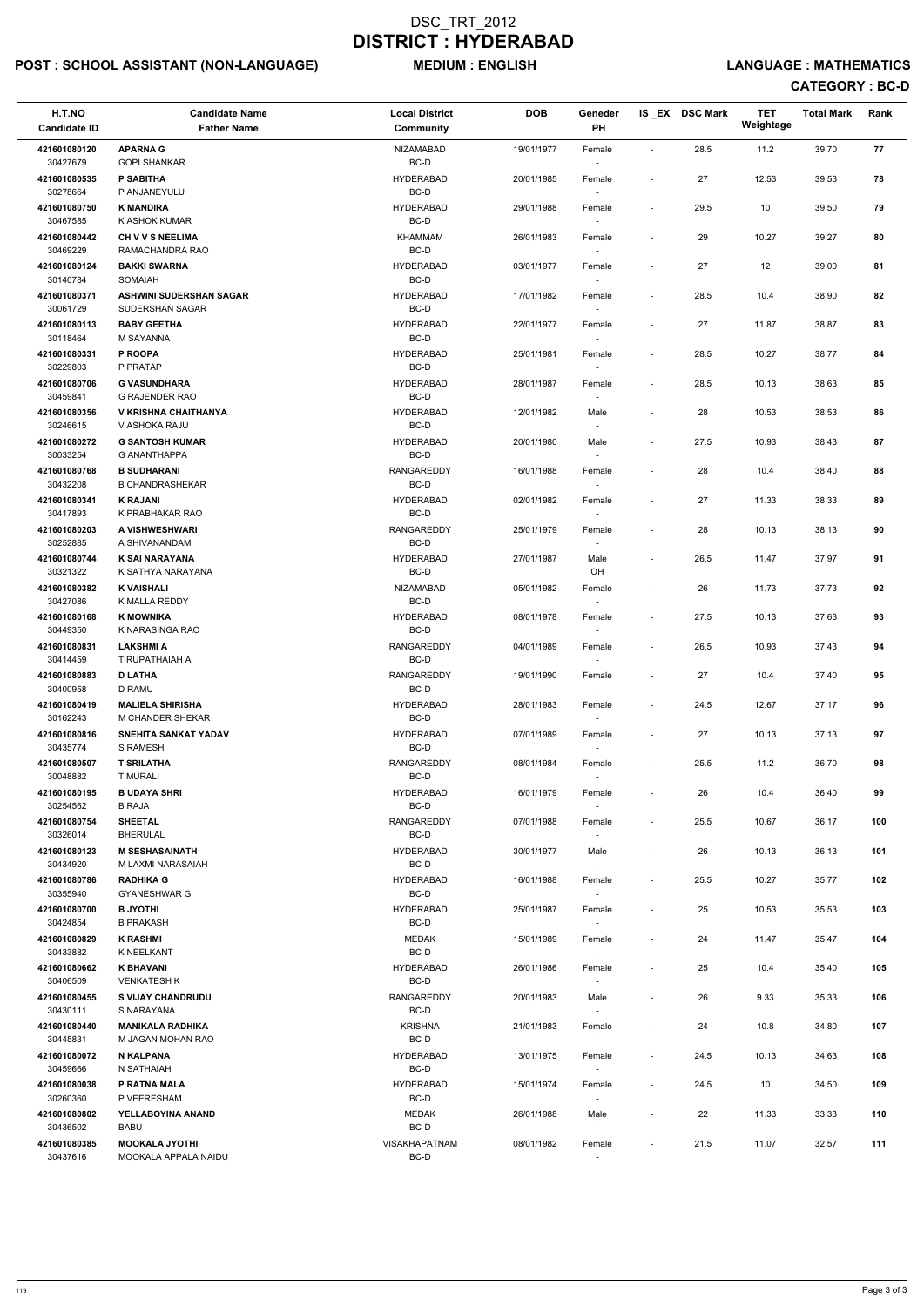## POST : SCHOOL ASSISTANT (NON-LANGUAGE) MEDIUM : ENGLISH LANGUAGE : MATHEMATICS

| H.T.NO<br><b>Candidate ID</b> | <b>Candidate Name</b><br><b>Father Name</b>       | <b>Local District</b><br>Community | <b>DOB</b> | Geneder<br>PH                      |                          | IS_EX DSC Mark | <b>TET</b><br>Weightage | <b>Total Mark</b> | Rank |
|-------------------------------|---------------------------------------------------|------------------------------------|------------|------------------------------------|--------------------------|----------------|-------------------------|-------------------|------|
|                               |                                                   |                                    |            |                                    |                          |                |                         |                   |      |
| 421601080120<br>30427679      | <b>APARNA G</b><br><b>GOPI SHANKAR</b>            | <b>NIZAMABAD</b><br>BC-D           | 19/01/1977 | Female                             | $\overline{\phantom{a}}$ | 28.5           | 11.2                    | 39.70             | 77   |
| 421601080535<br>30278664      | P SABITHA<br>P ANJANEYULU                         | <b>HYDERABAD</b><br>BC-D           | 20/01/1985 | Female                             | $\overline{\phantom{a}}$ | 27             | 12.53                   | 39.53             | 78   |
| 421601080750<br>30467585      | <b>K MANDIRA</b><br>K ASHOK KUMAR                 | <b>HYDERABAD</b><br>BC-D           | 29/01/1988 | Female                             | $\overline{\phantom{a}}$ | 29.5           | 10                      | 39.50             | 79   |
| 421601080442<br>30469229      | <b>CH V V S NEELIMA</b><br>RAMACHANDRA RAO        | KHAMMAM<br>BC-D                    | 26/01/1983 | Female<br>$\sim$                   | $\overline{\phantom{a}}$ | 29             | 10.27                   | 39.27             | 80   |
| 421601080124<br>30140784      | <b>BAKKI SWARNA</b><br>SOMAIAH                    | <b>HYDERABAD</b><br>BC-D           | 03/01/1977 | Female                             | $\overline{\phantom{a}}$ | 27             | 12                      | 39.00             | 81   |
| 421601080371<br>30061729      | <b>ASHWINI SUDERSHAN SAGAR</b><br>SUDERSHAN SAGAR | <b>HYDERABAD</b><br>BC-D           | 17/01/1982 | Female<br>$\sim$                   | $\overline{\phantom{a}}$ | 28.5           | 10.4                    | 38.90             | 82   |
| 421601080113<br>30118464      | <b>BABY GEETHA</b><br>M SAYANNA                   | <b>HYDERABAD</b><br>BC-D           | 22/01/1977 | Female                             | $\overline{\phantom{a}}$ | 27             | 11.87                   | 38.87             | 83   |
| 421601080331<br>30229803      | P ROOPA<br>P PRATAP                               | <b>HYDERABAD</b><br>BC-D           | 25/01/1981 | Female                             | $\overline{\phantom{a}}$ | 28.5           | 10.27                   | 38.77             | 84   |
| 421601080706<br>30459841      | <b>G VASUNDHARA</b><br><b>G RAJENDER RAO</b>      | <b>HYDERABAD</b><br>BC-D           | 28/01/1987 | Female                             | $\overline{\phantom{a}}$ | 28.5           | 10.13                   | 38.63             | 85   |
| 421601080356<br>30246615      | V KRISHNA CHAITHANYA<br>V ASHOKA RAJU             | <b>HYDERABAD</b><br>BC-D           | 12/01/1982 | Male                               | $\overline{\phantom{a}}$ | 28             | 10.53                   | 38.53             | 86   |
| 421601080272<br>30033254      | <b>G SANTOSH KUMAR</b><br><b>G ANANTHAPPA</b>     | <b>HYDERABAD</b><br>BC-D           | 20/01/1980 | Male                               | $\blacksquare$           | 27.5           | 10.93                   | 38.43             | 87   |
| 421601080768<br>30432208      | <b>B SUDHARANI</b><br><b>B CHANDRASHEKAR</b>      | <b>RANGAREDDY</b><br>BC-D          | 16/01/1988 | Female                             | $\overline{\phantom{a}}$ | 28             | 10.4                    | 38.40             | 88   |
| 421601080341<br>30417893      | <b>K RAJANI</b>                                   | <b>HYDERABAD</b><br>BC-D           | 02/01/1982 | Female                             | $\overline{\phantom{a}}$ | 27             | 11.33                   | 38.33             | 89   |
| 421601080203                  | K PRABHAKAR RAO<br>A VISHWESHWARI                 | RANGAREDDY                         | 25/01/1979 | $\sim$<br>Female                   | $\overline{\phantom{a}}$ | 28             | 10.13                   | 38.13             | 90   |
| 30252885<br>421601080744      | A SHIVANANDAM<br><b>K SAI NARAYANA</b>            | BC-D<br><b>HYDERABAD</b>           | 27/01/1987 | Male                               | $\overline{\phantom{a}}$ | 26.5           | 11.47                   | 37.97             | 91   |
| 30321322<br>421601080382      | K SATHYA NARAYANA<br><b>K VAISHALI</b>            | BC-D<br><b>NIZAMABAD</b>           | 05/01/1982 | OH<br>Female                       | $\overline{\phantom{a}}$ | 26             | 11.73                   | 37.73             | 92   |
| 30427086<br>421601080168      | K MALLA REDDY<br><b>K MOWNIKA</b>                 | BC-D<br><b>HYDERABAD</b>           | 08/01/1978 | Female                             | $\overline{\phantom{a}}$ | 27.5           | 10.13                   | 37.63             | 93   |
| 30449350<br>421601080831      | K NARASINGA RAO<br><b>LAKSHMI A</b>               | BC-D<br>RANGAREDDY                 | 04/01/1989 | $\sim$<br>Female                   | $\overline{\phantom{a}}$ | 26.5           | 10.93                   | 37.43             | 94   |
| 30414459<br>421601080883      | <b>TIRUPATHAIAH A</b><br><b>D LATHA</b>           | BC-D<br>RANGAREDDY                 | 19/01/1990 | Female                             | $\overline{\phantom{a}}$ | 27             | 10.4                    | 37.40             | 95   |
| 30400958<br>421601080419      | <b>D RAMU</b><br><b>MALIELA SHIRISHA</b>          | BC-D<br><b>HYDERABAD</b>           | 28/01/1983 | Female                             | $\overline{\phantom{a}}$ | 24.5           | 12.67                   | 37.17             | 96   |
| 30162243<br>421601080816      | M CHANDER SHEKAR<br><b>SNEHITA SANKAT YADAV</b>   | BC-D<br><b>HYDERABAD</b>           | 07/01/1989 | $\sim$<br>Female                   | $\overline{\phantom{a}}$ | 27             | 10.13                   | 37.13             | 97   |
| 30435774<br>421601080507      | <b>S RAMESH</b><br><b>T SRILATHA</b>              | BC-D<br>RANGAREDDY                 | 08/01/1984 | $\sim$<br>Female                   | $\overline{\phantom{a}}$ | 25.5           | 11.2                    | 36.70             | 98   |
| 30048882<br>421601080195      | <b>T MURALI</b><br><b>B UDAYA SHRI</b>            | BC-D<br><b>HYDERABAD</b>           | 16/01/1979 | $\sim$<br>Female                   | $\overline{\phantom{a}}$ | 26             | 10.4                    | 36.40             | 99   |
| 30254562                      | <b>B RAJA</b>                                     | BC-D                               |            |                                    |                          |                |                         |                   |      |
| 421601080754<br>30326014      | <b>SHEETAL</b><br><b>BHERULAL</b>                 | <b>RANGAREDDY</b><br>BC-D          | 07/01/1988 | Female<br>$\sim$                   | $\overline{\phantom{a}}$ | 25.5           | 10.67                   | 36.17             | 100  |
| 421601080123<br>30434920      | <b>M SESHASAINATH</b><br>M LAXMI NARASAIAH        | <b>HYDERABAD</b><br>BC-D           | 30/01/1977 | Male                               | $\overline{\phantom{a}}$ | 26             | 10.13                   | 36.13             | 101  |
| 421601080786<br>30355940      | <b>RADHIKA G</b><br><b>GYANESHWAR G</b>           | <b>HYDERABAD</b><br>BC-D           | 16/01/1988 | Female                             | $\overline{\phantom{a}}$ | 25.5           | 10.27                   | 35.77             | 102  |
| 421601080700<br>30424854      | <b>B JYOTHI</b><br><b>B PRAKASH</b>               | <b>HYDERABAD</b><br>BC-D           | 25/01/1987 | Female                             | $\overline{\phantom{a}}$ | 25             | 10.53                   | 35.53             | 103  |
| 421601080829<br>30433882      | <b>K RASHMI</b><br>K NEELKANT                     | <b>MEDAK</b><br>BC-D               | 15/01/1989 | Female                             | $\overline{\phantom{a}}$ | 24             | 11.47                   | 35.47             | 104  |
| 421601080662<br>30406509      | <b>K BHAVANI</b><br><b>VENKATESH K</b>            | <b>HYDERABAD</b><br>BC-D           | 26/01/1986 | Female<br>$\sim$                   | $\overline{\phantom{a}}$ | 25             | 10.4                    | 35.40             | 105  |
| 421601080455<br>30430111      | <b>S VIJAY CHANDRUDU</b><br>S NARAYANA            | <b>RANGAREDDY</b><br>BC-D          | 20/01/1983 | Male<br>$\sim$                     | $\overline{\phantom{a}}$ | 26             | 9.33                    | 35.33             | 106  |
| 421601080440<br>30445831      | <b>MANIKALA RADHIKA</b><br>M JAGAN MOHAN RAO      | <b>KRISHNA</b><br>BC-D             | 21/01/1983 | Female<br>$\sim$                   | $\overline{\phantom{a}}$ | 24             | 10.8                    | 34.80             | 107  |
| 421601080072<br>30459666      | <b>N KALPANA</b><br>N SATHAIAH                    | <b>HYDERABAD</b><br>BC-D           | 13/01/1975 | Female                             | $\overline{\phantom{a}}$ | 24.5           | 10.13                   | 34.63             | 108  |
| 421601080038<br>30260360      | P RATNA MALA<br>P VEERESHAM                       | <b>HYDERABAD</b><br>BC-D           | 15/01/1974 | Female<br>$\overline{\phantom{a}}$ | $\blacksquare$           | 24.5           | 10                      | 34.50             | 109  |
| 421601080802<br>30436502      | YELLABOYINA ANAND<br><b>BABU</b>                  | MEDAK<br>BC-D                      | 26/01/1988 | Male                               |                          | 22             | 11.33                   | 33.33             | 110  |
| 421601080385<br>30437616      | <b>MOOKALA JYOTHI</b><br>MOOKALA APPALA NAIDU     | VISAKHAPATNAM<br>$BC-D$            | 08/01/1982 | Female                             | $\overline{\phantom{a}}$ | 21.5           | 11.07                   | 32.57             | 111  |
|                               |                                                   |                                    |            |                                    |                          |                |                         |                   |      |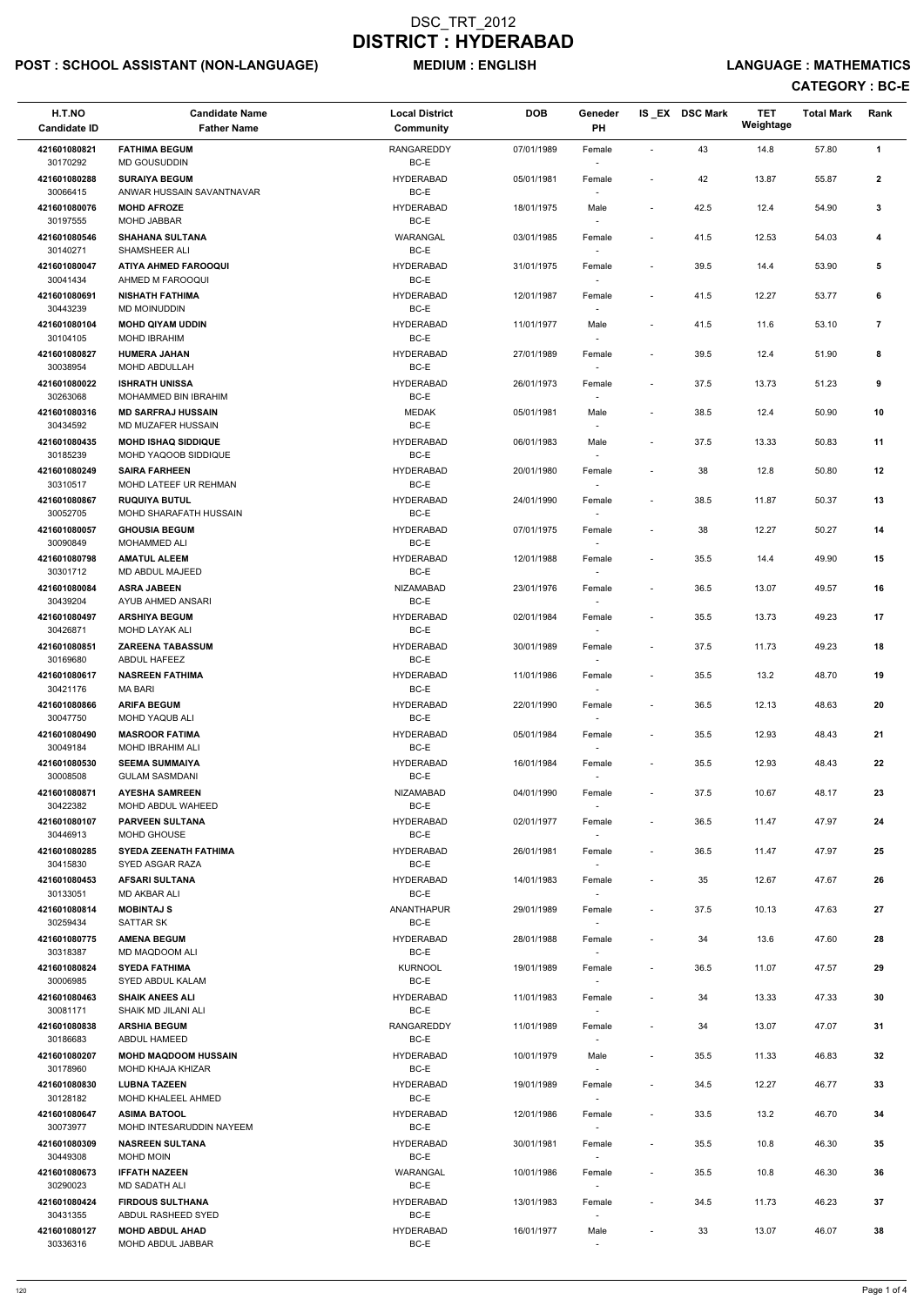## POST : SCHOOL ASSISTANT (NON-LANGUAGE) MEDIUM : ENGLISH LANGUAGE : MATHEMATICS

| H.T.NO<br><b>Candidate ID</b> | <b>Candidate Name</b><br><b>Father Name</b>        | <b>Local District</b><br>Community | <b>DOB</b> | Geneder<br>PH                      |                          | IS_EX DSC Mark | <b>TET</b><br>Weightage | <b>Total Mark</b> | Rank                    |
|-------------------------------|----------------------------------------------------|------------------------------------|------------|------------------------------------|--------------------------|----------------|-------------------------|-------------------|-------------------------|
| 421601080821                  | <b>FATHIMA BEGUM</b>                               | <b>RANGAREDDY</b>                  | 07/01/1989 | Female                             |                          | 43             | 14.8                    | 57.80             | 1                       |
| 30170292                      | MD GOUSUDDIN<br><b>SURAIYA BEGUM</b>               | BC-E<br><b>HYDERABAD</b>           |            |                                    |                          |                |                         |                   |                         |
| 421601080288<br>30066415      | ANWAR HUSSAIN SAVANTNAVAR                          | BC-E                               | 05/01/1981 | Female                             | $\overline{\phantom{a}}$ | 42             | 13.87                   | 55.87             | $\mathbf{2}$            |
| 421601080076<br>30197555      | <b>MOHD AFROZE</b><br><b>MOHD JABBAR</b>           | <b>HYDERABAD</b><br>BC-E           | 18/01/1975 | Male                               | $\overline{\phantom{a}}$ | 42.5           | 12.4                    | 54.90             | 3                       |
| 421601080546                  | <b>SHAHANA SULTANA</b><br>SHAMSHEER ALI            | WARANGAL<br>BC-E                   | 03/01/1985 | Female                             | $\overline{\phantom{a}}$ | 41.5           | 12.53                   | 54.03             | 4                       |
| 30140271<br>421601080047      | <b>ATIYA AHMED FAROOQUI</b>                        | <b>HYDERABAD</b>                   | 31/01/1975 | Female                             | $\overline{\phantom{a}}$ | 39.5           | 14.4                    | 53.90             | 5                       |
| 30041434<br>421601080691      | AHMED M FAROOQUI<br><b>NISHATH FATHIMA</b>         | BC-E<br><b>HYDERABAD</b>           | 12/01/1987 | Female                             | $\overline{\phantom{a}}$ | 41.5           | 12.27                   | 53.77             | 6                       |
| 30443239                      | MD MOINUDDIN                                       | BC-E                               |            |                                    |                          |                |                         |                   |                         |
| 421601080104<br>30104105      | <b>MOHD QIYAM UDDIN</b><br><b>MOHD IBRAHIM</b>     | <b>HYDERABAD</b><br>BC-E           | 11/01/1977 | Male                               | $\blacksquare$           | 41.5           | 11.6                    | 53.10             | $\overline{\mathbf{r}}$ |
| 421601080827<br>30038954      | <b>HUMERA JAHAN</b><br>MOHD ABDULLAH               | <b>HYDERABAD</b><br>BC-E           | 27/01/1989 | Female                             | $\overline{\phantom{a}}$ | 39.5           | 12.4                    | 51.90             | 8                       |
| 421601080022                  | <b>ISHRATH UNISSA</b>                              | <b>HYDERABAD</b>                   | 26/01/1973 | Female                             | $\blacksquare$           | 37.5           | 13.73                   | 51.23             | 9                       |
| 30263068<br>421601080316      | MOHAMMED BIN IBRAHIM<br><b>MD SARFRAJ HUSSAIN</b>  | BC-E<br><b>MEDAK</b>               | 05/01/1981 | Male                               | $\overline{\phantom{a}}$ | 38.5           | 12.4                    | 50.90             | 10                      |
| 30434592                      | MD MUZAFER HUSSAIN                                 | BC-E                               |            |                                    |                          |                |                         |                   |                         |
| 421601080435<br>30185239      | <b>MOHD ISHAQ SIDDIQUE</b><br>MOHD YAQOOB SIDDIQUE | <b>HYDERABAD</b><br>BC-E           | 06/01/1983 | Male                               | $\overline{\phantom{a}}$ | 37.5           | 13.33                   | 50.83             | 11                      |
| 421601080249<br>30310517      | <b>SAIRA FARHEEN</b><br>MOHD LATEEF UR REHMAN      | <b>HYDERABAD</b><br>BC-E           | 20/01/1980 | Female                             | $\overline{\phantom{a}}$ | 38             | 12.8                    | 50.80             | 12                      |
| 421601080867                  | <b>RUQUIYA BUTUL</b>                               | <b>HYDERABAD</b>                   | 24/01/1990 | Female                             | $\overline{\phantom{a}}$ | 38.5           | 11.87                   | 50.37             | 13                      |
| 30052705<br>421601080057      | MOHD SHARAFATH HUSSAIN<br><b>GHOUSIA BEGUM</b>     | BC-E<br><b>HYDERABAD</b>           | 07/01/1975 | $\sim$<br>Female                   | $\overline{\phantom{a}}$ | 38             | 12.27                   | 50.27             | 14                      |
| 30090849<br>421601080798      | MOHAMMED ALI<br><b>AMATUL ALEEM</b>                | BC-E<br><b>HYDERABAD</b>           | 12/01/1988 | Female                             | $\overline{\phantom{a}}$ | 35.5           | 14.4                    | 49.90             | 15                      |
| 30301712                      | MD ABDUL MAJEED                                    | BC-E                               |            |                                    |                          |                |                         |                   |                         |
| 421601080084<br>30439204      | <b>ASRA JABEEN</b><br>AYUB AHMED ANSARI            | <b>NIZAMABAD</b><br>$BC-E$         | 23/01/1976 | Female                             | $\overline{\phantom{a}}$ | 36.5           | 13.07                   | 49.57             | 16                      |
| 421601080497<br>30426871      | <b>ARSHIYA BEGUM</b><br><b>MOHD LAYAK ALI</b>      | <b>HYDERABAD</b><br>BC-E           | 02/01/1984 | Female<br>$\overline{\phantom{a}}$ | $\overline{\phantom{a}}$ | 35.5           | 13.73                   | 49.23             | 17                      |
| 421601080851                  | <b>ZAREENA TABASSUM</b>                            | <b>HYDERABAD</b>                   | 30/01/1989 | Female                             | $\blacksquare$           | 37.5           | 11.73                   | 49.23             | 18                      |
| 30169680<br>421601080617      | ABDUL HAFEEZ<br><b>NASREEN FATHIMA</b>             | BC-E<br><b>HYDERABAD</b>           | 11/01/1986 | Female                             | $\overline{\phantom{a}}$ | 35.5           | 13.2                    | 48.70             | 19                      |
| 30421176                      | <b>MA BARI</b>                                     | BC-E                               |            |                                    |                          |                |                         |                   |                         |
| 421601080866<br>30047750      | <b>ARIFA BEGUM</b><br><b>MOHD YAQUB ALI</b>        | <b>HYDERABAD</b><br>BC-E           | 22/01/1990 | Female<br>$\sim$                   | $\overline{\phantom{a}}$ | 36.5           | 12.13                   | 48.63             | 20                      |
| 421601080490<br>30049184      | <b>MASROOR FATIMA</b><br><b>MOHD IBRAHIM ALI</b>   | <b>HYDERABAD</b><br>BC-E           | 05/01/1984 | Female                             | $\overline{\phantom{a}}$ | 35.5           | 12.93                   | 48.43             | 21                      |
| 421601080530                  | <b>SEEMA SUMMAIYA</b>                              | <b>HYDERABAD</b>                   | 16/01/1984 | Female                             | $\overline{\phantom{a}}$ | 35.5           | 12.93                   | 48.43             | 22                      |
| 30008508<br>421601080871      | <b>GULAM SASMDANI</b><br><b>AYESHA SAMREEN</b>     | BC-E<br>NIZAMABAD                  | 04/01/1990 | $\sim$<br>Female                   | $\overline{\phantom{a}}$ | 37.5           | 10.67                   | 48.17             | 23                      |
| 30422382<br>421601080107      | MOHD ABDUL WAHEED<br><b>PARVEEN SULTANA</b>        | BC-E<br><b>HYDERABAD</b>           | 02/01/1977 | Female                             | $\overline{\phantom{a}}$ | 36.5           | 11.47                   | 47.97             | 24                      |
| 30446913                      | MOHD GHOUSE                                        | BC-E                               |            |                                    |                          |                |                         |                   |                         |
| 421601080285<br>30415830      | <b>SYEDA ZEENATH FATHIMA</b><br>SYED ASGAR RAZA    | <b>HYDERABAD</b><br>BC-E           | 26/01/1981 | Female<br>$\sim$                   | $\overline{\phantom{a}}$ | 36.5           | 11.47                   | 47.97             | 25                      |
| 421601080453<br>30133051      | <b>AFSARI SULTANA</b><br><b>MD AKBAR ALI</b>       | <b>HYDERABAD</b><br>BC-E           | 14/01/1983 | Female<br>$\sim$                   | $\overline{\phantom{a}}$ | 35             | 12.67                   | 47.67             | 26                      |
| 421601080814                  | <b>MOBINTAJ S</b>                                  | <b>ANANTHAPUR</b>                  | 29/01/1989 | Female                             | $\overline{\phantom{a}}$ | 37.5           | 10.13                   | 47.63             | 27                      |
| 30259434<br>421601080775      | <b>SATTAR SK</b><br><b>AMENA BEGUM</b>             | BC-E<br><b>HYDERABAD</b>           | 28/01/1988 | Female                             | $\overline{\phantom{a}}$ | 34             | 13.6                    | 47.60             | 28                      |
| 30318387                      | MD MAQDOOM ALI                                     | BC-E                               |            |                                    |                          |                |                         |                   |                         |
| 421601080824<br>30006985      | <b>SYEDA FATHIMA</b><br>SYED ABDUL KALAM           | <b>KURNOOL</b><br>BC-E             | 19/01/1989 | Female<br>$\sim$                   | $\overline{\phantom{a}}$ | 36.5           | 11.07                   | 47.57             | 29                      |
| 421601080463<br>30081171      | <b>SHAIK ANEES ALI</b><br>SHAIK MD JILANI ALI      | <b>HYDERABAD</b><br>BC-E           | 11/01/1983 | Female                             | $\overline{\phantom{a}}$ | 34             | 13.33                   | 47.33             | 30                      |
| 421601080838                  | <b>ARSHIA BEGUM</b>                                | <b>RANGAREDDY</b>                  | 11/01/1989 | Female                             | $\blacksquare$           | 34             | 13.07                   | 47.07             | 31                      |
| 30186683<br>421601080207      | ABDUL HAMEED<br><b>MOHD MAQDOOM HUSSAIN</b>        | BC-E<br><b>HYDERABAD</b>           | 10/01/1979 | $\sim$<br>Male                     | $\overline{\phantom{a}}$ | 35.5           | 11.33                   | 46.83             | 32                      |
| 30178960<br>421601080830      | MOHD KHAJA KHIZAR<br><b>LUBNA TAZEEN</b>           | BC-E<br><b>HYDERABAD</b>           | 19/01/1989 |                                    | $\overline{\phantom{a}}$ | 34.5           | 12.27                   | 46.77             | 33                      |
| 30128182                      | MOHD KHALEEL AHMED                                 | BC-E                               |            | Female<br>$\overline{\phantom{a}}$ |                          |                |                         |                   |                         |
| 421601080647<br>30073977      | <b>ASIMA BATOOL</b><br>MOHD INTESARUDDIN NAYEEM    | <b>HYDERABAD</b><br>BC-E           | 12/01/1986 | Female                             |                          | 33.5           | 13.2                    | 46.70             | 34                      |
| 421601080309<br>30449308      | <b>NASREEN SULTANA</b><br>MOHD MOIN                | <b>HYDERABAD</b><br>BC-E           | 30/01/1981 | Female                             | $\overline{\phantom{a}}$ | 35.5           | 10.8                    | 46.30             | 35                      |
| 421601080673                  | <b>IFFATH NAZEEN</b>                               | WARANGAL                           | 10/01/1986 | Female                             | $\overline{\phantom{a}}$ | 35.5           | 10.8                    | 46.30             | 36                      |
| 30290023<br>421601080424      | MD SADATH ALI<br><b>FIRDOUS SULTHANA</b>           | BC-E<br><b>HYDERABAD</b>           | 13/01/1983 | $\overline{\phantom{a}}$<br>Female | $\overline{\phantom{a}}$ | 34.5           | 11.73                   | 46.23             | 37                      |
| 30431355                      | ABDUL RASHEED SYED                                 | BC-E                               |            |                                    |                          |                |                         |                   |                         |
| 421601080127<br>30336316      | <b>MOHD ABDUL AHAD</b><br>MOHD ABDUL JABBAR        | <b>HYDERABAD</b><br>BC-E           | 16/01/1977 | Male<br>$\overline{\phantom{a}}$   | $\overline{\phantom{a}}$ | 33             | 13.07                   | 46.07             | 38                      |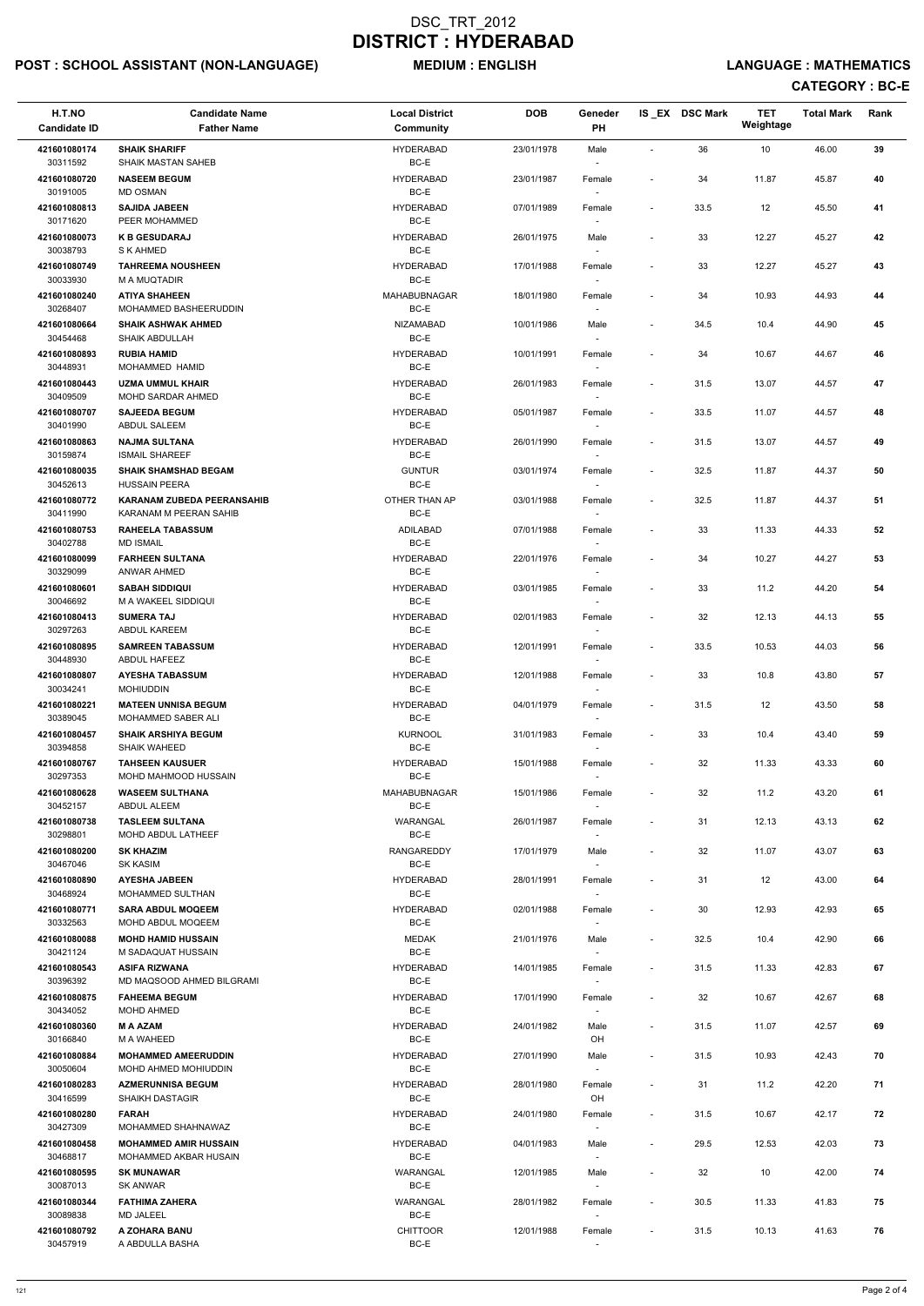## POST : SCHOOL ASSISTANT (NON-LANGUAGE) MEDIUM : ENGLISH LANGUAGE : MATHEMATICS

| H.T.NO<br><b>Candidate ID</b> | <b>Candidate Name</b><br><b>Father Name</b>               | <b>Local District</b><br><b>Community</b> | <b>DOB</b> | Geneder<br>PH                      |                              | IS_EX DSC Mark | <b>TET</b><br>Weightage | <b>Total Mark</b> | Rank |
|-------------------------------|-----------------------------------------------------------|-------------------------------------------|------------|------------------------------------|------------------------------|----------------|-------------------------|-------------------|------|
| 421601080174                  | <b>SHAIK SHARIFF</b>                                      | <b>HYDERABAD</b>                          | 23/01/1978 | Male                               | $\overline{\phantom{a}}$     | 36             | 10                      | 46.00             | 39   |
| 30311592<br>421601080720      | <b>SHAIK MASTAN SAHEB</b><br><b>NASEEM BEGUM</b>          | BC-E<br><b>HYDERABAD</b>                  | 23/01/1987 | Female                             | $\overline{\phantom{a}}$     | 34             | 11.87                   | 45.87             | 40   |
| 30191005<br>421601080813      | <b>MD OSMAN</b><br><b>SAJIDA JABEEN</b>                   | BC-E<br><b>HYDERABAD</b>                  | 07/01/1989 | Female                             | $\overline{\phantom{a}}$     | 33.5           | 12                      | 45.50             | 41   |
| 30171620<br>421601080073      | PEER MOHAMMED<br><b>K B GESUDARAJ</b>                     | BC-E<br><b>HYDERABAD</b>                  | 26/01/1975 | Male                               | $\overline{\phantom{a}}$     | 33             | 12.27                   | 45.27             | 42   |
| 30038793<br>421601080749      | S K AHMED<br><b>TAHREEMA NOUSHEEN</b>                     | BC-E<br><b>HYDERABAD</b>                  | 17/01/1988 | $\overline{\phantom{a}}$<br>Female | $\overline{a}$               | 33             | 12.27                   | 45.27             | 43   |
| 30033930                      | M A MUQTADIR<br><b>ATIYA SHAHEEN</b>                      | BC-E<br>MAHABUBNAGAR                      |            | $\overline{\phantom{a}}$           |                              |                |                         |                   |      |
| 421601080240<br>30268407      | MOHAMMED BASHEERUDDIN                                     | BC-E                                      | 18/01/1980 | Female                             | $\overline{\phantom{a}}$     | 34             | 10.93                   | 44.93             | 44   |
| 421601080664<br>30454468      | <b>SHAIK ASHWAK AHMED</b><br>SHAIK ABDULLAH               | <b>NIZAMABAD</b><br>BC-E                  | 10/01/1986 | Male                               | $\overline{\phantom{a}}$     | 34.5           | 10.4                    | 44.90             | 45   |
| 421601080893<br>30448931      | <b>RUBIA HAMID</b><br>MOHAMMED HAMID                      | <b>HYDERABAD</b><br>BC-E                  | 10/01/1991 | Female<br>$\sim$                   | $\overline{\phantom{a}}$     | 34             | 10.67                   | 44.67             | 46   |
| 421601080443<br>30409509      | <b>UZMA UMMUL KHAIR</b><br>MOHD SARDAR AHMED              | <b>HYDERABAD</b><br>BC-E                  | 26/01/1983 | Female<br>$\overline{\phantom{a}}$ | $\overline{\phantom{a}}$     | 31.5           | 13.07                   | 44.57             | 47   |
| 421601080707<br>30401990      | <b>SAJEEDA BEGUM</b><br>ABDUL SALEEM                      | <b>HYDERABAD</b><br>BC-E                  | 05/01/1987 | Female                             | $\overline{\phantom{a}}$     | 33.5           | 11.07                   | 44.57             | 48   |
| 421601080863<br>30159874      | <b>NAJMA SULTANA</b><br><b>ISMAIL SHAREEF</b>             | <b>HYDERABAD</b><br>BC-E                  | 26/01/1990 | Female                             | $\blacksquare$               | 31.5           | 13.07                   | 44.57             | 49   |
| 421601080035                  | <b>SHAIK SHAMSHAD BEGAM</b>                               | <b>GUNTUR</b>                             | 03/01/1974 | Female                             | $\overline{\phantom{a}}$     | 32.5           | 11.87                   | 44.37             | 50   |
| 30452613<br>421601080772      | <b>HUSSAIN PEERA</b><br><b>KARANAM ZUBEDA PEERANSAHIB</b> | BC-E<br>OTHER THAN AP                     | 03/01/1988 | Female                             | $\blacksquare$               | 32.5           | 11.87                   | 44.37             | 51   |
| 30411990<br>421601080753      | KARANAM M PEERAN SAHIB<br><b>RAHEELA TABASSUM</b>         | BC-E<br>ADILABAD                          | 07/01/1988 | $\sim$<br>Female                   | $\overline{\phantom{a}}$     | 33             | 11.33                   | 44.33             | 52   |
| 30402788<br>421601080099      | <b>MD ISMAIL</b><br><b>FARHEEN SULTANA</b>                | BC-E<br><b>HYDERABAD</b>                  | 22/01/1976 | Female                             | $\overline{\phantom{a}}$     | 34             | 10.27                   | 44.27             | 53   |
| 30329099<br>421601080601      | <b>ANWAR AHMED</b><br><b>SABAH SIDDIQUI</b>               | BC-E<br><b>HYDERABAD</b>                  | 03/01/1985 | Female                             | $\overline{\phantom{a}}$     | 33             | 11.2                    | 44.20             | 54   |
| 30046692                      | M A WAKEEL SIDDIQUI                                       | BC-E                                      |            | $\overline{\phantom{a}}$           |                              |                |                         |                   |      |
| 421601080413<br>30297263      | <b>SUMERA TAJ</b><br>ABDUL KAREEM                         | <b>HYDERABAD</b><br>BC-E                  | 02/01/1983 | Female<br>$\sim$                   | $\qquad \qquad \blacksquare$ | 32             | 12.13                   | 44.13             | 55   |
| 421601080895<br>30448930      | <b>SAMREEN TABASSUM</b><br>ABDUL HAFEEZ                   | <b>HYDERABAD</b><br>BC-E                  | 12/01/1991 | Female                             | $\overline{\phantom{a}}$     | 33.5           | 10.53                   | 44.03             | 56   |
| 421601080807<br>30034241      | <b>AYESHA TABASSUM</b><br><b>MOHIUDDIN</b>                | <b>HYDERABAD</b><br>BC-E                  | 12/01/1988 | Female                             | $\qquad \qquad \blacksquare$ | 33             | 10.8                    | 43.80             | 57   |
| 421601080221<br>30389045      | <b>MATEEN UNNISA BEGUM</b><br><b>MOHAMMED SABER ALI</b>   | <b>HYDERABAD</b><br>BC-E                  | 04/01/1979 | Female                             | $\overline{\phantom{a}}$     | 31.5           | 12                      | 43.50             | 58   |
| 421601080457<br>30394858      | <b>SHAIK ARSHIYA BEGUM</b><br><b>SHAIK WAHEED</b>         | <b>KURNOOL</b><br>BC-E                    | 31/01/1983 | Female<br>$\sim$                   | $\overline{a}$               | 33             | 10.4                    | 43.40             | 59   |
| 421601080767                  | <b>TAHSEEN KAUSUER</b>                                    | <b>HYDERABAD</b>                          | 15/01/1988 | Female                             | $\overline{\phantom{a}}$     | 32             | 11.33                   | 43.33             | 60   |
| 30297353<br>421601080628      | MOHD MAHMOOD HUSSAIN<br><b>WASEEM SULTHANA</b>            | BC-E<br>MAHABUBNAGAR                      | 15/01/1986 | Female                             | $\overline{\phantom{a}}$     | 32             | 11.2                    | 43.20             | 61   |
| 30452157<br>421601080738      | ABDUL ALEEM<br><b>TASLEEM SULTANA</b>                     | BC-E<br>WARANGAL                          | 26/01/1987 | Female                             | $\overline{\phantom{a}}$     | 31             | 12.13                   | 43.13             | 62   |
| 30298801<br>421601080200      | MOHD ABDUL LATHEEF<br><b>SK KHAZIM</b>                    | BC-E<br><b>RANGAREDDY</b>                 | 17/01/1979 | $\sim$<br>Male                     |                              | 32             | 11.07                   | 43.07             | 63   |
| 30467046<br>421601080890      | <b>SK KASIM</b><br><b>AYESHA JABEEN</b>                   | BC-E<br><b>HYDERABAD</b>                  | 28/01/1991 | Female                             | $\overline{\phantom{a}}$     | 31             | 12                      | 43.00             | 64   |
| 30468924                      | MOHAMMED SULTHAN                                          | BC-E                                      |            | $\sim$                             |                              |                |                         |                   |      |
| 421601080771<br>30332563      | <b>SARA ABDUL MOQEEM</b><br>MOHD ABDUL MOQEEM             | <b>HYDERABAD</b><br>BC-E                  | 02/01/1988 | Female                             | $\overline{\phantom{a}}$     | 30             | 12.93                   | 42.93             | 65   |
| 421601080088<br>30421124      | <b>MOHD HAMID HUSSAIN</b><br>M SADAQUAT HUSSAIN           | <b>MEDAK</b><br>BC-E                      | 21/01/1976 | Male                               | $\qquad \qquad \blacksquare$ | 32.5           | 10.4                    | 42.90             | 66   |
| 421601080543<br>30396392      | <b>ASIFA RIZWANA</b><br>MD MAQSOOD AHMED BILGRAMI         | <b>HYDERABAD</b><br>BC-E                  | 14/01/1985 | Female<br>$\overline{\phantom{a}}$ | $\overline{\phantom{a}}$     | 31.5           | 11.33                   | 42.83             | 67   |
| 421601080875<br>30434052      | <b>FAHEEMA BEGUM</b><br><b>MOHD AHMED</b>                 | <b>HYDERABAD</b><br>BC-E                  | 17/01/1990 | Female<br>$\overline{\phantom{a}}$ | $\overline{\phantom{a}}$     | 32             | 10.67                   | 42.67             | 68   |
| 421601080360<br>30166840      | <b>M A AZAM</b><br>M A WAHEED                             | <b>HYDERABAD</b><br>BC-E                  | 24/01/1982 | Male<br>OH                         | $\overline{\phantom{a}}$     | 31.5           | 11.07                   | 42.57             | 69   |
| 421601080884                  | <b>MOHAMMED AMEERUDDIN</b>                                | <b>HYDERABAD</b>                          | 27/01/1990 | Male                               | $\overline{\phantom{a}}$     | 31.5           | 10.93                   | 42.43             | 70   |
| 30050604<br>421601080283      | MOHD AHMED MOHIUDDIN<br><b>AZMERUNNISA BEGUM</b>          | BC-E<br><b>HYDERABAD</b>                  | 28/01/1980 | Female                             | $\overline{\phantom{a}}$     | 31             | 11.2                    | 42.20             | 71   |
| 30416599<br>421601080280      | SHAIKH DASTAGIR<br><b>FARAH</b>                           | BC-E<br><b>HYDERABAD</b>                  | 24/01/1980 | OH<br>Female                       | $\qquad \qquad \blacksquare$ | 31.5           | 10.67                   | 42.17             | 72   |
| 30427309<br>421601080458      | MOHAMMED SHAHNAWAZ<br><b>MOHAMMED AMIR HUSSAIN</b>        | BC-E<br><b>HYDERABAD</b>                  | 04/01/1983 | Male                               | $\overline{\phantom{a}}$     | 29.5           | 12.53                   | 42.03             | 73   |
| 30468817                      | MOHAMMED AKBAR HUSAIN                                     | BC-E                                      |            | $\overline{\phantom{a}}$           |                              |                |                         |                   |      |
| 421601080595<br>30087013      | <b>SK MUNAWAR</b><br><b>SK ANWAR</b>                      | WARANGAL<br>BC-E                          | 12/01/1985 | Male<br>$\overline{\phantom{a}}$   | $\qquad \qquad \blacksquare$ | 32             | 10                      | 42.00             | 74   |
| 421601080344<br>30089838      | <b>FATHIMA ZAHERA</b><br>MD JALEEL                        | WARANGAL<br>BC-E                          | 28/01/1982 | Female<br>$\overline{\phantom{a}}$ | $\overline{\phantom{a}}$     | 30.5           | 11.33                   | 41.83             | 75   |
| 421601080792<br>30457919      | A ZOHARA BANU<br>A ABDULLA BASHA                          | <b>CHITTOOR</b><br>BC-E                   | 12/01/1988 | Female<br>$\overline{\phantom{a}}$ | $\overline{\phantom{a}}$     | 31.5           | 10.13                   | 41.63             | 76   |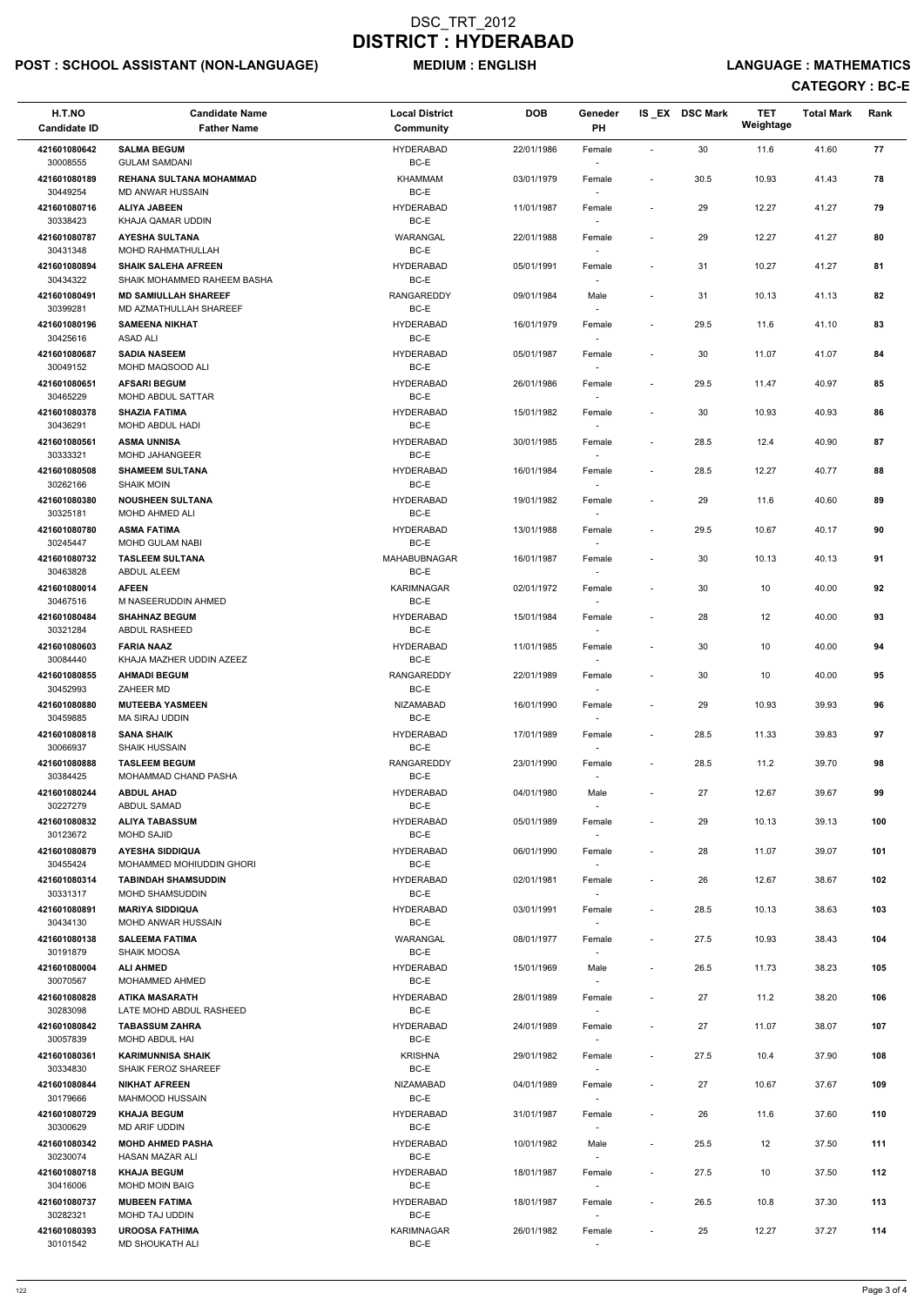## POST : SCHOOL ASSISTANT (NON-LANGUAGE) MEDIUM : ENGLISH LANGUAGE : MATHEMATICS

| H.T.NO<br><b>Candidate ID</b> | <b>Candidate Name</b><br><b>Father Name</b>                | <b>Local District</b><br><b>Community</b> | <b>DOB</b> | Geneder<br>PH                      |                          | IS_EX DSC Mark | <b>TET</b><br>Weightage | <b>Total Mark</b> | Rank |
|-------------------------------|------------------------------------------------------------|-------------------------------------------|------------|------------------------------------|--------------------------|----------------|-------------------------|-------------------|------|
| 421601080642<br>30008555      | <b>SALMA BEGUM</b><br><b>GULAM SAMDANI</b>                 | <b>HYDERABAD</b><br>BC-E                  | 22/01/1986 | Female                             | $\overline{\phantom{a}}$ | 30             | 11.6                    | 41.60             | 77   |
| 421601080189<br>30449254      | <b>REHANA SULTANA MOHAMMAD</b><br>MD ANWAR HUSSAIN         | <b>KHAMMAM</b><br>BC-E                    | 03/01/1979 | Female                             | $\overline{\phantom{a}}$ | 30.5           | 10.93                   | 41.43             | 78   |
| 421601080716                  | <b>ALIYA JABEEN</b>                                        | <b>HYDERABAD</b>                          | 11/01/1987 | Female                             | $\overline{\phantom{a}}$ | 29             | 12.27                   | 41.27             | 79   |
| 30338423<br>421601080787      | KHAJA QAMAR UDDIN<br><b>AYESHA SULTANA</b>                 | BC-E<br>WARANGAL                          | 22/01/1988 | Female                             | $\overline{\phantom{a}}$ | 29             | 12.27                   | 41.27             | 80   |
| 30431348<br>421601080894      | <b>MOHD RAHMATHULLAH</b><br><b>SHAIK SALEHA AFREEN</b>     | BC-E<br><b>HYDERABAD</b>                  | 05/01/1991 | $\sim$<br>Female                   | $\overline{\phantom{a}}$ | 31             | 10.27                   | 41.27             | 81   |
| 30434322<br>421601080491      | SHAIK MOHAMMED RAHEEM BASHA<br><b>MD SAMIULLAH SHAREEF</b> | BC-E<br><b>RANGAREDDY</b>                 | 09/01/1984 | $\overline{\phantom{a}}$<br>Male   | $\overline{\phantom{a}}$ | 31             | 10.13                   | 41.13             | 82   |
| 30399281<br>421601080196      | MD AZMATHULLAH SHAREEF<br><b>SAMEENA NIKHAT</b>            | BC-E<br><b>HYDERABAD</b>                  | 16/01/1979 | $\overline{\phantom{a}}$<br>Female | $\overline{\phantom{a}}$ | 29.5           | 11.6                    | 41.10             | 83   |
| 30425616<br>421601080687      | ASAD ALI<br><b>SADIA NASEEM</b>                            | BC-E<br><b>HYDERABAD</b>                  | 05/01/1987 | Female                             | $\blacksquare$           | 30             | 11.07                   | 41.07             | 84   |
| 30049152                      | MOHD MAQSOOD ALI<br><b>AFSARI BEGUM</b>                    | BC-E<br><b>HYDERABAD</b>                  |            | $\sim$                             |                          |                |                         |                   | 85   |
| 421601080651<br>30465229      | <b>MOHD ABDUL SATTAR</b>                                   | BC-E                                      | 26/01/1986 | Female                             | $\overline{\phantom{a}}$ | 29.5           | 11.47                   | 40.97             |      |
| 421601080378<br>30436291      | <b>SHAZIA FATIMA</b><br>MOHD ABDUL HADI                    | <b>HYDERABAD</b><br>BC-E                  | 15/01/1982 | Female<br>$\overline{\phantom{a}}$ | $\overline{\phantom{a}}$ | 30             | 10.93                   | 40.93             | 86   |
| 421601080561<br>30333321      | <b>ASMA UNNISA</b><br>MOHD JAHANGEER                       | <b>HYDERABAD</b><br>BC-E                  | 30/01/1985 | Female                             | $\overline{\phantom{a}}$ | 28.5           | 12.4                    | 40.90             | 87   |
| 421601080508                  | <b>SHAMEEM SULTANA</b>                                     | <b>HYDERABAD</b>                          | 16/01/1984 | Female                             | $\overline{\phantom{a}}$ | 28.5           | 12.27                   | 40.77             | 88   |
| 30262166<br>421601080380      | <b>SHAIK MOIN</b><br><b>NOUSHEEN SULTANA</b>               | BC-E<br><b>HYDERABAD</b>                  | 19/01/1982 | Female                             | $\overline{\phantom{a}}$ | 29             | 11.6                    | 40.60             | 89   |
| 30325181<br>421601080780      | MOHD AHMED ALI<br><b>ASMA FATIMA</b>                       | BC-E<br><b>HYDERABAD</b>                  | 13/01/1988 | $\sim$<br>Female                   | $\overline{\phantom{a}}$ | 29.5           | 10.67                   | 40.17             | 90   |
| 30245447                      | <b>MOHD GULAM NABI</b>                                     | BC-E                                      |            | $\overline{\phantom{a}}$           |                          |                |                         |                   |      |
| 421601080732<br>30463828      | <b>TASLEEM SULTANA</b><br>ABDUL ALEEM                      | MAHABUBNAGAR<br>BC-E                      | 16/01/1987 | Female                             | $\overline{\phantom{a}}$ | 30             | 10.13                   | 40.13             | 91   |
| 421601080014<br>30467516      | <b>AFEEN</b><br>M NASEERUDDIN AHMED                        | <b>KARIMNAGAR</b><br>BC-E                 | 02/01/1972 | Female<br>$\overline{\phantom{a}}$ | $\overline{\phantom{a}}$ | 30             | 10                      | 40.00             | 92   |
| 421601080484<br>30321284      | <b>SHAHNAZ BEGUM</b><br>ABDUL RASHEED                      | <b>HYDERABAD</b><br>BC-E                  | 15/01/1984 | Female<br>$\sim$                   | $\overline{\phantom{a}}$ | 28             | 12                      | 40.00             | 93   |
| 421601080603<br>30084440      | <b>FARIA NAAZ</b><br>KHAJA MAZHER UDDIN AZEEZ              | <b>HYDERABAD</b><br>BC-E                  | 11/01/1985 | Female                             | $\overline{\phantom{a}}$ | 30             | 10                      | 40.00             | 94   |
| 421601080855<br>30452993      | <b>AHMADI BEGUM</b><br>ZAHEER MD                           | RANGAREDDY<br>BC-E                        | 22/01/1989 | Female                             | $\overline{\phantom{a}}$ | 30             | 10                      | 40.00             | 95   |
| 421601080880<br>30459885      | <b>MUTEEBA YASMEEN</b><br>MA SIRAJ UDDIN                   | <b>NIZAMABAD</b><br>BC-E                  | 16/01/1990 | Female                             | $\overline{\phantom{a}}$ | 29             | 10.93                   | 39.93             | 96   |
| 421601080818<br>30066937      | <b>SANA SHAIK</b><br><b>SHAIK HUSSAIN</b>                  | <b>HYDERABAD</b><br>BC-E                  | 17/01/1989 | Female<br>$\sim$                   | $\overline{\phantom{a}}$ | 28.5           | 11.33                   | 39.83             | 97   |
| 421601080888                  | <b>TASLEEM BEGUM</b>                                       | <b>RANGAREDDY</b>                         | 23/01/1990 | Female                             | $\overline{\phantom{a}}$ | 28.5           | 11.2                    | 39.70             | 98   |
| 30384425<br>421601080244      | MOHAMMAD CHAND PASHA<br><b>ABDUL AHAD</b>                  | BC-E<br><b>HYDERABAD</b>                  | 04/01/1980 | Male                               | $\overline{\phantom{a}}$ | 27             | 12.67                   | 39.67             | 99   |
| 30227279                      | ABDUL SAMAD                                                | BC-E                                      |            |                                    |                          |                |                         |                   |      |
| 421601080832<br>30123672      | <b>ALIYA TABASSUM</b><br>MOHD SAJID                        | <b>HYDERABAD</b><br>BC-E                  | 05/01/1989 | Female<br>$\sim$                   | $\overline{\phantom{a}}$ | 29             | 10.13                   | 39.13             | 100  |
| 421601080879<br>30455424      | <b>AYESHA SIDDIQUA</b><br>MOHAMMED MOHIUDDIN GHORI         | <b>HYDERABAD</b><br>BC-E                  | 06/01/1990 | Female<br>$\sim$                   | $\overline{\phantom{a}}$ | 28             | 11.07                   | 39.07             | 101  |
| 421601080314<br>30331317      | <b>TABINDAH SHAMSUDDIN</b><br><b>MOHD SHAMSUDDIN</b>       | <b>HYDERABAD</b><br>BC-E                  | 02/01/1981 | Female<br>$\sim$                   | $\overline{\phantom{a}}$ | 26             | 12.67                   | 38.67             | 102  |
| 421601080891<br>30434130      | <b>MARIYA SIDDIQUA</b><br><b>MOHD ANWAR HUSSAIN</b>        | <b>HYDERABAD</b><br>BC-E                  | 03/01/1991 | Female                             | $\overline{\phantom{a}}$ | 28.5           | 10.13                   | 38.63             | 103  |
| 421601080138<br>30191879      | <b>SALEEMA FATIMA</b><br><b>SHAIK MOOSA</b>                | WARANGAL<br>BC-E                          | 08/01/1977 | Female                             | $\overline{\phantom{a}}$ | 27.5           | 10.93                   | 38.43             | 104  |
| 421601080004<br>30070567      | <b>ALI AHMED</b><br><b>MOHAMMED AHMED</b>                  | <b>HYDERABAD</b><br>BC-E                  | 15/01/1969 | Male<br>$\overline{\phantom{a}}$   | $\overline{\phantom{a}}$ | 26.5           | 11.73                   | 38.23             | 105  |
| 421601080828<br>30283098      | <b>ATIKA MASARATH</b><br>LATE MOHD ABDUL RASHEED           | <b>HYDERABAD</b><br>BC-E                  | 28/01/1989 | Female<br>$\sim$                   | $\overline{\phantom{a}}$ | 27             | 11.2                    | 38.20             | 106  |
| 421601080842                  | <b>TABASSUM ZAHRA</b>                                      | <b>HYDERABAD</b>                          | 24/01/1989 | Female                             | $\overline{\phantom{a}}$ | 27             | 11.07                   | 38.07             | 107  |
| 30057839<br>421601080361      | MOHD ABDUL HAI<br><b>KARIMUNNISA SHAIK</b>                 | BC-E<br><b>KRISHNA</b>                    | 29/01/1982 | Female                             | $\overline{\phantom{a}}$ | 27.5           | 10.4                    | 37.90             | 108  |
| 30334830                      | <b>SHAIK FEROZ SHAREEF</b>                                 | BC-E                                      |            |                                    |                          |                |                         |                   |      |
| 421601080844<br>30179666      | <b>NIKHAT AFREEN</b><br><b>MAHMOOD HUSSAIN</b>             | NIZAMABAD<br>BC-E                         | 04/01/1989 | Female<br>$\sim$                   | $\overline{\phantom{a}}$ | 27             | 10.67                   | 37.67             | 109  |
| 421601080729<br>30300629      | <b>KHAJA BEGUM</b><br>MD ARIF UDDIN                        | <b>HYDERABAD</b><br>BC-E                  | 31/01/1987 | Female                             | $\overline{\phantom{0}}$ | 26             | 11.6                    | 37.60             | 110  |
| 421601080342<br>30230074      | <b>MOHD AHMED PASHA</b><br>HASAN MAZAR ALI                 | <b>HYDERABAD</b><br>BC-E                  | 10/01/1982 | Male<br>$\sim$                     | $\overline{\phantom{a}}$ | 25.5           | 12                      | 37.50             | 111  |
| 421601080718<br>30416006      | <b>KHAJA BEGUM</b><br><b>MOHD MOIN BAIG</b>                | <b>HYDERABAD</b><br>BC-E                  | 18/01/1987 | Female                             | $\overline{\phantom{a}}$ | 27.5           | 10                      | 37.50             | 112  |
| 421601080737                  | <b>MUBEEN FATIMA</b>                                       | <b>HYDERABAD</b>                          | 18/01/1987 | $\overline{\phantom{a}}$<br>Female | $\overline{\phantom{a}}$ | 26.5           | 10.8                    | 37.30             | 113  |
| 30282321<br>421601080393      | MOHD TAJ UDDIN<br><b>UROOSA FATHIMA</b>                    | BC-E<br><b>KARIMNAGAR</b>                 | 26/01/1982 | $\overline{\phantom{a}}$<br>Female | $\overline{\phantom{a}}$ | 25             | 12.27                   | 37.27             | 114  |
| 30101542                      | MD SHOUKATH ALI                                            | BC-E                                      |            | $\overline{\phantom{a}}$           |                          |                |                         |                   |      |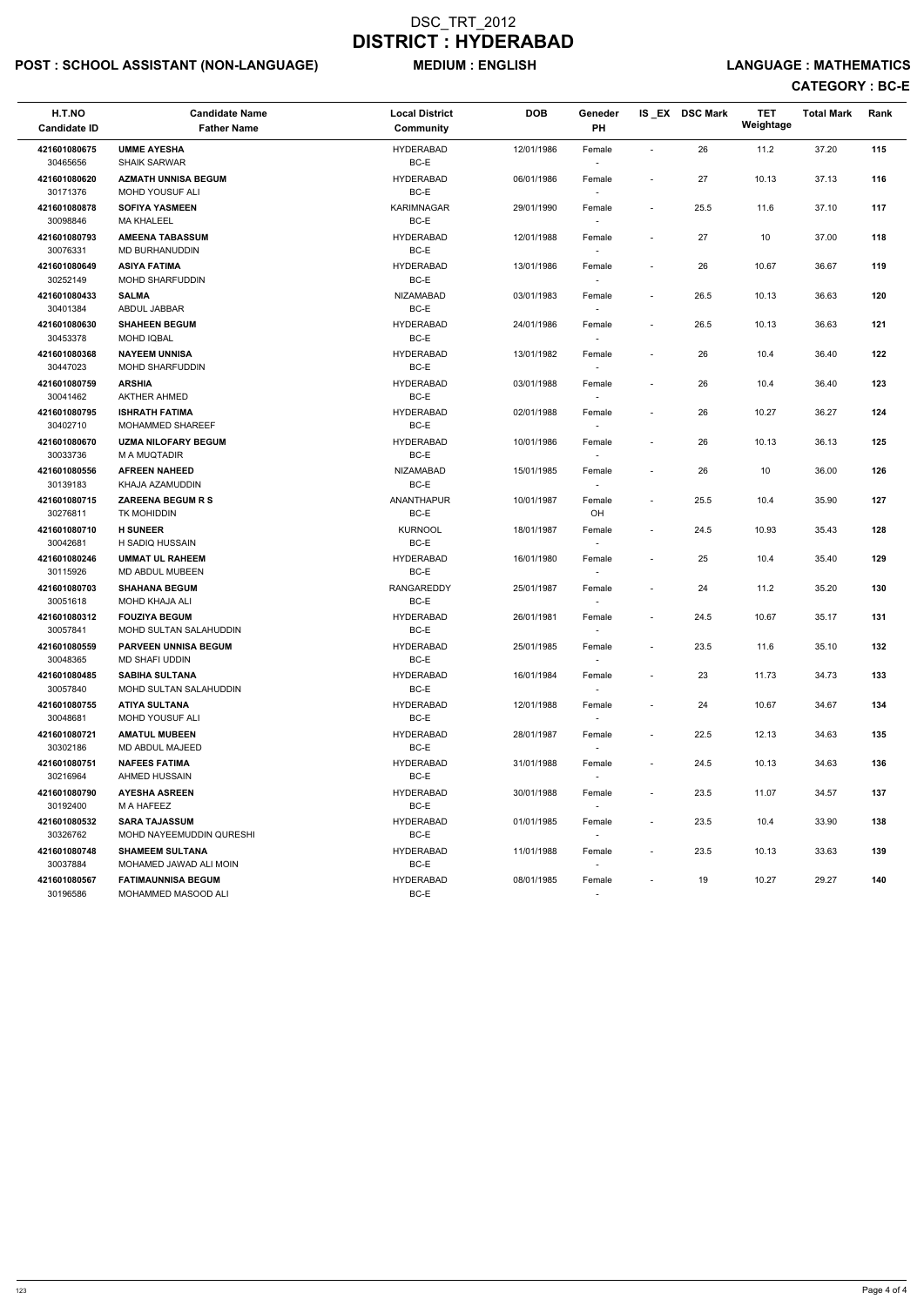## POST : SCHOOL ASSISTANT (NON-LANGUAGE) MEDIUM : ENGLISH LANGUAGE : MATHEMATICS

| H.T.NO<br><b>Candidate ID</b> | <b>Candidate Name</b><br><b>Father Name</b>      | <b>Local District</b><br>Community | <b>DOB</b> | Geneder<br><b>PH</b>               |                          | IS EX DSC Mark | <b>TET</b><br>Weightage | <b>Total Mark</b> | Rank |
|-------------------------------|--------------------------------------------------|------------------------------------|------------|------------------------------------|--------------------------|----------------|-------------------------|-------------------|------|
| 421601080675<br>30465656      | <b>UMME AYESHA</b><br><b>SHAIK SARWAR</b>        | <b>HYDERABAD</b><br>BC-E           | 12/01/1986 | Female                             | $\blacksquare$           | 26             | 11.2                    | 37.20             | 115  |
| 421601080620<br>30171376      | <b>AZMATH UNNISA BEGUM</b><br>MOHD YOUSUF ALI    | <b>HYDERABAD</b><br>BC-E           | 06/01/1986 | Female                             | $\overline{\phantom{a}}$ | 27             | 10.13                   | 37.13             | 116  |
| 421601080878<br>30098846      | <b>SOFIYA YASMEEN</b><br><b>MA KHALEEL</b>       | KARIMNAGAR<br>BC-E                 | 29/01/1990 | Female                             | $\overline{\phantom{a}}$ | 25.5           | 11.6                    | 37.10             | 117  |
| 421601080793<br>30076331      | <b>AMEENA TABASSUM</b><br>MD BURHANUDDIN         | <b>HYDERABAD</b><br>BC-E           | 12/01/1988 | Female<br>$\overline{\phantom{a}}$ | $\overline{\phantom{a}}$ | 27             | 10                      | 37.00             | 118  |
| 421601080649<br>30252149      | <b>ASIYA FATIMA</b><br><b>MOHD SHARFUDDIN</b>    | <b>HYDERABAD</b><br>BC-E           | 13/01/1986 | Female<br>$\overline{\phantom{a}}$ | $\overline{\phantom{a}}$ | 26             | 10.67                   | 36.67             | 119  |
| 421601080433<br>30401384      | <b>SALMA</b><br>ABDUL JABBAR                     | <b>NIZAMABAD</b><br>BC-E           | 03/01/1983 | Female                             | $\overline{\phantom{a}}$ | 26.5           | 10.13                   | 36.63             | 120  |
| 421601080630<br>30453378      | <b>SHAHEEN BEGUM</b><br><b>MOHD IQBAL</b>        | <b>HYDERABAD</b><br>BC-E           | 24/01/1986 | Female                             | $\overline{\phantom{a}}$ | 26.5           | 10.13                   | 36.63             | 121  |
| 421601080368<br>30447023      | <b>NAYEEM UNNISA</b><br><b>MOHD SHARFUDDIN</b>   | <b>HYDERABAD</b><br>BC-E           | 13/01/1982 | Female<br>$\overline{\phantom{a}}$ | $\overline{\phantom{a}}$ | 26             | 10.4                    | 36.40             | 122  |
| 421601080759<br>30041462      | <b>ARSHIA</b><br><b>AKTHER AHMED</b>             | <b>HYDERABAD</b><br>BC-E           | 03/01/1988 | Female                             | $\overline{\phantom{a}}$ | 26             | 10.4                    | 36.40             | 123  |
| 421601080795<br>30402710      | <b>ISHRATH FATIMA</b><br><b>MOHAMMED SHAREEF</b> | <b>HYDERABAD</b><br>BC-E           | 02/01/1988 | Female                             | $\overline{\phantom{a}}$ | 26             | 10.27                   | 36.27             | 124  |
| 421601080670<br>30033736      | <b>UZMA NILOFARY BEGUM</b><br>M A MUQTADIR       | <b>HYDERABAD</b><br>BC-E           | 10/01/1986 | Female                             | $\overline{\phantom{a}}$ | 26             | 10.13                   | 36.13             | 125  |
| 421601080556<br>30139183      | <b>AFREEN NAHEED</b><br>KHAJA AZAMUDDIN          | <b>NIZAMABAD</b><br>BC-E           | 15/01/1985 | Female<br>$\sim$                   | $\overline{\phantom{a}}$ | 26             | 10                      | 36.00             | 126  |
| 421601080715<br>30276811      | <b>ZAREENA BEGUM R S</b><br>TK MOHIDDIN          | <b>ANANTHAPUR</b><br>BC-E          | 10/01/1987 | Female<br>OH                       | $\overline{\phantom{a}}$ | 25.5           | 10.4                    | 35.90             | 127  |
| 421601080710<br>30042681      | <b>H SUNEER</b><br>H SADIQ HUSSAIN               | <b>KURNOOL</b><br>BC-E             | 18/01/1987 | Female<br>$\sim$                   | $\overline{\phantom{a}}$ | 24.5           | 10.93                   | 35.43             | 128  |
| 421601080246<br>30115926      | <b>UMMAT UL RAHEEM</b><br>MD ABDUL MUBEEN        | <b>HYDERABAD</b><br>BC-E           | 16/01/1980 | Female                             |                          | 25             | 10.4                    | 35.40             | 129  |
| 421601080703<br>30051618      | <b>SHAHANA BEGUM</b><br>MOHD KHAJA ALI           | RANGAREDDY<br>BC-E                 | 25/01/1987 | Female<br>$\sim$                   | $\overline{\phantom{a}}$ | 24             | 11.2                    | 35.20             | 130  |
| 421601080312<br>30057841      | <b>FOUZIYA BEGUM</b><br>MOHD SULTAN SALAHUDDIN   | <b>HYDERABAD</b><br>BC-E           | 26/01/1981 | Female<br>$\sim$                   | $\overline{\phantom{a}}$ | 24.5           | 10.67                   | 35.17             | 131  |
| 421601080559<br>30048365      | <b>PARVEEN UNNISA BEGUM</b><br>MD SHAFI UDDIN    | <b>HYDERABAD</b><br>BC-E           | 25/01/1985 | Female                             | $\overline{\phantom{a}}$ | 23.5           | 11.6                    | 35.10             | 132  |
| 421601080485<br>30057840      | <b>SABIHA SULTANA</b><br>MOHD SULTAN SALAHUDDIN  | <b>HYDERABAD</b><br>BC-E           | 16/01/1984 | Female<br>$\sim$                   | $\blacksquare$           | 23             | 11.73                   | 34.73             | 133  |
| 421601080755<br>30048681      | <b>ATIYA SULTANA</b><br>MOHD YOUSUF ALI          | <b>HYDERABAD</b><br>BC-E           | 12/01/1988 | Female<br>$\overline{\phantom{a}}$ | $\overline{\phantom{a}}$ | 24             | 10.67                   | 34.67             | 134  |
| 421601080721<br>30302186      | <b>AMATUL MUBEEN</b><br>MD ABDUL MAJEED          | <b>HYDERABAD</b><br>BC-E           | 28/01/1987 | Female<br>$\sim$                   | $\overline{\phantom{a}}$ | 22.5           | 12.13                   | 34.63             | 135  |
| 421601080751<br>30216964      | <b>NAFEES FATIMA</b><br>AHMED HUSSAIN            | <b>HYDERABAD</b><br>BC-E           | 31/01/1988 | Female                             | $\sim$                   | 24.5           | 10.13                   | 34.63             | 136  |
| 421601080790<br>30192400      | <b>AYESHA ASREEN</b><br>M A HAFEEZ               | <b>HYDERABAD</b><br>BC-E           | 30/01/1988 | Female                             | $\overline{\phantom{a}}$ | 23.5           | 11.07                   | 34.57             | 137  |
| 421601080532<br>30326762      | <b>SARA TAJASSUM</b><br>MOHD NAYEEMUDDIN QURESHI | <b>HYDERABAD</b><br>BC-E           | 01/01/1985 | Female<br>$\sim$                   | $\overline{\phantom{a}}$ | 23.5           | 10.4                    | 33.90             | 138  |
| 421601080748<br>30037884      | <b>SHAMEEM SULTANA</b><br>MOHAMED JAWAD ALI MOIN | <b>HYDERABAD</b><br>BC-E           | 11/01/1988 | Female<br>$\sim$                   | $\sim$                   | 23.5           | 10.13                   | 33.63             | 139  |
| 421601080567<br>30196586      | <b>FATIMAUNNISA BEGUM</b><br>MOHAMMED MASOOD ALI | <b>HYDERABAD</b><br>BC-E           | 08/01/1985 | Female<br>$\sim$                   | $\overline{\phantom{a}}$ | 19             | 10.27                   | 29.27             | 140  |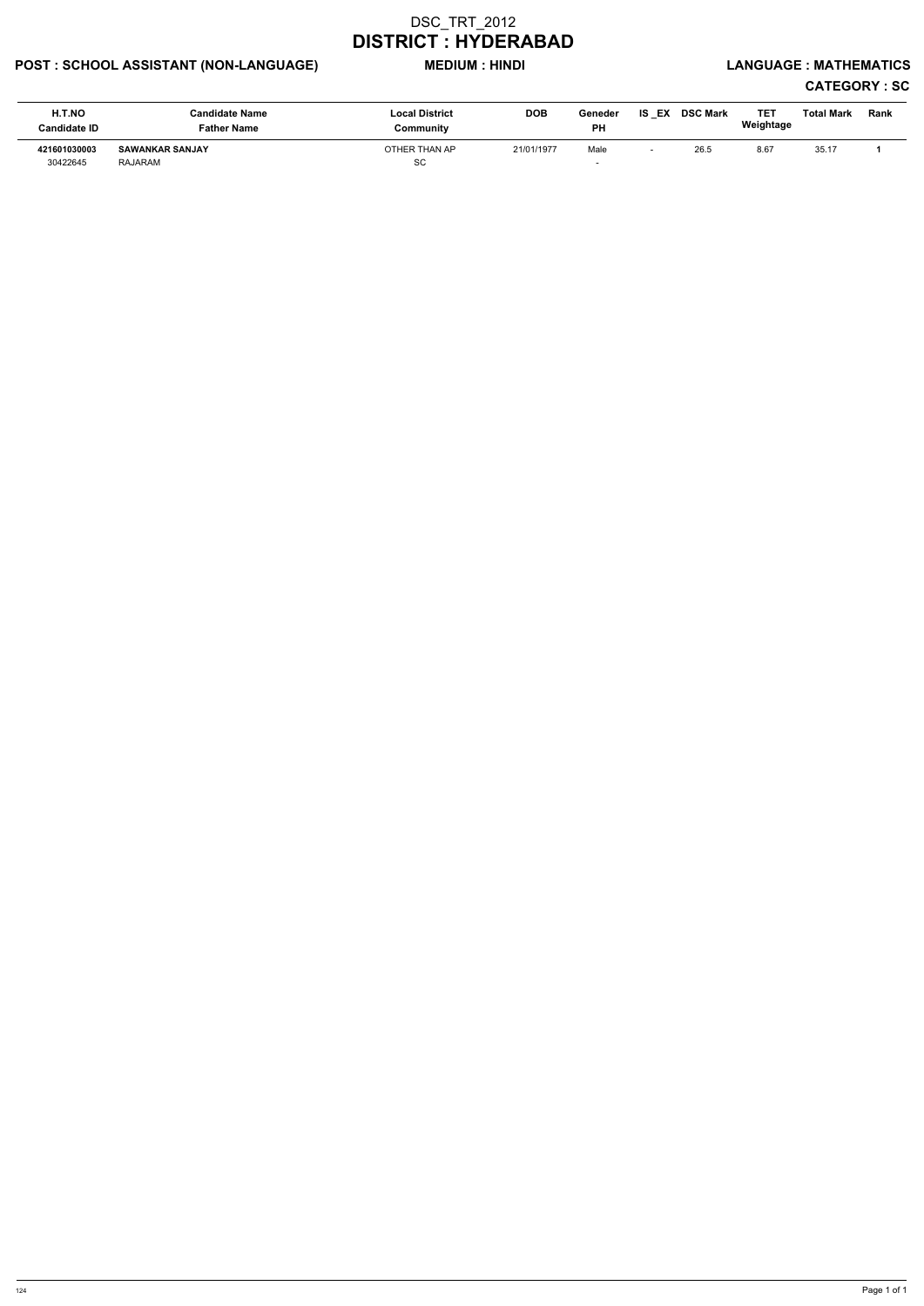## POST : SCHOOL ASSISTANT (NON-LANGUAGE) MEDIUM : HINDI LANGUAGE : MATHEMATICS

# CATEGORY : SC

| H.T.NO<br><b>Candidate ID</b> | <b>Candidate Name</b><br><b>Father Name</b> | <b>Local District</b><br>Community | <b>DOB</b> | Geneder<br><b>PH</b> | IS<br>EX | <b>DSC Mark</b> | TE1<br>Weightage | <b>Total Mark</b> | Rank |
|-------------------------------|---------------------------------------------|------------------------------------|------------|----------------------|----------|-----------------|------------------|-------------------|------|
| 421601030003<br>30422645      | <b>SAWANKAR SANJAY</b><br>RAJARAM           | OTHER THAN AP<br>SC                | 21/01/1977 | Male                 |          | 26.5            | 8.67             | 35.17             |      |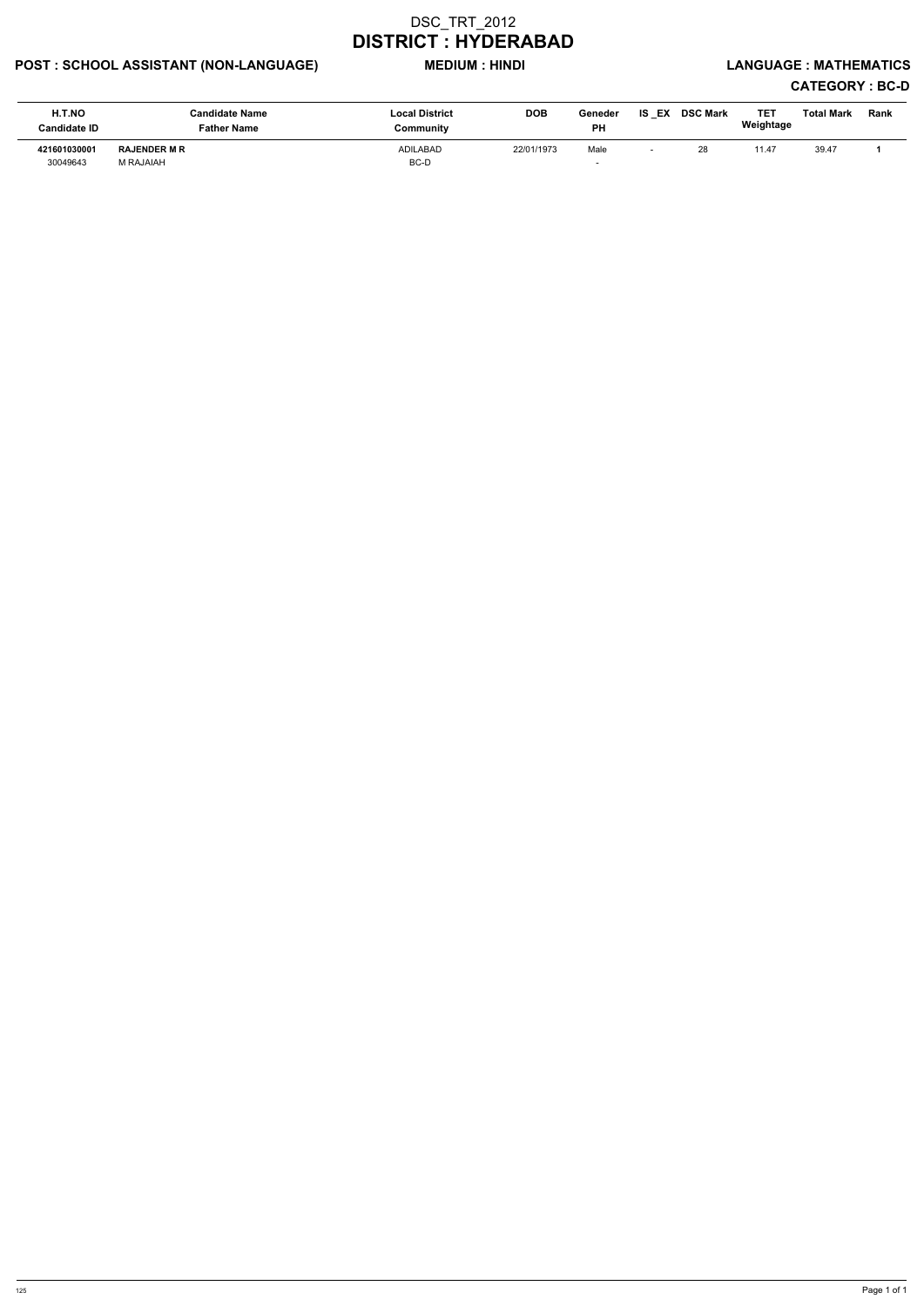## POST : SCHOOL ASSISTANT (NON-LANGUAGE) MEDIUM : HINDI LANGUAGE : MATHEMATICS

| H.T.NO<br><b>Candidate ID</b> | <b>Candidate Name</b><br><b>Father Name</b> | <b>Local District</b><br>Community | <b>DOB</b> | Geneder<br><b>PH</b> | <b>IS EX DSC Mark</b> | TE1<br>Weightage | <b>Total Mark</b> | <b>Rank</b> |
|-------------------------------|---------------------------------------------|------------------------------------|------------|----------------------|-----------------------|------------------|-------------------|-------------|
| 421601030001<br>30049643      | <b>RAJENDER M R</b><br>M RAJAIAH            | <b>ADILABAD</b><br>BC-D            | 22/01/1973 | Male                 | 28                    | 11.47            | 39.47             |             |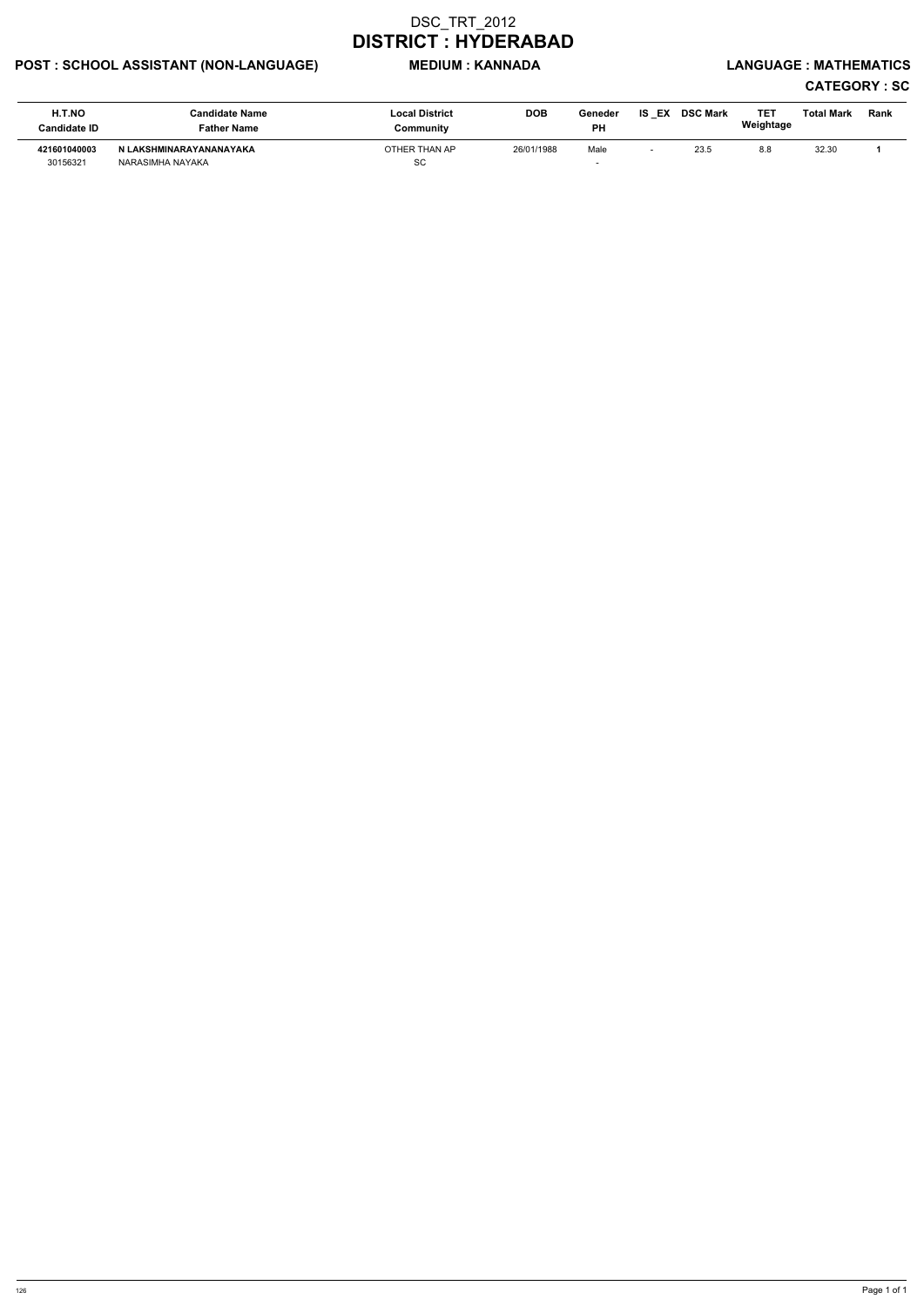## POST : SCHOOL ASSISTANT (NON-LANGUAGE) MEDIUM : KANNADA LANGUAGE : MATHEMATICS

# CATEGORY : SC

| H.T.NO<br>Candidate ID   | <b>Candidate Name</b><br>Father Name        | <b>Local District</b><br>Community | <b>DOB</b> | Geneder<br>PH | IS EX DSC Mark | TE1<br>Weightage | Total Mark | Rank |
|--------------------------|---------------------------------------------|------------------------------------|------------|---------------|----------------|------------------|------------|------|
| 421601040003<br>30156321 | N LAKSHMINARAYANANAYAKA<br>NARASIMHA NAYAKA | OTHER THAN AP<br><b>SC</b>         | 26/01/1988 | Male          | 23.5           | 8.8              | 32.30      |      |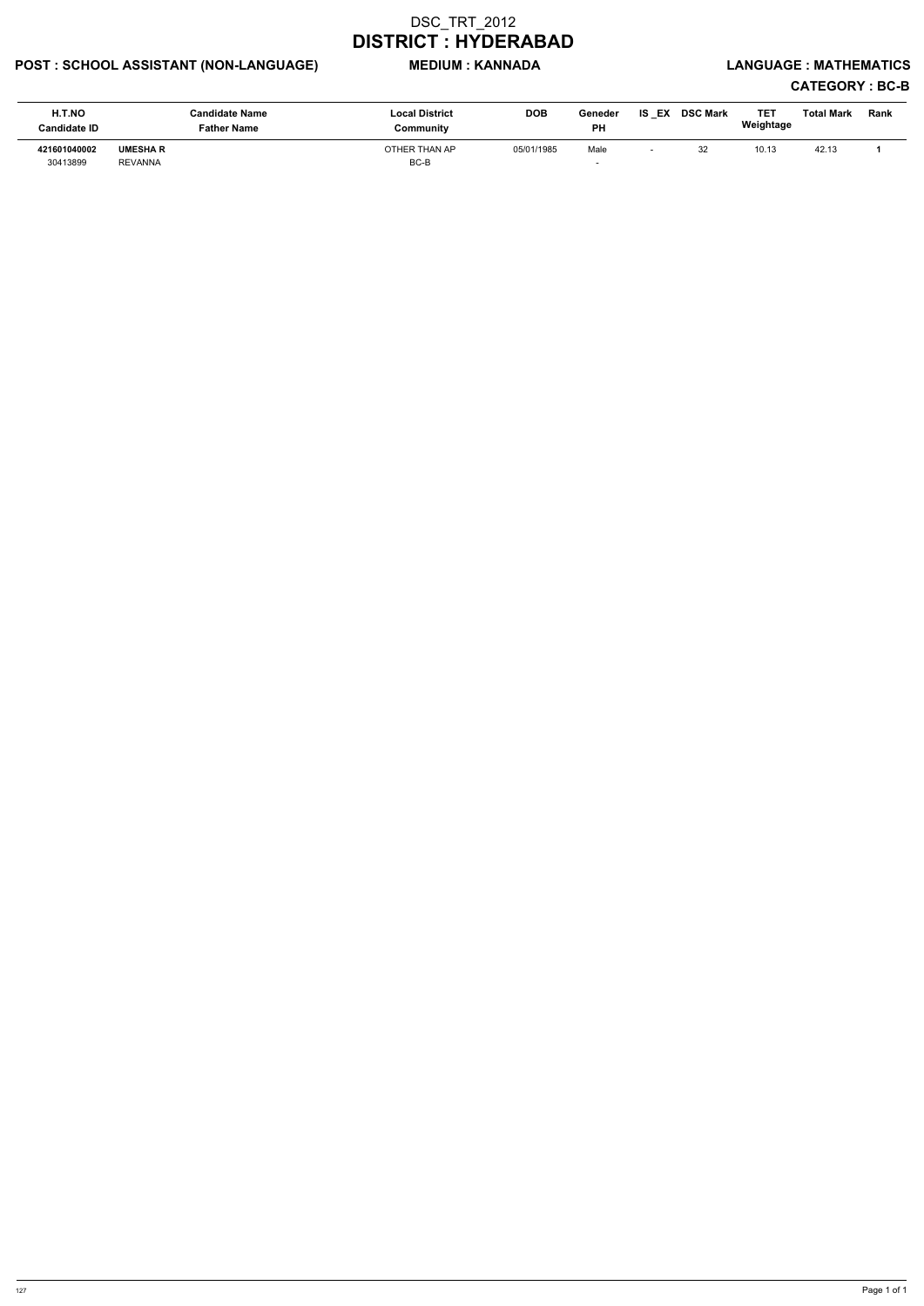## POST : SCHOOL ASSISTANT (NON-LANGUAGE) MEDIUM : KANNADA LANGUAGE : MATHEMATICS

| H.T.NO<br><b>Candidate ID</b> | <b>Candidate Name</b><br><b>Father Name</b> | <b>Local District</b><br>Community | <b>DOB</b> | Geneder<br><b>PH</b> | IS<br>EX | <b>DSC Mark</b> | TE1<br>Weightage | <b>Total Mark</b> | Rank |
|-------------------------------|---------------------------------------------|------------------------------------|------------|----------------------|----------|-----------------|------------------|-------------------|------|
| 421601040002<br>30413899      | <b>UMESHAR</b><br><b>REVANNA</b>            | OTHER THAN AP<br>BC-B              | 05/01/1985 | Male                 |          | 32              | 10.13            | 42.13             |      |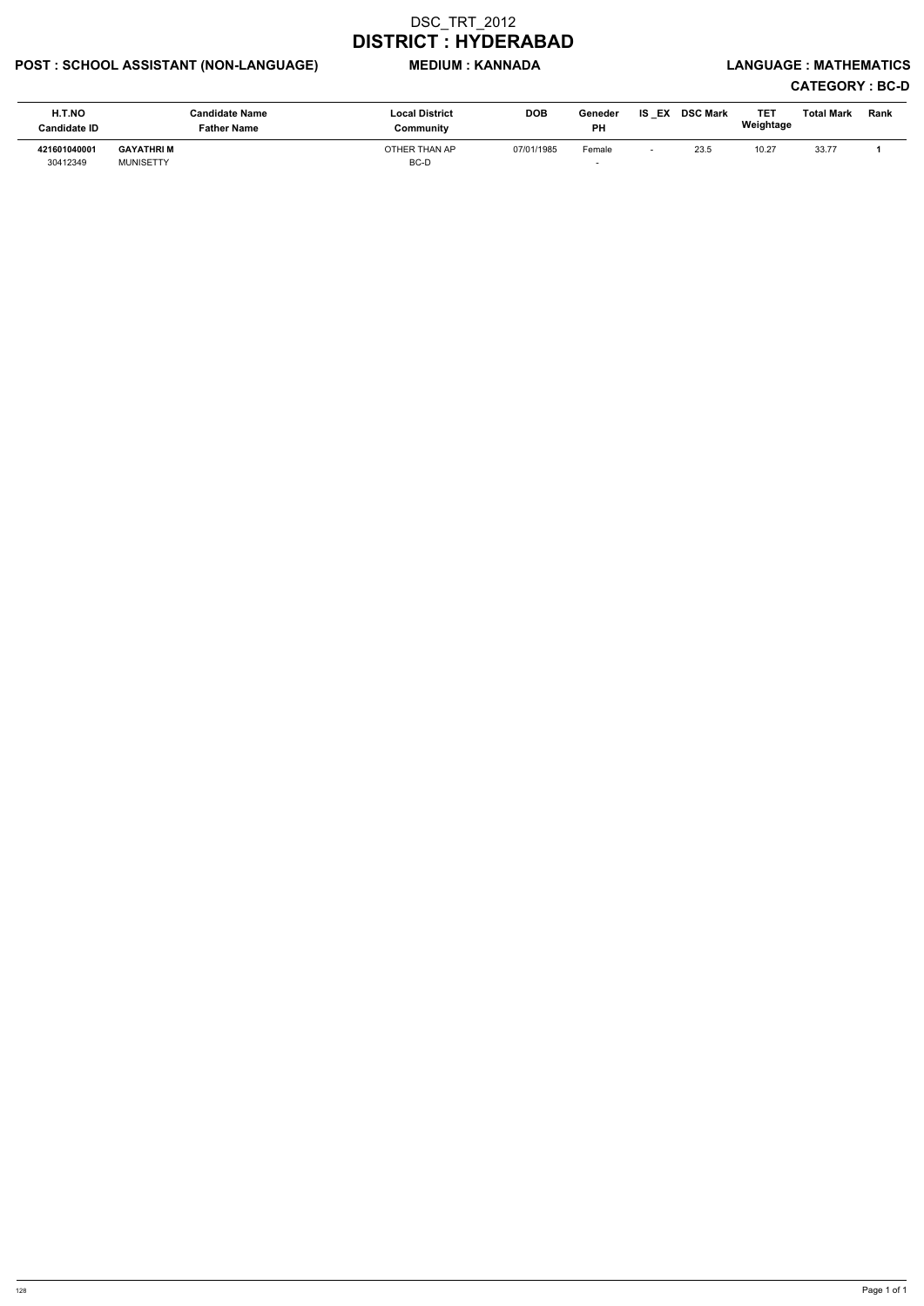## POST : SCHOOL ASSISTANT (NON-LANGUAGE) MEDIUM : KANNADA LANGUAGE : MATHEMATICS

| H.T.NO<br><b>Candidate ID</b> | <b>Candidate Name</b><br><b>Father Name</b> | <b>Local District</b><br>Community | <b>DOB</b> | Geneder<br><b>PH</b> | IS<br>EX | <b>DSC Mark</b> | TE1<br>Weightage | <b>Total Mark</b> | Rank |
|-------------------------------|---------------------------------------------|------------------------------------|------------|----------------------|----------|-----------------|------------------|-------------------|------|
| 421601040001<br>30412349      | <b>GAYATHRI M</b><br><b>MUNISETTY</b>       | OTHER THAN AP<br>BC-D              | 07/01/1985 | Female               |          | 23.5            | 10.27            | 33.77             |      |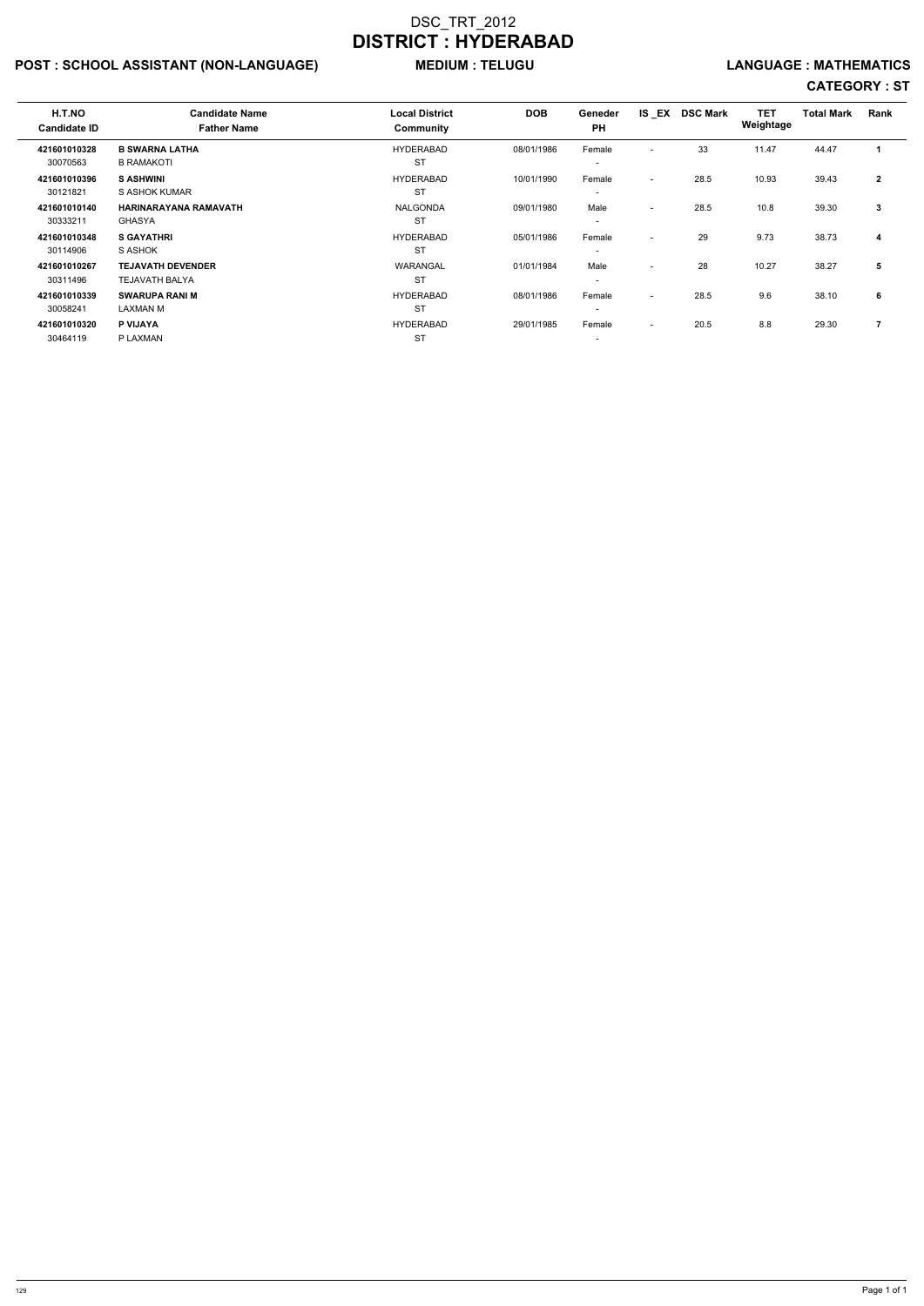## POST : SCHOOL ASSISTANT (NON-LANGUAGE) MEDIUM : TELUGU LANGUAGE : MATHEMATICS

# CATEGORY : ST

| H.T.NO<br><b>Candidate ID</b> | <b>Candidate Name</b><br><b>Father Name</b> | <b>Local District</b><br>Community | <b>DOB</b> | Geneder<br><b>PH</b>     | IS EX                    | <b>DSC Mark</b> | <b>TET</b><br>Weightage | <b>Total Mark</b> | <b>Rank</b>    |
|-------------------------------|---------------------------------------------|------------------------------------|------------|--------------------------|--------------------------|-----------------|-------------------------|-------------------|----------------|
| 421601010328                  | <b>B SWARNA LATHA</b>                       | <b>HYDERABAD</b>                   | 08/01/1986 | Female                   | $\overline{a}$           | 33              | 11.47                   | 44.47             |                |
| 30070563                      | <b>B RAMAKOTI</b>                           | <b>ST</b>                          |            | $\overline{\phantom{a}}$ |                          |                 |                         |                   |                |
| 421601010396                  | <b>S ASHWINI</b>                            | <b>HYDERABAD</b>                   | 10/01/1990 | Female                   | $\overline{\phantom{0}}$ | 28.5            | 10.93                   | 39.43             | $\overline{2}$ |
| 30121821                      | S ASHOK KUMAR                               | <b>ST</b>                          |            |                          |                          |                 |                         |                   |                |
| 421601010140                  | HARINARAYANA RAMAVATH                       | <b>NALGONDA</b>                    | 09/01/1980 | Male                     | $\overline{\phantom{a}}$ | 28.5            | 10.8                    | 39.30             | 3              |
| 30333211                      | <b>GHASYA</b>                               | <b>ST</b>                          |            | $\overline{\phantom{0}}$ |                          |                 |                         |                   |                |
| 421601010348                  | <b>S GAYATHRI</b>                           | <b>HYDERABAD</b>                   | 05/01/1986 | Female                   | $\overline{\phantom{0}}$ | 29              | 9.73                    | 38.73             | 4              |
| 30114906                      | S ASHOK                                     | <b>ST</b>                          |            | $\overline{\phantom{a}}$ |                          |                 |                         |                   |                |
| 421601010267                  | <b>TEJAVATH DEVENDER</b>                    | WARANGAL                           | 01/01/1984 | Male                     | $\overline{\phantom{a}}$ | 28              | 10.27                   | 38.27             | 5              |
| 30311496                      | <b>TEJAVATH BALYA</b>                       | <b>ST</b>                          |            | $\overline{\phantom{a}}$ |                          |                 |                         |                   |                |
| 421601010339                  | <b>SWARUPA RANI M</b>                       | <b>HYDERABAD</b>                   | 08/01/1986 | Female                   | $\sim$                   | 28.5            | 9.6                     | 38.10             | 6              |
| 30058241                      | <b>LAXMAN M</b>                             | <b>ST</b>                          |            | $\overline{\phantom{a}}$ |                          |                 |                         |                   |                |
| 421601010320                  | P VIJAYA                                    | <b>HYDERABAD</b>                   | 29/01/1985 | Female                   | $\sim$                   | 20.5            | 8.8                     | 29.30             |                |
| 30464119                      | P LAXMAN                                    | <b>ST</b>                          |            | $\overline{\phantom{a}}$ |                          |                 |                         |                   |                |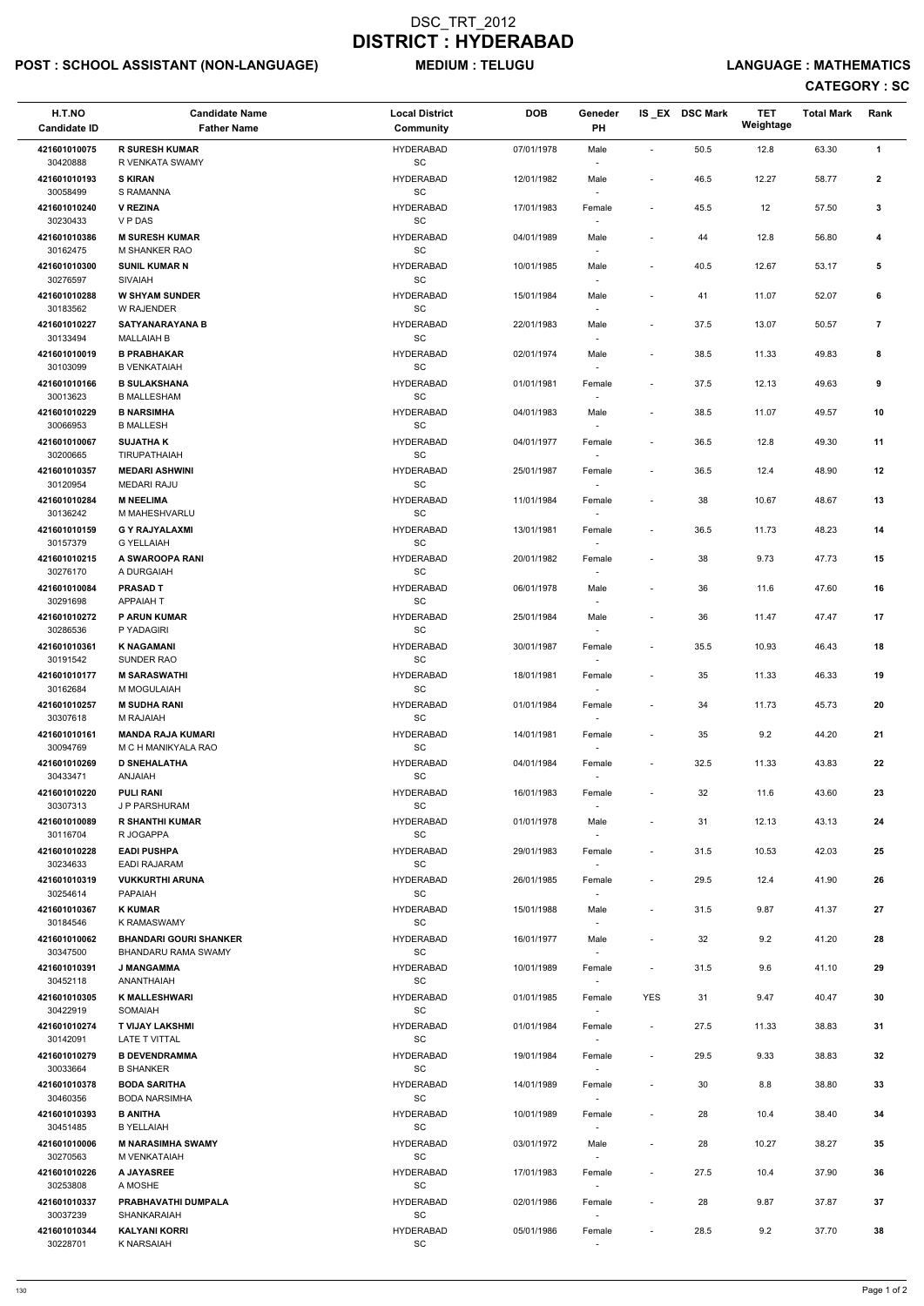## POST : SCHOOL ASSISTANT (NON-LANGUAGE) MEDIUM : TELUGU LANGUAGE : MATHEMATICS

## CATEGORY : SC

| H.T.NO<br><b>Candidate ID</b> | <b>Candidate Name</b><br><b>Father Name</b>          | <b>Local District</b><br>Community               | <b>DOB</b> | Geneder<br>PH                      |                          | IS EX DSC Mark | <b>TET</b><br>Weightage | <b>Total Mark</b> | Rank         |
|-------------------------------|------------------------------------------------------|--------------------------------------------------|------------|------------------------------------|--------------------------|----------------|-------------------------|-------------------|--------------|
| 421601010075<br>30420888      | <b>R SURESH KUMAR</b><br><b>R VENKATA SWAMY</b>      | <b>HYDERABAD</b><br>SC                           | 07/01/1978 | Male                               | $\blacksquare$           | 50.5           | 12.8                    | 63.30             | $\mathbf{1}$ |
| 421601010193<br>30058499      | <b>S KIRAN</b><br><b>S RAMANNA</b>                   | <b>HYDERABAD</b><br>$\operatorname{\textsf{SC}}$ | 12/01/1982 | Male<br>$\overline{\phantom{a}}$   | $\blacksquare$           | 46.5           | 12.27                   | 58.77             | $\mathbf{2}$ |
| 421601010240<br>30230433      | <b>V REZINA</b><br>V P DAS                           | <b>HYDERABAD</b><br>$\operatorname{\textsf{SC}}$ | 17/01/1983 | Female<br>$\overline{\phantom{a}}$ | $\overline{\phantom{a}}$ | 45.5           | 12                      | 57.50             | 3            |
| 421601010386<br>30162475      | <b>M SURESH KUMAR</b><br>M SHANKER RAO               | <b>HYDERABAD</b><br>SC                           | 04/01/1989 | Male<br>$\overline{\phantom{a}}$   | $\blacksquare$           | 44             | 12.8                    | 56.80             | 4            |
| 421601010300<br>30276597      | <b>SUNIL KUMAR N</b><br><b>SIVAIAH</b>               | <b>HYDERABAD</b><br>$\operatorname{\textsf{SC}}$ | 10/01/1985 | Male                               | $\blacksquare$           | 40.5           | 12.67                   | 53.17             | 5            |
| 421601010288<br>30183562      | <b>W SHYAM SUNDER</b><br>W RAJENDER                  | <b>HYDERABAD</b><br>SC                           | 15/01/1984 | Male<br>$\overline{\phantom{a}}$   | $\overline{a}$           | 41             | 11.07                   | 52.07             | 6            |
| 421601010227<br>30133494      | <b>SATYANARAYANA B</b><br><b>MALLAIAH B</b>          | <b>HYDERABAD</b><br>SC                           | 22/01/1983 | Male<br>$\blacksquare$             | $\blacksquare$           | 37.5           | 13.07                   | 50.57             | 7            |
| 421601010019<br>30103099      | <b>B PRABHAKAR</b><br><b>B VENKATAIAH</b>            | <b>HYDERABAD</b><br>SC                           | 02/01/1974 | Male<br>$\overline{\phantom{a}}$   | $\blacksquare$           | 38.5           | 11.33                   | 49.83             | 8            |
| 421601010166<br>30013623      | <b>B SULAKSHANA</b><br><b>B MALLESHAM</b>            | <b>HYDERABAD</b><br>$\operatorname{\textsf{SC}}$ | 01/01/1981 | Female<br>$\overline{\phantom{a}}$ | $\overline{a}$           | 37.5           | 12.13                   | 49.63             | 9            |
| 421601010229<br>30066953      | <b>B NARSIMHA</b><br><b>B MALLESH</b>                | <b>HYDERABAD</b><br>SC                           | 04/01/1983 | Male                               | $\overline{\phantom{a}}$ | 38.5           | 11.07                   | 49.57             | 10           |
| 421601010067<br>30200665      | <b>SUJATHA K</b><br><b>TIRUPATHAIAH</b>              | <b>HYDERABAD</b><br>SC                           | 04/01/1977 | Female<br>$\overline{\phantom{a}}$ | $\overline{\phantom{a}}$ | 36.5           | 12.8                    | 49.30             | 11           |
| 421601010357<br>30120954      | <b>MEDARI ASHWINI</b><br><b>MEDARI RAJU</b>          | <b>HYDERABAD</b><br>$\operatorname{\textsf{SC}}$ | 25/01/1987 | Female<br>$\overline{\phantom{a}}$ | $\overline{\phantom{a}}$ | 36.5           | 12.4                    | 48.90             | 12           |
| 421601010284<br>30136242      | <b>M NEELIMA</b><br>M MAHESHVARLU                    | <b>HYDERABAD</b><br>SC                           | 11/01/1984 | Female<br>$\overline{\phantom{a}}$ | $\overline{\phantom{a}}$ | 38             | 10.67                   | 48.67             | 13           |
| 421601010159<br>30157379      | <b>G Y RAJYALAXMI</b><br><b>G YELLAIAH</b>           | <b>HYDERABAD</b><br>$\operatorname{\textsf{SC}}$ | 13/01/1981 | Female                             | $\blacksquare$           | 36.5           | 11.73                   | 48.23             | 14           |
| 421601010215<br>30276170      | A SWAROOPA RANI<br>A DURGAIAH                        | <b>HYDERABAD</b><br>SC                           | 20/01/1982 | Female                             |                          | 38             | 9.73                    | 47.73             | 15           |
| 421601010084<br>30291698      | <b>PRASAD T</b><br><b>APPAIAH T</b>                  | <b>HYDERABAD</b><br>SC                           | 06/01/1978 | Male<br>$\overline{\phantom{a}}$   | $\overline{\phantom{a}}$ | 36             | 11.6                    | 47.60             | 16           |
| 421601010272<br>30286536      | <b>P ARUN KUMAR</b><br>P YADAGIRI                    | <b>HYDERABAD</b><br>SC                           | 25/01/1984 | Male<br>$\overline{\phantom{a}}$   | $\overline{\phantom{a}}$ | 36             | 11.47                   | 47.47             | 17           |
| 421601010361<br>30191542      | <b>K NAGAMANI</b><br>SUNDER RAO                      | <b>HYDERABAD</b><br>SC                           | 30/01/1987 | Female<br>$\sim$                   | $\blacksquare$           | 35.5           | 10.93                   | 46.43             | 18           |
| 421601010177<br>30162684      | <b>M SARASWATHI</b><br>M MOGULAIAH                   | <b>HYDERABAD</b><br>SC                           | 18/01/1981 | Female<br>$\sim$                   | $\overline{\phantom{a}}$ | 35             | 11.33                   | 46.33             | 19           |
| 421601010257<br>30307618      | <b>M SUDHA RANI</b><br>M RAJAIAH                     | <b>HYDERABAD</b><br><b>SC</b>                    | 01/01/1984 | Female<br>$\sim$                   | $\overline{\phantom{a}}$ | 34             | 11.73                   | 45.73             | 20           |
| 421601010161<br>30094769      | <b>MANDA RAJA KUMARI</b><br>M C H MANIKYALA RAO      | <b>HYDERABAD</b><br><b>SC</b>                    | 14/01/1981 | Female                             | $\overline{\phantom{a}}$ | 35             | 9.2                     | 44.20             | 21           |
| 421601010269<br>30433471      | <b>D SNEHALATHA</b><br><b>ANJAIAH</b>                | <b>HYDERABAD</b><br>$\operatorname{\textsf{SC}}$ | 04/01/1984 | Female<br>$\sim$                   | $\overline{\phantom{a}}$ | 32.5           | 11.33                   | 43.83             | 22           |
| 421601010220<br>30307313      | <b>PULI RANI</b><br>J P PARSHURAM                    | <b>HYDERABAD</b><br>SC                           | 16/01/1983 | Female<br>$\sim$                   | $\blacksquare$           | 32             | 11.6                    | 43.60             | 23           |
| 421601010089<br>30116704      | <b>R SHANTHI KUMAR</b><br>R JOGAPPA                  | <b>HYDERABAD</b><br><b>SC</b>                    | 01/01/1978 | Male<br>$\sim$                     | $\overline{\phantom{a}}$ | 31             | 12.13                   | 43.13             | 24           |
| 421601010228<br>30234633      | <b>EADI PUSHPA</b><br>EADI RAJARAM                   | <b>HYDERABAD</b><br>SC                           | 29/01/1983 | Female                             | $\blacksquare$           | 31.5           | 10.53                   | 42.03             | 25           |
| 421601010319<br>30254614      | <b>VUKKURTHI ARUNA</b><br>PAPAIAH                    | <b>HYDERABAD</b><br>SC                           | 26/01/1985 | Female<br>$\overline{\phantom{a}}$ | $\overline{\phantom{a}}$ | 29.5           | 12.4                    | 41.90             | 26           |
| 421601010367<br>30184546      | <b>K KUMAR</b><br>K RAMASWAMY                        | <b>HYDERABAD</b><br>SC                           | 15/01/1988 | Male<br>$\sim$                     | $\overline{\phantom{a}}$ | 31.5           | 9.87                    | 41.37             | 27           |
| 421601010062<br>30347500      | <b>BHANDARI GOURI SHANKER</b><br>BHANDARU RAMA SWAMY | <b>HYDERABAD</b><br>SC                           | 16/01/1977 | Male<br>$\sim$                     | $\overline{\phantom{a}}$ | 32             | 9.2                     | 41.20             | 28           |
| 421601010391<br>30452118      | <b>J MANGAMMA</b><br>ANANTHAIAH                      | <b>HYDERABAD</b><br>$\operatorname{\textsf{SC}}$ | 10/01/1989 | Female                             | $\overline{\phantom{a}}$ | 31.5           | 9.6                     | 41.10             | 29           |

| 421601010305 | <b>K MALLESHWARI</b>       | <b>HYDERABAD</b> | 01/01/1985 | Female                   | <b>YES</b>               | 31   | 9.47  | 40.47 | 30 |
|--------------|----------------------------|------------------|------------|--------------------------|--------------------------|------|-------|-------|----|
| 30422919     | SOMAIAH                    | <b>SC</b>        |            |                          |                          |      |       |       |    |
| 421601010274 | <b>T VIJAY LAKSHMI</b>     | <b>HYDERABAD</b> | 01/01/1984 | Female                   | $\overline{\phantom{a}}$ | 27.5 | 11.33 | 38.83 | 31 |
| 30142091     | LATE T VITTAL              | <b>SC</b>        |            | $\overline{\phantom{0}}$ |                          |      |       |       |    |
| 421601010279 | <b>B DEVENDRAMMA</b>       | <b>HYDERABAD</b> | 19/01/1984 | Female                   | $\sim$                   | 29.5 | 9.33  | 38.83 | 32 |
| 30033664     | <b>B SHANKER</b>           | SC               |            |                          |                          |      |       |       |    |
| 421601010378 | <b>BODA SARITHA</b>        | <b>HYDERABAD</b> | 14/01/1989 | Female                   | $\overline{\phantom{a}}$ | 30   | 8.8   | 38.80 | 33 |
| 30460356     | <b>BODA NARSIMHA</b>       | SC               |            |                          |                          |      |       |       |    |
| 421601010393 | <b>B ANITHA</b>            | <b>HYDERABAD</b> | 10/01/1989 | Female                   | $\overline{\phantom{a}}$ | 28   | 10.4  | 38.40 | 34 |
| 30451485     | <b>B YELLAIAH</b>          | SC               |            |                          |                          |      |       |       |    |
| 421601010006 | <b>M NARASIMHA SWAMY</b>   | <b>HYDERABAD</b> | 03/01/1972 | Male                     |                          | 28   | 10.27 | 38.27 | 35 |
| 30270563     | M VENKATAIAH               | SC               |            |                          |                          |      |       |       |    |
| 421601010226 | <b>A JAYASREE</b>          | <b>HYDERABAD</b> | 17/01/1983 | Female                   | $\sim$                   | 27.5 | 10.4  | 37.90 | 36 |
| 30253808     | A MOSHE                    | SC               |            | $\overline{\phantom{0}}$ |                          |      |       |       |    |
| 421601010337 | <b>PRABHAVATHI DUMPALA</b> | <b>HYDERABAD</b> | 02/01/1986 | Female                   |                          | 28   | 9.87  | 37.87 | 37 |
| 30037239     | SHANKARAIAH                | SC               |            |                          |                          |      |       |       |    |
| 421601010344 | <b>KALYANI KORRI</b>       | <b>HYDERABAD</b> | 05/01/1986 | Female                   | $\overline{\phantom{a}}$ | 28.5 | 9.2   | 37.70 | 38 |
| 30228701     | K NARSAIAH                 | SC               |            |                          |                          |      |       |       |    |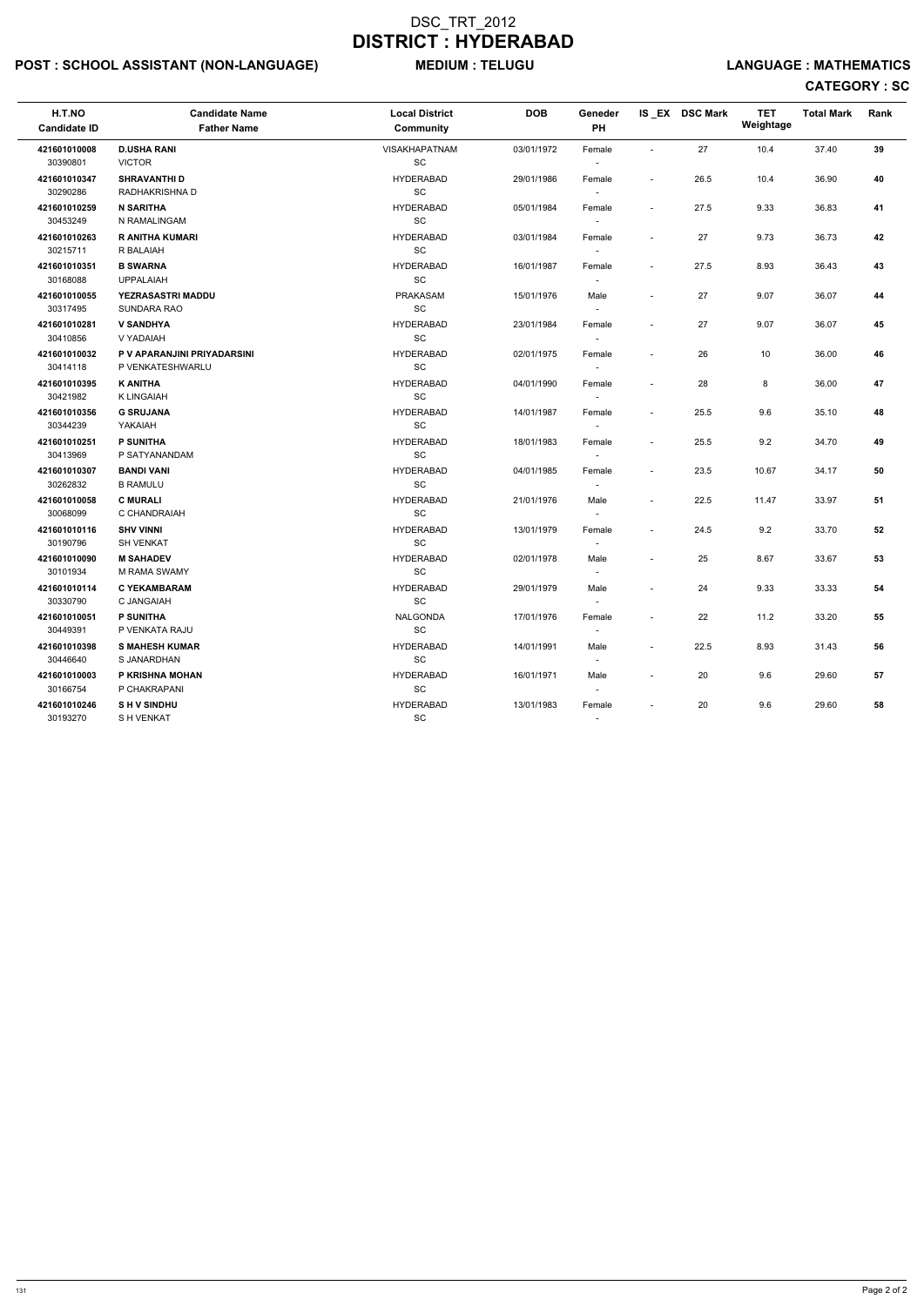## POST : SCHOOL ASSISTANT (NON-LANGUAGE) MEDIUM : TELUGU LANGUAGE : MATHEMATICS

# CATEGORY : SC

| H.T.NO<br><b>Candidate ID</b> | <b>Candidate Name</b><br><b>Father Name</b> | <b>Local District</b><br>Community | <b>DOB</b> | Geneder<br>PH            |                          | IS EX DSC Mark | <b>TET</b><br>Weightage | <b>Total Mark</b> | Rank |
|-------------------------------|---------------------------------------------|------------------------------------|------------|--------------------------|--------------------------|----------------|-------------------------|-------------------|------|
| 421601010008                  | <b>D.USHA RANI</b>                          | <b>VISAKHAPATNAM</b>               | 03/01/1972 | Female                   | $\overline{\phantom{a}}$ | 27             | 10.4                    | 37.40             | 39   |
| 30390801                      | <b>VICTOR</b>                               | SC                                 |            |                          |                          |                |                         |                   |      |
| 421601010347                  | <b>SHRAVANTHI D</b>                         | <b>HYDERABAD</b>                   | 29/01/1986 | Female                   | $\sim$                   | 26.5           | 10.4                    | 36.90             | 40   |
| 30290286                      | RADHAKRISHNA D                              | SC                                 |            | $\sim$                   |                          |                |                         |                   |      |
| 421601010259                  | <b>N SARITHA</b>                            | <b>HYDERABAD</b>                   | 05/01/1984 | Female                   | $\sim$                   | 27.5           | 9.33                    | 36.83             | 41   |
| 30453249                      | N RAMALINGAM                                | SC                                 |            |                          |                          |                |                         |                   |      |
| 421601010263                  | <b>R ANITHA KUMARI</b>                      | <b>HYDERABAD</b>                   | 03/01/1984 | Female                   |                          | 27             | 9.73                    | 36.73             | 42   |
| 30215711                      | R BALAIAH                                   | SC                                 |            | $\sim$                   |                          |                |                         |                   |      |
| 421601010351                  | <b>B SWARNA</b>                             | <b>HYDERABAD</b>                   | 16/01/1987 | Female                   | $\overline{\phantom{a}}$ | 27.5           | 8.93                    | 36.43             | 43   |
| 30168088                      | <b>UPPALAIAH</b>                            | SC                                 |            |                          |                          |                |                         |                   |      |
| 421601010055                  | <b>YEZRASASTRI MADDU</b>                    | <b>PRAKASAM</b>                    | 15/01/1976 | Male                     | $\blacksquare$           | 27             | 9.07                    | 36.07             | 44   |
| 30317495                      | SUNDARA RAO                                 | <b>SC</b>                          |            | $\sim$                   |                          |                |                         |                   |      |
| 421601010281                  | <b>V SANDHYA</b>                            | <b>HYDERABAD</b>                   | 23/01/1984 | Female                   | $\blacksquare$           | 27             | 9.07                    | 36.07             | 45   |
| 30410856                      | V YADAIAH                                   | SC                                 |            |                          |                          |                |                         |                   |      |
| 421601010032                  | P V APARANJINI PRIYADARSINI                 | <b>HYDERABAD</b>                   | 02/01/1975 | Female                   | $\blacksquare$           | 26             | 10                      | 36.00             | 46   |
| 30414118                      | P VENKATESHWARLU                            | SC                                 |            |                          |                          |                |                         |                   |      |
| 421601010395                  | <b>K ANITHA</b>                             | <b>HYDERABAD</b>                   | 04/01/1990 | Female                   | $\blacksquare$           | 28             | 8                       | 36.00             | 47   |
| 30421982                      | <b>K LINGAIAH</b>                           | SC                                 |            | $\sim$                   |                          |                |                         |                   |      |
| 421601010356                  | <b>G SRUJANA</b>                            | <b>HYDERABAD</b>                   | 14/01/1987 | Female                   | $\sim$                   | 25.5           | 9.6                     | 35.10             | 48   |
| 30344239                      | YAKAIAH                                     | <b>SC</b>                          |            | $\sim$                   |                          |                |                         |                   |      |
| 421601010251                  | <b>P SUNITHA</b>                            | <b>HYDERABAD</b>                   | 18/01/1983 | Female                   | $\sim$                   | 25.5           | 9.2                     | 34.70             | 49   |
| 30413969                      | P SATYANANDAM                               | SC                                 |            |                          |                          |                |                         |                   |      |
| 421601010307                  | <b>BANDI VANI</b>                           | <b>HYDERABAD</b>                   | 04/01/1985 | Female                   | $\overline{\phantom{a}}$ | 23.5           | 10.67                   | 34.17             | 50   |
| 30262832                      | <b>B RAMULU</b>                             | SC                                 |            |                          |                          |                |                         |                   |      |
| 421601010058                  | <b>C MURALI</b>                             | <b>HYDERABAD</b>                   | 21/01/1976 | Male                     | $\overline{\phantom{a}}$ | 22.5           | 11.47                   | 33.97             | 51   |
| 30068099                      | C CHANDRAIAH                                | SC                                 |            | $\overline{\phantom{a}}$ |                          |                |                         |                   |      |
| 421601010116                  | <b>SHV VINNI</b>                            | <b>HYDERABAD</b>                   | 13/01/1979 | Female                   | $\blacksquare$           | 24.5           | 9.2                     | 33.70             | 52   |
| 30190796                      | <b>SH VENKAT</b>                            | SC                                 |            |                          |                          |                |                         |                   |      |
| 421601010090                  | <b>M SAHADEV</b>                            | <b>HYDERABAD</b>                   | 02/01/1978 | Male                     | $\overline{\phantom{a}}$ | 25             | 8.67                    | 33.67             | 53   |
| 30101934                      | <b>M RAMA SWAMY</b>                         | SC                                 |            |                          |                          |                |                         |                   |      |
| 421601010114                  | <b>C YEKAMBARAM</b>                         | <b>HYDERABAD</b>                   | 29/01/1979 | Male                     |                          | 24             | 9.33                    | 33.33             | 54   |
| 30330790                      | C JANGAIAH                                  | SC                                 |            | $\overline{\phantom{a}}$ |                          |                |                         |                   |      |
| 421601010051                  | P SUNITHA                                   | NALGONDA                           | 17/01/1976 | Female                   | $\overline{\phantom{a}}$ | 22             | 11.2                    | 33.20             | 55   |
| 30449391                      | P VENKATA RAJU                              | $\operatorname{\textsf{SC}}$       |            | $\overline{\phantom{a}}$ |                          |                |                         |                   |      |
| 421601010398                  | <b>S MAHESH KUMAR</b>                       | <b>HYDERABAD</b>                   | 14/01/1991 | Male                     | $\sim$                   | 22.5           | 8.93                    | 31.43             | 56   |
| 30446640                      | S JANARDHAN                                 | $\operatorname{\textsf{SC}}$       |            | $\overline{\phantom{a}}$ |                          |                |                         |                   |      |
| 421601010003                  | P KRISHNA MOHAN                             | <b>HYDERABAD</b>                   | 16/01/1971 | Male                     | $\sim$                   | 20             | 9.6                     | 29.60             | 57   |
| 30166754                      | P CHAKRAPANI                                | $\operatorname{\textsf{SC}}$       |            |                          |                          |                |                         |                   |      |
| 421601010246                  | <b>SHV SINDHU</b>                           | <b>HYDERABAD</b>                   | 13/01/1983 | Female                   | $\overline{\phantom{a}}$ | 20             | 9.6                     | 29.60             | 58   |
| 30193270                      | S H VENKAT                                  | $\operatorname{\textsf{SC}}$       |            | $\sim$                   |                          |                |                         |                   |      |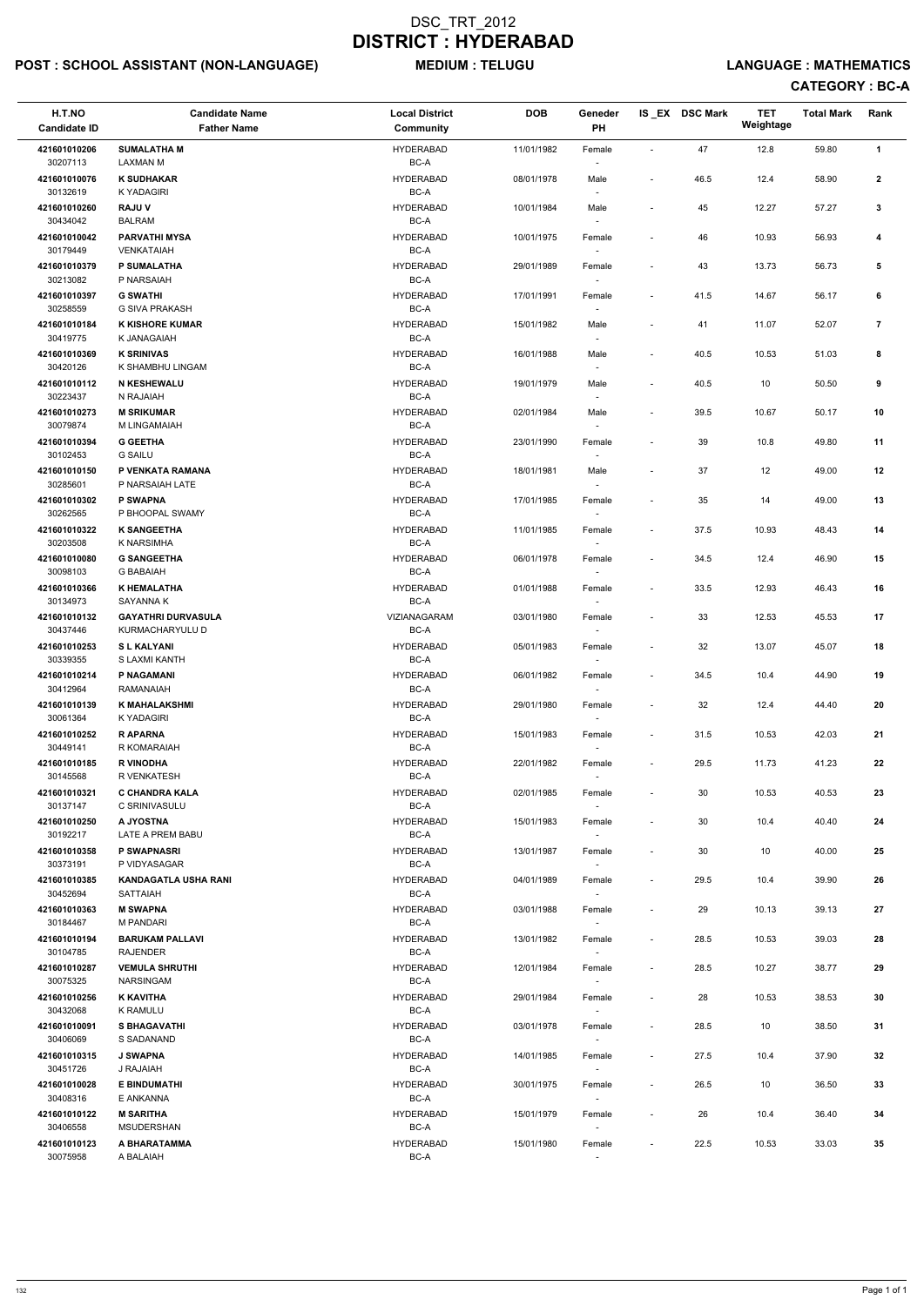## POST : SCHOOL ASSISTANT (NON-LANGUAGE) MEDIUM : TELUGU LANGUAGE : MATHEMATICS

| H.T.NO<br><b>Candidate ID</b>        | <b>Candidate Name</b><br><b>Father Name</b>     | <b>Local District</b><br><b>Community</b> | <b>DOB</b> | Geneder<br>PH                      |                          | IS_EX DSC Mark | <b>TET</b><br>Weightage | <b>Total Mark</b> | Rank                    |
|--------------------------------------|-------------------------------------------------|-------------------------------------------|------------|------------------------------------|--------------------------|----------------|-------------------------|-------------------|-------------------------|
|                                      |                                                 |                                           |            |                                    |                          |                |                         |                   |                         |
| 421601010206<br>30207113             | <b>SUMALATHA M</b><br><b>LAXMAN M</b>           | <b>HYDERABAD</b><br>BC-A                  | 11/01/1982 | Female                             | $\overline{\phantom{a}}$ | 47             | 12.8                    | 59.80             | 1                       |
| 421601010076<br>30132619             | <b>K SUDHAKAR</b><br><b>K YADAGIRI</b>          | <b>HYDERABAD</b><br>BC-A                  | 08/01/1978 | Male                               | $\overline{\phantom{a}}$ | 46.5           | 12.4                    | 58.90             | $\mathbf{2}$            |
| 421601010260<br>30434042             | <b>RAJUV</b><br><b>BALRAM</b>                   | <b>HYDERABAD</b><br>BC-A                  | 10/01/1984 | Male                               | $\overline{\phantom{a}}$ | 45             | 12.27                   | 57.27             | 3                       |
| 421601010042<br>30179449             | <b>PARVATHI MYSA</b><br>VENKATAIAH              | <b>HYDERABAD</b><br>BC-A                  | 10/01/1975 | Female                             | $\overline{\phantom{a}}$ | 46             | 10.93                   | 56.93             | 4                       |
| 421601010379<br>30213082             | <b>P SUMALATHA</b><br>P NARSAIAH                | <b>HYDERABAD</b><br>BC-A                  | 29/01/1989 | Female                             | $\overline{\phantom{a}}$ | 43             | 13.73                   | 56.73             | 5                       |
| 421601010397<br>30258559             | <b>G SWATHI</b><br>G SIVA PRAKASH               | <b>HYDERABAD</b><br>BC-A                  | 17/01/1991 | Female                             | $\overline{\phantom{a}}$ | 41.5           | 14.67                   | 56.17             | 6                       |
| 421601010184<br>30419775             | <b>K KISHORE KUMAR</b><br>K JANAGAIAH           | <b>HYDERABAD</b><br>BC-A                  | 15/01/1982 | Male                               | $\overline{\phantom{a}}$ | 41             | 11.07                   | 52.07             | $\overline{\mathbf{r}}$ |
| 421601010369<br>30420126             | <b>K SRINIVAS</b><br>K SHAMBHU LINGAM           | <b>HYDERABAD</b><br>BC-A                  | 16/01/1988 | Male                               | $\blacksquare$           | 40.5           | 10.53                   | 51.03             | 8                       |
| 421601010112<br>30223437             | N KESHEWALU<br>N RAJAIAH                        | <b>HYDERABAD</b><br>BC-A                  | 19/01/1979 | Male                               | $\overline{\phantom{a}}$ | 40.5           | 10                      | 50.50             | 9                       |
| 421601010273<br>30079874             | <b>M SRIKUMAR</b><br>M LINGAMAIAH               | <b>HYDERABAD</b><br>BC-A                  | 02/01/1984 | Male                               | $\overline{\phantom{a}}$ | 39.5           | 10.67                   | 50.17             | 10                      |
| 421601010394<br>30102453             | <b>G GEETHA</b><br><b>G SAILU</b>               | <b>HYDERABAD</b><br>BC-A                  | 23/01/1990 | Female                             | $\overline{\phantom{a}}$ | 39             | 10.8                    | 49.80             | 11                      |
| 421601010150<br>30285601             | P VENKATA RAMANA<br>P NARSAIAH LATE             | <b>HYDERABAD</b><br>BC-A                  | 18/01/1981 | Male                               | $\overline{\phantom{a}}$ | 37             | 12                      | 49.00             | 12                      |
| 421601010302<br>30262565             | <b>P SWAPNA</b><br>P BHOOPAL SWAMY              | <b>HYDERABAD</b><br>BC-A                  | 17/01/1985 | Female                             | $\overline{\phantom{a}}$ | 35             | 14                      | 49.00             | 13                      |
| 421601010322<br>30203508             | <b>K SANGEETHA</b><br>K NARSIMHA                | <b>HYDERABAD</b><br>BC-A                  | 11/01/1985 | Female                             | $\overline{\phantom{a}}$ | 37.5           | 10.93                   | 48.43             | 14                      |
| 421601010080<br>30098103             | <b>G SANGEETHA</b><br><b>G BABAIAH</b>          | <b>HYDERABAD</b><br>BC-A                  | 06/01/1978 | Female                             | $\overline{\phantom{a}}$ | 34.5           | 12.4                    | 46.90             | 15                      |
| 421601010366                         | <b>K HEMALATHA</b>                              | <b>HYDERABAD</b>                          | 01/01/1988 | Female                             | $\overline{\phantom{a}}$ | 33.5           | 12.93                   | 46.43             | 16                      |
| 30134973                             | SAYANNA K                                       | $BC-A$                                    |            |                                    |                          |                |                         |                   |                         |
| 421601010132<br>30437446             | <b>GAYATHRI DURVASULA</b><br>KURMACHARYULU D    | VIZIANAGARAM<br>BC-A                      | 03/01/1980 | Female<br>$\sim$                   | $\overline{\phantom{a}}$ | 33             | 12.53                   | 45.53             | 17                      |
| 421601010253<br>30339355             | <b>SL KALYANI</b><br>S LAXMI KANTH              | <b>HYDERABAD</b><br>BC-A                  | 05/01/1983 | Female<br>$\overline{\phantom{a}}$ | $\overline{\phantom{a}}$ | 32             | 13.07                   | 45.07             | 18                      |
| 421601010214                         | P NAGAMANI                                      | <b>HYDERABAD</b><br>BC-A                  | 06/01/1982 | Female                             | $\overline{\phantom{a}}$ | 34.5           | 10.4                    | 44.90             | 19                      |
| 30412964<br>421601010139<br>30061364 | RAMANAIAH<br><b>K MAHALAKSHMI</b><br>K YADAGIRI | <b>HYDERABAD</b><br>BC-A                  | 29/01/1980 | Female<br>$\sim$                   | $\overline{\phantom{a}}$ | 32             | 12.4                    | 44.40             | 20                      |
| 421601010252<br>30449141             | <b>RAPARNA</b><br>R KOMARAIAH                   | <b>HYDERABAD</b><br>BC-A                  | 15/01/1983 | Female<br>$\sim$                   | $\overline{\phantom{a}}$ | 31.5           | 10.53                   | 42.03             | 21                      |
| 421601010185                         | <b>R VINODHA</b>                                | <b>HYDERABAD</b>                          | 22/01/1982 | Female                             | $\overline{\phantom{a}}$ | 29.5           | 11.73                   | 41.23             | 22                      |
| 30145568<br>421601010321             | R VENKATESH<br><b>C CHANDRA KALA</b>            | BC-A<br><b>HYDERABAD</b>                  | 02/01/1985 | $\sim$<br>Female                   | $\overline{\phantom{a}}$ | 30             | 10.53                   | 40.53             | 23                      |
| 30137147                             | C SRINIVASULU                                   | BC-A                                      |            |                                    |                          |                |                         |                   |                         |
| 421601010250<br>30192217             | A JYOSTNA<br>LATE A PREM BABU                   | <b>HYDERABAD</b><br>BC-A                  | 15/01/1983 | Female                             | $\overline{\phantom{a}}$ | 30             | 10.4                    | 40.40             | 24                      |
| 421601010358<br>30373191             | <b>P SWAPNASRI</b><br>P VIDYASAGAR              | <b>HYDERABAD</b><br>BC-A                  | 13/01/1987 | Female<br>$\sim$                   | $\overline{\phantom{a}}$ | 30             | 10                      | 40.00             | 25                      |
| 421601010385<br>30452694             | <b>KANDAGATLA USHA RANI</b><br><b>SATTAIAH</b>  | <b>HYDERABAD</b><br>BC-A                  | 04/01/1989 | Female<br>$\sim$                   | $\overline{\phantom{a}}$ | 29.5           | 10.4                    | 39.90             | 26                      |
| 421601010363<br>30184467             | <b>M SWAPNA</b><br><b>M PANDARI</b>             | <b>HYDERABAD</b><br>BC-A                  | 03/01/1988 | Female<br>$\sim$                   | $\overline{\phantom{a}}$ | 29             | 10.13                   | 39.13             | 27                      |
| 421601010194<br>30104785             | <b>BARUKAM PALLAVI</b><br>RAJENDER              | <b>HYDERABAD</b><br>BC-A                  | 13/01/1982 | Female                             | $\overline{\phantom{a}}$ | 28.5           | 10.53                   | 39.03             | 28                      |
| 421601010287<br>30075325             | <b>VEMULA SHRUTHI</b><br><b>NARSINGAM</b>       | <b>HYDERABAD</b><br>BC-A                  | 12/01/1984 | Female                             | $\overline{\phantom{a}}$ | 28.5           | 10.27                   | 38.77             | 29                      |
| 421601010256<br>30432068             | <b>K KAVITHA</b><br>K RAMULU                    | <b>HYDERABAD</b><br>BC-A                  | 29/01/1984 | $\sim$<br>Female<br>$\sim$         | $\overline{\phantom{a}}$ | 28             | 10.53                   | 38.53             | 30                      |
| 421601010091                         | <b>S BHAGAVATHI</b>                             | <b>HYDERABAD</b>                          | 03/01/1978 | Female                             | $\overline{\phantom{a}}$ | 28.5           | 10                      | 38.50             | 31                      |
| 30406069<br>421601010315             | S SADANAND<br><b>J SWAPNA</b>                   | BC-A<br><b>HYDERABAD</b>                  | 14/01/1985 | Female                             | $\overline{\phantom{a}}$ | 27.5           | 10.4                    | 37.90             | 32                      |
| 30451726<br>421601010028             | J RAJAIAH<br><b>E BINDUMATHI</b>                | BC-A<br><b>HYDERABAD</b>                  | 30/01/1975 | Female                             | $\overline{\phantom{a}}$ | 26.5           | 10                      | 36.50             | 33                      |
| 30408316<br>421601010122             | E ANKANNA<br><b>M SARITHA</b>                   | $BC-A$<br><b>HYDERABAD</b>                | 15/01/1979 | $\sim$<br>Female                   |                          | 26             | 10.4                    | 36.40             | 34                      |
| 30406558<br>421601010123             | MSUDERSHAN<br>A BHARATAMMA                      | $BC-A$<br><b>HYDERABAD</b>                | 15/01/1980 | $\overline{\phantom{a}}$<br>Female | $\overline{\phantom{a}}$ | 22.5           | 10.53                   | 33.03             | 35                      |
| 30075958                             | A BALAIAH                                       | $BC-A$                                    |            | $\sim$                             |                          |                |                         |                   |                         |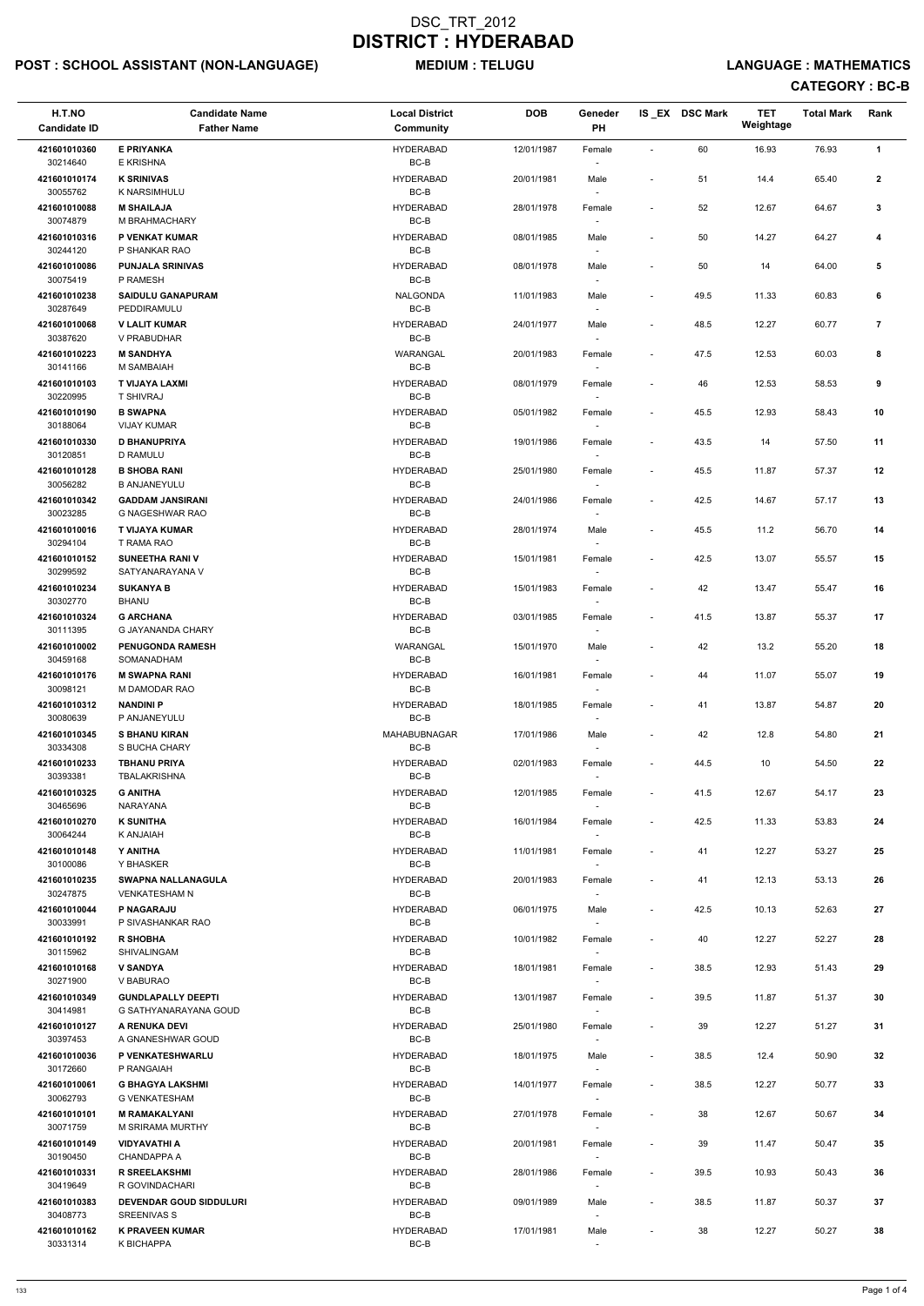## POST : SCHOOL ASSISTANT (NON-LANGUAGE) MEDIUM : TELUGU LANGUAGE : MATHEMATICS

| H.T.NO<br><b>Candidate ID</b> | <b>Candidate Name</b><br><b>Father Name</b>     | <b>Local District</b><br>Community | <b>DOB</b> | Geneder<br><b>PH</b>               |                          | IS EX DSC Mark | TET<br>Weightage | <b>Total Mark</b> | Rank           |
|-------------------------------|-------------------------------------------------|------------------------------------|------------|------------------------------------|--------------------------|----------------|------------------|-------------------|----------------|
| 421601010360                  | <b>E PRIYANKA</b>                               | <b>HYDERABAD</b>                   | 12/01/1987 | Female                             | $\overline{\phantom{0}}$ | 60             | 16.93            | 76.93             | $\mathbf{1}$   |
| 30214640<br>421601010174      | E KRISHNA<br><b>K SRINIVAS</b>                  | BC-B<br><b>HYDERABAD</b>           | 20/01/1981 | Male                               | $\overline{\phantom{a}}$ | 51             | 14.4             | 65.40             | $\mathbf{2}$   |
| 30055762                      | K NARSIMHULU                                    | BC-B                               |            | $\sim$                             |                          |                |                  |                   |                |
| 421601010088<br>30074879      | <b>M SHAILAJA</b><br>M BRAHMACHARY              | <b>HYDERABAD</b><br>$BC-B$         | 28/01/1978 | Female                             | $\overline{\phantom{a}}$ | 52             | 12.67            | 64.67             | 3              |
| 421601010316<br>30244120      | P VENKAT KUMAR<br>P SHANKAR RAO                 | <b>HYDERABAD</b><br>BC-B           | 08/01/1985 | Male                               | $\overline{\phantom{a}}$ | 50             | 14.27            | 64.27             | 4              |
| 421601010086                  | <b>PUNJALA SRINIVAS</b>                         | <b>HYDERABAD</b>                   | 08/01/1978 | Male                               | $\overline{a}$           | 50             | 14               | 64.00             | 5              |
| 30075419<br>421601010238      | P RAMESH<br><b>SAIDULU GANAPURAM</b>            | BC-B<br><b>NALGONDA</b>            | 11/01/1983 | Male                               | $\overline{\phantom{a}}$ | 49.5           | 11.33            | 60.83             | 6              |
| 30287649<br>421601010068      | PEDDIRAMULU<br><b>V LALIT KUMAR</b>             | BC-B<br><b>HYDERABAD</b>           | 24/01/1977 | $\overline{\phantom{a}}$<br>Male   | $\blacksquare$           | 48.5           | 12.27            | 60.77             | $\overline{7}$ |
| 30387620                      | V PRABUDHAR                                     | BC-B                               |            |                                    |                          |                |                  |                   |                |
| 421601010223<br>30141166      | <b>M SANDHYA</b><br>M SAMBAIAH                  | WARANGAL<br>$BC-B$                 | 20/01/1983 | Female                             | $\overline{\phantom{a}}$ | 47.5           | 12.53            | 60.03             | 8              |
| 421601010103<br>30220995      | T VIJAYA LAXMI<br>T SHIVRAJ                     | <b>HYDERABAD</b><br>BC-B           | 08/01/1979 | Female<br>$\sim$                   | $\overline{\phantom{a}}$ | 46             | 12.53            | 58.53             | 9              |
| 421601010190                  | <b>B SWAPNA</b>                                 | HYDERABAD                          | 05/01/1982 | Female                             | $\overline{\phantom{a}}$ | 45.5           | 12.93            | 58.43             | 10             |
| 30188064<br>421601010330      | <b>VIJAY KUMAR</b><br><b>D BHANUPRIYA</b>       | BC-B<br><b>HYDERABAD</b>           | 19/01/1986 | Female                             | $\overline{\phantom{a}}$ | 43.5           | 14               | 57.50             | 11             |
| 30120851<br>421601010128      | D RAMULU<br><b>B SHOBA RANI</b>                 | BC-B<br><b>HYDERABAD</b>           | 25/01/1980 |                                    | $\overline{\phantom{a}}$ | 45.5           | 11.87            | 57.37             | 12             |
| 30056282                      | <b>B ANJANEYULU</b>                             | BC-B                               |            | Female                             |                          |                |                  |                   |                |
| 421601010342<br>30023285      | <b>GADDAM JANSIRANI</b><br>G NAGESHWAR RAO      | <b>HYDERABAD</b><br>BC-B           | 24/01/1986 | Female                             | $\overline{\phantom{a}}$ | 42.5           | 14.67            | 57.17             | 13             |
| 421601010016<br>30294104      | T VIJAYA KUMAR<br>T RAMA RAO                    | <b>HYDERABAD</b><br>BC-B           | 28/01/1974 | Male<br>$\overline{\phantom{a}}$   | $\overline{\phantom{a}}$ | 45.5           | 11.2             | 56.70             | 14             |
| 421601010152                  | <b>SUNEETHA RANI V</b>                          | <b>HYDERABAD</b>                   | 15/01/1981 | Female                             | $\overline{\phantom{a}}$ | 42.5           | 13.07            | 55.57             | 15             |
| 30299592<br>421601010234      | SATYANARAYANA V<br><b>SUKANYA B</b>             | BC-B<br><b>HYDERABAD</b>           | 15/01/1983 | Female                             |                          | 42             | 13.47            | 55.47             | 16             |
| 30302770<br>421601010324      | <b>BHANU</b><br><b>G ARCHANA</b>                | $BC-B$<br><b>HYDERABAD</b>         | 03/01/1985 |                                    | $\overline{\phantom{a}}$ | 41.5           | 13.87            | 55.37             | 17             |
| 30111395                      | <b>G JAYANANDA CHARY</b>                        | BC-B                               |            | Female<br>$\overline{\phantom{a}}$ |                          |                |                  |                   |                |
| 421601010002<br>30459168      | <b>PENUGONDA RAMESH</b><br>SOMANADHAM           | WARANGAL<br>BC-B                   | 15/01/1970 | Male<br>$\sim$                     | $\overline{\phantom{a}}$ | 42             | 13.2             | 55.20             | 18             |
| 421601010176<br>30098121      | <b>M SWAPNA RANI</b><br>M DAMODAR RAO           | <b>HYDERABAD</b><br>$BC-B$         | 16/01/1981 | Female                             | $\overline{\phantom{a}}$ | 44             | 11.07            | 55.07             | 19             |
| 421601010312                  | <b>NANDINI P</b>                                | <b>HYDERABAD</b>                   | 18/01/1985 | Female                             | $\overline{\phantom{a}}$ | 41             | 13.87            | 54.87             | 20             |
| 30080639<br>421601010345      | P ANJANEYULU<br><b>S BHANU KIRAN</b>            | BC-B<br>MAHABUBNAGAR               | 17/01/1986 | Male                               | $\overline{\phantom{a}}$ | 42             | 12.8             | 54.80             | 21             |
| 30334308<br>421601010233      | S BUCHA CHARY<br><b>TBHANU PRIYA</b>            | BC-B<br><b>HYDERABAD</b>           | 02/01/1983 |                                    |                          |                | 10               | 54.50             | 22             |
| 30393381                      | <b>TBALAKRISHNA</b>                             | BC-B                               |            | Female<br>$\sim$                   | $\overline{\phantom{a}}$ | 44.5           |                  |                   |                |
| 421601010325<br>30465696      | <b>G ANITHA</b><br>NARAYANA                     | <b>HYDERABAD</b><br>BC-B           | 12/01/1985 | Female                             | $\overline{\phantom{a}}$ | 41.5           | 12.67            | 54.17             | 23             |
| 421601010270<br>30064244      | <b>K SUNITHA</b><br>K ANJAIAH                   | HYDERABAD<br>BC-B                  | 16/01/1984 | Female                             | $\overline{\phantom{a}}$ | 42.5           | 11.33            | 53.83             | 24             |
| 421601010148                  | Y ANITHA                                        | <b>HYDERABAD</b>                   | 11/01/1981 | Female                             | $\overline{\phantom{a}}$ | 41             | 12.27            | 53.27             | 25             |
| 30100086<br>421601010235      | Y BHASKER<br>SWAPNA NALLANAGULA                 | BC-B<br><b>HYDERABAD</b>           | 20/01/1983 | $\sim$<br>Female                   | $\overline{\phantom{a}}$ | 41             | 12.13            | 53.13             | 26             |
| 30247875<br>421601010044      | <b>VENKATESHAM N</b><br>P NAGARAJU              | BC-B<br><b>HYDERABAD</b>           | 06/01/1975 | Male                               | $\overline{\phantom{a}}$ | 42.5           | 10.13            | 52.63             | 27             |
| 30033991                      | P SIVASHANKAR RAO                               | BC-B                               |            | $\sim$                             |                          |                |                  |                   |                |
| 421601010192<br>30115962      | <b>R SHOBHA</b><br>SHIVALINGAM                  | <b>HYDERABAD</b><br>BC-B           | 10/01/1982 | Female                             | $\overline{\phantom{a}}$ | 40             | 12.27            | 52.27             | 28             |
| 421601010168<br>30271900      | <b>V SANDYA</b><br>V BABURAO                    | <b>HYDERABAD</b><br>$BC-B$         | 18/01/1981 | Female<br>$\sim$                   | $\overline{\phantom{a}}$ | 38.5           | 12.93            | 51.43             | 29             |
| 421601010349                  | <b>GUNDLAPALLY DEEPTI</b>                       | <b>HYDERABAD</b>                   | 13/01/1987 | Female                             | $\overline{\phantom{a}}$ | 39.5           | 11.87            | 51.37             | 30             |
| 30414981<br>421601010127      | G SATHYANARAYANA GOUD<br>A RENUKA DEVI          | BC-B<br><b>HYDERABAD</b>           | 25/01/1980 | $\sim$<br>Female                   | $\overline{\phantom{a}}$ | 39             | 12.27            | 51.27             | 31             |
| 30397453<br>421601010036      | A GNANESHWAR GOUD<br>P VENKATESHWARLU           | BC-B<br><b>HYDERABAD</b>           | 18/01/1975 | Male                               | $\overline{\phantom{a}}$ | 38.5           | 12.4             | 50.90             | 32             |
| 30172660                      | P RANGAIAH                                      | BC-B                               |            |                                    |                          |                |                  |                   |                |
| 421601010061<br>30062793      | <b>G BHAGYA LAKSHMI</b><br><b>G VENKATESHAM</b> | <b>HYDERABAD</b><br>BC-B           | 14/01/1977 | Female<br>$\sim$                   | $\overline{\phantom{a}}$ | 38.5           | 12.27            | 50.77             | 33             |
| 421601010101<br>30071759      | <b>M RAMAKALYANI</b><br>M SRIRAMA MURTHY        | <b>HYDERABAD</b><br>BC-B           | 27/01/1978 | Female<br>$\sim$                   |                          | 38             | 12.67            | 50.67             | 34             |
| 421601010149<br>30190450      | <b>VIDYAVATHI A</b><br><b>CHANDAPPA A</b>       | <b>HYDERABAD</b><br>BC-B           | 20/01/1981 | Female                             | $\overline{\phantom{a}}$ | 39             | 11.47            | 50.47             | 35             |
| 421601010331                  | <b>R SREELAKSHMI</b>                            | <b>HYDERABAD</b>                   | 28/01/1986 | Female                             | $\overline{\phantom{a}}$ | 39.5           | 10.93            | 50.43             | 36             |
| 30419649<br>421601010383      | R GOVINDACHARI<br>DEVENDAR GOUD SIDDULURI       | BC-B<br><b>HYDERABAD</b>           | 09/01/1989 | $\sim$<br>Male                     | $\overline{\phantom{a}}$ | 38.5           | 11.87            | 50.37             | 37             |
| 30408773<br>421601010162      | <b>SREENIVAS S</b><br><b>K PRAVEEN KUMAR</b>    | BC-B<br><b>HYDERABAD</b>           | 17/01/1981 | $\sim$<br>Male                     | $\overline{\phantom{a}}$ | 38             | 12.27            | 50.27             | 38             |
| 30331314                      | K BICHAPPA                                      | BC-B                               |            | $\sim$                             |                          |                |                  |                   |                |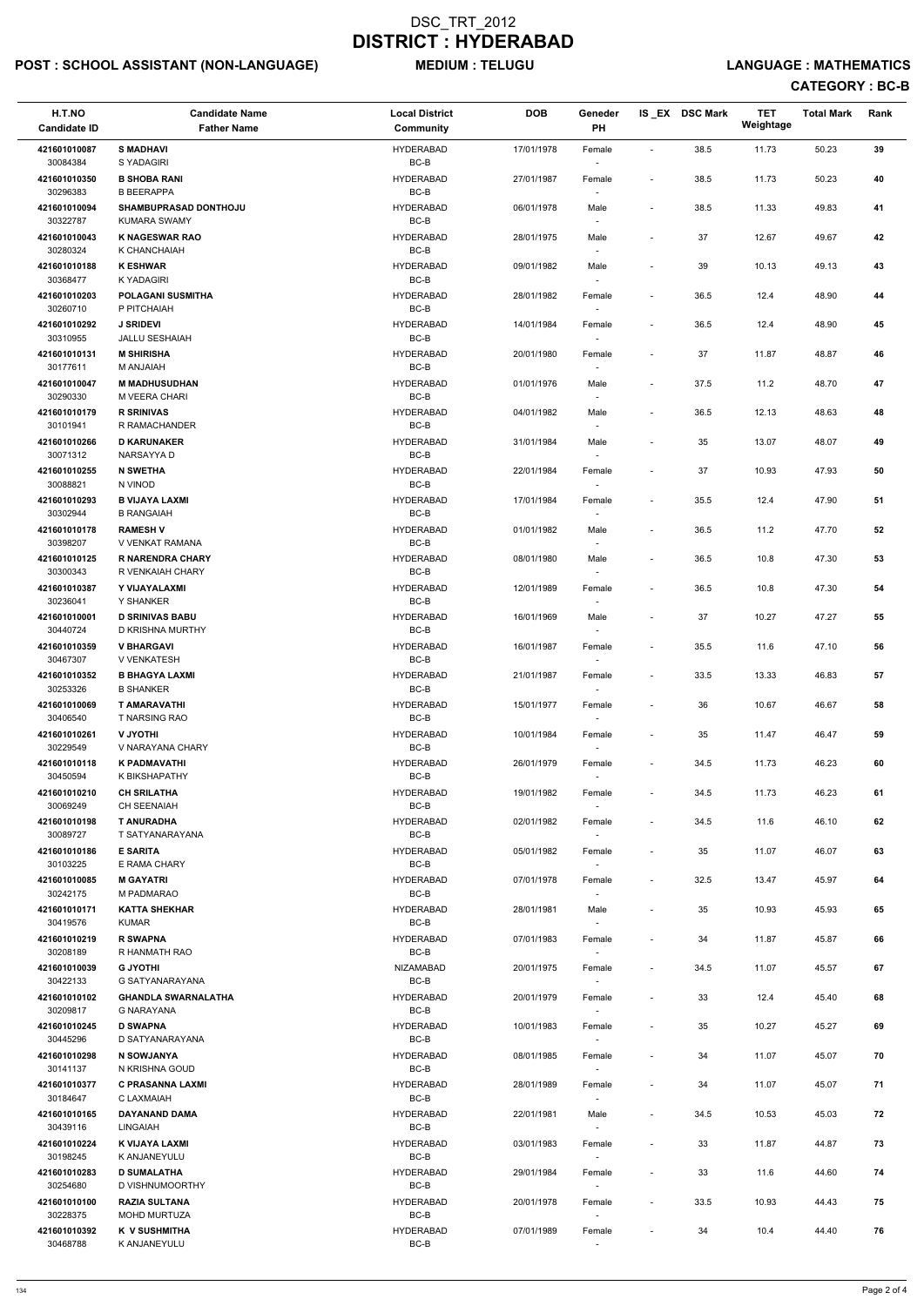## POST : SCHOOL ASSISTANT (NON-LANGUAGE) MEDIUM : TELUGU LANGUAGE : MATHEMATICS

| H.T.NO                               | <b>Candidate Name</b>                                          | <b>Local District</b>      | <b>DOB</b> | Geneder                            |                          | IS_EX DSC Mark | <b>TET</b><br>Weightage | <b>Total Mark</b> | Rank |  |
|--------------------------------------|----------------------------------------------------------------|----------------------------|------------|------------------------------------|--------------------------|----------------|-------------------------|-------------------|------|--|
| <b>Candidate ID</b>                  | <b>Father Name</b>                                             | <b>Community</b>           |            | <b>PH</b>                          |                          |                |                         |                   |      |  |
| 421601010087<br>30084384             | <b>S MADHAVI</b><br>S YADAGIRI                                 | <b>HYDERABAD</b><br>$BC-B$ | 17/01/1978 | Female                             | ÷,                       | 38.5           | 11.73                   | 50.23             | 39   |  |
| 421601010350<br>30296383             | <b>B SHOBA RANI</b><br><b>B BEERAPPA</b>                       | <b>HYDERABAD</b><br>BC-B   | 27/01/1987 | Female                             | $\overline{\phantom{a}}$ | 38.5           | 11.73                   | 50.23             | 40   |  |
| 421601010094<br>30322787             | <b>SHAMBUPRASAD DONTHOJU</b><br><b>KUMARA SWAMY</b>            | <b>HYDERABAD</b><br>BC-B   | 06/01/1978 | Male                               | $\overline{\phantom{a}}$ | 38.5           | 11.33                   | 49.83             | 41   |  |
| 421601010043<br>30280324             | <b>K NAGESWAR RAO</b><br>K CHANCHAIAH                          | <b>HYDERABAD</b><br>BC-B   | 28/01/1975 | Male                               | $\overline{\phantom{a}}$ | 37             | 12.67                   | 49.67             | 42   |  |
| 421601010188<br>30368477             | <b>K ESHWAR</b><br>K YADAGIRI                                  | <b>HYDERABAD</b><br>BC-B   | 09/01/1982 | Male                               | $\overline{\phantom{a}}$ | 39             | 10.13                   | 49.13             | 43   |  |
| 421601010203<br>30260710             | <b>POLAGANI SUSMITHA</b><br>P PITCHAIAH                        | <b>HYDERABAD</b><br>BC-B   | 28/01/1982 | Female<br>$\overline{\phantom{a}}$ | $\overline{\phantom{a}}$ | 36.5           | 12.4                    | 48.90             | 44   |  |
| 421601010292<br>30310955             | <b>J SRIDEVI</b><br><b>JALLU SESHAIAH</b>                      | <b>HYDERABAD</b><br>BC-B   | 14/01/1984 | Female                             | $\overline{\phantom{a}}$ | 36.5           | 12.4                    | 48.90             | 45   |  |
| 421601010131<br>30177611             | <b>M SHIRISHA</b><br>M ANJAIAH                                 | <b>HYDERABAD</b><br>BC-B   | 20/01/1980 | Female                             | $\overline{\phantom{a}}$ | 37             | 11.87                   | 48.87             | 46   |  |
| 421601010047<br>30290330             | <b>M MADHUSUDHAN</b><br>M VEERA CHARI                          | <b>HYDERABAD</b><br>BC-B   | 01/01/1976 | Male                               | $\overline{\phantom{a}}$ | 37.5           | 11.2                    | 48.70             | 47   |  |
| 421601010179                         | <b>R SRINIVAS</b>                                              | <b>HYDERABAD</b>           | 04/01/1982 | Male                               | $\overline{\phantom{a}}$ | 36.5           | 12.13                   | 48.63             | 48   |  |
| 30101941<br>421601010266             | R RAMACHANDER<br><b>D KARUNAKER</b>                            | BC-B<br><b>HYDERABAD</b>   | 31/01/1984 | $\overline{\phantom{a}}$<br>Male   |                          | 35             | 13.07                   | 48.07             | 49   |  |
| 30071312                             | NARSAYYA D                                                     | $BC-B$                     |            |                                    |                          |                |                         |                   |      |  |
| 421601010255<br>30088821             | <b>N SWETHA</b><br>N VINOD                                     | <b>HYDERABAD</b><br>$BC-B$ | 22/01/1984 | Female                             | $\overline{\phantom{a}}$ | 37             | 10.93                   | 47.93             | 50   |  |
| 421601010293<br>30302944             | <b>B VIJAYA LAXMI</b><br><b>B RANGAIAH</b>                     | <b>HYDERABAD</b><br>BC-B   | 17/01/1984 | Female<br>$\overline{\phantom{a}}$ | $\overline{\phantom{a}}$ | 35.5           | 12.4                    | 47.90             | 51   |  |
| 421601010178                         | <b>RAMESH V</b>                                                | <b>HYDERABAD</b><br>BC-B   | 01/01/1982 | Male                               | $\overline{\phantom{a}}$ | 36.5           | 11.2                    | 47.70             | 52   |  |
| 30398207<br>421601010125<br>30300343 | V VENKAT RAMANA<br><b>R NARENDRA CHARY</b><br>R VENKAIAH CHARY | <b>HYDERABAD</b><br>$BC-B$ | 08/01/1980 | Male                               | $\overline{\phantom{a}}$ | 36.5           | 10.8                    | 47.30             | 53   |  |
| 421601010387<br>30236041             | Y VIJAYALAXMI<br>Y SHANKER                                     | <b>HYDERABAD</b><br>$BC-B$ | 12/01/1989 | Female                             | $\overline{\phantom{a}}$ | 36.5           | 10.8                    | 47.30             | 54   |  |
| 421601010001<br>30440724             | <b>D SRINIVAS BABU</b><br>D KRISHNA MURTHY                     | <b>HYDERABAD</b><br>$BC-B$ | 16/01/1969 | Male<br>$\sim$                     | $\overline{\phantom{a}}$ | 37             | 10.27                   | 47.27             | 55   |  |
| 421601010359<br>30467307             | <b>V BHARGAVI</b><br><b>V VENKATESH</b>                        | <b>HYDERABAD</b><br>BC-B   | 16/01/1987 | Female                             | $\overline{\phantom{a}}$ | 35.5           | 11.6                    | 47.10             | 56   |  |
| 421601010352                         | <b>B BHAGYA LAXMI</b>                                          | <b>HYDERABAD</b>           | 21/01/1987 | Female                             | $\overline{\phantom{a}}$ | 33.5           | 13.33                   | 46.83             | 57   |  |
| 30253326<br>421601010069             | <b>B SHANKER</b><br><b>T AMARAVATHI</b>                        | BC-B<br><b>HYDERABAD</b>   | 15/01/1977 | Female                             | $\overline{\phantom{a}}$ | 36             | 10.67                   | 46.67             | 58   |  |
| 30406540                             | <b>T NARSING RAO</b>                                           | BC-B                       |            | $\sim$                             |                          |                |                         |                   |      |  |
| 421601010261<br>30229549             | <b>U JYOTHI</b><br>V NARAYANA CHARY                            | <b>HYDERABAD</b><br>BC-B   | 10/01/1984 | Female<br>$\sim$                   | $\overline{\phantom{a}}$ | 35             | 11.47                   | 46.47             | 59   |  |
| 421601010118<br>30450594             | <b>K PADMAVATHI</b><br>K BIKSHAPATHY                           | <b>HYDERABAD</b><br>$BC-B$ | 26/01/1979 | Female<br>$\sim$                   | $\overline{\phantom{a}}$ | 34.5           | 11.73                   | 46.23             | 60   |  |
| 421601010210<br>30069249             | <b>CH SRILATHA</b><br>CH SEENAIAH                              | <b>HYDERABAD</b><br>BC-B   | 19/01/1982 | Female                             | $\overline{\phantom{a}}$ | 34.5           | 11.73                   | 46.23             | 61   |  |
| 421601010198<br>30089727             | <b>T ANURADHA</b><br>T SATYANARAYANA                           | <b>HYDERABAD</b><br>BC-B   | 02/01/1982 | Female                             | $\overline{\phantom{a}}$ | 34.5           | 11.6                    | 46.10             | 62   |  |
| 421601010186<br>30103225             | <b>E SARITA</b><br>E RAMA CHARY                                | <b>HYDERABAD</b><br>BC-B   | 05/01/1982 | Female<br>$\sim$                   | $\overline{\phantom{a}}$ | 35             | 11.07                   | 46.07             | 63   |  |
| 421601010085<br>30242175             | <b>M GAYATRI</b><br>M PADMARAO                                 | <b>HYDERABAD</b><br>BC-B   | 07/01/1978 | Female<br>$\overline{\phantom{a}}$ | $\overline{\phantom{a}}$ | 32.5           | 13.47                   | 45.97             | 64   |  |
| 421601010171<br>30419576             | <b>KATTA SHEKHAR</b><br><b>KUMAR</b>                           | <b>HYDERABAD</b><br>BC-B   | 28/01/1981 | Male                               | $\overline{\phantom{0}}$ | 35             | 10.93                   | 45.93             | 65   |  |
| 421601010219<br>30208189             | <b>R SWAPNA</b><br>R HANMATH RAO                               | <b>HYDERABAD</b><br>BC-B   | 07/01/1983 | Female                             | $\overline{\phantom{a}}$ | 34             | 11.87                   | 45.87             | 66   |  |
| 421601010039                         | <b>G JYOTHI</b>                                                | NIZAMABAD                  | 20/01/1975 | Female                             | $\overline{\phantom{a}}$ | 34.5           | 11.07                   | 45.57             | 67   |  |
| 30422133<br>421601010102             | G SATYANARAYANA<br><b>GHANDLA SWARNALATHA</b>                  | BC-B<br><b>HYDERABAD</b>   | 20/01/1979 | $\sim$<br>Female                   | $\overline{\phantom{a}}$ | 33             | 12.4                    | 45.40             | 68   |  |
| 30209817<br>421601010245             | <b>G NARAYANA</b><br><b>D SWAPNA</b>                           | BC-B<br><b>HYDERABAD</b>   | 10/01/1983 | $\sim$<br>Female                   | $\overline{\phantom{a}}$ | 35             | 10.27                   | 45.27             | 69   |  |
| 30445296                             | D SATYANARAYANA                                                | BC-B                       |            |                                    |                          |                |                         |                   |      |  |
| 421601010298<br>30141137             | N SOWJANYA<br>N KRISHNA GOUD                                   | <b>HYDERABAD</b><br>$BC-B$ | 08/01/1985 | Female                             | $\overline{\phantom{a}}$ | 34             | 11.07                   | 45.07             | 70   |  |
| 421601010377<br>30184647             | <b>C PRASANNA LAXMI</b><br>C LAXMAIAH                          | <b>HYDERABAD</b><br>$BC-B$ | 28/01/1989 | Female<br>$\sim$                   | $\overline{\phantom{a}}$ | 34             | 11.07                   | 45.07             | 71   |  |
| 421601010165<br>30439116             | DAYANAND DAMA<br><b>LINGAIAH</b>                               | <b>HYDERABAD</b><br>$BC-B$ | 22/01/1981 | Male                               | $\overline{\phantom{0}}$ | 34.5           | 10.53                   | 45.03             | 72   |  |
| 421601010224<br>30198245             | K VIJAYA LAXMI<br>K ANJANEYULU                                 | <b>HYDERABAD</b><br>BC-B   | 03/01/1983 | Female<br>$\overline{\phantom{a}}$ | $\overline{\phantom{a}}$ | 33             | 11.87                   | 44.87             | 73   |  |
| 421601010283<br>30254680             | <b>D SUMALATHA</b><br>D VISHNUMOORTHY                          | <b>HYDERABAD</b><br>$BC-B$ | 29/01/1984 | Female<br>$\sim$                   | $\overline{\phantom{a}}$ | 33             | 11.6                    | 44.60             | 74   |  |
| 421601010100<br>30228375             | <b>RAZIA SULTANA</b><br><b>MOHD MURTUZA</b>                    | <b>HYDERABAD</b><br>$BC-B$ | 20/01/1978 | Female<br>$\overline{\phantom{a}}$ | $\overline{\phantom{a}}$ | 33.5           | 10.93                   | 44.43             | 75   |  |
| 421601010392<br>30468788             | K V SUSHMITHA<br>K ANJANEYULU                                  | <b>HYDERABAD</b><br>$BC-B$ | 07/01/1989 | Female<br>$\overline{\phantom{a}}$ | $\overline{\phantom{a}}$ | 34             | 10.4                    | 44.40             | 76   |  |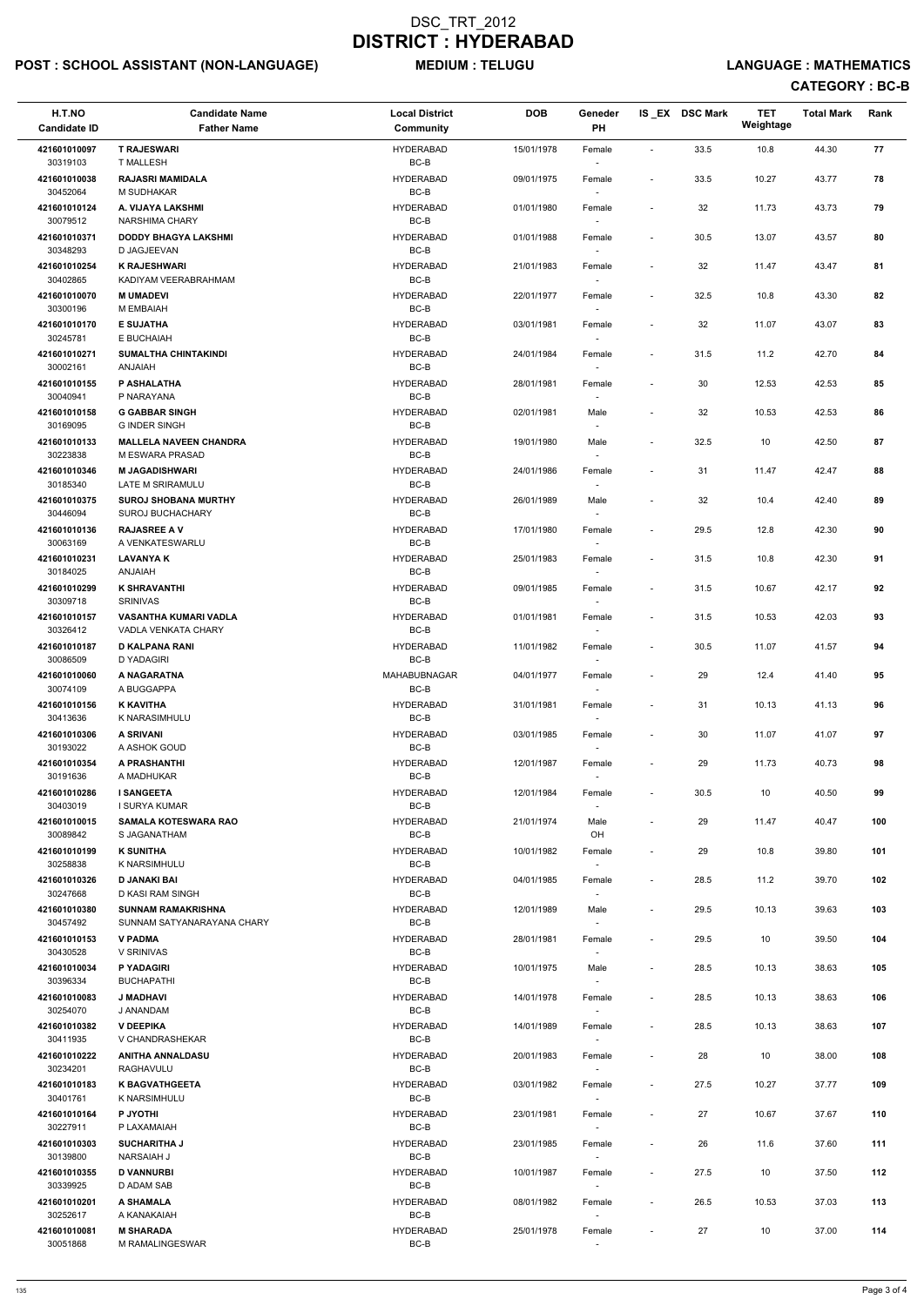## POST : SCHOOL ASSISTANT (NON-LANGUAGE) MEDIUM : TELUGU LANGUAGE : MATHEMATICS

| H.T.NO                   | <b>Candidate Name</b>                                      | <b>Local District</b>      | <b>DOB</b> | Geneder                            |                              | IS_EX DSC Mark | <b>TET</b><br>Weightage | <b>Total Mark</b> | Rank |  |
|--------------------------|------------------------------------------------------------|----------------------------|------------|------------------------------------|------------------------------|----------------|-------------------------|-------------------|------|--|
| <b>Candidate ID</b>      | <b>Father Name</b>                                         | Community                  |            | PH                                 |                              |                |                         |                   |      |  |
| 421601010097<br>30319103 | <b>T RAJESWARI</b><br><b>T MALLESH</b>                     | <b>HYDERABAD</b><br>BC-B   | 15/01/1978 | Female                             | $\overline{\phantom{a}}$     | 33.5           | 10.8                    | 44.30             | 77   |  |
| 421601010038<br>30452064 | <b>RAJASRI MAMIDALA</b><br>M SUDHAKAR                      | <b>HYDERABAD</b><br>BC-B   | 09/01/1975 | Female                             | $\overline{\phantom{a}}$     | 33.5           | 10.27                   | 43.77             | 78   |  |
| 421601010124<br>30079512 | A. VIJAYA LAKSHMI<br>NARSHIMA CHARY                        | <b>HYDERABAD</b><br>$BC-B$ | 01/01/1980 | Female                             | $\overline{\phantom{a}}$     | 32             | 11.73                   | 43.73             | 79   |  |
| 421601010371<br>30348293 | <b>DODDY BHAGYA LAKSHMI</b><br>D JAGJEEVAN                 | <b>HYDERABAD</b><br>BC-B   | 01/01/1988 | Female<br>$\overline{\phantom{a}}$ | $\overline{\phantom{a}}$     | 30.5           | 13.07                   | 43.57             | 80   |  |
| 421601010254             | <b>K RAJESHWARI</b>                                        | <b>HYDERABAD</b>           | 21/01/1983 | Female                             | $\overline{\phantom{a}}$     | 32             | 11.47                   | 43.47             | 81   |  |
| 30402865<br>421601010070 | KADIYAM VEERABRAHMAM<br><b>M UMADEVI</b>                   | BC-B<br><b>HYDERABAD</b>   | 22/01/1977 | Female                             | $\overline{\phantom{a}}$     | 32.5           | 10.8                    | 43.30             | 82   |  |
| 30300196                 | M EMBAIAH                                                  | BC-B                       |            | $\sim$                             |                              |                |                         |                   |      |  |
| 421601010170<br>30245781 | <b>E SUJATHA</b><br>E BUCHAIAH                             | <b>HYDERABAD</b><br>BC-B   | 03/01/1981 | Female                             | $\qquad \qquad \blacksquare$ | 32             | 11.07                   | 43.07             | 83   |  |
| 421601010271<br>30002161 | <b>SUMALTHA CHINTAKINDI</b><br><b>ANJAIAH</b>              | <b>HYDERABAD</b><br>BC-B   | 24/01/1984 | Female                             | $\overline{\phantom{a}}$     | 31.5           | 11.2                    | 42.70             | 84   |  |
| 421601010155             | P ASHALATHA                                                | <b>HYDERABAD</b>           | 28/01/1981 | Female                             | $\overline{\phantom{a}}$     | 30             | 12.53                   | 42.53             | 85   |  |
| 30040941<br>421601010158 | P NARAYANA<br><b>G GABBAR SINGH</b>                        | BC-B<br><b>HYDERABAD</b>   | 02/01/1981 | Male                               | $\overline{\phantom{a}}$     | 32             | 10.53                   | 42.53             | 86   |  |
| 30169095                 | <b>G INDER SINGH</b>                                       | BC-B                       |            |                                    |                              |                |                         |                   |      |  |
| 421601010133<br>30223838 | <b>MALLELA NAVEEN CHANDRA</b><br>M ESWARA PRASAD           | <b>HYDERABAD</b><br>BC-B   | 19/01/1980 | Male                               | $\overline{\phantom{a}}$     | 32.5           | 10                      | 42.50             | 87   |  |
| 421601010346<br>30185340 | <b>M JAGADISHWARI</b><br>LATE M SRIRAMULU                  | <b>HYDERABAD</b><br>BC-B   | 24/01/1986 | Female                             | $\overline{\phantom{a}}$     | 31             | 11.47                   | 42.47             | 88   |  |
| 421601010375<br>30446094 | <b>SUROJ SHOBANA MURTHY</b><br><b>SUROJ BUCHACHARY</b>     | <b>HYDERABAD</b><br>BC-B   | 26/01/1989 | Male<br>$\sim$                     | $\overline{\phantom{a}}$     | 32             | 10.4                    | 42.40             | 89   |  |
| 421601010136             | <b>RAJASREE A V</b>                                        | <b>HYDERABAD</b>           | 17/01/1980 | Female                             | $\overline{\phantom{a}}$     | 29.5           | 12.8                    | 42.30             | 90   |  |
| 30063169<br>421601010231 | A VENKATESWARLU<br><b>LAVANYAK</b>                         | BC-B<br><b>HYDERABAD</b>   | 25/01/1983 | Female                             | $\overline{\phantom{a}}$     | 31.5           | 10.8                    | 42.30             | 91   |  |
| 30184025<br>421601010299 | <b>ANJAIAH</b><br><b>K SHRAVANTHI</b>                      | BC-B<br><b>HYDERABAD</b>   | 09/01/1985 | Female                             | $\overline{\phantom{a}}$     | 31.5           | 10.67                   | 42.17             | 92   |  |
| 30309718                 | SRINIVAS                                                   | $BC-B$                     |            |                                    |                              |                |                         |                   |      |  |
| 421601010157<br>30326412 | <b>VASANTHA KUMARI VADLA</b><br><b>VADLA VENKATA CHARY</b> | <b>HYDERABAD</b><br>BC-B   | 01/01/1981 | Female<br>$\sim$                   | $\qquad \qquad \blacksquare$ | 31.5           | 10.53                   | 42.03             | 93   |  |
| 421601010187<br>30086509 | <b>D KALPANA RANI</b><br>D YADAGIRI                        | HYDERABAD<br>BC-B          | 11/01/1982 | Female                             | $\overline{\phantom{a}}$     | 30.5           | 11.07                   | 41.57             | 94   |  |
| 421601010060             | A NAGARATNA                                                | <b>MAHABUBNAGAR</b>        | 04/01/1977 | Female                             | $\overline{\phantom{a}}$     | 29             | 12.4                    | 41.40             | 95   |  |
| 30074109<br>421601010156 | A BUGGAPPA<br><b>K KAVITHA</b>                             | BC-B<br><b>HYDERABAD</b>   | 31/01/1981 | Female                             | $\qquad \qquad \blacksquare$ | 31             | 10.13                   | 41.13             | 96   |  |
| 30413636                 | K NARASIMHULU                                              | BC-B                       |            | $\overline{\phantom{a}}$           |                              |                |                         |                   |      |  |
| 421601010306<br>30193022 | A SRIVANI<br>A ASHOK GOUD                                  | <b>HYDERABAD</b><br>BC-B   | 03/01/1985 | Female<br>$\sim$                   | $\overline{\phantom{a}}$     | 30             | 11.07                   | 41.07             | 97   |  |
| 421601010354<br>30191636 | A PRASHANTHI<br>A MADHUKAR                                 | <b>HYDERABAD</b><br>BC-B   | 12/01/1987 | Female<br>$\sim$                   | $\overline{\phantom{a}}$     | 29             | 11.73                   | 40.73             | 98   |  |
| 421601010286<br>30403019 | <b>I SANGEETA</b><br>I SURYA KUMAR                         | <b>HYDERABAD</b><br>BC-B   | 12/01/1984 | Female                             | $\overline{\phantom{a}}$     | 30.5           | 10                      | 40.50             | 99   |  |
| 421601010015             | <b>SAMALA KOTESWARA RAO</b>                                | <b>HYDERABAD</b>           | 21/01/1974 | Male                               | $\overline{\phantom{a}}$     | 29             | 11.47                   | 40.47             | 100  |  |
| 30089842<br>421601010199 | S JAGANATHAM<br><b>K SUNITHA</b>                           | BC-B<br><b>HYDERABAD</b>   | 10/01/1982 | OH<br>Female                       | $\overline{\phantom{a}}$     | 29             | 10.8                    | 39.80             | 101  |  |
| 30258838                 | K NARSIMHULU                                               | BC-B                       |            | $\sim$                             |                              |                |                         |                   |      |  |
| 421601010326<br>30247668 | D JANAKI BAI<br>D KASI RAM SINGH                           | <b>HYDERABAD</b><br>BC-B   | 04/01/1985 | Female<br>$\overline{\phantom{a}}$ | $\overline{\phantom{a}}$     | 28.5           | 11.2                    | 39.70             | 102  |  |
| 421601010380<br>30457492 | <b>SUNNAM RAMAKRISHNA</b><br>SUNNAM SATYANARAYANA CHARY    | <b>HYDERABAD</b><br>BC-B   | 12/01/1989 | Male                               | $\overline{\phantom{a}}$     | 29.5           | 10.13                   | 39.63             | 103  |  |
| 421601010153             | <b>V PADMA</b>                                             | <b>HYDERABAD</b>           | 28/01/1981 | Female                             | $\overline{\phantom{a}}$     | 29.5           | 10                      | 39.50             | 104  |  |
| 30430528<br>421601010034 | V SRINIVAS<br>P YADAGIRI                                   | BC-B<br><b>HYDERABAD</b>   | 10/01/1975 | Male                               | $\overline{\phantom{a}}$     | 28.5           | 10.13                   | 38.63             | 105  |  |
| 30396334                 | <b>BUCHAPATHI</b>                                          | BC-B                       |            | $\sim$                             |                              |                |                         |                   |      |  |
| 421601010083<br>30254070 | <b>J MADHAVI</b><br>J ANANDAM                              | <b>HYDERABAD</b><br>BC-B   | 14/01/1978 | Female<br>$\overline{\phantom{a}}$ | $\overline{\phantom{a}}$     | 28.5           | 10.13                   | 38.63             | 106  |  |
| 421601010382             | <b>V DEEPIKA</b>                                           | <b>HYDERABAD</b>           | 14/01/1989 | Female                             | $\overline{\phantom{a}}$     | 28.5           | 10.13                   | 38.63             | 107  |  |
| 30411935<br>421601010222 | V CHANDRASHEKAR<br><b>ANITHA ANNALDASU</b>                 | BC-B<br><b>HYDERABAD</b>   | 20/01/1983 | $\sim$<br>Female                   | $\overline{\phantom{a}}$     | 28             | 10                      | 38.00             | 108  |  |
| 30234201                 | RAGHAVULU                                                  | BC-B                       |            |                                    |                              |                |                         |                   |      |  |
| 421601010183<br>30401761 | <b>K BAGVATHGEETA</b><br>K NARSIMHULU                      | <b>HYDERABAD</b><br>BC-B   | 03/01/1982 | Female<br>$\sim$                   | $\overline{\phantom{a}}$     | 27.5           | 10.27                   | 37.77             | 109  |  |
| 421601010164<br>30227911 | P JYOTHI<br>P LAXAMAIAH                                    | <b>HYDERABAD</b><br>BC-B   | 23/01/1981 | Female                             |                              | 27             | 10.67                   | 37.67             | 110  |  |
| 421601010303<br>30139800 | <b>SUCHARITHA J</b><br><b>NARSAIAH J</b>                   | <b>HYDERABAD</b><br>BC-B   | 23/01/1985 | Female<br>$\overline{\phantom{a}}$ | $\overline{\phantom{a}}$     | 26             | 11.6                    | 37.60             | 111  |  |
| 421601010355             | <b>D VANNURBI</b>                                          | <b>HYDERABAD</b>           | 10/01/1987 | Female                             | $\overline{\phantom{a}}$     | 27.5           | 10                      | 37.50             | 112  |  |
| 30339925<br>421601010201 | D ADAM SAB<br>A SHAMALA                                    | BC-B<br><b>HYDERABAD</b>   | 08/01/1982 | $\sim$<br>Female                   | $\overline{\phantom{a}}$     | 26.5           | 10.53                   | 37.03             | 113  |  |
| 30252617<br>421601010081 | A KANAKAIAH<br><b>M SHARADA</b>                            | BC-B<br><b>HYDERABAD</b>   | 25/01/1978 | $\sim$<br>Female                   | $\overline{\phantom{a}}$     | 27             | 10                      | 37.00             | 114  |  |
| 30051868                 | M RAMALINGESWAR                                            | BC-B                       |            | $\overline{\phantom{a}}$           |                              |                |                         |                   |      |  |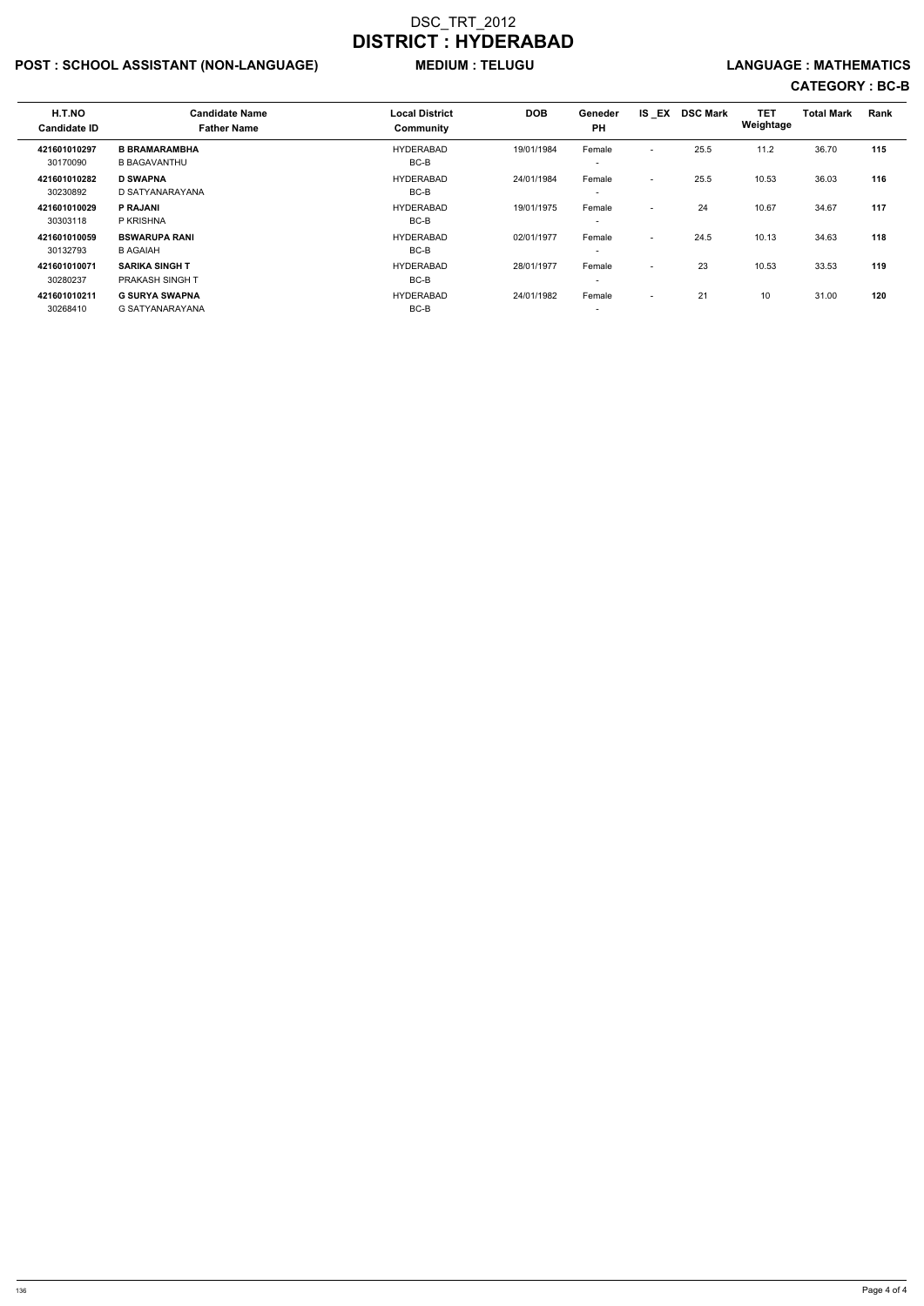## POST : SCHOOL ASSISTANT (NON-LANGUAGE) MEDIUM : TELUGU LANGUAGE : MATHEMATICS

| H.T.NO<br><b>Candidate ID</b> | <b>Candidate Name</b><br><b>Father Name</b>     | <b>Local District</b><br>Community | <b>DOB</b> | <b>Geneder</b><br><b>PH</b>        | IS EX                    | <b>DSC Mark</b> | <b>TET</b><br>Weightage | <b>Total Mark</b> | Rank |  |
|-------------------------------|-------------------------------------------------|------------------------------------|------------|------------------------------------|--------------------------|-----------------|-------------------------|-------------------|------|--|
| 421601010297<br>30170090      | <b>B BRAMARAMBHA</b><br><b>B BAGAVANTHU</b>     | <b>HYDERABAD</b><br>BC-B           | 19/01/1984 | Female<br>$\overline{\phantom{a}}$ | $\overline{\phantom{a}}$ | 25.5            | 11.2                    | 36.70             | 115  |  |
| 421601010282<br>30230892      | <b>D SWAPNA</b><br>D SATYANARAYANA              | <b>HYDERABAD</b><br>BC-B           | 24/01/1984 | Female                             | $\overline{\phantom{a}}$ | 25.5            | 10.53                   | 36.03             | 116  |  |
| 421601010029<br>30303118      | <b>P RAJANI</b><br>P KRISHNA                    | <b>HYDERABAD</b><br>BC-B           | 19/01/1975 | Female<br>$\overline{\phantom{a}}$ | $\overline{\phantom{0}}$ | 24              | 10.67                   | 34.67             | 117  |  |
| 421601010059<br>30132793      | <b>BSWARUPA RANI</b><br><b>B AGAIAH</b>         | <b>HYDERABAD</b><br>BC-B           | 02/01/1977 | Female<br>$\overline{\phantom{a}}$ | $\sim$                   | 24.5            | 10.13                   | 34.63             | 118  |  |
| 421601010071<br>30280237      | <b>SARIKA SINGH T</b><br><b>PRAKASH SINGH T</b> | <b>HYDERABAD</b><br>BC-B           | 28/01/1977 | Female<br>$\overline{\phantom{a}}$ | $\sim$                   | 23              | 10.53                   | 33.53             | 119  |  |
| 421601010211<br>30268410      | <b>G SURYA SWAPNA</b><br>G SATYANARAYANA        | <b>HYDERABAD</b><br>BC-B           | 24/01/1982 | Female                             | $\sim$                   | 21              | 10                      | 31.00             | 120  |  |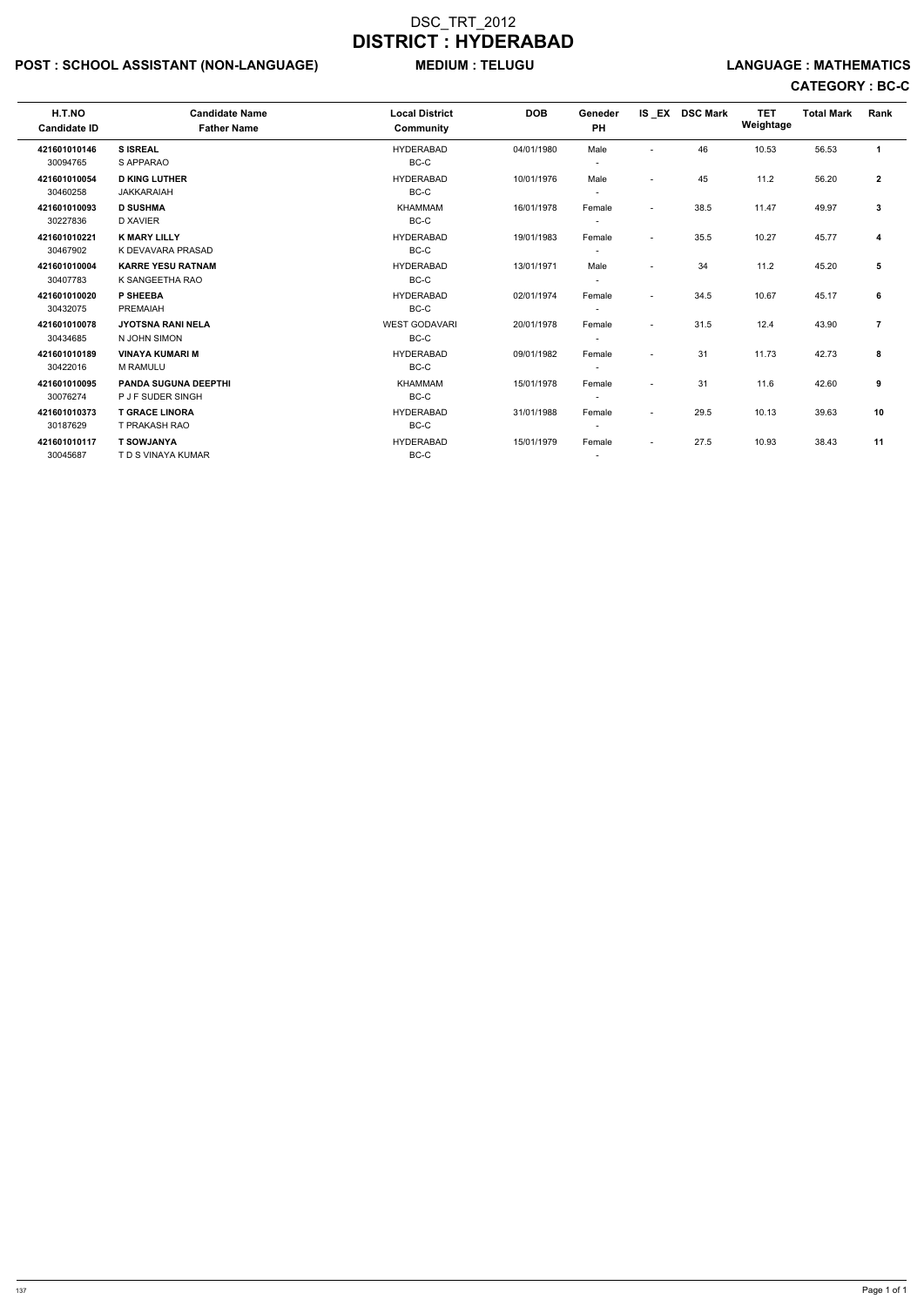## POST : SCHOOL ASSISTANT (NON-LANGUAGE) MEDIUM : TELUGU LANGUAGE : MATHEMATICS

| H.T.NO<br><b>Candidate ID</b> | <b>Candidate Name</b><br><b>Father Name</b> | <b>Local District</b><br><b>Community</b> | <b>DOB</b> | Geneder<br><b>PH</b>     |                          | IS EX DSC Mark | <b>TET</b><br>Weightage | <b>Total Mark</b> | Rank           |
|-------------------------------|---------------------------------------------|-------------------------------------------|------------|--------------------------|--------------------------|----------------|-------------------------|-------------------|----------------|
| 421601010146                  | <b>SISREAL</b>                              | <b>HYDERABAD</b>                          | 04/01/1980 | Male                     |                          | 46             | 10.53                   | 56.53             | $\mathbf{1}$   |
| 30094765                      | S APPARAO                                   | $BC-C$                                    |            |                          |                          |                |                         |                   |                |
| 421601010054                  | <b>D KING LUTHER</b>                        | <b>HYDERABAD</b>                          | 10/01/1976 | Male                     | ٠                        | 45             | 11.2                    | 56.20             | $\mathbf{2}$   |
| 30460258                      | <b>JAKKARAIAH</b>                           | BC-C                                      |            |                          |                          |                |                         |                   |                |
| 421601010093                  | <b>D SUSHMA</b>                             | <b>KHAMMAM</b>                            | 16/01/1978 | Female                   | $\overline{\phantom{a}}$ | 38.5           | 11.47                   | 49.97             | 3              |
| 30227836                      | <b>D XAVIER</b>                             | BC-C                                      |            |                          |                          |                |                         |                   |                |
| 421601010221                  | <b>K MARY LILLY</b>                         | <b>HYDERABAD</b>                          | 19/01/1983 | Female                   | $\overline{\phantom{a}}$ | 35.5           | 10.27                   | 45.77             | 4              |
| 30467902                      | K DEVAVARA PRASAD                           | BC-C                                      |            |                          |                          |                |                         |                   |                |
| 421601010004                  | <b>KARRE YESU RATNAM</b>                    | <b>HYDERABAD</b>                          | 13/01/1971 | Male                     | $\overline{\phantom{a}}$ | 34             | 11.2                    | 45.20             | 5              |
| 30407783                      | K SANGEETHA RAO                             | BC-C                                      |            |                          |                          |                |                         |                   |                |
| 421601010020                  | P SHEEBA                                    | <b>HYDERABAD</b>                          | 02/01/1974 | Female                   | $\overline{\phantom{a}}$ | 34.5           | 10.67                   | 45.17             | 6              |
| 30432075                      | <b>PREMAIAH</b>                             | BC-C                                      |            |                          |                          |                |                         |                   |                |
| 421601010078                  | <b>JYOTSNA RANI NELA</b>                    | <b>WEST GODAVARI</b>                      | 20/01/1978 | Female                   | $\blacksquare$           | 31.5           | 12.4                    | 43.90             | $\overline{7}$ |
| 30434685                      | N JOHN SIMON                                | BC-C                                      |            |                          |                          |                |                         |                   |                |
| 421601010189                  | <b>VINAYA KUMARI M</b>                      | <b>HYDERABAD</b>                          | 09/01/1982 | Female                   | $\overline{\phantom{a}}$ | 31             | 11.73                   | 42.73             | 8              |
| 30422016                      | <b>M RAMULU</b>                             | BC-C                                      |            |                          |                          |                |                         |                   |                |
| 421601010095                  | <b>PANDA SUGUNA DEEPTHI</b>                 | <b>KHAMMAM</b>                            | 15/01/1978 | Female                   | $\overline{\phantom{a}}$ | 31             | 11.6                    | 42.60             | 9              |
| 30076274                      | P J F SUDER SINGH                           | BC-C                                      |            | $\overline{\phantom{0}}$ |                          |                |                         |                   |                |
| 421601010373                  | <b>T GRACE LINORA</b>                       | <b>HYDERABAD</b>                          | 31/01/1988 | Female                   | $\overline{\phantom{a}}$ | 29.5           | 10.13                   | 39.63             | 10             |
| 30187629                      | T PRAKASH RAO                               | BC-C                                      |            | $\overline{\phantom{a}}$ |                          |                |                         |                   |                |
| 421601010117                  | <b>T SOWJANYA</b>                           | <b>HYDERABAD</b>                          | 15/01/1979 | Female                   | $\overline{\phantom{a}}$ | 27.5           | 10.93                   | 38.43             | 11             |
| 30045687                      | T D S VINAYA KUMAR                          | BC-C                                      |            | $\sim$                   |                          |                |                         |                   |                |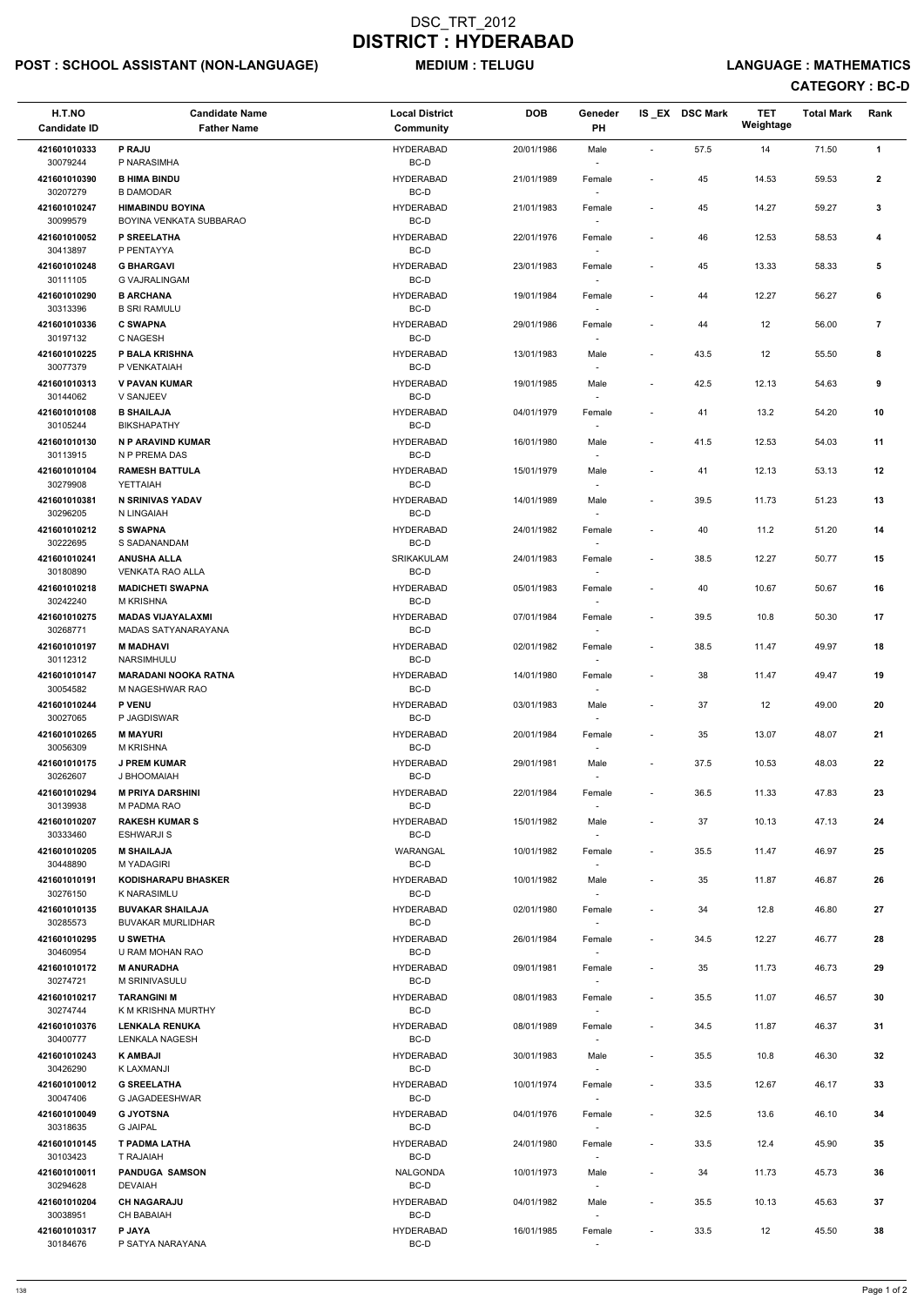## POST : SCHOOL ASSISTANT (NON-LANGUAGE) MEDIUM : TELUGU LANGUAGE : MATHEMATICS

| H.T.NO<br><b>Candidate ID</b> | <b>Candidate Name</b><br><b>Father Name</b>        | <b>Local District</b><br><b>Community</b> | <b>DOB</b> | Geneder<br>PH                      |                              | IS_EX DSC Mark | <b>TET</b><br>Weightage | <b>Total Mark</b> | Rank                    |
|-------------------------------|----------------------------------------------------|-------------------------------------------|------------|------------------------------------|------------------------------|----------------|-------------------------|-------------------|-------------------------|
| 421601010333<br>30079244      | <b>P RAJU</b><br>P NARASIMHA                       | <b>HYDERABAD</b><br>BC-D                  | 20/01/1986 | Male                               | $\overline{\phantom{a}}$     | 57.5           | 14                      | 71.50             | 1                       |
| 421601010390<br>30207279      | <b>B HIMA BINDU</b><br><b>B DAMODAR</b>            | <b>HYDERABAD</b><br>BC-D                  | 21/01/1989 | Female                             | $\qquad \qquad \blacksquare$ | 45             | 14.53                   | 59.53             | $\mathbf{2}$            |
| 421601010247<br>30099579      | <b>HIMABINDU BOYINA</b><br>BOYINA VENKATA SUBBARAO | <b>HYDERABAD</b><br>BC-D                  | 21/01/1983 | Female                             | $\overline{\phantom{a}}$     | 45             | 14.27                   | 59.27             | 3                       |
| 421601010052<br>30413897      | P SREELATHA<br>P PENTAYYA                          | <b>HYDERABAD</b><br>BC-D                  | 22/01/1976 | Female                             | $\blacksquare$               | 46             | 12.53                   | 58.53             | 4                       |
| 421601010248<br>30111105      | <b>G BHARGAVI</b><br><b>G VAJRALINGAM</b>          | <b>HYDERABAD</b><br>BC-D                  | 23/01/1983 | Female                             |                              | 45             | 13.33                   | 58.33             | 5                       |
| 421601010290<br>30313396      | <b>B ARCHANA</b>                                   | <b>HYDERABAD</b><br>BC-D                  | 19/01/1984 | Female                             | $\qquad \qquad \blacksquare$ | 44             | 12.27                   | 56.27             | 6                       |
| 421601010336                  | <b>B SRI RAMULU</b><br><b>C SWAPNA</b>             | <b>HYDERABAD</b>                          | 29/01/1986 | Female                             | $\overline{\phantom{a}}$     | 44             | 12                      | 56.00             | $\overline{\mathbf{r}}$ |
| 30197132<br>421601010225      | C NAGESH<br>P BALA KRISHNA                         | BC-D<br><b>HYDERABAD</b>                  | 13/01/1983 | Male                               | $\overline{\phantom{a}}$     | 43.5           | 12                      | 55.50             | 8                       |
| 30077379<br>421601010313      | P VENKATAIAH<br><b>V PAVAN KUMAR</b>               | BC-D<br><b>HYDERABAD</b>                  | 19/01/1985 | Male                               | $\qquad \qquad \blacksquare$ | 42.5           | 12.13                   | 54.63             | 9                       |
| 30144062<br>421601010108      | V SANJEEV<br><b>B SHAILAJA</b>                     | BC-D<br><b>HYDERABAD</b>                  | 04/01/1979 | $\overline{\phantom{a}}$<br>Female | $\qquad \qquad \blacksquare$ | 41             | 13.2                    | 54.20             | 10                      |
| 30105244<br>421601010130      | <b>BIKSHAPATHY</b><br>N P ARAVIND KUMAR            | BC-D<br><b>HYDERABAD</b>                  | 16/01/1980 | Male                               | $\overline{\phantom{a}}$     | 41.5           | 12.53                   | 54.03             | 11                      |
| 30113915<br>421601010104      | N P PREMA DAS<br><b>RAMESH BATTULA</b>             | BC-D<br><b>HYDERABAD</b>                  | 15/01/1979 | Male                               | $\overline{\phantom{a}}$     | 41             | 12.13                   | 53.13             | 12                      |
| 30279908<br>421601010381      | YETTAIAH<br><b>N SRINIVAS YADAV</b>                | BC-D<br><b>HYDERABAD</b>                  | 14/01/1989 | Male                               | $\overline{\phantom{a}}$     | 39.5           | 11.73                   | 51.23             | 13                      |
| 30296205<br>421601010212      | N LINGAIAH<br><b>S SWAPNA</b>                      | BC-D<br><b>HYDERABAD</b>                  | 24/01/1982 | Female                             | $\qquad \qquad \blacksquare$ | 40             | 11.2                    | 51.20             | 14                      |
| 30222695<br>421601010241      | S SADANANDAM<br><b>ANUSHA ALLA</b>                 | BC-D<br><b>SRIKAKULAM</b>                 | 24/01/1983 | Female                             | $\overline{\phantom{a}}$     | 38.5           | 12.27                   | 50.77             | 15                      |
| 30180890<br>421601010218      | <b>VENKATA RAO ALLA</b><br><b>MADICHETI SWAPNA</b> | BC-D<br><b>HYDERABAD</b>                  | 05/01/1983 | Female                             | $\overline{\phantom{a}}$     | 40             | 10.67                   | 50.67             | 16                      |
| 30242240<br>421601010275      | M KRISHNA<br><b>MADAS VIJAYALAXMI</b>              | $BC-D$<br><b>HYDERABAD</b>                | 07/01/1984 | Female                             | $\overline{\phantom{a}}$     | 39.5           | 10.8                    | 50.30             | 17                      |
| 30268771<br>421601010197      | MADAS SATYANARAYANA<br><b>M MADHAVI</b>            | BC-D<br><b>HYDERABAD</b>                  | 02/01/1982 | $\overline{\phantom{a}}$<br>Female | $\overline{\phantom{a}}$     | 38.5           | 11.47                   | 49.97             | 18                      |
| 30112312<br>421601010147      | NARSIMHULU<br><b>MARADANI NOOKA RATNA</b>          | BC-D<br><b>HYDERABAD</b>                  | 14/01/1980 | Female                             | $\overline{\phantom{a}}$     | 38             | 11.47                   | 49.47             | 19                      |
| 30054582<br>421601010244      | M NAGESHWAR RAO<br><b>P VENU</b>                   | BC-D<br><b>HYDERABAD</b>                  | 03/01/1983 | Male                               | $\overline{\phantom{a}}$     | 37             | 12                      | 49.00             | 20                      |
| 30027065<br>421601010265      | P JAGDISWAR<br><b>M MAYURI</b>                     | BC-D<br><b>HYDERABAD</b>                  | 20/01/1984 | $\overline{\phantom{a}}$<br>Female | $\overline{\phantom{a}}$     | 35             | 13.07                   | 48.07             | 21                      |
| 30056309<br>421601010175      | <b>M KRISHNA</b><br><b>J PREM KUMAR</b>            | BC-D<br><b>HYDERABAD</b>                  | 29/01/1981 | Male                               | $\overline{\phantom{a}}$     | 37.5           | 10.53                   | 48.03             | 22                      |
| 30262607<br>421601010294      | J BHOOMAIAH<br><b>M PRIYA DARSHINI</b>             | BC-D<br><b>HYDERABAD</b>                  | 22/01/1984 | $\sim$<br>Female                   | $\qquad \qquad \blacksquare$ | 36.5           | 11.33                   | 47.83             | 23                      |
| 30139938<br>421601010207      | M PADMA RAO<br><b>RAKESH KUMAR S</b>               | BC-D<br><b>HYDERABAD</b>                  | 15/01/1982 | Male                               | $\overline{\phantom{a}}$     | 37             | 10.13                   | 47.13             | 24                      |
| 30333460<br>421601010205      | <b>ESHWARJI S</b><br><b>M SHAILAJA</b>             | BC-D<br>WARANGAL                          | 10/01/1982 | Female                             | $\overline{\phantom{a}}$     | 35.5           | 11.47                   | 46.97             | 25                      |
| 30448890<br>421601010191      | <b>M YADAGIRI</b><br><b>KODISHARAPU BHASKER</b>    | BC-D<br><b>HYDERABAD</b>                  | 10/01/1982 | $\overline{\phantom{a}}$<br>Male   | $\overline{\phantom{a}}$     | 35             | 11.87                   | 46.87             | 26                      |
| 30276150<br>421601010135      | K NARASIMLU<br><b>BUVAKAR SHAILAJA</b>             | BC-D<br><b>HYDERABAD</b>                  | 02/01/1980 | $\sim$<br>Female                   | $\qquad \qquad \blacksquare$ | 34             | 12.8                    | 46.80             | 27                      |
| 30285573<br>421601010295      | <b>BUVAKAR MURLIDHAR</b><br><b>U SWETHA</b>        | BC-D<br><b>HYDERABAD</b>                  | 26/01/1984 |                                    | $\overline{\phantom{a}}$     | 34.5           | 12.27                   | 46.77             | 28                      |
| 30460954<br>421601010172      | U RAM MOHAN RAO<br><b>M ANURADHA</b>               | BC-D<br><b>HYDERABAD</b>                  | 09/01/1981 | Female                             | $\overline{\phantom{a}}$     | 35             | 11.73                   | 46.73             | 29                      |
| 30274721                      | M SRINIVASULU<br><b>TARANGINI M</b>                | BC-D<br><b>HYDERABAD</b>                  |            | Female<br>$\sim$                   |                              |                |                         |                   |                         |
| 421601010217<br>30274744      | K M KRISHNA MURTHY                                 | BC-D                                      | 08/01/1983 | Female                             | $\overline{\phantom{a}}$     | 35.5           | 11.07                   | 46.57             | 30                      |
| 421601010376<br>30400777      | <b>LENKALA RENUKA</b><br>LENKALA NAGESH            | <b>HYDERABAD</b><br>BC-D                  | 08/01/1989 | Female                             | $\overline{\phantom{a}}$     | 34.5           | 11.87                   | 46.37             | 31                      |
| 421601010243<br>30426290      | <b>K AMBAJI</b><br>K LAXMANJI                      | <b>HYDERABAD</b><br>BC-D                  | 30/01/1983 | Male                               | $\overline{\phantom{a}}$     | 35.5           | 10.8                    | 46.30             | 32                      |
| 421601010012<br>30047406      | <b>G SREELATHA</b><br>G JAGADEESHWAR               | <b>HYDERABAD</b><br>$BC-D$                | 10/01/1974 | Female<br>$\sim$                   | $\overline{\phantom{a}}$     | 33.5           | 12.67                   | 46.17             | 33                      |
| 421601010049<br>30318635      | <b>G JYOTSNA</b><br><b>G JAIPAL</b>                | <b>HYDERABAD</b><br>BC-D                  | 04/01/1976 | Female<br>$\overline{\phantom{a}}$ | $\qquad \qquad \blacksquare$ | 32.5           | 13.6                    | 46.10             | 34                      |
| 421601010145<br>30103423      | <b>T PADMA LATHA</b><br>T RAJAIAH                  | <b>HYDERABAD</b><br>BC-D                  | 24/01/1980 | Female<br>$\overline{\phantom{a}}$ | $\overline{\phantom{a}}$     | 33.5           | 12.4                    | 45.90             | 35                      |
| 421601010011<br>30294628      | <b>PANDUGA SAMSON</b><br><b>DEVAIAH</b>            | NALGONDA<br>BC-D                          | 10/01/1973 | Male<br>$\sim$                     | $\overline{\phantom{a}}$     | 34             | 11.73                   | 45.73             | 36                      |
| 421601010204<br>30038951      | <b>CH NAGARAJU</b><br><b>CH BABAIAH</b>            | <b>HYDERABAD</b><br>BC-D                  | 04/01/1982 | Male<br>$\sim$                     | $\overline{\phantom{a}}$     | 35.5           | 10.13                   | 45.63             | 37                      |
| 421601010317<br>30184676      | P JAYA<br>P SATYA NARAYANA                         | <b>HYDERABAD</b><br>BC-D                  | 16/01/1985 | Female<br>$\sim$                   | $\overline{\phantom{a}}$     | 33.5           | 12                      | 45.50             | 38                      |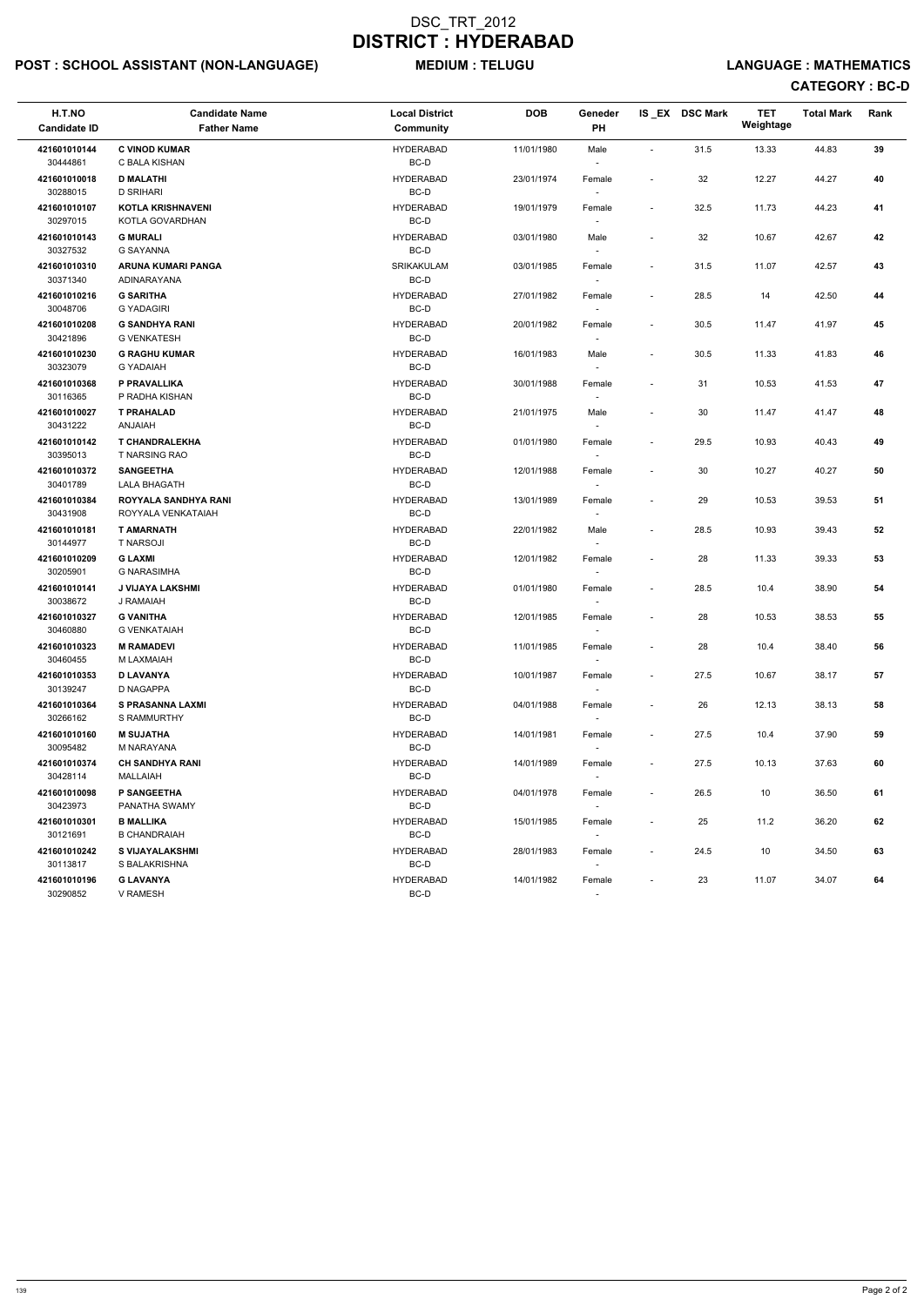## POST : SCHOOL ASSISTANT (NON-LANGUAGE) MEDIUM : TELUGU LANGUAGE : MATHEMATICS

| H.T.NO<br><b>Candidate ID</b> | <b>Candidate Name</b><br><b>Father Name</b> | <b>Local District</b><br>Community | <b>DOB</b> | Geneder<br>PH                      |                          | IS_EX DSC Mark | <b>TET</b><br>Weightage | <b>Total Mark</b> | Rank |
|-------------------------------|---------------------------------------------|------------------------------------|------------|------------------------------------|--------------------------|----------------|-------------------------|-------------------|------|
| 421601010144<br>30444861      | <b>C VINOD KUMAR</b><br>C BALA KISHAN       | <b>HYDERABAD</b><br>BC-D           | 11/01/1980 | Male<br>$\sim$                     | $\blacksquare$           | 31.5           | 13.33                   | 44.83             | 39   |
| 421601010018<br>30288015      | <b>D MALATHI</b><br><b>D SRIHARI</b>        | <b>HYDERABAD</b><br>BC-D           | 23/01/1974 | Female                             |                          | 32             | 12.27                   | 44.27             | 40   |
| 421601010107<br>30297015      | <b>KOTLA KRISHNAVENI</b><br>KOTLA GOVARDHAN | <b>HYDERABAD</b><br>BC-D           | 19/01/1979 | Female                             | $\sim$                   | 32.5           | 11.73                   | 44.23             | 41   |
| 421601010143<br>30327532      | <b>G MURALI</b><br><b>G SAYANNA</b>         | <b>HYDERABAD</b><br>BC-D           | 03/01/1980 | Male<br>$\sim$                     | $\blacksquare$           | 32             | 10.67                   | 42.67             | 42   |
| 421601010310<br>30371340      | ARUNA KUMARI PANGA<br>ADINARAYANA           | SRIKAKULAM<br>BC-D                 | 03/01/1985 | Female<br>$\sim$                   | $\overline{\phantom{a}}$ | 31.5           | 11.07                   | 42.57             | 43   |
| 421601010216<br>30048706      | <b>G SARITHA</b><br><b>G YADAGIRI</b>       | <b>HYDERABAD</b><br>BC-D           | 27/01/1982 | Female                             | $\overline{\phantom{a}}$ | 28.5           | 14                      | 42.50             | 44   |
| 421601010208<br>30421896      | <b>G SANDHYA RANI</b><br><b>G VENKATESH</b> | <b>HYDERABAD</b><br>BC-D           | 20/01/1982 | Female                             | $\overline{\phantom{a}}$ | 30.5           | 11.47                   | 41.97             | 45   |
| 421601010230<br>30323079      | <b>G RAGHU KUMAR</b><br><b>G YADAIAH</b>    | <b>HYDERABAD</b><br>BC-D           | 16/01/1983 | Male<br>$\sim$                     | $\overline{\phantom{a}}$ | 30.5           | 11.33                   | 41.83             | 46   |
| 421601010368<br>30116365      | P PRAVALLIKA<br>P RADHA KISHAN              | <b>HYDERABAD</b><br>BC-D           | 30/01/1988 | Female<br>$\overline{\phantom{a}}$ |                          | 31             | 10.53                   | 41.53             | 47   |
| 421601010027<br>30431222      | <b>T PRAHALAD</b><br><b>ANJAIAH</b>         | <b>HYDERABAD</b><br>BC-D           | 21/01/1975 | Male<br>$\sim$                     | $\blacksquare$           | 30             | 11.47                   | 41.47             | 48   |
| 421601010142<br>30395013      | <b>T CHANDRALEKHA</b><br>T NARSING RAO      | <b>HYDERABAD</b><br>BC-D           | 01/01/1980 | Female                             | $\overline{\phantom{a}}$ | 29.5           | 10.93                   | 40.43             | 49   |
| 421601010372<br>30401789      | <b>SANGEETHA</b><br><b>LALA BHAGATH</b>     | <b>HYDERABAD</b><br>BC-D           | 12/01/1988 | Female                             | $\overline{\phantom{a}}$ | 30             | 10.27                   | 40.27             | 50   |
| 421601010384<br>30431908      | ROYYALA SANDHYA RANI<br>ROYYALA VENKATAIAH  | <b>HYDERABAD</b><br>BC-D           | 13/01/1989 | Female<br>$\sim$                   | $\overline{\phantom{a}}$ | 29             | 10.53                   | 39.53             | 51   |
| 421601010181<br>30144977      | <b>T AMARNATH</b><br><b>T NARSOJI</b>       | <b>HYDERABAD</b><br>BC-D           | 22/01/1982 | Male<br>$\sim$                     | $\overline{\phantom{a}}$ | 28.5           | 10.93                   | 39.43             | 52   |
| 421601010209<br>30205901      | <b>G LAXMI</b><br><b>G NARASIMHA</b>        | <b>HYDERABAD</b><br>BC-D           | 12/01/1982 | Female                             | $\overline{\phantom{a}}$ | 28             | 11.33                   | 39.33             | 53   |
| 421601010141<br>30038672      | <b>J VIJAYA LAKSHMI</b><br>J RAMAIAH        | <b>HYDERABAD</b><br>BC-D           | 01/01/1980 | Female<br>$\sim$                   | $\overline{\phantom{a}}$ | 28.5           | 10.4                    | 38.90             | 54   |
| 421601010327<br>30460880      | <b>G VANITHA</b><br><b>G VENKATAIAH</b>     | <b>HYDERABAD</b><br>BC-D           | 12/01/1985 | Female<br>$\sim$                   | $\overline{\phantom{a}}$ | 28             | 10.53                   | 38.53             | 55   |
| 421601010323<br>30460455      | <b>M RAMADEVI</b><br>M LAXMAIAH             | <b>HYDERABAD</b><br>BC-D           | 11/01/1985 | Female                             | $\overline{\phantom{a}}$ | 28             | 10.4                    | 38.40             | 56   |
| 421601010353<br>30139247      | <b>D LAVANYA</b><br>D NAGAPPA               | <b>HYDERABAD</b><br>BC-D           | 10/01/1987 | Female<br>$\sim$                   | $\sim$                   | 27.5           | 10.67                   | 38.17             | 57   |
| 421601010364<br>30266162      | <b>S PRASANNA LAXMI</b><br>S RAMMURTHY      | <b>HYDERABAD</b><br>BC-D           | 04/01/1988 | Female<br>$\sim$                   | $\overline{\phantom{a}}$ | 26             | 12.13                   | 38.13             | 58   |
| 421601010160<br>30095482      | <b>M SUJATHA</b><br>M NARAYANA              | <b>HYDERABAD</b><br>BC-D           | 14/01/1981 | Female<br>$\sim$                   | $\overline{\phantom{a}}$ | 27.5           | 10.4                    | 37.90             | 59   |
| 421601010374<br>30428114      | <b>CH SANDHYA RANI</b><br><b>MALLAIAH</b>   | <b>HYDERABAD</b><br>BC-D           | 14/01/1989 | Female<br>$\sim$                   | $\overline{\phantom{a}}$ | 27.5           | 10.13                   | 37.63             | 60   |
| 421601010098<br>30423973      | P SANGEETHA<br>PANATHA SWAMY                | <b>HYDERABAD</b><br>BC-D           | 04/01/1978 | Female<br>$\sim$                   | $\sim$                   | 26.5           | 10                      | 36.50             | 61   |
| 421601010301<br>30121691      | <b>B MALLIKA</b><br><b>B CHANDRAIAH</b>     | <b>HYDERABAD</b><br>BC-D           | 15/01/1985 | Female<br>$\sim$                   | $\overline{\phantom{a}}$ | 25             | 11.2                    | 36.20             | 62   |
| 421601010242<br>30113817      | <b>S VIJAYALAKSHMI</b><br>S BALAKRISHNA     | <b>HYDERABAD</b><br>BC-D           | 28/01/1983 | Female<br>$\sim$                   | $\sim$                   | 24.5           | 10                      | 34.50             | 63   |
| 421601010196<br>30290852      | <b>G LAVANYA</b><br>V RAMESH                | <b>HYDERABAD</b><br>BC-D           | 14/01/1982 | Female<br>$\sim$                   | $\sim$                   | 23             | 11.07                   | 34.07             | 64   |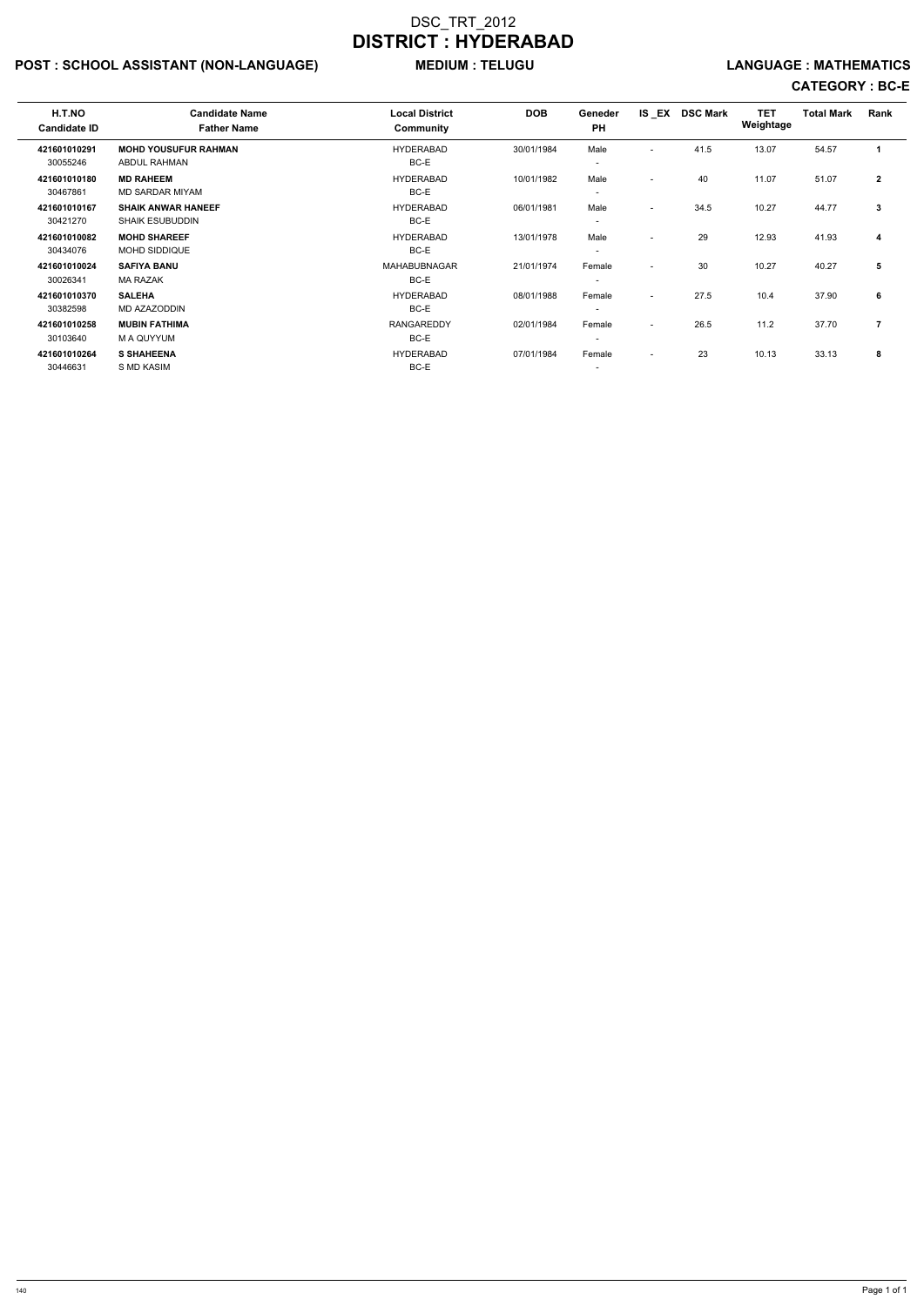## POST : SCHOOL ASSISTANT (NON-LANGUAGE) MEDIUM : TELUGU LANGUAGE : MATHEMATICS

| H.T.NO<br><b>Candidate ID</b> | <b>Candidate Name</b><br><b>Father Name</b>         | <b>Local District</b><br>Community | <b>DOB</b> | Geneder<br><b>PH</b>               |                          | IS EX DSC Mark | <b>TET</b><br>Weightage | <b>Total Mark</b> | Rank           |  |
|-------------------------------|-----------------------------------------------------|------------------------------------|------------|------------------------------------|--------------------------|----------------|-------------------------|-------------------|----------------|--|
| 421601010291<br>30055246      | <b>MOHD YOUSUFUR RAHMAN</b><br>ABDUL RAHMAN         | <b>HYDERABAD</b><br>BC-E           | 30/01/1984 | Male<br>$\overline{\phantom{a}}$   | $\overline{\phantom{a}}$ | 41.5           | 13.07                   | 54.57             | 1              |  |
| 421601010180<br>30467861      | <b>MD RAHEEM</b><br>MD SARDAR MIYAM                 | <b>HYDERABAD</b><br>BC-E           | 10/01/1982 | Male<br>$\overline{\phantom{a}}$   | $\overline{\phantom{0}}$ | 40             | 11.07                   | 51.07             | $\mathbf{2}$   |  |
| 421601010167<br>30421270      | <b>SHAIK ANWAR HANEEF</b><br><b>SHAIK ESUBUDDIN</b> | <b>HYDERABAD</b><br>BC-E           | 06/01/1981 | Male<br>$\overline{\phantom{a}}$   | $\overline{\phantom{a}}$ | 34.5           | 10.27                   | 44.77             | 3              |  |
| 421601010082<br>30434076      | <b>MOHD SHAREEF</b><br>MOHD SIDDIQUE                | <b>HYDERABAD</b><br>BC-E           | 13/01/1978 | Male<br>$\overline{\phantom{a}}$   | $\overline{\phantom{0}}$ | 29             | 12.93                   | 41.93             | 4              |  |
| 421601010024<br>30026341      | <b>SAFIYA BANU</b><br><b>MA RAZAK</b>               | <b>MAHABUBNAGAR</b><br>BC-E        | 21/01/1974 | Female<br>$\overline{\phantom{a}}$ | $\overline{\phantom{a}}$ | 30             | 10.27                   | 40.27             | 5              |  |
| 421601010370<br>30382598      | <b>SALEHA</b><br>MD AZAZODDIN                       | <b>HYDERABAD</b><br>BC-E           | 08/01/1988 | Female<br>$\overline{\phantom{a}}$ | $\overline{\phantom{a}}$ | 27.5           | 10.4                    | 37.90             | 6              |  |
| 421601010258<br>30103640      | <b>MUBIN FATHIMA</b><br>M A QUYYUM                  | <b>RANGAREDDY</b><br>BC-E          | 02/01/1984 | Female<br>$\overline{\phantom{a}}$ | $\overline{\phantom{0}}$ | 26.5           | 11.2                    | 37.70             | $\overline{7}$ |  |
| 421601010264<br>30446631      | <b>S SHAHEENA</b><br>S MD KASIM                     | <b>HYDERABAD</b><br>BC-E           | 07/01/1984 | Female<br>$\overline{\phantom{a}}$ | $\overline{\phantom{a}}$ | 23             | 10.13                   | 33.13             | 8              |  |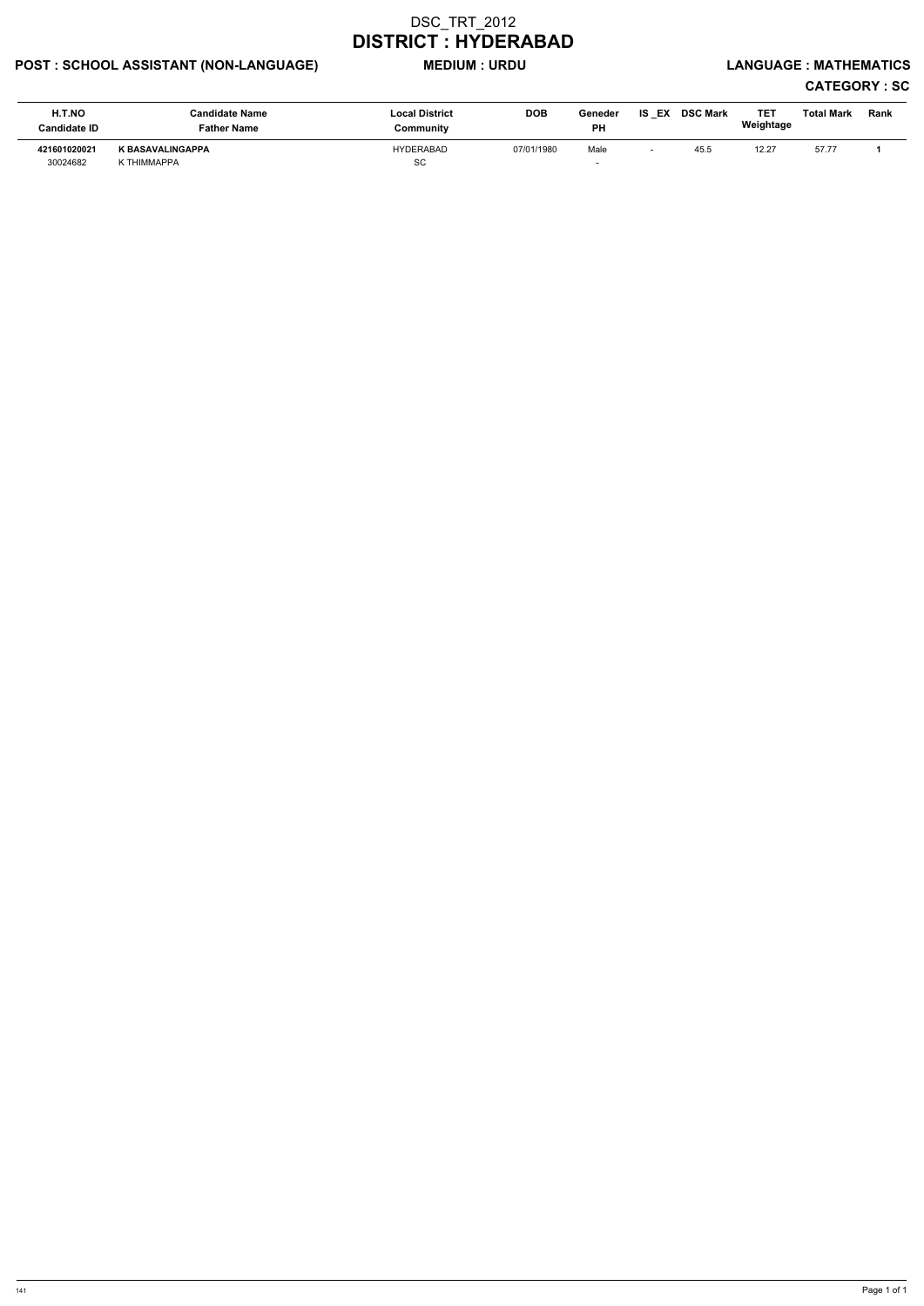## POST : SCHOOL ASSISTANT (NON-LANGUAGE) MEDIUM : URDU LANGUAGE : MATHEMATICS

# CATEGORY : SC

| H.T.NO<br>Candidate ID   | <b>Candidate Name</b><br>Father Name   | <b>Local District</b><br>Community | <b>DOB</b> | Geneder<br><b>PH</b> | IS<br>EX | <b>DSC Mark</b> | TE1<br>Weightage | Total Mark | Rank |
|--------------------------|----------------------------------------|------------------------------------|------------|----------------------|----------|-----------------|------------------|------------|------|
| 421601020021<br>30024682 | <b>K BASAVALINGAPPA</b><br>K THIMMAPPA | <b>HYDERABAD</b><br>SC             | 07/01/1980 | Male                 |          | 45.5            | 12.2             | 57.77      |      |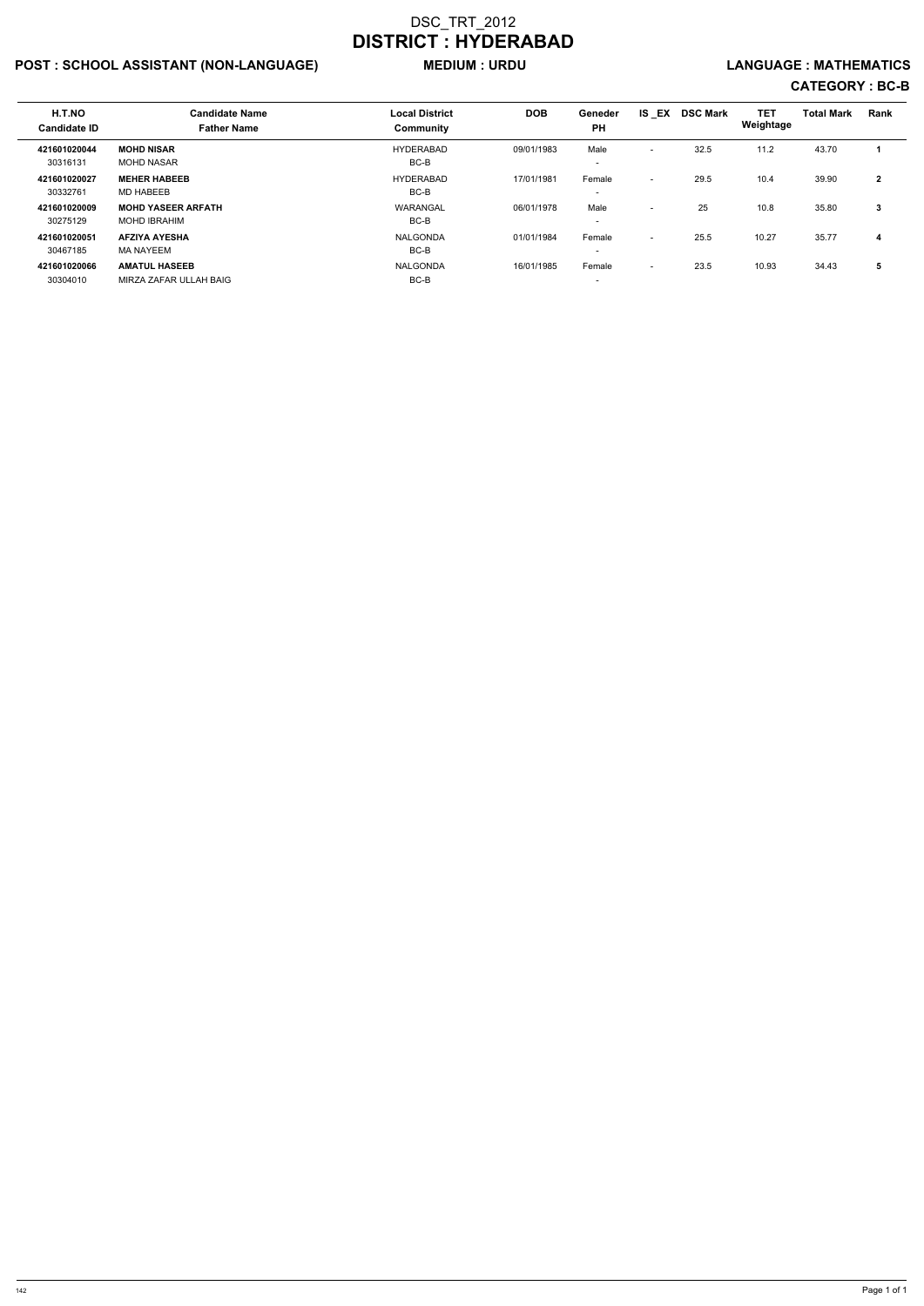## POST : SCHOOL ASSISTANT (NON-LANGUAGE) MEDIUM : URDU LANGUAGE : MATHEMATICS

| H.T.NO<br><b>Candidate ID</b> | <b>Candidate Name</b><br><b>Father Name</b>      | <b>Local District</b><br>Community | <b>DOB</b> | Geneder<br><b>PH</b>             | $IS$ $EX$                | <b>DSC Mark</b> | <b>TET</b><br>Weightage | <b>Total Mark</b> | Rank           |
|-------------------------------|--------------------------------------------------|------------------------------------|------------|----------------------------------|--------------------------|-----------------|-------------------------|-------------------|----------------|
| 421601020044<br>30316131      | <b>MOHD NISAR</b><br><b>MOHD NASAR</b>           | <b>HYDERABAD</b><br>BC-B           | 09/01/1983 | Male<br>$\overline{\phantom{0}}$ | $\overline{\phantom{a}}$ | 32.5            | 11.2                    | 43.70             |                |
| 421601020027<br>30332761      | <b>MEHER HABEEB</b><br><b>MD HABEEB</b>          | <b>HYDERABAD</b><br>BC-B           | 17/01/1981 | Female                           | $\overline{\phantom{a}}$ | 29.5            | 10.4                    | 39.90             | $\overline{2}$ |
| 421601020009<br>30275129      | <b>MOHD YASEER ARFATH</b><br><b>MOHD IBRAHIM</b> | WARANGAL<br>BC-B                   | 06/01/1978 | Male                             | $\overline{\phantom{a}}$ | 25              | 10.8                    | 35.80             | 3              |
| 421601020051<br>30467185      | <b>AFZIYA AYESHA</b><br>MA NAYEEM                | NALGONDA<br>BC-B                   | 01/01/1984 | Female                           | $\overline{\phantom{0}}$ | 25.5            | 10.27                   | 35.77             | 4              |
| 421601020066<br>30304010      | <b>AMATUL HASEEB</b><br>MIRZA ZAFAR ULLAH BAIG   | NALGONDA<br>BC-B                   | 16/01/1985 | Female                           | $\overline{\phantom{0}}$ | 23.5            | 10.93                   | 34.43             | 5              |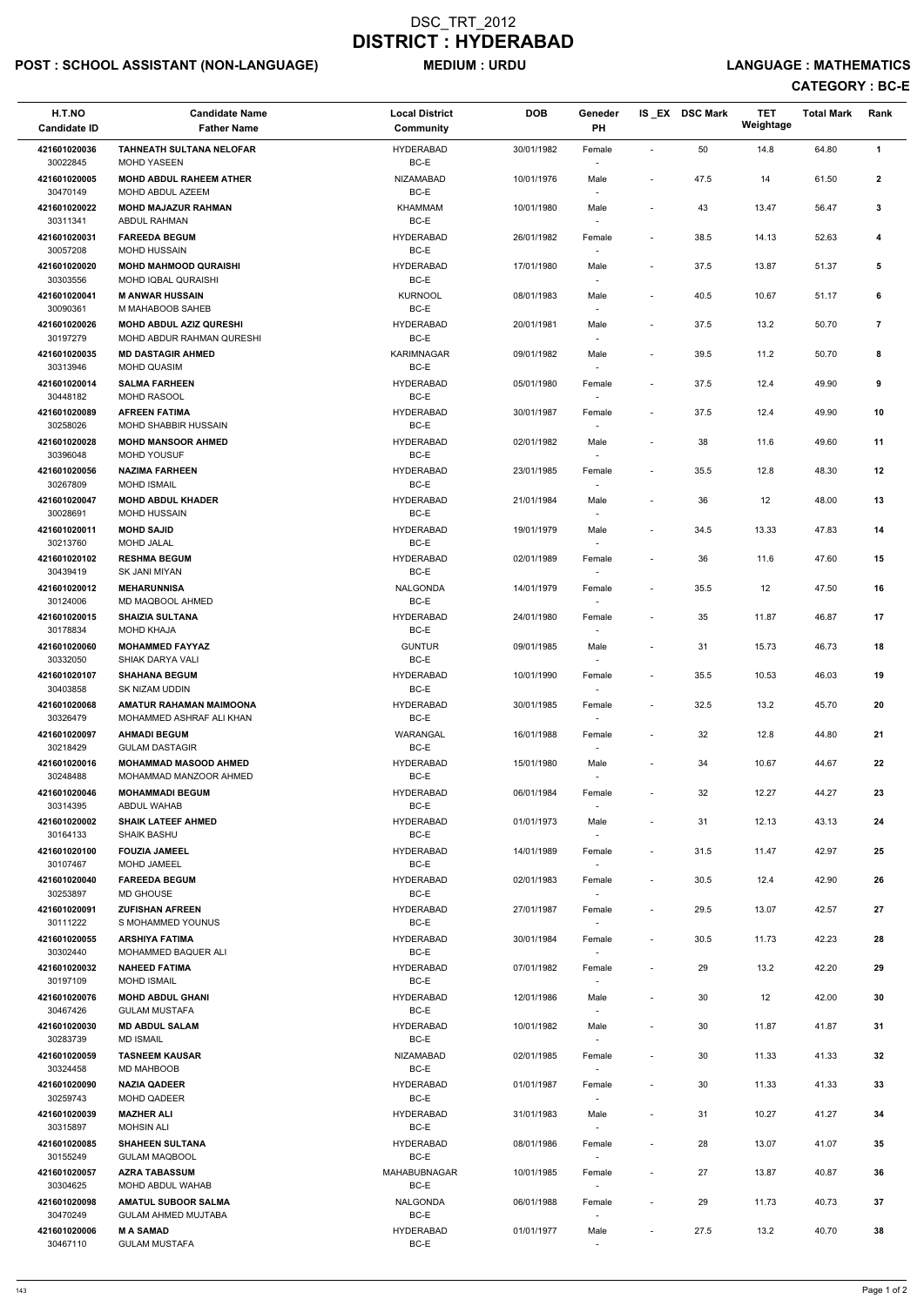## POST : SCHOOL ASSISTANT (NON-LANGUAGE) MEDIUM : URDU LANGUAGE : MATHEMATICS

| H.T.NO<br><b>Candidate ID</b>        | <b>Candidate Name</b><br><b>Father Name</b>                           | <b>Local District</b><br>Community | <b>DOB</b> | Geneder<br>PH                      |                              | IS EX DSC Mark | <b>TET</b><br>Weightage | <b>Total Mark</b> | Rank         |
|--------------------------------------|-----------------------------------------------------------------------|------------------------------------|------------|------------------------------------|------------------------------|----------------|-------------------------|-------------------|--------------|
| 421601020036<br>30022845             | <b>TAHNEATH SULTANA NELOFAR</b><br><b>MOHD YASEEN</b>                 | <b>HYDERABAD</b><br>BC-E           | 30/01/1982 | Female                             | $\overline{\phantom{a}}$     | 50             | 14.8                    | 64.80             | $\mathbf{1}$ |
| 421601020005<br>30470149             | <b>MOHD ABDUL RAHEEM ATHER</b><br>MOHD ABDUL AZEEM                    | NIZAMABAD<br>BC-E                  | 10/01/1976 | Male                               | $\overline{\phantom{a}}$     | 47.5           | 14                      | 61.50             | $\mathbf{2}$ |
| 421601020022                         | <b>MOHD MAJAZUR RAHMAN</b>                                            | <b>KHAMMAM</b>                     | 10/01/1980 | Male                               | $\overline{\phantom{a}}$     | 43             | 13.47                   | 56.47             | 3            |
| 30311341<br>421601020031             | ABDUL RAHMAN<br><b>FAREEDA BEGUM</b>                                  | BC-E<br><b>HYDERABAD</b>           | 26/01/1982 | Female                             | $\overline{\phantom{a}}$     | 38.5           | 14.13                   | 52.63             | 4            |
| 30057208<br>421601020020             | MOHD HUSSAIN<br><b>MOHD MAHMOOD QURAISHI</b>                          | BC-E<br><b>HYDERABAD</b>           | 17/01/1980 | Male                               | $\overline{\phantom{a}}$     | 37.5           | 13.87                   | 51.37             | 5            |
| 30303556<br>421601020041             | MOHD IQBAL QURAISHI<br><b>M ANWAR HUSSAIN</b>                         | BC-E<br><b>KURNOOL</b>             | 08/01/1983 | Male                               | $\overline{\phantom{a}}$     | 40.5           | 10.67                   | 51.17             | 6            |
| 30090361<br>421601020026             | M MAHABOOB SAHEB<br><b>MOHD ABDUL AZIZ QURESHI</b>                    | BC-E<br><b>HYDERABAD</b>           | 20/01/1981 | Male                               | $\overline{\phantom{a}}$     | 37.5           | 13.2                    | 50.70             | 7            |
| 30197279<br>421601020035             | MOHD ABDUR RAHMAN QURESHI<br><b>MD DASTAGIR AHMED</b>                 | BC-E<br><b>KARIMNAGAR</b>          | 09/01/1982 | Male                               | $\overline{\phantom{a}}$     | 39.5           | 11.2                    | 50.70             | 8            |
| 30313946<br>421601020014             | MOHD QUASIM<br><b>SALMA FARHEEN</b>                                   | BC-E<br><b>HYDERABAD</b>           | 05/01/1980 | Female                             | $\overline{\phantom{a}}$     | 37.5           | 12.4                    | 49.90             | 9            |
| 30448182                             | MOHD RASOOL                                                           | BC-E                               |            |                                    |                              |                |                         |                   |              |
| 421601020089<br>30258026             | <b>AFREEN FATIMA</b><br><b>MOHD SHABBIR HUSSAIN</b>                   | HYDERABAD<br>BC-E                  | 30/01/1987 | Female                             | $\overline{\phantom{a}}$     | 37.5           | 12.4                    | 49.90             | 10           |
| 421601020028<br>30396048             | <b>MOHD MANSOOR AHMED</b><br><b>MOHD YOUSUF</b>                       | HYDERABAD<br>BC-E                  | 02/01/1982 | Male                               | $\overline{\phantom{a}}$     | 38             | 11.6                    | 49.60             | 11           |
| 421601020056                         | <b>NAZIMA FARHEEN</b>                                                 | <b>HYDERABAD</b><br>BC-E           | 23/01/1985 | Female                             | $\overline{\phantom{a}}$     | 35.5           | 12.8                    | 48.30             | 12           |
| 30267809<br>421601020047<br>30028691 | <b>MOHD ISMAIL</b><br><b>MOHD ABDUL KHADER</b><br><b>MOHD HUSSAIN</b> | <b>HYDERABAD</b><br>BC-E           | 21/01/1984 | Male                               | $\overline{\phantom{a}}$     | 36             | 12                      | 48.00             | 13           |
| 421601020011                         | <b>MOHD SAJID</b>                                                     | HYDERABAD                          | 19/01/1979 | Male                               | $\overline{\phantom{a}}$     | 34.5           | 13.33                   | 47.83             | 14           |
| 30213760<br>421601020102             | <b>MOHD JALAL</b><br><b>RESHMA BEGUM</b>                              | BC-E<br><b>HYDERABAD</b>           | 02/01/1989 | Female                             | $\overline{\phantom{a}}$     | 36             | 11.6                    | 47.60             | 15           |
| 30439419<br>421601020012             | SK JANI MIYAN<br><b>MEHARUNNISA</b>                                   | BC-E<br><b>NALGONDA</b>            | 14/01/1979 | Female                             | $\overline{\phantom{a}}$     | 35.5           | 12                      | 47.50             | 16           |
| 30124006<br>421601020015<br>30178834 | MD MAQBOOL AHMED<br><b>SHAIZIA SULTANA</b><br><b>MOHD KHAJA</b>       | BC-E<br><b>HYDERABAD</b><br>BC-E   | 24/01/1980 | $\overline{\phantom{a}}$<br>Female | $\qquad \qquad \blacksquare$ | 35             | 11.87                   | 46.87             | 17           |
| 421601020060                         | <b>MOHAMMED FAYYAZ</b>                                                | <b>GUNTUR</b>                      | 09/01/1985 | $\overline{\phantom{a}}$<br>Male   | $\qquad \qquad \blacksquare$ | 31             | 15.73                   | 46.73             | 18           |
| 30332050<br>421601020107             | SHIAK DARYA VALI<br><b>SHAHANA BEGUM</b>                              | BC-E<br><b>HYDERABAD</b>           | 10/01/1990 | Female                             | $\overline{\phantom{a}}$     | 35.5           | 10.53                   | 46.03             | 19           |
| 30403858<br>421601020068             | SK NIZAM UDDIN<br>AMATUR RAHAMAN MAIMOONA                             | BC-E<br><b>HYDERABAD</b>           | 30/01/1985 | Female                             | $\overline{\phantom{a}}$     | 32.5           | 13.2                    | 45.70             | 20           |
| 30326479                             | MOHAMMED ASHRAF ALI KHAN                                              | BC-E                               |            | $\overline{\phantom{a}}$           |                              |                |                         |                   |              |
| 421601020097<br>30218429             | <b>AHMADI BEGUM</b><br><b>GULAM DASTAGIR</b>                          | WARANGAL<br>BC-E                   | 16/01/1988 | Female<br>$\overline{\phantom{a}}$ | $\overline{\phantom{a}}$     | 32             | 12.8                    | 44.80             | 21           |
| 421601020016<br>30248488             | <b>MOHAMMAD MASOOD AHMED</b><br>MOHAMMAD MANZOOR AHMED                | <b>HYDERABAD</b><br>BC-E           | 15/01/1980 | Male<br>$\sim$                     | $\overline{\phantom{a}}$     | 34             | 10.67                   | 44.67             | 22           |
| 421601020046<br>30314395             | <b>MOHAMMADI BEGUM</b><br>ABDUL WAHAB                                 | <b>HYDERABAD</b><br>BC-E           | 06/01/1984 | Female                             | $\overline{\phantom{a}}$     | 32             | 12.27                   | 44.27             | 23           |
| 421601020002<br>30164133             | <b>SHAIK LATEEF AHMED</b><br><b>SHAIK BASHU</b>                       | <b>HYDERABAD</b><br>BC-E           | 01/01/1973 | Male<br>$\sim$                     | $\overline{\phantom{a}}$     | 31             | 12.13                   | 43.13             | 24           |
| 421601020100<br>30107467             | <b>FOUZIA JAMEEL</b><br>MOHD JAMEEL                                   | <b>HYDERABAD</b><br>BC-E           | 14/01/1989 | Female<br>$\sim$                   | $\overline{\phantom{a}}$     | 31.5           | 11.47                   | 42.97             | 25           |
| 421601020040<br>30253897             | <b>FAREEDA BEGUM</b><br><b>MD GHOUSE</b>                              | <b>HYDERABAD</b><br>BC-E           | 02/01/1983 | Female                             | $\overline{\phantom{a}}$     | 30.5           | 12.4                    | 42.90             | 26           |
| 421601020091<br>30111222             | <b>ZUFISHAN AFREEN</b><br>S MOHAMMED YOUNUS                           | <b>HYDERABAD</b><br>BC-E           | 27/01/1987 | Female                             | $\overline{\phantom{a}}$     | 29.5           | 13.07                   | 42.57             | 27           |
| 421601020055<br>30302440             | <b>ARSHIYA FATIMA</b><br><b>MOHAMMED BAQUER ALI</b>                   | HYDERABAD<br>BC-E                  | 30/01/1984 | Female                             | $\overline{\phantom{a}}$     | 30.5           | 11.73                   | 42.23             | 28           |
| 421601020032                         | <b>NAHEED FATIMA</b>                                                  | <b>HYDERABAD</b>                   | 07/01/1982 | Female                             | $\overline{\phantom{a}}$     | 29             | 13.2                    | 42.20             | 29           |
| 30197109<br>421601020076             | <b>MOHD ISMAIL</b><br><b>MOHD ABDUL GHANI</b>                         | BC-E<br><b>HYDERABAD</b>           | 12/01/1986 | $\overline{\phantom{a}}$<br>Male   | $\overline{\phantom{a}}$     | 30             | 12                      | 42.00             | 30           |
| 30467426                             | <b>GULAM MUSTAFA</b>                                                  | BC-E                               |            | $\overline{\phantom{a}}$           |                              |                |                         |                   |              |
| 421601020030<br>30283739             | <b>MD ABDUL SALAM</b><br><b>MD ISMAIL</b>                             | <b>HYDERABAD</b><br>BC-E           | 10/01/1982 | Male                               | $\qquad \qquad \blacksquare$ | 30             | 11.87                   | 41.87             | 31           |
| 421601020059<br>30324458             | <b>TASNEEM KAUSAR</b><br>MD MAHBOOB                                   | <b>NIZAMABAD</b><br>BC-E           | 02/01/1985 | Female                             | $\overline{\phantom{a}}$     | 30             | 11.33                   | 41.33             | 32           |
| 421601020090<br>30259743             | <b>NAZIA QADEER</b><br><b>MOHD QADEER</b>                             | <b>HYDERABAD</b><br>BC-E           | 01/01/1987 | Female                             | $\overline{\phantom{a}}$     | 30             | 11.33                   | 41.33             | 33           |
| 421601020039<br>30315897             | <b>MAZHER ALI</b><br><b>MOHSIN ALI</b>                                | <b>HYDERABAD</b><br>BC-E           | 31/01/1983 | $\overline{\phantom{a}}$<br>Male   |                              | 31             | 10.27                   | 41.27             | 34           |
| 421601020085                         | <b>SHAHEEN SULTANA</b>                                                | HYDERABAD                          | 08/01/1986 | Female                             | $\overline{\phantom{a}}$     | 28             | 13.07                   | 41.07             | 35           |
| 30155249<br>421601020057             | <b>GULAM MAQBOOL</b><br><b>AZRA TABASSUM</b>                          | BC-E<br>MAHABUBNAGAR               | 10/01/1985 | $\sim$<br>Female                   | $\overline{\phantom{a}}$     | 27             | 13.87                   | 40.87             | 36           |
| 30304625<br>421601020098             | MOHD ABDUL WAHAB<br><b>AMATUL SUBOOR SALMA</b>                        | BC-E<br><b>NALGONDA</b>            | 06/01/1988 | $\sim$<br>Female                   | $\qquad \qquad \blacksquare$ | 29             | 11.73                   | 40.73             | 37           |
| 30470249<br>421601020006             | <b>GULAM AHMED MUJTABA</b><br><b>MASAMAD</b>                          | BC-E<br><b>HYDERABAD</b>           | 01/01/1977 | $\overline{\phantom{a}}$<br>Male   | $\qquad \qquad \blacksquare$ | 27.5           | 13.2                    | 40.70             | 38           |
| 30467110                             | <b>GULAM MUSTAFA</b>                                                  | BC-E                               |            | $\overline{\phantom{a}}$           |                              |                |                         |                   |              |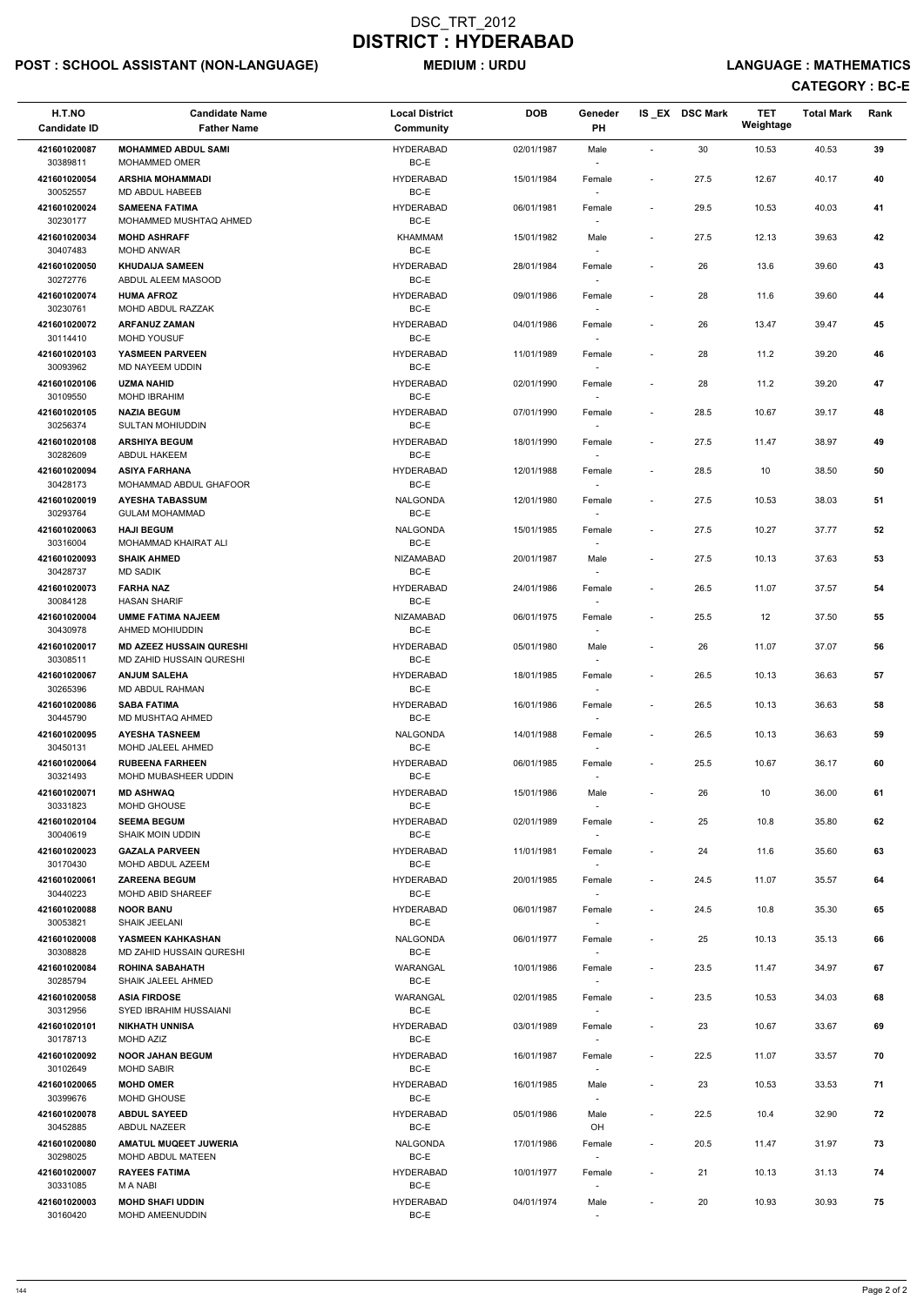## POST : SCHOOL ASSISTANT (NON-LANGUAGE) MEDIUM : URDU LANGUAGE : MATHEMATICS

| H.T.NO                   | <b>Candidate Name</b>                                    | <b>Local District</b>      | <b>DOB</b> | Geneder                            |                              | IS_EX DSC Mark | <b>TET</b><br>Weightage | <b>Total Mark</b> | Rank |
|--------------------------|----------------------------------------------------------|----------------------------|------------|------------------------------------|------------------------------|----------------|-------------------------|-------------------|------|
| <b>Candidate ID</b>      | <b>Father Name</b>                                       | Community                  |            | <b>PH</b>                          |                              |                |                         |                   |      |
| 421601020087<br>30389811 | <b>MOHAMMED ABDUL SAMI</b><br><b>MOHAMMED OMER</b>       | <b>HYDERABAD</b><br>BC-E   | 02/01/1987 | Male                               | $\overline{\phantom{a}}$     | 30             | 10.53                   | 40.53             | 39   |
| 421601020054             | <b>ARSHIA MOHAMMADI</b>                                  | <b>HYDERABAD</b>           | 15/01/1984 | Female                             | $\overline{\phantom{a}}$     | 27.5           | 12.67                   | 40.17             | 40   |
| 30052557                 | MD ABDUL HABEEB                                          | BC-E                       |            |                                    |                              |                |                         |                   |      |
| 421601020024<br>30230177 | <b>SAMEENA FATIMA</b><br>MOHAMMED MUSHTAQ AHMED          | <b>HYDERABAD</b><br>BC-E   | 06/01/1981 | Female                             | $\overline{\phantom{a}}$     | 29.5           | 10.53                   | 40.03             | 41   |
| 421601020034             | <b>MOHD ASHRAFF</b>                                      | <b>KHAMMAM</b>             | 15/01/1982 | Male                               | $\overline{\phantom{a}}$     | 27.5           | 12.13                   | 39.63             | 42   |
| 30407483                 | MOHD ANWAR                                               | BC-E                       |            | $\overline{\phantom{a}}$           |                              |                |                         |                   |      |
| 421601020050<br>30272776 | <b>KHUDAIJA SAMEEN</b><br>ABDUL ALEEM MASOOD             | <b>HYDERABAD</b><br>BC-E   | 28/01/1984 | Female                             | $\overline{\phantom{a}}$     | 26             | 13.6                    | 39.60             | 43   |
| 421601020074<br>30230761 | <b>HUMA AFROZ</b><br>MOHD ABDUL RAZZAK                   | <b>HYDERABAD</b><br>BC-E   | 09/01/1986 | Female<br>$\sim$                   | $\overline{\phantom{a}}$     | 28             | 11.6                    | 39.60             | 44   |
| 421601020072<br>30114410 | <b>ARFANUZ ZAMAN</b><br><b>MOHD YOUSUF</b>               | <b>HYDERABAD</b><br>BC-E   | 04/01/1986 | Female                             |                              | 26             | 13.47                   | 39.47             | 45   |
| 421601020103             | YASMEEN PARVEEN                                          | <b>HYDERABAD</b>           | 11/01/1989 | Female                             | $\overline{\phantom{a}}$     | 28             | 11.2                    | 39.20             | 46   |
| 30093962<br>421601020106 | MD NAYEEM UDDIN<br><b>UZMA NAHID</b>                     | BC-E<br><b>HYDERABAD</b>   | 02/01/1990 | Female                             | $\overline{\phantom{a}}$     | 28             | 11.2                    | 39.20             | 47   |
| 30109550                 | <b>MOHD IBRAHIM</b>                                      | BC-E                       |            | $\overline{\phantom{a}}$           |                              |                |                         |                   |      |
| 421601020105<br>30256374 | <b>NAZIA BEGUM</b><br><b>SULTAN MOHIUDDIN</b>            | <b>HYDERABAD</b><br>BC-E   | 07/01/1990 | Female                             | $\overline{\phantom{a}}$     | 28.5           | 10.67                   | 39.17             | 48   |
| 421601020108<br>30282609 | <b>ARSHIYA BEGUM</b><br>ABDUL HAKEEM                     | <b>HYDERABAD</b><br>BC-E   | 18/01/1990 | Female                             | $\overline{\phantom{a}}$     | 27.5           | 11.47                   | 38.97             | 49   |
| 421601020094             | <b>ASIYA FARHANA</b>                                     | <b>HYDERABAD</b>           | 12/01/1988 | Female                             | $\overline{\phantom{a}}$     | 28.5           | 10                      | 38.50             | 50   |
| 30428173                 | MOHAMMAD ABDUL GHAFOOR                                   | BC-E                       |            |                                    |                              |                |                         |                   |      |
| 421601020019<br>30293764 | <b>AYESHA TABASSUM</b><br><b>GULAM MOHAMMAD</b>          | <b>NALGONDA</b><br>BC-E    | 12/01/1980 | Female<br>$\sim$                   | $\blacksquare$               | 27.5           | 10.53                   | 38.03             | 51   |
| 421601020063<br>30316004 | <b>HAJI BEGUM</b><br>MOHAMMAD KHAIRAT ALI                | <b>NALGONDA</b><br>BC-E    | 15/01/1985 | Female                             | $\overline{\phantom{a}}$     | 27.5           | 10.27                   | 37.77             | 52   |
| 421601020093             | <b>SHAIK AHMED</b>                                       | <b>NIZAMABAD</b>           | 20/01/1987 | Male                               | $\overline{\phantom{a}}$     | 27.5           | 10.13                   | 37.63             | 53   |
| 30428737                 | <b>MD SADIK</b>                                          | BC-E                       |            |                                    |                              |                |                         |                   |      |
| 421601020073<br>30084128 | <b>FARHA NAZ</b><br><b>HASAN SHARIF</b>                  | <b>HYDERABAD</b><br>$BC-E$ | 24/01/1986 | Female                             | $\overline{\phantom{a}}$     | 26.5           | 11.07                   | 37.57             | 54   |
| 421601020004<br>30430978 | <b>UMME FATIMA NAJEEM</b><br>AHMED MOHIUDDIN             | NIZAMABAD<br>BC-E          | 06/01/1975 | Female                             | $\qquad \qquad \blacksquare$ | 25.5           | 12                      | 37.50             | 55   |
| 421601020017             | <b>MD AZEEZ HUSSAIN QURESHI</b>                          | <b>HYDERABAD</b>           | 05/01/1980 | Male                               | $\qquad \qquad \blacksquare$ | 26             | 11.07                   | 37.07             | 56   |
| 30308511<br>421601020067 | MD ZAHID HUSSAIN QURESHI<br><b>ANJUM SALEHA</b>          | BC-E<br><b>HYDERABAD</b>   | 18/01/1985 | Female                             | $\overline{\phantom{a}}$     | 26.5           | 10.13                   | 36.63             | 57   |
| 30265396                 | MD ABDUL RAHMAN                                          | BC-E                       |            |                                    |                              |                |                         |                   |      |
| 421601020086<br>30445790 | <b>SABA FATIMA</b><br>MD MUSHTAQ AHMED                   | <b>HYDERABAD</b><br>BC-E   | 16/01/1986 | Female<br>$\sim$                   | $\overline{\phantom{a}}$     | 26.5           | 10.13                   | 36.63             | 58   |
| 421601020095             | <b>AYESHA TASNEEM</b>                                    | NALGONDA                   | 14/01/1988 | Female                             | $\overline{\phantom{a}}$     | 26.5           | 10.13                   | 36.63             | 59   |
| 30450131<br>421601020064 | MOHD JALEEL AHMED<br><b>RUBEENA FARHEEN</b>              | BC-E<br><b>HYDERABAD</b>   | 06/01/1985 | $\overline{\phantom{a}}$<br>Female | $\overline{\phantom{a}}$     | 25.5           | 10.67                   | 36.17             | 60   |
| 30321493                 | MOHD MUBASHEER UDDIN                                     | BC-E                       |            | $\overline{\phantom{a}}$           |                              |                |                         |                   |      |
| 421601020071             | <b>MD ASHWAQ</b>                                         | <b>HYDERABAD</b>           | 15/01/1986 | Male                               | $\overline{\phantom{a}}$     | 26             | 10                      | 36.00             | 61   |
| 30331823<br>421601020104 | MOHD GHOUSE<br><b>SEEMA BEGUM</b>                        | BC-E<br><b>HYDERABAD</b>   | 02/01/1989 | Female                             | $\overline{\phantom{a}}$     | 25             | 10.8                    | 35.80             | 62   |
| 30040619                 | <b>SHAIK MOIN UDDIN</b>                                  | BC-E                       |            |                                    |                              |                |                         |                   |      |
| 421601020023<br>30170430 | <b>GAZALA PARVEEN</b><br>MOHD ABDUL AZEEM                | <b>HYDERABAD</b><br>BC-E   | 11/01/1981 | Female<br>$\overline{\phantom{a}}$ | $\overline{\phantom{a}}$     | 24             | 11.6                    | 35.60             | 63   |
| 421601020061             | <b>ZAREENA BEGUM</b>                                     | <b>HYDERABAD</b>           | 20/01/1985 | Female                             | $\overline{\phantom{a}}$     | 24.5           | 11.07                   | 35.57             | 64   |
| 30440223<br>421601020088 | <b>MOHD ABID SHAREEF</b><br><b>NOOR BANU</b>             | BC-E<br><b>HYDERABAD</b>   | 06/01/1987 | $\overline{\phantom{a}}$<br>Female | $\blacksquare$               | 24.5           | 10.8                    | 35.30             | 65   |
| 30053821                 | <b>SHAIK JEELANI</b>                                     | BC-E                       |            |                                    |                              |                |                         |                   |      |
| 421601020008<br>30308828 | YASMEEN KAHKASHAN<br>MD ZAHID HUSSAIN QURESHI            | <b>NALGONDA</b><br>BC-E    | 06/01/1977 | Female                             | $\overline{\phantom{a}}$     | 25             | 10.13                   | 35.13             | 66   |
| 421601020084             | <b>ROHINA SABAHATH</b>                                   | WARANGAL                   | 10/01/1986 | Female                             | $\overline{\phantom{a}}$     | 23.5           | 11.47                   | 34.97             | 67   |
| 30285794                 | SHAIK JALEEL AHMED                                       | BC-E                       |            | $\sim$                             |                              |                |                         |                   |      |
| 421601020058<br>30312956 | <b>ASIA FIRDOSE</b><br>SYED IBRAHIM HUSSAIANI            | WARANGAL<br>BC-E           | 02/01/1985 | Female<br>$\overline{\phantom{a}}$ | $\overline{\phantom{a}}$     | 23.5           | 10.53                   | 34.03             | 68   |
| 421601020101             | <b>NIKHATH UNNISA</b>                                    | <b>HYDERABAD</b>           | 03/01/1989 | Female                             | $\overline{\phantom{a}}$     | 23             | 10.67                   | 33.67             | 69   |
| 30178713<br>421601020092 | MOHD AZIZ<br><b>NOOR JAHAN BEGUM</b>                     | BC-E<br><b>HYDERABAD</b>   | 16/01/1987 | Female                             | $\overline{\phantom{a}}$     | 22.5           | 11.07                   | 33.57             | 70   |
| 30102649                 | <b>MOHD SABIR</b>                                        | BC-E                       |            |                                    |                              |                |                         |                   |      |
| 421601020065             | <b>MOHD OMER</b>                                         | <b>HYDERABAD</b>           | 16/01/1985 | Male                               | $\blacksquare$               | 23             | 10.53                   | 33.53             | 71   |
| 30399676<br>421601020078 | MOHD GHOUSE<br><b>ABDUL SAYEED</b>                       | $BC-E$<br><b>HYDERABAD</b> | 05/01/1986 | $\sim$<br>Male                     | $\qquad \qquad \blacksquare$ | 22.5           | 10.4                    | 32.90             | 72   |
| 30452885                 | ABDUL NAZEER                                             | BC-E                       |            | OH                                 |                              |                |                         |                   |      |
| 421601020080<br>30298025 | <b>AMATUL MUQEET JUWERIA</b><br><b>MOHD ABDUL MATEEN</b> | NALGONDA<br>$BC-E$         | 17/01/1986 | Female<br>$\overline{\phantom{a}}$ | $\overline{\phantom{a}}$     | 20.5           | 11.47                   | 31.97             | 73   |
| 421601020007             | <b>RAYEES FATIMA</b>                                     | <b>HYDERABAD</b>           | 10/01/1977 | Female                             | $\overline{\phantom{a}}$     | 21             | 10.13                   | 31.13             | 74   |
| 30331085                 | M A NABI                                                 | BC-E                       |            | $\sim$                             |                              |                |                         |                   |      |
| 421601020003<br>30160420 | <b>MOHD SHAFI UDDIN</b><br>MOHD AMEENUDDIN               | <b>HYDERABAD</b><br>BC-E   | 04/01/1974 | Male<br>$\sim$                     | $\overline{\phantom{a}}$     | 20             | 10.93                   | 30.93             | 75   |
|                          |                                                          |                            |            |                                    |                              |                |                         |                   |      |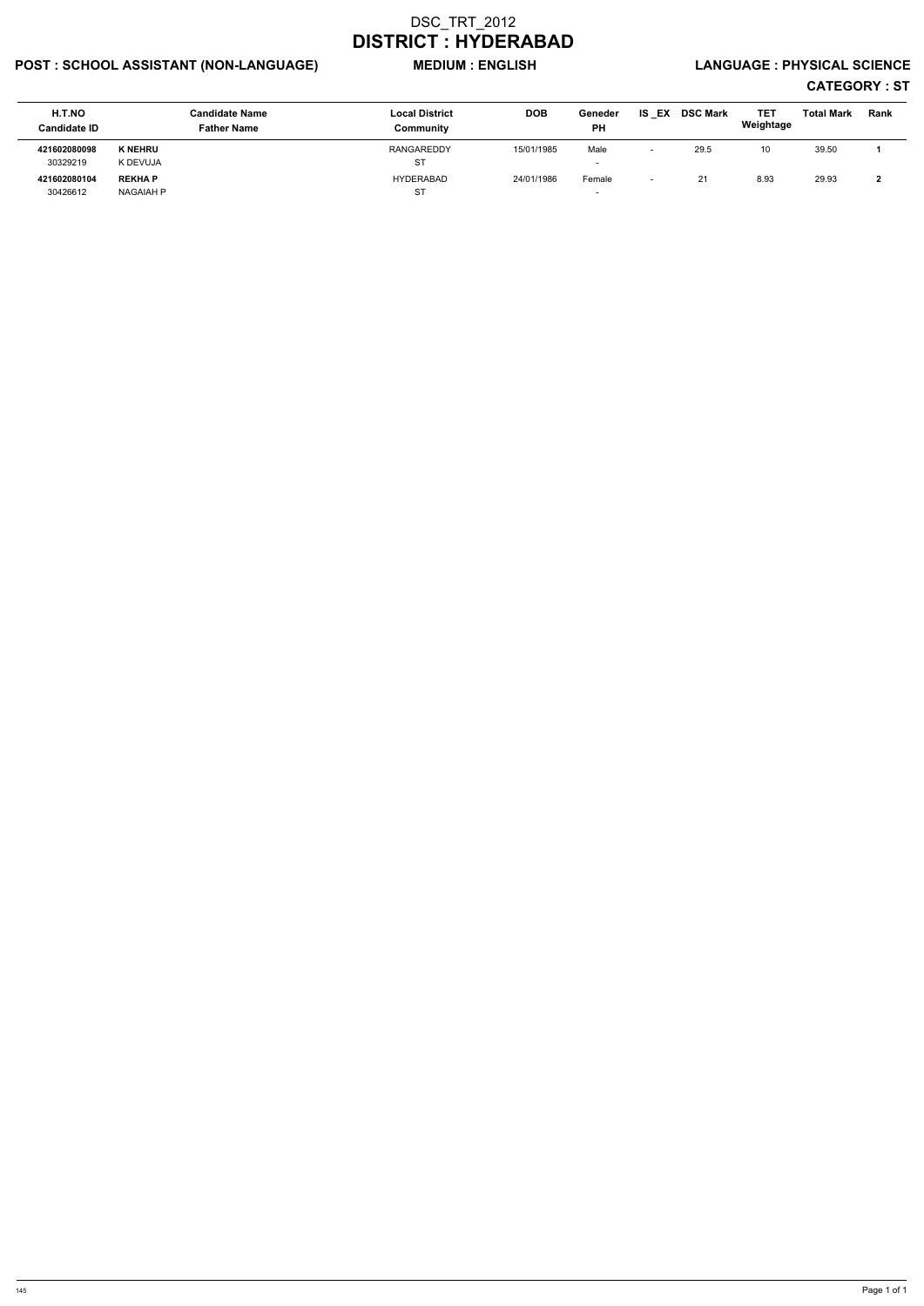# POST : SCHOOL ASSISTANT (NON-LANGUAGE) WEDIUM : ENGLISH LANGUAGE : PHYSICAL SCIENCE

| H.T.NO<br><b>Candidate ID</b> |                  | <b>Candidate Name</b><br><b>Father Name</b> | <b>Local District</b><br>Community | <b>DOB</b> | Geneder<br>PH            | <b>IS EX</b>             | <b>DSC Mark</b> | TET<br>Weightage | <b>Total Mark</b> | Rank |
|-------------------------------|------------------|---------------------------------------------|------------------------------------|------------|--------------------------|--------------------------|-----------------|------------------|-------------------|------|
| 421602080098                  | <b>K NEHRU</b>   |                                             | RANGAREDDY                         | 15/01/1985 | Male                     | $\overline{\phantom{0}}$ | 29.5            | 10               | 39.50             |      |
| 30329219                      | K DEVUJA         |                                             | ST                                 |            | $\overline{\phantom{a}}$ |                          |                 |                  |                   |      |
| 421602080104                  | <b>REKHAP</b>    |                                             | HYDERABAD                          | 24/01/1986 | Female                   | $\overline{\phantom{0}}$ | 21              | 8.93             | 29.93             |      |
| 30426612                      | <b>NAGAIAH P</b> |                                             | <b>ST</b>                          |            |                          |                          |                 |                  |                   |      |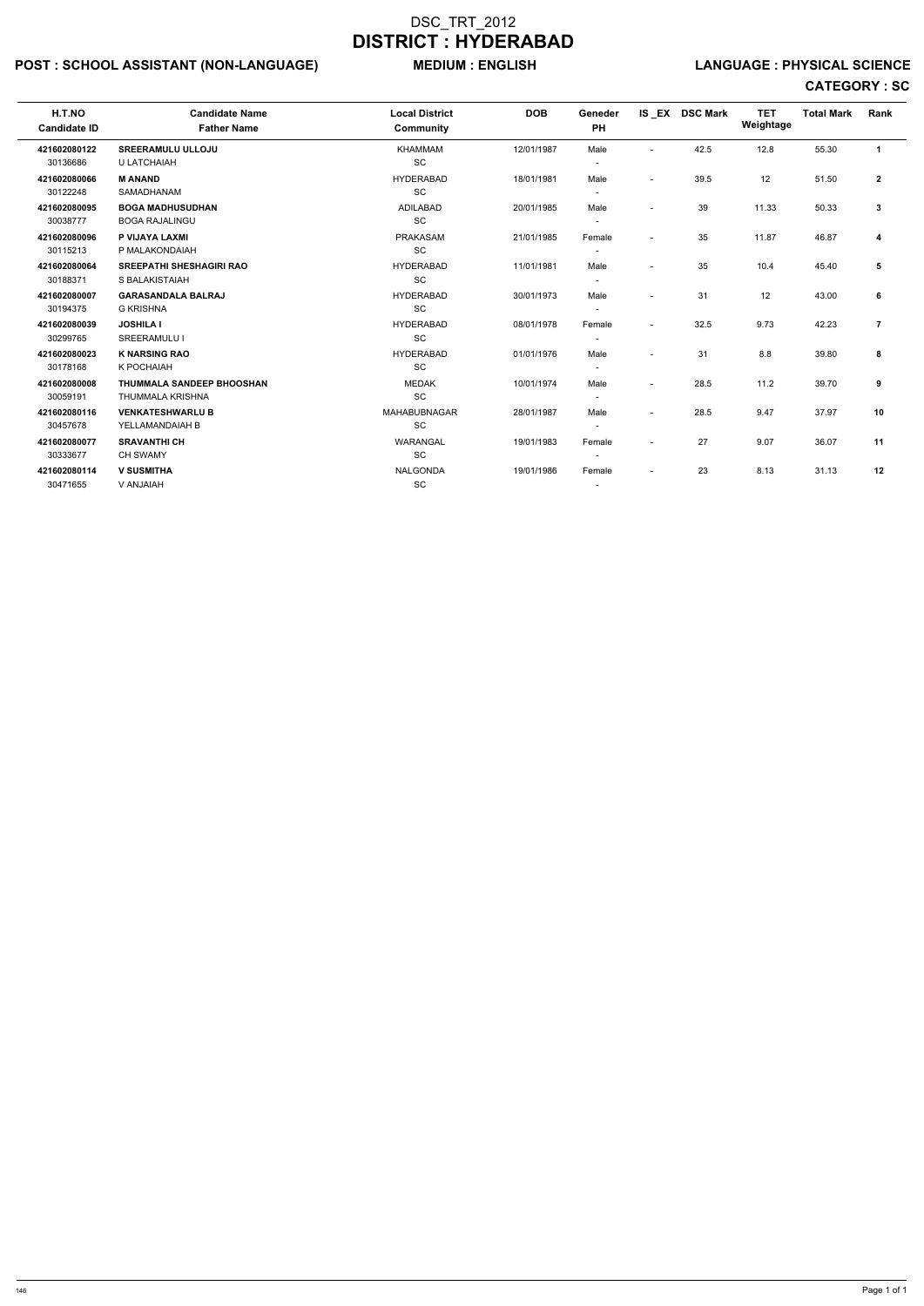# POST : SCHOOL ASSISTANT (NON-LANGUAGE) MEDIUM : ENGLISH LANGUAGE : PHYSICAL SCIENCE

| H.T.NO<br><b>Candidate ID</b> | <b>Candidate Name</b><br><b>Father Name</b> | <b>Local District</b><br>Community | <b>DOB</b> | Geneder<br><b>PH</b> |                          | IS EX DSC Mark | <b>TET</b><br>Weightage | <b>Total Mark</b> | Rank           |
|-------------------------------|---------------------------------------------|------------------------------------|------------|----------------------|--------------------------|----------------|-------------------------|-------------------|----------------|
| 421602080122                  | <b>SREERAMULU ULLOJU</b>                    | <b>KHAMMAM</b>                     | 12/01/1987 | Male                 | $\overline{\phantom{0}}$ | 42.5           | 12.8                    | 55.30             | $\mathbf{1}$   |
| 30136686                      | U LATCHAIAH                                 | SC                                 |            |                      |                          |                |                         |                   |                |
| 421602080066                  | <b>M ANAND</b>                              | <b>HYDERABAD</b>                   | 18/01/1981 | Male                 | $\sim$                   | 39.5           | 12                      | 51.50             | $\mathbf{2}$   |
| 30122248                      | <b>SAMADHANAM</b>                           | SC                                 |            |                      |                          |                |                         |                   |                |
| 421602080095                  | <b>BOGA MADHUSUDHAN</b>                     | <b>ADILABAD</b>                    | 20/01/1985 | Male                 | $\overline{\phantom{a}}$ | 39             | 11.33                   | 50.33             | 3              |
| 30038777                      | <b>BOGA RAJALINGU</b>                       | SC                                 |            |                      |                          |                |                         |                   |                |
| 421602080096                  | P VIJAYA LAXMI                              | <b>PRAKASAM</b>                    | 21/01/1985 | Female               | $\overline{\phantom{a}}$ | 35             | 11.87                   | 46.87             | 4              |
| 30115213                      | P MALAKONDAIAH                              | SC                                 |            |                      |                          |                |                         |                   |                |
| 421602080064                  | <b>SREEPATHI SHESHAGIRI RAO</b>             | <b>HYDERABAD</b>                   | 11/01/1981 | Male                 | $\overline{\phantom{0}}$ | 35             | 10.4                    | 45.40             | 5              |
| 30188371                      | S BALAKISTAIAH                              | <b>SC</b>                          |            |                      |                          |                |                         |                   |                |
| 421602080007                  | <b>GARASANDALA BALRAJ</b>                   | <b>HYDERABAD</b>                   | 30/01/1973 | Male                 |                          | 31             | 12                      | 43.00             | 6              |
| 30194375                      | <b>G KRISHNA</b>                            | <b>SC</b>                          |            |                      |                          |                |                         |                   |                |
| 421602080039                  | <b>JOSHILA I</b>                            | <b>HYDERABAD</b>                   | 08/01/1978 | Female               | $\overline{a}$           | 32.5           | 9.73                    | 42.23             | $\overline{7}$ |
| 30299765                      | SREERAMULU I                                | SC                                 |            |                      |                          |                |                         |                   |                |
| 421602080023                  | <b>K NARSING RAO</b>                        | <b>HYDERABAD</b>                   | 01/01/1976 | Male                 |                          | 31             | 8.8                     | 39.80             | 8              |
| 30178168                      | K POCHAIAH                                  | <b>SC</b>                          |            |                      |                          |                |                         |                   |                |
| 421602080008                  | <b>THUMMALA SANDEEP BHOOSHAN</b>            | <b>MEDAK</b>                       | 10/01/1974 | Male                 | $\overline{\phantom{a}}$ | 28.5           | 11.2                    | 39.70             | 9              |
| 30059191                      | THUMMALA KRISHNA                            | SC                                 |            |                      |                          |                |                         |                   |                |
| 421602080116                  | <b>VENKATESHWARLU B</b>                     | MAHABUBNAGAR                       | 28/01/1987 | Male                 | $\overline{\phantom{a}}$ | 28.5           | 9.47                    | 37.97             | 10             |
| 30457678                      | YELLAMANDAIAH B                             | SC                                 |            |                      |                          |                |                         |                   |                |
| 421602080077                  | <b>SRAVANTHI CH</b>                         | WARANGAL                           | 19/01/1983 | Female               | $\overline{\phantom{a}}$ | 27             | 9.07                    | 36.07             | 11             |
| 30333677                      | <b>CH SWAMY</b>                             | SC                                 |            |                      |                          |                |                         |                   |                |
| 421602080114                  | <b>V SUSMITHA</b>                           | <b>NALGONDA</b>                    | 19/01/1986 | Female               | $\overline{\phantom{a}}$ | 23             | 8.13                    | 31.13             | 12             |
| 30471655                      | V ANJAIAH                                   | SC                                 |            |                      |                          |                |                         |                   |                |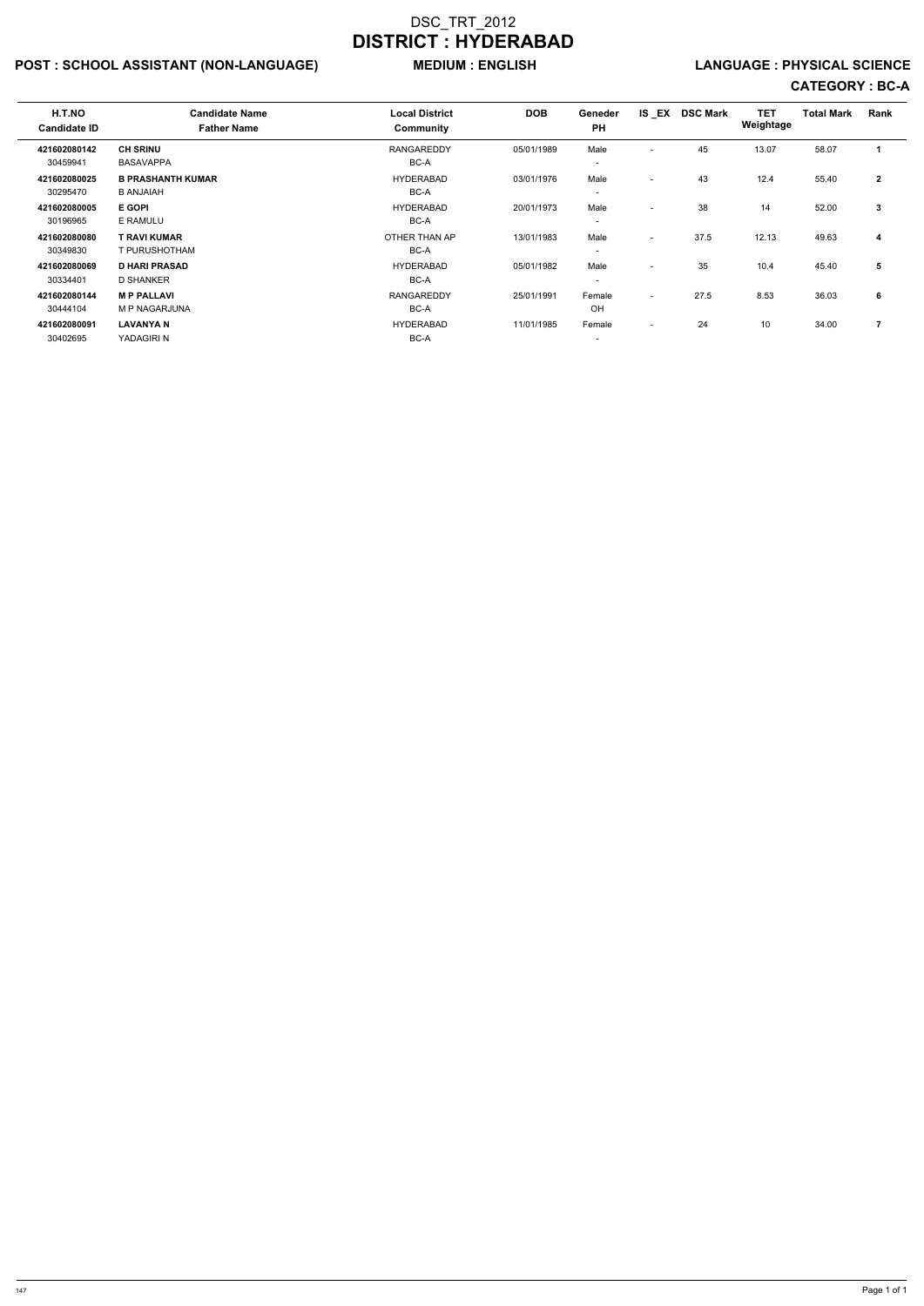# POST : SCHOOL ASSISTANT (NON-LANGUAGE) MEDIUM : ENGLISH LANGUAGE : PHYSICAL SCIENCE

| H.T.NO<br><b>Candidate ID</b> | <b>Candidate Name</b><br><b>Father Name</b> | <b>Local District</b><br>Community | <b>DOB</b> | Geneder<br><b>PH</b>     |                          | IS EX DSC Mark | <b>TET</b><br>Weightage | <b>Total Mark</b> | Rank           |
|-------------------------------|---------------------------------------------|------------------------------------|------------|--------------------------|--------------------------|----------------|-------------------------|-------------------|----------------|
| 421602080142                  | <b>CH SRINU</b>                             | <b>RANGAREDDY</b>                  | 05/01/1989 | Male                     | $\overline{\phantom{0}}$ | 45             | 13.07                   | 58.07             |                |
| 30459941                      | <b>BASAVAPPA</b>                            | BC-A                               |            | $\overline{\phantom{a}}$ |                          |                |                         |                   |                |
| 421602080025                  | <b>B PRASHANTH KUMAR</b>                    | <b>HYDERABAD</b>                   | 03/01/1976 | Male                     | $\overline{\phantom{a}}$ | 43             | 12.4                    | 55.40             | $\overline{2}$ |
| 30295470                      | <b>B ANJAIAH</b>                            | BC-A                               |            | $\overline{\phantom{a}}$ |                          |                |                         |                   |                |
| 421602080005                  | <b>E GOPI</b>                               | <b>HYDERABAD</b>                   | 20/01/1973 | Male                     | $\overline{\phantom{a}}$ | 38             | 14                      | 52.00             | 3              |
| 30196965                      | E RAMULU                                    | BC-A                               |            | $\overline{\phantom{a}}$ |                          |                |                         |                   |                |
| 421602080080                  | <b>T RAVI KUMAR</b>                         | OTHER THAN AP                      | 13/01/1983 | Male                     | $\overline{\phantom{a}}$ | 37.5           | 12.13                   | 49.63             | 4              |
| 30349830                      | T PURUSHOTHAM                               | BC-A                               |            | $\overline{\phantom{a}}$ |                          |                |                         |                   |                |
| 421602080069                  | <b>D HARI PRASAD</b>                        | <b>HYDERABAD</b>                   | 05/01/1982 | Male                     | $\overline{\phantom{a}}$ | 35             | 10.4                    | 45.40             | 5              |
| 30334401                      | <b>D SHANKER</b>                            | BC-A                               |            | $\overline{\phantom{a}}$ |                          |                |                         |                   |                |
| 421602080144                  | <b>MP PALLAVI</b>                           | <b>RANGAREDDY</b>                  | 25/01/1991 | Female                   | $\overline{\phantom{a}}$ | 27.5           | 8.53                    | 36.03             | 6              |
| 30444104                      | M P NAGARJUNA                               | BC-A                               |            | OH                       |                          |                |                         |                   |                |
| 421602080091                  | <b>LAVANYA N</b>                            | <b>HYDERABAD</b>                   | 11/01/1985 | Female                   | $\overline{\phantom{a}}$ | 24             | 10                      | 34.00             | 7              |
| 30402695                      | YADAGIRI N                                  | BC-A                               |            | $\overline{\phantom{a}}$ |                          |                |                         |                   |                |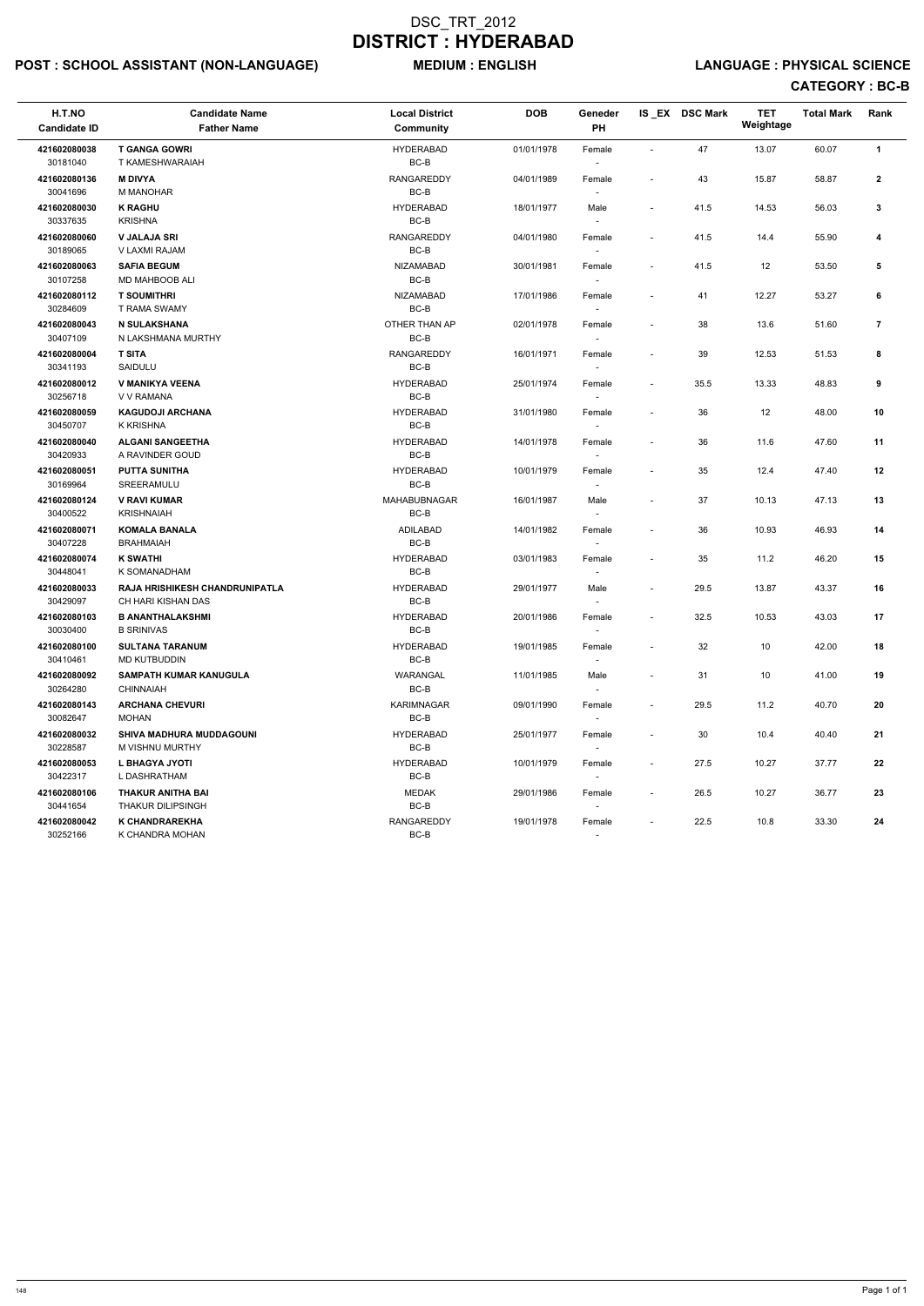# POST : SCHOOL ASSISTANT (NON-LANGUAGE) MEDIUM : ENGLISH LANGUAGE : PHYSICAL SCIENCE

| H.T.NO<br><b>Candidate ID</b> | <b>Candidate Name</b><br><b>Father Name</b>          | <b>Local District</b><br><b>Community</b> | <b>DOB</b> | Geneder<br>PH                      |                          | IS EX DSC Mark | <b>TET</b><br>Weightage | <b>Total Mark</b> | Rank           |
|-------------------------------|------------------------------------------------------|-------------------------------------------|------------|------------------------------------|--------------------------|----------------|-------------------------|-------------------|----------------|
| 421602080038<br>30181040      | <b>T GANGA GOWRI</b><br>T KAMESHWARAIAH              | <b>HYDERABAD</b><br>$BC-B$                | 01/01/1978 | Female                             | $\overline{\phantom{a}}$ | 47             | 13.07                   | 60.07             | $\mathbf{1}$   |
| 421602080136<br>30041696      | <b>M DIVYA</b><br><b>M MANOHAR</b>                   | <b>RANGAREDDY</b><br>$BC-B$               | 04/01/1989 | Female                             | $\overline{\phantom{a}}$ | 43             | 15.87                   | 58.87             | $\overline{2}$ |
| 421602080030<br>30337635      | <b>K RAGHU</b><br><b>KRISHNA</b>                     | <b>HYDERABAD</b><br>BC-B                  | 18/01/1977 | Male<br>$\sim$                     | $\blacksquare$           | 41.5           | 14.53                   | 56.03             | $\mathbf{3}$   |
| 421602080060<br>30189065      | <b>V JALAJA SRI</b><br>V LAXMI RAJAM                 | <b>RANGAREDDY</b><br>$BC-B$               | 04/01/1980 | Female<br>$\overline{\phantom{a}}$ | $\blacksquare$           | 41.5           | 14.4                    | 55.90             | 4              |
| 421602080063<br>30107258      | <b>SAFIA BEGUM</b><br><b>MD MAHBOOB ALI</b>          | <b>NIZAMABAD</b><br>BC-B                  | 30/01/1981 | Female<br>$\sim$                   | $\sim$                   | 41.5           | 12                      | 53.50             | 5              |
| 421602080112<br>30284609      | <b>T SOUMITHRI</b><br>T RAMA SWAMY                   | NIZAMABAD<br>$BC-B$                       | 17/01/1986 | Female                             | $\overline{\phantom{a}}$ | 41             | 12.27                   | 53.27             | 6              |
| 421602080043<br>30407109      | N SULAKSHANA<br>N LAKSHMANA MURTHY                   | OTHER THAN AP<br>$BC-B$                   | 02/01/1978 | Female                             | $\blacksquare$           | 38             | 13.6                    | 51.60             | $\overline{7}$ |
| 421602080004<br>30341193      | <b>T SITA</b><br>SAIDULU                             | <b>RANGAREDDY</b><br>BC-B                 | 16/01/1971 | Female<br>$\overline{\phantom{a}}$ | $\blacksquare$           | 39             | 12.53                   | 51.53             | 8              |
| 421602080012<br>30256718      | V MANIKYA VEENA<br>V V RAMANA                        | <b>HYDERABAD</b><br>BC-B                  | 25/01/1974 | Female<br>$\sim$                   | $\blacksquare$           | 35.5           | 13.33                   | 48.83             | 9              |
| 421602080059<br>30450707      | <b>KAGUDOJI ARCHANA</b><br>K KRISHNA                 | <b>HYDERABAD</b><br>$BC-B$                | 31/01/1980 | Female                             | $\overline{\phantom{a}}$ | 36             | 12                      | 48.00             | 10             |
| 421602080040<br>30420933      | <b>ALGANI SANGEETHA</b><br>A RAVINDER GOUD           | <b>HYDERABAD</b><br>BC-B                  | 14/01/1978 | Female                             | $\overline{\phantom{a}}$ | 36             | 11.6                    | 47.60             | 11             |
| 421602080051<br>30169964      | <b>PUTTA SUNITHA</b><br>SREERAMULU                   | <b>HYDERABAD</b><br>$BC-B$                | 10/01/1979 | Female<br>$\sim$                   | $\overline{\phantom{a}}$ | 35             | 12.4                    | 47.40             | 12             |
| 421602080124<br>30400522      | <b>V RAVI KUMAR</b><br><b>KRISHNAIAH</b>             | MAHABUBNAGAR<br>BC-B                      | 16/01/1987 | Male<br>$\sim$                     | $\overline{\phantom{a}}$ | 37             | 10.13                   | 47.13             | 13             |
| 421602080071<br>30407228      | <b>KOMALA BANALA</b><br><b>BRAHMAIAH</b>             | <b>ADILABAD</b><br>$BC-B$                 | 14/01/1982 | Female<br>$\sim$                   | $\overline{\phantom{a}}$ | 36             | 10.93                   | 46.93             | 14             |
| 421602080074<br>30448041      | <b>K SWATHI</b><br>K SOMANADHAM                      | <b>HYDERABAD</b><br>$BC-B$                | 03/01/1983 | Female                             | $\overline{\phantom{a}}$ | 35             | 11.2                    | 46.20             | 15             |
| 421602080033<br>30429097      | RAJA HRISHIKESH CHANDRUNIPATLA<br>CH HARI KISHAN DAS | <b>HYDERABAD</b><br>$BC-B$                | 29/01/1977 | Male<br>$\sim$                     | $\overline{\phantom{a}}$ | 29.5           | 13.87                   | 43.37             | 16             |
| 421602080103<br>30030400      | <b>B ANANTHALAKSHMI</b><br><b>B SRINIVAS</b>         | <b>HYDERABAD</b><br>BC-B                  | 20/01/1986 | Female                             | $\blacksquare$           | 32.5           | 10.53                   | 43.03             | 17             |
| 421602080100<br>30410461      | <b>SULTANA TARANUM</b><br><b>MD KUTBUDDIN</b>        | <b>HYDERABAD</b><br>BC-B                  | 19/01/1985 | Female                             | $\overline{\phantom{a}}$ | 32             | 10                      | 42.00             | 18             |
| 421602080092<br>30264280      | <b>SAMPATH KUMAR KANUGULA</b><br>CHINNAIAH           | WARANGAL<br>BC-B                          | 11/01/1985 | Male<br>$\sim$                     | $\overline{\phantom{a}}$ | 31             | 10                      | 41.00             | 19             |
| 421602080143<br>30082647      | <b>ARCHANA CHEVURI</b><br>MOHAN                      | <b>KARIMNAGAR</b><br>BC-B                 | 09/01/1990 | Female<br>$\sim$                   | $\blacksquare$           | 29.5           | 11.2                    | 40.70             | 20             |
| 421602080032<br>30228587      | <b>SHIVA MADHURA MUDDAGOUNI</b><br>M VISHNU MURTHY   | <b>HYDERABAD</b><br>BC-B                  | 25/01/1977 | Female<br>$\sim$                   | $\sim$                   | 30             | 10.4                    | 40.40             | 21             |
| 421602080053<br>30422317      | L BHAGYA JYOTI<br>L DASHRATHAM                       | <b>HYDERABAD</b><br>BC-B                  | 10/01/1979 | Female                             | $\blacksquare$           | 27.5           | 10.27                   | 37.77             | 22             |
| 421602080106<br>30441654      | THAKUR ANITHA BAI<br><b>THAKUR DILIPSINGH</b>        | <b>MEDAK</b><br>$BC-B$                    | 29/01/1986 | Female<br>$\sim$                   | $\sim$                   | 26.5           | 10.27                   | 36.77             | 23             |
| 421602080042<br>30252166      | K CHANDRAREKHA<br>K CHANDRA MOHAN                    | RANGAREDDY<br>BC-B                        | 19/01/1978 | Female<br>$\sim$                   | $\blacksquare$           | 22.5           | 10.8                    | 33.30             | 24             |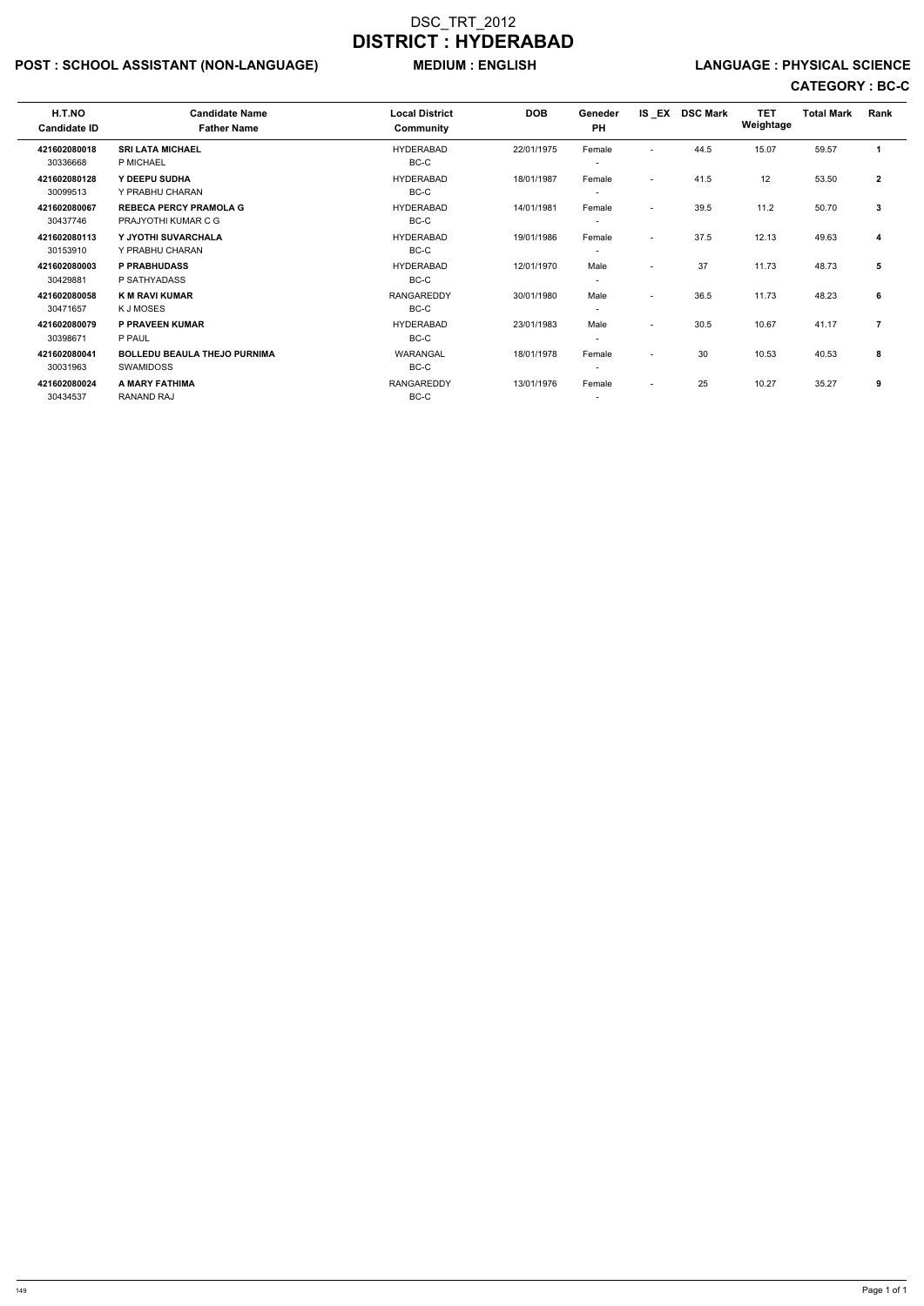# POST : SCHOOL ASSISTANT (NON-LANGUAGE) MEDIUM : ENGLISH LANGUAGE : PHYSICAL SCIENCE

| <b>Father Name</b>                  | <b>Community</b>                   |                               | <b>PH</b>                |                          |      | Weightage      |            |                   |      |
|-------------------------------------|------------------------------------|-------------------------------|--------------------------|--------------------------|------|----------------|------------|-------------------|------|
| <b>SRI LATA MICHAEL</b>             | <b>HYDERABAD</b>                   | 22/01/1975                    | Female                   |                          | 44.5 | 15.07          | 59.57      | 1                 |      |
|                                     |                                    |                               | $\overline{\phantom{a}}$ |                          |      |                |            |                   |      |
| Y DEEPU SUDHA                       | <b>HYDERABAD</b>                   | 18/01/1987                    | Female                   | $\overline{\phantom{0}}$ | 41.5 | 12             | 53.50      | $\overline{2}$    |      |
| Y PRABHU CHARAN                     | BC-C                               |                               | $\overline{\phantom{a}}$ |                          |      |                |            |                   |      |
| <b>REBECA PERCY PRAMOLA G</b>       | <b>HYDERABAD</b>                   | 14/01/1981                    | Female                   | $\overline{\phantom{a}}$ | 39.5 | 11.2           | 50.70      | $\mathbf{3}$      |      |
| PRAJYOTHI KUMAR C G                 | BC-C                               |                               |                          |                          |      |                |            |                   |      |
| Y JYOTHI SUVARCHALA                 | <b>HYDERABAD</b>                   | 19/01/1986                    | Female                   | $\overline{\phantom{a}}$ | 37.5 | 12.13          | 49.63      | 4                 |      |
| Y PRABHU CHARAN                     | BC-C                               |                               | $\overline{\phantom{a}}$ |                          |      |                |            |                   |      |
| <b>P PRABHUDASS</b>                 | <b>HYDERABAD</b>                   | 12/01/1970                    | Male                     | $\overline{\phantom{0}}$ | 37   | 11.73          | 48.73      | 5                 |      |
| P SATHYADASS                        | BC-C                               |                               |                          |                          |      |                |            |                   |      |
| <b>K M RAVI KUMAR</b>               | <b>RANGAREDDY</b>                  | 30/01/1980                    | Male                     | $\overline{\phantom{0}}$ | 36.5 | 11.73          | 48.23      | 6                 |      |
| K J MOSES                           | BC-C                               |                               | $\overline{\phantom{a}}$ |                          |      |                |            |                   |      |
| P PRAVEEN KUMAR                     | <b>HYDERABAD</b>                   | 23/01/1983                    | Male                     | $\overline{\phantom{a}}$ | 30.5 | 10.67          | 41.17      | $\overline{7}$    |      |
| P PAUL                              | BC-C                               |                               | $\overline{\phantom{a}}$ |                          |      |                |            |                   |      |
| <b>BOLLEDU BEAULA THEJO PURNIMA</b> | WARANGAL                           | 18/01/1978                    | Female                   |                          | 30   | 10.53          | 40.53      | 8                 |      |
| <b>SWAMIDOSS</b>                    | BC-C                               |                               | $\overline{\phantom{a}}$ |                          |      |                |            |                   |      |
| A MARY FATHIMA                      | <b>RANGAREDDY</b>                  | 13/01/1976                    | Female                   | $\overline{\phantom{a}}$ | 25   | 10.27          | 35.27      | 9                 |      |
| <b>RANAND RAJ</b>                   | BC-C                               |                               |                          |                          |      |                |            |                   |      |
|                                     | <b>Candidate Name</b><br>P MICHAEL | <b>Local District</b><br>BC-C | <b>DOB</b>               | Geneder                  |      | IS EX DSC Mark | <b>TET</b> | <b>Total Mark</b> | Rank |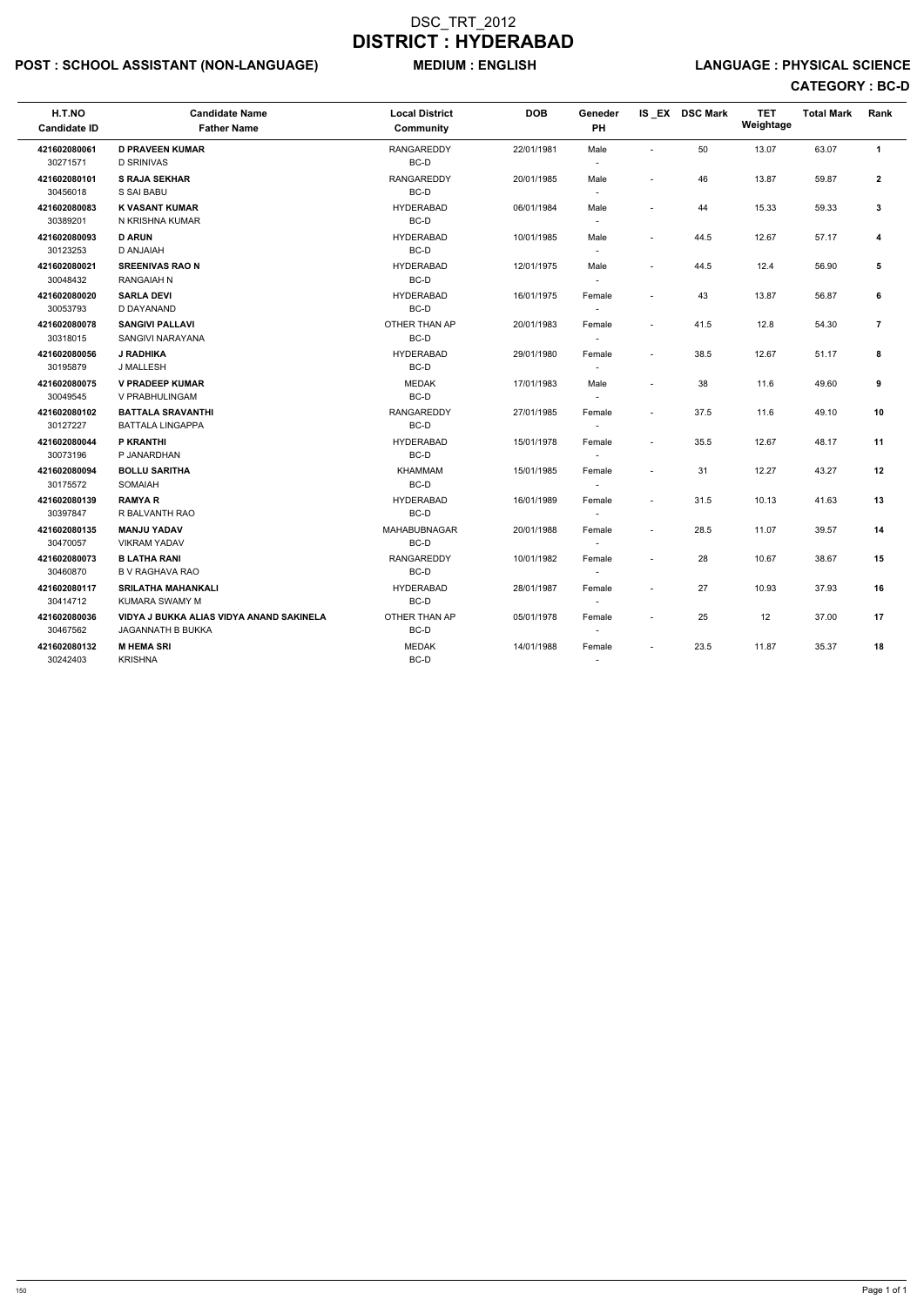# POST : SCHOOL ASSISTANT (NON-LANGUAGE) MEDIUM : ENGLISH LANGUAGE : PHYSICAL SCIENCE

| H.T.NO<br><b>Candidate ID</b> | <b>Candidate Name</b><br><b>Father Name</b>                   | <b>Local District</b><br>Community | <b>DOB</b> | Geneder<br>PH                      |                          | IS EX DSC Mark | <b>TET</b><br>Weightage | <b>Total Mark</b> | Rank           |
|-------------------------------|---------------------------------------------------------------|------------------------------------|------------|------------------------------------|--------------------------|----------------|-------------------------|-------------------|----------------|
| 421602080061<br>30271571      | <b>D PRAVEEN KUMAR</b><br><b>D SRINIVAS</b>                   | <b>RANGAREDDY</b><br>BC-D          | 22/01/1981 | Male                               | $\sim$                   | 50             | 13.07                   | 63.07             | $\mathbf{1}$   |
| 421602080101<br>30456018      | <b>S RAJA SEKHAR</b><br>S SAI BABU                            | <b>RANGAREDDY</b><br>BC-D          | 20/01/1985 | Male<br>$\sim$                     |                          | 46             | 13.87                   | 59.87             | $\overline{2}$ |
| 421602080083<br>30389201      | <b>K VASANT KUMAR</b><br>N KRISHNA KUMAR                      | <b>HYDERABAD</b><br>BC-D           | 06/01/1984 | Male<br>$\overline{\phantom{a}}$   |                          | 44             | 15.33                   | 59.33             | $\mathbf{3}$   |
| 421602080093<br>30123253      | <b>D ARUN</b><br><b>D ANJAIAH</b>                             | <b>HYDERABAD</b><br>BC-D           | 10/01/1985 | Male<br>$\sim$                     | $\overline{\phantom{a}}$ | 44.5           | 12.67                   | 57.17             | 4              |
| 421602080021<br>30048432      | <b>SREENIVAS RAO N</b><br><b>RANGAIAH N</b>                   | <b>HYDERABAD</b><br>BC-D           | 12/01/1975 | Male<br>$\sim$                     | $\overline{a}$           | 44.5           | 12.4                    | 56.90             | 5              |
| 421602080020<br>30053793      | <b>SARLA DEVI</b><br>D DAYANAND                               | <b>HYDERABAD</b><br>BC-D           | 16/01/1975 | Female                             | $\sim$                   | 43             | 13.87                   | 56.87             | 6              |
| 421602080078<br>30318015      | <b>SANGIVI PALLAVI</b><br>SANGIVI NARAYANA                    | OTHER THAN AP<br>BC-D              | 20/01/1983 | Female<br>$\sim$                   | $\overline{a}$           | 41.5           | 12.8                    | 54.30             | $\overline{7}$ |
| 421602080056<br>30195879      | <b>J RADHIKA</b><br>J MALLESH                                 | <b>HYDERABAD</b><br>BC-D           | 29/01/1980 | Female<br>$\overline{\phantom{a}}$ | $\overline{\phantom{a}}$ | 38.5           | 12.67                   | 51.17             | 8              |
| 421602080075<br>30049545      | <b>V PRADEEP KUMAR</b><br>V PRABHULINGAM                      | <b>MEDAK</b><br>BC-D               | 17/01/1983 | Male<br>$\sim$                     |                          | 38             | 11.6                    | 49.60             | 9              |
| 421602080102<br>30127227      | <b>BATTALA SRAVANTHI</b><br><b>BATTALA LINGAPPA</b>           | <b>RANGAREDDY</b><br>BC-D          | 27/01/1985 | Female<br>$\overline{\phantom{a}}$ | $\sim$                   | 37.5           | 11.6                    | 49.10             | 10             |
| 421602080044<br>30073196      | P KRANTHI<br>P JANARDHAN                                      | <b>HYDERABAD</b><br>BC-D           | 15/01/1978 | Female                             | $\overline{\phantom{a}}$ | 35.5           | 12.67                   | 48.17             | 11             |
| 421602080094<br>30175572      | <b>BOLLU SARITHA</b><br>SOMAIAH                               | <b>KHAMMAM</b><br>BC-D             | 15/01/1985 | Female                             | $\sim$                   | 31             | 12.27                   | 43.27             | 12             |
| 421602080139<br>30397847      | <b>RAMYAR</b><br>R BALVANTH RAO                               | <b>HYDERABAD</b><br>BC-D           | 16/01/1989 | Female                             | $\sim$                   | 31.5           | 10.13                   | 41.63             | 13             |
| 421602080135<br>30470057      | <b>MANJU YADAV</b><br><b>VIKRAM YADAV</b>                     | <b>MAHABUBNAGAR</b><br>BC-D        | 20/01/1988 | Female<br>$\overline{\phantom{a}}$ |                          | 28.5           | 11.07                   | 39.57             | 14             |
| 421602080073<br>30460870      | <b>B LATHA RANI</b><br><b>B V RAGHAVA RAO</b>                 | RANGAREDDY<br>BC-D                 | 10/01/1982 | Female<br>$\mathbf{r}$             |                          | 28             | 10.67                   | 38.67             | 15             |
| 421602080117<br>30414712      | <b>SRILATHA MAHANKALI</b><br>KUMARA SWAMY M                   | <b>HYDERABAD</b><br>BC-D           | 28/01/1987 | Female<br>$\sim$                   | $\sim$                   | 27             | 10.93                   | 37.93             | 16             |
| 421602080036<br>30467562      | VIDYA J BUKKA ALIAS VIDYA ANAND SAKINELA<br>JAGANNATH B BUKKA | OTHER THAN AP<br>BC-D              | 05/01/1978 | Female<br>$\overline{\phantom{a}}$ | $\overline{\phantom{a}}$ | 25             | 12                      | 37.00             | 17             |
| 421602080132<br>30242403      | <b>M HEMA SRI</b><br><b>KRISHNA</b>                           | <b>MEDAK</b><br>BC-D               | 14/01/1988 | Female                             | $\sim$                   | 23.5           | 11.87                   | 35.37             | 18             |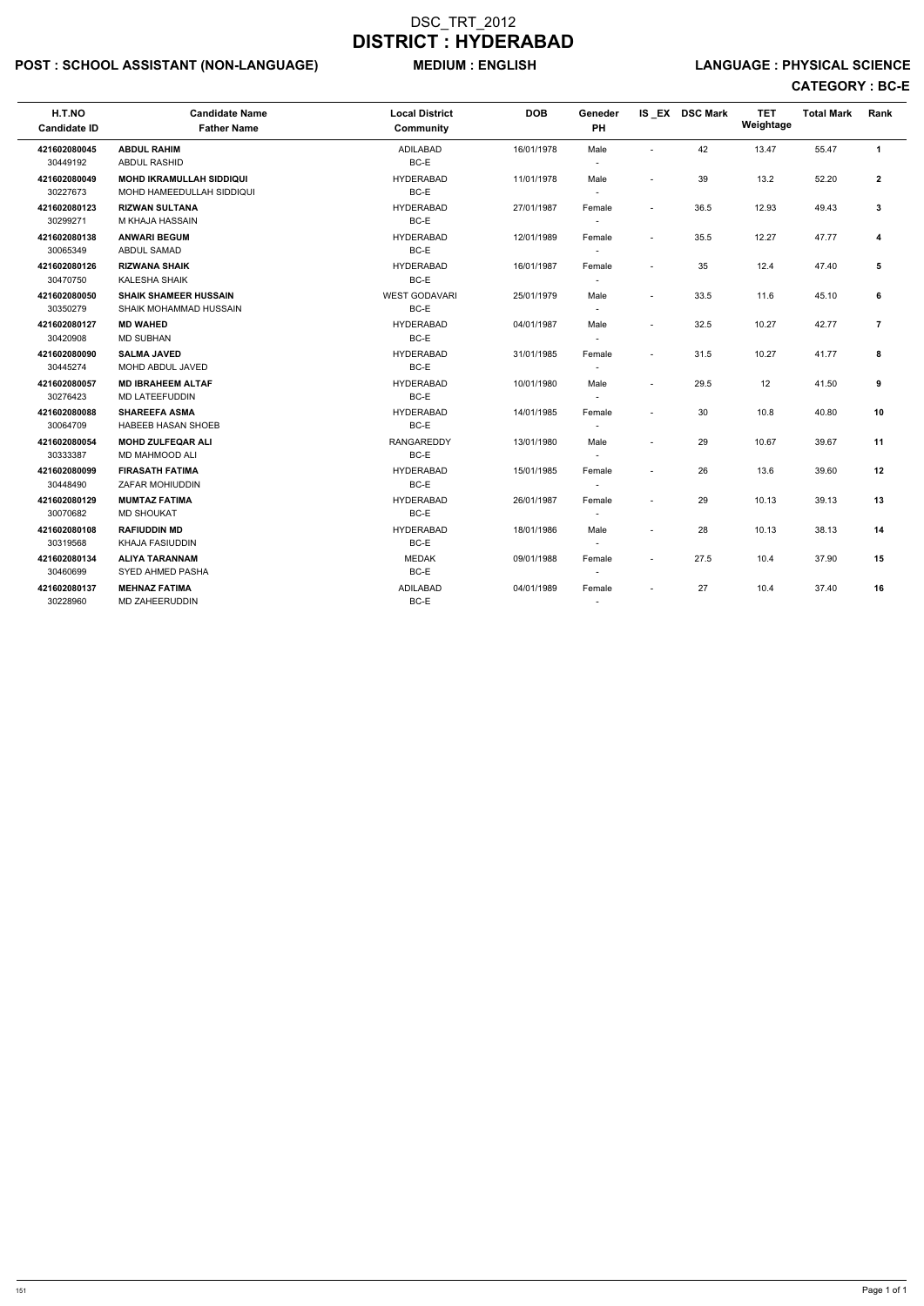# POST : SCHOOL ASSISTANT (NON-LANGUAGE) MEDIUM : ENGLISH LANGUAGE : PHYSICAL SCIENCE

| H.T.NO<br><b>Candidate ID</b> | <b>Candidate Name</b><br><b>Father Name</b>                  | <b>Local District</b><br><b>Community</b> | <b>DOB</b> | Geneder<br><b>PH</b>               |                          | IS EX DSC Mark | <b>TET</b><br>Weightage | <b>Total Mark</b> | Rank           |
|-------------------------------|--------------------------------------------------------------|-------------------------------------------|------------|------------------------------------|--------------------------|----------------|-------------------------|-------------------|----------------|
| 421602080045                  | <b>ABDUL RAHIM</b>                                           | <b>ADILABAD</b>                           | 16/01/1978 | Male                               |                          | 42             | 13.47                   | 55.47             | $\mathbf{1}$   |
| 30449192                      | ABDUL RASHID                                                 | BC-E                                      |            |                                    |                          |                |                         |                   |                |
| 421602080049<br>30227673      | <b>MOHD IKRAMULLAH SIDDIQUI</b><br>MOHD HAMEEDULLAH SIDDIQUI | <b>HYDERABAD</b><br>BC-E                  | 11/01/1978 | Male<br>$\sim$                     |                          | 39             | 13.2                    | 52.20             | $\overline{2}$ |
| 421602080123<br>30299271      | <b>RIZWAN SULTANA</b><br>M KHAJA HASSAIN                     | <b>HYDERABAD</b><br>BC-E                  | 27/01/1987 | Female<br>$\overline{\phantom{a}}$ | $\blacksquare$           | 36.5           | 12.93                   | 49.43             | $\mathbf{3}$   |
|                               |                                                              | <b>HYDERABAD</b>                          |            |                                    |                          |                |                         |                   |                |
| 421602080138<br>30065349      | <b>ANWARI BEGUM</b><br><b>ABDUL SAMAD</b>                    | BC-E                                      | 12/01/1989 | Female<br>$\overline{\phantom{a}}$ | $\blacksquare$           | 35.5           | 12.27                   | 47.77             | 4              |
| 421602080126<br>30470750      | <b>RIZWANA SHAIK</b><br>KALESHA SHAIK                        | <b>HYDERABAD</b><br>BC-E                  | 16/01/1987 | Female<br>$\overline{\phantom{a}}$ | $\overline{\phantom{a}}$ | 35             | 12.4                    | 47.40             | 5              |
| 421602080050<br>30350279      | <b>SHAIK SHAMEER HUSSAIN</b><br>SHAIK MOHAMMAD HUSSAIN       | <b>WEST GODAVARI</b><br>BC-E              | 25/01/1979 | Male                               | $\overline{\phantom{a}}$ | 33.5           | 11.6                    | 45.10             | 6              |
| 421602080127<br>30420908      | <b>MD WAHED</b><br><b>MD SUBHAN</b>                          | <b>HYDERABAD</b><br>BC-E                  | 04/01/1987 | Male                               | $\overline{\phantom{a}}$ | 32.5           | 10.27                   | 42.77             | $\overline{7}$ |
| 421602080090<br>30445274      | <b>SALMA JAVED</b><br><b>MOHD ABDUL JAVED</b>                | <b>HYDERABAD</b><br>BC-E                  | 31/01/1985 | Female                             | $\overline{\phantom{a}}$ | 31.5           | 10.27                   | 41.77             | 8              |
| 421602080057<br>30276423      | <b>MD IBRAHEEM ALTAF</b><br>MD LATEEFUDDIN                   | <b>HYDERABAD</b><br>BC-E                  | 10/01/1980 | Male<br>$\sim$                     | $\blacksquare$           | 29.5           | 12                      | 41.50             | 9              |
| 421602080088<br>30064709      | <b>SHAREEFA ASMA</b><br><b>HABEEB HASAN SHOEB</b>            | <b>HYDERABAD</b><br>BC-E                  | 14/01/1985 | Female<br>$\overline{\phantom{a}}$ | $\overline{\phantom{a}}$ | 30             | 10.8                    | 40.80             | 10             |
| 421602080054<br>30333387      | <b>MOHD ZULFEQAR ALI</b><br><b>MD MAHMOOD ALI</b>            | <b>RANGAREDDY</b><br>BC-E                 | 13/01/1980 | Male<br>$\sim$                     | $\overline{\phantom{a}}$ | 29             | 10.67                   | 39.67             | 11             |
| 421602080099<br>30448490      | <b>FIRASATH FATIMA</b><br>ZAFAR MOHIUDDIN                    | <b>HYDERABAD</b><br>BC-E                  | 15/01/1985 | Female<br>$\sim$                   |                          | 26             | 13.6                    | 39.60             | 12             |
| 421602080129<br>30070682      | <b>MUMTAZ FATIMA</b><br><b>MD SHOUKAT</b>                    | <b>HYDERABAD</b><br>BC-E                  | 26/01/1987 | Female                             |                          | 29             | 10.13                   | 39.13             | 13             |
| 421602080108<br>30319568      | <b>RAFIUDDIN MD</b><br>KHAJA FASIUDDIN                       | <b>HYDERABAD</b><br>BC-E                  | 18/01/1986 | Male                               | $\blacksquare$           | 28             | 10.13                   | 38.13             | 14             |
| 421602080134<br>30460699      | <b>ALIYA TARANNAM</b><br>SYED AHMED PASHA                    | <b>MEDAK</b><br>BC-E                      | 09/01/1988 | Female<br>$\overline{\phantom{a}}$ | $\blacksquare$           | 27.5           | 10.4                    | 37.90             | 15             |
| 421602080137<br>30228960      | <b>MEHNAZ FATIMA</b><br><b>MD ZAHEERUDDIN</b>                | ADILABAD<br>BC-E                          | 04/01/1989 | Female                             |                          | 27             | 10.4                    | 37.40             | 16             |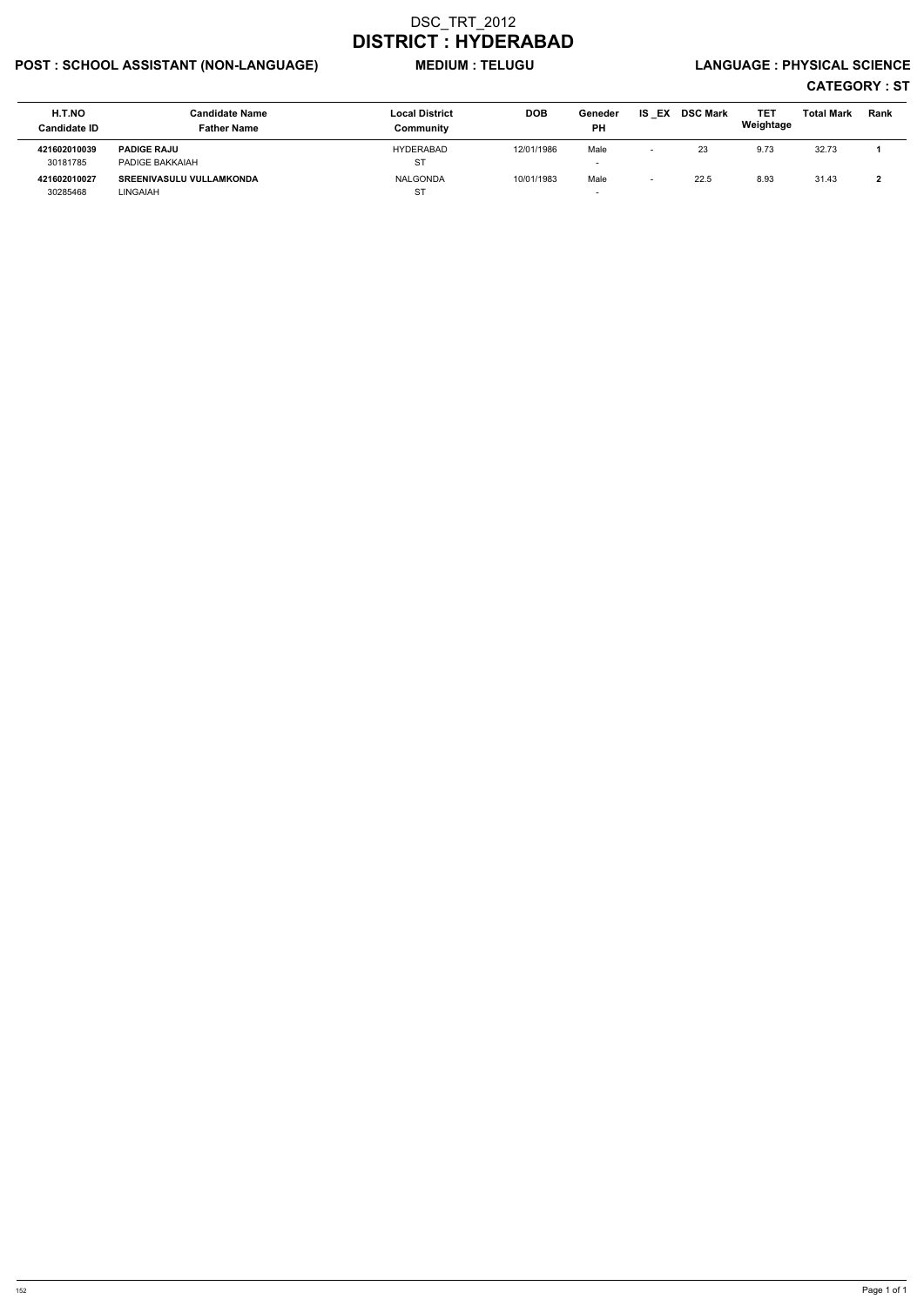# POST : SCHOOL ASSISTANT (NON-LANGUAGE) MEDIUM : TELUGU LANGUAGE : PHYSICAL SCIENCE

| H.T.NO<br><b>Candidate ID</b> | <b>Candidate Name</b><br><b>Father Name</b> | <b>Local District</b><br>Communitv | <b>DOB</b> | Geneder<br>PH            | EX<br>IS. | <b>DSC Mark</b> | <b>TET</b><br>Weightage | <b>Total Mark</b> | <b>Rank</b> |
|-------------------------------|---------------------------------------------|------------------------------------|------------|--------------------------|-----------|-----------------|-------------------------|-------------------|-------------|
| 421602010039                  | <b>PADIGE RAJU</b>                          | HYDERABAD                          | 12/01/1986 | Male                     |           | 23              | 9.73                    | 32.73             |             |
| 30181785                      | PADIGE BAKKAIAH                             | ST                                 |            | $\overline{\phantom{a}}$ |           |                 |                         |                   |             |
| 421602010027                  | <b>SREENIVASULU VULLAMKONDA</b>             | <b>NALGONDA</b>                    | 10/01/1983 | Male                     |           | 22.5            | 8.93                    | 31.43             |             |
| 30285468                      | LINGAIAH                                    | <b>ST</b>                          |            | $\overline{\phantom{0}}$ |           |                 |                         |                   |             |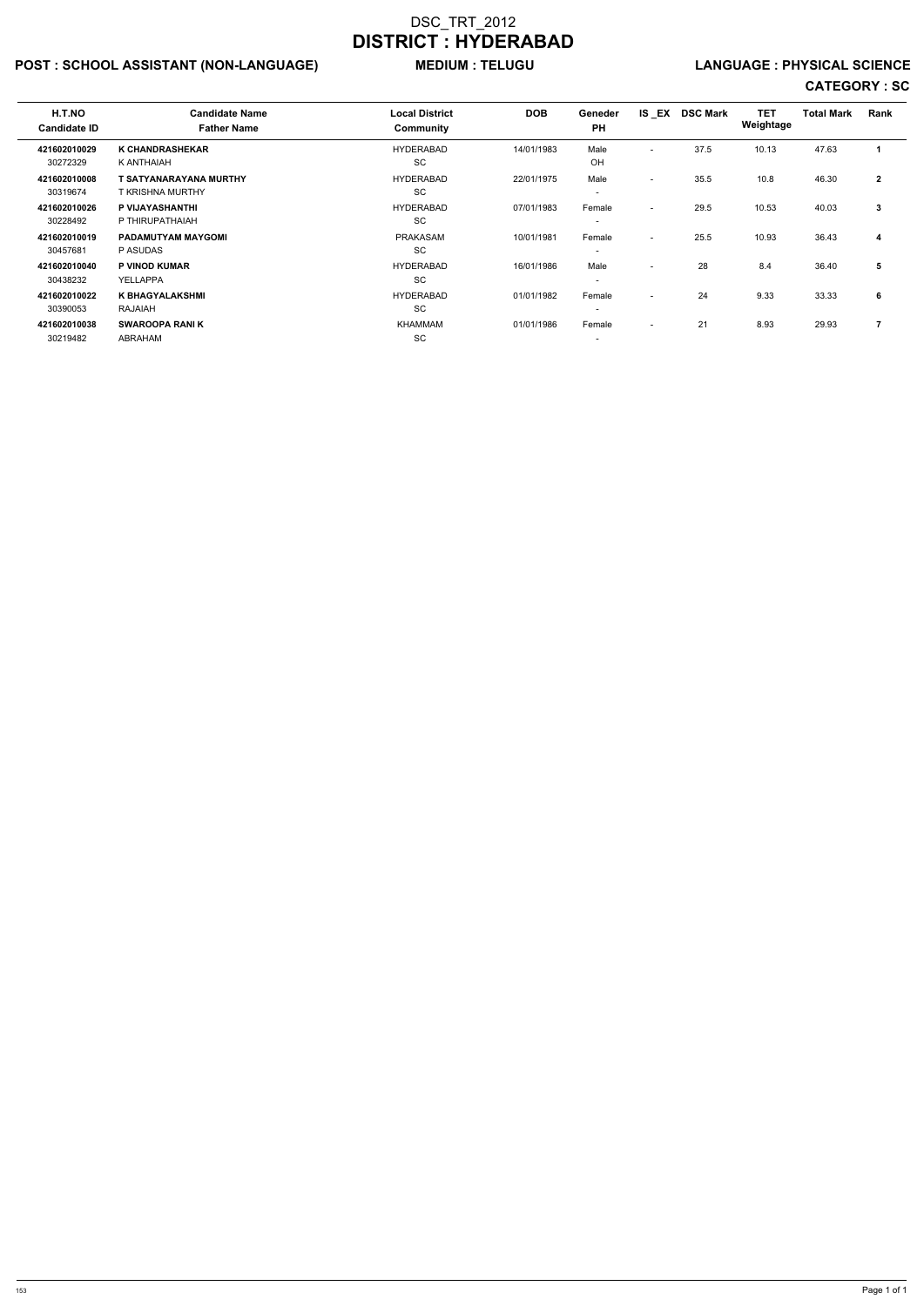# POST : SCHOOL ASSISTANT (NON-LANGUAGE) MEDIUM : TELUGU LANGUAGE : PHYSICAL SCIENCE

| H.T.NO<br><b>Candidate ID</b> | <b>Candidate Name</b><br><b>Father Name</b> | <b>Local District</b><br>Community | <b>DOB</b> | Geneder<br><b>PH</b>     | <b>IS EX</b>             | <b>DSC Mark</b> | <b>TET</b><br>Weightage | <b>Total Mark</b> | Rank         |  |
|-------------------------------|---------------------------------------------|------------------------------------|------------|--------------------------|--------------------------|-----------------|-------------------------|-------------------|--------------|--|
| 421602010029                  | <b>K CHANDRASHEKAR</b>                      | <b>HYDERABAD</b>                   | 14/01/1983 | Male                     | $\overline{\phantom{0}}$ | 37.5            | 10.13                   | 47.63             |              |  |
| 30272329                      | K ANTHAIAH                                  | <b>SC</b>                          |            | OH                       |                          |                 |                         |                   |              |  |
| 421602010008                  | T SATYANARAYANA MURTHY                      | <b>HYDERABAD</b>                   | 22/01/1975 | Male                     | $\sim$                   | 35.5            | 10.8                    | 46.30             | $\mathbf{2}$ |  |
| 30319674                      | <b>T KRISHNA MURTHY</b>                     | <b>SC</b>                          |            | $\overline{\phantom{a}}$ |                          |                 |                         |                   |              |  |
| 421602010026                  | P VIJAYASHANTHI                             | <b>HYDERABAD</b>                   | 07/01/1983 | Female                   | $\overline{\phantom{a}}$ | 29.5            | 10.53                   | 40.03             | 3            |  |
| 30228492                      | P THIRUPATHAIAH                             | <b>SC</b>                          |            | $\overline{\phantom{a}}$ |                          |                 |                         |                   |              |  |
| 421602010019                  | <b>PADAMUTYAM MAYGOMI</b>                   | <b>PRAKASAM</b>                    | 10/01/1981 | Female                   | $\overline{\phantom{a}}$ | 25.5            | 10.93                   | 36.43             | 4            |  |
| 30457681                      | P ASUDAS                                    | <b>SC</b>                          |            | $\overline{\phantom{a}}$ |                          |                 |                         |                   |              |  |
| 421602010040                  | <b>P VINOD KUMAR</b>                        | <b>HYDERABAD</b>                   | 16/01/1986 | Male                     | $\overline{\phantom{0}}$ | 28              | 8.4                     | 36.40             | 5            |  |
| 30438232                      | YELLAPPA                                    | <b>SC</b>                          |            | $\overline{\phantom{a}}$ |                          |                 |                         |                   |              |  |
| 421602010022                  | <b>K BHAGYALAKSHMI</b>                      | <b>HYDERABAD</b>                   | 01/01/1982 | Female                   | $\overline{\phantom{a}}$ | 24              | 9.33                    | 33.33             | 6            |  |
| 30390053                      | <b>RAJAIAH</b>                              | SC                                 |            | $\overline{\phantom{a}}$ |                          |                 |                         |                   |              |  |
| 421602010038                  | <b>SWAROOPA RANIK</b>                       | KHAMMAM                            | 01/01/1986 | Female                   | $\overline{\phantom{a}}$ | 21              | 8.93                    | 29.93             | 7            |  |
| 30219482                      | ABRAHAM                                     | SC                                 |            | $\overline{\phantom{a}}$ |                          |                 |                         |                   |              |  |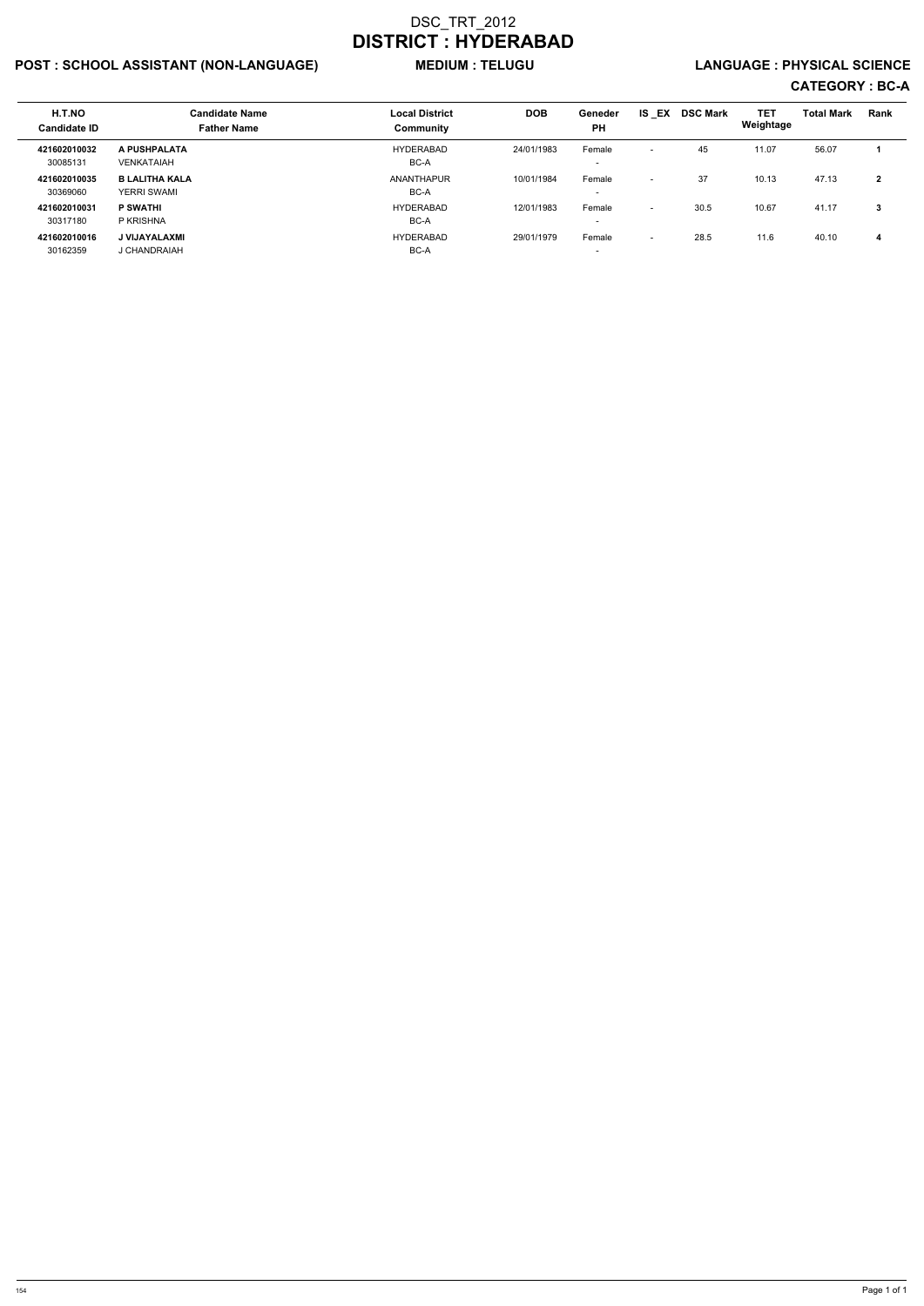# POST : SCHOOL ASSISTANT (NON-LANGUAGE) MEDIUM : TELUGU LANGUAGE : PHYSICAL SCIENCE

| H.T.NO<br><b>Candidate ID</b> | <b>Candidate Name</b><br><b>Father Name</b> | <b>Local District</b><br>Community | <b>DOB</b> | Geneder<br><b>PH</b>               | IS EX                    | <b>DSC Mark</b> | <b>TET</b><br>Weightage | <b>Total Mark</b> | <b>Rank</b>  |
|-------------------------------|---------------------------------------------|------------------------------------|------------|------------------------------------|--------------------------|-----------------|-------------------------|-------------------|--------------|
| 421602010032<br>30085131      | A PUSHPALATA<br><b>VENKATAIAH</b>           | <b>HYDERABAD</b><br>BC-A           | 24/01/1983 | Female<br>$\overline{\phantom{0}}$ | $\overline{\phantom{0}}$ | 45              | 11.07                   | 56.07             |              |
| 421602010035<br>30369060      | <b>B LALITHA KALA</b><br><b>YERRI SWAMI</b> | <b>ANANTHAPUR</b><br>BC-A          | 10/01/1984 | Female<br>$\overline{\phantom{0}}$ | $\overline{\phantom{0}}$ | 37              | 10.13                   | 47.13             | $\mathbf{2}$ |
| 421602010031<br>30317180      | <b>P SWATHI</b><br>P KRISHNA                | HYDERABAD<br>BC-A                  | 12/01/1983 | Female<br>$\overline{\phantom{0}}$ | $\overline{\phantom{0}}$ | 30.5            | 10.67                   | 41.17             | 3            |
| 421602010016<br>30162359      | J VIJAYALAXMI<br>J CHANDRAIAH               | HYDERABAD<br>BC-A                  | 29/01/1979 | Female<br>$\overline{\phantom{0}}$ | $\overline{\phantom{0}}$ | 28.5            | 11.6                    | 40.10             | 4            |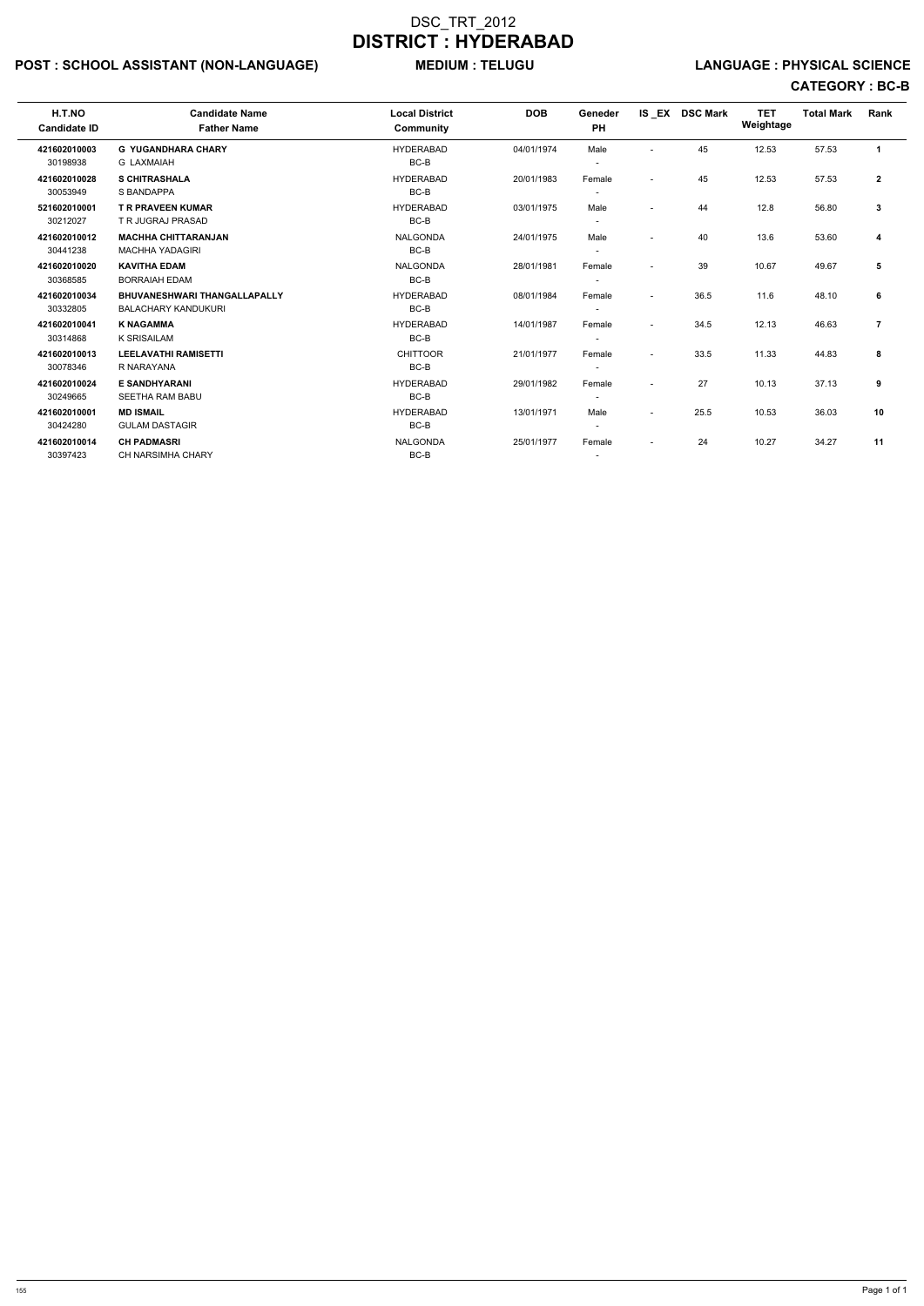# POST : SCHOOL ASSISTANT (NON-LANGUAGE) MEDIUM : TELUGU LANGUAGE : PHYSICAL SCIENCE

| H.T.NO<br><b>Candidate ID</b> | <b>Candidate Name</b><br><b>Father Name</b> | <b>Local District</b><br><b>Community</b> | <b>DOB</b> | Geneder<br><b>PH</b>     |                          | IS EX DSC Mark | <b>TET</b><br>Weightage | <b>Total Mark</b> | Rank           |
|-------------------------------|---------------------------------------------|-------------------------------------------|------------|--------------------------|--------------------------|----------------|-------------------------|-------------------|----------------|
| 421602010003                  | <b>G YUGANDHARA CHARY</b>                   | <b>HYDERABAD</b>                          | 04/01/1974 | Male                     |                          | 45             | 12.53                   | 57.53             | $\mathbf{1}$   |
| 30198938                      | <b>G LAXMAIAH</b>                           | BC-B                                      |            |                          |                          |                |                         |                   |                |
| 421602010028                  | <b>S CHITRASHALA</b>                        | <b>HYDERABAD</b>                          | 20/01/1983 | Female                   | $\overline{\phantom{a}}$ | 45             | 12.53                   | 57.53             | $\mathbf{2}$   |
| 30053949                      | S BANDAPPA                                  | BC-B                                      |            |                          |                          |                |                         |                   |                |
| 521602010001                  | <b>T R PRAVEEN KUMAR</b>                    | <b>HYDERABAD</b>                          | 03/01/1975 | Male                     | $\blacksquare$           | 44             | 12.8                    | 56.80             | 3              |
| 30212027                      | T R JUGRAJ PRASAD                           | BC-B                                      |            |                          |                          |                |                         |                   |                |
| 421602010012                  | <b>MACHHA CHITTARANJAN</b>                  | <b>NALGONDA</b>                           | 24/01/1975 | Male                     | $\blacksquare$           | 40             | 13.6                    | 53.60             | 4              |
| 30441238                      | <b>MACHHA YADAGIRI</b>                      | BC-B                                      |            |                          |                          |                |                         |                   |                |
| 421602010020                  | <b>KAVITHA EDAM</b>                         | <b>NALGONDA</b>                           | 28/01/1981 | Female                   | $\overline{\phantom{a}}$ | 39             | 10.67                   | 49.67             | 5              |
| 30368585                      | <b>BORRAIAH EDAM</b>                        | BC-B                                      |            |                          |                          |                |                         |                   |                |
| 421602010034                  | <b>BHUVANESHWARI THANGALLAPALLY</b>         | <b>HYDERABAD</b>                          | 08/01/1984 | Female                   | $\overline{\phantom{a}}$ | 36.5           | 11.6                    | 48.10             | 6              |
| 30332805                      | <b>BALACHARY KANDUKURI</b>                  | $BC-B$                                    |            |                          |                          |                |                         |                   |                |
| 421602010041                  | <b>K NAGAMMA</b>                            | <b>HYDERABAD</b>                          | 14/01/1987 | Female                   | $\blacksquare$           | 34.5           | 12.13                   | 46.63             | $\overline{7}$ |
| 30314868                      | <b>K SRISAILAM</b>                          | BC-B                                      |            |                          |                          |                |                         |                   |                |
| 421602010013                  | <b>LEELAVATHI RAMISETTI</b>                 | <b>CHITTOOR</b>                           | 21/01/1977 | Female                   | $\overline{\phantom{a}}$ | 33.5           | 11.33                   | 44.83             | 8              |
| 30078346                      | R NARAYANA                                  | BC-B                                      |            |                          |                          |                |                         |                   |                |
| 421602010024                  | <b>E SANDHYARANI</b>                        | <b>HYDERABAD</b>                          | 29/01/1982 | Female                   | $\overline{\phantom{a}}$ | 27             | 10.13                   | 37.13             | 9              |
| 30249665                      | <b>SEETHA RAM BABU</b>                      | BC-B                                      |            |                          |                          |                |                         |                   |                |
| 421602010001                  | <b>MD ISMAIL</b>                            | <b>HYDERABAD</b>                          | 13/01/1971 | Male                     | $\overline{\phantom{a}}$ | 25.5           | 10.53                   | 36.03             | 10             |
| 30424280                      | <b>GULAM DASTAGIR</b>                       | BC-B                                      |            | $\overline{\phantom{a}}$ |                          |                |                         |                   |                |
| 421602010014                  | <b>CH PADMASRI</b>                          | <b>NALGONDA</b>                           | 25/01/1977 | Female                   | $\overline{\phantom{a}}$ | 24             | 10.27                   | 34.27             | 11             |
| 30397423                      | <b>CH NARSIMHA CHARY</b>                    | BC-B                                      |            | $\overline{\phantom{a}}$ |                          |                |                         |                   |                |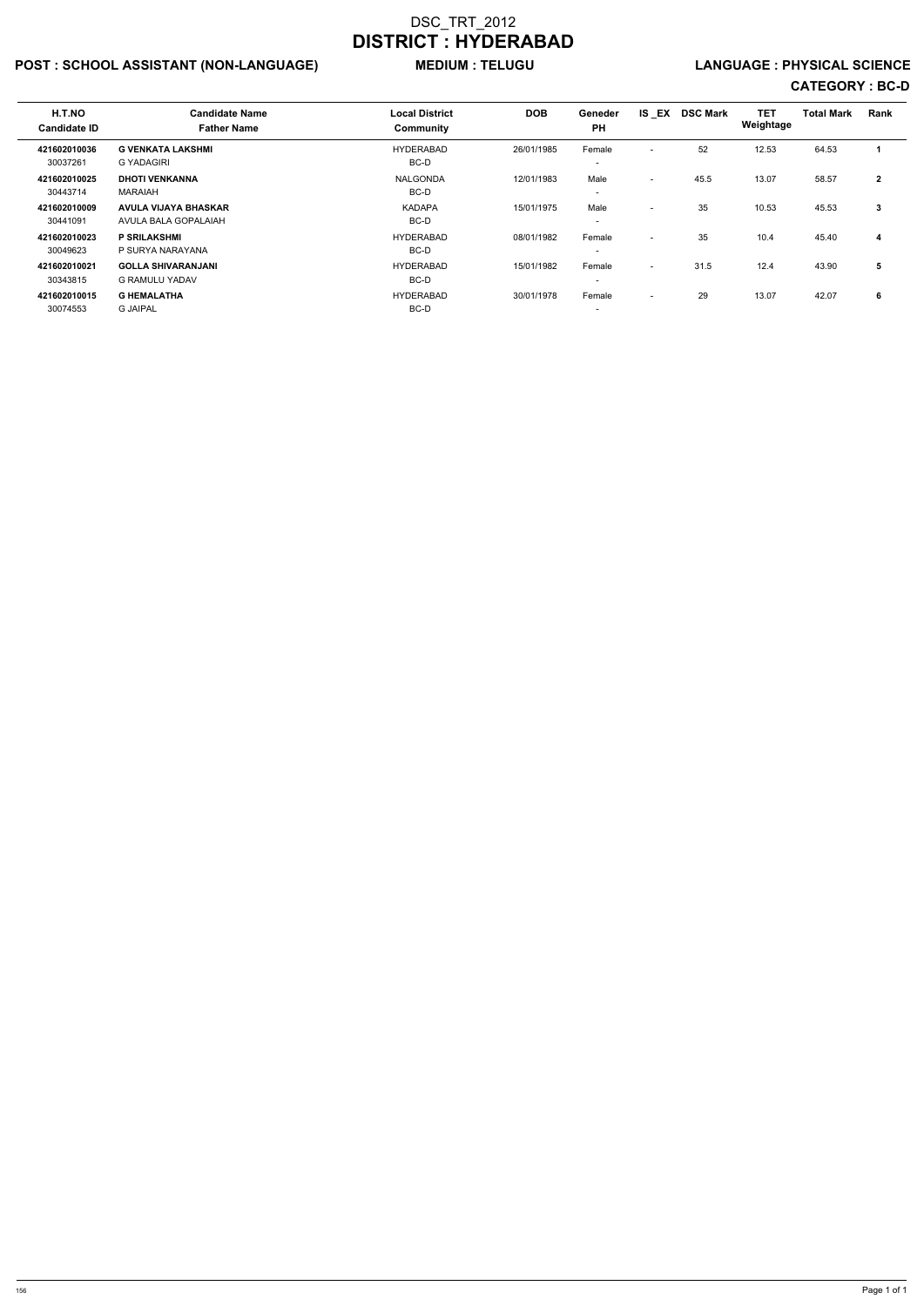# POST : SCHOOL ASSISTANT (NON-LANGUAGE) MEDIUM : TELUGU LANGUAGE : PHYSICAL SCIENCE

| H.T.NO<br><b>Candidate ID</b> | <b>Candidate Name</b><br><b>Father Name</b>         | <b>Local District</b><br>Community | <b>DOB</b> | <b>Geneder</b><br><b>PH</b>        | IS EX                    | <b>DSC Mark</b> | <b>TET</b><br>Weightage | <b>Total Mark</b> | Rank         |
|-------------------------------|-----------------------------------------------------|------------------------------------|------------|------------------------------------|--------------------------|-----------------|-------------------------|-------------------|--------------|
| 421602010036<br>30037261      | <b>G VENKATA LAKSHMI</b><br>G YADAGIRI              | <b>HYDERABAD</b><br>BC-D           | 26/01/1985 | Female<br>$\overline{\phantom{a}}$ | $\overline{\phantom{a}}$ | 52              | 12.53                   | 64.53             |              |
| 421602010025<br>30443714      | <b>DHOTI VENKANNA</b><br>MARAIAH                    | <b>NALGONDA</b><br>BC-D            | 12/01/1983 | Male<br>$\overline{\phantom{0}}$   | $\overline{\phantom{0}}$ | 45.5            | 13.07                   | 58.57             | $\mathbf{2}$ |
| 421602010009<br>30441091      | <b>AVULA VIJAYA BHASKAR</b><br>AVULA BALA GOPALAIAH | <b>KADAPA</b><br>BC-D              | 15/01/1975 | Male<br>$\overline{\phantom{0}}$   | $\overline{\phantom{a}}$ | 35              | 10.53                   | 45.53             | 3            |
| 421602010023<br>30049623      | <b>P SRILAKSHMI</b><br>P SURYA NARAYANA             | <b>HYDERABAD</b><br>BC-D           | 08/01/1982 | Female<br>$\overline{\phantom{0}}$ | $\overline{\phantom{a}}$ | 35              | 10.4                    | 45.40             | 4            |
| 421602010021<br>30343815      | <b>GOLLA SHIVARANJANI</b><br><b>G RAMULU YADAV</b>  | <b>HYDERABAD</b><br>BC-D           | 15/01/1982 | Female<br>$\overline{\phantom{0}}$ | $\overline{\phantom{a}}$ | 31.5            | 12.4                    | 43.90             | 5            |
| 421602010015<br>30074553      | <b>G HEMALATHA</b><br><b>G JAIPAL</b>               | <b>HYDERABAD</b><br>BC-D           | 30/01/1978 | Female<br>$\overline{\phantom{a}}$ | $\overline{\phantom{a}}$ | 29              | 13.07                   | 42.07             | 6            |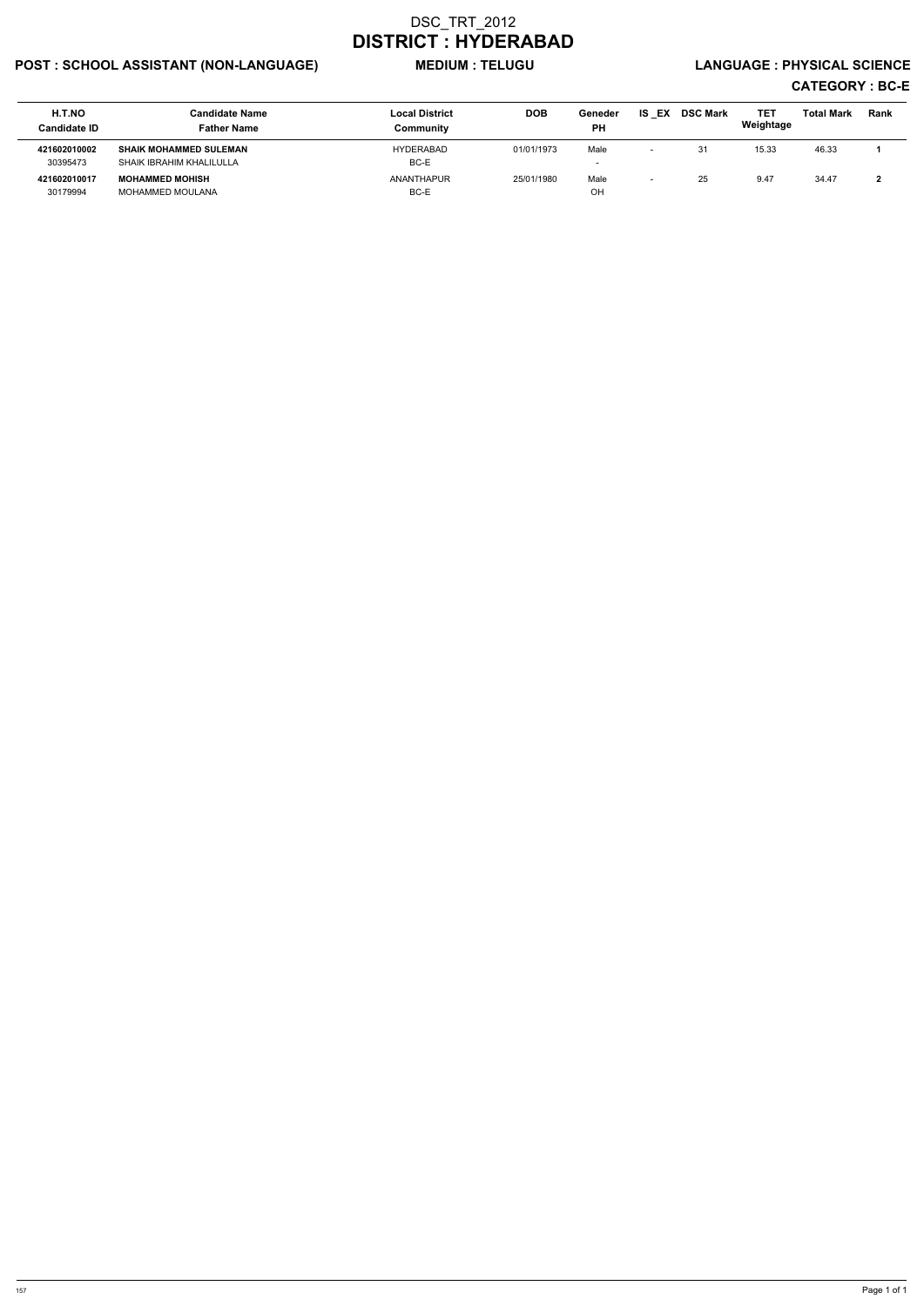# POST : SCHOOL ASSISTANT (NON-LANGUAGE) MEDIUM : TELUGU LANGUAGE : PHYSICAL SCIENCE

| H.T.NO<br><b>Candidate ID</b> | <b>Candidate Name</b><br><b>Father Name</b>               | <b>Local District</b><br>Community | <b>DOB</b> | Geneder<br><b>PH</b>             | EX<br>IS | <b>DSC Mark</b> | TET<br>Weightage | <b>Total Mark</b> | Rank |
|-------------------------------|-----------------------------------------------------------|------------------------------------|------------|----------------------------------|----------|-----------------|------------------|-------------------|------|
| 421602010002<br>30395473      | <b>SHAIK MOHAMMED SULEMAN</b><br>SHAIK IBRAHIM KHALILULLA | HYDERABAD<br>BC-E                  | 01/01/1973 | Male<br>$\overline{\phantom{0}}$ |          | 31              | 15.33            | 46.33             |      |
| 421602010017<br>30179994      | <b>MOHAMMED MOHISH</b><br>MOHAMMED MOULANA                | ANANTHAPUR<br>BC-E                 | 25/01/1980 | Male<br>OH                       |          | 25              | 9.47             | 34.47             |      |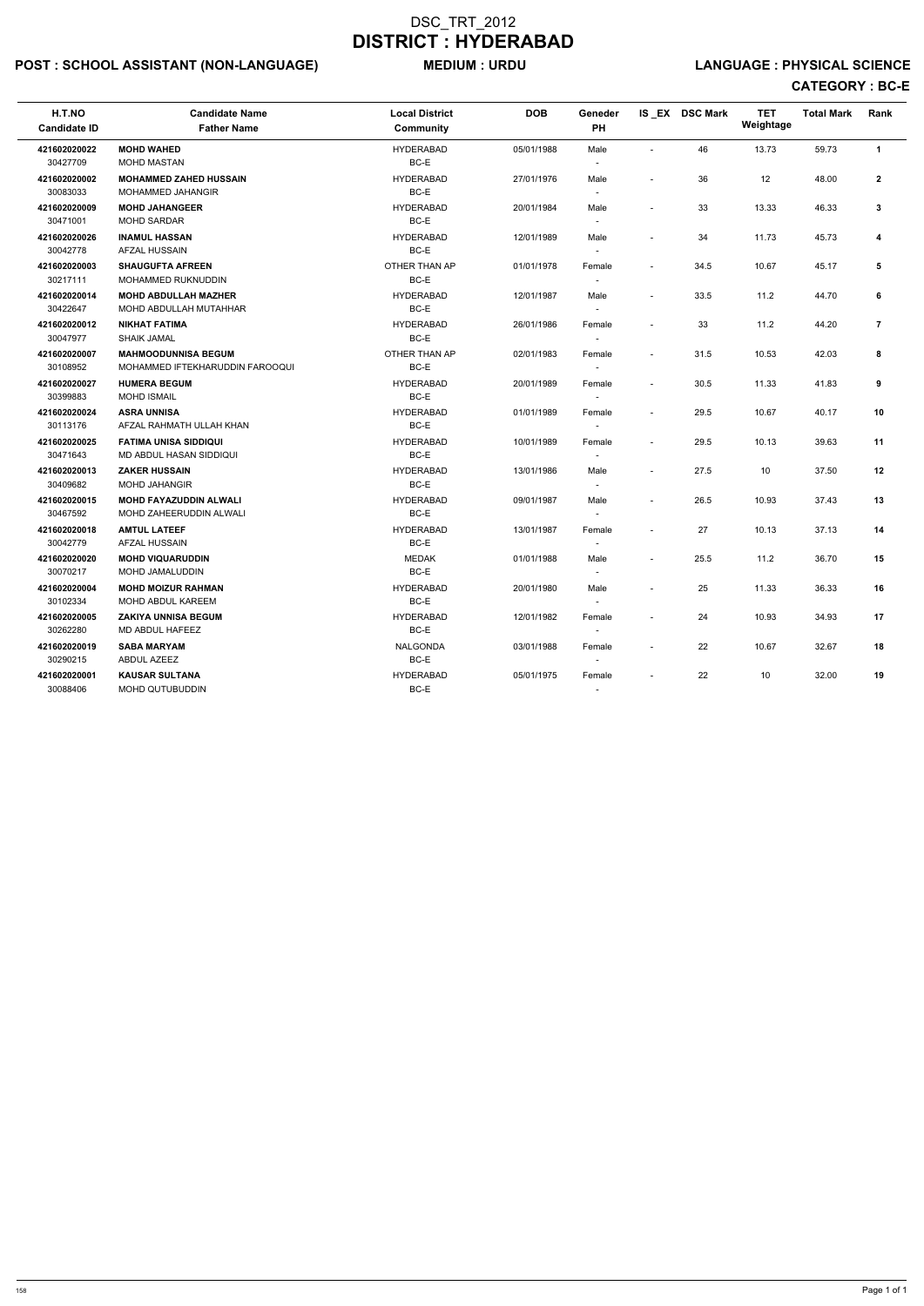# POST : SCHOOL ASSISTANT (NON-LANGUAGE) MEDIUM : URDU LANGUAGE : PHYSICAL SCIENCE

| H.T.NO<br><b>Candidate ID</b> | <b>Candidate Name</b><br><b>Father Name</b>                   | <b>Local District</b><br><b>Community</b> | <b>DOB</b> | Geneder<br>PH                      |                          | IS EX DSC Mark | <b>TET</b><br>Weightage | <b>Total Mark</b> | Rank           |
|-------------------------------|---------------------------------------------------------------|-------------------------------------------|------------|------------------------------------|--------------------------|----------------|-------------------------|-------------------|----------------|
| 421602020022<br>30427709      | <b>MOHD WAHED</b><br><b>MOHD MASTAN</b>                       | <b>HYDERABAD</b><br>BC-E                  | 05/01/1988 | Male                               |                          | 46             | 13.73                   | 59.73             | $\mathbf{1}$   |
| 421602020002<br>30083033      | <b>MOHAMMED ZAHED HUSSAIN</b><br>MOHAMMED JAHANGIR            | <b>HYDERABAD</b><br>BC-E                  | 27/01/1976 | Male<br>$\overline{\phantom{a}}$   |                          | 36             | 12                      | 48.00             | $\mathbf{2}$   |
| 421602020009<br>30471001      | <b>MOHD JAHANGEER</b><br><b>MOHD SARDAR</b>                   | <b>HYDERABAD</b><br>BC-E                  | 20/01/1984 | Male                               |                          | 33             | 13.33                   | 46.33             | 3              |
| 421602020026<br>30042778      | <b>INAMUL HASSAN</b><br>AFZAL HUSSAIN                         | <b>HYDERABAD</b><br>BC-E                  | 12/01/1989 | Male                               |                          | 34             | 11.73                   | 45.73             | 4              |
| 421602020003<br>30217111      | <b>SHAUGUFTA AFREEN</b><br>MOHAMMED RUKNUDDIN                 | OTHER THAN AP<br>BC-E                     | 01/01/1978 | Female<br>$\overline{\phantom{a}}$ |                          | 34.5           | 10.67                   | 45.17             | 5              |
| 421602020014<br>30422647      | <b>MOHD ABDULLAH MAZHER</b><br>MOHD ABDULLAH MUTAHHAR         | <b>HYDERABAD</b><br>BC-E                  | 12/01/1987 | Male<br>$\overline{\phantom{a}}$   | $\overline{\phantom{a}}$ | 33.5           | 11.2                    | 44.70             | 6              |
| 421602020012<br>30047977      | <b>NIKHAT FATIMA</b><br><b>SHAIK JAMAL</b>                    | <b>HYDERABAD</b><br>BC-E                  | 26/01/1986 | Female                             |                          | 33             | 11.2                    | 44.20             | $\overline{7}$ |
| 421602020007<br>30108952      | <b>MAHMOODUNNISA BEGUM</b><br>MOHAMMED IFTEKHARUDDIN FAROOQUI | OTHER THAN AP<br>BC-E                     | 02/01/1983 | Female                             | $\sim$                   | 31.5           | 10.53                   | 42.03             | 8              |
| 421602020027<br>30399883      | <b>HUMERA BEGUM</b><br><b>MOHD ISMAIL</b>                     | <b>HYDERABAD</b><br>BC-E                  | 20/01/1989 | Female                             | $\sim$                   | 30.5           | 11.33                   | 41.83             | 9              |
| 421602020024<br>30113176      | <b>ASRA UNNISA</b><br>AFZAL RAHMATH ULLAH KHAN                | <b>HYDERABAD</b><br>BC-E                  | 01/01/1989 | Female<br>$\overline{\phantom{a}}$ | $\overline{\phantom{a}}$ | 29.5           | 10.67                   | 40.17             | 10             |
| 421602020025<br>30471643      | <b>FATIMA UNISA SIDDIQUI</b><br>MD ABDUL HASAN SIDDIQUI       | <b>HYDERABAD</b><br>BC-E                  | 10/01/1989 | Female                             | $\overline{\phantom{a}}$ | 29.5           | 10.13                   | 39.63             | 11             |
| 421602020013<br>30409682      | <b>ZAKER HUSSAIN</b><br><b>MOHD JAHANGIR</b>                  | <b>HYDERABAD</b><br>BC-E                  | 13/01/1986 | Male                               |                          | 27.5           | 10                      | 37.50             | 12             |
| 421602020015<br>30467592      | <b>MOHD FAYAZUDDIN ALWALI</b><br>MOHD ZAHEERUDDIN ALWALI      | <b>HYDERABAD</b><br>BC-E                  | 09/01/1987 | Male                               | $\overline{\phantom{a}}$ | 26.5           | 10.93                   | 37.43             | 13             |
| 421602020018<br>30042779      | <b>AMTUL LATEEF</b><br>AFZAL HUSSAIN                          | <b>HYDERABAD</b><br>BC-E                  | 13/01/1987 | Female<br>$\overline{\phantom{a}}$ |                          | 27             | 10.13                   | 37.13             | 14             |
| 421602020020<br>30070217      | <b>MOHD VIQUARUDDIN</b><br>MOHD JAMALUDDIN                    | <b>MEDAK</b><br>BC-E                      | 01/01/1988 | Male                               | $\overline{\phantom{a}}$ | 25.5           | 11.2                    | 36.70             | 15             |
| 421602020004<br>30102334      | <b>MOHD MOIZUR RAHMAN</b><br>MOHD ABDUL KAREEM                | <b>HYDERABAD</b><br>BC-E                  | 20/01/1980 | Male                               |                          | 25             | 11.33                   | 36.33             | 16             |
| 421602020005<br>30262280      | <b>ZAKIYA UNNISA BEGUM</b><br>MD ABDUL HAFEEZ                 | <b>HYDERABAD</b><br>BC-E                  | 12/01/1982 | Female                             |                          | 24             | 10.93                   | 34.93             | 17             |
| 421602020019<br>30290215      | <b>SABA MARYAM</b><br>ABDUL AZEEZ                             | NALGONDA<br>BC-E                          | 03/01/1988 | Female                             | $\sim$                   | 22             | 10.67                   | 32.67             | 18             |
| 421602020001<br>30088406      | <b>KAUSAR SULTANA</b><br>MOHD QUTUBUDDIN                      | <b>HYDERABAD</b><br>BC-E                  | 05/01/1975 | Female                             |                          | 22             | 10                      | 32.00             | 19             |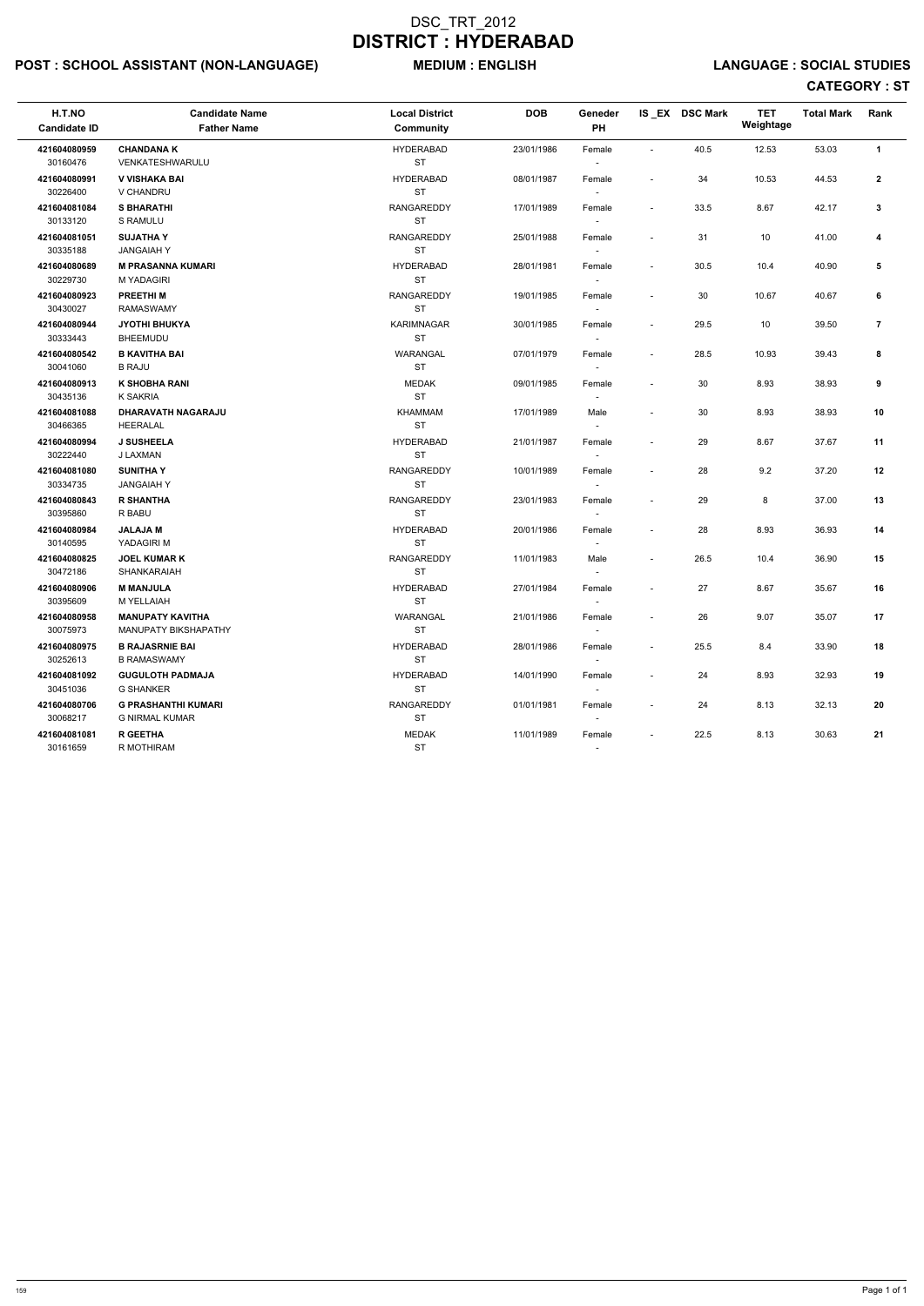# POST : SCHOOL ASSISTANT (NON-LANGUAGE) MEDIUM : ENGLISH LANGUAGE : SOCIAL STUDIES

| H.T.NO<br><b>Candidate ID</b> | <b>Candidate Name</b><br><b>Father Name</b> | <b>Local District</b><br>Community | <b>DOB</b> | Geneder<br>PH            |                          | IS_EX DSC Mark | <b>TET</b><br>Weightage | <b>Total Mark</b> | Rank           |
|-------------------------------|---------------------------------------------|------------------------------------|------------|--------------------------|--------------------------|----------------|-------------------------|-------------------|----------------|
| 421604080959                  | <b>CHANDANA K</b>                           | <b>HYDERABAD</b>                   | 23/01/1986 | Female                   | $\sim$                   | 40.5           | 12.53                   | 53.03             | $\mathbf{1}$   |
| 30160476                      | VENKATESHWARULU                             | <b>ST</b>                          |            |                          |                          |                |                         |                   |                |
| 421604080991                  | V VISHAKA BAI                               | <b>HYDERABAD</b>                   | 08/01/1987 | Female                   | $\blacksquare$           | 34             | 10.53                   | 44.53             | $\mathbf{2}$   |
| 30226400                      | V CHANDRU                                   | <b>ST</b>                          |            |                          |                          |                |                         |                   |                |
| 421604081084                  | <b>S BHARATHI</b>                           | RANGAREDDY                         | 17/01/1989 | Female                   | $\overline{\phantom{a}}$ | 33.5           | 8.67                    | 42.17             | 3              |
| 30133120                      | S RAMULU                                    | <b>ST</b>                          |            | $\overline{\phantom{a}}$ |                          |                |                         |                   |                |
| 421604081051                  | <b>SUJATHAY</b>                             | RANGAREDDY                         | 25/01/1988 | Female                   | $\overline{\phantom{a}}$ | 31             | 10                      | 41.00             | 4              |
| 30335188                      | <b>JANGAIAH Y</b>                           | <b>ST</b>                          |            | $\sim$                   |                          |                |                         |                   |                |
| 421604080689                  | <b>M PRASANNA KUMARI</b>                    | <b>HYDERABAD</b>                   | 28/01/1981 | Female                   | $\overline{\phantom{a}}$ | 30.5           | 10.4                    | 40.90             | 5              |
| 30229730                      | <b>M YADAGIRI</b>                           | <b>ST</b>                          |            |                          |                          |                |                         |                   |                |
| 421604080923                  | <b>PREETHIM</b>                             | <b>RANGAREDDY</b>                  | 19/01/1985 | Female                   | $\overline{\phantom{a}}$ | 30             | 10.67                   | 40.67             | 6              |
| 30430027                      | <b>RAMASWAMY</b>                            | <b>ST</b>                          |            |                          |                          |                |                         |                   |                |
| 421604080944                  | <b>JYOTHI BHUKYA</b>                        | <b>KARIMNAGAR</b>                  | 30/01/1985 | Female                   | $\sim$                   | 29.5           | 10                      | 39.50             | $\overline{7}$ |
| 30333443                      | <b>BHEEMUDU</b>                             | <b>ST</b>                          |            | $\sim$                   |                          |                |                         |                   |                |
| 421604080542                  | <b>B KAVITHA BAI</b>                        | WARANGAL                           | 07/01/1979 | Female                   | $\sim$                   | 28.5           | 10.93                   | 39.43             | 8              |
| 30041060                      | <b>B RAJU</b>                               | <b>ST</b>                          |            | $\overline{\phantom{a}}$ |                          |                |                         |                   |                |
| 421604080913                  | <b>K SHOBHA RANI</b>                        | <b>MEDAK</b>                       | 09/01/1985 | Female                   | $\overline{\phantom{a}}$ | 30             | 8.93                    | 38.93             | 9              |
| 30435136                      | <b>K SAKRIA</b>                             | <b>ST</b>                          |            | $\sim$                   |                          |                |                         |                   |                |
| 421604081088                  | <b>DHARAVATH NAGARAJU</b>                   | KHAMMAM                            | 17/01/1989 | Male                     |                          | 30             | 8.93                    | 38.93             | 10             |
| 30466365                      | HEERALAL                                    | <b>ST</b>                          |            |                          |                          |                |                         |                   |                |
| 421604080994                  | <b>J SUSHEELA</b>                           | <b>HYDERABAD</b>                   | 21/01/1987 | Female                   | $\overline{\phantom{a}}$ | 29             | 8.67                    | 37.67             | 11             |
| 30222440                      | J LAXMAN                                    | <b>ST</b>                          |            |                          |                          |                |                         |                   |                |
| 421604081080                  | <b>SUNITHAY</b>                             | RANGAREDDY                         | 10/01/1989 | Female                   | $\overline{\phantom{a}}$ | 28             | 9.2                     | 37.20             | 12             |
| 30334735                      | <b>JANGAIAHY</b>                            | <b>ST</b>                          |            | $\sim$                   |                          |                |                         |                   |                |
| 421604080843                  | <b>R SHANTHA</b>                            | RANGAREDDY                         | 23/01/1983 | Female                   | $\overline{\phantom{a}}$ | 29             | 8                       | 37.00             | 13             |
| 30395860                      | R BABU                                      | <b>ST</b>                          |            | $\sim$                   |                          |                |                         |                   |                |
| 421604080984                  | <b>JALAJAM</b>                              | <b>HYDERABAD</b>                   | 20/01/1986 | Female                   | $\overline{\phantom{a}}$ | 28             | 8.93                    | 36.93             | 14             |
| 30140595                      | YADAGIRI M                                  | <b>ST</b>                          |            |                          |                          |                |                         |                   |                |
| 421604080825                  | <b>JOEL KUMAR K</b>                         | <b>RANGAREDDY</b>                  | 11/01/1983 | Male                     | $\sim$                   | 26.5           | 10.4                    | 36.90             | 15             |
| 30472186                      | SHANKARAIAH                                 | <b>ST</b>                          |            |                          |                          |                |                         |                   |                |
| 421604080906                  | <b>M MANJULA</b>                            | <b>HYDERABAD</b>                   | 27/01/1984 | Female                   | $\sim$                   | 27             | 8.67                    | 35.67             | 16             |
| 30395609                      | M YELLAIAH                                  | <b>ST</b>                          |            | $\sim$                   |                          |                |                         |                   |                |
| 421604080958                  | <b>MANUPATY KAVITHA</b>                     | WARANGAL                           | 21/01/1986 | Female                   |                          | 26             | 9.07                    | 35.07             | 17             |
| 30075973                      | <b>MANUPATY BIKSHAPATHY</b>                 | <b>ST</b>                          |            |                          |                          |                |                         |                   |                |
| 421604080975                  | <b>B RAJASRNIE BAI</b>                      | <b>HYDERABAD</b>                   | 28/01/1986 | Female                   | $\sim$                   | 25.5           | 8.4                     | 33.90             | 18             |
| 30252613                      | <b>B RAMASWAMY</b>                          | ST                                 |            | $\sim$                   |                          |                |                         |                   |                |
| 421604081092                  | <b>GUGULOTH PADMAJA</b>                     | <b>HYDERABAD</b>                   | 14/01/1990 | Female                   |                          | 24             | 8.93                    | 32.93             | 19             |
| 30451036                      | <b>G SHANKER</b>                            | ST                                 |            | $\sim$                   |                          |                |                         |                   |                |
| 421604080706                  | <b>G PRASHANTHI KUMARI</b>                  | RANGAREDDY                         | 01/01/1981 | Female                   | $\sim$                   | 24             | 8.13                    | 32.13             | 20             |
| 30068217                      | G NIRMAL KUMAR                              | <b>ST</b>                          |            | $\sim$                   |                          |                |                         |                   |                |
| 421604081081                  | <b>R GEETHA</b>                             | MEDAK                              | 11/01/1989 | Female                   |                          | 22.5           | 8.13                    | 30.63             | 21             |
| 30161659                      | R MOTHIRAM                                  | ST                                 |            | $\overline{\phantom{a}}$ |                          |                |                         |                   |                |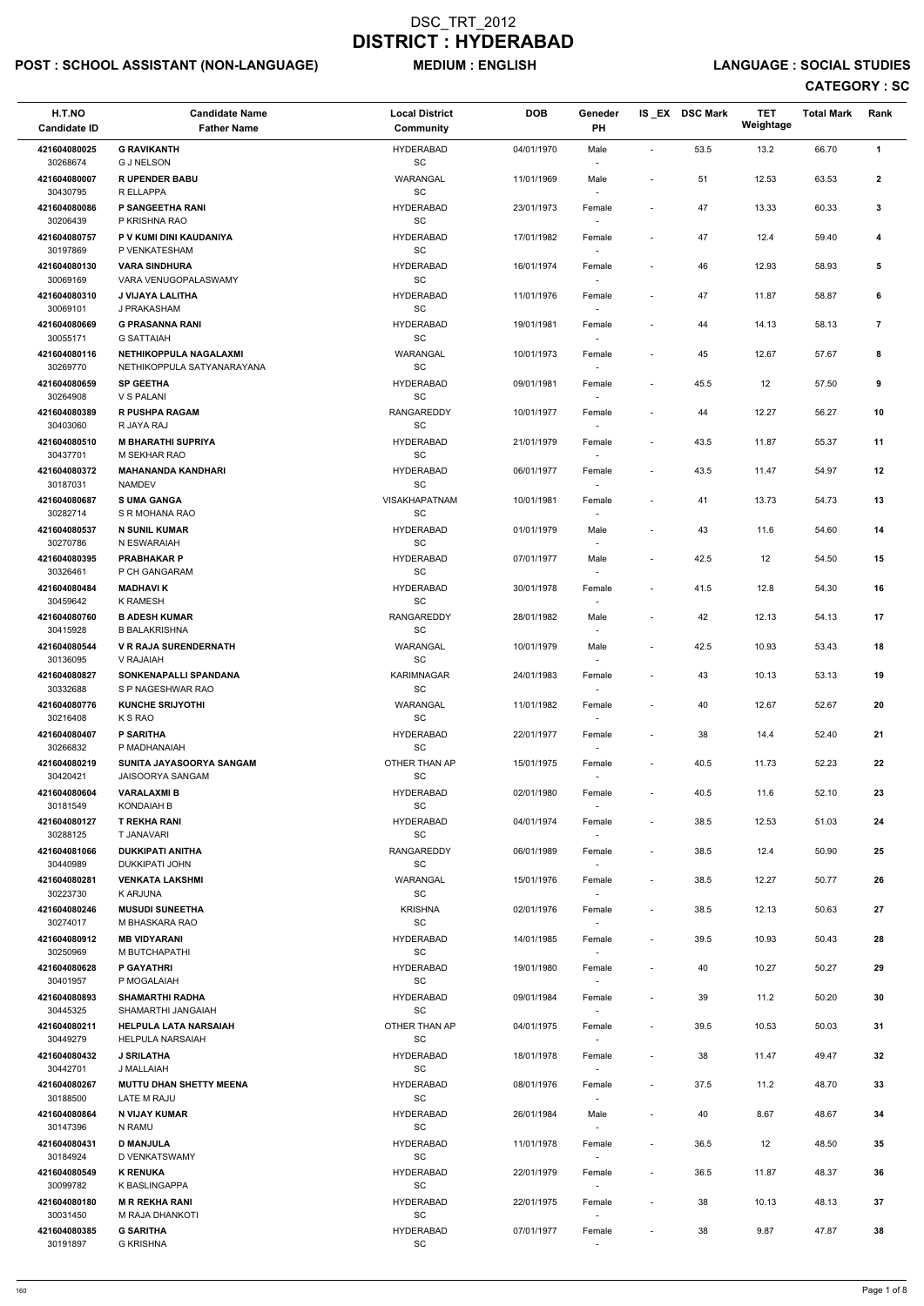# POST : SCHOOL ASSISTANT (NON-LANGUAGE) MEDIUM : ENGLISH LANGUAGE : SOCIAL STUDIES

| H.T.NO<br><b>Candidate ID</b> | <b>Candidate Name</b><br><b>Father Name</b>             | <b>Local District</b><br>Community               | <b>DOB</b> | Geneder<br><b>PH</b>               |                          | IS_EX DSC Mark | <b>TET</b><br>Weightage | <b>Total Mark</b> | Rank           |
|-------------------------------|---------------------------------------------------------|--------------------------------------------------|------------|------------------------------------|--------------------------|----------------|-------------------------|-------------------|----------------|
| 421604080025<br>30268674      | <b>G RAVIKANTH</b><br><b>G J NELSON</b>                 | <b>HYDERABAD</b><br>$\operatorname{\textsf{SC}}$ | 04/01/1970 | Male                               | $\overline{\phantom{a}}$ | 53.5           | 13.2                    | 66.70             | $\mathbf{1}$   |
| 421604080007                  | <b>RUPENDER BABU</b>                                    | WARANGAL<br>SC                                   | 11/01/1969 | Male                               | $\blacksquare$           | 51             | 12.53                   | 63.53             | $\mathbf{2}$   |
| 30430795<br>421604080086      | R ELLAPPA<br>P SANGEETHA RANI                           | <b>HYDERABAD</b>                                 | 23/01/1973 | Female                             | $\overline{\phantom{a}}$ | 47             | 13.33                   | 60.33             | $\mathbf{3}$   |
| 30206439<br>421604080757      | P KRISHNA RAO<br>P V KUMI DINI KAUDANIYA                | SC<br><b>HYDERABAD</b>                           | 17/01/1982 | Female                             | $\blacksquare$           | 47             | 12.4                    | 59.40             | 4              |
| 30197869<br>421604080130      | P VENKATESHAM<br><b>VARA SINDHURA</b>                   | SC<br><b>HYDERABAD</b>                           | 16/01/1974 | $\sim$<br>Female                   | $\overline{\phantom{a}}$ | 46             | 12.93                   | 58.93             | 5              |
| 30069169<br>421604080310      | VARA VENUGOPALASWAMY<br>J VIJAYA LALITHA                | SC<br><b>HYDERABAD</b>                           | 11/01/1976 | Female                             | $\overline{\phantom{a}}$ | 47             | 11.87                   | 58.87             | 6              |
| 30069101<br>421604080669      | J PRAKASHAM<br><b>G PRASANNA RANI</b>                   | SC<br><b>HYDERABAD</b>                           | 19/01/1981 | Female                             | $\overline{\phantom{a}}$ | 44             | 14.13                   | 58.13             | $\overline{7}$ |
| 30055171<br>421604080116      | <b>G SATTAIAH</b><br>NETHIKOPPULA NAGALAXMI             | $\operatorname{\textsf{SC}}$<br>WARANGAL         | 10/01/1973 | Female                             | $\overline{\phantom{a}}$ | 45             | 12.67                   | 57.67             | 8              |
| 30269770<br>421604080659      | NETHIKOPPULA SATYANARAYANA<br><b>SP GEETHA</b>          | SC<br><b>HYDERABAD</b>                           | 09/01/1981 | $\sim$<br>Female                   | $\overline{\phantom{a}}$ | 45.5           | 12                      | 57.50             | 9              |
| 30264908<br>421604080389      | V S PALANI<br><b>R PUSHPA RAGAM</b>                     | SC<br><b>RANGAREDDY</b>                          | 10/01/1977 | Female                             | $\overline{\phantom{a}}$ | 44             | 12.27                   | 56.27             | 10             |
| 30403060<br>421604080510      | R JAYA RAJ<br><b>M BHARATHI SUPRIYA</b>                 | SC<br><b>HYDERABAD</b>                           | 21/01/1979 | Female                             | $\blacksquare$           | 43.5           | 11.87                   | 55.37             | 11             |
| 30437701                      | M SEKHAR RAO                                            | $\operatorname{\textsf{SC}}$                     |            |                                    |                          |                |                         |                   |                |
| 421604080372<br>30187031      | <b>MAHANANDA KANDHARI</b><br><b>NAMDEV</b>              | <b>HYDERABAD</b><br>SC                           | 06/01/1977 | Female                             | $\overline{\phantom{a}}$ | 43.5           | 11.47                   | 54.97             | 12             |
| 421604080687<br>30282714      | <b>SUMA GANGA</b><br>S R MOHANA RAO                     | <b>VISAKHAPATNAM</b><br>SC                       | 10/01/1981 | Female<br>$\sim$                   | $\overline{\phantom{a}}$ | 41             | 13.73                   | 54.73             | 13             |
| 421604080537<br>30270786      | <b>N SUNIL KUMAR</b><br>N ESWARAIAH                     | <b>HYDERABAD</b><br>SC                           | 01/01/1979 | Male                               | $\overline{\phantom{a}}$ | 43             | 11.6                    | 54.60             | 14             |
| 421604080395<br>30326461      | <b>PRABHAKAR P</b><br>P CH GANGARAM                     | <b>HYDERABAD</b><br>SC                           | 07/01/1977 | Male                               | $\overline{\phantom{a}}$ | 42.5           | 12                      | 54.50             | 15             |
| 421604080484<br>30459642      | <b>MADHAVIK</b><br>K RAMESH                             | <b>HYDERABAD</b><br>SC                           | 30/01/1978 | Female<br>$\overline{\phantom{a}}$ | $\overline{\phantom{a}}$ | 41.5           | 12.8                    | 54.30             | 16             |
| 421604080760<br>30415928      | <b>B ADESH KUMAR</b><br><b>B BALAKRISHNA</b>            | <b>RANGAREDDY</b><br>SC                          | 28/01/1982 | Male<br>$\sim$                     | $\overline{\phantom{0}}$ | 42             | 12.13                   | 54.13             | 17             |
| 421604080544<br>30136095      | <b>V R RAJA SURENDERNATH</b><br>V RAJAIAH               | WARANGAL<br>SC                                   | 10/01/1979 | Male                               | $\overline{\phantom{a}}$ | 42.5           | 10.93                   | 53.43             | 18             |
| 421604080827<br>30332688      | SONKENAPALLI SPANDANA<br>S P NAGESHWAR RAO              | <b>KARIMNAGAR</b><br><b>SC</b>                   | 24/01/1983 | Female                             | $\overline{\phantom{a}}$ | 43             | 10.13                   | 53.13             | 19             |
| 421604080776<br>30216408      | <b>KUNCHE SRIJYOTHI</b><br>K S RAO                      | WARANGAL<br><b>SC</b>                            | 11/01/1982 | Female                             | $\overline{\phantom{a}}$ | 40             | 12.67                   | 52.67             | 20             |
| 421604080407<br>30266832      | <b>P SARITHA</b><br>P MADHANAIAH                        | <b>HYDERABAD</b><br>SC                           | 22/01/1977 | Female<br>$\sim$                   | $\overline{\phantom{a}}$ | 38             | 14.4                    | 52.40             | 21             |
| 421604080219<br>30420421      | SUNITA JAYASOORYA SANGAM<br><b>JAISOORYA SANGAM</b>     | OTHER THAN AP<br>SC                              | 15/01/1975 | Female<br>$\overline{\phantom{a}}$ | $\overline{\phantom{a}}$ | 40.5           | 11.73                   | 52.23             | 22             |
| 421604080604                  | <b>VARALAXMIB</b>                                       | <b>HYDERABAD</b><br><b>SC</b>                    | 02/01/1980 | Female                             | $\overline{\phantom{a}}$ | 40.5           | 11.6                    | 52.10             | 23             |
| 30181549<br>421604080127      | <b>KONDAIAH B</b><br>T REKHA RANI                       | <b>HYDERABAD</b>                                 | 04/01/1974 | Female                             | $\overline{\phantom{a}}$ | 38.5           | 12.53                   | 51.03             | 24             |
| 30288125<br>421604081066      | T JANAVARI<br><b>DUKKIPATI ANITHA</b>                   | <b>SC</b><br><b>RANGAREDDY</b>                   | 06/01/1989 | $\sim$<br>Female                   | $\overline{\phantom{a}}$ | 38.5           | 12.4                    | 50.90             | 25             |
| 30440989<br>421604080281      | DUKKIPATI JOHN<br><b>VENKATA LAKSHMI</b>                | SC<br>WARANGAL                                   | 15/01/1976 | Female                             | $\blacksquare$           | 38.5           | 12.27                   | 50.77             | 26             |
| 30223730<br>421604080246      | K ARJUNA<br><b>MUSUDI SUNEETHA</b>                      | SC<br><b>KRISHNA</b>                             | 02/01/1976 | $\sim$<br>Female                   | $\blacksquare$           | 38.5           | 12.13                   | 50.63             | 27             |
| 30274017<br>421604080912      | M BHASKARA RAO<br><b>MB VIDYARANI</b>                   | SC<br><b>HYDERABAD</b>                           | 14/01/1985 | Female                             | $\overline{\phantom{a}}$ | 39.5           | 10.93                   | 50.43             | 28             |
| 30250969<br>421604080628      | M BUTCHAPATHI<br><b>P GAYATHRI</b>                      | <b>SC</b><br><b>HYDERABAD</b>                    | 19/01/1980 | Female                             | $\blacksquare$           | 40             | 10.27                   | 50.27             | 29             |
| 30401957<br>421604080893      | P MOGALAIAH<br><b>SHAMARTHI RADHA</b>                   | <b>SC</b><br><b>HYDERABAD</b>                    | 09/01/1984 | $\overline{\phantom{a}}$           | $\overline{\phantom{a}}$ | 39             | 11.2                    | 50.20             | 30             |
| 30445325                      | SHAMARTHI JANGAIAH                                      | SC                                               |            | Female<br>$\sim$                   |                          |                |                         |                   |                |
| 421604080211<br>30449279      | <b>HELPULA LATA NARSAIAH</b><br><b>HELPULA NARSAIAH</b> | OTHER THAN AP<br>SC                              | 04/01/1975 | Female                             | $\overline{\phantom{a}}$ | 39.5           | 10.53                   | 50.03             | 31             |
| 421604080432<br>30442701      | <b>J SRILATHA</b><br>J MALLAIAH                         | <b>HYDERABAD</b><br>SC                           | 18/01/1978 | Female                             | $\overline{\phantom{a}}$ | 38             | 11.47                   | 49.47             | 32             |
| 421604080267<br>30188500      | <b>MUTTU DHAN SHETTY MEENA</b><br>LATE M RAJU           | <b>HYDERABAD</b><br>SC                           | 08/01/1976 | Female<br>$\overline{\phantom{a}}$ | $\overline{\phantom{a}}$ | 37.5           | 11.2                    | 48.70             | 33             |
| 421604080864<br>30147396      | N VIJAY KUMAR<br>N RAMU                                 | <b>HYDERABAD</b><br>$\operatorname{\textsf{SC}}$ | 26/01/1984 | Male                               | ٠                        | 40             | 8.67                    | 48.67             | 34             |
| 421604080431                  | <b>D MANJULA</b>                                        | <b>HYDERABAD</b>                                 | 11/01/1978 | Female                             | $\overline{\phantom{a}}$ | 36.5           | 12                      | 48.50             | 35             |
| 30184924<br>421604080549      | D VENKATSWAMY<br><b>K RENUKA</b>                        | SC<br><b>HYDERABAD</b>                           | 22/01/1979 | $\sim$<br>Female                   | $\overline{\phantom{a}}$ | 36.5           | 11.87                   | 48.37             | 36             |
| 30099782<br>421604080180      | K BASLINGAPPA<br><b>M R REKHA RANI</b>                  | SC<br><b>HYDERABAD</b>                           | 22/01/1975 | Female                             | $\overline{\phantom{a}}$ | 38             | 10.13                   | 48.13             | 37             |
| 30031450<br>421604080385      | M RAJA DHANKOTI<br><b>G SARITHA</b>                     | SC<br><b>HYDERABAD</b>                           | 07/01/1977 | $\sim$<br>Female                   |                          | 38             | 9.87                    | 47.87             | 38             |
| 30191897                      | <b>G KRISHNA</b>                                        | SC                                               |            |                                    |                          |                |                         |                   |                |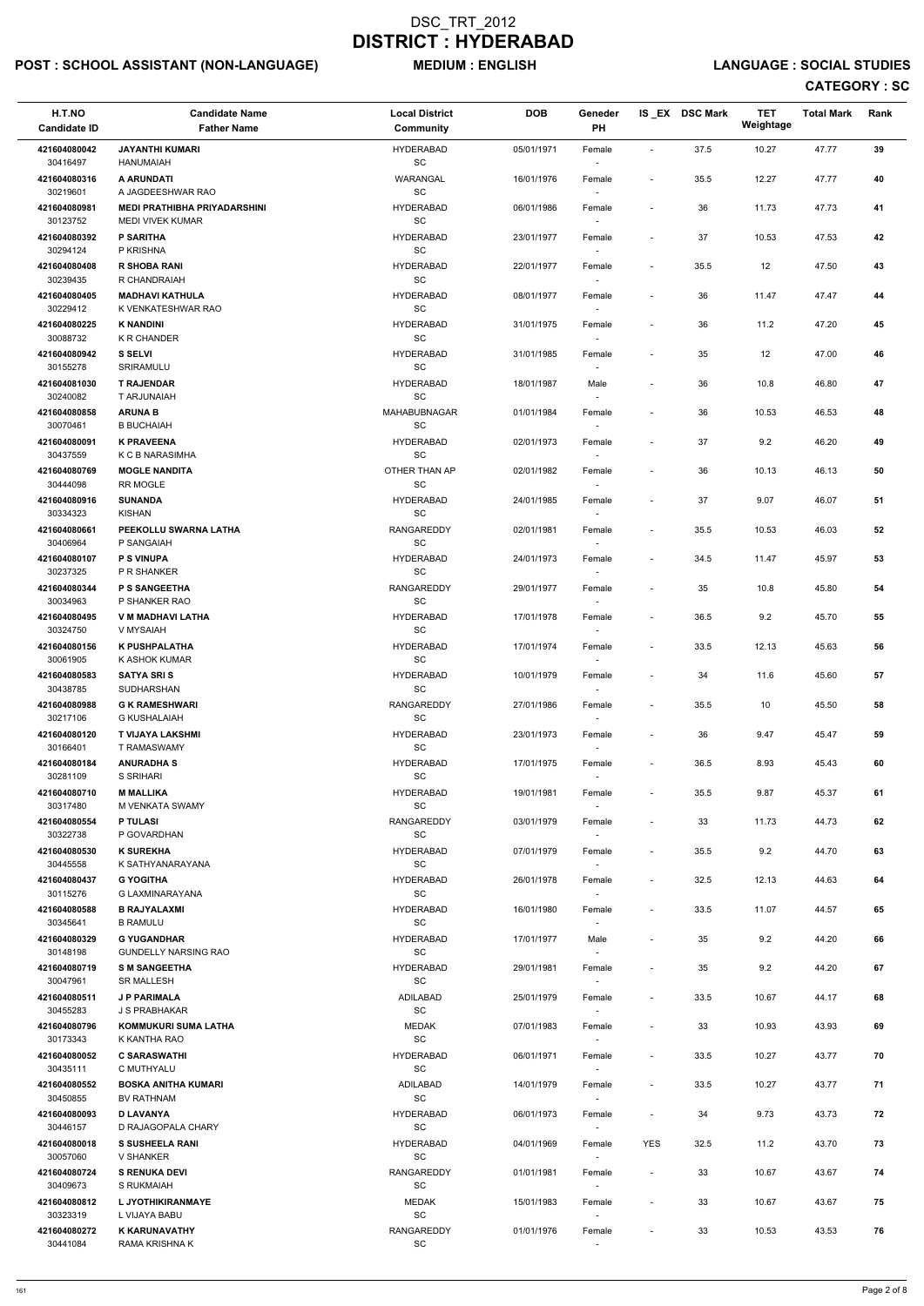# POST : SCHOOL ASSISTANT (NON-LANGUAGE) MEDIUM : ENGLISH LANGUAGE : SOCIAL STUDIES

| H.T.NO<br><b>Candidate ID</b>        | <b>Candidate Name</b><br><b>Father Name</b>                  | <b>Local District</b><br>Community                     | <b>DOB</b> | Geneder<br>PH                      |                          | IS_EX DSC Mark | <b>TET</b><br>Weightage | <b>Total Mark</b> | Rank |  |
|--------------------------------------|--------------------------------------------------------------|--------------------------------------------------------|------------|------------------------------------|--------------------------|----------------|-------------------------|-------------------|------|--|
| 421604080042                         | <b>JAYANTHI KUMARI</b>                                       | <b>HYDERABAD</b>                                       | 05/01/1971 | Female                             | $\blacksquare$           | 37.5           | 10.27                   | 47.77             | 39   |  |
| 30416497                             | <b>HANUMAIAH</b>                                             | $\operatorname{\textsf{SC}}$                           |            | $\overline{\phantom{a}}$           |                          |                |                         |                   |      |  |
| 421604080316<br>30219601             | A ARUNDATI<br>A JAGDEESHWAR RAO                              | WARANGAL<br>$\operatorname{\textsf{SC}}$               | 16/01/1976 | Female                             | $\overline{\phantom{a}}$ | 35.5           | 12.27                   | 47.77             | 40   |  |
| 421604080981<br>30123752             | <b>MEDI PRATHIBHA PRIYADARSHINI</b><br>MEDI VIVEK KUMAR      | <b>HYDERABAD</b><br>$\operatorname{\textsf{SC}}$       | 06/01/1986 | Female<br>$\overline{\phantom{a}}$ | $\overline{\phantom{a}}$ | 36             | 11.73                   | 47.73             | 41   |  |
| 421604080392<br>30294124             | <b>P SARITHA</b><br>P KRISHNA                                | <b>HYDERABAD</b><br>SC                                 | 23/01/1977 | Female<br>$\overline{\phantom{a}}$ |                          | 37             | 10.53                   | 47.53             | 42   |  |
| 421604080408                         | <b>R SHOBA RANI</b>                                          | <b>HYDERABAD</b>                                       | 22/01/1977 | Female                             | $\overline{\phantom{a}}$ | 35.5           | 12                      | 47.50             | 43   |  |
| 30239435<br>421604080405<br>30229412 | R CHANDRAIAH<br><b>MADHAVI KATHULA</b><br>K VENKATESHWAR RAO | SC<br><b>HYDERABAD</b><br>$\operatorname{\textsf{SC}}$ | 08/01/1977 | $\overline{\phantom{a}}$<br>Female |                          | 36             | 11.47                   | 47.47             | 44   |  |
| 421604080225<br>30088732             | <b>K NANDINI</b><br>K R CHANDER                              | <b>HYDERABAD</b><br>$\operatorname{\textsf{SC}}$       | 31/01/1975 | Female                             | $\overline{\phantom{a}}$ | 36             | 11.2                    | 47.20             | 45   |  |
| 421604080942<br>30155278             | <b>S SELVI</b><br>SRIRAMULU                                  | <b>HYDERABAD</b><br>SC                                 | 31/01/1985 | Female<br>$\overline{\phantom{a}}$ | $\overline{\phantom{a}}$ | 35             | 12                      | 47.00             | 46   |  |
| 421604081030<br>30240082             | <b>T RAJENDAR</b><br>T ARJUNAIAH                             | <b>HYDERABAD</b><br><b>SC</b>                          | 18/01/1987 | Male<br>$\overline{\phantom{a}}$   | $\overline{\phantom{a}}$ | 36             | 10.8                    | 46.80             | 47   |  |
| 421604080858                         | <b>ARUNA B</b>                                               | MAHABUBNAGAR                                           | 01/01/1984 | Female                             | $\overline{\phantom{a}}$ | 36             | 10.53                   | 46.53             | 48   |  |
| 30070461<br>421604080091             | <b>B BUCHAIAH</b><br><b>K PRAVEENA</b>                       | $\operatorname{\textsf{SC}}$<br><b>HYDERABAD</b>       | 02/01/1973 | $\overline{\phantom{a}}$<br>Female | $\blacksquare$           | 37             | 9.2                     | 46.20             | 49   |  |
| 30437559                             | K C B NARASIMHA                                              | SC                                                     |            |                                    |                          |                |                         |                   |      |  |
| 421604080769<br>30444098             | <b>MOGLE NANDITA</b><br>RR MOGLE                             | OTHER THAN AP<br>SC                                    | 02/01/1982 | Female<br>$\overline{\phantom{a}}$ | $\overline{\phantom{a}}$ | 36             | 10.13                   | 46.13             | 50   |  |
| 421604080916<br>30334323             | <b>SUNANDA</b><br>KISHAN                                     | <b>HYDERABAD</b><br>SC                                 | 24/01/1985 | Female<br>$\overline{\phantom{a}}$ |                          | 37             | 9.07                    | 46.07             | 51   |  |
| 421604080661                         | PEEKOLLU SWARNA LATHA                                        | RANGAREDDY                                             | 02/01/1981 | Female                             | $\overline{\phantom{a}}$ | 35.5           | 10.53                   | 46.03             | 52   |  |
| 30406964<br>421604080107             | P SANGAIAH<br><b>P S VINUPA</b>                              | $\operatorname{\textsf{SC}}$<br><b>HYDERABAD</b>       | 24/01/1973 | $\overline{\phantom{a}}$<br>Female | $\overline{\phantom{a}}$ | 34.5           | 11.47                   | 45.97             | 53   |  |
| 30237325<br>421604080344             | P R SHANKER<br><b>P S SANGEETHA</b>                          | SC<br>RANGAREDDY                                       | 29/01/1977 | Female                             | $\overline{\phantom{a}}$ | 35             | 10.8                    | 45.80             | 54   |  |
| 30034963<br>421604080495             | P SHANKER RAO<br><b>V M MADHAVI LATHA</b>                    | SC<br><b>HYDERABAD</b>                                 | 17/01/1978 | $\overline{\phantom{a}}$<br>Female | $\overline{\phantom{a}}$ | 36.5           | 9.2                     | 45.70             | 55   |  |
| 30324750                             | V MYSAIAH                                                    | <b>SC</b>                                              |            | $\sim$                             |                          |                |                         |                   |      |  |
| 421604080156<br>30061905             | K PUSHPALATHA<br>K ASHOK KUMAR                               | <b>HYDERABAD</b><br><b>SC</b>                          | 17/01/1974 | Female                             | $\overline{\phantom{a}}$ | 33.5           | 12.13                   | 45.63             | 56   |  |
| 421604080583<br>30438785             | <b>SATYA SRIS</b><br>SUDHARSHAN                              | <b>HYDERABAD</b><br>SC                                 | 10/01/1979 | Female<br>$\sim$                   | $\overline{\phantom{a}}$ | 34             | 11.6                    | 45.60             | 57   |  |
| 421604080988                         | <b>G K RAMESHWARI</b>                                        | <b>RANGAREDDY</b>                                      | 27/01/1986 | Female                             |                          | 35.5           | 10                      | 45.50             | 58   |  |
| 30217106<br>421604080120<br>30166401 | <b>G KUSHALAIAH</b><br>T VIJAYA LAKSHMI<br>T RAMASWAMY       | SC<br><b>HYDERABAD</b><br><b>SC</b>                    | 23/01/1973 | Female<br>$\sim$                   | $\overline{\phantom{a}}$ | 36             | 9.47                    | 45.47             | 59   |  |
| 421604080184                         | <b>ANURADHA S</b>                                            | <b>HYDERABAD</b>                                       | 17/01/1975 | Female                             |                          | 36.5           | 8.93                    | 45.43             | 60   |  |
| 30281109<br>421604080710             | S SRIHARI<br><b>M MALLIKA</b>                                | SC<br><b>HYDERABAD</b>                                 | 19/01/1981 | Female                             | $\overline{\phantom{a}}$ | 35.5           | 9.87                    | 45.37             | 61   |  |
| 30317480<br>421604080554             | M VENKATA SWAMY<br><b>P TULASI</b>                           | SC<br><b>RANGAREDDY</b>                                | 03/01/1979 | Female                             |                          | 33             | 11.73                   | 44.73             | 62   |  |
| 30322738                             | P GOVARDHAN                                                  | SC                                                     |            | $\sim$                             |                          |                |                         |                   |      |  |
| 421604080530<br>30445558             | <b>K SUREKHA</b><br>K SATHYANARAYANA                         | <b>HYDERABAD</b><br><b>SC</b>                          | 07/01/1979 | Female<br>$\sim$                   | $\overline{\phantom{a}}$ | 35.5           | 9.2                     | 44.70             | 63   |  |
| 421604080437<br>30115276             | <b>G YOGITHA</b><br>G LAXMINARAYANA                          | <b>HYDERABAD</b><br>SC                                 | 26/01/1978 | Female<br>$\sim$                   | $\overline{\phantom{a}}$ | 32.5           | 12.13                   | 44.63             | 64   |  |
| 421604080588<br>30345641             | <b>B RAJYALAXMI</b><br><b>B RAMULU</b>                       | <b>HYDERABAD</b><br>SC                                 | 16/01/1980 | Female                             | $\overline{\phantom{a}}$ | 33.5           | 11.07                   | 44.57             | 65   |  |
| 421604080329                         | <b>G YUGANDHAR</b>                                           | <b>HYDERABAD</b>                                       | 17/01/1977 | Male                               | $\overline{\phantom{a}}$ | 35             | 9.2                     | 44.20             | 66   |  |
| 30148198<br>421604080719             | <b>GUNDELLY NARSING RAO</b><br><b>S M SANGEETHA</b>          | SC<br><b>HYDERABAD</b>                                 | 29/01/1981 | $\overline{\phantom{a}}$<br>Female |                          | 35             | 9.2                     | 44.20             | 67   |  |
| 30047961<br>421604080511             | <b>SR MALLESH</b><br><b>J P PARIMALA</b>                     | SC<br>ADILABAD                                         | 25/01/1979 | $\sim$                             | $\overline{\phantom{a}}$ | 33.5           | 10.67                   | 44.17             | 68   |  |
| 30455283                             | J S PRABHAKAR                                                | SC                                                     |            | Female<br>$\overline{\phantom{a}}$ |                          |                |                         |                   |      |  |
| 421604080796<br>30173343             | KOMMUKURI SUMA LATHA<br>K KANTHA RAO                         | <b>MEDAK</b><br>$\operatorname{\textsf{SC}}$           | 07/01/1983 | Female                             |                          | 33             | 10.93                   | 43.93             | 69   |  |
| 421604080052                         | <b>C SARASWATHI</b>                                          | <b>HYDERABAD</b>                                       | 06/01/1971 | Female                             | $\overline{\phantom{a}}$ | 33.5           | 10.27                   | 43.77             | 70   |  |
| 30435111<br>421604080552             | C MUTHYALU<br><b>BOSKA ANITHA KUMARI</b>                     | SC<br>ADILABAD                                         | 14/01/1979 | Female                             | $\sim$                   | 33.5           | 10.27                   | 43.77             | 71   |  |
| 30450855<br>421604080093             | <b>BV RATHNAM</b><br><b>D LAVANYA</b>                        | SC<br><b>HYDERABAD</b>                                 | 06/01/1973 | $\sim$<br>Female                   | $\overline{\phantom{a}}$ | 34             | 9.73                    | 43.73             | 72   |  |
| 30446157<br>421604080018             | D RAJAGOPALA CHARY<br><b>S SUSHEELA RANI</b>                 | SC<br><b>HYDERABAD</b>                                 | 04/01/1969 | $\overline{\phantom{a}}$<br>Female | YES                      | 32.5           | 11.2                    | 43.70             | 73   |  |
| 30057060                             | V SHANKER                                                    | SC                                                     |            | $\sim$                             |                          |                |                         |                   |      |  |
| 421604080724<br>30409673             | <b>S RENUKA DEVI</b><br>S RUKMAIAH                           | RANGAREDDY<br>SC                                       | 01/01/1981 | Female<br>$\overline{\phantom{a}}$ |                          | 33             | 10.67                   | 43.67             | 74   |  |
| 421604080812<br>30323319             | L JYOTHIKIRANMAYE<br>L VIJAYA BABU                           | <b>MEDAK</b><br>$\operatorname{\textsf{SC}}$           | 15/01/1983 | Female<br>$\overline{\phantom{a}}$ | $\overline{\phantom{a}}$ | 33             | 10.67                   | 43.67             | 75   |  |
| 421604080272<br>30441084             | <b>K KARUNAVATHY</b><br>RAMA KRISHNA K                       | RANGAREDDY<br>SC                                       | 01/01/1976 | Female<br>$\overline{\phantom{a}}$ |                          | 33             | 10.53                   | 43.53             | 76   |  |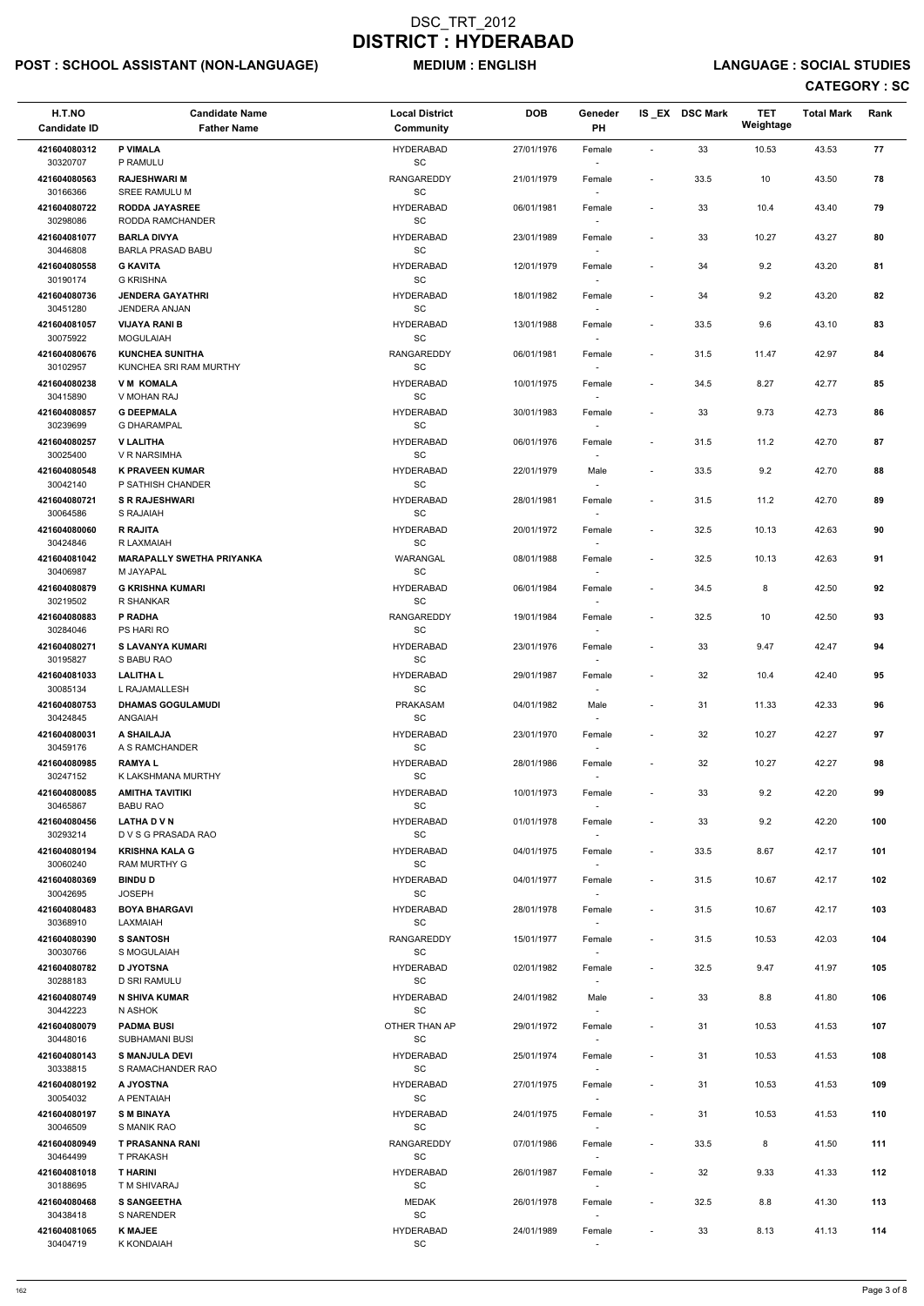# POST : SCHOOL ASSISTANT (NON-LANGUAGE) MEDIUM : ENGLISH LANGUAGE : SOCIAL STUDIES

| H.T.NO<br><b>Candidate ID</b> | <b>Candidate Name</b><br><b>Father Name</b>      | <b>Local District</b><br>Community               | <b>DOB</b> | Geneder<br>PH                      |                          | IS_EX DSC Mark | <b>TET</b><br>Weightage | <b>Total Mark</b> | Rank |  |
|-------------------------------|--------------------------------------------------|--------------------------------------------------|------------|------------------------------------|--------------------------|----------------|-------------------------|-------------------|------|--|
| 421604080312                  | <b>P VIMALA</b><br>P RAMULU                      | <b>HYDERABAD</b>                                 | 27/01/1976 | Female                             | $\blacksquare$           | 33             | 10.53                   | 43.53             | 77   |  |
| 30320707<br>421604080563      | <b>RAJESHWARI M</b>                              | SC<br>RANGAREDDY                                 | 21/01/1979 | $\overline{\phantom{a}}$<br>Female | $\blacksquare$           | 33.5           | 10                      | 43.50             | 78   |  |
| 30166366<br>421604080722      | SREE RAMULU M<br><b>RODDA JAYASREE</b>           | SC<br><b>HYDERABAD</b>                           | 06/01/1981 | Female                             | $\overline{\phantom{a}}$ | 33             | 10.4                    | 43.40             | 79   |  |
| 30298086<br>421604081077      | RODDA RAMCHANDER<br><b>BARLA DIVYA</b>           | SC<br><b>HYDERABAD</b>                           | 23/01/1989 | Female                             |                          | 33             | 10.27                   | 43.27             | 80   |  |
| 30446808<br>421604080558      | <b>BARLA PRASAD BABU</b><br><b>G KAVITA</b>      | SC<br><b>HYDERABAD</b>                           | 12/01/1979 | $\overline{\phantom{a}}$<br>Female | $\overline{\phantom{a}}$ | 34             | 9.2                     | 43.20             | 81   |  |
| 30190174                      | <b>G KRISHNA</b>                                 | SC                                               |            | $\overline{\phantom{a}}$           |                          |                |                         |                   |      |  |
| 421604080736<br>30451280      | <b>JENDERA GAYATHRI</b><br><b>JENDERA ANJAN</b>  | <b>HYDERABAD</b><br>SC                           | 18/01/1982 | Female<br>$\overline{\phantom{a}}$ | $\overline{\phantom{a}}$ | 34             | 9.2                     | 43.20             | 82   |  |
| 421604081057<br>30075922      | <b>VIJAYA RANI B</b><br><b>MOGULAIAH</b>         | <b>HYDERABAD</b><br>SC                           | 13/01/1988 | Female                             | $\overline{\phantom{a}}$ | 33.5           | 9.6                     | 43.10             | 83   |  |
| 421604080676<br>30102957      | <b>KUNCHEA SUNITHA</b><br>KUNCHEA SRI RAM MURTHY | RANGAREDDY<br>SC                                 | 06/01/1981 | Female<br>$\overline{\phantom{a}}$ | $\overline{\phantom{a}}$ | 31.5           | 11.47                   | 42.97             | 84   |  |
| 421604080238<br>30415890      | <b>VM KOMALA</b><br>V MOHAN RAJ                  | <b>HYDERABAD</b><br>SC                           | 10/01/1975 | Female                             |                          | 34.5           | 8.27                    | 42.77             | 85   |  |
| 421604080857                  | <b>G DEEPMALA</b>                                | <b>HYDERABAD</b>                                 | 30/01/1983 | Female                             | $\overline{a}$           | 33             | 9.73                    | 42.73             | 86   |  |
| 30239699<br>421604080257      | <b>G DHARAMPAL</b><br><b>V LALITHA</b>           | SC<br><b>HYDERABAD</b>                           | 06/01/1976 | $\overline{\phantom{a}}$<br>Female | $\overline{\phantom{a}}$ | 31.5           | 11.2                    | 42.70             | 87   |  |
| 30025400<br>421604080548      | V R NARSIMHA<br><b>K PRAVEEN KUMAR</b>           | SC<br><b>HYDERABAD</b>                           | 22/01/1979 | Male                               | $\overline{\phantom{a}}$ | 33.5           | 9.2                     | 42.70             | 88   |  |
| 30042140                      | P SATHISH CHANDER                                | SC                                               |            |                                    |                          |                |                         |                   |      |  |
| 421604080721<br>30064586      | <b>S R RAJESHWARI</b><br>S RAJAIAH               | <b>HYDERABAD</b><br>SC                           | 28/01/1981 | Female<br>$\sim$                   | $\blacksquare$           | 31.5           | 11.2                    | 42.70             | 89   |  |
| 421604080060<br>30424846      | <b>R RAJITA</b><br>R LAXMAIAH                    | <b>HYDERABAD</b><br>SC                           | 20/01/1972 | Female<br>$\overline{\phantom{a}}$ | $\overline{\phantom{a}}$ | 32.5           | 10.13                   | 42.63             | 90   |  |
| 421604081042<br>30406987      | <b>MARAPALLY SWETHA PRIYANKA</b><br>M JAYAPAL    | WARANGAL<br>SC                                   | 08/01/1988 | Female                             | $\blacksquare$           | 32.5           | 10.13                   | 42.63             | 91   |  |
| 421604080879                  | <b>G KRISHNA KUMARI</b>                          | <b>HYDERABAD</b>                                 | 06/01/1984 | Female                             | $\overline{\phantom{a}}$ | 34.5           | 8                       | 42.50             | 92   |  |
| 30219502<br>421604080883      | R SHANKAR<br>P RADHA                             | SC<br>RANGAREDDY                                 | 19/01/1984 | $\overline{\phantom{a}}$<br>Female | $\overline{\phantom{a}}$ | 32.5           | 10                      | 42.50             | 93   |  |
| 30284046<br>421604080271      | PS HARI RO<br>S LAVANYA KUMARI                   | SC<br><b>HYDERABAD</b>                           | 23/01/1976 | $\sim$<br>Female                   |                          | 33             | 9.47                    | 42.47             | 94   |  |
| 30195827<br>421604081033      | S BABU RAO<br><b>LALITHAL</b>                    | SC<br><b>HYDERABAD</b>                           | 29/01/1987 | Female                             | $\overline{a}$           | 32             | 10.4                    | 42.40             | 95   |  |
| 30085134                      | L RAJAMALLESH                                    | SC                                               |            |                                    |                          |                |                         |                   |      |  |
| 421604080753<br>30424845      | <b>DHAMAS GOGULAMUDI</b><br>ANGAIAH              | <b>PRAKASAM</b><br>SC                            | 04/01/1982 | Male<br>$\overline{\phantom{a}}$   | $\overline{\phantom{a}}$ | 31             | 11.33                   | 42.33             | 96   |  |
| 421604080031<br>30459176      | A SHAILAJA<br>A S RAMCHANDER                     | <b>HYDERABAD</b><br>SC                           | 23/01/1970 | Female<br>$\overline{\phantom{a}}$ | ÷,                       | 32             | 10.27                   | 42.27             | 97   |  |
| 421604080985<br>30247152      | <b>RAMYAL</b><br>K LAKSHMANA MURTHY              | <b>HYDERABAD</b><br>SC                           | 28/01/1986 | Female<br>$\overline{\phantom{a}}$ | $\blacksquare$           | 32             | 10.27                   | 42.27             | 98   |  |
| 421604080085<br>30465867      | <b>AMITHA TAVITIKI</b><br><b>BABU RAO</b>        | <b>HYDERABAD</b><br>SC                           | 10/01/1973 | Female                             | $\overline{\phantom{a}}$ | 33             | 9.2                     | 42.20             | 99   |  |
| 421604080456                  | <b>LATHA D V N</b>                               | <b>HYDERABAD</b>                                 | 01/01/1978 | Female                             | $\overline{\phantom{a}}$ | 33             | 9.2                     | 42.20             | 100  |  |
| 30293214<br>421604080194      | D V S G PRASADA RAO<br><b>KRISHNA KALA G</b>     | SC<br><b>HYDERABAD</b>                           | 04/01/1975 | $\sim$<br>Female                   | $\overline{\phantom{a}}$ | 33.5           | 8.67                    | 42.17             | 101  |  |
| 30060240<br>421604080369      | <b>RAM MURTHY G</b><br><b>BINDU D</b>            | SC<br><b>HYDERABAD</b>                           | 04/01/1977 | $\overline{\phantom{a}}$<br>Female | $\overline{\phantom{a}}$ | 31.5           | 10.67                   | 42.17             | 102  |  |
| 30042695<br>421604080483      | <b>JOSEPH</b><br><b>BOYA BHARGAVI</b>            | SC<br><b>HYDERABAD</b>                           | 28/01/1978 | $\overline{\phantom{a}}$<br>Female | $\overline{a}$           | 31.5           | 10.67                   | 42.17             | 103  |  |
| 30368910<br>421604080390      | LAXMAIAH<br><b>S SANTOSH</b>                     | SC<br>RANGAREDDY                                 | 15/01/1977 |                                    |                          |                | 10.53                   | 42.03             | 104  |  |
| 30030766                      | S MOGULAIAH                                      | <b>SC</b>                                        |            | Female                             | $\overline{a}$           | 31.5           |                         |                   |      |  |
| 421604080782<br>30288183      | <b>D JYOTSNA</b><br>D SRI RAMULU                 | <b>HYDERABAD</b><br>SC                           | 02/01/1982 | Female<br>$\overline{\phantom{a}}$ | $\blacksquare$           | 32.5           | 9.47                    | 41.97             | 105  |  |
| 421604080749<br>30442223      | N SHIVA KUMAR<br>N ASHOK                         | <b>HYDERABAD</b><br>SC                           | 24/01/1982 | Male<br>$\overline{\phantom{a}}$   | $\overline{a}$           | 33             | 8.8                     | 41.80             | 106  |  |
| 421604080079<br>30448016      | <b>PADMA BUSI</b><br><b>SUBHAMANI BUSI</b>       | OTHER THAN AP<br>SC                              | 29/01/1972 | Female                             | $\overline{\phantom{a}}$ | 31             | 10.53                   | 41.53             | 107  |  |
| 421604080143                  | <b>S MANJULA DEVI</b>                            | <b>HYDERABAD</b>                                 | 25/01/1974 | Female                             | $\overline{\phantom{a}}$ | 31             | 10.53                   | 41.53             | 108  |  |
| 30338815<br>421604080192      | S RAMACHANDER RAO<br>A JYOSTNA                   | SC<br><b>HYDERABAD</b>                           | 27/01/1975 | Female                             | $\overline{\phantom{a}}$ | 31             | 10.53                   | 41.53             | 109  |  |
| 30054032<br>421604080197      | A PENTAIAH<br><b>SMBINAYA</b>                    | SC<br><b>HYDERABAD</b>                           | 24/01/1975 | $\sim$<br>Female                   |                          | 31             | 10.53                   | 41.53             | 110  |  |
| 30046509                      | S MANIK RAO                                      | SC                                               |            | $\overline{\phantom{a}}$           |                          |                |                         |                   |      |  |
| 421604080949<br>30464499      | <b>T PRASANNA RANI</b><br>T PRAKASH              | RANGAREDDY<br>SC                                 | 07/01/1986 | Female<br>$\overline{\phantom{a}}$ | $\overline{\phantom{a}}$ | 33.5           | 8                       | 41.50             | 111  |  |
| 421604081018<br>30188695      | <b>THARINI</b><br>T M SHIVARAJ                   | <b>HYDERABAD</b><br>SC                           | 26/01/1987 | Female<br>$\overline{\phantom{a}}$ |                          | 32             | 9.33                    | 41.33             | 112  |  |
| 421604080468<br>30438418      | <b>S SANGEETHA</b><br>S NARENDER                 | <b>MEDAK</b><br>SC                               | 26/01/1978 | Female<br>$\overline{\phantom{a}}$ | $\overline{a}$           | 32.5           | 8.8                     | 41.30             | 113  |  |
| 421604081065<br>30404719      | <b>K MAJEE</b><br>K KONDAIAH                     | <b>HYDERABAD</b><br>$\operatorname{\textsf{SC}}$ | 24/01/1989 | Female<br>$\overline{\phantom{a}}$ | $\overline{\phantom{a}}$ | 33             | 8.13                    | 41.13             | 114  |  |
|                               |                                                  |                                                  |            |                                    |                          |                |                         |                   |      |  |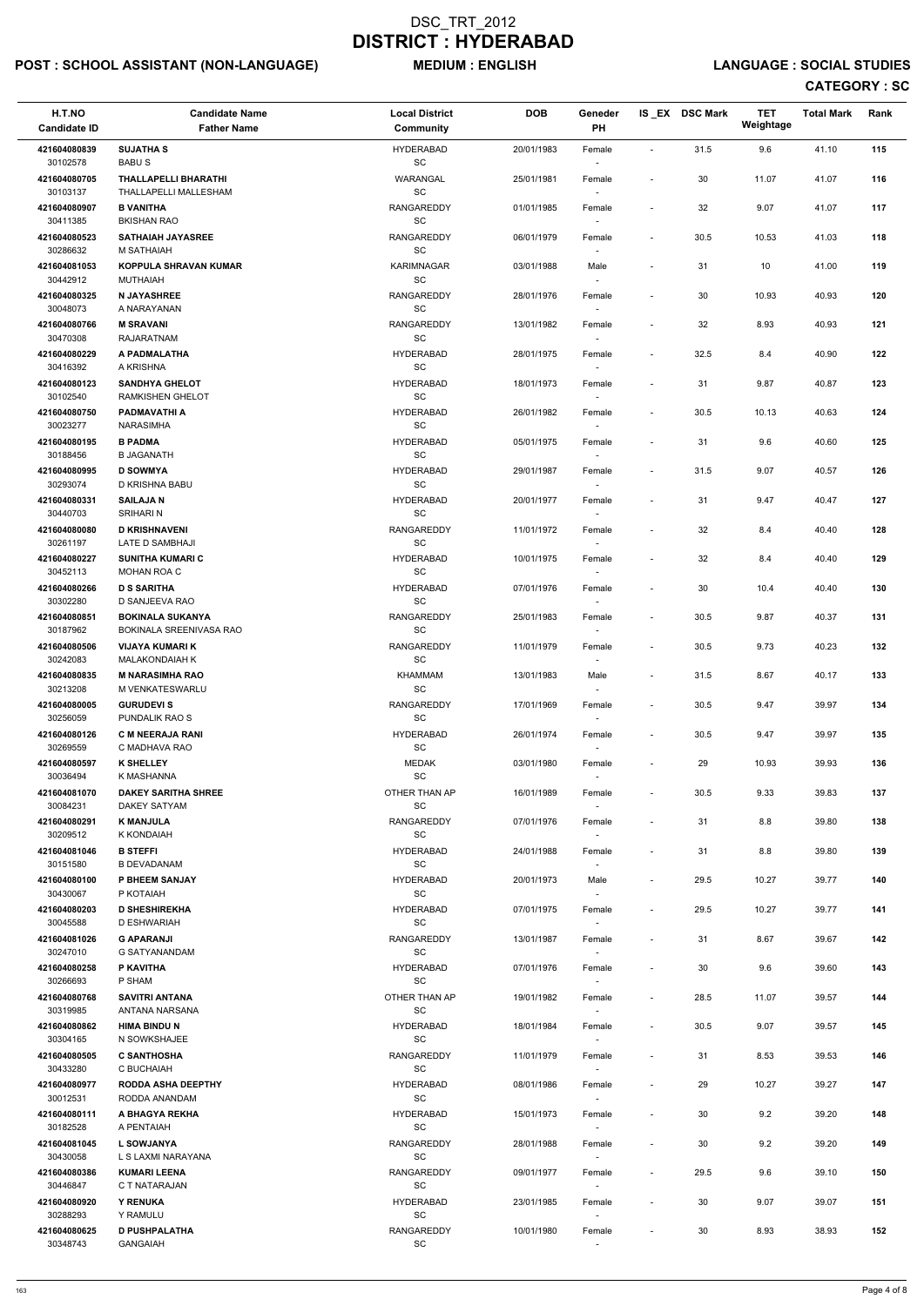# POST : SCHOOL ASSISTANT (NON-LANGUAGE) MEDIUM : ENGLISH LANGUAGE : SOCIAL STUDIES

| H.T.NO<br><b>Candidate ID</b> | <b>Candidate Name</b><br><b>Father Name</b>       | <b>Local District</b><br><b>Community</b>         | <b>DOB</b> | Geneder<br><b>PH</b>               |                          | IS_EX DSC Mark | <b>TET</b><br>Weightage | <b>Total Mark</b> | Rank |
|-------------------------------|---------------------------------------------------|---------------------------------------------------|------------|------------------------------------|--------------------------|----------------|-------------------------|-------------------|------|
| 421604080839                  | <b>SUJATHA S</b>                                  | <b>HYDERABAD</b>                                  | 20/01/1983 | Female                             | $\overline{\phantom{a}}$ | 31.5           | 9.6                     | 41.10             | 115  |
| 30102578<br>421604080705      | <b>BABUS</b><br><b>THALLAPELLI BHARATHI</b>       | SC<br>WARANGAL                                    | 25/01/1981 | $\overline{\phantom{a}}$<br>Female | $\blacksquare$           | 30             | 11.07                   | 41.07             | 116  |
| 30103137<br>421604080907      | THALLAPELLI MALLESHAM<br><b>B VANITHA</b>         | $\operatorname{\textsf{SC}}$<br><b>RANGAREDDY</b> | 01/01/1985 | Female                             | $\overline{\phantom{a}}$ | 32             | 9.07                    | 41.07             | 117  |
| 30411385<br>421604080523      | <b>BKISHAN RAO</b><br><b>SATHAIAH JAYASREE</b>    | SC<br><b>RANGAREDDY</b>                           | 06/01/1979 | Female                             | $\blacksquare$           | 30.5           | 10.53                   | 41.03             | 118  |
| 30286632<br>421604081053      | M SATHAIAH<br>KOPPULA SHRAVAN KUMAR               | SC<br><b>KARIMNAGAR</b>                           | 03/01/1988 | $\overline{\phantom{a}}$<br>Male   | $\overline{\phantom{a}}$ | 31             | 10                      | 41.00             | 119  |
| 30442912<br>421604080325      | <b>MUTHAIAH</b><br><b>N JAYASHREE</b>             | SC<br>RANGAREDDY                                  | 28/01/1976 | $\sim$<br>Female                   | $\overline{\phantom{a}}$ | 30             | 10.93                   | 40.93             | 120  |
| 30048073                      | A NARAYANAN<br><b>M SRAVANI</b>                   | SC<br><b>RANGAREDDY</b>                           |            | $\sim$                             |                          |                |                         |                   |      |
| 421604080766<br>30470308      | RAJARATNAM                                        | SC                                                | 13/01/1982 | Female                             | $\overline{\phantom{a}}$ | 32             | 8.93                    | 40.93             | 121  |
| 421604080229<br>30416392      | A PADMALATHA<br>A KRISHNA                         | <b>HYDERABAD</b><br>$\operatorname{\textsf{SC}}$  | 28/01/1975 | Female<br>$\sim$                   | $\overline{\phantom{a}}$ | 32.5           | 8.4                     | 40.90             | 122  |
| 421604080123<br>30102540      | <b>SANDHYA GHELOT</b><br>RAMKISHEN GHELOT         | <b>HYDERABAD</b><br>SC                            | 18/01/1973 | Female<br>$\overline{\phantom{a}}$ |                          | 31             | 9.87                    | 40.87             | 123  |
| 421604080750<br>30023277      | PADMAVATHI A<br><b>NARASIMHA</b>                  | <b>HYDERABAD</b><br><b>SC</b>                     | 26/01/1982 | Female<br>$\overline{\phantom{a}}$ | $\overline{\phantom{a}}$ | 30.5           | 10.13                   | 40.63             | 124  |
| 421604080195<br>30188456      | <b>B PADMA</b><br><b>B JAGANATH</b>               | <b>HYDERABAD</b><br><b>SC</b>                     | 05/01/1975 | Female                             |                          | 31             | 9.6                     | 40.60             | 125  |
| 421604080995<br>30293074      | <b>D SOWMYA</b><br>D KRISHNA BABU                 | <b>HYDERABAD</b><br><b>SC</b>                     | 29/01/1987 | Female                             | $\overline{\phantom{a}}$ | 31.5           | 9.07                    | 40.57             | 126  |
| 421604080331<br>30440703      | <b>SAILAJAN</b><br>SRIHARI N                      | <b>HYDERABAD</b><br>SC                            | 20/01/1977 | Female<br>$\sim$                   |                          | 31             | 9.47                    | 40.47             | 127  |
| 421604080080                  | <b>D KRISHNAVENI</b>                              | RANGAREDDY                                        | 11/01/1972 | Female                             | $\overline{\phantom{a}}$ | 32             | 8.4                     | 40.40             | 128  |
| 30261197<br>421604080227      | LATE D SAMBHAJI<br><b>SUNITHA KUMARI C</b>        | SC<br><b>HYDERABAD</b>                            | 10/01/1975 | $\overline{\phantom{a}}$<br>Female | $\overline{\phantom{a}}$ | 32             | 8.4                     | 40.40             | 129  |
| 30452113<br>421604080266      | MOHAN ROA C<br><b>D S SARITHA</b>                 | SC<br><b>HYDERABAD</b>                            | 07/01/1976 | Female                             | $\overline{\phantom{a}}$ | 30             | 10.4                    | 40.40             | 130  |
| 30302280<br>421604080851      | D SANJEEVA RAO<br><b>BOKINALA SUKANYA</b>         | SC<br>RANGAREDDY                                  | 25/01/1983 | $\overline{\phantom{a}}$<br>Female | $\overline{\phantom{a}}$ | 30.5           | 9.87                    | 40.37             | 131  |
| 30187962<br>421604080506      | BOKINALA SREENIVASA RAO<br><b>VIJAYA KUMARI K</b> | SC<br><b>RANGAREDDY</b>                           | 11/01/1979 | $\sim$<br>Female                   | $\overline{\phantom{a}}$ | 30.5           | 9.73                    | 40.23             | 132  |
| 30242083<br>421604080835      | <b>MALAKONDAIAH K</b><br><b>M NARASIMHA RAO</b>   | SC<br><b>KHAMMAM</b>                              | 13/01/1983 | Male                               | $\overline{\phantom{a}}$ | 31.5           | 8.67                    | 40.17             | 133  |
| 30213208                      | M VENKATESWARLU                                   | SC                                                |            | $\overline{\phantom{a}}$           |                          |                |                         |                   |      |
| 421604080005<br>30256059      | <b>GURUDEVIS</b><br>PUNDALIK RAO S                | RANGAREDDY<br>SC                                  | 17/01/1969 | Female<br>$\overline{\phantom{a}}$ |                          | 30.5           | 9.47                    | 39.97             | 134  |
| 421604080126<br>30269559      | <b>C M NEERAJA RANI</b><br>C MADHAVA RAO          | <b>HYDERABAD</b><br><b>SC</b>                     | 26/01/1974 | Female<br>$\sim$                   | $\overline{\phantom{a}}$ | 30.5           | 9.47                    | 39.97             | 135  |
| 421604080597<br>30036494      | <b>K SHELLEY</b><br>K MASHANNA                    | <b>MEDAK</b><br>$\operatorname{\textsf{SC}}$      | 03/01/1980 | Female<br>$\overline{\phantom{a}}$ |                          | 29             | 10.93                   | 39.93             | 136  |
| 421604081070<br>30084231      | <b>DAKEY SARITHA SHREE</b><br>DAKEY SATYAM        | OTHER THAN AP<br><b>SC</b>                        | 16/01/1989 | Female                             | $\overline{\phantom{a}}$ | 30.5           | 9.33                    | 39.83             | 137  |
| 421604080291<br>30209512      | <b>K MANJULA</b><br>K KONDAIAH                    | <b>RANGAREDDY</b><br>SC                           | 07/01/1976 | Female<br>$\sim$                   | $\overline{\phantom{a}}$ | 31             | 8.8                     | 39.80             | 138  |
| 421604081046<br>30151580      | <b>B STEFFI</b><br><b>B DEVADANAM</b>             | <b>HYDERABAD</b><br>SC                            | 24/01/1988 | Female<br>$\sim$                   |                          | 31             | 8.8                     | 39.80             | 139  |
| 421604080100<br>30430067      | P BHEEM SANJAY<br>P KOTAIAH                       | <b>HYDERABAD</b><br>SC                            | 20/01/1973 | Male<br>$\sim$                     | $\overline{\phantom{a}}$ | 29.5           | 10.27                   | 39.77             | 140  |
| 421604080203                  | <b>D SHESHIREKHA</b>                              | <b>HYDERABAD</b>                                  | 07/01/1975 | Female                             | $\overline{\phantom{a}}$ | 29.5           | 10.27                   | 39.77             | 141  |
| 30045588<br>421604081026      | D ESHWARIAH<br><b>G APARANJI</b>                  | <b>SC</b><br>RANGAREDDY                           | 13/01/1987 | Female                             | $\overline{\phantom{a}}$ | 31             | 8.67                    | 39.67             | 142  |
| 30247010<br>421604080258      | G SATYANANDAM<br>P KAVITHA                        | <b>SC</b><br><b>HYDERABAD</b>                     | 07/01/1976 | $\overline{\phantom{a}}$<br>Female | $\blacksquare$           | 30             | 9.6                     | 39.60             | 143  |
| 30266693<br>421604080768      | P SHAM<br><b>SAVITRI ANTANA</b>                   | SC<br>OTHER THAN AP                               | 19/01/1982 | $\overline{\phantom{a}}$<br>Female | $\overline{\phantom{a}}$ | 28.5           | 11.07                   | 39.57             | 144  |
| 30319985<br>421604080862      | ANTANA NARSANA<br><b>HIMA BINDU N</b>             | <b>SC</b><br><b>HYDERABAD</b>                     | 18/01/1984 | $\sim$<br>Female                   | $\overline{\phantom{a}}$ | 30.5           | 9.07                    | 39.57             | 145  |
| 30304165<br>421604080505      | N SOWKSHAJEE<br><b>C SANTHOSHA</b>                | SC<br>RANGAREDDY                                  | 11/01/1979 | Female                             | $\overline{\phantom{a}}$ | 31             | 8.53                    | 39.53             | 146  |
| 30433280<br>421604080977      | C BUCHAIAH<br><b>RODDA ASHA DEEPTHY</b>           | <b>SC</b><br><b>HYDERABAD</b>                     | 08/01/1986 |                                    | $\overline{\phantom{a}}$ | 29             | 10.27                   | 39.27             | 147  |
| 30012531                      | RODDA ANANDAM                                     | SC                                                |            | Female<br>$\sim$                   |                          |                |                         |                   |      |
| 421604080111<br>30182528      | A BHAGYA REKHA<br>A PENTAIAH                      | <b>HYDERABAD</b><br>SC                            | 15/01/1973 | Female<br>$\overline{\phantom{a}}$ |                          | 30             | 9.2                     | 39.20             | 148  |
| 421604081045<br>30430058      | <b>L SOWJANYA</b><br>L S LAXMI NARAYANA           | RANGAREDDY<br>SC                                  | 28/01/1988 | Female<br>$\sim$                   | $\overline{\phantom{a}}$ | 30             | 9.2                     | 39.20             | 149  |
| 421604080386<br>30446847      | <b>KUMARI LEENA</b><br>C T NATARAJAN              | RANGAREDDY<br>SC                                  | 09/01/1977 | Female<br>$\sim$                   | $\overline{\phantom{a}}$ | 29.5           | 9.6                     | 39.10             | 150  |
| 421604080920<br>30288293      | <b>Y RENUKA</b><br>Y RAMULU                       | <b>HYDERABAD</b><br>SC                            | 23/01/1985 | Female<br>$\sim$                   |                          | 30             | 9.07                    | 39.07             | 151  |
| 421604080625<br>30348743      | <b>D PUSHPALATHA</b><br><b>GANGAIAH</b>           | RANGAREDDY<br>$\operatorname{\textsf{SC}}$        | 10/01/1980 | Female                             |                          | 30             | 8.93                    | 38.93             | 152  |
|                               |                                                   |                                                   |            |                                    |                          |                |                         |                   |      |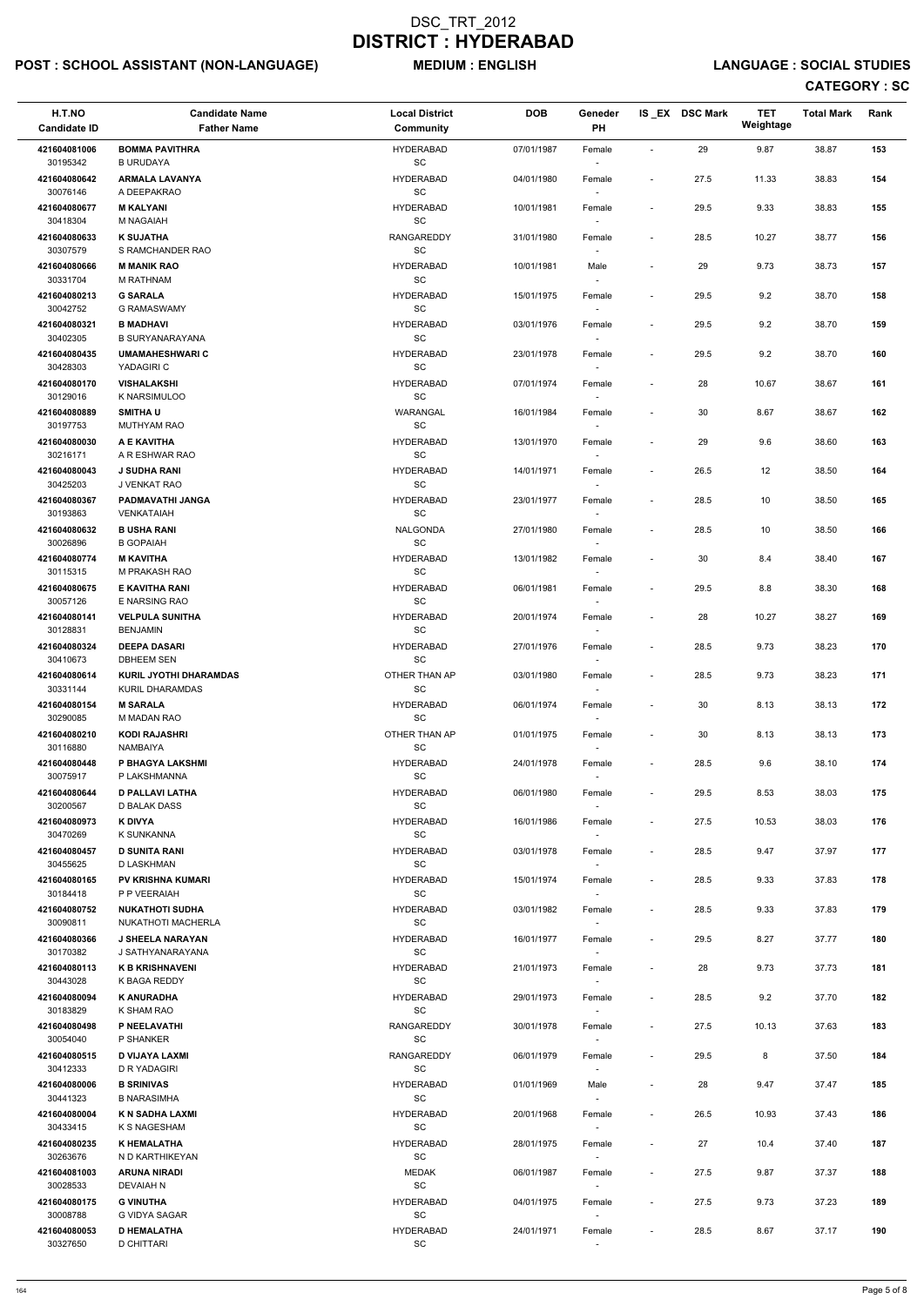# POST : SCHOOL ASSISTANT (NON-LANGUAGE) MEDIUM : ENGLISH LANGUAGE : SOCIAL STUDIES

| H.T.NO<br><b>Candidate ID</b> | <b>Candidate Name</b><br><b>Father Name</b> | <b>Local District</b><br><b>Community</b> | <b>DOB</b> | Geneder<br>PH                      |                          | IS EX DSC Mark | <b>TET</b><br>Weightage | <b>Total Mark</b> | Rank |
|-------------------------------|---------------------------------------------|-------------------------------------------|------------|------------------------------------|--------------------------|----------------|-------------------------|-------------------|------|
|                               |                                             |                                           |            |                                    |                          |                |                         |                   |      |
| 421604081006<br>30195342      | <b>BOMMA PAVITHRA</b><br><b>B URUDAYA</b>   | <b>HYDERABAD</b><br>SC                    | 07/01/1987 | Female<br>$\overline{\phantom{a}}$ | $\sim$                   | 29             | 9.87                    | 38.87             | 153  |
| 421604080642                  | <b>ARMALA LAVANYA</b>                       | <b>HYDERABAD</b>                          | 04/01/1980 | Female                             | $\overline{\phantom{a}}$ | 27.5           | 11.33                   | 38.83             | 154  |
| 30076146                      | A DEEPAKRAO                                 | SC                                        |            |                                    |                          |                |                         |                   |      |
| 421604080677                  | <b>M KALYANI</b>                            | <b>HYDERABAD</b>                          | 10/01/1981 | Female                             | $\overline{\phantom{a}}$ | 29.5           | 9.33                    | 38.83             | 155  |
| 30418304                      | M NAGAIAH                                   | SC                                        |            |                                    |                          |                |                         |                   |      |
| 421604080633                  | <b>K SUJATHA</b>                            | <b>RANGAREDDY</b>                         | 31/01/1980 | Female                             | $\overline{\phantom{a}}$ | 28.5           | 10.27                   | 38.77             | 156  |
| 30307579                      | S RAMCHANDER RAO                            | SC                                        |            | $\overline{\phantom{a}}$           |                          |                |                         |                   |      |
| 421604080666<br>30331704      | <b>M MANIK RAO</b><br>M RATHNAM             | <b>HYDERABAD</b><br>SC                    | 10/01/1981 | Male<br>$\overline{\phantom{a}}$   | $\overline{\phantom{a}}$ | 29             | 9.73                    | 38.73             | 157  |
| 421604080213                  | <b>G SARALA</b>                             | <b>HYDERABAD</b>                          | 15/01/1975 | Female                             | $\overline{\phantom{a}}$ | 29.5           | 9.2                     | 38.70             | 158  |
| 30042752                      | <b>G RAMASWAMY</b>                          | SC                                        |            | $\overline{\phantom{a}}$           |                          |                |                         |                   |      |
| 421604080321                  | <b>B MADHAVI</b>                            | <b>HYDERABAD</b>                          | 03/01/1976 | Female                             | $\overline{\phantom{a}}$ | 29.5           | 9.2                     | 38.70             | 159  |
| 30402305                      | <b>B SURYANARAYANA</b>                      | SC                                        |            |                                    |                          |                |                         |                   |      |
| 421604080435                  | <b>UMAMAHESHWARIC</b>                       | <b>HYDERABAD</b>                          | 23/01/1978 | Female                             | $\overline{\phantom{a}}$ | 29.5           | 9.2                     | 38.70             | 160  |
| 30428303                      | YADAGIRI C                                  | SC                                        |            | $\sim$                             |                          |                |                         |                   |      |
| 421604080170<br>30129016      | <b>VISHALAKSHI</b><br>K NARSIMULOO          | <b>HYDERABAD</b><br>SC                    | 07/01/1974 | Female<br>$\overline{\phantom{a}}$ |                          | 28             | 10.67                   | 38.67             | 161  |
| 421604080889                  | <b>SMITHAU</b>                              | WARANGAL                                  | 16/01/1984 | Female                             | $\overline{\phantom{a}}$ | 30             | 8.67                    | 38.67             | 162  |
| 30197753                      | <b>MUTHYAM RAO</b>                          | <b>SC</b>                                 |            | $\overline{\phantom{a}}$           |                          |                |                         |                   |      |
| 421604080030                  | A E KAVITHA                                 | <b>HYDERABAD</b>                          | 13/01/1970 | Female                             |                          | 29             | 9.6                     | 38.60             | 163  |
| 30216171                      | A R ESHWAR RAO                              | SC                                        |            |                                    |                          |                |                         |                   |      |
| 421604080043                  | <b>J SUDHA RANI</b>                         | <b>HYDERABAD</b>                          | 14/01/1971 | Female                             | $\overline{\phantom{a}}$ | 26.5           | 12                      | 38.50             | 164  |
| 30425203                      | J VENKAT RAO                                | SC                                        |            |                                    |                          |                |                         |                   |      |
| 421604080367                  | PADMAVATHI JANGA                            | <b>HYDERABAD</b>                          | 23/01/1977 | Female                             | $\overline{\phantom{a}}$ | 28.5           | 10                      | 38.50             | 165  |
| 30193863                      | <b>VENKATAIAH</b>                           | SC                                        |            | $\sim$                             |                          |                |                         |                   |      |
| 421604080632<br>30026896      | <b>B USHA RANI</b><br><b>B GOPAIAH</b>      | NALGONDA<br>SC                            | 27/01/1980 | Female<br>$\sim$                   | $\overline{\phantom{a}}$ | 28.5           | 10                      | 38.50             | 166  |
| 421604080774                  | <b>M KAVITHA</b>                            | <b>HYDERABAD</b>                          | 13/01/1982 | Female                             | $\blacksquare$           | 30             | 8.4                     | 38.40             | 167  |
| 30115315                      | M PRAKASH RAO                               | SC                                        |            |                                    |                          |                |                         |                   |      |
| 421604080675                  | E KAVITHA RANI                              | <b>HYDERABAD</b>                          | 06/01/1981 | Female                             | $\overline{\phantom{a}}$ | 29.5           | 8.8                     | 38.30             | 168  |
| 30057126                      | E NARSING RAO                               | SC                                        |            | $\overline{\phantom{a}}$           |                          |                |                         |                   |      |
| 421604080141                  | <b>VELPULA SUNITHA</b>                      | <b>HYDERABAD</b>                          | 20/01/1974 | Female                             | $\overline{\phantom{a}}$ | 28             | 10.27                   | 38.27             | 169  |
| 30128831                      | <b>BENJAMIN</b>                             | SC                                        |            | $\sim$                             |                          |                |                         |                   |      |
| 421604080324<br>30410673      | <b>DEEPA DASARI</b><br><b>DBHEEM SEN</b>    | <b>HYDERABAD</b><br>SC                    | 27/01/1976 | Female                             | $\overline{\phantom{a}}$ | 28.5           | 9.73                    | 38.23             | 170  |
| 421604080614                  | <b>KURIL JYOTHI DHARAMDAS</b>               | OTHER THAN AP                             | 03/01/1980 | Female                             | $\overline{\phantom{a}}$ | 28.5           | 9.73                    | 38.23             | 171  |
| 30331144                      | KURIL DHARAMDAS                             | <b>SC</b>                                 |            |                                    |                          |                |                         |                   |      |
| 421604080154                  | <b>M SARALA</b>                             | <b>HYDERABAD</b>                          | 06/01/1974 | Female                             |                          | 30             | 8.13                    | 38.13             | 172  |
| 30290085                      | M MADAN RAO                                 | SC                                        |            | $\sim$                             |                          |                |                         |                   |      |
| 421604080210                  | <b>KODI RAJASHRI</b>                        | OTHER THAN AP                             | 01/01/1975 | Female                             | $\overline{\phantom{a}}$ | 30             | 8.13                    | 38.13             | 173  |
| 30116880                      | NAMBAIYA                                    | SC                                        |            | $\sim$                             |                          |                |                         |                   |      |
| 421604080448<br>30075917      | P BHAGYA LAKSHMI<br>P LAKSHMANNA            | <b>HYDERABAD</b><br>SC                    | 24/01/1978 | Female<br>$\sim$                   | $\overline{\phantom{a}}$ | 28.5           | 9.6                     | 38.10             | 174  |
| 421604080644                  | <b>D PALLAVI LATHA</b>                      | <b>HYDERABAD</b>                          | 06/01/1980 | Female                             | $\overline{\phantom{a}}$ | 29.5           | 8.53                    | 38.03             | 175  |
| 30200567                      | D BALAK DASS                                | <b>SC</b>                                 |            |                                    |                          |                |                         |                   |      |
| 421604080973                  | K DIVYA                                     | <b>HYDERABAD</b>                          | 16/01/1986 | Female                             | $\overline{\phantom{a}}$ | 27.5           | 10.53                   | 38.03             | 176  |
| 30470269                      | K SUNKANNA                                  | <b>SC</b>                                 |            | $\sim$                             |                          |                |                         |                   |      |
| 421604080457                  | <b>D SUNITA RANI</b>                        | <b>HYDERABAD</b>                          | 03/01/1978 | Female                             | $\overline{\phantom{a}}$ | 28.5           | 9.47                    | 37.97             | 177  |
| 30455625                      | D LASKHMAN                                  | SC                                        |            | $\sim$ $-$                         |                          |                |                         |                   |      |
| 421604080165<br>30184418      | <b>PV KRISHNA KUMARI</b><br>P P VEERAIAH    | <b>HYDERABAD</b><br>SC                    | 15/01/1974 | Female<br>$\sim$                   | $\overline{\phantom{a}}$ | 28.5           | 9.33                    | 37.83             | 178  |
| 421604080752                  | <b>NUKATHOTI SUDHA</b>                      | <b>HYDERABAD</b>                          | 03/01/1982 | Female                             | $\overline{\phantom{a}}$ | 28.5           | 9.33                    | 37.83             | 179  |
| 30090811                      | NUKATHOTI MACHERLA                          | SC                                        |            |                                    |                          |                |                         |                   |      |
| 421604080366                  | <b>J SHEELA NARAYAN</b>                     | <b>HYDERABAD</b>                          | 16/01/1977 | Female                             | $\overline{\phantom{a}}$ | 29.5           | 8.27                    | 37.77             | 180  |
| 30170382                      | J SATHYANARAYANA                            | SC                                        |            | $\overline{\phantom{a}}$           |                          |                |                         |                   |      |
| 421604080113                  | <b>K B KRISHNAVENI</b>                      | <b>HYDERABAD</b>                          | 21/01/1973 | Female                             |                          | 28             | 9.73                    | 37.73             | 181  |
| 30443028                      | K BAGA REDDY                                | $\operatorname{\textsf{SC}}$              |            | $\overline{\phantom{a}}$           |                          |                |                         |                   |      |

| 421604080094 | <b>K ANURADHA</b>     | <b>HYDERABAD</b> | 29/01/1973 | Female                   |                          | 28.5 | 9.2   | 37.70 | 182 |
|--------------|-----------------------|------------------|------------|--------------------------|--------------------------|------|-------|-------|-----|
| 30183829     | K SHAM RAO            | SC               |            | $\overline{\phantom{a}}$ |                          |      |       |       |     |
| 421604080498 | P NEELAVATHI          | RANGAREDDY       | 30/01/1978 | Female                   | $\sim$                   | 27.5 | 10.13 | 37.63 | 183 |
| 30054040     | P SHANKER             | SC               |            | $\overline{\phantom{a}}$ |                          |      |       |       |     |
| 421604080515 | <b>D VIJAYA LAXMI</b> | RANGAREDDY       | 06/01/1979 | Female                   | $\overline{\phantom{a}}$ | 29.5 | 8     | 37.50 | 184 |
| 30412333     | D R YADAGIRI          | SC               |            | $\overline{\phantom{a}}$ |                          |      |       |       |     |
| 421604080006 | <b>B SRINIVAS</b>     | <b>HYDERABAD</b> | 01/01/1969 | Male                     | $\overline{\phantom{a}}$ | 28   | 9.47  | 37.47 | 185 |
| 30441323     | <b>B NARASIMHA</b>    | SC               |            | $\overline{\phantom{a}}$ |                          |      |       |       |     |
| 421604080004 | K N SADHA LAXMI       | <b>HYDERABAD</b> | 20/01/1968 | Female                   | $\overline{\phantom{a}}$ | 26.5 | 10.93 | 37.43 | 186 |
| 30433415     | K S NAGESHAM          | SC               |            | $\overline{\phantom{a}}$ |                          |      |       |       |     |
| 421604080235 | K HEMALATHA           | <b>HYDERABAD</b> | 28/01/1975 | Female                   | $\overline{\phantom{a}}$ | 27   | 10.4  | 37.40 | 187 |
| 30263676     | N D KARTHIKEYAN       | SC               |            | $\overline{\phantom{a}}$ |                          |      |       |       |     |
| 421604081003 | <b>ARUNA NIRADI</b>   | <b>MEDAK</b>     | 06/01/1987 | Female                   | $\sim$                   | 27.5 | 9.87  | 37.37 | 188 |
| 30028533     | DEVAIAH N             | <b>SC</b>        |            | $\overline{\phantom{a}}$ |                          |      |       |       |     |
| 421604080175 | <b>G VINUTHA</b>      | <b>HYDERABAD</b> | 04/01/1975 | Female                   | $\overline{\phantom{a}}$ | 27.5 | 9.73  | 37.23 | 189 |
| 30008788     | G VIDYA SAGAR         | SC               |            | $\overline{\phantom{a}}$ |                          |      |       |       |     |
| 421604080053 | <b>D HEMALATHA</b>    | <b>HYDERABAD</b> | 24/01/1971 | Female                   | $\sim$                   | 28.5 | 8.67  | 37.17 | 190 |
| 30327650     | D CHITTARI            | <b>SC</b>        |            |                          |                          |      |       |       |     |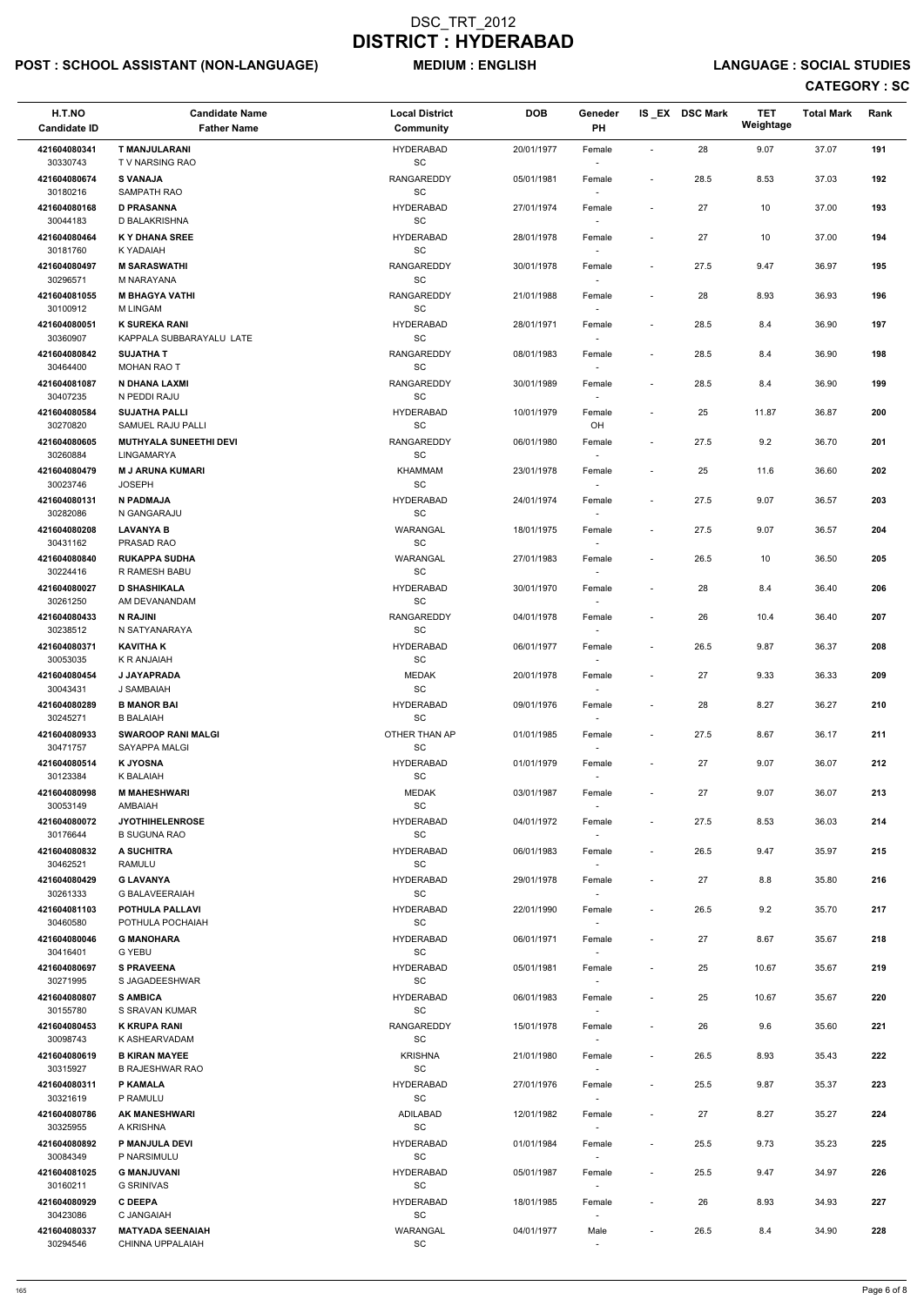# POST : SCHOOL ASSISTANT (NON-LANGUAGE) MEDIUM : ENGLISH LANGUAGE : SOCIAL STUDIES

| H.T.NO<br><b>Candidate ID</b> | <b>Candidate Name</b><br><b>Father Name</b>    | <b>Local District</b><br>Community               | <b>DOB</b> | Geneder<br><b>PH</b>               |                          | IS_EX DSC Mark | <b>TET</b><br>Weightage | <b>Total Mark</b> | Rank |
|-------------------------------|------------------------------------------------|--------------------------------------------------|------------|------------------------------------|--------------------------|----------------|-------------------------|-------------------|------|
| 421604080341                  | <b>T MANJULARANI</b><br><b>TV NARSING RAO</b>  | <b>HYDERABAD</b>                                 | 20/01/1977 | Female                             | $\blacksquare$           | 28             | 9.07                    | 37.07             | 191  |
| 30330743<br>421604080674      | <b>S VANAJA</b>                                | SC<br>RANGAREDDY                                 | 05/01/1981 | $\overline{\phantom{a}}$<br>Female | $\overline{\phantom{a}}$ | 28.5           | 8.53                    | 37.03             | 192  |
| 30180216<br>421604080168      | SAMPATH RAO<br><b>D PRASANNA</b>               | SC<br><b>HYDERABAD</b>                           | 27/01/1974 | Female                             | $\overline{\phantom{a}}$ | 27             | 10                      | 37.00             | 193  |
| 30044183<br>421604080464      | D BALAKRISHNA<br><b>KY DHANA SREE</b>          | SC<br><b>HYDERABAD</b>                           | 28/01/1978 | Female                             |                          | 27             | 10                      | 37.00             | 194  |
| 30181760<br>421604080497      | K YADAIAH<br><b>M SARASWATHI</b>               | SC<br><b>RANGAREDDY</b>                          | 30/01/1978 | $\overline{\phantom{a}}$<br>Female | $\overline{\phantom{a}}$ | 27.5           | 9.47                    | 36.97             | 195  |
| 30296571<br>421604081055      | M NARAYANA<br><b>M BHAGYA VATHI</b>            | SC<br><b>RANGAREDDY</b>                          | 21/01/1988 | $\sim$<br>Female                   | $\overline{\phantom{a}}$ | 28             | 8.93                    | 36.93             | 196  |
| 30100912<br>421604080051      | <b>M LINGAM</b><br><b>K SUREKA RANI</b>        | SC                                               |            | $\sim$                             |                          |                |                         |                   |      |
| 30360907                      | KAPPALA SUBBARAYALU LATE                       | <b>HYDERABAD</b><br>SC                           | 28/01/1971 | Female                             | $\overline{\phantom{a}}$ | 28.5           | 8.4                     | 36.90             | 197  |
| 421604080842<br>30464400      | <b>SUJATHA T</b><br>MOHAN RAO T                | RANGAREDDY<br>SC                                 | 08/01/1983 | Female<br>$\sim$                   | $\overline{\phantom{a}}$ | 28.5           | 8.4                     | 36.90             | 198  |
| 421604081087<br>30407235      | N DHANA LAXMI<br>N PEDDI RAJU                  | RANGAREDDY<br>SC                                 | 30/01/1989 | Female<br>$\overline{\phantom{a}}$ | $\overline{\phantom{a}}$ | 28.5           | 8.4                     | 36.90             | 199  |
| 421604080584<br>30270820      | <b>SUJATHA PALLI</b><br>SAMUEL RAJU PALLI      | <b>HYDERABAD</b><br>SC                           | 10/01/1979 | Female<br>OH                       | $\overline{\phantom{a}}$ | 25             | 11.87                   | 36.87             | 200  |
| 421604080605<br>30260884      | <b>MUTHYALA SUNEETHI DEVI</b><br>LINGAMARYA    | RANGAREDDY<br>$\operatorname{\textsf{SC}}$       | 06/01/1980 | Female                             | $\overline{\phantom{a}}$ | 27.5           | 9.2                     | 36.70             | 201  |
| 421604080479<br>30023746      | <b>M J ARUNA KUMARI</b><br><b>JOSEPH</b>       | <b>KHAMMAM</b><br>$\operatorname{\textsf{SC}}$   | 23/01/1978 | Female                             | $\overline{\phantom{a}}$ | 25             | 11.6                    | 36.60             | 202  |
| 421604080131<br>30282086      | N PADMAJA<br>N GANGARAJU                       | <b>HYDERABAD</b><br>SC                           | 24/01/1974 | Female                             | $\overline{\phantom{a}}$ | 27.5           | 9.07                    | 36.57             | 203  |
| 421604080208                  | <b>LAVANYA B</b>                               | WARANGAL                                         | 18/01/1975 | $\sim$<br>Female                   | $\overline{\phantom{a}}$ | 27.5           | 9.07                    | 36.57             | 204  |
| 30431162<br>421604080840      | PRASAD RAO<br><b>RUKAPPA SUDHA</b>             | SC<br>WARANGAL                                   | 27/01/1983 | $\overline{\phantom{a}}$<br>Female | $\overline{\phantom{a}}$ | 26.5           | 10                      | 36.50             | 205  |
| 30224416<br>421604080027      | R RAMESH BABU<br><b>D SHASHIKALA</b>           | $\operatorname{\textsf{SC}}$<br><b>HYDERABAD</b> | 30/01/1970 | Female                             | $\overline{\phantom{a}}$ | 28             | 8.4                     | 36.40             | 206  |
| 30261250<br>421604080433      | AM DEVANANDAM<br><b>N RAJINI</b>               | SC<br>RANGAREDDY                                 | 04/01/1978 | $\overline{\phantom{a}}$<br>Female | $\overline{\phantom{a}}$ | 26             | 10.4                    | 36.40             | 207  |
| 30238512<br>421604080371      | N SATYANARAYA<br><b>KAVITHAK</b>               | SC<br><b>HYDERABAD</b>                           | 06/01/1977 | $\sim$<br>Female                   |                          | 26.5           | 9.87                    | 36.37             | 208  |
| 30053035                      | <b>K R ANJAIAH</b>                             | SC<br><b>MEDAK</b>                               |            |                                    |                          |                |                         |                   | 209  |
| 421604080454<br>30043431      | <b>J JAYAPRADA</b><br>J SAMBAIAH               | SC                                               | 20/01/1978 | Female                             | $\overline{\phantom{a}}$ | 27             | 9.33                    | 36.33             |      |
| 421604080289<br>30245271      | <b>B MANOR BAI</b><br><b>B BALAIAH</b>         | <b>HYDERABAD</b><br>SC                           | 09/01/1976 | Female<br>$\overline{\phantom{a}}$ |                          | 28             | 8.27                    | 36.27             | 210  |
| 421604080933<br>30471757      | <b>SWAROOP RANI MALGI</b><br>SAYAPPA MALGI     | OTHER THAN AP<br>SC                              | 01/01/1985 | Female<br>$\sim$                   | $\overline{\phantom{a}}$ | 27.5           | 8.67                    | 36.17             | 211  |
| 421604080514<br>30123384      | <b>K JYOSNA</b><br>K BALAIAH                   | <b>HYDERABAD</b><br>SC                           | 01/01/1979 | Female<br>$\sim$                   | $\blacksquare$           | 27             | 9.07                    | 36.07             | 212  |
| 421604080998<br>30053149      | <b>M MAHESHWARI</b><br>AMBAIAH                 | <b>MEDAK</b><br>SC                               | 03/01/1987 | Female                             | $\overline{\phantom{a}}$ | 27             | 9.07                    | 36.07             | 213  |
| 421604080072<br>30176644      | <b>JYOTHIHELENROSE</b><br><b>B SUGUNA RAO</b>  | <b>HYDERABAD</b><br>SC                           | 04/01/1972 | Female<br>$\sim$                   | $\overline{\phantom{a}}$ | 27.5           | 8.53                    | 36.03             | 214  |
| 421604080832                  | A SUCHITRA                                     | <b>HYDERABAD</b>                                 | 06/01/1983 | Female                             | $\overline{\phantom{a}}$ | 26.5           | 9.47                    | 35.97             | 215  |
| 30462521<br>421604080429      | <b>RAMULU</b><br><b>G LAVANYA</b>              | SC<br><b>HYDERABAD</b>                           | 29/01/1978 | $\sim$<br>Female                   | $\overline{\phantom{a}}$ | 27             | $8.8\,$                 | 35.80             | 216  |
| 30261333<br>421604081103      | <b>G BALAVEERAIAH</b><br>POTHULA PALLAVI       | SC<br><b>HYDERABAD</b>                           | 22/01/1990 | $\sim$<br>Female                   | $\overline{\phantom{a}}$ | 26.5           | 9.2                     | 35.70             | 217  |
| 30460580<br>421604080046      | POTHULA POCHAIAH<br><b>G MANOHARA</b>          | SC<br><b>HYDERABAD</b>                           | 06/01/1971 | Female                             | $\overline{\phantom{a}}$ | 27             | 8.67                    | 35.67             | 218  |
| 30416401<br>421604080697      | G YEBU<br><b>S PRAVEENA</b>                    | <b>SC</b><br><b>HYDERABAD</b>                    | 05/01/1981 | $\overline{\phantom{a}}$<br>Female | $\blacksquare$           | 25             | 10.67                   | 35.67             | 219  |
| 30271995<br>421604080807      | S JAGADEESHWAR<br><b>S AMBICA</b>              | SC<br><b>HYDERABAD</b>                           | 06/01/1983 | $\sim$                             | $\overline{\phantom{a}}$ | 25             | 10.67                   | 35.67             | 220  |
| 30155780                      | S SRAVAN KUMAR                                 | $\operatorname{\textsf{SC}}$                     |            | Female<br>$\sim$                   |                          |                |                         |                   |      |
| 421604080453<br>30098743      | <b>K KRUPA RANI</b><br>K ASHEARVADAM           | <b>RANGAREDDY</b><br>SC                          | 15/01/1978 | Female                             | $\overline{\phantom{a}}$ | 26             | 9.6                     | 35.60             | 221  |
| 421604080619<br>30315927      | <b>B KIRAN MAYEE</b><br><b>B RAJESHWAR RAO</b> | <b>KRISHNA</b><br>SC                             | 21/01/1980 | Female                             | $\overline{\phantom{a}}$ | 26.5           | 8.93                    | 35.43             | 222  |
| 421604080311<br>30321619      | P KAMALA<br>P RAMULU                           | <b>HYDERABAD</b><br>SC                           | 27/01/1976 | Female<br>$\sim$                   | $\overline{\phantom{a}}$ | 25.5           | 9.87                    | 35.37             | 223  |
| 421604080786<br>30325955      | <b>AK MANESHWARI</b><br>A KRISHNA              | ADILABAD<br>SC                                   | 12/01/1982 | Female<br>$\overline{\phantom{a}}$ |                          | 27             | 8.27                    | 35.27             | 224  |
| 421604080892<br>30084349      | P MANJULA DEVI<br>P NARSIMULU                  | <b>HYDERABAD</b><br>SC                           | 01/01/1984 | Female                             | $\overline{\phantom{a}}$ | 25.5           | 9.73                    | 35.23             | 225  |
| 421604081025                  | <b>G MANJUVANI</b>                             | <b>HYDERABAD</b>                                 | 05/01/1987 | $\sim$<br>Female                   |                          | 25.5           | 9.47                    | 34.97             | 226  |
| 30160211<br>421604080929      | <b>G SRINIVAS</b><br><b>C DEEPA</b>            | SC<br><b>HYDERABAD</b>                           | 18/01/1985 | $\sim$<br>Female                   |                          | 26             | 8.93                    | 34.93             | 227  |
| 30423086<br>421604080337      | C JANGAIAH<br><b>MATYADA SEENAIAH</b>          | SC<br>WARANGAL                                   | 04/01/1977 | $\overline{\phantom{a}}$<br>Male   | $\overline{\phantom{a}}$ | 26.5           | 8.4                     | 34.90             | 228  |
| 30294546                      | CHINNA UPPALAIAH                               | $\operatorname{\textsf{SC}}$                     |            | $\overline{\phantom{a}}$           |                          |                |                         |                   |      |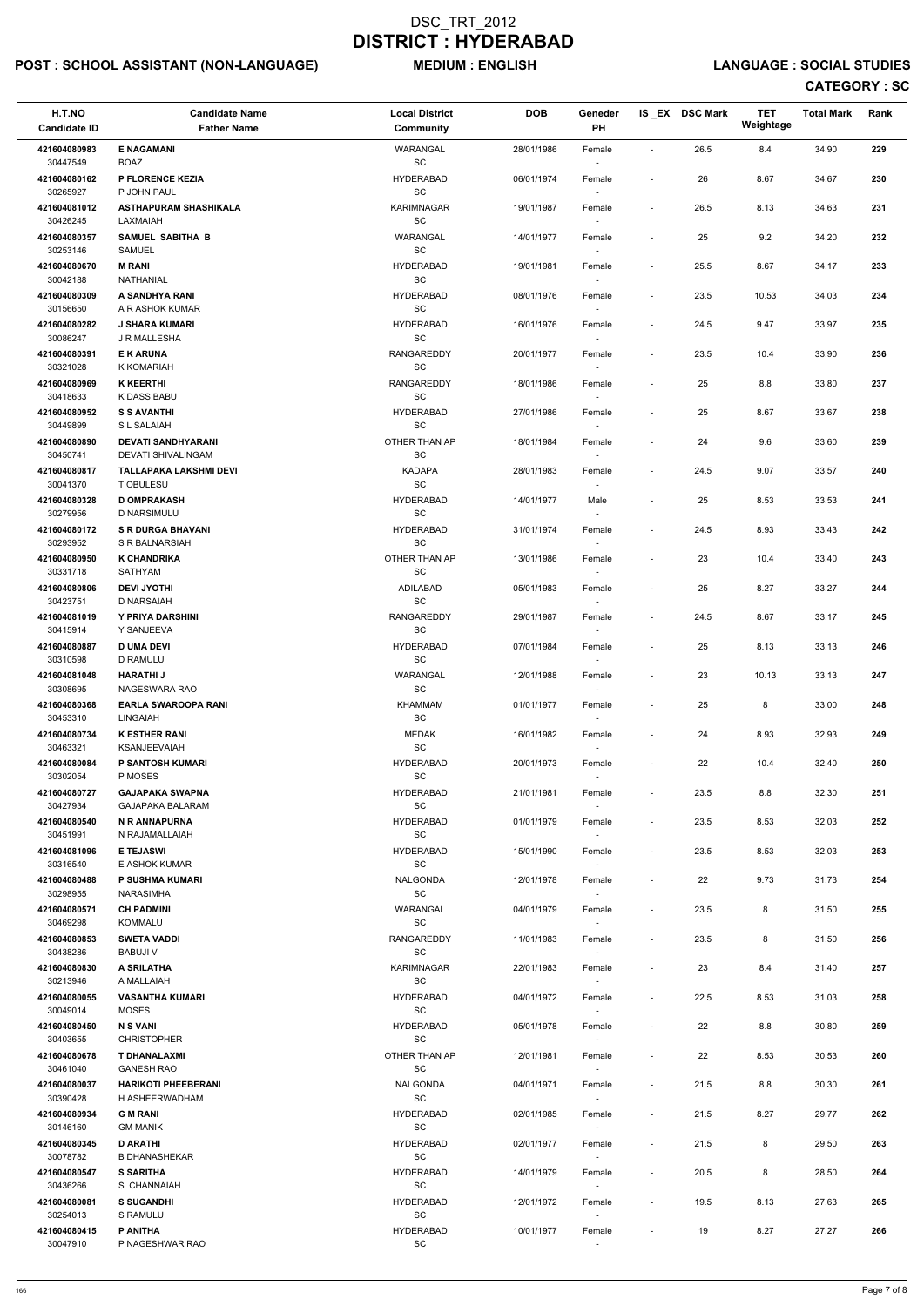# POST : SCHOOL ASSISTANT (NON-LANGUAGE) MEDIUM : ENGLISH LANGUAGE : SOCIAL STUDIES

| H.T.NO<br><b>Candidate ID</b> | <b>Candidate Name</b><br><b>Father Name</b>       | <b>Local District</b><br><b>Community</b>        | <b>DOB</b> | Geneder<br>PH                      |                          | IS_EX DSC Mark | <b>TET</b><br>Weightage | <b>Total Mark</b> | Rank |  |
|-------------------------------|---------------------------------------------------|--------------------------------------------------|------------|------------------------------------|--------------------------|----------------|-------------------------|-------------------|------|--|
| 421604080983                  | <b>E NAGAMANI</b>                                 | WARANGAL                                         | 28/01/1986 | Female                             | $\blacksquare$           | 26.5           | 8.4                     | 34.90             | 229  |  |
| 30447549<br>421604080162      | <b>BOAZ</b><br>P FLORENCE KEZIA                   | SC<br><b>HYDERABAD</b>                           | 06/01/1974 | Female                             | $\overline{\phantom{a}}$ | 26             | 8.67                    | 34.67             | 230  |  |
| 30265927                      | P JOHN PAUL                                       | SC                                               |            |                                    |                          |                |                         |                   |      |  |
| 421604081012<br>30426245      | <b>ASTHAPURAM SHASHIKALA</b><br>LAXMAIAH          | KARIMNAGAR<br>SC                                 | 19/01/1987 | Female                             | $\sim$                   | 26.5           | 8.13                    | 34.63             | 231  |  |
| 421604080357                  | <b>SAMUEL SABITHA B</b>                           | WARANGAL                                         | 14/01/1977 | Female                             | $\overline{\phantom{a}}$ | 25             | 9.2                     | 34.20             | 232  |  |
| 30253146<br>421604080670      | SAMUEL<br><b>M RANI</b>                           | SC<br><b>HYDERABAD</b>                           | 19/01/1981 | $\overline{\phantom{a}}$<br>Female | $\overline{\phantom{a}}$ | 25.5           | 8.67                    | 34.17             | 233  |  |
| 30042188                      | NATHANIAL                                         | SC                                               |            | $\sim$                             |                          |                |                         |                   |      |  |
| 421604080309<br>30156650      | A SANDHYA RANI<br>A R ASHOK KUMAR                 | <b>HYDERABAD</b><br>SC                           | 08/01/1976 | Female<br>$\sim$                   | $\overline{\phantom{a}}$ | 23.5           | 10.53                   | 34.03             | 234  |  |
| 421604080282<br>30086247      | <b>J SHARA KUMARI</b><br><b>J R MALLESHA</b>      | <b>HYDERABAD</b><br>SC                           | 16/01/1976 | Female                             | $\sim$                   | 24.5           | 9.47                    | 33.97             | 235  |  |
| 421604080391<br>30321028      | <b>E K ARUNA</b><br>K KOMARIAH                    | RANGAREDDY<br>SC                                 | 20/01/1977 | Female<br>$\sim$                   | $\overline{\phantom{a}}$ | 23.5           | 10.4                    | 33.90             | 236  |  |
| 421604080969<br>30418633      | <b>K KEERTHI</b><br>K DASS BABU                   | RANGAREDDY<br>SC                                 | 18/01/1986 | Female<br>$\overline{\phantom{a}}$ |                          | 25             | 8.8                     | 33.80             | 237  |  |
| 421604080952                  | <b>S S AVANTHI</b>                                | <b>HYDERABAD</b>                                 | 27/01/1986 | Female                             | $\overline{\phantom{a}}$ | 25             | 8.67                    | 33.67             | 238  |  |
| 30449899<br>421604080890      | S L SALAIAH<br><b>DEVATI SANDHYARANI</b>          | SC<br>OTHER THAN AP                              | 18/01/1984 | $\sim$<br>Female                   | $\overline{\phantom{a}}$ | 24             | 9.6                     | 33.60             | 239  |  |
| 30450741                      | <b>DEVATI SHIVALINGAM</b>                         | SC                                               |            |                                    |                          |                |                         |                   |      |  |
| 421604080817<br>30041370      | TALLAPAKA LAKSHMI DEVI<br>T OBULESU               | <b>KADAPA</b><br>SC                              | 28/01/1983 | Female<br>$\overline{\phantom{a}}$ | $\overline{\phantom{a}}$ | 24.5           | 9.07                    | 33.57             | 240  |  |
| 421604080328                  | <b>D OMPRAKASH</b>                                | <b>HYDERABAD</b>                                 | 14/01/1977 | Male                               | $\overline{\phantom{a}}$ | 25             | 8.53                    | 33.53             | 241  |  |
| 30279956<br>421604080172      | D NARSIMULU<br><b>S R DURGA BHAVANI</b>           | SC<br><b>HYDERABAD</b>                           | 31/01/1974 | $\sim$<br>Female                   | $\sim$                   | 24.5           | 8.93                    | 33.43             | 242  |  |
| 30293952                      | S R BALNARSIAH                                    | SC                                               |            | $\sim$                             |                          |                |                         |                   |      |  |
| 421604080950<br>30331718      | <b>K CHANDRIKA</b><br>SATHYAM                     | OTHER THAN AP<br>SC                              | 13/01/1986 | Female                             | $\overline{\phantom{a}}$ | 23             | 10.4                    | 33.40             | 243  |  |
| 421604080806<br>30423751      | <b>DEVI JYOTHI</b><br>D NARSAIAH                  | ADILABAD<br>SC                                   | 05/01/1983 | Female<br>$\sim$                   | $\overline{\phantom{a}}$ | 25             | 8.27                    | 33.27             | 244  |  |
| 421604081019                  | Y PRIYA DARSHINI                                  | <b>RANGAREDDY</b>                                | 29/01/1987 | Female                             | $\blacksquare$           | 24.5           | 8.67                    | 33.17             | 245  |  |
| 30415914<br>421604080887      | Y SANJEEVA<br><b>D UMA DEVI</b>                   | SC<br><b>HYDERABAD</b>                           | 07/01/1984 | $\sim$<br>Female                   | $\blacksquare$           | 25             | 8.13                    | 33.13             | 246  |  |
| 30310598                      | <b>D RAMULU</b>                                   | SC                                               |            |                                    |                          |                |                         |                   |      |  |
| 421604081048<br>30308695      | <b>HARATHI J</b><br>NAGESWARA RAO                 | WARANGAL<br>SC                                   | 12/01/1988 | Female                             | $\overline{\phantom{a}}$ | 23             | 10.13                   | 33.13             | 247  |  |
| 421604080368<br>30453310      | <b>EARLA SWAROOPA RANI</b><br><b>LINGAIAH</b>     | KHAMMAM<br>SC                                    | 01/01/1977 | Female<br>$\sim$                   | $\overline{\phantom{a}}$ | 25             | 8                       | 33.00             | 248  |  |
| 421604080734                  | <b>K ESTHER RANI</b>                              | <b>MEDAK</b>                                     | 16/01/1982 | Female                             | $\overline{\phantom{a}}$ | 24             | 8.93                    | 32.93             | 249  |  |
| 30463321<br>421604080084      | <b>KSANJEEVAIAH</b><br><b>P SANTOSH KUMARI</b>    | SC<br><b>HYDERABAD</b>                           | 20/01/1973 | $\sim$<br>Female                   | $\overline{\phantom{a}}$ | 22             | 10.4                    | 32.40             | 250  |  |
| 30302054                      | P MOSES                                           | SC                                               |            | $\sim$                             |                          |                |                         |                   |      |  |
| 421604080727<br>30427934      | <b>GAJAPAKA SWAPNA</b><br><b>GAJAPAKA BALARAM</b> | <b>HYDERABAD</b><br>SC                           | 21/01/1981 | Female                             | $\sim$                   | 23.5           | 8.8                     | 32.30             | 251  |  |
| 421604080540<br>30451991      | N R ANNAPURNA<br>N RAJAMALLAIAH                   | <b>HYDERABAD</b><br>SC                           | 01/01/1979 | Female<br>$\sim$                   | $\sim$                   | 23.5           | 8.53                    | 32.03             | 252  |  |
| 421604081096                  | <b>E TEJASWI</b>                                  | <b>HYDERABAD</b>                                 | 15/01/1990 | Female                             | $\overline{\phantom{a}}$ | 23.5           | 8.53                    | 32.03             | 253  |  |
| 30316540<br>421604080488      | E ASHOK KUMAR<br>P SUSHMA KUMARI                  | SC<br>NALGONDA                                   | 12/01/1978 | $\overline{\phantom{a}}$<br>Female | $\blacksquare$           | 22             | 9.73                    | 31.73             | 254  |  |
| 30298955                      | <b>NARASIMHA</b>                                  | SC                                               |            | $\sim$                             |                          |                |                         |                   |      |  |
| 421604080571<br>30469298      | <b>CH PADMINI</b><br>KOMMALU                      | WARANGAL<br>SC                                   | 04/01/1979 | Female                             | $\overline{\phantom{a}}$ | 23.5           | 8                       | 31.50             | 255  |  |
| 421604080853<br>30438286      | <b>SWETA VADDI</b><br><b>BABUJI V</b>             | <b>RANGAREDDY</b><br><b>SC</b>                   | 11/01/1983 | Female<br>$\sim$                   | $\overline{\phantom{a}}$ | 23.5           | 8                       | 31.50             | 256  |  |
| 421604080830                  | A SRILATHA                                        | <b>KARIMNAGAR</b>                                | 22/01/1983 | Female                             | $\overline{\phantom{a}}$ | 23             | 8.4                     | 31.40             | 257  |  |
| 30213946<br>421604080055      | A MALLAIAH<br><b>VASANTHA KUMARI</b>              | SC<br><b>HYDERABAD</b>                           | 04/01/1972 | $\sim$<br>Female                   | $\sim$                   | 22.5           | 8.53                    | 31.03             | 258  |  |
| 30049014                      | MOSES                                             | <b>SC</b>                                        |            | $\sim$                             |                          |                |                         |                   |      |  |
| 421604080450<br>30403655      | <b>N S VANI</b><br><b>CHRISTOPHER</b>             | <b>HYDERABAD</b><br>SC                           | 05/01/1978 | Female                             | $\overline{\phantom{a}}$ | 22             | 8.8                     | 30.80             | 259  |  |
| 421604080678<br>30461040      | <b>T DHANALAXMI</b><br><b>GANESH RAO</b>          | OTHER THAN AP<br>SC                              | 12/01/1981 | Female                             | $\overline{\phantom{a}}$ | 22             | 8.53                    | 30.53             | 260  |  |
| 421604080037                  | <b>HARIKOTI PHEEBERANI</b>                        | NALGONDA                                         | 04/01/1971 | Female                             | $\sim$                   | 21.5           | 8.8                     | 30.30             | 261  |  |
| 30390428<br>421604080934      | H ASHEERWADHAM<br><b>G M RANI</b>                 | SC<br><b>HYDERABAD</b>                           | 02/01/1985 | $\sim$<br>Female                   |                          | 21.5           | 8.27                    | 29.77             | 262  |  |
| 30146160                      | <b>GM MANIK</b>                                   | SC                                               |            | $\overline{\phantom{a}}$           |                          |                |                         |                   |      |  |
| 421604080345<br>30078782      | <b>D ARATHI</b><br><b>B DHANASHEKAR</b>           | <b>HYDERABAD</b><br>SC                           | 02/01/1977 | Female<br>$\sim$                   | $\overline{\phantom{a}}$ | 21.5           | 8                       | 29.50             | 263  |  |
| 421604080547                  | <b>S SARITHA</b>                                  | <b>HYDERABAD</b>                                 | 14/01/1979 | Female                             |                          | 20.5           | 8                       | 28.50             | 264  |  |
| 30436266<br>421604080081      | S CHANNAIAH<br><b>S SUGANDHI</b>                  | SC<br><b>HYDERABAD</b>                           | 12/01/1972 | $\sim$<br>Female                   | $\overline{\phantom{a}}$ | 19.5           | 8.13                    | 27.63             | 265  |  |
| 30254013                      | S RAMULU                                          | SC                                               |            | $\sim$                             |                          |                |                         |                   |      |  |
| 421604080415<br>30047910      | P ANITHA<br>P NAGESHWAR RAO                       | <b>HYDERABAD</b><br>$\operatorname{\textsf{SC}}$ | 10/01/1977 | Female<br>$\sim$                   |                          | 19             | 8.27                    | 27.27             | 266  |  |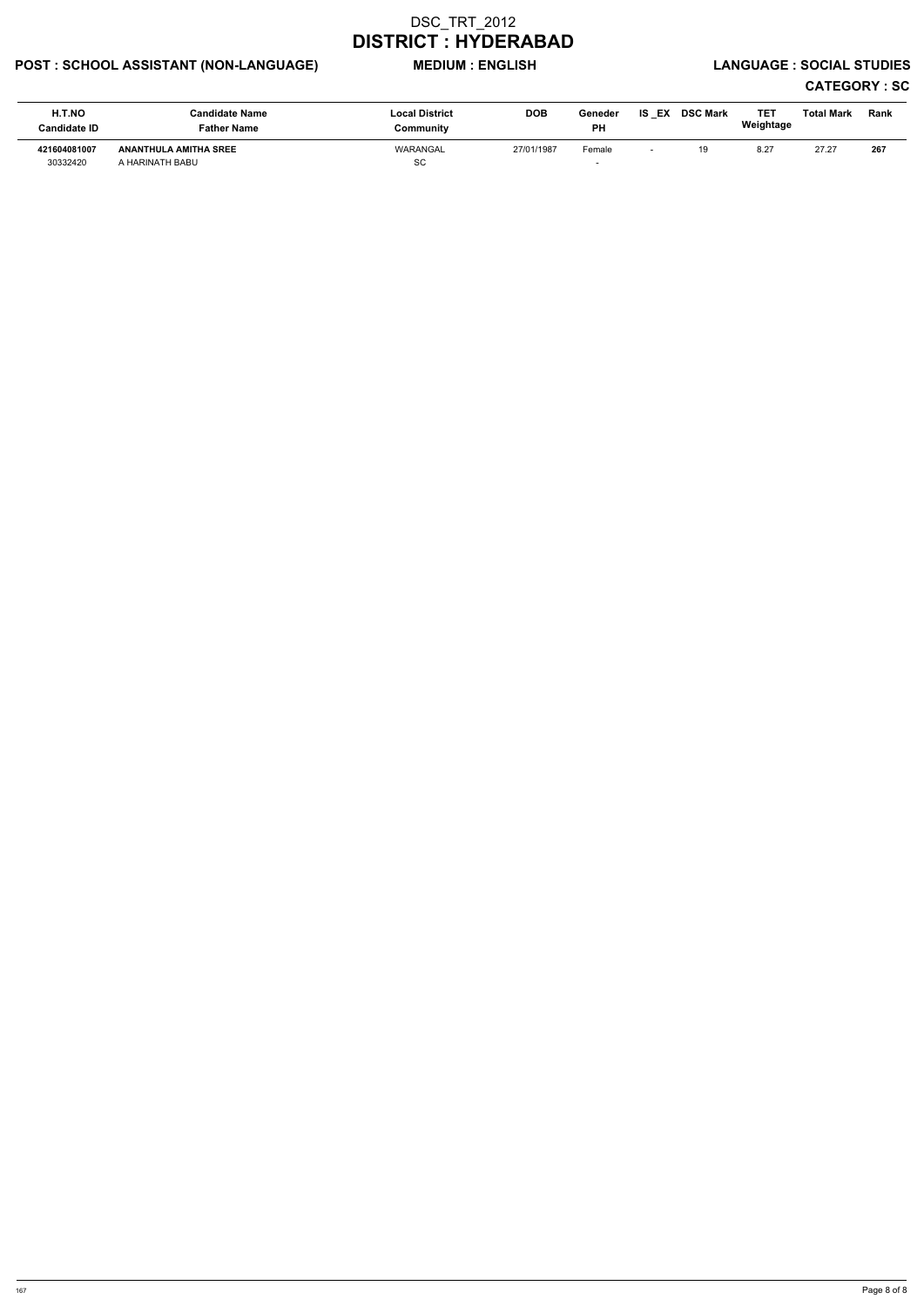# POST : SCHOOL ASSISTANT (NON-LANGUAGE) MEDIUM : ENGLISH LANGUAGE : SOCIAL STUDIES

| H.T.NO<br><b>Candidate ID</b> | <b>Candidate Name</b><br><b>Father Name</b>     | <b>Local District</b><br>Community | <b>DOB</b> | Geneder<br><b>PH</b> | IS.<br>EX                | <b>DSC Mark</b> | TE1<br>Weightage | Total Mark | Rank |
|-------------------------------|-------------------------------------------------|------------------------------------|------------|----------------------|--------------------------|-----------------|------------------|------------|------|
| 421604081007<br>30332420      | <b>ANANTHULA AMITHA SREE</b><br>A HARINATH BABU | WARANGAL<br>SC                     | 27/01/1987 | Female               | $\overline{\phantom{0}}$ | 19              | 8.27             | 27.27      | 267  |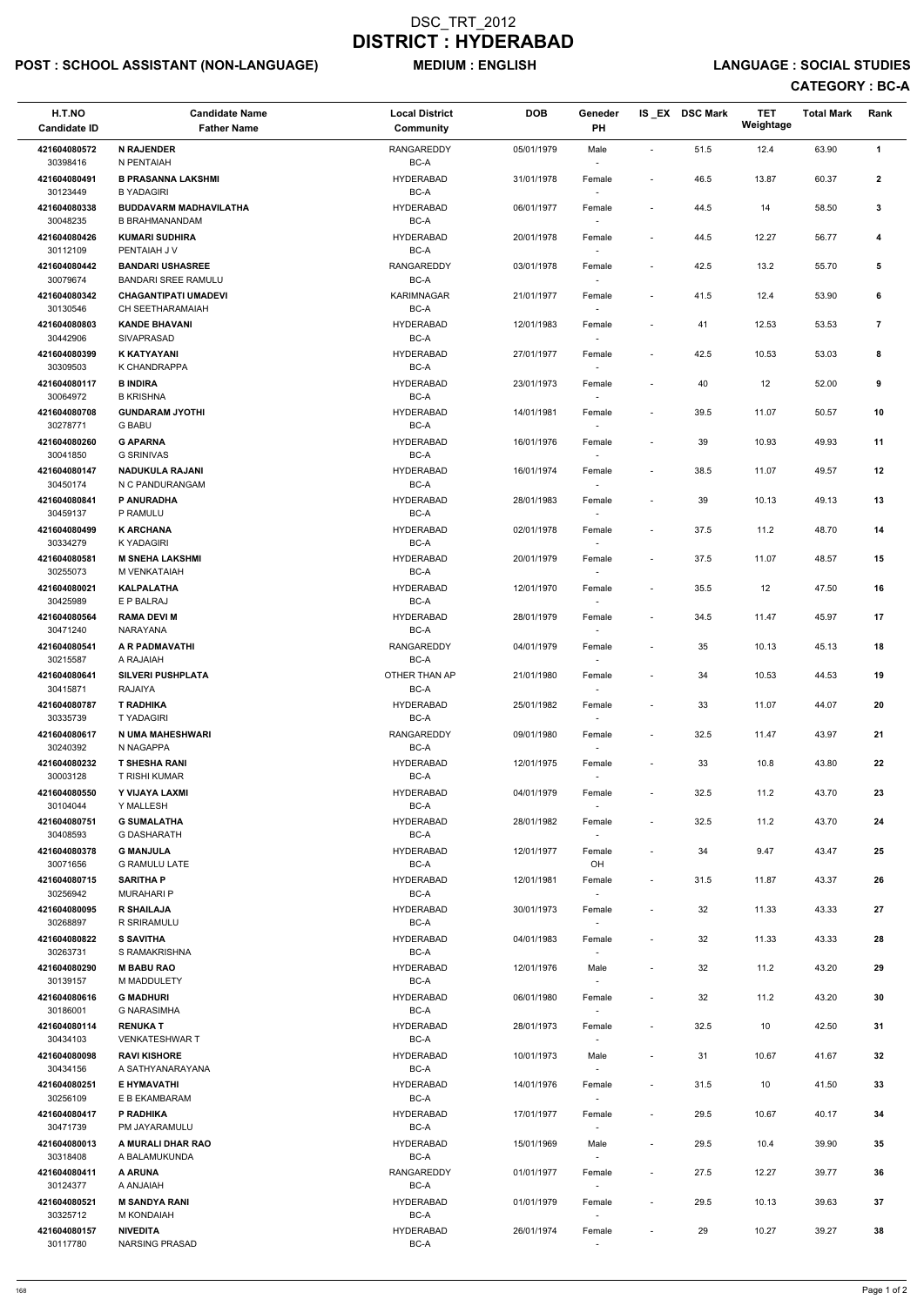# POST : SCHOOL ASSISTANT (NON-LANGUAGE) MEDIUM : ENGLISH LANGUAGE : SOCIAL STUDIES

| H.T.NO<br><b>Candidate ID</b> | <b>Candidate Name</b><br><b>Father Name</b>               | <b>Local District</b><br><b>Community</b> | <b>DOB</b> | Geneder<br>PH                      |                              | IS EX DSC Mark | <b>TET</b><br>Weightage | <b>Total Mark</b> | Rank                    |
|-------------------------------|-----------------------------------------------------------|-------------------------------------------|------------|------------------------------------|------------------------------|----------------|-------------------------|-------------------|-------------------------|
| 421604080572<br>30398416      | <b>N RAJENDER</b><br>N PENTAIAH                           | <b>RANGAREDDY</b>                         | 05/01/1979 | Male                               | $\overline{\phantom{a}}$     | 51.5           | 12.4                    | 63.90             | $\mathbf{1}$            |
| 421604080491<br>30123449      | <b>B PRASANNA LAKSHMI</b>                                 | BC-A<br><b>HYDERABAD</b><br>BC-A          | 31/01/1978 | Female                             | $\overline{\phantom{a}}$     | 46.5           | 13.87                   | 60.37             | $\mathbf{2}$            |
| 421604080338                  | <b>B YADAGIRI</b><br><b>BUDDAVARM MADHAVILATHA</b>        | <b>HYDERABAD</b>                          | 06/01/1977 | Female                             | $\overline{\phantom{a}}$     | 44.5           | 14                      | 58.50             | 3                       |
| 30048235<br>421604080426      | <b>B BRAHMANANDAM</b><br><b>KUMARI SUDHIRA</b>            | BC-A<br><b>HYDERABAD</b>                  | 20/01/1978 | Female                             | $\overline{\phantom{a}}$     | 44.5           | 12.27                   | 56.77             | 4                       |
| 30112109                      | PENTAIAH J V                                              | BC-A                                      |            |                                    |                              |                |                         |                   |                         |
| 421604080442                  | <b>BANDARI USHASREE</b>                                   | <b>RANGAREDDY</b>                         | 03/01/1978 | Female                             | $\overline{\phantom{a}}$     | 42.5           | 13.2                    | 55.70             | 5                       |
| 30079674<br>421604080342      | <b>BANDARI SREE RAMULU</b><br><b>CHAGANTIPATI UMADEVI</b> | BC-A<br><b>KARIMNAGAR</b>                 | 21/01/1977 | $\sim$<br>Female                   | $\qquad \qquad \blacksquare$ | 41.5           | 12.4                    | 53.90             | 6                       |
| 30130546<br>421604080803      | CH SEETHARAMAIAH<br><b>KANDE BHAVANI</b>                  | BC-A<br><b>HYDERABAD</b>                  | 12/01/1983 |                                    |                              |                |                         |                   |                         |
| 30442906                      | SIVAPRASAD                                                | BC-A                                      |            | Female                             | $\overline{\phantom{a}}$     | 41             | 12.53                   | 53.53             | $\overline{\mathbf{r}}$ |
| 421604080399<br>30309503      | K KATYAYANI<br>K CHANDRAPPA                               | <b>HYDERABAD</b><br>BC-A                  | 27/01/1977 | Female<br>$\sim$                   | $\overline{\phantom{a}}$     | 42.5           | 10.53                   | 53.03             | 8                       |
| 421604080117<br>30064972      | <b>B INDIRA</b><br><b>B KRISHNA</b>                       | <b>HYDERABAD</b><br>BC-A                  | 23/01/1973 | Female                             | $\overline{\phantom{a}}$     | 40             | 12                      | 52.00             | 9                       |
| 421604080708                  | <b>GUNDARAM JYOTHI</b>                                    | <b>HYDERABAD</b>                          | 14/01/1981 | Female                             | $\overline{\phantom{a}}$     | 39.5           | 11.07                   | 50.57             | 10                      |
| 30278771<br>421604080260      | <b>G BABU</b><br><b>G APARNA</b>                          | BC-A<br><b>HYDERABAD</b>                  | 16/01/1976 | Female                             | $\overline{\phantom{a}}$     | 39             | 10.93                   | 49.93             | 11                      |
| 30041850                      | <b>G SRINIVAS</b>                                         | BC-A                                      |            |                                    |                              |                |                         |                   |                         |
| 421604080147                  | <b>NADUKULA RAJANI</b>                                    | <b>HYDERABAD</b>                          | 16/01/1974 | Female                             | $\overline{\phantom{a}}$     | 38.5           | 11.07                   | 49.57             | 12                      |
| 30450174<br>421604080841      | N C PANDURANGAM<br>P ANURADHA                             | BC-A<br><b>HYDERABAD</b>                  | 28/01/1983 | $\sim$<br>Female                   | $\overline{a}$               | 39             | 10.13                   | 49.13             | 13                      |
| 30459137                      | P RAMULU                                                  | BC-A                                      |            |                                    |                              |                |                         |                   |                         |
| 421604080499<br>30334279      | <b>K ARCHANA</b><br><b>KYADAGIRI</b>                      | <b>HYDERABAD</b><br>BC-A                  | 02/01/1978 | Female                             | $\overline{\phantom{a}}$     | 37.5           | 11.2                    | 48.70             | 14                      |
| 421604080581                  | <b>M SNEHA LAKSHMI</b>                                    | <b>HYDERABAD</b>                          | 20/01/1979 | Female                             | $\overline{\phantom{a}}$     | 37.5           | 11.07                   | 48.57             | 15                      |
| 30255073<br>421604080021      | M VENKATAIAH<br><b>KALPALATHA</b>                         | BC-A<br><b>HYDERABAD</b>                  | 12/01/1970 | Female                             | $\overline{\phantom{a}}$     | 35.5           | 12                      | 47.50             | 16                      |
| 30425989                      | E P BALRAJ                                                | BC-A                                      |            | $\overline{\phantom{a}}$           |                              |                |                         |                   |                         |
| 421604080564<br>30471240      | <b>RAMA DEVI M</b><br>NARAYANA                            | <b>HYDERABAD</b><br>BC-A                  | 28/01/1979 | Female                             | $\qquad \qquad \blacksquare$ | 34.5           | 11.47                   | 45.97             | 17                      |
| 421604080541<br>30215587      | A R PADMAVATHI<br>A RAJAIAH                               | RANGAREDDY<br>BC-A                        | 04/01/1979 | Female                             | $\overline{\phantom{a}}$     | 35             | 10.13                   | 45.13             | 18                      |
| 421604080641<br>30415871      | <b>SILVERI PUSHPLATA</b><br>RAJAIYA                       | OTHER THAN AP<br>BC-A                     | 21/01/1980 | Female<br>$\overline{\phantom{a}}$ | $\qquad \qquad \blacksquare$ | 34             | 10.53                   | 44.53             | 19                      |
| 421604080787<br>30335739      | <b>T RADHIKA</b>                                          | <b>HYDERABAD</b>                          | 25/01/1982 | Female                             | $\overline{\phantom{a}}$     | 33             | 11.07                   | 44.07             | 20                      |
| 421604080617                  | <b>TYADAGIRI</b><br>N UMA MAHESHWARI                      | BC-A<br>RANGAREDDY                        | 09/01/1980 | Female                             | $\overline{\phantom{a}}$     | 32.5           | 11.47                   | 43.97             | 21                      |
| 30240392                      | N NAGAPPA                                                 | BC-A                                      |            | $\sim$                             |                              |                |                         |                   |                         |
| 421604080232<br>30003128      | <b>T SHESHA RANI</b><br>T RISHI KUMAR                     | <b>HYDERABAD</b><br>BC-A                  | 12/01/1975 | Female                             | $\overline{\phantom{a}}$     | 33             | 10.8                    | 43.80             | 22                      |
| 421604080550                  | Y VIJAYA LAXMI                                            | <b>HYDERABAD</b>                          | 04/01/1979 | Female                             | $\overline{\phantom{a}}$     | 32.5           | 11.2                    | 43.70             | 23                      |
| 30104044<br>421604080751      | Y MALLESH<br><b>G SUMALATHA</b>                           | BC-A<br><b>HYDERABAD</b>                  | 28/01/1982 | Female                             | $\overline{\phantom{a}}$     | 32.5           | 11.2                    | 43.70             | 24                      |
| 30408593                      | <b>G DASHARATH</b>                                        | BC-A                                      |            | $\overline{\phantom{a}}$           |                              |                |                         |                   |                         |
| 421604080378<br>30071656      | <b>G MANJULA</b><br><b>G RAMULU LATE</b>                  | <b>HYDERABAD</b><br>BC-A                  | 12/01/1977 | Female<br>OH                       | $\overline{\phantom{a}}$     | 34             | 9.47                    | 43.47             | 25                      |
| 421604080715<br>30256942      | <b>SARITHA P</b><br><b>MURAHARI P</b>                     | <b>HYDERABAD</b><br>BC-A                  | 12/01/1981 | Female                             | $\overline{\phantom{a}}$     | 31.5           | 11.87                   | 43.37             | 26                      |
| 421604080095<br>30268897      | <b>R SHAILAJA</b><br>R SRIRAMULU                          | <b>HYDERABAD</b><br>BC-A                  | 30/01/1973 | Female                             | $\overline{\phantom{a}}$     | 32             | 11.33                   | 43.33             | 27                      |
| 421604080822                  | <b>S SAVITHA</b>                                          | <b>HYDERABAD</b>                          | 04/01/1983 | Female                             | $\overline{\phantom{a}}$     | 32             | 11.33                   | 43.33             | 28                      |
| 30263731<br>421604080290      | S RAMAKRISHNA<br><b>M BABU RAO</b>                        | BC-A<br><b>HYDERABAD</b>                  | 12/01/1976 | $\overline{\phantom{a}}$<br>Male   | $\overline{\phantom{a}}$     | 32             | 11.2                    | 43.20             | 29                      |
| 30139157                      | M MADDULETY                                               | BC-A                                      |            | $\sim$                             |                              |                |                         |                   |                         |
| 421604080616<br>30186001      | <b>G MADHURI</b><br><b>G NARASIMHA</b>                    | <b>HYDERABAD</b><br>BC-A                  | 06/01/1980 | Female<br>$\sim$                   | $\overline{\phantom{a}}$     | 32             | 11.2                    | 43.20             | 30                      |
| 421604080114                  | <b>RENUKAT</b>                                            | <b>HYDERABAD</b>                          | 28/01/1973 | Female                             | $\overline{\phantom{a}}$     | 32.5           | 10                      | 42.50             | 31                      |
| 30434103<br>421604080098      | <b>VENKATESHWAR T</b><br><b>RAVI KISHORE</b>              | BC-A<br><b>HYDERABAD</b>                  | 10/01/1973 | Male                               | $\overline{\phantom{a}}$     | 31             | 10.67                   | 41.67             | 32                      |
| 30434156                      | A SATHYANARAYANA                                          | BC-A                                      |            |                                    |                              |                |                         |                   |                         |
| 421604080251<br>30256109      | E HYMAVATHI<br>E B EKAMBARAM                              | <b>HYDERABAD</b><br>$BC-A$                | 14/01/1976 | Female<br>$\overline{\phantom{a}}$ | $\overline{\phantom{a}}$     | 31.5           | 10                      | 41.50             | 33                      |
| 421604080417                  | P RADHIKA                                                 | <b>HYDERABAD</b>                          | 17/01/1977 | Female                             | $\overline{a}$               | 29.5           | 10.67                   | 40.17             | 34                      |
| 30471739<br>421604080013      | PM JAYARAMULU<br>A MURALI DHAR RAO                        | BC-A<br><b>HYDERABAD</b>                  | 15/01/1969 | $\overline{\phantom{a}}$<br>Male   | $\overline{\phantom{a}}$     | 29.5           | 10.4                    | 39.90             | 35                      |
| 30318408                      | A BALAMUKUNDA                                             | BC-A                                      |            | $\sim$                             |                              |                |                         |                   |                         |
| 421604080411<br>30124377      | A ARUNA<br><b>A ANJAIAH</b>                               | RANGAREDDY<br>BC-A                        | 01/01/1977 | Female<br>$\overline{\phantom{a}}$ | $\overline{\phantom{a}}$     | 27.5           | 12.27                   | 39.77             | 36                      |
| 421604080521<br>30325712      | <b>M SANDYA RANI</b><br>M KONDAIAH                        | <b>HYDERABAD</b><br>BC-A                  | 01/01/1979 | Female<br>$\overline{\phantom{a}}$ | $\overline{\phantom{a}}$     | 29.5           | 10.13                   | 39.63             | 37                      |
| 421604080157<br>30117780      | <b>NIVEDITA</b><br>NARSING PRASAD                         | <b>HYDERABAD</b><br>$BC-A$                | 26/01/1974 | Female                             |                              | 29             | 10.27                   | 39.27             | 38                      |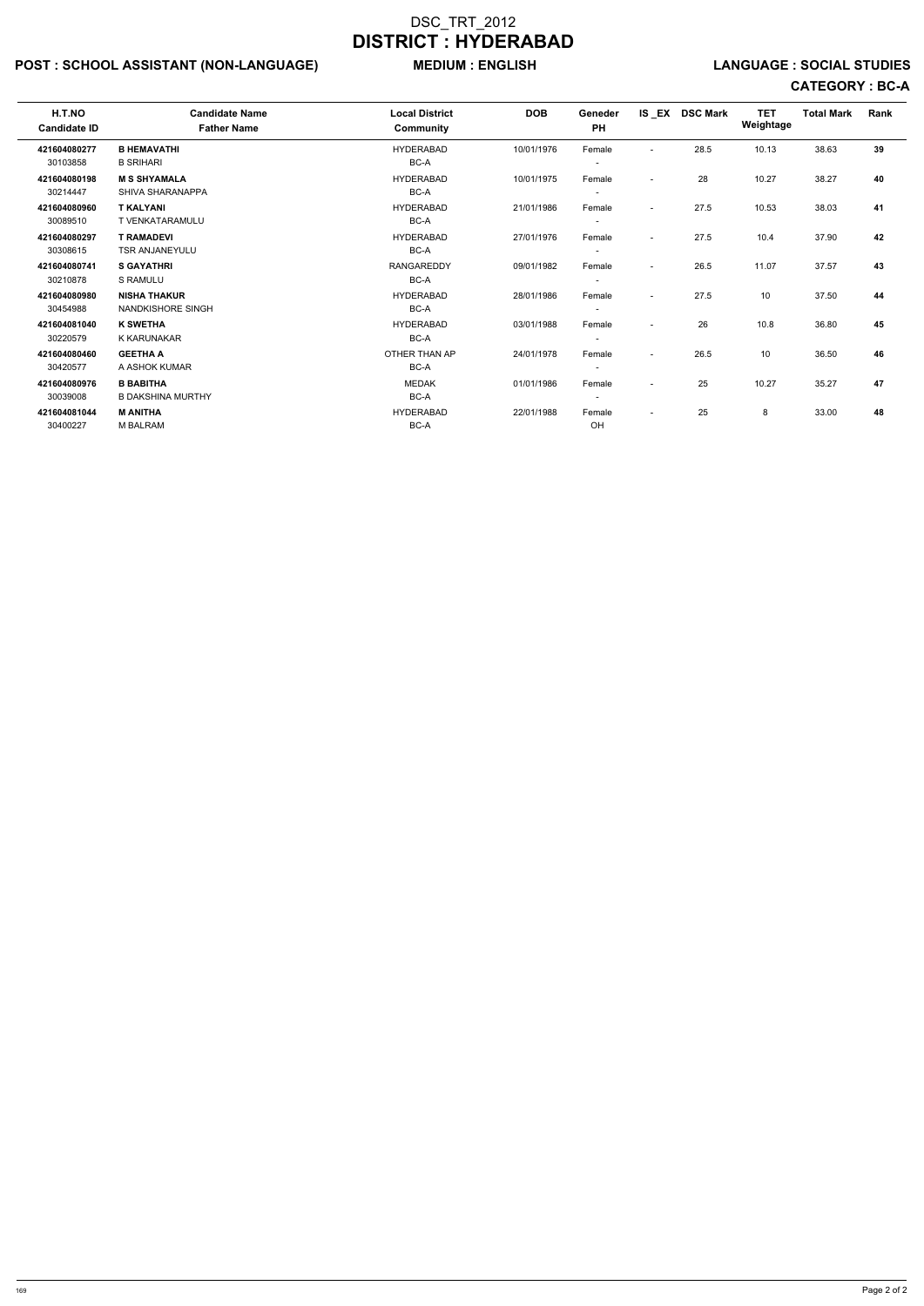# POST : SCHOOL ASSISTANT (NON-LANGUAGE) MEDIUM : ENGLISH LANGUAGE : SOCIAL STUDIES

| H.T.NO<br><b>Candidate ID</b> | <b>Candidate Name</b><br><b>Father Name</b> | <b>Local District</b><br><b>Community</b> | <b>DOB</b> | Geneder<br>PH            |                          | IS EX DSC Mark | <b>TET</b><br>Weightage | <b>Total Mark</b> | Rank |  |
|-------------------------------|---------------------------------------------|-------------------------------------------|------------|--------------------------|--------------------------|----------------|-------------------------|-------------------|------|--|
| 421604080277                  | <b>B HEMAVATHI</b>                          | <b>HYDERABAD</b>                          | 10/01/1976 | Female                   | $\sim$                   | 28.5           | 10.13                   | 38.63             | 39   |  |
| 30103858                      | <b>B SRIHARI</b>                            | BC-A                                      |            |                          |                          |                |                         |                   |      |  |
| 421604080198                  | <b>M S SHYAMALA</b>                         | <b>HYDERABAD</b>                          | 10/01/1975 | Female                   |                          | 28             | 10.27                   | 38.27             | 40   |  |
| 30214447                      | SHIVA SHARANAPPA                            | BC-A                                      |            | $\overline{\phantom{a}}$ |                          |                |                         |                   |      |  |
| 421604080960                  | <b>T KALYANI</b>                            | <b>HYDERABAD</b>                          | 21/01/1986 | Female                   | $\overline{\phantom{0}}$ | 27.5           | 10.53                   | 38.03             | 41   |  |
| 30089510                      | <b>T VENKATARAMULU</b>                      | BC-A                                      |            | $\overline{\phantom{a}}$ |                          |                |                         |                   |      |  |
| 421604080297                  | <b>T RAMADEVI</b>                           | <b>HYDERABAD</b>                          | 27/01/1976 | Female                   | $\overline{\phantom{a}}$ | 27.5           | 10.4                    | 37.90             | 42   |  |
| 30308615                      | <b>TSR ANJANEYULU</b>                       | BC-A                                      |            | $\overline{\phantom{a}}$ |                          |                |                         |                   |      |  |
| 421604080741                  | <b>S GAYATHRI</b>                           | <b>RANGAREDDY</b>                         | 09/01/1982 | Female                   | $\overline{\phantom{a}}$ | 26.5           | 11.07                   | 37.57             | 43   |  |
| 30210878                      | S RAMULU                                    | BC-A                                      |            |                          |                          |                |                         |                   |      |  |
| 421604080980                  | <b>NISHA THAKUR</b>                         | <b>HYDERABAD</b>                          | 28/01/1986 | Female                   | $\sim$                   | 27.5           | 10                      | 37.50             | 44   |  |
| 30454988                      | <b>NANDKISHORE SINGH</b>                    | BC-A                                      |            |                          |                          |                |                         |                   |      |  |
| 421604081040                  | <b>K SWETHA</b>                             | <b>HYDERABAD</b>                          | 03/01/1988 | Female                   |                          | 26             | 10.8                    | 36.80             | 45   |  |
| 30220579                      | <b>K KARUNAKAR</b>                          | BC-A                                      |            | $\overline{\phantom{a}}$ |                          |                |                         |                   |      |  |
| 421604080460                  | <b>GEETHA A</b>                             | OTHER THAN AP                             | 24/01/1978 | Female                   | $\overline{\phantom{a}}$ | 26.5           | 10                      | 36.50             | 46   |  |
| 30420577                      | A ASHOK KUMAR                               | BC-A                                      |            | $\overline{\phantom{a}}$ |                          |                |                         |                   |      |  |
|                               |                                             |                                           |            |                          |                          |                |                         |                   |      |  |
| 421604080976                  | <b>B BABITHA</b>                            | <b>MEDAK</b>                              | 01/01/1986 | Female                   | $\sim$                   | 25             | 10.27                   | 35.27             | 47   |  |
| 30039008                      | <b>B DAKSHINA MURTHY</b>                    | BC-A                                      |            | $\overline{\phantom{a}}$ |                          |                |                         |                   |      |  |
| 421604081044                  | <b>M ANITHA</b>                             | <b>HYDERABAD</b>                          | 22/01/1988 | Female                   | $\overline{\phantom{a}}$ | 25             | 8                       | 33.00             | 48   |  |
| 30400227                      | <b>M BALRAM</b>                             | BC-A                                      |            | OH                       |                          |                |                         |                   |      |  |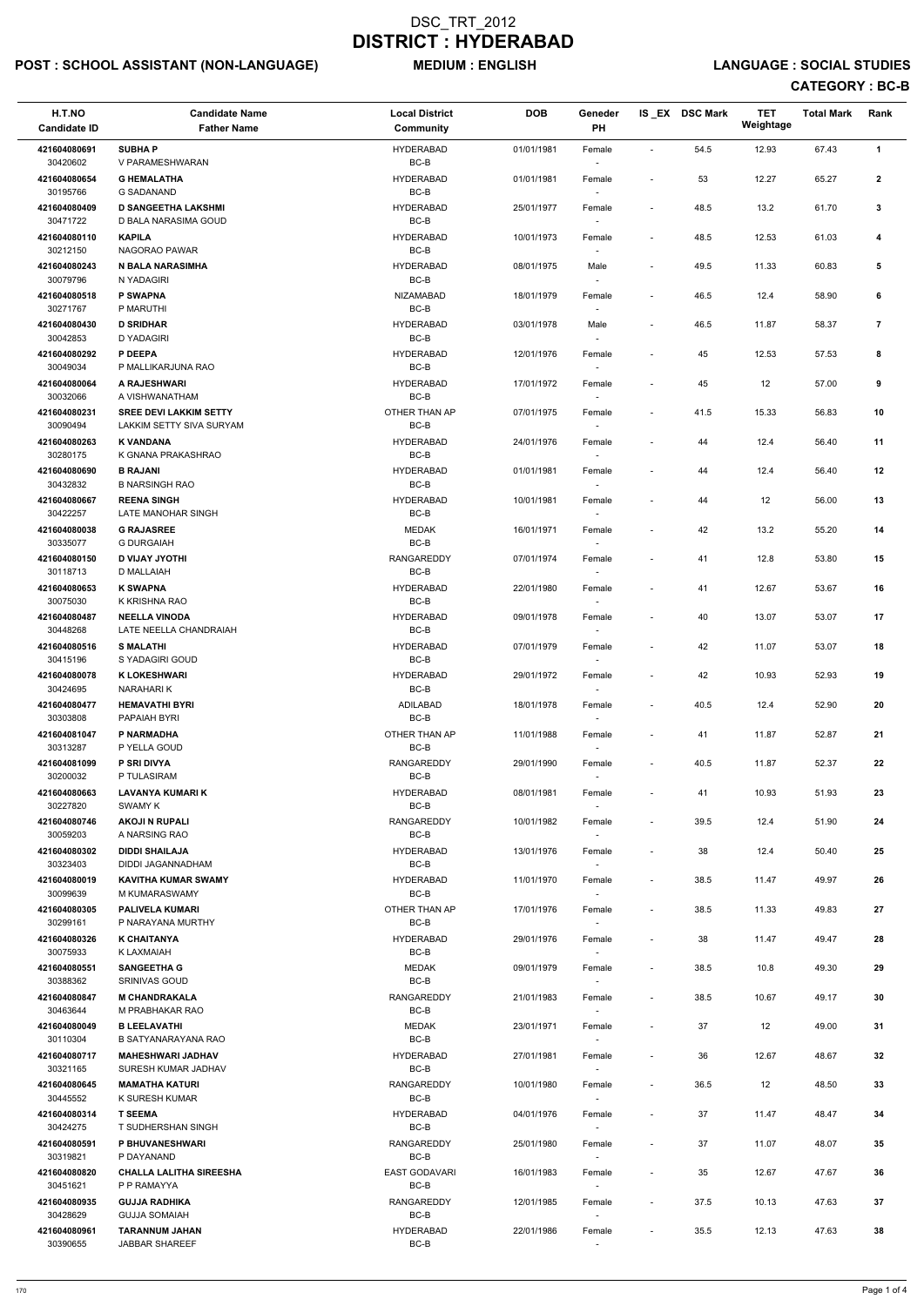# POST : SCHOOL ASSISTANT (NON-LANGUAGE) MEDIUM : ENGLISH LANGUAGE : SOCIAL STUDIES

| H.T.NO<br><b>Candidate ID</b> | <b>Candidate Name</b><br><b>Father Name</b>        | <b>Local District</b><br>Community | <b>DOB</b> | Geneder<br>PH                      |                              | IS_EX DSC Mark | <b>TET</b><br>Weightage | <b>Total Mark</b> | Rank           |  |
|-------------------------------|----------------------------------------------------|------------------------------------|------------|------------------------------------|------------------------------|----------------|-------------------------|-------------------|----------------|--|
| 421604080691                  | <b>SUBHAP</b>                                      | <b>HYDERABAD</b>                   | 01/01/1981 | Female                             | $\overline{\phantom{a}}$     | 54.5           | 12.93                   | 67.43             | $\mathbf{1}$   |  |
| 30420602                      | V PARAMESHWARAN                                    | BC-B                               |            |                                    |                              |                |                         |                   |                |  |
| 421604080654<br>30195766      | <b>G HEMALATHA</b><br><b>G SADANAND</b>            | <b>HYDERABAD</b><br>BC-B           | 01/01/1981 | Female                             | $\overline{\phantom{a}}$     | 53             | 12.27                   | 65.27             | $\mathbf{2}$   |  |
| 421604080409<br>30471722      | <b>D SANGEETHA LAKSHMI</b><br>D BALA NARASIMA GOUD | HYDERABAD<br>$BC-B$                | 25/01/1977 | Female                             | $\overline{\phantom{a}}$     | 48.5           | 13.2                    | 61.70             | 3              |  |
| 421604080110<br>30212150      | <b>KAPILA</b><br>NAGORAO PAWAR                     | <b>HYDERABAD</b><br>BC-B           | 10/01/1973 | Female                             | $\qquad \qquad \blacksquare$ | 48.5           | 12.53                   | 61.03             | 4              |  |
| 421604080243                  | <b>N BALA NARASIMHA</b>                            | <b>HYDERABAD</b>                   | 08/01/1975 | Male                               | $\overline{\phantom{a}}$     | 49.5           | 11.33                   | 60.83             | 5              |  |
| 30079796<br>421604080518      | N YADAGIRI<br>P SWAPNA                             | BC-B<br>NIZAMABAD                  | 18/01/1979 | $\sim$<br>Female                   | $\overline{\phantom{a}}$     | 46.5           | 12.4                    | 58.90             | 6              |  |
| 30271767                      | P MARUTHI                                          | BC-B                               |            |                                    |                              |                |                         |                   |                |  |
| 421604080430<br>30042853      | <b>D SRIDHAR</b><br><b>D YADAGIRI</b>              | <b>HYDERABAD</b><br>$BC-B$         | 03/01/1978 | Male                               | $\overline{\phantom{a}}$     | 46.5           | 11.87                   | 58.37             | $\overline{7}$ |  |
| 421604080292<br>30049034      | P DEEPA<br>P MALLIKARJUNA RAO                      | <b>HYDERABAD</b><br>BC-B           | 12/01/1976 | Female                             | $\overline{\phantom{a}}$     | 45             | 12.53                   | 57.53             | 8              |  |
| 421604080064<br>30032066      | A RAJESHWARI<br>A VISHWANATHAM                     | <b>HYDERABAD</b><br>BC-B           | 17/01/1972 | Female                             | $\overline{\phantom{m}}$     | 45             | 12                      | 57.00             | 9              |  |
| 421604080231                  | <b>SREE DEVI LAKKIM SETTY</b>                      | OTHER THAN AP                      | 07/01/1975 | Female                             | $\overline{\phantom{a}}$     | 41.5           | 15.33                   | 56.83             | 10             |  |
| 30090494                      | LAKKIM SETTY SIVA SURYAM                           | BC-B                               |            |                                    |                              |                |                         |                   |                |  |
| 421604080263<br>30280175      | <b>K VANDANA</b><br>K GNANA PRAKASHRAO             | <b>HYDERABAD</b><br>BC-B           | 24/01/1976 | Female                             | $\overline{\phantom{a}}$     | 44             | 12.4                    | 56.40             | 11             |  |
| 421604080690                  | <b>B RAJANI</b>                                    | <b>HYDERABAD</b>                   | 01/01/1981 | Female                             | $\overline{\phantom{a}}$     | 44             | 12.4                    | 56.40             | 12             |  |
| 30432832<br>421604080667      | <b>B NARSINGH RAO</b><br><b>REENA SINGH</b>        | BC-B<br><b>HYDERABAD</b>           | 10/01/1981 | Female                             | $\overline{\phantom{a}}$     | 44             | 12                      | 56.00             | 13             |  |
| 30422257                      | LATE MANOHAR SINGH                                 | BC-B                               |            | $\sim$                             |                              |                |                         |                   |                |  |
| 421604080038<br>30335077      | <b>G RAJASREE</b><br><b>G DURGAIAH</b>             | <b>MEDAK</b><br>BC-B               | 16/01/1971 | Female                             | $\overline{\phantom{a}}$     | 42             | 13.2                    | 55.20             | 14             |  |
| 421604080150<br>30118713      | <b>D VIJAY JYOTHI</b><br>D MALLAIAH                | <b>RANGAREDDY</b><br>BC-B          | 07/01/1974 | Female                             | $\overline{\phantom{a}}$     | 41             | 12.8                    | 53.80             | 15             |  |
| 421604080653                  | <b>K SWAPNA</b>                                    | <b>HYDERABAD</b>                   | 22/01/1980 | Female                             | $\overline{\phantom{a}}$     | 41             | 12.67                   | 53.67             | 16             |  |
| 30075030<br>421604080487      | K KRISHNA RAO<br><b>NEELLA VINODA</b>              | BC-B<br><b>HYDERABAD</b>           | 09/01/1978 | $\overline{\phantom{a}}$<br>Female | $\overline{\phantom{a}}$     | 40             | 13.07                   | 53.07             | 17             |  |
| 30448268                      | LATE NEELLA CHANDRAIAH                             | BC-B                               |            | $\overline{\phantom{a}}$           |                              |                |                         |                   |                |  |
| 421604080516<br>30415196      | <b>S MALATHI</b><br>S YADAGIRI GOUD                | <b>HYDERABAD</b><br>BC-B           | 07/01/1979 | Female                             | $\qquad \qquad \blacksquare$ | 42             | 11.07                   | 53.07             | 18             |  |
| 421604080078<br>30424695      | <b>K LOKESHWARI</b><br><b>NARAHARIK</b>            | <b>HYDERABAD</b><br>BC-B           | 29/01/1972 | Female                             | $\overline{\phantom{a}}$     | 42             | 10.93                   | 52.93             | 19             |  |
| 421604080477<br>30303808      | <b>HEMAVATHI BYRI</b><br>PAPAIAH BYRI              | ADILABAD<br>BC-B                   | 18/01/1978 | Female                             | $\overline{\phantom{a}}$     | 40.5           | 12.4                    | 52.90             | 20             |  |
| 421604081047<br>30313287      | P NARMADHA<br>P YELLA GOUD                         | OTHER THAN AP<br>BC-B              | 11/01/1988 | Female                             | $\overline{\phantom{a}}$     | 41             | 11.87                   | 52.87             | 21             |  |
| 421604081099                  | P SRI DIVYA                                        | <b>RANGAREDDY</b>                  | 29/01/1990 | $\sim$<br>Female                   | $\overline{\phantom{a}}$     | 40.5           | 11.87                   | 52.37             | 22             |  |
| 30200032                      | P TULASIRAM                                        | BC-B                               |            |                                    |                              |                |                         |                   |                |  |
| 421604080663<br>30227820      | <b>LAVANYA KUMARI K</b><br>SWAMY K                 | HYDERABAD<br>BC-B                  | 08/01/1981 | Female                             | $\overline{\phantom{a}}$     | 41             | 10.93                   | 51.93             | 23             |  |
| 421604080746<br>30059203      | <b>AKOJI N RUPALI</b><br>A NARSING RAO             | <b>RANGAREDDY</b><br>BC-B          | 10/01/1982 | Female<br>$\sim$                   | $\overline{\phantom{a}}$     | 39.5           | 12.4                    | 51.90             | 24             |  |
| 421604080302<br>30323403      | <b>DIDDI SHAILAJA</b><br>DIDDI JAGANNADHAM         | <b>HYDERABAD</b><br>BC-B           | 13/01/1976 | Female                             | $\overline{\phantom{a}}$     | 38             | 12.4                    | 50.40             | 25             |  |
| 421604080019<br>30099639      | <b>KAVITHA KUMAR SWAMY</b><br>M KUMARASWAMY        | <b>HYDERABAD</b><br>BC-B           | 11/01/1970 | Female<br>$\overline{\phantom{a}}$ | $\overline{\phantom{a}}$     | 38.5           | 11.47                   | 49.97             | 26             |  |
| 421604080305                  | PALIVELA KUMARI                                    | OTHER THAN AP                      | 17/01/1976 | Female                             | $\overline{\phantom{a}}$     | 38.5           | 11.33                   | 49.83             | 27             |  |
| 30299161<br>421604080326      | P NARAYANA MURTHY<br><b>K CHAITANYA</b>            | BC-B<br>HYDERABAD                  | 29/01/1976 | Female                             | $\overline{\phantom{a}}$     | 38             | 11.47                   | 49.47             | 28             |  |
| 30075933<br>421604080551      | K LAXMAIAH<br><b>SANGEETHA G</b>                   | BC-B<br><b>MEDAK</b>               | 09/01/1979 | Female                             | $\overline{\phantom{a}}$     | 38.5           | 10.8                    | 49.30             | 29             |  |
| 30388362                      | <b>SRINIVAS GOUD</b>                               | BC-B                               |            | $\overline{\phantom{a}}$           |                              |                |                         |                   |                |  |
| 421604080847<br>30463644      | <b>M CHANDRAKALA</b><br>M PRABHAKAR RAO            | <b>RANGAREDDY</b><br>BC-B          | 21/01/1983 | Female<br>$\overline{\phantom{a}}$ | $\overline{\phantom{a}}$     | 38.5           | 10.67                   | 49.17             | 30             |  |
| 421604080049                  | <b>B LEELAVATHI</b>                                | <b>MEDAK</b>                       | 23/01/1971 | Female                             | $\blacksquare$               | 37             | 12                      | 49.00             | 31             |  |
| 30110304<br>421604080717      | B SATYANARAYANA RAO<br><b>MAHESHWARI JADHAV</b>    | $BC-B$<br><b>HYDERABAD</b>         | 27/01/1981 | Female                             | $\overline{\phantom{a}}$     | 36             | 12.67                   | 48.67             | 32             |  |
| 30321165                      | SURESH KUMAR JADHAV                                | BC-B                               |            |                                    |                              |                |                         |                   |                |  |
| 421604080645<br>30445552      | <b>MAMATHA KATURI</b><br>K SURESH KUMAR            | <b>RANGAREDDY</b><br>BC-B          | 10/01/1980 | Female<br>$\overline{\phantom{a}}$ | $\overline{\phantom{a}}$     | 36.5           | 12                      | 48.50             | 33             |  |
| 421604080314<br>30424275      | <b>T SEEMA</b><br>T SUDHERSHAN SINGH               | HYDERABAD<br>BC-B                  | 04/01/1976 | Female                             | $\overline{\phantom{a}}$     | 37             | 11.47                   | 48.47             | 34             |  |
| 421604080591                  | P BHUVANESHWARI                                    | <b>RANGAREDDY</b>                  | 25/01/1980 | Female                             | $\blacksquare$               | 37             | 11.07                   | 48.07             | 35             |  |
| 30319821<br>421604080820      | P DAYANAND<br><b>CHALLA LALITHA SIREESHA</b>       | BC-B<br><b>EAST GODAVARI</b>       | 16/01/1983 | $\sim$<br>Female                   | $\overline{\phantom{a}}$     | 35             | 12.67                   | 47.67             | 36             |  |
| 30451621<br>421604080935      | P P RAMAYYA<br><b>GUJJA RADHIKA</b>                | BC-B<br>RANGAREDDY                 | 12/01/1985 | $\sim$<br>Female                   | $\overline{\phantom{a}}$     | 37.5           | 10.13                   | 47.63             | 37             |  |
| 30428629<br>421604080961      | <b>GUJJA SOMAIAH</b><br><b>TARANNUM JAHAN</b>      | BC-B<br><b>HYDERABAD</b>           | 22/01/1986 | $\overline{\phantom{a}}$<br>Female | $\overline{\phantom{a}}$     | 35.5           | 12.13                   | 47.63             | 38             |  |
| 30390655                      | JABBAR SHAREEF                                     | $BC-B$                             |            |                                    |                              |                |                         |                   |                |  |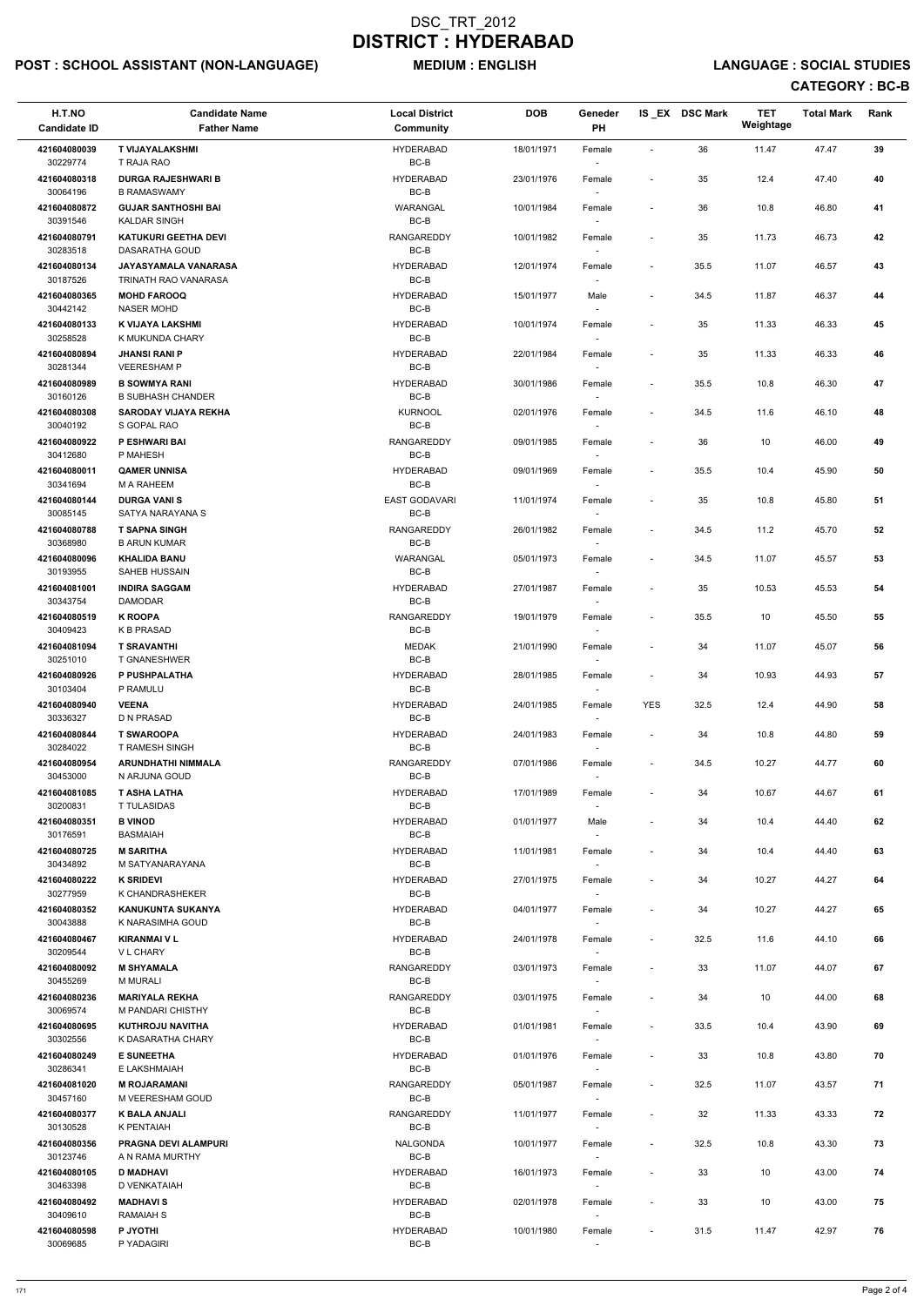# POST : SCHOOL ASSISTANT (NON-LANGUAGE) MEDIUM : ENGLISH LANGUAGE : SOCIAL STUDIES

| H.T.NO<br><b>Candidate ID</b> | <b>Candidate Name</b><br><b>Father Name</b>             | <b>Local District</b><br>Community | <b>DOB</b> | Geneder<br>PH                      |                              | IS_EX DSC Mark | <b>TET</b><br>Weightage | <b>Total Mark</b> | Rank |
|-------------------------------|---------------------------------------------------------|------------------------------------|------------|------------------------------------|------------------------------|----------------|-------------------------|-------------------|------|
| 421604080039<br>30229774      | <b>T VIJAYALAKSHMI</b><br>T RAJA RAO                    | <b>HYDERABAD</b><br>BC-B           | 18/01/1971 | Female                             | $\sim$                       | 36             | 11.47                   | 47.47             | 39   |
| 421604080318<br>30064196      | <b>DURGA RAJESHWARI B</b><br><b>B RAMASWAMY</b>         | <b>HYDERABAD</b><br>$BC-B$         | 23/01/1976 | Female                             | $\overline{\phantom{a}}$     | 35             | 12.4                    | 47.40             | 40   |
| 421604080872<br>30391546      | <b>GUJAR SANTHOSHI BAI</b><br><b>KALDAR SINGH</b>       | WARANGAL<br>BC-B                   | 10/01/1984 | Female                             | $\blacksquare$               | 36             | 10.8                    | 46.80             | 41   |
| 421604080791                  | <b>KATUKURI GEETHA DEVI</b><br>DASARATHA GOUD           | <b>RANGAREDDY</b><br>BC-B          | 10/01/1982 | Female                             | $\overline{\phantom{a}}$     | 35             | 11.73                   | 46.73             | 42   |
| 30283518<br>421604080134      | JAYASYAMALA VANARASA                                    | HYDERABAD                          | 12/01/1974 | Female                             | $\overline{\phantom{a}}$     | 35.5           | 11.07                   | 46.57             | 43   |
| 30187526<br>421604080365      | TRINATH RAO VANARASA<br><b>MOHD FAROOQ</b>              | BC-B<br><b>HYDERABAD</b>           | 15/01/1977 | Male                               | $\overline{\phantom{a}}$     | 34.5           | 11.87                   | 46.37             | 44   |
| 30442142<br>421604080133      | <b>NASER MOHD</b><br>K VIJAYA LAKSHMI                   | BC-B<br><b>HYDERABAD</b>           | 10/01/1974 | Female                             | $\blacksquare$               | 35             | 11.33                   | 46.33             | 45   |
| 30258528<br>421604080894      | K MUKUNDA CHARY<br><b>JHANSI RANI P</b>                 | $BC-B$<br><b>HYDERABAD</b>         | 22/01/1984 | Female                             | $\overline{\phantom{a}}$     | 35             | 11.33                   | 46.33             | 46   |
| 30281344<br>421604080989      | <b>VEERESHAM P</b><br><b>B SOWMYA RANI</b>              | BC-B<br><b>HYDERABAD</b>           | 30/01/1986 | $\sim$<br>Female                   | $\overline{\phantom{a}}$     | 35.5           | 10.8                    | 46.30             | 47   |
| 30160126<br>421604080308      | <b>B SUBHASH CHANDER</b><br><b>SARODAY VIJAYA REKHA</b> | BC-B<br><b>KURNOOL</b>             | 02/01/1976 |                                    | $\overline{\phantom{a}}$     | 34.5           | 11.6                    | 46.10             | 48   |
| 30040192                      | S GOPAL RAO                                             | BC-B                               |            | Female                             |                              |                |                         |                   |      |
| 421604080922<br>30412680      | P ESHWARI BAI<br>P MAHESH                               | <b>RANGAREDDY</b><br>$BC-B$        | 09/01/1985 | Female                             | $\blacksquare$               | 36             | 10                      | 46.00             | 49   |
| 421604080011<br>30341694      | <b>QAMER UNNISA</b><br>M A RAHEEM                       | <b>HYDERABAD</b><br>BC-B           | 09/01/1969 | Female                             | $\overline{\phantom{a}}$     | 35.5           | 10.4                    | 45.90             | 50   |
| 421604080144<br>30085145      | <b>DURGA VANIS</b><br>SATYA NARAYANA S                  | <b>EAST GODAVARI</b><br>BC-B       | 11/01/1974 | Female                             | $\overline{\phantom{a}}$     | 35             | 10.8                    | 45.80             | 51   |
| 421604080788                  | <b>T SAPNA SINGH</b>                                    | <b>RANGAREDDY</b>                  | 26/01/1982 | Female                             | $\overline{\phantom{a}}$     | 34.5           | 11.2                    | 45.70             | 52   |
| 30368980<br>421604080096      | <b>B ARUN KUMAR</b><br><b>KHALIDA BANU</b>              | BC-B<br>WARANGAL                   | 05/01/1973 | Female                             | $\overline{\phantom{a}}$     | 34.5           | 11.07                   | 45.57             | 53   |
| 30193955<br>421604081001      | SAHEB HUSSAIN<br><b>INDIRA SAGGAM</b>                   | BC-B<br><b>HYDERABAD</b>           | 27/01/1987 | Female                             | $\overline{\phantom{a}}$     | 35             | 10.53                   | 45.53             | 54   |
| 30343754<br>421604080519      | <b>DAMODAR</b><br><b>K ROOPA</b>                        | $BC-B$<br><b>RANGAREDDY</b>        | 19/01/1979 | $\overline{\phantom{a}}$<br>Female | $\qquad \qquad \blacksquare$ | 35.5           | 10                      | 45.50             | 55   |
| 30409423<br>421604081094      | <b>K B PRASAD</b><br><b>T SRAVANTHI</b>                 | BC-B<br><b>MEDAK</b>               | 21/01/1990 | Female                             | $\overline{\phantom{a}}$     | 34             | 11.07                   | 45.07             | 56   |
| 30251010                      | <b>T GNANESHWER</b>                                     | BC-B                               |            |                                    |                              |                |                         |                   |      |
| 421604080926<br>30103404      | P PUSHPALATHA<br>P RAMULU                               | <b>HYDERABAD</b><br>BC-B           | 28/01/1985 | Female                             | $\overline{\phantom{a}}$     | 34             | 10.93                   | 44.93             | 57   |
| 421604080940<br>30336327      | <b>VEENA</b><br>D N PRASAD                              | <b>HYDERABAD</b><br>BC-B           | 24/01/1985 | Female                             | <b>YES</b>                   | 32.5           | 12.4                    | 44.90             | 58   |
| 421604080844<br>30284022      | <b>T SWAROOPA</b><br><b>T RAMESH SINGH</b>              | <b>HYDERABAD</b><br>BC-B           | 24/01/1983 | Female<br>$\sim$                   | $\overline{\phantom{a}}$     | 34             | 10.8                    | 44.80             | 59   |
| 421604080954<br>30453000      | <b>ARUNDHATHI NIMMALA</b><br>N ARJUNA GOUD              | <b>RANGAREDDY</b><br>BC-B          | 07/01/1986 | Female                             | $\overline{\phantom{a}}$     | 34.5           | 10.27                   | 44.77             | 60   |
| 421604081085                  | <b>T ASHA LATHA</b>                                     | HYDERABAD                          | 17/01/1989 | Female                             | $\overline{\phantom{a}}$     | 34             | 10.67                   | 44.67             | 61   |
| 30200831<br>421604080351      | <b>T TULASIDAS</b><br><b>B VINOD</b>                    | BC-B<br><b>HYDERABAD</b>           | 01/01/1977 | Male                               | $\qquad \qquad \blacksquare$ | 34             | 10.4                    | 44.40             | 62   |
| 30176591<br>421604080725      | <b>BASMAIAH</b><br><b>M SARITHA</b>                     | BC-B<br>HYDERABAD                  | 11/01/1981 | $\sim$<br>Female                   | $\overline{\phantom{a}}$     | 34             | 10.4                    | 44.40             | 63   |
| 30434892<br>421604080222      | M SATYANARAYANA<br><b>K SRIDEVI</b>                     | BC-B<br><b>HYDERABAD</b>           | 27/01/1975 | $\sim$<br>Female                   | $\qquad \qquad \blacksquare$ | 34             | 10.27                   | 44.27             | 64   |
| 30277959<br>421604080352      | K CHANDRASHEKER<br><b>KANUKUNTA SUKANYA</b>             | BC-B<br>HYDERABAD                  |            |                                    | $\overline{\phantom{a}}$     | 34             | 10.27                   | 44.27             | 65   |
| 30043888                      | K NARASIMHA GOUD                                        | BC-B                               | 04/01/1977 | Female                             |                              |                |                         |                   |      |
| 421604080467<br>30209544      | <b>KIRANMAI V L</b><br><b>VL CHARY</b>                  | <b>HYDERABAD</b><br>BC-B           | 24/01/1978 | Female<br>$\sim$                   | $\overline{\phantom{a}}$     | 32.5           | 11.6                    | 44.10             | 66   |
| 421604080092<br>30455269      | <b>M SHYAMALA</b><br><b>M MURALI</b>                    | RANGAREDDY<br>BC-B                 | 03/01/1973 | Female                             | $\overline{\phantom{a}}$     | 33             | 11.07                   | 44.07             | 67   |
| 421604080236<br>30069574      | <b>MARIYALA REKHA</b><br>M PANDARI CHISTHY              | <b>RANGAREDDY</b><br>BC-B          | 03/01/1975 | Female                             | $\overline{\phantom{a}}$     | 34             | 10                      | 44.00             | 68   |
| 421604080695                  | <b>KUTHROJU NAVITHA</b>                                 | HYDERABAD                          | 01/01/1981 | Female                             | $\overline{\phantom{a}}$     | 33.5           | 10.4                    | 43.90             | 69   |
| 30302556<br>421604080249      | K DASARATHA CHARY<br><b>E SUNEETHA</b>                  | BC-B<br><b>HYDERABAD</b>           | 01/01/1976 | Female                             | $\overline{\phantom{a}}$     | 33             | 10.8                    | 43.80             | 70   |
| 30286341<br>421604081020      | E LAKSHMAIAH<br><b>M ROJARAMANI</b>                     | BC-B<br>RANGAREDDY                 | 05/01/1987 | Female                             | $\overline{\phantom{a}}$     | 32.5           | 11.07                   | 43.57             | 71   |
| 30457160<br>421604080377      | M VEERESHAM GOUD                                        | BC-B<br><b>RANGAREDDY</b>          |            | $\overline{\phantom{a}}$           |                              |                |                         |                   |      |
| 30130528                      | <b>K BALA ANJALI</b><br>K PENTAIAH                      | BC-B                               | 11/01/1977 | Female<br>$\overline{\phantom{a}}$ | $\overline{\phantom{a}}$     | 32             | 11.33                   | 43.33             | 72   |
| 421604080356<br>30123746      | <b>PRAGNA DEVI ALAMPURI</b><br>A N RAMA MURTHY          | NALGONDA<br>BC-B                   | 10/01/1977 | Female<br>$\sim$                   | $\overline{\phantom{a}}$     | 32.5           | 10.8                    | 43.30             | 73   |
| 421604080105<br>30463398      | <b>D MADHAVI</b><br>D VENKATAIAH                        | <b>HYDERABAD</b><br>BC-B           | 16/01/1973 | Female<br>$\sim$                   | $\overline{\phantom{a}}$     | 33             | 10                      | 43.00             | 74   |
| 421604080492<br>30409610      | <b>MADHAVIS</b><br><b>RAMAIAH S</b>                     | HYDERABAD<br>BC-B                  | 02/01/1978 | Female<br>$\sim$                   | $\overline{\phantom{a}}$     | 33             | 10                      | 43.00             | 75   |
| 421604080598<br>30069685      | P JYOTHI<br>P YADAGIRI                                  | <b>HYDERABAD</b><br>BC-B           | 10/01/1980 | Female                             | $\overline{\phantom{a}}$     | 31.5           | 11.47                   | 42.97             | 76   |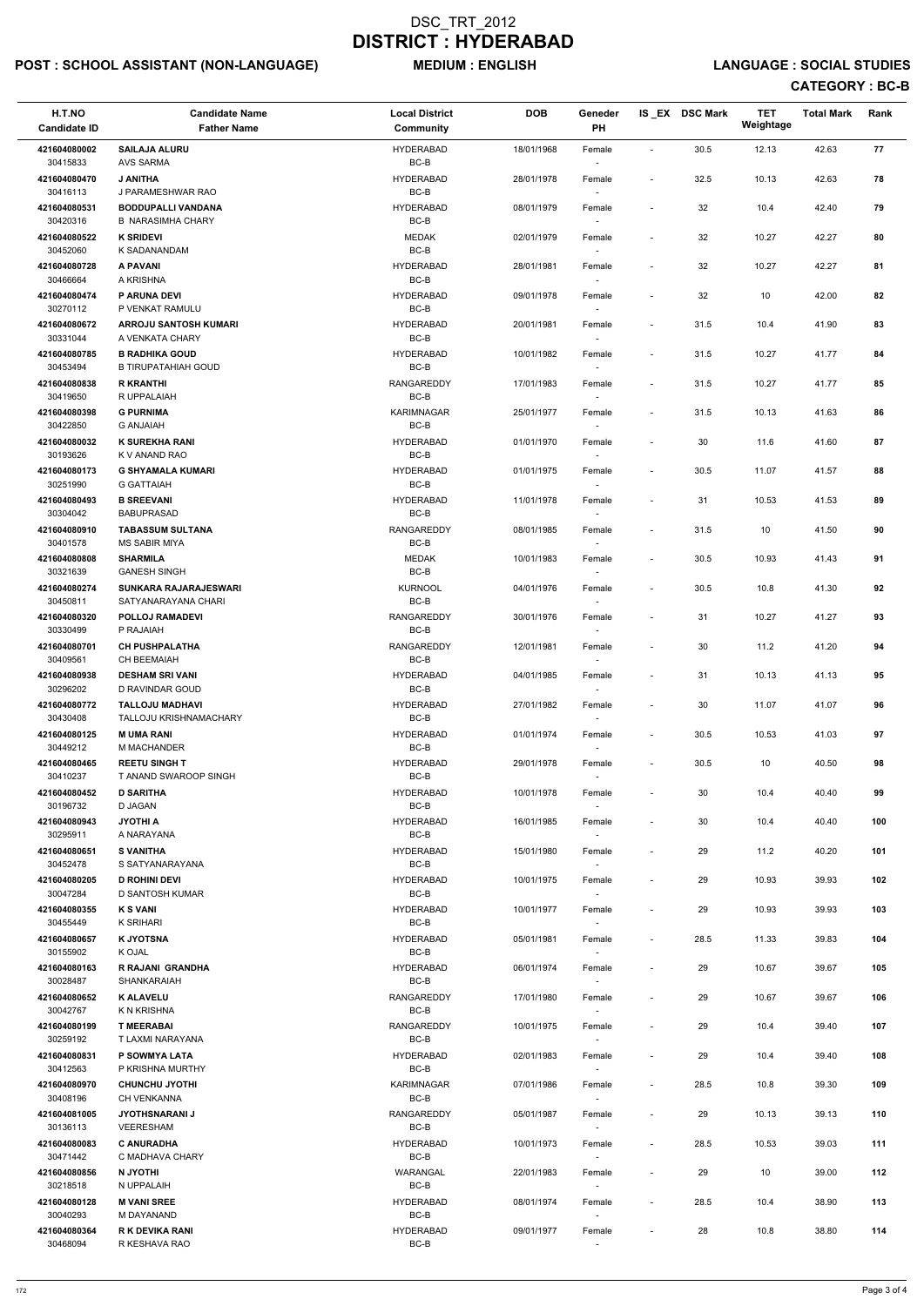# POST : SCHOOL ASSISTANT (NON-LANGUAGE) MEDIUM : ENGLISH LANGUAGE : SOCIAL STUDIES

| H.T.NO<br><b>Candidate ID</b> | <b>Candidate Name</b><br><b>Father Name</b>         | <b>Local District</b><br>Community | <b>DOB</b> | Geneder<br><b>PH</b>               |                          | IS EX DSC Mark | <b>TET</b><br>Weightage | <b>Total Mark</b> | Rank |
|-------------------------------|-----------------------------------------------------|------------------------------------|------------|------------------------------------|--------------------------|----------------|-------------------------|-------------------|------|
| 421604080002<br>30415833      | <b>SAILAJA ALURU</b><br><b>AVS SARMA</b>            | <b>HYDERABAD</b><br>BC-B           | 18/01/1968 | Female<br>$\overline{\phantom{a}}$ | $\blacksquare$           | 30.5           | 12.13                   | 42.63             | 77   |
| 421604080470                  | J ANITHA                                            | <b>HYDERABAD</b>                   | 28/01/1978 | Female                             | $\overline{\phantom{a}}$ | 32.5           | 10.13                   | 42.63             | 78   |
| 30416113<br>421604080531      | J PARAMESHWAR RAO<br><b>BODDUPALLI VANDANA</b>      | BC-B<br><b>HYDERABAD</b>           | 08/01/1979 | Female                             | $\overline{\phantom{a}}$ | 32             | 10.4                    | 42.40             | 79   |
| 30420316<br>421604080522      | <b>B NARASIMHA CHARY</b><br><b>K SRIDEVI</b>        | $BC-B$<br><b>MEDAK</b>             | 02/01/1979 | Female                             | $\blacksquare$           | 32             | 10.27                   | 42.27             | 80   |
| 30452060<br>421604080728      | K SADANANDAM<br>A PAVANI                            | $BC-B$<br><b>HYDERABAD</b>         | 28/01/1981 | $\sim$<br>Female                   | $\overline{\phantom{a}}$ | 32             | 10.27                   | 42.27             | 81   |
| 30466664                      | A KRISHNA                                           | BC-B                               |            | $\sim$                             |                          |                |                         |                   |      |
| 421604080474<br>30270112      | P ARUNA DEVI<br>P VENKAT RAMULU                     | <b>HYDERABAD</b><br>BC-B           | 09/01/1978 | Female<br>$\sim$                   | $\overline{\phantom{a}}$ | 32             | 10                      | 42.00             | 82   |
| 421604080672<br>30331044      | <b>ARROJU SANTOSH KUMARI</b><br>A VENKATA CHARY     | <b>HYDERABAD</b><br>$BC-B$         | 20/01/1981 | Female                             | $\overline{\phantom{a}}$ | 31.5           | 10.4                    | 41.90             | 83   |
| 421604080785<br>30453494      | <b>B RADHIKA GOUD</b><br><b>B TIRUPATAHIAH GOUD</b> | <b>HYDERABAD</b><br>BC-B           | 10/01/1982 | Female<br>$\sim$                   | $\overline{\phantom{a}}$ | 31.5           | 10.27                   | 41.77             | 84   |
| 421604080838<br>30419650      | <b>R KRANTHI</b><br>R UPPALAIAH                     | <b>RANGAREDDY</b><br>BC-B          | 17/01/1983 | Female<br>$\sim$                   | $\overline{\phantom{a}}$ | 31.5           | 10.27                   | 41.77             | 85   |
| 421604080398                  | <b>G PURNIMA</b>                                    | KARIMNAGAR<br>BC-B                 | 25/01/1977 | Female                             | $\overline{\phantom{a}}$ | 31.5           | 10.13                   | 41.63             | 86   |
| 30422850<br>421604080032      | <b>G ANJAIAH</b><br><b>K SUREKHA RANI</b>           | <b>HYDERABAD</b>                   | 01/01/1970 | $\sim$<br>Female                   |                          | 30             | 11.6                    | 41.60             | 87   |
| 30193626<br>421604080173      | K V ANAND RAO<br><b>G SHYAMALA KUMARI</b>           | BC-B<br><b>HYDERABAD</b>           | 01/01/1975 | Female                             | $\overline{\phantom{a}}$ | 30.5           | 11.07                   | 41.57             | 88   |
| 30251990<br>421604080493      | <b>G GATTAIAH</b><br><b>B SREEVANI</b>              | $BC-B$<br><b>HYDERABAD</b>         | 11/01/1978 | $\overline{\phantom{a}}$<br>Female |                          | 31             | 10.53                   | 41.53             | 89   |
| 30304042                      | <b>BABUPRASAD</b>                                   | BC-B                               |            | $\sim$                             |                          |                |                         |                   |      |
| 421604080910<br>30401578      | <b>TABASSUM SULTANA</b><br><b>MS SABIR MIYA</b>     | <b>RANGAREDDY</b><br>BC-B          | 08/01/1985 | Female<br>$\overline{\phantom{a}}$ | $\overline{\phantom{a}}$ | 31.5           | 10                      | 41.50             | 90   |
| 421604080808<br>30321639      | <b>SHARMILA</b><br><b>GANESH SINGH</b>              | <b>MEDAK</b><br>BC-B               | 10/01/1983 | Female                             | $\overline{\phantom{a}}$ | 30.5           | 10.93                   | 41.43             | 91   |
| 421604080274<br>30450811      | SUNKARA RAJARAJESWARI<br>SATYANARAYANA CHARI        | <b>KURNOOL</b><br>BC-B             | 04/01/1976 | Female<br>$\overline{\phantom{a}}$ | $\overline{\phantom{a}}$ | 30.5           | 10.8                    | 41.30             | 92   |
| 421604080320<br>30330499      | POLLOJ RAMADEVI<br>P RAJAIAH                        | <b>RANGAREDDY</b><br>BC-B          | 30/01/1976 | Female<br>$\sim$                   | $\overline{\phantom{a}}$ | 31             | 10.27                   | 41.27             | 93   |
| 421604080701<br>30409561      | <b>CH PUSHPALATHA</b><br><b>CH BEEMAIAH</b>         | <b>RANGAREDDY</b><br>BC-B          | 12/01/1981 | Female                             |                          | 30             | 11.2                    | 41.20             | 94   |
| 421604080938                  | <b>DESHAM SRI VANI</b>                              | <b>HYDERABAD</b><br>BC-B           | 04/01/1985 | Female                             | $\overline{\phantom{a}}$ | 31             | 10.13                   | 41.13             | 95   |
| 30296202<br>421604080772      | D RAVINDAR GOUD<br><b>TALLOJU MADHAVI</b>           | <b>HYDERABAD</b>                   | 27/01/1982 | Female                             | $\overline{\phantom{a}}$ | 30             | 11.07                   | 41.07             | 96   |
| 30430408<br>421604080125      | <b>TALLOJU KRISHNAMACHARY</b><br><b>MUMA RANI</b>   | BC-B<br><b>HYDERABAD</b>           | 01/01/1974 | $\overline{\phantom{a}}$<br>Female | $\overline{\phantom{a}}$ | 30.5           | 10.53                   | 41.03             | 97   |
| 30449212<br>421604080465      | M MACHANDER<br><b>REETU SINGH T</b>                 | BC-B<br><b>HYDERABAD</b>           | 29/01/1978 | $\sim$<br>Female                   | $\overline{\phantom{a}}$ | 30.5           | 10                      | 40.50             | 98   |
| 30410237<br>421604080452      | T ANAND SWAROOP SINGH<br><b>D SARITHA</b>           | BC-B<br><b>HYDERABAD</b>           | 10/01/1978 | Female                             | $\overline{\phantom{a}}$ | 30             | 10.4                    | 40.40             | 99   |
| 30196732                      | D JAGAN                                             | BC-B                               |            |                                    |                          |                |                         |                   |      |
| 421604080943<br>30295911      | <b>JYOTHI A</b><br>A NARAYANA                       | <b>HYDERABAD</b><br>BC-B           | 16/01/1985 | Female<br>$\sim$                   | $\overline{\phantom{a}}$ | 30             | 10.4                    | 40.40             | 100  |
| 421604080651<br>30452478      | <b>S VANITHA</b><br>S SATYANARAYANA                 | <b>HYDERABAD</b><br>BC-B           | 15/01/1980 | Female<br>$\sim$                   | $\overline{\phantom{a}}$ | 29             | 11.2                    | 40.20             | 101  |
| 421604080205<br>30047284      | <b>D ROHINI DEVI</b><br>D SANTOSH KUMAR             | <b>HYDERABAD</b><br>BC-B           | 10/01/1975 | Female<br>$\sim$                   | $\overline{\phantom{a}}$ | 29             | 10.93                   | 39.93             | 102  |
| 421604080355<br>30455449      | <b>K S VANI</b><br>K SRIHARI                        | <b>HYDERABAD</b><br>BC-B           | 10/01/1977 | Female                             |                          | 29             | 10.93                   | 39.93             | 103  |
| 421604080657<br>30155902      | <b>K JYOTSNA</b><br>K OJAL                          | <b>HYDERABAD</b><br>BC-B           | 05/01/1981 | Female<br>$\overline{\phantom{a}}$ | $\overline{\phantom{a}}$ | 28.5           | 11.33                   | 39.83             | 104  |
| 421604080163                  | R RAJANI GRANDHA                                    | <b>HYDERABAD</b>                   | 06/01/1974 | Female                             |                          | 29             | 10.67                   | 39.67             | 105  |
| 30028487<br>421604080652      | SHANKARAIAH<br><b>K ALAVELU</b>                     | BC-B<br><b>RANGAREDDY</b>          | 17/01/1980 | $\sim$<br>Female                   | $\overline{\phantom{a}}$ | 29             | 10.67                   | 39.67             | 106  |
| 30042767<br>421604080199      | K N KRISHNA<br><b>T MEERABAI</b>                    | BC-B<br><b>RANGAREDDY</b>          | 10/01/1975 | $\overline{\phantom{a}}$<br>Female | $\overline{\phantom{a}}$ | 29             | 10.4                    | 39.40             | 107  |
| 30259192<br>421604080831      | T LAXMI NARAYANA<br>P SOWMYA LATA                   | BC-B<br><b>HYDERABAD</b>           | 02/01/1983 | Female                             | $\overline{\phantom{a}}$ | 29             | 10.4                    | 39.40             | 108  |
| 30412563                      | P KRISHNA MURTHY                                    | BC-B                               |            |                                    |                          |                |                         |                   |      |
| 421604080970<br>30408196      | <b>CHUNCHU JYOTHI</b><br>CH VENKANNA                | KARIMNAGAR<br>BC-B                 | 07/01/1986 | Female<br>$\sim$                   | $\overline{\phantom{a}}$ | 28.5           | 10.8                    | 39.30             | 109  |
| 421604081005<br>30136113      | <b>JYOTHSNARANI J</b><br>VEERESHAM                  | RANGAREDDY<br>BC-B                 | 05/01/1987 | Female<br>$\overline{\phantom{a}}$ | $\overline{\phantom{a}}$ | 29             | 10.13                   | 39.13             | 110  |
| 421604080083<br>30471442      | <b>C ANURADHA</b><br>C MADHAVA CHARY                | <b>HYDERABAD</b><br>BC-B           | 10/01/1973 | Female<br>$\sim$                   | $\sim$                   | 28.5           | 10.53                   | 39.03             | 111  |
| 421604080856<br>30218518      | <b>N JYOTHI</b><br>N UPPALAIH                       | WARANGAL<br>BC-B                   | 22/01/1983 | Female<br>$\sim$                   | $\overline{a}$           | 29             | 10                      | 39.00             | 112  |
| 421604080128                  | <b>M VANI SREE</b>                                  | <b>HYDERABAD</b>                   | 08/01/1974 | Female                             | $\overline{\phantom{a}}$ | 28.5           | 10.4                    | 38.90             | 113  |
| 30040293<br>421604080364      | M DAYANAND<br>R K DEVIKA RANI                       | BC-B<br><b>HYDERABAD</b>           | 09/01/1977 | $\sim$<br>Female                   | $\overline{a}$           | 28             | 10.8                    | 38.80             | 114  |
| 30468094                      | R KESHAVA RAO                                       | BC-B                               |            | $\overline{\phantom{a}}$           |                          |                |                         |                   |      |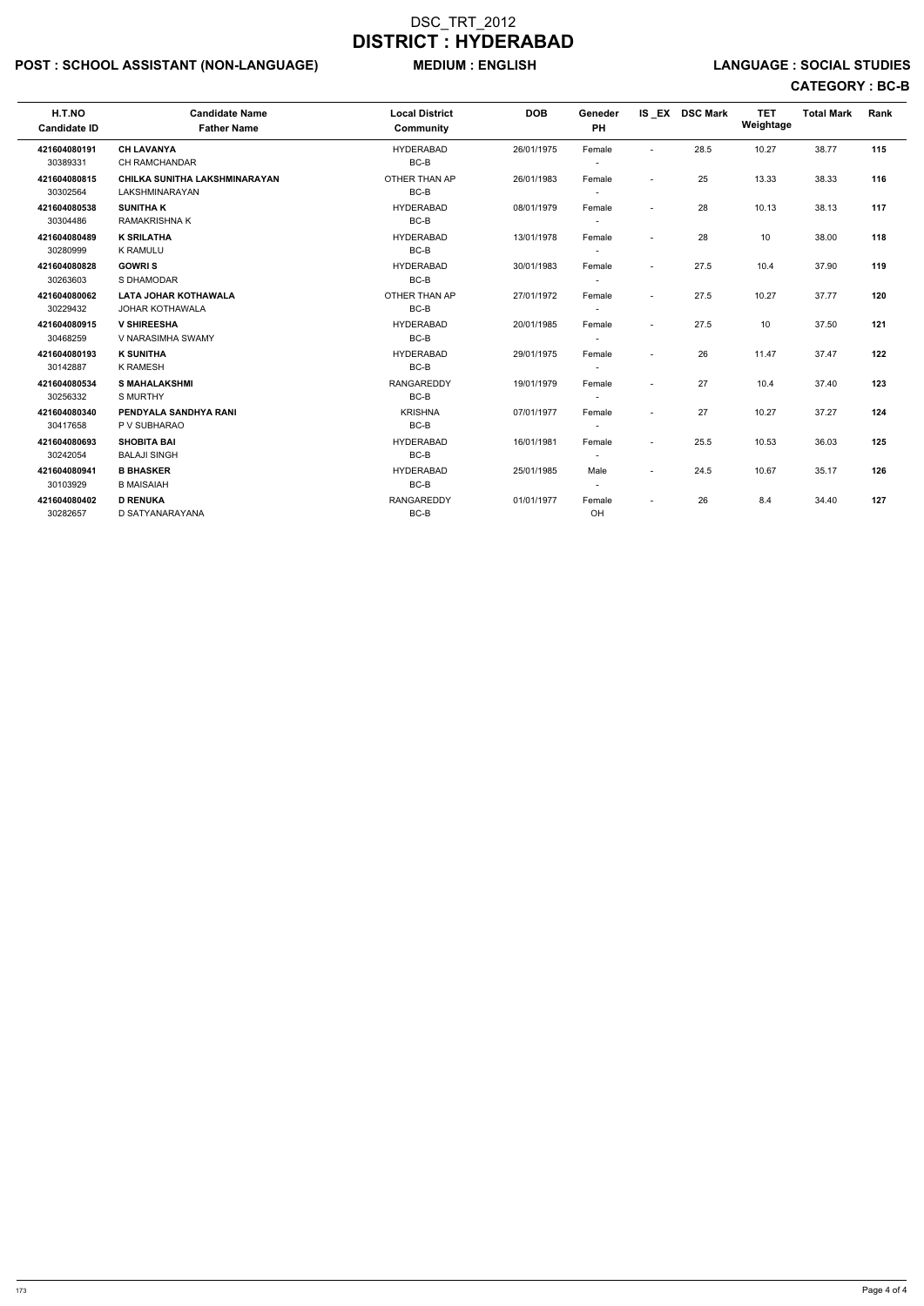# POST : SCHOOL ASSISTANT (NON-LANGUAGE) MEDIUM : ENGLISH LANGUAGE : SOCIAL STUDIES

| H.T.NO<br><b>Candidate ID</b> | <b>Candidate Name</b><br><b>Father Name</b>            | <b>Local District</b><br>Community | <b>DOB</b> | Geneder<br>PH                      |                          | IS EX DSC Mark | <b>TET</b><br>Weightage | <b>Total Mark</b> | Rank |
|-------------------------------|--------------------------------------------------------|------------------------------------|------------|------------------------------------|--------------------------|----------------|-------------------------|-------------------|------|
| 421604080191<br>30389331      | <b>CH LAVANYA</b><br>CH RAMCHANDAR                     | <b>HYDERABAD</b><br>BC-B           | 26/01/1975 | Female                             | $\sim$                   | 28.5           | 10.27                   | 38.77             | 115  |
| 421604080815<br>30302564      | <b>CHILKA SUNITHA LAKSHMINARAYAN</b><br>LAKSHMINARAYAN | OTHER THAN AP<br>BC-B              | 26/01/1983 | Female                             | $\sim$                   | 25             | 13.33                   | 38.33             | 116  |
| 421604080538<br>30304486      | <b>SUNITHAK</b><br><b>RAMAKRISHNA K</b>                | <b>HYDERABAD</b><br>BC-B           | 08/01/1979 | Female                             | $\blacksquare$           | 28             | 10.13                   | 38.13             | 117  |
| 421604080489<br>30280999      | <b>K SRILATHA</b><br><b>K RAMULU</b>                   | <b>HYDERABAD</b><br>BC-B           | 13/01/1978 | Female                             | $\blacksquare$           | 28             | 10                      | 38.00             | 118  |
| 421604080828<br>30263603      | <b>GOWRIS</b><br>S DHAMODAR                            | <b>HYDERABAD</b><br>BC-B           | 30/01/1983 | Female<br>$\sim$                   | $\sim$                   | 27.5           | 10.4                    | 37.90             | 119  |
| 421604080062<br>30229432      | <b>LATA JOHAR KOTHAWALA</b><br><b>JOHAR KOTHAWALA</b>  | OTHER THAN AP<br>BC-B              | 27/01/1972 | Female                             | $\sim$                   | 27.5           | 10.27                   | 37.77             | 120  |
| 421604080915<br>30468259      | <b>V SHIREESHA</b><br>V NARASIMHA SWAMY                | <b>HYDERABAD</b><br>BC-B           | 20/01/1985 | Female<br>$\overline{a}$           | $\sim$                   | 27.5           | 10                      | 37.50             | 121  |
| 421604080193<br>30142887      | <b>K SUNITHA</b><br><b>K RAMESH</b>                    | <b>HYDERABAD</b><br>BC-B           | 29/01/1975 | Female<br>$\sim$                   | $\blacksquare$           | 26             | 11.47                   | 37.47             | 122  |
| 421604080534<br>30256332      | <b>S MAHALAKSHMI</b><br><b>S MURTHY</b>                | <b>RANGAREDDY</b><br>BC-B          | 19/01/1979 | Female<br>$\overline{\phantom{a}}$ | $\overline{\phantom{a}}$ | 27             | 10.4                    | 37.40             | 123  |
| 421604080340<br>30417658      | PENDYALA SANDHYA RANI<br>P V SUBHARAO                  | <b>KRISHNA</b><br>BC-B             | 07/01/1977 | Female<br>$\sim$                   |                          | 27             | 10.27                   | 37.27             | 124  |
| 421604080693<br>30242054      | <b>SHOBITA BAI</b><br><b>BALAJI SINGH</b>              | <b>HYDERABAD</b><br>BC-B           | 16/01/1981 | Female                             | $\overline{\phantom{a}}$ | 25.5           | 10.53                   | 36.03             | 125  |
| 421604080941<br>30103929      | <b>B BHASKER</b><br><b>B MAISAIAH</b>                  | <b>HYDERABAD</b><br>BC-B           | 25/01/1985 | Male<br>$\overline{a}$             | $\overline{\phantom{a}}$ | 24.5           | 10.67                   | 35.17             | 126  |
| 421604080402<br>30282657      | <b>D RENUKA</b><br>D SATYANARAYANA                     | <b>RANGAREDDY</b><br>$BC-B$        | 01/01/1977 | Female<br>OH                       | $\overline{\phantom{a}}$ | 26             | 8.4                     | 34.40             | 127  |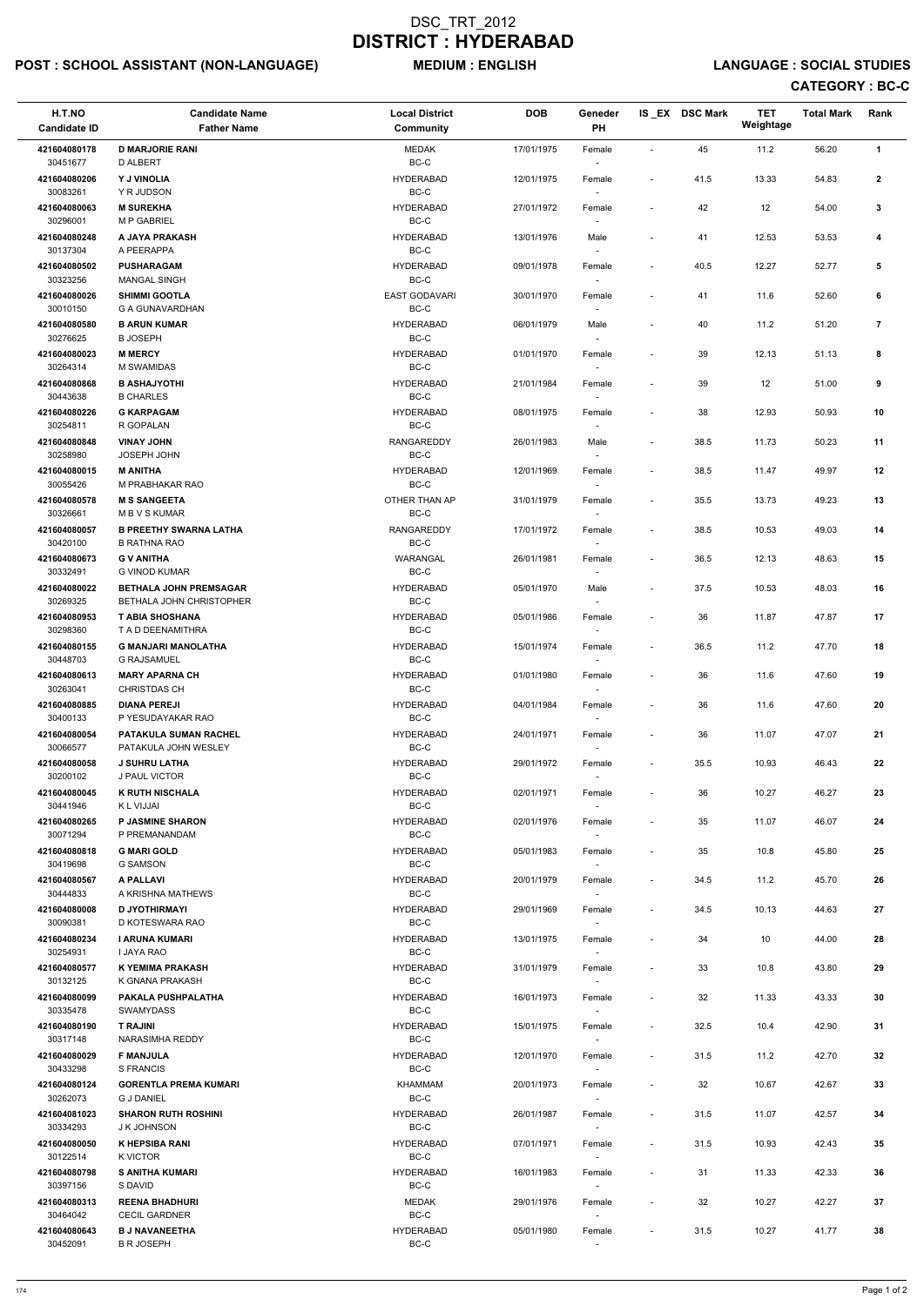# POST : SCHOOL ASSISTANT (NON-LANGUAGE) MEDIUM : ENGLISH LANGUAGE : SOCIAL STUDIES

| H.T.NO<br><b>Candidate ID</b> | <b>Candidate Name</b><br><b>Father Name</b>                      | <b>Local District</b><br>Community | <b>DOB</b> | Geneder<br>PH                      |                          | IS_EX DSC Mark | <b>TET</b><br>Weightage | <b>Total Mark</b> | Rank            |
|-------------------------------|------------------------------------------------------------------|------------------------------------|------------|------------------------------------|--------------------------|----------------|-------------------------|-------------------|-----------------|
| 421604080178<br>30451677      | <b>D MARJORIE RANI</b><br>D ALBERT                               | <b>MEDAK</b><br>$BC-C$             | 17/01/1975 | Female                             | $\sim$                   | 45             | 11.2                    | 56.20             | $\mathbf{1}$    |
| 421604080206<br>30083261      | Y J VINOLIA<br>Y R JUDSON                                        | <b>HYDERABAD</b><br>BC-C           | 12/01/1975 | Female                             | $\blacksquare$           | 41.5           | 13.33                   | 54.83             | $\mathbf{2}$    |
| 421604080063                  | <b>M SUREKHA</b>                                                 | <b>HYDERABAD</b>                   | 27/01/1972 | Female                             | $\blacksquare$           | 42             | 12                      | 54.00             | 3               |
| 30296001<br>421604080248      | <b>M P GABRIEL</b><br>A JAYA PRAKASH                             | BC-C<br><b>HYDERABAD</b>           | 13/01/1976 | Male                               | $\overline{\phantom{a}}$ | 41             | 12.53                   | 53.53             | 4               |
| 30137304<br>421604080502      | A PEERAPPA<br><b>PUSHARAGAM</b>                                  | BC-C<br><b>HYDERABAD</b>           | 09/01/1978 | Female                             | $\overline{\phantom{a}}$ | 40.5           | 12.27                   | 52.77             | 5               |
| 30323256                      | <b>MANGAL SINGH</b>                                              | BC-C                               |            | $\sim$                             |                          |                |                         |                   |                 |
| 421604080026<br>30010150      | <b>SHIMMI GOOTLA</b><br>G A GUNAVARDHAN                          | <b>EAST GODAVARI</b><br>BC-C       | 30/01/1970 | Female                             |                          | 41             | 11.6                    | 52.60             | 6               |
| 421604080580<br>30276625      | <b>B ARUN KUMAR</b><br><b>B JOSEPH</b>                           | <b>HYDERABAD</b><br>BC-C           | 06/01/1979 | Male                               | $\blacksquare$           | 40             | 11.2                    | 51.20             | $\overline{7}$  |
| 421604080023<br>30264314      | <b>M MERCY</b><br>M SWAMIDAS                                     | <b>HYDERABAD</b><br>BC-C           | 01/01/1970 | Female<br>$\sim$                   |                          | 39             | 12.13                   | 51.13             | 8               |
| 421604080868<br>30443638      | <b>B ASHAJYOTHI</b><br><b>B CHARLES</b>                          | <b>HYDERABAD</b><br>BC-C           | 21/01/1984 | Female<br>$\sim$                   | $\sim$                   | 39             | 12                      | 51.00             | 9               |
| 421604080226<br>30254811      | <b>G KARPAGAM</b><br>R GOPALAN                                   | <b>HYDERABAD</b><br>BC-C           | 08/01/1975 | Female                             |                          | 38             | 12.93                   | 50.93             | 10              |
| 421604080848<br>30258980      | <b>VINAY JOHN</b><br>JOSEPH JOHN                                 | <b>RANGAREDDY</b><br>BC-C          | 26/01/1983 | Male                               | $\blacksquare$           | 38.5           | 11.73                   | 50.23             | 11              |
| 421604080015                  | <b>M ANITHA</b>                                                  | <b>HYDERABAD</b>                   | 12/01/1969 | Female                             | $\blacksquare$           | 38.5           | 11.47                   | 49.97             | 12              |
| 30055426<br>421604080578      | M PRABHAKAR RAO<br><b>M S SANGEETA</b>                           | BC-C<br>OTHER THAN AP              | 31/01/1979 | $\sim$<br>Female                   | $\blacksquare$           | 35.5           | 13.73                   | 49.23             | 13              |
| 30326661<br>421604080057      | M B V S KUMAR<br><b>B PREETHY SWARNA LATHA</b>                   | BC-C<br><b>RANGAREDDY</b>          | 17/01/1972 | $\sim$<br>Female                   | $\blacksquare$           | 38.5           | 10.53                   | 49.03             | 14              |
| 30420100<br>421604080673      | <b>B RATHNA RAO</b><br><b>G V ANITHA</b>                         | BC-C<br>WARANGAL                   | 26/01/1981 | Female                             | $\overline{\phantom{a}}$ | 36.5           | 12.13                   | 48.63             | 15              |
| 30332491                      | <b>G VINOD KUMAR</b>                                             | BC-C                               |            |                                    |                          |                |                         |                   |                 |
| 421604080022<br>30269325      | <b>BETHALA JOHN PREMSAGAR</b><br><b>BETHALA JOHN CHRISTOPHER</b> | <b>HYDERABAD</b><br>BC-C           | 05/01/1970 | Male<br>$\overline{\phantom{a}}$   | $\blacksquare$           | 37.5           | 10.53                   | 48.03             | 16              |
| 421604080953<br>30298360      | T ABIA SHOSHANA<br>T A D DEENAMITHRA                             | <b>HYDERABAD</b><br>BC-C           | 05/01/1986 | Female                             |                          | 36             | 11.87                   | 47.87             | 17              |
| 421604080155<br>30448703      | <b>G MANJARI MANOLATHA</b><br><b>G RAJSAMUEL</b>                 | <b>HYDERABAD</b><br>BC-C           | 15/01/1974 | Female                             | $\blacksquare$           | 36.5           | 11.2                    | 47.70             | 18              |
| 421604080613<br>30263041      | <b>MARY APARNA CH</b><br><b>CHRISTDAS CH</b>                     | <b>HYDERABAD</b><br>BC-C           | 01/01/1980 | Female<br>$\sim$                   |                          | 36             | 11.6                    | 47.60             | 19              |
| 421604080885<br>30400133      | <b>DIANA PEREJI</b><br>P YESUDAYAKAR RAO                         | <b>HYDERABAD</b><br>BC-C           | 04/01/1984 | Female<br>$\sim$                   | $\blacksquare$           | 36             | 11.6                    | 47.60             | 20              |
| 421604080054<br>30066577      | PATAKULA SUMAN RACHEL<br>PATAKULA JOHN WESLEY                    | <b>HYDERABAD</b><br>BC-C           | 24/01/1971 | Female<br>$\sim$                   | $\overline{\phantom{a}}$ | 36             | 11.07                   | 47.07             | 21              |
| 421604080058                  | <b>J SUHRU LATHA</b>                                             | <b>HYDERABAD</b>                   | 29/01/1972 | Female                             | $\blacksquare$           | 35.5           | 10.93                   | 46.43             | 22              |
| 30200102<br>421604080045      | <b>J PAUL VICTOR</b><br><b>K RUTH NISCHALA</b>                   | BC-C<br><b>HYDERABAD</b>           | 02/01/1971 | Female                             | $\overline{\phantom{a}}$ | 36             | 10.27                   | 46.27             | 23              |
| 30441946<br>421604080265      | K L VIJJAI<br><b>P JASMINE SHARON</b>                            | BC-C<br><b>HYDERABAD</b>           | 02/01/1976 | Female                             | $\overline{\phantom{a}}$ | 35             | 11.07                   | 46.07             | 24              |
| 30071294<br>421604080818      | P PREMANANDAM<br><b>G MARI GOLD</b>                              | BC-C<br><b>HYDERABAD</b>           | 05/01/1983 | $\overline{\phantom{a}}$<br>Female | $\overline{\phantom{a}}$ | 35             | 10.8                    | 45.80             | 25              |
| 30419698                      | <b>G SAMSON</b>                                                  | BC-C                               |            | $\sim$                             |                          |                |                         |                   |                 |
| 421604080567<br>30444833      | A PALLAVI<br>A KRISHNA MATHEWS                                   | <b>HYDERABAD</b><br>BC-C           | 20/01/1979 | Female                             | $\overline{\phantom{a}}$ | 34.5           | 11.2                    | 45.70             | 26              |
| 421604080008<br>30090381      | <b>D JYOTHIRMAYI</b><br>D KOTESWARA RAO                          | <b>HYDERABAD</b><br>BC-C           | 29/01/1969 | Female                             | $\blacksquare$           | 34.5           | 10.13                   | 44.63             | 27              |
| 421604080234<br>30254931      | I ARUNA KUMARI<br>I JAYA RAO                                     | <b>HYDERABAD</b><br>BC-C           | 13/01/1975 | Female<br>$\sim$                   | $\overline{\phantom{a}}$ | 34             | 10                      | 44.00             | 28              |
| 421604080577<br>30132125      | <b>K YEMIMA PRAKASH</b><br>K GNANA PRAKASH                       | <b>HYDERABAD</b><br>BC-C           | 31/01/1979 | Female<br>$\sim$                   | $\blacksquare$           | 33             | 10.8                    | 43.80             | 29              |
| 421604080099                  | PAKALA PUSHPALATHA                                               | <b>HYDERABAD</b>                   | 16/01/1973 | Female                             | $\overline{\phantom{a}}$ | 32             | 11.33                   | 43.33             | 30              |
| 30335478<br>421604080190      | <b>SWAMYDASS</b><br><b>T RAJINI</b>                              | BC-C<br><b>HYDERABAD</b>           | 15/01/1975 | $\sim$<br>Female                   | $\blacksquare$           | 32.5           | 10.4                    | 42.90             | 31              |
| 30317148<br>421604080029      | NARASIMHA REDDY<br><b>F MANJULA</b>                              | BC-C<br><b>HYDERABAD</b>           | 12/01/1970 | Female                             | $\blacksquare$           | 31.5           | 11.2                    | 42.70             | 32              |
| 30433298                      | <b>S FRANCIS</b>                                                 | BC-C                               |            |                                    |                          |                |                         |                   |                 |
| 421604080124<br>30262073      | <b>GORENTLA PREMA KUMARI</b><br><b>G J DANIEL</b>                | KHAMMAM<br>BC-C                    | 20/01/1973 | Female<br>$\sim$                   | $\overline{\phantom{a}}$ | 32             | 10.67                   | 42.67             | 33              |
| 421604081023<br>30334293      | <b>SHARON RUTH ROSHINI</b><br>J K JOHNSON                        | <b>HYDERABAD</b><br>$BC-C$         | 26/01/1987 | Female                             | $\overline{\phantom{a}}$ | 31.5           | 11.07                   | 42.57             | 34              |
| 421604080050<br>30122514      | <b>K HEPSIBA RANI</b><br>K VICTOR                                | <b>HYDERABAD</b><br>BC-C           | 07/01/1971 | Female<br>$\sim$                   | $\overline{\phantom{a}}$ | 31.5           | 10.93                   | 42.43             | $35\phantom{a}$ |
| 421604080798<br>30397156      | <b>S ANITHA KUMARI</b><br>S DAVID                                | <b>HYDERABAD</b><br>BC-C           | 16/01/1983 | Female<br>$\sim$                   | $\overline{\phantom{a}}$ | 31             | 11.33                   | 42.33             | 36              |
| 421604080313<br>30464042      | <b>REENA BHADHURI</b><br><b>CECIL GARDNER</b>                    | MEDAK<br>BC-C                      | 29/01/1976 | Female<br>$\sim$                   | $\overline{\phantom{a}}$ | 32             | 10.27                   | 42.27             | 37              |
| 421604080643<br>30452091      | <b>B J NAVANEETHA</b><br><b>B R JOSEPH</b>                       | <b>HYDERABAD</b><br>$BC-C$         | 05/01/1980 | Female<br>$\sim$                   | $\overline{\phantom{a}}$ | 31.5           | 10.27                   | 41.77             | 38              |
|                               |                                                                  |                                    |            |                                    |                          |                |                         |                   |                 |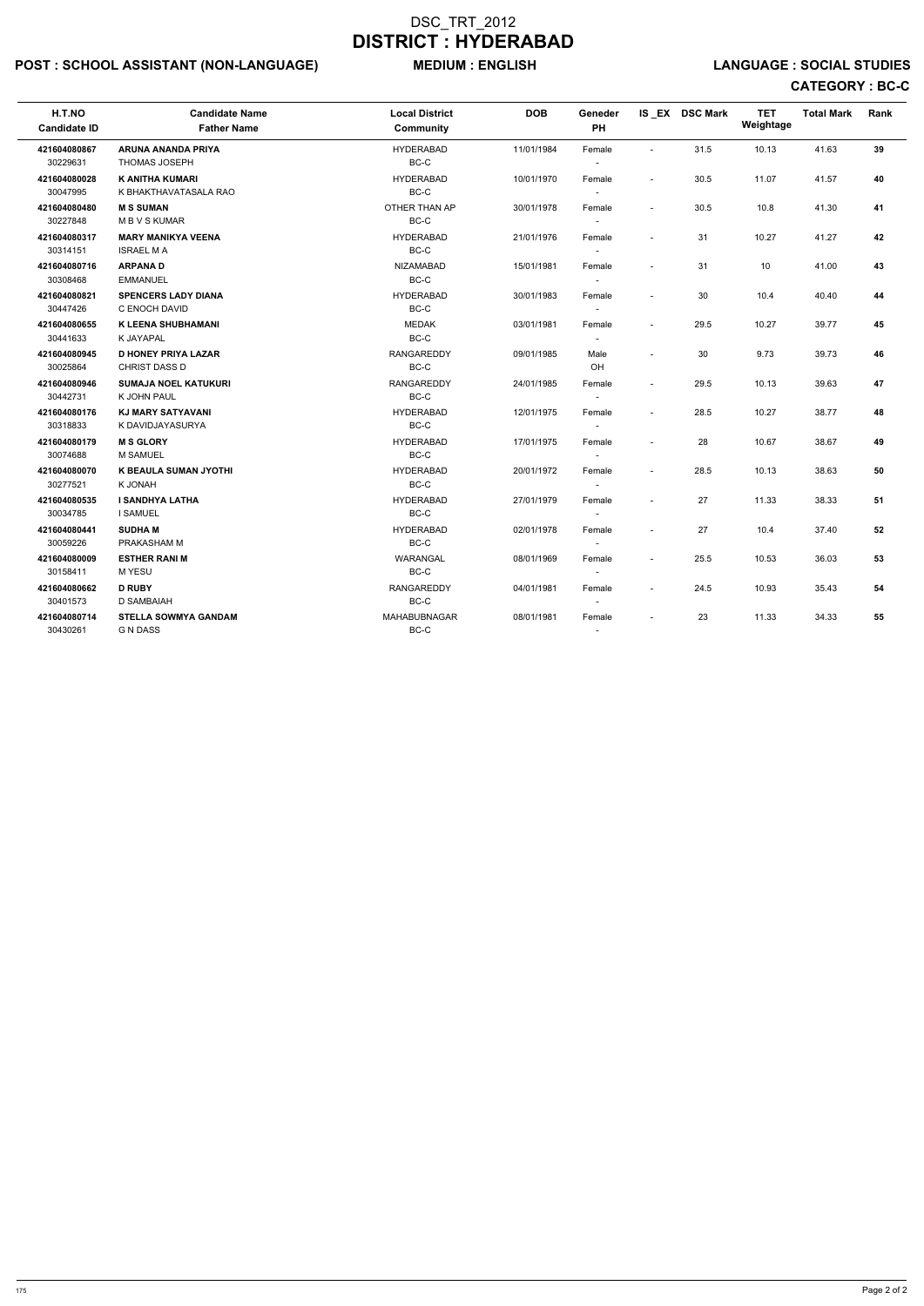# POST : SCHOOL ASSISTANT (NON-LANGUAGE) MEDIUM : ENGLISH LANGUAGE : SOCIAL STUDIES

| H.T.NO<br><b>Candidate ID</b> | <b>Candidate Name</b><br><b>Father Name</b>        | <b>Local District</b><br><b>Community</b> | <b>DOB</b> | Geneder<br>PH                      |                          | IS_EX DSC Mark | <b>TET</b><br>Weightage | <b>Total Mark</b> | Rank |
|-------------------------------|----------------------------------------------------|-------------------------------------------|------------|------------------------------------|--------------------------|----------------|-------------------------|-------------------|------|
| 421604080867<br>30229631      | ARUNA ANANDA PRIYA<br><b>THOMAS JOSEPH</b>         | <b>HYDERABAD</b><br>$BC-C$                | 11/01/1984 | Female                             | $\sim$                   | 31.5           | 10.13                   | 41.63             | 39   |
| 421604080028<br>30047995      | <b>K ANITHA KUMARI</b><br>K BHAKTHAVATASALA RAO    | <b>HYDERABAD</b><br>BC-C                  | 10/01/1970 | Female<br>$\sim$                   | $\sim$                   | 30.5           | 11.07                   | 41.57             | 40   |
| 421604080480<br>30227848      | <b>M S SUMAN</b><br><b>MBVSKUMAR</b>               | OTHER THAN AP<br>BC-C                     | 30/01/1978 | Female<br>$\overline{\phantom{a}}$ | $\overline{\phantom{a}}$ | 30.5           | 10.8                    | 41.30             | 41   |
| 421604080317<br>30314151      | <b>MARY MANIKYA VEENA</b><br><b>ISRAEL MA</b>      | <b>HYDERABAD</b><br>$BC-C$                | 21/01/1976 | Female<br>$\sim$                   | $\overline{\phantom{a}}$ | 31             | 10.27                   | 41.27             | 42   |
| 421604080716<br>30308468      | <b>ARPANAD</b><br><b>EMMANUEL</b>                  | <b>NIZAMABAD</b><br>$BC-C$                | 15/01/1981 | Female<br>$\sim$                   | $\sim$                   | 31             | 10                      | 41.00             | 43   |
| 421604080821<br>30447426      | <b>SPENCERS LADY DIANA</b><br>C ENOCH DAVID        | <b>HYDERABAD</b><br>BC-C                  | 30/01/1983 | Female<br>$\sim$                   | $\sim$                   | 30             | 10.4                    | 40.40             | 44   |
| 421604080655<br>30441633      | <b>K LEENA SHUBHAMANI</b><br>K JAYAPAL             | <b>MEDAK</b><br>BC-C                      | 03/01/1981 | Female<br>$\sim$                   | $\overline{\phantom{a}}$ | 29.5           | 10.27                   | 39.77             | 45   |
| 421604080945<br>30025864      | <b>D HONEY PRIYA LAZAR</b><br><b>CHRIST DASS D</b> | <b>RANGAREDDY</b><br>BC-C                 | 09/01/1985 | Male<br>OH                         | $\overline{\phantom{a}}$ | 30             | 9.73                    | 39.73             | 46   |
| 421604080946<br>30442731      | <b>SUMAJA NOEL KATUKURI</b><br>K JOHN PAUL         | <b>RANGAREDDY</b><br>BC-C                 | 24/01/1985 | Female<br>$\sim$                   | $\sim$                   | 29.5           | 10.13                   | 39.63             | 47   |
| 421604080176<br>30318833      | <b>KJ MARY SATYAVANI</b><br>K DAVIDJAYASURYA       | <b>HYDERABAD</b><br>BC-C                  | 12/01/1975 | Female<br>$\sim$                   | $\sim$                   | 28.5           | 10.27                   | 38.77             | 48   |
| 421604080179<br>30074688      | <b>M S GLORY</b><br><b>M SAMUEL</b>                | <b>HYDERABAD</b><br>BC-C                  | 17/01/1975 | Female<br>$\sim$                   |                          | 28             | 10.67                   | 38.67             | 49   |
| 421604080070<br>30277521      | K BEAULA SUMAN JYOTHI<br>K JONAH                   | <b>HYDERABAD</b><br>BC-C                  | 20/01/1972 | Female<br>$\sim$                   | $\sim$                   | 28.5           | 10.13                   | 38.63             | 50   |
| 421604080535<br>30034785      | I SANDHYA LATHA<br><b>I SAMUEL</b>                 | <b>HYDERABAD</b><br>BC-C                  | 27/01/1979 | Female<br>$\sim$                   | $\sim$                   | 27             | 11.33                   | 38.33             | 51   |
| 421604080441<br>30059226      | <b>SUDHAM</b><br>PRAKASHAM M                       | <b>HYDERABAD</b><br>BC-C                  | 02/01/1978 | Female                             | $\sim$                   | 27             | 10.4                    | 37.40             | 52   |
| 421604080009<br>30158411      | <b>ESTHER RANI M</b><br>M YESU                     | WARANGAL<br>BC-C                          | 08/01/1969 | Female                             | $\sim$                   | 25.5           | 10.53                   | 36.03             | 53   |
| 421604080662<br>30401573      | <b>D RUBY</b><br>D SAMBAIAH                        | <b>RANGAREDDY</b><br>BC-C                 | 04/01/1981 | Female                             | $\overline{\phantom{a}}$ | 24.5           | 10.93                   | 35.43             | 54   |
| 421604080714<br>30430261      | <b>STELLA SOWMYA GANDAM</b><br><b>G N DASS</b>     | MAHABUBNAGAR<br>BC-C                      | 08/01/1981 | Female                             | $\overline{\phantom{a}}$ | 23             | 11.33                   | 34.33             | 55   |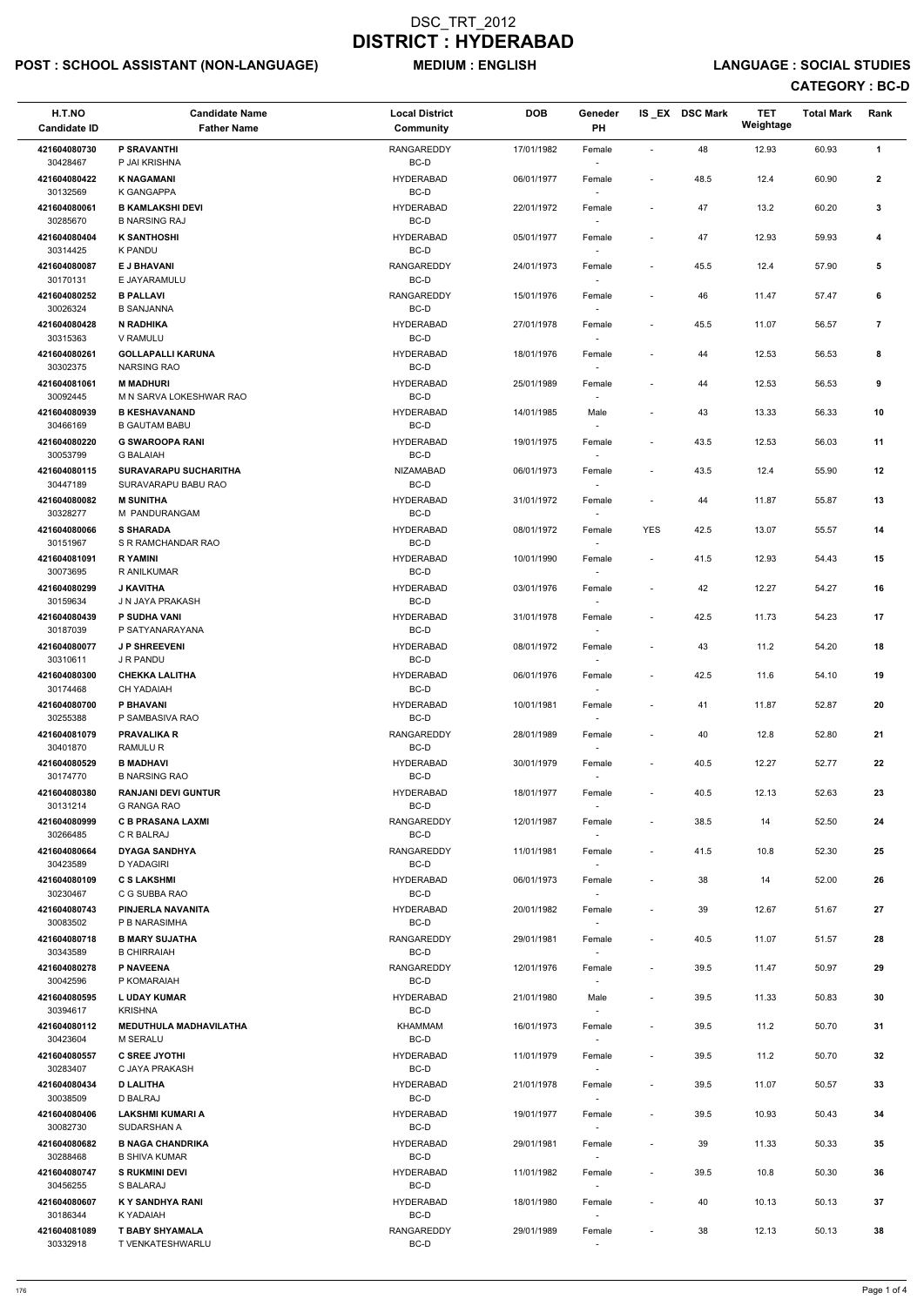# POST : SCHOOL ASSISTANT (NON-LANGUAGE) MEDIUM : ENGLISH LANGUAGE : SOCIAL STUDIES

| H.T.NO<br><b>Candidate ID</b>        | <b>Candidate Name</b><br><b>Father Name</b>             | <b>Local District</b><br>Community | <b>DOB</b> | Geneder<br>PH                      |                          | IS_EX DSC Mark | <b>TET</b><br>Weightage | <b>Total Mark</b> | Rank           |
|--------------------------------------|---------------------------------------------------------|------------------------------------|------------|------------------------------------|--------------------------|----------------|-------------------------|-------------------|----------------|
| 421604080730<br>30428467             | <b>P SRAVANTHI</b><br>P JAI KRISHNA                     | <b>RANGAREDDY</b><br>BC-D          | 17/01/1982 | Female                             | $\sim$                   | 48             | 12.93                   | 60.93             | $\mathbf{1}$   |
| 421604080422<br>30132569             | <b>K NAGAMANI</b><br>K GANGAPPA                         | <b>HYDERABAD</b><br>BC-D           | 06/01/1977 | Female                             | $\overline{\phantom{a}}$ | 48.5           | 12.4                    | 60.90             | $\mathbf{2}$   |
| 421604080061<br>30285670             | <b>B KAMLAKSHI DEVI</b><br><b>B NARSING RAJ</b>         | <b>HYDERABAD</b><br>BC-D           | 22/01/1972 | Female<br>$\sim$                   | $\sim$                   | 47             | 13.2                    | 60.20             | 3              |
| 421604080404                         | <b>K SANTHOSHI</b>                                      | <b>HYDERABAD</b>                   | 05/01/1977 | Female                             | $\overline{\phantom{a}}$ | 47             | 12.93                   | 59.93             | 4              |
| 30314425<br>421604080087             | <b>K PANDU</b><br><b>E J BHAVANI</b>                    | BC-D<br><b>RANGAREDDY</b>          | 24/01/1973 | $\overline{\phantom{a}}$<br>Female | $\blacksquare$           | 45.5           | 12.4                    | 57.90             | 5              |
| 30170131<br>421604080252             | E JAYARAMULU<br><b>B PALLAVI</b>                        | BC-D<br>RANGAREDDY                 | 15/01/1976 | $\sim$<br>Female                   |                          | 46             | 11.47                   | 57.47             | 6              |
| 30026324<br>421604080428             | <b>B SANJANNA</b><br><b>N RADHIKA</b>                   | $BC-D$<br><b>HYDERABAD</b>         | 27/01/1978 | Female                             | $\blacksquare$           | 45.5           | 11.07                   | 56.57             | $\overline{7}$ |
| 30315363<br>421604080261             | V RAMULU<br><b>GOLLAPALLI KARUNA</b>                    | BC-D<br><b>HYDERABAD</b>           | 18/01/1976 | Female                             |                          | 44             | 12.53                   | 56.53             | 8              |
| 30302375                             | <b>NARSING RAO</b>                                      | BC-D                               |            | $\sim$                             |                          |                |                         |                   |                |
| 421604081061<br>30092445             | <b>M MADHURI</b><br>M N SARVA LOKESHWAR RAO             | <b>HYDERABAD</b><br>BC-D           | 25/01/1989 | Female                             | $\overline{\phantom{a}}$ | 44             | 12.53                   | 56.53             | 9              |
| 421604080939<br>30466169             | <b>B KESHAVANAND</b><br><b>B GAUTAM BABU</b>            | <b>HYDERABAD</b><br>BC-D           | 14/01/1985 | Male                               |                          | 43             | 13.33                   | 56.33             | 10             |
| 421604080220<br>30053799             | <b>G SWAROOPA RANI</b><br><b>G BALAIAH</b>              | <b>HYDERABAD</b><br>BC-D           | 19/01/1975 | Female                             | $\blacksquare$           | 43.5           | 12.53                   | 56.03             | 11             |
| 421604080115<br>30447189             | <b>SURAVARAPU SUCHARITHA</b><br>SURAVARAPU BABU RAO     | <b>NIZAMABAD</b><br>BC-D           | 06/01/1973 | Female<br>$\sim$                   | $\overline{\phantom{a}}$ | 43.5           | 12.4                    | 55.90             | 12             |
| 421604080082<br>30328277             | <b>M SUNITHA</b><br>M PANDURANGAM                       | <b>HYDERABAD</b><br>BC-D           | 31/01/1972 | Female<br>$\overline{\phantom{a}}$ | $\overline{\phantom{a}}$ | 44             | 11.87                   | 55.87             | 13             |
| 421604080066                         | <b>S SHARADA</b>                                        | <b>HYDERABAD</b>                   | 08/01/1972 | Female                             | <b>YES</b>               | 42.5           | 13.07                   | 55.57             | 14             |
| 30151967<br>421604081091             | S R RAMCHANDAR RAO<br><b>RYAMINI</b>                    | BC-D<br><b>HYDERABAD</b>           | 10/01/1990 | $\sim$<br>Female                   | $\blacksquare$           | 41.5           | 12.93                   | 54.43             | 15             |
| 30073695<br>421604080299             | R ANILKUMAR<br><b>J KAVITHA</b>                         | BC-D<br><b>HYDERABAD</b>           | 03/01/1976 | Female                             | $\blacksquare$           | 42             | 12.27                   | 54.27             | 16             |
| 30159634<br>421604080439             | J N JAYA PRAKASH<br><b>P SUDHA VANI</b>                 | BC-D<br><b>HYDERABAD</b>           | 31/01/1978 | $\overline{\phantom{a}}$<br>Female | $\blacksquare$           | 42.5           | 11.73                   | 54.23             | 17             |
| 30187039<br>421604080077             | P SATYANARAYANA<br><b>J P SHREEVENI</b>                 | BC-D<br><b>HYDERABAD</b>           | 08/01/1972 | Female                             | $\overline{\phantom{a}}$ | 43             | 11.2                    | 54.20             | 18             |
| 30310611<br>421604080300             | J R PANDU<br><b>CHEKKA LALITHA</b>                      | BC-D<br><b>HYDERABAD</b>           | 06/01/1976 | Female                             | $\overline{\phantom{a}}$ | 42.5           | 11.6                    | 54.10             | 19             |
| 30174468<br>421604080700             | <b>CH YADAIAH</b><br>P BHAVANI                          | BC-D<br><b>HYDERABAD</b>           | 10/01/1981 | $\sim$<br>Female                   | $\blacksquare$           | 41             | 11.87                   | 52.87             | 20             |
| 30255388                             | P SAMBASIVA RAO                                         | BC-D                               |            | $\sim$                             |                          |                |                         |                   |                |
| 421604081079<br>30401870             | <b>PRAVALIKA R</b><br>RAMULU R                          | RANGAREDDY<br>BC-D                 | 28/01/1989 | Female<br>$\sim$                   | $\overline{\phantom{a}}$ | 40             | 12.8                    | 52.80             | 21             |
| 421604080529<br>30174770             | <b>B MADHAVI</b><br><b>B NARSING RAO</b>                | <b>HYDERABAD</b><br>BC-D           | 30/01/1979 | Female                             | $\overline{\phantom{a}}$ | 40.5           | 12.27                   | 52.77             | 22             |
| 421604080380<br>30131214             | <b>RANJANI DEVI GUNTUR</b><br>G RANGA RAO               | <b>HYDERABAD</b><br>BC-D           | 18/01/1977 | Female<br>$\sim$                   | $\sim$                   | 40.5           | 12.13                   | 52.63             | 23             |
| 421604080999<br>30266485             | <b>C B PRASANA LAXMI</b><br>C R BALRAJ                  | <b>RANGAREDDY</b><br>BC-D          | 12/01/1987 | Female<br>$\sim$                   | $\blacksquare$           | 38.5           | 14                      | 52.50             | 24             |
| 421604080664<br>30423589             | <b>DYAGA SANDHYA</b><br>D YADAGIRI                      | RANGAREDDY<br>BC-D                 | 11/01/1981 | Female<br>$\sim$                   | $\overline{\phantom{a}}$ | 41.5           | 10.8                    | 52.30             | 25             |
| 421604080109                         | <b>C S LAKSHMI</b>                                      | <b>HYDERABAD</b><br>BC-D           | 06/01/1973 | Female                             | $\overline{\phantom{a}}$ | 38             | 14                      | 52.00             | 26             |
| 30230467<br>421604080743             | C G SUBBA RAO<br>PINJERLA NAVANITA                      | <b>HYDERABAD</b>                   | 20/01/1982 | Female                             | $\blacksquare$           | 39             | 12.67                   | 51.67             | 27             |
| 30083502<br>421604080718             | P B NARASIMHA<br><b>B MARY SUJATHA</b>                  | BC-D<br>RANGAREDDY                 | 29/01/1981 | Female                             | $\overline{\phantom{a}}$ | 40.5           | 11.07                   | 51.57             | 28             |
| 30343589<br>421604080278             | <b>B CHIRRAIAH</b><br><b>P NAVEENA</b>                  | BC-D<br><b>RANGAREDDY</b>          | 12/01/1976 | $\sim$<br>Female                   | $\overline{\phantom{a}}$ | 39.5           | 11.47                   | 50.97             | 29             |
| 30042596<br>421604080595             | P KOMARAIAH<br><b>L UDAY KUMAR</b>                      | BC-D<br><b>HYDERABAD</b>           | 21/01/1980 | $\sim$<br>Male                     | $\blacksquare$           | 39.5           | 11.33                   | 50.83             | 30             |
| 30394617<br>421604080112             | <b>KRISHNA</b><br><b>MEDUTHULA MADHAVILATHA</b>         | BC-D<br>KHAMMAM                    | 16/01/1973 | $\sim$<br>Female                   | $\blacksquare$           | 39.5           | 11.2                    | 50.70             | 31             |
| 30423604                             | <b>M SERALU</b>                                         | BC-D                               |            |                                    |                          |                |                         |                   |                |
| 421604080557<br>30283407             | <b>C SREE JYOTHI</b><br>C JAYA PRAKASH                  | <b>HYDERABAD</b><br>BC-D           | 11/01/1979 | Female                             | $\sim$                   | 39.5           | 11.2                    | 50.70             | 32             |
| 421604080434<br>30038509             | <b>D LALITHA</b><br><b>D BALRAJ</b>                     | <b>HYDERABAD</b><br>BC-D           | 21/01/1978 | Female<br>$\overline{\phantom{a}}$ | $\overline{\phantom{a}}$ | 39.5           | 11.07                   | 50.57             | 33             |
| 421604080406<br>30082730             | <b>LAKSHMI KUMARI A</b><br>SUDARSHAN A                  | <b>HYDERABAD</b><br>BC-D           | 19/01/1977 | Female<br>$\overline{\phantom{a}}$ |                          | 39.5           | 10.93                   | 50.43             | 34             |
| 421604080682<br>30288468             | <b>B NAGA CHANDRIKA</b><br>B SHIVA KUMAR                | <b>HYDERABAD</b><br>BC-D           | 29/01/1981 | Female<br>$\sim$                   |                          | 39             | 11.33                   | 50.33             | 35             |
| 421604080747<br>30456255             | <b>S RUKMINI DEVI</b><br>S BALARAJ                      | <b>HYDERABAD</b><br>BC-D           | 11/01/1982 | Female<br>$\sim$                   | $\blacksquare$           | 39.5           | 10.8                    | 50.30             | 36             |
| 421604080607                         | K Y SANDHYA RANI                                        | <b>HYDERABAD</b>                   | 18/01/1980 | Female                             | $\overline{\phantom{a}}$ | 40             | 10.13                   | 50.13             | 37             |
| 30186344<br>421604081089<br>30332918 | K YADAIAH<br><b>T BABY SHYAMALA</b><br>T VENKATESHWARLU | BC-D<br><b>RANGAREDDY</b><br>BC-D  | 29/01/1989 | $\sim$<br>Female<br>$\sim$         |                          | 38             | 12.13                   | 50.13             | 38             |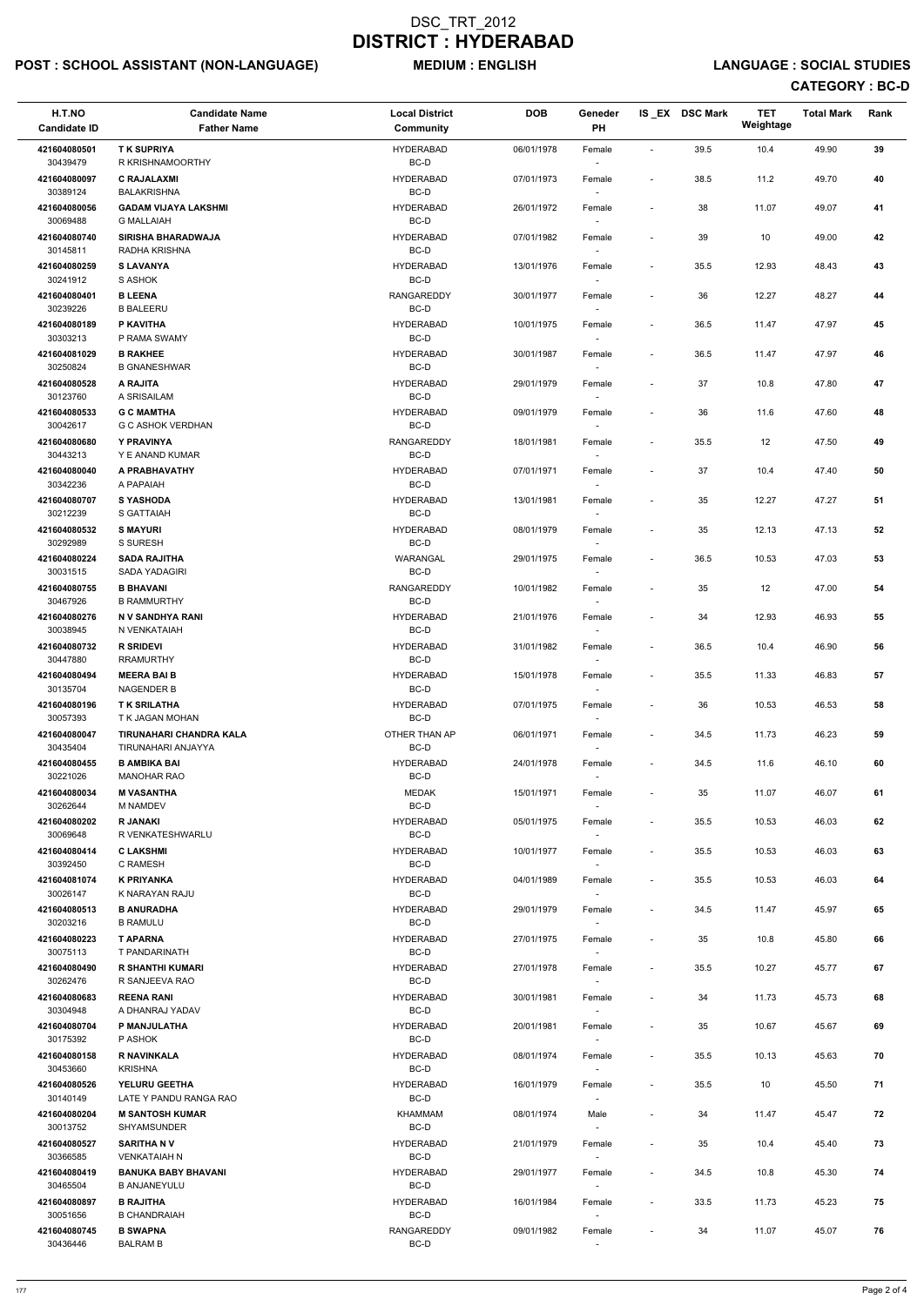# POST : SCHOOL ASSISTANT (NON-LANGUAGE) MEDIUM : ENGLISH LANGUAGE : SOCIAL STUDIES

| 39.5<br>49.90<br>39<br><b>TK SUPRIYA</b><br><b>HYDERABAD</b><br>06/01/1978<br>10.4<br>421604080501<br>Female<br>$\sim$<br>BC-D<br>30439479<br>R KRISHNAMOORTHY<br>421604080097<br><b>C RAJALAXMI</b><br><b>HYDERABAD</b><br>38.5<br>11.2<br>40<br>07/01/1973<br>49.70<br>Female<br>$\overline{\phantom{a}}$<br>30389124<br><b>BALAKRISHNA</b><br>BC-D<br>41<br>421604080056<br><b>GADAM VIJAYA LAKSHMI</b><br><b>HYDERABAD</b><br>26/01/1972<br>38<br>11.07<br>49.07<br>Female<br>$\overline{\phantom{a}}$<br>BC-D<br>30069488<br><b>G MALLAIAH</b><br><b>HYDERABAD</b><br>39<br>10<br>42<br>421604080740<br><b>SIRISHA BHARADWAJA</b><br>07/01/1982<br>49.00<br>Female<br>$\overline{\phantom{a}}$<br>30145811<br>BC-D<br>RADHA KRISHNA<br>421604080259<br><b>SLAVANYA</b><br>35.5<br>12.93<br>43<br><b>HYDERABAD</b><br>13/01/1976<br>48.43<br>Female<br>$\overline{\phantom{a}}$<br>BC-D<br>30241912<br>S ASHOK<br>$\sim$<br>421604080401<br><b>B LEENA</b><br><b>RANGAREDDY</b><br>36<br>12.27<br>48.27<br>44<br>30/01/1977<br>Female<br>$\overline{\phantom{a}}$<br>30239226<br>BC-D<br><b>B BALEERU</b><br>421604080189<br>P KAVITHA<br>36.5<br>45<br><b>HYDERABAD</b><br>10/01/1975<br>11.47<br>47.97<br>Female<br>$\overline{\phantom{a}}$<br>BC-D<br>30303213<br>P RAMA SWAMY<br><b>HYDERABAD</b><br>36.5<br>46<br>421604081029<br><b>B RAKHEE</b><br>30/01/1987<br>11.47<br>47.97<br>Female<br>$\overline{\phantom{a}}$<br>BC-D<br>30250824<br><b>B GNANESHWAR</b><br>A RAJITA<br>37<br>10.8<br>47.80<br>47<br>421604080528<br><b>HYDERABAD</b><br>29/01/1979<br>Female<br>$\overline{\phantom{a}}$<br>30123760<br>A SRISAILAM<br>BC-D<br>$\sim$<br><b>G C MAMTHA</b><br><b>HYDERABAD</b><br>36<br>11.6<br>47.60<br>48<br>421604080533<br>09/01/1979<br>Female<br>$\overline{\phantom{a}}$<br>30042617<br>BC-D<br><b>G C ASHOK VERDHAN</b><br>Y PRAVINYA<br><b>RANGAREDDY</b><br>49<br>421604080680<br>18/01/1981<br>35.5<br>12<br>47.50<br>Female<br>$\overline{\phantom{a}}$<br>30443213<br>BC-D<br>Y E ANAND KUMAR<br>421604080040<br>A PRABHAVATHY<br><b>HYDERABAD</b><br>37<br>10.4<br>47.40<br>50<br>07/01/1971<br>Female<br>$\overline{\phantom{a}}$<br>30342236<br>A PAPAIAH<br>BC-D<br>$\sim$<br><b>S YASHODA</b><br><b>HYDERABAD</b><br>35<br>12.27<br>47.27<br>51<br>421604080707<br>13/01/1981<br>Female<br>$\overline{\phantom{a}}$<br>30212239<br>BC-D<br>S GATTAIAH<br><b>S MAYURI</b><br><b>HYDERABAD</b><br>35<br>12.13<br>47.13<br>52<br>421604080532<br>08/01/1979<br>Female<br>$\overline{\phantom{a}}$<br>BC-D<br>30292989<br>S SURESH<br>36.5<br>53<br>421604080224<br><b>SADA RAJITHA</b><br><b>WARANGAL</b><br>29/01/1975<br>10.53<br>47.03<br>Female<br>$\overline{\phantom{a}}$<br>BC-D<br>30031515<br><b>SADA YADAGIRI</b><br>54<br>421604080755<br><b>B BHAVANI</b><br><b>RANGAREDDY</b><br>10/01/1982<br>35<br>12<br>47.00<br>Female<br>$\overline{\phantom{a}}$<br>30467926<br><b>B RAMMURTHY</b><br>BC-D<br>$\overline{\phantom{a}}$<br>55<br>421604080276<br>N V SANDHYA RANI<br><b>HYDERABAD</b><br>21/01/1976<br>34<br>12.93<br>46.93<br>Female<br>BC-D<br>30038945<br>N VENKATAIAH<br><b>R SRIDEVI</b><br>36.5<br>56<br>421604080732<br>HYDERABAD<br>31/01/1982<br>10.4<br>46.90<br>Female<br>$\overline{\phantom{a}}$<br>BC-D<br>30447880<br><b>RRAMURTHY</b><br>57<br>421604080494<br><b>MEERA BAI B</b><br><b>HYDERABAD</b><br>15/01/1978<br>35.5<br>11.33<br>46.83<br>Female<br>$\overline{\phantom{a}}$<br>30135704<br><b>NAGENDER B</b><br>BC-D<br>$\sim$<br>36<br>421604080196<br><b>TK SRILATHA</b><br><b>HYDERABAD</b><br>07/01/1975<br>10.53<br>46.53<br>58<br>Female<br>$\overline{\phantom{a}}$<br>30057393<br>T K JAGAN MOHAN<br>BC-D<br>$\overline{\phantom{a}}$<br>OTHER THAN AP<br>59<br>421604080047<br><b>TIRUNAHARI CHANDRA KALA</b><br>34.5<br>46.23<br>06/01/1971<br>Female<br>11.73<br>$\overline{\phantom{a}}$<br>30435404<br>TIRUNAHARI ANJAYYA<br>BC-D<br>$\sim$<br><b>B AMBIKA BAI</b><br><b>HYDERABAD</b><br>34.5<br>60<br>421604080455<br>11.6<br>46.10<br>24/01/1978<br>Female<br>$\overline{\phantom{a}}$<br>30221026<br>BC-D<br><b>MANOHAR RAO</b><br>421604080034<br><b>M VASANTHA</b><br><b>MEDAK</b><br>15/01/1971<br>35<br>11.07<br>46.07<br>61<br>Female<br>$\overline{\phantom{a}}$<br>BC-D<br>30262644<br><b>M NAMDEV</b><br>35.5<br>62<br>421604080202<br><b>R JANAKI</b><br><b>HYDERABAD</b><br>05/01/1975<br>10.53<br>46.03<br>Female<br>$\overline{\phantom{a}}$<br>30069648<br>R VENKATESHWARLU<br>BC-D<br>63<br>421604080414<br><b>CLAKSHMI</b><br>HYDERABAD<br>10/01/1977<br>35.5<br>10.53<br>46.03<br>Female<br>$\overline{\phantom{a}}$<br>BC-D<br>30392450<br>C RAMESH<br>$\sim$<br><b>K PRIYANKA</b><br>64<br>421604081074<br><b>HYDERABAD</b><br>35.5<br>10.53<br>46.03<br>04/01/1989<br>Female<br>$\overline{\phantom{a}}$<br>30026147<br>BC-D<br>K NARAYAN RAJU<br>421604080513<br><b>B ANURADHA</b><br>HYDERABAD<br>29/01/1979<br>34.5<br>11.47<br>45.97<br>65<br>Female<br>$\overline{\phantom{a}}$<br>30203216<br>BC-D<br><b>B RAMULU</b><br>66<br>421604080223<br><b>T APARNA</b><br><b>HYDERABAD</b><br>27/01/1975<br>35<br>10.8<br>45.80<br>Female<br>$\overline{\phantom{a}}$<br>30075113<br>T PANDARINATH<br>BC-D<br>$\sim$<br>35.5<br><b>R SHANTHI KUMARI</b><br>HYDERABAD<br>10.27<br>45.77<br>67<br>421604080490<br>27/01/1978<br>Female<br>$\overline{\phantom{a}}$<br>30262476<br>R SANJEEVA RAO<br>BC-D<br>$\sim$<br><b>REENA RANI</b><br>34<br>68<br>421604080683<br><b>HYDERABAD</b><br>30/01/1981<br>11.73<br>45.73<br>Female<br>$\overline{\phantom{a}}$<br>BC-D<br>30304948<br>A DHANRAJ YADAV<br>P MANJULATHA<br><b>HYDERABAD</b><br>69<br>421604080704<br>20/01/1981<br>35<br>10.67<br>45.67<br>Female<br>$\overline{\phantom{a}}$<br>30175392<br>BC-D<br>P ASHOK<br><b>R NAVINKALA</b><br><b>HYDERABAD</b><br>421604080158<br>08/01/1974<br>35.5<br>10.13<br>45.63<br>70<br>Female<br>$\overline{\phantom{a}}$<br>BC-D<br>30453660<br><b>KRISHNA</b><br>421604080526<br>YELURU GEETHA<br>HYDERABAD<br>16/01/1979<br>35.5<br>45.50<br>71<br>10<br>Female<br>$\overline{\phantom{a}}$<br>$BC-D$<br>30140149<br>LATE Y PANDU RANGA RAO<br>11.47<br>45.47<br>72<br>421604080204<br><b>M SANTOSH KUMAR</b><br><b>KHAMMAM</b><br>08/01/1974<br>34<br>Male<br>$\overline{\phantom{a}}$<br>BC-D<br>30013752<br>SHYAMSUNDER<br>35<br>73<br>421604080527<br><b>SARITHA NV</b><br>HYDERABAD<br>21/01/1979<br>10.4<br>45.40<br>Female<br>$\overline{\phantom{a}}$<br>30366585<br>BC-D<br><b>VENKATAIAH N</b><br>$\sim$<br>421604080419<br><b>BANUKA BABY BHAVANI</b><br><b>HYDERABAD</b><br>29/01/1977<br>34.5<br>10.8<br>45.30<br>74<br>Female<br>$\overline{\phantom{a}}$<br>BC-D<br>30465504<br><b>B ANJANEYULU</b><br>$\sim$<br>421604080897<br><b>B RAJITHA</b><br><b>HYDERABAD</b><br>16/01/1984<br>33.5<br>11.73<br>45.23<br>75<br>Female<br>$\overline{\phantom{a}}$<br>30051656<br><b>B CHANDRAIAH</b><br>BC-D<br>$\overline{\phantom{a}}$<br>76<br>421604080745<br><b>B SWAPNA</b><br>RANGAREDDY<br>09/01/1982<br>34<br>11.07<br>45.07<br>Female<br>$\overline{\phantom{a}}$<br>30436446<br>BC-D<br><b>BALRAM B</b><br>$\sim$ | H.T.NO<br><b>Candidate ID</b> | <b>Candidate Name</b><br><b>Father Name</b> | <b>Local District</b><br>Community | <b>DOB</b> | Geneder<br>PH | IS_EX DSC Mark | <b>TET</b><br>Weightage | <b>Total Mark</b> | Rank |
|----------------------------------------------------------------------------------------------------------------------------------------------------------------------------------------------------------------------------------------------------------------------------------------------------------------------------------------------------------------------------------------------------------------------------------------------------------------------------------------------------------------------------------------------------------------------------------------------------------------------------------------------------------------------------------------------------------------------------------------------------------------------------------------------------------------------------------------------------------------------------------------------------------------------------------------------------------------------------------------------------------------------------------------------------------------------------------------------------------------------------------------------------------------------------------------------------------------------------------------------------------------------------------------------------------------------------------------------------------------------------------------------------------------------------------------------------------------------------------------------------------------------------------------------------------------------------------------------------------------------------------------------------------------------------------------------------------------------------------------------------------------------------------------------------------------------------------------------------------------------------------------------------------------------------------------------------------------------------------------------------------------------------------------------------------------------------------------------------------------------------------------------------------------------------------------------------------------------------------------------------------------------------------------------------------------------------------------------------------------------------------------------------------------------------------------------------------------------------------------------------------------------------------------------------------------------------------------------------------------------------------------------------------------------------------------------------------------------------------------------------------------------------------------------------------------------------------------------------------------------------------------------------------------------------------------------------------------------------------------------------------------------------------------------------------------------------------------------------------------------------------------------------------------------------------------------------------------------------------------------------------------------------------------------------------------------------------------------------------------------------------------------------------------------------------------------------------------------------------------------------------------------------------------------------------------------------------------------------------------------------------------------------------------------------------------------------------------------------------------------------------------------------------------------------------------------------------------------------------------------------------------------------------------------------------------------------------------------------------------------------------------------------------------------------------------------------------------------------------------------------------------------------------------------------------------------------------------------------------------------------------------------------------------------------------------------------------------------------------------------------------------------------------------------------------------------------------------------------------------------------------------------------------------------------------------------------------------------------------------------------------------------------------------------------------------------------------------------------------------------------------------------------------------------------------------------------------------------------------------------------------------------------------------------------------------------------------------------------------------------------------------------------------------------------------------------------------------------------------------------------------------------------------------------------------------------------------------------------------------------------------------------------------------------------------------------------------------------------------------------------------------------------------------------------------------------------------------------------------------------------------------------------------------------------------------------------------------------------------------------------------------------------------------------------------------------------------------------------------------------------------------------------------------------------------------------------------------------------------------------------------------------------------------------------------------------------------------------------------------------------------------------------------------------------------------------------------------------------------------------------------------------------------------------------------------------------------------------------------------------------------------------------------------------------------------------------------------------------------------------------------------------------------------------------------------------------------------------------------------------------------------------------------------------------------------------------------------------------------------------------------------------------------------------------------------------------------------------------------------------------------------------------------------------------------------------------------------------------------------------------------------------------------------------------------------------------------------------------------------------------------------------------------------------------------------------------------------------------------------------------------------------------|-------------------------------|---------------------------------------------|------------------------------------|------------|---------------|----------------|-------------------------|-------------------|------|
|                                                                                                                                                                                                                                                                                                                                                                                                                                                                                                                                                                                                                                                                                                                                                                                                                                                                                                                                                                                                                                                                                                                                                                                                                                                                                                                                                                                                                                                                                                                                                                                                                                                                                                                                                                                                                                                                                                                                                                                                                                                                                                                                                                                                                                                                                                                                                                                                                                                                                                                                                                                                                                                                                                                                                                                                                                                                                                                                                                                                                                                                                                                                                                                                                                                                                                                                                                                                                                                                                                                                                                                                                                                                                                                                                                                                                                                                                                                                                                                                                                                                                                                                                                                                                                                                                                                                                                                                                                                                                                                                                                                                                                                                                                                                                                                                                                                                                                                                                                                                                                                                                                                                                                                                                                                                                                                                                                                                                                                                                                                                                                                                                                                                                                                                                                                                                                                                                                                                                                                                                                                                                                                                                                                                                                                                                                                                                                                                                                                                                                                                                                                                                                                                                                                                                                                                                                                                                                                                                                                                                                                                                                                                                    |                               |                                             |                                    |            |               |                |                         |                   |      |
|                                                                                                                                                                                                                                                                                                                                                                                                                                                                                                                                                                                                                                                                                                                                                                                                                                                                                                                                                                                                                                                                                                                                                                                                                                                                                                                                                                                                                                                                                                                                                                                                                                                                                                                                                                                                                                                                                                                                                                                                                                                                                                                                                                                                                                                                                                                                                                                                                                                                                                                                                                                                                                                                                                                                                                                                                                                                                                                                                                                                                                                                                                                                                                                                                                                                                                                                                                                                                                                                                                                                                                                                                                                                                                                                                                                                                                                                                                                                                                                                                                                                                                                                                                                                                                                                                                                                                                                                                                                                                                                                                                                                                                                                                                                                                                                                                                                                                                                                                                                                                                                                                                                                                                                                                                                                                                                                                                                                                                                                                                                                                                                                                                                                                                                                                                                                                                                                                                                                                                                                                                                                                                                                                                                                                                                                                                                                                                                                                                                                                                                                                                                                                                                                                                                                                                                                                                                                                                                                                                                                                                                                                                                                                    |                               |                                             |                                    |            |               |                |                         |                   |      |
|                                                                                                                                                                                                                                                                                                                                                                                                                                                                                                                                                                                                                                                                                                                                                                                                                                                                                                                                                                                                                                                                                                                                                                                                                                                                                                                                                                                                                                                                                                                                                                                                                                                                                                                                                                                                                                                                                                                                                                                                                                                                                                                                                                                                                                                                                                                                                                                                                                                                                                                                                                                                                                                                                                                                                                                                                                                                                                                                                                                                                                                                                                                                                                                                                                                                                                                                                                                                                                                                                                                                                                                                                                                                                                                                                                                                                                                                                                                                                                                                                                                                                                                                                                                                                                                                                                                                                                                                                                                                                                                                                                                                                                                                                                                                                                                                                                                                                                                                                                                                                                                                                                                                                                                                                                                                                                                                                                                                                                                                                                                                                                                                                                                                                                                                                                                                                                                                                                                                                                                                                                                                                                                                                                                                                                                                                                                                                                                                                                                                                                                                                                                                                                                                                                                                                                                                                                                                                                                                                                                                                                                                                                                                                    |                               |                                             |                                    |            |               |                |                         |                   |      |
|                                                                                                                                                                                                                                                                                                                                                                                                                                                                                                                                                                                                                                                                                                                                                                                                                                                                                                                                                                                                                                                                                                                                                                                                                                                                                                                                                                                                                                                                                                                                                                                                                                                                                                                                                                                                                                                                                                                                                                                                                                                                                                                                                                                                                                                                                                                                                                                                                                                                                                                                                                                                                                                                                                                                                                                                                                                                                                                                                                                                                                                                                                                                                                                                                                                                                                                                                                                                                                                                                                                                                                                                                                                                                                                                                                                                                                                                                                                                                                                                                                                                                                                                                                                                                                                                                                                                                                                                                                                                                                                                                                                                                                                                                                                                                                                                                                                                                                                                                                                                                                                                                                                                                                                                                                                                                                                                                                                                                                                                                                                                                                                                                                                                                                                                                                                                                                                                                                                                                                                                                                                                                                                                                                                                                                                                                                                                                                                                                                                                                                                                                                                                                                                                                                                                                                                                                                                                                                                                                                                                                                                                                                                                                    |                               |                                             |                                    |            |               |                |                         |                   |      |
|                                                                                                                                                                                                                                                                                                                                                                                                                                                                                                                                                                                                                                                                                                                                                                                                                                                                                                                                                                                                                                                                                                                                                                                                                                                                                                                                                                                                                                                                                                                                                                                                                                                                                                                                                                                                                                                                                                                                                                                                                                                                                                                                                                                                                                                                                                                                                                                                                                                                                                                                                                                                                                                                                                                                                                                                                                                                                                                                                                                                                                                                                                                                                                                                                                                                                                                                                                                                                                                                                                                                                                                                                                                                                                                                                                                                                                                                                                                                                                                                                                                                                                                                                                                                                                                                                                                                                                                                                                                                                                                                                                                                                                                                                                                                                                                                                                                                                                                                                                                                                                                                                                                                                                                                                                                                                                                                                                                                                                                                                                                                                                                                                                                                                                                                                                                                                                                                                                                                                                                                                                                                                                                                                                                                                                                                                                                                                                                                                                                                                                                                                                                                                                                                                                                                                                                                                                                                                                                                                                                                                                                                                                                                                    |                               |                                             |                                    |            |               |                |                         |                   |      |
|                                                                                                                                                                                                                                                                                                                                                                                                                                                                                                                                                                                                                                                                                                                                                                                                                                                                                                                                                                                                                                                                                                                                                                                                                                                                                                                                                                                                                                                                                                                                                                                                                                                                                                                                                                                                                                                                                                                                                                                                                                                                                                                                                                                                                                                                                                                                                                                                                                                                                                                                                                                                                                                                                                                                                                                                                                                                                                                                                                                                                                                                                                                                                                                                                                                                                                                                                                                                                                                                                                                                                                                                                                                                                                                                                                                                                                                                                                                                                                                                                                                                                                                                                                                                                                                                                                                                                                                                                                                                                                                                                                                                                                                                                                                                                                                                                                                                                                                                                                                                                                                                                                                                                                                                                                                                                                                                                                                                                                                                                                                                                                                                                                                                                                                                                                                                                                                                                                                                                                                                                                                                                                                                                                                                                                                                                                                                                                                                                                                                                                                                                                                                                                                                                                                                                                                                                                                                                                                                                                                                                                                                                                                                                    |                               |                                             |                                    |            |               |                |                         |                   |      |
|                                                                                                                                                                                                                                                                                                                                                                                                                                                                                                                                                                                                                                                                                                                                                                                                                                                                                                                                                                                                                                                                                                                                                                                                                                                                                                                                                                                                                                                                                                                                                                                                                                                                                                                                                                                                                                                                                                                                                                                                                                                                                                                                                                                                                                                                                                                                                                                                                                                                                                                                                                                                                                                                                                                                                                                                                                                                                                                                                                                                                                                                                                                                                                                                                                                                                                                                                                                                                                                                                                                                                                                                                                                                                                                                                                                                                                                                                                                                                                                                                                                                                                                                                                                                                                                                                                                                                                                                                                                                                                                                                                                                                                                                                                                                                                                                                                                                                                                                                                                                                                                                                                                                                                                                                                                                                                                                                                                                                                                                                                                                                                                                                                                                                                                                                                                                                                                                                                                                                                                                                                                                                                                                                                                                                                                                                                                                                                                                                                                                                                                                                                                                                                                                                                                                                                                                                                                                                                                                                                                                                                                                                                                                                    |                               |                                             |                                    |            |               |                |                         |                   |      |
|                                                                                                                                                                                                                                                                                                                                                                                                                                                                                                                                                                                                                                                                                                                                                                                                                                                                                                                                                                                                                                                                                                                                                                                                                                                                                                                                                                                                                                                                                                                                                                                                                                                                                                                                                                                                                                                                                                                                                                                                                                                                                                                                                                                                                                                                                                                                                                                                                                                                                                                                                                                                                                                                                                                                                                                                                                                                                                                                                                                                                                                                                                                                                                                                                                                                                                                                                                                                                                                                                                                                                                                                                                                                                                                                                                                                                                                                                                                                                                                                                                                                                                                                                                                                                                                                                                                                                                                                                                                                                                                                                                                                                                                                                                                                                                                                                                                                                                                                                                                                                                                                                                                                                                                                                                                                                                                                                                                                                                                                                                                                                                                                                                                                                                                                                                                                                                                                                                                                                                                                                                                                                                                                                                                                                                                                                                                                                                                                                                                                                                                                                                                                                                                                                                                                                                                                                                                                                                                                                                                                                                                                                                                                                    |                               |                                             |                                    |            |               |                |                         |                   |      |
|                                                                                                                                                                                                                                                                                                                                                                                                                                                                                                                                                                                                                                                                                                                                                                                                                                                                                                                                                                                                                                                                                                                                                                                                                                                                                                                                                                                                                                                                                                                                                                                                                                                                                                                                                                                                                                                                                                                                                                                                                                                                                                                                                                                                                                                                                                                                                                                                                                                                                                                                                                                                                                                                                                                                                                                                                                                                                                                                                                                                                                                                                                                                                                                                                                                                                                                                                                                                                                                                                                                                                                                                                                                                                                                                                                                                                                                                                                                                                                                                                                                                                                                                                                                                                                                                                                                                                                                                                                                                                                                                                                                                                                                                                                                                                                                                                                                                                                                                                                                                                                                                                                                                                                                                                                                                                                                                                                                                                                                                                                                                                                                                                                                                                                                                                                                                                                                                                                                                                                                                                                                                                                                                                                                                                                                                                                                                                                                                                                                                                                                                                                                                                                                                                                                                                                                                                                                                                                                                                                                                                                                                                                                                                    |                               |                                             |                                    |            |               |                |                         |                   |      |
|                                                                                                                                                                                                                                                                                                                                                                                                                                                                                                                                                                                                                                                                                                                                                                                                                                                                                                                                                                                                                                                                                                                                                                                                                                                                                                                                                                                                                                                                                                                                                                                                                                                                                                                                                                                                                                                                                                                                                                                                                                                                                                                                                                                                                                                                                                                                                                                                                                                                                                                                                                                                                                                                                                                                                                                                                                                                                                                                                                                                                                                                                                                                                                                                                                                                                                                                                                                                                                                                                                                                                                                                                                                                                                                                                                                                                                                                                                                                                                                                                                                                                                                                                                                                                                                                                                                                                                                                                                                                                                                                                                                                                                                                                                                                                                                                                                                                                                                                                                                                                                                                                                                                                                                                                                                                                                                                                                                                                                                                                                                                                                                                                                                                                                                                                                                                                                                                                                                                                                                                                                                                                                                                                                                                                                                                                                                                                                                                                                                                                                                                                                                                                                                                                                                                                                                                                                                                                                                                                                                                                                                                                                                                                    |                               |                                             |                                    |            |               |                |                         |                   |      |
|                                                                                                                                                                                                                                                                                                                                                                                                                                                                                                                                                                                                                                                                                                                                                                                                                                                                                                                                                                                                                                                                                                                                                                                                                                                                                                                                                                                                                                                                                                                                                                                                                                                                                                                                                                                                                                                                                                                                                                                                                                                                                                                                                                                                                                                                                                                                                                                                                                                                                                                                                                                                                                                                                                                                                                                                                                                                                                                                                                                                                                                                                                                                                                                                                                                                                                                                                                                                                                                                                                                                                                                                                                                                                                                                                                                                                                                                                                                                                                                                                                                                                                                                                                                                                                                                                                                                                                                                                                                                                                                                                                                                                                                                                                                                                                                                                                                                                                                                                                                                                                                                                                                                                                                                                                                                                                                                                                                                                                                                                                                                                                                                                                                                                                                                                                                                                                                                                                                                                                                                                                                                                                                                                                                                                                                                                                                                                                                                                                                                                                                                                                                                                                                                                                                                                                                                                                                                                                                                                                                                                                                                                                                                                    |                               |                                             |                                    |            |               |                |                         |                   |      |
|                                                                                                                                                                                                                                                                                                                                                                                                                                                                                                                                                                                                                                                                                                                                                                                                                                                                                                                                                                                                                                                                                                                                                                                                                                                                                                                                                                                                                                                                                                                                                                                                                                                                                                                                                                                                                                                                                                                                                                                                                                                                                                                                                                                                                                                                                                                                                                                                                                                                                                                                                                                                                                                                                                                                                                                                                                                                                                                                                                                                                                                                                                                                                                                                                                                                                                                                                                                                                                                                                                                                                                                                                                                                                                                                                                                                                                                                                                                                                                                                                                                                                                                                                                                                                                                                                                                                                                                                                                                                                                                                                                                                                                                                                                                                                                                                                                                                                                                                                                                                                                                                                                                                                                                                                                                                                                                                                                                                                                                                                                                                                                                                                                                                                                                                                                                                                                                                                                                                                                                                                                                                                                                                                                                                                                                                                                                                                                                                                                                                                                                                                                                                                                                                                                                                                                                                                                                                                                                                                                                                                                                                                                                                                    |                               |                                             |                                    |            |               |                |                         |                   |      |
|                                                                                                                                                                                                                                                                                                                                                                                                                                                                                                                                                                                                                                                                                                                                                                                                                                                                                                                                                                                                                                                                                                                                                                                                                                                                                                                                                                                                                                                                                                                                                                                                                                                                                                                                                                                                                                                                                                                                                                                                                                                                                                                                                                                                                                                                                                                                                                                                                                                                                                                                                                                                                                                                                                                                                                                                                                                                                                                                                                                                                                                                                                                                                                                                                                                                                                                                                                                                                                                                                                                                                                                                                                                                                                                                                                                                                                                                                                                                                                                                                                                                                                                                                                                                                                                                                                                                                                                                                                                                                                                                                                                                                                                                                                                                                                                                                                                                                                                                                                                                                                                                                                                                                                                                                                                                                                                                                                                                                                                                                                                                                                                                                                                                                                                                                                                                                                                                                                                                                                                                                                                                                                                                                                                                                                                                                                                                                                                                                                                                                                                                                                                                                                                                                                                                                                                                                                                                                                                                                                                                                                                                                                                                                    |                               |                                             |                                    |            |               |                |                         |                   |      |
|                                                                                                                                                                                                                                                                                                                                                                                                                                                                                                                                                                                                                                                                                                                                                                                                                                                                                                                                                                                                                                                                                                                                                                                                                                                                                                                                                                                                                                                                                                                                                                                                                                                                                                                                                                                                                                                                                                                                                                                                                                                                                                                                                                                                                                                                                                                                                                                                                                                                                                                                                                                                                                                                                                                                                                                                                                                                                                                                                                                                                                                                                                                                                                                                                                                                                                                                                                                                                                                                                                                                                                                                                                                                                                                                                                                                                                                                                                                                                                                                                                                                                                                                                                                                                                                                                                                                                                                                                                                                                                                                                                                                                                                                                                                                                                                                                                                                                                                                                                                                                                                                                                                                                                                                                                                                                                                                                                                                                                                                                                                                                                                                                                                                                                                                                                                                                                                                                                                                                                                                                                                                                                                                                                                                                                                                                                                                                                                                                                                                                                                                                                                                                                                                                                                                                                                                                                                                                                                                                                                                                                                                                                                                                    |                               |                                             |                                    |            |               |                |                         |                   |      |
|                                                                                                                                                                                                                                                                                                                                                                                                                                                                                                                                                                                                                                                                                                                                                                                                                                                                                                                                                                                                                                                                                                                                                                                                                                                                                                                                                                                                                                                                                                                                                                                                                                                                                                                                                                                                                                                                                                                                                                                                                                                                                                                                                                                                                                                                                                                                                                                                                                                                                                                                                                                                                                                                                                                                                                                                                                                                                                                                                                                                                                                                                                                                                                                                                                                                                                                                                                                                                                                                                                                                                                                                                                                                                                                                                                                                                                                                                                                                                                                                                                                                                                                                                                                                                                                                                                                                                                                                                                                                                                                                                                                                                                                                                                                                                                                                                                                                                                                                                                                                                                                                                                                                                                                                                                                                                                                                                                                                                                                                                                                                                                                                                                                                                                                                                                                                                                                                                                                                                                                                                                                                                                                                                                                                                                                                                                                                                                                                                                                                                                                                                                                                                                                                                                                                                                                                                                                                                                                                                                                                                                                                                                                                                    |                               |                                             |                                    |            |               |                |                         |                   |      |
|                                                                                                                                                                                                                                                                                                                                                                                                                                                                                                                                                                                                                                                                                                                                                                                                                                                                                                                                                                                                                                                                                                                                                                                                                                                                                                                                                                                                                                                                                                                                                                                                                                                                                                                                                                                                                                                                                                                                                                                                                                                                                                                                                                                                                                                                                                                                                                                                                                                                                                                                                                                                                                                                                                                                                                                                                                                                                                                                                                                                                                                                                                                                                                                                                                                                                                                                                                                                                                                                                                                                                                                                                                                                                                                                                                                                                                                                                                                                                                                                                                                                                                                                                                                                                                                                                                                                                                                                                                                                                                                                                                                                                                                                                                                                                                                                                                                                                                                                                                                                                                                                                                                                                                                                                                                                                                                                                                                                                                                                                                                                                                                                                                                                                                                                                                                                                                                                                                                                                                                                                                                                                                                                                                                                                                                                                                                                                                                                                                                                                                                                                                                                                                                                                                                                                                                                                                                                                                                                                                                                                                                                                                                                                    |                               |                                             |                                    |            |               |                |                         |                   |      |
|                                                                                                                                                                                                                                                                                                                                                                                                                                                                                                                                                                                                                                                                                                                                                                                                                                                                                                                                                                                                                                                                                                                                                                                                                                                                                                                                                                                                                                                                                                                                                                                                                                                                                                                                                                                                                                                                                                                                                                                                                                                                                                                                                                                                                                                                                                                                                                                                                                                                                                                                                                                                                                                                                                                                                                                                                                                                                                                                                                                                                                                                                                                                                                                                                                                                                                                                                                                                                                                                                                                                                                                                                                                                                                                                                                                                                                                                                                                                                                                                                                                                                                                                                                                                                                                                                                                                                                                                                                                                                                                                                                                                                                                                                                                                                                                                                                                                                                                                                                                                                                                                                                                                                                                                                                                                                                                                                                                                                                                                                                                                                                                                                                                                                                                                                                                                                                                                                                                                                                                                                                                                                                                                                                                                                                                                                                                                                                                                                                                                                                                                                                                                                                                                                                                                                                                                                                                                                                                                                                                                                                                                                                                                                    |                               |                                             |                                    |            |               |                |                         |                   |      |
|                                                                                                                                                                                                                                                                                                                                                                                                                                                                                                                                                                                                                                                                                                                                                                                                                                                                                                                                                                                                                                                                                                                                                                                                                                                                                                                                                                                                                                                                                                                                                                                                                                                                                                                                                                                                                                                                                                                                                                                                                                                                                                                                                                                                                                                                                                                                                                                                                                                                                                                                                                                                                                                                                                                                                                                                                                                                                                                                                                                                                                                                                                                                                                                                                                                                                                                                                                                                                                                                                                                                                                                                                                                                                                                                                                                                                                                                                                                                                                                                                                                                                                                                                                                                                                                                                                                                                                                                                                                                                                                                                                                                                                                                                                                                                                                                                                                                                                                                                                                                                                                                                                                                                                                                                                                                                                                                                                                                                                                                                                                                                                                                                                                                                                                                                                                                                                                                                                                                                                                                                                                                                                                                                                                                                                                                                                                                                                                                                                                                                                                                                                                                                                                                                                                                                                                                                                                                                                                                                                                                                                                                                                                                                    |                               |                                             |                                    |            |               |                |                         |                   |      |
|                                                                                                                                                                                                                                                                                                                                                                                                                                                                                                                                                                                                                                                                                                                                                                                                                                                                                                                                                                                                                                                                                                                                                                                                                                                                                                                                                                                                                                                                                                                                                                                                                                                                                                                                                                                                                                                                                                                                                                                                                                                                                                                                                                                                                                                                                                                                                                                                                                                                                                                                                                                                                                                                                                                                                                                                                                                                                                                                                                                                                                                                                                                                                                                                                                                                                                                                                                                                                                                                                                                                                                                                                                                                                                                                                                                                                                                                                                                                                                                                                                                                                                                                                                                                                                                                                                                                                                                                                                                                                                                                                                                                                                                                                                                                                                                                                                                                                                                                                                                                                                                                                                                                                                                                                                                                                                                                                                                                                                                                                                                                                                                                                                                                                                                                                                                                                                                                                                                                                                                                                                                                                                                                                                                                                                                                                                                                                                                                                                                                                                                                                                                                                                                                                                                                                                                                                                                                                                                                                                                                                                                                                                                                                    |                               |                                             |                                    |            |               |                |                         |                   |      |
|                                                                                                                                                                                                                                                                                                                                                                                                                                                                                                                                                                                                                                                                                                                                                                                                                                                                                                                                                                                                                                                                                                                                                                                                                                                                                                                                                                                                                                                                                                                                                                                                                                                                                                                                                                                                                                                                                                                                                                                                                                                                                                                                                                                                                                                                                                                                                                                                                                                                                                                                                                                                                                                                                                                                                                                                                                                                                                                                                                                                                                                                                                                                                                                                                                                                                                                                                                                                                                                                                                                                                                                                                                                                                                                                                                                                                                                                                                                                                                                                                                                                                                                                                                                                                                                                                                                                                                                                                                                                                                                                                                                                                                                                                                                                                                                                                                                                                                                                                                                                                                                                                                                                                                                                                                                                                                                                                                                                                                                                                                                                                                                                                                                                                                                                                                                                                                                                                                                                                                                                                                                                                                                                                                                                                                                                                                                                                                                                                                                                                                                                                                                                                                                                                                                                                                                                                                                                                                                                                                                                                                                                                                                                                    |                               |                                             |                                    |            |               |                |                         |                   |      |
|                                                                                                                                                                                                                                                                                                                                                                                                                                                                                                                                                                                                                                                                                                                                                                                                                                                                                                                                                                                                                                                                                                                                                                                                                                                                                                                                                                                                                                                                                                                                                                                                                                                                                                                                                                                                                                                                                                                                                                                                                                                                                                                                                                                                                                                                                                                                                                                                                                                                                                                                                                                                                                                                                                                                                                                                                                                                                                                                                                                                                                                                                                                                                                                                                                                                                                                                                                                                                                                                                                                                                                                                                                                                                                                                                                                                                                                                                                                                                                                                                                                                                                                                                                                                                                                                                                                                                                                                                                                                                                                                                                                                                                                                                                                                                                                                                                                                                                                                                                                                                                                                                                                                                                                                                                                                                                                                                                                                                                                                                                                                                                                                                                                                                                                                                                                                                                                                                                                                                                                                                                                                                                                                                                                                                                                                                                                                                                                                                                                                                                                                                                                                                                                                                                                                                                                                                                                                                                                                                                                                                                                                                                                                                    |                               |                                             |                                    |            |               |                |                         |                   |      |
|                                                                                                                                                                                                                                                                                                                                                                                                                                                                                                                                                                                                                                                                                                                                                                                                                                                                                                                                                                                                                                                                                                                                                                                                                                                                                                                                                                                                                                                                                                                                                                                                                                                                                                                                                                                                                                                                                                                                                                                                                                                                                                                                                                                                                                                                                                                                                                                                                                                                                                                                                                                                                                                                                                                                                                                                                                                                                                                                                                                                                                                                                                                                                                                                                                                                                                                                                                                                                                                                                                                                                                                                                                                                                                                                                                                                                                                                                                                                                                                                                                                                                                                                                                                                                                                                                                                                                                                                                                                                                                                                                                                                                                                                                                                                                                                                                                                                                                                                                                                                                                                                                                                                                                                                                                                                                                                                                                                                                                                                                                                                                                                                                                                                                                                                                                                                                                                                                                                                                                                                                                                                                                                                                                                                                                                                                                                                                                                                                                                                                                                                                                                                                                                                                                                                                                                                                                                                                                                                                                                                                                                                                                                                                    |                               |                                             |                                    |            |               |                |                         |                   |      |
|                                                                                                                                                                                                                                                                                                                                                                                                                                                                                                                                                                                                                                                                                                                                                                                                                                                                                                                                                                                                                                                                                                                                                                                                                                                                                                                                                                                                                                                                                                                                                                                                                                                                                                                                                                                                                                                                                                                                                                                                                                                                                                                                                                                                                                                                                                                                                                                                                                                                                                                                                                                                                                                                                                                                                                                                                                                                                                                                                                                                                                                                                                                                                                                                                                                                                                                                                                                                                                                                                                                                                                                                                                                                                                                                                                                                                                                                                                                                                                                                                                                                                                                                                                                                                                                                                                                                                                                                                                                                                                                                                                                                                                                                                                                                                                                                                                                                                                                                                                                                                                                                                                                                                                                                                                                                                                                                                                                                                                                                                                                                                                                                                                                                                                                                                                                                                                                                                                                                                                                                                                                                                                                                                                                                                                                                                                                                                                                                                                                                                                                                                                                                                                                                                                                                                                                                                                                                                                                                                                                                                                                                                                                                                    |                               |                                             |                                    |            |               |                |                         |                   |      |
|                                                                                                                                                                                                                                                                                                                                                                                                                                                                                                                                                                                                                                                                                                                                                                                                                                                                                                                                                                                                                                                                                                                                                                                                                                                                                                                                                                                                                                                                                                                                                                                                                                                                                                                                                                                                                                                                                                                                                                                                                                                                                                                                                                                                                                                                                                                                                                                                                                                                                                                                                                                                                                                                                                                                                                                                                                                                                                                                                                                                                                                                                                                                                                                                                                                                                                                                                                                                                                                                                                                                                                                                                                                                                                                                                                                                                                                                                                                                                                                                                                                                                                                                                                                                                                                                                                                                                                                                                                                                                                                                                                                                                                                                                                                                                                                                                                                                                                                                                                                                                                                                                                                                                                                                                                                                                                                                                                                                                                                                                                                                                                                                                                                                                                                                                                                                                                                                                                                                                                                                                                                                                                                                                                                                                                                                                                                                                                                                                                                                                                                                                                                                                                                                                                                                                                                                                                                                                                                                                                                                                                                                                                                                                    |                               |                                             |                                    |            |               |                |                         |                   |      |
|                                                                                                                                                                                                                                                                                                                                                                                                                                                                                                                                                                                                                                                                                                                                                                                                                                                                                                                                                                                                                                                                                                                                                                                                                                                                                                                                                                                                                                                                                                                                                                                                                                                                                                                                                                                                                                                                                                                                                                                                                                                                                                                                                                                                                                                                                                                                                                                                                                                                                                                                                                                                                                                                                                                                                                                                                                                                                                                                                                                                                                                                                                                                                                                                                                                                                                                                                                                                                                                                                                                                                                                                                                                                                                                                                                                                                                                                                                                                                                                                                                                                                                                                                                                                                                                                                                                                                                                                                                                                                                                                                                                                                                                                                                                                                                                                                                                                                                                                                                                                                                                                                                                                                                                                                                                                                                                                                                                                                                                                                                                                                                                                                                                                                                                                                                                                                                                                                                                                                                                                                                                                                                                                                                                                                                                                                                                                                                                                                                                                                                                                                                                                                                                                                                                                                                                                                                                                                                                                                                                                                                                                                                                                                    |                               |                                             |                                    |            |               |                |                         |                   |      |
|                                                                                                                                                                                                                                                                                                                                                                                                                                                                                                                                                                                                                                                                                                                                                                                                                                                                                                                                                                                                                                                                                                                                                                                                                                                                                                                                                                                                                                                                                                                                                                                                                                                                                                                                                                                                                                                                                                                                                                                                                                                                                                                                                                                                                                                                                                                                                                                                                                                                                                                                                                                                                                                                                                                                                                                                                                                                                                                                                                                                                                                                                                                                                                                                                                                                                                                                                                                                                                                                                                                                                                                                                                                                                                                                                                                                                                                                                                                                                                                                                                                                                                                                                                                                                                                                                                                                                                                                                                                                                                                                                                                                                                                                                                                                                                                                                                                                                                                                                                                                                                                                                                                                                                                                                                                                                                                                                                                                                                                                                                                                                                                                                                                                                                                                                                                                                                                                                                                                                                                                                                                                                                                                                                                                                                                                                                                                                                                                                                                                                                                                                                                                                                                                                                                                                                                                                                                                                                                                                                                                                                                                                                                                                    |                               |                                             |                                    |            |               |                |                         |                   |      |
|                                                                                                                                                                                                                                                                                                                                                                                                                                                                                                                                                                                                                                                                                                                                                                                                                                                                                                                                                                                                                                                                                                                                                                                                                                                                                                                                                                                                                                                                                                                                                                                                                                                                                                                                                                                                                                                                                                                                                                                                                                                                                                                                                                                                                                                                                                                                                                                                                                                                                                                                                                                                                                                                                                                                                                                                                                                                                                                                                                                                                                                                                                                                                                                                                                                                                                                                                                                                                                                                                                                                                                                                                                                                                                                                                                                                                                                                                                                                                                                                                                                                                                                                                                                                                                                                                                                                                                                                                                                                                                                                                                                                                                                                                                                                                                                                                                                                                                                                                                                                                                                                                                                                                                                                                                                                                                                                                                                                                                                                                                                                                                                                                                                                                                                                                                                                                                                                                                                                                                                                                                                                                                                                                                                                                                                                                                                                                                                                                                                                                                                                                                                                                                                                                                                                                                                                                                                                                                                                                                                                                                                                                                                                                    |                               |                                             |                                    |            |               |                |                         |                   |      |
|                                                                                                                                                                                                                                                                                                                                                                                                                                                                                                                                                                                                                                                                                                                                                                                                                                                                                                                                                                                                                                                                                                                                                                                                                                                                                                                                                                                                                                                                                                                                                                                                                                                                                                                                                                                                                                                                                                                                                                                                                                                                                                                                                                                                                                                                                                                                                                                                                                                                                                                                                                                                                                                                                                                                                                                                                                                                                                                                                                                                                                                                                                                                                                                                                                                                                                                                                                                                                                                                                                                                                                                                                                                                                                                                                                                                                                                                                                                                                                                                                                                                                                                                                                                                                                                                                                                                                                                                                                                                                                                                                                                                                                                                                                                                                                                                                                                                                                                                                                                                                                                                                                                                                                                                                                                                                                                                                                                                                                                                                                                                                                                                                                                                                                                                                                                                                                                                                                                                                                                                                                                                                                                                                                                                                                                                                                                                                                                                                                                                                                                                                                                                                                                                                                                                                                                                                                                                                                                                                                                                                                                                                                                                                    |                               |                                             |                                    |            |               |                |                         |                   |      |
|                                                                                                                                                                                                                                                                                                                                                                                                                                                                                                                                                                                                                                                                                                                                                                                                                                                                                                                                                                                                                                                                                                                                                                                                                                                                                                                                                                                                                                                                                                                                                                                                                                                                                                                                                                                                                                                                                                                                                                                                                                                                                                                                                                                                                                                                                                                                                                                                                                                                                                                                                                                                                                                                                                                                                                                                                                                                                                                                                                                                                                                                                                                                                                                                                                                                                                                                                                                                                                                                                                                                                                                                                                                                                                                                                                                                                                                                                                                                                                                                                                                                                                                                                                                                                                                                                                                                                                                                                                                                                                                                                                                                                                                                                                                                                                                                                                                                                                                                                                                                                                                                                                                                                                                                                                                                                                                                                                                                                                                                                                                                                                                                                                                                                                                                                                                                                                                                                                                                                                                                                                                                                                                                                                                                                                                                                                                                                                                                                                                                                                                                                                                                                                                                                                                                                                                                                                                                                                                                                                                                                                                                                                                                                    |                               |                                             |                                    |            |               |                |                         |                   |      |
|                                                                                                                                                                                                                                                                                                                                                                                                                                                                                                                                                                                                                                                                                                                                                                                                                                                                                                                                                                                                                                                                                                                                                                                                                                                                                                                                                                                                                                                                                                                                                                                                                                                                                                                                                                                                                                                                                                                                                                                                                                                                                                                                                                                                                                                                                                                                                                                                                                                                                                                                                                                                                                                                                                                                                                                                                                                                                                                                                                                                                                                                                                                                                                                                                                                                                                                                                                                                                                                                                                                                                                                                                                                                                                                                                                                                                                                                                                                                                                                                                                                                                                                                                                                                                                                                                                                                                                                                                                                                                                                                                                                                                                                                                                                                                                                                                                                                                                                                                                                                                                                                                                                                                                                                                                                                                                                                                                                                                                                                                                                                                                                                                                                                                                                                                                                                                                                                                                                                                                                                                                                                                                                                                                                                                                                                                                                                                                                                                                                                                                                                                                                                                                                                                                                                                                                                                                                                                                                                                                                                                                                                                                                                                    |                               |                                             |                                    |            |               |                |                         |                   |      |
|                                                                                                                                                                                                                                                                                                                                                                                                                                                                                                                                                                                                                                                                                                                                                                                                                                                                                                                                                                                                                                                                                                                                                                                                                                                                                                                                                                                                                                                                                                                                                                                                                                                                                                                                                                                                                                                                                                                                                                                                                                                                                                                                                                                                                                                                                                                                                                                                                                                                                                                                                                                                                                                                                                                                                                                                                                                                                                                                                                                                                                                                                                                                                                                                                                                                                                                                                                                                                                                                                                                                                                                                                                                                                                                                                                                                                                                                                                                                                                                                                                                                                                                                                                                                                                                                                                                                                                                                                                                                                                                                                                                                                                                                                                                                                                                                                                                                                                                                                                                                                                                                                                                                                                                                                                                                                                                                                                                                                                                                                                                                                                                                                                                                                                                                                                                                                                                                                                                                                                                                                                                                                                                                                                                                                                                                                                                                                                                                                                                                                                                                                                                                                                                                                                                                                                                                                                                                                                                                                                                                                                                                                                                                                    |                               |                                             |                                    |            |               |                |                         |                   |      |
|                                                                                                                                                                                                                                                                                                                                                                                                                                                                                                                                                                                                                                                                                                                                                                                                                                                                                                                                                                                                                                                                                                                                                                                                                                                                                                                                                                                                                                                                                                                                                                                                                                                                                                                                                                                                                                                                                                                                                                                                                                                                                                                                                                                                                                                                                                                                                                                                                                                                                                                                                                                                                                                                                                                                                                                                                                                                                                                                                                                                                                                                                                                                                                                                                                                                                                                                                                                                                                                                                                                                                                                                                                                                                                                                                                                                                                                                                                                                                                                                                                                                                                                                                                                                                                                                                                                                                                                                                                                                                                                                                                                                                                                                                                                                                                                                                                                                                                                                                                                                                                                                                                                                                                                                                                                                                                                                                                                                                                                                                                                                                                                                                                                                                                                                                                                                                                                                                                                                                                                                                                                                                                                                                                                                                                                                                                                                                                                                                                                                                                                                                                                                                                                                                                                                                                                                                                                                                                                                                                                                                                                                                                                                                    |                               |                                             |                                    |            |               |                |                         |                   |      |
|                                                                                                                                                                                                                                                                                                                                                                                                                                                                                                                                                                                                                                                                                                                                                                                                                                                                                                                                                                                                                                                                                                                                                                                                                                                                                                                                                                                                                                                                                                                                                                                                                                                                                                                                                                                                                                                                                                                                                                                                                                                                                                                                                                                                                                                                                                                                                                                                                                                                                                                                                                                                                                                                                                                                                                                                                                                                                                                                                                                                                                                                                                                                                                                                                                                                                                                                                                                                                                                                                                                                                                                                                                                                                                                                                                                                                                                                                                                                                                                                                                                                                                                                                                                                                                                                                                                                                                                                                                                                                                                                                                                                                                                                                                                                                                                                                                                                                                                                                                                                                                                                                                                                                                                                                                                                                                                                                                                                                                                                                                                                                                                                                                                                                                                                                                                                                                                                                                                                                                                                                                                                                                                                                                                                                                                                                                                                                                                                                                                                                                                                                                                                                                                                                                                                                                                                                                                                                                                                                                                                                                                                                                                                                    |                               |                                             |                                    |            |               |                |                         |                   |      |
|                                                                                                                                                                                                                                                                                                                                                                                                                                                                                                                                                                                                                                                                                                                                                                                                                                                                                                                                                                                                                                                                                                                                                                                                                                                                                                                                                                                                                                                                                                                                                                                                                                                                                                                                                                                                                                                                                                                                                                                                                                                                                                                                                                                                                                                                                                                                                                                                                                                                                                                                                                                                                                                                                                                                                                                                                                                                                                                                                                                                                                                                                                                                                                                                                                                                                                                                                                                                                                                                                                                                                                                                                                                                                                                                                                                                                                                                                                                                                                                                                                                                                                                                                                                                                                                                                                                                                                                                                                                                                                                                                                                                                                                                                                                                                                                                                                                                                                                                                                                                                                                                                                                                                                                                                                                                                                                                                                                                                                                                                                                                                                                                                                                                                                                                                                                                                                                                                                                                                                                                                                                                                                                                                                                                                                                                                                                                                                                                                                                                                                                                                                                                                                                                                                                                                                                                                                                                                                                                                                                                                                                                                                                                                    |                               |                                             |                                    |            |               |                |                         |                   |      |
|                                                                                                                                                                                                                                                                                                                                                                                                                                                                                                                                                                                                                                                                                                                                                                                                                                                                                                                                                                                                                                                                                                                                                                                                                                                                                                                                                                                                                                                                                                                                                                                                                                                                                                                                                                                                                                                                                                                                                                                                                                                                                                                                                                                                                                                                                                                                                                                                                                                                                                                                                                                                                                                                                                                                                                                                                                                                                                                                                                                                                                                                                                                                                                                                                                                                                                                                                                                                                                                                                                                                                                                                                                                                                                                                                                                                                                                                                                                                                                                                                                                                                                                                                                                                                                                                                                                                                                                                                                                                                                                                                                                                                                                                                                                                                                                                                                                                                                                                                                                                                                                                                                                                                                                                                                                                                                                                                                                                                                                                                                                                                                                                                                                                                                                                                                                                                                                                                                                                                                                                                                                                                                                                                                                                                                                                                                                                                                                                                                                                                                                                                                                                                                                                                                                                                                                                                                                                                                                                                                                                                                                                                                                                                    |                               |                                             |                                    |            |               |                |                         |                   |      |
|                                                                                                                                                                                                                                                                                                                                                                                                                                                                                                                                                                                                                                                                                                                                                                                                                                                                                                                                                                                                                                                                                                                                                                                                                                                                                                                                                                                                                                                                                                                                                                                                                                                                                                                                                                                                                                                                                                                                                                                                                                                                                                                                                                                                                                                                                                                                                                                                                                                                                                                                                                                                                                                                                                                                                                                                                                                                                                                                                                                                                                                                                                                                                                                                                                                                                                                                                                                                                                                                                                                                                                                                                                                                                                                                                                                                                                                                                                                                                                                                                                                                                                                                                                                                                                                                                                                                                                                                                                                                                                                                                                                                                                                                                                                                                                                                                                                                                                                                                                                                                                                                                                                                                                                                                                                                                                                                                                                                                                                                                                                                                                                                                                                                                                                                                                                                                                                                                                                                                                                                                                                                                                                                                                                                                                                                                                                                                                                                                                                                                                                                                                                                                                                                                                                                                                                                                                                                                                                                                                                                                                                                                                                                                    |                               |                                             |                                    |            |               |                |                         |                   |      |
|                                                                                                                                                                                                                                                                                                                                                                                                                                                                                                                                                                                                                                                                                                                                                                                                                                                                                                                                                                                                                                                                                                                                                                                                                                                                                                                                                                                                                                                                                                                                                                                                                                                                                                                                                                                                                                                                                                                                                                                                                                                                                                                                                                                                                                                                                                                                                                                                                                                                                                                                                                                                                                                                                                                                                                                                                                                                                                                                                                                                                                                                                                                                                                                                                                                                                                                                                                                                                                                                                                                                                                                                                                                                                                                                                                                                                                                                                                                                                                                                                                                                                                                                                                                                                                                                                                                                                                                                                                                                                                                                                                                                                                                                                                                                                                                                                                                                                                                                                                                                                                                                                                                                                                                                                                                                                                                                                                                                                                                                                                                                                                                                                                                                                                                                                                                                                                                                                                                                                                                                                                                                                                                                                                                                                                                                                                                                                                                                                                                                                                                                                                                                                                                                                                                                                                                                                                                                                                                                                                                                                                                                                                                                                    |                               |                                             |                                    |            |               |                |                         |                   |      |
|                                                                                                                                                                                                                                                                                                                                                                                                                                                                                                                                                                                                                                                                                                                                                                                                                                                                                                                                                                                                                                                                                                                                                                                                                                                                                                                                                                                                                                                                                                                                                                                                                                                                                                                                                                                                                                                                                                                                                                                                                                                                                                                                                                                                                                                                                                                                                                                                                                                                                                                                                                                                                                                                                                                                                                                                                                                                                                                                                                                                                                                                                                                                                                                                                                                                                                                                                                                                                                                                                                                                                                                                                                                                                                                                                                                                                                                                                                                                                                                                                                                                                                                                                                                                                                                                                                                                                                                                                                                                                                                                                                                                                                                                                                                                                                                                                                                                                                                                                                                                                                                                                                                                                                                                                                                                                                                                                                                                                                                                                                                                                                                                                                                                                                                                                                                                                                                                                                                                                                                                                                                                                                                                                                                                                                                                                                                                                                                                                                                                                                                                                                                                                                                                                                                                                                                                                                                                                                                                                                                                                                                                                                                                                    |                               |                                             |                                    |            |               |                |                         |                   |      |
|                                                                                                                                                                                                                                                                                                                                                                                                                                                                                                                                                                                                                                                                                                                                                                                                                                                                                                                                                                                                                                                                                                                                                                                                                                                                                                                                                                                                                                                                                                                                                                                                                                                                                                                                                                                                                                                                                                                                                                                                                                                                                                                                                                                                                                                                                                                                                                                                                                                                                                                                                                                                                                                                                                                                                                                                                                                                                                                                                                                                                                                                                                                                                                                                                                                                                                                                                                                                                                                                                                                                                                                                                                                                                                                                                                                                                                                                                                                                                                                                                                                                                                                                                                                                                                                                                                                                                                                                                                                                                                                                                                                                                                                                                                                                                                                                                                                                                                                                                                                                                                                                                                                                                                                                                                                                                                                                                                                                                                                                                                                                                                                                                                                                                                                                                                                                                                                                                                                                                                                                                                                                                                                                                                                                                                                                                                                                                                                                                                                                                                                                                                                                                                                                                                                                                                                                                                                                                                                                                                                                                                                                                                                                                    |                               |                                             |                                    |            |               |                |                         |                   |      |
|                                                                                                                                                                                                                                                                                                                                                                                                                                                                                                                                                                                                                                                                                                                                                                                                                                                                                                                                                                                                                                                                                                                                                                                                                                                                                                                                                                                                                                                                                                                                                                                                                                                                                                                                                                                                                                                                                                                                                                                                                                                                                                                                                                                                                                                                                                                                                                                                                                                                                                                                                                                                                                                                                                                                                                                                                                                                                                                                                                                                                                                                                                                                                                                                                                                                                                                                                                                                                                                                                                                                                                                                                                                                                                                                                                                                                                                                                                                                                                                                                                                                                                                                                                                                                                                                                                                                                                                                                                                                                                                                                                                                                                                                                                                                                                                                                                                                                                                                                                                                                                                                                                                                                                                                                                                                                                                                                                                                                                                                                                                                                                                                                                                                                                                                                                                                                                                                                                                                                                                                                                                                                                                                                                                                                                                                                                                                                                                                                                                                                                                                                                                                                                                                                                                                                                                                                                                                                                                                                                                                                                                                                                                                                    |                               |                                             |                                    |            |               |                |                         |                   |      |
|                                                                                                                                                                                                                                                                                                                                                                                                                                                                                                                                                                                                                                                                                                                                                                                                                                                                                                                                                                                                                                                                                                                                                                                                                                                                                                                                                                                                                                                                                                                                                                                                                                                                                                                                                                                                                                                                                                                                                                                                                                                                                                                                                                                                                                                                                                                                                                                                                                                                                                                                                                                                                                                                                                                                                                                                                                                                                                                                                                                                                                                                                                                                                                                                                                                                                                                                                                                                                                                                                                                                                                                                                                                                                                                                                                                                                                                                                                                                                                                                                                                                                                                                                                                                                                                                                                                                                                                                                                                                                                                                                                                                                                                                                                                                                                                                                                                                                                                                                                                                                                                                                                                                                                                                                                                                                                                                                                                                                                                                                                                                                                                                                                                                                                                                                                                                                                                                                                                                                                                                                                                                                                                                                                                                                                                                                                                                                                                                                                                                                                                                                                                                                                                                                                                                                                                                                                                                                                                                                                                                                                                                                                                                                    |                               |                                             |                                    |            |               |                |                         |                   |      |
|                                                                                                                                                                                                                                                                                                                                                                                                                                                                                                                                                                                                                                                                                                                                                                                                                                                                                                                                                                                                                                                                                                                                                                                                                                                                                                                                                                                                                                                                                                                                                                                                                                                                                                                                                                                                                                                                                                                                                                                                                                                                                                                                                                                                                                                                                                                                                                                                                                                                                                                                                                                                                                                                                                                                                                                                                                                                                                                                                                                                                                                                                                                                                                                                                                                                                                                                                                                                                                                                                                                                                                                                                                                                                                                                                                                                                                                                                                                                                                                                                                                                                                                                                                                                                                                                                                                                                                                                                                                                                                                                                                                                                                                                                                                                                                                                                                                                                                                                                                                                                                                                                                                                                                                                                                                                                                                                                                                                                                                                                                                                                                                                                                                                                                                                                                                                                                                                                                                                                                                                                                                                                                                                                                                                                                                                                                                                                                                                                                                                                                                                                                                                                                                                                                                                                                                                                                                                                                                                                                                                                                                                                                                                                    |                               |                                             |                                    |            |               |                |                         |                   |      |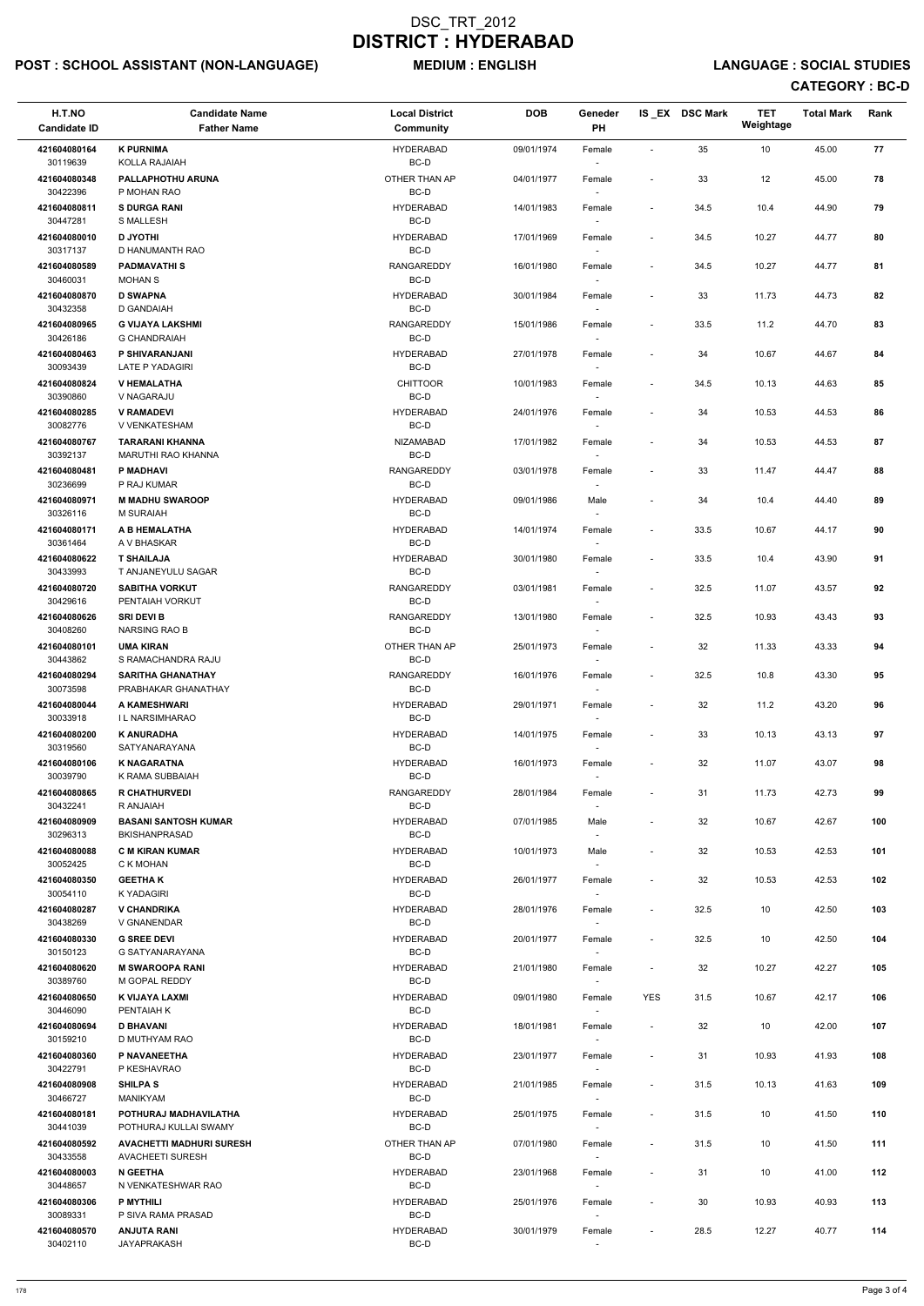# POST : SCHOOL ASSISTANT (NON-LANGUAGE) MEDIUM : ENGLISH LANGUAGE : SOCIAL STUDIES

| H.T.NO<br><b>Candidate ID</b> | <b>Candidate Name</b><br><b>Father Name</b>     | <b>Local District</b><br><b>Community</b> | <b>DOB</b> | Geneder<br>PH                      |                              | IS EX DSC Mark | <b>TET</b><br>Weightage | <b>Total Mark</b> | Rank |
|-------------------------------|-------------------------------------------------|-------------------------------------------|------------|------------------------------------|------------------------------|----------------|-------------------------|-------------------|------|
| 421604080164<br>30119639      | <b>K PURNIMA</b><br>KOLLA RAJAIAH               | <b>HYDERABAD</b><br>BC-D                  | 09/01/1974 | Female                             | $\sim$                       | 35             | 10                      | 45.00             | 77   |
| 421604080348<br>30422396      | PALLAPHOTHU ARUNA<br>P MOHAN RAO                | OTHER THAN AP<br>BC-D                     | 04/01/1977 | Female                             | $\overline{\phantom{a}}$     | 33             | 12                      | 45.00             | 78   |
| 421604080811<br>30447281      | <b>S DURGA RANI</b><br>S MALLESH                | <b>HYDERABAD</b><br>BC-D                  | 14/01/1983 | Female<br>$\sim$                   | $\overline{\phantom{a}}$     | 34.5           | 10.4                    | 44.90             | 79   |
| 421604080010                  | <b>D JYOTHI</b>                                 | <b>HYDERABAD</b>                          | 17/01/1969 | Female                             | $\blacksquare$               | 34.5           | 10.27                   | 44.77             | 80   |
| 30317137                      | D HANUMANTH RAO                                 | BC-D                                      |            | $\overline{\phantom{a}}$           |                              |                |                         |                   |      |
| 421604080589<br>30460031      | <b>PADMAVATHIS</b><br><b>MOHAN S</b>            | <b>RANGAREDDY</b><br>BC-D                 | 16/01/1980 | Female<br>$\overline{\phantom{a}}$ | $\overline{\phantom{a}}$     | 34.5           | 10.27                   | 44.77             | 81   |
| 421604080870                  | <b>D SWAPNA</b>                                 | <b>HYDERABAD</b>                          | 30/01/1984 | Female                             | $\overline{\phantom{a}}$     | 33             | 11.73                   | 44.73             | 82   |
| 30432358                      | D GANDAIAH                                      | BC-D                                      |            |                                    |                              |                |                         |                   |      |
| 421604080965<br>30426186      | <b>G VIJAYA LAKSHMI</b><br><b>G CHANDRAIAH</b>  | <b>RANGAREDDY</b><br>BC-D                 | 15/01/1986 | Female                             | $\blacksquare$               | 33.5           | 11.2                    | 44.70             | 83   |
| 421604080463                  | P SHIVARANJANI                                  | <b>HYDERABAD</b>                          | 27/01/1978 | Female                             | $\overline{\phantom{a}}$     | 34             | 10.67                   | 44.67             | 84   |
| 30093439<br>421604080824      | <b>LATE P YADAGIRI</b><br><b>V HEMALATHA</b>    | BC-D<br><b>CHITTOOR</b>                   | 10/01/1983 | $\overline{\phantom{a}}$<br>Female | $\overline{\phantom{a}}$     | 34.5           | 10.13                   | 44.63             | 85   |
| 30390860                      | V NAGARAJU                                      | BC-D                                      |            | $\overline{\phantom{a}}$           |                              |                |                         |                   |      |
| 421604080285<br>30082776      | <b>V RAMADEVI</b><br>V VENKATESHAM              | <b>HYDERABAD</b><br>BC-D                  | 24/01/1976 | Female                             | $\overline{\phantom{a}}$     | 34             | 10.53                   | 44.53             | 86   |
| 421604080767                  | <b>TARARANI KHANNA</b>                          | <b>NIZAMABAD</b>                          | 17/01/1982 | Female                             | $\sim$                       | 34             | 10.53                   | 44.53             | 87   |
| 30392137                      | MARUTHI RAO KHANNA                              | BC-D                                      |            |                                    |                              |                |                         |                   |      |
| 421604080481<br>30236699      | P MADHAVI<br>P RAJ KUMAR                        | <b>RANGAREDDY</b><br>BC-D                 | 03/01/1978 | Female<br>$\overline{\phantom{a}}$ | $\overline{\phantom{a}}$     | 33             | 11.47                   | 44.47             | 88   |
| 421604080971                  | <b>M MADHU SWAROOP</b>                          | <b>HYDERABAD</b>                          | 09/01/1986 | Male                               | $\overline{\phantom{a}}$     | 34             | 10.4                    | 44.40             | 89   |
| 30326116                      | M SURAIAH                                       | BC-D                                      |            | $\overline{\phantom{a}}$           |                              |                |                         |                   |      |
| 421604080171<br>30361464      | A B HEMALATHA<br>A V BHASKAR                    | <b>HYDERABAD</b><br>BC-D                  | 14/01/1974 | Female                             | $\overline{\phantom{a}}$     | 33.5           | 10.67                   | 44.17             | 90   |
| 421604080622                  | <b>T SHAILAJA</b>                               | <b>HYDERABAD</b>                          | 30/01/1980 | Female                             | $\blacksquare$               | 33.5           | 10.4                    | 43.90             | 91   |
| 30433993                      | T ANJANEYULU SAGAR                              | BC-D                                      |            |                                    |                              |                |                         |                   |      |
| 421604080720<br>30429616      | <b>SABITHA VORKUT</b><br>PENTAIAH VORKUT        | <b>RANGAREDDY</b><br>BC-D                 | 03/01/1981 | Female<br>$\overline{\phantom{a}}$ | $\sim$                       | 32.5           | 11.07                   | 43.57             | 92   |
| 421604080626                  | <b>SRI DEVI B</b>                               | <b>RANGAREDDY</b>                         | 13/01/1980 | Female                             | $\qquad \qquad \blacksquare$ | 32.5           | 10.93                   | 43.43             | 93   |
| 30408260<br>421604080101      | <b>NARSING RAO B</b><br><b>UMA KIRAN</b>        | BC-D<br>OTHER THAN AP                     | 25/01/1973 | Female                             | $\overline{\phantom{a}}$     | 32             | 11.33                   | 43.33             | 94   |
| 30443862                      | S RAMACHANDRA RAJU                              | BC-D                                      |            |                                    |                              |                |                         |                   |      |
| 421604080294<br>30073598      | <b>SARITHA GHANATHAY</b><br>PRABHAKAR GHANATHAY | <b>RANGAREDDY</b><br>BC-D                 | 16/01/1976 | Female<br>$\overline{\phantom{a}}$ | $\overline{\phantom{a}}$     | 32.5           | 10.8                    | 43.30             | 95   |
| 421604080044<br>30033918      | A KAMESHWARI<br><b>IL NARSIMHARAO</b>           | <b>HYDERABAD</b><br>BC-D                  | 29/01/1971 | Female                             | $\blacksquare$               | 32             | 11.2                    | 43.20             | 96   |
| 421604080200                  | <b>K ANURADHA</b>                               | <b>HYDERABAD</b>                          | 14/01/1975 | $\overline{\phantom{a}}$<br>Female | $\overline{\phantom{a}}$     | 33             | 10.13                   | 43.13             | 97   |
| 30319560                      | SATYANARAYANA                                   | BC-D                                      |            |                                    |                              |                |                         |                   | 98   |
| 421604080106<br>30039790      | <b>K NAGARATNA</b><br>K RAMA SUBBAIAH           | <b>HYDERABAD</b><br>BC-D                  | 16/01/1973 | Female                             | $\overline{\phantom{a}}$     | 32             | 11.07                   | 43.07             |      |
| 421604080865                  | <b>R CHATHURVEDI</b>                            | RANGAREDDY                                | 28/01/1984 | Female                             | $\overline{\phantom{a}}$     | 31             | 11.73                   | 42.73             | 99   |
| 30432241<br>421604080909      | R ANJAIAH<br><b>BASANI SANTOSH KUMAR</b>        | BC-D<br><b>HYDERABAD</b>                  | 07/01/1985 | $\overline{\phantom{a}}$<br>Male   | $\overline{\phantom{a}}$     | 32             | 10.67                   | 42.67             | 100  |
| 30296313                      | <b>BKISHANPRASAD</b>                            | BC-D                                      |            | $\overline{\phantom{a}}$           |                              |                |                         |                   |      |
| 421604080088                  | <b>C M KIRAN KUMAR</b>                          | <b>HYDERABAD</b>                          | 10/01/1973 | Male                               | $\overline{\phantom{a}}$     | 32             | 10.53                   | 42.53             | 101  |
| 30052425<br>421604080350      | C K MOHAN<br><b>GEETHAK</b>                     | BC-D<br><b>HYDERABAD</b>                  | 26/01/1977 | $\overline{\phantom{a}}$<br>Female | $\qquad \qquad \blacksquare$ | 32             | 10.53                   | 42.53             | 102  |
| 30054110                      | <b>K YADAGIRI</b>                               | BC-D                                      |            |                                    |                              |                |                         |                   |      |
| 421604080287<br>30438269      | <b>V CHANDRIKA</b><br>V GNANENDAR               | <b>HYDERABAD</b><br>BC-D                  | 28/01/1976 | Female                             | $\blacksquare$               | 32.5           | 10                      | 42.50             | 103  |
| 421604080330                  | <b>G SREE DEVI</b>                              | <b>HYDERABAD</b>                          | 20/01/1977 | Female                             | $\blacksquare$               | 32.5           | 10                      | 42.50             | 104  |
| 30150123<br>421604080620      | G SATYANARAYANA<br><b>M SWAROOPA RANI</b>       | BC-D<br><b>HYDERABAD</b>                  | 21/01/1980 | $\sim$                             | $\blacksquare$               | 32             | 10.27                   | 42.27             | 105  |
| 30389760                      | M GOPAL REDDY                                   | BC-D                                      |            | Female<br>$\sim$                   |                              |                |                         |                   |      |
| 421604080650                  | K VIJAYA LAXMI                                  | <b>HYDERABAD</b>                          | 09/01/1980 | Female                             | <b>YES</b>                   | 31.5           | 10.67                   | 42.17             | 106  |
| 30446090<br>421604080694      | PENTAIAH K<br><b>D BHAVANI</b>                  | BC-D<br><b>HYDERABAD</b>                  | 18/01/1981 | $\overline{\phantom{a}}$<br>Female | $\overline{\phantom{a}}$     | 32             | 10                      | 42.00             | 107  |
| 30159210                      | D MUTHYAM RAO                                   | BC-D                                      |            |                                    |                              |                |                         |                   |      |
| 421604080360                  | P NAVANEETHA                                    | <b>HYDERABAD</b>                          | 23/01/1977 | Female                             | $\overline{\phantom{a}}$     | 31             | 10.93                   | 41.93             | 108  |
| 30422791<br>421604080908      | P KESHAVRAO<br><b>SHILPA S</b>                  | BC-D<br><b>HYDERABAD</b>                  | 21/01/1985 | $\overline{\phantom{a}}$<br>Female |                              | 31.5           | 10.13                   | 41.63             | 109  |
| 30466727                      | <b>MANIKYAM</b>                                 | BC-D                                      |            | $\overline{\phantom{a}}$           |                              |                |                         |                   |      |
| 421604080181<br>30441039      | POTHURAJ MADHAVILATHA<br>POTHURAJ KULLAI SWAMY  | <b>HYDERABAD</b><br>BC-D                  | 25/01/1975 | Female<br>$\overline{\phantom{a}}$ | $\overline{\phantom{a}}$     | 31.5           | $10\,$                  | 41.50             | 110  |
| 421604080592                  | <b>AVACHETTI MADHURI SURESH</b>                 | OTHER THAN AP                             | 07/01/1980 | Female                             | $\overline{\phantom{a}}$     | 31.5           | 10                      | 41.50             | 111  |
| 30433558<br>421604080003      | <b>AVACHEETI SURESH</b><br><b>N GEETHA</b>      | BC-D<br><b>HYDERABAD</b>                  | 23/01/1968 | $\overline{\phantom{a}}$           |                              |                |                         | 41.00             | 112  |
| 30448657                      | N VENKATESHWAR RAO                              | BC-D                                      |            | Female<br>$\overline{\phantom{a}}$ | $\overline{\phantom{a}}$     | 31             | 10                      |                   |      |
| 421604080306<br>30089331      | P MYTHILI<br>P SIVA RAMA PRASAD                 | <b>HYDERABAD</b><br>BC-D                  | 25/01/1976 | Female<br>$\overline{\phantom{a}}$ | $\overline{\phantom{a}}$     | 30             | 10.93                   | 40.93             | 113  |
| 421604080570                  | <b>ANJUTA RANI</b>                              | <b>HYDERABAD</b>                          | 30/01/1979 | Female                             | $\overline{\phantom{a}}$     | 28.5           | 12.27                   | 40.77             | 114  |
| 30402110                      | <b>JAYAPRAKASH</b>                              | BC-D                                      |            | $\sim$                             |                              |                |                         |                   |      |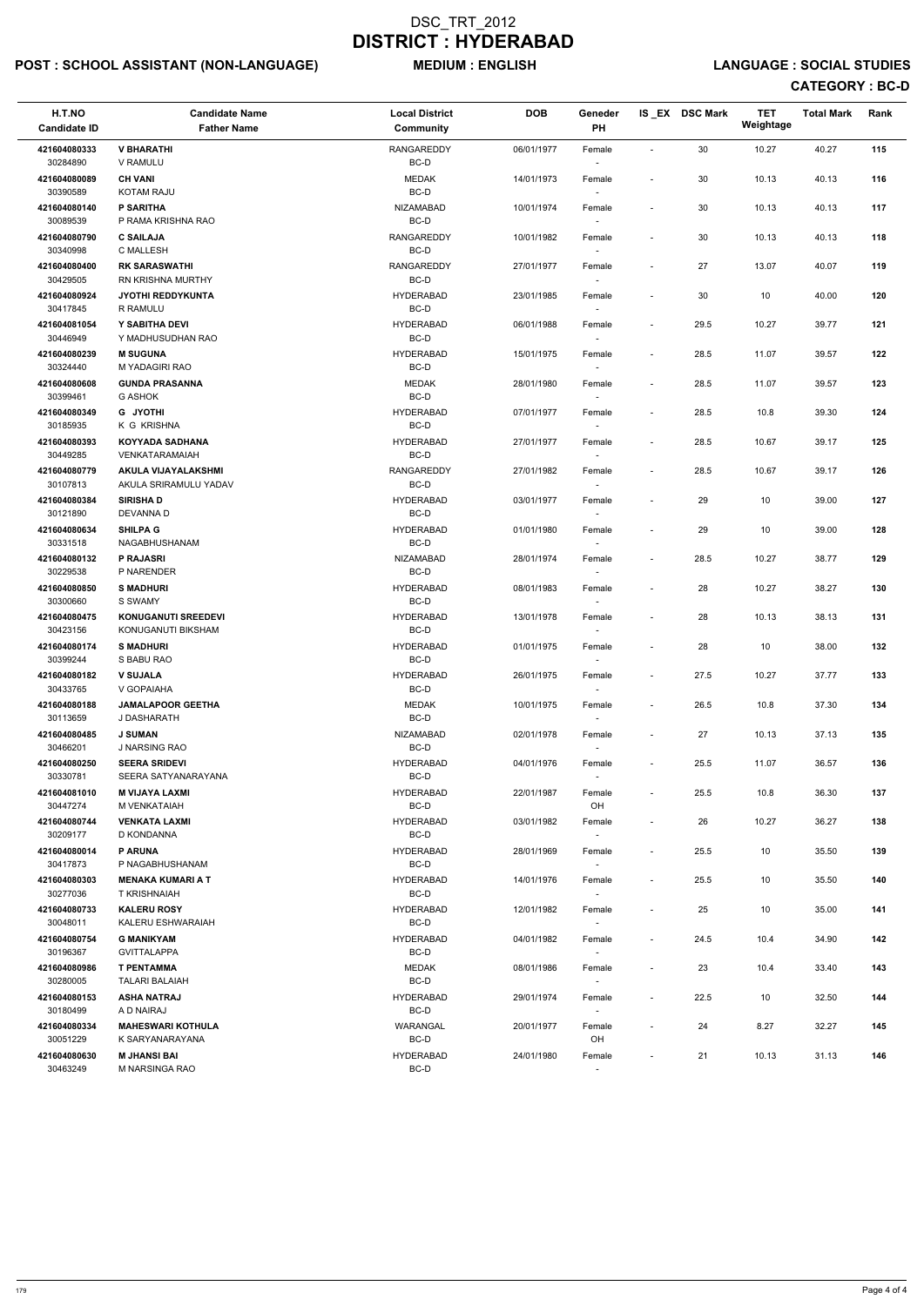# POST : SCHOOL ASSISTANT (NON-LANGUAGE) MEDIUM : ENGLISH LANGUAGE : SOCIAL STUDIES

| H.T.NO<br><b>Candidate ID</b> | <b>Candidate Name</b><br><b>Father Name</b>      | <b>Local District</b><br>Community | <b>DOB</b> | Geneder<br>PH                      |                          | IS EX DSC Mark | <b>TET</b><br>Weightage | <b>Total Mark</b> | Rank |
|-------------------------------|--------------------------------------------------|------------------------------------|------------|------------------------------------|--------------------------|----------------|-------------------------|-------------------|------|
| 421604080333<br>30284890      | <b>V BHARATHI</b><br>V RAMULU                    | RANGAREDDY<br>BC-D                 | 06/01/1977 | Female<br>$\overline{\phantom{a}}$ | $\blacksquare$           | 30             | 10.27                   | 40.27             | 115  |
| 421604080089<br>30390589      | <b>CH VANI</b><br><b>KOTAM RAJU</b>              | <b>MEDAK</b><br>BC-D               | 14/01/1973 | Female                             |                          | 30             | 10.13                   | 40.13             | 116  |
| 421604080140<br>30089539      | <b>P SARITHA</b><br>P RAMA KRISHNA RAO           | <b>NIZAMABAD</b><br>BC-D           | 10/01/1974 | Female                             | $\overline{\phantom{a}}$ | 30             | 10.13                   | 40.13             | 117  |
| 421604080790<br>30340998      | <b>C SAILAJA</b><br>C MALLESH                    | <b>RANGAREDDY</b><br>BC-D          | 10/01/1982 | Female<br>$\overline{\phantom{a}}$ | $\overline{\phantom{a}}$ | 30             | 10.13                   | 40.13             | 118  |
| 421604080400<br>30429505      | <b>RK SARASWATHI</b><br><b>RN KRISHNA MURTHY</b> | RANGAREDDY<br>BC-D                 | 27/01/1977 | Female<br>$\overline{\phantom{a}}$ | $\overline{\phantom{a}}$ | 27             | 13.07                   | 40.07             | 119  |
| 421604080924<br>30417845      | <b>JYOTHI REDDYKUNTA</b><br>R RAMULU             | <b>HYDERABAD</b><br>BC-D           | 23/01/1985 | Female<br>$\overline{\phantom{a}}$ | $\overline{\phantom{a}}$ | 30             | 10                      | 40.00             | 120  |
| 421604081054<br>30446949      | Y SABITHA DEVI<br>Y MADHUSUDHAN RAO              | <b>HYDERABAD</b><br>BC-D           | 06/01/1988 | Female                             | $\overline{\phantom{a}}$ | 29.5           | 10.27                   | 39.77             | 121  |
| 421604080239<br>30324440      | <b>M SUGUNA</b><br>M YADAGIRI RAO                | <b>HYDERABAD</b><br>BC-D           | 15/01/1975 | Female<br>$\overline{\phantom{a}}$ | $\overline{\phantom{a}}$ | 28.5           | 11.07                   | 39.57             | 122  |
| 421604080608<br>30399461      | <b>GUNDA PRASANNA</b><br><b>G ASHOK</b>          | <b>MEDAK</b><br>BC-D               | 28/01/1980 | Female<br>$\sim$                   | $\blacksquare$           | 28.5           | 11.07                   | 39.57             | 123  |
| 421604080349<br>30185935      | <b>G JYOTHI</b><br>K G KRISHNA                   | <b>HYDERABAD</b><br>BC-D           | 07/01/1977 | Female<br>$\overline{\phantom{a}}$ | $\overline{\phantom{a}}$ | 28.5           | 10.8                    | 39.30             | 124  |
| 421604080393<br>30449285      | <b>KOYYADA SADHANA</b><br>VENKATARAMAIAH         | <b>HYDERABAD</b><br>BC-D           | 27/01/1977 | Female                             | $\overline{a}$           | 28.5           | 10.67                   | 39.17             | 125  |
| 421604080779<br>30107813      | AKULA VIJAYALAKSHMI<br>AKULA SRIRAMULU YADAV     | <b>RANGAREDDY</b><br>BC-D          | 27/01/1982 | Female                             | $\overline{\phantom{a}}$ | 28.5           | 10.67                   | 39.17             | 126  |
| 421604080384<br>30121890      | <b>SIRISHAD</b><br>DEVANNA D                     | <b>HYDERABAD</b><br>BC-D           | 03/01/1977 | Female<br>$\overline{\phantom{a}}$ | $\overline{\phantom{a}}$ | 29             | 10                      | 39.00             | 127  |
| 421604080634<br>30331518      | <b>SHILPA G</b><br>NAGABHUSHANAM                 | <b>HYDERABAD</b><br>BC-D           | 01/01/1980 | Female<br>$\sim$                   | $\overline{\phantom{a}}$ | 29             | 10                      | 39.00             | 128  |
| 421604080132<br>30229538      | P RAJASRI<br>P NARENDER                          | <b>NIZAMABAD</b><br>BC-D           | 28/01/1974 | Female                             | $\overline{\phantom{a}}$ | 28.5           | 10.27                   | 38.77             | 129  |
| 421604080850<br>30300660      | <b>S MADHURI</b><br>S SWAMY                      | <b>HYDERABAD</b><br>BC-D           | 08/01/1983 | Female                             | $\overline{\phantom{a}}$ | 28             | 10.27                   | 38.27             | 130  |
| 421604080475<br>30423156      | <b>KONUGANUTI SREEDEVI</b><br>KONUGANUTI BIKSHAM | <b>HYDERABAD</b><br>BC-D           | 13/01/1978 | Female<br>$\sim$                   | $\overline{a}$           | 28             | 10.13                   | 38.13             | 131  |
| 421604080174<br>30399244      | <b>S MADHURI</b><br>S BABU RAO                   | <b>HYDERABAD</b><br>BC-D           | 01/01/1975 | Female                             |                          | 28             | 10                      | 38.00             | 132  |
| 421604080182<br>30433765      | <b>V SUJALA</b><br>V GOPAIAHA                    | <b>HYDERABAD</b><br>BC-D           | 26/01/1975 | Female                             | $\overline{\phantom{a}}$ | 27.5           | 10.27                   | 37.77             | 133  |
| 421604080188<br>30113659      | <b>JAMALAPOOR GEETHA</b><br>J DASHARATH          | <b>MEDAK</b><br>BC-D               | 10/01/1975 | Female<br>$\sim$                   | $\overline{\phantom{a}}$ | 26.5           | 10.8                    | 37.30             | 134  |
| 421604080485<br>30466201      | <b>J SUMAN</b><br>J NARSING RAO                  | <b>NIZAMABAD</b><br>BC-D           | 02/01/1978 | Female<br>$\sim$                   | $\overline{\phantom{a}}$ | 27             | 10.13                   | 37.13             | 135  |
| 421604080250<br>30330781      | <b>SEERA SRIDEVI</b><br>SEERA SATYANARAYANA      | <b>HYDERABAD</b><br>BC-D           | 04/01/1976 | Female<br>$\overline{\phantom{a}}$ | $\overline{\phantom{a}}$ | 25.5           | 11.07                   | 36.57             | 136  |
| 421604081010<br>30447274      | <b>M VIJAYA LAXMI</b><br>M VENKATAIAH            | <b>HYDERABAD</b><br>BC-D           | 22/01/1987 | Female<br>OH                       | $\overline{\phantom{a}}$ | 25.5           | 10.8                    | 36.30             | 137  |
| 421604080744<br>30209177      | <b>VENKATA LAXMI</b><br>D KONDANNA               | <b>HYDERABAD</b><br>BC-D           | 03/01/1982 | Female<br>$\sim$                   | $\blacksquare$           | 26             | 10.27                   | 36.27             | 138  |
| 421604080014<br>30417873      | <b>P ARUNA</b><br>P NAGABHUSHANAM                | <b>HYDERABAD</b><br>BC-D           | 28/01/1969 | Female<br>$\sim$                   |                          | 25.5           | 10                      | 35.50             | 139  |
| 421604080303<br>30277036      | <b>MENAKA KUMARI A T</b><br><b>T KRISHNAIAH</b>  | <b>HYDERABAD</b><br>BC-D           | 14/01/1976 | Female<br>$\overline{\phantom{a}}$ | $\overline{\phantom{a}}$ | 25.5           | 10                      | 35.50             | 140  |
| 421604080733<br>30048011      | <b>KALERU ROSY</b><br>KALERU ESHWARAIAH          | <b>HYDERABAD</b><br>BC-D           | 12/01/1982 | Female                             | $\overline{\phantom{a}}$ | 25             | 10                      | 35.00             | 141  |
| 421604080754<br>30196367      | <b>G MANIKYAM</b><br><b>GVITTALAPPA</b>          | <b>HYDERABAD</b><br>BC-D           | 04/01/1982 | Female<br>$\overline{\phantom{a}}$ | $\overline{\phantom{a}}$ | 24.5           | 10.4                    | 34.90             | 142  |
| 421604080986<br>30280005      | <b>T PENTAMMA</b><br><b>TALARI BALAIAH</b>       | <b>MEDAK</b><br>$BC-D$             | 08/01/1986 | Female<br>$\sim$                   |                          | 23             | 10.4                    | 33.40             | 143  |

| 421604080153 | <b>ASHA NATRAJ</b>       | <b>HYDERABAD</b> | 29/01/1974 | Female                   |                          | 22.5 | 10    | 32.50 | 144 |
|--------------|--------------------------|------------------|------------|--------------------------|--------------------------|------|-------|-------|-----|
| 30180499     | A D NAIRAJ               | BC-D             |            | -                        |                          |      |       |       |     |
| 421604080334 | <b>MAHESWARI KOTHULA</b> | WARANGAL         | 20/01/1977 | Female                   | $\overline{\phantom{0}}$ | 24   | 8.27  | 32.27 | 145 |
| 30051229     | K SARYANARAYANA          | BC-D             |            | OH                       |                          |      |       |       |     |
| 421604080630 | <b>M JHANSI BAI</b>      | <b>HYDERABAD</b> | 24/01/1980 | Female                   | -                        | 21   | 10.13 | 31.13 | 146 |
| 30463249     | M NARSINGA RAO           | BC-D             |            | $\overline{\phantom{a}}$ |                          |      |       |       |     |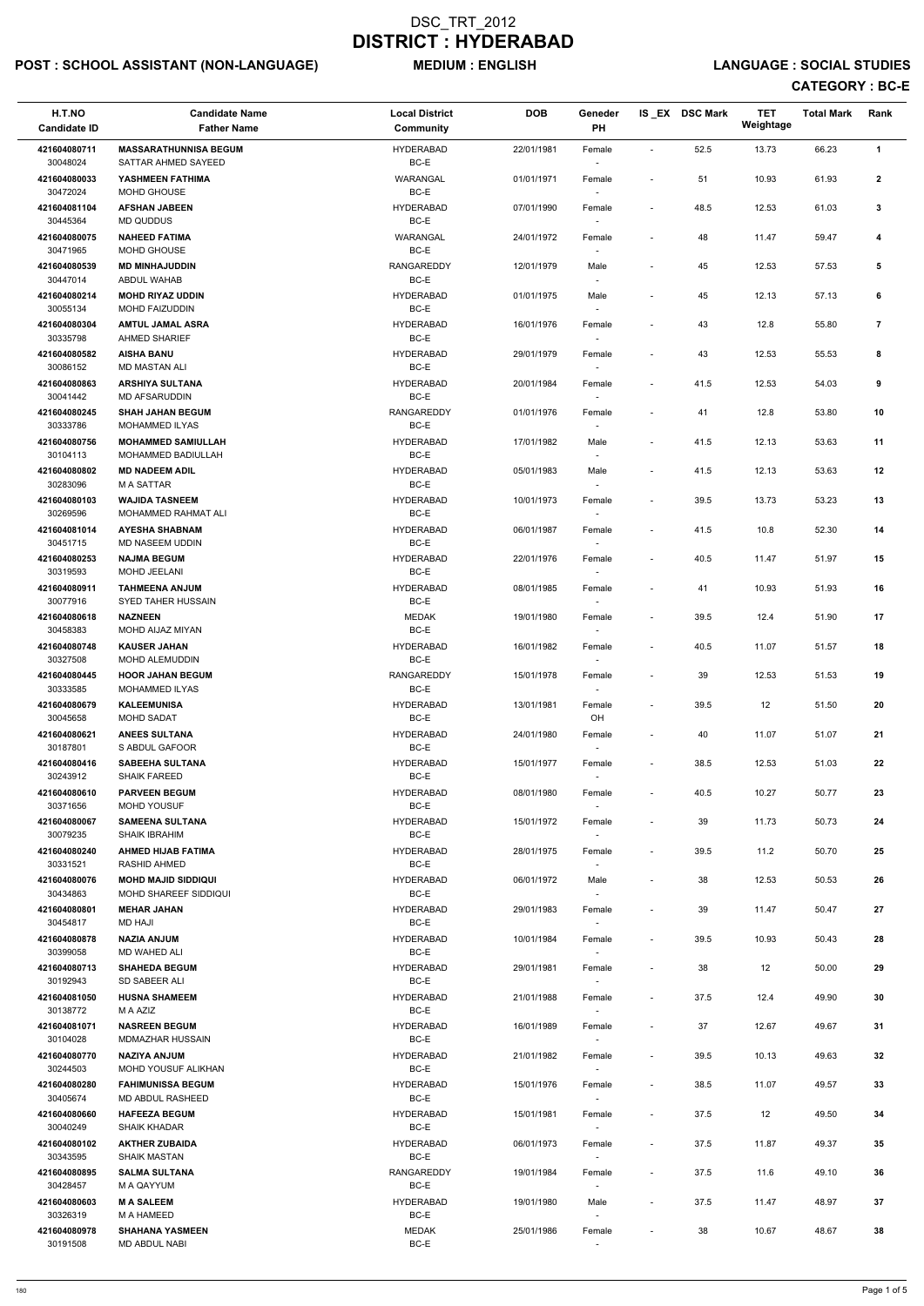# POST : SCHOOL ASSISTANT (NON-LANGUAGE) MEDIUM : ENGLISH LANGUAGE : SOCIAL STUDIES

| H.T.NO<br><b>Candidate ID</b> | <b>Candidate Name</b><br><b>Father Name</b>                | <b>Local District</b><br>Community | <b>DOB</b> | Geneder<br>PH                      |                              | IS EX DSC Mark | <b>TET</b><br>Weightage | <b>Total Mark</b> | Rank           |  |
|-------------------------------|------------------------------------------------------------|------------------------------------|------------|------------------------------------|------------------------------|----------------|-------------------------|-------------------|----------------|--|
| 421604080711                  | <b>MASSARATHUNNISA BEGUM</b>                               | <b>HYDERABAD</b>                   | 22/01/1981 | Female                             | $\sim$                       | 52.5           | 13.73                   | 66.23             | 1              |  |
| 30048024                      | SATTAR AHMED SAYEED                                        | BC-E                               |            |                                    |                              |                |                         |                   |                |  |
| 421604080033<br>30472024      | YASHMEEN FATHIMA<br>MOHD GHOUSE                            | WARANGAL<br>BC-E                   | 01/01/1971 | Female                             | $\overline{\phantom{a}}$     | 51             | 10.93                   | 61.93             | $\mathbf{2}$   |  |
| 421604081104<br>30445364      | <b>AFSHAN JABEEN</b><br>MD QUDDUS                          | <b>HYDERABAD</b><br>BC-E           | 07/01/1990 | Female                             | $\overline{\phantom{a}}$     | 48.5           | 12.53                   | 61.03             | 3              |  |
| 421604080075<br>30471965      | <b>NAHEED FATIMA</b><br>MOHD GHOUSE                        | WARANGAL<br>BC-E                   | 24/01/1972 | Female                             |                              | 48             | 11.47                   | 59.47             | 4              |  |
| 421604080539<br>30447014      | <b>MD MINHAJUDDIN</b><br>ABDUL WAHAB                       | <b>RANGAREDDY</b><br>BC-E          | 12/01/1979 | Male                               | $\overline{\phantom{a}}$     | 45             | 12.53                   | 57.53             | 5              |  |
| 421604080214<br>30055134      | <b>MOHD RIYAZ UDDIN</b><br>MOHD FAIZUDDIN                  | <b>HYDERABAD</b><br>BC-E           | 01/01/1975 | Male                               | $\overline{\phantom{a}}$     | 45             | 12.13                   | 57.13             | 6              |  |
| 421604080304<br>30335798      | <b>AMTUL JAMAL ASRA</b><br>AHMED SHARIEF                   | <b>HYDERABAD</b><br>BC-E           | 16/01/1976 | Female                             | $\overline{\phantom{a}}$     | 43             | 12.8                    | 55.80             | $\overline{7}$ |  |
| 421604080582<br>30086152      | <b>AISHA BANU</b><br><b>MD MASTAN ALI</b>                  | <b>HYDERABAD</b><br>BC-E           | 29/01/1979 | Female                             | $\overline{\phantom{a}}$     | 43             | 12.53                   | 55.53             | 8              |  |
| 421604080863<br>30041442      | <b>ARSHIYA SULTANA</b><br><b>MD AFSARUDDIN</b>             | <b>HYDERABAD</b><br>BC-E           | 20/01/1984 | Female                             | $\overline{\phantom{a}}$     | 41.5           | 12.53                   | 54.03             | 9              |  |
| 421604080245                  | <b>SHAH JAHAN BEGUM</b>                                    | <b>RANGAREDDY</b>                  | 01/01/1976 | Female                             | $\overline{\phantom{a}}$     | 41             | 12.8                    | 53.80             | 10             |  |
| 30333786<br>421604080756      | <b>MOHAMMED ILYAS</b><br><b>MOHAMMED SAMIULLAH</b>         | BC-E<br><b>HYDERABAD</b>           | 17/01/1982 | $\overline{\phantom{a}}$<br>Male   | $\overline{\phantom{a}}$     | 41.5           | 12.13                   | 53.63             | 11             |  |
| 30104113                      | MOHAMMED BADIULLAH                                         | BC-E                               |            |                                    |                              |                |                         |                   |                |  |
| 421604080802<br>30283096      | <b>MD NADEEM ADIL</b><br><b>MA SATTAR</b>                  | <b>HYDERABAD</b><br>BC-E           | 05/01/1983 | Male                               | $\overline{\phantom{a}}$     | 41.5           | 12.13                   | 53.63             | 12             |  |
| 421604080103<br>30269596      | <b>WAJIDA TASNEEM</b><br>MOHAMMED RAHMAT ALI               | <b>HYDERABAD</b><br>BC-E           | 10/01/1973 | Female<br>$\sim$                   | $\overline{\phantom{a}}$     | 39.5           | 13.73                   | 53.23             | 13             |  |
| 421604081014                  | <b>AYESHA SHABNAM</b>                                      | <b>HYDERABAD</b>                   | 06/01/1987 | Female                             | $\overline{\phantom{a}}$     | 41.5           | 10.8                    | 52.30             | 14             |  |
| 30451715<br>421604080253      | <b>MD NASEEM UDDIN</b><br><b>NAJMA BEGUM</b>               | BC-E<br><b>HYDERABAD</b>           | 22/01/1976 | Female                             | $\overline{\phantom{a}}$     | 40.5           | 11.47                   | 51.97             | 15             |  |
| 30319593<br>421604080911      | MOHD JEELANI<br><b>TAHMEENA ANJUM</b>                      | BC-E<br><b>HYDERABAD</b>           | 08/01/1985 | Female                             | $\overline{\phantom{a}}$     | 41             | 10.93                   | 51.93             | 16             |  |
| 30077916<br>421604080618      | SYED TAHER HUSSAIN<br><b>NAZNEEN</b>                       | BC-E<br><b>MEDAK</b>               | 19/01/1980 | Female                             | $\overline{\phantom{a}}$     | 39.5           | 12.4                    | 51.90             | 17             |  |
| 30458383<br>421604080748      | MOHD AIJAZ MIYAN<br><b>KAUSER JAHAN</b>                    | BC-E<br><b>HYDERABAD</b>           | 16/01/1982 | $\sim$<br>Female                   | $\overline{\phantom{a}}$     | 40.5           | 11.07                   | 51.57             | 18             |  |
| 30327508                      | <b>MOHD ALEMUDDIN</b>                                      | BC-E                               |            |                                    |                              |                |                         |                   |                |  |
| 421604080445<br>30333585      | <b>HOOR JAHAN BEGUM</b><br><b>MOHAMMED ILYAS</b>           | RANGAREDDY<br>BC-E                 | 15/01/1978 | Female                             | $\overline{\phantom{a}}$     | 39             | 12.53                   | 51.53             | 19             |  |
| 421604080679<br>30045658      | <b>KALEEMUNISA</b><br><b>MOHD SADAT</b>                    | <b>HYDERABAD</b><br>BC-E           | 13/01/1981 | Female<br>OH                       | $\overline{\phantom{a}}$     | 39.5           | 12                      | 51.50             | 20             |  |
| 421604080621<br>30187801      | <b>ANEES SULTANA</b><br>S ABDUL GAFOOR                     | <b>HYDERABAD</b><br>BC-E           | 24/01/1980 | Female<br>$\sim$                   | $\overline{\phantom{a}}$     | 40             | 11.07                   | 51.07             | 21             |  |
| 421604080416                  | <b>SABEEHA SULTANA</b>                                     | <b>HYDERABAD</b>                   | 15/01/1977 | Female                             | $\overline{\phantom{a}}$     | 38.5           | 12.53                   | 51.03             | 22             |  |
| 30243912<br>421604080610      | <b>SHAIK FAREED</b><br><b>PARVEEN BEGUM</b>                | BC-E<br><b>HYDERABAD</b>           | 08/01/1980 | $\overline{\phantom{a}}$<br>Female | $\overline{\phantom{a}}$     | 40.5           | 10.27                   | 50.77             | 23             |  |
| 30371656                      | <b>MOHD YOUSUF</b>                                         | BC-E                               |            |                                    |                              |                |                         |                   |                |  |
| 421604080067<br>30079235      | <b>SAMEENA SULTANA</b><br><b>SHAIK IBRAHIM</b>             | <b>HYDERABAD</b><br>BC-E           | 15/01/1972 | Female                             | $\sim$                       | 39             | 11.73                   | 50.73             | 24             |  |
| 421604080240<br>30331521      | <b>AHMED HIJAB FATIMA</b><br>RASHID AHMED                  | <b>HYDERABAD</b><br>BC-E           | 28/01/1975 | Female<br>$\overline{\phantom{a}}$ | $\overline{\phantom{a}}$     | 39.5           | 11.2                    | 50.70             | 25             |  |
| 421604080076<br>30434863      | <b>MOHD MAJID SIDDIQUI</b><br><b>MOHD SHAREEF SIDDIQUI</b> | <b>HYDERABAD</b><br>BC-E           | 06/01/1972 | Male<br>$\sim$                     | $\overline{\phantom{a}}$     | 38             | 12.53                   | 50.53             | 26             |  |
| 421604080801<br>30454817      | <b>MEHAR JAHAN</b><br><b>MD HAJI</b>                       | <b>HYDERABAD</b><br>BC-E           | 29/01/1983 | Female                             | $\overline{\phantom{a}}$     | 39             | 11.47                   | 50.47             | 27             |  |
| 421604080878                  | <b>NAZIA ANJUM</b>                                         | <b>HYDERABAD</b>                   | 10/01/1984 | Female                             | $\overline{\phantom{a}}$     | 39.5           | 10.93                   | 50.43             | 28             |  |
| 30399058<br>421604080713      | MD WAHED ALI<br><b>SHAHEDA BEGUM</b>                       | BC-E<br><b>HYDERABAD</b>           | 29/01/1981 | Female                             | $\overline{\phantom{a}}$     | 38             | 12                      | 50.00             | 29             |  |
| 30192943                      | <b>SD SABEER ALI</b>                                       | BC-E                               |            | $\sim$                             |                              |                |                         |                   |                |  |
| 421604081050<br>30138772      | <b>HUSNA SHAMEEM</b><br>M A AZIZ                           | <b>HYDERABAD</b><br>BC-E           | 21/01/1988 | Female<br>$\sim$                   | $\overline{\phantom{a}}$     | 37.5           | 12.4                    | 49.90             | 30             |  |
| 421604081071<br>30104028      | <b>NASREEN BEGUM</b><br><b>MDMAZHAR HUSSAIN</b>            | <b>HYDERABAD</b><br>BC-E           | 16/01/1989 | Female<br>$\overline{\phantom{a}}$ | $\overline{\phantom{a}}$     | 37             | 12.67                   | 49.67             | 31             |  |
| 421604080770                  | <b>NAZIYA ANJUM</b>                                        | <b>HYDERABAD</b>                   | 21/01/1982 | Female                             | $\overline{\phantom{a}}$     | 39.5           | 10.13                   | 49.63             | 32             |  |
| 30244503<br>421604080280      | MOHD YOUSUF ALIKHAN<br><b>FAHIMUNISSA BEGUM</b>            | BC-E<br><b>HYDERABAD</b>           | 15/01/1976 | Female                             | $\sim$                       | 38.5           | 11.07                   | 49.57             | 33             |  |
| 30405674                      | MD ABDUL RASHEED                                           | BC-E                               |            | $\sim$                             |                              |                |                         |                   |                |  |
| 421604080660<br>30040249      | <b>HAFEEZA BEGUM</b><br><b>SHAIK KHADAR</b>                | <b>HYDERABAD</b><br>BC-E           | 15/01/1981 | Female                             | $\qquad \qquad \blacksquare$ | 37.5           | 12                      | 49.50             | 34             |  |
| 421604080102<br>30343595      | <b>AKTHER ZUBAIDA</b><br><b>SHAIK MASTAN</b>               | <b>HYDERABAD</b><br>BC-E           | 06/01/1973 | Female<br>$\overline{\phantom{a}}$ | $\overline{\phantom{a}}$     | 37.5           | 11.87                   | 49.37             | 35             |  |
| 421604080895<br>30428457      | <b>SALMA SULTANA</b><br>M A QAYYUM                         | RANGAREDDY<br>BC-E                 | 19/01/1984 | Female<br>$\overline{\phantom{a}}$ | $\overline{\phantom{a}}$     | 37.5           | 11.6                    | 49.10             | 36             |  |
| 421604080603                  | <b>M A SALEEM</b>                                          | <b>HYDERABAD</b>                   | 19/01/1980 | Male                               | $\overline{\phantom{a}}$     | 37.5           | 11.47                   | 48.97             | 37             |  |
| 30326319<br>421604080978      | M A HAMEED<br><b>SHAHANA YASMEEN</b>                       | BC-E<br><b>MEDAK</b>               | 25/01/1986 | $\sim$<br>Female                   | $\overline{\phantom{a}}$     | 38             | 10.67                   | 48.67             | 38             |  |
| 30191508                      | MD ABDUL NABI                                              | BC-E                               |            | $\sim$                             |                              |                |                         |                   |                |  |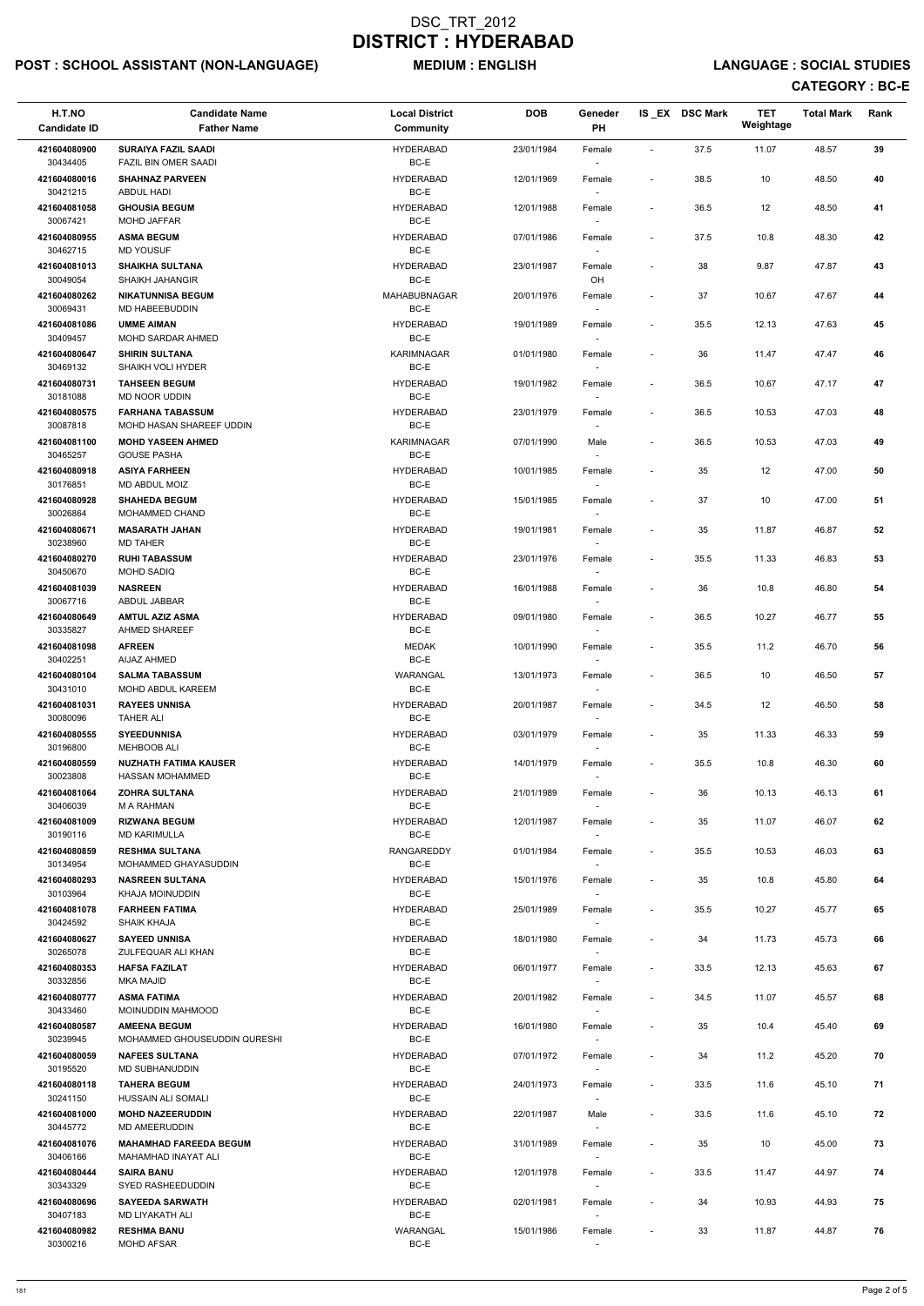# POST : SCHOOL ASSISTANT (NON-LANGUAGE) MEDIUM : ENGLISH LANGUAGE : SOCIAL STUDIES

| H.T.NO<br><b>Candidate ID</b>        | <b>Candidate Name</b><br><b>Father Name</b>                  | <b>Local District</b><br><b>Community</b> | <b>DOB</b> | Geneder<br>PH                                                  |                              | IS EX DSC Mark | <b>TET</b><br>Weightage | <b>Total Mark</b> | Rank |
|--------------------------------------|--------------------------------------------------------------|-------------------------------------------|------------|----------------------------------------------------------------|------------------------------|----------------|-------------------------|-------------------|------|
| 421604080900<br>30434405             | <b>SURAIYA FAZIL SAADI</b><br>FAZIL BIN OMER SAADI           | <b>HYDERABAD</b><br>BC-E                  | 23/01/1984 | Female                                                         | $\blacksquare$               | 37.5           | 11.07                   | 48.57             | 39   |
| 421604080016                         | <b>SHAHNAZ PARVEEN</b>                                       | <b>HYDERABAD</b><br>BC-E                  | 12/01/1969 | Female                                                         | $\overline{\phantom{a}}$     | 38.5           | 10                      | 48.50             | 40   |
| 30421215<br>421604081058<br>30067421 | ABDUL HADI<br><b>GHOUSIA BEGUM</b><br><b>MOHD JAFFAR</b>     | <b>HYDERABAD</b><br>BC-E                  | 12/01/1988 | Female                                                         | $\overline{\phantom{a}}$     | 36.5           | 12                      | 48.50             | 41   |
| 421604080955                         | <b>ASMA BEGUM</b>                                            | <b>HYDERABAD</b>                          | 07/01/1986 | Female                                                         | $\overline{\phantom{a}}$     | 37.5           | 10.8                    | 48.30             | 42   |
| 30462715<br>421604081013             | <b>MD YOUSUF</b><br><b>SHAIKHA SULTANA</b>                   | BC-E<br><b>HYDERABAD</b>                  | 23/01/1987 | Female                                                         | $\overline{\phantom{a}}$     | 38             | 9.87                    | 47.87             | 43   |
| 30049054                             | <b>SHAIKH JAHANGIR</b>                                       | BC-E                                      |            | OH                                                             |                              |                |                         |                   |      |
| 421604080262<br>30069431             | <b>NIKATUNNISA BEGUM</b><br>MD HABEEBUDDIN                   | MAHABUBNAGAR<br>BC-E                      | 20/01/1976 | Female                                                         | $\overline{\phantom{a}}$     | 37             | 10.67                   | 47.67             | 44   |
| 421604081086<br>30409457             | <b>UMME AIMAN</b><br>MOHD SARDAR AHMED                       | <b>HYDERABAD</b><br>BC-E                  | 19/01/1989 | Female                                                         | $\overline{\phantom{a}}$     | 35.5           | 12.13                   | 47.63             | 45   |
| 421604080647<br>30469132             | <b>SHIRIN SULTANA</b><br>SHAIKH VOLI HYDER                   | <b>KARIMNAGAR</b><br>BC-E                 | 01/01/1980 | Female<br>$\sim$                                               | $\qquad \qquad \blacksquare$ | 36             | 11.47                   | 47.47             | 46   |
| 421604080731<br>30181088             | <b>TAHSEEN BEGUM</b><br>MD NOOR UDDIN                        | <b>HYDERABAD</b><br>BC-E                  | 19/01/1982 | Female<br>$\overline{\phantom{a}}$                             | $\overline{\phantom{a}}$     | 36.5           | 10.67                   | 47.17             | 47   |
| 421604080575<br>30087818             | <b>FARHANA TABASSUM</b><br>MOHD HASAN SHAREEF UDDIN          | <b>HYDERABAD</b><br>BC-E                  | 23/01/1979 | Female                                                         | $\overline{\phantom{a}}$     | 36.5           | 10.53                   | 47.03             | 48   |
| 421604081100                         | <b>MOHD YASEEN AHMED</b>                                     | <b>KARIMNAGAR</b>                         | 07/01/1990 | Male                                                           | $\overline{\phantom{a}}$     | 36.5           | 10.53                   | 47.03             | 49   |
| 30465257<br>421604080918             | <b>GOUSE PASHA</b><br><b>ASIYA FARHEEN</b>                   | BC-E<br><b>HYDERABAD</b>                  | 10/01/1985 | Female                                                         | $\overline{\phantom{a}}$     | 35             | 12                      | 47.00             | 50   |
| 30176851                             | MD ABDUL MOIZ                                                | BC-E                                      |            |                                                                |                              |                |                         |                   |      |
| 421604080928<br>30026864             | <b>SHAHEDA BEGUM</b><br>MOHAMMED CHAND                       | <b>HYDERABAD</b><br>BC-E                  | 15/01/1985 | Female                                                         | $\qquad \qquad \blacksquare$ | 37             | 10                      | 47.00             | 51   |
| 421604080671                         | <b>MASARATH JAHAN</b>                                        | <b>HYDERABAD</b>                          | 19/01/1981 | Female                                                         | $\overline{\phantom{a}}$     | 35             | 11.87                   | 46.87             | 52   |
| 30238960<br>421604080270<br>30450670 | <b>MD TAHER</b><br><b>RUHI TABASSUM</b><br><b>MOHD SADIQ</b> | BC-E<br><b>HYDERABAD</b><br>BC-E          | 23/01/1976 | Female                                                         | $\overline{\phantom{a}}$     | 35.5           | 11.33                   | 46.83             | 53   |
| 421604081039                         | <b>NASREEN</b>                                               | <b>HYDERABAD</b>                          | 16/01/1988 | Female                                                         | $\overline{\phantom{a}}$     | 36             | 10.8                    | 46.80             | 54   |
| 30067716<br>421604080649<br>30335827 | ABDUL JABBAR<br><b>AMTUL AZIZ ASMA</b><br>AHMED SHAREEF      | BC-E<br><b>HYDERABAD</b><br>BC-E          | 09/01/1980 | $\overline{\phantom{a}}$<br>Female<br>$\overline{\phantom{a}}$ | $\overline{\phantom{a}}$     | 36.5           | 10.27                   | 46.77             | 55   |
| 421604081098                         | <b>AFREEN</b>                                                | <b>MEDAK</b>                              | 10/01/1990 | Female                                                         | $\overline{\phantom{a}}$     | 35.5           | 11.2                    | 46.70             | 56   |
| 30402251<br>421604080104             | AIJAZ AHMED<br><b>SALMA TABASSUM</b>                         | BC-E<br>WARANGAL                          | 13/01/1973 | Female                                                         | $\overline{\phantom{a}}$     | 36.5           | 10                      | 46.50             | 57   |
| 30431010<br>421604081031             | MOHD ABDUL KAREEM<br><b>RAYEES UNNISA</b>                    | BC-E<br><b>HYDERABAD</b>                  | 20/01/1987 | $\sim$<br>Female                                               | $\overline{\phantom{a}}$     | 34.5           | 12                      | 46.50             | 58   |
| 30080096                             | <b>TAHER ALI</b>                                             | BC-E                                      |            |                                                                |                              |                |                         |                   |      |
| 421604080555<br>30196800             | <b>SYEEDUNNISA</b><br><b>MEHBOOB ALI</b>                     | <b>HYDERABAD</b><br>BC-E                  | 03/01/1979 | Female<br>$\sim$                                               | $\overline{\phantom{a}}$     | 35             | 11.33                   | 46.33             | 59   |
| 421604080559<br>30023808             | <b>NUZHATH FATIMA KAUSER</b><br>HASSAN MOHAMMED              | <b>HYDERABAD</b><br>BC-E                  | 14/01/1979 | Female                                                         | $\qquad \qquad \blacksquare$ | 35.5           | 10.8                    | 46.30             | 60   |
| 421604081064<br>30406039             | <b>ZOHRA SULTANA</b><br>M A RAHMAN                           | <b>HYDERABAD</b><br>BC-E                  | 21/01/1989 | Female                                                         | $\overline{\phantom{a}}$     | 36             | 10.13                   | 46.13             | 61   |
| 421604081009<br>30190116             | <b>RIZWANA BEGUM</b><br><b>MD KARIMULLA</b>                  | <b>HYDERABAD</b><br>BC-E                  | 12/01/1987 | Female<br>$\sim$                                               | $\qquad \qquad \blacksquare$ | 35             | 11.07                   | 46.07             | 62   |
| 421604080859<br>30134954             | <b>RESHMA SULTANA</b><br>MOHAMMED GHAYASUDDIN                | RANGAREDDY<br>BC-E                        | 01/01/1984 | Female<br>$\sim$                                               | $\overline{\phantom{a}}$     | 35.5           | 10.53                   | 46.03             | 63   |
| 421604080293<br>30103964             | <b>NASREEN SULTANA</b><br>KHAJA MOINUDDIN                    | <b>HYDERABAD</b><br>BC-E                  | 15/01/1976 | Female                                                         | $\qquad \qquad \blacksquare$ | 35             | 10.8                    | 45.80             | 64   |
| 421604081078                         | <b>FARHEEN FATIMA</b>                                        | <b>HYDERABAD</b>                          | 25/01/1989 | Female                                                         | $\overline{\phantom{a}}$     | 35.5           | 10.27                   | 45.77             | 65   |
| 30424592<br>421604080627             | SHAIK KHAJA<br><b>SAYEED UNNISA</b>                          | BC-E<br><b>HYDERABAD</b><br>BC-E          | 18/01/1980 | Female                                                         | $\overline{\phantom{a}}$     | 34             | 11.73                   | 45.73             | 66   |
| 30265078<br>421604080353             | ZULFEQUAR ALI KHAN<br><b>HAFSA FAZILAT</b>                   | <b>HYDERABAD</b>                          | 06/01/1977 | $\sim$<br>Female                                               | $\overline{\phantom{a}}$     | 33.5           | 12.13                   | 45.63             | 67   |
| 30332856<br>421604080777             | <b>MKA MAJID</b><br><b>ASMA FATIMA</b>                       | BC-E<br><b>HYDERABAD</b>                  | 20/01/1982 |                                                                | $\overline{\phantom{a}}$     | 34.5           | 11.07                   | 45.57             | 68   |
| 30433460                             | <b>MOINUDDIN MAHMOOD</b>                                     | BC-E                                      |            | Female<br>$\sim$                                               |                              |                |                         |                   |      |
| 421604080587<br>30239945             | <b>AMEENA BEGUM</b><br>MOHAMMED GHOUSEUDDIN QURESHI          | <b>HYDERABAD</b><br>BC-E                  | 16/01/1980 | Female                                                         | $\qquad \qquad \blacksquare$ | 35             | 10.4                    | 45.40             | 69   |
| 421604080059                         | <b>NAFEES SULTANA</b>                                        | <b>HYDERABAD</b>                          | 07/01/1972 | Female                                                         | $\overline{\phantom{a}}$     | 34             | 11.2                    | 45.20             | 70   |
| 30195520<br>421604080118             | MD SUBHANUDDIN<br><b>TAHERA BEGUM</b>                        | BC-E<br><b>HYDERABAD</b>                  | 24/01/1973 | Female                                                         | $\overline{\phantom{a}}$     | 33.5           | 11.6                    | 45.10             | 71   |
| 30241150                             | HUSSAIN ALI SOMALI                                           | BC-E                                      |            | $\overline{\phantom{a}}$                                       |                              |                |                         |                   |      |
| 421604081000<br>30445772             | <b>MOHD NAZEERUDDIN</b><br>MD AMEERUDDIN                     | <b>HYDERABAD</b><br>BC-E                  | 22/01/1987 | Male                                                           | $\overline{\phantom{a}}$     | 33.5           | 11.6                    | 45.10             | 72   |
| 421604081076<br>30406166             | <b>MAHAMHAD FAREEDA BEGUM</b><br>MAHAMHAD INAYAT ALI         | <b>HYDERABAD</b><br>BC-E                  | 31/01/1989 | Female<br>$\sim$                                               | $\overline{\phantom{a}}$     | 35             | 10                      | 45.00             | 73   |
| 421604080444<br>30343329             | <b>SAIRA BANU</b><br>SYED RASHEEDUDDIN                       | <b>HYDERABAD</b><br>BC-E                  | 12/01/1978 | Female<br>$\overline{\phantom{a}}$                             | $\overline{\phantom{a}}$     | 33.5           | 11.47                   | 44.97             | 74   |
| 421604080696<br>30407183             | <b>SAYEEDA SARWATH</b><br>MD LIYAKATH ALI                    | <b>HYDERABAD</b><br>BC-E                  | 02/01/1981 | Female<br>$\sim$                                               | $\overline{\phantom{a}}$     | 34             | 10.93                   | 44.93             | 75   |
| 421604080982<br>30300216             | <b>RESHMA BANU</b><br><b>MOHD AFSAR</b>                      | WARANGAL<br>BC-E                          | 15/01/1986 | Female                                                         |                              | 33             | 11.87                   | 44.87             | 76   |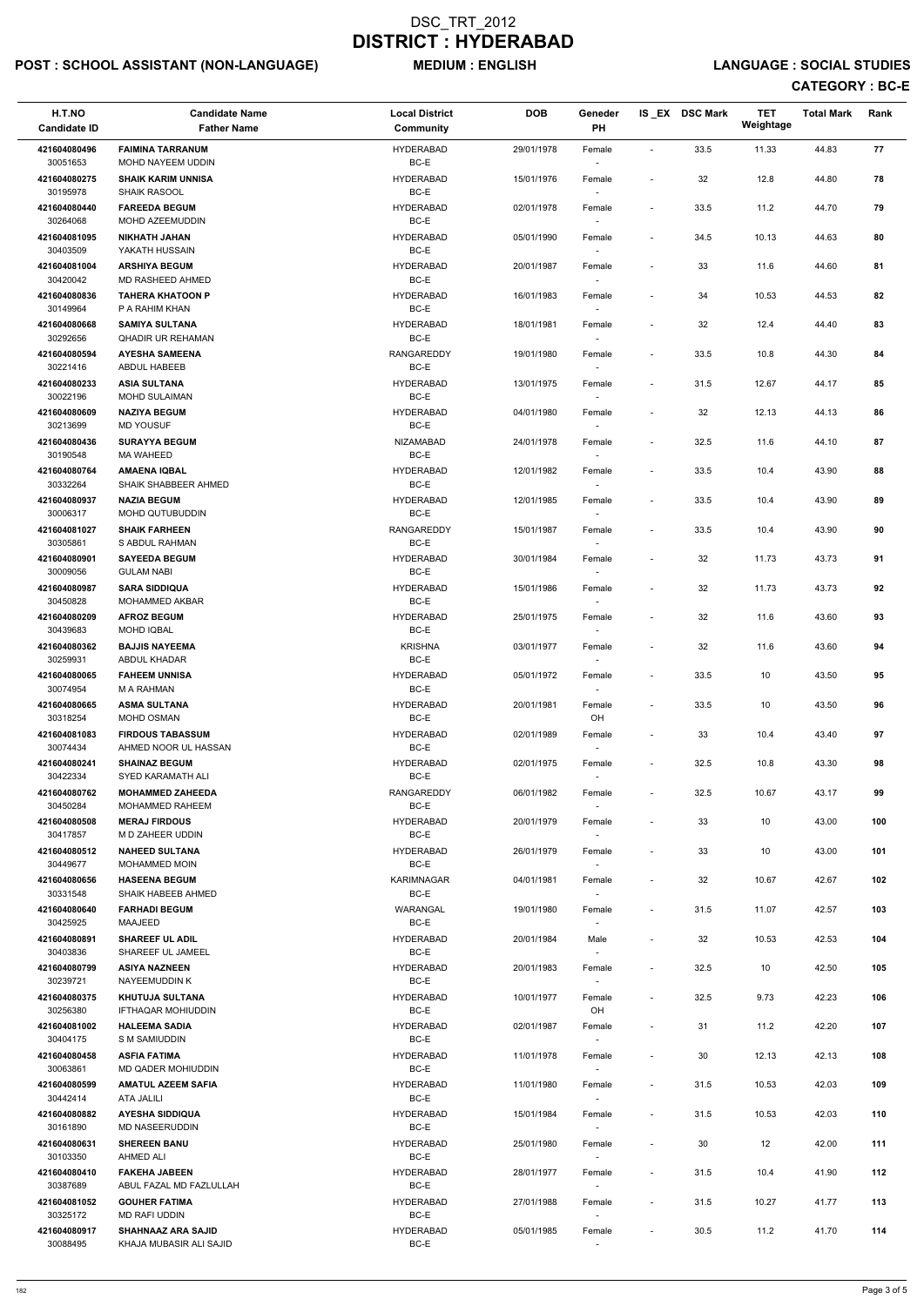# POST : SCHOOL ASSISTANT (NON-LANGUAGE) MEDIUM : ENGLISH LANGUAGE : SOCIAL STUDIES

| H.T.NO<br><b>Candidate ID</b> | <b>Candidate Name</b><br><b>Father Name</b>          | <b>Local District</b><br><b>Community</b> | <b>DOB</b> | Geneder<br><b>PH</b>               |                          | IS EX DSC Mark | <b>TET</b><br>Weightage | <b>Total Mark</b> | Rank |
|-------------------------------|------------------------------------------------------|-------------------------------------------|------------|------------------------------------|--------------------------|----------------|-------------------------|-------------------|------|
| 421604080496                  | <b>FAIMINA TARRANUM</b>                              | <b>HYDERABAD</b>                          | 29/01/1978 | Female                             |                          | 33.5           | 11.33                   | 44.83             | 77   |
| 30051653<br>421604080275      | MOHD NAYEEM UDDIN<br><b>SHAIK KARIM UNNISA</b>       | BC-E<br><b>HYDERABAD</b>                  | 15/01/1976 | Female                             | $\overline{\phantom{a}}$ | 32             | 12.8                    | 44.80             | 78   |
| 30195978<br>421604080440      | <b>SHAIK RASOOL</b><br><b>FAREEDA BEGUM</b>          | BC-E<br><b>HYDERABAD</b>                  | 02/01/1978 | $\overline{\phantom{a}}$<br>Female |                          | 33.5           | 11.2                    | 44.70             | 79   |
| 30264068<br>421604081095      | MOHD AZEEMUDDIN<br><b>NIKHATH JAHAN</b>              | BC-E<br><b>HYDERABAD</b>                  | 05/01/1990 | Female                             | $\overline{\phantom{a}}$ | 34.5           | 10.13                   | 44.63             | 80   |
| 30403509                      | YAKATH HUSSAIN                                       | BC-E                                      |            |                                    |                          |                |                         |                   |      |
| 421604081004<br>30420042      | <b>ARSHIYA BEGUM</b><br>MD RASHEED AHMED             | <b>HYDERABAD</b><br>BC-E                  | 20/01/1987 | Female                             |                          | 33             | 11.6                    | 44.60             | 81   |
| 421604080836<br>30149964      | <b>TAHERA KHATOON P</b><br>P A RAHIM KHAN            | <b>HYDERABAD</b><br>BC-E                  | 16/01/1983 | Female<br>$\overline{\phantom{a}}$ |                          | 34             | 10.53                   | 44.53             | 82   |
| 421604080668<br>30292656      | <b>SAMIYA SULTANA</b><br><b>QHADIR UR REHAMAN</b>    | <b>HYDERABAD</b><br>BC-E                  | 18/01/1981 | Female                             |                          | 32             | 12.4                    | 44.40             | 83   |
| 421604080594<br>30221416      | <b>AYESHA SAMEENA</b><br>ABDUL HABEEB                | <b>RANGAREDDY</b><br>BC-E                 | 19/01/1980 | Female                             | $\overline{\phantom{a}}$ | 33.5           | 10.8                    | 44.30             | 84   |
| 421604080233                  | <b>ASIA SULTANA</b>                                  | <b>HYDERABAD</b>                          | 13/01/1975 | Female                             | $\overline{\phantom{a}}$ | 31.5           | 12.67                   | 44.17             | 85   |
| 30022196<br>421604080609      | <b>MOHD SULAIMAN</b><br><b>NAZIYA BEGUM</b>          | BC-E<br><b>HYDERABAD</b>                  | 04/01/1980 | $\overline{\phantom{a}}$<br>Female |                          | 32             | 12.13                   | 44.13             | 86   |
| 30213699                      | <b>MD YOUSUF</b>                                     | BC-E                                      |            | $\overline{\phantom{a}}$           |                          |                |                         |                   |      |
| 421604080436<br>30190548      | <b>SURAYYA BEGUM</b><br><b>MA WAHEED</b>             | <b>NIZAMABAD</b><br>$BC-E$                | 24/01/1978 | Female                             |                          | 32.5           | 11.6                    | 44.10             | 87   |
| 421604080764<br>30332264      | <b>AMAENA IQBAL</b><br>SHAIK SHABBEER AHMED          | <b>HYDERABAD</b><br>BC-E                  | 12/01/1982 | Female                             | $\overline{\phantom{a}}$ | 33.5           | 10.4                    | 43.90             | 88   |
| 421604080937<br>30006317      | <b>NAZIA BEGUM</b><br><b>MOHD QUTUBUDDIN</b>         | <b>HYDERABAD</b><br>BC-E                  | 12/01/1985 | Female<br>$\overline{\phantom{a}}$ | $\overline{\phantom{a}}$ | 33.5           | 10.4                    | 43.90             | 89   |
| 421604081027<br>30305861      | <b>SHAIK FARHEEN</b><br>S ABDUL RAHMAN               | <b>RANGAREDDY</b><br>BC-E                 | 15/01/1987 | Female<br>$\overline{\phantom{a}}$ |                          | 33.5           | 10.4                    | 43.90             | 90   |
| 421604080901                  | <b>SAYEEDA BEGUM</b>                                 | <b>HYDERABAD</b>                          | 30/01/1984 | Female                             | $\overline{\phantom{a}}$ | 32             | 11.73                   | 43.73             | 91   |
| 30009056<br>421604080987      | <b>GULAM NABI</b><br><b>SARA SIDDIQUA</b>            | BC-E<br><b>HYDERABAD</b>                  | 15/01/1986 | Female                             |                          | 32             | 11.73                   | 43.73             | 92   |
| 30450828<br>421604080209      | MOHAMMED AKBAR<br><b>AFROZ BEGUM</b>                 | $BC-E$<br><b>HYDERABAD</b>                | 25/01/1975 | Female                             | $\overline{\phantom{a}}$ | 32             | 11.6                    | 43.60             | 93   |
| 30439683                      | MOHD IQBAL                                           | BC-E                                      |            | $\overline{\phantom{a}}$           |                          |                |                         |                   |      |
| 421604080362<br>30259931      | <b>BAJJIS NAYEEMA</b><br>ABDUL KHADAR                | <b>KRISHNA</b><br>BC-E                    | 03/01/1977 | Female<br>$\overline{\phantom{a}}$ | $\overline{\phantom{a}}$ | 32             | 11.6                    | 43.60             | 94   |
| 421604080065<br>30074954      | <b>FAHEEM UNNISA</b><br>M A RAHMAN                   | <b>HYDERABAD</b><br>BC-E                  | 05/01/1972 | Female                             | $\overline{\phantom{a}}$ | 33.5           | 10                      | 43.50             | 95   |
| 421604080665                  | <b>ASMA SULTANA</b>                                  | <b>HYDERABAD</b>                          | 20/01/1981 | Female                             | $\overline{\phantom{a}}$ | 33.5           | 10                      | 43.50             | 96   |
| 30318254<br>421604081083      | MOHD OSMAN<br><b>FIRDOUS TABASSUM</b>                | BC-E<br><b>HYDERABAD</b>                  | 02/01/1989 | OH<br>Female                       |                          | 33             | 10.4                    | 43.40             | 97   |
| 30074434<br>421604080241      | AHMED NOOR UL HASSAN<br><b>SHAINAZ BEGUM</b>         | BC-E<br><b>HYDERABAD</b>                  | 02/01/1975 | $\overline{\phantom{a}}$<br>Female | $\overline{\phantom{a}}$ | 32.5           | 10.8                    | 43.30             | 98   |
| 30422334<br>421604080762      | SYED KARAMATH ALI<br><b>MOHAMMED ZAHEEDA</b>         | BC-E<br><b>RANGAREDDY</b>                 | 06/01/1982 | $\overline{\phantom{a}}$<br>Female |                          | 32.5           | 10.67                   | 43.17             | 99   |
| 30450284                      | MOHAMMED RAHEEM                                      | BC-E                                      |            |                                    |                          |                |                         |                   |      |
| 421604080508<br>30417857      | <b>MERAJ FIRDOUS</b><br>M D ZAHEER UDDIN             | <b>HYDERABAD</b><br>BC-E                  | 20/01/1979 | Female                             | $\overline{\phantom{a}}$ | 33             | 10                      | 43.00             | 100  |
| 421604080512<br>30449677      | <b>NAHEED SULTANA</b><br><b>MOHAMMED MOIN</b>        | <b>HYDERABAD</b><br>BC-E                  | 26/01/1979 | Female<br>$\sim$                   |                          | 33             | 10                      | 43.00             | 101  |
| 421604080656<br>30331548      | <b>HASEENA BEGUM</b><br>SHAIK HABEEB AHMED           | <b>KARIMNAGAR</b><br>BC-E                 | 04/01/1981 | Female<br>$\overline{\phantom{a}}$ |                          | 32             | 10.67                   | 42.67             | 102  |
| 421604080640                  | <b>FARHADI BEGUM</b>                                 | WARANGAL                                  | 19/01/1980 | Female                             |                          | 31.5           | 11.07                   | 42.57             | 103  |
| 30425925<br>421604080891      | MAAJEED<br><b>SHAREEF UL ADIL</b>                    | BC-E<br><b>HYDERABAD</b>                  | 20/01/1984 | $\overline{\phantom{a}}$<br>Male   |                          | 32             | 10.53                   | 42.53             | 104  |
| 30403836<br>421604080799      | SHAREEF UL JAMEEL<br><b>ASIYA NAZNEEN</b>            | BC-E<br><b>HYDERABAD</b>                  | 20/01/1983 | Female                             | $\overline{\phantom{a}}$ | 32.5           | 10                      | 42.50             | 105  |
| 30239721                      | NAYEEMUDDIN K                                        | BC-E                                      |            | $\sim$                             |                          |                |                         |                   |      |
| 421604080375<br>30256380      | <b>KHUTUJA SULTANA</b><br><b>IFTHAQAR MOHIUDDIN</b>  | <b>HYDERABAD</b><br>BC-E                  | 10/01/1977 | Female<br>OH                       |                          | 32.5           | 9.73                    | 42.23             | 106  |
| 421604081002<br>30404175      | <b>HALEEMA SADIA</b><br>S M SAMIUDDIN                | <b>HYDERABAD</b><br>BC-E                  | 02/01/1987 | Female<br>$\overline{\phantom{a}}$ | $\overline{\phantom{a}}$ | 31             | 11.2                    | 42.20             | 107  |
| 421604080458                  | <b>ASFIA FATIMA</b>                                  | <b>HYDERABAD</b>                          | 11/01/1978 | Female                             |                          | 30             | 12.13                   | 42.13             | 108  |
| 30063861<br>421604080599      | MD QADER MOHIUDDIN<br><b>AMATUL AZEEM SAFIA</b>      | BC-E<br><b>HYDERABAD</b>                  | 11/01/1980 | Female                             | $\overline{\phantom{a}}$ | 31.5           | 10.53                   | 42.03             | 109  |
| 30442414<br>421604080882      | ATA JALILI<br><b>AYESHA SIDDIQUA</b>                 | BC-E<br><b>HYDERABAD</b>                  | 15/01/1984 | $\sim$<br>Female                   |                          | 31.5           | 10.53                   | 42.03             | 110  |
| 30161890<br>421604080631      | MD NASEERUDDIN<br><b>SHEREEN BANU</b>                | BC-E<br><b>HYDERABAD</b>                  | 25/01/1980 | $\overline{\phantom{a}}$<br>Female | $\overline{\phantom{a}}$ | 30             | 12                      | 42.00             | 111  |
| 30103350                      | AHMED ALI                                            | BC-E                                      |            | $\overline{\phantom{a}}$           |                          |                |                         |                   |      |
| 421604080410<br>30387689      | <b>FAKEHA JABEEN</b><br>ABUL FAZAL MD FAZLULLAH      | <b>HYDERABAD</b><br>BC-E                  | 28/01/1977 | Female<br>$\sim$                   | $\overline{\phantom{a}}$ | 31.5           | 10.4                    | 41.90             | 112  |
| 421604081052<br>30325172      | <b>GOUHER FATIMA</b><br>MD RAFI UDDIN                | <b>HYDERABAD</b><br>BC-E                  | 27/01/1988 | Female<br>$\overline{\phantom{a}}$ | $\overline{\phantom{a}}$ | 31.5           | 10.27                   | 41.77             | 113  |
| 421604080917<br>30088495      | <b>SHAHNAAZ ARA SAJID</b><br>KHAJA MUBASIR ALI SAJID | <b>HYDERABAD</b><br>BC-E                  | 05/01/1985 | Female<br>$\overline{\phantom{a}}$ | $\overline{\phantom{a}}$ | 30.5           | 11.2                    | 41.70             | 114  |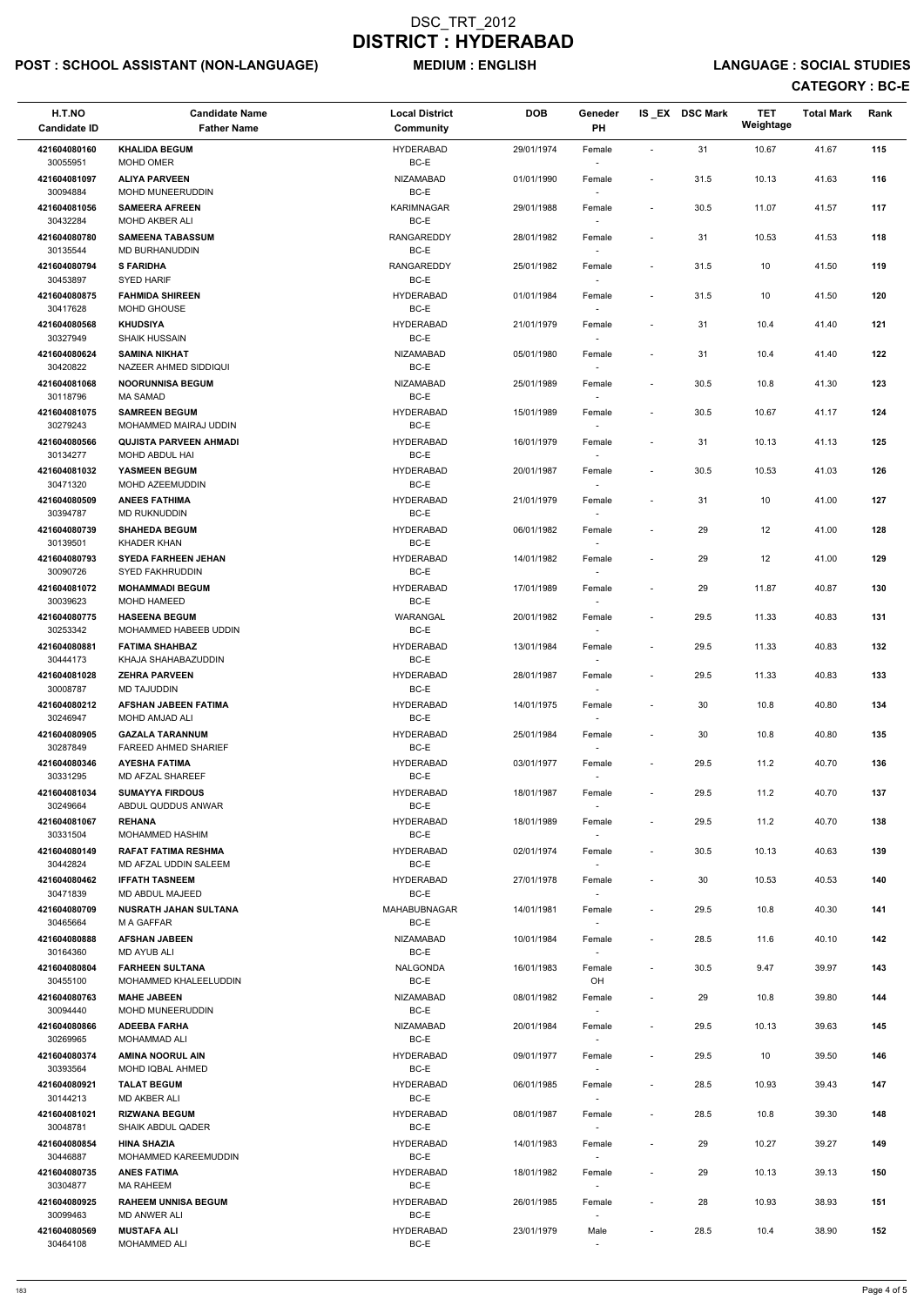# POST : SCHOOL ASSISTANT (NON-LANGUAGE) MEDIUM : ENGLISH LANGUAGE : SOCIAL STUDIES

| H.T.NO                   | <b>Candidate Name</b>                               | <b>Local District</b>     | <b>DOB</b> | Geneder                            |                              | IS EX DSC Mark | <b>TET</b><br>Weightage | <b>Total Mark</b> | Rank |
|--------------------------|-----------------------------------------------------|---------------------------|------------|------------------------------------|------------------------------|----------------|-------------------------|-------------------|------|
| <b>Candidate ID</b>      | <b>Father Name</b>                                  | <b>Community</b>          |            | PH                                 |                              |                |                         |                   |      |
| 421604080160<br>30055951 | <b>KHALIDA BEGUM</b><br><b>MOHD OMER</b>            | <b>HYDERABAD</b><br>BC-E  | 29/01/1974 | Female                             | $\overline{\phantom{a}}$     | 31             | 10.67                   | 41.67             | 115  |
| 421604081097             | <b>ALIYA PARVEEN</b>                                | NIZAMABAD                 | 01/01/1990 | Female                             | $\overline{\phantom{a}}$     | 31.5           | 10.13                   | 41.63             | 116  |
| 30094884<br>421604081056 | MOHD MUNEERUDDIN<br><b>SAMEERA AFREEN</b>           | BC-E<br><b>KARIMNAGAR</b> | 29/01/1988 | Female                             | $\overline{\phantom{a}}$     | 30.5           | 11.07                   | 41.57             | 117  |
| 30432284                 | MOHD AKBER ALI                                      | BC-E                      |            |                                    |                              |                |                         |                   |      |
| 421604080780<br>30135544 | <b>SAMEENA TABASSUM</b><br>MD BURHANUDDIN           | <b>RANGAREDDY</b><br>BC-E | 28/01/1982 | Female<br>$\sim$                   | $\overline{\phantom{a}}$     | 31             | 10.53                   | 41.53             | 118  |
| 421604080794             | <b>S FARIDHA</b>                                    | RANGAREDDY                | 25/01/1982 | Female                             | $\overline{\phantom{a}}$     | 31.5           | 10                      | 41.50             | 119  |
| 30453897<br>421604080875 | <b>SYED HARIF</b><br><b>FAHMIDA SHIREEN</b>         | BC-E<br><b>HYDERABAD</b>  | 01/01/1984 | $\sim$<br>Female                   | $\overline{\phantom{a}}$     | 31.5           | 10                      | 41.50             | 120  |
| 30417628                 | <b>MOHD GHOUSE</b>                                  | BC-E                      |            |                                    |                              |                |                         |                   |      |
| 421604080568<br>30327949 | <b>KHUDSIYA</b><br><b>SHAIK HUSSAIN</b>             | <b>HYDERABAD</b><br>BC-E  | 21/01/1979 | Female                             | $\overline{\phantom{a}}$     | 31             | 10.4                    | 41.40             | 121  |
| 421604080624<br>30420822 | <b>SAMINA NIKHAT</b><br>NAZEER AHMED SIDDIQUI       | <b>NIZAMABAD</b><br>BC-E  | 05/01/1980 | Female<br>$\sim$                   | $\overline{\phantom{a}}$     | 31             | 10.4                    | 41.40             | 122  |
| 421604081068             | <b>NOORUNNISA BEGUM</b>                             | NIZAMABAD                 | 25/01/1989 | Female                             | $\overline{\phantom{a}}$     | 30.5           | 10.8                    | 41.30             | 123  |
| 30118796                 | <b>MA SAMAD</b>                                     | BC-E                      |            | $\sim$                             |                              |                |                         |                   |      |
| 421604081075<br>30279243 | <b>SAMREEN BEGUM</b><br>MOHAMMED MAIRAJ UDDIN       | <b>HYDERABAD</b><br>BC-E  | 15/01/1989 | Female<br>$\overline{\phantom{a}}$ | $\overline{\phantom{a}}$     | 30.5           | 10.67                   | 41.17             | 124  |
| 421604080566             | <b>QUJISTA PARVEEN AHMADI</b>                       | <b>HYDERABAD</b>          | 16/01/1979 | Female                             |                              | 31             | 10.13                   | 41.13             | 125  |
| 30134277<br>421604081032 | MOHD ABDUL HAI<br>YASMEEN BEGUM                     | BC-E<br><b>HYDERABAD</b>  | 20/01/1987 | Female                             | $\overline{\phantom{a}}$     | 30.5           | 10.53                   | 41.03             | 126  |
| 30471320                 | MOHD AZEEMUDDIN                                     | BC-E                      |            |                                    |                              |                |                         |                   |      |
| 421604080509<br>30394787 | <b>ANEES FATHIMA</b><br>MD RUKNUDDIN                | <b>HYDERABAD</b><br>BC-E  | 21/01/1979 | Female<br>$\sim$                   | $\overline{\phantom{a}}$     | 31             | 10                      | 41.00             | 127  |
| 421604080739             | <b>SHAHEDA BEGUM</b>                                | HYDERABAD                 | 06/01/1982 | Female                             | $\overline{\phantom{a}}$     | 29             | 12                      | 41.00             | 128  |
| 30139501<br>421604080793 | <b>KHADER KHAN</b><br><b>SYEDA FARHEEN JEHAN</b>    | BC-E<br><b>HYDERABAD</b>  | 14/01/1982 | $\sim$<br>Female                   | $\overline{\phantom{a}}$     | 29             | 12                      | 41.00             | 129  |
| 30090726                 | <b>SYED FAKHRUDDIN</b>                              | BC-E                      |            |                                    |                              |                |                         |                   |      |
| 421604081072<br>30039623 | <b>MOHAMMADI BEGUM</b><br>MOHD HAMEED               | <b>HYDERABAD</b><br>BC-E  | 17/01/1989 | Female                             | $\overline{\phantom{a}}$     | 29             | 11.87                   | 40.87             | 130  |
| 421604080775<br>30253342 | <b>HASEENA BEGUM</b><br>MOHAMMED HABEEB UDDIN       | WARANGAL<br>BC-E          | 20/01/1982 | Female<br>$\sim$                   | $\overline{\phantom{a}}$     | 29.5           | 11.33                   | 40.83             | 131  |
| 421604080881             | <b>FATIMA SHAHBAZ</b>                               | <b>HYDERABAD</b>          | 13/01/1984 | Female                             | $\overline{\phantom{a}}$     | 29.5           | 11.33                   | 40.83             | 132  |
| 30444173<br>421604081028 | KHAJA SHAHABAZUDDIN<br><b>ZEHRA PARVEEN</b>         | BC-E<br>HYDERABAD         | 28/01/1987 | Female                             | $\overline{\phantom{a}}$     | 29.5           | 11.33                   | 40.83             | 133  |
| 30008787                 | <b>MD TAJUDDIN</b>                                  | BC-E                      |            |                                    |                              |                |                         |                   |      |
| 421604080212<br>30246947 | AFSHAN JABEEN FATIMA<br>MOHD AMJAD ALI              | <b>HYDERABAD</b><br>BC-E  | 14/01/1975 | Female<br>$\sim$                   | $\qquad \qquad \blacksquare$ | 30             | 10.8                    | 40.80             | 134  |
| 421604080905             | <b>GAZALA TARANNUM</b>                              | HYDERABAD                 | 25/01/1984 | Female                             | $\overline{\phantom{a}}$     | 30             | 10.8                    | 40.80             | 135  |
| 30287849<br>421604080346 | <b>FAREED AHMED SHARIEF</b><br><b>AYESHA FATIMA</b> | BC-E<br><b>HYDERABAD</b>  | 03/01/1977 | $\sim$<br>Female                   | $\overline{\phantom{a}}$     | 29.5           | 11.2                    | 40.70             | 136  |
| 30331295                 | MD AFZAL SHAREEF                                    | BC-E                      |            |                                    |                              |                |                         |                   |      |
| 421604081034<br>30249664 | <b>SUMAYYA FIRDOUS</b><br>ABDUL QUDDUS ANWAR        | HYDERABAD<br>BC-E         | 18/01/1987 | Female                             | $\overline{\phantom{a}}$     | 29.5           | 11.2                    | 40.70             | 137  |
| 421604081067             | <b>REHANA</b>                                       | <b>HYDERABAD</b>          | 18/01/1989 | Female                             | $\overline{\phantom{a}}$     | 29.5           | 11.2                    | 40.70             | 138  |
| 30331504<br>421604080149 | MOHAMMED HASHIM<br><b>RAFAT FATIMA RESHMA</b>       | BC-E<br><b>HYDERABAD</b>  | 02/01/1974 | $\sim$<br>Female                   | $\overline{\phantom{a}}$     | 30.5           | 10.13                   | 40.63             | 139  |
| 30442824                 | MD AFZAL UDDIN SALEEM                               | BC-E                      |            | $\sim$                             |                              |                |                         |                   |      |
| 421604080462<br>30471839 | <b>IFFATH TASNEEM</b><br><b>MD ABDUL MAJEED</b>     | HYDERABAD<br>BC-E         | 27/01/1978 | Female<br>$\sim$                   | $\overline{\phantom{a}}$     | 30             | 10.53                   | 40.53             | 140  |
| 421604080709<br>30465664 | <b>NUSRATH JAHAN SULTANA</b><br>M A GAFFAR          | MAHABUBNAGAR<br>BC-E      | 14/01/1981 | Female                             | $\overline{\phantom{a}}$     | 29.5           | 10.8                    | 40.30             | 141  |
| 421604080888             | <b>AFSHAN JABEEN</b>                                | <b>NIZAMABAD</b>          | 10/01/1984 | Female                             | $\overline{\phantom{a}}$     | 28.5           | 11.6                    | 40.10             | 142  |
| 30164360<br>421604080804 | <b>MD AYUB ALI</b><br><b>FARHEEN SULTANA</b>        | BC-E<br><b>NALGONDA</b>   | 16/01/1983 | Female                             | $\overline{\phantom{a}}$     | 30.5           | 9.47                    | 39.97             | 143  |
| 30455100                 | MOHAMMED KHALEELUDDIN                               | BC-E                      |            | OH                                 |                              |                |                         |                   |      |
| 421604080763<br>30094440 | <b>MAHE JABEEN</b><br><b>MOHD MUNEERUDDIN</b>       | NIZAMABAD<br>BC-E         | 08/01/1982 | Female<br>$\sim$                   | $\overline{\phantom{a}}$     | 29             | 10.8                    | 39.80             | 144  |
| 421604080866             | <b>ADEEBA FARHA</b>                                 | NIZAMABAD                 | 20/01/1984 | Female                             | $\overline{\phantom{a}}$     | 29.5           | 10.13                   | 39.63             | 145  |
| 30269965<br>421604080374 | <b>MOHAMMAD ALI</b><br><b>AMINA NOORUL AIN</b>      | BC-E<br><b>HYDERABAD</b>  | 09/01/1977 | $\overline{\phantom{a}}$<br>Female | $\overline{\phantom{a}}$     | 29.5           | 10                      | 39.50             | 146  |
| 30393564                 | <b>MOHD IQBAL AHMED</b>                             | BC-E                      |            |                                    |                              |                |                         |                   |      |
| 421604080921<br>30144213 | <b>TALAT BEGUM</b><br><b>MD AKBER ALI</b>           | <b>HYDERABAD</b><br>BC-E  | 06/01/1985 | Female<br>$\sim$                   | $\overline{\phantom{a}}$     | 28.5           | 10.93                   | 39.43             | 147  |
| 421604081021             | <b>RIZWANA BEGUM</b>                                | <b>HYDERABAD</b>          | 08/01/1987 | Female                             |                              | 28.5           | 10.8                    | 39.30             | 148  |
| 30048781<br>421604080854 | <b>SHAIK ABDUL QADER</b><br><b>HINA SHAZIA</b>      | BC-E<br>HYDERABAD         | 14/01/1983 | Female                             | $\overline{\phantom{a}}$     | 29             | 10.27                   | 39.27             | 149  |
| 30446887                 | MOHAMMED KAREEMUDDIN                                | BC-E                      |            |                                    |                              |                |                         |                   |      |
| 421604080735<br>30304877 | <b>ANES FATIMA</b><br>MA RAHEEM                     | <b>HYDERABAD</b><br>BC-E  | 18/01/1982 | Female<br>$\sim$                   | $\overline{\phantom{a}}$     | 29             | 10.13                   | 39.13             | 150  |
| 421604080925<br>30099463 | <b>RAHEEM UNNISA BEGUM</b><br><b>MD ANWER ALI</b>   | <b>HYDERABAD</b><br>BC-E  | 26/01/1985 | Female<br>$\overline{\phantom{a}}$ | $\overline{\phantom{a}}$     | 28             | 10.93                   | 38.93             | 151  |
| 421604080569             | <b>MUSTAFA ALI</b>                                  | HYDERABAD                 | 23/01/1979 | Male                               | $\overline{\phantom{a}}$     | 28.5           | 10.4                    | 38.90             | 152  |
| 30464108                 | MOHAMMED ALI                                        | BC-E                      |            | $\sim$                             |                              |                |                         |                   |      |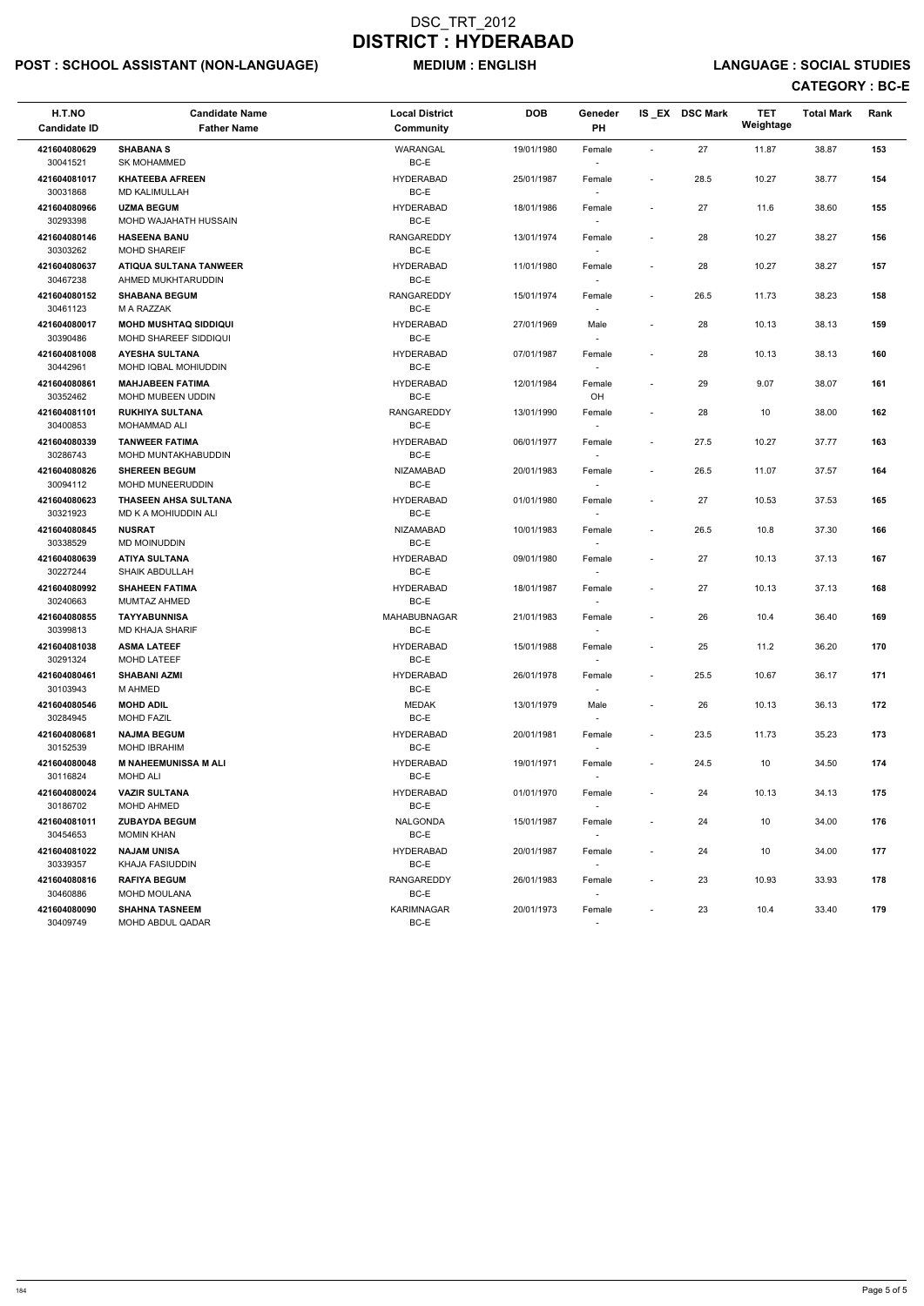# POST : SCHOOL ASSISTANT (NON-LANGUAGE) MEDIUM : ENGLISH LANGUAGE : SOCIAL STUDIES

| H.T.NO<br><b>Candidate ID</b>            | <b>Candidate Name</b><br><b>Father Name</b>              | <b>Local District</b><br>Community           | <b>DOB</b>               | <b>Geneder</b><br>PH |                                    | IS_EX DSC Mark | <b>TET</b><br>Weightage | <b>Total Mark</b> | Rank       |
|------------------------------------------|----------------------------------------------------------|----------------------------------------------|--------------------------|----------------------|------------------------------------|----------------|-------------------------|-------------------|------------|
| 421604080629<br>30041521                 | <b>SHABANA S</b><br><b>SK MOHAMMED</b>                   | <b>WARANGAL</b><br>BC-E                      | 19/01/1980               | Female               |                                    | 27             | 11.87                   | 38.87             | 153        |
| 421604081017<br>30031868                 | <b>KHATEEBA AFREEN</b><br><b>MD KALIMULLAH</b>           | <b>HYDERABAD</b><br>BC-E                     | 25/01/1987               | Female               | $\overline{\phantom{a}}$           | 28.5           | 10.27                   | 38.77             | 154        |
| 421604080966<br>30293398                 | <b>UZMA BEGUM</b><br>MOHD WAJAHATH HUSSAIN               | <b>HYDERABAD</b><br>BC-E                     | 18/01/1986               | Female               | $\blacksquare$                     | 27             | 11.6                    | 38.60             | 155        |
| 421604080146<br>30303262                 | <b>HASEENA BANU</b><br><b>MOHD SHAREIF</b>               | <b>RANGAREDDY</b><br>BC-E                    | 13/01/1974               | Female               | $\overline{\phantom{a}}$           | 28             | 10.27                   | 38.27             | 156        |
| 421604080637<br>30467238                 | <b>ATIQUA SULTANA TANWEER</b><br>AHMED MUKHTARUDDIN      | <b>HYDERABAD</b><br>BC-E                     | 11/01/1980               | Female               | $\overline{\phantom{a}}$           | 28             | 10.27                   | 38.27             | 157        |
| 421604080152<br>30461123                 | <b>SHABANA BEGUM</b><br>M A RAZZAK                       | <b>RANGAREDDY</b><br>BC-E                    | 15/01/1974               | Female               | $\blacksquare$                     | 26.5           | 11.73                   | 38.23             | 158        |
| 421604080017<br>30390486                 | <b>MOHD MUSHTAQ SIDDIQUI</b><br>MOHD SHAREEF SIDDIQUI    | <b>HYDERABAD</b><br>BC-E                     | 27/01/1969               | Male                 | $\overline{\phantom{a}}$           | 28             | 10.13                   | 38.13             | 159        |
| 421604081008<br>30442961                 | <b>AYESHA SULTANA</b><br>MOHD IQBAL MOHIUDDIN            | <b>HYDERABAD</b><br>BC-E                     | 07/01/1987               | Female               | $\overline{\phantom{a}}$           | 28             | 10.13                   | 38.13             | 160        |
| 421604080861<br>30352462                 | <b>MAHJABEEN FATIMA</b><br>MOHD MUBEEN UDDIN             | <b>HYDERABAD</b><br>BC-E                     | 12/01/1984               | Female<br>OH         |                                    | 29             | 9.07                    | 38.07             | 161        |
| 421604081101<br>30400853                 | <b>RUKHIYA SULTANA</b><br><b>MOHAMMAD ALI</b>            | <b>RANGAREDDY</b><br>BC-E                    | 13/01/1990               | Female<br>$\sim$     | $\overline{\phantom{a}}$           | 28             | 10                      | 38.00             | 162        |
| 421604080339<br>30286743                 | <b>TANWEER FATIMA</b><br>MOHD MUNTAKHABUDDIN             | <b>HYDERABAD</b><br>BC-E                     | 06/01/1977               | Female               | $\overline{\phantom{a}}$           | 27.5           | 10.27                   | 37.77             | 163        |
| 421604080826<br>30094112                 | <b>SHEREEN BEGUM</b><br>MOHD MUNEERUDDIN                 | <b>NIZAMABAD</b><br>BC-E                     | 20/01/1983               | Female               | $\sim$                             | 26.5           | 11.07                   | 37.57             | 164        |
| 421604080623<br>30321923                 | <b>THASEEN AHSA SULTANA</b><br>MD K A MOHIUDDIN ALI      | <b>HYDERABAD</b><br>BC-E                     | 01/01/1980               | Female<br>$\sim$     |                                    | 27             | 10.53                   | 37.53             | 165        |
| 421604080845<br>30338529                 | <b>NUSRAT</b><br>MD MOINUDDIN                            | <b>NIZAMABAD</b><br>BC-E                     | 10/01/1983               | Female               | $\blacksquare$                     | 26.5           | 10.8                    | 37.30             | 166        |
| 421604080639<br>30227244                 | <b>ATIYA SULTANA</b><br><b>SHAIK ABDULLAH</b>            | <b>HYDERABAD</b><br>BC-E                     | 09/01/1980               | Female               | $\blacksquare$                     | 27             | 10.13                   | 37.13             | 167        |
| 421604080992<br>30240663                 | <b>SHAHEEN FATIMA</b><br>MUMTAZ AHMED                    | <b>HYDERABAD</b><br>$BC-E$                   | 18/01/1987               | Female               |                                    | 27             | 10.13                   | 37.13             | 168        |
| 421604080855<br>30399813                 | <b>TAYYABUNNISA</b><br><b>MD KHAJA SHARIF</b>            | <b>MAHABUBNAGAR</b><br>BC-E                  | 21/01/1983               | Female<br>$\sim$     | $\overline{\phantom{a}}$           | 26             | 10.4                    | 36.40             | 169<br>170 |
| 421604081038<br>30291324<br>421604080461 | <b>ASMA LATEEF</b><br>MOHD LATEEF<br><b>SHABANI AZMI</b> | <b>HYDERABAD</b><br>BC-E<br><b>HYDERABAD</b> | 15/01/1988<br>26/01/1978 | Female<br>$\sim$     | $\overline{\phantom{a}}$<br>$\sim$ | 25<br>25.5     | 11.2<br>10.67           | 36.20<br>36.17    | 171        |
| 30103943<br>421604080546                 | M AHMED<br><b>MOHD ADIL</b>                              | BC-E<br><b>MEDAK</b>                         | 13/01/1979               | Female<br>Male       | $\overline{\phantom{a}}$           | 26             | 10.13                   | 36.13             | 172        |
| 30284945<br>421604080681                 | <b>MOHD FAZIL</b><br><b>NAJMA BEGUM</b>                  | BC-E<br><b>HYDERABAD</b>                     | 20/01/1981               | $\sim$<br>Female     | $\sim$                             | 23.5           | 11.73                   | 35.23             | 173        |
| 30152539<br>421604080048                 | MOHD IBRAHIM<br><b>M NAHEEMUNISSA M ALI</b>              | BC-E<br><b>HYDERABAD</b>                     | 19/01/1971               | $\sim$<br>Female     | $\sim$                             | 24.5           | 10                      | 34.50             | 174        |
| 30116824<br>421604080024                 | MOHD ALI<br><b>VAZIR SULTANA</b>                         | BC-E<br><b>HYDERABAD</b>                     | 01/01/1970               | $\sim$<br>Female     |                                    | 24             | 10.13                   | 34.13             | 175        |
| 30186702<br>421604081011                 | MOHD AHMED<br><b>ZUBAYDA BEGUM</b>                       | BC-E<br>NALGONDA                             | 15/01/1987               | Female               | $\overline{\phantom{a}}$           | 24             | 10                      | 34.00             | 176        |
| 30454653<br>421604081022                 | <b>MOMIN KHAN</b><br><b>NAJAM UNISA</b>                  | BC-E<br><b>HYDERABAD</b>                     | 20/01/1987               | $\sim$<br>Female     |                                    | 24             | 10                      | 34.00             | 177        |
| 30339357<br>421604080816                 | KHAJA FASIUDDIN<br><b>RAFIYA BEGUM</b>                   | BC-E<br>RANGAREDDY                           | 26/01/1983               | $\sim$<br>Female     | $\overline{\phantom{a}}$           | 23             | 10.93                   | 33.93             | 178        |
| 30460886<br>421604080090                 | <b>MOHD MOULANA</b><br><b>SHAHNA TASNEEM</b>             | BC-E<br><b>KARIMNAGAR</b>                    | 20/01/1973               | $\sim$<br>Female     | $\sim$                             | 23             | 10.4                    | 33.40             | 179        |
| 30409749                                 | MOHD ABDUL QADAR                                         | BC-E                                         |                          |                      |                                    |                |                         |                   |            |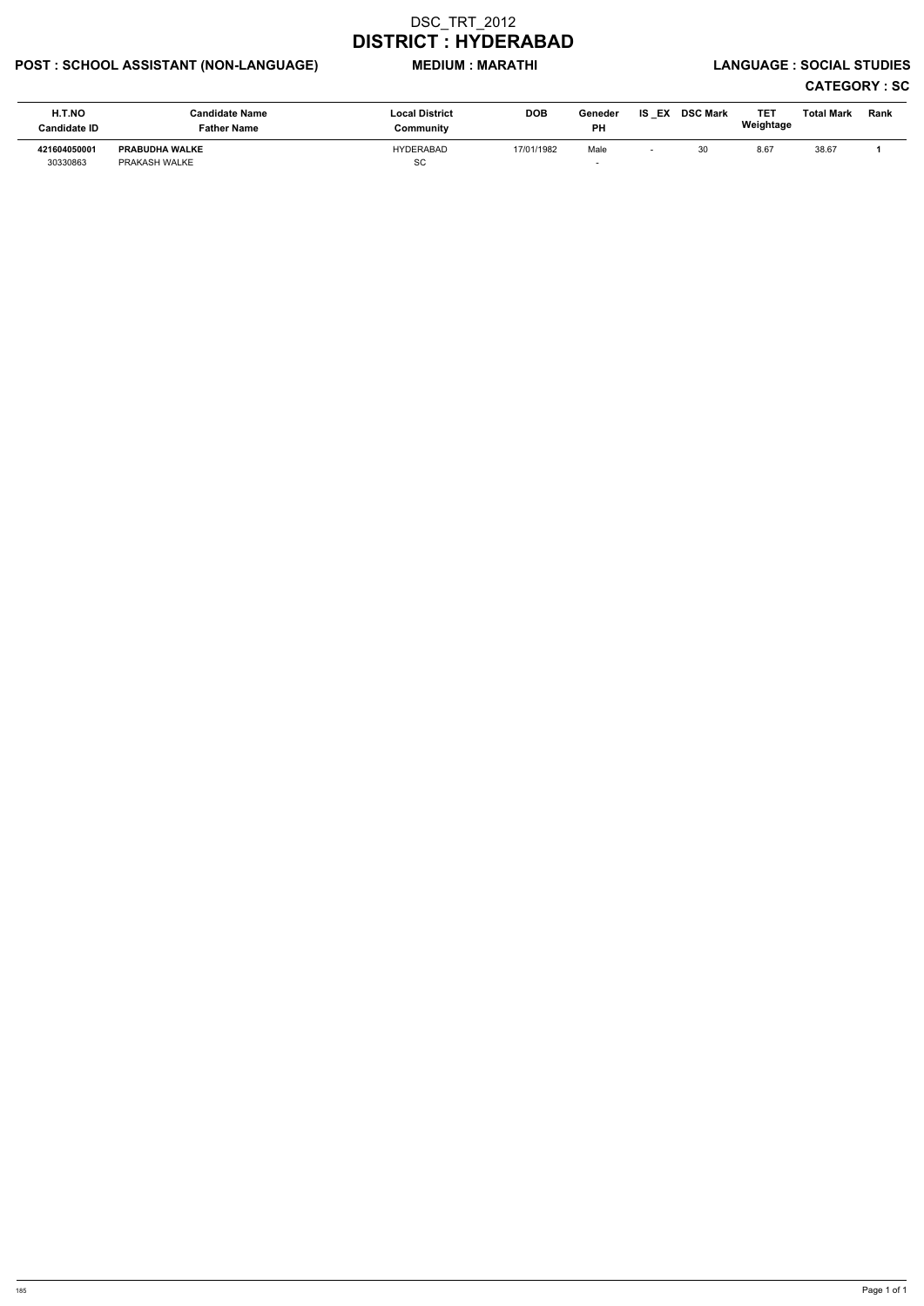# POST : SCHOOL ASSISTANT (NON-LANGUAGE) MEDIUM : MARATHI LANGUAGE : SOCIAL STUDIES

| H.T.NO<br><b>Candidate ID</b> | Candidate Name<br>Father Name          | <b>Local District</b><br>Community | <b>DOB</b> | Geneder<br><b>PH</b> | <b>IS EX</b> | <b>DSC Mark</b> | TE1<br>Weightage | Total Mark | Rank |
|-------------------------------|----------------------------------------|------------------------------------|------------|----------------------|--------------|-----------------|------------------|------------|------|
| 421604050001<br>30330863      | <b>PRABUDHA WALKE</b><br>PRAKASH WALKE | <b>HYDERABAD</b><br>SC             | 17/01/1982 | Male                 |              | 30              | 8.67             | 38.67      |      |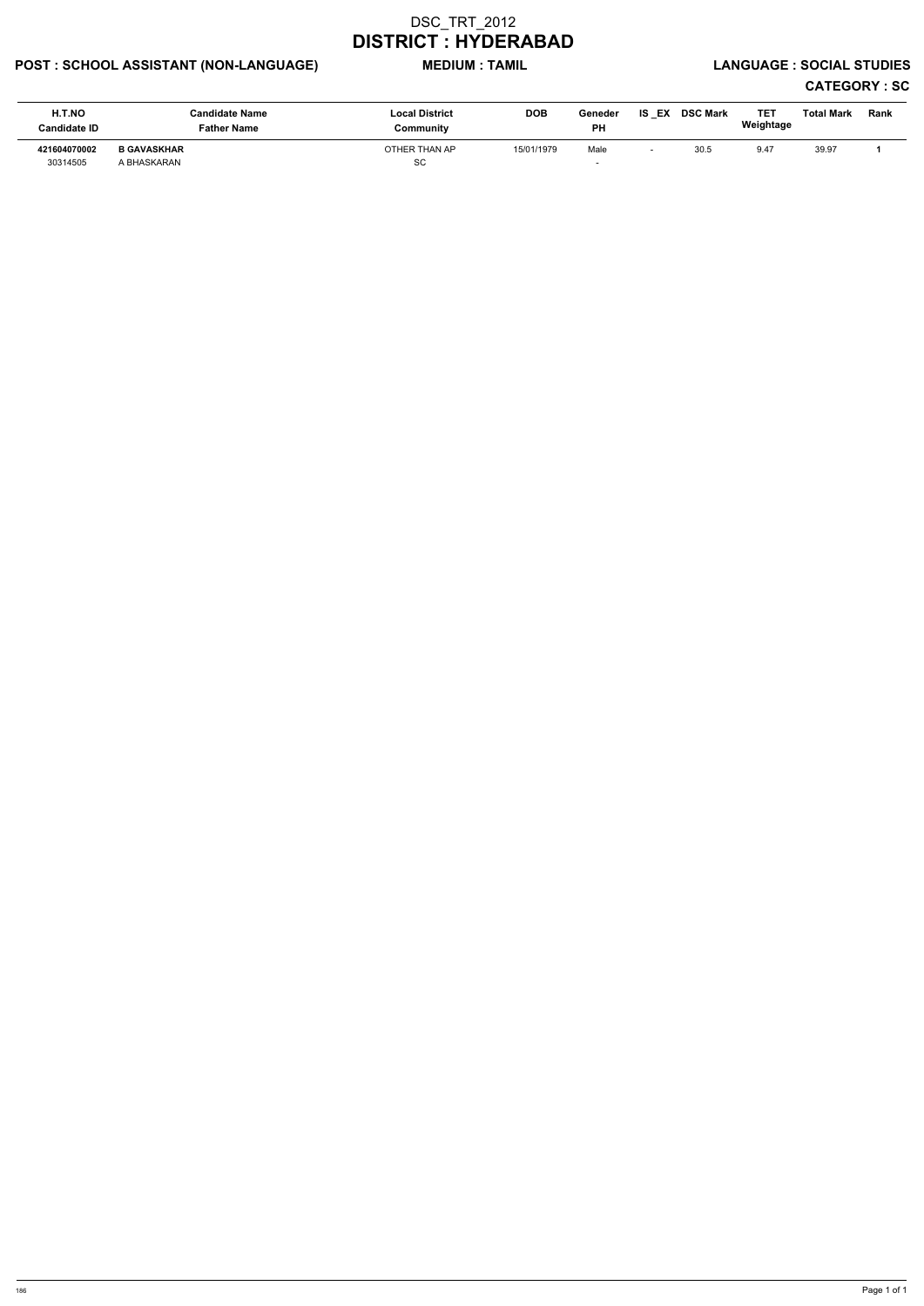# POST : SCHOOL ASSISTANT (NON-LANGUAGE) MEDIUM : TAMIL LANGUAGE : SOCIAL STUDIES

| H.T.NO<br><b>Candidate ID</b> | Candidate Name<br>Father Name     | <b>Local District</b><br>Community | <b>DOB</b> | Geneder<br><b>PH</b> | IS<br>EX | <b>DSC Mark</b> | TET<br>Weightage | <b>Total Mark</b> | Rank |
|-------------------------------|-----------------------------------|------------------------------------|------------|----------------------|----------|-----------------|------------------|-------------------|------|
| 421604070002<br>30314505      | <b>B GAVASKHAR</b><br>A BHASKARAN | OTHER THAN AP<br><b>SC</b>         | 15/01/1979 | Male                 |          | 30.5            | 9.47             | 39.97             |      |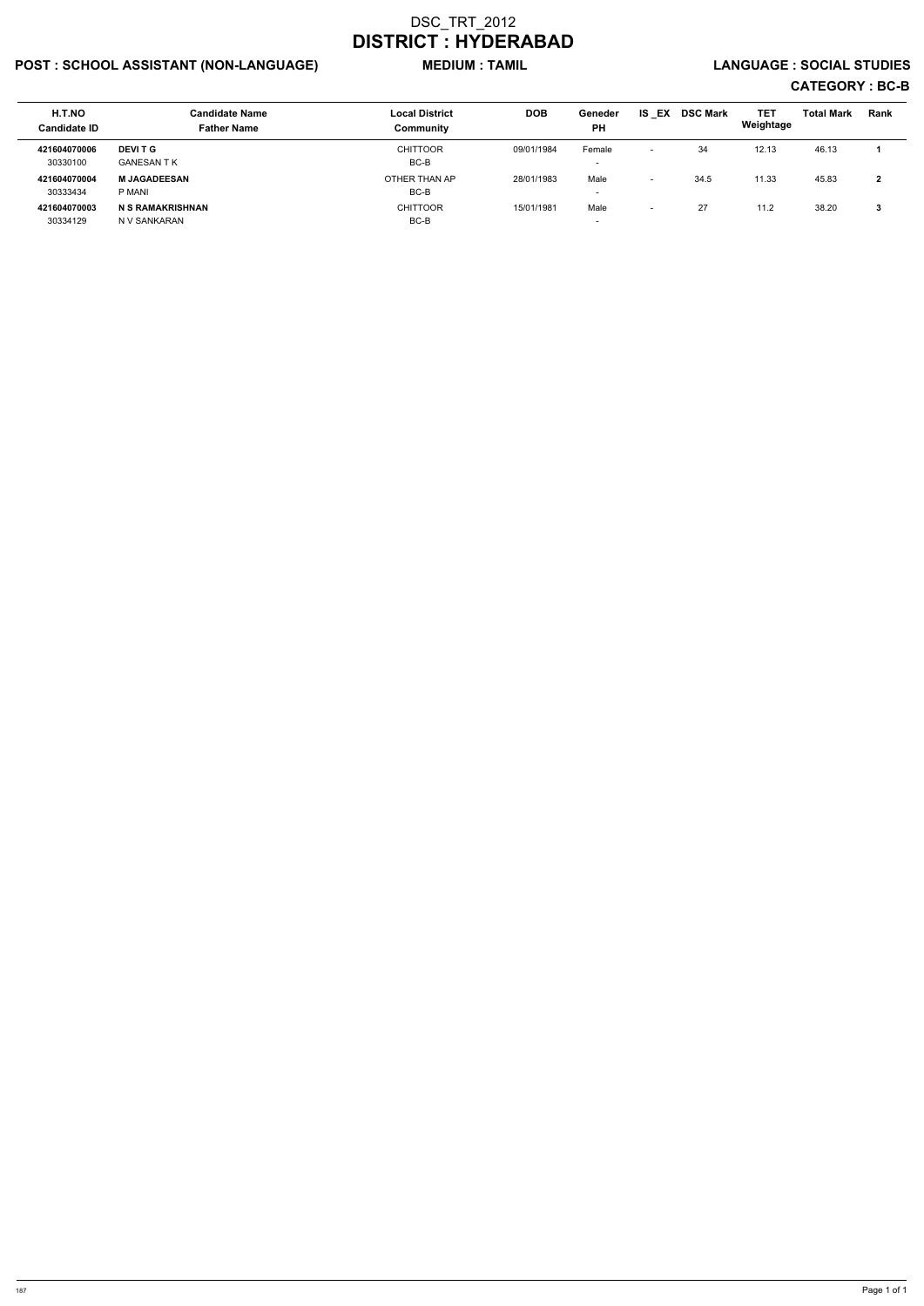# POST : SCHOOL ASSISTANT (NON-LANGUAGE) MEDIUM : TAMIL LANGUAGE : SOCIAL STUDIES

| <b>H.T.NO</b><br><b>Candidate ID</b> | <b>Candidate Name</b><br><b>Father Name</b> | <b>Local District</b><br>Community | <b>DOB</b> | Geneder<br><b>PH</b>               | <b>IS EX</b>             | <b>DSC Mark</b> | TET<br>Weightage | <b>Total Mark</b> | Rank |
|--------------------------------------|---------------------------------------------|------------------------------------|------------|------------------------------------|--------------------------|-----------------|------------------|-------------------|------|
| 421604070006<br>30330100             | <b>DEVIT G</b><br>GANESAN T K               | <b>CHITTOOR</b><br>BC-B            | 09/01/1984 | Female<br>$\overline{\phantom{0}}$ | $\overline{\phantom{a}}$ | 34              | 12.13            | 46.13             |      |
| 421604070004<br>30333434             | <b>M JAGADEESAN</b><br>P MANI               | OTHER THAN AP<br>BC-B              | 28/01/1983 | Male<br>$\overline{\phantom{0}}$   | -                        | 34.5            | 11.33            | 45.83             | 2    |
| 421604070003<br>30334129             | <b>N S RAMAKRISHNAN</b><br>N V SANKARAN     | <b>CHITTOOR</b><br>BC-B            | 15/01/1981 | Male<br>$\overline{\phantom{0}}$   |                          | 27              | 11.2             | 38.20             | 3    |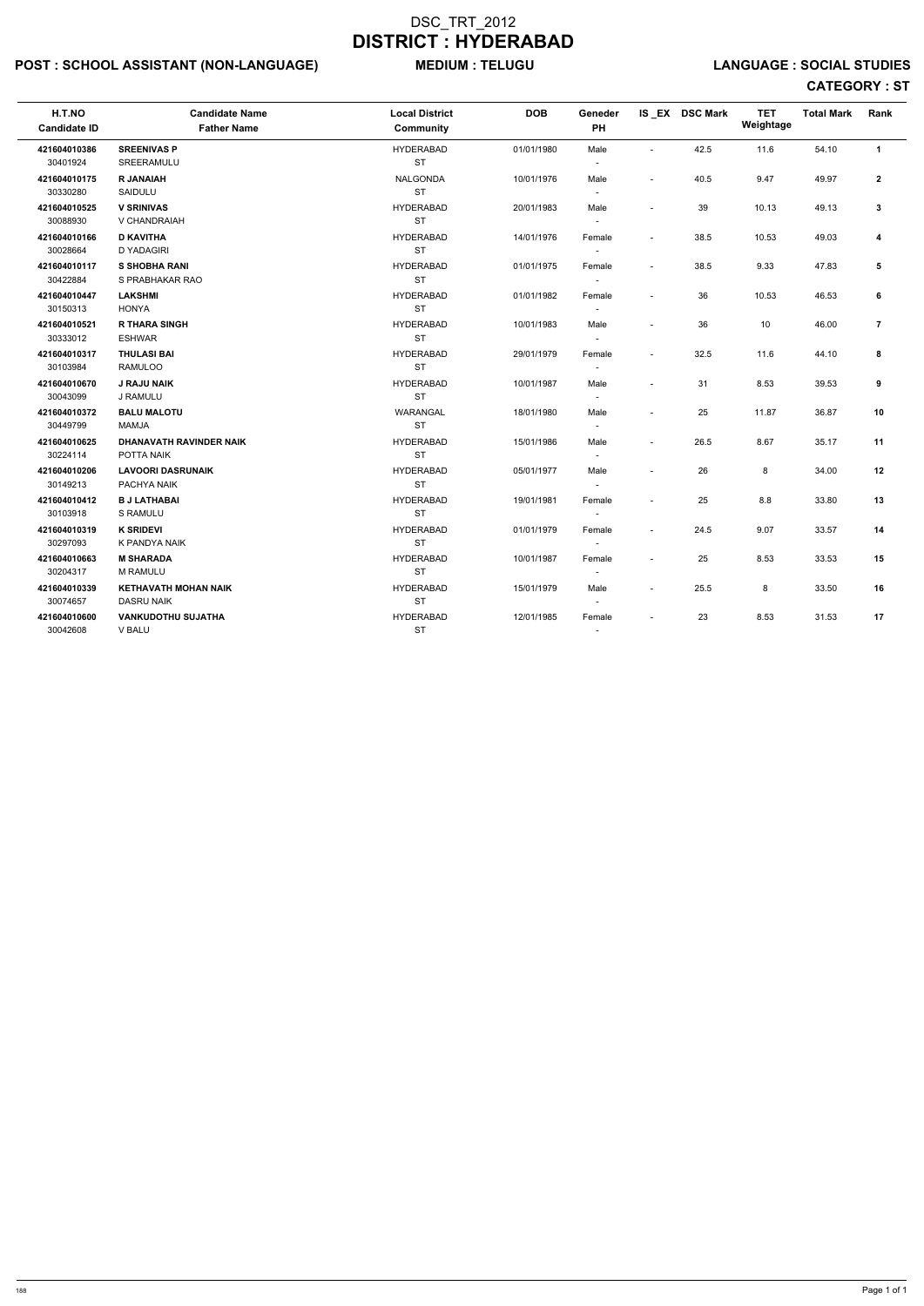# POST : SCHOOL ASSISTANT (NON-LANGUAGE) MEDIUM : TELUGU LANGUAGE : SOCIAL STUDIES

| H.T.NO<br><b>Candidate ID</b> | <b>Candidate Name</b><br><b>Father Name</b>      | <b>Local District</b><br>Community | <b>DOB</b> | <b>Geneder</b><br>PH     |                          | IS_EX DSC Mark | <b>TET</b><br>Weightage | <b>Total Mark</b> | Rank           |
|-------------------------------|--------------------------------------------------|------------------------------------|------------|--------------------------|--------------------------|----------------|-------------------------|-------------------|----------------|
| 421604010386<br>30401924      | <b>SREENIVAS P</b><br>SREERAMULU                 | <b>HYDERABAD</b><br><b>ST</b>      | 01/01/1980 | Male<br>$\sim$           | $\sim$                   | 42.5           | 11.6                    | 54.10             | $\mathbf{1}$   |
|                               |                                                  |                                    |            |                          |                          |                |                         |                   |                |
| 421604010175<br>30330280      | <b>R JANAIAH</b><br>SAIDULU                      | <b>NALGONDA</b><br><b>ST</b>       | 10/01/1976 | Male<br>$\sim$           | $\blacksquare$           | 40.5           | 9.47                    | 49.97             | $\mathbf{2}$   |
| 421604010525                  | <b>V SRINIVAS</b>                                | <b>HYDERABAD</b>                   | 20/01/1983 | Male                     | $\overline{a}$           | 39             | 10.13                   | 49.13             | $\mathbf{3}$   |
| 30088930                      | V CHANDRAIAH                                     | <b>ST</b>                          |            | $\blacksquare$           |                          |                |                         |                   |                |
| 421604010166                  | <b>D KAVITHA</b>                                 | <b>HYDERABAD</b>                   | 14/01/1976 | Female                   | $\sim$                   | 38.5           | 10.53                   | 49.03             | 4              |
| 30028664                      | <b>D YADAGIRI</b>                                | <b>ST</b>                          |            | $\blacksquare$           |                          |                |                         |                   |                |
| 421604010117                  | <b>S SHOBHA RANI</b>                             | <b>HYDERABAD</b>                   | 01/01/1975 | Female                   | $\sim$                   | 38.5           | 9.33                    | 47.83             | 5              |
| 30422884                      | S PRABHAKAR RAO                                  | <b>ST</b>                          |            | $\overline{\phantom{a}}$ |                          |                |                         |                   |                |
| 421604010447                  | <b>LAKSHMI</b>                                   | <b>HYDERABAD</b>                   | 01/01/1982 | Female                   | $\blacksquare$           | 36             | 10.53                   | 46.53             | 6              |
| 30150313                      | <b>HONYA</b>                                     | <b>ST</b>                          |            | $\sim$                   |                          |                |                         |                   |                |
| 421604010521                  | <b>R THARA SINGH</b>                             | <b>HYDERABAD</b>                   | 10/01/1983 | Male                     |                          | 36             | 10                      | 46.00             | $\overline{7}$ |
| 30333012                      | <b>ESHWAR</b>                                    | <b>ST</b>                          |            | $\sim$                   |                          |                |                         |                   |                |
| 421604010317                  | <b>THULASI BAI</b>                               | <b>HYDERABAD</b>                   | 29/01/1979 | Female                   | $\blacksquare$           | 32.5           | 11.6                    | 44.10             | 8              |
| 30103984                      | <b>RAMULOO</b>                                   | ST                                 |            | $\overline{a}$           |                          |                |                         |                   |                |
| 421604010670                  | <b>J RAJU NAIK</b>                               | <b>HYDERABAD</b>                   | 10/01/1987 | Male                     | $\blacksquare$           | 31             | 8.53                    | 39.53             | 9              |
| 30043099                      | J RAMULU                                         | <b>ST</b>                          |            | $\sim$                   |                          |                |                         |                   |                |
| 421604010372                  | <b>BALU MALOTU</b>                               | <b>WARANGAL</b>                    | 18/01/1980 | Male                     | $\overline{a}$           | 25             | 11.87                   | 36.87             | 10             |
| 30449799                      | <b>MAMJA</b>                                     | <b>ST</b>                          |            | $\sim$                   |                          |                |                         |                   |                |
| 421604010625                  | <b>DHANAVATH RAVINDER NAIK</b>                   | <b>HYDERABAD</b>                   | 15/01/1986 | Male                     | $\overline{\phantom{a}}$ | 26.5           | 8.67                    | 35.17             | 11             |
| 30224114                      | POTTA NAIK                                       | <b>ST</b>                          |            | $\sim$                   |                          |                |                         |                   |                |
| 421604010206                  | <b>LAVOORI DASRUNAIK</b>                         | <b>HYDERABAD</b>                   | 05/01/1977 | Male                     |                          | 26             | 8                       | 34.00             | 12             |
| 30149213                      | PACHYA NAIK                                      | <b>ST</b>                          |            | $\overline{a}$           |                          |                |                         |                   |                |
| 421604010412                  | <b>B J LATHABAI</b>                              | <b>HYDERABAD</b>                   | 19/01/1981 | Female                   |                          | 25             | 8.8                     | 33.80             | 13             |
| 30103918                      | S RAMULU                                         | <b>ST</b>                          |            | $\sim$                   |                          |                |                         |                   |                |
| 421604010319                  | <b>K SRIDEVI</b>                                 | <b>HYDERABAD</b>                   | 01/01/1979 | Female                   | $\overline{a}$           | 24.5           | 9.07                    | 33.57             | 14             |
| 30297093                      | K PANDYA NAIK                                    | <b>ST</b>                          |            | $\overline{\phantom{a}}$ |                          |                |                         |                   |                |
| 421604010663                  | <b>M SHARADA</b>                                 | <b>HYDERABAD</b>                   | 10/01/1987 | Female                   | $\overline{a}$           | 25             | 8.53                    | 33.53             | 15             |
| 30204317                      | <b>M RAMULU</b>                                  | <b>ST</b>                          |            | $\sim$                   |                          |                |                         |                   |                |
| 421604010339<br>30074657      | <b>KETHAVATH MOHAN NAIK</b><br><b>DASRU NAIK</b> | <b>HYDERABAD</b><br><b>ST</b>      | 15/01/1979 | Male                     | $\overline{\phantom{a}}$ | 25.5           | 8                       | 33.50             | 16             |
|                               |                                                  |                                    |            |                          |                          |                |                         |                   |                |
| 421604010600<br>30042608      | <b>VANKUDOTHU SUJATHA</b><br><b>V BALU</b>       | <b>HYDERABAD</b><br><b>ST</b>      | 12/01/1985 | Female                   | $\blacksquare$           | 23             | 8.53                    | 31.53             | 17             |
|                               |                                                  |                                    |            |                          |                          |                |                         |                   |                |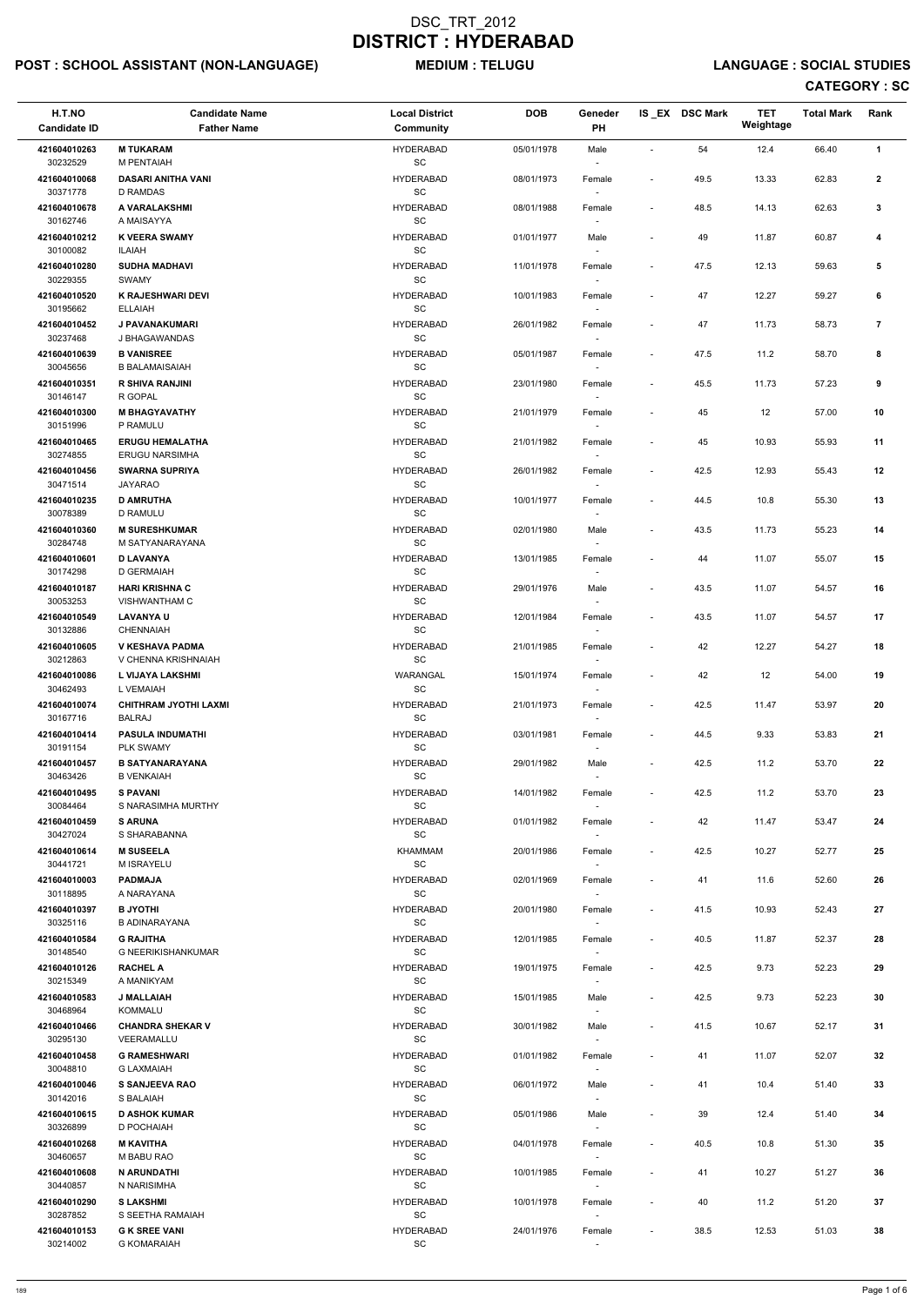# POST : SCHOOL ASSISTANT (NON-LANGUAGE) MEDIUM : TELUGU LANGUAGE : SOCIAL STUDIES

| H.T.NO<br><b>Candidate ID</b> | <b>Candidate Name</b><br><b>Father Name</b>  | <b>Local District</b><br>Community               | <b>DOB</b> | Geneder<br><b>PH</b>               |                          | IS_EX DSC Mark | <b>TET</b><br>Weightage | <b>Total Mark</b> | Rank         |
|-------------------------------|----------------------------------------------|--------------------------------------------------|------------|------------------------------------|--------------------------|----------------|-------------------------|-------------------|--------------|
| 421604010263                  | <b>M TUKARAM</b>                             | <b>HYDERABAD</b>                                 | 05/01/1978 | Male                               |                          | 54             | 12.4                    | 66.40             | 1            |
| 30232529                      | M PENTAIAH                                   | SC                                               |            |                                    |                          |                |                         |                   |              |
| 421604010068<br>30371778      | <b>DASARI ANITHA VANI</b><br><b>D RAMDAS</b> | <b>HYDERABAD</b><br>SC                           | 08/01/1973 | Female                             | $\overline{\phantom{a}}$ | 49.5           | 13.33                   | 62.83             | $\mathbf{2}$ |
| 421604010678<br>30162746      | A VARALAKSHMI<br>A MAISAYYA                  | <b>HYDERABAD</b><br>$\operatorname{\textsf{SC}}$ | 08/01/1988 | Female                             | $\blacksquare$           | 48.5           | 14.13                   | 62.63             | 3            |
| 421604010212<br>30100082      | <b>K VEERA SWAMY</b><br>ILAIAH               | <b>HYDERABAD</b><br>SC                           | 01/01/1977 | Male                               | $\blacksquare$           | 49             | 11.87                   | 60.87             | 4            |
| 421604010280<br>30229355      | <b>SUDHA MADHAVI</b><br>SWAMY                | <b>HYDERABAD</b><br>SC                           | 11/01/1978 | Female                             | $\overline{\phantom{a}}$ | 47.5           | 12.13                   | 59.63             | 5            |
| 421604010520<br>30195662      | K RAJESHWARI DEVI<br><b>ELLAIAH</b>          | <b>HYDERABAD</b><br>SC                           | 10/01/1983 | Female                             | $\blacksquare$           | 47             | 12.27                   | 59.27             | 6            |
| 421604010452<br>30237468      | J PAVANAKUMARI<br>J BHAGAWANDAS              | <b>HYDERABAD</b><br>SC                           | 26/01/1982 | Female                             |                          | 47             | 11.73                   | 58.73             | 7            |
| 421604010639<br>30045656      | <b>B VANISREE</b><br><b>B BALAMAISAIAH</b>   | <b>HYDERABAD</b><br>SC                           | 05/01/1987 | Female                             | $\overline{\phantom{a}}$ | 47.5           | 11.2                    | 58.70             | 8            |
| 421604010351                  | <b>R SHIVA RANJINI</b>                       | <b>HYDERABAD</b>                                 | 23/01/1980 | Female                             |                          | 45.5           | 11.73                   | 57.23             | 9            |
| 30146147<br>421604010300      | R GOPAL<br><b>M BHAGYAVATHY</b>              | SC<br><b>HYDERABAD</b>                           | 21/01/1979 | $\overline{\phantom{a}}$<br>Female | $\overline{\phantom{a}}$ | 45             | 12                      | 57.00             | 10           |
| 30151996<br>421604010465      | P RAMULU<br><b>ERUGU HEMALATHA</b>           | SC<br><b>HYDERABAD</b>                           | 21/01/1982 | $\sim$                             |                          | 45             | 10.93                   | 55.93             | 11           |
| 30274855                      | <b>ERUGU NARSIMHA</b>                        | $\operatorname{\textsf{SC}}$                     |            | Female                             |                          |                |                         |                   |              |
| 421604010456<br>30471514      | <b>SWARNA SUPRIYA</b><br>JAYARAO             | <b>HYDERABAD</b><br>SC                           | 26/01/1982 | Female                             | $\overline{\phantom{a}}$ | 42.5           | 12.93                   | 55.43             | 12           |
| 421604010235<br>30078389      | <b>D AMRUTHA</b><br>D RAMULU                 | <b>HYDERABAD</b><br>$\operatorname{\textsf{SC}}$ | 10/01/1977 | Female<br>$\sim$                   | $\blacksquare$           | 44.5           | 10.8                    | 55.30             | 13           |
| 421604010360<br>30284748      | <b>M SURESHKUMAR</b><br>M SATYANARAYANA      | <b>HYDERABAD</b><br>SC                           | 02/01/1980 | Male                               | $\blacksquare$           | 43.5           | 11.73                   | 55.23             | 14           |
| 421604010601<br>30174298      | <b>D LAVANYA</b><br>D GERMAIAH               | <b>HYDERABAD</b><br>$\operatorname{\textsf{SC}}$ | 13/01/1985 | Female                             | $\overline{\phantom{a}}$ | 44             | 11.07                   | 55.07             | 15           |
| 421604010187<br>30053253      | <b>HARI KRISHNA C</b><br>VISHWANTHAM C       | <b>HYDERABAD</b><br>SC                           | 29/01/1976 | Male                               |                          | 43.5           | 11.07                   | 54.57             | 16           |
| 421604010549<br>30132886      | <b>LAVANYA U</b><br><b>CHENNAIAH</b>         | <b>HYDERABAD</b><br>$\operatorname{\textsf{SC}}$ | 12/01/1984 | Female                             | $\overline{\phantom{a}}$ | 43.5           | 11.07                   | 54.57             | 17           |
| 421604010605                  | V KESHAVA PADMA                              | <b>HYDERABAD</b>                                 | 21/01/1985 | $\sim$<br>Female                   | $\overline{\phantom{a}}$ | 42             | 12.27                   | 54.27             | 18           |
| 30212863<br>421604010086      | V CHENNA KRISHNAIAH<br>L VIJAYA LAKSHMI      | SC<br>WARANGAL                                   | 15/01/1974 | Female                             | $\blacksquare$           | 42             | 12                      | 54.00             | 19           |
| 30462493<br>421604010074      | L VEMAIAH<br><b>CHITHRAM JYOTHI LAXMI</b>    | SC<br><b>HYDERABAD</b>                           | 21/01/1973 | Female                             | $\blacksquare$           | 42.5           | 11.47                   | 53.97             | 20           |
| 30167716                      | <b>BALRAJ</b>                                | SC                                               |            | $\sim$                             |                          |                |                         |                   |              |
| 421604010414<br>30191154      | <b>PASULA INDUMATHI</b><br>PLK SWAMY         | <b>HYDERABAD</b><br>SC                           | 03/01/1981 | Female<br>$\sim$                   | $\overline{\phantom{a}}$ | 44.5           | 9.33                    | 53.83             | 21           |
| 421604010457<br>30463426      | <b>B SATYANARAYANA</b><br><b>B VENKAIAH</b>  | <b>HYDERABAD</b><br>SC                           | 29/01/1982 | Male<br>$\sim$                     | $\blacksquare$           | 42.5           | 11.2                    | 53.70             | 22           |
| 421604010495<br>30084464      | <b>S PAVANI</b><br>S NARASIMHA MURTHY        | <b>HYDERABAD</b><br>$\operatorname{\textsf{SC}}$ | 14/01/1982 | Female                             | $\overline{\phantom{a}}$ | 42.5           | 11.2                    | 53.70             | 23           |
| 421604010459<br>30427024      | <b>S ARUNA</b><br>S SHARABANNA               | <b>HYDERABAD</b><br>SC                           | 01/01/1982 | Female<br>$\sim$                   | $\blacksquare$           | 42             | 11.47                   | 53.47             | 24           |
| 421604010614                  | <b>M SUSEELA</b>                             | KHAMMAM                                          | 20/01/1986 | Female                             | $\overline{\phantom{a}}$ | 42.5           | 10.27                   | 52.77             | 25           |
| 30441721<br>421604010003      | M ISRAYELU<br><b>PADMAJA</b>                 | SC<br><b>HYDERABAD</b>                           | 02/01/1969 | $\overline{\phantom{a}}$<br>Female | $\overline{\phantom{a}}$ | 41             | 11.6                    | 52.60             | 26           |
| 30118895<br>421604010397      | A NARAYANA<br><b>B JYOTHI</b>                | SC<br><b>HYDERABAD</b>                           | 20/01/1980 | $\sim$<br>Female                   | $\overline{\phantom{a}}$ | 41.5           | 10.93                   | 52.43             | 27           |
| 30325116<br>421604010584      | <b>B ADINARAYANA</b><br><b>G RAJITHA</b>     | $\operatorname{\textsf{SC}}$<br><b>HYDERABAD</b> | 12/01/1985 | Female                             | $\blacksquare$           | 40.5           | 11.87                   | 52.37             | 28           |
| 30148540<br>421604010126      | G NEERIKISHANKUMAR<br><b>RACHEL A</b>        | SC<br><b>HYDERABAD</b>                           | 19/01/1975 |                                    | $\overline{\phantom{a}}$ | 42.5           | 9.73                    | 52.23             | 29           |
| 30215349                      | A MANIKYAM                                   | SC                                               |            | Female<br>$\sim$                   |                          |                |                         |                   |              |
| 421604010583<br>30468964      | <b>J MALLAIAH</b><br><b>KOMMALU</b>          | <b>HYDERABAD</b><br><b>SC</b>                    | 15/01/1985 | Male<br>$\sim$                     | $\blacksquare$           | 42.5           | 9.73                    | 52.23             | 30           |
| 421604010466<br>30295130      | <b>CHANDRA SHEKAR V</b><br>VEERAMALLU        | <b>HYDERABAD</b><br>SC                           | 30/01/1982 | Male<br>$\sim$                     | $\overline{\phantom{a}}$ | 41.5           | 10.67                   | 52.17             | 31           |
| 421604010458<br>30048810      | <b>G RAMESHWARI</b><br><b>G LAXMAIAH</b>     | <b>HYDERABAD</b><br>SC                           | 01/01/1982 | Female                             | $\sim$                   | 41             | 11.07                   | 52.07             | 32           |
| 421604010046                  | <b>S SANJEEVA RAO</b>                        | <b>HYDERABAD</b>                                 | 06/01/1972 | Male                               | $\blacksquare$           | 41             | 10.4                    | 51.40             | 33           |
| 30142016<br>421604010615      | S BALAIAH<br><b>D ASHOK KUMAR</b>            | SC<br><b>HYDERABAD</b>                           | 05/01/1986 | $\overline{\phantom{a}}$<br>Male   |                          | 39             | 12.4                    | 51.40             | 34           |
| 30326899<br>421604010268      | D POCHAIAH<br><b>M KAVITHA</b>               | $\operatorname{\textsf{SC}}$<br><b>HYDERABAD</b> | 04/01/1978 | $\overline{\phantom{a}}$<br>Female | $\overline{\phantom{a}}$ | 40.5           | 10.8                    | 51.30             | 35           |
| 30460657<br>421604010608      | M BABU RAO<br>N ARUNDATHI                    | SC<br><b>HYDERABAD</b>                           | 10/01/1985 | $\overline{\phantom{a}}$<br>Female | $\overline{\phantom{a}}$ | 41             | 10.27                   | 51.27             | 36           |
| 30440857<br>421604010290      | N NARISIMHA<br><b>SLAKSHMI</b>               | SC<br><b>HYDERABAD</b>                           | 10/01/1978 | $\sim$                             | $\overline{\phantom{a}}$ | 40             | 11.2                    | 51.20             | 37           |
| 30287852                      | S SEETHA RAMAIAH                             | $\operatorname{\textsf{SC}}$                     |            | Female<br>$\sim$                   |                          |                |                         |                   |              |
| 421604010153<br>30214002      | <b>G K SREE VANI</b><br><b>G KOMARAIAH</b>   | <b>HYDERABAD</b><br>SC                           | 24/01/1976 | Female<br>$\sim$                   | $\overline{\phantom{a}}$ | 38.5           | 12.53                   | 51.03             | 38           |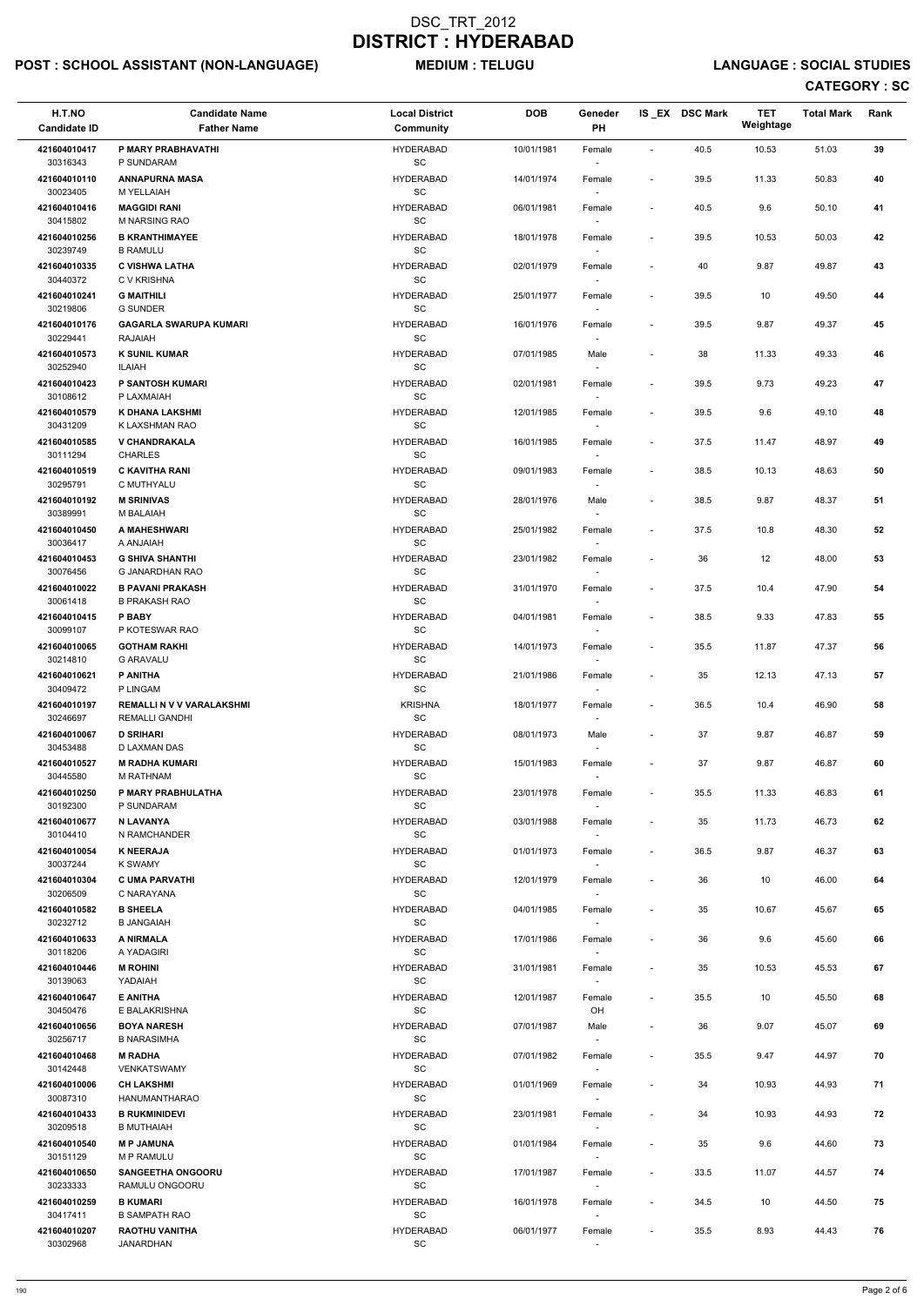# POST : SCHOOL ASSISTANT (NON-LANGUAGE) MEDIUM : TELUGU LANGUAGE : SOCIAL STUDIES

| H.T.NO<br><b>Candidate ID</b> | <b>Candidate Name</b><br><b>Father Name</b>        | <b>Local District</b><br>Community               | <b>DOB</b> | Geneder<br>PH                      |                              | IS EX DSC Mark | <b>TET</b><br>Weightage | <b>Total Mark</b> | Rank |
|-------------------------------|----------------------------------------------------|--------------------------------------------------|------------|------------------------------------|------------------------------|----------------|-------------------------|-------------------|------|
| 421604010417                  | P MARY PRABHAVATHI                                 | <b>HYDERABAD</b>                                 | 10/01/1981 | Female                             | $\blacksquare$               | 40.5           | 10.53                   | 51.03             | 39   |
| 30316343                      | P SUNDARAM                                         | SC                                               |            |                                    |                              |                |                         |                   |      |
| 421604010110<br>30023405      | <b>ANNAPURNA MASA</b><br>M YELLAIAH                | <b>HYDERABAD</b><br>$\operatorname{\textsf{SC}}$ | 14/01/1974 | Female                             | $\overline{\phantom{a}}$     | 39.5           | 11.33                   | 50.83             | 40   |
| 421604010416<br>30415802      | <b>MAGGIDI RANI</b><br>M NARSING RAO               | <b>HYDERABAD</b><br>SC                           | 06/01/1981 | Female                             | $\overline{\phantom{a}}$     | 40.5           | 9.6                     | 50.10             | 41   |
| 421604010256                  | <b>B KRANTHIMAYEE</b>                              | <b>HYDERABAD</b>                                 | 18/01/1978 | Female                             | $\overline{\phantom{a}}$     | 39.5           | 10.53                   | 50.03             | 42   |
| 30239749<br>421604010335      | <b>B RAMULU</b><br><b>C VISHWA LATHA</b>           | <b>SC</b><br><b>HYDERABAD</b>                    | 02/01/1979 | $\overline{\phantom{a}}$<br>Female | $\qquad \qquad \blacksquare$ | 40             | 9.87                    | 49.87             | 43   |
| 30440372                      | C V KRISHNA                                        | SC                                               |            |                                    |                              |                |                         |                   |      |
| 421604010241<br>30219806      | <b>G MAITHILI</b><br><b>G SUNDER</b>               | <b>HYDERABAD</b><br>SC                           | 25/01/1977 | Female<br>$\sim$                   | $\overline{\phantom{a}}$     | 39.5           | 10                      | 49.50             | 44   |
| 421604010176<br>30229441      | <b>GAGARLA SWARUPA KUMARI</b><br><b>RAJAIAH</b>    | <b>HYDERABAD</b><br>SC                           | 16/01/1976 | Female                             | $\overline{\phantom{a}}$     | 39.5           | 9.87                    | 49.37             | 45   |
| 421604010573                  | <b>K SUNIL KUMAR</b>                               | <b>HYDERABAD</b>                                 | 07/01/1985 | Male                               | $\qquad \qquad \blacksquare$ | 38             | 11.33                   | 49.33             | 46   |
| 30252940<br>421604010423      | ILAIAH<br><b>P SANTOSH KUMARI</b>                  | <b>SC</b><br><b>HYDERABAD</b>                    | 02/01/1981 | Female                             | $\overline{\phantom{a}}$     | 39.5           | 9.73                    | 49.23             | 47   |
| 30108612                      | P LAXMAIAH                                         | SC                                               |            | $\sim$                             |                              |                |                         |                   |      |
| 421604010579<br>30431209      | K DHANA LAKSHMI<br>K LAXSHMAN RAO                  | <b>HYDERABAD</b><br>SC                           | 12/01/1985 | Female                             | $\overline{\phantom{a}}$     | 39.5           | 9.6                     | 49.10             | 48   |
| 421604010585<br>30111294      | <b>V CHANDRAKALA</b><br><b>CHARLES</b>             | <b>HYDERABAD</b><br>SC                           | 16/01/1985 | Female                             | $\overline{\phantom{a}}$     | 37.5           | 11.47                   | 48.97             | 49   |
| 421604010519                  | <b>C KAVITHA RANI</b>                              | <b>HYDERABAD</b>                                 | 09/01/1983 | Female                             | $\overline{\phantom{a}}$     | 38.5           | 10.13                   | 48.63             | 50   |
| 30295791<br>421604010192      | C MUTHYALU<br><b>M SRINIVAS</b>                    | <b>SC</b><br><b>HYDERABAD</b>                    | 28/01/1976 | Male                               | $\overline{\phantom{a}}$     | 38.5           | 9.87                    | 48.37             | 51   |
| 30389991                      | M BALAIAH                                          | SC                                               |            | $\overline{\phantom{a}}$           |                              |                |                         |                   |      |
| 421604010450<br>30036417      | A MAHESHWARI<br>A ANJAIAH                          | <b>HYDERABAD</b><br><b>SC</b>                    | 25/01/1982 | Female                             | $\overline{\phantom{a}}$     | 37.5           | 10.8                    | 48.30             | 52   |
| 421604010453<br>30076456      | <b>G SHIVA SHANTHI</b><br>G JANARDHAN RAO          | <b>HYDERABAD</b><br>SC                           | 23/01/1982 | Female                             | $\overline{\phantom{a}}$     | 36             | 12                      | 48.00             | 53   |
| 421604010022<br>30061418      | <b>B PAVANI PRAKASH</b><br><b>B PRAKASH RAO</b>    | <b>HYDERABAD</b><br>SC                           | 31/01/1970 | Female                             | $\overline{\phantom{a}}$     | 37.5           | 10.4                    | 47.90             | 54   |
| 421604010415                  | P BABY                                             | <b>HYDERABAD</b>                                 | 04/01/1981 | Female                             | $\qquad \qquad \blacksquare$ | 38.5           | 9.33                    | 47.83             | 55   |
| 30099107<br>421604010065      | P KOTESWAR RAO<br><b>GOTHAM RAKHI</b>              | SC<br><b>HYDERABAD</b>                           | 14/01/1973 | $\sim$<br>Female                   | $\overline{\phantom{a}}$     | 35.5           | 11.87                   | 47.37             | 56   |
| 30214810                      | <b>G ARAVALU</b>                                   | SC                                               |            |                                    |                              |                |                         |                   |      |
| 421604010621<br>30409472      | <b>P ANITHA</b><br>P LINGAM                        | <b>HYDERABAD</b><br>SC                           | 21/01/1986 | Female                             | $\overline{\phantom{a}}$     | 35             | 12.13                   | 47.13             | 57   |
| 421604010197<br>30246697      | <b>REMALLI N V V VARALAKSHMI</b><br>REMALLI GANDHI | <b>KRISHNA</b><br>SC                             | 18/01/1977 | Female                             | $\overline{\phantom{a}}$     | 36.5           | 10.4                    | 46.90             | 58   |
| 421604010067                  | <b>D SRIHARI</b>                                   | <b>HYDERABAD</b>                                 | 08/01/1973 | Male                               | $\overline{\phantom{a}}$     | 37             | 9.87                    | 46.87             | 59   |
| 30453488<br>421604010527      | D LAXMAN DAS<br><b>M RADHA KUMARI</b>              | SC<br><b>HYDERABAD</b>                           | 15/01/1983 | $\sim$<br>Female                   | $\overline{\phantom{a}}$     | 37             | 9.87                    | 46.87             | 60   |
| 30445580<br>421604010250      | M RATHNAM<br>P MARY PRABHULATHA                    | SC<br><b>HYDERABAD</b>                           | 23/01/1978 | $\sim$                             | $\overline{\phantom{a}}$     | 35.5           | 11.33                   | 46.83             | 61   |
| 30192300                      | P SUNDARAM                                         | SC                                               |            | Female                             |                              |                |                         |                   |      |
| 421604010677<br>30104410      | N LAVANYA<br>N RAMCHANDER                          | <b>HYDERABAD</b><br>SC                           | 03/01/1988 | Female<br>$\sim$                   | $\overline{\phantom{a}}$     | 35             | 11.73                   | 46.73             | 62   |
| 421604010054                  | <b>K NEERAJA</b>                                   | <b>HYDERABAD</b>                                 | 01/01/1973 | Female                             | $\overline{\phantom{a}}$     | 36.5           | 9.87                    | 46.37             | 63   |
| 30037244<br>421604010304      | <b>K SWAMY</b><br><b>C UMA PARVATHI</b>            | SC<br><b>HYDERABAD</b>                           | 12/01/1979 | $\sim$<br>Female                   | $\qquad \qquad \blacksquare$ | 36             | 10                      | 46.00             | 64   |
| 30206509<br>421604010582      | C NARAYANA<br><b>B SHEELA</b>                      | SC<br><b>HYDERABAD</b>                           | 04/01/1985 | $\overline{\phantom{a}}$<br>Female | $\overline{\phantom{a}}$     | 35             | 10.67                   | 45.67             | 65   |
| 30232712                      | <b>B JANGAIAH</b>                                  | SC                                               |            |                                    |                              |                |                         |                   |      |
| 421604010633<br>30118206      | <b>A NIRMALA</b><br>A YADAGIRI                     | <b>HYDERABAD</b><br>SC                           | 17/01/1986 | Female                             | $\overline{\phantom{a}}$     | 36             | 9.6                     | 45.60             | 66   |
| 421604010446                  | <b>M ROHINI</b>                                    | <b>HYDERABAD</b>                                 | 31/01/1981 | Female                             | $\overline{\phantom{a}}$     | 35             | 10.53                   | 45.53             | 67   |
| 30139063<br>421604010647      | YADAIAH<br><b>E ANITHA</b>                         | SC<br><b>HYDERABAD</b>                           | 12/01/1987 | $\sim$<br>Female                   | $\qquad \qquad \blacksquare$ | 35.5           | 10                      | 45.50             | 68   |
| 30450476<br>421604010656      | E BALAKRISHNA<br><b>BOYA NARESH</b>                | <b>SC</b>                                        |            | OH                                 |                              |                |                         |                   | 69   |
| 30256717                      | <b>B NARASIMHA</b>                                 | <b>HYDERABAD</b><br>SC                           | 07/01/1987 | Male<br>$\sim$                     | $\overline{\phantom{a}}$     | 36             | 9.07                    | 45.07             |      |
| 421604010468<br>30142448      | <b>M RADHA</b><br>VENKATSWAMY                      | <b>HYDERABAD</b><br>SC                           | 07/01/1982 | Female                             | $\overline{\phantom{a}}$     | 35.5           | 9.47                    | 44.97             | 70   |
| 421604010006                  | <b>CH LAKSHMI</b>                                  | <b>HYDERABAD</b>                                 | 01/01/1969 | Female                             | $\overline{\phantom{a}}$     | 34             | 10.93                   | 44.93             | 71   |
| 30087310<br>421604010433      | HANUMANTHARAO<br><b>B RUKMINIDEVI</b>              | SC<br><b>HYDERABAD</b>                           | 23/01/1981 | $\sim$<br>Female                   |                              | 34             | 10.93                   | 44.93             | 72   |
| 30209518                      | <b>B MUTHAIAH</b>                                  | SC                                               |            |                                    |                              |                |                         |                   |      |
| 421604010540<br>30151129      | <b>MP JAMUNA</b><br>M P RAMULU                     | <b>HYDERABAD</b><br>SC                           | 01/01/1984 | Female<br>$\overline{\phantom{a}}$ | $\overline{\phantom{a}}$     | 35             | 9.6                     | 44.60             | 73   |
| 421604010650<br>30233333      | <b>SANGEETHA ONGOORU</b><br>RAMULU ONGOORU         | <b>HYDERABAD</b><br>SC                           | 17/01/1987 | Female<br>$\sim$                   | $\overline{\phantom{a}}$     | 33.5           | 11.07                   | 44.57             | 74   |
| 421604010259                  | <b>B KUMARI</b>                                    | <b>HYDERABAD</b>                                 | 16/01/1978 | Female                             | $\overline{\phantom{a}}$     | 34.5           | 10                      | 44.50             | 75   |
| 30417411<br>421604010207      | <b>B SAMPATH RAO</b><br><b>RAOTHU VANITHA</b>      | SC<br><b>HYDERABAD</b>                           | 06/01/1977 | $\sim$<br>Female                   | $\overline{\phantom{a}}$     | 35.5           | 8.93                    | 44.43             | 76   |
| 30302968                      | JANARDHAN                                          | SC                                               |            | $\sim$                             |                              |                |                         |                   |      |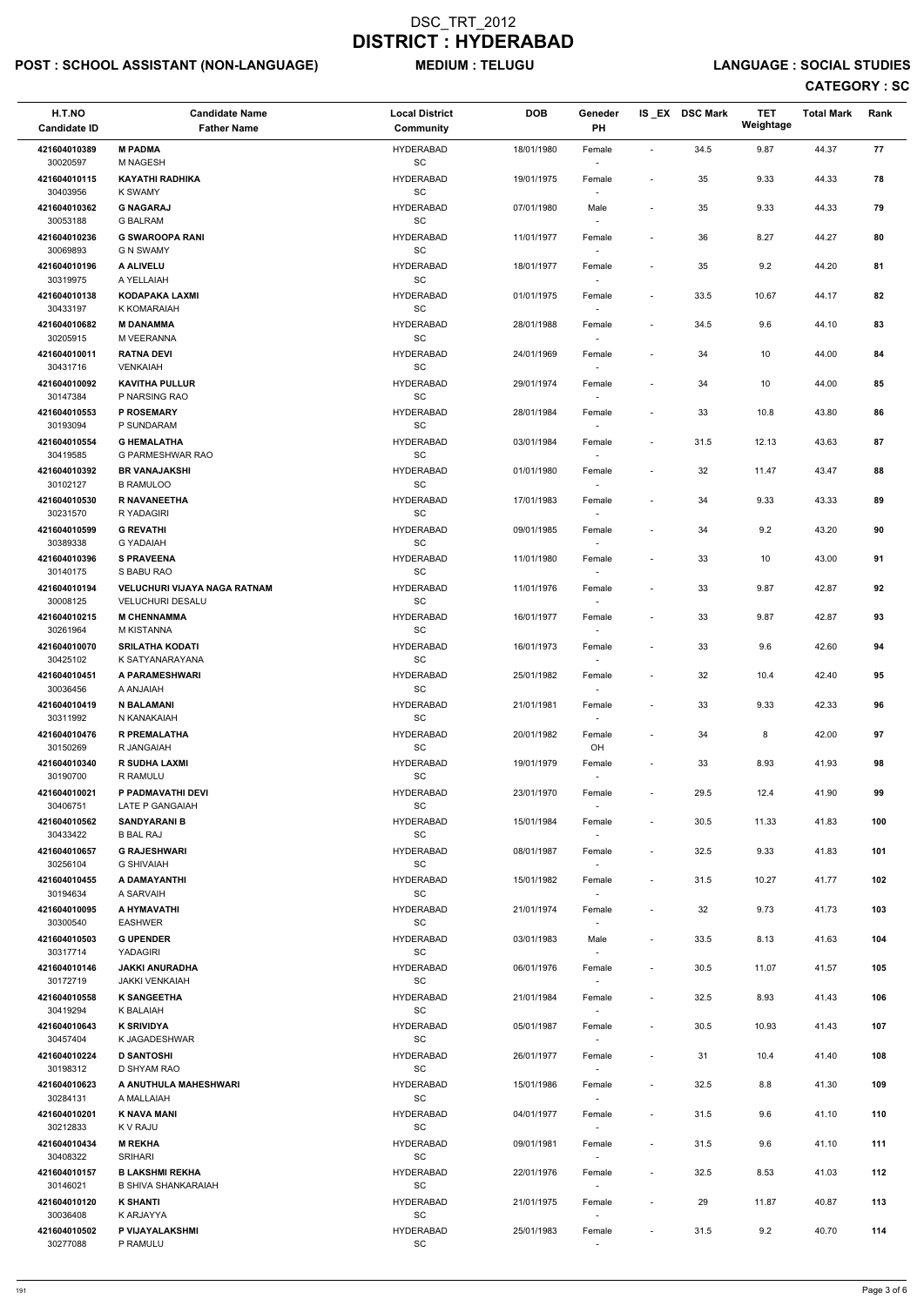# POST : SCHOOL ASSISTANT (NON-LANGUAGE) MEDIUM : TELUGU LANGUAGE : SOCIAL STUDIES

| H.T.NO<br><b>Candidate ID</b> | <b>Candidate Name</b><br><b>Father Name</b>             | <b>Local District</b><br>Community               | <b>DOB</b> | Geneder<br>PH                                                  |                          | IS EX DSC Mark | <b>TET</b><br>Weightage | <b>Total Mark</b> | Rank |
|-------------------------------|---------------------------------------------------------|--------------------------------------------------|------------|----------------------------------------------------------------|--------------------------|----------------|-------------------------|-------------------|------|
| 421604010389                  | <b>M PADMA</b>                                          | <b>HYDERABAD</b>                                 | 18/01/1980 | Female                                                         | $\blacksquare$           | 34.5           | 9.87                    | 44.37             | 77   |
| 30020597                      | M NAGESH                                                | <b>SC</b>                                        |            | $\overline{\phantom{a}}$                                       |                          |                |                         |                   |      |
| 421604010115<br>30403956      | <b>KAYATHI RADHIKA</b><br>K SWAMY                       | <b>HYDERABAD</b><br>SC                           | 19/01/1975 | Female                                                         |                          | 35             | 9.33                    | 44.33             | 78   |
| 421604010362<br>30053188      | <b>G NAGARAJ</b><br><b>G BALRAM</b>                     | <b>HYDERABAD</b><br>SC                           | 07/01/1980 | Male                                                           | $\blacksquare$           | 35             | 9.33                    | 44.33             | 79   |
| 421604010236<br>30069893      | <b>G SWAROOPA RANI</b><br><b>G N SWAMY</b>              | <b>HYDERABAD</b><br>$\operatorname{\textsf{SC}}$ | 11/01/1977 | Female<br>$\overline{\phantom{a}}$                             |                          | 36             | 8.27                    | 44.27             | 80   |
| 421604010196<br>30319975      | A ALIVELU<br>A YELLAIAH                                 | <b>HYDERABAD</b><br>SC                           | 18/01/1977 | Female                                                         | $\overline{\phantom{a}}$ | 35             | 9.2                     | 44.20             | 81   |
| 421604010138<br>30433197      | <b>KODAPAKA LAXMI</b><br>K KOMARAIAH                    | <b>HYDERABAD</b><br>SC                           | 01/01/1975 | $\overline{\phantom{a}}$<br>Female<br>$\overline{\phantom{a}}$ | $\overline{\phantom{a}}$ | 33.5           | 10.67                   | 44.17             | 82   |
| 421604010682<br>30205915      | <b>M DANAMMA</b><br>M VEERANNA                          | <b>HYDERABAD</b><br>$\operatorname{\textsf{SC}}$ | 28/01/1988 | Female                                                         | $\overline{\phantom{a}}$ | 34.5           | 9.6                     | 44.10             | 83   |
| 421604010011<br>30431716      | <b>RATNA DEVI</b><br><b>VENKAIAH</b>                    | <b>HYDERABAD</b><br>$\operatorname{\textsf{SC}}$ | 24/01/1969 | Female<br>$\sim$                                               | $\overline{\phantom{a}}$ | 34             | 10                      | 44.00             | 84   |
| 421604010092<br>30147384      | <b>KAVITHA PULLUR</b><br>P NARSING RAO                  | <b>HYDERABAD</b><br><b>SC</b>                    | 29/01/1974 | Female<br>$\overline{\phantom{a}}$                             |                          | 34             | 10                      | 44.00             | 85   |
| 421604010553                  | P ROSEMARY                                              | <b>HYDERABAD</b>                                 | 28/01/1984 | Female                                                         |                          | 33             | 10.8                    | 43.80             | 86   |
| 30193094<br>421604010554      | P SUNDARAM<br><b>G HEMALATHA</b>                        | SC<br><b>HYDERABAD</b>                           | 03/01/1984 | $\overline{\phantom{a}}$<br>Female                             |                          | 31.5           | 12.13                   | 43.63             | 87   |
| 30419585                      | G PARMESHWAR RAO                                        | $\operatorname{\textsf{SC}}$                     |            |                                                                |                          |                |                         |                   |      |
| 421604010392<br>30102127      | <b>BR VANAJAKSHI</b><br><b>B RAMULOO</b>                | <b>HYDERABAD</b><br>SC                           | 01/01/1980 | Female                                                         | $\overline{\phantom{a}}$ | 32             | 11.47                   | 43.47             | 88   |
| 421604010530<br>30231570      | <b>R NAVANEETHA</b><br>R YADAGIRI                       | <b>HYDERABAD</b><br>SC                           | 17/01/1983 | Female<br>$\sim$                                               |                          | 34             | 9.33                    | 43.33             | 89   |
| 421604010599<br>30389338      | <b>G REVATHI</b><br><b>G YADAIAH</b>                    | <b>HYDERABAD</b><br><b>SC</b>                    | 09/01/1985 | Female                                                         | $\overline{\phantom{a}}$ | 34             | 9.2                     | 43.20             | 90   |
| 421604010396<br>30140175      | <b>S PRAVEENA</b><br>S BABU RAO                         | <b>HYDERABAD</b><br>$\operatorname{\textsf{SC}}$ | 11/01/1980 | $\overline{\phantom{a}}$<br>Female<br>$\overline{\phantom{a}}$ | $\overline{\phantom{a}}$ | 33             | 10                      | 43.00             | 91   |
| 421604010194<br>30008125      | VELUCHURI VIJAYA NAGA RATNAM<br><b>VELUCHURI DESALU</b> | <b>HYDERABAD</b><br>SC                           | 11/01/1976 | Female<br>$\overline{\phantom{a}}$                             |                          | 33             | 9.87                    | 42.87             | 92   |
| 421604010215<br>30261964      | <b>M CHENNAMMA</b><br><b>M KISTANNA</b>                 | <b>HYDERABAD</b><br>SC                           | 16/01/1977 | Female<br>$\sim$                                               | $\overline{\phantom{a}}$ | 33             | 9.87                    | 42.87             | 93   |
| 421604010070                  | <b>SRILATHA KODATI</b>                                  | <b>HYDERABAD</b>                                 | 16/01/1973 | Female                                                         | $\overline{\phantom{a}}$ | 33             | 9.6                     | 42.60             | 94   |
| 30425102<br>421604010451      | K SATYANARAYANA<br>A PARAMESHWARI                       | <b>SC</b><br><b>HYDERABAD</b>                    | 25/01/1982 | Female                                                         | $\sim$                   | 32             | 10.4                    | 42.40             | 95   |
| 30036456                      | A ANJAIAH                                               | SC<br><b>HYDERABAD</b>                           |            |                                                                |                          |                |                         |                   |      |
| 421604010419<br>30311992      | <b>N BALAMANI</b><br>N KANAKAIAH                        | SC                                               | 21/01/1981 | Female<br>$\sim$                                               | $\overline{\phantom{a}}$ | 33             | 9.33                    | 42.33             | 96   |
| 421604010476<br>30150269      | <b>R PREMALATHA</b><br>R JANGAIAH                       | <b>HYDERABAD</b><br><b>SC</b>                    | 20/01/1982 | Female<br>OH                                                   | $\overline{\phantom{a}}$ | 34             | 8                       | 42.00             | 97   |
| 421604010340<br>30190700      | <b>R SUDHA LAXMI</b><br><b>R RAMULU</b>                 | <b>HYDERABAD</b><br>SC                           | 19/01/1979 | Female<br>$\sim$                                               | $\overline{\phantom{a}}$ | 33             | 8.93                    | 41.93             | 98   |
| 421604010021<br>30406751      | P PADMAVATHI DEVI<br>LATE P GANGAIAH                    | <b>HYDERABAD</b><br>SC                           | 23/01/1970 | Female                                                         | $\overline{\phantom{a}}$ | 29.5           | 12.4                    | 41.90             | 99   |
| 421604010562<br>30433422      | <b>SANDYARANI B</b><br><b>B BAL RAJ</b>                 | <b>HYDERABAD</b><br>SC                           | 15/01/1984 | Female<br>$\sim$                                               | $\overline{\phantom{a}}$ | 30.5           | 11.33                   | 41.83             | 100  |
| 421604010657<br>30256104      | <b>G RAJESHWARI</b><br><b>G SHIVAIAH</b>                | <b>HYDERABAD</b><br>SC                           | 08/01/1987 | Female<br>$\overline{\phantom{a}}$                             | $\overline{\phantom{a}}$ | 32.5           | 9.33                    | 41.83             | 101  |
| 421604010455<br>30194634      | A DAMAYANTHI<br>A SARVAIH                               | <b>HYDERABAD</b><br><b>SC</b>                    | 15/01/1982 | Female<br>$\sim$                                               | $\overline{\phantom{a}}$ | 31.5           | 10.27                   | 41.77             | 102  |
| 421604010095<br>30300540      | A HYMAVATHI<br><b>EASHWER</b>                           | <b>HYDERABAD</b><br>SC                           | 21/01/1974 | Female                                                         | $\overline{\phantom{a}}$ | 32             | 9.73                    | 41.73             | 103  |
| 421604010503<br>30317714      | <b>G UPENDER</b><br>YADAGIRI                            | <b>HYDERABAD</b><br>SC                           | 03/01/1983 | Male<br>$\blacksquare$                                         | $\overline{\phantom{a}}$ | 33.5           | 8.13                    | 41.63             | 104  |
| 421604010146                  | <b>JAKKI ANURADHA</b><br><b>JAKKI VENKAIAH</b>          | <b>HYDERABAD</b>                                 | 06/01/1976 | Female                                                         | $\overline{\phantom{a}}$ | 30.5           | 11.07                   | 41.57             | 105  |
| 30172719<br>421604010558      | <b>K SANGEETHA</b>                                      | SC<br><b>HYDERABAD</b>                           | 21/01/1984 | $\sim$<br>Female                                               | $\overline{\phantom{a}}$ | 32.5           | 8.93                    | 41.43             | 106  |
| 30419294<br>421604010643      | K BALAIAH<br><b>K SRIVIDYA</b>                          | <b>SC</b><br><b>HYDERABAD</b>                    | 05/01/1987 | $\sim$<br>Female                                               | $\overline{\phantom{a}}$ | 30.5           | 10.93                   | 41.43             | 107  |
| 30457404                      | K JAGADESHWAR                                           | <b>SC</b>                                        |            | $\overline{\phantom{a}}$                                       |                          |                |                         |                   |      |
| 421604010224<br>30198312      | <b>D SANTOSHI</b><br>D SHYAM RAO                        | <b>HYDERABAD</b><br>SC                           | 26/01/1977 | Female                                                         | $\overline{\phantom{a}}$ | 31             | 10.4                    | 41.40             | 108  |
| 421604010623                  | A ANUTHULA MAHESHWARI                                   | <b>HYDERABAD</b>                                 | 15/01/1986 | Female                                                         | $\blacksquare$           | 32.5           | 8.8                     | 41.30             | 109  |
| 30284131<br>421604010201      | A MALLAIAH<br><b>K NAVA MANI</b>                        | SC<br><b>HYDERABAD</b>                           | 04/01/1977 | $\sim$<br>Female                                               |                          | 31.5           | 9.6                     | 41.10             | 110  |
| 30212833<br>421604010434      | K V RAJU<br><b>M REKHA</b>                              | SC<br><b>HYDERABAD</b>                           | 09/01/1981 | $\overline{\phantom{a}}$<br>Female                             | $\overline{\phantom{a}}$ | 31.5           | 9.6                     | 41.10             | 111  |
| 30408322<br>421604010157      | SRIHARI<br><b>B LAKSHMI REKHA</b>                       | SC<br><b>HYDERABAD</b>                           | 22/01/1976 | $\sim$<br>Female                                               |                          | 32.5           | 8.53                    | 41.03             | 112  |
| 30146021                      | B SHIVA SHANKARAIAH                                     | SC                                               |            | $\sim$                                                         |                          |                |                         |                   |      |
| 421604010120<br>30036408      | <b>K SHANTI</b><br>K ARJAYYA                            | <b>HYDERABAD</b><br>SC                           | 21/01/1975 | Female<br>$\sim$                                               | $\blacksquare$           | 29             | 11.87                   | 40.87             | 113  |
| 421604010502<br>30277088      | P VIJAYALAKSHMI<br>P RAMULU                             | <b>HYDERABAD</b><br>SC                           | 25/01/1983 | Female<br>$\sim$                                               | $\sim$                   | 31.5           | 9.2                     | 40.70             | 114  |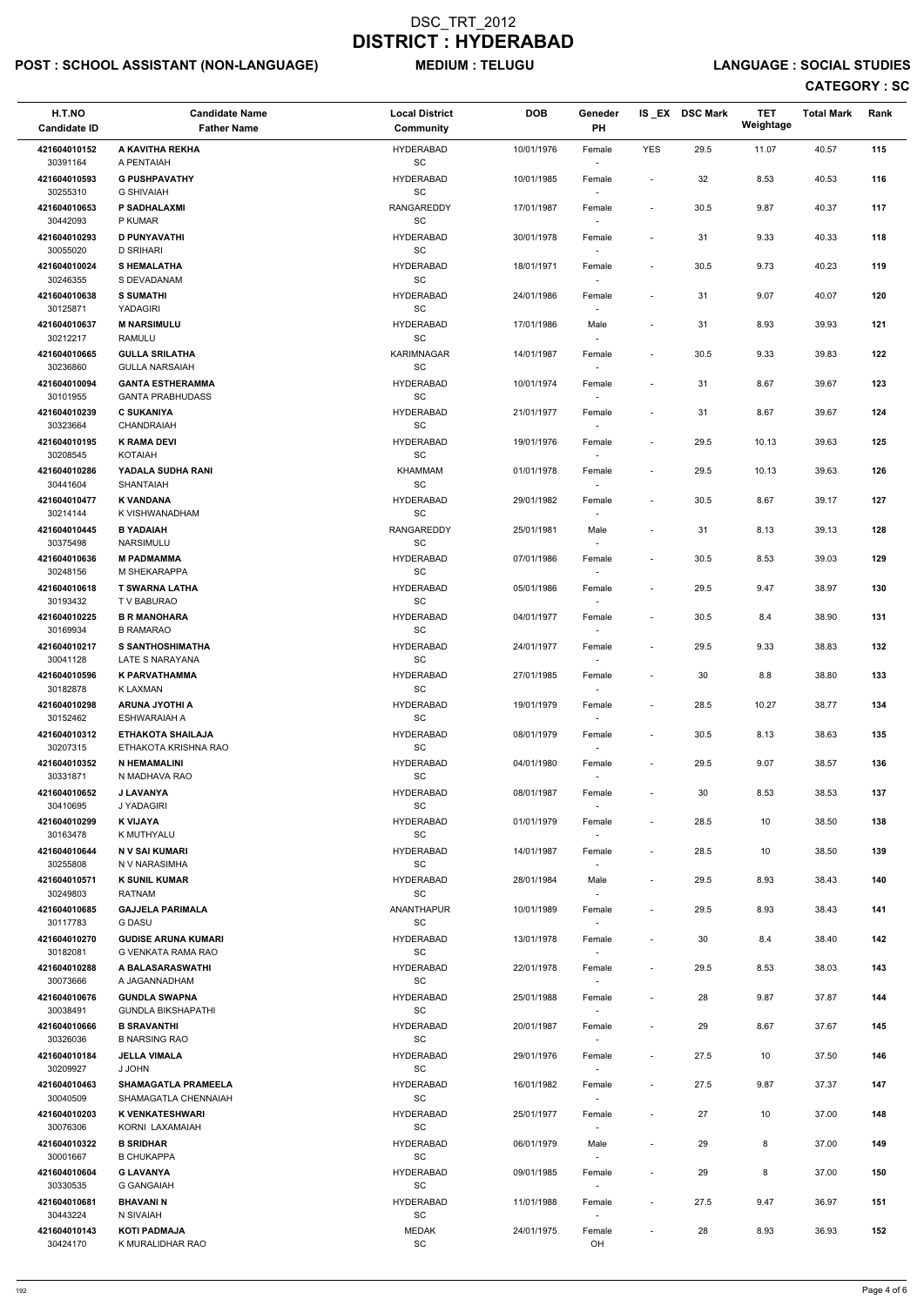# POST : SCHOOL ASSISTANT (NON-LANGUAGE) MEDIUM : TELUGU LANGUAGE : SOCIAL STUDIES

| H.T.NO<br><b>Candidate ID</b>        | <b>Candidate Name</b><br><b>Father Name</b>         | <b>Local District</b><br><b>Community</b>      | <b>DOB</b> | Geneder<br>PH                      |                              | IS EX DSC Mark | <b>TET</b><br>Weightage | <b>Total Mark</b> | Rank |
|--------------------------------------|-----------------------------------------------------|------------------------------------------------|------------|------------------------------------|------------------------------|----------------|-------------------------|-------------------|------|
| 421604010152                         | A KAVITHA REKHA                                     | <b>HYDERABAD</b>                               | 10/01/1976 | Female                             | <b>YES</b>                   | 29.5           | 11.07                   | 40.57             | 115  |
| 30391164<br>421604010593             | A PENTAIAH<br><b>G PUSHPAVATHY</b>                  | SC<br><b>HYDERABAD</b>                         | 10/01/1985 | Female                             | $\overline{\phantom{a}}$     | 32             | 8.53                    | 40.53             | 116  |
| 30255310<br>421604010653<br>30442093 | <b>G SHIVAIAH</b><br><b>P SADHALAXMI</b><br>P KUMAR | SC<br><b>RANGAREDDY</b><br>SC                  | 17/01/1987 | Female                             | $\overline{\phantom{a}}$     | 30.5           | 9.87                    | 40.37             | 117  |
| 421604010293<br>30055020             | <b>D PUNYAVATHI</b><br><b>D SRIHARI</b>             | <b>HYDERABAD</b><br>SC                         | 30/01/1978 | Female<br>$\sim$                   | $\overline{\phantom{a}}$     | 31             | 9.33                    | 40.33             | 118  |
| 421604010024                         | <b>SHEMALATHA</b>                                   | <b>HYDERABAD</b>                               | 18/01/1971 | Female                             | $\overline{\phantom{a}}$     | $30.5\,$       | 9.73                    | 40.23             | 119  |
| 30246355<br>421604010638             | S DEVADANAM<br><b>S SUMATHI</b>                     | SC<br><b>HYDERABAD</b>                         | 24/01/1986 | Female                             | $\overline{\phantom{a}}$     | 31             | 9.07                    | 40.07             | 120  |
| 30125871<br>421604010637<br>30212217 | YADAGIRI<br><b>M NARSIMULU</b><br><b>RAMULU</b>     | SC<br><b>HYDERABAD</b><br>SC                   | 17/01/1986 | Male                               | $\overline{\phantom{a}}$     | 31             | 8.93                    | 39.93             | 121  |
| 421604010665<br>30236860             | <b>GULLA SRILATHA</b><br><b>GULLA NARSAIAH</b>      | <b>KARIMNAGAR</b><br>SC                        | 14/01/1987 | Female<br>$\sim$                   | $\overline{\phantom{a}}$     | 30.5           | 9.33                    | 39.83             | 122  |
| 421604010094                         | <b>GANTA ESTHERAMMA</b>                             | <b>HYDERABAD</b>                               | 10/01/1974 | Female                             |                              | 31             | 8.67                    | 39.67             | 123  |
| 30101955<br>421604010239             | <b>GANTA PRABHUDASS</b><br><b>C SUKANIYA</b>        | SC<br><b>HYDERABAD</b>                         | 21/01/1977 | $\overline{\phantom{a}}$<br>Female | $\overline{\phantom{a}}$     | 31             | 8.67                    | 39.67             | 124  |
| 30323664                             | CHANDRAIAH                                          | SC                                             |            |                                    |                              |                |                         |                   |      |
| 421604010195<br>30208545             | <b>K RAMA DEVI</b><br><b>KOTAIAH</b>                | <b>HYDERABAD</b><br>SC                         | 19/01/1976 | Female                             | $\overline{\phantom{a}}$     | 29.5           | 10.13                   | 39.63             | 125  |
| 421604010286<br>30441604             | YADALA SUDHA RANI<br>SHANTAIAH                      | <b>KHAMMAM</b><br>$\operatorname{\textsf{SC}}$ | 01/01/1978 | Female                             | $\overline{\phantom{a}}$     | 29.5           | 10.13                   | 39.63             | 126  |
| 421604010477<br>30214144             | <b>K VANDANA</b><br>K VISHWANADHAM                  | <b>HYDERABAD</b><br>SC                         | 29/01/1982 | Female<br>$\sim$                   | $\qquad \qquad \blacksquare$ | $30.5\,$       | 8.67                    | 39.17             | 127  |
| 421604010445<br>30375498             | <b>B YADAIAH</b><br>NARSIMULU                       | <b>RANGAREDDY</b><br>SC                        | 25/01/1981 | Male<br>$\overline{\phantom{a}}$   | $\overline{\phantom{a}}$     | 31             | 8.13                    | 39.13             | 128  |
| 421604010636<br>30248156             | <b>M PADMAMMA</b><br>M SHEKARAPPA                   | <b>HYDERABAD</b><br>SC                         | 07/01/1986 | Female                             | $\overline{\phantom{a}}$     | 30.5           | 8.53                    | 39.03             | 129  |
| 421604010618<br>30193432             | <b>T SWARNA LATHA</b><br>T V BABURAO                | <b>HYDERABAD</b><br>SC                         | 05/01/1986 | Female<br>$\overline{\phantom{a}}$ | $\overline{\phantom{a}}$     | 29.5           | 9.47                    | 38.97             | 130  |
| 421604010225<br>30169934             | <b>B R MANOHARA</b><br><b>B RAMARAO</b>             | <b>HYDERABAD</b><br>SC                         | 04/01/1977 | Female<br>$\sim$                   | $\qquad \qquad \blacksquare$ | 30.5           | 8.4                     | 38.90             | 131  |
| 421604010217<br>30041128             | <b>S SANTHOSHIMATHA</b><br>LATE S NARAYANA          | <b>HYDERABAD</b><br>SC                         | 24/01/1977 | Female                             | $\overline{\phantom{a}}$     | 29.5           | 9.33                    | 38.83             | 132  |
| 421604010596                         | <b>K PARVATHAMMA</b>                                | <b>HYDERABAD</b>                               | 27/01/1985 | Female                             | $\overline{\phantom{a}}$     | 30             | 8.8                     | 38.80             | 133  |
| 30182878<br>421604010298             | K LAXMAN<br><b>ARUNA JYOTHI A</b>                   | <b>SC</b><br><b>HYDERABAD</b>                  | 19/01/1979 | Female                             | $\overline{\phantom{a}}$     | 28.5           | 10.27                   | 38.77             | 134  |
| 30152462<br>421604010312             | ESHWARAIAH A<br><b>ETHAKOTA SHAILAJA</b>            | SC<br><b>HYDERABAD</b>                         | 08/01/1979 | Female                             | $\overline{\phantom{a}}$     | 30.5           | 8.13                    | 38.63             | 135  |
| 30207315<br>421604010352             | ETHAKOTA KRISHNA RAO<br><b>N HEMAMALINI</b>         | SC<br><b>HYDERABAD</b>                         | 04/01/1980 | $\sim$<br>Female                   | $\overline{\phantom{a}}$     | 29.5           | 9.07                    | 38.57             | 136  |
| 30331871<br>421604010652             | N MADHAVA RAO<br><b>J LAVANYA</b>                   | SC<br><b>HYDERABAD</b>                         | 08/01/1987 | Female                             | $\overline{\phantom{a}}$     | 30             | 8.53                    | 38.53             | 137  |
| 30410695<br>421604010299             | J YADAGIRI<br>K VIJAYA                              | SC<br><b>HYDERABAD</b>                         | 01/01/1979 | Female                             | $\overline{\phantom{a}}$     | 28.5           | 10                      | 38.50             | 138  |
| 30163478                             | K MUTHYALU                                          | <b>SC</b>                                      |            | $\sim$                             |                              |                |                         |                   |      |
| 421604010644<br>30255808             | N V SAI KUMARI<br>N V NARASIMHA                     | <b>HYDERABAD</b><br>SC                         | 14/01/1987 | Female                             | $\overline{\phantom{a}}$     | 28.5           | 10                      | 38.50             | 139  |
| 421604010571<br>30249803             | <b>K SUNIL KUMAR</b><br><b>RATNAM</b>               | <b>HYDERABAD</b><br>SC                         | 28/01/1984 | Male<br>$\sim$                     | $\overline{\phantom{a}}$     | 29.5           | 8.93                    | 38.43             | 140  |
| 421604010685<br>30117783             | <b>GAJJELA PARIMALA</b><br><b>G DASU</b>            | ANANTHAPUR<br>SC                               | 10/01/1989 | Female                             | $\qquad \qquad \blacksquare$ | 29.5           | 8.93                    | 38.43             | 141  |
| 421604010270<br>30182081             | <b>GUDISE ARUNA KUMARI</b><br>G VENKATA RAMA RAO    | <b>HYDERABAD</b><br><b>SC</b>                  | 13/01/1978 | Female                             | $\qquad \qquad \blacksquare$ | 30             | 8.4                     | 38.40             | 142  |
| 421604010288<br>30073666             | A BALASARASWATHI<br>A JAGANNADHAM                   | <b>HYDERABAD</b><br><b>SC</b>                  | 22/01/1978 | Female<br>$\overline{\phantom{a}}$ | $\overline{\phantom{a}}$     | 29.5           | 8.53                    | 38.03             | 143  |
| 421604010676                         | <b>GUNDLA SWAPNA</b>                                | <b>HYDERABAD</b>                               | 25/01/1988 | Female                             | $\overline{\phantom{a}}$     | 28             | 9.87                    | 37.87             | 144  |
| 30038491<br>421604010666             | <b>GUNDLA BIKSHAPATHI</b><br><b>B SRAVANTHI</b>     | SC<br><b>HYDERABAD</b>                         | 20/01/1987 | $\sim$<br>Female                   | $\overline{\phantom{a}}$     | 29             | 8.67                    | 37.67             | 145  |
| 30326036                             | <b>B NARSING RAO</b>                                | SC                                             |            |                                    |                              |                |                         |                   |      |
| 421604010184<br>30209927             | <b>JELLA VIMALA</b><br>J JOHN                       | <b>HYDERABAD</b><br>SC                         | 29/01/1976 | Female                             | $\overline{\phantom{a}}$     | 27.5           | 10                      | 37.50             | 146  |
| 421604010463<br>30040509             | <b>SHAMAGATLA PRAMEELA</b><br>SHAMAGATLA CHENNAIAH  | <b>HYDERABAD</b><br>SC                         | 16/01/1982 | Female<br>$\sim$                   | $\overline{\phantom{a}}$     | 27.5           | 9.87                    | 37.37             | 147  |
| 421604010203<br>30076306             | <b>K VENKATESHWARI</b><br>KORNI LAXAMAIAH           | <b>HYDERABAD</b><br>SC                         | 25/01/1977 | Female                             | $\qquad \qquad \blacksquare$ | 27             | 10                      | 37.00             | 148  |
| 421604010322<br>30001667             | <b>B SRIDHAR</b><br><b>B CHUKAPPA</b>               | <b>HYDERABAD</b><br>SC                         | 06/01/1979 | Male<br>$\overline{\phantom{a}}$   | $\overline{\phantom{a}}$     | 29             | 8                       | 37.00             | 149  |
| 421604010604                         | <b>G LAVANYA</b>                                    | <b>HYDERABAD</b>                               | 09/01/1985 | Female                             |                              | 29             | 8                       | 37.00             | 150  |
| 30330535<br>421604010681             | <b>G GANGAIAH</b><br><b>BHAVANIN</b>                | SC<br><b>HYDERABAD</b>                         | 11/01/1988 | $\overline{\phantom{a}}$<br>Female | $\qquad \qquad \blacksquare$ | 27.5           | 9.47                    | 36.97             | 151  |
| 30443224<br>421604010143             | N SIVAIAH<br><b>KOTI PADMAJA</b>                    | SC<br><b>MEDAK</b>                             | 24/01/1975 | $\overline{\phantom{a}}$<br>Female | $\overline{\phantom{a}}$     | 28             | 8.93                    | 36.93             | 152  |
| 30424170                             | K MURALIDHAR RAO                                    | $\operatorname{\textsf{SC}}$                   |            | OH                                 |                              |                |                         |                   |      |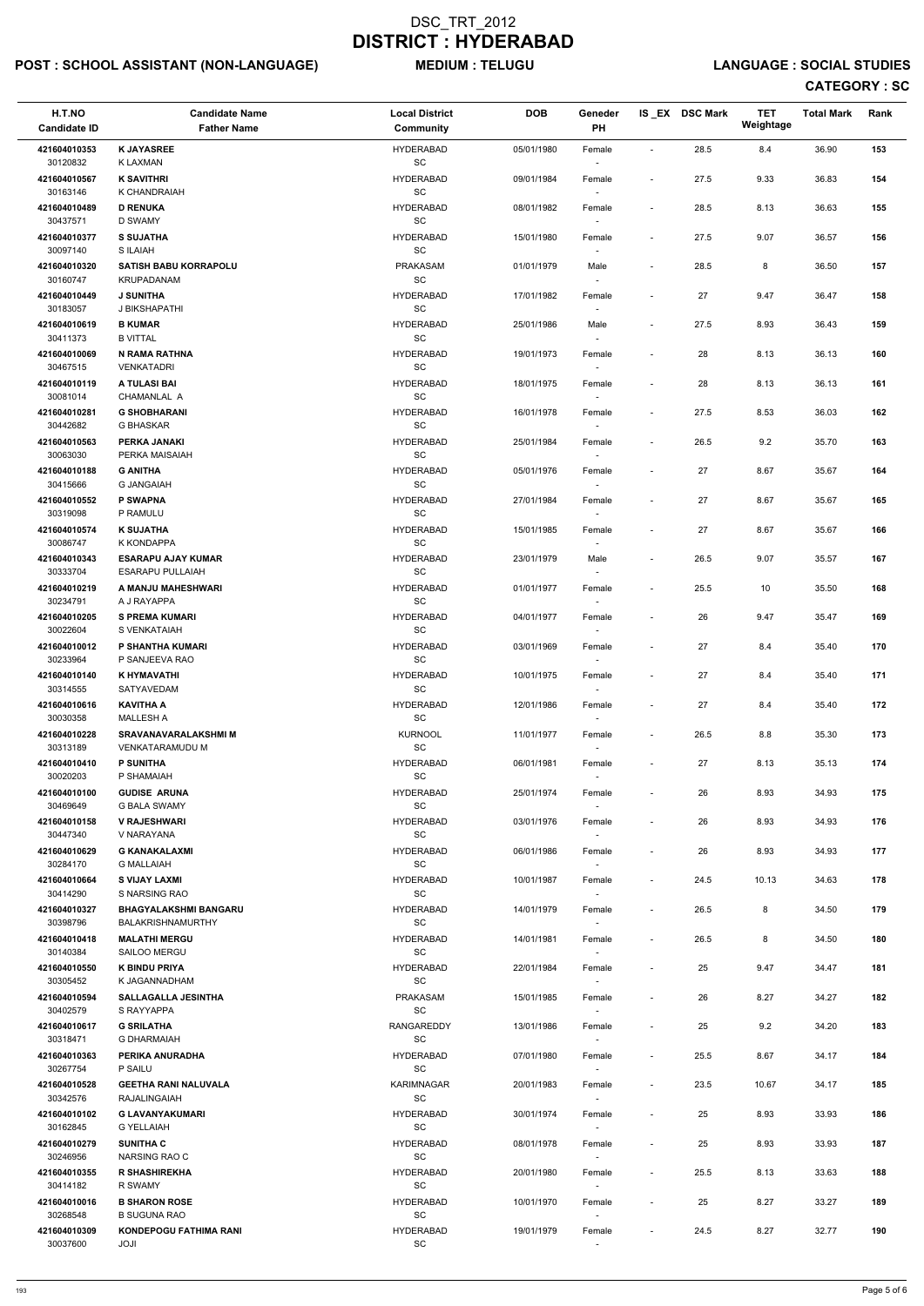# POST : SCHOOL ASSISTANT (NON-LANGUAGE) MEDIUM : TELUGU LANGUAGE : SOCIAL STUDIES

| H.T.NO<br><b>Candidate ID</b> | <b>Candidate Name</b><br><b>Father Name</b>          | <b>Local District</b><br><b>Community</b>        | <b>DOB</b> | Geneder<br><b>PH</b>               |                              | IS EX DSC Mark | <b>TET</b><br>Weightage | <b>Total Mark</b> | Rank |  |
|-------------------------------|------------------------------------------------------|--------------------------------------------------|------------|------------------------------------|------------------------------|----------------|-------------------------|-------------------|------|--|
| 421604010353<br>30120832      | <b>K JAYASREE</b><br>K LAXMAN                        | <b>HYDERABAD</b><br>SC                           | 05/01/1980 | Female<br>$\sim$                   | $\overline{\phantom{a}}$     | 28.5           | 8.4                     | 36.90             | 153  |  |
| 421604010567                  | <b>K SAVITHRI</b>                                    | <b>HYDERABAD</b><br><b>SC</b>                    | 09/01/1984 | Female                             | $\overline{\phantom{a}}$     | 27.5           | 9.33                    | 36.83             | 154  |  |
| 30163146<br>421604010489      | K CHANDRAIAH<br><b>D RENUKA</b>                      | <b>HYDERABAD</b>                                 | 08/01/1982 | Female                             | $\blacksquare$               | 28.5           | 8.13                    | 36.63             | 155  |  |
| 30437571<br>421604010377      | D SWAMY<br><b>S SUJATHA</b>                          | SC<br><b>HYDERABAD</b>                           | 15/01/1980 | Female                             | $\blacksquare$               | 27.5           | 9.07                    | 36.57             | 156  |  |
| 30097140<br>421604010320      | S ILAIAH<br><b>SATISH BABU KORRAPOLU</b>             | SC<br><b>PRAKASAM</b>                            | 01/01/1979 | $\sim$<br>Male                     | $\overline{\phantom{a}}$     | 28.5           | 8                       | 36.50             | 157  |  |
| 30160747<br>421604010449      | KRUPADANAM<br><b>J SUNITHA</b>                       | SC<br><b>HYDERABAD</b>                           | 17/01/1982 | $\sim$<br>Female                   | $\blacksquare$               | 27             | 9.47                    | 36.47             | 158  |  |
| 30183057<br>421604010619      | J BIKSHAPATHI<br><b>B KUMAR</b>                      | <b>SC</b><br><b>HYDERABAD</b>                    | 25/01/1986 | $\sim$<br>Male                     | $\blacksquare$               | 27.5           | 8.93                    | 36.43             | 159  |  |
| 30411373<br>421604010069      | <b>B VITTAL</b><br>N RAMA RATHNA                     | SC<br><b>HYDERABAD</b>                           | 19/01/1973 | Female                             | $\blacksquare$               | 28             | 8.13                    | 36.13             | 160  |  |
| 30467515<br>421604010119      | <b>VENKATADRI</b><br>A TULASI BAI                    | SC<br><b>HYDERABAD</b>                           | 18/01/1975 | $\sim$<br>Female                   |                              | 28             | 8.13                    | 36.13             | 161  |  |
| 30081014                      | CHAMANLAL A                                          | SC                                               |            | $\overline{\phantom{a}}$           |                              |                |                         |                   |      |  |
| 421604010281<br>30442682      | <b>G SHOBHARANI</b><br>G BHASKAR                     | <b>HYDERABAD</b><br>SC                           | 16/01/1978 | Female<br>$\sim$                   | $\blacksquare$               | 27.5           | 8.53                    | 36.03             | 162  |  |
| 421604010563<br>30063030      | PERKA JANAKI<br>PERKA MAISAIAH                       | <b>HYDERABAD</b><br>$\operatorname{\textsf{SC}}$ | 25/01/1984 | Female                             | $\overline{\phantom{a}}$     | 26.5           | 9.2                     | 35.70             | 163  |  |
| 421604010188<br>30415666      | <b>G ANITHA</b><br><b>G JANGAIAH</b>                 | <b>HYDERABAD</b><br>SC                           | 05/01/1976 | Female<br>$\sim$                   | $\overline{\phantom{a}}$     | 27             | 8.67                    | 35.67             | 164  |  |
| 421604010552<br>30319098      | <b>P SWAPNA</b><br>P RAMULU                          | <b>HYDERABAD</b><br>SC                           | 27/01/1984 | Female<br>$\sim$                   | $\overline{\phantom{a}}$     | 27             | 8.67                    | 35.67             | 165  |  |
| 421604010574<br>30086747      | <b>K SUJATHA</b><br>K KONDAPPA                       | <b>HYDERABAD</b><br>SC                           | 15/01/1985 | Female<br>$\overline{\phantom{a}}$ | $\overline{\phantom{a}}$     | 27             | 8.67                    | 35.67             | 166  |  |
| 421604010343<br>30333704      | <b>ESARAPU AJAY KUMAR</b><br><b>ESARAPU PULLAIAH</b> | <b>HYDERABAD</b><br>SC                           | 23/01/1979 | Male<br>$\sim$                     | $\blacksquare$               | 26.5           | 9.07                    | 35.57             | 167  |  |
| 421604010219<br>30234791      | A MANJU MAHESHWARI<br>A J RAYAPPA                    | <b>HYDERABAD</b><br>SC                           | 01/01/1977 | Female<br>$\overline{\phantom{a}}$ | $\overline{\phantom{a}}$     | 25.5           | 10                      | 35.50             | 168  |  |
| 421604010205<br>30022604      | <b>S PREMA KUMARI</b><br>S VENKATAIAH                | <b>HYDERABAD</b><br>$\operatorname{\textsf{SC}}$ | 04/01/1977 | Female<br>$\sim$                   | $\qquad \qquad \blacksquare$ | 26             | 9.47                    | 35.47             | 169  |  |
| 421604010012<br>30233964      | P SHANTHA KUMARI<br>P SANJEEVA RAO                   | <b>HYDERABAD</b><br><b>SC</b>                    | 03/01/1969 | Female                             | $\overline{\phantom{a}}$     | 27             | 8.4                     | 35.40             | 170  |  |
| 421604010140<br>30314555      | K HYMAVATHI<br>SATYAVEDAM                            | <b>HYDERABAD</b><br><b>SC</b>                    | 10/01/1975 | Female                             | $\overline{\phantom{a}}$     | 27             | 8.4                     | 35.40             | 171  |  |
| 421604010616                  | <b>KAVITHA A</b>                                     | <b>HYDERABAD</b>                                 | 12/01/1986 | Female                             | $\overline{\phantom{a}}$     | 27             | 8.4                     | 35.40             | 172  |  |
| 30030358<br>421604010228      | <b>MALLESH A</b><br><b>SRAVANAVARALAKSHMI M</b>      | SC<br><b>KURNOOL</b>                             | 11/01/1977 | $\sim$<br>Female                   | $\overline{\phantom{a}}$     | 26.5           | 8.8                     | 35.30             | 173  |  |
| 30313189<br>421604010410      | VENKATARAMUDU M<br><b>P SUNITHA</b>                  | <b>SC</b><br><b>HYDERABAD</b>                    | 06/01/1981 | $\sim$<br>Female                   | $\sim$                       | 27             | 8.13                    | 35.13             | 174  |  |
| 30020203<br>421604010100      | P SHAMAIAH<br><b>GUDISE ARUNA</b>                    | <b>SC</b><br><b>HYDERABAD</b>                    | 25/01/1974 | $\sim$<br>Female                   | $\overline{\phantom{a}}$     | 26             | 8.93                    | 34.93             | 175  |  |
| 30469649<br>421604010158      | <b>G BALA SWAMY</b><br><b>V RAJESHWARI</b>           | <b>SC</b><br><b>HYDERABAD</b>                    | 03/01/1976 | Female                             | $\overline{\phantom{a}}$     | 26             | 8.93                    | 34.93             | 176  |  |
| 30447340<br>421604010629      | V NARAYANA<br><b>G KANAKALAXMI</b>                   | <b>SC</b><br><b>HYDERABAD</b>                    | 06/01/1986 | $\sim$<br>Female                   | $\overline{\phantom{a}}$     | 26             | 8.93                    | 34.93             | 177  |  |
| 30284170<br>421604010664      | <b>G MALLAIAH</b><br><b>S VIJAY LAXMI</b>            | SC<br><b>HYDERABAD</b>                           | 10/01/1987 | $\sim$<br>Female                   | $\overline{\phantom{a}}$     | 24.5           | 10.13                   | 34.63             | 178  |  |
| 30414290<br>421604010327      | S NARSING RAO<br><b>BHAGYALAKSHMI BANGARU</b>        | <b>SC</b><br><b>HYDERABAD</b>                    | 14/01/1979 | $\sim$<br>Female                   | $\overline{\phantom{a}}$     | 26.5           | 8                       | 34.50             | 179  |  |
| 30398796                      | <b>BALAKRISHNAMURTHY</b>                             | <b>SC</b><br><b>HYDERABAD</b>                    |            | $\overline{\phantom{a}}$           |                              |                |                         |                   |      |  |
| 421604010418<br>30140384      | <b>MALATHI MERGU</b><br><b>SAILOO MERGU</b>          | SC                                               | 14/01/1981 | Female<br>$\overline{\phantom{a}}$ | $\overline{\phantom{a}}$     | 26.5           | 8                       | 34.50             | 180  |  |
| 421604010550<br>30305452      | <b>K BINDU PRIYA</b><br>K JAGANNADHAM                | <b>HYDERABAD</b><br>SC                           | 22/01/1984 | Female<br>$\sim$                   | $\overline{\phantom{a}}$     | 25             | 9.47                    | 34.47             | 181  |  |
| 421604010594<br>30402579      | <b>SALLAGALLA JESINTHA</b><br>S RAYYAPPA             | PRAKASAM<br>SC                                   | 15/01/1985 | Female<br>$\sim$                   | $\overline{\phantom{a}}$     | 26             | 8.27                    | 34.27             | 182  |  |
| 421604010617<br>30318471      | <b>G SRILATHA</b><br><b>G DHARMAIAH</b>              | RANGAREDDY<br><b>SC</b>                          | 13/01/1986 | Female<br>$\sim$                   | $\sim$                       | 25             | 9.2                     | 34.20             | 183  |  |
| 421604010363<br>30267754      | PERIKA ANURADHA<br>P SAILU                           | <b>HYDERABAD</b><br><b>SC</b>                    | 07/01/1980 | Female                             | $\sim$                       | 25.5           | 8.67                    | 34.17             | 184  |  |
| 421604010528<br>30342576      | <b>GEETHA RANI NALUVALA</b><br>RAJALINGAIAH          | KARIMNAGAR<br><b>SC</b>                          | 20/01/1983 | Female<br>$\sim$                   | $\sim$                       | 23.5           | 10.67                   | 34.17             | 185  |  |
| 421604010102<br>30162845      | <b>G LAVANYAKUMARI</b><br><b>G YELLAIAH</b>          | <b>HYDERABAD</b><br>$\operatorname{\textsf{SC}}$ | 30/01/1974 | Female                             |                              | 25             | 8.93                    | 33.93             | 186  |  |
| 421604010279<br>30246956      | <b>SUNITHA C</b><br>NARSING RAO C                    | <b>HYDERABAD</b><br><b>SC</b>                    | 08/01/1978 | Female<br>$\sim$                   | $\overline{\phantom{a}}$     | 25             | 8.93                    | 33.93             | 187  |  |
| 421604010355<br>30414182      | <b>R SHASHIREKHA</b><br>R SWAMY                      | <b>HYDERABAD</b><br>SC                           | 20/01/1980 | Female<br>$\sim$                   | $\overline{\phantom{a}}$     | 25.5           | 8.13                    | 33.63             | 188  |  |
| 421604010016<br>30268548      | <b>B SHARON ROSE</b><br><b>B SUGUNA RAO</b>          | <b>HYDERABAD</b><br>SC                           | 10/01/1970 | Female                             | $\sim$                       | 25             | 8.27                    | 33.27             | 189  |  |
| 421604010309<br>30037600      | <b>KONDEPOGU FATHIMA RANI</b><br>JOJI                | <b>HYDERABAD</b><br>$\operatorname{\textsf{SC}}$ | 19/01/1979 | $\sim$<br>Female<br>$\sim$         | $\overline{\phantom{a}}$     | 24.5           | 8.27                    | 32.77             | 190  |  |
|                               |                                                      |                                                  |            |                                    |                              |                |                         |                   |      |  |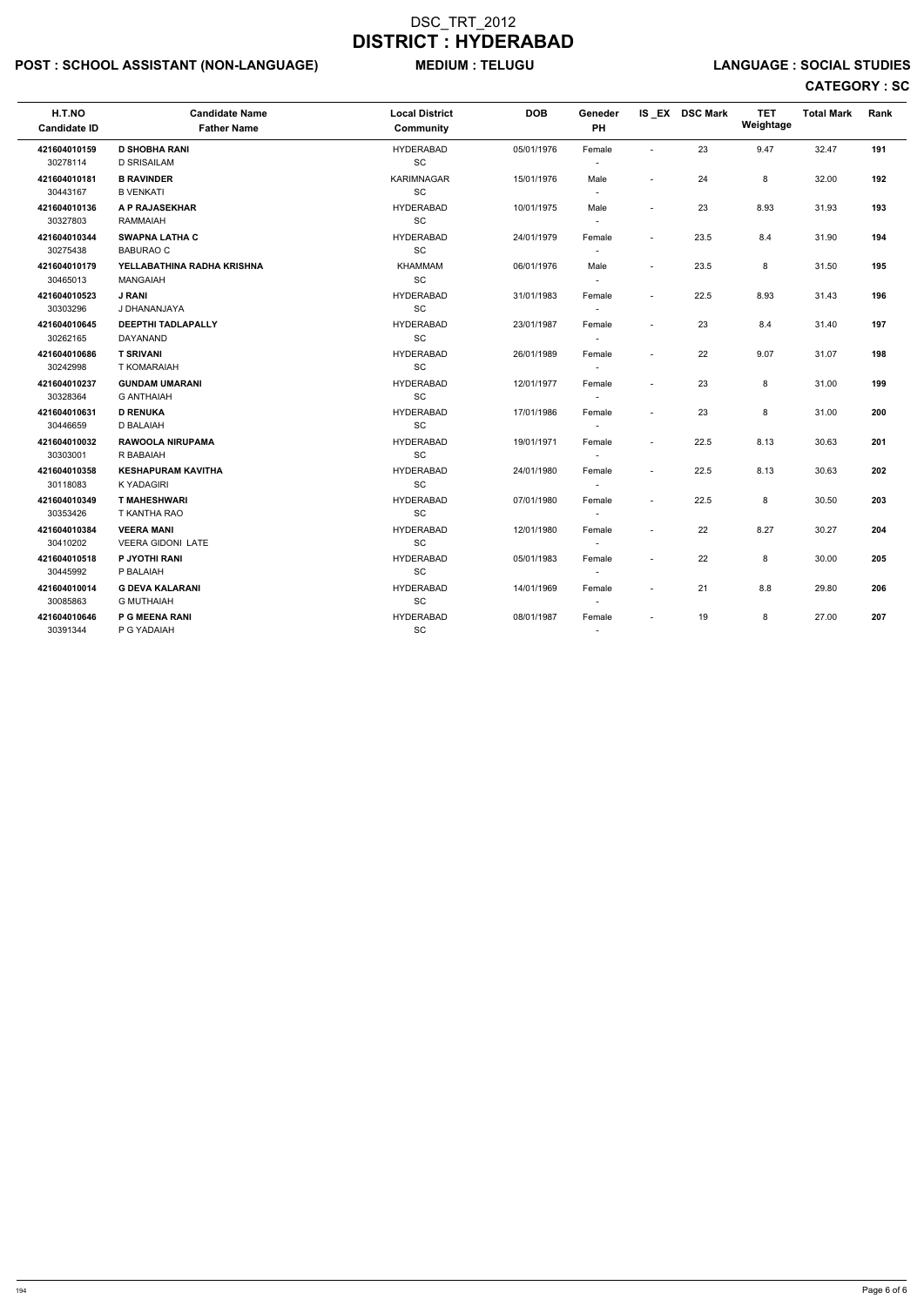# POST : SCHOOL ASSISTANT (NON-LANGUAGE) MEDIUM : TELUGU LANGUAGE : SOCIAL STUDIES

| H.T.NO<br><b>Candidate ID</b> | <b>Candidate Name</b><br><b>Father Name</b> | <b>Local District</b><br><b>Community</b> | <b>DOB</b> | Geneder<br><b>PH</b>     |                          | IS EX DSC Mark | <b>TET</b><br>Weightage | <b>Total Mark</b> | Rank |
|-------------------------------|---------------------------------------------|-------------------------------------------|------------|--------------------------|--------------------------|----------------|-------------------------|-------------------|------|
| 421604010159                  | <b>D SHOBHA RANI</b>                        | <b>HYDERABAD</b>                          | 05/01/1976 | Female                   | $\overline{\phantom{a}}$ | 23             | 9.47                    | 32.47             | 191  |
| 30278114                      | <b>D SRISAILAM</b>                          | <b>SC</b>                                 |            |                          |                          |                |                         |                   |      |
| 421604010181                  | <b>B RAVINDER</b>                           | KARIMNAGAR                                | 15/01/1976 | Male                     | $\blacksquare$           | 24             | 8                       | 32.00             | 192  |
| 30443167                      | <b>B VENKATI</b>                            | SC                                        |            | $\sim$                   |                          |                |                         |                   |      |
| 421604010136                  | A P RAJASEKHAR                              | <b>HYDERABAD</b>                          | 10/01/1975 | Male                     | $\blacksquare$           | 23             | 8.93                    | 31.93             | 193  |
| 30327803                      | <b>RAMMAIAH</b>                             | <b>SC</b>                                 |            | $\sim$                   |                          |                |                         |                   |      |
| 421604010344                  | <b>SWAPNA LATHA C</b>                       | <b>HYDERABAD</b>                          | 24/01/1979 | Female                   | $\sim$                   | 23.5           | 8.4                     | 31.90             | 194  |
| 30275438                      | <b>BABURAO C</b>                            | <b>SC</b>                                 |            | $\sim$                   |                          |                |                         |                   |      |
| 421604010179                  | YELLABATHINA RADHA KRISHNA                  | <b>KHAMMAM</b>                            | 06/01/1976 | Male                     | $\blacksquare$           | 23.5           | 8                       | 31.50             | 195  |
| 30465013                      | <b>MANGAIAH</b>                             | <b>SC</b>                                 |            | $\overline{\phantom{a}}$ |                          |                |                         |                   |      |
| 421604010523                  | <b>J RANI</b>                               | <b>HYDERABAD</b>                          | 31/01/1983 | Female                   | $\blacksquare$           | 22.5           | 8.93                    | 31.43             | 196  |
| 30303296                      | J DHANANJAYA                                | $\operatorname{\textsf{SC}}$              |            | $\sim$                   |                          |                |                         |                   |      |
| 421604010645                  | <b>DEEPTHI TADLAPALLY</b>                   | <b>HYDERABAD</b>                          | 23/01/1987 | Female                   | $\sim$                   | 23             | 8.4                     | 31.40             | 197  |
| 30262165                      | DAYANAND                                    | <b>SC</b>                                 |            | $\sim$                   |                          |                |                         |                   |      |
| 421604010686                  | <b>T SRIVANI</b>                            | <b>HYDERABAD</b>                          | 26/01/1989 | Female                   | $\blacksquare$           | 22             | 9.07                    | 31.07             | 198  |
| 30242998                      | <b>T KOMARAIAH</b>                          | <b>SC</b>                                 |            | $\sim$                   |                          |                |                         |                   |      |
| 421604010237                  | <b>GUNDAM UMARANI</b>                       | <b>HYDERABAD</b>                          | 12/01/1977 | Female                   | $\overline{a}$           | 23             | 8                       | 31.00             | 199  |
| 30328364                      | <b>G ANTHAIAH</b>                           | <b>SC</b>                                 |            | $\sim$                   |                          |                |                         |                   |      |
| 421604010631                  | <b>D RENUKA</b>                             | <b>HYDERABAD</b>                          | 17/01/1986 | Female                   | $\blacksquare$           | 23             | 8                       | 31.00             | 200  |
| 30446659                      | D BALAIAH                                   | <b>SC</b>                                 |            | $\sim$                   |                          |                |                         |                   |      |
| 421604010032                  | <b>RAWOOLA NIRUPAMA</b>                     | <b>HYDERABAD</b>                          | 19/01/1971 | Female                   | $\blacksquare$           | 22.5           | 8.13                    | 30.63             | 201  |
| 30303001                      | R BABAIAH                                   | SC                                        |            | $\sim$                   |                          |                |                         |                   |      |
| 421604010358                  | <b>KESHAPURAM KAVITHA</b>                   | <b>HYDERABAD</b>                          | 24/01/1980 | Female                   | $\overline{a}$           | 22.5           | 8.13                    | 30.63             | 202  |
| 30118083                      | <b>KYADAGIRI</b>                            | <b>SC</b>                                 |            | $\sim$                   |                          |                |                         |                   |      |
| 421604010349                  | <b>T MAHESHWARI</b>                         | <b>HYDERABAD</b>                          | 07/01/1980 | Female                   | $\overline{a}$           | 22.5           | 8                       | 30.50             | 203  |
| 30353426                      | T KANTHA RAO                                | SC                                        |            | $\sim$                   |                          |                |                         |                   |      |
| 421604010384                  | <b>VEERA MANI</b>                           | <b>HYDERABAD</b>                          | 12/01/1980 | Female                   | $\sim$                   | 22             | 8.27                    | 30.27             | 204  |
| 30410202                      | <b>VEERA GIDONI LATE</b>                    | <b>SC</b>                                 |            | $\sim$                   |                          |                |                         |                   |      |
| 421604010518                  | P JYOTHI RANI                               | <b>HYDERABAD</b>                          | 05/01/1983 | Female                   | $\overline{\phantom{a}}$ | 22             | 8                       | 30.00             | 205  |
| 30445992                      | P BALAIAH                                   | SC                                        |            | $\overline{\phantom{a}}$ |                          |                |                         |                   |      |
| 421604010014                  | <b>G DEVA KALARANI</b>                      | <b>HYDERABAD</b>                          | 14/01/1969 | Female                   | $\sim$                   | 21             | 8.8                     | 29.80             | 206  |
| 30085863                      | <b>G MUTHAIAH</b>                           | SC                                        |            |                          |                          |                |                         |                   |      |
| 421604010646                  | P G MEENA RANI                              | <b>HYDERABAD</b>                          | 08/01/1987 | Female                   | $\sim$                   | 19             | 8                       | 27.00             | 207  |
| 30391344                      | P G YADAIAH                                 | <b>SC</b>                                 |            |                          |                          |                |                         |                   |      |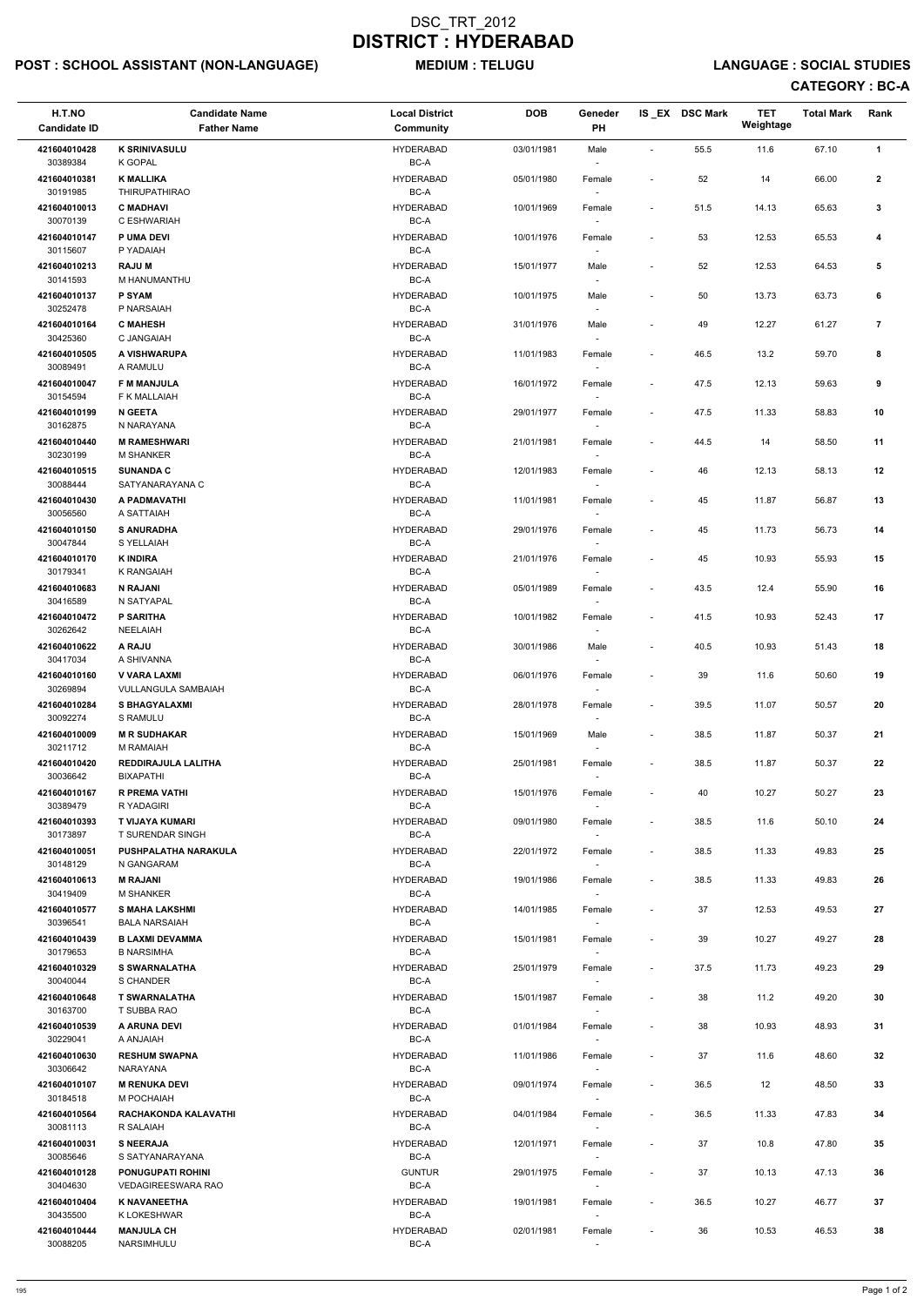# POST : SCHOOL ASSISTANT (NON-LANGUAGE) MEDIUM : TELUGU LANGUAGE : SOCIAL STUDIES

| H.T.NO<br><b>Candidate ID</b> | <b>Candidate Name</b><br><b>Father Name</b>   | <b>Local District</b><br>Community | <b>DOB</b> | Geneder<br>PH                      |                          | IS_EX DSC Mark | <b>TET</b><br>Weightage | <b>Total Mark</b> | Rank           |
|-------------------------------|-----------------------------------------------|------------------------------------|------------|------------------------------------|--------------------------|----------------|-------------------------|-------------------|----------------|
| 421604010428<br>30389384      | <b>K SRINIVASULU</b><br>K GOPAL               | <b>HYDERABAD</b><br>BC-A           | 03/01/1981 | Male                               | $\blacksquare$           | 55.5           | 11.6                    | 67.10             | $\mathbf{1}$   |
| 421604010381<br>30191985      | <b>K MALLIKA</b><br><b>THIRUPATHIRAO</b>      | <b>HYDERABAD</b><br>$BC-A$         | 05/01/1980 | Female                             | $\blacksquare$           | 52             | 14                      | 66.00             | $\mathbf{2}$   |
| 421604010013<br>30070139      | <b>C MADHAVI</b><br>C ESHWARIAH               | <b>HYDERABAD</b><br>BC-A           | 10/01/1969 | Female<br>$\sim$                   | $\sim$                   | 51.5           | 14.13                   | 65.63             | 3              |
| 421604010147<br>30115607      | <b>P UMA DEVI</b><br>P YADAIAH                | <b>HYDERABAD</b><br>BC-A           | 10/01/1976 | Female                             | $\blacksquare$           | 53             | 12.53                   | 65.53             | 4              |
| 421604010213                  | <b>RAJUM</b>                                  | <b>HYDERABAD</b>                   | 15/01/1977 | $\sim$<br>Male                     |                          | 52             | 12.53                   | 64.53             | $\sqrt{5}$     |
| 30141593<br>421604010137      | M HANUMANTHU<br><b>P SYAM</b>                 | BC-A<br><b>HYDERABAD</b>           | 10/01/1975 | $\overline{\phantom{a}}$<br>Male   |                          | 50             | 13.73                   | 63.73             | 6              |
| 30252478<br>421604010164      | P NARSAIAH<br><b>C MAHESH</b>                 | $BC-A$<br><b>HYDERABAD</b>         | 31/01/1976 | Male                               |                          | 49             | 12.27                   | 61.27             | $\overline{7}$ |
| 30425360<br>421604010505      | C JANGAIAH<br>A VISHWARUPA                    | BC-A<br><b>HYDERABAD</b>           | 11/01/1983 | Female                             |                          | 46.5           | 13.2                    | 59.70             | 8              |
| 30089491<br>421604010047      | A RAMULU<br><b>F M MANJULA</b>                | BC-A<br><b>HYDERABAD</b>           | 16/01/1972 | $\sim$<br>Female                   | $\overline{\phantom{a}}$ | 47.5           | 12.13                   | 59.63             | 9              |
| 30154594<br>421604010199      | F K MALLAIAH<br><b>N GEETA</b>                | BC-A<br><b>HYDERABAD</b>           | 29/01/1977 | $\sim$<br>Female                   |                          | 47.5           | 11.33                   | 58.83             | 10             |
| 30162875<br>421604010440      | N NARAYANA<br><b>M RAMESHWARI</b>             | BC-A<br><b>HYDERABAD</b>           | 21/01/1981 | Female                             | $\blacksquare$           | 44.5           | 14                      | 58.50             | 11             |
| 30230199<br>421604010515      | <b>M SHANKER</b><br><b>SUNANDA C</b>          | BC-A<br><b>HYDERABAD</b>           | 12/01/1983 | Female                             |                          | 46             | 12.13                   | 58.13             | 12             |
| 30088444                      | SATYANARAYANA C                               | BC-A                               |            | $\sim$                             |                          |                |                         |                   |                |
| 421604010430<br>30056560      | A PADMAVATHI<br>A SATTAIAH                    | <b>HYDERABAD</b><br>BC-A           | 11/01/1981 | Female                             | $\overline{\phantom{a}}$ | 45             | 11.87                   | 56.87             | 13             |
| 421604010150<br>30047844      | <b>S ANURADHA</b><br>S YELLAIAH               | <b>HYDERABAD</b><br>BC-A           | 29/01/1976 | Female                             | $\sim$                   | 45             | 11.73                   | 56.73             | 14             |
| 421604010170<br>30179341      | <b>K INDIRA</b><br>K RANGAIAH                 | <b>HYDERABAD</b><br>BC-A           | 21/01/1976 | Female                             |                          | 45             | 10.93                   | 55.93             | 15             |
| 421604010683<br>30416589      | <b>N RAJANI</b><br>N SATYAPAL                 | <b>HYDERABAD</b><br>BC-A           | 05/01/1989 | Female<br>$\blacksquare$           | $\sim$                   | 43.5           | 12.4                    | 55.90             | 16             |
| 421604010472<br>30262642      | <b>P SARITHA</b><br><b>NEELAIAH</b>           | <b>HYDERABAD</b><br>BC-A           | 10/01/1982 | Female                             |                          | 41.5           | 10.93                   | 52.43             | 17             |
| 421604010622<br>30417034      | A RAJU<br>A SHIVANNA                          | <b>HYDERABAD</b><br>BC-A           | 30/01/1986 | Male                               | $\overline{\phantom{a}}$ | 40.5           | 10.93                   | 51.43             | 18             |
| 421604010160<br>30269894      | V VARA LAXMI<br><b>VULLANGULA SAMBAIAH</b>    | <b>HYDERABAD</b><br>BC-A           | 06/01/1976 | Female<br>$\sim$                   | $\blacksquare$           | 39             | 11.6                    | 50.60             | 19             |
| 421604010284<br>30092274      | <b>S BHAGYALAXMI</b><br>S RAMULU              | <b>HYDERABAD</b><br>BC-A           | 28/01/1978 | Female<br>$\sim$                   | $\sim$                   | 39.5           | 11.07                   | 50.57             | 20             |
| 421604010009<br>30211712      | <b>M R SUDHAKAR</b><br>M RAMAIAH              | <b>HYDERABAD</b><br>BC-A           | 15/01/1969 | Male<br>$\sim$                     | $\sim$                   | 38.5           | 11.87                   | 50.37             | 21             |
| 421604010420<br>30036642      | REDDIRAJULA LALITHA<br><b>BIXAPATHI</b>       | <b>HYDERABAD</b><br>BC-A           | 25/01/1981 | Female                             | $\sim$                   | 38.5           | 11.87                   | 50.37             | 22             |
| 421604010167<br>30389479      | <b>R PREMA VATHI</b><br>R YADAGIRI            | <b>HYDERABAD</b><br>BC-A           | 15/01/1976 | Female                             | $\sim$                   | 40             | 10.27                   | 50.27             | 23             |
| 421604010393<br>30173897      | T VIJAYA KUMARI<br><b>T SURENDAR SINGH</b>    | <b>HYDERABAD</b><br>BC-A           | 09/01/1980 | Female<br>$\sim$                   | $\sim$                   | 38.5           | 11.6                    | 50.10             | 24             |
| 421604010051<br>30148129      | PUSHPALATHA NARAKULA<br>N GANGARAM            | <b>HYDERABAD</b><br>BC-A           | 22/01/1972 | Female<br>$\sim$                   | $\sim$                   | 38.5           | 11.33                   | 49.83             | 25             |
| 421604010613<br>30419409      | <b>M RAJANI</b><br><b>M SHANKER</b>           | <b>HYDERABAD</b><br>BC-A           | 19/01/1986 | Female                             | $\overline{\phantom{a}}$ | 38.5           | 11.33                   | 49.83             | 26             |
| 421604010577<br>30396541      | <b>S MAHA LAKSHMI</b><br><b>BALA NARSAIAH</b> | <b>HYDERABAD</b><br>BC-A           | 14/01/1985 | Female                             | $\sim$                   | 37             | 12.53                   | 49.53             | 27             |
| 421604010439<br>30179653      | <b>B LAXMI DEVAMMA</b><br><b>B NARSIMHA</b>   | <b>HYDERABAD</b><br>BC-A           | 15/01/1981 | Female<br>$\sim$                   |                          | 39             | 10.27                   | 49.27             | 28             |
| 421604010329<br>30040044      | <b>S SWARNALATHA</b><br>S CHANDER             | <b>HYDERABAD</b><br>BC-A           | 25/01/1979 | Female<br>$\sim$                   | $\sim$                   | 37.5           | 11.73                   | 49.23             | 29             |
| 421604010648<br>30163700      | <b>T SWARNALATHA</b><br>T SUBBA RAO           | <b>HYDERABAD</b><br>BC-A           | 15/01/1987 | Female                             | $\sim$                   | 38             | 11.2                    | 49.20             | 30             |
| 421604010539                  | A ARUNA DEVI                                  | <b>HYDERABAD</b>                   | 01/01/1984 | Female                             | $\overline{\phantom{a}}$ | 38             | 10.93                   | 48.93             | 31             |
| 30229041<br>421604010630      | HAIALAA A<br><b>RESHUM SWAPNA</b>             | BC-A<br><b>HYDERABAD</b>           | 11/01/1986 | Female                             | $\sim$                   | 37             | 11.6                    | 48.60             | 32             |
| 30306642<br>421604010107      | NARAYANA<br><b>M RENUKA DEVI</b>              | BC-A<br><b>HYDERABAD</b>           | 09/01/1974 | Female                             |                          | 36.5           | 12                      | 48.50             | 33             |
| 30184518<br>421604010564      | M POCHAIAH<br>RACHAKONDA KALAVATHI            | $BC-A$<br><b>HYDERABAD</b>         | 04/01/1984 | $\overline{\phantom{a}}$<br>Female |                          | 36.5           | 11.33                   | 47.83             | 34             |
| 30081113<br>421604010031      | R SALAIAH<br><b>S NEERAJA</b>                 | BC-A<br><b>HYDERABAD</b>           | 12/01/1971 | $\overline{\phantom{a}}$<br>Female |                          | 37             | 10.8                    | 47.80             | 35             |
| 30085646<br>421604010128      | S SATYANARAYANA<br><b>PONUGUPATI ROHINI</b>   | BC-A<br><b>GUNTUR</b>              | 29/01/1975 | $\sim$<br>Female                   | $\blacksquare$           | 37             | 10.13                   | 47.13             | 36             |
| 30404630                      | VEDAGIREESWARA RAO                            | BC-A                               |            | $\sim$                             |                          |                |                         |                   |                |
| 421604010404<br>30435500      | <b>K NAVANEETHA</b><br>K LOKESHWAR            | <b>HYDERABAD</b><br>BC-A           | 19/01/1981 | Female<br>$\sim$                   | $\sim$                   | 36.5           | 10.27                   | 46.77             | $37\,$         |
| 421604010444<br>30088205      | <b>MANJULA CH</b><br>NARSIMHULU               | <b>HYDERABAD</b><br>BC-A           | 02/01/1981 | Female<br>$\sim$                   |                          | 36             | 10.53                   | 46.53             | 38             |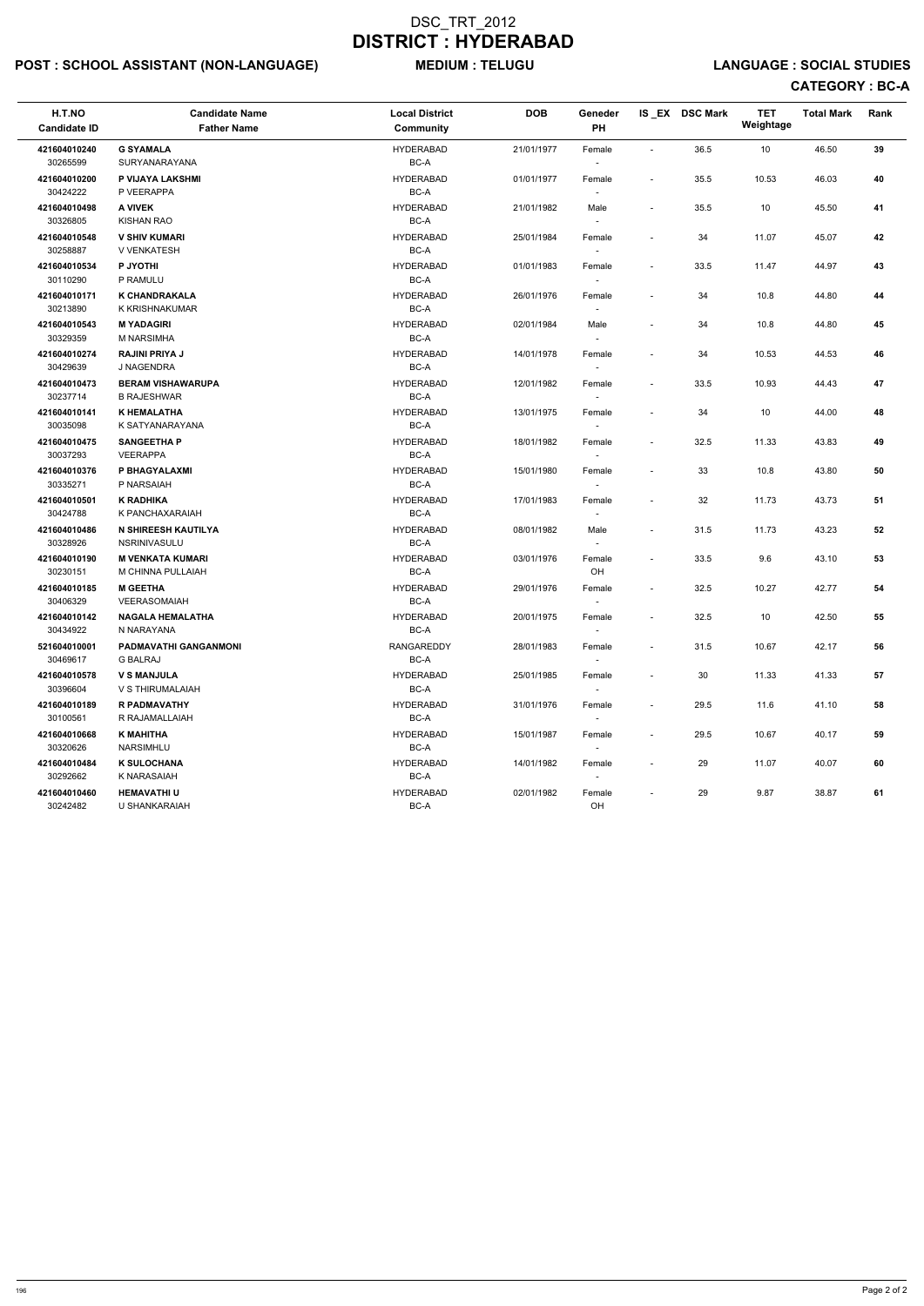# POST : SCHOOL ASSISTANT (NON-LANGUAGE) MEDIUM : TELUGU LANGUAGE : SOCIAL STUDIES

| H.T.NO<br><b>Candidate ID</b> | <b>Candidate Name</b><br><b>Father Name</b>    | <b>Local District</b><br><b>Community</b> | <b>DOB</b> | Geneder<br>PH                      |                          | IS EX DSC Mark | <b>TET</b><br>Weightage | <b>Total Mark</b> | Rank       |
|-------------------------------|------------------------------------------------|-------------------------------------------|------------|------------------------------------|--------------------------|----------------|-------------------------|-------------------|------------|
| 421604010240<br>30265599      | <b>G SYAMALA</b><br><b>SURYANARAYANA</b>       | <b>HYDERABAD</b><br>BC-A                  | 21/01/1977 | Female                             | $\overline{\phantom{a}}$ | 36.5           | 10                      | 46.50             | 39         |
| 421604010200<br>30424222      | P VIJAYA LAKSHMI<br>P VEERAPPA                 | <b>HYDERABAD</b><br>BC-A                  | 01/01/1977 | Female                             | $\blacksquare$           | 35.5           | 10.53                   | 46.03             | 40         |
| 421604010498<br>30326805      | <b>A VIVEK</b><br><b>KISHAN RAO</b>            | <b>HYDERABAD</b><br>BC-A                  | 21/01/1982 | Male                               | $\overline{\phantom{a}}$ | 35.5           | 10                      | 45.50             | 41         |
| 421604010548<br>30258887      | <b>V SHIV KUMARI</b><br><b>V VENKATESH</b>     | <b>HYDERABAD</b><br>BC-A                  | 25/01/1984 | Female                             | $\overline{\phantom{a}}$ | 34             | 11.07                   | 45.07             | 42         |
| 421604010534<br>30110290      | P JYOTHI<br>P RAMULU                           | <b>HYDERABAD</b><br>BC-A                  | 01/01/1983 | Female                             | $\overline{\phantom{a}}$ | 33.5           | 11.47                   | 44.97             | 43         |
| 421604010171<br>30213890      | <b>K CHANDRAKALA</b><br>K KRISHNAKUMAR         | <b>HYDERABAD</b><br>BC-A                  | 26/01/1976 | Female                             |                          | 34             | 10.8                    | 44.80             | 44         |
| 421604010543<br>30329359      | <b>MYADAGIRI</b><br>M NARSIMHA                 | <b>HYDERABAD</b><br>BC-A                  | 02/01/1984 | Male                               |                          | 34             | 10.8                    | 44.80             | 45         |
| 421604010274<br>30429639      | <b>RAJINI PRIYA J</b><br>J NAGENDRA            | <b>HYDERABAD</b><br>BC-A                  | 14/01/1978 | Female<br>$\overline{\phantom{a}}$ | $\overline{\phantom{a}}$ | 34             | 10.53                   | 44.53             | 46         |
| 421604010473<br>30237714      | <b>BERAM VISHAWARUPA</b><br><b>B RAJESHWAR</b> | <b>HYDERABAD</b><br>BC-A                  | 12/01/1982 | Female<br>$\sim$                   | $\overline{\phantom{a}}$ | 33.5           | 10.93                   | 44.43             | 47         |
| 421604010141<br>30035098      | <b>K HEMALATHA</b><br>K SATYANARAYANA          | <b>HYDERABAD</b><br>BC-A                  | 13/01/1975 | Female                             |                          | 34             | 10                      | 44.00             | 48         |
| 421604010475<br>30037293      | <b>SANGEETHA P</b><br><b>VEERAPPA</b>          | <b>HYDERABAD</b><br>BC-A                  | 18/01/1982 | Female                             | $\blacksquare$           | 32.5           | 11.33                   | 43.83             | 49         |
| 421604010376<br>30335271      | P BHAGYALAXMI<br>P NARSAIAH                    | <b>HYDERABAD</b><br>BC-A                  | 15/01/1980 | Female<br>$\sim$                   |                          | 33             | 10.8                    | 43.80             | ${\bf 50}$ |
| 421604010501<br>30424788      | <b>K RADHIKA</b><br>K PANCHAXARAIAH            | <b>HYDERABAD</b><br>BC-A                  | 17/01/1983 | Female                             | $\overline{\phantom{a}}$ | 32             | 11.73                   | 43.73             | 51         |
| 421604010486<br>30328926      | N SHIREESH KAUTILYA<br><b>NSRINIVASULU</b>     | <b>HYDERABAD</b><br>BC-A                  | 08/01/1982 | Male                               | $\blacksquare$           | 31.5           | 11.73                   | 43.23             | 52         |
| 421604010190<br>30230151      | <b>M VENKATA KUMARI</b><br>M CHINNA PULLAIAH   | <b>HYDERABAD</b><br>BC-A                  | 03/01/1976 | Female<br>OH                       | $\overline{\phantom{a}}$ | 33.5           | 9.6                     | 43.10             | 53         |
| 421604010185<br>30406329      | <b>M GEETHA</b><br>VEERASOMAIAH                | <b>HYDERABAD</b><br>BC-A                  | 29/01/1976 | Female<br>$\sim$                   |                          | 32.5           | 10.27                   | 42.77             | 54         |
| 421604010142<br>30434922      | <b>NAGALA HEMALATHA</b><br>N NARAYANA          | <b>HYDERABAD</b><br>BC-A                  | 20/01/1975 | Female                             |                          | 32.5           | 10                      | 42.50             | 55         |
| 521604010001<br>30469617      | PADMAVATHI GANGANMONI<br><b>G BALRAJ</b>       | RANGAREDDY<br>BC-A                        | 28/01/1983 | Female                             | $\overline{\phantom{a}}$ | 31.5           | 10.67                   | 42.17             | 56         |
| 421604010578<br>30396604      | <b>V S MANJULA</b><br>V S THIRUMALAIAH         | <b>HYDERABAD</b><br>BC-A                  | 25/01/1985 | Female<br>$\sim$                   |                          | 30             | 11.33                   | 41.33             | 57         |
| 421604010189<br>30100561      | <b>R PADMAVATHY</b><br>R RAJAMALLAIAH          | <b>HYDERABAD</b><br>BC-A                  | 31/01/1976 | Female<br>$\sim$                   | $\blacksquare$           | 29.5           | 11.6                    | 41.10             | 58         |
| 421604010668<br>30320626      | <b>K MAHITHA</b><br>NARSIMHLU                  | <b>HYDERABAD</b><br>BC-A                  | 15/01/1987 | Female<br>$\sim$                   | $\overline{\phantom{a}}$ | 29.5           | 10.67                   | 40.17             | 59         |
| 421604010484<br>30292662      | <b>K SULOCHANA</b><br>K NARASAIAH              | <b>HYDERABAD</b><br>BC-A                  | 14/01/1982 | Female                             |                          | 29             | 11.07                   | 40.07             | 60         |
| 421604010460<br>30242482      | <b>HEMAVATHI U</b><br>U SHANKARAIAH            | <b>HYDERABAD</b><br>BC-A                  | 02/01/1982 | Female<br>OH                       |                          | 29             | 9.87                    | 38.87             | 61         |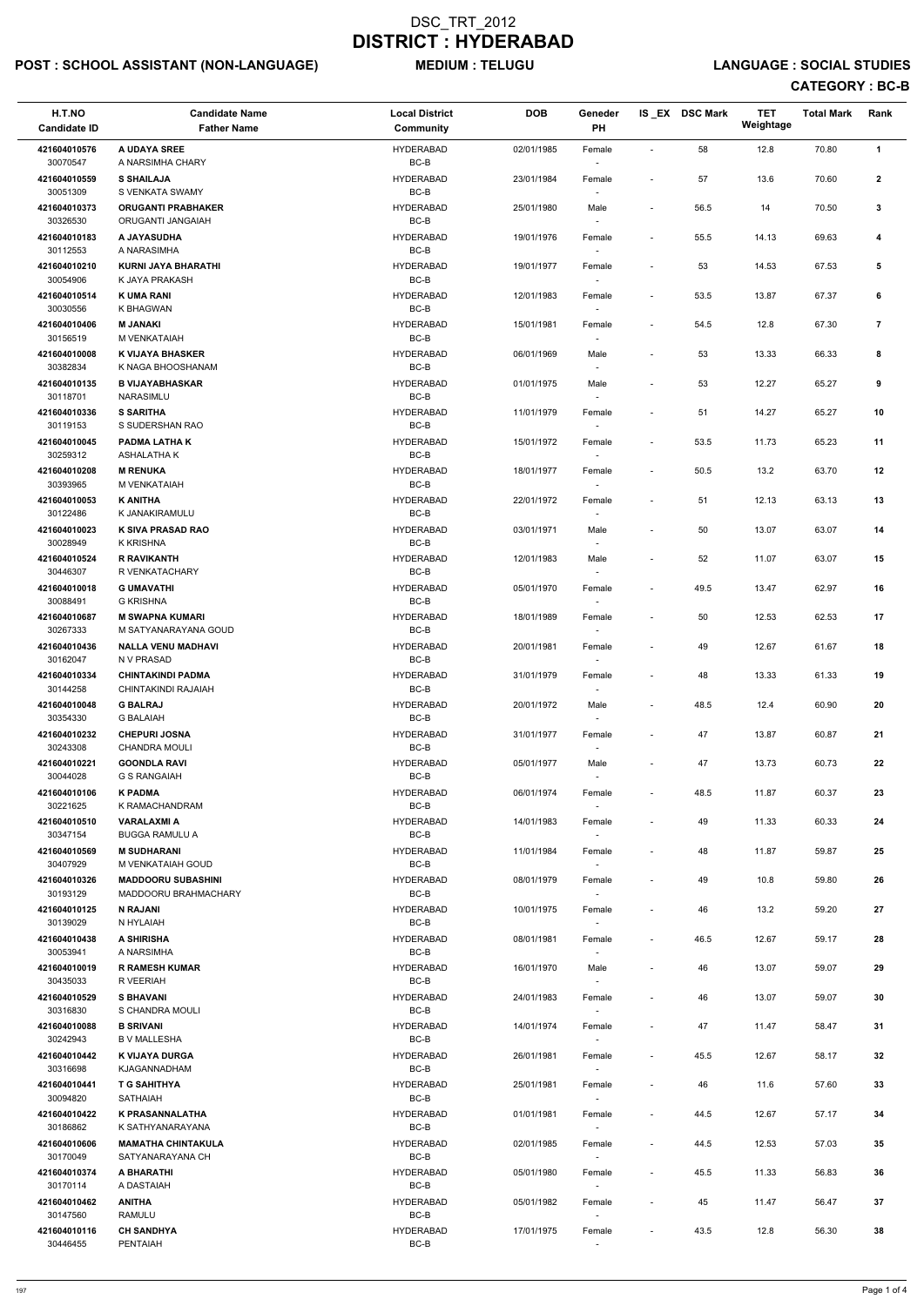# POST : SCHOOL ASSISTANT (NON-LANGUAGE) MEDIUM : TELUGU LANGUAGE : SOCIAL STUDIES

| H.T.NO<br><b>Candidate ID</b> | <b>Candidate Name</b><br><b>Father Name</b>     | <b>Local District</b><br><b>Community</b> | <b>DOB</b> | Geneder<br><b>PH</b>               |                          | IS_EX DSC Mark | <b>TET</b><br>Weightage | <b>Total Mark</b> | Rank           |
|-------------------------------|-------------------------------------------------|-------------------------------------------|------------|------------------------------------|--------------------------|----------------|-------------------------|-------------------|----------------|
| 421604010576                  | A UDAYA SREE<br>A NARSIMHA CHARY                | <b>HYDERABAD</b>                          | 02/01/1985 | Female                             | $\blacksquare$           | 58             | 12.8                    | 70.80             | $\mathbf{1}$   |
| 30070547<br>421604010559      | <b>S SHAILAJA</b>                               | BC-B<br><b>HYDERABAD</b>                  | 23/01/1984 | Female                             | $\overline{a}$           | 57             | 13.6                    | 70.60             | $\mathbf{2}$   |
| 30051309<br>421604010373      | S VENKATA SWAMY<br><b>ORUGANTI PRABHAKER</b>    | $BC-B$<br><b>HYDERABAD</b>                | 25/01/1980 | Male                               | $\blacksquare$           | 56.5           | 14                      | 70.50             | $\mathbf{3}$   |
| 30326530<br>421604010183      | ORUGANTI JANGAIAH<br>A JAYASUDHA                | $BC-B$<br><b>HYDERABAD</b>                | 19/01/1976 | Female                             | $\blacksquare$           | 55.5           | 14.13                   | 69.63             | 4              |
| 30112553<br>421604010210      | A NARASIMHA<br><b>KURNI JAYA BHARATHI</b>       | BC-B<br><b>HYDERABAD</b>                  | 19/01/1977 | $\overline{\phantom{a}}$<br>Female | $\overline{\phantom{a}}$ | 53             | 14.53                   | 67.53             | 5              |
| 30054906                      | K JAYA PRAKASH                                  | BC-B                                      |            | $\sim$                             |                          |                |                         |                   |                |
| 421604010514<br>30030556      | <b>K UMA RANI</b><br>K BHAGWAN                  | <b>HYDERABAD</b><br>BC-B                  | 12/01/1983 | Female<br>$\overline{\phantom{a}}$ | $\overline{\phantom{a}}$ | 53.5           | 13.87                   | 67.37             | 6              |
| 421604010406<br>30156519      | <b>M JANAKI</b><br>M VENKATAIAH                 | <b>HYDERABAD</b><br>BC-B                  | 15/01/1981 | Female                             | $\overline{\phantom{a}}$ | 54.5           | 12.8                    | 67.30             | $\overline{7}$ |
| 421604010008<br>30382834      | <b>K VIJAYA BHASKER</b><br>K NAGA BHOOSHANAM    | <b>HYDERABAD</b><br>BC-B                  | 06/01/1969 | Male<br>$\sim$                     | $\overline{\phantom{a}}$ | 53             | 13.33                   | 66.33             | 8              |
| 421604010135<br>30118701      | <b>B VIJAYABHASKAR</b><br>NARASIMLU             | <b>HYDERABAD</b><br>BC-B                  | 01/01/1975 | Male<br>$\overline{\phantom{a}}$   |                          | 53             | 12.27                   | 65.27             | 9              |
| 421604010336<br>30119153      | <b>S SARITHA</b><br>S SUDERSHAN RAO             | <b>HYDERABAD</b><br>BC-B                  | 11/01/1979 | Female<br>$\overline{\phantom{a}}$ | $\overline{a}$           | 51             | 14.27                   | 65.27             | 10             |
| 421604010045                  | <b>PADMA LATHAK</b>                             | <b>HYDERABAD</b>                          | 15/01/1972 | Female                             | $\overline{\phantom{a}}$ | 53.5           | 11.73                   | 65.23             | 11             |
| 30259312<br>421604010208      | ASHALATHA K<br><b>M RENUKA</b>                  | BC-B<br><b>HYDERABAD</b>                  | 18/01/1977 | Female                             | $\overline{\phantom{a}}$ | 50.5           | 13.2                    | 63.70             | 12             |
| 30393965<br>421604010053      | M VENKATAIAH<br><b>K ANITHA</b>                 | BC-B<br><b>HYDERABAD</b>                  | 22/01/1972 | Female                             |                          | 51             | 12.13                   | 63.13             | 13             |
| 30122486<br>421604010023      | K JANAKIRAMULU<br>K SIVA PRASAD RAO             | BC-B<br><b>HYDERABAD</b>                  | 03/01/1971 | $\overline{\phantom{a}}$<br>Male   | $\overline{\phantom{a}}$ | 50             | 13.07                   | 63.07             | 14             |
| 30028949<br>421604010524      | K KRISHNA<br><b>R RAVIKANTH</b>                 | BC-B<br><b>HYDERABAD</b>                  | 12/01/1983 | $\overline{\phantom{a}}$<br>Male   | $\overline{\phantom{a}}$ | 52             | 11.07                   | 63.07             | 15             |
| 30446307                      | R VENKATACHARY                                  | BC-B                                      |            |                                    |                          |                |                         |                   |                |
| 421604010018<br>30088491      | <b>G UMAVATHI</b><br>G KRISHNA                  | <b>HYDERABAD</b><br>BC-B                  | 05/01/1970 | Female<br>$\overline{\phantom{a}}$ | $\overline{\phantom{a}}$ | 49.5           | 13.47                   | 62.97             | 16             |
| 421604010687<br>30267333      | <b>M SWAPNA KUMARI</b><br>M SATYANARAYANA GOUD  | <b>HYDERABAD</b><br>BC-B                  | 18/01/1989 | Female<br>$\sim$                   | $\overline{a}$           | 50             | 12.53                   | 62.53             | 17             |
| 421604010436<br>30162047      | <b>NALLA VENU MADHAVI</b><br>N V PRASAD         | <b>HYDERABAD</b><br>BC-B                  | 20/01/1981 | Female                             |                          | 49             | 12.67                   | 61.67             | 18             |
| 421604010334<br>30144258      | <b>CHINTAKINDI PADMA</b><br>CHINTAKINDI RAJAIAH | <b>HYDERABAD</b><br>BC-B                  | 31/01/1979 | Female                             | $\overline{\phantom{a}}$ | 48             | 13.33                   | 61.33             | 19             |
| 421604010048<br>30354330      | <b>G BALRAJ</b><br><b>G BALAIAH</b>             | <b>HYDERABAD</b><br>BC-B                  | 20/01/1972 | Male<br>$\overline{\phantom{a}}$   | $\overline{\phantom{a}}$ | 48.5           | 12.4                    | 60.90             | 20             |
| 421604010232<br>30243308      | <b>CHEPURI JOSNA</b><br><b>CHANDRA MOULI</b>    | <b>HYDERABAD</b><br>BC-B                  | 31/01/1977 | Female<br>$\sim$                   | ÷,                       | 47             | 13.87                   | 60.87             | 21             |
| 421604010221                  | <b>GOONDLA RAVI</b>                             | <b>HYDERABAD</b>                          | 05/01/1977 | Male                               | $\blacksquare$           | 47             | 13.73                   | 60.73             | 22             |
| 30044028<br>421604010106      | <b>G S RANGAIAH</b><br><b>K PADMA</b>           | BC-B<br><b>HYDERABAD</b>                  | 06/01/1974 | $\sim$<br>Female                   | $\overline{\phantom{a}}$ | 48.5           | 11.87                   | 60.37             | 23             |
| 30221625<br>421604010510      | K RAMACHANDRAM<br><b>VARALAXMI A</b>            | BC-B<br><b>HYDERABAD</b>                  | 14/01/1983 | Female                             | $\overline{\phantom{a}}$ | 49             | 11.33                   | 60.33             | 24             |
| 30347154<br>421604010569      | <b>BUGGA RAMULU A</b><br><b>M SUDHARANI</b>     | BC-B<br><b>HYDERABAD</b>                  | 11/01/1984 | $\sim$<br>Female                   |                          | 48             | 11.87                   | 59.87             | 25             |
| 30407929<br>421604010326      | M VENKATAIAH GOUD<br><b>MADDOORU SUBASHINI</b>  | BC-B<br><b>HYDERABAD</b>                  | 08/01/1979 | $\sim$<br>Female                   | $\overline{\phantom{a}}$ | 49             | 10.8                    | 59.80             | 26             |
| 30193129                      | MADDOORU BRAHMACHARY                            | BC-B                                      |            | $\sim$                             |                          |                |                         |                   | 27             |
| 421604010125<br>30139029      | <b>N RAJANI</b><br>N HYLAIAH                    | <b>HYDERABAD</b><br>BC-B                  | 10/01/1975 | Female                             | $\blacksquare$           | 46             | 13.2                    | 59.20             |                |
| 421604010438<br>30053941      | A SHIRISHA<br>A NARSIMHA                        | <b>HYDERABAD</b><br>BC-B                  | 08/01/1981 | Female<br>$\overline{\phantom{a}}$ | $\overline{\phantom{a}}$ | 46.5           | 12.67                   | 59.17             | 28             |
| 421604010019<br>30435033      | <b>R RAMESH KUMAR</b><br>R VEERIAH              | <b>HYDERABAD</b><br>BC-B                  | 16/01/1970 | Male<br>$\sim$                     |                          | 46             | 13.07                   | 59.07             | 29             |
| 421604010529<br>30316830      | <b>S BHAVANI</b><br>S CHANDRA MOULI             | <b>HYDERABAD</b><br>BC-B                  | 24/01/1983 | Female<br>$\sim$                   | $\overline{\phantom{a}}$ | 46             | 13.07                   | 59.07             | 30             |
| 421604010088<br>30242943      | <b>B SRIVANI</b><br><b>B V MALLESHA</b>         | <b>HYDERABAD</b><br>BC-B                  | 14/01/1974 | Female                             | $\overline{\phantom{a}}$ | 47             | 11.47                   | 58.47             | 31             |
| 421604010442<br>30316698      | <b>K VIJAYA DURGA</b><br>KJAGANNADHAM           | <b>HYDERABAD</b><br>BC-B                  | 26/01/1981 | Female                             | $\overline{\phantom{a}}$ | 45.5           | 12.67                   | 58.17             | 32             |
| 421604010441                  | <b>T G SAHITHYA</b>                             | <b>HYDERABAD</b>                          | 25/01/1981 | Female                             | $\overline{\phantom{a}}$ | 46             | 11.6                    | 57.60             | 33             |
| 30094820<br>421604010422      | <b>SATHAIAH</b><br><b>K PRASANNALATHA</b>       | BC-B<br><b>HYDERABAD</b>                  | 01/01/1981 | $\sim$<br>Female                   | $\overline{\phantom{a}}$ | 44.5           | 12.67                   | 57.17             | 34             |
| 30186862<br>421604010606      | K SATHYANARAYANA<br><b>MAMATHA CHINTAKULA</b>   | BC-B<br><b>HYDERABAD</b>                  | 02/01/1985 | $\overline{\phantom{a}}$<br>Female | $\overline{\phantom{a}}$ | 44.5           | 12.53                   | 57.03             | 35             |
| 30170049<br>421604010374      | SATYANARAYANA CH<br>A BHARATHI                  | BC-B<br><b>HYDERABAD</b>                  | 05/01/1980 | $\sim$<br>Female                   | $\overline{a}$           | 45.5           | 11.33                   | 56.83             | 36             |
| 30170114<br>421604010462      | A DASTAIAH<br><b>ANITHA</b>                     | BC-B<br><b>HYDERABAD</b>                  | 05/01/1982 | $\sim$<br>Female                   | $\overline{\phantom{a}}$ | 45             | 11.47                   | 56.47             | 37             |
| 30147560                      | <b>RAMULU</b>                                   | BC-B                                      |            | $\sim$                             |                          |                |                         |                   |                |
| 421604010116<br>30446455      | <b>CH SANDHYA</b><br>PENTAIAH                   | <b>HYDERABAD</b><br>BC-B                  | 17/01/1975 | Female                             | $\overline{\phantom{a}}$ | 43.5           | 12.8                    | 56.30             | 38             |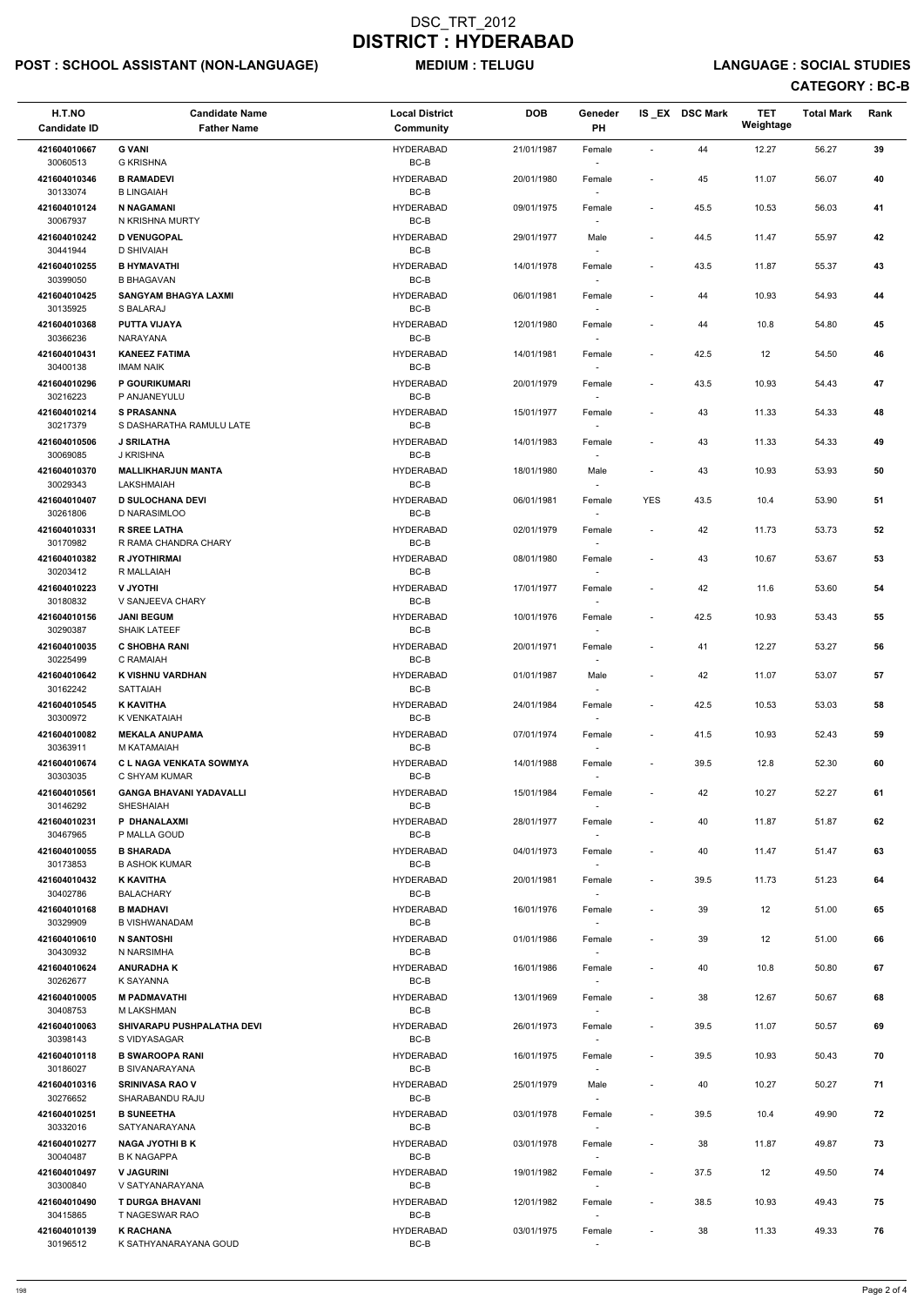# POST : SCHOOL ASSISTANT (NON-LANGUAGE) MEDIUM : TELUGU LANGUAGE : SOCIAL STUDIES

| H.T.NO<br><b>Candidate ID</b> | <b>Candidate Name</b><br><b>Father Name</b>       | <b>Local District</b><br>Community | <b>DOB</b> | Geneder<br>PH                      |                          | IS_EX DSC Mark | <b>TET</b><br>Weightage | <b>Total Mark</b> | Rank |
|-------------------------------|---------------------------------------------------|------------------------------------|------------|------------------------------------|--------------------------|----------------|-------------------------|-------------------|------|
| 421604010667<br>30060513      | <b>G VANI</b><br><b>G KRISHNA</b>                 | <b>HYDERABAD</b><br>BC-B           | 21/01/1987 | Female                             | $\overline{\phantom{a}}$ | 44             | 12.27                   | 56.27             | 39   |
| 421604010346<br>30133074      | <b>B RAMADEVI</b><br><b>B LINGAIAH</b>            | <b>HYDERABAD</b><br>$BC-B$         | 20/01/1980 | Female                             | $\overline{\phantom{a}}$ | 45             | 11.07                   | 56.07             | 40   |
| 421604010124<br>30067937      | <b>N NAGAMANI</b><br>N KRISHNA MURTY              | <b>HYDERABAD</b><br>BC-B           | 09/01/1975 | Female                             | $\overline{\phantom{a}}$ | 45.5           | 10.53                   | 56.03             | 41   |
| 421604010242                  | <b>D VENUGOPAL</b>                                | <b>HYDERABAD</b>                   | 29/01/1977 | Male                               | $\overline{\phantom{a}}$ | 44.5           | 11.47                   | 55.97             | 42   |
| 30441944<br>421604010255      | <b>D SHIVAIAH</b><br><b>B HYMAVATHI</b>           | BC-B<br><b>HYDERABAD</b>           | 14/01/1978 | Female                             | $\overline{\phantom{a}}$ | 43.5           | 11.87                   | 55.37             | 43   |
| 30399050<br>421604010425      | <b>B BHAGAVAN</b><br><b>SANGYAM BHAGYA LAXMI</b>  | BC-B<br><b>HYDERABAD</b>           | 06/01/1981 | Female                             | $\overline{a}$           | 44             | 10.93                   | 54.93             | 44   |
| 30135925<br>421604010368      | S BALARAJ<br><b>PUTTA VIJAYA</b>                  | $BC-B$<br><b>HYDERABAD</b>         | 12/01/1980 | Female                             | $\overline{\phantom{a}}$ | 44             | 10.8                    | 54.80             | 45   |
| 30366236<br>421604010431      | NARAYANA<br><b>KANEEZ FATIMA</b>                  | $BC-B$<br><b>HYDERABAD</b>         | 14/01/1981 | Female                             | $\overline{\phantom{a}}$ | 42.5           | 12                      | 54.50             | 46   |
| 30400138                      | <b>IMAM NAIK</b>                                  | BC-B                               |            | $\sim$                             |                          |                |                         |                   |      |
| 421604010296<br>30216223      | P GOURIKUMARI<br>P ANJANEYULU                     | <b>HYDERABAD</b><br>BC-B           | 20/01/1979 | Female<br>$\overline{\phantom{a}}$ | $\overline{\phantom{a}}$ | 43.5           | 10.93                   | 54.43             | 47   |
| 421604010214<br>30217379      | <b>S PRASANNA</b><br>S DASHARATHA RAMULU LATE     | <b>HYDERABAD</b><br>BC-B           | 15/01/1977 | Female                             | $\overline{\phantom{a}}$ | 43             | 11.33                   | 54.33             | 48   |
| 421604010506<br>30069085      | <b>J SRILATHA</b><br>J KRISHNA                    | <b>HYDERABAD</b><br>$BC-B$         | 14/01/1983 | Female                             | $\overline{\phantom{a}}$ | 43             | 11.33                   | 54.33             | 49   |
| 421604010370<br>30029343      | <b>MALLIKHARJUN MANTA</b><br>LAKSHMAIAH           | <b>HYDERABAD</b><br>$BC-B$         | 18/01/1980 | Male<br>$\sim$                     | $\blacksquare$           | 43             | 10.93                   | 53.93             | 50   |
| 421604010407<br>30261806      | <b>D SULOCHANA DEVI</b><br>D NARASIMLOO           | <b>HYDERABAD</b><br>BC-B           | 06/01/1981 | Female                             | <b>YES</b>               | 43.5           | 10.4                    | 53.90             | 51   |
| 421604010331                  | <b>R SREE LATHA</b>                               | <b>HYDERABAD</b>                   | 02/01/1979 | Female                             | $\overline{\phantom{a}}$ | 42             | 11.73                   | 53.73             | 52   |
| 30170982<br>421604010382      | R RAMA CHANDRA CHARY<br>R JYOTHIRMAI              | BC-B<br><b>HYDERABAD</b>           | 08/01/1980 | Female                             | $\overline{\phantom{a}}$ | 43             | 10.67                   | 53.67             | 53   |
| 30203412<br>421604010223      | R MALLAIAH<br><b>V JYOTHI</b>                     | BC-B<br><b>HYDERABAD</b>           | 17/01/1977 | Female                             | $\overline{\phantom{a}}$ | 42             | 11.6                    | 53.60             | 54   |
| 30180832<br>421604010156      | V SANJEEVA CHARY<br><b>JANI BEGUM</b>             | BC-B<br><b>HYDERABAD</b>           | 10/01/1976 | $\overline{\phantom{a}}$<br>Female | $\blacksquare$           | 42.5           | 10.93                   | 53.43             | 55   |
| 30290387                      | <b>SHAIK LATEEF</b>                               | BC-B                               |            |                                    |                          |                |                         |                   |      |
| 421604010035<br>30225499      | <b>C SHOBHA RANI</b><br>C RAMAIAH                 | <b>HYDERABAD</b><br>BC-B           | 20/01/1971 | Female                             | $\overline{\phantom{a}}$ | 41             | 12.27                   | 53.27             | 56   |
| 421604010642<br>30162242      | <b>K VISHNU VARDHAN</b><br><b>SATTAIAH</b>        | <b>HYDERABAD</b><br>BC-B           | 01/01/1987 | Male<br>$\overline{\phantom{a}}$   | $\overline{\phantom{a}}$ | 42             | 11.07                   | 53.07             | 57   |
| 421604010545<br>30300972      | <b>K KAVITHA</b><br>K VENKATAIAH                  | <b>HYDERABAD</b><br>BC-B           | 24/01/1984 | Female                             | $\overline{\phantom{a}}$ | 42.5           | 10.53                   | 53.03             | 58   |
| 421604010082<br>30363911      | <b>MEKALA ANUPAMA</b><br>M KATAMAIAH              | <b>HYDERABAD</b><br>BC-B           | 07/01/1974 | Female<br>$\sim$                   | $\overline{\phantom{a}}$ | 41.5           | 10.93                   | 52.43             | 59   |
| 421604010674<br>30303035      | <b>CL NAGA VENKATA SOWMYA</b><br>C SHYAM KUMAR    | <b>HYDERABAD</b><br>BC-B           | 14/01/1988 | Female                             | $\overline{\phantom{a}}$ | 39.5           | 12.8                    | 52.30             | 60   |
| 421604010561                  | <b>GANGA BHAVANI YADAVALLI</b>                    | <b>HYDERABAD</b>                   | 15/01/1984 | Female                             | $\overline{\phantom{a}}$ | 42             | 10.27                   | 52.27             | 61   |
| 30146292<br>421604010231      | <b>SHESHAIAH</b><br>P DHANALAXMI                  | BC-B<br><b>HYDERABAD</b>           | 28/01/1977 | Female                             | $\overline{\phantom{a}}$ | 40             | 11.87                   | 51.87             | 62   |
| 30467965<br>421604010055      | P MALLA GOUD<br><b>B SHARADA</b>                  | BC-B<br><b>HYDERABAD</b>           | 04/01/1973 | $\overline{\phantom{a}}$<br>Female | $\overline{\phantom{a}}$ | 40             | 11.47                   | 51.47             | 63   |
| 30173853<br>421604010432      | <b>B ASHOK KUMAR</b><br><b>K KAVITHA</b>          | BC-B<br><b>HYDERABAD</b>           | 20/01/1981 | $\sim$<br>Female                   | $\overline{\phantom{a}}$ | 39.5           | 11.73                   | 51.23             | 64   |
| 30402786<br>421604010168      | <b>BALACHARY</b><br><b>B MADHAVI</b>              | BC-B<br><b>HYDERABAD</b>           | 16/01/1976 | Female                             | $\overline{\phantom{a}}$ | 39             | 12                      | 51.00             | 65   |
| 30329909                      | <b>B VISHWANADAM</b>                              | BC-B                               |            |                                    |                          |                |                         |                   |      |
| 421604010610<br>30430932      | <b>N SANTOSHI</b><br>N NARSIMHA                   | <b>HYDERABAD</b><br>BC-B           | 01/01/1986 | Female<br>$\sim$                   | $\overline{\phantom{a}}$ | 39             | 12                      | 51.00             | 66   |
| 421604010624<br>30262677      | <b>ANURADHA K</b><br>K SAYANNA                    | <b>HYDERABAD</b><br>BC-B           | 16/01/1986 | Female<br>$\sim$                   | $\overline{\phantom{a}}$ | 40             | 10.8                    | 50.80             | 67   |
| 421604010005<br>30408753      | <b>M PADMAVATHI</b><br><b>M LAKSHMAN</b>          | <b>HYDERABAD</b><br>BC-B           | 13/01/1969 | Female<br>$\sim$                   | $\overline{\phantom{a}}$ | 38             | 12.67                   | 50.67             | 68   |
| 421604010063<br>30398143      | <b>SHIVARAPU PUSHPALATHA DEVI</b><br>S VIDYASAGAR | <b>HYDERABAD</b><br>BC-B           | 26/01/1973 | Female                             | $\overline{\phantom{a}}$ | 39.5           | 11.07                   | 50.57             | 69   |
| 421604010118                  | <b>B SWAROOPA RANI</b>                            | <b>HYDERABAD</b>                   | 16/01/1975 | Female                             | $\overline{\phantom{a}}$ | 39.5           | 10.93                   | 50.43             | 70   |
| 30186027<br>421604010316      | <b>B SIVANARAYANA</b><br><b>SRINIVASA RAO V</b>   | BC-B<br><b>HYDERABAD</b>           | 25/01/1979 | Male                               | $\overline{\phantom{a}}$ | 40             | 10.27                   | 50.27             | 71   |
| 30276652<br>421604010251      | SHARABANDU RAJU<br><b>B SUNEETHA</b>              | BC-B<br><b>HYDERABAD</b>           | 03/01/1978 | $\overline{\phantom{a}}$<br>Female | $\overline{\phantom{a}}$ | 39.5           | 10.4                    | 49.90             | 72   |
| 30332016<br>421604010277      | SATYANARAYANA<br><b>NAGA JYOTHI B K</b>           | BC-B<br><b>HYDERABAD</b>           | 03/01/1978 | $\overline{\phantom{a}}$<br>Female | $\overline{\phantom{a}}$ | 38             | 11.87                   | 49.87             | 73   |
| 30040487                      | <b>B K NAGAPPA</b>                                | BC-B                               |            | $\sim$                             |                          |                |                         |                   |      |
| 421604010497<br>30300840      | <b>V JAGURINI</b><br>V SATYANARAYANA              | <b>HYDERABAD</b><br>BC-B           | 19/01/1982 | Female<br>$\overline{\phantom{a}}$ | $\overline{\phantom{a}}$ | 37.5           | 12                      | 49.50             | 74   |
| 421604010490<br>30415865      | <b>T DURGA BHAVANI</b><br>T NAGESWAR RAO          | <b>HYDERABAD</b><br>BC-B           | 12/01/1982 | Female<br>$\sim$                   | $\overline{\phantom{a}}$ | 38.5           | 10.93                   | 49.43             | 75   |
| 421604010139<br>30196512      | <b>K RACHANA</b><br>K SATHYANARAYANA GOUD         | <b>HYDERABAD</b><br>$BC-B$         | 03/01/1975 | Female                             | $\overline{\phantom{a}}$ | 38             | 11.33                   | 49.33             | 76   |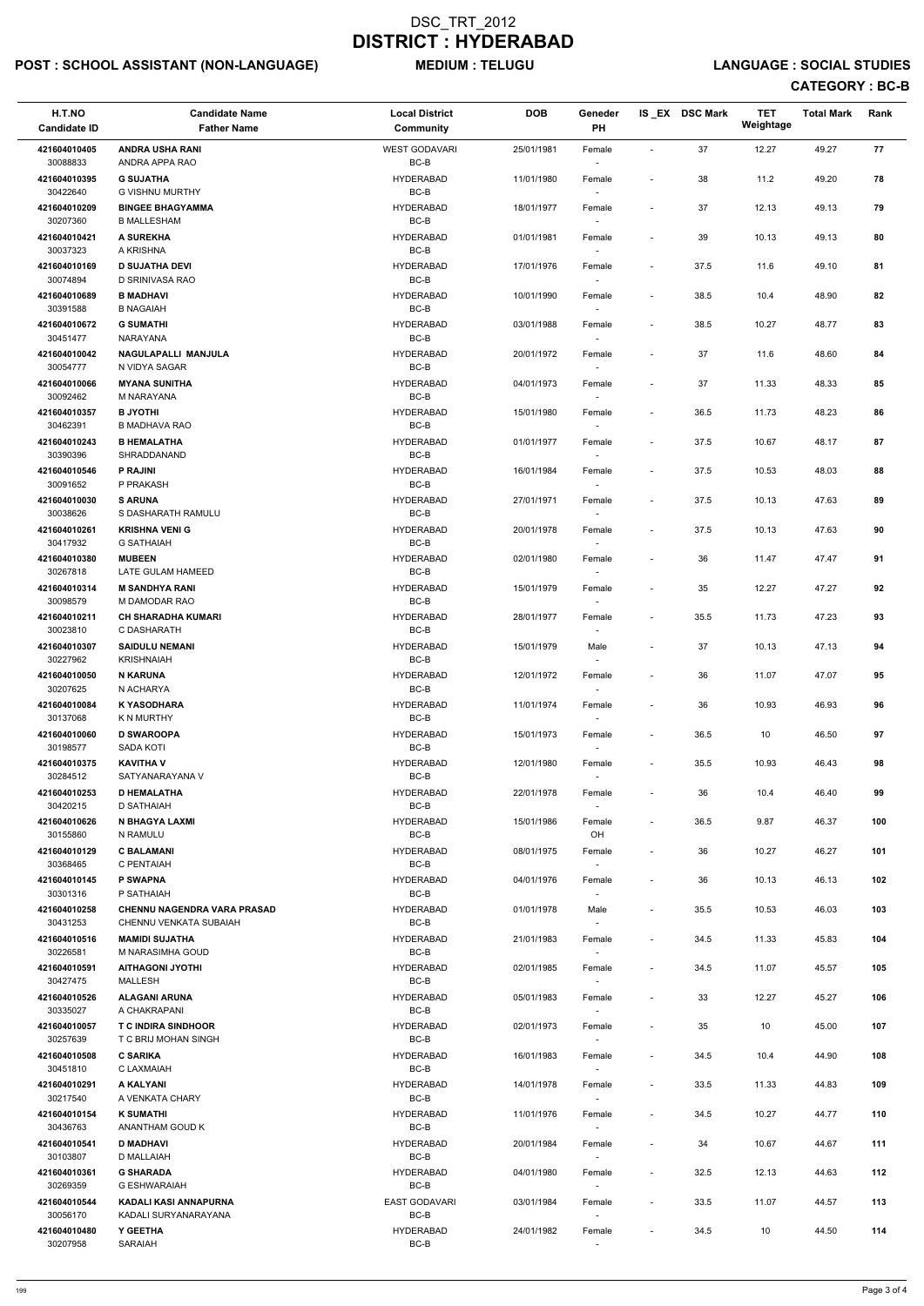# POST : SCHOOL ASSISTANT (NON-LANGUAGE) MEDIUM : TELUGU LANGUAGE : SOCIAL STUDIES

| H.T.NO<br><b>Candidate ID</b> | <b>Candidate Name</b><br><b>Father Name</b>        | <b>Local District</b><br>Community | <b>DOB</b> | Geneder<br>PH                      |                              | IS_EX DSC Mark | <b>TET</b><br>Weightage | <b>Total Mark</b> | Rank |
|-------------------------------|----------------------------------------------------|------------------------------------|------------|------------------------------------|------------------------------|----------------|-------------------------|-------------------|------|
| 421604010405<br>30088833      | <b>ANDRA USHA RANI</b><br>ANDRA APPA RAO           | <b>WEST GODAVARI</b><br>BC-B       | 25/01/1981 | Female                             | $\sim$                       | 37             | 12.27                   | 49.27             | 77   |
| 421604010395<br>30422640      | <b>G SUJATHA</b><br><b>G VISHNU MURTHY</b>         | <b>HYDERABAD</b><br>$BC-B$         | 11/01/1980 | Female                             | $\overline{\phantom{a}}$     | 38             | 11.2                    | 49.20             | 78   |
| 421604010209<br>30207360      | <b>BINGEE BHAGYAMMA</b><br><b>B MALLESHAM</b>      | <b>HYDERABAD</b><br>$BC-B$         | 18/01/1977 | Female                             | $\blacksquare$               | 37             | 12.13                   | 49.13             | 79   |
| 421604010421                  | A SUREKHA                                          | <b>HYDERABAD</b>                   | 01/01/1981 | Female                             | $\overline{\phantom{a}}$     | 39             | 10.13                   | 49.13             | 80   |
| 30037323<br>421604010169      | A KRISHNA<br><b>D SUJATHA DEVI</b>                 | BC-B<br>HYDERABAD                  | 17/01/1976 | Female                             | $\overline{\phantom{a}}$     | 37.5           | 11.6                    | 49.10             | 81   |
| 30074894                      | D SRINIVASA RAO                                    | BC-B                               |            |                                    |                              |                |                         |                   |      |
| 421604010689<br>30391588      | <b>B MADHAVI</b><br><b>B NAGAIAH</b>               | <b>HYDERABAD</b><br>BC-B           | 10/01/1990 | Female                             | $\overline{\phantom{a}}$     | 38.5           | 10.4                    | 48.90             | 82   |
| 421604010672<br>30451477      | <b>G SUMATHI</b><br><b>NARAYANA</b>                | <b>HYDERABAD</b><br>$BC-B$         | 03/01/1988 | Female                             | $\overline{\phantom{a}}$     | 38.5           | 10.27                   | 48.77             | 83   |
| 421604010042<br>30054777      | NAGULAPALLI MANJULA<br>N VIDYA SAGAR               | <b>HYDERABAD</b><br>BC-B           | 20/01/1972 | Female<br>$\sim$                   | $\qquad \qquad \blacksquare$ | 37             | 11.6                    | 48.60             | 84   |
| 421604010066                  | <b>MYANA SUNITHA</b>                               | <b>HYDERABAD</b>                   | 04/01/1973 | Female                             | $\overline{\phantom{a}}$     | 37             | 11.33                   | 48.33             | 85   |
| 30092462<br>421604010357      | M NARAYANA<br><b>B JYOTHI</b>                      | BC-B<br><b>HYDERABAD</b>           | 15/01/1980 | Female                             | $\overline{\phantom{a}}$     | 36.5           | 11.73                   | 48.23             | 86   |
| 30462391                      | <b>B MADHAVA RAO</b>                               | BC-B                               |            |                                    |                              |                |                         |                   |      |
| 421604010243<br>30390396      | <b>B HEMALATHA</b><br>SHRADDANAND                  | <b>HYDERABAD</b><br>$BC-B$         | 01/01/1977 | Female                             | $\overline{\phantom{a}}$     | 37.5           | 10.67                   | 48.17             | 87   |
| 421604010546<br>30091652      | P RAJINI<br>P PRAKASH                              | <b>HYDERABAD</b><br>BC-B           | 16/01/1984 | Female                             | $\overline{\phantom{a}}$     | 37.5           | 10.53                   | 48.03             | 88   |
| 421604010030                  | <b>S ARUNA</b>                                     | <b>HYDERABAD</b>                   | 27/01/1971 | Female                             | $\overline{\phantom{a}}$     | 37.5           | 10.13                   | 47.63             | 89   |
| 30038626<br>421604010261      | S DASHARATH RAMULU<br><b>KRISHNA VENI G</b>        | BC-B<br><b>HYDERABAD</b>           | 20/01/1978 | Female                             | $\overline{\phantom{a}}$     | 37.5           | 10.13                   | 47.63             | 90   |
| 30417932                      | <b>G SATHAIAH</b>                                  | BC-B                               |            |                                    |                              |                |                         |                   |      |
| 421604010380<br>30267818      | <b>MUBEEN</b><br>LATE GULAM HAMEED                 | <b>HYDERABAD</b><br>BC-B           | 02/01/1980 | Female                             | $\overline{\phantom{a}}$     | 36             | 11.47                   | 47.47             | 91   |
| 421604010314<br>30098579      | <b>M SANDHYA RANI</b><br>M DAMODAR RAO             | <b>HYDERABAD</b><br>$BC-B$         | 15/01/1979 | Female<br>$\overline{\phantom{a}}$ | $\overline{\phantom{a}}$     | 35             | 12.27                   | 47.27             | 92   |
| 421604010211<br>30023810      | <b>CH SHARADHA KUMARI</b><br>C DASHARATH           | <b>HYDERABAD</b><br>BC-B           | 28/01/1977 | Female                             | $\qquad \qquad \blacksquare$ | 35.5           | 11.73                   | 47.23             | 93   |
| 421604010307                  | <b>SAIDULU NEMANI</b>                              | <b>HYDERABAD</b>                   | 15/01/1979 | Male                               | $\overline{\phantom{a}}$     | 37             | 10.13                   | 47.13             | 94   |
| 30227962<br>421604010050      | <b>KRISHNAIAH</b><br><b>N KARUNA</b>               | BC-B<br><b>HYDERABAD</b>           | 12/01/1972 | Female                             | $\overline{\phantom{a}}$     | 36             | 11.07                   | 47.07             | 95   |
| 30207625<br>421604010084      | N ACHARYA<br><b>K YASODHARA</b>                    | BC-B<br><b>HYDERABAD</b>           | 11/01/1974 | Female                             | $\overline{\phantom{a}}$     | 36             | 10.93                   | 46.93             | 96   |
| 30137068                      | K N MURTHY                                         | BC-B                               |            |                                    |                              |                |                         |                   |      |
| 421604010060<br>30198577      | <b>D SWAROOPA</b><br><b>SADA KOTI</b>              | <b>HYDERABAD</b><br>BC-B           | 15/01/1973 | Female<br>$\sim$                   | $\overline{\phantom{a}}$     | 36.5           | 10                      | 46.50             | 97   |
| 421604010375<br>30284512      | <b>KAVITHA V</b><br>SATYANARAYANA V                | <b>HYDERABAD</b><br>BC-B           | 12/01/1980 | Female                             | $\overline{\phantom{a}}$     | 35.5           | 10.93                   | 46.43             | 98   |
| 421604010253                  | <b>D HEMALATHA</b>                                 | HYDERABAD                          | 22/01/1978 | Female                             | $\overline{\phantom{a}}$     | 36             | 10.4                    | 46.40             | 99   |
| 30420215<br>421604010626      | D SATHAIAH<br>N BHAGYA LAXMI                       | BC-B<br><b>HYDERABAD</b>           | 15/01/1986 | Female                             | $\blacksquare$               | 36.5           | 9.87                    | 46.37             | 100  |
| 30155860                      | N RAMULU                                           | BC-B                               |            | OH                                 |                              |                |                         |                   |      |
| 421604010129<br>30368465      | <b>C BALAMANI</b><br>C PENTAIAH                    | HYDERABAD<br>BC-B                  | 08/01/1975 | Female<br>$\sim$                   | $\overline{\phantom{a}}$     | 36             | 10.27                   | 46.27             | 101  |
| 421604010145<br>30301316      | <b>P SWAPNA</b><br>P SATHAIAH                      | <b>HYDERABAD</b><br>BC-B           | 04/01/1976 | Female                             | $\overline{\phantom{a}}$     | 36             | 10.13                   | 46.13             | 102  |
| 421604010258                  | <b>CHENNU NAGENDRA VARA PRASAD</b>                 | HYDERABAD                          | 01/01/1978 | Male                               | $\overline{\phantom{a}}$     | 35.5           | 10.53                   | 46.03             | 103  |
| 30431253<br>421604010516      | CHENNU VENKATA SUBAIAH<br><b>MAMIDI SUJATHA</b>    | BC-B<br><b>HYDERABAD</b>           | 21/01/1983 | Female                             | $\overline{\phantom{a}}$     | 34.5           | 11.33                   | 45.83             | 104  |
| 30226581<br>421604010591      | M NARASIMHA GOUD<br><b>AITHAGONI JYOTHI</b>        | BC-B<br><b>HYDERABAD</b>           | 02/01/1985 | $\sim$<br>Female                   | $\overline{\phantom{a}}$     | 34.5           | 11.07                   | 45.57             | 105  |
| 30427475                      | MALLESH                                            | BC-B                               |            | $\sim$                             |                              |                |                         |                   |      |
| 421604010526<br>30335027      | <b>ALAGANI ARUNA</b><br>A CHAKRAPANI               | HYDERABAD<br>BC-B                  | 05/01/1983 | Female<br>$\sim$                   | $\overline{\phantom{a}}$     | 33             | 12.27                   | 45.27             | 106  |
| 421604010057<br>30257639      | <b>T C INDIRA SINDHOOR</b><br>T C BRIJ MOHAN SINGH | <b>HYDERABAD</b><br>BC-B           | 02/01/1973 | Female                             | $\overline{\phantom{a}}$     | 35             | 10                      | 45.00             | 107  |
| 421604010508                  | <b>C SARIKA</b>                                    | <b>HYDERABAD</b>                   | 16/01/1983 | Female                             | $\overline{\phantom{a}}$     | 34.5           | 10.4                    | 44.90             | 108  |
| 30451810<br>421604010291      | C LAXMAIAH<br>A KALYANI                            | BC-B<br>HYDERABAD                  | 14/01/1978 | Female                             | $\blacksquare$               | 33.5           | 11.33                   | 44.83             | 109  |
| 30217540                      | A VENKATA CHARY                                    | BC-B                               |            | $\sim$                             |                              |                |                         |                   |      |
| 421604010154<br>30436763      | <b>K SUMATHI</b><br>ANANTHAM GOUD K                | <b>HYDERABAD</b><br>BC-B           | 11/01/1976 | Female<br>$\overline{\phantom{a}}$ | $\overline{\phantom{a}}$     | 34.5           | 10.27                   | 44.77             | 110  |
| 421604010541<br>30103807      | <b>D MADHAVI</b><br>D MALLAIAH                     | HYDERABAD<br>BC-B                  | 20/01/1984 | Female<br>$\sim$                   | $\overline{\phantom{a}}$     | 34             | 10.67                   | 44.67             | 111  |
| 421604010361<br>30269359      | <b>G SHARADA</b><br><b>G ESHWARAIAH</b>            | HYDERABAD<br>BC-B                  | 04/01/1980 | Female                             | $\overline{\phantom{a}}$     | 32.5           | 12.13                   | 44.63             | 112  |
| 421604010544<br>30056170      | KADALI KASI ANNAPURNA<br>KADALI SURYANARAYANA      | <b>EAST GODAVARI</b><br>BC-B       | 03/01/1984 | $\sim$<br>Female<br>$\sim$         | $\overline{\phantom{a}}$     | 33.5           | 11.07                   | 44.57             | 113  |
| 421604010480<br>30207958      | Y GEETHA<br>SARAIAH                                | <b>HYDERABAD</b><br>BC-B           | 24/01/1982 | Female                             | $\overline{\phantom{a}}$     | 34.5           | 10                      | 44.50             | 114  |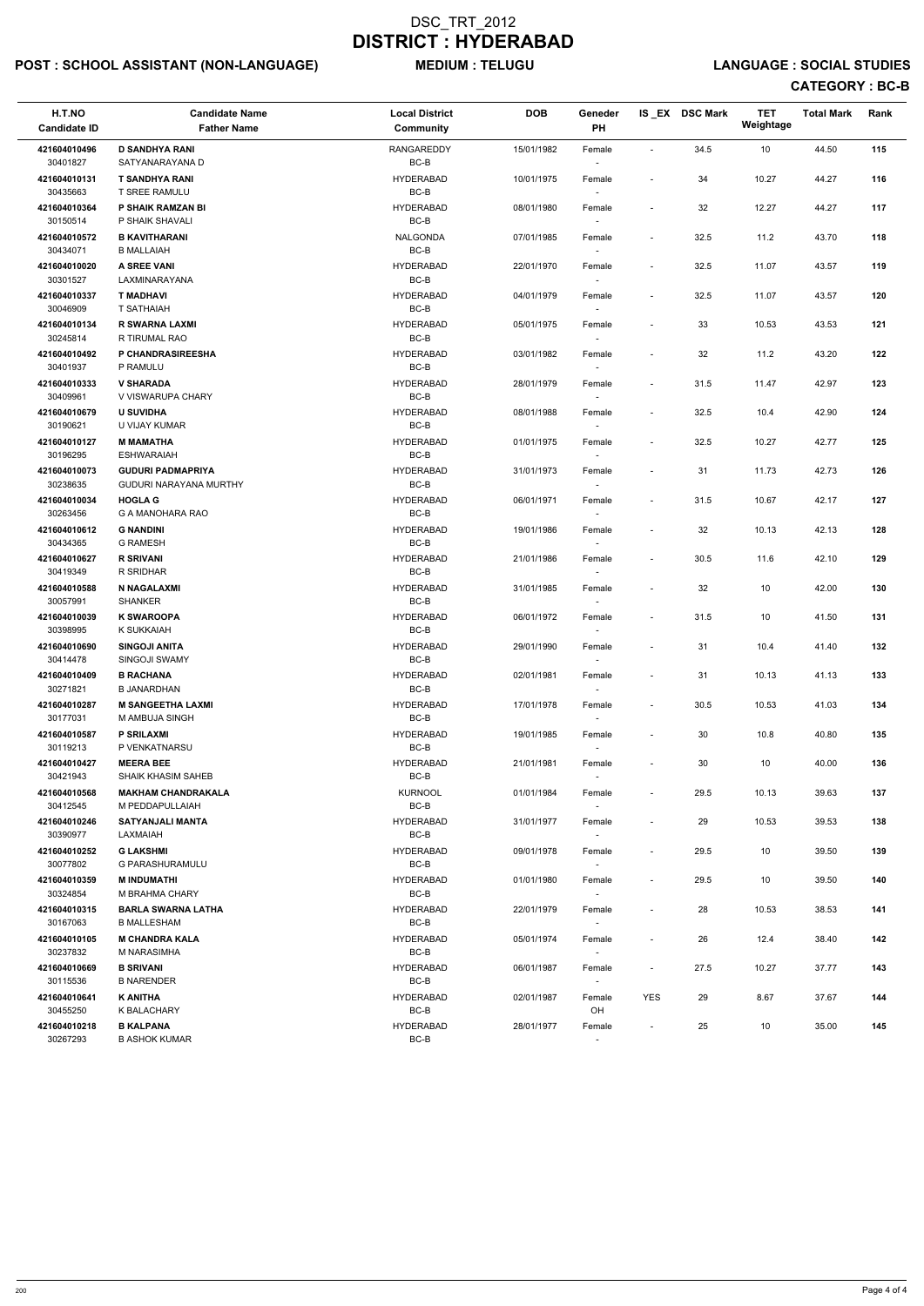# POST : SCHOOL ASSISTANT (NON-LANGUAGE) MEDIUM : TELUGU LANGUAGE : SOCIAL STUDIES

| H.T.NO<br><b>Candidate ID</b> | <b>Candidate Name</b><br><b>Father Name</b>        | <b>Local District</b><br>Community | <b>DOB</b> | Geneder<br>PH    |                          | IS_EX DSC Mark | <b>TET</b><br>Weightage | <b>Total Mark</b> | Rank |
|-------------------------------|----------------------------------------------------|------------------------------------|------------|------------------|--------------------------|----------------|-------------------------|-------------------|------|
| 421604010496<br>30401827      | <b>D SANDHYA RANI</b><br>SATYANARAYANA D           | <b>RANGAREDDY</b><br>BC-B          | 15/01/1982 | Female           | $\overline{\phantom{a}}$ | 34.5           | 10                      | 44.50             | 115  |
| 421604010131<br>30435663      | <b>T SANDHYA RANI</b><br>T SREE RAMULU             | <b>HYDERABAD</b><br>$BC-B$         | 10/01/1975 | Female           | $\overline{\phantom{a}}$ | 34             | 10.27                   | 44.27             | 116  |
| 421604010364<br>30150514      | P SHAIK RAMZAN BI<br>P SHAIK SHAVALI               | <b>HYDERABAD</b><br>BC-B           | 08/01/1980 | Female<br>$\sim$ | $\overline{\phantom{a}}$ | 32             | 12.27                   | 44.27             | 117  |
| 421604010572<br>30434071      | <b>B KAVITHARANI</b><br><b>B MALLAIAH</b>          | NALGONDA<br>BC-B                   | 07/01/1985 | Female           | $\overline{\phantom{a}}$ | 32.5           | 11.2                    | 43.70             | 118  |
| 421604010020<br>30301527      | A SREE VANI<br>LAXMINARAYANA                       | <b>HYDERABAD</b><br>BC-B           | 22/01/1970 | Female<br>$\sim$ | $\overline{\phantom{a}}$ | 32.5           | 11.07                   | 43.57             | 119  |
| 421604010337<br>30046909      | <b>T MADHAVI</b><br>T SATHAIAH                     | <b>HYDERABAD</b><br>BC-B           | 04/01/1979 | Female           | $\overline{\phantom{a}}$ | 32.5           | 11.07                   | 43.57             | 120  |
| 421604010134<br>30245814      | <b>R SWARNA LAXMI</b><br>R TIRUMAL RAO             | <b>HYDERABAD</b><br>BC-B           | 05/01/1975 | Female           | $\overline{\phantom{a}}$ | 33             | 10.53                   | 43.53             | 121  |
| 421604010492<br>30401937      | P CHANDRASIREESHA<br>P RAMULU                      | <b>HYDERABAD</b><br>BC-B           | 03/01/1982 | Female<br>$\sim$ | $\blacksquare$           | 32             | 11.2                    | 43.20             | 122  |
| 421604010333<br>30409961      | <b>V SHARADA</b><br>V VISWARUPA CHARY              | <b>HYDERABAD</b><br>BC-B           | 28/01/1979 | Female<br>$\sim$ | $\overline{\phantom{a}}$ | 31.5           | 11.47                   | 42.97             | 123  |
| 421604010679<br>30190621      | <b>U SUVIDHA</b><br>U VIJAY KUMAR                  | <b>HYDERABAD</b><br>BC-B           | 08/01/1988 | Female           | $\blacksquare$           | 32.5           | 10.4                    | 42.90             | 124  |
| 421604010127<br>30196295      | <b>M MAMATHA</b><br><b>ESHWARAIAH</b>              | <b>HYDERABAD</b><br>BC-B           | 01/01/1975 | Female           | $\overline{\phantom{a}}$ | 32.5           | 10.27                   | 42.77             | 125  |
| 421604010073<br>30238635      | <b>GUDURI PADMAPRIYA</b><br>GUDURI NARAYANA MURTHY | <b>HYDERABAD</b><br>BC-B           | 31/01/1973 | Female<br>$\sim$ | $\overline{\phantom{a}}$ | 31             | 11.73                   | 42.73             | 126  |
| 421604010034<br>30263456      | <b>HOGLA G</b><br>G A MANOHARA RAO                 | <b>HYDERABAD</b><br>BC-B           | 06/01/1971 | Female           | $\overline{\phantom{a}}$ | 31.5           | 10.67                   | 42.17             | 127  |
| 421604010612<br>30434365      | <b>G NANDINI</b><br><b>G RAMESH</b>                | <b>HYDERABAD</b><br>BC-B           | 19/01/1986 | Female           | $\overline{\phantom{a}}$ | 32             | 10.13                   | 42.13             | 128  |
| 421604010627<br>30419349      | <b>R SRIVANI</b><br>R SRIDHAR                      | <b>HYDERABAD</b><br>$BC-B$         | 21/01/1986 | Female           | $\overline{\phantom{a}}$ | 30.5           | 11.6                    | 42.10             | 129  |
| 421604010588<br>30057991      | N NAGALAXMI<br><b>SHANKER</b>                      | <b>HYDERABAD</b><br>BC-B           | 31/01/1985 | Female<br>$\sim$ | $\overline{\phantom{a}}$ | 32             | 10                      | 42.00             | 130  |
| 421604010039<br>30398995      | <b>K SWAROOPA</b><br>K SUKKAIAH                    | <b>HYDERABAD</b><br>BC-B           | 06/01/1972 | Female           | $\overline{\phantom{a}}$ | 31.5           | 10                      | 41.50             | 131  |
| 421604010690<br>30414478      | <b>SINGOJI ANITA</b><br><b>SINGOJI SWAMY</b>       | <b>HYDERABAD</b><br>BC-B           | 29/01/1990 | Female           | $\overline{\phantom{a}}$ | 31             | 10.4                    | 41.40             | 132  |
| 421604010409<br>30271821      | <b>B RACHANA</b><br><b>B JANARDHAN</b>             | <b>HYDERABAD</b><br>BC-B           | 02/01/1981 | Female<br>$\sim$ | $\overline{\phantom{a}}$ | 31             | 10.13                   | 41.13             | 133  |
| 421604010287<br>30177031      | <b>M SANGEETHA LAXMI</b><br>M AMBUJA SINGH         | <b>HYDERABAD</b><br>BC-B           | 17/01/1978 | Female<br>$\sim$ | $\overline{\phantom{a}}$ | 30.5           | 10.53                   | 41.03             | 134  |
| 421604010587<br>30119213      | <b>P SRILAXMI</b><br>P VENKATNARSU                 | <b>HYDERABAD</b><br>BC-B           | 19/01/1985 | Female<br>$\sim$ | $\overline{\phantom{a}}$ | 30             | 10.8                    | 40.80             | 135  |
| 421604010427<br>30421943      | <b>MEERA BEE</b><br><b>SHAIK KHASIM SAHEB</b>      | HYDERABAD<br>BC-B                  | 21/01/1981 | Female           | $\overline{\phantom{a}}$ | 30             | 10                      | 40.00             | 136  |
| 421604010568<br>30412545      | <b>MAKHAM CHANDRAKALA</b><br>M PEDDAPULLAIAH       | <b>KURNOOL</b><br>BC-B             | 01/01/1984 | Female<br>$\sim$ | $\overline{\phantom{a}}$ | 29.5           | 10.13                   | 39.63             | 137  |
| 421604010246<br>30390977      | <b>SATYANJALI MANTA</b><br>LAXMAIAH                | <b>HYDERABAD</b><br>BC-B           | 31/01/1977 | Female<br>$\sim$ | $\overline{\phantom{a}}$ | 29             | 10.53                   | 39.53             | 138  |
| 421604010252<br>30077802      | <b>G LAKSHMI</b><br><b>G PARASHURAMULU</b>         | <b>HYDERABAD</b><br>BC-B           | 09/01/1978 | Female<br>$\sim$ | $\overline{\phantom{a}}$ | 29.5           | 10                      | 39.50             | 139  |
| 421604010359<br>30324854      | <b>MINDUMATHI</b><br>M BRAHMA CHARY                | <b>HYDERABAD</b><br>BC-B           | 01/01/1980 | Female           | $\overline{\phantom{a}}$ | 29.5           | 10                      | 39.50             | 140  |
| 421604010315<br>30167063      | <b>BARLA SWARNA LATHA</b><br><b>B MALLESHAM</b>    | HYDERABAD<br>BC-B                  | 22/01/1979 | Female           | $\overline{\phantom{a}}$ | 28             | 10.53                   | 38.53             | 141  |
| 421604010105<br>30237832      | <b>M CHANDRA KALA</b><br>M NARASIMHA               | <b>HYDERABAD</b><br>BC-B           | 05/01/1974 | Female<br>$\sim$ | $\overline{\phantom{a}}$ | 26             | 12.4                    | 38.40             | 142  |
| 421604010669<br>30115536      | <b>B SRIVANI</b><br><b>B NARENDER</b>              | <b>HYDERABAD</b><br>BC-B           | 06/01/1987 | Female<br>$\sim$ | $\overline{\phantom{a}}$ | 27.5           | 10.27                   | 37.77             | 143  |

| 421604010641 | <b>K ANITHA</b>      | <b>HYDERABAD</b> | 02/01/1987 | Female | <b>YES</b> | 29 | 8.67 | 37.67 | 144 |
|--------------|----------------------|------------------|------------|--------|------------|----|------|-------|-----|
| 30455250     | <b>K BALACHARY</b>   | BC-B             |            |        |            |    |      |       |     |
| 421604010218 | <b>B KALPANA</b>     | <b>HYDERABAD</b> | 28/01/1977 | Female |            | 25 | 10   | 35.00 | 145 |
| 30267293     | <b>B ASHOK KUMAR</b> | BC-B             |            |        |            |    |      |       |     |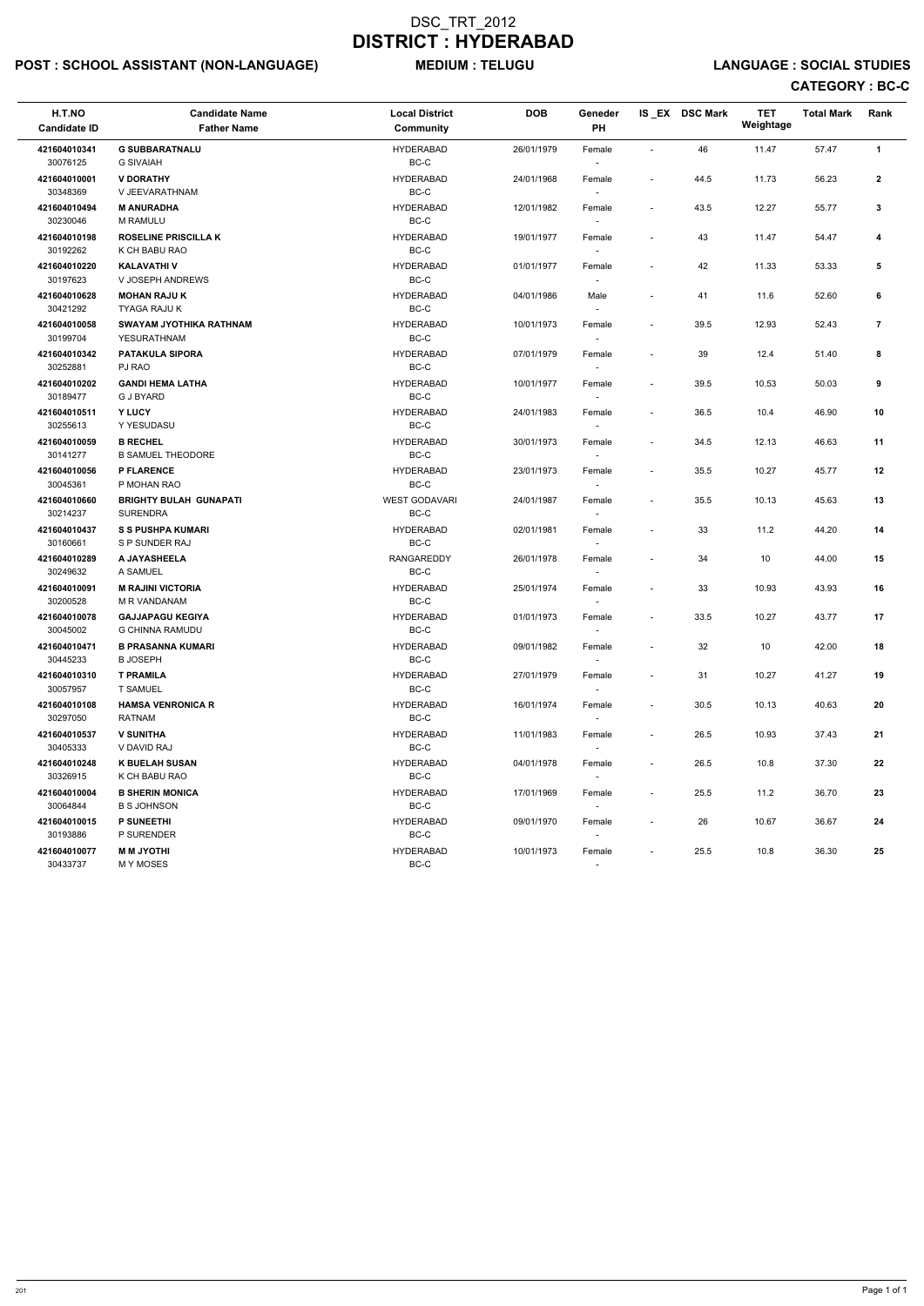# POST : SCHOOL ASSISTANT (NON-LANGUAGE) MEDIUM : TELUGU LANGUAGE : SOCIAL STUDIES

| H.T.NO<br><b>Candidate ID</b> | <b>Candidate Name</b><br><b>Father Name</b>       | <b>Local District</b><br><b>Community</b>           | <b>DOB</b> | Geneder<br>PH                      |                          | IS_EX DSC Mark | <b>TET</b><br>Weightage | <b>Total Mark</b> | Rank           |
|-------------------------------|---------------------------------------------------|-----------------------------------------------------|------------|------------------------------------|--------------------------|----------------|-------------------------|-------------------|----------------|
| 421604010341<br>30076125      | <b>G SUBBARATNALU</b><br><b>G SIVAIAH</b>         | <b>HYDERABAD</b><br>$BC-C$                          | 26/01/1979 | Female                             |                          | 46             | 11.47                   | 57.47             | $\mathbf{1}$   |
| 421604010001<br>30348369      | <b>V DORATHY</b><br>V JEEVARATHNAM                | <b>HYDERABAD</b><br>$BC-C$                          | 24/01/1968 | Female                             | $\overline{\phantom{a}}$ | 44.5           | 11.73                   | 56.23             | $\overline{2}$ |
| 421604010494<br>30230046      | <b>M ANURADHA</b><br><b>M RAMULU</b>              | <b>HYDERABAD</b><br>BC-C                            | 12/01/1982 | Female<br>$\overline{\phantom{a}}$ | $\overline{\phantom{a}}$ | 43.5           | 12.27                   | 55.77             | $\mathbf{3}$   |
| 421604010198<br>30192262      | <b>ROSELINE PRISCILLA K</b><br>K CH BABU RAO      | <b>HYDERABAD</b><br>$\mathsf{BC}\text{-}\mathsf{C}$ | 19/01/1977 | Female<br>$\sim$                   | $\overline{\phantom{a}}$ | 43             | 11.47                   | 54.47             | 4              |
| 421604010220<br>30197623      | <b>KALAVATHI V</b><br>V JOSEPH ANDREWS            | <b>HYDERABAD</b><br>BC-C                            | 01/01/1977 | Female<br>$\overline{\phantom{a}}$ |                          | 42             | 11.33                   | 53.33             | 5              |
| 421604010628<br>30421292      | <b>MOHAN RAJU K</b><br>TYAGA RAJU K               | <b>HYDERABAD</b><br>$BC-C$                          | 04/01/1986 | Male                               |                          | 41             | 11.6                    | 52.60             | 6              |
| 421604010058<br>30199704      | SWAYAM JYOTHIKA RATHNAM<br>YESURATHNAM            | <b>HYDERABAD</b><br>$BC-C$                          | 10/01/1973 | Female<br>$\overline{\phantom{a}}$ | $\overline{\phantom{a}}$ | 39.5           | 12.93                   | 52.43             | $\overline{7}$ |
| 421604010342<br>30252881      | <b>PATAKULA SIPORA</b><br>PJ RAO                  | <b>HYDERABAD</b><br>$BC-C$                          | 07/01/1979 | Female<br>$\overline{\phantom{a}}$ |                          | 39             | 12.4                    | 51.40             | 8              |
| 421604010202<br>30189477      | <b>GANDI HEMA LATHA</b><br><b>G J BYARD</b>       | <b>HYDERABAD</b><br>BC-C                            | 10/01/1977 | Female<br>$\overline{\phantom{a}}$ | $\overline{\phantom{a}}$ | 39.5           | 10.53                   | 50.03             | 9              |
| 421604010511<br>30255613      | Y LUCY<br>Y YESUDASU                              | <b>HYDERABAD</b><br>$BC-C$                          | 24/01/1983 | Female                             |                          | 36.5           | 10.4                    | 46.90             | 10             |
| 421604010059<br>30141277      | <b>B RECHEL</b><br><b>B SAMUEL THEODORE</b>       | <b>HYDERABAD</b><br>$BC-C$                          | 30/01/1973 | Female                             | $\overline{\phantom{a}}$ | 34.5           | 12.13                   | 46.63             | 11             |
| 421604010056<br>30045361      | <b>P FLARENCE</b><br>P MOHAN RAO                  | <b>HYDERABAD</b><br>$BC-C$                          | 23/01/1973 | Female<br>$\overline{\phantom{a}}$ | $\overline{\phantom{a}}$ | 35.5           | 10.27                   | 45.77             | 12             |
| 421604010660<br>30214237      | <b>BRIGHTY BULAH GUNAPATI</b><br><b>SURENDRA</b>  | <b>WEST GODAVARI</b><br>$BC-C$                      | 24/01/1987 | Female<br>$\overline{\phantom{a}}$ | $\overline{\phantom{a}}$ | 35.5           | 10.13                   | 45.63             | 13             |
| 421604010437<br>30160661      | <b>S S PUSHPA KUMARI</b><br>S P SUNDER RAJ        | <b>HYDERABAD</b><br>BC-C                            | 02/01/1981 | Female<br>$\overline{\phantom{a}}$ | $\overline{\phantom{a}}$ | 33             | 11.2                    | 44.20             | 14             |
| 421604010289<br>30249632      | A JAYASHEELA<br>A SAMUEL                          | <b>RANGAREDDY</b><br>$BC-C$                         | 26/01/1978 | Female                             | $\overline{\phantom{a}}$ | 34             | 10                      | 44.00             | 15             |
| 421604010091<br>30200528      | <b>M RAJINI VICTORIA</b><br>M R VANDANAM          | <b>HYDERABAD</b><br>BC-C                            | 25/01/1974 | Female<br>$\overline{\phantom{a}}$ | $\overline{\phantom{a}}$ | 33             | 10.93                   | 43.93             | 16             |
| 421604010078<br>30045002      | <b>GAJJAPAGU KEGIYA</b><br><b>G CHINNA RAMUDU</b> | <b>HYDERABAD</b><br>$BC-C$                          | 01/01/1973 | Female                             |                          | 33.5           | 10.27                   | 43.77             | 17             |
| 421604010471<br>30445233      | <b>B PRASANNA KUMARI</b><br><b>B JOSEPH</b>       | <b>HYDERABAD</b><br>$BC-C$                          | 09/01/1982 | Female                             | $\sim$                   | 32             | 10                      | 42.00             | 18             |
| 421604010310<br>30057957      | <b>T PRAMILA</b><br><b>T SAMUEL</b>               | <b>HYDERABAD</b><br>$BC-C$                          | 27/01/1979 | Female<br>$\sim$                   | $\overline{\phantom{a}}$ | 31             | 10.27                   | 41.27             | 19             |
| 421604010108<br>30297050      | <b>HAMSA VENRONICA R</b><br><b>RATNAM</b>         | <b>HYDERABAD</b><br>BC-C                            | 16/01/1974 | Female<br>$\sim$                   | $\sim$                   | 30.5           | 10.13                   | 40.63             | 20             |
| 421604010537<br>30405333      | <b>V SUNITHA</b><br>V DAVID RAJ                   | <b>HYDERABAD</b><br>$BC-C$                          | 11/01/1983 | Female<br>$\overline{\phantom{a}}$ | $\overline{\phantom{a}}$ | 26.5           | 10.93                   | 37.43             | 21             |
| 421604010248<br>30326915      | <b>K BUELAH SUSAN</b><br>K CH BABU RAO            | <b>HYDERABAD</b><br>$BC-C$                          | 04/01/1978 | Female                             | $\overline{\phantom{a}}$ | 26.5           | 10.8                    | 37.30             | 22             |
| 421604010004<br>30064844      | <b>B SHERIN MONICA</b><br><b>B S JOHNSON</b>      | <b>HYDERABAD</b><br>$BC-C$                          | 17/01/1969 | Female<br>$\sim$                   | $\overline{\phantom{a}}$ | 25.5           | 11.2                    | 36.70             | 23             |
| 421604010015<br>30193886      | <b>P SUNEETHI</b><br>P SURENDER                   | <b>HYDERABAD</b><br>BC-C                            | 09/01/1970 | Female<br>$\overline{\phantom{a}}$ |                          | 26             | 10.67                   | 36.67             | 24             |
| 421604010077<br>30433737      | <b>MM JYOTHI</b><br>M Y MOSES                     | <b>HYDERABAD</b><br>BC-C                            | 10/01/1973 | Female                             |                          | 25.5           | 10.8                    | 36.30             | 25             |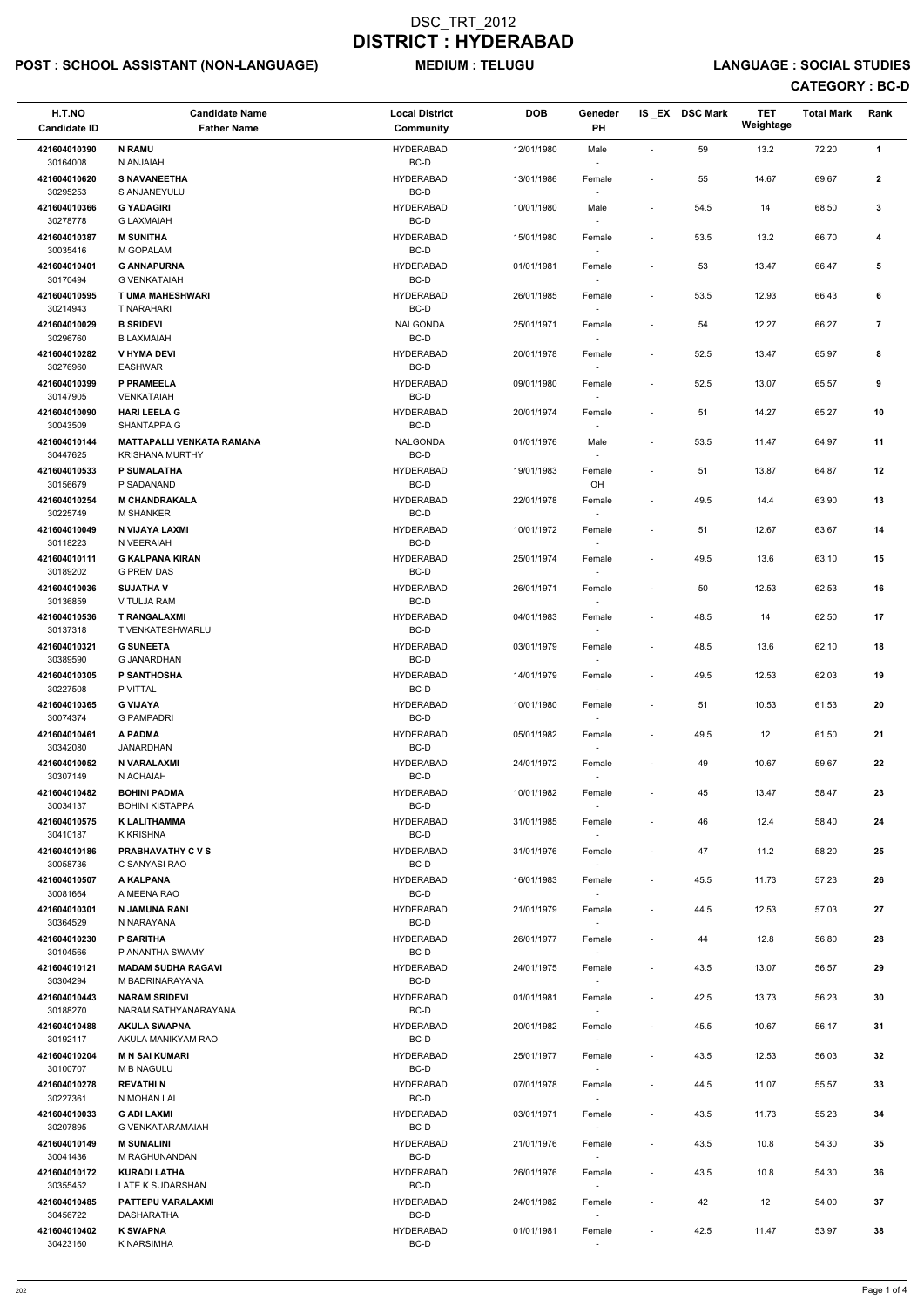# POST : SCHOOL ASSISTANT (NON-LANGUAGE) MEDIUM : TELUGU LANGUAGE : SOCIAL STUDIES

| H.T.NO<br><b>Candidate ID</b> | <b>Candidate Name</b><br><b>Father Name</b>  | <b>Local District</b><br>Community | <b>DOB</b> | Geneder<br>PH                      |                          | IS_EX DSC Mark | <b>TET</b><br>Weightage | <b>Total Mark</b> | Rank                    |
|-------------------------------|----------------------------------------------|------------------------------------|------------|------------------------------------|--------------------------|----------------|-------------------------|-------------------|-------------------------|
| 421604010390<br>30164008      | <b>N RAMU</b><br>N ANJAIAH                   | <b>HYDERABAD</b><br>BC-D           | 12/01/1980 | Male<br>$\overline{\phantom{a}}$   | $\overline{\phantom{a}}$ | 59             | 13.2                    | 72.20             | $\mathbf{1}$            |
| 421604010620<br>30295253      | <b>S NAVANEETHA</b><br>S ANJANEYULU          | <b>HYDERABAD</b><br>BC-D           | 13/01/1986 | Female                             | $\overline{\phantom{a}}$ | 55             | 14.67                   | 69.67             | $\mathbf{2}$            |
| 421604010366<br>30278778      | <b>G YADAGIRI</b><br><b>G LAXMAIAH</b>       | <b>HYDERABAD</b><br>BC-D           | 10/01/1980 | Male<br>$\overline{\phantom{a}}$   | $\overline{\phantom{a}}$ | 54.5           | 14                      | 68.50             | 3                       |
| 421604010387                  | <b>M SUNITHA</b>                             | <b>HYDERABAD</b>                   | 15/01/1980 | Female                             |                          | 53.5           | 13.2                    | 66.70             | 4                       |
| 30035416<br>421604010401      | M GOPALAM<br><b>G ANNAPURNA</b>              | BC-D<br><b>HYDERABAD</b>           | 01/01/1981 | Female                             | $\overline{\phantom{0}}$ | 53             | 13.47                   | 66.47             | 5                       |
| 30170494                      | <b>G VENKATAIAH</b>                          | BC-D                               |            |                                    |                          |                |                         |                   |                         |
| 421604010595<br>30214943      | T UMA MAHESHWARI<br>T NARAHARI               | <b>HYDERABAD</b><br>BC-D           | 26/01/1985 | Female                             | $\blacksquare$           | 53.5           | 12.93                   | 66.43             | 6                       |
| 421604010029<br>30296760      | <b>B SRIDEVI</b><br><b>B LAXMAIAH</b>        | <b>NALGONDA</b><br>BC-D            | 25/01/1971 | Female                             | $\overline{\phantom{a}}$ | 54             | 12.27                   | 66.27             | $\overline{\mathbf{r}}$ |
| 421604010282<br>30276960      | <b>V HYMA DEVI</b><br><b>EASHWAR</b>         | <b>HYDERABAD</b><br>BC-D           | 20/01/1978 | Female<br>$\overline{\phantom{a}}$ | $\overline{\phantom{a}}$ | 52.5           | 13.47                   | 65.97             | 8                       |
| 421604010399<br>30147905      | P PRAMEELA<br>VENKATAIAH                     | <b>HYDERABAD</b><br>BC-D           | 09/01/1980 | Female<br>$\overline{\phantom{a}}$ | $\overline{\phantom{a}}$ | 52.5           | 13.07                   | 65.57             | 9                       |
| 421604010090<br>30043509      | <b>HARI LEELA G</b><br><b>SHANTAPPA G</b>    | <b>HYDERABAD</b><br>BC-D           | 20/01/1974 | Female                             | $\overline{\phantom{a}}$ | 51             | 14.27                   | 65.27             | 10                      |
| 421604010144                  | <b>MATTAPALLI VENKATA RAMANA</b>             | NALGONDA                           | 01/01/1976 | Male                               | $\overline{\phantom{a}}$ | 53.5           | 11.47                   | 64.97             | 11                      |
| 30447625<br>421604010533      | <b>KRISHANA MURTHY</b><br><b>P SUMALATHA</b> | $BC-D$<br><b>HYDERABAD</b>         | 19/01/1983 | Female                             | $\overline{\phantom{a}}$ | 51             | 13.87                   | 64.87             | 12                      |
| 30156679                      | P SADANAND                                   | BC-D                               |            | OH                                 |                          |                |                         |                   |                         |
| 421604010254<br>30225749      | <b>M CHANDRAKALA</b><br><b>M SHANKER</b>     | <b>HYDERABAD</b><br>BC-D           | 22/01/1978 | Female<br>$\sim$                   | $\overline{\phantom{a}}$ | 49.5           | 14.4                    | 63.90             | 13                      |
| 421604010049                  | N VIJAYA LAXMI                               | <b>HYDERABAD</b>                   | 10/01/1972 | Female                             | $\overline{\phantom{a}}$ | 51             | 12.67                   | 63.67             | 14                      |
| 30118223<br>421604010111      | N VEERAIAH<br><b>G KALPANA KIRAN</b>         | BC-D<br><b>HYDERABAD</b>           | 25/01/1974 | Female                             | $\overline{\phantom{a}}$ | 49.5           | 13.6                    | 63.10             | 15                      |
| 30189202<br>421604010036      | <b>G PREM DAS</b><br><b>SUJATHAV</b>         | BC-D<br><b>HYDERABAD</b>           | 26/01/1971 | Female                             | $\overline{\phantom{a}}$ | 50             | 12.53                   | 62.53             | 16                      |
| 30136859                      | V TULJA RAM                                  | BC-D                               |            | $\overline{\phantom{a}}$           |                          |                |                         |                   |                         |
| 421604010536<br>30137318      | <b>T RANGALAXMI</b><br>T VENKATESHWARLU      | <b>HYDERABAD</b><br>BC-D           | 04/01/1983 | Female<br>$\overline{\phantom{a}}$ | $\overline{\phantom{a}}$ | 48.5           | 14                      | 62.50             | 17                      |
| 421604010321<br>30389590      | <b>G SUNEETA</b><br><b>G JANARDHAN</b>       | <b>HYDERABAD</b><br>BC-D           | 03/01/1979 | Female                             | $\overline{\phantom{a}}$ | 48.5           | 13.6                    | 62.10             | 18                      |
| 421604010305<br>30227508      | <b>P SANTHOSHA</b><br>P VITTAL               | <b>HYDERABAD</b><br>BC-D           | 14/01/1979 | Female<br>$\sim$                   | $\overline{\phantom{a}}$ | 49.5           | 12.53                   | 62.03             | 19                      |
| 421604010365<br>30074374      | <b>G VIJAYA</b><br><b>G PAMPADRI</b>         | <b>HYDERABAD</b><br>BC-D           | 10/01/1980 | Female                             | $\overline{\phantom{a}}$ | 51             | 10.53                   | 61.53             | 20                      |
| 421604010461<br>30342080      | A PADMA<br>JANARDHAN                         | <b>HYDERABAD</b><br>BC-D           | 05/01/1982 | Female                             | $\blacksquare$           | 49.5           | 12                      | 61.50             | 21                      |
| 421604010052                  | N VARALAXMI                                  | <b>HYDERABAD</b>                   | 24/01/1972 | $\sim$<br>Female                   | $\overline{\phantom{a}}$ | 49             | 10.67                   | 59.67             | 22                      |
| 30307149<br>421604010482      | N ACHAIAH<br><b>BOHINI PADMA</b>             | BC-D<br><b>HYDERABAD</b>           | 10/01/1982 | Female                             | $\overline{\phantom{a}}$ | 45             | 13.47                   | 58.47             | 23                      |
| 30034137                      | <b>BOHINI KISTAPPA</b>                       | BC-D                               |            |                                    |                          |                |                         |                   |                         |
| 421604010575<br>30410187      | <b>K LALITHAMMA</b><br>K KRISHNA             | <b>HYDERABAD</b><br>BC-D           | 31/01/1985 | Female<br>$\sim$                   | $\blacksquare$           | 46             | 12.4                    | 58.40             | 24                      |
| 421604010186<br>30058736      | <b>PRABHAVATHY C V S</b><br>C SANYASI RAO    | <b>HYDERABAD</b><br>BC-D           | 31/01/1976 | Female<br>$\sim$                   | $\overline{\phantom{a}}$ | 47             | 11.2                    | 58.20             | 25                      |
| 421604010507<br>30081664      | A KALPANA<br>A MEENA RAO                     | <b>HYDERABAD</b><br>BC-D           | 16/01/1983 | Female                             | $\overline{\phantom{a}}$ | 45.5           | 11.73                   | 57.23             | 26                      |
| 421604010301<br>30364529      | N JAMUNA RANI<br>N NARAYANA                  | <b>HYDERABAD</b><br>BC-D           | 21/01/1979 | Female                             | $\overline{\phantom{a}}$ | 44.5           | 12.53                   | 57.03             | 27                      |
| 421604010230<br>30104566      | <b>P SARITHA</b><br>P ANANTHA SWAMY          | <b>HYDERABAD</b><br>BC-D           | 26/01/1977 | Female<br>$\sim$                   | $\overline{\phantom{a}}$ | 44             | 12.8                    | 56.80             | 28                      |
| 421604010121                  | <b>MADAM SUDHA RAGAVI</b>                    | <b>HYDERABAD</b>                   | 24/01/1975 | Female                             | $\overline{\phantom{a}}$ | 43.5           | 13.07                   | 56.57             | 29                      |
| 30304294<br>421604010443      | M BADRINARAYANA<br><b>NARAM SRIDEVI</b>      | BC-D<br><b>HYDERABAD</b>           | 01/01/1981 | $\sim$<br>Female                   | $\overline{\phantom{a}}$ | 42.5           | 13.73                   | 56.23             | 30                      |
| 30188270                      | NARAM SATHYANARAYANA                         | BC-D                               |            | $\sim$                             |                          |                |                         |                   |                         |
| 421604010488<br>30192117      | <b>AKULA SWAPNA</b><br>AKULA MANIKYAM RAO    | <b>HYDERABAD</b><br>BC-D           | 20/01/1982 | Female                             | $\overline{\phantom{a}}$ | 45.5           | 10.67                   | 56.17             | 31                      |
| 421604010204<br>30100707      | <b>MN SAI KUMARI</b><br><b>M B NAGULU</b>    | <b>HYDERABAD</b><br>BC-D           | 25/01/1977 | Female                             | $\overline{\phantom{a}}$ | 43.5           | 12.53                   | 56.03             | 32                      |
| 421604010278                  | <b>REVATHIN</b>                              | <b>HYDERABAD</b>                   | 07/01/1978 | Female                             | $\overline{\phantom{a}}$ | 44.5           | 11.07                   | 55.57             | 33                      |
| 30227361<br>421604010033      | N MOHAN LAL<br><b>G ADI LAXMI</b>            | BC-D<br><b>HYDERABAD</b>           | 03/01/1971 | $\overline{\phantom{a}}$<br>Female | $\overline{\phantom{a}}$ | 43.5           | 11.73                   | 55.23             | 34                      |
| 30207895                      | G VENKATARAMAIAH                             | BC-D                               |            |                                    |                          |                |                         |                   |                         |
| 421604010149<br>30041436      | <b>M SUMALINI</b><br>M RAGHUNANDAN           | <b>HYDERABAD</b><br>BC-D           | 21/01/1976 | Female<br>$\sim$                   | $\overline{\phantom{a}}$ | 43.5           | 10.8                    | 54.30             | 35                      |
| 421604010172<br>30355452      | <b>KURADI LATHA</b><br>LATE K SUDARSHAN      | <b>HYDERABAD</b><br>BC-D           | 26/01/1976 | Female<br>$\sim$                   | $\overline{\phantom{a}}$ | 43.5           | 10.8                    | 54.30             | 36                      |
| 421604010485<br>30456722      | PATTEPU VARALAXMI<br>DASHARATHA              | <b>HYDERABAD</b><br>BC-D           | 24/01/1982 | Female<br>$\sim$                   | $\overline{\phantom{a}}$ | 42             | 12                      | 54.00             | 37                      |
| 421604010402<br>30423160      | <b>K SWAPNA</b><br><b>K NARSIMHA</b>         | <b>HYDERABAD</b><br>BC-D           | 01/01/1981 | Female<br>$\overline{\phantom{a}}$ | $\overline{\phantom{a}}$ | 42.5           | 11.47                   | 53.97             | 38                      |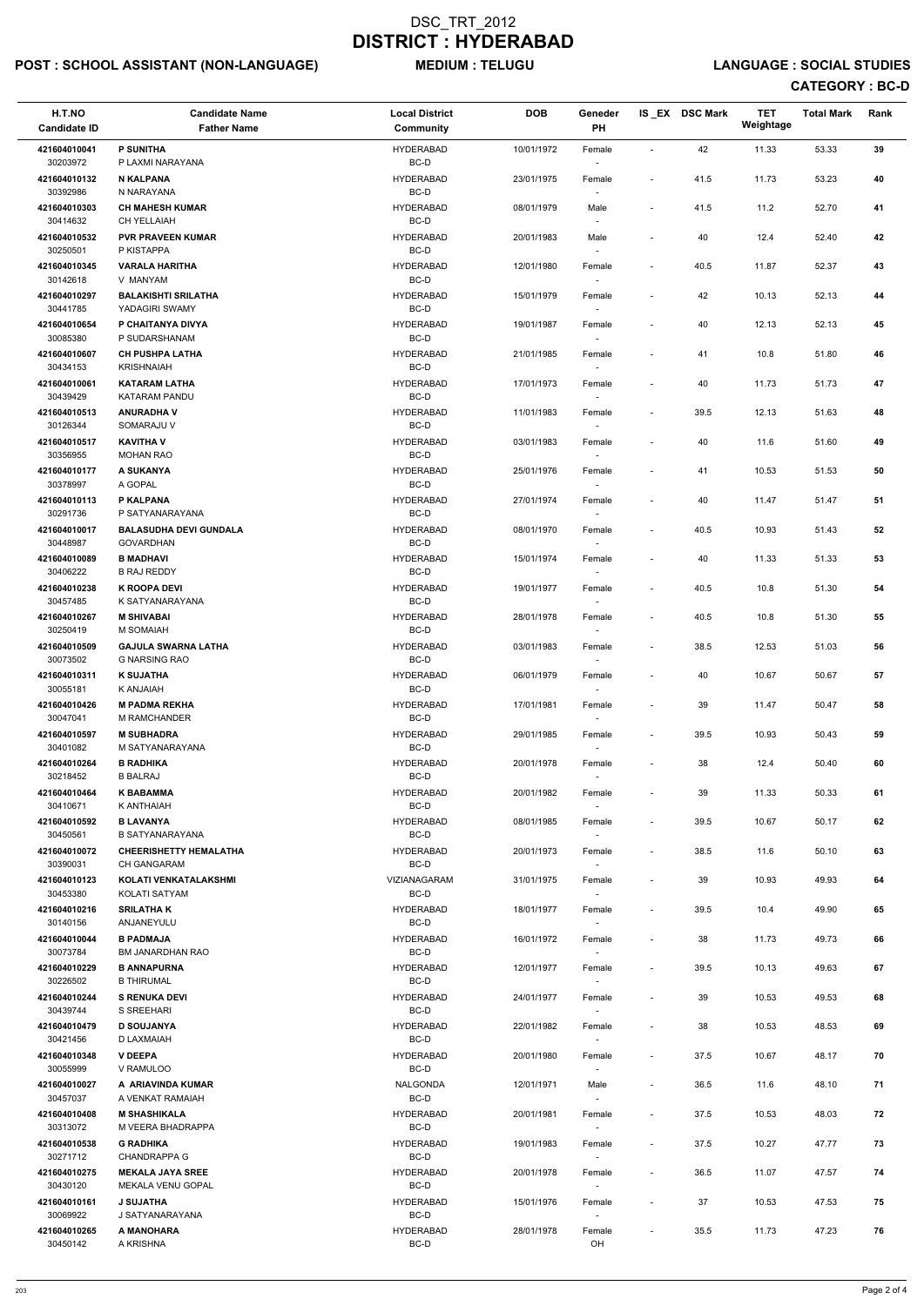# POST : SCHOOL ASSISTANT (NON-LANGUAGE) MEDIUM : TELUGU LANGUAGE : SOCIAL STUDIES

| H.T.NO<br><b>Candidate ID</b> | <b>Candidate Name</b><br><b>Father Name</b>         | <b>Local District</b><br>Community | <b>DOB</b> | Geneder<br>PH                      |                          | IS_EX DSC Mark | <b>TET</b><br>Weightage | <b>Total Mark</b> | Rank |
|-------------------------------|-----------------------------------------------------|------------------------------------|------------|------------------------------------|--------------------------|----------------|-------------------------|-------------------|------|
| 421604010041<br>30203972      | <b>P SUNITHA</b><br>P LAXMI NARAYANA                | <b>HYDERABAD</b><br>BC-D           | 10/01/1972 | Female                             | $\overline{\phantom{a}}$ | 42             | 11.33                   | 53.33             | 39   |
| 421604010132                  | <b>N KALPANA</b>                                    | <b>HYDERABAD</b>                   | 23/01/1975 | Female                             | $\overline{\phantom{a}}$ | 41.5           | 11.73                   | 53.23             | 40   |
| 30392986<br>421604010303      | N NARAYANA<br><b>CH MAHESH KUMAR</b>                | BC-D<br><b>HYDERABAD</b>           | 08/01/1979 | Male                               | $\overline{\phantom{a}}$ | 41.5           | 11.2                    | 52.70             | 41   |
| 30414632<br>421604010532      | CH YELLAIAH<br><b>PVR PRAVEEN KUMAR</b>             | BC-D<br><b>HYDERABAD</b>           | 20/01/1983 | Male                               |                          | 40             | 12.4                    | 52.40             | 42   |
| 30250501                      | P KISTAPPA                                          | BC-D                               |            |                                    |                          |                |                         |                   |      |
| 421604010345<br>30142618      | <b>VARALA HARITHA</b><br>V MANYAM                   | <b>HYDERABAD</b><br>BC-D           | 12/01/1980 | Female                             | $\overline{\phantom{a}}$ | 40.5           | 11.87                   | 52.37             | 43   |
| 421604010297<br>30441785      | <b>BALAKISHTI SRILATHA</b><br>YADAGIRI SWAMY        | <b>HYDERABAD</b><br>BC-D           | 15/01/1979 | Female                             | $\overline{\phantom{a}}$ | 42             | 10.13                   | 52.13             | 44   |
| 421604010654<br>30085380      | P CHAITANYA DIVYA<br>P SUDARSHANAM                  | <b>HYDERABAD</b><br>BC-D           | 19/01/1987 | Female                             | $\overline{\phantom{a}}$ | 40             | 12.13                   | 52.13             | 45   |
| 421604010607<br>30434153      | <b>CH PUSHPA LATHA</b><br><b>KRISHNAIAH</b>         | <b>HYDERABAD</b><br>BC-D           | 21/01/1985 | Female<br>$\sim$                   | $\overline{\phantom{a}}$ | 41             | 10.8                    | 51.80             | 46   |
| 421604010061                  | <b>KATARAM LATHA</b>                                | <b>HYDERABAD</b>                   | 17/01/1973 | Female                             | $\overline{\phantom{a}}$ | 40             | 11.73                   | 51.73             | 47   |
| 30439429<br>421604010513      | KATARAM PANDU<br><b>ANURADHA V</b>                  | BC-D<br><b>HYDERABAD</b>           | 11/01/1983 | Female                             | $\overline{\phantom{a}}$ | 39.5           | 12.13                   | 51.63             | 48   |
| 30126344<br>421604010517      | SOMARAJU V<br><b>KAVITHA V</b>                      | BC-D<br><b>HYDERABAD</b>           | 03/01/1983 | Female                             |                          | 40             | 11.6                    | 51.60             | 49   |
| 30356955                      | <b>MOHAN RAO</b>                                    | BC-D                               |            |                                    |                          |                |                         |                   |      |
| 421604010177<br>30378997      | A SUKANYA<br>A GOPAL                                | <b>HYDERABAD</b><br>BC-D           | 25/01/1976 | Female                             | $\overline{\phantom{a}}$ | 41             | 10.53                   | 51.53             | 50   |
| 421604010113<br>30291736      | P KALPANA<br>P SATYANARAYANA                        | <b>HYDERABAD</b><br>BC-D           | 27/01/1974 | Female<br>$\overline{\phantom{a}}$ | $\overline{a}$           | 40             | 11.47                   | 51.47             | 51   |
| 421604010017                  | <b>BALASUDHA DEVI GUNDALA</b>                       | <b>HYDERABAD</b>                   | 08/01/1970 | Female                             | $\overline{\phantom{a}}$ | 40.5           | 10.93                   | 51.43             | 52   |
| 30448987<br>421604010089      | <b>GOVARDHAN</b><br><b>B MADHAVI</b>                | BC-D<br><b>HYDERABAD</b>           | 15/01/1974 | Female                             | $\overline{\phantom{a}}$ | 40             | 11.33                   | 51.33             | 53   |
| 30406222                      | <b>B RAJ REDDY</b>                                  | BC-D                               |            |                                    |                          |                |                         |                   |      |
| 421604010238<br>30457485      | <b>K ROOPA DEVI</b><br>K SATYANARAYANA              | <b>HYDERABAD</b><br>BC-D           | 19/01/1977 | Female<br>$\overline{\phantom{a}}$ | $\overline{\phantom{a}}$ | 40.5           | 10.8                    | 51.30             | 54   |
| 421604010267<br>30250419      | <b>M SHIVABAI</b><br>M SOMAIAH                      | <b>HYDERABAD</b><br>BC-D           | 28/01/1978 | Female<br>$\sim$                   | $\overline{\phantom{a}}$ | 40.5           | 10.8                    | 51.30             | 55   |
| 421604010509<br>30073502      | <b>GAJULA SWARNA LATHA</b><br><b>G NARSING RAO</b>  | <b>HYDERABAD</b><br>BC-D           | 03/01/1983 | Female                             | $\overline{\phantom{a}}$ | 38.5           | 12.53                   | 51.03             | 56   |
| 421604010311<br>30055181      | <b>K SUJATHA</b><br>K ANJAIAH                       | <b>HYDERABAD</b><br>BC-D           | 06/01/1979 | Female<br>$\sim$                   | $\overline{\phantom{a}}$ | 40             | 10.67                   | 50.67             | 57   |
| 421604010426<br>30047041      | <b>M PADMA REKHA</b><br>M RAMCHANDER                | <b>HYDERABAD</b><br>BC-D           | 17/01/1981 | Female                             | $\overline{\phantom{a}}$ | 39             | 11.47                   | 50.47             | 58   |
| 421604010597                  | <b>M SUBHADRA</b>                                   | <b>HYDERABAD</b>                   | 29/01/1985 | Female                             | $\overline{\phantom{a}}$ | 39.5           | 10.93                   | 50.43             | 59   |
| 30401082<br>421604010264      | M SATYANARAYANA<br><b>B RADHIKA</b>                 | BC-D<br><b>HYDERABAD</b>           | 20/01/1978 | $\sim$<br>Female                   | $\overline{\phantom{a}}$ | 38             | 12.4                    | 50.40             | 60   |
| 30218452<br>421604010464      | <b>B BALRAJ</b><br><b>K BABAMMA</b>                 | BC-D<br><b>HYDERABAD</b>           | 20/01/1982 | Female                             | $\overline{\phantom{a}}$ | 39             | 11.33                   | 50.33             | 61   |
| 30410671                      | K ANTHAIAH                                          | BC-D                               |            |                                    |                          |                |                         |                   |      |
| 421604010592<br>30450561      | <b>B LAVANYA</b><br><b>B SATYANARAYANA</b>          | <b>HYDERABAD</b><br>BC-D           | 08/01/1985 | Female<br>$\sim$                   | $\blacksquare$           | 39.5           | 10.67                   | 50.17             | 62   |
| 421604010072<br>30390031      | <b>CHEERISHETTY HEMALATHA</b><br><b>CH GANGARAM</b> | <b>HYDERABAD</b><br>BC-D           | 20/01/1973 | Female<br>$\sim$                   | $\overline{\phantom{a}}$ | 38.5           | 11.6                    | 50.10             | 63   |
| 421604010123<br>30453380      | KOLATI VENKATALAKSHMI<br>KOLATI SATYAM              | VIZIANAGARAM<br>BC-D               | 31/01/1975 | Female                             | $\overline{\phantom{a}}$ | 39             | 10.93                   | 49.93             | 64   |
| 421604010216<br>30140156      | <b>SRILATHAK</b><br>ANJANEYULU                      | <b>HYDERABAD</b><br>BC-D           | 18/01/1977 | Female                             | $\overline{\phantom{a}}$ | 39.5           | 10.4                    | 49.90             | 65   |
| 421604010044<br>30073784      | <b>B PADMAJA</b><br><b>BM JANARDHAN RAO</b>         | <b>HYDERABAD</b><br>BC-D           | 16/01/1972 | Female<br>$\sim$                   | $\overline{\phantom{a}}$ | 38             | 11.73                   | 49.73             | 66   |
| 421604010229                  | <b>B ANNAPURNA</b>                                  | <b>HYDERABAD</b>                   | 12/01/1977 | Female                             | $\overline{\phantom{a}}$ | 39.5           | 10.13                   | 49.63             | 67   |
| 30226502<br>421604010244      | <b>B THIRUMAL</b><br><b>S RENUKA DEVI</b>           | BC-D<br><b>HYDERABAD</b>           | 24/01/1977 | Female                             | $\overline{\phantom{a}}$ | 39             | 10.53                   | 49.53             | 68   |
| 30439744                      | S SREEHARI                                          | BC-D                               |            | $\sim$                             |                          |                |                         |                   |      |
| 421604010479<br>30421456      | <b>D SOUJANYA</b><br>D LAXMAIAH                     | <b>HYDERABAD</b><br>BC-D           | 22/01/1982 | Female                             | $\overline{\phantom{a}}$ | 38             | 10.53                   | 48.53             | 69   |
| 421604010348<br>30055999      | <b>V DEEPA</b><br>V RAMULOO                         | <b>HYDERABAD</b><br>BC-D           | 20/01/1980 | Female                             | $\overline{\phantom{a}}$ | 37.5           | 10.67                   | 48.17             | 70   |
| 421604010027                  | A ARIAVINDA KUMAR                                   | <b>NALGONDA</b>                    | 12/01/1971 | Male                               | $\overline{\phantom{a}}$ | 36.5           | 11.6                    | 48.10             | 71   |
| 30457037<br>421604010408      | A VENKAT RAMAIAH<br><b>M SHASHIKALA</b>             | BC-D<br><b>HYDERABAD</b>           | 20/01/1981 | $\sim$<br>Female                   | $\overline{\phantom{a}}$ | 37.5           | 10.53                   | 48.03             | 72   |
| 30313072<br>421604010538      | M VEERA BHADRAPPA<br><b>G RADHIKA</b>               | BC-D<br><b>HYDERABAD</b>           | 19/01/1983 | Female                             | $\overline{\phantom{a}}$ | 37.5           | 10.27                   | 47.77             | 73   |
| 30271712<br>421604010275      | <b>CHANDRAPPA G</b><br><b>MEKALA JAYA SREE</b>      | BC-D<br><b>HYDERABAD</b>           | 20/01/1978 | $\sim$<br>Female                   | $\overline{\phantom{a}}$ | 36.5           | 11.07                   | 47.57             | 74   |
| 30430120                      | MEKALA VENU GOPAL                                   | BC-D                               |            | $\sim$                             |                          |                |                         |                   |      |
| 421604010161<br>30069922      | J SUJATHA<br>J SATYANARAYANA                        | <b>HYDERABAD</b><br>BC-D           | 15/01/1976 | Female<br>$\sim$                   | $\overline{\phantom{a}}$ | 37             | 10.53                   | 47.53             | 75   |
| 421604010265<br>30450142      | A MANOHARA<br>A KRISHNA                             | <b>HYDERABAD</b><br>BC-D           | 28/01/1978 | Female<br>OH                       | $\overline{\phantom{a}}$ | 35.5           | 11.73                   | 47.23             | 76   |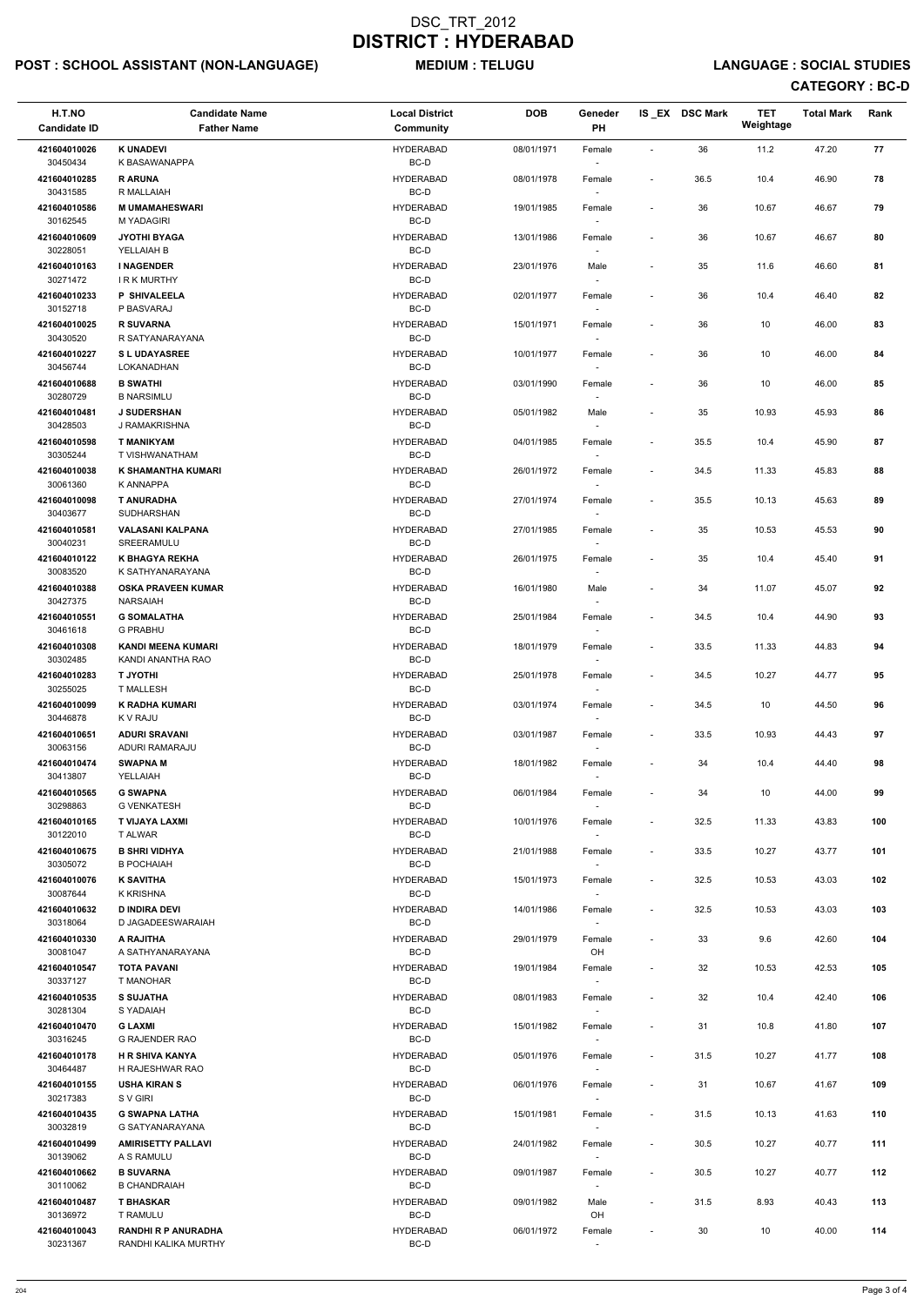# POST : SCHOOL ASSISTANT (NON-LANGUAGE) MEDIUM : TELUGU LANGUAGE : SOCIAL STUDIES

| H.T.NO<br><b>Candidate ID</b> | <b>Candidate Name</b><br><b>Father Name</b>     | <b>Local District</b><br>Community | <b>DOB</b> | Geneder<br><b>PH</b>               |                          | IS_EX DSC Mark | <b>TET</b><br>Weightage | <b>Total Mark</b> | Rank |
|-------------------------------|-------------------------------------------------|------------------------------------|------------|------------------------------------|--------------------------|----------------|-------------------------|-------------------|------|
| 421604010026<br>30450434      | <b>K UNADEVI</b><br>K BASAWANAPPA               | <b>HYDERABAD</b><br>BC-D           | 08/01/1971 | Female                             | ÷,                       | 36             | 11.2                    | 47.20             | 77   |
| 421604010285                  | <b>RARUNA</b>                                   | <b>HYDERABAD</b>                   | 08/01/1978 | Female                             | $\overline{\phantom{a}}$ | 36.5           | 10.4                    | 46.90             | 78   |
| 30431585<br>421604010586      | R MALLAIAH<br><b>M UMAMAHESWARI</b>             | BC-D<br><b>HYDERABAD</b>           | 19/01/1985 | Female                             | $\overline{\phantom{a}}$ | 36             | 10.67                   | 46.67             | 79   |
| 30162545<br>421604010609      | <b>M YADAGIRI</b><br><b>JYOTHI BYAGA</b>        | BC-D<br><b>HYDERABAD</b>           | 13/01/1986 | Female                             | $\overline{\phantom{a}}$ | 36             | 10.67                   | 46.67             | 80   |
| 30228051<br>421604010163      | YELLAIAH B<br><b>I NAGENDER</b>                 | BC-D<br><b>HYDERABAD</b>           | 23/01/1976 | Male                               | $\overline{\phantom{a}}$ | 35             | 11.6                    | 46.60             | 81   |
| 30271472                      | <b>IRK MURTHY</b>                               | BC-D                               |            | $\overline{\phantom{a}}$           |                          |                |                         |                   |      |
| 421604010233<br>30152718      | <b>P SHIVALEELA</b><br>P BASVARAJ               | <b>HYDERABAD</b><br>BC-D           | 02/01/1977 | Female                             | $\overline{\phantom{a}}$ | 36             | 10.4                    | 46.40             | 82   |
| 421604010025<br>30430520      | <b>R SUVARNA</b><br>R SATYANARAYANA             | <b>HYDERABAD</b><br>BC-D           | 15/01/1971 | Female                             | $\overline{\phantom{a}}$ | 36             | 10                      | 46.00             | 83   |
| 421604010227<br>30456744      | <b>SL UDAYASREE</b><br>LOKANADHAN               | <b>HYDERABAD</b><br>BC-D           | 10/01/1977 | Female                             | $\overline{\phantom{a}}$ | 36             | $10\,$                  | 46.00             | 84   |
| 421604010688<br>30280729      | <b>B SWATHI</b><br><b>B NARSIMLU</b>            | <b>HYDERABAD</b><br>BC-D           | 03/01/1990 | Female                             | $\overline{\phantom{a}}$ | 36             | 10                      | 46.00             | 85   |
| 421604010481                  | <b>J SUDERSHAN</b>                              | <b>HYDERABAD</b>                   | 05/01/1982 | Male                               | $\overline{\phantom{a}}$ | 35             | 10.93                   | 45.93             | 86   |
| 30428503<br>421604010598      | J RAMAKRISHNA<br><b>T MANIKYAM</b>              | BC-D<br><b>HYDERABAD</b>           | 04/01/1985 | $\overline{\phantom{a}}$<br>Female | $\overline{\phantom{a}}$ | 35.5           | 10.4                    | 45.90             | 87   |
| 30305244<br>421604010038      | T VISHWANATHAM<br>K SHAMANTHA KUMARI            | BC-D<br><b>HYDERABAD</b>           | 26/01/1972 | Female                             | $\overline{\phantom{a}}$ | 34.5           | 11.33                   | 45.83             | 88   |
| 30061360<br>421604010098      | K ANNAPPA<br><b>T ANURADHA</b>                  | BC-D<br><b>HYDERABAD</b>           | 27/01/1974 | Female                             | $\overline{\phantom{a}}$ | 35.5           | 10.13                   | 45.63             | 89   |
| 30403677                      | SUDHARSHAN                                      | BC-D                               |            | $\sim$                             |                          |                |                         |                   |      |
| 421604010581<br>30040231      | <b>VALASANI KALPANA</b><br>SREERAMULU           | <b>HYDERABAD</b><br>BC-D           | 27/01/1985 | Female<br>$\sim$                   | $\overline{\phantom{a}}$ | 35             | 10.53                   | 45.53             | 90   |
| 421604010122<br>30083520      | K BHAGYA REKHA<br>K SATHYANARAYANA              | <b>HYDERABAD</b><br>BC-D           | 26/01/1975 | Female                             | $\overline{\phantom{a}}$ | 35             | 10.4                    | 45.40             | 91   |
| 421604010388<br>30427375      | <b>OSKA PRAVEEN KUMAR</b><br>NARSAIAH           | <b>HYDERABAD</b><br>BC-D           | 16/01/1980 | Male<br>$\overline{\phantom{a}}$   | $\overline{\phantom{a}}$ | 34             | 11.07                   | 45.07             | 92   |
| 421604010551<br>30461618      | <b>G SOMALATHA</b><br><b>G PRABHU</b>           | <b>HYDERABAD</b><br>BC-D           | 25/01/1984 | Female<br>$\sim$                   | $\overline{\phantom{a}}$ | 34.5           | 10.4                    | 44.90             | 93   |
| 421604010308<br>30302485      | <b>KANDI MEENA KUMARI</b><br>KANDI ANANTHA RAO  | <b>HYDERABAD</b><br>BC-D           | 18/01/1979 | Female                             | $\overline{\phantom{a}}$ | 33.5           | 11.33                   | 44.83             | 94   |
| 421604010283                  | <b>T JYOTHI</b>                                 | <b>HYDERABAD</b>                   | 25/01/1978 | Female                             | $\overline{\phantom{a}}$ | 34.5           | 10.27                   | 44.77             | 95   |
| 30255025<br>421604010099      | <b>T MALLESH</b><br>K RADHA KUMARI              | BC-D<br><b>HYDERABAD</b>           | 03/01/1974 | Female                             | $\overline{\phantom{a}}$ | 34.5           | 10                      | 44.50             | 96   |
| 30446878<br>421604010651      | K V RAJU<br><b>ADURI SRAVANI</b>                | BC-D<br><b>HYDERABAD</b>           | 03/01/1987 | Female                             | $\overline{\phantom{a}}$ | 33.5           | 10.93                   | 44.43             | 97   |
| 30063156<br>421604010474      | ADURI RAMARAJU<br><b>SWAPNAM</b>                | BC-D<br><b>HYDERABAD</b>           | 18/01/1982 | $\sim$<br>Female                   | $\overline{\phantom{a}}$ | 34             | 10.4                    | 44.40             | 98   |
| 30413807                      | YELLAIAH                                        | BC-D                               |            |                                    |                          |                |                         |                   | 99   |
| 421604010565<br>30298863      | <b>G SWAPNA</b><br><b>G VENKATESH</b>           | <b>HYDERABAD</b><br>BC-D           | 06/01/1984 | Female                             | $\overline{\phantom{a}}$ | 34             | 10                      | 44.00             |      |
| 421604010165<br>30122010      | T VIJAYA LAXMI<br>T ALWAR                       | <b>HYDERABAD</b><br>BC-D           | 10/01/1976 | Female<br>$\sim$                   | $\overline{\phantom{a}}$ | 32.5           | 11.33                   | 43.83             | 100  |
| 421604010675<br>30305072      | <b>B SHRI VIDHYA</b><br><b>B POCHAIAH</b>       | <b>HYDERABAD</b><br>BC-D           | 21/01/1988 | Female<br>$\sim$                   | $\overline{\phantom{a}}$ | 33.5           | 10.27                   | 43.77             | 101  |
| 421604010076<br>30087644      | <b>K SAVITHA</b><br>K KRISHNA                   | <b>HYDERABAD</b><br>BC-D           | 15/01/1973 | Female<br>$\sim$                   | $\overline{\phantom{a}}$ | 32.5           | 10.53                   | 43.03             | 102  |
| 421604010632<br>30318064      | <b>D INDIRA DEVI</b><br>D JAGADEESWARAIAH       | <b>HYDERABAD</b><br>BC-D           | 14/01/1986 | Female                             | $\overline{\phantom{a}}$ | 32.5           | 10.53                   | 43.03             | 103  |
| 421604010330                  | A RAJITHA                                       | <b>HYDERABAD</b>                   | 29/01/1979 | Female                             | $\overline{\phantom{a}}$ | 33             | 9.6                     | 42.60             | 104  |
| 30081047<br>421604010547      | A SATHYANARAYANA<br><b>TOTA PAVANI</b>          | BC-D<br><b>HYDERABAD</b>           | 19/01/1984 | OH<br>Female                       | $\overline{\phantom{a}}$ | 32             | 10.53                   | 42.53             | 105  |
| 30337127<br>421604010535      | T MANOHAR<br><b>S SUJATHA</b>                   | BC-D<br><b>HYDERABAD</b>           | 08/01/1983 | $\sim$<br>Female                   | $\overline{\phantom{a}}$ | 32             | 10.4                    | 42.40             | 106  |
| 30281304<br>421604010470      | S YADAIAH<br><b>G LAXMI</b>                     | BC-D<br><b>HYDERABAD</b>           | 15/01/1982 | $\sim$<br>Female                   | $\overline{\phantom{a}}$ | 31             | 10.8                    | 41.80             | 107  |
| 30316245<br>421604010178      | <b>G RAJENDER RAO</b><br><b>H R SHIVA KANYA</b> | BC-D<br><b>HYDERABAD</b>           | 05/01/1976 |                                    |                          | 31.5           | 10.27                   | 41.77             | 108  |
| 30464487                      | H RAJESHWAR RAO                                 | BC-D                               |            | Female                             | $\overline{\phantom{a}}$ |                |                         |                   |      |
| 421604010155<br>30217383      | <b>USHA KIRAN S</b><br>S V GIRI                 | <b>HYDERABAD</b><br>BC-D           | 06/01/1976 | Female<br>$\sim$                   | $\overline{\phantom{a}}$ | 31             | 10.67                   | 41.67             | 109  |
| 421604010435<br>30032819      | <b>G SWAPNA LATHA</b><br>G SATYANARAYANA        | <b>HYDERABAD</b><br>BC-D           | 15/01/1981 | Female                             | $\overline{\phantom{a}}$ | 31.5           | 10.13                   | 41.63             | 110  |
| 421604010499<br>30139062      | <b>AMIRISETTY PALLAVI</b><br>A S RAMULU         | <b>HYDERABAD</b><br>BC-D           | 24/01/1982 | Female<br>$\sim$                   | $\overline{\phantom{a}}$ | 30.5           | 10.27                   | 40.77             | 111  |
| 421604010662<br>30110062      | <b>B SUVARNA</b><br><b>B CHANDRAIAH</b>         | <b>HYDERABAD</b><br>BC-D           | 09/01/1987 | Female                             | $\overline{\phantom{a}}$ | 30.5           | 10.27                   | 40.77             | 112  |
| 421604010487                  | <b>T BHASKAR</b>                                | <b>HYDERABAD</b>                   | 09/01/1982 | Male                               | $\overline{\phantom{a}}$ | 31.5           | 8.93                    | 40.43             | 113  |
| 30136972<br>421604010043      | T RAMULU<br><b>RANDHI R P ANURADHA</b>          | BC-D<br><b>HYDERABAD</b>           | 06/01/1972 | OH<br>Female                       | $\overline{\phantom{a}}$ | 30             | 10                      | 40.00             | 114  |
| 30231367                      | RANDHI KALIKA MURTHY                            | BC-D                               |            |                                    |                          |                |                         |                   |      |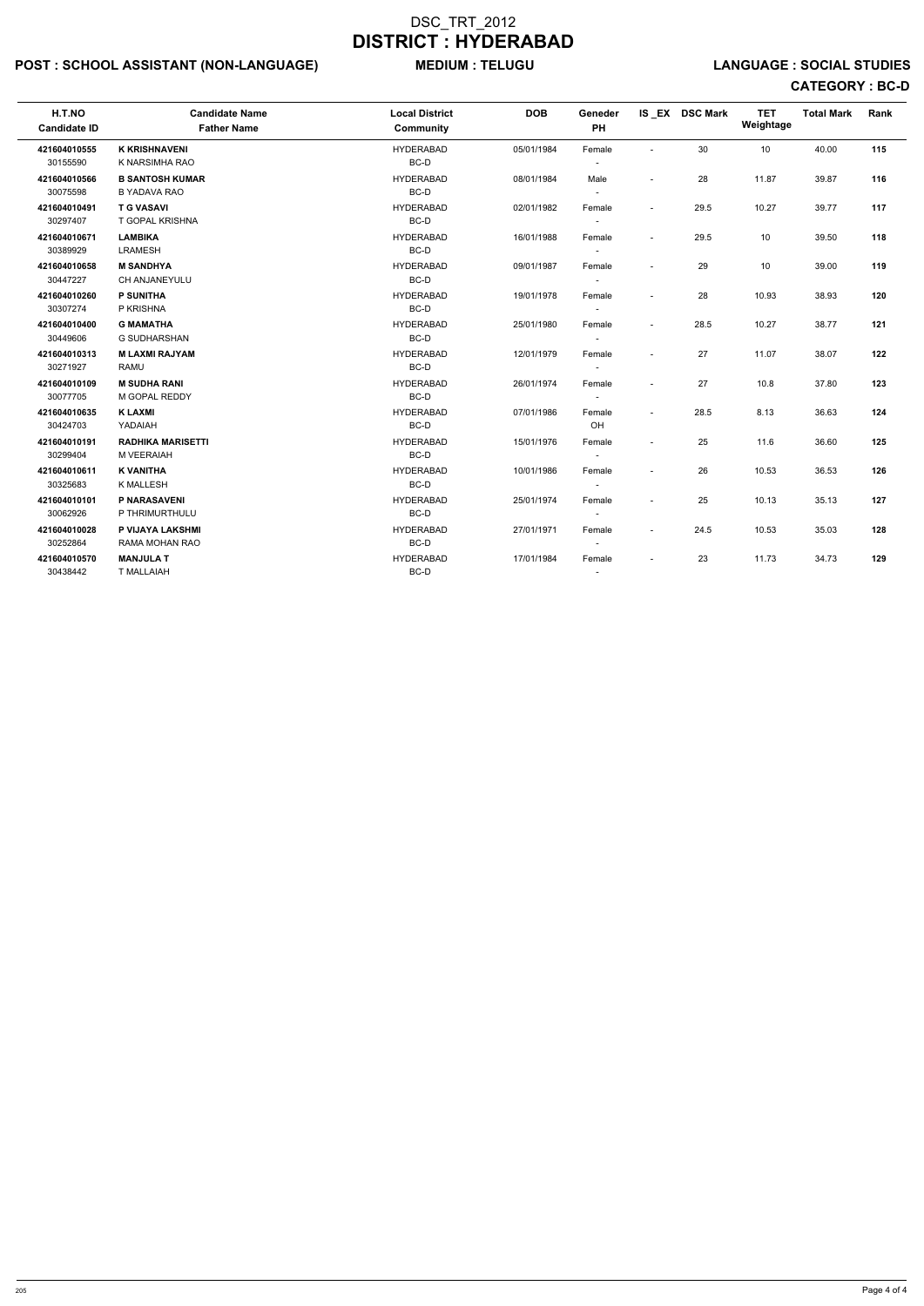# POST : SCHOOL ASSISTANT (NON-LANGUAGE) MEDIUM : TELUGU LANGUAGE : SOCIAL STUDIES

| H.T.NO<br><b>Candidate ID</b> | <b>Candidate Name</b><br><b>Father Name</b>   | <b>Local District</b><br><b>Community</b> | <b>DOB</b> | Geneder<br>PH                      |                          | IS_EX DSC Mark | <b>TET</b><br>Weightage | <b>Total Mark</b> | Rank |
|-------------------------------|-----------------------------------------------|-------------------------------------------|------------|------------------------------------|--------------------------|----------------|-------------------------|-------------------|------|
| 421604010555<br>30155590      | <b>K KRISHNAVENI</b><br>K NARSIMHA RAO        | <b>HYDERABAD</b><br>BC-D                  | 05/01/1984 | Female<br>$\sim$                   | $\blacksquare$           | 30             | 10                      | 40.00             | 115  |
| 421604010566<br>30075598      | <b>B SANTOSH KUMAR</b><br><b>B YADAVA RAO</b> | <b>HYDERABAD</b><br>BC-D                  | 08/01/1984 | Male<br>$\sim$                     | $\blacksquare$           | 28             | 11.87                   | 39.87             | 116  |
| 421604010491<br>30297407      | <b>T G VASAVI</b><br><b>T GOPAL KRISHNA</b>   | <b>HYDERABAD</b><br>BC-D                  | 02/01/1982 | Female                             | $\overline{\phantom{a}}$ | 29.5           | 10.27                   | 39.77             | 117  |
| 421604010671<br>30389929      | <b>LAMBIKA</b><br><b>LRAMESH</b>              | <b>HYDERABAD</b><br>BC-D                  | 16/01/1988 | Female<br>$\sim$                   | $\blacksquare$           | 29.5           | 10                      | 39.50             | 118  |
| 421604010658<br>30447227      | <b>M SANDHYA</b><br><b>CH ANJANEYULU</b>      | <b>HYDERABAD</b><br>BC-D                  | 09/01/1987 | Female<br>$\sim$                   | $\blacksquare$           | 29             | 10                      | 39.00             | 119  |
| 421604010260<br>30307274      | <b>P SUNITHA</b><br>P KRISHNA                 | <b>HYDERABAD</b><br>BC-D                  | 19/01/1978 | Female                             | $\overline{\phantom{a}}$ | 28             | 10.93                   | 38.93             | 120  |
| 421604010400<br>30449606      | <b>G MAMATHA</b><br>G SUDHARSHAN              | <b>HYDERABAD</b><br>BC-D                  | 25/01/1980 | Female<br>$\sim$                   | $\blacksquare$           | 28.5           | 10.27                   | 38.77             | 121  |
| 421604010313<br>30271927      | <b>MLAXMI RAJYAM</b><br><b>RAMU</b>           | <b>HYDERABAD</b><br>BC-D                  | 12/01/1979 | Female<br>$\sim$                   | $\blacksquare$           | 27             | 11.07                   | 38.07             | 122  |
| 421604010109<br>30077705      | <b>M SUDHA RANI</b><br>M GOPAL REDDY          | <b>HYDERABAD</b><br>BC-D                  | 26/01/1974 | Female<br>$\sim$                   |                          | 27             | 10.8                    | 37.80             | 123  |
| 421604010635<br>30424703      | <b>KLAXMI</b><br>YADAIAH                      | <b>HYDERABAD</b><br>BC-D                  | 07/01/1986 | Female<br><b>OH</b>                | $\blacksquare$           | 28.5           | 8.13                    | 36.63             | 124  |
| 421604010191<br>30299404      | <b>RADHIKA MARISETTI</b><br>M VEERAIAH        | <b>HYDERABAD</b><br>BC-D                  | 15/01/1976 | Female<br>$\sim$                   | $\blacksquare$           | 25             | 11.6                    | 36.60             | 125  |
| 421604010611<br>30325683      | <b>K VANITHA</b><br><b>K MALLESH</b>          | <b>HYDERABAD</b><br>BC-D                  | 10/01/1986 | Female<br>$\sim$                   | $\blacksquare$           | 26             | 10.53                   | 36.53             | 126  |
| 421604010101<br>30062926      | P NARASAVENI<br>P THRIMURTHULU                | <b>HYDERABAD</b><br>BC-D                  | 25/01/1974 | Female                             | $\blacksquare$           | 25             | 10.13                   | 35.13             | 127  |
| 421604010028<br>30252864      | P VIJAYA LAKSHMI<br>RAMA MOHAN RAO            | <b>HYDERABAD</b><br>BC-D                  | 27/01/1971 | Female<br>$\sim$                   | $\blacksquare$           | 24.5           | 10.53                   | 35.03             | 128  |
| 421604010570<br>30438442      | <b>MANJULA T</b><br><b>T MALLAIAH</b>         | <b>HYDERABAD</b><br>BC-D                  | 17/01/1984 | Female<br>$\overline{\phantom{a}}$ | $\blacksquare$           | 23             | 11.73                   | 34.73             | 129  |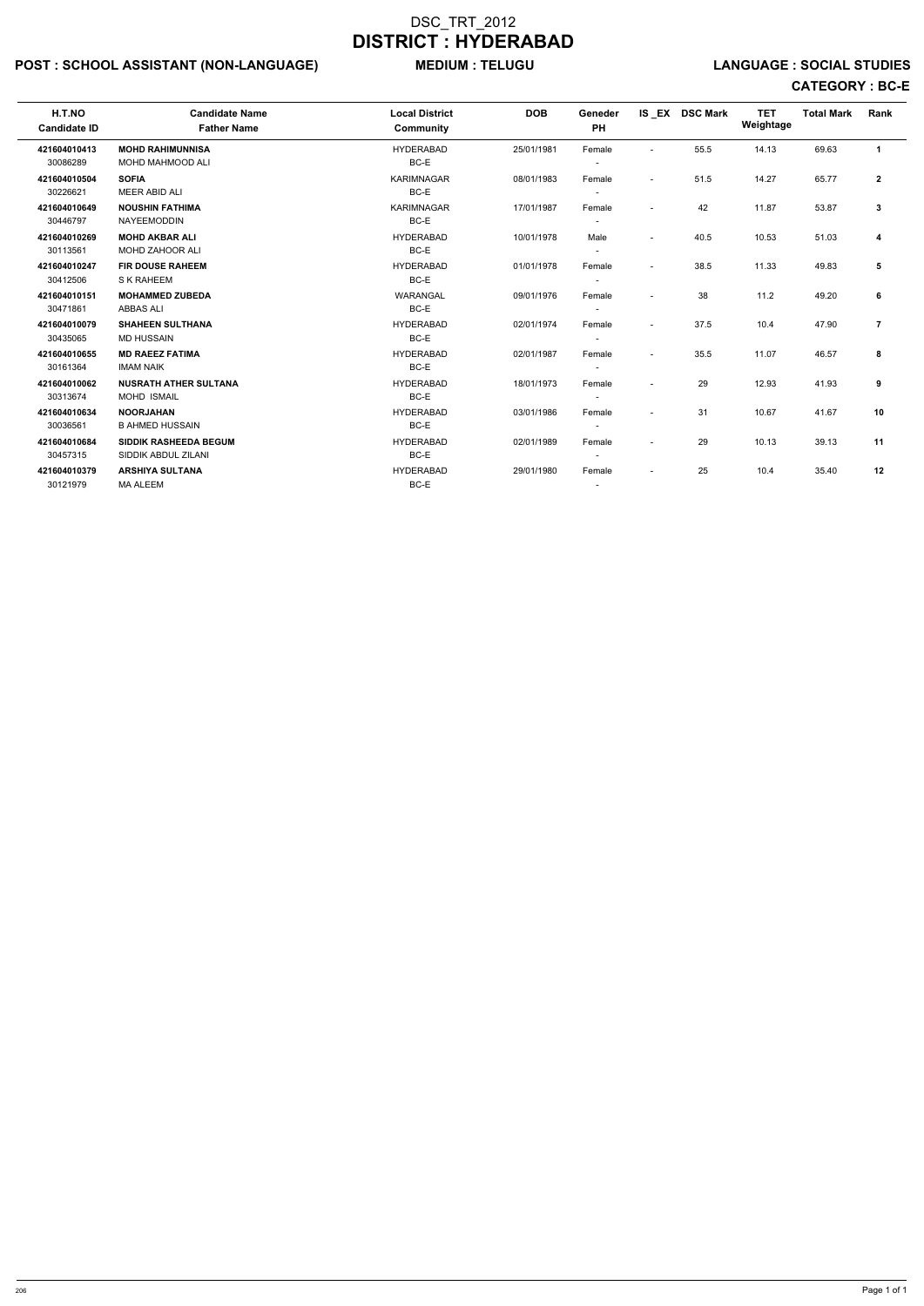# POST : SCHOOL ASSISTANT (NON-LANGUAGE) MEDIUM : TELUGU LANGUAGE : SOCIAL STUDIES

| H.T.NO<br><b>Candidate ID</b> | <b>Candidate Name</b><br><b>Father Name</b> | <b>Local District</b><br>Community | <b>DOB</b> | Geneder<br><b>PH</b>     |                          | IS EX DSC Mark | <b>TET</b><br>Weightage | <b>Total Mark</b> | Rank         |
|-------------------------------|---------------------------------------------|------------------------------------|------------|--------------------------|--------------------------|----------------|-------------------------|-------------------|--------------|
| 421604010413                  | <b>MOHD RAHIMUNNISA</b>                     | <b>HYDERABAD</b>                   | 25/01/1981 | Female                   | $\sim$                   | 55.5           | 14.13                   | 69.63             | $\mathbf{1}$ |
| 30086289                      | <b>MOHD MAHMOOD ALI</b>                     | BC-E                               |            |                          |                          |                |                         |                   |              |
| 421604010504                  | <b>SOFIA</b>                                | <b>KARIMNAGAR</b>                  | 08/01/1983 | Female                   | $\blacksquare$           | 51.5           | 14.27                   | 65.77             | $\mathbf{2}$ |
| 30226621                      | <b>MEER ABID ALI</b>                        | BC-E                               |            |                          |                          |                |                         |                   |              |
| 421604010649                  | <b>NOUSHIN FATHIMA</b>                      | <b>KARIMNAGAR</b>                  | 17/01/1987 | Female                   | $\overline{\phantom{a}}$ | 42             | 11.87                   | 53.87             | 3            |
| 30446797                      | <b>NAYEEMODDIN</b>                          | BC-E                               |            |                          |                          |                |                         |                   |              |
| 421604010269                  | <b>MOHD AKBAR ALI</b>                       | <b>HYDERABAD</b>                   | 10/01/1978 | Male                     | $\overline{\phantom{a}}$ | 40.5           | 10.53                   | 51.03             | 4            |
| 30113561                      | MOHD ZAHOOR ALI                             | BC-E                               |            |                          |                          |                |                         |                   |              |
| 421604010247                  | <b>FIR DOUSE RAHEEM</b>                     | <b>HYDERABAD</b>                   | 01/01/1978 | Female                   | $\sim$                   | 38.5           | 11.33                   | 49.83             | 5            |
| 30412506                      | S K RAHEEM                                  | BC-E                               |            |                          |                          |                |                         |                   |              |
| 421604010151                  | <b>MOHAMMED ZUBEDA</b>                      | WARANGAL                           | 09/01/1976 | Female                   |                          | 38             | 11.2                    | 49.20             | 6            |
| 30471861                      | <b>ABBAS ALI</b>                            | BC-E                               |            | $\overline{\phantom{0}}$ |                          |                |                         |                   |              |
| 421604010079                  | <b>SHAHEEN SULTHANA</b>                     | <b>HYDERABAD</b>                   | 02/01/1974 | Female                   | $\overline{\phantom{a}}$ | 37.5           | 10.4                    | 47.90             | 7            |
| 30435065                      | <b>MD HUSSAIN</b>                           | BC-E                               |            | $\overline{\phantom{0}}$ |                          |                |                         |                   |              |
| 421604010655                  | <b>MD RAEEZ FATIMA</b>                      | <b>HYDERABAD</b>                   | 02/01/1987 | Female                   | $\overline{\phantom{a}}$ | 35.5           | 11.07                   | 46.57             | 8            |
| 30161364                      | <b>IMAM NAIK</b>                            | BC-E                               |            |                          |                          |                |                         |                   |              |
| 421604010062                  | <b>NUSRATH ATHER SULTANA</b>                | <b>HYDERABAD</b>                   | 18/01/1973 | Female                   | $\overline{\phantom{a}}$ | 29             | 12.93                   | 41.93             | 9            |
| 30313674                      | <b>MOHD ISMAIL</b>                          | BC-E                               |            |                          |                          |                |                         |                   |              |
| 421604010634                  | <b>NOORJAHAN</b>                            | <b>HYDERABAD</b>                   | 03/01/1986 | Female                   | $\overline{a}$           | 31             | 10.67                   | 41.67             | 10           |
| 30036561                      | <b>B AHMED HUSSAIN</b>                      | BC-E                               |            |                          |                          |                |                         |                   |              |
| 421604010684                  | <b>SIDDIK RASHEEDA BEGUM</b>                | <b>HYDERABAD</b>                   | 02/01/1989 | Female                   | $\blacksquare$           | 29             | 10.13                   | 39.13             | 11           |
| 30457315                      | SIDDIK ABDUL ZILANI                         | BC-E                               |            |                          |                          |                |                         |                   |              |
| 421604010379                  | <b>ARSHIYA SULTANA</b>                      | <b>HYDERABAD</b>                   | 29/01/1980 | Female                   | $\overline{\phantom{a}}$ | 25             | 10.4                    | 35.40             | 12           |
| 30121979                      | <b>MA ALEEM</b>                             | BC-E                               |            |                          |                          |                |                         |                   |              |
|                               |                                             |                                    |            |                          |                          |                |                         |                   |              |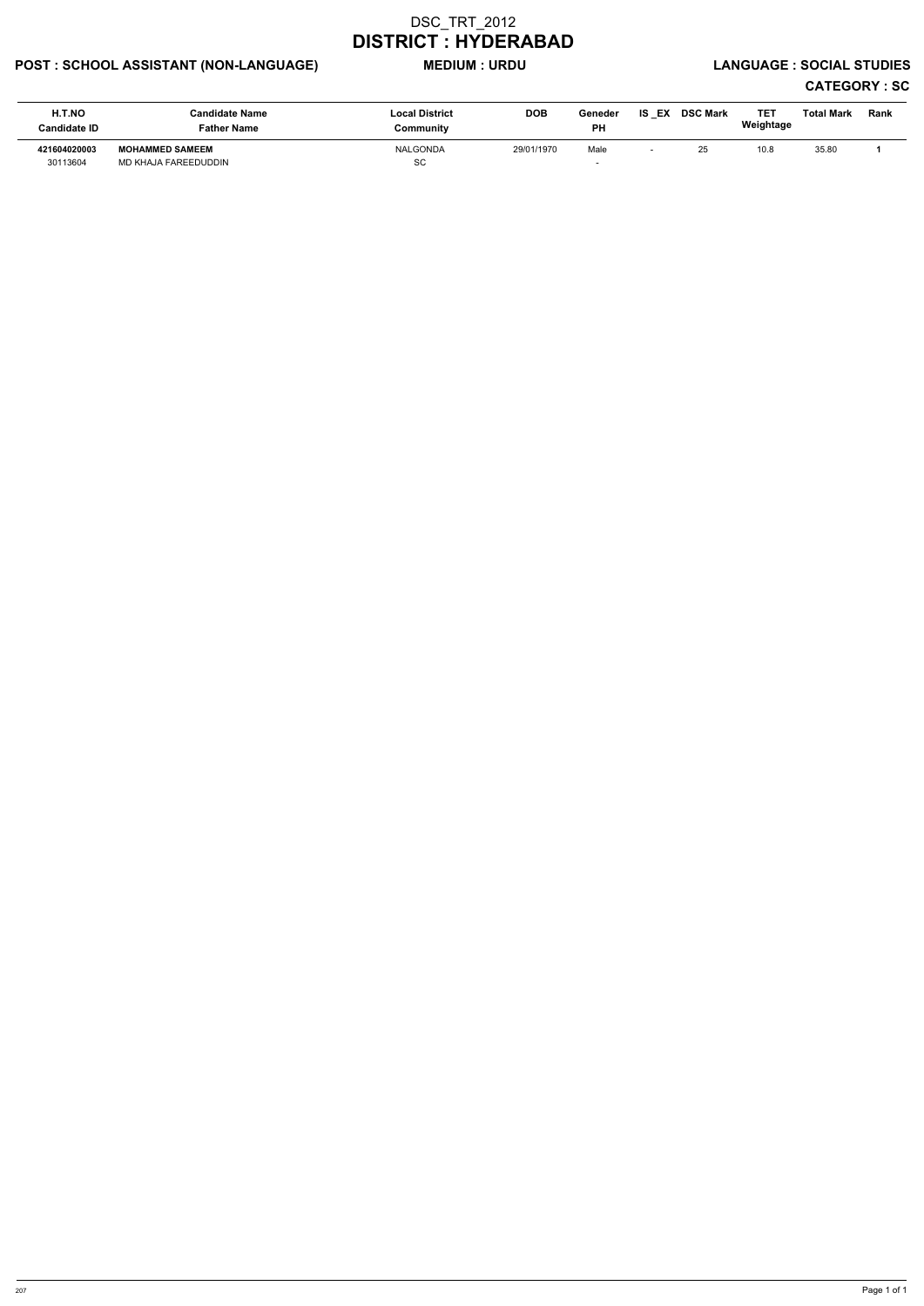# POST : SCHOOL ASSISTANT (NON-LANGUAGE) MEDIUM : URDU LANGUAGE : SOCIAL STUDIES

| <b>H.T.NO</b><br>Candidate ID | <b>Candidate Name</b><br><b>Father Name</b>    | <b>Local District</b><br>Community | <b>DOB</b> | Geneder<br><b>PH</b> | EX<br>IS. | <b>DSC Mark</b> | TE1<br>Weightage | <b>Total Mark</b> | Rank |
|-------------------------------|------------------------------------------------|------------------------------------|------------|----------------------|-----------|-----------------|------------------|-------------------|------|
| 421604020003<br>30113604      | <b>MOHAMMED SAMEEM</b><br>MD KHAJA FAREEDUDDIN | NALGONDA<br><b>SC</b>              | 29/01/1970 | Male                 |           | 25              | 10.8             | 35.80             |      |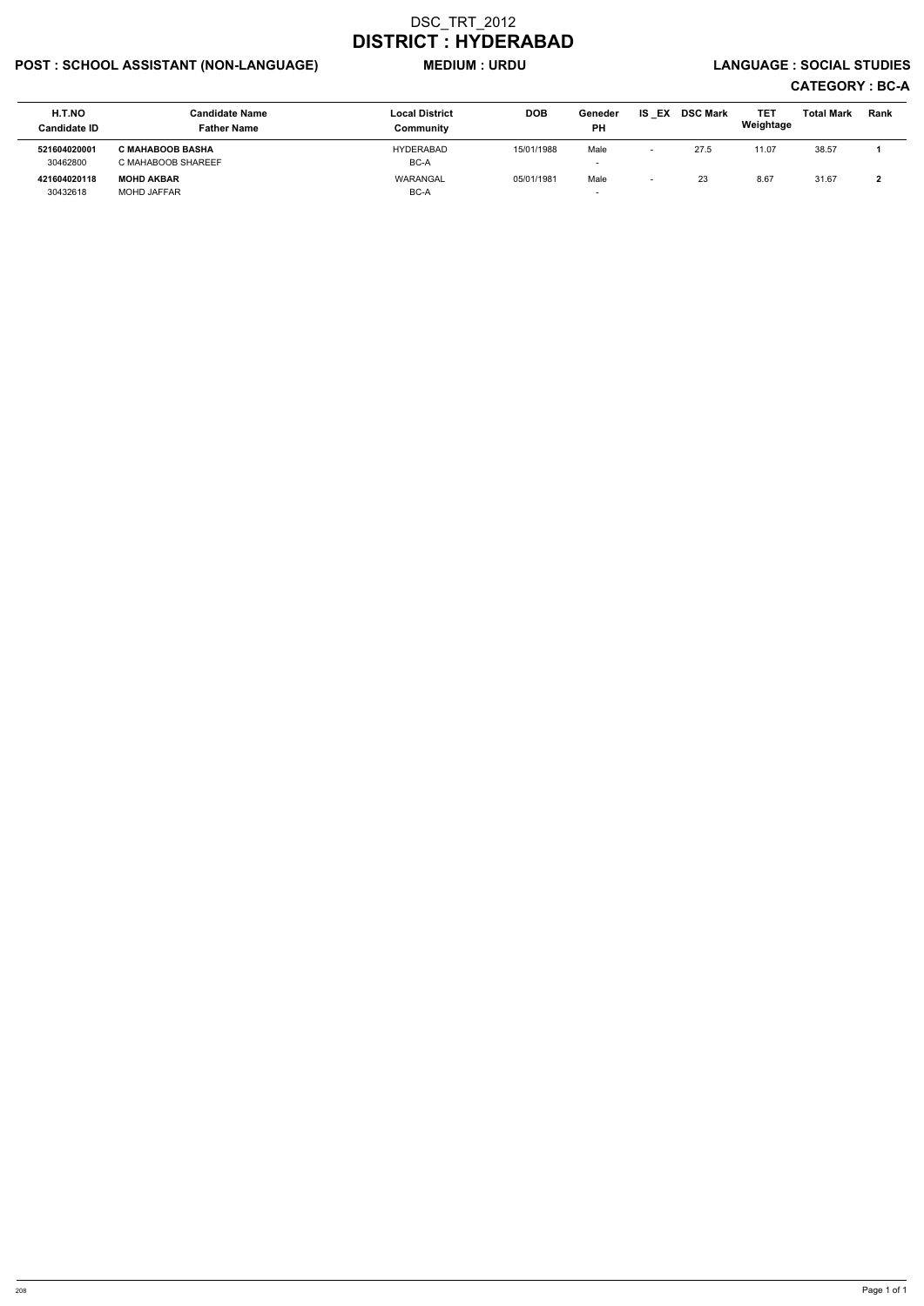# POST : SCHOOL ASSISTANT (NON-LANGUAGE) MEDIUM : URDU LANGUAGE : SOCIAL STUDIES

| H.T.NO<br><b>Candidate ID</b> | <b>Candidate Name</b><br><b>Father Name</b>   | <b>Local District</b><br>Community | <b>DOB</b> | Geneder<br><b>PH</b>             | EX<br>IS. | <b>DSC Mark</b> | TET<br>Weightage | <b>Total Mark</b> | Rank |
|-------------------------------|-----------------------------------------------|------------------------------------|------------|----------------------------------|-----------|-----------------|------------------|-------------------|------|
| 521604020001<br>30462800      | <b>C MAHABOOB BASHA</b><br>C MAHABOOB SHAREEF | HYDERABAD<br>BC-A                  | 15/01/1988 | Male<br>$\overline{\phantom{a}}$ |           | 27.5            | 11.07            | 38.57             |      |
| 421604020118<br>30432618      | <b>MOHD AKBAR</b><br><b>MOHD JAFFAR</b>       | WARANGAL<br>BC-A                   | 05/01/1981 | Male<br>-                        | -         | 23              | 8.67             | 31.67             |      |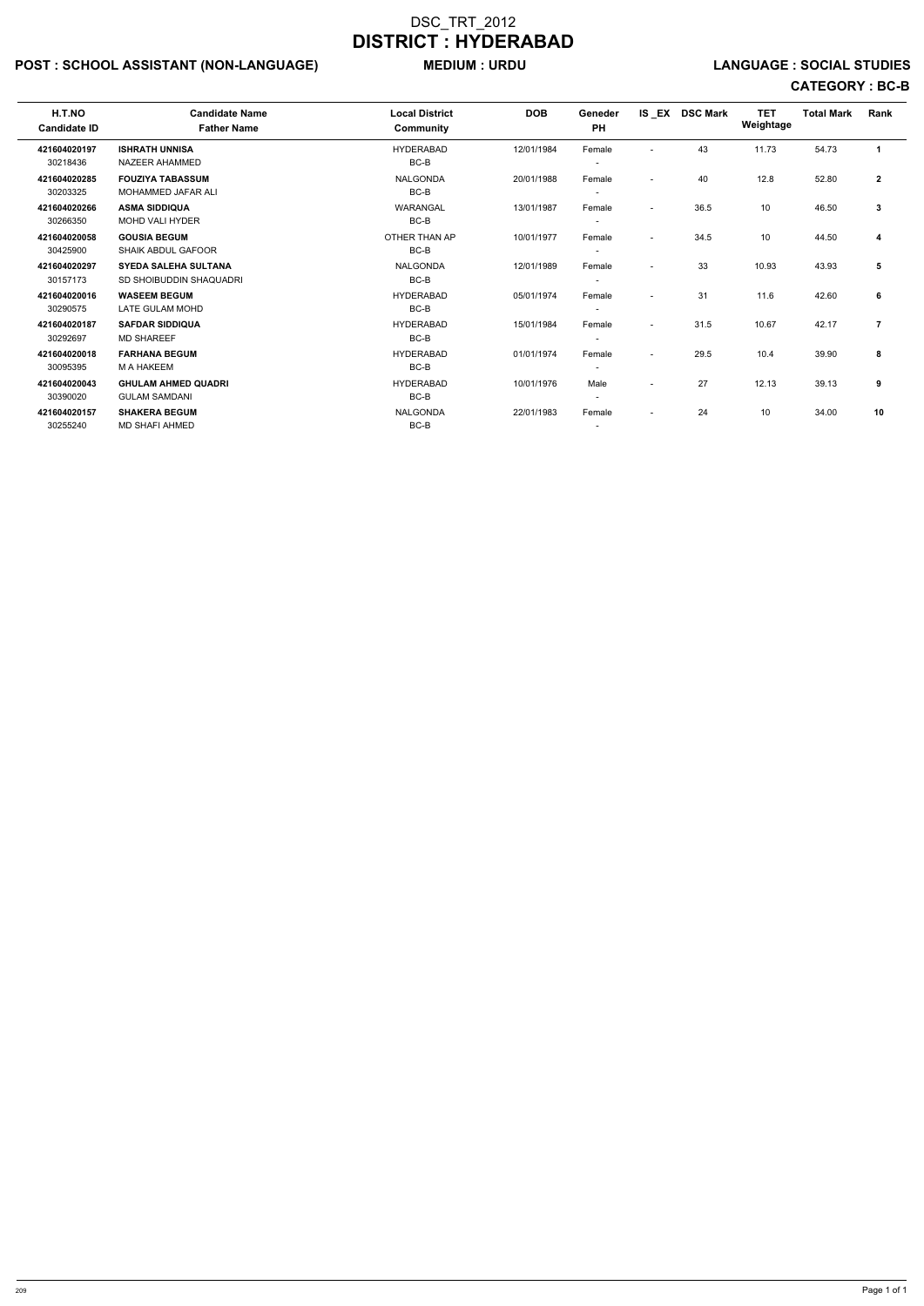# POST : SCHOOL ASSISTANT (NON-LANGUAGE) MEDIUM : URDU LANGUAGE : SOCIAL STUDIES

| H.T.NO<br><b>Candidate ID</b> | <b>Candidate Name</b><br><b>Father Name</b>            | <b>Local District</b><br>Community | <b>DOB</b> | <b>Geneder</b><br><b>PH</b>        | $IS$ $EX$                | <b>DSC Mark</b> | <b>TET</b><br>Weightage | <b>Total Mark</b> | Rank           |
|-------------------------------|--------------------------------------------------------|------------------------------------|------------|------------------------------------|--------------------------|-----------------|-------------------------|-------------------|----------------|
| 421604020197<br>30218436      | <b>ISHRATH UNNISA</b><br>NAZEER AHAMMED                | <b>HYDERABAD</b><br>BC-B           | 12/01/1984 | Female                             | $\overline{a}$           | 43              | 11.73                   | 54.73             | $\mathbf{1}$   |
| 421604020285<br>30203325      | <b>FOUZIYA TABASSUM</b><br><b>MOHAMMED JAFAR ALI</b>   | <b>NALGONDA</b><br>BC-B            | 20/01/1988 | Female                             | $\overline{\phantom{0}}$ | 40              | 12.8                    | 52.80             | $\overline{2}$ |
| 421604020266<br>30266350      | <b>ASMA SIDDIQUA</b><br><b>MOHD VALI HYDER</b>         | WARANGAL<br>BC-B                   | 13/01/1987 | Female                             | $\overline{\phantom{a}}$ | 36.5            | 10                      | 46.50             | 3              |
| 421604020058<br>30425900      | <b>GOUSIA BEGUM</b><br><b>SHAIK ABDUL GAFOOR</b>       | OTHER THAN AP<br>BC-B              | 10/01/1977 | Female                             | $\sim$                   | 34.5            | 10                      | 44.50             | 4              |
| 421604020297<br>30157173      | <b>SYEDA SALEHA SULTANA</b><br>SD SHOIBUDDIN SHAQUADRI | <b>NALGONDA</b><br>BC-B            | 12/01/1989 | Female                             | $\sim$                   | 33              | 10.93                   | 43.93             | 5              |
| 421604020016<br>30290575      | <b>WASEEM BEGUM</b><br>LATE GULAM MOHD                 | <b>HYDERABAD</b><br>BC-B           | 05/01/1974 | Female                             | $\overline{\phantom{0}}$ | 31              | 11.6                    | 42.60             | 6              |
| 421604020187<br>30292697      | <b>SAFDAR SIDDIQUA</b><br><b>MD SHAREEF</b>            | <b>HYDERABAD</b><br>BC-B           | 15/01/1984 | Female<br>$\overline{\phantom{0}}$ | $\overline{\phantom{a}}$ | 31.5            | 10.67                   | 42.17             | $\overline{7}$ |
| 421604020018<br>30095395      | <b>FARHANA BEGUM</b><br>M A HAKEEM                     | <b>HYDERABAD</b><br>BC-B           | 01/01/1974 | Female<br>$\overline{\phantom{0}}$ | $\overline{\phantom{0}}$ | 29.5            | 10.4                    | 39.90             | 8              |
| 421604020043<br>30390020      | <b>GHULAM AHMED QUADRI</b><br><b>GULAM SAMDANI</b>     | <b>HYDERABAD</b><br>BC-B           | 10/01/1976 | Male                               | $\overline{\phantom{a}}$ | 27              | 12.13                   | 39.13             | 9              |
| 421604020157<br>30255240      | <b>SHAKERA BEGUM</b><br><b>MD SHAFI AHMED</b>          | <b>NALGONDA</b><br>BC-B            | 22/01/1983 | Female                             | $\overline{\phantom{a}}$ | 24              | 10                      | 34.00             | 10             |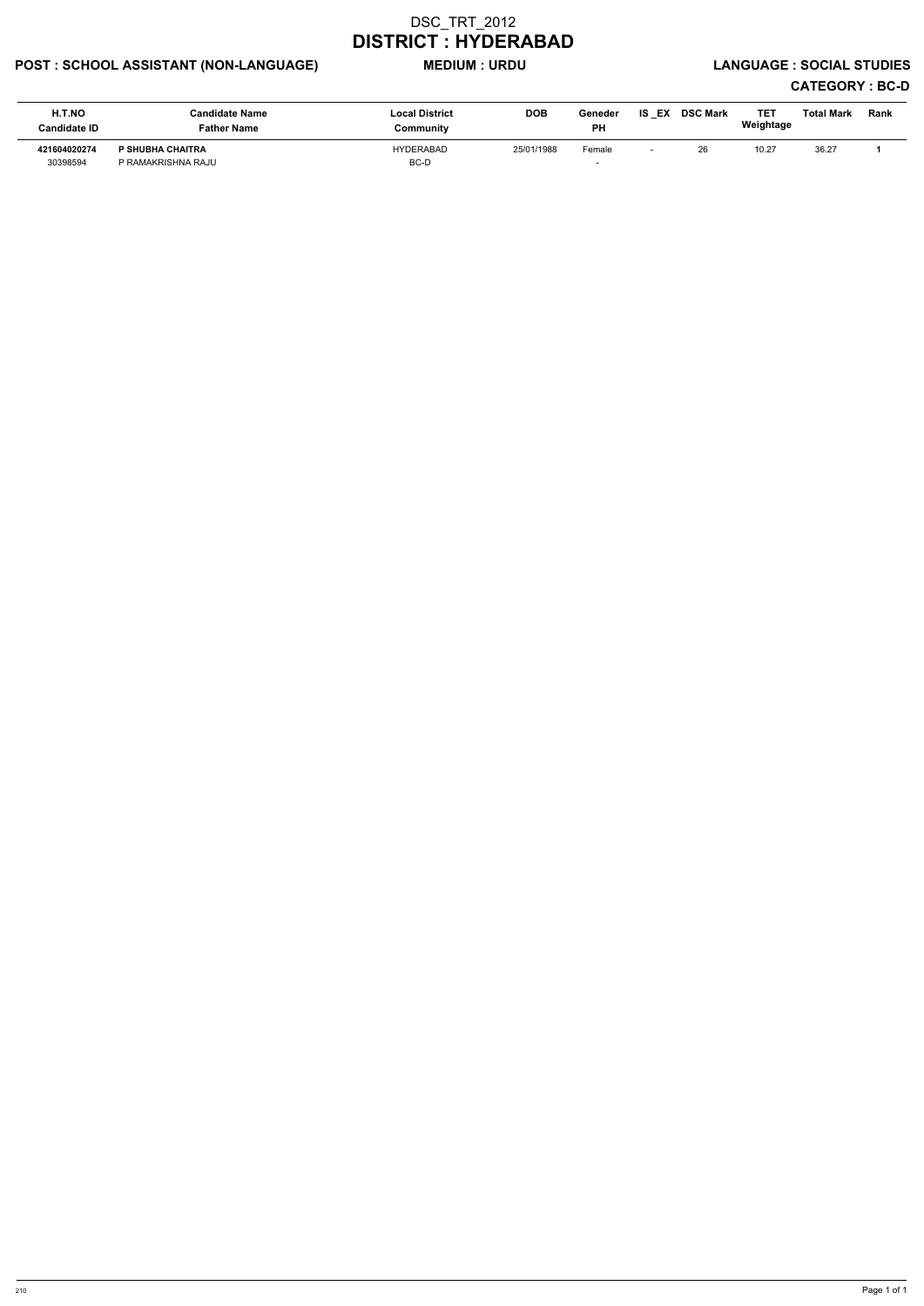# POST : SCHOOL ASSISTANT (NON-LANGUAGE) MEDIUM : URDU LANGUAGE : SOCIAL STUDIES

| H.T.NO<br><b>Candidate ID</b> | <b>Candidate Name</b><br><b>Father Name</b>   | <b>Local District</b><br>Community | <b>DOB</b> | Geneder<br>PH | <b>IS EX</b>             | <b>DSC Mark</b> | TET<br>Weightage | Total Mark | <b>Rank</b> |
|-------------------------------|-----------------------------------------------|------------------------------------|------------|---------------|--------------------------|-----------------|------------------|------------|-------------|
| 421604020274<br>30398594      | <b>P SHUBHA CHAITRA</b><br>P RAMAKRISHNA RAJU | HYDERABAD<br>BC-D                  | 25/01/1988 | Female        | $\overline{\phantom{0}}$ | 26              | 10.27            | 36.27      |             |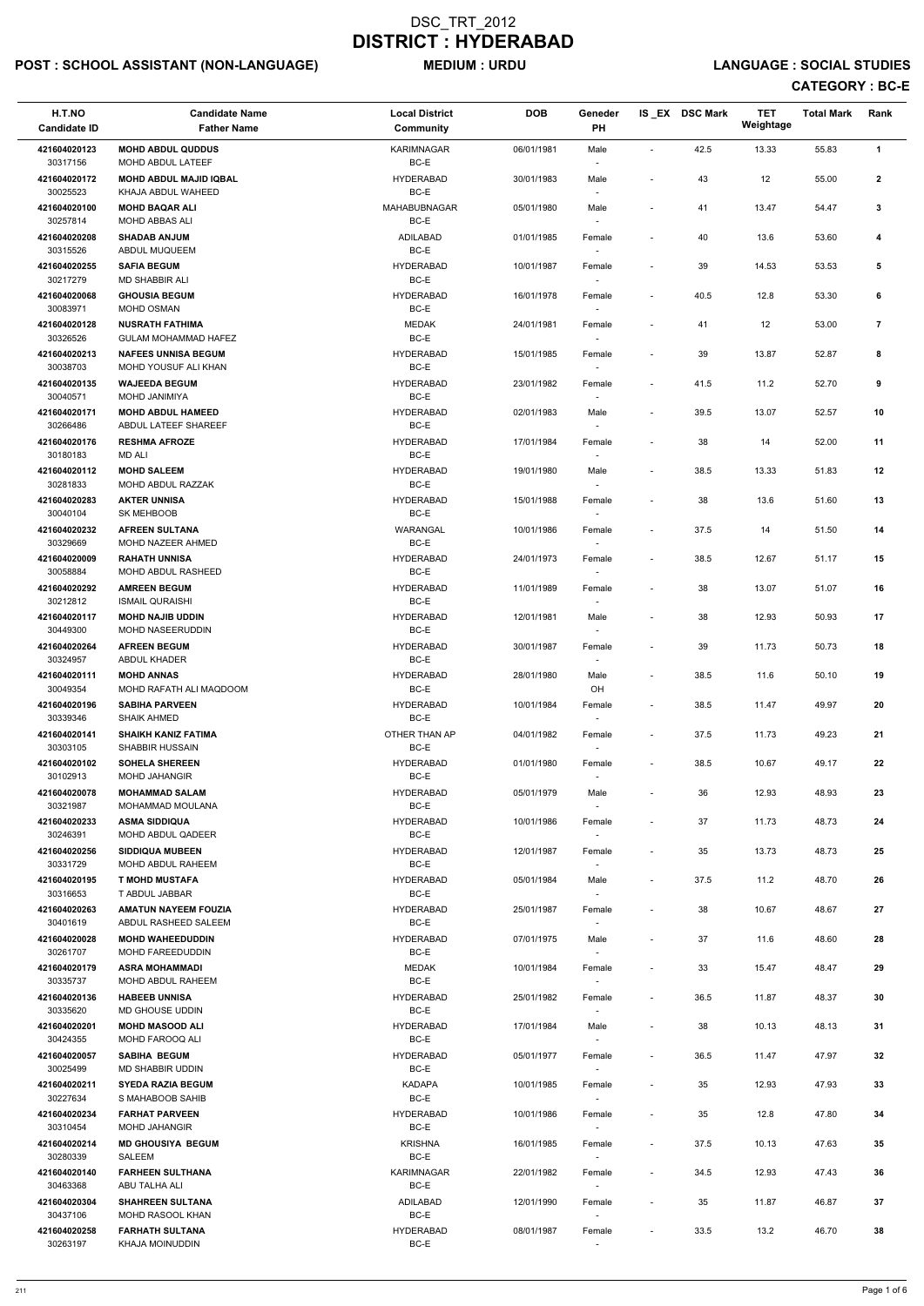# POST : SCHOOL ASSISTANT (NON-LANGUAGE) MEDIUM : URDU LANGUAGE : SOCIAL STUDIES

| H.T.NO<br><b>Candidate ID</b> | <b>Candidate Name</b><br><b>Father Name</b>           | <b>Local District</b><br><b>Community</b> | <b>DOB</b> | Geneder<br><b>PH</b>               |                          | IS_EX DSC Mark | <b>TET</b><br>Weightage | <b>Total Mark</b> | Rank           |
|-------------------------------|-------------------------------------------------------|-------------------------------------------|------------|------------------------------------|--------------------------|----------------|-------------------------|-------------------|----------------|
| 421604020123<br>30317156      | <b>MOHD ABDUL QUDDUS</b><br>MOHD ABDUL LATEEF         | <b>KARIMNAGAR</b><br>BC-E                 | 06/01/1981 | Male                               | $\blacksquare$           | 42.5           | 13.33                   | 55.83             | $\mathbf{1}$   |
| 421604020172<br>30025523      | <b>MOHD ABDUL MAJID IQBAL</b><br>KHAJA ABDUL WAHEED   | <b>HYDERABAD</b><br>BC-E                  | 30/01/1983 | Male                               | $\overline{\phantom{a}}$ | 43             | 12                      | 55.00             | $\mathbf{2}$   |
| 421604020100<br>30257814      | <b>MOHD BAQAR ALI</b><br>MOHD ABBAS ALI               | MAHABUBNAGAR<br>BC-E                      | 05/01/1980 | Male                               | $\blacksquare$           | 41             | 13.47                   | 54.47             | 3              |
| 421604020208                  | <b>SHADAB ANJUM</b>                                   | ADILABAD                                  | 01/01/1985 | Female                             | $\overline{a}$           | 40             | 13.6                    | 53.60             | 4              |
| 30315526<br>421604020255      | ABDUL MUQUEEM<br><b>SAFIA BEGUM</b>                   | BC-E<br><b>HYDERABAD</b>                  | 10/01/1987 | Female                             | $\overline{\phantom{a}}$ | 39             | 14.53                   | 53.53             | 5              |
| 30217279                      | MD SHABBIR ALI                                        | BC-E                                      |            |                                    |                          |                |                         |                   |                |
| 421604020068<br>30083971      | <b>GHOUSIA BEGUM</b><br>MOHD OSMAN                    | <b>HYDERABAD</b><br>BC-E                  | 16/01/1978 | Female                             | $\overline{\phantom{a}}$ | 40.5           | 12.8                    | 53.30             | 6              |
| 421604020128<br>30326526      | <b>NUSRATH FATHIMA</b><br><b>GULAM MOHAMMAD HAFEZ</b> | <b>MEDAK</b><br>BC-E                      | 24/01/1981 | Female                             | $\overline{\phantom{a}}$ | 41             | 12                      | 53.00             | $\overline{7}$ |
| 421604020213<br>30038703      | <b>NAFEES UNNISA BEGUM</b><br>MOHD YOUSUF ALI KHAN    | <b>HYDERABAD</b><br>BC-E                  | 15/01/1985 | Female<br>$\overline{\phantom{a}}$ | $\overline{\phantom{a}}$ | 39             | 13.87                   | 52.87             | 8              |
| 421604020135<br>30040571      | <b>WAJEEDA BEGUM</b><br>MOHD JANIMIYA                 | <b>HYDERABAD</b><br>BC-E                  | 23/01/1982 | Female                             | $\overline{\phantom{a}}$ | 41.5           | 11.2                    | 52.70             | 9              |
| 421604020171<br>30266486      | <b>MOHD ABDUL HAMEED</b><br>ABDUL LATEEF SHAREEF      | <b>HYDERABAD</b><br>BC-E                  | 02/01/1983 | Male                               | $\overline{\phantom{a}}$ | 39.5           | 13.07                   | 52.57             | 10             |
| 421604020176                  | <b>RESHMA AFROZE</b>                                  | <b>HYDERABAD</b><br>BC-E                  | 17/01/1984 | Female                             | $\overline{\phantom{a}}$ | 38             | 14                      | 52.00             | 11             |
| 30180183<br>421604020112      | <b>MD ALI</b><br><b>MOHD SALEEM</b>                   | <b>HYDERABAD</b>                          | 19/01/1980 | Male                               | $\overline{\phantom{a}}$ | 38.5           | 13.33                   | 51.83             | 12             |
| 30281833<br>421604020283      | MOHD ABDUL RAZZAK<br><b>AKTER UNNISA</b>              | BC-E<br><b>HYDERABAD</b>                  | 15/01/1988 | Female                             | $\overline{a}$           | 38             | 13.6                    | 51.60             | 13             |
| 30040104                      | SK MEHBOOB                                            | BC-E                                      |            |                                    |                          |                |                         |                   |                |
| 421604020232<br>30329669      | <b>AFREEN SULTANA</b><br>MOHD NAZEER AHMED            | WARANGAL<br>BC-E                          | 10/01/1986 | Female                             | $\overline{\phantom{a}}$ | 37.5           | 14                      | 51.50             | 14             |
| 421604020009<br>30058884      | <b>RAHATH UNNISA</b><br>MOHD ABDUL RASHEED            | <b>HYDERABAD</b><br>BC-E                  | 24/01/1973 | Female                             | $\overline{\phantom{a}}$ | 38.5           | 12.67                   | 51.17             | 15             |
| 421604020292<br>30212812      | <b>AMREEN BEGUM</b><br><b>ISMAIL QURAISHI</b>         | <b>HYDERABAD</b><br>BC-E                  | 11/01/1989 | Female<br>$\overline{\phantom{a}}$ | $\overline{\phantom{a}}$ | 38             | 13.07                   | 51.07             | 16             |
| 421604020117<br>30449300      | <b>MOHD NAJIB UDDIN</b><br>MOHD NASEERUDDIN           | <b>HYDERABAD</b><br>BC-E                  | 12/01/1981 | Male<br>$\sim$                     |                          | 38             | 12.93                   | 50.93             | 17             |
| 421604020264<br>30324957      | <b>AFREEN BEGUM</b><br>ABDUL KHADER                   | <b>HYDERABAD</b><br>BC-E                  | 30/01/1987 | Female                             | $\overline{\phantom{a}}$ | 39             | 11.73                   | 50.73             | 18             |
| 421604020111<br>30049354      | <b>MOHD ANNAS</b><br>MOHD RAFATH ALI MAQDOOM          | <b>HYDERABAD</b><br>BC-E                  | 28/01/1980 | Male<br>OH                         | $\overline{\phantom{a}}$ | 38.5           | 11.6                    | 50.10             | 19             |
| 421604020196<br>30339346      | <b>SABIHA PARVEEN</b><br><b>SHAIK AHMED</b>           | <b>HYDERABAD</b><br>BC-E                  | 10/01/1984 | Female                             | $\overline{\phantom{a}}$ | 38.5           | 11.47                   | 49.97             | 20             |
| 421604020141<br>30303105      | <b>SHAIKH KANIZ FATIMA</b><br><b>SHABBIR HUSSAIN</b>  | OTHER THAN AP<br>BC-E                     | 04/01/1982 | Female<br>$\sim$                   | $\overline{\phantom{a}}$ | 37.5           | 11.73                   | 49.23             | 21             |
| 421604020102<br>30102913      | <b>SOHELA SHEREEN</b><br><b>MOHD JAHANGIR</b>         | <b>HYDERABAD</b><br>BC-E                  | 01/01/1980 | Female                             | $\overline{\phantom{a}}$ | 38.5           | 10.67                   | 49.17             | 22             |
| 421604020078                  | <b>MOHAMMAD SALAM</b>                                 | <b>HYDERABAD</b>                          | 05/01/1979 | Male                               | $\overline{\phantom{a}}$ | 36             | 12.93                   | 48.93             | 23             |
| 30321987<br>421604020233      | MOHAMMAD MOULANA<br><b>ASMA SIDDIQUA</b>              | BC-E<br><b>HYDERABAD</b>                  | 10/01/1986 | Female                             | $\blacksquare$           | 37             | 11.73                   | 48.73             | 24             |
| 30246391<br>421604020256      | MOHD ABDUL QADEER<br><b>SIDDIQUA MUBEEN</b>           | BC-E<br><b>HYDERABAD</b>                  | 12/01/1987 | $\overline{\phantom{a}}$<br>Female | $\overline{\phantom{a}}$ | 35             | 13.73                   | 48.73             | 25             |
| 30331729                      | MOHD ABDUL RAHEEM                                     | BC-E                                      |            | $\overline{\phantom{a}}$           |                          |                |                         |                   |                |
| 421604020195<br>30316653      | <b>T MOHD MUSTAFA</b><br>T ABDUL JABBAR               | <b>HYDERABAD</b><br>BC-E                  | 05/01/1984 | Male                               | $\overline{\phantom{a}}$ | 37.5           | 11.2                    | 48.70             | 26             |
| 421604020263<br>30401619      | <b>AMATUN NAYEEM FOUZIA</b><br>ABDUL RASHEED SALEEM   | <b>HYDERABAD</b><br>BC-E                  | 25/01/1987 | Female                             | $\overline{\phantom{a}}$ | 38             | 10.67                   | 48.67             | 27             |
| 421604020028<br>30261707      | <b>MOHD WAHEEDUDDIN</b><br>MOHD FAREEDUDDIN           | <b>HYDERABAD</b><br>BC-E                  | 07/01/1975 | Male                               | $\overline{\phantom{a}}$ | 37             | 11.6                    | 48.60             | 28             |
| 421604020179<br>30335737      | <b>ASRA MOHAMMADI</b><br>MOHD ABDUL RAHEEM            | <b>MEDAK</b><br>BC-E                      | 10/01/1984 | Female                             | $\overline{\phantom{a}}$ | 33             | 15.47                   | 48.47             | 29             |
| 421604020136                  | <b>HABEEB UNNISA</b>                                  | <b>HYDERABAD</b>                          | 25/01/1982 | Female                             | $\overline{\phantom{a}}$ | 36.5           | 11.87                   | 48.37             | 30             |
| 30335620<br>421604020201      | <b>MD GHOUSE UDDIN</b><br><b>MOHD MASOOD ALI</b>      | BC-E<br><b>HYDERABAD</b>                  | 17/01/1984 | Male                               | $\overline{\phantom{a}}$ | 38             | 10.13                   | 48.13             | 31             |
| 30424355                      | MOHD FAROOQ ALI                                       | BC-E                                      |            |                                    |                          |                |                         |                   |                |
| 421604020057<br>30025499      | <b>SABIHA BEGUM</b><br>MD SHABBIR UDDIN               | <b>HYDERABAD</b><br>BC-E                  | 05/01/1977 | Female                             | $\overline{\phantom{a}}$ | 36.5           | 11.47                   | 47.97             | 32             |
| 421604020211<br>30227634      | <b>SYEDA RAZIA BEGUM</b><br>S MAHABOOB SAHIB          | <b>KADAPA</b><br>BC-E                     | 10/01/1985 | Female<br>$\sim$                   | $\overline{\phantom{a}}$ | 35             | 12.93                   | 47.93             | 33             |
| 421604020234<br>30310454      | <b>FARHAT PARVEEN</b><br><b>MOHD JAHANGIR</b>         | <b>HYDERABAD</b><br>BC-E                  | 10/01/1986 | Female                             | $\overline{\phantom{a}}$ | 35             | 12.8                    | 47.80             | 34             |
| 421604020214<br>30280339      | <b>MD GHOUSIYA BEGUM</b><br>SALEEM                    | <b>KRISHNA</b><br>BC-E                    | 16/01/1985 | Female                             | $\overline{\phantom{a}}$ | 37.5           | 10.13                   | 47.63             | 35             |
| 421604020140                  | <b>FARHEEN SULTHANA</b>                               | <b>KARIMNAGAR</b>                         | 22/01/1982 | $\sim$<br>Female                   | $\overline{\phantom{a}}$ | 34.5           | 12.93                   | 47.43             | 36             |
| 30463368<br>421604020304      | ABU TALHA ALI<br><b>SHAHREEN SULTANA</b>              | BC-E<br>ADILABAD                          | 12/01/1990 | $\overline{\phantom{a}}$<br>Female | $\overline{\phantom{a}}$ | 35             | 11.87                   | 46.87             | 37             |
| 30437106<br>421604020258      | MOHD RASOOL KHAN<br><b>FARHATH SULTANA</b>            | BC-E<br><b>HYDERABAD</b>                  | 08/01/1987 | $\sim$<br>Female                   | $\overline{\phantom{a}}$ | 33.5           | 13.2                    | 46.70             | 38             |
| 30263197                      | KHAJA MOINUDDIN                                       | BC-E                                      |            |                                    |                          |                |                         |                   |                |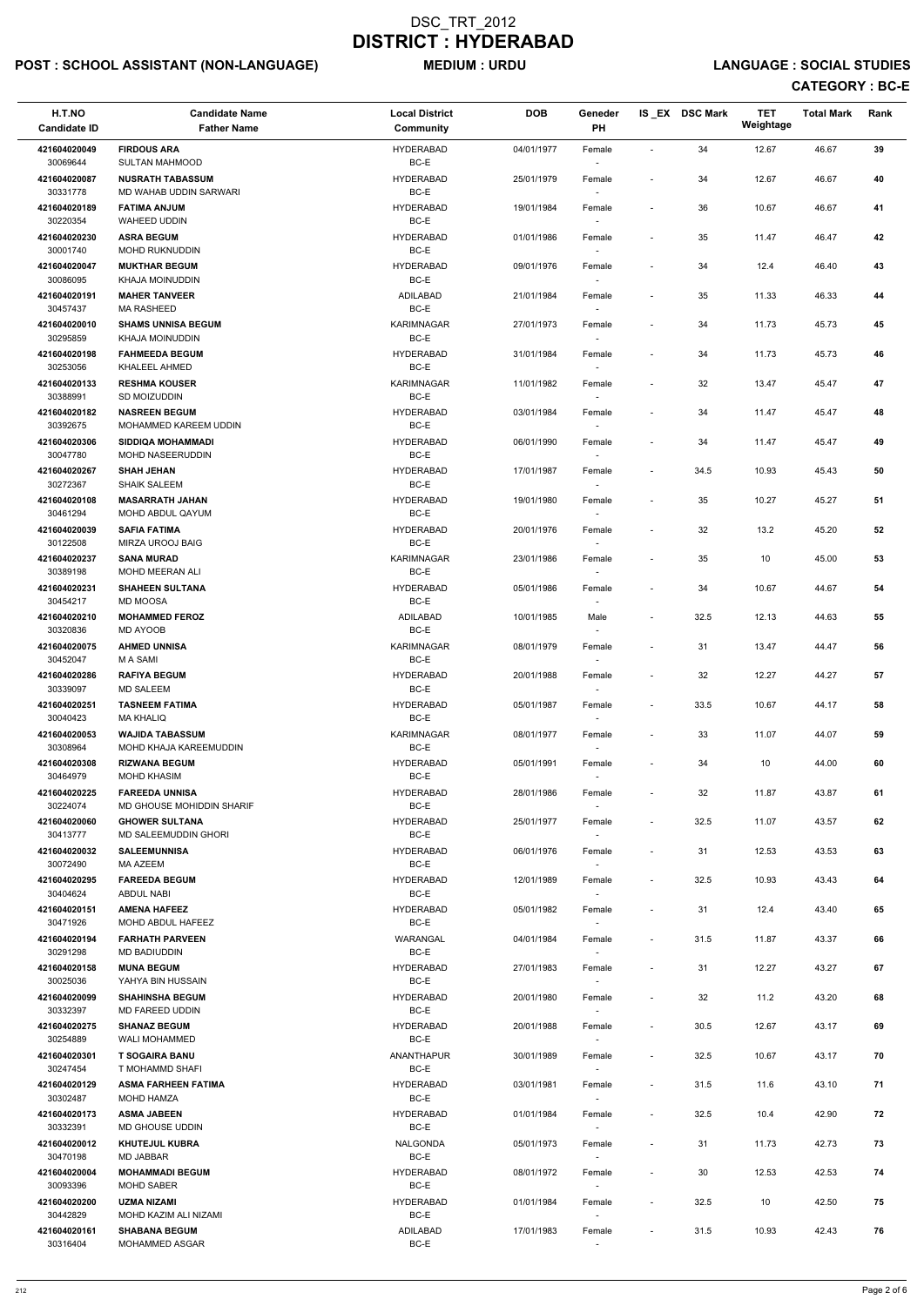# POST : SCHOOL ASSISTANT (NON-LANGUAGE) MEDIUM : URDU LANGUAGE : SOCIAL STUDIES

| H.T.NO<br><b>Candidate ID</b> | <b>Candidate Name</b><br><b>Father Name</b>        | <b>Local District</b><br>Community | <b>DOB</b> | Geneder<br>PH                      |                              | IS EX DSC Mark | <b>TET</b><br>Weightage | <b>Total Mark</b> | Rank |
|-------------------------------|----------------------------------------------------|------------------------------------|------------|------------------------------------|------------------------------|----------------|-------------------------|-------------------|------|
| 421604020049                  | <b>FIRDOUS ARA</b>                                 | <b>HYDERABAD</b>                   | 04/01/1977 |                                    | $\overline{\phantom{a}}$     | 34             | 12.67                   | 46.67             | 39   |
| 30069644                      | <b>SULTAN MAHMOOD</b>                              | BC-E                               |            | Female                             |                              |                |                         |                   |      |
| 421604020087<br>30331778      | <b>NUSRATH TABASSUM</b><br>MD WAHAB UDDIN SARWARI  | <b>HYDERABAD</b><br>BC-E           | 25/01/1979 | Female                             | $\overline{\phantom{a}}$     | 34             | 12.67                   | 46.67             | 40   |
| 421604020189<br>30220354      | <b>FATIMA ANJUM</b><br>WAHEED UDDIN                | <b>HYDERABAD</b><br>BC-E           | 19/01/1984 | Female                             | $\overline{\phantom{a}}$     | 36             | 10.67                   | 46.67             | 41   |
| 421604020230<br>30001740      | <b>ASRA BEGUM</b><br><b>MOHD RUKNUDDIN</b>         | <b>HYDERABAD</b><br>BC-E           | 01/01/1986 | Female<br>$\overline{\phantom{a}}$ | $\overline{\phantom{a}}$     | 35             | 11.47                   | 46.47             | 42   |
| 421604020047<br>30086095      | <b>MUKTHAR BEGUM</b><br>KHAJA MOINUDDIN            | <b>HYDERABAD</b><br>BC-E           | 09/01/1976 | Female                             | $\overline{\phantom{m}}$     | 34             | 12.4                    | 46.40             | 43   |
| 421604020191                  | <b>MAHER TANVEER</b>                               | ADILABAD                           | 21/01/1984 | Female                             | $\overline{\phantom{a}}$     | 35             | 11.33                   | 46.33             | 44   |
| 30457437<br>421604020010      | <b>MA RASHEED</b><br><b>SHAMS UNNISA BEGUM</b>     | BC-E<br><b>KARIMNAGAR</b>          | 27/01/1973 | $\overline{\phantom{a}}$<br>Female |                              | 34             | 11.73                   | 45.73             | 45   |
| 30295859<br>421604020198      | <b>KHAJA MOINUDDIN</b><br><b>FAHMEEDA BEGUM</b>    | BC-E<br><b>HYDERABAD</b>           | 31/01/1984 | Female                             | $\qquad \qquad \blacksquare$ | 34             | 11.73                   | 45.73             | 46   |
| 30253056<br>421604020133      | KHALEEL AHMED<br><b>RESHMA KOUSER</b>              | BC-E<br><b>KARIMNAGAR</b>          | 11/01/1982 | Female                             |                              | 32             | 13.47                   | 45.47             | 47   |
| 30388991                      | SD MOIZUDDIN                                       | BC-E                               |            | $\sim$                             |                              |                |                         |                   |      |
| 421604020182<br>30392675      | <b>NASREEN BEGUM</b><br>MOHAMMED KAREEM UDDIN      | <b>HYDERABAD</b><br>BC-E           | 03/01/1984 | Female                             | $\overline{\phantom{a}}$     | 34             | 11.47                   | 45.47             | 48   |
| 421604020306<br>30047780      | <b>SIDDIQA MOHAMMADI</b><br>MOHD NASEERUDDIN       | <b>HYDERABAD</b><br>BC-E           | 06/01/1990 | Female                             | $\overline{\phantom{a}}$     | 34             | 11.47                   | 45.47             | 49   |
| 421604020267<br>30272367      | <b>SHAH JEHAN</b><br><b>SHAIK SALEEM</b>           | <b>HYDERABAD</b><br>BC-E           | 17/01/1987 | Female                             | $\overline{\phantom{a}}$     | 34.5           | 10.93                   | 45.43             | 50   |
| 421604020108<br>30461294      | <b>MASARRATH JAHAN</b><br>MOHD ABDUL QAYUM         | <b>HYDERABAD</b><br>BC-E           | 19/01/1980 | Female<br>$\sim$                   | $\overline{\phantom{a}}$     | 35             | 10.27                   | 45.27             | 51   |
| 421604020039<br>30122508      | <b>SAFIA FATIMA</b><br>MIRZA UROOJ BAIG            | <b>HYDERABAD</b><br>BC-E           | 20/01/1976 | Female                             | $\overline{\phantom{a}}$     | 32             | 13.2                    | 45.20             | 52   |
| 421604020237<br>30389198      | <b>SANA MURAD</b><br><b>MOHD MEERAN ALI</b>        | <b>KARIMNAGAR</b><br>BC-E          | 23/01/1986 | Female                             | $\overline{\phantom{a}}$     | 35             | 10                      | 45.00             | 53   |
| 421604020231<br>30454217      | <b>SHAHEEN SULTANA</b><br>MD MOOSA                 | <b>HYDERABAD</b><br>$BC-E$         | 05/01/1986 | Female                             | $\overline{\phantom{a}}$     | 34             | 10.67                   | 44.67             | 54   |
| 421604020210                  | <b>MOHAMMED FEROZ</b>                              | ADILABAD                           | 10/01/1985 | Male                               | $\qquad \qquad \blacksquare$ | 32.5           | 12.13                   | 44.63             | 55   |
| 30320836<br>421604020075      | MD AYOOB<br><b>AHMED UNNISA</b>                    | BC-E<br><b>KARIMNAGAR</b>          | 08/01/1979 | $\sim$<br>Female                   | $\overline{\phantom{a}}$     | 31             | 13.47                   | 44.47             | 56   |
| 30452047<br>421604020286      | M A SAMI<br><b>RAFIYA BEGUM</b>                    | BC-E<br><b>HYDERABAD</b>           | 20/01/1988 | Female                             | $\overline{\phantom{a}}$     | 32             | 12.27                   | 44.27             | 57   |
| 30339097<br>421604020251      | <b>MD SALEEM</b><br><b>TASNEEM FATIMA</b>          | BC-E<br><b>HYDERABAD</b>           | 05/01/1987 | Female                             | $\overline{\phantom{a}}$     | 33.5           | 10.67                   | 44.17             | 58   |
| 30040423                      | <b>MA KHALIQ</b>                                   | BC-E                               |            | $\sim$                             |                              |                |                         |                   |      |
| 421604020053<br>30308964      | <b>WAJIDA TABASSUM</b><br>MOHD KHAJA KAREEMUDDIN   | <b>KARIMNAGAR</b><br>BC-E          | 08/01/1977 | Female<br>$\overline{\phantom{a}}$ | $\overline{\phantom{a}}$     | 33             | 11.07                   | 44.07             | 59   |
| 421604020308<br>30464979      | <b>RIZWANA BEGUM</b><br><b>MOHD KHASIM</b>         | <b>HYDERABAD</b><br>BC-E           | 05/01/1991 | Female<br>$\sim$                   | $\overline{\phantom{m}}$     | 34             | 10                      | 44.00             | 60   |
| 421604020225<br>30224074      | <b>FAREEDA UNNISA</b><br>MD GHOUSE MOHIDDIN SHARIF | <b>HYDERABAD</b><br>BC-E           | 28/01/1986 | Female                             | $\overline{\phantom{a}}$     | 32             | 11.87                   | 43.87             | 61   |
| 421604020060<br>30413777      | <b>GHOWER SULTANA</b><br>MD SALEEMUDDIN GHORI      | <b>HYDERABAD</b><br>BC-E           | 25/01/1977 | Female                             | $\overline{\phantom{a}}$     | 32.5           | 11.07                   | 43.57             | 62   |
| 421604020032<br>30072490      | <b>SALEEMUNNISA</b><br>MA AZEEM                    | <b>HYDERABAD</b><br>BC-E           | 06/01/1976 | Female<br>$\sim$                   | $\overline{\phantom{a}}$     | 31             | 12.53                   | 43.53             | 63   |
| 421604020295<br>30404624      | <b>FAREEDA BEGUM</b><br><b>ABDUL NABI</b>          | <b>HYDERABAD</b><br>BC-E           | 12/01/1989 | Female                             | $\overline{\phantom{a}}$     | 32.5           | 10.93                   | 43.43             | 64   |
| 421604020151                  | <b>AMENA HAFEEZ</b>                                | <b>HYDERABAD</b>                   | 05/01/1982 | $\overline{\phantom{a}}$<br>Female | $\overline{\phantom{a}}$     | 31             | 12.4                    | 43.40             | 65   |
| 30471926<br>421604020194      | MOHD ABDUL HAFEEZ<br><b>FARHATH PARVEEN</b>        | BC-E<br>WARANGAL                   | 04/01/1984 | Female                             | $\overline{\phantom{a}}$     | 31.5           | 11.87                   | 43.37             | 66   |
| 30291298<br>421604020158      | <b>MD BADIUDDIN</b><br><b>MUNA BEGUM</b>           | BC-E<br><b>HYDERABAD</b>           | 27/01/1983 | Female                             | $\overline{\phantom{a}}$     | 31             | 12.27                   | 43.27             | 67   |
| 30025036<br>421604020099      | YAHYA BIN HUSSAIN<br><b>SHAHINSHA BEGUM</b>        | BC-E<br><b>HYDERABAD</b>           | 20/01/1980 | $\sim$<br>Female                   | $\qquad \qquad \blacksquare$ | 32             | 11.2                    | 43.20             | 68   |
| 30332397                      | <b>MD FAREED UDDIN</b>                             | BC-E                               |            | $\overline{\phantom{a}}$           |                              |                |                         |                   |      |
| 421604020275<br>30254889      | <b>SHANAZ BEGUM</b><br><b>WALI MOHAMMED</b>        | <b>HYDERABAD</b><br>BC-E           | 20/01/1988 | Female<br>$\sim$                   | $\overline{\phantom{a}}$     | 30.5           | 12.67                   | 43.17             | 69   |
| 421604020301                  | <b>T SOGAIRA BANU</b><br><b>T MOHAMMD SHAFI</b>    | ANANTHAPUR                         | 30/01/1989 | Female                             | $\overline{\phantom{a}}$     | 32.5           | 10.67                   | 43.17             | 70   |
| 30247454<br>421604020129      | <b>ASMA FARHEEN FATIMA</b>                         | BC-E<br><b>HYDERABAD</b>           | 03/01/1981 | Female                             | $\overline{\phantom{a}}$     | 31.5           | 11.6                    | 43.10             | 71   |
| 30302487<br>421604020173      | MOHD HAMZA<br><b>ASMA JABEEN</b>                   | BC-E<br><b>HYDERABAD</b>           | 01/01/1984 | $\sim$<br>Female                   |                              | 32.5           | 10.4                    | 42.90             | 72   |
| 30332391<br>421604020012      | MD GHOUSE UDDIN<br>KHUTEJUL KUBRA                  | BC-E<br>NALGONDA                   | 05/01/1973 | Female                             | $\overline{\phantom{a}}$     | 31             | 11.73                   | 42.73             | 73   |
| 30470198<br>421604020004      | MD JABBAR<br><b>MOHAMMADI BEGUM</b>                | BC-E<br><b>HYDERABAD</b>           | 08/01/1972 | $\overline{\phantom{a}}$<br>Female | $\qquad \qquad \blacksquare$ | 30             | 12.53                   | 42.53             | 74   |
| 30093396<br>421604020200      | MOHD SABER<br><b>UZMA NIZAMI</b>                   | BC-E<br><b>HYDERABAD</b>           | 01/01/1984 | $\overline{\phantom{a}}$<br>Female | $\overline{\phantom{a}}$     | 32.5           | 10                      | 42.50             | 75   |
| 30442829<br>421604020161      | MOHD KAZIM ALI NIZAMI<br><b>SHABANA BEGUM</b>      | BC-E<br>ADILABAD                   | 17/01/1983 | $\sim$<br>Female                   | $\overline{\phantom{a}}$     | 31.5           | 10.93                   | 42.43             | 76   |
| 30316404                      | MOHAMMED ASGAR                                     | BC-E                               |            | $\sim$                             |                              |                |                         |                   |      |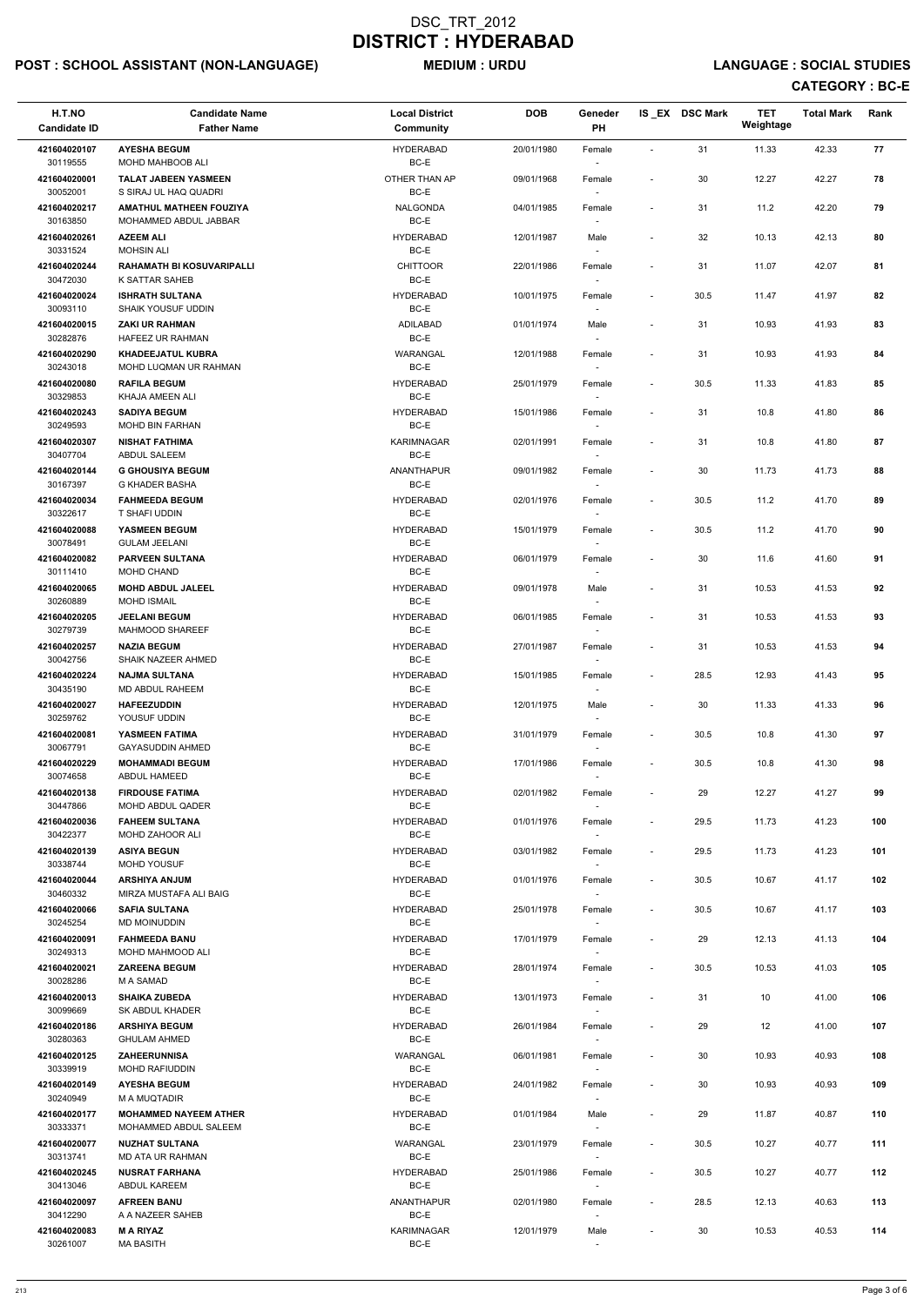# POST : SCHOOL ASSISTANT (NON-LANGUAGE) MEDIUM : URDU LANGUAGE : SOCIAL STUDIES

| H.T.NO<br><b>Candidate ID</b> | <b>Candidate Name</b><br><b>Father Name</b>             | <b>Local District</b><br>Community | <b>DOB</b> | Geneder<br>PH                      |                              | IS EX DSC Mark | <b>TET</b><br>Weightage | <b>Total Mark</b> | Rank |
|-------------------------------|---------------------------------------------------------|------------------------------------|------------|------------------------------------|------------------------------|----------------|-------------------------|-------------------|------|
| 421604020107                  | <b>AYESHA BEGUM</b>                                     | <b>HYDERABAD</b>                   | 20/01/1980 | Female                             | $\blacksquare$               | 31             | 11.33                   | 42.33             | 77   |
| 30119555<br>421604020001      | MOHD MAHBOOB ALI<br><b>TALAT JABEEN YASMEEN</b>         | BC-E<br>OTHER THAN AP              | 09/01/1968 | Female                             | ٠                            | 30             | 12.27                   | 42.27             | 78   |
| 30052001<br>421604020217      | S SIRAJ UL HAQ QUADRI<br><b>AMATHUL MATHEEN FOUZIYA</b> | BC-E<br><b>NALGONDA</b>            | 04/01/1985 | $\overline{\phantom{a}}$<br>Female | $\overline{\phantom{a}}$     | 31             | 11.2                    | 42.20             | 79   |
| 30163850                      | MOHAMMED ABDUL JABBAR                                   | BC-E                               |            |                                    |                              |                |                         |                   |      |
| 421604020261<br>30331524      | <b>AZEEM ALI</b><br><b>MOHSIN ALI</b>                   | <b>HYDERABAD</b><br>BC-E           | 12/01/1987 | Male                               | $\overline{\phantom{a}}$     | 32             | 10.13                   | 42.13             | 80   |
| 421604020244<br>30472030      | <b>RAHAMATH BI KOSUVARIPALLI</b><br>K SATTAR SAHEB      | <b>CHITTOOR</b><br>BC-E            | 22/01/1986 | Female                             | $\overline{\phantom{a}}$     | 31             | 11.07                   | 42.07             | 81   |
| 421604020024<br>30093110      | <b>ISHRATH SULTANA</b><br><b>SHAIK YOUSUF UDDIN</b>     | <b>HYDERABAD</b><br>BC-E           | 10/01/1975 | Female<br>$\overline{\phantom{a}}$ | $\overline{\phantom{a}}$     | 30.5           | 11.47                   | 41.97             | 82   |
| 421604020015                  | <b>ZAKI UR RAHMAN</b>                                   | ADILABAD<br>BC-E                   | 01/01/1974 | Male                               | $\overline{\phantom{a}}$     | 31             | 10.93                   | 41.93             | 83   |
| 30282876<br>421604020290      | HAFEEZ UR RAHMAN<br><b>KHADEEJATUL KUBRA</b>            | WARANGAL                           | 12/01/1988 | Female                             | $\overline{\phantom{a}}$     | 31             | 10.93                   | 41.93             | 84   |
| 30243018<br>421604020080      | MOHD LUQMAN UR RAHMAN<br><b>RAFILA BEGUM</b>            | BC-E<br><b>HYDERABAD</b>           | 25/01/1979 | Female                             | $\overline{\phantom{a}}$     | 30.5           | 11.33                   | 41.83             | 85   |
| 30329853                      | KHAJA AMEEN ALI                                         | BC-E                               |            | $\sim$                             |                              |                |                         |                   |      |
| 421604020243<br>30249593      | <b>SADIYA BEGUM</b><br><b>MOHD BIN FARHAN</b>           | <b>HYDERABAD</b><br>BC-E           | 15/01/1986 | Female                             | $\overline{\phantom{a}}$     | 31             | 10.8                    | 41.80             | 86   |
| 421604020307<br>30407704      | <b>NISHAT FATHIMA</b><br>ABDUL SALEEM                   | <b>KARIMNAGAR</b><br>BC-E          | 02/01/1991 | Female                             | $\overline{\phantom{a}}$     | 31             | 10.8                    | 41.80             | 87   |
| 421604020144<br>30167397      | <b>G GHOUSIYA BEGUM</b><br>G KHADER BASHA               | <b>ANANTHAPUR</b><br>BC-E          | 09/01/1982 | Female                             | $\tilde{\phantom{a}}$        | 30             | 11.73                   | 41.73             | 88   |
| 421604020034<br>30322617      | <b>FAHMEEDA BEGUM</b><br>T SHAFI UDDIN                  | <b>HYDERABAD</b><br>BC-E           | 02/01/1976 | Female                             | $\overline{\phantom{a}}$     | 30.5           | 11.2                    | 41.70             | 89   |
| 421604020088<br>30078491      | YASMEEN BEGUM<br><b>GULAM JEELANI</b>                   | <b>HYDERABAD</b><br>BC-E           | 15/01/1979 | Female<br>$\overline{\phantom{a}}$ | $\overline{\phantom{a}}$     | 30.5           | 11.2                    | 41.70             | 90   |
| 421604020082<br>30111410      | PARVEEN SULTANA<br>MOHD CHAND                           | <b>HYDERABAD</b><br>BC-E           | 06/01/1979 | Female                             | $\overline{\phantom{a}}$     | 30             | 11.6                    | 41.60             | 91   |
| 421604020065                  | <b>MOHD ABDUL JALEEL</b>                                | <b>HYDERABAD</b><br>$BC-E$         | 09/01/1978 | Male                               | $\overline{\phantom{a}}$     | 31             | 10.53                   | 41.53             | 92   |
| 30260889<br>421604020205      | <b>MOHD ISMAIL</b><br><b>JEELANI BEGUM</b>              | <b>HYDERABAD</b>                   | 06/01/1985 | Female                             | $\overline{\phantom{a}}$     | 31             | 10.53                   | 41.53             | 93   |
| 30279739<br>421604020257      | MAHMOOD SHAREEF<br><b>NAZIA BEGUM</b>                   | BC-E<br><b>HYDERABAD</b>           | 27/01/1987 | $\overline{\phantom{a}}$<br>Female | $\qquad \qquad \blacksquare$ | 31             | 10.53                   | 41.53             | 94   |
| 30042756<br>421604020224      | SHAIK NAZEER AHMED<br><b>NAJMA SULTANA</b>              | BC-E<br><b>HYDERABAD</b>           |            | $\overline{\phantom{a}}$           |                              | 28.5           | 12.93                   | 41.43             | 95   |
| 30435190                      | MD ABDUL RAHEEM                                         | BC-E                               | 15/01/1985 | Female                             | $\overline{\phantom{a}}$     |                |                         |                   |      |
| 421604020027<br>30259762      | <b>HAFEEZUDDIN</b><br>YOUSUF UDDIN                      | <b>HYDERABAD</b><br>BC-E           | 12/01/1975 | Male                               | $\overline{\phantom{a}}$     | 30             | 11.33                   | 41.33             | 96   |
| 421604020081<br>30067791      | YASMEEN FATIMA<br><b>GAYASUDDIN AHMED</b>               | <b>HYDERABAD</b><br>BC-E           | 31/01/1979 | Female                             | $\overline{\phantom{a}}$     | 30.5           | 10.8                    | 41.30             | 97   |
| 421604020229                  | <b>MOHAMMADI BEGUM</b>                                  | <b>HYDERABAD</b><br>BC-E           | 17/01/1986 | Female                             | $\overline{\phantom{a}}$     | 30.5           | 10.8                    | 41.30             | 98   |
| 30074658<br>421604020138      | ABDUL HAMEED<br><b>FIRDOUSE FATIMA</b>                  | <b>HYDERABAD</b>                   | 02/01/1982 | $\overline{\phantom{a}}$<br>Female | $\overline{\phantom{a}}$     | 29             | 12.27                   | 41.27             | 99   |
| 30447866<br>421604020036      | MOHD ABDUL QADER<br><b>FAHEEM SULTANA</b>               | BC-E<br><b>HYDERABAD</b>           | 01/01/1976 | Female                             | $\overline{\phantom{a}}$     | 29.5           | 11.73                   | 41.23             | 100  |
| 30422377                      | <b>MOHD ZAHOOR ALI</b>                                  | BC-E                               |            |                                    |                              |                |                         |                   |      |
| 421604020139<br>30338744      | <b>ASIYA BEGUN</b><br><b>MOHD YOUSUF</b>                | <b>HYDERABAD</b><br>BC-E           | 03/01/1982 | Female<br>$\sim$                   | $\overline{\phantom{a}}$     | 29.5           | 11.73                   | 41.23             | 101  |
| 421604020044<br>30460332      | <b>ARSHIYA ANJUM</b><br>MIRZA MUSTAFA ALI BAIG          | <b>HYDERABAD</b><br>BC-E           | 01/01/1976 | Female<br>$\sim$                   | $\overline{\phantom{a}}$     | 30.5           | 10.67                   | 41.17             | 102  |
| 421604020066<br>30245254      | <b>SAFIA SULTANA</b><br>MD MOINUDDIN                    | <b>HYDERABAD</b><br>BC-E           | 25/01/1978 | Female                             | $\overline{\phantom{a}}$     | 30.5           | 10.67                   | 41.17             | 103  |
| 421604020091                  | <b>FAHMEEDA BANU</b>                                    | <b>HYDERABAD</b>                   | 17/01/1979 | Female                             | $\overline{\phantom{a}}$     | 29             | 12.13                   | 41.13             | 104  |
| 30249313<br>421604020021      | MOHD MAHMOOD ALI<br><b>ZAREENA BEGUM</b>                | BC-E<br><b>HYDERABAD</b>           | 28/01/1974 | Female                             | $\overline{\phantom{a}}$     | 30.5           | 10.53                   | 41.03             | 105  |
| 30028286                      | M A SAMAD                                               | BC-E                               |            | $\sim$                             |                              |                |                         |                   |      |
| 421604020013<br>30099669      | <b>SHAIKA ZUBEDA</b><br>SK ABDUL KHADER                 | <b>HYDERABAD</b><br>BC-E           | 13/01/1973 | Female                             | $\qquad \qquad \blacksquare$ | 31             | 10                      | 41.00             | 106  |
| 421604020186                  | <b>ARSHIYA BEGUM</b>                                    | <b>HYDERABAD</b>                   | 26/01/1984 | Female                             | $\overline{\phantom{a}}$     | 29             | 12                      | 41.00             | 107  |
| 30280363<br>421604020125      | <b>GHULAM AHMED</b><br><b>ZAHEERUNNISA</b>              | BC-E<br>WARANGAL                   | 06/01/1981 | Female                             | $\overline{\phantom{a}}$     | 30             | 10.93                   | 40.93             | 108  |
| 30339919                      | MOHD RAFIUDDIN                                          | BC-E                               |            |                                    |                              |                |                         |                   |      |
| 421604020149<br>30240949      | <b>AYESHA BEGUM</b><br>M A MUQTADIR                     | <b>HYDERABAD</b><br>BC-E           | 24/01/1982 | Female<br>$\sim$                   | $\overline{\phantom{a}}$     | 30             | 10.93                   | 40.93             | 109  |
| 421604020177<br>30333371      | <b>MOHAMMED NAYEEM ATHER</b><br>MOHAMMED ABDUL SALEEM   | <b>HYDERABAD</b><br>BC-E           | 01/01/1984 | Male<br>$\sim$                     |                              | 29             | 11.87                   | 40.87             | 110  |
| 421604020077<br>30313741      | <b>NUZHAT SULTANA</b><br><b>MD ATA UR RAHMAN</b>        | <b>WARANGAL</b><br>BC-E            | 23/01/1979 | Female                             | $\overline{\phantom{a}}$     | 30.5           | 10.27                   | 40.77             | 111  |
| 421604020245<br>30413046      | <b>NUSRAT FARHANA</b><br>ABDUL KAREEM                   | <b>HYDERABAD</b><br>BC-E           | 25/01/1986 | Female<br>$\sim$                   | $\overline{\phantom{a}}$     | 30.5           | 10.27                   | 40.77             | 112  |
| 421604020097                  | <b>AFREEN BANU</b>                                      | ANANTHAPUR                         | 02/01/1980 | Female                             | $\overline{\phantom{a}}$     | 28.5           | 12.13                   | 40.63             | 113  |
| 30412290<br>421604020083      | A A NAZEER SAHEB<br><b>MARIYAZ</b>                      | BC-E<br><b>KARIMNAGAR</b>          | 12/01/1979 | $\overline{\phantom{a}}$<br>Male   | $\overline{\phantom{a}}$     | 30             | 10.53                   | 40.53             | 114  |
| 30261007                      | <b>MA BASITH</b>                                        | BC-E                               |            | $\sim$                             |                              |                |                         |                   |      |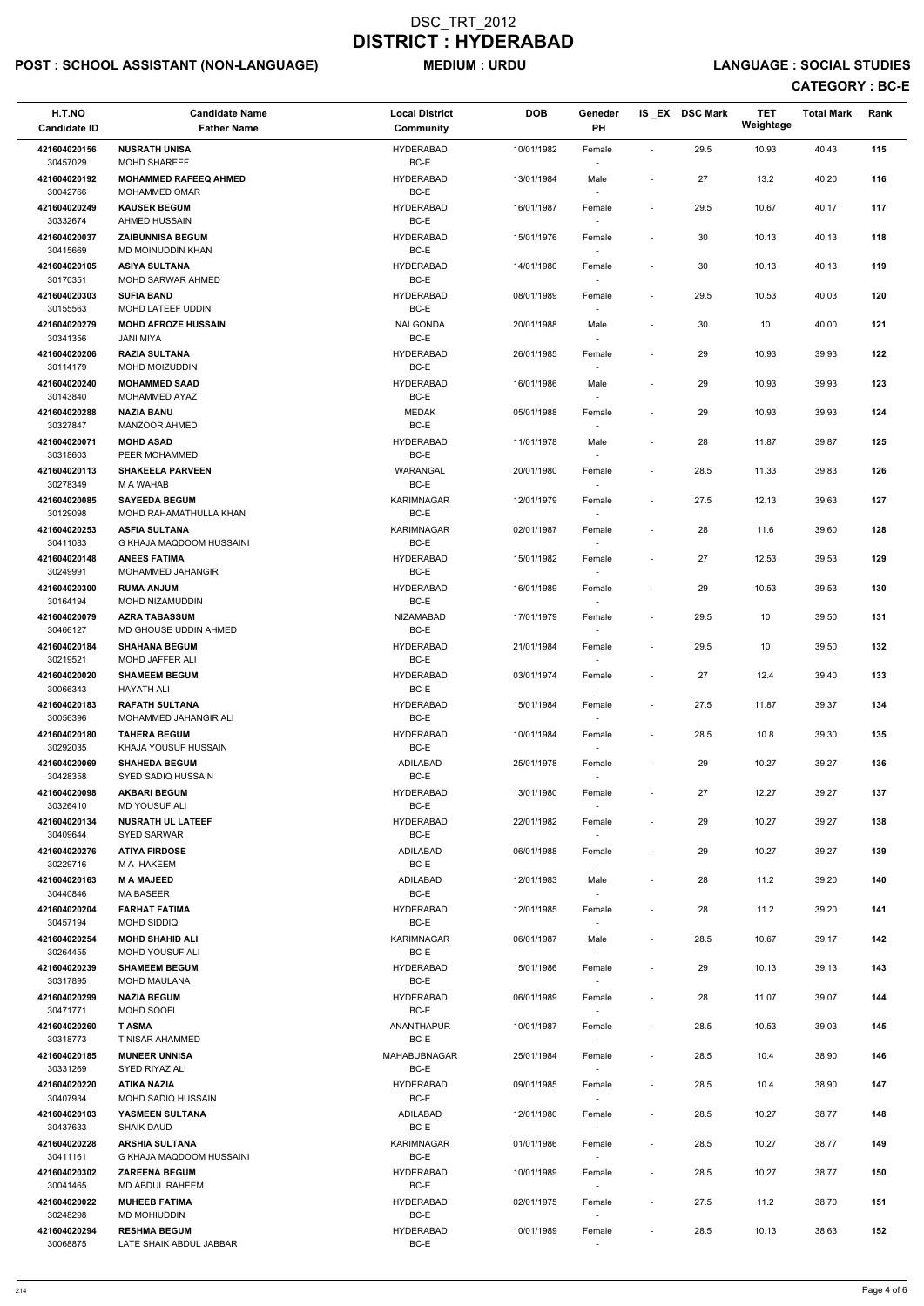# POST : SCHOOL ASSISTANT (NON-LANGUAGE) MEDIUM : URDU LANGUAGE : SOCIAL STUDIES

| H.T.NO<br><b>Candidate ID</b> | <b>Candidate Name</b><br><b>Father Name</b>           | <b>Local District</b><br>Community | <b>DOB</b> | Geneder<br><b>PH</b>               |                          | IS EX DSC Mark | <b>TET</b><br>Weightage | <b>Total Mark</b> | Rank |
|-------------------------------|-------------------------------------------------------|------------------------------------|------------|------------------------------------|--------------------------|----------------|-------------------------|-------------------|------|
| 421604020156                  | <b>NUSRATH UNISA</b>                                  | <b>HYDERABAD</b>                   | 10/01/1982 | Female                             | $\blacksquare$           | 29.5           | 10.93                   | 40.43             | 115  |
| 30457029<br>421604020192      | <b>MOHD SHAREEF</b><br><b>MOHAMMED RAFEEQ AHMED</b>   | BC-E<br><b>HYDERABAD</b>           | 13/01/1984 | Male                               |                          | 27             | 13.2                    | 40.20             | 116  |
| 30042766<br>421604020249      | <b>MOHAMMED OMAR</b><br><b>KAUSER BEGUM</b>           | BC-E<br><b>HYDERABAD</b>           | 16/01/1987 | $\sim$<br>Female                   | $\blacksquare$           | 29.5           | 10.67                   | 40.17             | 117  |
| 30332674<br>421604020037      | AHMED HUSSAIN<br><b>ZAIBUNNISA BEGUM</b>              | BC-E<br><b>HYDERABAD</b>           | 15/01/1976 | Female                             | $\overline{\phantom{a}}$ | 30             | 10.13                   | 40.13             | 118  |
| 30415669                      | MD MOINUDDIN KHAN                                     | BC-E                               |            |                                    |                          |                |                         |                   |      |
| 421604020105<br>30170351      | <b>ASIYA SULTANA</b><br><b>MOHD SARWAR AHMED</b>      | <b>HYDERABAD</b><br>BC-E           | 14/01/1980 | Female<br>$\overline{\phantom{a}}$ | $\blacksquare$           | 30             | 10.13                   | 40.13             | 119  |
| 421604020303<br>30155563      | <b>SUFIA BAND</b><br>MOHD LATEEF UDDIN                | <b>HYDERABAD</b><br>BC-E           | 08/01/1989 | Female<br>$\overline{\phantom{a}}$ | $\overline{\phantom{a}}$ | 29.5           | 10.53                   | 40.03             | 120  |
| 421604020279<br>30341356      | <b>MOHD AFROZE HUSSAIN</b><br><b>JANI MIYA</b>        | <b>NALGONDA</b><br>BC-E            | 20/01/1988 | Male<br>$\overline{\phantom{a}}$   |                          | 30             | 10                      | 40.00             | 121  |
| 421604020206<br>30114179      | <b>RAZIA SULTANA</b><br>MOHD MOIZUDDIN                | <b>HYDERABAD</b><br>BC-E           | 26/01/1985 | Female                             | $\overline{\phantom{a}}$ | 29             | 10.93                   | 39.93             | 122  |
| 421604020240                  | <b>MOHAMMED SAAD</b>                                  | <b>HYDERABAD</b>                   | 16/01/1986 | Male                               | $\overline{\phantom{a}}$ | 29             | 10.93                   | 39.93             | 123  |
| 30143840<br>421604020288      | MOHAMMED AYAZ<br><b>NAZIA BANU</b>                    | BC-E<br><b>MEDAK</b>               | 05/01/1988 | $\sim$<br>Female                   |                          | 29             | 10.93                   | 39.93             | 124  |
| 30327847                      | <b>MANZOOR AHMED</b>                                  | BC-E                               |            | $\overline{\phantom{a}}$           |                          |                |                         |                   |      |
| 421604020071<br>30318603      | <b>MOHD ASAD</b><br>PEER MOHAMMED                     | <b>HYDERABAD</b><br>BC-E           | 11/01/1978 | Male<br>$\overline{\phantom{a}}$   | $\blacksquare$           | 28             | 11.87                   | 39.87             | 125  |
| 421604020113<br>30278349      | <b>SHAKEELA PARVEEN</b><br><b>M A WAHAB</b>           | WARANGAL<br>BC-E                   | 20/01/1980 | Female                             |                          | 28.5           | 11.33                   | 39.83             | 126  |
| 421604020085<br>30129098      | <b>SAYEEDA BEGUM</b><br>MOHD RAHAMATHULLA KHAN        | <b>KARIMNAGAR</b><br>BC-E          | 12/01/1979 | Female<br>$\overline{\phantom{a}}$ | $\overline{\phantom{a}}$ | 27.5           | 12.13                   | 39.63             | 127  |
| 421604020253<br>30411083      | <b>ASFIA SULTANA</b><br>G KHAJA MAQDOOM HUSSAINI      | KARIMNAGAR<br>BC-E                 | 02/01/1987 | Female<br>$\sim$                   |                          | 28             | 11.6                    | 39.60             | 128  |
| 421604020148<br>30249991      | <b>ANEES FATIMA</b><br><b>MOHAMMED JAHANGIR</b>       | <b>HYDERABAD</b><br>BC-E           | 15/01/1982 | Female<br>$\overline{\phantom{a}}$ | $\overline{\phantom{a}}$ | 27             | 12.53                   | 39.53             | 129  |
| 421604020300                  | <b>RUMA ANJUM</b>                                     | <b>HYDERABAD</b>                   | 16/01/1989 | Female                             |                          | 29             | 10.53                   | 39.53             | 130  |
| 30164194<br>421604020079      | MOHD NIZAMUDDIN<br><b>AZRA TABASSUM</b>               | BC-E<br><b>NIZAMABAD</b>           | 17/01/1979 | Female                             | $\overline{\phantom{a}}$ | 29.5           | 10                      | 39.50             | 131  |
| 30466127<br>421604020184      | MD GHOUSE UDDIN AHMED<br><b>SHAHANA BEGUM</b>         | BC-E<br><b>HYDERABAD</b>           | 21/01/1984 | $\overline{\phantom{a}}$<br>Female | $\overline{\phantom{a}}$ | 29.5           | 10                      | 39.50             | 132  |
| 30219521<br>421604020020      | <b>MOHD JAFFER ALI</b><br><b>SHAMEEM BEGUM</b>        | BC-E<br><b>HYDERABAD</b>           | 03/01/1974 | $\sim$                             |                          | 27             | 12.4                    | 39.40             | 133  |
| 30066343                      | HAYATH ALI                                            | BC-E                               |            | Female                             | $\overline{\phantom{a}}$ |                |                         |                   |      |
| 421604020183<br>30056396      | <b>RAFATH SULTANA</b><br><b>MOHAMMED JAHANGIR ALI</b> | <b>HYDERABAD</b><br>BC-E           | 15/01/1984 | Female<br>$\sim$                   | $\overline{\phantom{a}}$ | 27.5           | 11.87                   | 39.37             | 134  |
| 421604020180<br>30292035      | <b>TAHERA BEGUM</b><br>KHAJA YOUSUF HUSSAIN           | <b>HYDERABAD</b><br>BC-E           | 10/01/1984 | Female<br>$\overline{\phantom{a}}$ | $\overline{\phantom{a}}$ | 28.5           | 10.8                    | 39.30             | 135  |
| 421604020069                  | <b>SHAHEDA BEGUM</b>                                  | ADILABAD                           | 25/01/1978 | Female                             |                          | 29             | 10.27                   | 39.27             | 136  |
| 30428358<br>421604020098      | SYED SADIQ HUSSAIN<br><b>AKBARI BEGUM</b>             | BC-E<br><b>HYDERABAD</b>           | 13/01/1980 | $\sim$<br>Female                   | $\overline{\phantom{a}}$ | 27             | 12.27                   | 39.27             | 137  |
| 30326410<br>421604020134      | <b>MD YOUSUF ALI</b><br><b>NUSRATH UL LATEEF</b>      | BC-E<br><b>HYDERABAD</b>           | 22/01/1982 | Female                             | $\overline{\phantom{a}}$ | 29             | 10.27                   | 39.27             | 138  |
| 30409644                      | <b>SYED SARWAR</b>                                    | BC-E                               |            |                                    |                          |                |                         |                   |      |
| 421604020276<br>30229716      | <b>ATIYA FIRDOSE</b><br>M A HAKEEM                    | ADILABAD<br>BC-E                   | 06/01/1988 | Female<br>$\sim$                   | $\blacksquare$           | 29             | 10.27                   | 39.27             | 139  |
| 421604020163<br>30440846      | <b>M A MAJEED</b><br><b>MA BASEER</b>                 | ADILABAD<br>BC-E                   | 12/01/1983 | Male<br>$\sim$                     | $\overline{\phantom{a}}$ | 28             | 11.2                    | 39.20             | 140  |
| 421604020204<br>30457194      | <b>FARHAT FATIMA</b><br>MOHD SIDDIQ                   | <b>HYDERABAD</b><br>BC-E           | 12/01/1985 | Female<br>$\overline{\phantom{a}}$ | $\overline{\phantom{a}}$ | 28             | 11.2                    | 39.20             | 141  |
| 421604020254                  | <b>MOHD SHAHID ALI</b>                                | <b>KARIMNAGAR</b>                  | 06/01/1987 | Male                               | $\overline{\phantom{a}}$ | 28.5           | 10.67                   | 39.17             | 142  |
| 30264455<br>421604020239      | MOHD YOUSUF ALI<br><b>SHAMEEM BEGUM</b>               | BC-E<br><b>HYDERABAD</b>           | 15/01/1986 | Female                             | $\overline{\phantom{a}}$ | 29             | 10.13                   | 39.13             | 143  |
| 30317895                      | MOHD MAULANA                                          | BC-E                               |            | $\sim$                             |                          |                |                         |                   |      |
| 421604020299<br>30471771      | <b>NAZIA BEGUM</b><br>MOHD SOOFI                      | <b>HYDERABAD</b><br>BC-E           | 06/01/1989 | Female<br>$\overline{\phantom{a}}$ |                          | 28             | 11.07                   | 39.07             | 144  |
| 421604020260<br>30318773      | <b>TASMA</b><br>T NISAR AHAMMED                       | ANANTHAPUR<br>BC-E                 | 10/01/1987 | Female<br>$\sim$                   | $\overline{\phantom{a}}$ | 28.5           | 10.53                   | 39.03             | 145  |
| 421604020185                  | <b>MUNEER UNNISA</b>                                  | MAHABUBNAGAR                       | 25/01/1984 | Female                             | $\overline{\phantom{a}}$ | 28.5           | 10.4                    | 38.90             | 146  |
| 30331269<br>421604020220      | SYED RIYAZ ALI<br><b>ATIKA NAZIA</b>                  | BC-E<br><b>HYDERABAD</b>           | 09/01/1985 | Female                             | $\overline{\phantom{a}}$ | 28.5           | 10.4                    | 38.90             | 147  |
| 30407934<br>421604020103      | MOHD SADIQ HUSSAIN<br>YASMEEN SULTANA                 | BC-E<br><b>ADILABAD</b>            | 12/01/1980 | $\sim$<br>Female                   | $\blacksquare$           | 28.5           | 10.27                   | 38.77             | 148  |
| 30437633                      | <b>SHAIK DAUD</b>                                     | BC-E                               |            | $\sim$                             |                          |                |                         |                   |      |
| 421604020228<br>30411161      | <b>ARSHIA SULTANA</b><br>G KHAJA MAQDOOM HUSSAINI     | KARIMNAGAR<br>BC-E                 | 01/01/1986 | Female<br>$\sim$                   | $\overline{\phantom{a}}$ | 28.5           | 10.27                   | 38.77             | 149  |
| 421604020302<br>30041465      | <b>ZAREENA BEGUM</b><br>MD ABDUL RAHEEM               | <b>HYDERABAD</b><br>BC-E           | 10/01/1989 | Female<br>$\sim$                   | $\sim$                   | 28.5           | 10.27                   | 38.77             | 150  |
| 421604020022<br>30248298      | <b>MUHEEB FATIMA</b><br>MD MOHIUDDIN                  | <b>HYDERABAD</b><br>BC-E           | 02/01/1975 | Female<br>$\sim$                   | $\overline{\phantom{a}}$ | 27.5           | 11.2                    | 38.70             | 151  |
| 421604020294<br>30068875      | <b>RESHMA BEGUM</b><br>LATE SHAIK ABDUL JABBAR        | <b>HYDERABAD</b><br>BC-E           | 10/01/1989 | Female<br>$\overline{\phantom{a}}$ | $\overline{\phantom{a}}$ | 28.5           | 10.13                   | 38.63             | 152  |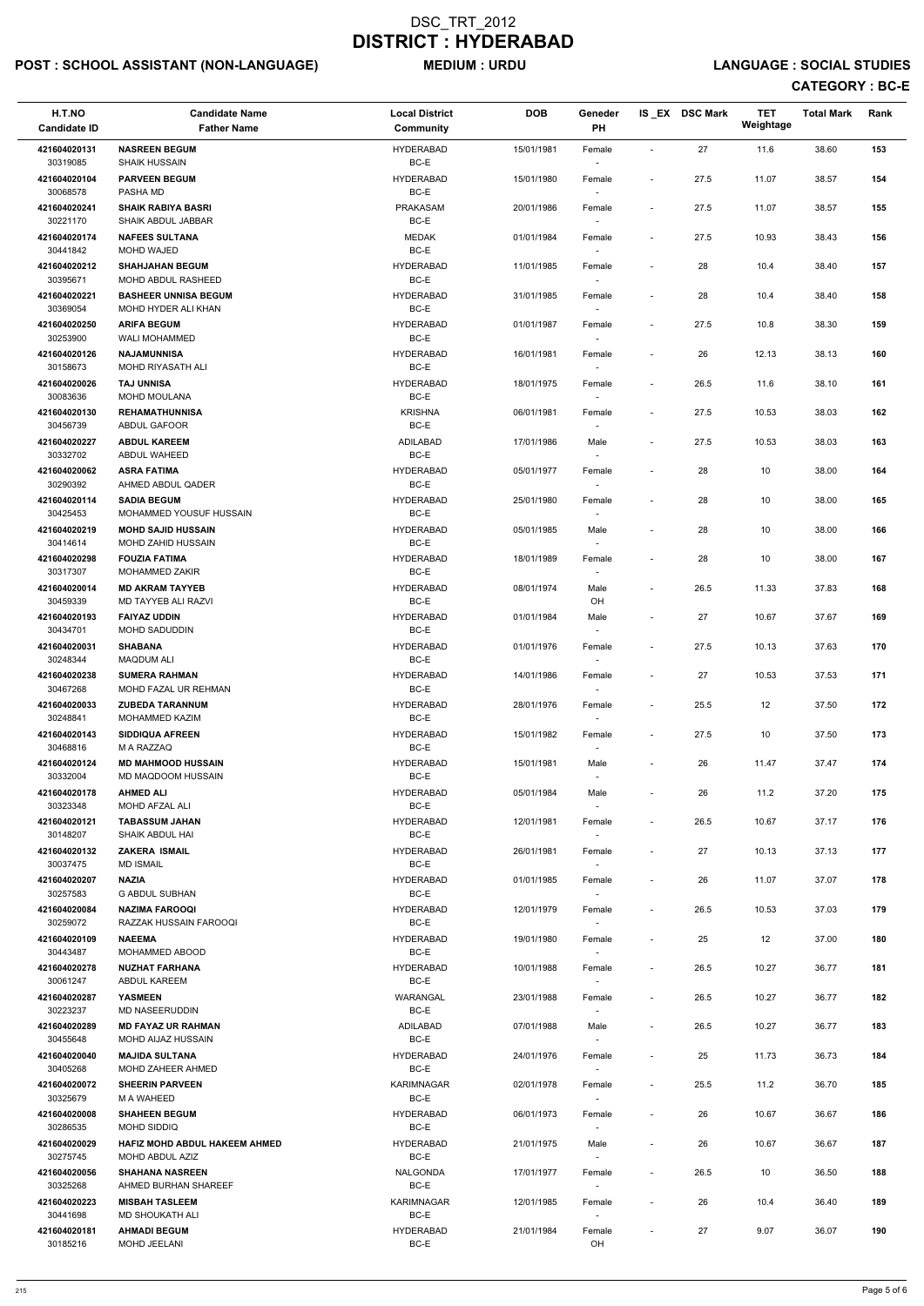# POST : SCHOOL ASSISTANT (NON-LANGUAGE) MEDIUM : URDU LANGUAGE : SOCIAL STUDIES

| H.T.NO<br><b>Candidate ID</b> | <b>Candidate Name</b><br><b>Father Name</b>             | <b>Local District</b><br>Community | <b>DOB</b> | Geneder<br>PH                      |                              | IS EX DSC Mark | <b>TET</b><br>Weightage | <b>Total Mark</b> | Rank |
|-------------------------------|---------------------------------------------------------|------------------------------------|------------|------------------------------------|------------------------------|----------------|-------------------------|-------------------|------|
| 421604020131<br>30319085      | <b>NASREEN BEGUM</b><br><b>SHAIK HUSSAIN</b>            | <b>HYDERABAD</b><br>BC-E           | 15/01/1981 | Female                             | $\blacksquare$               | 27             | 11.6                    | 38.60             | 153  |
| 421604020104                  | <b>PARVEEN BEGUM</b>                                    | HYDERABAD<br>BC-E                  | 15/01/1980 | Female                             | $\overline{\phantom{a}}$     | 27.5           | 11.07                   | 38.57             | 154  |
| 30068578<br>421604020241      | PASHA MD<br><b>SHAIK RABIYA BASRI</b>                   | <b>PRAKASAM</b>                    | 20/01/1986 | Female                             | $\overline{\phantom{a}}$     | 27.5           | 11.07                   | 38.57             | 155  |
| 30221170<br>421604020174      | SHAIK ABDUL JABBAR<br><b>NAFEES SULTANA</b>             | BC-E<br><b>MEDAK</b>               | 01/01/1984 | Female                             | $\sim$                       | 27.5           | 10.93                   | 38.43             | 156  |
| 30441842<br>421604020212      | <b>MOHD WAJED</b><br><b>SHAHJAHAN BEGUM</b>             | $BC-E$<br><b>HYDERABAD</b>         | 11/01/1985 | $\sim$<br>Female                   | $\overline{\phantom{a}}$     | 28             | 10.4                    | 38.40             | 157  |
| 30395671<br>421604020221      | MOHD ABDUL RASHEED<br><b>BASHEER UNNISA BEGUM</b>       | BC-E<br>HYDERABAD                  | 31/01/1985 | Female                             | $\overline{\phantom{a}}$     | 28             | 10.4                    | 38.40             | 158  |
| 30369054<br>421604020250      | MOHD HYDER ALI KHAN<br><b>ARIFA BEGUM</b>               | BC-E<br><b>HYDERABAD</b>           | 01/01/1987 | Female                             | $\overline{\phantom{a}}$     | 27.5           | 10.8                    | 38.30             | 159  |
| 30253900                      | <b>WALI MOHAMMED</b>                                    | BC-E                               |            |                                    |                              |                |                         |                   |      |
| 421604020126<br>30158673      | <b>NAJAMUNNISA</b><br>MOHD RIYASATH ALI                 | <b>HYDERABAD</b><br>BC-E           | 16/01/1981 | Female                             | $\overline{\phantom{a}}$     | 26             | 12.13                   | 38.13             | 160  |
| 421604020026<br>30083636      | <b>TAJ UNNISA</b><br>MOHD MOULANA                       | <b>HYDERABAD</b><br>BC-E           | 18/01/1975 | Female                             | $\overline{\phantom{a}}$     | 26.5           | 11.6                    | 38.10             | 161  |
| 421604020130<br>30456739      | <b>REHAMATHUNNISA</b><br>ABDUL GAFOOR                   | <b>KRISHNA</b><br>BC-E             | 06/01/1981 | Female                             | $\overline{\phantom{a}}$     | 27.5           | 10.53                   | 38.03             | 162  |
| 421604020227<br>30332702      | <b>ABDUL KAREEM</b><br>ABDUL WAHEED                     | ADILABAD<br>BC-E                   | 17/01/1986 | Male                               | $\overline{\phantom{a}}$     | 27.5           | 10.53                   | 38.03             | 163  |
| 421604020062                  | <b>ASRA FATIMA</b>                                      | <b>HYDERABAD</b>                   | 05/01/1977 | Female                             | $\overline{\phantom{a}}$     | 28             | 10                      | 38.00             | 164  |
| 30290392<br>421604020114      | AHMED ABDUL QADER<br><b>SADIA BEGUM</b>                 | BC-E<br><b>HYDERABAD</b>           | 25/01/1980 | Female                             | $\overline{\phantom{a}}$     | 28             | 10                      | 38.00             | 165  |
| 30425453<br>421604020219      | MOHAMMED YOUSUF HUSSAIN<br><b>MOHD SAJID HUSSAIN</b>    | BC-E<br>HYDERABAD                  | 05/01/1985 | $\overline{\phantom{a}}$<br>Male   | $\overline{\phantom{a}}$     | 28             | 10                      | 38.00             | 166  |
| 30414614<br>421604020298      | MOHD ZAHID HUSSAIN<br><b>FOUZIA FATIMA</b>              | BC-E<br>HYDERABAD                  | 18/01/1989 | Female                             | $\overline{\phantom{a}}$     | 28             | 10                      | 38.00             | 167  |
| 30317307<br>421604020014      | <b>MOHAMMED ZAKIR</b><br><b>MD AKRAM TAYYEB</b>         | BC-E<br><b>HYDERABAD</b>           | 08/01/1974 | Male                               | $\overline{\phantom{a}}$     | 26.5           | 11.33                   | 37.83             | 168  |
| 30459339                      | MD TAYYEB ALI RAZVI                                     | BC-E                               |            | ОH                                 |                              |                |                         |                   |      |
| 421604020193<br>30434701      | <b>FAIYAZ UDDIN</b><br>MOHD SADUDDIN                    | <b>HYDERABAD</b><br>$BC-E$         | 01/01/1984 | Male<br>$\sim$                     | $\overline{a}$               | 27             | 10.67                   | 37.67             | 169  |
| 421604020031<br>30248344      | <b>SHABANA</b><br><b>MAQDUM ALI</b>                     | <b>HYDERABAD</b><br>BC-E           | 01/01/1976 | Female                             | $\qquad \qquad \blacksquare$ | 27.5           | 10.13                   | 37.63             | 170  |
| 421604020238<br>30467268      | <b>SUMERA RAHMAN</b><br>MOHD FAZAL UR REHMAN            | <b>HYDERABAD</b><br>BC-E           | 14/01/1986 | Female                             | $\overline{\phantom{a}}$     | 27             | 10.53                   | 37.53             | 171  |
| 421604020033<br>30248841      | <b>ZUBEDA TARANNUM</b><br>MOHAMMED KAZIM                | <b>HYDERABAD</b><br>BC-E           | 28/01/1976 | Female<br>$\overline{\phantom{a}}$ | $\overline{\phantom{a}}$     | 25.5           | 12                      | 37.50             | 172  |
| 421604020143<br>30468816      | SIDDIQUA AFREEN<br>M A RAZZAQ                           | <b>HYDERABAD</b><br>BC-E           | 15/01/1982 | Female                             | $\overline{\phantom{a}}$     | 27.5           | 10                      | 37.50             | 173  |
| 421604020124                  | <b>MD MAHMOOD HUSSAIN</b>                               | HYDERABAD                          | 15/01/1981 | $\sim$<br>Male                     | $\qquad \qquad \blacksquare$ | 26             | 11.47                   | 37.47             | 174  |
| 30332004<br>421604020178      | MD MAQDOOM HUSSAIN<br><b>AHMED ALI</b>                  | BC-E<br><b>HYDERABAD</b>           | 05/01/1984 | $\overline{\phantom{a}}$<br>Male   | $\overline{\phantom{a}}$     | 26             | 11.2                    | 37.20             | 175  |
| 30323348<br>421604020121      | MOHD AFZAL ALI<br><b>TABASSUM JAHAN</b>                 | BC-E<br>HYDERABAD                  | 12/01/1981 | Female                             | $\overline{\phantom{a}}$     | 26.5           | 10.67                   | 37.17             | 176  |
| 30148207<br>421604020132      | SHAIK ABDUL HAI<br><b>ZAKERA ISMAIL</b>                 | BC-E<br><b>HYDERABAD</b>           | 26/01/1981 | $\sim$<br>Female                   | $\overline{\phantom{a}}$     | 27             | 10.13                   | 37.13             | 177  |
| 30037475                      | <b>MD ISMAIL</b>                                        | BC-E                               |            | $\sim$                             |                              |                |                         |                   |      |
| 421604020207<br>30257583      | <b>NAZIA</b><br><b>G ABDUL SUBHAN</b>                   | <b>HYDERABAD</b><br>BC-E           | 01/01/1985 | Female<br>$\sim$                   | $\overline{\phantom{a}}$     | 26             | 11.07                   | 37.07             | 178  |
| 421604020084<br>30259072      | <b>NAZIMA FAROOQI</b><br>RAZZAK HUSSAIN FAROOQI         | HYDERABAD<br>BC-E                  | 12/01/1979 | Female                             | $\overline{\phantom{a}}$     | 26.5           | 10.53                   | 37.03             | 179  |
| 421604020109<br>30443487      | <b>NAEEMA</b><br>MOHAMMED ABOOD                         | HYDERABAD<br>BC-E                  | 19/01/1980 | Female                             | $\overline{\phantom{a}}$     | 25             | 12                      | 37.00             | 180  |
| 421604020278<br>30061247      | <b>NUZHAT FARHANA</b><br>ABDUL KAREEM                   | <b>HYDERABAD</b><br>BC-E           | 10/01/1988 | Female<br>$\sim$                   | $\overline{\phantom{a}}$     | 26.5           | 10.27                   | 36.77             | 181  |
| 421604020287<br>30223237      | <b>YASMEEN</b><br><b>MD NASEERUDDIN</b>                 | WARANGAL<br>BC-E                   | 23/01/1988 | Female<br>$\sim$                   | $\overline{\phantom{a}}$     | 26.5           | 10.27                   | 36.77             | 182  |
| 421604020289                  | <b>MD FAYAZ UR RAHMAN</b>                               | ADILABAD                           | 07/01/1988 | Male                               | $\overline{\phantom{a}}$     | 26.5           | 10.27                   | 36.77             | 183  |
| 30455648<br>421604020040      | MOHD AIJAZ HUSSAIN<br><b>MAJIDA SULTANA</b>             | BC-E<br><b>HYDERABAD</b>           | 24/01/1976 | Female                             | $\overline{\phantom{a}}$     | 25             | 11.73                   | 36.73             | 184  |
| 30405268<br>421604020072      | MOHD ZAHEER AHMED<br><b>SHEERIN PARVEEN</b>             | BC-E<br><b>KARIMNAGAR</b>          | 02/01/1978 | Female                             | $\overline{\phantom{a}}$     | 25.5           | 11.2                    | 36.70             | 185  |
| 30325679<br>421604020008      | M A WAHEED<br><b>SHAHEEN BEGUM</b>                      | BC-E<br><b>HYDERABAD</b>           | 06/01/1973 | $\sim$<br>Female                   | $\overline{\phantom{a}}$     | 26             | 10.67                   | 36.67             | 186  |
| 30286535                      | MOHD SIDDIQ                                             | BC-E                               |            |                                    |                              |                |                         |                   |      |
| 421604020029<br>30275745      | <b>HAFIZ MOHD ABDUL HAKEEM AHMED</b><br>MOHD ABDUL AZIZ | HYDERABAD<br>BC-E                  | 21/01/1975 | Male<br>$\sim$                     | $\overline{\phantom{a}}$     | 26             | 10.67                   | 36.67             | 187  |
| 421604020056<br>30325268      | <b>SHAHANA NASREEN</b><br>AHMED BURHAN SHAREEF          | <b>NALGONDA</b><br>BC-E            | 17/01/1977 | Female<br>$\overline{\phantom{a}}$ | $\overline{\phantom{a}}$     | 26.5           | 10                      | 36.50             | 188  |
| 421604020223<br>30441698      | <b>MISBAH TASLEEM</b><br><b>MD SHOUKATH ALI</b>         | <b>KARIMNAGAR</b><br>BC-E          | 12/01/1985 | Female<br>$\sim$                   | $\qquad \qquad \blacksquare$ | 26             | 10.4                    | 36.40             | 189  |
| 421604020181<br>30185216      | <b>AHMADI BEGUM</b><br>MOHD JEELANI                     | HYDERABAD<br>BC-E                  | 21/01/1984 | Female<br>OH                       | $\overline{\phantom{a}}$     | 27             | 9.07                    | 36.07             | 190  |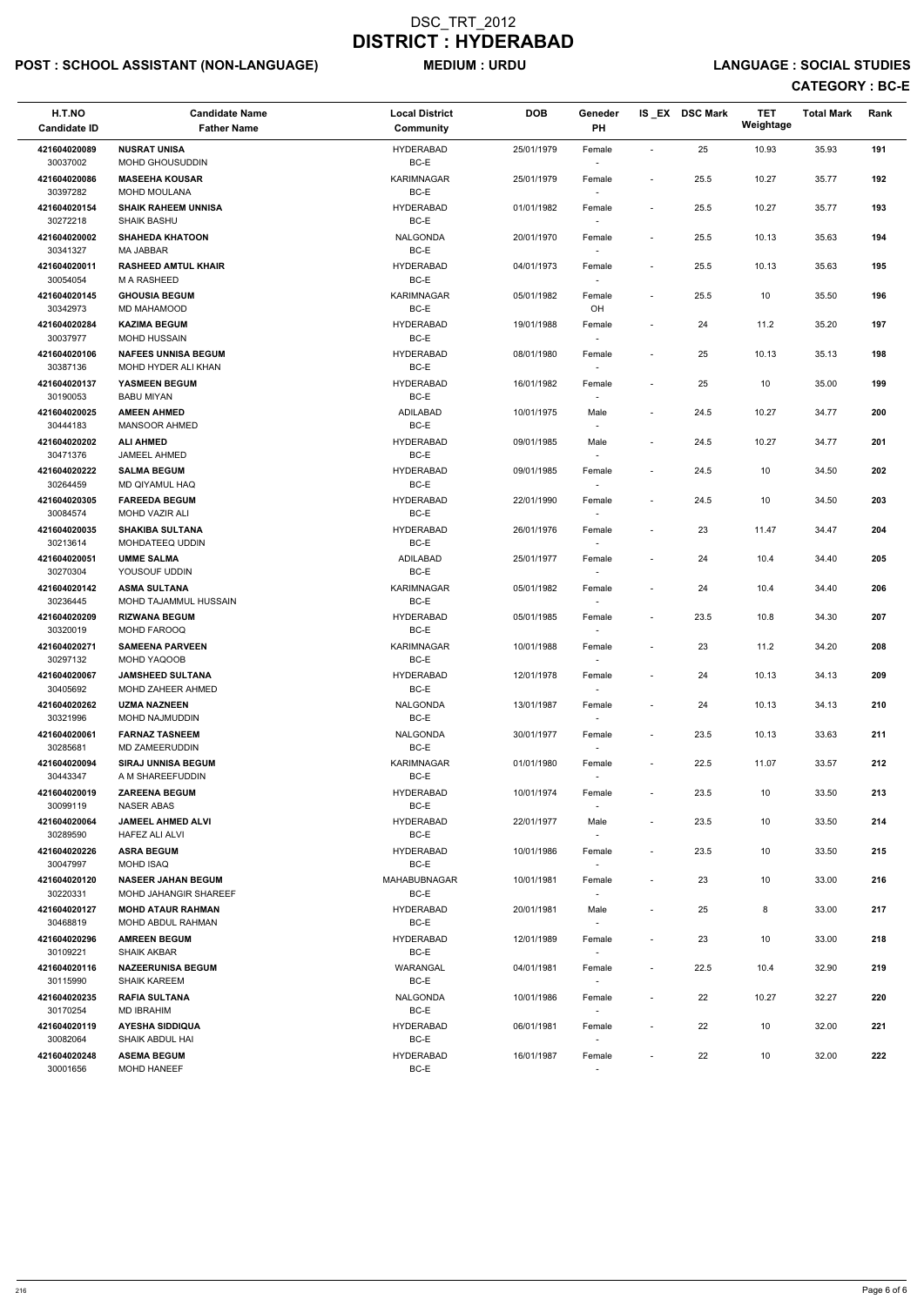# POST : SCHOOL ASSISTANT (NON-LANGUAGE) MEDIUM : URDU LANGUAGE : SOCIAL STUDIES

| H.T.NO<br><b>Candidate ID</b> | <b>Candidate Name</b><br><b>Father Name</b>        | <b>Local District</b><br><b>Community</b> | <b>DOB</b> | Geneder<br>PH                      |                              | IS EX DSC Mark | <b>TET</b><br>Weightage | <b>Total Mark</b> | Rank |
|-------------------------------|----------------------------------------------------|-------------------------------------------|------------|------------------------------------|------------------------------|----------------|-------------------------|-------------------|------|
| 421604020089<br>30037002      | <b>NUSRAT UNISA</b><br><b>MOHD GHOUSUDDIN</b>      | <b>HYDERABAD</b><br>BC-E                  | 25/01/1979 | Female                             | $\blacksquare$               | 25             | 10.93                   | 35.93             | 191  |
| 421604020086<br>30397282      | <b>MASEEHA KOUSAR</b><br><b>MOHD MOULANA</b>       | <b>KARIMNAGAR</b><br>BC-E                 | 25/01/1979 | Female                             | $\overline{\phantom{a}}$     | 25.5           | 10.27                   | 35.77             | 192  |
| 421604020154<br>30272218      | <b>SHAIK RAHEEM UNNISA</b><br><b>SHAIK BASHU</b>   | <b>HYDERABAD</b><br>BC-E                  | 01/01/1982 | Female                             | $\overline{\phantom{a}}$     | 25.5           | 10.27                   | 35.77             | 193  |
| 421604020002<br>30341327      | <b>SHAHEDA KHATOON</b><br><b>MA JABBAR</b>         | <b>NALGONDA</b><br>BC-E                   | 20/01/1970 | Female                             | $\overline{\phantom{a}}$     | 25.5           | 10.13                   | 35.63             | 194  |
| 421604020011<br>30054054      | <b>RASHEED AMTUL KHAIR</b><br><b>M A RASHEED</b>   | <b>HYDERABAD</b><br>BC-E                  | 04/01/1973 | Female<br>$\overline{\phantom{a}}$ | $\overline{\phantom{a}}$     | 25.5           | 10.13                   | 35.63             | 195  |
| 421604020145<br>30342973      | <b>GHOUSIA BEGUM</b><br>MD MAHAMOOD                | <b>KARIMNAGAR</b><br>BC-E                 | 05/01/1982 | Female<br>OH                       | $\qquad \qquad \blacksquare$ | 25.5           | 10                      | 35.50             | 196  |
| 421604020284<br>30037977      | <b>KAZIMA BEGUM</b><br><b>MOHD HUSSAIN</b>         | <b>HYDERABAD</b><br>BC-E                  | 19/01/1988 | Female                             | $\overline{\phantom{a}}$     | 24             | 11.2                    | 35.20             | 197  |
| 421604020106<br>30387136      | <b>NAFEES UNNISA BEGUM</b><br>MOHD HYDER ALI KHAN  | <b>HYDERABAD</b><br>BC-E                  | 08/01/1980 | Female                             | $\overline{\phantom{a}}$     | 25             | 10.13                   | 35.13             | 198  |
| 421604020137<br>30190053      | YASMEEN BEGUM<br><b>BABU MIYAN</b>                 | <b>HYDERABAD</b><br>BC-E                  | 16/01/1982 | Female<br>$\overline{\phantom{a}}$ | $\overline{\phantom{a}}$     | 25             | 10                      | 35.00             | 199  |
| 421604020025<br>30444183      | <b>AMEEN AHMED</b><br><b>MANSOOR AHMED</b>         | ADILABAD<br>BC-E                          | 10/01/1975 | Male                               | $\overline{\phantom{a}}$     | 24.5           | 10.27                   | 34.77             | 200  |
| 421604020202<br>30471376      | <b>ALI AHMED</b><br>JAMEEL AHMED                   | HYDERABAD<br>BC-E                         | 09/01/1985 | Male                               | $\overline{\phantom{a}}$     | 24.5           | 10.27                   | 34.77             | 201  |
| 421604020222<br>30264459      | <b>SALMA BEGUM</b><br>MD QIYAMUL HAQ               | <b>HYDERABAD</b><br>BC-E                  | 09/01/1985 | Female                             | $\overline{\phantom{a}}$     | 24.5           | 10                      | 34.50             | 202  |
| 421604020305<br>30084574      | <b>FAREEDA BEGUM</b><br><b>MOHD VAZIR ALI</b>      | HYDERABAD<br>BC-E                         | 22/01/1990 | Female                             | $\overline{\phantom{a}}$     | 24.5           | 10                      | 34.50             | 203  |
| 421604020035<br>30213614      | <b>SHAKIBA SULTANA</b><br>MOHDATEEQ UDDIN          | <b>HYDERABAD</b><br>BC-E                  | 26/01/1976 | Female<br>$\overline{\phantom{0}}$ | $\qquad \qquad \blacksquare$ | 23             | 11.47                   | 34.47             | 204  |
| 421604020051<br>30270304      | <b>UMME SALMA</b><br>YOUSOUF UDDIN                 | ADILABAD<br>BC-E                          | 25/01/1977 | Female                             | $\overline{\phantom{a}}$     | 24             | 10.4                    | 34.40             | 205  |
| 421604020142<br>30236445      | <b>ASMA SULTANA</b><br>MOHD TAJAMMUL HUSSAIN       | <b>KARIMNAGAR</b><br>$BC-E$               | 05/01/1982 | Female                             | $\overline{\phantom{a}}$     | 24             | 10.4                    | 34.40             | 206  |
| 421604020209<br>30320019      | <b>RIZWANA BEGUM</b><br><b>MOHD FAROOQ</b>         | <b>HYDERABAD</b><br>BC-E                  | 05/01/1985 | Female<br>$\sim$                   | $\overline{\phantom{a}}$     | 23.5           | 10.8                    | 34.30             | 207  |
| 421604020271<br>30297132      | <b>SAMEENA PARVEEN</b><br>MOHD YAQOOB              | <b>KARIMNAGAR</b><br>BC-E                 | 10/01/1988 | Female<br>$\overline{\phantom{a}}$ | $\qquad \qquad \blacksquare$ | 23             | 11.2                    | 34.20             | 208  |
| 421604020067<br>30405692      | <b>JAMSHEED SULTANA</b><br>MOHD ZAHEER AHMED       | HYDERABAD<br>BC-E                         | 12/01/1978 | Female                             | $\overline{\phantom{a}}$     | 24             | 10.13                   | 34.13             | 209  |
| 421604020262<br>30321996      | <b>UZMA NAZNEEN</b><br>MOHD NAJMUDDIN              | <b>NALGONDA</b><br>BC-E                   | 13/01/1987 | Female                             | $\overline{\phantom{a}}$     | 24             | 10.13                   | 34.13             | 210  |
| 421604020061<br>30285681      | <b>FARNAZ TASNEEM</b><br>MD ZAMEERUDDIN            | <b>NALGONDA</b><br>BC-E                   | 30/01/1977 | Female                             | $\overline{\phantom{a}}$     | 23.5           | 10.13                   | 33.63             | 211  |
| 421604020094<br>30443347      | <b>SIRAJ UNNISA BEGUM</b><br>A M SHAREEFUDDIN      | <b>KARIMNAGAR</b><br>BC-E                 | 01/01/1980 | Female<br>$\sim$                   | $\overline{\phantom{a}}$     | 22.5           | 11.07                   | 33.57             | 212  |
| 421604020019<br>30099119      | <b>ZAREENA BEGUM</b><br><b>NASER ABAS</b>          | HYDERABAD<br>BC-E                         | 10/01/1974 | Female                             | $\overline{\phantom{a}}$     | 23.5           | 10                      | 33.50             | 213  |
| 421604020064<br>30289590      | <b>JAMEEL AHMED ALVI</b><br><b>HAFEZ ALI ALVI</b>  | HYDERABAD<br>BC-E                         | 22/01/1977 | Male                               | $\overline{\phantom{a}}$     | 23.5           | 10                      | 33.50             | 214  |
| 421604020226<br>30047997      | <b>ASRA BEGUM</b><br><b>MOHD ISAQ</b>              | HYDERABAD<br>BC-E                         | 10/01/1986 | Female<br>$\sim$                   | $\overline{\phantom{a}}$     | 23.5           | 10                      | 33.50             | 215  |
| 421604020120<br>30220331      | <b>NASEER JAHAN BEGUM</b><br>MOHD JAHANGIR SHAREEF | MAHABUBNAGAR<br>BC-E                      | 10/01/1981 | Female                             | $\overline{\phantom{a}}$     | 23             | 10                      | 33.00             | 216  |
| 421604020127<br>30468819      | <b>MOHD ATAUR RAHMAN</b><br>MOHD ABDUL RAHMAN      | HYDERABAD<br>BC-E                         | 20/01/1981 | Male<br>$\sim$                     | $\overline{\phantom{a}}$     | 25             | 8                       | 33.00             | 217  |
| 421604020296<br>30109221      | <b>AMREEN BEGUM</b><br><b>SHAIK AKBAR</b>          | <b>HYDERABAD</b><br>BC-E                  | 12/01/1989 | Female                             | $\overline{\phantom{a}}$     | 23             | 10                      | 33.00             | 218  |
| 421604020116<br>30115990      | <b>NAZEERUNISA BEGUM</b><br>SHAIK KAREEM           | WARANGAL<br>$BC-E$                        | 04/01/1981 | Female<br>$\sim$                   | $\sim$                       | 22.5           | 10.4                    | 32.90             | 219  |

| 421604020235 | <b>RAFIA SULTANA</b> | <b>NALGONDA</b>  | 10/01/1986 | Female                   | 22 | 10.27 | 32.27 | 220 |
|--------------|----------------------|------------------|------------|--------------------------|----|-------|-------|-----|
| 30170254     | MD IBRAHIM           | BC-E             |            | -                        |    |       |       |     |
| 421604020119 | AYESHA SIDDIQUA      | <b>HYDERABAD</b> | 06/01/1981 | Female                   | 22 | 10    | 32.00 | 221 |
| 30082064     | SHAIK ABDUL HAI      | BC-E             |            | $\overline{\phantom{a}}$ |    |       |       |     |
| 421604020248 | <b>ASEMA BEGUM</b>   | <b>HYDERABAD</b> | 16/01/1987 | Female                   | 22 | 10    | 32.00 | 222 |
| 30001656     | <b>MOHD HANEEF</b>   | BC-E             |            | -                        |    |       |       |     |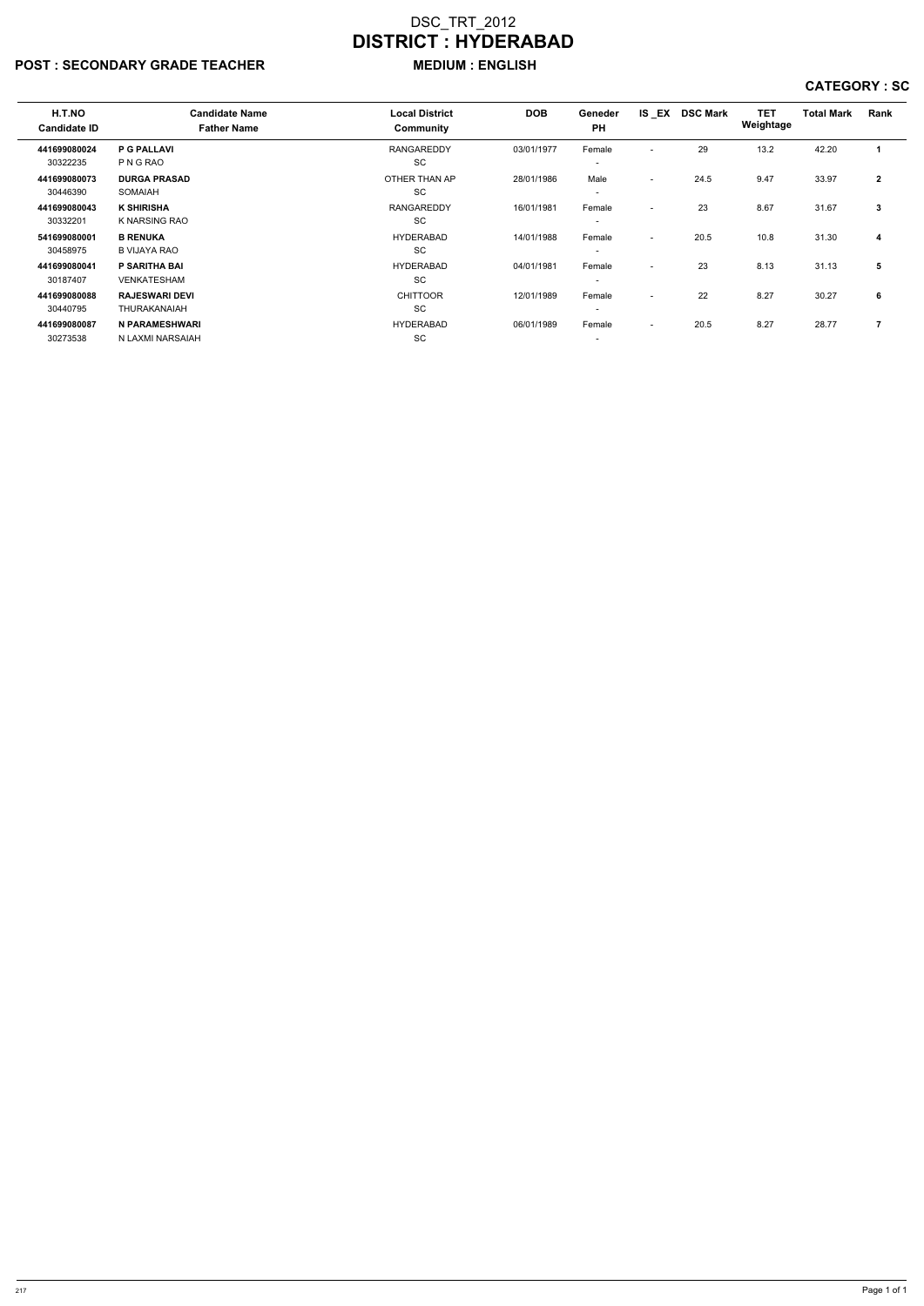# POST : SECONDARY GRADE TEACHER MEDIUM : ENGLISH

| H.T.NO<br><b>Candidate ID</b> | <b>Candidate Name</b><br><b>Father Name</b> | <b>Local District</b><br><b>Community</b> | <b>DOB</b> | Geneder<br><b>PH</b>     | IS EX                    | <b>DSC Mark</b> | <b>TET</b><br>Weightage | <b>Total Mark</b> | Rank         |
|-------------------------------|---------------------------------------------|-------------------------------------------|------------|--------------------------|--------------------------|-----------------|-------------------------|-------------------|--------------|
|                               |                                             |                                           |            |                          |                          |                 |                         |                   |              |
| 441699080024                  | <b>P G PALLAVI</b>                          | <b>RANGAREDDY</b>                         | 03/01/1977 | Female                   | $\overline{\phantom{0}}$ | 29              | 13.2                    | 42.20             | 1            |
| 30322235                      | P N G RAO                                   | <b>SC</b>                                 |            | $\overline{\phantom{a}}$ |                          |                 |                         |                   |              |
| 441699080073                  | <b>DURGA PRASAD</b>                         | OTHER THAN AP                             | 28/01/1986 | Male                     | $\sim$                   | 24.5            | 9.47                    | 33.97             | $\mathbf{2}$ |
| 30446390                      | <b>SOMAIAH</b>                              | <b>SC</b>                                 |            | $\overline{\phantom{a}}$ |                          |                 |                         |                   |              |
| 441699080043                  | <b>K SHIRISHA</b>                           | <b>RANGAREDDY</b>                         | 16/01/1981 | Female                   | $\sim$                   | 23              | 8.67                    | 31.67             | 3            |
| 30332201                      | K NARSING RAO                               | <b>SC</b>                                 |            | $\overline{\phantom{a}}$ |                          |                 |                         |                   |              |
| 541699080001                  | <b>B RENUKA</b>                             | <b>HYDERABAD</b>                          | 14/01/1988 | Female                   | $\sim$                   | 20.5            | 10.8                    | 31.30             | 4            |
| 30458975                      | <b>B VIJAYA RAO</b>                         | <b>SC</b>                                 |            | $\overline{\phantom{a}}$ |                          |                 |                         |                   |              |
| 441699080041                  | <b>P SARITHA BAI</b>                        | <b>HYDERABAD</b>                          | 04/01/1981 | Female                   | $\sim$                   | 23              | 8.13                    | 31.13             | 5            |
| 30187407                      | <b>VENKATESHAM</b>                          | <b>SC</b>                                 |            | $\overline{\phantom{0}}$ |                          |                 |                         |                   |              |
| 441699080088                  | <b>RAJESWARI DEVI</b>                       | <b>CHITTOOR</b>                           | 12/01/1989 | Female                   | $\sim$                   | 22              | 8.27                    | 30.27             | 6            |
| 30440795                      | THURAKANAIAH                                | <b>SC</b>                                 |            | $\overline{\phantom{0}}$ |                          |                 |                         |                   |              |
| 441699080087                  | N PARAMESHWARI                              | <b>HYDERABAD</b>                          | 06/01/1989 | Female                   | $\sim$                   | 20.5            | 8.27                    | 28.77             | 7            |
| 30273538                      | N LAXMI NARSAIAH                            | <b>SC</b>                                 |            | $\overline{\phantom{a}}$ |                          |                 |                         |                   |              |
|                               |                                             |                                           |            |                          |                          |                 |                         |                   |              |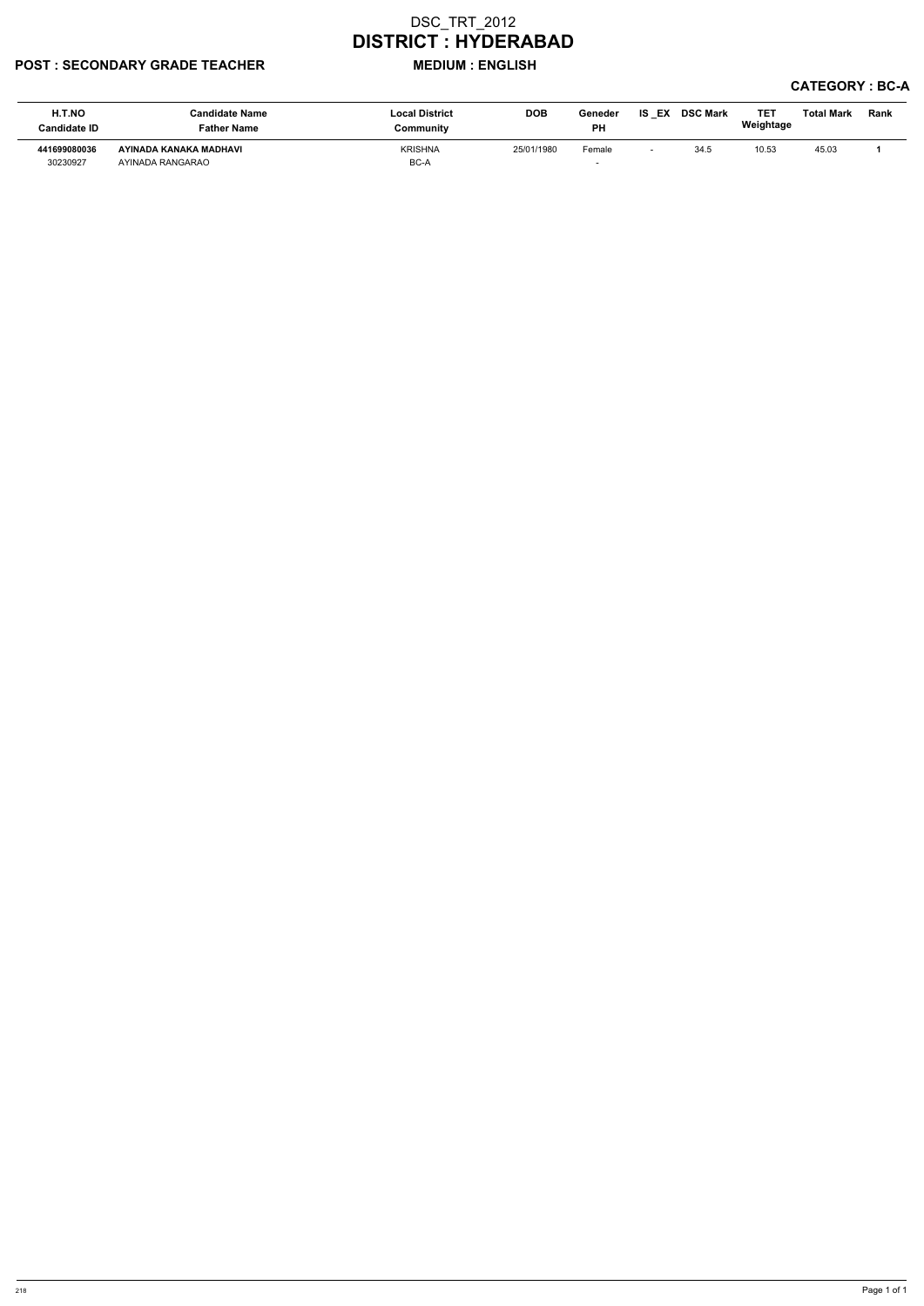### POST : SECONDARY GRADE TEACHER MEDIUM : ENGLISH

| H.T.NO<br>Candidate ID   | <b>Candidate Name</b><br><b>Father Name</b> | <b>Local District</b><br>Community | <b>DOB</b> | Geneder<br><b>PH</b>               | IS I<br>EX | <b>DSC Mark</b> | <b>TET</b><br>Weightage | <b>Total Mark</b> | Rank |
|--------------------------|---------------------------------------------|------------------------------------|------------|------------------------------------|------------|-----------------|-------------------------|-------------------|------|
| 441699080036<br>30230927 | AYINADA KANAKA MADHAVI<br>AYINADA RANGARAO  | <b>KRISHNA</b><br>BC-A             | 25/01/1980 | Female<br>$\overline{\phantom{0}}$ |            | 34.5            | 10.53                   | 45.03             |      |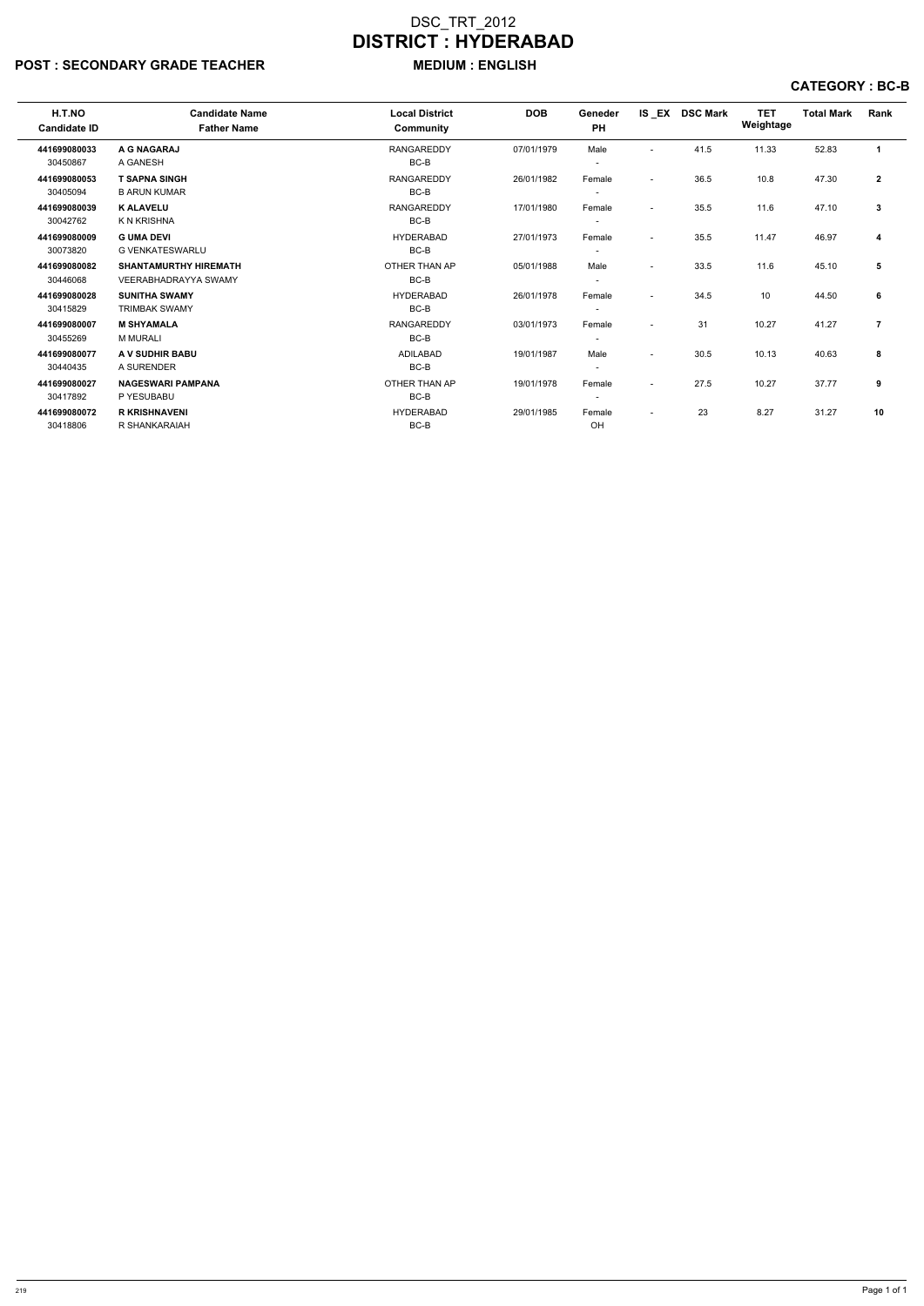### POST : SECONDARY GRADE TEACHER MEDIUM : ENGLISH

| H.T.NO<br><b>Candidate ID</b> | <b>Candidate Name</b><br><b>Father Name</b> | <b>Local District</b><br>Community | <b>DOB</b> | Geneder<br><b>PH</b>     |                          | IS EX DSC Mark | <b>TET</b><br>Weightage | <b>Total Mark</b> | Rank           |
|-------------------------------|---------------------------------------------|------------------------------------|------------|--------------------------|--------------------------|----------------|-------------------------|-------------------|----------------|
| 441699080033                  | A G NAGARAJ                                 | <b>RANGAREDDY</b>                  | 07/01/1979 | Male                     | $\overline{\phantom{0}}$ | 41.5           | 11.33                   | 52.83             | -1             |
| 30450867                      | A GANESH                                    | BC-B                               |            | $\overline{\phantom{a}}$ |                          |                |                         |                   |                |
| 441699080053                  | <b>T SAPNA SINGH</b>                        | <b>RANGAREDDY</b>                  | 26/01/1982 | Female                   | $\overline{\phantom{0}}$ | 36.5           | 10.8                    | 47.30             | $\mathbf{2}$   |
| 30405094                      | <b>B ARUN KUMAR</b>                         | $BC-B$                             |            | $\overline{\phantom{a}}$ |                          |                |                         |                   |                |
| 441699080039                  | <b>K ALAVELU</b>                            | <b>RANGAREDDY</b>                  | 17/01/1980 | Female                   | $\overline{\phantom{0}}$ | 35.5           | 11.6                    | 47.10             | 3              |
| 30042762                      | K N KRISHNA                                 | BC-B                               |            |                          |                          |                |                         |                   |                |
| 441699080009                  | <b>G UMA DEVI</b>                           | <b>HYDERABAD</b>                   | 27/01/1973 | Female                   |                          | 35.5           | 11.47                   | 46.97             | 4              |
| 30073820                      | G VENKATESWARLU                             | BC-B                               |            |                          |                          |                |                         |                   |                |
| 441699080082                  | <b>SHANTAMURTHY HIREMATH</b>                | OTHER THAN AP                      | 05/01/1988 | Male                     |                          | 33.5           | 11.6                    | 45.10             | 5              |
| 30446068                      | <b>VEERABHADRAYYA SWAMY</b>                 | BC-B                               |            | $\overline{\phantom{a}}$ |                          |                |                         |                   |                |
| 441699080028                  | <b>SUNITHA SWAMY</b>                        | <b>HYDERABAD</b>                   | 26/01/1978 | Female                   | $\sim$                   | 34.5           | 10                      | 44.50             | 6              |
| 30415829                      | <b>TRIMBAK SWAMY</b>                        | BC-B                               |            |                          |                          |                |                         |                   |                |
| 441699080007                  | <b>M SHYAMALA</b>                           | <b>RANGAREDDY</b>                  | 03/01/1973 | Female                   | $\sim$                   | 31             | 10.27                   | 41.27             | $\overline{7}$ |
| 30455269                      | <b>M MURALI</b>                             | BC-B                               |            |                          |                          |                |                         |                   |                |
| 441699080077                  | A V SUDHIR BABU                             | ADILABAD                           | 19/01/1987 | Male                     | $\overline{a}$           | 30.5           | 10.13                   | 40.63             | 8              |
| 30440435                      | A SURENDER                                  | BC-B                               |            | $\overline{\phantom{a}}$ |                          |                |                         |                   |                |
| 441699080027                  | <b>NAGESWARI PAMPANA</b>                    | OTHER THAN AP                      | 19/01/1978 | Female                   | $\sim$                   | 27.5           | 10.27                   | 37.77             | 9              |
| 30417892                      | P YESUBABU                                  | BC-B                               |            | $\overline{\phantom{0}}$ |                          |                |                         |                   |                |
| 441699080072                  | <b>R KRISHNAVENI</b>                        | <b>HYDERABAD</b>                   | 29/01/1985 | Female                   |                          | 23             | 8.27                    | 31.27             | 10             |
| 30418806                      | R SHANKARAIAH                               | BC-B                               |            | OH                       |                          |                |                         |                   |                |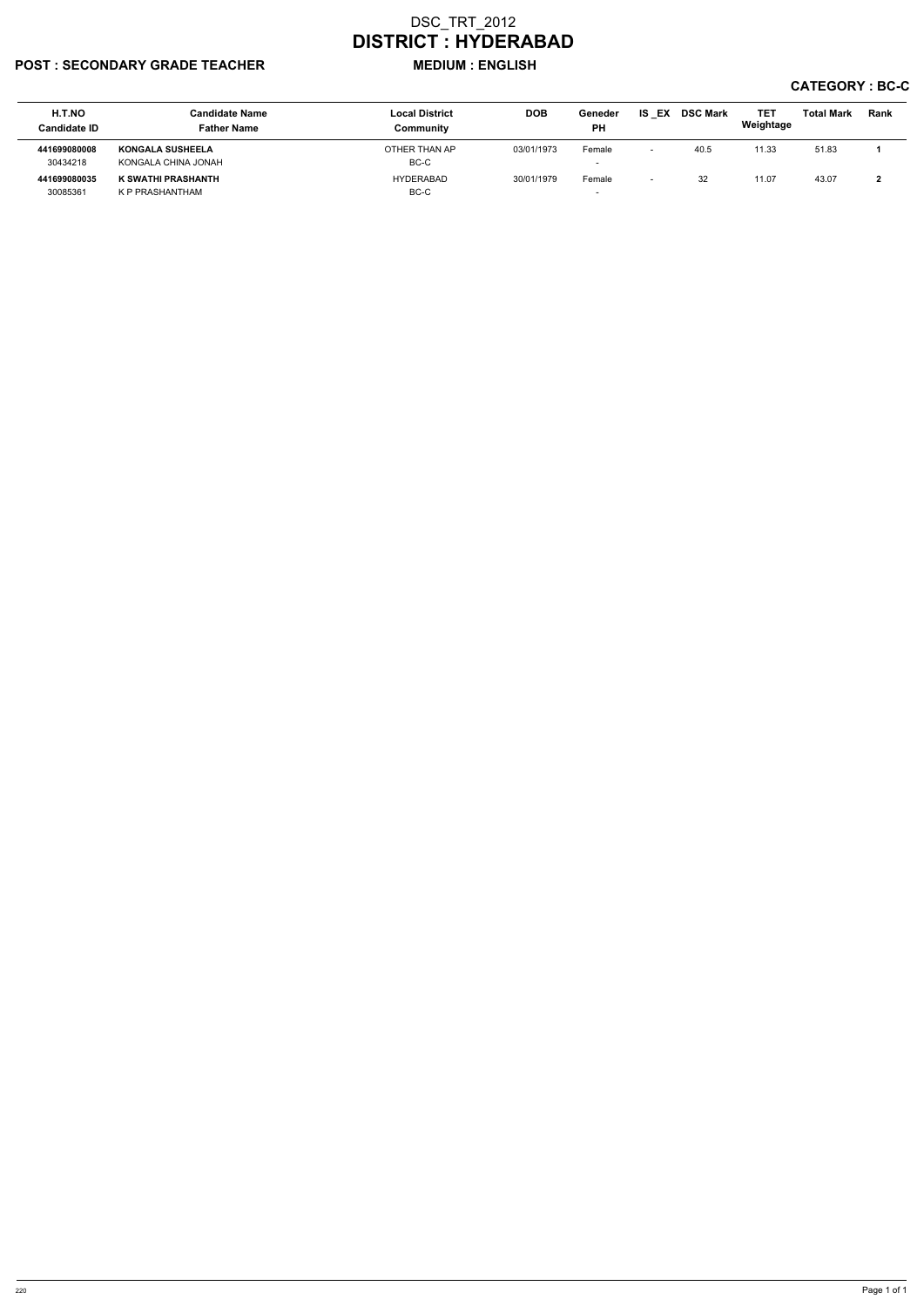## POST : SECONDARY GRADE TEACHER MEDIUM : ENGLISH

| H.T.NO<br><b>Candidate ID</b> | Candidate Name<br><b>Father Name</b> | <b>Local District</b><br>Community | <b>DOB</b> | Geneder<br><b>PH</b>     | <b>IS EX</b> | <b>DSC Mark</b> | <b>TE1</b><br>Weightage | <b>Total Mark</b> | <b>Rank</b> |
|-------------------------------|--------------------------------------|------------------------------------|------------|--------------------------|--------------|-----------------|-------------------------|-------------------|-------------|
| 441699080008                  | <b>KONGALA SUSHEELA</b>              | OTHER THAN AP                      | 03/01/1973 | Female                   |              | 40.5            | 11.33                   | 51.83             |             |
| 30434218                      | KONGALA CHINA JONAH                  | BC-C                               |            | $\overline{\phantom{0}}$ |              |                 |                         |                   |             |
| 441699080035                  | K SWATHI PRASHANTH                   | HYDERABAD                          | 30/01/1979 | Female                   |              | 32              | 11.07                   | 43.07             |             |
| 30085361                      | K P PRASHANTHAM                      | BC-C                               |            | $\overline{\phantom{0}}$ |              |                 |                         |                   |             |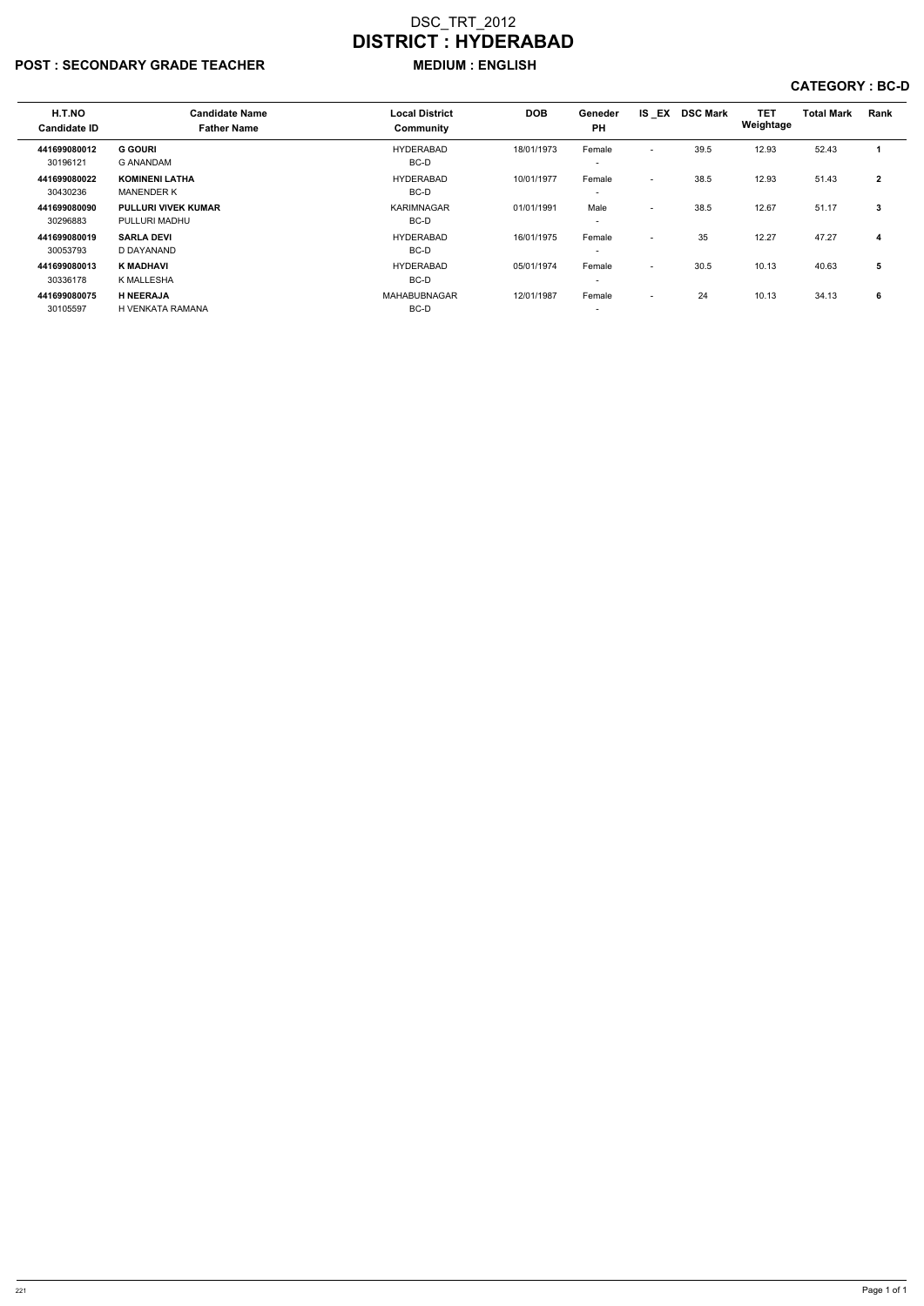# POST : SECONDARY GRADE TEACHER MEDIUM : ENGLISH

| H.T.NO<br><b>Candidate ID</b> | <b>Candidate Name</b><br><b>Father Name</b> | <b>Local District</b><br>Community | <b>DOB</b> | Geneder<br><b>PH</b>               | IS EX                    | <b>DSC Mark</b> | <b>TET</b><br>Weightage | <b>Total Mark</b> | Rank           |
|-------------------------------|---------------------------------------------|------------------------------------|------------|------------------------------------|--------------------------|-----------------|-------------------------|-------------------|----------------|
| 441699080012<br>30196121      | <b>G GOURI</b><br>G ANANDAM                 | HYDERABAD<br>BC-D                  | 18/01/1973 | Female<br>$\overline{\phantom{a}}$ | $\overline{\phantom{0}}$ | 39.5            | 12.93                   | 52.43             |                |
| 441699080022<br>30430236      | <b>KOMINENI LATHA</b><br><b>MANENDER K</b>  | HYDERABAD<br>BC-D                  | 10/01/1977 | Female<br>$\overline{\phantom{a}}$ | $\overline{\phantom{0}}$ | 38.5            | 12.93                   | 51.43             | $\overline{2}$ |
| 441699080090<br>30296883      | <b>PULLURI VIVEK KUMAR</b><br>PULLURI MADHU | <b>KARIMNAGAR</b><br>BC-D          | 01/01/1991 | Male<br>$\overline{\phantom{a}}$   | $\overline{\phantom{0}}$ | 38.5            | 12.67                   | 51.17             | 3              |
| 441699080019<br>30053793      | <b>SARLA DEVI</b><br>D DAYANAND             | HYDERABAD<br>BC-D                  | 16/01/1975 | Female                             | $\overline{\phantom{0}}$ | 35              | 12.27                   | 47.27             | 4              |
| 441699080013<br>30336178      | <b>K MADHAVI</b><br>K MALLESHA              | HYDERABAD<br>BC-D                  | 05/01/1974 | Female<br>$\overline{\phantom{0}}$ | $\overline{a}$           | 30.5            | 10.13                   | 40.63             | 5              |
| 441699080075<br>30105597      | <b>H NEERAJA</b><br>H VENKATA RAMANA        | <b>MAHABUBNAGAR</b><br>BC-D        | 12/01/1987 | Female<br>$\overline{\phantom{a}}$ | $\sim$                   | 24              | 10.13                   | 34.13             | 6              |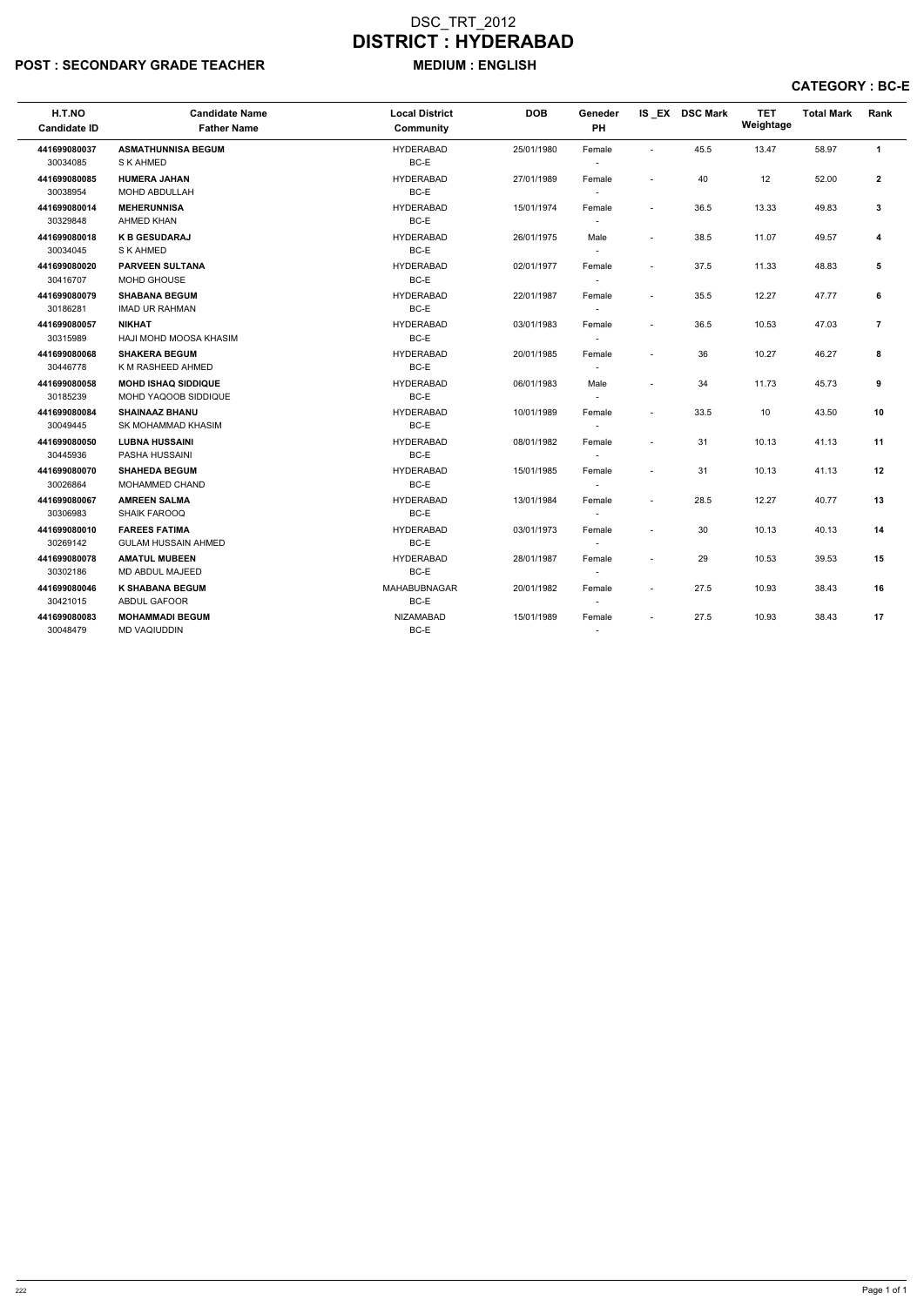# POST : SECONDARY GRADE TEACHER MEDIUM : ENGLISH

| H.T.NO<br><b>Candidate ID</b> | <b>Candidate Name</b><br><b>Father Name</b>        | <b>Local District</b><br><b>Community</b> | <b>DOB</b> | Geneder<br>PH                      |                          | IS EX DSC Mark | <b>TET</b><br>Weightage | <b>Total Mark</b> | Rank           |
|-------------------------------|----------------------------------------------------|-------------------------------------------|------------|------------------------------------|--------------------------|----------------|-------------------------|-------------------|----------------|
| 441699080037<br>30034085      | <b>ASMATHUNNISA BEGUM</b><br>S K AHMED             | <b>HYDERABAD</b><br>BC-E                  | 25/01/1980 | Female<br>$\sim$                   | $\sim$                   | 45.5           | 13.47                   | 58.97             | $\mathbf{1}$   |
| 441699080085<br>30038954      | <b>HUMERA JAHAN</b><br>MOHD ABDULLAH               | <b>HYDERABAD</b><br>BC-E                  | 27/01/1989 | Female<br>$\sim$                   | $\overline{\phantom{a}}$ | 40             | 12                      | 52.00             | $\mathbf{2}$   |
| 441699080014<br>30329848      | <b>MEHERUNNISA</b><br>AHMED KHAN                   | <b>HYDERABAD</b><br>BC-E                  | 15/01/1974 | Female<br>$\sim$                   | $\sim$                   | 36.5           | 13.33                   | 49.83             | 3              |
| 441699080018<br>30034045      | <b>K B GESUDARAJ</b><br>S K AHMED                  | <b>HYDERABAD</b><br>BC-E                  | 26/01/1975 | Male<br>$\sim$                     | $\overline{a}$           | 38.5           | 11.07                   | 49.57             | 4              |
| 441699080020<br>30416707      | <b>PARVEEN SULTANA</b><br>MOHD GHOUSE              | <b>HYDERABAD</b><br>BC-E                  | 02/01/1977 | Female<br>$\overline{\phantom{a}}$ | $\sim$                   | 37.5           | 11.33                   | 48.83             | 5              |
| 441699080079<br>30186281      | <b>SHABANA BEGUM</b><br><b>IMAD UR RAHMAN</b>      | <b>HYDERABAD</b><br>BC-E                  | 22/01/1987 | Female<br>$\overline{\phantom{a}}$ | $\overline{a}$           | 35.5           | 12.27                   | 47.77             | 6              |
| 441699080057<br>30315989      | <b>NIKHAT</b><br>HAJI MOHD MOOSA KHASIM            | <b>HYDERABAD</b><br>BC-E                  | 03/01/1983 | Female<br>$\overline{\phantom{a}}$ | $\overline{\phantom{a}}$ | 36.5           | 10.53                   | 47.03             | $\overline{7}$ |
| 441699080068<br>30446778      | <b>SHAKERA BEGUM</b><br>K M RASHEED AHMED          | <b>HYDERABAD</b><br>BC-E                  | 20/01/1985 | Female<br>$\overline{\phantom{a}}$ | $\sim$                   | 36             | 10.27                   | 46.27             | 8              |
| 441699080058<br>30185239      | <b>MOHD ISHAQ SIDDIQUE</b><br>MOHD YAQOOB SIDDIQUE | <b>HYDERABAD</b><br>BC-E                  | 06/01/1983 | Male<br>$\overline{\phantom{a}}$   | $\sim$                   | 34             | 11.73                   | 45.73             | 9              |
| 441699080084<br>30049445      | <b>SHAINAAZ BHANU</b><br>SK MOHAMMAD KHASIM        | <b>HYDERABAD</b><br>BC-E                  | 10/01/1989 | Female<br>$\overline{\phantom{a}}$ | $\sim$                   | 33.5           | 10                      | 43.50             | 10             |
| 441699080050<br>30445936      | <b>LUBNA HUSSAINI</b><br>PASHA HUSSAINI            | <b>HYDERABAD</b><br>BC-E                  | 08/01/1982 | Female<br>$\sim$                   | ÷,                       | 31             | 10.13                   | 41.13             | 11             |
| 441699080070<br>30026864      | <b>SHAHEDA BEGUM</b><br>MOHAMMED CHAND             | <b>HYDERABAD</b><br>BC-E                  | 15/01/1985 | Female<br>$\overline{\phantom{a}}$ | $\sim$                   | 31             | 10.13                   | 41.13             | 12             |
| 441699080067<br>30306983      | <b>AMREEN SALMA</b><br><b>SHAIK FAROOQ</b>         | <b>HYDERABAD</b><br>BC-E                  | 13/01/1984 | Female<br>$\sim$                   | $\sim$                   | 28.5           | 12.27                   | 40.77             | 13             |
| 441699080010<br>30269142      | <b>FAREES FATIMA</b><br><b>GULAM HUSSAIN AHMED</b> | <b>HYDERABAD</b><br>BC-E                  | 03/01/1973 | Female<br>$\sim$                   | $\overline{\phantom{a}}$ | 30             | 10.13                   | 40.13             | 14             |
| 441699080078<br>30302186      | <b>AMATUL MUBEEN</b><br><b>MD ABDUL MAJEED</b>     | <b>HYDERABAD</b><br>$BC-E$                | 28/01/1987 | Female<br>$\sim$                   | $\sim$                   | 29             | 10.53                   | 39.53             | 15             |
| 441699080046<br>30421015      | <b>K SHABANA BEGUM</b><br><b>ABDUL GAFOOR</b>      | MAHABUBNAGAR<br>BC-E                      | 20/01/1982 | Female<br>$\overline{\phantom{a}}$ | $\sim$                   | 27.5           | 10.93                   | 38.43             | 16             |
| 441699080083<br>30048479      | <b>MOHAMMADI BEGUM</b><br><b>MD VAQIUDDIN</b>      | <b>NIZAMABAD</b><br>BC-E                  | 15/01/1989 | Female<br>$\overline{\phantom{a}}$ |                          | 27.5           | 10.93                   | 38.43             | 17             |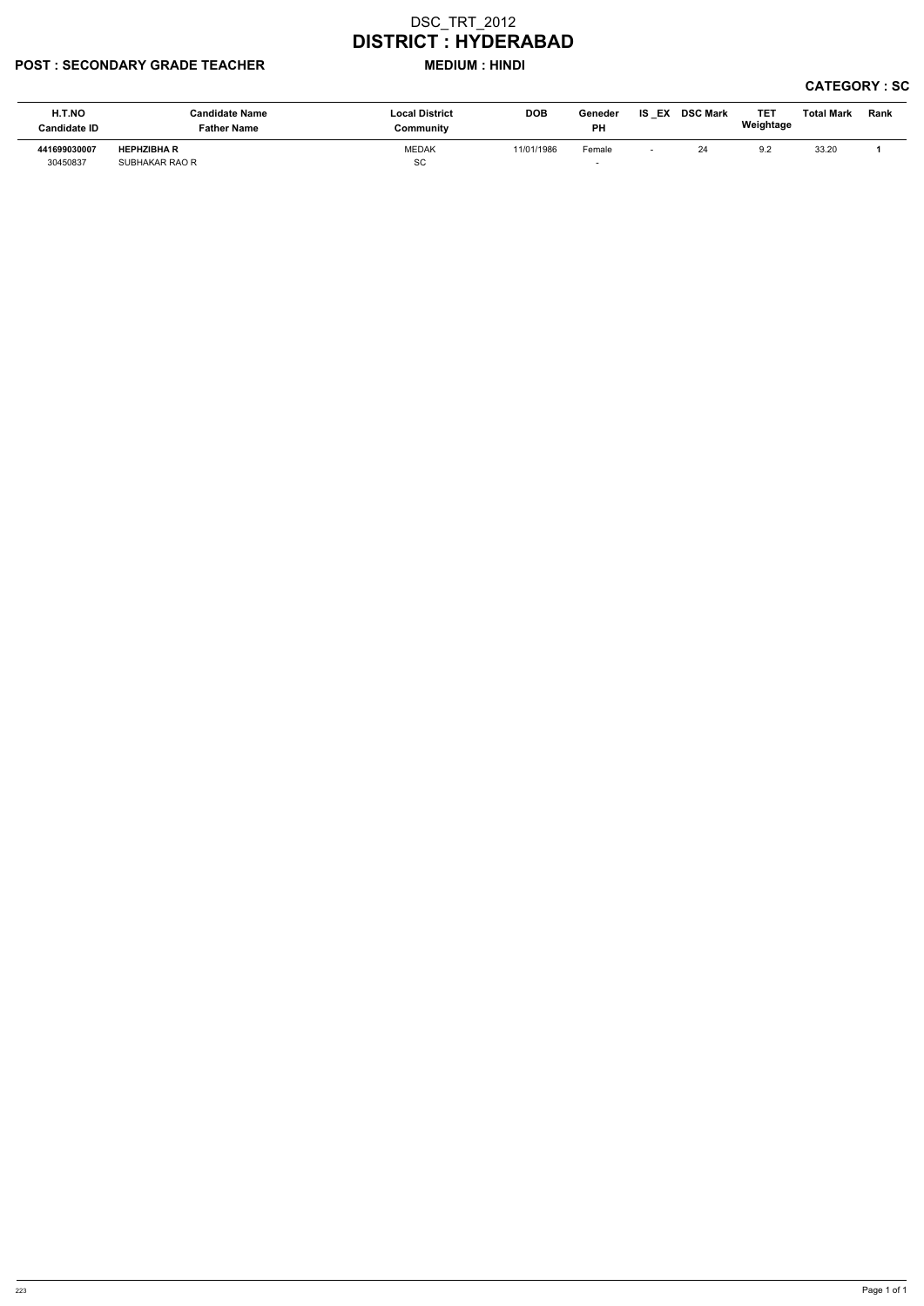### POST : SECONDARY GRADE TEACHER MEDIUM : HINDI

| H.T.NO<br><b>Candidate ID</b> | <b>Candidate Name</b><br><b>Father Name</b> | <b>Local District</b><br>Community | <b>DOB</b> | Geneder<br><b>PH</b> | IS.<br>EX | <b>DSC Mark</b> | TE <sub>1</sub><br>Weightage | <b>Total Mark</b> | Rank |
|-------------------------------|---------------------------------------------|------------------------------------|------------|----------------------|-----------|-----------------|------------------------------|-------------------|------|
| 441699030007<br>30450837      | <b>HEPHZIBHA R</b><br>SUBHAKAR RAO R        | <b>MEDAK</b><br>SC                 | 11/01/1986 | Female               |           | 24              | 9.2                          | 33.20             |      |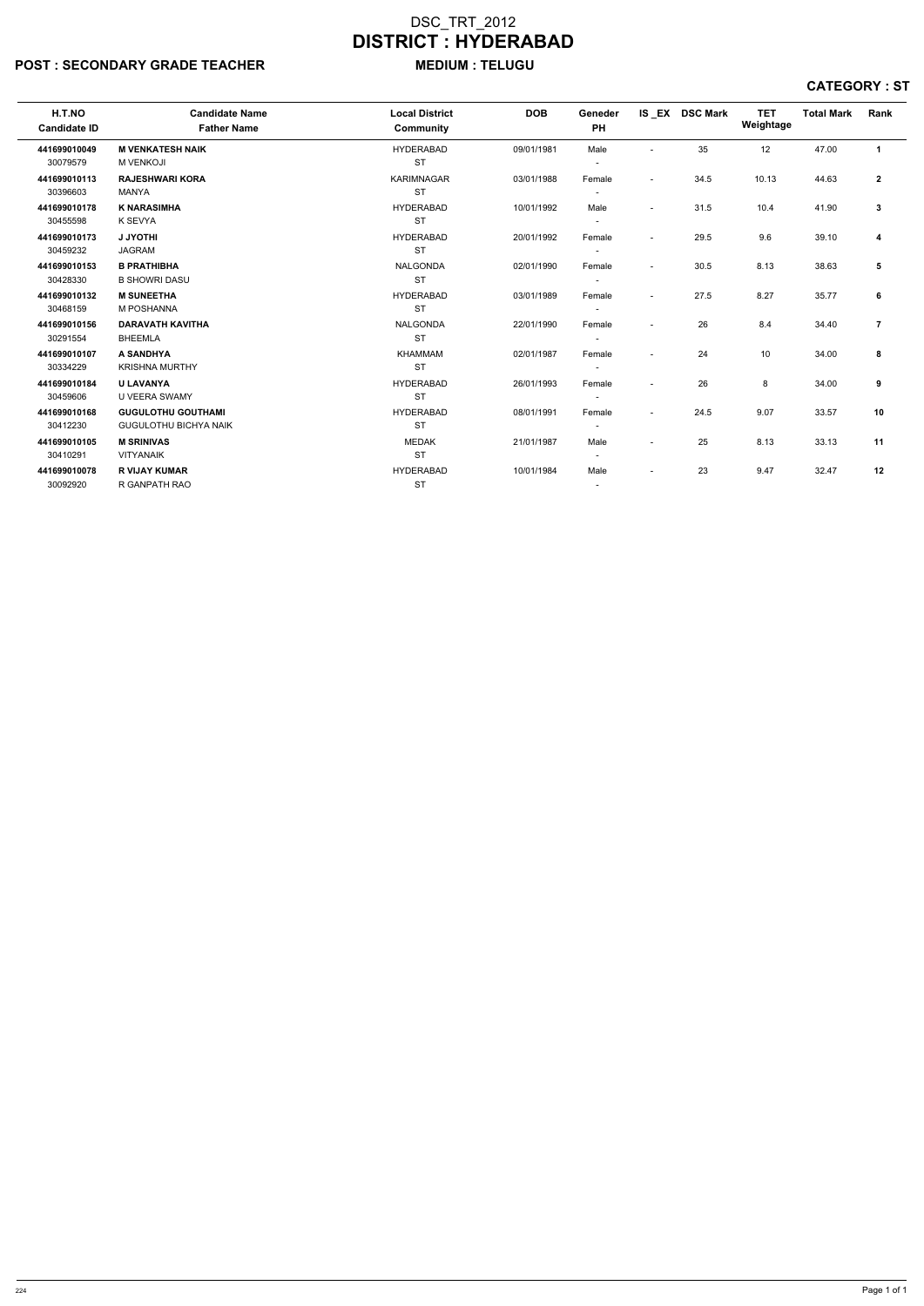# POST : SECONDARY GRADE TEACHER MEDIUM : TELUGU

| H.T.NO<br><b>Candidate ID</b> | <b>Candidate Name</b><br><b>Father Name</b> | <b>Local District</b><br>Community | <b>DOB</b> | Geneder<br>PH            |                          | IS EX DSC Mark | <b>TET</b><br>Weightage | <b>Total Mark</b> | Rank           |  |
|-------------------------------|---------------------------------------------|------------------------------------|------------|--------------------------|--------------------------|----------------|-------------------------|-------------------|----------------|--|
| 441699010049                  | <b>M VENKATESH NAIK</b>                     | <b>HYDERABAD</b>                   | 09/01/1981 | Male                     | $\blacksquare$           | 35             | 12                      | 47.00             | $\mathbf{1}$   |  |
| 30079579                      | <b>M VENKOJI</b>                            | <b>ST</b>                          |            | $\overline{\phantom{a}}$ |                          |                |                         |                   |                |  |
| 441699010113                  | <b>RAJESHWARI KORA</b>                      | <b>KARIMNAGAR</b>                  | 03/01/1988 | Female                   | $\blacksquare$           | 34.5           | 10.13                   | 44.63             | $\mathbf{2}$   |  |
| 30396603                      | MANYA                                       | <b>ST</b>                          |            | $\overline{\phantom{a}}$ |                          |                |                         |                   |                |  |
| 441699010178                  | <b>K NARASIMHA</b>                          | <b>HYDERABAD</b>                   | 10/01/1992 | Male                     | $\blacksquare$           | 31.5           | 10.4                    | 41.90             | $\mathbf{3}$   |  |
| 30455598                      | K SEVYA                                     | <b>ST</b>                          |            | $\overline{\phantom{a}}$ |                          |                |                         |                   |                |  |
| 441699010173                  | <b>J JYOTHI</b>                             | <b>HYDERABAD</b>                   | 20/01/1992 | Female                   | $\blacksquare$           | 29.5           | 9.6                     | 39.10             | $\overline{4}$ |  |
| 30459232                      | <b>JAGRAM</b>                               | <b>ST</b>                          |            |                          |                          |                |                         |                   |                |  |
| 441699010153                  | <b>B PRATHIBHA</b>                          | <b>NALGONDA</b>                    | 02/01/1990 | Female                   | $\blacksquare$           | 30.5           | 8.13                    | 38.63             | 5              |  |
| 30428330                      | <b>B SHOWRI DASU</b>                        | <b>ST</b>                          |            |                          |                          |                |                         |                   |                |  |
| 441699010132                  | <b>M SUNEETHA</b>                           | <b>HYDERABAD</b>                   | 03/01/1989 | Female                   | $\blacksquare$           | 27.5           | 8.27                    | 35.77             | 6              |  |
| 30468159                      | <b>M POSHANNA</b>                           | <b>ST</b>                          |            | $\overline{\phantom{a}}$ |                          |                |                         |                   |                |  |
| 441699010156                  | <b>DARAVATH KAVITHA</b>                     | <b>NALGONDA</b>                    | 22/01/1990 | Female                   | $\blacksquare$           | 26             | 8.4                     | 34.40             | $\overline{7}$ |  |
| 30291554                      | <b>BHEEMLA</b>                              | <b>ST</b>                          |            | $\overline{\phantom{a}}$ |                          |                |                         |                   |                |  |
| 441699010107                  | A SANDHYA                                   | <b>KHAMMAM</b>                     | 02/01/1987 | Female                   | $\blacksquare$           | 24             | 10                      | 34.00             | 8              |  |
| 30334229                      | <b>KRISHNA MURTHY</b>                       | <b>ST</b>                          |            |                          |                          |                |                         |                   |                |  |
| 441699010184                  | <b>U LAVANYA</b>                            | <b>HYDERABAD</b>                   | 26/01/1993 | Female                   | $\overline{\phantom{a}}$ | 26             | 8                       | 34.00             | 9              |  |
| 30459606                      | U VEERA SWAMY                               | <b>ST</b>                          |            |                          |                          |                |                         |                   |                |  |
| 441699010168                  | <b>GUGULOTHU GOUTHAMI</b>                   | <b>HYDERABAD</b>                   | 08/01/1991 | Female                   | $\blacksquare$           | 24.5           | 9.07                    | 33.57             | 10             |  |
| 30412230                      | <b>GUGULOTHU BICHYA NAIK</b>                | <b>ST</b>                          |            | $\overline{\phantom{a}}$ |                          |                |                         |                   |                |  |
| 441699010105                  | <b>M SRINIVAS</b>                           | <b>MEDAK</b>                       | 21/01/1987 | Male                     | $\blacksquare$           | 25             | 8.13                    | 33.13             | 11             |  |
| 30410291                      | <b>VITYANAIK</b>                            | <b>ST</b>                          |            | $\overline{\phantom{a}}$ |                          |                |                         |                   |                |  |
| 441699010078                  | <b>R VIJAY KUMAR</b>                        | <b>HYDERABAD</b>                   | 10/01/1984 | Male                     | $\blacksquare$           | 23             | 9.47                    | 32.47             | 12             |  |
| 30092920                      | R GANPATH RAO                               | <b>ST</b>                          |            | $\overline{\phantom{a}}$ |                          |                |                         |                   |                |  |
|                               |                                             |                                    |            |                          |                          |                |                         |                   |                |  |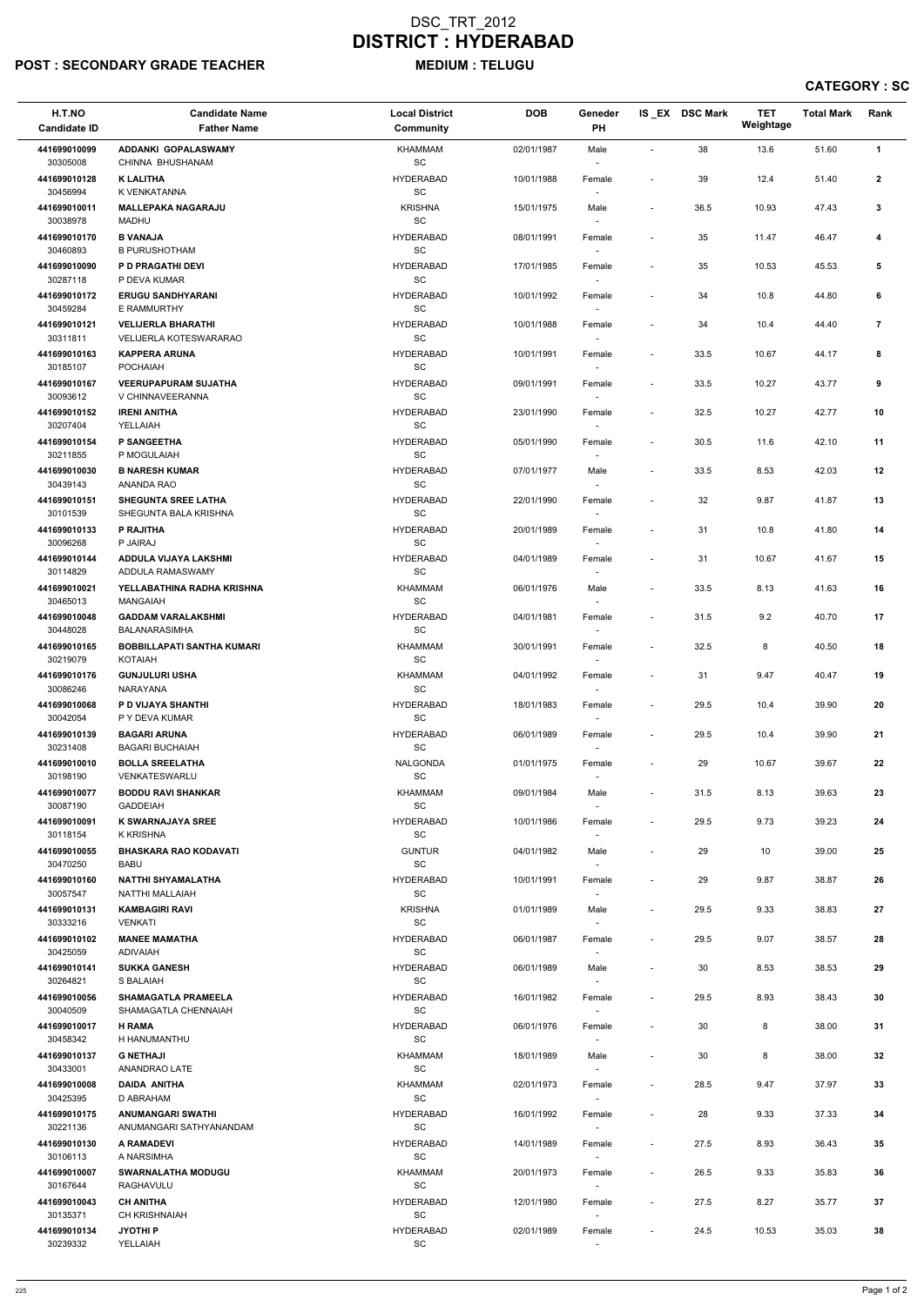# POST : SECONDARY GRADE TEACHER MEDIUM : TELUGU

| H.T.NO<br><b>Candidate ID</b> | <b>Candidate Name</b><br><b>Father Name</b>                | <b>Local District</b><br>Community               | <b>DOB</b> | Geneder<br>PH                      |                              | IS_EX DSC Mark | <b>TET</b><br>Weightage | <b>Total Mark</b> | Rank            |
|-------------------------------|------------------------------------------------------------|--------------------------------------------------|------------|------------------------------------|------------------------------|----------------|-------------------------|-------------------|-----------------|
| 441699010099                  | <b>ADDANKI GOPALASWAMY</b>                                 | <b>KHAMMAM</b>                                   | 02/01/1987 | Male                               | L,                           | 38             | 13.6                    | 51.60             | $\mathbf{1}$    |
| 30305008                      | CHINNA BHUSHANAM                                           | $\operatorname{\textsf{SC}}$                     |            | $\sim$                             |                              |                |                         |                   |                 |
| 441699010128<br>30456994      | <b>K LALITHA</b><br>K VENKATANNA                           | <b>HYDERABAD</b><br>$\operatorname{\textsf{SC}}$ | 10/01/1988 | Female                             | $\overline{\phantom{a}}$     | 39             | 12.4                    | 51.40             | $\mathbf{2}$    |
| 441699010011<br>30038978      | <b>MALLEPAKA NAGARAJU</b><br>MADHU                         | <b>KRISHNA</b><br>SC                             | 15/01/1975 | Male<br>$\overline{\phantom{a}}$   | $\overline{\phantom{a}}$     | 36.5           | 10.93                   | 47.43             | 3               |
| 441699010170<br>30460893      | <b>B VANAJA</b><br><b>B PURUSHOTHAM</b>                    | <b>HYDERABAD</b><br>SC                           | 08/01/1991 | Female<br>$\overline{\phantom{a}}$ | $\overline{\phantom{a}}$     | 35             | 11.47                   | 46.47             | 4               |
| 441699010090                  | P D PRAGATHI DEVI                                          | <b>HYDERABAD</b>                                 | 17/01/1985 | Female                             | $\overline{\phantom{a}}$     | 35             | 10.53                   | 45.53             | 5               |
| 30287118                      | P DEVA KUMAR                                               | SC                                               |            | $\overline{\phantom{a}}$           |                              |                |                         |                   |                 |
| 441699010172<br>30459284      | <b>ERUGU SANDHYARANI</b><br>E RAMMURTHY                    | <b>HYDERABAD</b><br>SC                           | 10/01/1992 | Female                             | $\qquad \qquad \blacksquare$ | 34             | 10.8                    | 44.80             | 6               |
| 441699010121<br>30311811      | <b>VELIJERLA BHARATHI</b><br><b>VELIJERLA KOTESWARARAO</b> | <b>HYDERABAD</b><br>SC                           | 10/01/1988 | Female                             | $\overline{\phantom{a}}$     | 34             | 10.4                    | 44.40             | $\overline{7}$  |
| 441699010163<br>30185107      | <b>KAPPERA ARUNA</b><br><b>POCHAIAH</b>                    | <b>HYDERABAD</b><br>SC                           | 10/01/1991 | Female<br>$\sim$                   | $\blacksquare$               | 33.5           | 10.67                   | 44.17             | 8               |
| 441699010167<br>30093612      | <b>VEERUPAPURAM SUJATHA</b><br>V CHINNAVEERANNA            | <b>HYDERABAD</b><br>SC                           | 09/01/1991 | Female<br>$\sim$                   | $\blacksquare$               | 33.5           | 10.27                   | 43.77             | 9               |
| 441699010152                  | <b>IRENI ANITHA</b>                                        | <b>HYDERABAD</b>                                 | 23/01/1990 | Female                             | $\overline{\phantom{a}}$     | 32.5           | 10.27                   | 42.77             | 10              |
| 30207404<br>441699010154      | YELLAIAH<br>P SANGEETHA                                    | <b>SC</b><br><b>HYDERABAD</b>                    | 05/01/1990 | $\sim$                             | $\overline{\phantom{a}}$     | 30.5           | 11.6                    | 42.10             | 11              |
| 30211855                      | P MOGULAIAH                                                | SC                                               |            | Female                             |                              |                |                         |                   |                 |
| 441699010030                  | <b>B NARESH KUMAR</b>                                      | <b>HYDERABAD</b>                                 | 07/01/1977 | Male                               | $\overline{\phantom{a}}$     | 33.5           | 8.53                    | 42.03             | 12              |
| 30439143<br>441699010151      | ANANDA RAO<br><b>SHEGUNTA SREE LATHA</b>                   | SC<br><b>HYDERABAD</b>                           | 22/01/1990 | $\overline{\phantom{a}}$<br>Female | $\overline{\phantom{a}}$     | 32             | 9.87                    | 41.87             | 13              |
| 30101539                      | SHEGUNTA BALA KRISHNA                                      | SC                                               |            | $\sim$                             |                              |                |                         |                   |                 |
| 441699010133<br>30096268      | P RAJITHA<br>P JAIRAJ                                      | <b>HYDERABAD</b><br>SC                           | 20/01/1989 | Female<br>$\overline{\phantom{a}}$ | $\overline{\phantom{a}}$     | 31             | 10.8                    | 41.80             | 14              |
| 441699010144<br>30114829      | ADDULA VIJAYA LAKSHMI<br>ADDULA RAMASWAMY                  | <b>HYDERABAD</b><br>$\operatorname{\textsf{SC}}$ | 04/01/1989 | Female                             | $\overline{\phantom{a}}$     | 31             | 10.67                   | 41.67             | 15              |
| 441699010021<br>30465013      | YELLABATHINA RADHA KRISHNA<br>MANGAIAH                     | KHAMMAM<br>SС                                    | 06/01/1976 | Male<br>$\sim$                     | $\overline{\phantom{a}}$     | 33.5           | 8.13                    | 41.63             | 16              |
| 441699010048<br>30448028      | <b>GADDAM VARALAKSHMI</b><br><b>BALANARASIMHA</b>          | <b>HYDERABAD</b><br>SC                           | 04/01/1981 | Female<br>$\sim$                   | $\overline{\phantom{a}}$     | 31.5           | 9.2                     | 40.70             | 17              |
| 441699010165<br>30219079      | <b>BOBBILLAPATI SANTHA KUMARI</b><br>KOTAIAH               | <b>KHAMMAM</b><br>SC                             | 30/01/1991 | Female                             | $\overline{\phantom{a}}$     | 32.5           | 8                       | 40.50             | 18              |
| 441699010176<br>30086246      | <b>GUNJULURI USHA</b><br><b>NARAYANA</b>                   | <b>KHAMMAM</b><br>SC                             | 04/01/1992 | Female                             | $\overline{\phantom{a}}$     | 31             | 9.47                    | 40.47             | 19              |
| 441699010068<br>30042054      | P D VIJAYA SHANTHI<br>P Y DEVA KUMAR                       | <b>HYDERABAD</b><br>SC                           | 18/01/1983 | Female<br>$\overline{\phantom{a}}$ | $\overline{\phantom{a}}$     | 29.5           | 10.4                    | 39.90             | 20              |
| 441699010139<br>30231408      | <b>BAGARI ARUNA</b><br><b>BAGARI BUCHAIAH</b>              | <b>HYDERABAD</b><br><b>SC</b>                    | 06/01/1989 | Female                             | $\overline{\phantom{a}}$     | 29.5           | 10.4                    | 39.90             | 21              |
| 441699010010                  | <b>BOLLA SREELATHA</b>                                     | NALGONDA                                         | 01/01/1975 | $\sim$<br>Female                   | $\overline{\phantom{a}}$     | 29             | 10.67                   | 39.67             | 22              |
| 30198190<br>441699010077      | VENKATESWARLU<br><b>BODDU RAVI SHANKAR</b>                 | SC<br><b>KHAMMAM</b>                             | 09/01/1984 | Male                               | $\overline{\phantom{a}}$     | 31.5           | 8.13                    | 39.63             | 23              |
| 30087190                      | <b>GADDEIAH</b>                                            | <b>SC</b>                                        |            |                                    |                              |                |                         |                   |                 |
| 441699010091<br>30118154      | <b>K SWARNAJAYA SREE</b><br>K KRISHNA                      | <b>HYDERABAD</b><br><b>SC</b>                    | 10/01/1986 | Female<br>$\sim$                   | $\overline{\phantom{a}}$     | 29.5           | 9.73                    | 39.23             | 24              |
| 441699010055<br>30470250      | <b>BHASKARA RAO KODAVATI</b><br>BABU                       | <b>GUNTUR</b><br><b>SC</b>                       | 04/01/1982 | Male<br>$\sim$                     | $\overline{\phantom{a}}$     | 29             | 10                      | 39.00             | 25              |
| 441699010160<br>30057547      | <b>NATTHI SHYAMALATHA</b><br>NATTHI MALLAIAH               | <b>HYDERABAD</b><br>SC                           | 10/01/1991 | Female<br>$\sim$                   | $\overline{\phantom{a}}$     | 29             | 9.87                    | 38.87             | 26              |
| 441699010131<br>30333216      | <b>KAMBAGIRI RAVI</b><br><b>VENKATI</b>                    | <b>KRISHNA</b><br>$\operatorname{\textsf{SC}}$   | 01/01/1989 | Male                               | $\overline{\phantom{a}}$     | 29.5           | 9.33                    | 38.83             | 27              |
| 441699010102<br>30425059      | <b>MANEE MAMATHA</b><br><b>ADIVAIAH</b>                    | <b>HYDERABAD</b><br><b>SC</b>                    | 06/01/1987 | Female                             | $\overline{\phantom{a}}$     | 29.5           | 9.07                    | 38.57             | 28              |
| 441699010141<br>30264821      | <b>SUKKA GANESH</b><br>S BALAIAH                           | <b>HYDERABAD</b><br>SC                           | 06/01/1989 | Male<br>$\overline{\phantom{a}}$   | $\qquad \qquad \blacksquare$ | 30             | 8.53                    | 38.53             | 29              |
| 441699010056                  | <b>SHAMAGATLA PRAMEELA</b>                                 | <b>HYDERABAD</b>                                 | 16/01/1982 | Female                             | $\overline{\phantom{a}}$     | 29.5           | 8.93                    | 38.43             | 30              |
| 30040509<br>441699010017      | SHAMAGATLA CHENNAIAH<br><b>H RAMA</b>                      | <b>SC</b><br><b>HYDERABAD</b>                    | 06/01/1976 | $\sim$<br>Female                   | $\overline{\phantom{a}}$     | 30             | 8                       | 38.00             | 31              |
| 30458342                      | H HANUMANTHU                                               | SC                                               |            |                                    |                              |                |                         |                   |                 |
| 441699010137<br>30433001      | <b>G NETHAJI</b><br>ANANDRAO LATE                          | KHAMMAM<br>SC                                    | 18/01/1989 | Male                               | $\overline{\phantom{a}}$     | 30             | 8                       | 38.00             | 32              |
| 441699010008                  | <b>DAIDA ANITHA</b>                                        | KHAMMAM                                          | 02/01/1973 | Female                             | $\overline{\phantom{a}}$     | 28.5           | 9.47                    | 37.97             | 33              |
| 30425395                      | D ABRAHAM                                                  | SC                                               |            | $\sim$                             |                              |                |                         |                   |                 |
| 441699010175<br>30221136      | <b>ANUMANGARI SWATHI</b><br>ANUMANGARI SATHYANANDAM        | <b>HYDERABAD</b><br>$\operatorname{\textsf{SC}}$ | 16/01/1992 | Female<br>$\overline{\phantom{a}}$ | $\overline{\phantom{a}}$     | 28             | 9.33                    | 37.33             | 34              |
| 441699010130<br>30106113      | A RAMADEVI<br>A NARSIMHA                                   | <b>HYDERABAD</b><br>SC                           | 14/01/1989 | Female<br>$\sim$                   | $\overline{\phantom{a}}$     | 27.5           | 8.93                    | 36.43             | $35\phantom{a}$ |
| 441699010007<br>30167644      | <b>SWARNALATHA MODUGU</b><br>RAGHAVULU                     | KHAMMAM<br>SC                                    | 20/01/1973 | Female<br>$\sim$                   | $\overline{\phantom{a}}$     | 26.5           | 9.33                    | 35.83             | 36              |
| 441699010043<br>30135371      | <b>CH ANITHA</b><br><b>CH KRISHNAIAH</b>                   | <b>HYDERABAD</b><br><b>SC</b>                    | 12/01/1980 | Female<br>$\sim$                   | $\overline{\phantom{a}}$     | 27.5           | 8.27                    | 35.77             | 37              |
| 441699010134                  | <b>JYOTHIP</b>                                             | <b>HYDERABAD</b>                                 | 02/01/1989 | Female                             | $\overline{\phantom{a}}$     | 24.5           | 10.53                   | 35.03             | 38              |
| 30239332                      | YELLAIAH                                                   | SC                                               |            |                                    |                              |                |                         |                   |                 |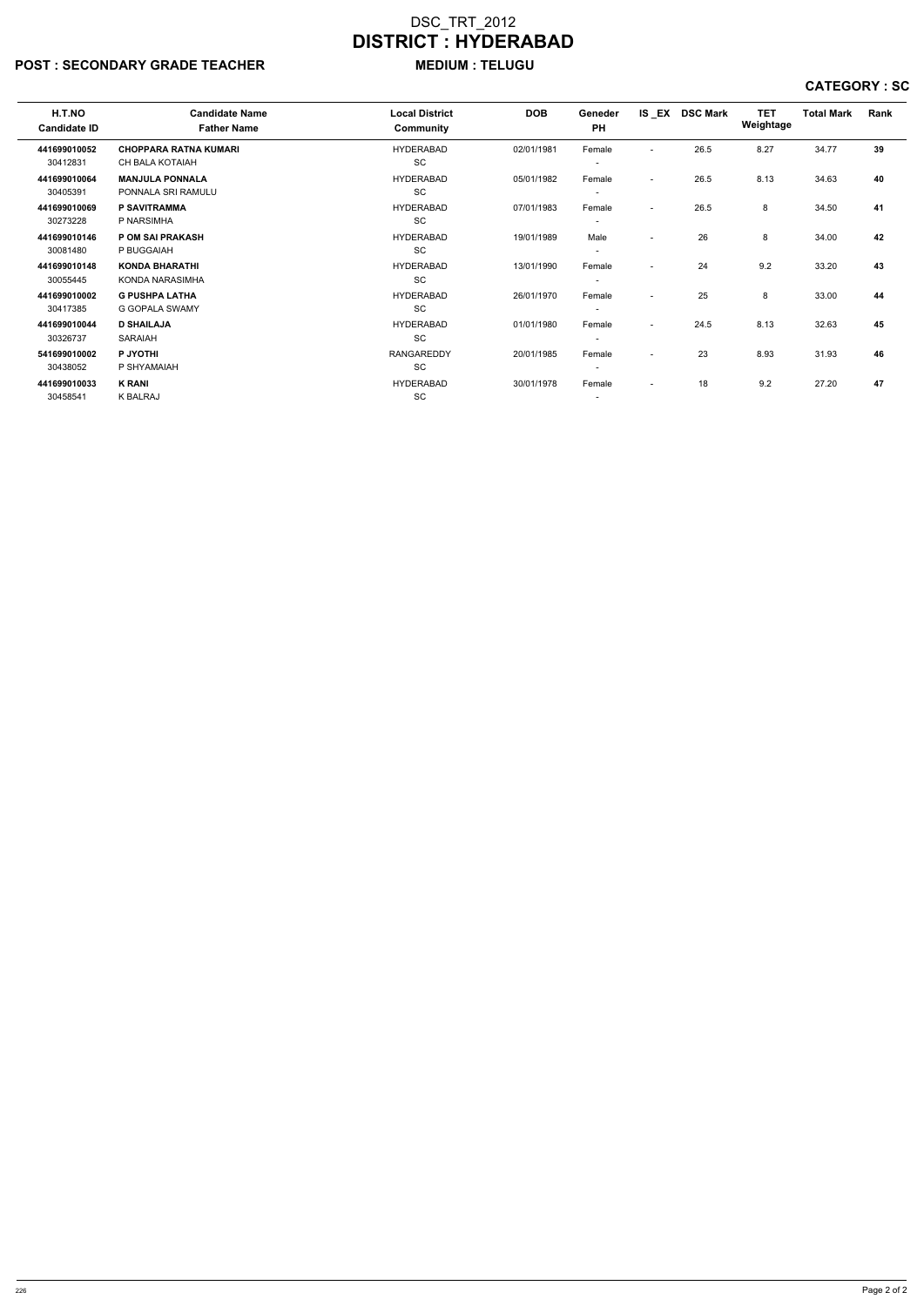## POST : SECONDARY GRADE TEACHER MEDIUM : TELUGU

| H.T.NO<br><b>Candidate ID</b> | <b>Candidate Name</b><br><b>Father Name</b> | <b>Local District</b><br>Community | <b>DOB</b> | Geneder<br><b>PH</b>     |                          | IS EX DSC Mark | <b>TET</b><br>Weightage | <b>Total Mark</b> | Rank |
|-------------------------------|---------------------------------------------|------------------------------------|------------|--------------------------|--------------------------|----------------|-------------------------|-------------------|------|
| 441699010052                  | <b>CHOPPARA RATNA KUMARI</b>                | <b>HYDERABAD</b>                   | 02/01/1981 | Female                   | $\overline{\phantom{a}}$ | 26.5           | 8.27                    | 34.77             | 39   |
| 30412831                      | CH BALA KOTAIAH                             | SC                                 |            | $\overline{\phantom{a}}$ |                          |                |                         |                   |      |
| 441699010064                  | <b>MANJULA PONNALA</b>                      | <b>HYDERABAD</b>                   | 05/01/1982 | Female                   | $\sim$                   | 26.5           | 8.13                    | 34.63             | 40   |
| 30405391                      | PONNALA SRI RAMULU                          | SC                                 |            | $\overline{\phantom{a}}$ |                          |                |                         |                   |      |
| 441699010069                  | <b>P SAVITRAMMA</b>                         | <b>HYDERABAD</b>                   | 07/01/1983 | Female                   | $\overline{\phantom{a}}$ | 26.5           | 8                       | 34.50             | 41   |
| 30273228                      | P NARSIMHA                                  | <b>SC</b>                          |            | $\overline{\phantom{a}}$ |                          |                |                         |                   |      |
| 441699010146                  | <b>POM SAI PRAKASH</b>                      | <b>HYDERABAD</b>                   | 19/01/1989 | Male                     | $\overline{\phantom{a}}$ | 26             | 8                       | 34.00             | 42   |
| 30081480                      | P BUGGAIAH                                  | SC                                 |            | $\overline{\phantom{a}}$ |                          |                |                         |                   |      |
| 441699010148                  | <b>KONDA BHARATHI</b>                       | <b>HYDERABAD</b>                   | 13/01/1990 | Female                   | $\overline{\phantom{0}}$ | 24             | 9.2                     | 33.20             | 43   |
| 30055445                      | KONDA NARASIMHA                             | <b>SC</b>                          |            | $\overline{\phantom{a}}$ |                          |                |                         |                   |      |
| 441699010002                  | <b>G PUSHPA LATHA</b>                       | <b>HYDERABAD</b>                   | 26/01/1970 | Female                   | $\overline{\phantom{0}}$ | 25             | 8                       | 33.00             | 44   |
| 30417385                      | <b>G GOPALA SWAMY</b>                       | SC                                 |            | $\overline{\phantom{a}}$ |                          |                |                         |                   |      |
| 441699010044                  | <b>D SHAILAJA</b>                           | <b>HYDERABAD</b>                   | 01/01/1980 | Female                   | $\overline{\phantom{0}}$ | 24.5           | 8.13                    | 32.63             | 45   |
| 30326737                      | <b>SARAIAH</b>                              | <b>SC</b>                          |            | $\overline{\phantom{a}}$ |                          |                |                         |                   |      |
| 541699010002                  | P JYOTHI                                    | <b>RANGAREDDY</b>                  | 20/01/1985 | Female                   | $\overline{\phantom{0}}$ | 23             | 8.93                    | 31.93             | 46   |
| 30438052                      | P SHYAMAIAH                                 | SC                                 |            | $\overline{\phantom{a}}$ |                          |                |                         |                   |      |
| 441699010033                  | <b>K RANI</b>                               | <b>HYDERABAD</b>                   | 30/01/1978 | Female                   | $\overline{\phantom{a}}$ | 18             | 9.2                     | 27.20             | 47   |
| 30458541                      | K BALRAJ                                    | <b>SC</b>                          |            | $\overline{\phantom{a}}$ |                          |                |                         |                   |      |
|                               |                                             |                                    |            |                          |                          |                |                         |                   |      |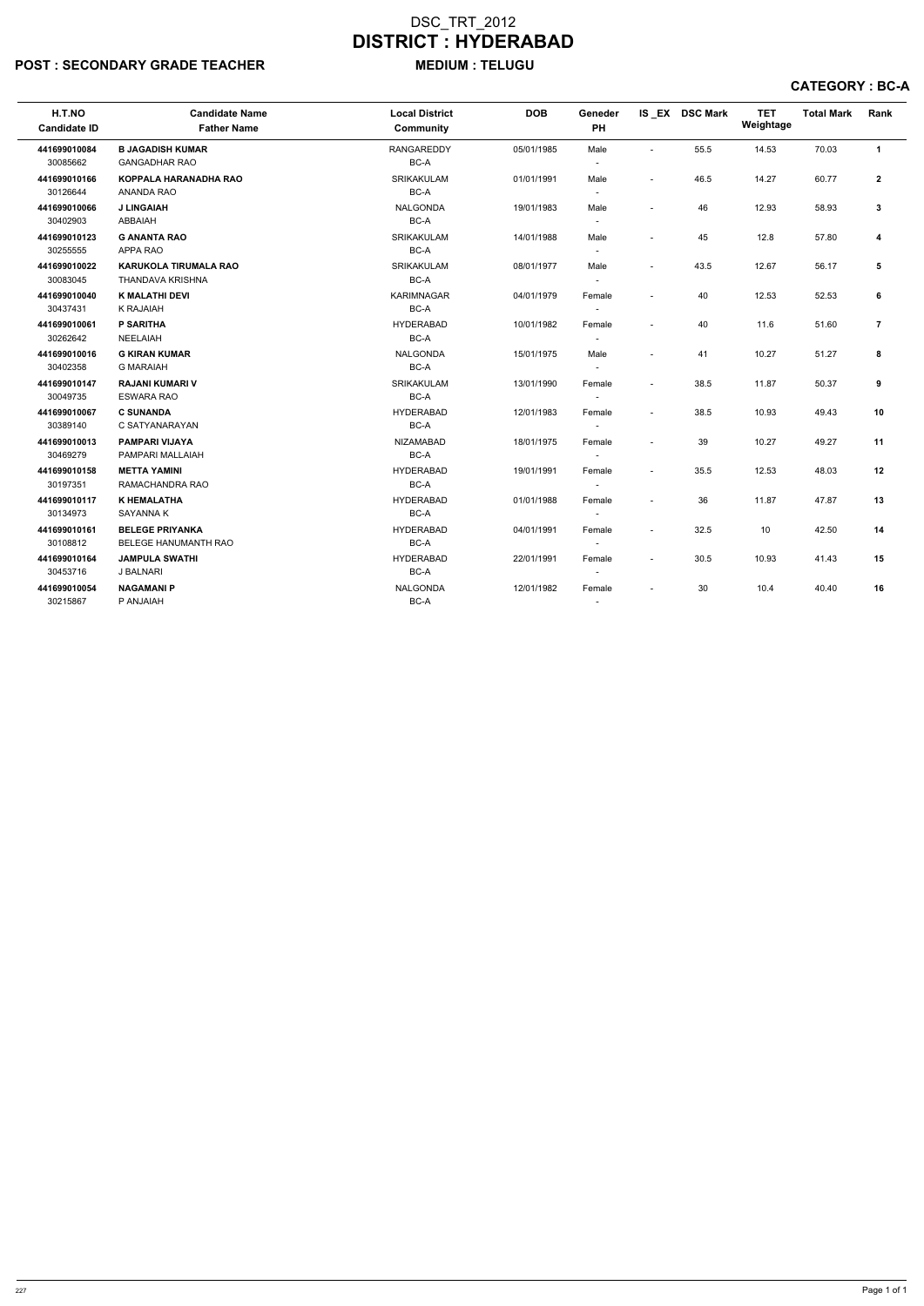# POST : SECONDARY GRADE TEACHER MEDIUM : TELUGU

| H.T.NO<br><b>Candidate ID</b> | <b>Candidate Name</b><br><b>Father Name</b>      | <b>Local District</b><br><b>Community</b> | <b>DOB</b> | Geneder<br>PH                      |                          | IS_EX DSC Mark | <b>TET</b><br>Weightage | <b>Total Mark</b> | Rank             |
|-------------------------------|--------------------------------------------------|-------------------------------------------|------------|------------------------------------|--------------------------|----------------|-------------------------|-------------------|------------------|
| 441699010084                  | <b>B JAGADISH KUMAR</b>                          | <b>RANGAREDDY</b>                         | 05/01/1985 | Male                               | $\sim$                   | 55.5           | 14.53                   | 70.03             | $\mathbf{1}$     |
| 30085662                      | <b>GANGADHAR RAO</b>                             | BC-A                                      |            | $\blacksquare$                     |                          |                |                         |                   |                  |
| 441699010166<br>30126644      | <b>KOPPALA HARANADHA RAO</b><br>ANANDA RAO       | SRIKAKULAM<br>BC-A                        | 01/01/1991 | Male                               | $\overline{\phantom{a}}$ | 46.5           | 14.27                   | 60.77             | $\boldsymbol{2}$ |
| 441699010066<br>30402903      | <b>J LINGAIAH</b><br>ABBAIAH                     | <b>NALGONDA</b><br>BC-A                   | 19/01/1983 | Male<br>$\blacksquare$             | $\overline{\phantom{a}}$ | 46             | 12.93                   | 58.93             | $\mathbf{3}$     |
| 441699010123<br>30255555      | <b>G ANANTA RAO</b><br>APPA RAO                  | SRIKAKULAM<br>BC-A                        | 14/01/1988 | Male<br>$\blacksquare$             | $\overline{a}$           | 45             | 12.8                    | 57.80             | 4                |
| 441699010022<br>30083045      | <b>KARUKOLA TIRUMALA RAO</b><br>THANDAVA KRISHNA | <b>SRIKAKULAM</b><br>BC-A                 | 08/01/1977 | Male<br>$\overline{\phantom{a}}$   | $\sim$                   | 43.5           | 12.67                   | 56.17             | 5                |
| 441699010040<br>30437431      | <b>K MALATHI DEVI</b><br><b>K RAJAIAH</b>        | <b>KARIMNAGAR</b><br>BC-A                 | 04/01/1979 | Female<br>$\sim$                   | $\overline{\phantom{a}}$ | 40             | 12.53                   | 52.53             | 6                |
| 441699010061<br>30262642      | <b>P SARITHA</b><br><b>NEELAIAH</b>              | <b>HYDERABAD</b><br>BC-A                  | 10/01/1982 | Female<br>$\overline{\phantom{a}}$ | $\overline{\phantom{a}}$ | 40             | 11.6                    | 51.60             | $\overline{7}$   |
| 441699010016<br>30402358      | <b>G KIRAN KUMAR</b><br><b>G MARAIAH</b>         | <b>NALGONDA</b><br>BC-A                   | 15/01/1975 | Male                               | $\overline{\phantom{a}}$ | 41             | 10.27                   | 51.27             | 8                |
| 441699010147<br>30049735      | <b>RAJANI KUMARI V</b><br><b>ESWARA RAO</b>      | <b>SRIKAKULAM</b><br>BC-A                 | 13/01/1990 | Female                             | $\tilde{\phantom{a}}$    | 38.5           | 11.87                   | 50.37             | 9                |
| 441699010067<br>30389140      | <b>C SUNANDA</b><br>C SATYANARAYAN               | <b>HYDERABAD</b><br>BC-A                  | 12/01/1983 | Female<br>$\overline{\phantom{a}}$ | $\tilde{\phantom{a}}$    | 38.5           | 10.93                   | 49.43             | 10               |
| 441699010013<br>30469279      | <b>PAMPARI VIJAYA</b><br>PAMPARI MALLAIAH        | NIZAMABAD<br>BC-A                         | 18/01/1975 | Female<br>$\overline{\phantom{a}}$ | ÷,                       | 39             | 10.27                   | 49.27             | 11               |
| 441699010158<br>30197351      | <b>METTA YAMINI</b><br>RAMACHANDRA RAO           | <b>HYDERABAD</b><br>BC-A                  | 19/01/1991 | Female<br>$\sim$                   | $\overline{\phantom{a}}$ | 35.5           | 12.53                   | 48.03             | 12               |
| 441699010117<br>30134973      | <b>K HEMALATHA</b><br>SAYANNA K                  | <b>HYDERABAD</b><br>BC-A                  | 01/01/1988 | Female<br>$\sim$                   | $\overline{\phantom{a}}$ | 36             | 11.87                   | 47.87             | 13               |
| 441699010161<br>30108812      | <b>BELEGE PRIYANKA</b><br>BELEGE HANUMANTH RAO   | <b>HYDERABAD</b><br>BC-A                  | 04/01/1991 | Female                             | $\overline{\phantom{a}}$ | 32.5           | 10                      | 42.50             | 14               |
| 441699010164<br>30453716      | <b>JAMPULA SWATHI</b><br>J BALNARI               | <b>HYDERABAD</b><br>BC-A                  | 22/01/1991 | Female                             | $\overline{\phantom{a}}$ | 30.5           | 10.93                   | 41.43             | 15               |
| 441699010054<br>30215867      | <b>NAGAMANIP</b><br>P ANJAIAH                    | <b>NALGONDA</b><br>BC-A                   | 12/01/1982 | Female                             | $\overline{\phantom{a}}$ | 30             | 10.4                    | 40.40             | 16               |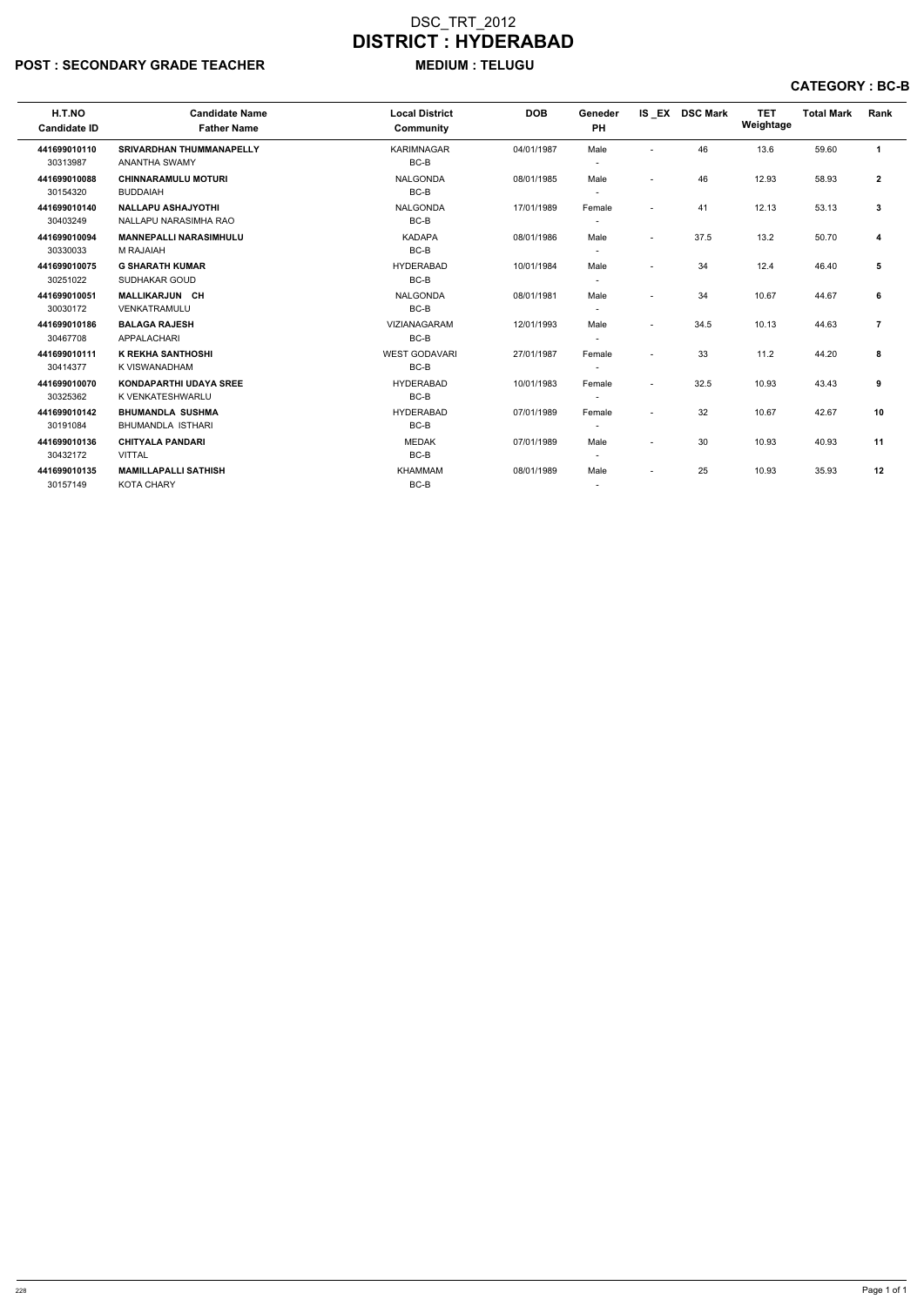# POST : SECONDARY GRADE TEACHER MEDIUM : TELUGU

| H.T.NO<br><b>Candidate ID</b> | <b>Candidate Name</b><br><b>Father Name</b>             | <b>Local District</b><br>Community | <b>DOB</b> | Geneder<br>PH |                          | IS EX DSC Mark | <b>TET</b><br>Weightage | <b>Total Mark</b> | Rank           |
|-------------------------------|---------------------------------------------------------|------------------------------------|------------|---------------|--------------------------|----------------|-------------------------|-------------------|----------------|
| 441699010110<br>30313987      | <b>SRIVARDHAN THUMMANAPELLY</b><br><b>ANANTHA SWAMY</b> | <b>KARIMNAGAR</b><br>BC-B          | 04/01/1987 | Male          |                          | 46             | 13.6                    | 59.60             | $\mathbf{1}$   |
| 441699010088<br>30154320      | <b>CHINNARAMULU MOTURI</b><br><b>BUDDAIAH</b>           | <b>NALGONDA</b><br>BC-B            | 08/01/1985 | Male          | $\overline{\phantom{0}}$ | 46             | 12.93                   | 58.93             | $\mathbf{2}$   |
| 441699010140<br>30403249      | <b>NALLAPU ASHAJYOTHI</b><br>NALLAPU NARASIMHA RAO      | <b>NALGONDA</b><br>BC-B            | 17/01/1989 | Female        | ٠                        | 41             | 12.13                   | 53.13             | $\mathbf{3}$   |
| 441699010094<br>30330033      | <b>MANNEPALLI NARASIMHULU</b><br>M RAJAIAH              | <b>KADAPA</b><br>BC-B              | 08/01/1986 | Male          | $\blacksquare$           | 37.5           | 13.2                    | 50.70             | 4              |
| 441699010075<br>30251022      | <b>G SHARATH KUMAR</b><br>SUDHAKAR GOUD                 | <b>HYDERABAD</b><br>BC-B           | 10/01/1984 | Male          | $\blacksquare$           | 34             | 12.4                    | 46.40             | 5              |
| 441699010051<br>30030172      | <b>MALLIKARJUN CH</b><br>VENKATRAMULU                   | <b>NALGONDA</b><br>BC-B            | 08/01/1981 | Male          |                          | 34             | 10.67                   | 44.67             | 6              |
| 441699010186<br>30467708      | <b>BALAGA RAJESH</b><br><b>APPALACHARI</b>              | VIZIANAGARAM<br>BC-B               | 12/01/1993 | Male          | $\blacksquare$           | 34.5           | 10.13                   | 44.63             | $\overline{7}$ |
| 441699010111<br>30414377      | <b>K REKHA SANTHOSHI</b><br>K VISWANADHAM               | <b>WEST GODAVARI</b><br>BC-B       | 27/01/1987 | Female        | $\blacksquare$           | 33             | 11.2                    | 44.20             | 8              |
| 441699010070<br>30325362      | <b>KONDAPARTHI UDAYA SREE</b><br>K VENKATESHWARLU       | <b>HYDERABAD</b><br>BC-B           | 10/01/1983 | Female        | $\overline{a}$           | 32.5           | 10.93                   | 43.43             | 9              |
| 441699010142<br>30191084      | <b>BHUMANDLA SUSHMA</b><br><b>BHUMANDLA ISTHARI</b>     | <b>HYDERABAD</b><br>BC-B           | 07/01/1989 | Female        |                          | 32             | 10.67                   | 42.67             | 10             |
| 441699010136<br>30432172      | <b>CHITYALA PANDARI</b><br><b>VITTAL</b>                | <b>MEDAK</b><br>BC-B               | 07/01/1989 | Male          | $\overline{a}$           | 30             | 10.93                   | 40.93             | 11             |
| 441699010135<br>30157149      | <b>MAMILLAPALLI SATHISH</b><br><b>KOTA CHARY</b>        | <b>KHAMMAM</b><br>BC-B             | 08/01/1989 | Male          | $\overline{\phantom{a}}$ | 25             | 10.93                   | 35.93             | 12             |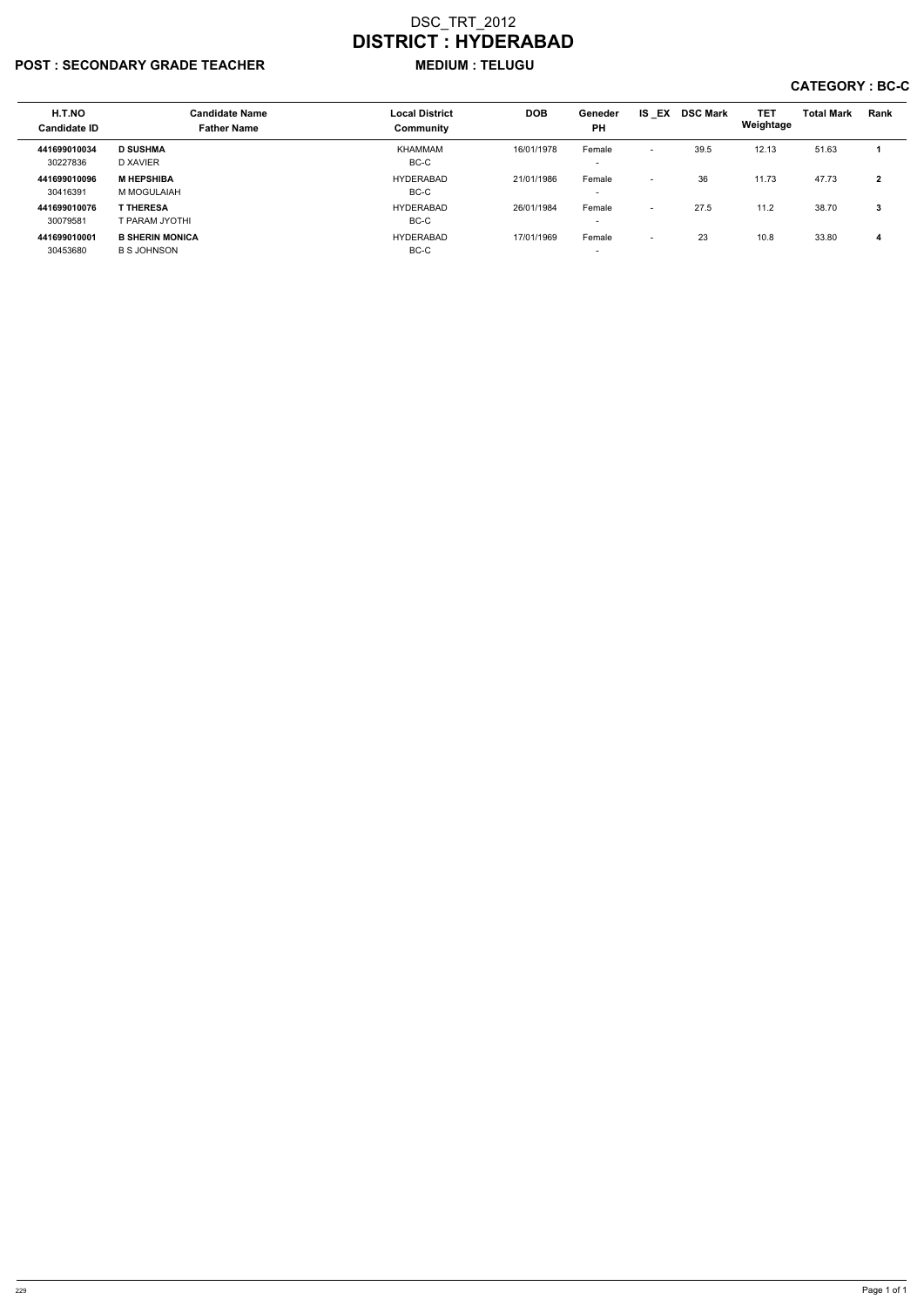## POST : SECONDARY GRADE TEACHER MEDIUM : TELUGU

| H.T.NO<br><b>Candidate ID</b> | <b>Candidate Name</b><br><b>Father Name</b>  | <b>Local District</b><br>Community | <b>DOB</b> | Geneder<br><b>PH</b>               | IS EX                    | <b>DSC Mark</b> | <b>TET</b><br>Weightage | <b>Total Mark</b> | Rank   |
|-------------------------------|----------------------------------------------|------------------------------------|------------|------------------------------------|--------------------------|-----------------|-------------------------|-------------------|--------|
|                               | <b>D SUSHMA</b>                              | KHAMMAM                            | 16/01/1978 |                                    |                          | 39.5            |                         |                   |        |
| 441699010034<br>30227836      | D XAVIER                                     | BC-C                               |            | Female<br>$\overline{\phantom{a}}$ | $\overline{\phantom{0}}$ |                 | 12.13                   | 51.63             |        |
| 441699010096<br>30416391      | <b>M HEPSHIBA</b><br>M MOGULAIAH             | <b>HYDERABAD</b><br>BC-C           | 21/01/1986 | Female<br>$\overline{\phantom{a}}$ | $\overline{\phantom{0}}$ | 36              | 11.73                   | 47.73             | ົ<br>◢ |
| 441699010076<br>30079581      | <b>T THERESA</b><br>T PARAM JYOTHI           | <b>HYDERABAD</b><br>BC-C           | 26/01/1984 | Female<br>$\overline{\phantom{0}}$ | $\overline{\phantom{0}}$ | 27.5            | 11.2                    | 38.70             | 3      |
| 441699010001<br>30453680      | <b>B SHERIN MONICA</b><br><b>B S JOHNSON</b> | <b>HYDERABAD</b><br>BC-C           | 17/01/1969 | Female<br>$\overline{\phantom{a}}$ | $\overline{\phantom{0}}$ | 23              | 10.8                    | 33.80             |        |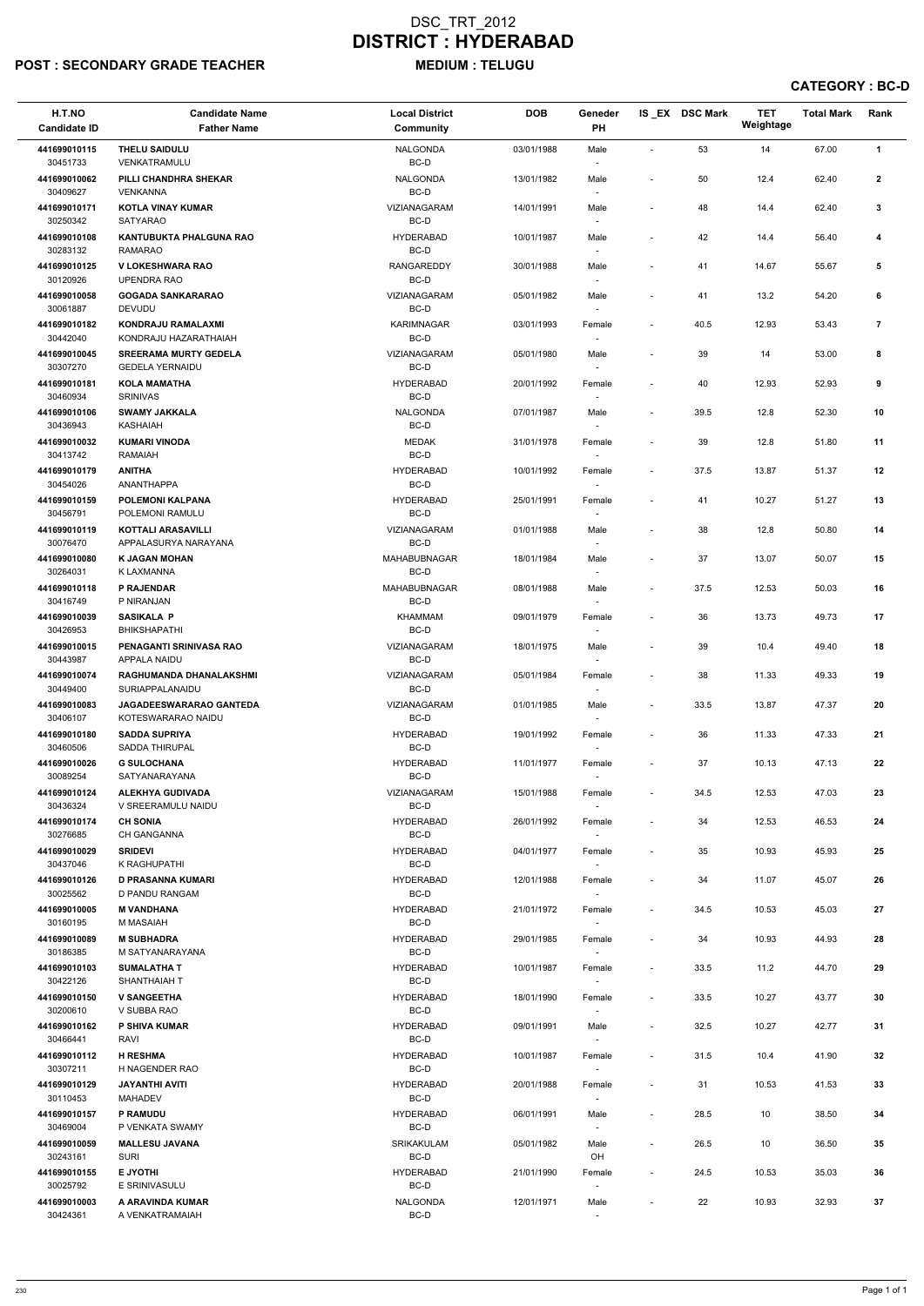# POST : SECONDARY GRADE TEACHER MEDIUM : TELUGU

| H.T.NO<br><b>Candidate ID</b> | <b>Candidate Name</b><br><b>Father Name</b>           | <b>Local District</b><br><b>Community</b> | <b>DOB</b> | Geneder<br>PH                      |                          | IS_EX DSC Mark | <b>TET</b><br>Weightage | <b>Total Mark</b> | Rank           |  |
|-------------------------------|-------------------------------------------------------|-------------------------------------------|------------|------------------------------------|--------------------------|----------------|-------------------------|-------------------|----------------|--|
| 441699010115                  | <b>THELU SAIDULU</b>                                  | <b>NALGONDA</b>                           | 03/01/1988 | Male                               |                          | 53             | 14                      | 67.00             | $\mathbf{1}$   |  |
| 30451733<br>441699010062      | VENKATRAMULU<br>PILLI CHANDHRA SHEKAR                 | BC-D<br><b>NALGONDA</b>                   | 13/01/1982 | $\overline{\phantom{a}}$<br>Male   | $\overline{\phantom{a}}$ | 50             | 12.4                    | 62.40             | $\mathbf{2}$   |  |
| 30409627<br>441699010171      | <b>VENKANNA</b><br>KOTLA VINAY KUMAR                  | BC-D<br>VIZIANAGARAM                      | 14/01/1991 | $\overline{\phantom{a}}$<br>Male   | $\overline{\phantom{a}}$ | 48             | 14.4                    | 62.40             | 3              |  |
| 30250342<br>441699010108      | <b>SATYARAO</b><br><b>KANTUBUKTA PHALGUNA RAO</b>     | BC-D<br><b>HYDERABAD</b>                  | 10/01/1987 | Male                               | $\overline{\phantom{a}}$ | 42             | 14.4                    | 56.40             | 4              |  |
| 30283132<br>441699010125      | <b>RAMARAO</b><br><b>V LOKESHWARA RAO</b>             | BC-D<br><b>RANGAREDDY</b>                 | 30/01/1988 | $\overline{\phantom{a}}$<br>Male   | $\overline{\phantom{a}}$ | 41             | 14.67                   | 55.67             | 5              |  |
| 30120926<br>441699010058      | UPENDRA RAO<br><b>GOGADA SANKARARAO</b>               | BC-D<br>VIZIANAGARAM                      | 05/01/1982 | $\overline{\phantom{a}}$<br>Male   |                          | 41             | 13.2                    | 54.20             | 6              |  |
| 30061887<br>441699010182      | <b>DEVUDU</b><br>KONDRAJU RAMALAXMI                   | BC-D<br><b>KARIMNAGAR</b>                 | 03/01/1993 | $\overline{\phantom{a}}$<br>Female | $\overline{\phantom{a}}$ | 40.5           | 12.93                   | 53.43             | $\overline{7}$ |  |
| 30442040<br>441699010045      | KONDRAJU HAZARATHAIAH<br><b>SREERAMA MURTY GEDELA</b> | BC-D<br>VIZIANAGARAM                      | 05/01/1980 | Male                               |                          | 39             | 14                      | 53.00             | 8              |  |
| 30307270<br>441699010181      | <b>GEDELA YERNAIDU</b><br><b>KOLA MAMATHA</b>         | BC-D<br><b>HYDERABAD</b>                  | 20/01/1992 | $\overline{\phantom{a}}$<br>Female |                          | 40             | 12.93                   | 52.93             | 9              |  |
| 30460934<br>441699010106      | <b>SRINIVAS</b><br><b>SWAMY JAKKALA</b>               | BC-D<br><b>NALGONDA</b>                   | 07/01/1987 | $\overline{\phantom{a}}$<br>Male   | $\overline{\phantom{a}}$ | 39.5           | 12.8                    | 52.30             | 10             |  |
| 30436943<br>441699010032      | KASHAIAH<br><b>KUMARI VINODA</b>                      | BC-D<br><b>MEDAK</b>                      | 31/01/1978 | $\overline{\phantom{a}}$<br>Female |                          | 39             | 12.8                    | 51.80             | 11             |  |
| 30413742<br>441699010179      | <b>RAMAIAH</b><br><b>ANITHA</b>                       | BC-D<br><b>HYDERABAD</b>                  | 10/01/1992 | Female                             | $\overline{\phantom{a}}$ | 37.5           | 13.87                   | 51.37             | 12             |  |
| 30454026<br>441699010159      | ANANTHAPPA<br><b>POLEMONI KALPANA</b>                 | BC-D<br><b>HYDERABAD</b>                  | 25/01/1991 | Female                             |                          | 41             | 10.27                   | 51.27             | 13             |  |
| 30456791<br>441699010119      | POLEMONI RAMULU<br><b>KOTTALI ARASAVILLI</b>          | BC-D<br>VIZIANAGARAM                      | 01/01/1988 | $\overline{\phantom{a}}$<br>Male   | $\overline{\phantom{a}}$ | 38             | 12.8                    | 50.80             | 14             |  |
| 30076470<br>441699010080      | APPALASURYA NARAYANA<br><b>K JAGAN MOHAN</b>          | BC-D<br>MAHABUBNAGAR                      | 18/01/1984 | $\sim$<br>Male                     | $\overline{\phantom{a}}$ | 37             | 13.07                   | 50.07             | 15             |  |
| 30264031<br>441699010118      | K LAXMANNA<br>P RAJENDAR                              | BC-D<br>MAHABUBNAGAR                      | 08/01/1988 | $\overline{\phantom{a}}$<br>Male   |                          | 37.5           | 12.53                   | 50.03             | 16             |  |
| 30416749                      | P NIRANJAN                                            | BC-D                                      |            | $\overline{\phantom{a}}$           |                          |                |                         |                   |                |  |
| 441699010039<br>30426953      | <b>SASIKALA P</b><br>BHIKSHAPATHI                     | KHAMMAM<br>BC-D                           | 09/01/1979 | Female<br>$\sim$                   |                          | 36             | 13.73                   | 49.73             | 17             |  |
| 441699010015<br>30443987      | PENAGANTI SRINIVASA RAO<br><b>APPALA NAIDU</b>        | <b>VIZIANAGARAM</b><br>BC-D               | 18/01/1975 | Male                               |                          | 39             | 10.4                    | 49.40             | 18             |  |
| 441699010074<br>30449400      | RAGHUMANDA DHANALAKSHMI<br>SURIAPPALANAIDU            | VIZIANAGARAM<br>BC-D                      | 05/01/1984 | Female                             | $\overline{\phantom{a}}$ | 38             | 11.33                   | 49.33             | 19             |  |
| 441699010083<br>30406107      | <b>JAGADEESWARARAO GANTEDA</b><br>KOTESWARARAO NAIDU  | <b>VIZIANAGARAM</b><br>BC-D               | 01/01/1985 | Male<br>$\overline{\phantom{a}}$   | $\sim$                   | 33.5           | 13.87                   | 47.37             | 20             |  |
| 441699010180<br>30460506      | <b>SADDA SUPRIYA</b><br>SADDA THIRUPAL                | <b>HYDERABAD</b><br>BC-D                  | 19/01/1992 | Female<br>$\sim$                   | $\overline{\phantom{a}}$ | 36             | 11.33                   | 47.33             | 21             |  |
| 441699010026<br>30089254      | <b>G SULOCHANA</b><br>SATYANARAYANA                   | <b>HYDERABAD</b><br>BC-D                  | 11/01/1977 | Female                             | $\overline{\phantom{a}}$ | 37             | 10.13                   | 47.13             | 22             |  |
| 441699010124<br>30436324      | <b>ALEKHYA GUDIVADA</b><br>V SREERAMULU NAIDU         | VIZIANAGARAM<br>BC-D                      | 15/01/1988 | Female                             | $\sim$                   | 34.5           | 12.53                   | 47.03             | 23             |  |
| 441699010174<br>30276685      | <b>CH SONIA</b><br><b>CH GANGANNA</b>                 | <b>HYDERABAD</b><br>BC-D                  | 26/01/1992 | Female<br>$\sim$                   | $\overline{\phantom{a}}$ | 34             | 12.53                   | 46.53             | 24             |  |
| 441699010029<br>30437046      | <b>SRIDEVI</b><br>K RAGHUPATHI                        | <b>HYDERABAD</b><br>BC-D                  | 04/01/1977 | Female<br>$\overline{\phantom{a}}$ | $\overline{\phantom{a}}$ | 35             | 10.93                   | 45.93             | 25             |  |
| 441699010126<br>30025562      | <b>D PRASANNA KUMARI</b><br>D PANDU RANGAM            | <b>HYDERABAD</b><br>BC-D                  | 12/01/1988 | Female<br>$\sim$                   | $\overline{\phantom{a}}$ | 34             | 11.07                   | 45.07             | 26             |  |
| 441699010005<br>30160195      | <b>M VANDHANA</b><br>M MASAIAH                        | <b>HYDERABAD</b><br>BC-D                  | 21/01/1972 | Female                             | $\overline{\phantom{a}}$ | 34.5           | 10.53                   | 45.03             | 27             |  |
| 441699010089<br>30186385      | <b>M SUBHADRA</b><br>M SATYANARAYANA                  | <b>HYDERABAD</b><br>BC-D                  | 29/01/1985 | Female<br>$\overline{\phantom{a}}$ | $\overline{\phantom{a}}$ | 34             | 10.93                   | 44.93             | 28             |  |
| 441699010103                  | <b>SUMALATHA T</b>                                    | <b>HYDERABAD</b>                          | 10/01/1987 | Female                             | $\sim$                   | 33.5           | 11.2                    | 44.70             | 29             |  |
| 30422126<br>441699010150      | SHANTHAIAH T<br><b>V SANGEETHA</b>                    | BC-D<br><b>HYDERABAD</b>                  | 18/01/1990 | $\sim$<br>Female                   | $\overline{\phantom{a}}$ | 33.5           | 10.27                   | 43.77             | 30             |  |
| 30200610<br>441699010162      | V SUBBA RAO<br><b>P SHIVA KUMAR</b>                   | BC-D<br><b>HYDERABAD</b>                  | 09/01/1991 | $\sim$<br>Male                     | $\sim$                   | 32.5           | 10.27                   | 42.77             | 31             |  |
| 30466441<br>441699010112      | RAVI<br><b>H RESHMA</b>                               | BC-D<br><b>HYDERABAD</b>                  | 10/01/1987 | $\sim$<br>Female                   | $\sim$                   | 31.5           | 10.4                    | 41.90             | 32             |  |
| 30307211<br>441699010129      | H NAGENDER RAO<br><b>JAYANTHI AVITI</b>               | BC-D<br><b>HYDERABAD</b>                  | 20/01/1988 | Female                             | $\sim$                   | 31             | 10.53                   | 41.53             | 33             |  |
| 30110453<br>441699010157      | <b>MAHADEV</b><br>P RAMUDU                            | BC-D<br><b>HYDERABAD</b>                  | 06/01/1991 | $\sim$<br>Male                     | $\overline{\phantom{a}}$ | 28.5           | 10                      | 38.50             | 34             |  |
| 30469004                      | P VENKATA SWAMY                                       | BC-D                                      |            | $\overline{\phantom{a}}$           |                          |                |                         |                   |                |  |
| 441699010059<br>30243161      | <b>MALLESU JAVANA</b><br><b>SURI</b>                  | SRIKAKULAM<br>BC-D                        | 05/01/1982 | Male<br>OH                         | $\overline{\phantom{a}}$ | 26.5           | 10                      | 36.50             | 35             |  |
| 441699010155<br>30025792      | E JYOTHI<br>E SRINIVASULU                             | <b>HYDERABAD</b><br>BC-D                  | 21/01/1990 | Female<br>$\overline{\phantom{a}}$ | $\overline{\phantom{a}}$ | 24.5           | 10.53                   | 35.03             | 36             |  |
| 441699010003<br>30424361      | A ARAVINDA KUMAR<br>A VENKATRAMAIAH                   | <b>NALGONDA</b><br>BC-D                   | 12/01/1971 | Male<br>$\sim$                     | $\overline{\phantom{a}}$ | 22             | 10.93                   | 32.93             | 37             |  |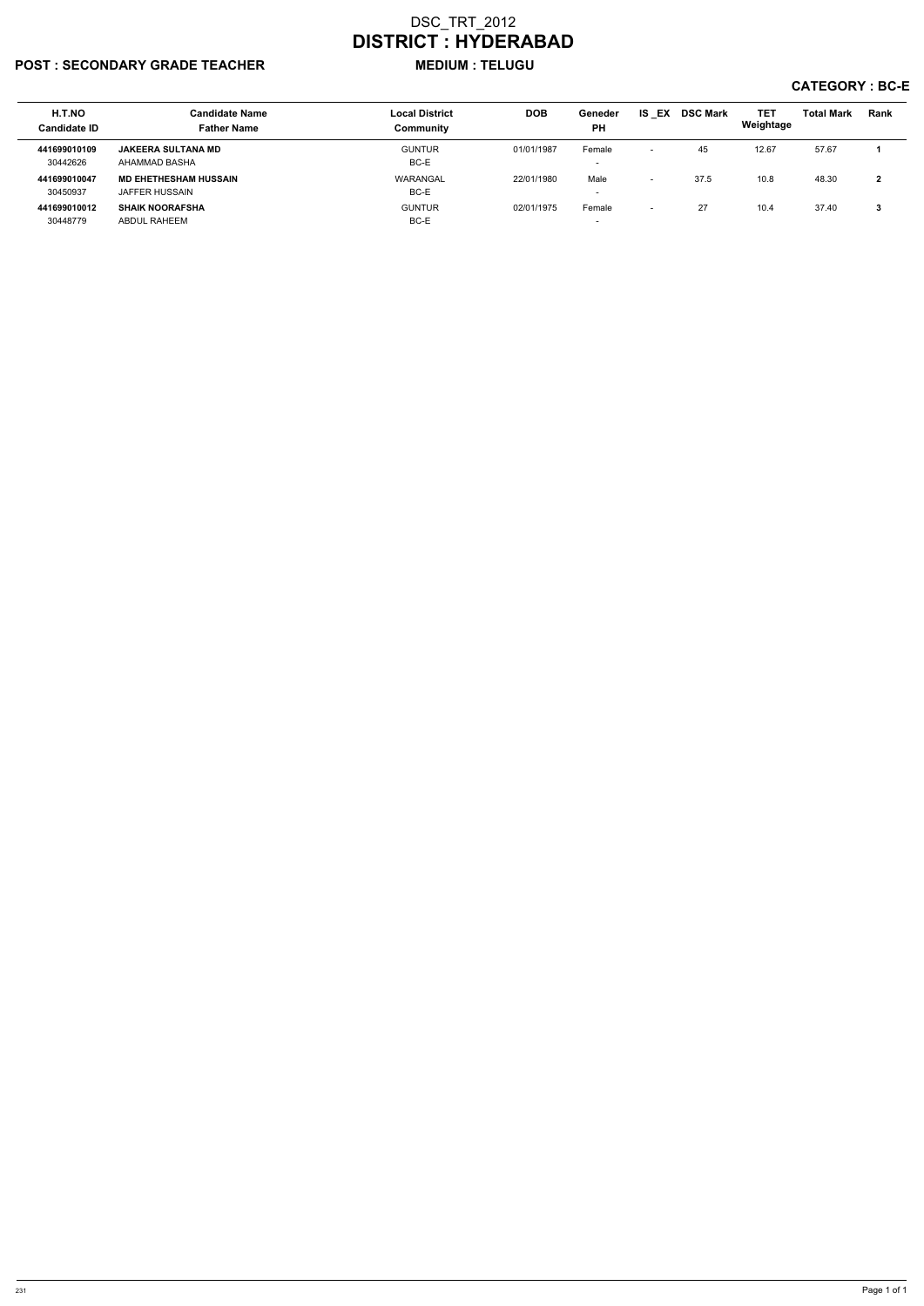# POST : SECONDARY GRADE TEACHER MEDIUM : TELUGU

| H.T.NO<br><b>Candidate ID</b> | <b>Candidate Name</b><br><b>Father Name</b>    | <b>Local District</b><br>Community | <b>DOB</b> | Geneder<br><b>PH</b>               | <b>IS EX</b>             | <b>DSC Mark</b> | <b>TET</b><br>Weightage | <b>Total Mark</b> | <b>Rank</b> |
|-------------------------------|------------------------------------------------|------------------------------------|------------|------------------------------------|--------------------------|-----------------|-------------------------|-------------------|-------------|
| 441699010109<br>30442626      | <b>JAKEERA SULTANA MD</b><br>AHAMMAD BASHA     | <b>GUNTUR</b><br>BC-E              | 01/01/1987 | Female<br>$\overline{\phantom{0}}$ | $\overline{\phantom{0}}$ | 45              | 12.67                   | 57.67             |             |
| 441699010047<br>30450937      | <b>MD EHETHESHAM HUSSAIN</b><br>JAFFER HUSSAIN | WARANGAL<br>BC-E                   | 22/01/1980 | Male<br>$\overline{\phantom{0}}$   | $\overline{\phantom{0}}$ | 37.5            | 10.8                    | 48.30             | ົ           |
| 441699010012<br>30448779      | <b>SHAIK NOORAFSHA</b><br>ABDUL RAHEEM         | <b>GUNTUR</b><br>BC-E              | 02/01/1975 | Female<br>$\overline{\phantom{a}}$ | $\overline{\phantom{a}}$ | 27              | 10.4                    | 37.40             | ∍<br>J.     |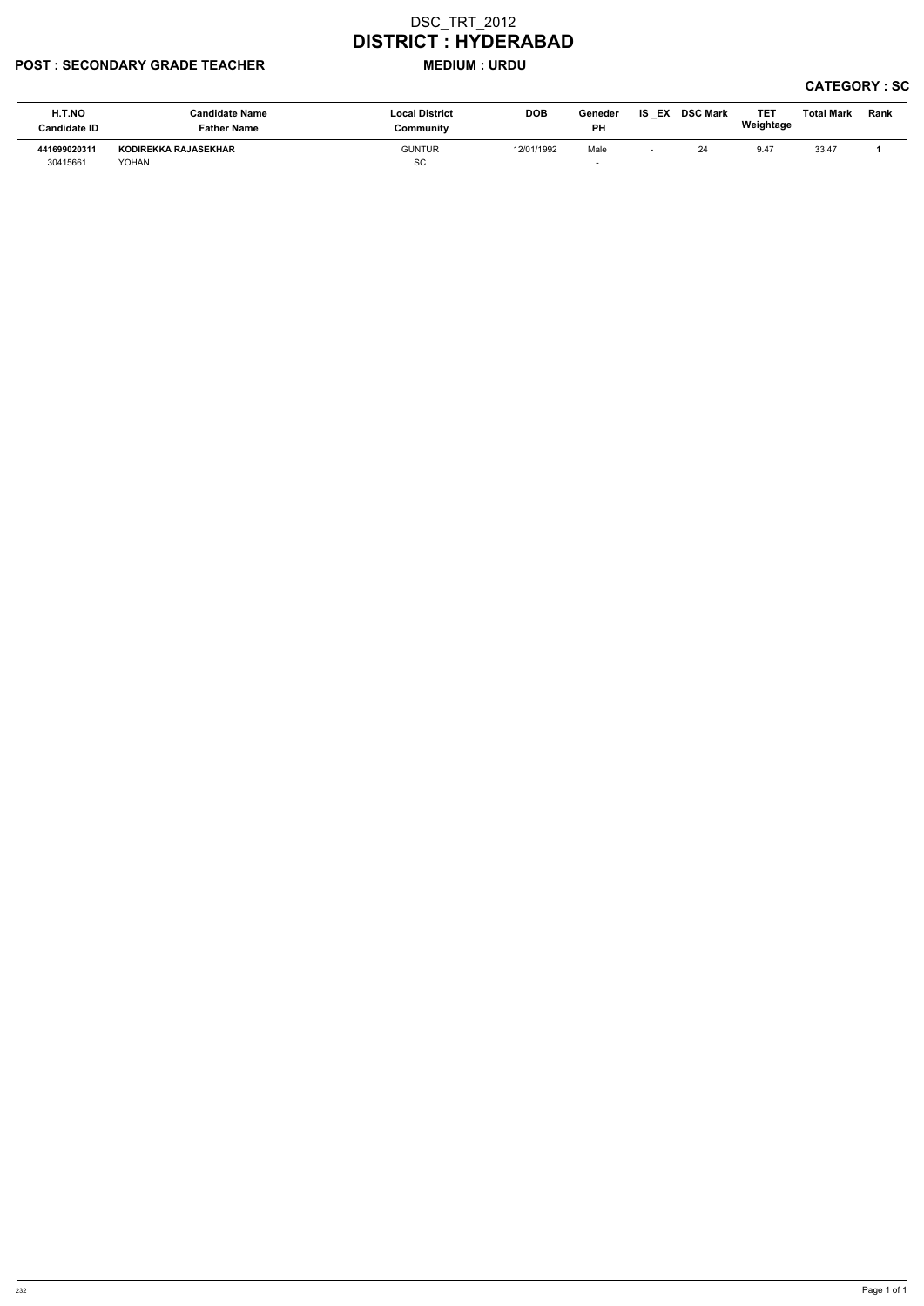### POST : SECONDARY GRADE TEACHER MEDIUM : URDU

| H.T.NO<br><b>Candidate ID</b> | <b>Candidate Name</b><br><b>Father Name</b> | <b>Local District</b><br>Community | <b>DOB</b> | Geneder<br><b>PH</b> | EX<br>IS | <b>DSC Mark</b> | TE <sub>1</sub><br>Weightage | <b>Total Mark</b> | Rank |
|-------------------------------|---------------------------------------------|------------------------------------|------------|----------------------|----------|-----------------|------------------------------|-------------------|------|
| 441699020311<br>30415661      | KODIREKKA RAJASEKHAR<br>YOHAN               | <b>GUNTUR</b><br>SC                | 12/01/1992 | Male                 |          | 24              | 9.47                         | 33.47             |      |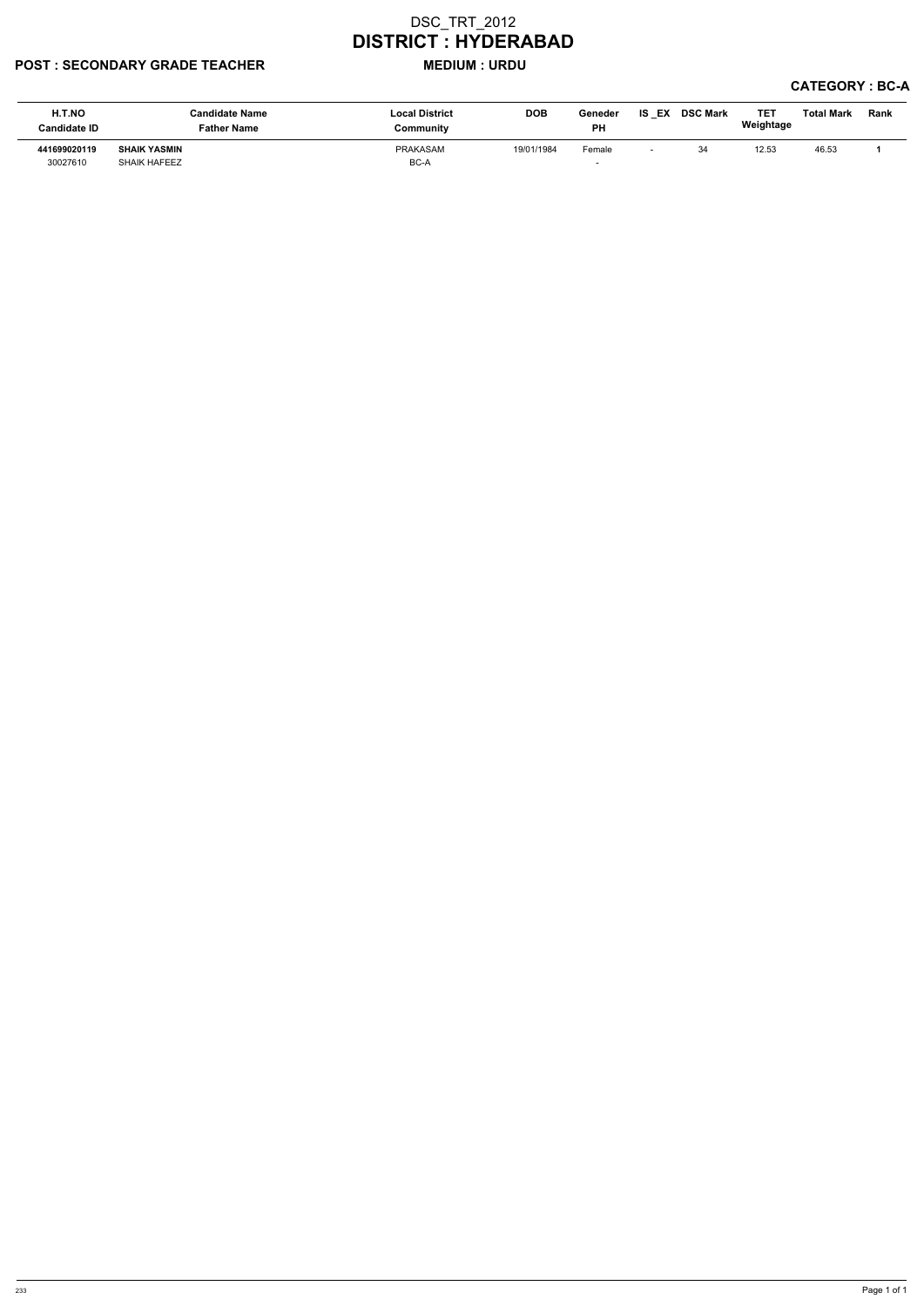### POST : SECONDARY GRADE TEACHER MEDIUM : URDU

| H.T.NO<br><b>Candidate ID</b> | <b>Candidate Name</b><br>Father Name | <b>Local District</b><br>Community | <b>DOB</b> | Geneder<br>РH | IS EX DSC Mark | <b>TE1</b><br>Weightage | Total Mark | <b>Rank</b> |
|-------------------------------|--------------------------------------|------------------------------------|------------|---------------|----------------|-------------------------|------------|-------------|
| 441699020119                  | <b>SHAIK YASMIN</b>                  | PRAKASAM                           | 19/01/1984 | Female        | 34             | 12.53                   | 46.53      |             |
| 30027610                      | <b>SHAIK HAFEEZ</b>                  | BC-A                               |            |               |                |                         |            |             |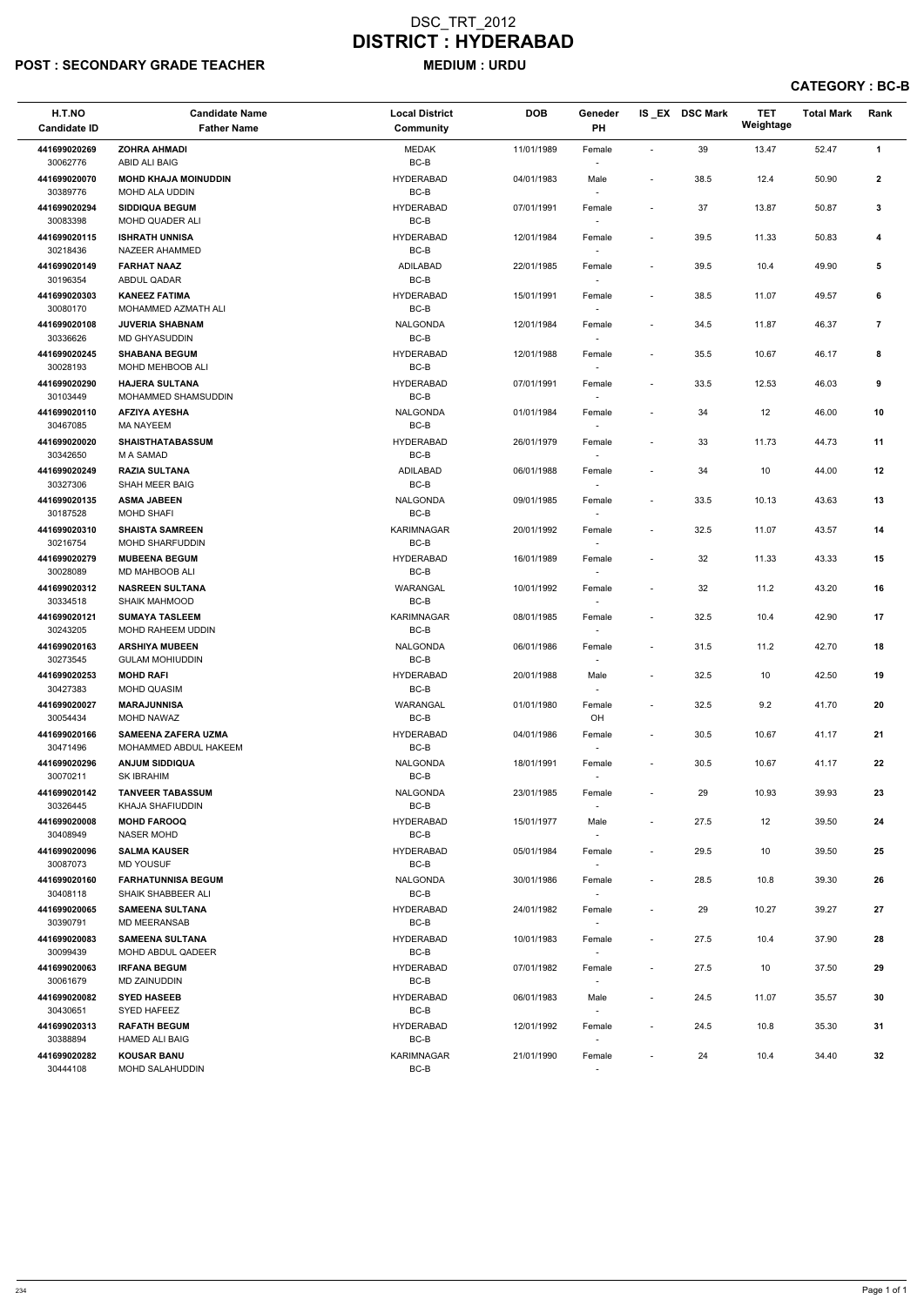# POST : SECONDARY GRADE TEACHER MEDIUM : URDU

| H.T.NO<br><b>Candidate ID</b> | <b>Candidate Name</b><br><b>Father Name</b>         | <b>Local District</b><br><b>Community</b> | <b>DOB</b> | Geneder<br>PH    |                          | IS EX DSC Mark | <b>TET</b><br>Weightage | <b>Total Mark</b> | Rank           |
|-------------------------------|-----------------------------------------------------|-------------------------------------------|------------|------------------|--------------------------|----------------|-------------------------|-------------------|----------------|
| 441699020269<br>30062776      | <b>ZOHRA AHMADI</b><br>ABID ALI BAIG                | <b>MEDAK</b><br>$BC-B$                    | 11/01/1989 | Female           | $\overline{\phantom{a}}$ | 39             | 13.47                   | 52.47             | $\mathbf{1}$   |
| 441699020070<br>30389776      | <b>MOHD KHAJA MOINUDDIN</b><br>MOHD ALA UDDIN       | <b>HYDERABAD</b><br>BC-B                  | 04/01/1983 | Male             | $\overline{\phantom{a}}$ | 38.5           | 12.4                    | 50.90             | $\mathbf{2}$   |
| 441699020294<br>30083398      | <b>SIDDIQUA BEGUM</b><br>MOHD QUADER ALI            | <b>HYDERABAD</b><br>$BC-B$                | 07/01/1991 | Female           | $\blacksquare$           | 37             | 13.87                   | 50.87             | 3              |
| 441699020115<br>30218436      | <b>ISHRATH UNNISA</b><br>NAZEER AHAMMED             | <b>HYDERABAD</b><br>BC-B                  | 12/01/1984 | Female<br>$\sim$ | $\blacksquare$           | 39.5           | 11.33                   | 50.83             | 4              |
| 441699020149<br>30196354      | <b>FARHAT NAAZ</b><br>ABDUL QADAR                   | ADILABAD<br>BC-B                          | 22/01/1985 | Female<br>$\sim$ | $\blacksquare$           | 39.5           | 10.4                    | 49.90             | 5              |
| 441699020303<br>30080170      | <b>KANEEZ FATIMA</b><br>MOHAMMED AZMATH ALI         | <b>HYDERABAD</b><br>BC-B                  | 15/01/1991 | Female<br>$\sim$ | $\blacksquare$           | 38.5           | 11.07                   | 49.57             | 6              |
| 441699020108<br>30336626      | <b>JUVERIA SHABNAM</b><br>MD GHYASUDDIN             | NALGONDA<br>BC-B                          | 12/01/1984 | Female           | $\blacksquare$           | 34.5           | 11.87                   | 46.37             | $\overline{7}$ |
| 441699020245<br>30028193      | <b>SHABANA BEGUM</b><br>MOHD MEHBOOB ALI            | <b>HYDERABAD</b><br>BC-B                  | 12/01/1988 | Female           | $\overline{\phantom{a}}$ | 35.5           | 10.67                   | 46.17             | 8              |
| 441699020290<br>30103449      | <b>HAJERA SULTANA</b><br>MOHAMMED SHAMSUDDIN        | <b>HYDERABAD</b><br>BC-B                  | 07/01/1991 | Female<br>$\sim$ | $\overline{\phantom{a}}$ | 33.5           | 12.53                   | 46.03             | 9              |
| 441699020110<br>30467085      | <b>AFZIYA AYESHA</b><br><b>MA NAYEEM</b>            | <b>NALGONDA</b><br>BC-B                   | 01/01/1984 | Female<br>$\sim$ | $\sim$                   | 34             | 12                      | 46.00             | 10             |
| 441699020020<br>30342650      | <b>SHAISTHATABASSUM</b><br>M A SAMAD                | <b>HYDERABAD</b><br>BC-B                  | 26/01/1979 | Female           | $\overline{\phantom{a}}$ | 33             | 11.73                   | 44.73             | 11             |
| 441699020249<br>30327306      | <b>RAZIA SULTANA</b><br>SHAH MEER BAIG              | ADILABAD<br>$BC-B$                        | 06/01/1988 | Female           | $\overline{\phantom{a}}$ | 34             | 10                      | 44.00             | 12             |
| 441699020135<br>30187528      | <b>ASMA JABEEN</b><br><b>MOHD SHAFI</b>             | <b>NALGONDA</b><br>BC-B                   | 09/01/1985 | Female<br>$\sim$ | $\overline{\phantom{a}}$ | 33.5           | 10.13                   | 43.63             | 13             |
| 441699020310<br>30216754      | <b>SHAISTA SAMREEN</b><br><b>MOHD SHARFUDDIN</b>    | KARIMNAGAR<br>BC-B                        | 20/01/1992 | Female<br>$\sim$ | $\blacksquare$           | 32.5           | 11.07                   | 43.57             | 14             |
| 441699020279<br>30028089      | <b>MUBEENA BEGUM</b><br>MD MAHBOOB ALI              | <b>HYDERABAD</b><br>BC-B                  | 16/01/1989 | Female           | $\sim$                   | 32             | 11.33                   | 43.33             | 15             |
| 441699020312<br>30334518      | <b>NASREEN SULTANA</b><br>SHAIK MAHMOOD             | WARANGAL<br>BC-B                          | 10/01/1992 | Female           | $\overline{\phantom{a}}$ | 32             | 11.2                    | 43.20             | 16             |
| 441699020121<br>30243205      | <b>SUMAYA TASLEEM</b><br><b>MOHD RAHEEM UDDIN</b>   | KARIMNAGAR<br>BC-B                        | 08/01/1985 | Female<br>$\sim$ | $\overline{\phantom{a}}$ | 32.5           | 10.4                    | 42.90             | 17             |
| 441699020163<br>30273545      | <b>ARSHIYA MUBEEN</b><br><b>GULAM MOHIUDDIN</b>     | <b>NALGONDA</b><br>BC-B                   | 06/01/1986 | Female           | $\overline{\phantom{a}}$ | 31.5           | 11.2                    | 42.70             | 18             |
| 441699020253<br>30427383      | <b>MOHD RAFI</b><br><b>MOHD QUASIM</b>              | <b>HYDERABAD</b><br>BC-B                  | 20/01/1988 | Male<br>$\sim$   | $\blacksquare$           | 32.5           | 10                      | 42.50             | 19             |
| 441699020027<br>30054434      | <b>MARAJUNNISA</b><br><b>MOHD NAWAZ</b>             | WARANGAL<br>BC-B                          | 01/01/1980 | Female<br>OH     | $\overline{\phantom{a}}$ | 32.5           | 9.2                     | 41.70             | 20             |
| 441699020166<br>30471496      | <b>SAMEENA ZAFERA UZMA</b><br>MOHAMMED ABDUL HAKEEM | <b>HYDERABAD</b><br>BC-B                  | 04/01/1986 | Female<br>$\sim$ | $\blacksquare$           | 30.5           | 10.67                   | 41.17             | 21             |
| 441699020296<br>30070211      | <b>ANJUM SIDDIQUA</b><br><b>SK IBRAHIM</b>          | <b>NALGONDA</b><br>BC-B                   | 18/01/1991 | Female<br>$\sim$ | $\overline{\phantom{a}}$ | 30.5           | 10.67                   | 41.17             | 22             |
| 441699020142<br>30326445      | <b>TANVEER TABASSUM</b><br>KHAJA SHAFIUDDIN         | <b>NALGONDA</b><br>BC-B                   | 23/01/1985 | Female           | $\blacksquare$           | 29             | 10.93                   | 39.93             | 23             |
| 441699020008<br>30408949      | <b>MOHD FAROOQ</b><br><b>NASER MOHD</b>             | <b>HYDERABAD</b><br>BC-B                  | 15/01/1977 | Male<br>$\sim$   | $\sim$                   | 27.5           | 12                      | 39.50             | 24             |
| 441699020096<br>30087073      | <b>SALMA KAUSER</b><br><b>MD YOUSUF</b>             | <b>HYDERABAD</b><br>BC-B                  | 05/01/1984 | Female<br>$\sim$ | $\blacksquare$           | 29.5           | 10                      | 39.50             | 25             |
| 441699020160<br>30408118      | <b>FARHATUNNISA BEGUM</b><br>SHAIK SHABBEER ALI     | <b>NALGONDA</b><br>BC-B                   | 30/01/1986 | Female<br>$\sim$ | $\blacksquare$           | 28.5           | 10.8                    | 39.30             | 26             |
| 441699020065<br>30390791      | <b>SAMEENA SULTANA</b><br><b>MD MEERANSAB</b>       | <b>HYDERABAD</b><br>BC-B                  | 24/01/1982 | Female           | $\overline{\phantom{a}}$ | 29             | 10.27                   | 39.27             | 27             |
| 441699020083<br>30099439      | <b>SAMEENA SULTANA</b><br>MOHD ABDUL QADEER         | <b>HYDERABAD</b><br>BC-B                  | 10/01/1983 | Female<br>$\sim$ | $\blacksquare$           | 27.5           | 10.4                    | 37.90             | 28             |
| 441699020063<br>30061679      | <b>IRFANA BEGUM</b><br>MD ZAINUDDIN                 | <b>HYDERABAD</b><br>BC-B                  | 07/01/1982 | Female           | $\sim$                   | 27.5           | 10                      | 37.50             | 29             |

| 441699020082 | <b>SYED HASEEB</b>    | <b>HYDERABAD</b> | 06/01/1983 | Male                     | $\overline{\phantom{0}}$ | 24.5 | 11.07 | 35.57 | 30 |
|--------------|-----------------------|------------------|------------|--------------------------|--------------------------|------|-------|-------|----|
| 30430651     | SYED HAFEEZ           | BC-B             |            |                          |                          |      |       |       |    |
| 441699020313 | <b>RAFATH BEGUM</b>   | HYDERABAD        | 12/01/1992 | Female                   | $\overline{\phantom{0}}$ | 24.5 | 10.8  | 35.30 | 31 |
| 30388894     | <b>HAMED ALI BAIG</b> | BC-B             |            | $\overline{\phantom{0}}$ |                          |      |       |       |    |
| 441699020282 | <b>KOUSAR BANU</b>    | KARIMNAGAR       | 21/01/1990 | Female                   | $\overline{\phantom{0}}$ | 24   | 10.4  | 34.40 | 32 |
| 30444108     | MOHD SALAHUDDIN       | BC-B             |            | $\overline{\phantom{a}}$ |                          |      |       |       |    |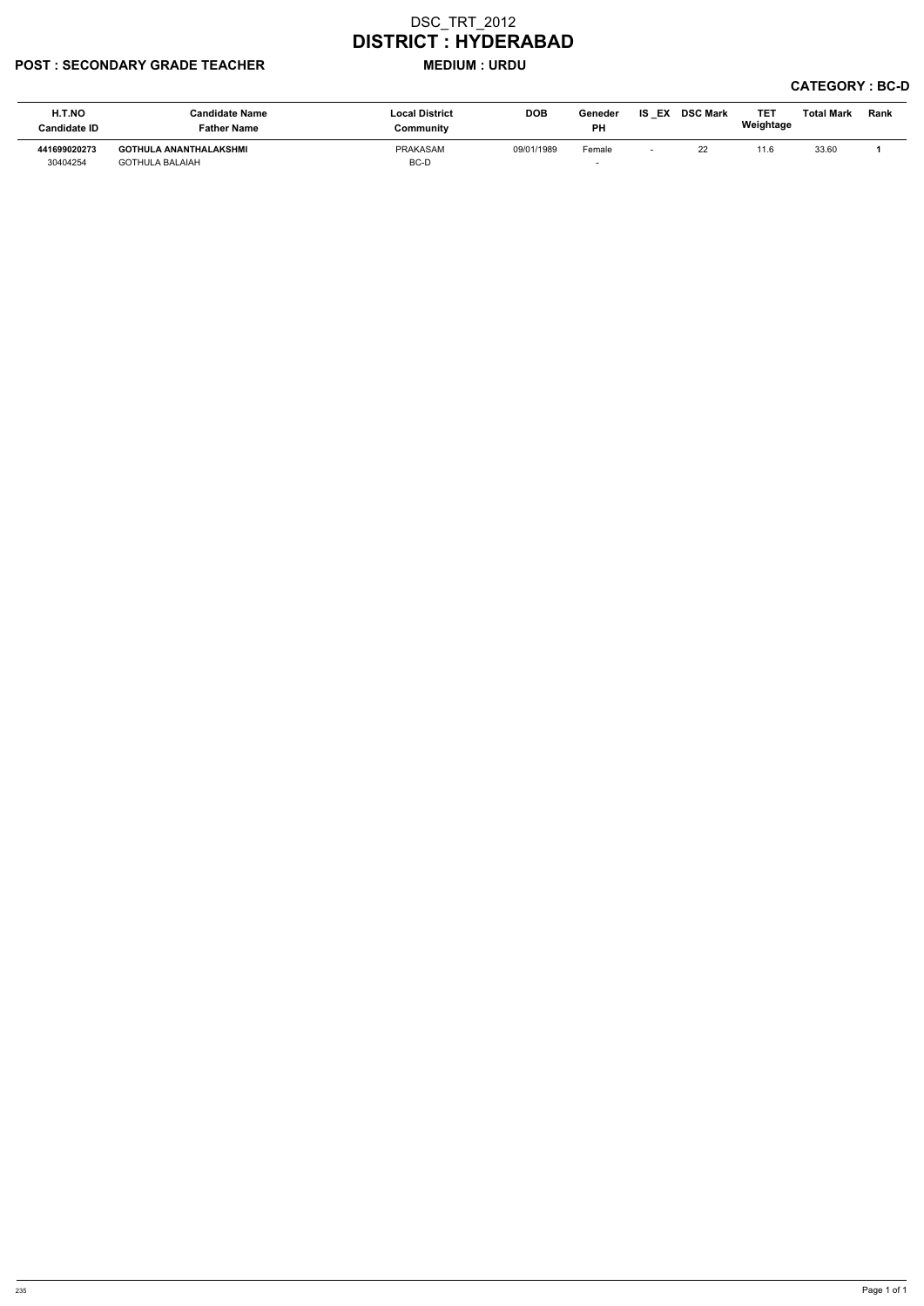### POST : SECONDARY GRADE TEACHER MEDIUM : URDU

| H.T.NO<br><b>Candidate ID</b> | <b>Candidate Name</b><br><b>Father Name</b>      | <b>Local District</b><br>Community | <b>DOB</b> | Geneder<br>PН | IS<br>EX | <b>DSC Mark</b> | <b>TE1</b><br>Weightage | Total Mark | Rank |
|-------------------------------|--------------------------------------------------|------------------------------------|------------|---------------|----------|-----------------|-------------------------|------------|------|
| 441699020273<br>30404254      | GOTHULA ANANTHALAKSHMI<br><b>GOTHULA BALAIAH</b> | PRAKASAM<br>BC-D                   | 09/01/1989 | Female        |          | 22<br><u>__</u> | 11.6                    | 33.60      |      |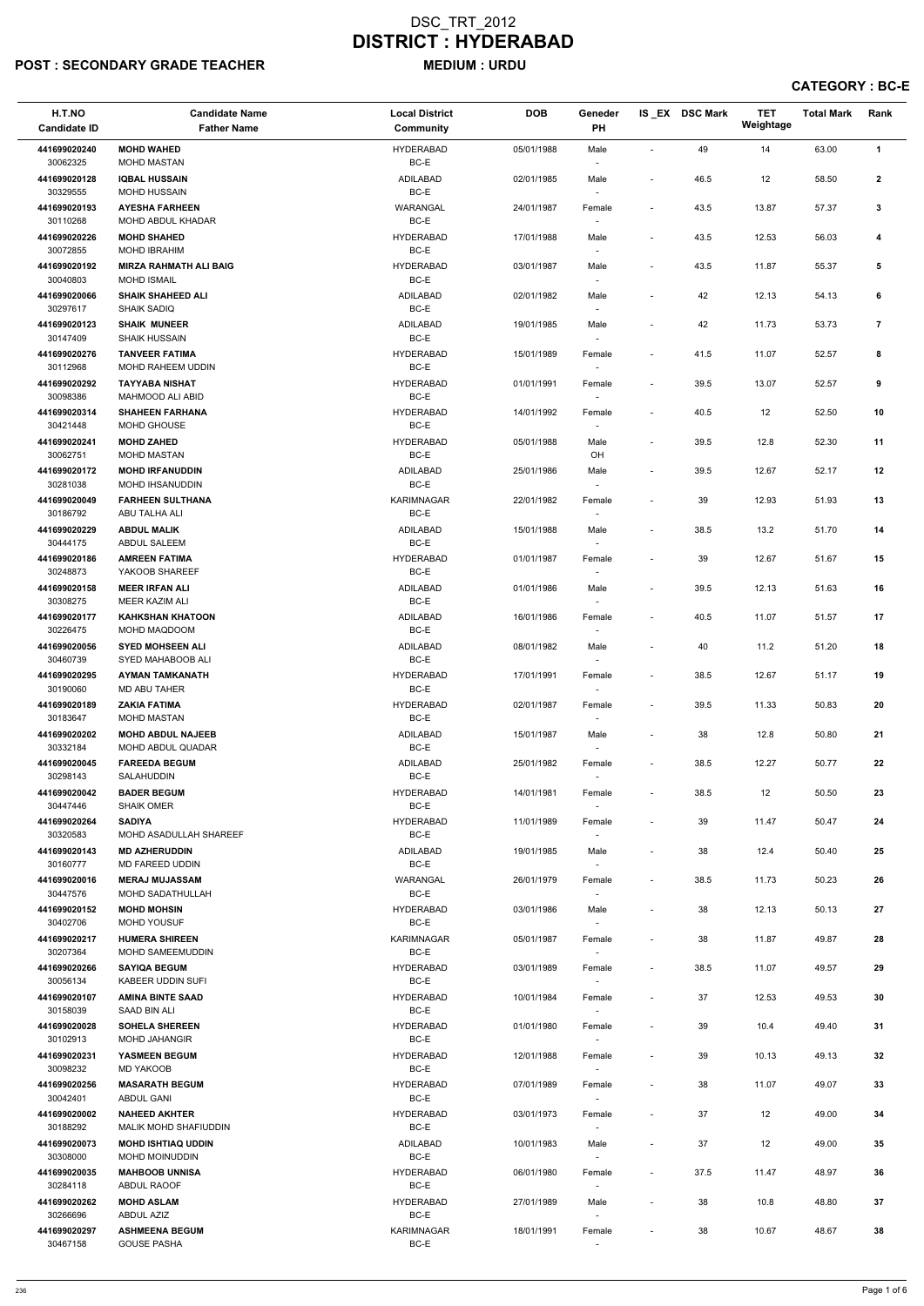# POST : SECONDARY GRADE TEACHER MEDIUM : URDU

| H.T.NO<br><b>Candidate ID</b> | <b>Candidate Name</b><br><b>Father Name</b>          | <b>Local District</b><br><b>Community</b> | <b>DOB</b> | Geneder<br>PH                      |                          | IS_EX DSC Mark | <b>TET</b><br>Weightage | <b>Total Mark</b> | Rank           |
|-------------------------------|------------------------------------------------------|-------------------------------------------|------------|------------------------------------|--------------------------|----------------|-------------------------|-------------------|----------------|
| 441699020240                  | <b>MOHD WAHED</b>                                    | <b>HYDERABAD</b>                          | 05/01/1988 | Male                               | $\blacksquare$           | 49             | 14                      | 63.00             | $\mathbf{1}$   |
| 30062325                      | <b>MOHD MASTAN</b>                                   | BC-E                                      |            | $\overline{\phantom{a}}$           |                          |                |                         |                   |                |
| 441699020128<br>30329555      | <b>IQBAL HUSSAIN</b><br><b>MOHD HUSSAIN</b>          | <b>ADILABAD</b><br>$BC-E$                 | 02/01/1985 | Male                               | $\overline{\phantom{a}}$ | 46.5           | 12                      | 58.50             | $\mathbf{2}$   |
| 441699020193                  | <b>AYESHA FARHEEN</b>                                | WARANGAL                                  | 24/01/1987 | Female                             | $\overline{\phantom{a}}$ | 43.5           | 13.87                   | 57.37             | $\mathbf{3}$   |
| 30110268<br>441699020226      | MOHD ABDUL KHADAR<br><b>MOHD SHAHED</b>              | $BC-E$<br><b>HYDERABAD</b>                | 17/01/1988 | Male                               | $\overline{\phantom{a}}$ | 43.5           | 12.53                   | 56.03             | 4              |
| 30072855                      | MOHD IBRAHIM                                         | BC-E                                      |            |                                    |                          |                |                         |                   |                |
| 441699020192<br>30040803      | <b>MIRZA RAHMATH ALI BAIG</b><br><b>MOHD ISMAIL</b>  | <b>HYDERABAD</b><br>BC-E                  | 03/01/1987 | Male<br>$\overline{\phantom{a}}$   | $\overline{\phantom{a}}$ | 43.5           | 11.87                   | 55.37             | 5              |
| 441699020066<br>30297617      | <b>SHAIK SHAHEED ALI</b><br><b>SHAIK SADIQ</b>       | ADILABAD<br>BC-E                          | 02/01/1982 | Male                               |                          | 42             | 12.13                   | 54.13             | 6              |
| 441699020123<br>30147409      | <b>SHAIK MUNEER</b><br><b>SHAIK HUSSAIN</b>          | ADILABAD<br>BC-E                          | 19/01/1985 | Male                               | $\overline{\phantom{a}}$ | 42             | 11.73                   | 53.73             | $\overline{7}$ |
| 441699020276<br>30112968      | <b>TANVEER FATIMA</b><br><b>MOHD RAHEEM UDDIN</b>    | <b>HYDERABAD</b><br>BC-E                  | 15/01/1989 | Female<br>$\overline{\phantom{a}}$ | $\overline{\phantom{a}}$ | 41.5           | 11.07                   | 52.57             | 8              |
| 441699020292<br>30098386      | <b>TAYYABA NISHAT</b><br>MAHMOOD ALI ABID            | <b>HYDERABAD</b><br>BC-E                  | 01/01/1991 | Female                             | $\overline{\phantom{a}}$ | 39.5           | 13.07                   | 52.57             | 9              |
| 441699020314                  | <b>SHAHEEN FARHANA</b>                               | <b>HYDERABAD</b>                          | 14/01/1992 | Female                             | $\overline{\phantom{a}}$ | 40.5           | 12                      | 52.50             | 10             |
| 30421448                      | MOHD GHOUSE                                          | BC-E                                      |            | $\overline{\phantom{a}}$           |                          |                |                         |                   |                |
| 441699020241<br>30062751      | <b>MOHD ZAHED</b><br>MOHD MASTAN                     | <b>HYDERABAD</b><br>BC-E                  | 05/01/1988 | Male<br>OH                         | $\overline{\phantom{a}}$ | 39.5           | 12.8                    | 52.30             | 11             |
| 441699020172                  | <b>MOHD IRFANUDDIN</b>                               | ADILABAD                                  | 25/01/1986 | Male                               | $\overline{\phantom{a}}$ | 39.5           | 12.67                   | 52.17             | 12             |
| 30281038<br>441699020049      | MOHD IHSANUDDIN<br><b>FARHEEN SULTHANA</b>           | BC-E<br>KARIMNAGAR                        | 22/01/1982 | $\overline{\phantom{a}}$<br>Female | $\blacksquare$           | 39             | 12.93                   | 51.93             | 13             |
| 30186792                      | ABU TALHA ALI                                        | BC-E                                      |            | $\overline{\phantom{a}}$           |                          |                |                         |                   |                |
| 441699020229<br>30444175      | <b>ABDUL MALIK</b><br><b>ABDUL SALEEM</b>            | <b>ADILABAD</b><br>BC-E                   | 15/01/1988 | Male<br>$\overline{\phantom{a}}$   | $\overline{\phantom{a}}$ | 38.5           | 13.2                    | 51.70             | 14             |
| 441699020186<br>30248873      | <b>AMREEN FATIMA</b><br>YAKOOB SHAREEF               | <b>HYDERABAD</b><br>BC-E                  | 01/01/1987 | Female                             | $\overline{\phantom{a}}$ | 39             | 12.67                   | 51.67             | 15             |
| 441699020158<br>30308275      | <b>MEER IRFAN ALI</b><br><b>MEER KAZIM ALI</b>       | <b>ADILABAD</b><br>BC-E                   | 01/01/1986 | Male<br>$\overline{\phantom{a}}$   | $\overline{\phantom{a}}$ | 39.5           | 12.13                   | 51.63             | 16             |
| 441699020177<br>30226475      | <b>KAHKSHAN KHATOON</b><br>MOHD MAQDOOM              | ADILABAD<br>BC-E                          | 16/01/1986 | Female<br>$\overline{\phantom{a}}$ | $\overline{\phantom{a}}$ | 40.5           | 11.07                   | 51.57             | 17             |
| 441699020056                  | <b>SYED MOHSEEN ALI</b>                              | ADILABAD                                  | 08/01/1982 | Male                               | $\overline{\phantom{a}}$ | 40             | 11.2                    | 51.20             | 18             |
| 30460739<br>441699020295      | SYED MAHABOOB ALI<br><b>AYMAN TAMKANATH</b>          | BC-E<br><b>HYDERABAD</b>                  | 17/01/1991 | Female                             | $\overline{\phantom{a}}$ | 38.5           | 12.67                   | 51.17             | 19             |
| 30190060                      | MD ABU TAHER                                         | BC-E                                      |            | $\sim$                             |                          |                |                         |                   |                |
| 441699020189<br>30183647      | <b>ZAKIA FATIMA</b><br>MOHD MASTAN                   | <b>HYDERABAD</b><br>BC-E                  | 02/01/1987 | Female                             | $\overline{\phantom{a}}$ | 39.5           | 11.33                   | 50.83             | 20             |
| 441699020202<br>30332184      | <b>MOHD ABDUL NAJEEB</b><br>MOHD ABDUL QUADAR        | ADILABAD<br>BC-E                          | 15/01/1987 | Male<br>$\sim$                     | $\overline{\phantom{a}}$ | 38             | 12.8                    | 50.80             | 21             |
| 441699020045                  | <b>FAREEDA BEGUM</b>                                 | ADILABAD                                  | 25/01/1982 | Female                             | $\overline{\phantom{a}}$ | 38.5           | 12.27                   | 50.77             | 22             |
| 30298143<br>441699020042      | SALAHUDDIN<br><b>BADER BEGUM</b>                     | BC-E<br><b>HYDERABAD</b>                  | 14/01/1981 | Female                             | $\overline{\phantom{a}}$ | 38.5           | 12                      | 50.50             | 23             |
| 30447446                      | <b>SHAIK OMER</b>                                    | BC-E                                      |            |                                    |                          |                |                         |                   |                |
| 441699020264<br>30320583      | <b>SADIYA</b><br>MOHD ASADULLAH SHAREEF              | <b>HYDERABAD</b><br>BC-E                  | 11/01/1989 | Female<br>$\sim$                   | $\overline{\phantom{a}}$ | 39             | 11.47                   | 50.47             | 24             |
| 441699020143<br>30160777      | <b>MD AZHERUDDIN</b><br><b>MD FAREED UDDIN</b>       | ADILABAD<br>BC-E                          | 19/01/1985 | Male<br>$\sim$                     | $\overline{\phantom{a}}$ | 38             | 12.4                    | 50.40             | 25             |
| 441699020016<br>30447576      | <b>MERAJ MUJASSAM</b><br>MOHD SADATHULLAH            | WARANGAL<br>BC-E                          | 26/01/1979 | Female<br>$\overline{\phantom{a}}$ | $\overline{\phantom{a}}$ | 38.5           | 11.73                   | 50.23             | 26             |
| 441699020152                  | <b>MOHD MOHSIN</b>                                   | <b>HYDERABAD</b>                          | 03/01/1986 | Male                               | $\overline{\phantom{a}}$ | 38             | 12.13                   | 50.13             | 27             |
| 30402706<br>441699020217      | MOHD YOUSUF<br><b>HUMERA SHIREEN</b>                 | BC-E<br>KARIMNAGAR                        | 05/01/1987 | Female                             | $\overline{\phantom{a}}$ | 38             | 11.87                   | 49.87             | 28             |
| 30207364                      | MOHD SAMEEMUDDIN                                     | BC-E                                      |            | $\sim$                             |                          |                |                         |                   |                |
| 441699020266<br>30056134      | <b>SAYIQA BEGUM</b><br>KABEER UDDIN SUFI             | <b>HYDERABAD</b><br>BC-E                  | 03/01/1989 | Female                             | $\overline{\phantom{a}}$ | 38.5           | 11.07                   | 49.57             | 29             |
| 441699020107                  | <b>AMINA BINTE SAAD</b>                              | <b>HYDERABAD</b><br>BC-E                  | 10/01/1984 | Female                             | $\overline{\phantom{a}}$ | 37             | 12.53                   | 49.53             | 30             |
| 30158039<br>441699020028      | SAAD BIN ALI<br><b>SOHELA SHEREEN</b>                | <b>HYDERABAD</b>                          | 01/01/1980 | $\overline{\phantom{a}}$<br>Female | $\overline{\phantom{a}}$ | 39             | 10.4                    | 49.40             | 31             |
| 30102913<br>441699020231      | <b>MOHD JAHANGIR</b><br>YASMEEN BEGUM                | BC-E<br><b>HYDERABAD</b>                  | 12/01/1988 | Female                             | $\overline{\phantom{a}}$ | 39             | 10.13                   | 49.13             | 32             |
| 30098232                      | <b>MD YAKOOB</b>                                     | BC-E                                      |            |                                    |                          |                |                         |                   |                |
| 441699020256<br>30042401      | <b>MASARATH BEGUM</b><br><b>ABDUL GANI</b>           | <b>HYDERABAD</b><br>BC-E                  | 07/01/1989 | Female<br>$\overline{\phantom{a}}$ | $\overline{\phantom{a}}$ | 38             | 11.07                   | 49.07             | 33             |
| 441699020002<br>30188292      | <b>NAHEED AKHTER</b><br><b>MALIK MOHD SHAFIUDDIN</b> | <b>HYDERABAD</b><br>BC-E                  | 03/01/1973 | Female                             | $\overline{\phantom{a}}$ | 37             | 12                      | 49.00             | 34             |
| 441699020073<br>30308000      | <b>MOHD ISHTIAQ UDDIN</b><br>MOHD MOINUDDIN          | ADILABAD<br>BC-E                          | 10/01/1983 | Male<br>$\sim$                     | $\overline{\phantom{a}}$ | 37             | 12                      | 49.00             | 35             |
| 441699020035                  | <b>MAHBOOB UNNISA</b>                                | <b>HYDERABAD</b>                          | 06/01/1980 | Female                             | $\overline{\phantom{a}}$ | 37.5           | 11.47                   | 48.97             | 36             |
| 30284118<br>441699020262      | <b>ABDUL RAOOF</b><br><b>MOHD ASLAM</b>              | BC-E<br><b>HYDERABAD</b>                  | 27/01/1989 | $\sim$<br>Male                     | $\overline{\phantom{a}}$ | 38             | 10.8                    | 48.80             | 37             |
| 30266696<br>441699020297      | ABDUL AZIZ<br><b>ASHMEENA BEGUM</b>                  | BC-E<br>KARIMNAGAR                        | 18/01/1991 | $\sim$<br>Female                   |                          | 38             | 10.67                   | 48.67             | 38             |
| 30467158                      | <b>GOUSE PASHA</b>                                   | BC-E                                      |            | $\overline{\phantom{a}}$           |                          |                |                         |                   |                |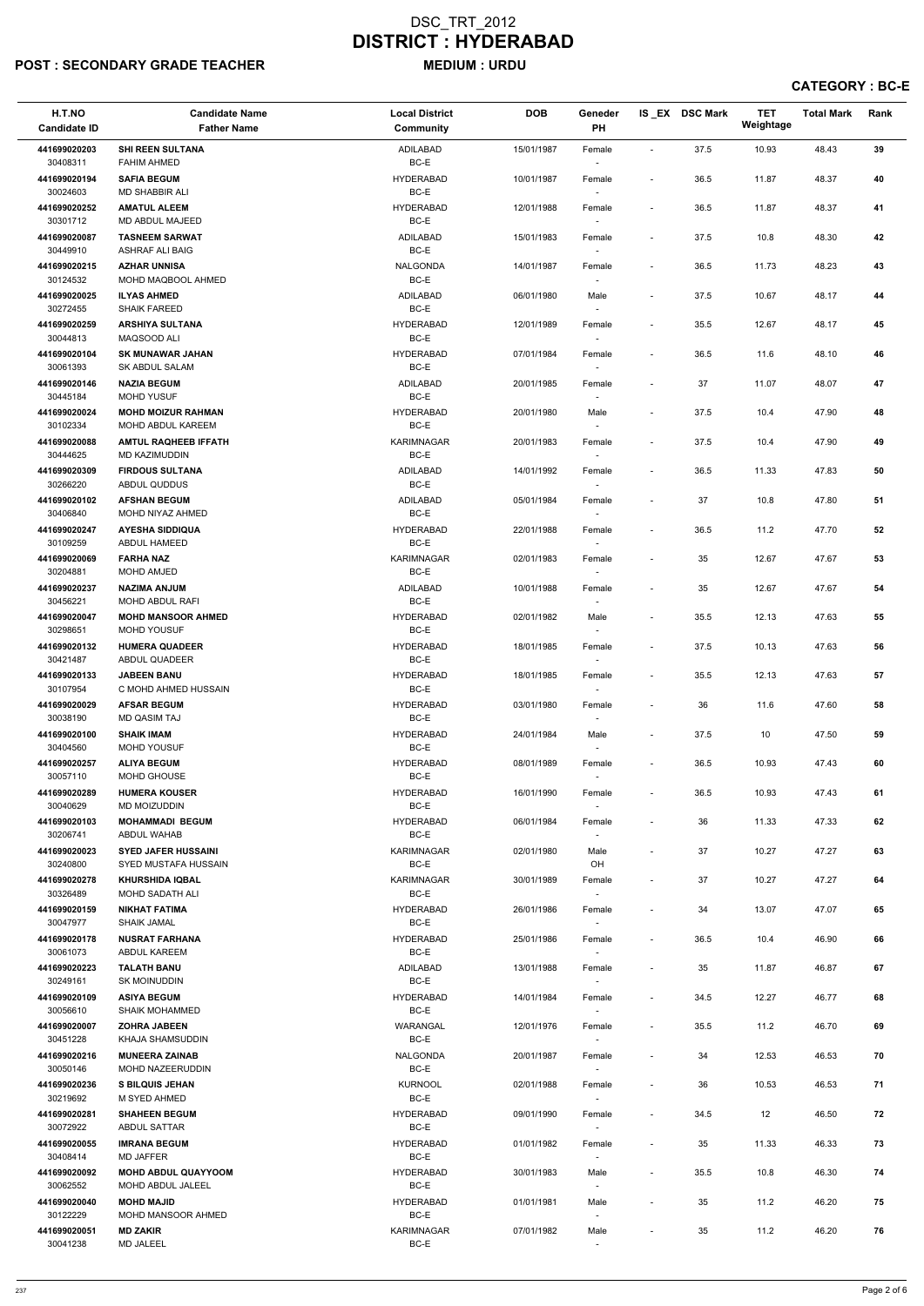## POST : SECONDARY GRADE TEACHER MEDIUM : URDU

| H.T.NO<br><b>Candidate ID</b> | <b>Candidate Name</b><br><b>Father Name</b>             | <b>Local District</b><br><b>Community</b> | <b>DOB</b> | Geneder<br>PH                      |                              | IS_EX DSC Mark | <b>TET</b><br>Weightage | <b>Total Mark</b> | Rank |
|-------------------------------|---------------------------------------------------------|-------------------------------------------|------------|------------------------------------|------------------------------|----------------|-------------------------|-------------------|------|
| 441699020203<br>30408311      | <b>SHI REEN SULTANA</b><br><b>FAHIM AHMED</b>           | ADILABAD<br>$BC-E$                        | 15/01/1987 | Female                             | $\sim$                       | 37.5           | 10.93                   | 48.43             | 39   |
| 441699020194<br>30024603      | <b>SAFIA BEGUM</b><br><b>MD SHABBIR ALI</b>             | <b>HYDERABAD</b><br>BC-E                  | 10/01/1987 | Female                             | $\blacksquare$               | 36.5           | 11.87                   | 48.37             | 40   |
| 441699020252                  | <b>AMATUL ALEEM</b>                                     | <b>HYDERABAD</b>                          | 12/01/1988 | Female                             | $\blacksquare$               | 36.5           | 11.87                   | 48.37             | 41   |
| 30301712<br>441699020087      | MD ABDUL MAJEED<br><b>TASNEEM SARWAT</b>                | BC-E<br>ADILABAD                          | 15/01/1983 | $\sim$<br>Female                   | $\blacksquare$               | 37.5           | 10.8                    | 48.30             | 42   |
| 30449910                      | <b>ASHRAF ALI BAIG</b>                                  | BC-E                                      |            | $\sim$                             |                              |                |                         |                   |      |
| 441699020215<br>30124532      | <b>AZHAR UNNISA</b><br>MOHD MAQBOOL AHMED               | <b>NALGONDA</b><br>BC-E                   | 14/01/1987 | Female                             | $\blacksquare$               | 36.5           | 11.73                   | 48.23             | 43   |
| 441699020025                  | <b>ILYAS AHMED</b>                                      | ADILABAD                                  | 06/01/1980 | $\sim$<br>Male                     | $\overline{\phantom{a}}$     | 37.5           | 10.67                   | 48.17             | 44   |
| 30272455                      | <b>SHAIK FAREED</b>                                     | $BC-E$                                    |            |                                    |                              |                |                         |                   |      |
| 441699020259<br>30044813      | <b>ARSHIYA SULTANA</b><br>MAQSOOD ALI                   | <b>HYDERABAD</b><br>BC-E                  | 12/01/1989 | Female                             | $\overline{\phantom{a}}$     | 35.5           | 12.67                   | 48.17             | 45   |
| 441699020104<br>30061393      | <b>SK MUNAWAR JAHAN</b><br>SK ABDUL SALAM               | <b>HYDERABAD</b><br>BC-E                  | 07/01/1984 | Female<br>$\overline{\phantom{a}}$ | $\overline{\phantom{a}}$     | 36.5           | 11.6                    | 48.10             | 46   |
| 441699020146<br>30445184      | <b>NAZIA BEGUM</b><br><b>MOHD YUSUF</b>                 | ADILABAD<br>BC-E                          | 20/01/1985 | Female                             | $\blacksquare$               | 37             | 11.07                   | 48.07             | 47   |
| 441699020024                  | <b>MOHD MOIZUR RAHMAN</b>                               | <b>HYDERABAD</b>                          | 20/01/1980 | Male                               | $\overline{\phantom{a}}$     | 37.5           | 10.4                    | 47.90             | 48   |
| 30102334<br>441699020088      | <b>MOHD ABDUL KAREEM</b><br><b>AMTUL RAQHEEB IFFATH</b> | BC-E<br><b>KARIMNAGAR</b>                 | 20/01/1983 | Female                             | $\blacksquare$               | 37.5           | 10.4                    | 47.90             | 49   |
| 30444625                      | MD KAZIMUDDIN                                           | BC-E                                      |            |                                    |                              |                |                         |                   |      |
| 441699020309<br>30266220      | <b>FIRDOUS SULTANA</b><br>ABDUL QUDDUS                  | ADILABAD<br>BC-E                          | 14/01/1992 | Female<br>$\sim$                   | $\overline{\phantom{a}}$     | 36.5           | 11.33                   | 47.83             | 50   |
| 441699020102                  | <b>AFSHAN BEGUM</b>                                     | ADILABAD                                  | 05/01/1984 | Female                             | $\overline{\phantom{a}}$     | 37             | 10.8                    | 47.80             | 51   |
| 30406840<br>441699020247      | MOHD NIYAZ AHMED<br><b>AYESHA SIDDIQUA</b>              | BC-E<br><b>HYDERABAD</b>                  | 22/01/1988 | Female                             | $\overline{\phantom{a}}$     | 36.5           | 11.2                    | 47.70             | 52   |
| 30109259                      | ABDUL HAMEED                                            | BC-E                                      |            | $\sim$                             |                              |                |                         |                   |      |
| 441699020069<br>30204881      | <b>FARHA NAZ</b><br><b>MOHD AMJED</b>                   | <b>KARIMNAGAR</b><br>BC-E                 | 02/01/1983 | Female                             | $\overline{\phantom{a}}$     | 35             | 12.67                   | 47.67             | 53   |
| 441699020237<br>30456221      | <b>NAZIMA ANJUM</b><br>MOHD ABDUL RAFI                  | <b>ADILABAD</b><br>BC-E                   | 10/01/1988 | Female                             | $\overline{\phantom{a}}$     | 35             | 12.67                   | 47.67             | 54   |
| 441699020047<br>30298651      | <b>MOHD MANSOOR AHMED</b><br><b>MOHD YOUSUF</b>         | <b>HYDERABAD</b><br>BC-E                  | 02/01/1982 | Male                               | $\overline{\phantom{a}}$     | 35.5           | 12.13                   | 47.63             | 55   |
| 441699020132                  | <b>HUMERA QUADEER</b>                                   | <b>HYDERABAD</b>                          | 18/01/1985 | Female                             | $\blacksquare$               | 37.5           | 10.13                   | 47.63             | 56   |
| 30421487<br>441699020133      | ABDUL QUADEER<br><b>JABEEN BANU</b>                     | BC-E<br><b>HYDERABAD</b>                  | 18/01/1985 | Female                             | $\overline{\phantom{a}}$     | 35.5           | 12.13                   | 47.63             | 57   |
| 30107954                      | C MOHD AHMED HUSSAIN                                    | BC-E                                      |            | $\overline{\phantom{a}}$           |                              |                |                         |                   |      |
| 441699020029<br>30038190      | <b>AFSAR BEGUM</b><br><b>MD QASIM TAJ</b>               | <b>HYDERABAD</b><br>BC-E                  | 03/01/1980 | Female<br>$\sim$                   | $\blacksquare$               | 36             | 11.6                    | 47.60             | 58   |
| 441699020100<br>30404560      | <b>SHAIK IMAM</b><br><b>MOHD YOUSUF</b>                 | <b>HYDERABAD</b><br>BC-E                  | 24/01/1984 | Male<br>$\sim$                     | $\blacksquare$               | 37.5           | 10                      | 47.50             | 59   |
| 441699020257                  | <b>ALIYA BEGUM</b>                                      | <b>HYDERABAD</b>                          | 08/01/1989 | Female                             | $\overline{\phantom{a}}$     | 36.5           | 10.93                   | 47.43             | 60   |
| 30057110<br>441699020289      | <b>MOHD GHOUSE</b><br><b>HUMERA KOUSER</b>              | BC-E<br><b>HYDERABAD</b>                  | 16/01/1990 | Female                             | $\sim$                       | 36.5           | 10.93                   | 47.43             | 61   |
| 30040629                      | MD MOIZUDDIN                                            | BC-E                                      |            | $\sim$                             |                              |                |                         |                   |      |
| 441699020103<br>30206741      | <b>MOHAMMADI BEGUM</b><br>ABDUL WAHAB                   | <b>HYDERABAD</b><br>BC-E                  | 06/01/1984 | Female<br>$\overline{\phantom{a}}$ | $\blacksquare$               | 36             | 11.33                   | 47.33             | 62   |
| 441699020023<br>30240800      | <b>SYED JAFER HUSSAINI</b><br>SYED MUSTAFA HUSSAIN      | KARIMNAGAR<br>BC-E                        | 02/01/1980 | Male<br>OH                         | $\blacksquare$               | 37             | 10.27                   | 47.27             | 63   |
| 441699020278                  | <b>KHURSHIDA IQBAL</b>                                  | KARIMNAGAR                                | 30/01/1989 | Female                             | $\blacksquare$               | 37             | 10.27                   | 47.27             | 64   |
| 30326489<br>441699020159      | MOHD SADATH ALI<br><b>NIKHAT FATIMA</b>                 | BC-E<br><b>HYDERABAD</b>                  | 26/01/1986 | Female                             | $\blacksquare$               | 34             | 13.07                   | 47.07             | 65   |
| 30047977                      | <b>SHAIK JAMAL</b>                                      | BC-E                                      |            |                                    |                              |                |                         |                   |      |
| 441699020178<br>30061073      | <b>NUSRAT FARHANA</b><br>ABDUL KAREEM                   | <b>HYDERABAD</b><br>BC-E                  | 25/01/1986 | Female<br>$\sim$                   | $\blacksquare$               | 36.5           | 10.4                    | 46.90             | 66   |
| 441699020223                  | <b>TALATH BANU</b>                                      | ADILABAD<br>BC-E                          | 13/01/1988 | Female                             | $\overline{\phantom{a}}$     | 35             | 11.87                   | 46.87             | 67   |
| 30249161<br>441699020109      | <b>SK MOINUDDIN</b><br><b>ASIYA BEGUM</b>               | <b>HYDERABAD</b>                          | 14/01/1984 | $\sim$<br>Female                   | $\sim$                       | 34.5           | 12.27                   | 46.77             | 68   |
| 30056610                      | <b>SHAIK MOHAMMED</b>                                   | BC-E                                      |            | $\overline{\phantom{a}}$           |                              |                |                         |                   |      |
| 441699020007<br>30451228      | <b>ZOHRA JABEEN</b><br>KHAJA SHAMSUDDIN                 | WARANGAL<br>BC-E                          | 12/01/1976 | Female                             | $\overline{\phantom{a}}$     | 35.5           | 11.2                    | 46.70             | 69   |
| 441699020216                  | <b>MUNEERA ZAINAB</b>                                   | <b>NALGONDA</b>                           | 20/01/1987 | Female                             | $\sim$                       | 34             | 12.53                   | 46.53             | 70   |
| 30050146<br>441699020236      | MOHD NAZEERUDDIN<br><b>S BILQUIS JEHAN</b>              | BC-E<br><b>KURNOOL</b>                    | 02/01/1988 | $\overline{\phantom{a}}$<br>Female |                              | 36             | 10.53                   | 46.53             | 71   |
| 30219692                      | M SYED AHMED                                            | BC-E                                      |            | $\overline{\phantom{a}}$           |                              |                |                         |                   |      |
| 441699020281<br>30072922      | <b>SHAHEEN BEGUM</b><br>ABDUL SATTAR                    | <b>HYDERABAD</b><br>BC-E                  | 09/01/1990 | Female                             | $\qquad \qquad \blacksquare$ | 34.5           | 12                      | 46.50             | 72   |
| 441699020055<br>30408414      | <b>IMRANA BEGUM</b><br>MD JAFFER                        | <b>HYDERABAD</b><br>BC-E                  | 01/01/1982 | Female<br>$\overline{\phantom{a}}$ |                              | 35             | 11.33                   | 46.33             | 73   |
| 441699020092                  | <b>MOHD ABDUL QUAYYOOM</b><br>MOHD ABDUL JALEEL         | <b>HYDERABAD</b>                          | 30/01/1983 | Male                               | $\blacksquare$               | 35.5           | 10.8                    | 46.30             | 74   |
| 30062552<br>441699020040      | <b>MOHD MAJID</b>                                       | BC-E<br><b>HYDERABAD</b>                  | 01/01/1981 | $\sim$<br>Male                     | $\overline{\phantom{a}}$     | 35             | 11.2                    | 46.20             | 75   |
| 30122229<br>441699020051      | MOHD MANSOOR AHMED<br><b>MD ZAKIR</b>                   | BC-E<br>KARIMNAGAR                        | 07/01/1982 | $\overline{\phantom{a}}$<br>Male   | $\overline{\phantom{a}}$     | 35             | 11.2                    | 46.20             | 76   |
| 30041238                      | <b>MD JALEEL</b>                                        | $BC-E$                                    |            | $\sim$                             |                              |                |                         |                   |      |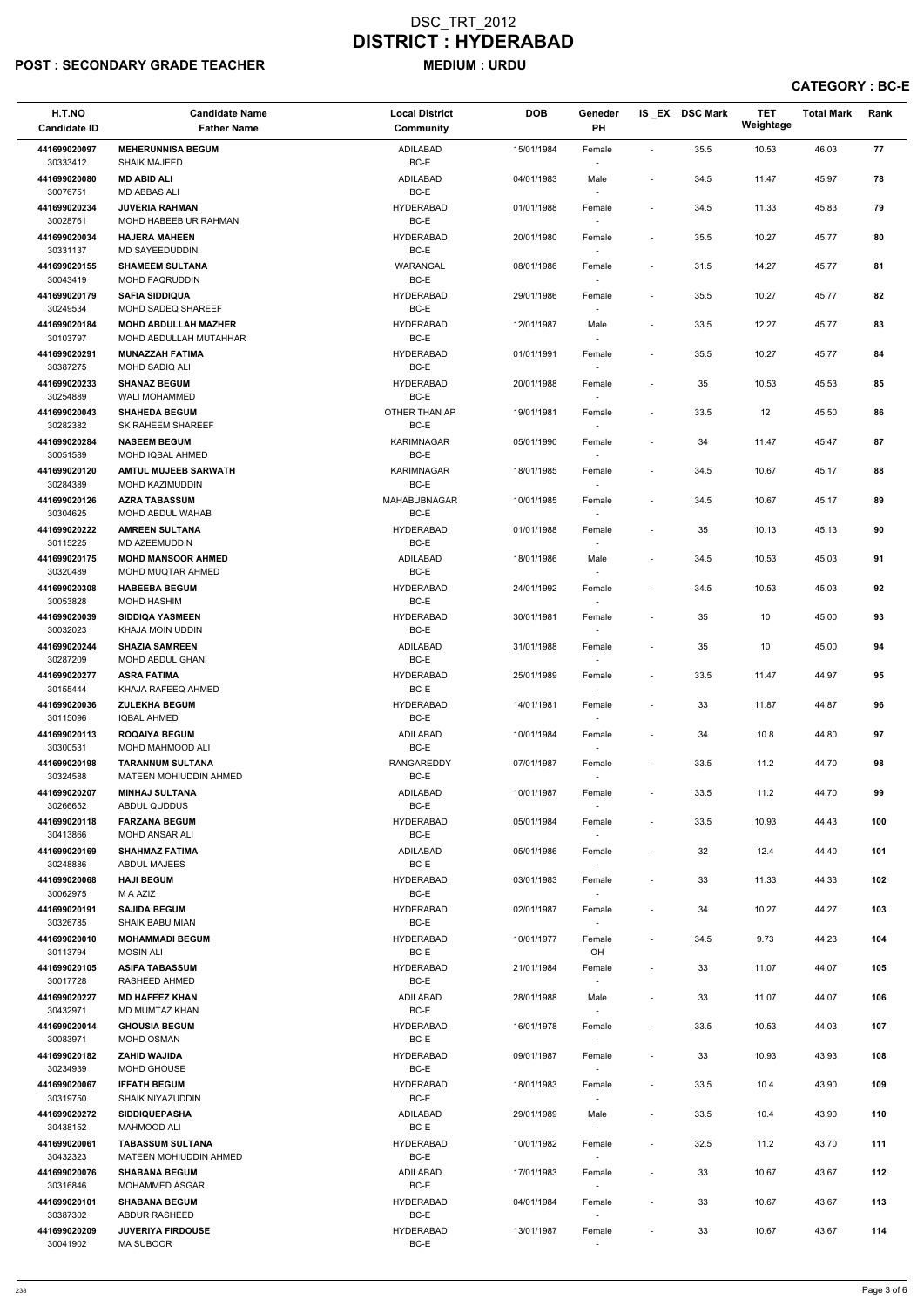# POST : SECONDARY GRADE TEACHER MEDIUM : URDU

| H.T.NO<br><b>Candidate ID</b> | <b>Candidate Name</b><br><b>Father Name</b>       | <b>Local District</b><br><b>Community</b> | <b>DOB</b> | Geneder<br>PH                      |                          | IS_EX DSC Mark | <b>TET</b><br>Weightage | <b>Total Mark</b> | Rank |
|-------------------------------|---------------------------------------------------|-------------------------------------------|------------|------------------------------------|--------------------------|----------------|-------------------------|-------------------|------|
| 441699020097<br>30333412      | <b>MEHERUNNISA BEGUM</b><br><b>SHAIK MAJEED</b>   | <b>ADILABAD</b><br>BC-E                   | 15/01/1984 | Female                             | $\overline{\phantom{a}}$ | 35.5           | 10.53                   | 46.03             | 77   |
| 441699020080<br>30076751      | <b>MD ABID ALI</b><br>MD ABBAS ALI                | ADILABAD<br>BC-E                          | 04/01/1983 | Male                               | $\overline{\phantom{a}}$ | 34.5           | 11.47                   | 45.97             | 78   |
| 441699020234<br>30028761      | <b>JUVERIA RAHMAN</b><br>MOHD HABEEB UR RAHMAN    | <b>HYDERABAD</b><br>BC-E                  | 01/01/1988 | Female<br>$\overline{\phantom{a}}$ | $\overline{\phantom{a}}$ | 34.5           | 11.33                   | 45.83             | 79   |
| 441699020034<br>30331137      | <b>HAJERA MAHEEN</b><br>MD SAYEEDUDDIN            | <b>HYDERABAD</b><br>BC-E                  | 20/01/1980 | Female<br>$\sim$                   | $\overline{\phantom{a}}$ | 35.5           | 10.27                   | 45.77             | 80   |
| 441699020155                  | <b>SHAMEEM SULTANA</b>                            | WARANGAL                                  | 08/01/1986 | Female                             | $\overline{\phantom{a}}$ | 31.5           | 14.27                   | 45.77             | 81   |
| 30043419                      | MOHD FAQRUDDIN                                    | BC-E                                      |            |                                    |                          |                |                         |                   |      |
| 441699020179                  | <b>SAFIA SIDDIQUA</b>                             | <b>HYDERABAD</b>                          | 29/01/1986 | Female                             | $\overline{\phantom{a}}$ | 35.5           | 10.27                   | 45.77             | 82   |
| 30249534<br>441699020184      | MOHD SADEQ SHAREEF<br><b>MOHD ABDULLAH MAZHER</b> | BC-E<br><b>HYDERABAD</b>                  | 12/01/1987 | Male                               | $\overline{\phantom{a}}$ | 33.5           | 12.27                   | 45.77             | 83   |
| 30103797                      | MOHD ABDULLAH MUTAHHAR                            | BC-E                                      |            | $\sim$                             |                          |                |                         |                   |      |
| 441699020291<br>30387275      | <b>MUNAZZAH FATIMA</b><br>MOHD SADIQ ALI          | <b>HYDERABAD</b><br>BC-E                  | 01/01/1991 | Female<br>$\sim$                   | $\blacksquare$           | 35.5           | 10.27                   | 45.77             | 84   |
| 441699020233                  | <b>SHANAZ BEGUM</b>                               | <b>HYDERABAD</b>                          | 20/01/1988 | Female                             | $\blacksquare$           | 35             | 10.53                   | 45.53             | 85   |
| 30254889                      | <b>WALI MOHAMMED</b>                              | BC-E                                      |            | $\sim$                             |                          |                |                         |                   |      |
| 441699020043<br>30282382      | <b>SHAHEDA BEGUM</b><br>SK RAHEEM SHAREEF         | OTHER THAN AP<br>BC-E                     | 19/01/1981 | Female                             | $\blacksquare$           | 33.5           | 12                      | 45.50             | 86   |
| 441699020284<br>30051589      | <b>NASEEM BEGUM</b><br>MOHD IQBAL AHMED           | <b>KARIMNAGAR</b><br>BC-E                 | 05/01/1990 | Female                             | $\overline{\phantom{a}}$ | 34             | 11.47                   | 45.47             | 87   |
| 441699020120<br>30284389      | <b>AMTUL MUJEEB SARWATH</b><br>MOHD KAZIMUDDIN    | KARIMNAGAR<br>BC-E                        | 18/01/1985 | Female<br>$\sim$                   | $\blacksquare$           | 34.5           | 10.67                   | 45.17             | 88   |
| 441699020126                  | <b>AZRA TABASSUM</b>                              | <b>MAHABUBNAGAR</b>                       | 10/01/1985 | Female                             | $\overline{\phantom{a}}$ | 34.5           | 10.67                   | 45.17             | 89   |
| 30304625                      | MOHD ABDUL WAHAB                                  | BC-E                                      |            |                                    |                          |                |                         |                   |      |
| 441699020222<br>30115225      | <b>AMREEN SULTANA</b><br><b>MD AZEEMUDDIN</b>     | <b>HYDERABAD</b><br>BC-E                  | 01/01/1988 | Female                             | $\overline{\phantom{a}}$ | 35             | 10.13                   | 45.13             | 90   |
| 441699020175                  | <b>MOHD MANSOOR AHMED</b>                         | <b>ADILABAD</b>                           | 18/01/1986 | Male                               | $\overline{\phantom{a}}$ | 34.5           | 10.53                   | 45.03             | 91   |
| 30320489                      | MOHD MUQTAR AHMED                                 | BC-E                                      |            |                                    |                          |                |                         |                   |      |
| 441699020308<br>30053828      | <b>HABEEBA BEGUM</b><br><b>MOHD HASHIM</b>        | <b>HYDERABAD</b><br>BC-E                  | 24/01/1992 | Female                             | $\overline{\phantom{a}}$ | 34.5           | 10.53                   | 45.03             | 92   |
| 441699020039<br>30032023      | <b>SIDDIQA YASMEEN</b><br>KHAJA MOIN UDDIN        | <b>HYDERABAD</b><br>BC-E                  | 30/01/1981 | Female                             | $\overline{\phantom{m}}$ | 35             | 10                      | 45.00             | 93   |
| 441699020244                  | <b>SHAZIA SAMREEN</b>                             | ADILABAD                                  | 31/01/1988 | Female                             | $\overline{\phantom{a}}$ | 35             | 10                      | 45.00             | 94   |
| 30287209                      | <b>MOHD ABDUL GHANI</b>                           | BC-E                                      |            |                                    |                          |                |                         |                   |      |
| 441699020277<br>30155444      | <b>ASRA FATIMA</b><br>KHAJA RAFEEQ AHMED          | HYDERABAD<br>BC-E                         | 25/01/1989 | Female<br>$\overline{\phantom{a}}$ | $\overline{\phantom{a}}$ | 33.5           | 11.47                   | 44.97             | 95   |
| 441699020036<br>30115096      | <b>ZULEKHA BEGUM</b><br><b>IQBAL AHMED</b>        | HYDERABAD<br>BC-E                         | 14/01/1981 | Female<br>$\sim$                   | $\overline{\phantom{a}}$ | 33             | 11.87                   | 44.87             | 96   |
| 441699020113<br>30300531      | <b>ROQAIYA BEGUM</b><br><b>MOHD MAHMOOD ALI</b>   | ADILABAD<br>BC-E                          | 10/01/1984 | Female<br>$\overline{\phantom{a}}$ | $\blacksquare$           | 34             | 10.8                    | 44.80             | 97   |
| 441699020198                  | <b>TARANNUM SULTANA</b>                           | RANGAREDDY                                | 07/01/1987 | Female                             | $\overline{\phantom{a}}$ | 33.5           | 11.2                    | 44.70             | 98   |
| 30324588                      | <b>MATEEN MOHIUDDIN AHMED</b>                     | BC-E                                      |            |                                    |                          |                |                         |                   |      |
| 441699020207<br>30266652      | <b>MINHAJ SULTANA</b><br>ABDUL QUDDUS             | ADILABAD<br>BC-E                          | 10/01/1987 | Female<br>$\sim$                   | $\overline{\phantom{a}}$ | 33.5           | 11.2                    | 44.70             | 99   |
| 441699020118                  | <b>FARZANA BEGUM</b>                              | <b>HYDERABAD</b>                          | 05/01/1984 | Female                             | $\overline{\phantom{a}}$ | 33.5           | 10.93                   | 44.43             | 100  |
| 30413866                      | MOHD ANSAR ALI                                    | BC-E                                      |            | $\sim$                             |                          |                |                         |                   |      |
| 441699020169                  | <b>SHAHMAZ FATIMA</b>                             | ADILABAD                                  | 05/01/1986 | Female                             | $\overline{\phantom{a}}$ | 32             | 12.4                    | 44.40             | 101  |
| 30248886                      | ABDUL MAJEES<br><b>HAJI BEGUM</b>                 | BC-E<br><b>HYDERABAD</b>                  |            | $\sim$                             |                          |                |                         |                   |      |
| 441699020068<br>30062975      | M A AZIZ                                          | BC-E                                      | 03/01/1983 | Female                             | $\overline{\phantom{a}}$ | 33             | 11.33                   | 44.33             | 102  |
| 441699020191                  | <b>SAJIDA BEGUM</b>                               | HYDERABAD                                 | 02/01/1987 | Female                             | $\overline{\phantom{a}}$ | 34             | 10.27                   | 44.27             | 103  |
| 30326785<br>441699020010      | <b>SHAIK BABU MIAN</b><br><b>MOHAMMADI BEGUM</b>  | BC-E<br>HYDERABAD                         | 10/01/1977 | $\sim$<br>Female                   | $\blacksquare$           | 34.5           | 9.73                    | 44.23             | 104  |
| 30113794                      | <b>MOSIN ALI</b>                                  | BC-E                                      |            | OH                                 |                          |                |                         |                   |      |
| 441699020105<br>30017728      | <b>ASIFA TABASSUM</b><br><b>RASHEED AHMED</b>     | <b>HYDERABAD</b><br>BC-E                  | 21/01/1984 | Female<br>$\sim$                   | $\overline{\phantom{a}}$ | 33             | 11.07                   | 44.07             | 105  |
| 441699020227                  | <b>MD HAFEEZ KHAN</b>                             | ADILABAD                                  | 28/01/1988 | Male                               | $\overline{\phantom{a}}$ | 33             | 11.07                   | 44.07             | 106  |
| 30432971                      | MD MUMTAZ KHAN                                    | BC-E                                      |            |                                    |                          |                |                         |                   |      |
| 441699020014                  | <b>GHOUSIA BEGUM</b>                              | <b>HYDERABAD</b>                          | 16/01/1978 | Female                             | $\overline{\phantom{a}}$ | 33.5           | 10.53                   | 44.03             | 107  |
| 30083971<br>441699020182      | MOHD OSMAN<br><b>ZAHID WAJIDA</b>                 | BC-E<br><b>HYDERABAD</b>                  | 09/01/1987 | Female                             | $\overline{\phantom{a}}$ | 33             | 10.93                   | 43.93             | 108  |
| 30234939                      | MOHD GHOUSE                                       | BC-E                                      |            | $\overline{\phantom{a}}$           |                          |                |                         |                   |      |
| 441699020067                  | <b>IFFATH BEGUM</b>                               | <b>HYDERABAD</b>                          | 18/01/1983 | Female                             |                          | 33.5           | 10.4                    | 43.90             | 109  |
| 30319750                      | SHAIK NIYAZUDDIN                                  | BC-E                                      |            | $\overline{\phantom{a}}$           |                          |                |                         |                   |      |
| 441699020272<br>30438152      | <b>SIDDIQUEPASHA</b><br><b>MAHMOOD ALI</b>        | ADILABAD<br>BC-E                          | 29/01/1989 | Male<br>$\sim$                     | $\overline{\phantom{a}}$ | 33.5           | 10.4                    | 43.90             | 110  |
| 441699020061<br>30432323      | <b>TABASSUM SULTANA</b><br>MATEEN MOHIUDDIN AHMED | HYDERABAD<br>BC-E                         | 10/01/1982 | Female                             | $\overline{\phantom{a}}$ | 32.5           | 11.2                    | 43.70             | 111  |
| 441699020076                  | <b>SHABANA BEGUM</b>                              | ADILABAD                                  | 17/01/1983 | $\overline{\phantom{a}}$<br>Female | $\overline{\phantom{a}}$ | 33             | 10.67                   | 43.67             | 112  |
| 30316846                      | <b>MOHAMMED ASGAR</b>                             | BC-E                                      |            | $\overline{\phantom{a}}$           |                          |                |                         |                   |      |
| 441699020101<br>30387302      | <b>SHABANA BEGUM</b><br><b>ABDUR RASHEED</b>      | <b>HYDERABAD</b><br>BC-E                  | 04/01/1984 | Female                             | $\overline{\phantom{a}}$ | 33             | 10.67                   | 43.67             | 113  |
| 441699020209                  | <b>JUVERIYA FIRDOUSE</b>                          | <b>HYDERABAD</b>                          | 13/01/1987 | Female                             | $\overline{\phantom{a}}$ | 33             | 10.67                   | 43.67             | 114  |
| 30041902                      | <b>MA SUBOOR</b>                                  | BC-E                                      |            | $\overline{\phantom{a}}$           |                          |                |                         |                   |      |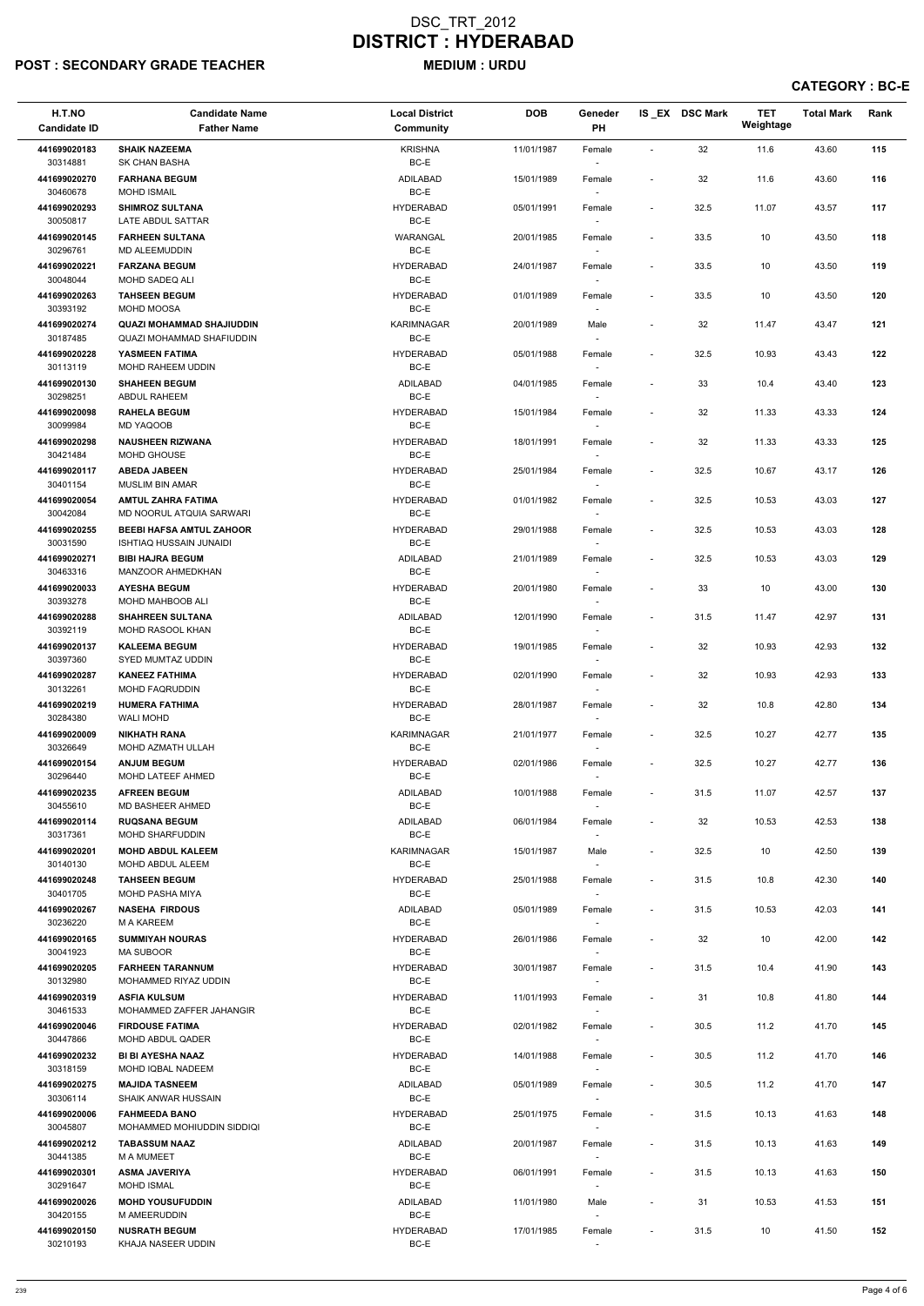# POST : SECONDARY GRADE TEACHER MEDIUM : URDU

| H.T.NO<br><b>Candidate ID</b> | <b>Candidate Name</b><br><b>Father Name</b>                   | <b>Local District</b><br>Community | <b>DOB</b> | Geneder<br><b>PH</b>               |                          | IS_EX DSC Mark | <b>TET</b><br>Weightage | <b>Total Mark</b> | Rank |
|-------------------------------|---------------------------------------------------------------|------------------------------------|------------|------------------------------------|--------------------------|----------------|-------------------------|-------------------|------|
| 441699020183<br>30314881      | <b>SHAIK NAZEEMA</b><br><b>SK CHAN BASHA</b>                  | <b>KRISHNA</b><br>BC-E             | 11/01/1987 | Female<br>$\sim$                   | $\sim$                   | 32             | 11.6                    | 43.60             | 115  |
| 441699020270<br>30460678      | <b>FARHANA BEGUM</b><br><b>MOHD ISMAIL</b>                    | <b>ADILABAD</b><br>BC-E            | 15/01/1989 | Female                             | $\blacksquare$           | 32             | 11.6                    | 43.60             | 116  |
| 441699020293<br>30050817      | <b>SHIMROZ SULTANA</b><br>LATE ABDUL SATTAR                   | <b>HYDERABAD</b><br>BC-E           | 05/01/1991 | Female                             | $\blacksquare$           | 32.5           | 11.07                   | 43.57             | 117  |
| 441699020145                  | <b>FARHEEN SULTANA</b>                                        | <b>WARANGAL</b>                    | 20/01/1985 | $\overline{\phantom{a}}$<br>Female | $\blacksquare$           | 33.5           | 10                      | 43.50             | 118  |
| 30296761<br>441699020221      | MD ALEEMUDDIN<br><b>FARZANA BEGUM</b>                         | BC-E<br><b>HYDERABAD</b>           | 24/01/1987 | $\overline{\phantom{a}}$<br>Female | $\blacksquare$           | 33.5           | 10                      | 43.50             | 119  |
| 30048044                      | MOHD SADEQ ALI                                                | BC-E                               |            | $\sim$                             |                          |                |                         |                   |      |
| 441699020263<br>30393192      | <b>TAHSEEN BEGUM</b><br><b>MOHD MOOSA</b>                     | <b>HYDERABAD</b><br>BC-E           | 01/01/1989 | Female<br>$\overline{\phantom{a}}$ | $\blacksquare$           | 33.5           | 10                      | 43.50             | 120  |
| 441699020274<br>30187485      | <b>QUAZI MOHAMMAD SHAJIUDDIN</b><br>QUAZI MOHAMMAD SHAFIUDDIN | <b>KARIMNAGAR</b><br>BC-E          | 20/01/1989 | Male<br>$\overline{\phantom{a}}$   | $\overline{\phantom{a}}$ | 32             | 11.47                   | 43.47             | 121  |
| 441699020228<br>30113119      | YASMEEN FATIMA<br>MOHD RAHEEM UDDIN                           | <b>HYDERABAD</b><br>BC-E           | 05/01/1988 | Female<br>$\sim$                   | $\blacksquare$           | 32.5           | 10.93                   | 43.43             | 122  |
| 441699020130<br>30298251      | <b>SHAHEEN BEGUM</b>                                          | ADILABAD<br>BC-E                   | 04/01/1985 | Female                             | $\blacksquare$           | 33             | 10.4                    | 43.40             | 123  |
| 441699020098                  | ABDUL RAHEEM<br><b>RAHELA BEGUM</b>                           | <b>HYDERABAD</b>                   | 15/01/1984 | $\sim$<br>Female                   | $\blacksquare$           | 32             | 11.33                   | 43.33             | 124  |
| 30099984                      | MD YAQOOB                                                     | BC-E<br><b>HYDERABAD</b>           |            | $\overline{\phantom{a}}$           |                          |                |                         |                   |      |
| 441699020298<br>30421484      | <b>NAUSHEEN RIZWANA</b><br>MOHD GHOUSE                        | BC-E                               | 18/01/1991 | Female                             | $\sim$                   | 32             | 11.33                   | 43.33             | 125  |
| 441699020117<br>30401154      | <b>ABEDA JABEEN</b><br><b>MUSLIM BIN AMAR</b>                 | <b>HYDERABAD</b><br>BC-E           | 25/01/1984 | Female<br>$\sim$                   | $\overline{\phantom{a}}$ | 32.5           | 10.67                   | 43.17             | 126  |
| 441699020054                  | <b>AMTUL ZAHRA FATIMA</b>                                     | <b>HYDERABAD</b>                   | 01/01/1982 | Female                             | $\sim$                   | 32.5           | 10.53                   | 43.03             | 127  |
| 30042084<br>441699020255      | MD NOORUL ATQUIA SARWARI<br><b>BEEBI HAFSA AMTUL ZAHOOR</b>   | BC-E<br><b>HYDERABAD</b>           | 29/01/1988 | $\sim$<br>Female                   | $\sim$                   | 32.5           | 10.53                   | 43.03             | 128  |
| 30031590                      | <b>ISHTIAQ HUSSAIN JUNAIDI</b>                                | BC-E                               |            | $\overline{\phantom{a}}$           |                          |                |                         |                   |      |
| 441699020271<br>30463316      | <b>BIBI HAJRA BEGUM</b><br>MANZOOR AHMEDKHAN                  | ADILABAD<br>BC-E                   | 21/01/1989 | Female                             | $\blacksquare$           | 32.5           | 10.53                   | 43.03             | 129  |
| 441699020033<br>30393278      | <b>AYESHA BEGUM</b><br>MOHD MAHBOOB ALI                       | <b>HYDERABAD</b><br>BC-E           | 20/01/1980 | Female<br>$\sim$                   | $\blacksquare$           | 33             | 10                      | 43.00             | 130  |
| 441699020288<br>30392119      | <b>SHAHREEN SULTANA</b><br>MOHD RASOOL KHAN                   | ADILABAD<br>BC-E                   | 12/01/1990 | Female<br>$\sim$                   | $\blacksquare$           | 31.5           | 11.47                   | 42.97             | 131  |
| 441699020137<br>30397360      | <b>KALEEMA BEGUM</b><br><b>SYED MUMTAZ UDDIN</b>              | <b>HYDERABAD</b><br>BC-E           | 19/01/1985 | Female                             | $\overline{\phantom{a}}$ | 32             | 10.93                   | 42.93             | 132  |
| 441699020287<br>30132261      | <b>KANEEZ FATHIMA</b><br><b>MOHD FAQRUDDIN</b>                | <b>HYDERABAD</b><br>BC-E           | 02/01/1990 | Female<br>$\sim$                   | $\sim$                   | 32             | 10.93                   | 42.93             | 133  |
| 441699020219                  | <b>HUMERA FATHIMA</b>                                         | <b>HYDERABAD</b>                   | 28/01/1987 | Female                             | $\sim$                   | 32             | 10.8                    | 42.80             | 134  |
| 30284380<br>441699020009      | <b>WALI MOHD</b><br><b>NIKHATH RANA</b>                       | BC-E<br><b>KARIMNAGAR</b>          | 21/01/1977 | $\sim$<br>Female                   | $\overline{\phantom{a}}$ | 32.5           | 10.27                   | 42.77             | 135  |
| 30326649<br>441699020154      | MOHD AZMATH ULLAH<br><b>ANJUM BEGUM</b>                       | BC-E<br><b>HYDERABAD</b>           | 02/01/1986 | $\sim$<br>Female                   | $\sim$                   | 32.5           | 10.27                   | 42.77             | 136  |
| 30296440                      | MOHD LATEEF AHMED                                             | BC-E                               |            | $\overline{\phantom{a}}$           |                          |                |                         |                   |      |
| 441699020235<br>30455610      | <b>AFREEN BEGUM</b><br>MD BASHEER AHMED                       | ADILABAD<br>BC-E                   | 10/01/1988 | Female<br>$\overline{\phantom{a}}$ | $\sim$                   | 31.5           | 11.07                   | 42.57             | 137  |
| 441699020114<br>30317361      | <b>RUQSANA BEGUM</b><br><b>MOHD SHARFUDDIN</b>                | ADILABAD<br>BC-E                   | 06/01/1984 | Female<br>$\sim$                   | $\overline{\phantom{a}}$ | 32             | 10.53                   | 42.53             | 138  |
| 441699020201<br>30140130      | <b>MOHD ABDUL KALEEM</b><br>MOHD ABDUL ALEEM                  | <b>KARIMNAGAR</b><br>BC-E          | 15/01/1987 | Male<br>$\sim$                     | $\blacksquare$           | 32.5           | 10                      | 42.50             | 139  |
| 441699020248                  | <b>TAHSEEN BEGUM</b>                                          | <b>HYDERABAD</b>                   | 25/01/1988 | Female                             | $\sim$                   | 31.5           | 10.8                    | 42.30             | 140  |
| 30401705<br>441699020267      | MOHD PASHA MIYA<br><b>NASEHA FIRDOUS</b>                      | BC-E<br>ADILABAD                   | 05/01/1989 | $\sim$<br>Female                   | $\sim$                   | 31.5           | 10.53                   | 42.03             | 141  |
| 30236220<br>441699020165      | M A KAREEM<br><b>SUMMIYAH NOURAS</b>                          | BC-E<br><b>HYDERABAD</b>           | 26/01/1986 | Female                             | $\overline{\phantom{a}}$ | 32             | 10                      | 42.00             | 142  |
| 30041923                      | <b>MA SUBOOR</b>                                              | BC-E                               |            | $\sim$                             |                          |                |                         |                   |      |
| 441699020205<br>30132980      | <b>FARHEEN TARANNUM</b><br>MOHAMMED RIYAZ UDDIN               | <b>HYDERABAD</b><br>BC-E           | 30/01/1987 | Female<br>$\sim$                   | $\overline{\phantom{a}}$ | 31.5           | 10.4                    | 41.90             | 143  |
| 441699020319<br>30461533      | <b>ASFIA KULSUM</b><br>MOHAMMED ZAFFER JAHANGIR               | <b>HYDERABAD</b><br>BC-E           | 11/01/1993 | Female<br>$\sim$                   | $\sim$                   | 31             | 10.8                    | 41.80             | 144  |
| 441699020046                  | <b>FIRDOUSE FATIMA</b>                                        | <b>HYDERABAD</b>                   | 02/01/1982 | Female                             | $\sim$                   | 30.5           | 11.2                    | 41.70             | 145  |
| 30447866<br>441699020232      | <b>MOHD ABDUL QADER</b><br><b>BI BI AYESHA NAAZ</b>           | BC-E<br><b>HYDERABAD</b>           | 14/01/1988 | $\overline{\phantom{a}}$<br>Female | $\overline{\phantom{a}}$ | 30.5           | 11.2                    | 41.70             | 146  |
| 30318159                      | <b>MOHD IQBAL NADEEM</b>                                      | BC-E                               |            |                                    |                          |                |                         |                   |      |
| 441699020275<br>30306114      | <b>MAJIDA TASNEEM</b><br>SHAIK ANWAR HUSSAIN                  | ADILABAD<br>BC-E                   | 05/01/1989 | Female<br>$\sim$                   | $\sim$                   | 30.5           | 11.2                    | 41.70             | 147  |
| 441699020006<br>30045807      | <b>FAHMEEDA BANO</b><br>MOHAMMED MOHIUDDIN SIDDIQI            | <b>HYDERABAD</b><br>BC-E           | 25/01/1975 | Female<br>$\overline{\phantom{a}}$ | $\overline{\phantom{a}}$ | 31.5           | 10.13                   | 41.63             | 148  |
| 441699020212<br>30441385      | <b>TABASSUM NAAZ</b><br><b>M A MUMEET</b>                     | ADILABAD<br>BC-E                   | 20/01/1987 | Female<br>$\sim$                   | $\overline{\phantom{a}}$ | 31.5           | 10.13                   | 41.63             | 149  |
| 441699020301<br>30291647      | <b>ASMA JAVERIYA</b>                                          | <b>HYDERABAD</b><br>BC-E           | 06/01/1991 | Female                             | $\sim$                   | 31.5           | 10.13                   | 41.63             | 150  |
| 441699020026<br>30420155      | MOHD ISMAL<br><b>MOHD YOUSUFUDDIN</b><br>M AMEERUDDIN         | ADILABAD<br>BC-E                   | 11/01/1980 | $\sim$<br>Male<br>$\sim$           | $\overline{\phantom{a}}$ | 31             | 10.53                   | 41.53             | 151  |
| 441699020150                  | <b>NUSRATH BEGUM</b>                                          | <b>HYDERABAD</b>                   | 17/01/1985 | Female                             | $\overline{\phantom{a}}$ | 31.5           | 10                      | 41.50             | 152  |
| 30210193                      | KHAJA NASEER UDDIN                                            | BC-E                               |            | $\overline{\phantom{a}}$           |                          |                |                         |                   |      |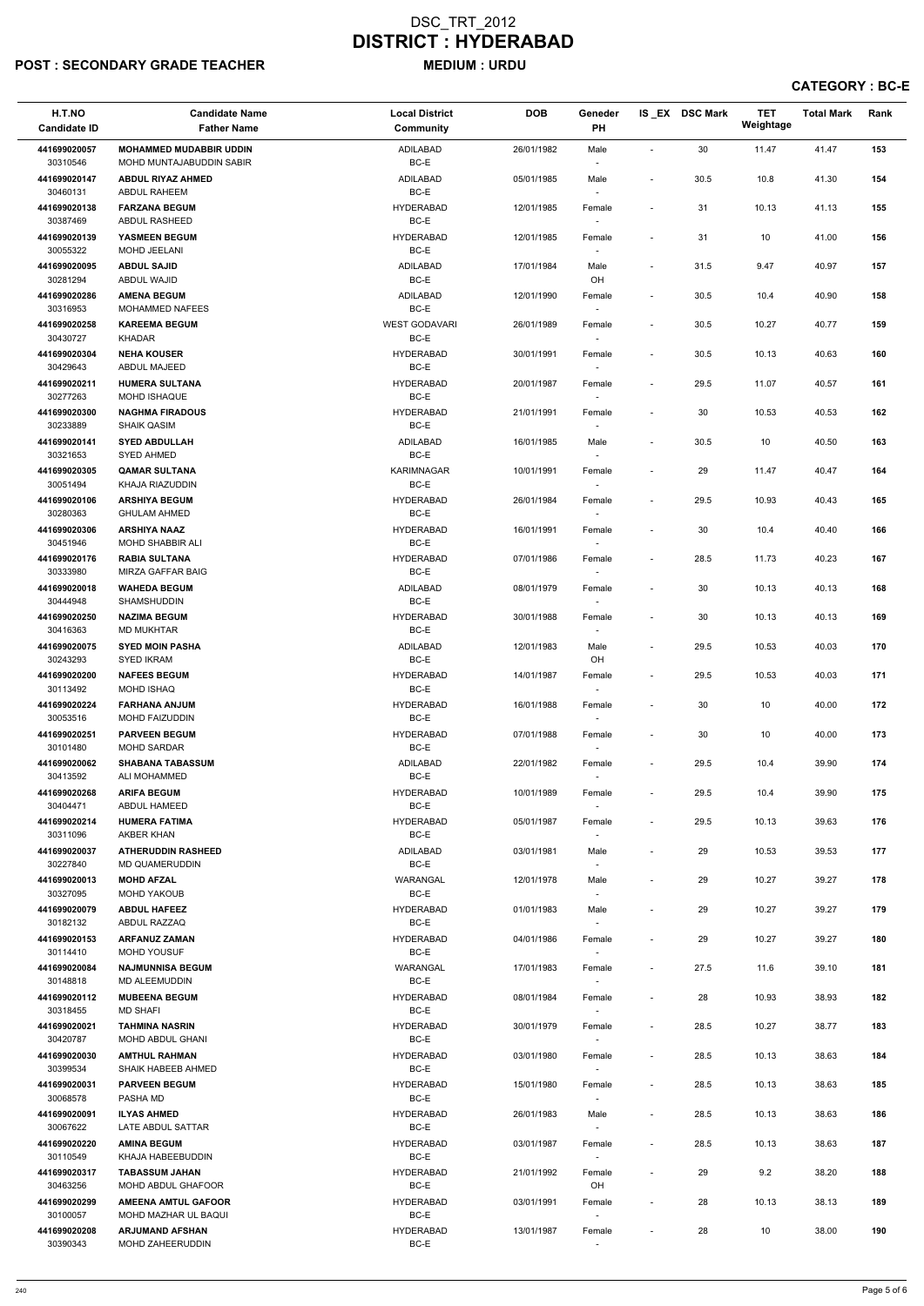# POST : SECONDARY GRADE TEACHER MEDIUM : URDU

| 30<br>41.47<br><b>MOHAMMED MUDABBIR UDDIN</b><br>ADILABAD<br>26/01/1982<br>11.47<br>441699020057<br>Male<br>$\overline{\phantom{a}}$<br>BC-E<br>30310546<br>MOHD MUNTAJABUDDIN SABIR<br>$\sim$<br>441699020147<br>ADILABAD<br>30.5<br>10.8<br>41.30<br><b>ABDUL RIYAZ AHMED</b><br>05/01/1985<br>Male<br>$\overline{\phantom{a}}$<br>BC-E<br>30460131<br>ABDUL RAHEEM<br>$\overline{\phantom{a}}$<br><b>HYDERABAD</b><br>441699020138<br><b>FARZANA BEGUM</b><br>12/01/1985<br>31<br>10.13<br>41.13<br>Female<br>$\overline{\phantom{a}}$<br>30387469<br>BC-E<br><b>ABDUL RASHEED</b><br>$\sim$<br><b>HYDERABAD</b><br>31<br>41.00<br>441699020139<br>YASMEEN BEGUM<br>12/01/1985<br>10<br>Female<br>$\blacksquare$<br>30055322<br>BC-E<br>MOHD JEELANI<br>$\sim$<br>441699020095<br><b>ABDUL SAJID</b><br>ADILABAD<br>31.5<br>9.47<br>40.97<br>17/01/1984<br>Male<br>$\sim$<br>BC-E<br>30281294<br>OH<br>ABDUL WAJID<br>ADILABAD<br>441699020286<br><b>AMENA BEGUM</b><br>12/01/1990<br>30.5<br>10.4<br>40.90<br>Female<br>$\blacksquare$<br>BC-E<br>30316953<br>MOHAMMED NAFEES<br><b>WEST GODAVARI</b><br>441699020258<br><b>KAREEMA BEGUM</b><br>26/01/1989<br>30.5<br>10.27<br>40.77<br>Female<br>$\blacksquare$<br>BC-E<br>30430727<br><b>KHADAR</b><br>$\overline{\phantom{a}}$<br>$30.5\,$<br>441699020304<br><b>NEHA KOUSER</b><br><b>HYDERABAD</b><br>30/01/1991<br>10.13<br>40.63<br>Female<br>$\blacksquare$<br>BC-E<br>30429643<br>ABDUL MAJEED<br>$\sim$<br>29.5<br>11.07<br>40.57<br>441699020211<br><b>HUMERA SULTANA</b><br><b>HYDERABAD</b><br>20/01/1987<br>Female<br>$\blacksquare$<br>30277263<br>BC-E<br><b>MOHD ISHAQUE</b><br>$\sim$<br>30<br>10.53<br>40.53<br>441699020300<br><b>NAGHMA FIRADOUS</b><br><b>HYDERABAD</b><br>21/01/1991<br>Female<br>$\blacksquare$<br>30233889<br>BC-E<br><b>SHAIK QASIM</b><br>$\sim$<br>ADILABAD<br>441699020141<br><b>SYED ABDULLAH</b><br>16/01/1985<br>Male<br>30.5<br>10<br>40.50<br>$\blacksquare$<br>BC-E<br>30321653<br>SYED AHMED<br>$\overline{\phantom{a}}$<br>441699020305<br><b>KARIMNAGAR</b><br>29<br><b>QAMAR SULTANA</b><br>10/01/1991<br>11.47<br>40.47<br>Female<br>$\overline{\phantom{a}}$<br>30051494<br>BC-E<br>KHAJA RIAZUDDIN<br>$\sim$<br><b>ARSHIYA BEGUM</b><br><b>HYDERABAD</b><br>29.5<br>40.43<br>441699020106<br>26/01/1984<br>10.93<br>Female<br>$\overline{\phantom{a}}$<br>30280363<br>BC-E<br><b>GHULAM AHMED</b><br>$\overline{\phantom{a}}$<br><b>ARSHIYA NAAZ</b><br>16/01/1991<br>40.40<br>441699020306<br><b>HYDERABAD</b><br>30<br>10.4<br>Female<br>$\overline{\phantom{a}}$<br>BC-E<br>30451946<br><b>MOHD SHABBIR ALI</b><br>$\overline{\phantom{a}}$<br><b>HYDERABAD</b><br>441699020176<br><b>RABIA SULTANA</b><br>07/01/1986<br>28.5<br>11.73<br>40.23<br>Female<br>$\sim$<br>30333980<br>BC-E<br><b>MIRZA GAFFAR BAIG</b><br>441699020018<br><b>WAHEDA BEGUM</b><br>ADILABAD<br>08/01/1979<br>30<br>10.13<br>40.13<br>Female<br>$\overline{\phantom{a}}$<br>30444948<br><b>SHAMSHUDDIN</b><br>BC-E<br>$\overline{\phantom{a}}$<br><b>NAZIMA BEGUM</b><br><b>HYDERABAD</b><br>30<br>10.13<br>40.13<br>441699020250<br>30/01/1988<br>Female<br>$\overline{\phantom{a}}$<br>BC-E<br>30416363<br><b>MD MUKHTAR</b><br>$\overline{\phantom{a}}$<br>29.5<br>441699020075<br><b>SYED MOIN PASHA</b><br>ADILABAD<br>12/01/1983<br>10.53<br>40.03<br>Male<br>$\blacksquare$<br>BC-E<br>30243293<br><b>SYED IKRAM</b><br>OH<br>441699020200<br><b>NAFEES BEGUM</b><br><b>HYDERABAD</b><br>14/01/1987<br>29.5<br>10.53<br>40.03<br>Female<br>$\blacksquare$<br>BC-E<br>30113492<br><b>MOHD ISHAQ</b><br>$\sim$<br>441699020224<br><b>FARHANA ANJUM</b><br><b>HYDERABAD</b><br>16/01/1988<br>30<br>10<br>40.00<br>Female<br>$\overline{\phantom{a}}$<br>30053516<br><b>MOHD FAIZUDDIN</b><br>BC-E<br>$\sim$<br><b>PARVEEN BEGUM</b><br>441699020251<br><b>HYDERABAD</b><br>30<br>10<br>40.00<br>07/01/1988<br>Female<br>$\sim$<br>BC-E<br>30101480<br><b>MOHD SARDAR</b><br>$\sim$<br>441699020062<br><b>SHABANA TABASSUM</b><br>ADILABAD<br>29.5<br>10.4<br>39.90<br>22/01/1982<br>Female<br>$\overline{\phantom{a}}$<br>BC-E<br>30413592<br>ALI MOHAMMED<br><b>ARIFA BEGUM</b><br>441699020268<br><b>HYDERABAD</b><br>10/01/1989<br>29.5<br>10.4<br>39.90<br>Female<br>$\overline{\phantom{a}}$<br>BC-E<br>30404471<br>ABDUL HAMEED<br>$\sim$ | 153<br>154<br>155<br>156<br>157<br>158<br>159<br>160<br>161<br>162<br>163<br>164 |
|-------------------------------------------------------------------------------------------------------------------------------------------------------------------------------------------------------------------------------------------------------------------------------------------------------------------------------------------------------------------------------------------------------------------------------------------------------------------------------------------------------------------------------------------------------------------------------------------------------------------------------------------------------------------------------------------------------------------------------------------------------------------------------------------------------------------------------------------------------------------------------------------------------------------------------------------------------------------------------------------------------------------------------------------------------------------------------------------------------------------------------------------------------------------------------------------------------------------------------------------------------------------------------------------------------------------------------------------------------------------------------------------------------------------------------------------------------------------------------------------------------------------------------------------------------------------------------------------------------------------------------------------------------------------------------------------------------------------------------------------------------------------------------------------------------------------------------------------------------------------------------------------------------------------------------------------------------------------------------------------------------------------------------------------------------------------------------------------------------------------------------------------------------------------------------------------------------------------------------------------------------------------------------------------------------------------------------------------------------------------------------------------------------------------------------------------------------------------------------------------------------------------------------------------------------------------------------------------------------------------------------------------------------------------------------------------------------------------------------------------------------------------------------------------------------------------------------------------------------------------------------------------------------------------------------------------------------------------------------------------------------------------------------------------------------------------------------------------------------------------------------------------------------------------------------------------------------------------------------------------------------------------------------------------------------------------------------------------------------------------------------------------------------------------------------------------------------------------------------------------------------------------------------------------------------------------------------------------------------------------------------------------------------------------------------------------------------------------------------------------------------------------------------------------------------------------------------------------------------------------------------------------------------------------------------------------------------------------------------------------------------------------------------------------------------------------------------------------------------------------------------------------------------------------------------------------------------------------------------------------------------------------------------------------------------------------------------------------------|----------------------------------------------------------------------------------|
|                                                                                                                                                                                                                                                                                                                                                                                                                                                                                                                                                                                                                                                                                                                                                                                                                                                                                                                                                                                                                                                                                                                                                                                                                                                                                                                                                                                                                                                                                                                                                                                                                                                                                                                                                                                                                                                                                                                                                                                                                                                                                                                                                                                                                                                                                                                                                                                                                                                                                                                                                                                                                                                                                                                                                                                                                                                                                                                                                                                                                                                                                                                                                                                                                                                                                                                                                                                                                                                                                                                                                                                                                                                                                                                                                                                                                                                                                                                                                                                                                                                                                                                                                                                                                                                                                                                                                 |                                                                                  |
|                                                                                                                                                                                                                                                                                                                                                                                                                                                                                                                                                                                                                                                                                                                                                                                                                                                                                                                                                                                                                                                                                                                                                                                                                                                                                                                                                                                                                                                                                                                                                                                                                                                                                                                                                                                                                                                                                                                                                                                                                                                                                                                                                                                                                                                                                                                                                                                                                                                                                                                                                                                                                                                                                                                                                                                                                                                                                                                                                                                                                                                                                                                                                                                                                                                                                                                                                                                                                                                                                                                                                                                                                                                                                                                                                                                                                                                                                                                                                                                                                                                                                                                                                                                                                                                                                                                                                 |                                                                                  |
|                                                                                                                                                                                                                                                                                                                                                                                                                                                                                                                                                                                                                                                                                                                                                                                                                                                                                                                                                                                                                                                                                                                                                                                                                                                                                                                                                                                                                                                                                                                                                                                                                                                                                                                                                                                                                                                                                                                                                                                                                                                                                                                                                                                                                                                                                                                                                                                                                                                                                                                                                                                                                                                                                                                                                                                                                                                                                                                                                                                                                                                                                                                                                                                                                                                                                                                                                                                                                                                                                                                                                                                                                                                                                                                                                                                                                                                                                                                                                                                                                                                                                                                                                                                                                                                                                                                                                 |                                                                                  |
|                                                                                                                                                                                                                                                                                                                                                                                                                                                                                                                                                                                                                                                                                                                                                                                                                                                                                                                                                                                                                                                                                                                                                                                                                                                                                                                                                                                                                                                                                                                                                                                                                                                                                                                                                                                                                                                                                                                                                                                                                                                                                                                                                                                                                                                                                                                                                                                                                                                                                                                                                                                                                                                                                                                                                                                                                                                                                                                                                                                                                                                                                                                                                                                                                                                                                                                                                                                                                                                                                                                                                                                                                                                                                                                                                                                                                                                                                                                                                                                                                                                                                                                                                                                                                                                                                                                                                 |                                                                                  |
|                                                                                                                                                                                                                                                                                                                                                                                                                                                                                                                                                                                                                                                                                                                                                                                                                                                                                                                                                                                                                                                                                                                                                                                                                                                                                                                                                                                                                                                                                                                                                                                                                                                                                                                                                                                                                                                                                                                                                                                                                                                                                                                                                                                                                                                                                                                                                                                                                                                                                                                                                                                                                                                                                                                                                                                                                                                                                                                                                                                                                                                                                                                                                                                                                                                                                                                                                                                                                                                                                                                                                                                                                                                                                                                                                                                                                                                                                                                                                                                                                                                                                                                                                                                                                                                                                                                                                 |                                                                                  |
|                                                                                                                                                                                                                                                                                                                                                                                                                                                                                                                                                                                                                                                                                                                                                                                                                                                                                                                                                                                                                                                                                                                                                                                                                                                                                                                                                                                                                                                                                                                                                                                                                                                                                                                                                                                                                                                                                                                                                                                                                                                                                                                                                                                                                                                                                                                                                                                                                                                                                                                                                                                                                                                                                                                                                                                                                                                                                                                                                                                                                                                                                                                                                                                                                                                                                                                                                                                                                                                                                                                                                                                                                                                                                                                                                                                                                                                                                                                                                                                                                                                                                                                                                                                                                                                                                                                                                 |                                                                                  |
|                                                                                                                                                                                                                                                                                                                                                                                                                                                                                                                                                                                                                                                                                                                                                                                                                                                                                                                                                                                                                                                                                                                                                                                                                                                                                                                                                                                                                                                                                                                                                                                                                                                                                                                                                                                                                                                                                                                                                                                                                                                                                                                                                                                                                                                                                                                                                                                                                                                                                                                                                                                                                                                                                                                                                                                                                                                                                                                                                                                                                                                                                                                                                                                                                                                                                                                                                                                                                                                                                                                                                                                                                                                                                                                                                                                                                                                                                                                                                                                                                                                                                                                                                                                                                                                                                                                                                 |                                                                                  |
|                                                                                                                                                                                                                                                                                                                                                                                                                                                                                                                                                                                                                                                                                                                                                                                                                                                                                                                                                                                                                                                                                                                                                                                                                                                                                                                                                                                                                                                                                                                                                                                                                                                                                                                                                                                                                                                                                                                                                                                                                                                                                                                                                                                                                                                                                                                                                                                                                                                                                                                                                                                                                                                                                                                                                                                                                                                                                                                                                                                                                                                                                                                                                                                                                                                                                                                                                                                                                                                                                                                                                                                                                                                                                                                                                                                                                                                                                                                                                                                                                                                                                                                                                                                                                                                                                                                                                 |                                                                                  |
|                                                                                                                                                                                                                                                                                                                                                                                                                                                                                                                                                                                                                                                                                                                                                                                                                                                                                                                                                                                                                                                                                                                                                                                                                                                                                                                                                                                                                                                                                                                                                                                                                                                                                                                                                                                                                                                                                                                                                                                                                                                                                                                                                                                                                                                                                                                                                                                                                                                                                                                                                                                                                                                                                                                                                                                                                                                                                                                                                                                                                                                                                                                                                                                                                                                                                                                                                                                                                                                                                                                                                                                                                                                                                                                                                                                                                                                                                                                                                                                                                                                                                                                                                                                                                                                                                                                                                 |                                                                                  |
|                                                                                                                                                                                                                                                                                                                                                                                                                                                                                                                                                                                                                                                                                                                                                                                                                                                                                                                                                                                                                                                                                                                                                                                                                                                                                                                                                                                                                                                                                                                                                                                                                                                                                                                                                                                                                                                                                                                                                                                                                                                                                                                                                                                                                                                                                                                                                                                                                                                                                                                                                                                                                                                                                                                                                                                                                                                                                                                                                                                                                                                                                                                                                                                                                                                                                                                                                                                                                                                                                                                                                                                                                                                                                                                                                                                                                                                                                                                                                                                                                                                                                                                                                                                                                                                                                                                                                 |                                                                                  |
|                                                                                                                                                                                                                                                                                                                                                                                                                                                                                                                                                                                                                                                                                                                                                                                                                                                                                                                                                                                                                                                                                                                                                                                                                                                                                                                                                                                                                                                                                                                                                                                                                                                                                                                                                                                                                                                                                                                                                                                                                                                                                                                                                                                                                                                                                                                                                                                                                                                                                                                                                                                                                                                                                                                                                                                                                                                                                                                                                                                                                                                                                                                                                                                                                                                                                                                                                                                                                                                                                                                                                                                                                                                                                                                                                                                                                                                                                                                                                                                                                                                                                                                                                                                                                                                                                                                                                 |                                                                                  |
|                                                                                                                                                                                                                                                                                                                                                                                                                                                                                                                                                                                                                                                                                                                                                                                                                                                                                                                                                                                                                                                                                                                                                                                                                                                                                                                                                                                                                                                                                                                                                                                                                                                                                                                                                                                                                                                                                                                                                                                                                                                                                                                                                                                                                                                                                                                                                                                                                                                                                                                                                                                                                                                                                                                                                                                                                                                                                                                                                                                                                                                                                                                                                                                                                                                                                                                                                                                                                                                                                                                                                                                                                                                                                                                                                                                                                                                                                                                                                                                                                                                                                                                                                                                                                                                                                                                                                 |                                                                                  |
|                                                                                                                                                                                                                                                                                                                                                                                                                                                                                                                                                                                                                                                                                                                                                                                                                                                                                                                                                                                                                                                                                                                                                                                                                                                                                                                                                                                                                                                                                                                                                                                                                                                                                                                                                                                                                                                                                                                                                                                                                                                                                                                                                                                                                                                                                                                                                                                                                                                                                                                                                                                                                                                                                                                                                                                                                                                                                                                                                                                                                                                                                                                                                                                                                                                                                                                                                                                                                                                                                                                                                                                                                                                                                                                                                                                                                                                                                                                                                                                                                                                                                                                                                                                                                                                                                                                                                 |                                                                                  |
|                                                                                                                                                                                                                                                                                                                                                                                                                                                                                                                                                                                                                                                                                                                                                                                                                                                                                                                                                                                                                                                                                                                                                                                                                                                                                                                                                                                                                                                                                                                                                                                                                                                                                                                                                                                                                                                                                                                                                                                                                                                                                                                                                                                                                                                                                                                                                                                                                                                                                                                                                                                                                                                                                                                                                                                                                                                                                                                                                                                                                                                                                                                                                                                                                                                                                                                                                                                                                                                                                                                                                                                                                                                                                                                                                                                                                                                                                                                                                                                                                                                                                                                                                                                                                                                                                                                                                 |                                                                                  |
|                                                                                                                                                                                                                                                                                                                                                                                                                                                                                                                                                                                                                                                                                                                                                                                                                                                                                                                                                                                                                                                                                                                                                                                                                                                                                                                                                                                                                                                                                                                                                                                                                                                                                                                                                                                                                                                                                                                                                                                                                                                                                                                                                                                                                                                                                                                                                                                                                                                                                                                                                                                                                                                                                                                                                                                                                                                                                                                                                                                                                                                                                                                                                                                                                                                                                                                                                                                                                                                                                                                                                                                                                                                                                                                                                                                                                                                                                                                                                                                                                                                                                                                                                                                                                                                                                                                                                 |                                                                                  |
|                                                                                                                                                                                                                                                                                                                                                                                                                                                                                                                                                                                                                                                                                                                                                                                                                                                                                                                                                                                                                                                                                                                                                                                                                                                                                                                                                                                                                                                                                                                                                                                                                                                                                                                                                                                                                                                                                                                                                                                                                                                                                                                                                                                                                                                                                                                                                                                                                                                                                                                                                                                                                                                                                                                                                                                                                                                                                                                                                                                                                                                                                                                                                                                                                                                                                                                                                                                                                                                                                                                                                                                                                                                                                                                                                                                                                                                                                                                                                                                                                                                                                                                                                                                                                                                                                                                                                 | 165                                                                              |
|                                                                                                                                                                                                                                                                                                                                                                                                                                                                                                                                                                                                                                                                                                                                                                                                                                                                                                                                                                                                                                                                                                                                                                                                                                                                                                                                                                                                                                                                                                                                                                                                                                                                                                                                                                                                                                                                                                                                                                                                                                                                                                                                                                                                                                                                                                                                                                                                                                                                                                                                                                                                                                                                                                                                                                                                                                                                                                                                                                                                                                                                                                                                                                                                                                                                                                                                                                                                                                                                                                                                                                                                                                                                                                                                                                                                                                                                                                                                                                                                                                                                                                                                                                                                                                                                                                                                                 | 166                                                                              |
|                                                                                                                                                                                                                                                                                                                                                                                                                                                                                                                                                                                                                                                                                                                                                                                                                                                                                                                                                                                                                                                                                                                                                                                                                                                                                                                                                                                                                                                                                                                                                                                                                                                                                                                                                                                                                                                                                                                                                                                                                                                                                                                                                                                                                                                                                                                                                                                                                                                                                                                                                                                                                                                                                                                                                                                                                                                                                                                                                                                                                                                                                                                                                                                                                                                                                                                                                                                                                                                                                                                                                                                                                                                                                                                                                                                                                                                                                                                                                                                                                                                                                                                                                                                                                                                                                                                                                 | 167                                                                              |
|                                                                                                                                                                                                                                                                                                                                                                                                                                                                                                                                                                                                                                                                                                                                                                                                                                                                                                                                                                                                                                                                                                                                                                                                                                                                                                                                                                                                                                                                                                                                                                                                                                                                                                                                                                                                                                                                                                                                                                                                                                                                                                                                                                                                                                                                                                                                                                                                                                                                                                                                                                                                                                                                                                                                                                                                                                                                                                                                                                                                                                                                                                                                                                                                                                                                                                                                                                                                                                                                                                                                                                                                                                                                                                                                                                                                                                                                                                                                                                                                                                                                                                                                                                                                                                                                                                                                                 |                                                                                  |
|                                                                                                                                                                                                                                                                                                                                                                                                                                                                                                                                                                                                                                                                                                                                                                                                                                                                                                                                                                                                                                                                                                                                                                                                                                                                                                                                                                                                                                                                                                                                                                                                                                                                                                                                                                                                                                                                                                                                                                                                                                                                                                                                                                                                                                                                                                                                                                                                                                                                                                                                                                                                                                                                                                                                                                                                                                                                                                                                                                                                                                                                                                                                                                                                                                                                                                                                                                                                                                                                                                                                                                                                                                                                                                                                                                                                                                                                                                                                                                                                                                                                                                                                                                                                                                                                                                                                                 | 168                                                                              |
|                                                                                                                                                                                                                                                                                                                                                                                                                                                                                                                                                                                                                                                                                                                                                                                                                                                                                                                                                                                                                                                                                                                                                                                                                                                                                                                                                                                                                                                                                                                                                                                                                                                                                                                                                                                                                                                                                                                                                                                                                                                                                                                                                                                                                                                                                                                                                                                                                                                                                                                                                                                                                                                                                                                                                                                                                                                                                                                                                                                                                                                                                                                                                                                                                                                                                                                                                                                                                                                                                                                                                                                                                                                                                                                                                                                                                                                                                                                                                                                                                                                                                                                                                                                                                                                                                                                                                 | 169                                                                              |
|                                                                                                                                                                                                                                                                                                                                                                                                                                                                                                                                                                                                                                                                                                                                                                                                                                                                                                                                                                                                                                                                                                                                                                                                                                                                                                                                                                                                                                                                                                                                                                                                                                                                                                                                                                                                                                                                                                                                                                                                                                                                                                                                                                                                                                                                                                                                                                                                                                                                                                                                                                                                                                                                                                                                                                                                                                                                                                                                                                                                                                                                                                                                                                                                                                                                                                                                                                                                                                                                                                                                                                                                                                                                                                                                                                                                                                                                                                                                                                                                                                                                                                                                                                                                                                                                                                                                                 | 170                                                                              |
|                                                                                                                                                                                                                                                                                                                                                                                                                                                                                                                                                                                                                                                                                                                                                                                                                                                                                                                                                                                                                                                                                                                                                                                                                                                                                                                                                                                                                                                                                                                                                                                                                                                                                                                                                                                                                                                                                                                                                                                                                                                                                                                                                                                                                                                                                                                                                                                                                                                                                                                                                                                                                                                                                                                                                                                                                                                                                                                                                                                                                                                                                                                                                                                                                                                                                                                                                                                                                                                                                                                                                                                                                                                                                                                                                                                                                                                                                                                                                                                                                                                                                                                                                                                                                                                                                                                                                 | 171                                                                              |
|                                                                                                                                                                                                                                                                                                                                                                                                                                                                                                                                                                                                                                                                                                                                                                                                                                                                                                                                                                                                                                                                                                                                                                                                                                                                                                                                                                                                                                                                                                                                                                                                                                                                                                                                                                                                                                                                                                                                                                                                                                                                                                                                                                                                                                                                                                                                                                                                                                                                                                                                                                                                                                                                                                                                                                                                                                                                                                                                                                                                                                                                                                                                                                                                                                                                                                                                                                                                                                                                                                                                                                                                                                                                                                                                                                                                                                                                                                                                                                                                                                                                                                                                                                                                                                                                                                                                                 | 172                                                                              |
|                                                                                                                                                                                                                                                                                                                                                                                                                                                                                                                                                                                                                                                                                                                                                                                                                                                                                                                                                                                                                                                                                                                                                                                                                                                                                                                                                                                                                                                                                                                                                                                                                                                                                                                                                                                                                                                                                                                                                                                                                                                                                                                                                                                                                                                                                                                                                                                                                                                                                                                                                                                                                                                                                                                                                                                                                                                                                                                                                                                                                                                                                                                                                                                                                                                                                                                                                                                                                                                                                                                                                                                                                                                                                                                                                                                                                                                                                                                                                                                                                                                                                                                                                                                                                                                                                                                                                 | 173                                                                              |
|                                                                                                                                                                                                                                                                                                                                                                                                                                                                                                                                                                                                                                                                                                                                                                                                                                                                                                                                                                                                                                                                                                                                                                                                                                                                                                                                                                                                                                                                                                                                                                                                                                                                                                                                                                                                                                                                                                                                                                                                                                                                                                                                                                                                                                                                                                                                                                                                                                                                                                                                                                                                                                                                                                                                                                                                                                                                                                                                                                                                                                                                                                                                                                                                                                                                                                                                                                                                                                                                                                                                                                                                                                                                                                                                                                                                                                                                                                                                                                                                                                                                                                                                                                                                                                                                                                                                                 |                                                                                  |
|                                                                                                                                                                                                                                                                                                                                                                                                                                                                                                                                                                                                                                                                                                                                                                                                                                                                                                                                                                                                                                                                                                                                                                                                                                                                                                                                                                                                                                                                                                                                                                                                                                                                                                                                                                                                                                                                                                                                                                                                                                                                                                                                                                                                                                                                                                                                                                                                                                                                                                                                                                                                                                                                                                                                                                                                                                                                                                                                                                                                                                                                                                                                                                                                                                                                                                                                                                                                                                                                                                                                                                                                                                                                                                                                                                                                                                                                                                                                                                                                                                                                                                                                                                                                                                                                                                                                                 | 174                                                                              |
|                                                                                                                                                                                                                                                                                                                                                                                                                                                                                                                                                                                                                                                                                                                                                                                                                                                                                                                                                                                                                                                                                                                                                                                                                                                                                                                                                                                                                                                                                                                                                                                                                                                                                                                                                                                                                                                                                                                                                                                                                                                                                                                                                                                                                                                                                                                                                                                                                                                                                                                                                                                                                                                                                                                                                                                                                                                                                                                                                                                                                                                                                                                                                                                                                                                                                                                                                                                                                                                                                                                                                                                                                                                                                                                                                                                                                                                                                                                                                                                                                                                                                                                                                                                                                                                                                                                                                 | 175                                                                              |
|                                                                                                                                                                                                                                                                                                                                                                                                                                                                                                                                                                                                                                                                                                                                                                                                                                                                                                                                                                                                                                                                                                                                                                                                                                                                                                                                                                                                                                                                                                                                                                                                                                                                                                                                                                                                                                                                                                                                                                                                                                                                                                                                                                                                                                                                                                                                                                                                                                                                                                                                                                                                                                                                                                                                                                                                                                                                                                                                                                                                                                                                                                                                                                                                                                                                                                                                                                                                                                                                                                                                                                                                                                                                                                                                                                                                                                                                                                                                                                                                                                                                                                                                                                                                                                                                                                                                                 |                                                                                  |
| 29.5<br>441699020214<br><b>HUMERA FATIMA</b><br><b>HYDERABAD</b><br>05/01/1987<br>10.13<br>39.63<br>Female<br>$\sim$<br>30311096<br>AKBER KHAN<br>BC-E<br>$\sim$                                                                                                                                                                                                                                                                                                                                                                                                                                                                                                                                                                                                                                                                                                                                                                                                                                                                                                                                                                                                                                                                                                                                                                                                                                                                                                                                                                                                                                                                                                                                                                                                                                                                                                                                                                                                                                                                                                                                                                                                                                                                                                                                                                                                                                                                                                                                                                                                                                                                                                                                                                                                                                                                                                                                                                                                                                                                                                                                                                                                                                                                                                                                                                                                                                                                                                                                                                                                                                                                                                                                                                                                                                                                                                                                                                                                                                                                                                                                                                                                                                                                                                                                                                                | 176                                                                              |
| 441699020037<br><b>ATHERUDDIN RASHEED</b><br>ADILABAD<br>03/01/1981<br>29<br>10.53<br>39.53<br>Male<br>$\sim$<br>BC-E<br>30227840<br>MD QUAMERUDDIN<br>$\sim$                                                                                                                                                                                                                                                                                                                                                                                                                                                                                                                                                                                                                                                                                                                                                                                                                                                                                                                                                                                                                                                                                                                                                                                                                                                                                                                                                                                                                                                                                                                                                                                                                                                                                                                                                                                                                                                                                                                                                                                                                                                                                                                                                                                                                                                                                                                                                                                                                                                                                                                                                                                                                                                                                                                                                                                                                                                                                                                                                                                                                                                                                                                                                                                                                                                                                                                                                                                                                                                                                                                                                                                                                                                                                                                                                                                                                                                                                                                                                                                                                                                                                                                                                                                   | 177                                                                              |
| <b>MOHD AFZAL</b><br>39.27<br>441699020013<br>WARANGAL<br>29<br>10.27<br>12/01/1978<br>Male<br>$\overline{\phantom{a}}$<br>30327095<br>BC-E<br><b>MOHD YAKOUB</b><br>$\sim$                                                                                                                                                                                                                                                                                                                                                                                                                                                                                                                                                                                                                                                                                                                                                                                                                                                                                                                                                                                                                                                                                                                                                                                                                                                                                                                                                                                                                                                                                                                                                                                                                                                                                                                                                                                                                                                                                                                                                                                                                                                                                                                                                                                                                                                                                                                                                                                                                                                                                                                                                                                                                                                                                                                                                                                                                                                                                                                                                                                                                                                                                                                                                                                                                                                                                                                                                                                                                                                                                                                                                                                                                                                                                                                                                                                                                                                                                                                                                                                                                                                                                                                                                                     | 178                                                                              |
| <b>HYDERABAD</b><br>441699020079<br><b>ABDUL HAFEEZ</b><br>01/01/1983<br>29<br>10.27<br>39.27<br>Male<br>$\blacksquare$<br>BC-E<br>30182132<br>ABDUL RAZZAQ<br>$\sim$                                                                                                                                                                                                                                                                                                                                                                                                                                                                                                                                                                                                                                                                                                                                                                                                                                                                                                                                                                                                                                                                                                                                                                                                                                                                                                                                                                                                                                                                                                                                                                                                                                                                                                                                                                                                                                                                                                                                                                                                                                                                                                                                                                                                                                                                                                                                                                                                                                                                                                                                                                                                                                                                                                                                                                                                                                                                                                                                                                                                                                                                                                                                                                                                                                                                                                                                                                                                                                                                                                                                                                                                                                                                                                                                                                                                                                                                                                                                                                                                                                                                                                                                                                           | 179                                                                              |
| <b>HYDERABAD</b><br>39.27<br>441699020153<br><b>ARFANUZ ZAMAN</b><br>04/01/1986<br>29<br>10.27<br>Female<br>$\blacksquare$<br>30114410<br><b>MOHD YOUSUF</b><br>BC-E<br>$\sim$                                                                                                                                                                                                                                                                                                                                                                                                                                                                                                                                                                                                                                                                                                                                                                                                                                                                                                                                                                                                                                                                                                                                                                                                                                                                                                                                                                                                                                                                                                                                                                                                                                                                                                                                                                                                                                                                                                                                                                                                                                                                                                                                                                                                                                                                                                                                                                                                                                                                                                                                                                                                                                                                                                                                                                                                                                                                                                                                                                                                                                                                                                                                                                                                                                                                                                                                                                                                                                                                                                                                                                                                                                                                                                                                                                                                                                                                                                                                                                                                                                                                                                                                                                  | 180                                                                              |
| 27.5<br>441699020084<br><b>NAJMUNNISA BEGUM</b><br>WARANGAL<br>17/01/1983<br>11.6<br>39.10<br>Female<br>$\blacksquare$                                                                                                                                                                                                                                                                                                                                                                                                                                                                                                                                                                                                                                                                                                                                                                                                                                                                                                                                                                                                                                                                                                                                                                                                                                                                                                                                                                                                                                                                                                                                                                                                                                                                                                                                                                                                                                                                                                                                                                                                                                                                                                                                                                                                                                                                                                                                                                                                                                                                                                                                                                                                                                                                                                                                                                                                                                                                                                                                                                                                                                                                                                                                                                                                                                                                                                                                                                                                                                                                                                                                                                                                                                                                                                                                                                                                                                                                                                                                                                                                                                                                                                                                                                                                                          | 181                                                                              |
| BC-E<br>30148818<br><b>MD ALEEMUDDIN</b><br>$\sim$                                                                                                                                                                                                                                                                                                                                                                                                                                                                                                                                                                                                                                                                                                                                                                                                                                                                                                                                                                                                                                                                                                                                                                                                                                                                                                                                                                                                                                                                                                                                                                                                                                                                                                                                                                                                                                                                                                                                                                                                                                                                                                                                                                                                                                                                                                                                                                                                                                                                                                                                                                                                                                                                                                                                                                                                                                                                                                                                                                                                                                                                                                                                                                                                                                                                                                                                                                                                                                                                                                                                                                                                                                                                                                                                                                                                                                                                                                                                                                                                                                                                                                                                                                                                                                                                                              |                                                                                  |
| <b>MUBEENA BEGUM</b><br><b>HYDERABAD</b><br>38.93<br>441699020112<br>08/01/1984<br>28<br>10.93<br>Female<br>$\blacksquare$<br>BC-E<br>30318455<br><b>MD SHAFI</b><br>$\sim$                                                                                                                                                                                                                                                                                                                                                                                                                                                                                                                                                                                                                                                                                                                                                                                                                                                                                                                                                                                                                                                                                                                                                                                                                                                                                                                                                                                                                                                                                                                                                                                                                                                                                                                                                                                                                                                                                                                                                                                                                                                                                                                                                                                                                                                                                                                                                                                                                                                                                                                                                                                                                                                                                                                                                                                                                                                                                                                                                                                                                                                                                                                                                                                                                                                                                                                                                                                                                                                                                                                                                                                                                                                                                                                                                                                                                                                                                                                                                                                                                                                                                                                                                                     | 182                                                                              |
| <b>HYDERABAD</b><br>441699020021<br><b>TAHMINA NASRIN</b><br>28.5<br>10.27<br>38.77<br>30/01/1979<br>Female<br>$\overline{\phantom{a}}$                                                                                                                                                                                                                                                                                                                                                                                                                                                                                                                                                                                                                                                                                                                                                                                                                                                                                                                                                                                                                                                                                                                                                                                                                                                                                                                                                                                                                                                                                                                                                                                                                                                                                                                                                                                                                                                                                                                                                                                                                                                                                                                                                                                                                                                                                                                                                                                                                                                                                                                                                                                                                                                                                                                                                                                                                                                                                                                                                                                                                                                                                                                                                                                                                                                                                                                                                                                                                                                                                                                                                                                                                                                                                                                                                                                                                                                                                                                                                                                                                                                                                                                                                                                                         | 183                                                                              |
| 30420787<br>BC-E<br>MOHD ABDUL GHANI<br>441699020030<br><b>AMTHUL RAHMAN</b><br><b>HYDERABAD</b><br>03/01/1980<br>28.5<br>10.13<br>38.63<br>Female<br>$\sim$                                                                                                                                                                                                                                                                                                                                                                                                                                                                                                                                                                                                                                                                                                                                                                                                                                                                                                                                                                                                                                                                                                                                                                                                                                                                                                                                                                                                                                                                                                                                                                                                                                                                                                                                                                                                                                                                                                                                                                                                                                                                                                                                                                                                                                                                                                                                                                                                                                                                                                                                                                                                                                                                                                                                                                                                                                                                                                                                                                                                                                                                                                                                                                                                                                                                                                                                                                                                                                                                                                                                                                                                                                                                                                                                                                                                                                                                                                                                                                                                                                                                                                                                                                                    | 184                                                                              |
| BC-E<br>30399534<br><b>SHAIK HABEEB AHMED</b><br>$\sim$                                                                                                                                                                                                                                                                                                                                                                                                                                                                                                                                                                                                                                                                                                                                                                                                                                                                                                                                                                                                                                                                                                                                                                                                                                                                                                                                                                                                                                                                                                                                                                                                                                                                                                                                                                                                                                                                                                                                                                                                                                                                                                                                                                                                                                                                                                                                                                                                                                                                                                                                                                                                                                                                                                                                                                                                                                                                                                                                                                                                                                                                                                                                                                                                                                                                                                                                                                                                                                                                                                                                                                                                                                                                                                                                                                                                                                                                                                                                                                                                                                                                                                                                                                                                                                                                                         |                                                                                  |
| <b>HYDERABAD</b><br>15/01/1980<br>28.5<br>441699020031<br><b>PARVEEN BEGUM</b><br>10.13<br>38.63<br>Female<br>$\sim$<br>BC-E<br>30068578<br>PASHA MD<br>$\overline{\phantom{a}}$                                                                                                                                                                                                                                                                                                                                                                                                                                                                                                                                                                                                                                                                                                                                                                                                                                                                                                                                                                                                                                                                                                                                                                                                                                                                                                                                                                                                                                                                                                                                                                                                                                                                                                                                                                                                                                                                                                                                                                                                                                                                                                                                                                                                                                                                                                                                                                                                                                                                                                                                                                                                                                                                                                                                                                                                                                                                                                                                                                                                                                                                                                                                                                                                                                                                                                                                                                                                                                                                                                                                                                                                                                                                                                                                                                                                                                                                                                                                                                                                                                                                                                                                                                | 185                                                                              |
| <b>ILYAS AHMED</b><br>28.5<br>10.13<br>38.63<br>441699020091<br><b>HYDERABAD</b><br>26/01/1983<br>Male<br>$\sim$<br>BC-E<br>30067622<br>LATE ABDUL SATTAR<br>$\overline{\phantom{a}}$                                                                                                                                                                                                                                                                                                                                                                                                                                                                                                                                                                                                                                                                                                                                                                                                                                                                                                                                                                                                                                                                                                                                                                                                                                                                                                                                                                                                                                                                                                                                                                                                                                                                                                                                                                                                                                                                                                                                                                                                                                                                                                                                                                                                                                                                                                                                                                                                                                                                                                                                                                                                                                                                                                                                                                                                                                                                                                                                                                                                                                                                                                                                                                                                                                                                                                                                                                                                                                                                                                                                                                                                                                                                                                                                                                                                                                                                                                                                                                                                                                                                                                                                                           | 186                                                                              |
| 28.5<br>441699020220<br><b>AMINA BEGUM</b><br><b>HYDERABAD</b><br>03/01/1987<br>10.13<br>38.63<br>Female<br>$\overline{\phantom{a}}$                                                                                                                                                                                                                                                                                                                                                                                                                                                                                                                                                                                                                                                                                                                                                                                                                                                                                                                                                                                                                                                                                                                                                                                                                                                                                                                                                                                                                                                                                                                                                                                                                                                                                                                                                                                                                                                                                                                                                                                                                                                                                                                                                                                                                                                                                                                                                                                                                                                                                                                                                                                                                                                                                                                                                                                                                                                                                                                                                                                                                                                                                                                                                                                                                                                                                                                                                                                                                                                                                                                                                                                                                                                                                                                                                                                                                                                                                                                                                                                                                                                                                                                                                                                                            | 187                                                                              |
| 30110549<br>KHAJA HABEEBUDDIN<br>BC-E<br>$\sim$<br>29<br>9.2<br>38.20<br>441699020317<br><b>TABASSUM JAHAN</b><br><b>HYDERABAD</b><br>21/01/1992<br>Female<br>$\overline{\phantom{a}}$                                                                                                                                                                                                                                                                                                                                                                                                                                                                                                                                                                                                                                                                                                                                                                                                                                                                                                                                                                                                                                                                                                                                                                                                                                                                                                                                                                                                                                                                                                                                                                                                                                                                                                                                                                                                                                                                                                                                                                                                                                                                                                                                                                                                                                                                                                                                                                                                                                                                                                                                                                                                                                                                                                                                                                                                                                                                                                                                                                                                                                                                                                                                                                                                                                                                                                                                                                                                                                                                                                                                                                                                                                                                                                                                                                                                                                                                                                                                                                                                                                                                                                                                                          | 188                                                                              |
| BC-E<br>30463256<br>MOHD ABDUL GHAFOOR<br>OH                                                                                                                                                                                                                                                                                                                                                                                                                                                                                                                                                                                                                                                                                                                                                                                                                                                                                                                                                                                                                                                                                                                                                                                                                                                                                                                                                                                                                                                                                                                                                                                                                                                                                                                                                                                                                                                                                                                                                                                                                                                                                                                                                                                                                                                                                                                                                                                                                                                                                                                                                                                                                                                                                                                                                                                                                                                                                                                                                                                                                                                                                                                                                                                                                                                                                                                                                                                                                                                                                                                                                                                                                                                                                                                                                                                                                                                                                                                                                                                                                                                                                                                                                                                                                                                                                                    |                                                                                  |
| 28<br>441699020299<br><b>AMEENA AMTUL GAFOOR</b><br><b>HYDERABAD</b><br>03/01/1991<br>10.13<br>38.13<br>Female<br>$\overline{\phantom{a}}$<br>30100057<br>BC-E<br>MOHD MAZHAR UL BAQUI<br>$\overline{\phantom{a}}$                                                                                                                                                                                                                                                                                                                                                                                                                                                                                                                                                                                                                                                                                                                                                                                                                                                                                                                                                                                                                                                                                                                                                                                                                                                                                                                                                                                                                                                                                                                                                                                                                                                                                                                                                                                                                                                                                                                                                                                                                                                                                                                                                                                                                                                                                                                                                                                                                                                                                                                                                                                                                                                                                                                                                                                                                                                                                                                                                                                                                                                                                                                                                                                                                                                                                                                                                                                                                                                                                                                                                                                                                                                                                                                                                                                                                                                                                                                                                                                                                                                                                                                              | 189                                                                              |
| 28<br>441699020208<br><b>ARJUMAND AFSHAN</b><br><b>HYDERABAD</b><br>10<br>38.00<br>13/01/1987<br>Female<br>$\overline{\phantom{a}}$<br>BC-E<br>30390343<br>MOHD ZAHEERUDDIN<br>$\sim$                                                                                                                                                                                                                                                                                                                                                                                                                                                                                                                                                                                                                                                                                                                                                                                                                                                                                                                                                                                                                                                                                                                                                                                                                                                                                                                                                                                                                                                                                                                                                                                                                                                                                                                                                                                                                                                                                                                                                                                                                                                                                                                                                                                                                                                                                                                                                                                                                                                                                                                                                                                                                                                                                                                                                                                                                                                                                                                                                                                                                                                                                                                                                                                                                                                                                                                                                                                                                                                                                                                                                                                                                                                                                                                                                                                                                                                                                                                                                                                                                                                                                                                                                           | 190                                                                              |